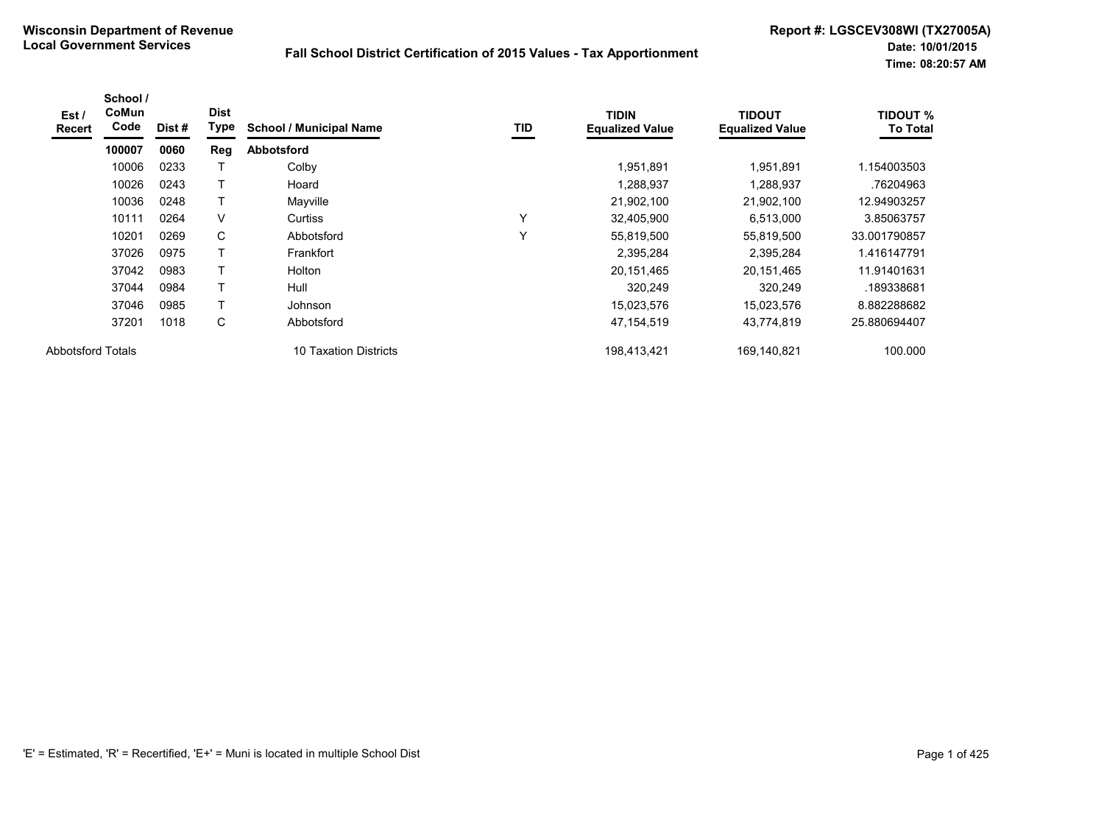| Est /<br><b>Recert</b>   | School /<br>CoMun<br>Code | Dist # | <b>Dist</b><br>Type | <b>School / Municipal Name</b> | TID | <b>TIDIN</b><br><b>Equalized Value</b> | <b>TIDOUT</b><br><b>Equalized Value</b> | <b>TIDOUT %</b><br><b>To Total</b> |
|--------------------------|---------------------------|--------|---------------------|--------------------------------|-----|----------------------------------------|-----------------------------------------|------------------------------------|
|                          | 100007                    | 0060   | Reg                 | Abbotsford                     |     |                                        |                                         |                                    |
|                          | 10006                     | 0233   |                     | Colby                          |     | 1,951,891                              | 1,951,891                               | 1.154003503                        |
|                          | 10026                     | 0243   | т                   | Hoard                          |     | 1,288,937                              | 1,288,937                               | .76204963                          |
|                          | 10036                     | 0248   | т                   | Mayville                       |     | 21,902,100                             | 21,902,100                              | 12.94903257                        |
|                          | 10111                     | 0264   | V                   | Curtiss                        | Υ   | 32,405,900                             | 6,513,000                               | 3.85063757                         |
|                          | 10201                     | 0269   | C                   | Abbotsford                     | Υ   | 55,819,500                             | 55,819,500                              | 33.001790857                       |
|                          | 37026                     | 0975   | T                   | Frankfort                      |     | 2,395,284                              | 2,395,284                               | 1.416147791                        |
|                          | 37042                     | 0983   | т                   | Holton                         |     | 20,151,465                             | 20,151,465                              | 11.91401631                        |
|                          | 37044                     | 0984   | т                   | Hull                           |     | 320,249                                | 320,249                                 | .189338681                         |
|                          | 37046                     | 0985   | T                   | Johnson                        |     | 15,023,576                             | 15,023,576                              | 8.882288682                        |
|                          | 37201                     | 1018   | C                   | Abbotsford                     |     | 47,154,519                             | 43,774,819                              | 25.880694407                       |
| <b>Abbotsford Totals</b> |                           |        |                     | 10 Taxation Districts          |     | 198,413,421                            | 169,140,821                             | 100.000                            |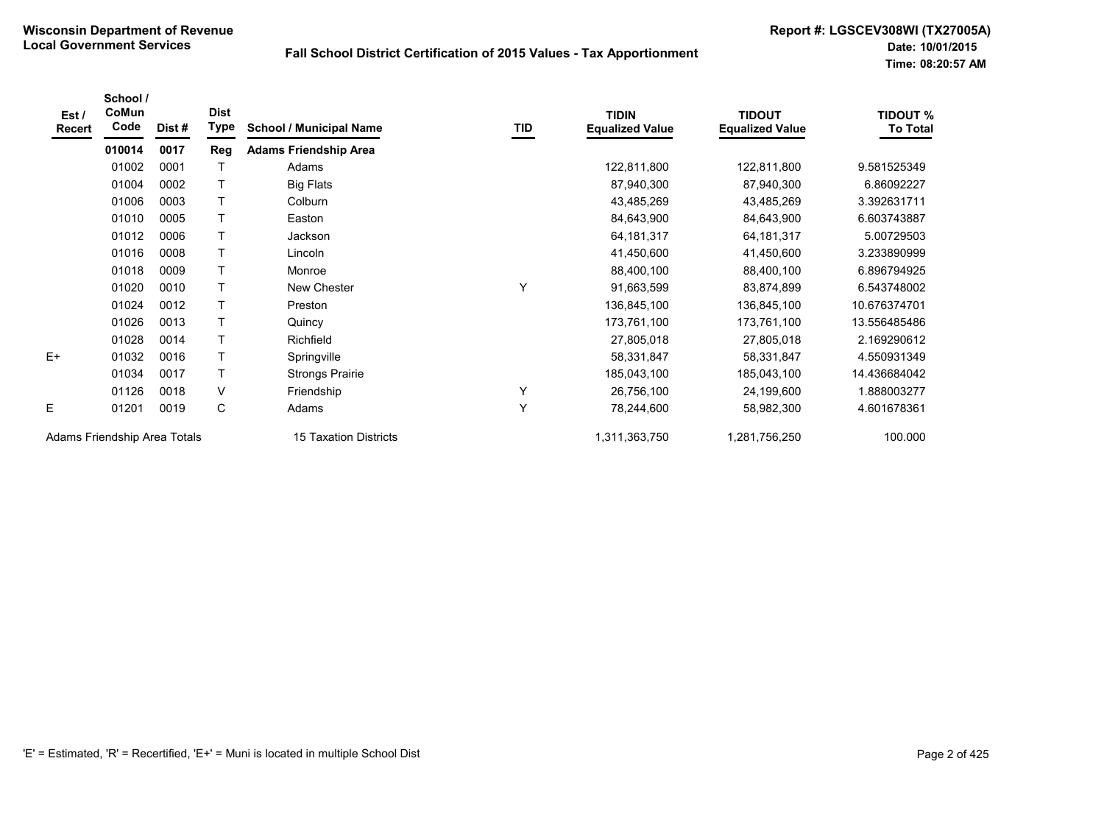| Est/<br>Recert               | School /<br>CoMun<br>Code | Dist# | <b>Dist</b><br>Type | <b>School / Municipal Name</b> | TID | <b>TIDIN</b><br><b>Equalized Value</b> | <b>TIDOUT</b><br><b>Equalized Value</b> | <b>TIDOUT %</b><br><b>To Total</b> |
|------------------------------|---------------------------|-------|---------------------|--------------------------------|-----|----------------------------------------|-----------------------------------------|------------------------------------|
|                              | 010014                    | 0017  | Reg                 | <b>Adams Friendship Area</b>   |     |                                        |                                         |                                    |
|                              | 01002                     | 0001  |                     | Adams                          |     | 122,811,800                            | 122,811,800                             | 9.581525349                        |
|                              | 01004                     | 0002  |                     | <b>Big Flats</b>               |     | 87,940,300                             | 87,940,300                              | 6.86092227                         |
|                              | 01006                     | 0003  |                     | Colburn                        |     | 43,485,269                             | 43,485,269                              | 3.392631711                        |
|                              | 01010                     | 0005  | $\mathsf T$         | Easton                         |     | 84,643,900                             | 84,643,900                              | 6.603743887                        |
|                              | 01012                     | 0006  |                     | <b>Jackson</b>                 |     | 64, 181, 317                           | 64, 181, 317                            | 5.00729503                         |
|                              | 01016                     | 0008  |                     | Lincoln                        |     | 41,450,600                             | 41,450,600                              | 3.233890999                        |
|                              | 01018                     | 0009  |                     | Monroe                         |     | 88,400,100                             | 88,400,100                              | 6.896794925                        |
|                              | 01020                     | 0010  |                     | New Chester                    | Υ   | 91,663,599                             | 83,874,899                              | 6.543748002                        |
|                              | 01024                     | 0012  | $\top$              | Preston                        |     | 136,845,100                            | 136,845,100                             | 10.676374701                       |
|                              | 01026                     | 0013  |                     | Quincy                         |     | 173,761,100                            | 173,761,100                             | 13.556485486                       |
|                              | 01028                     | 0014  |                     | Richfield                      |     | 27,805,018                             | 27,805,018                              | 2.169290612                        |
| $E+$                         | 01032                     | 0016  |                     | Springville                    |     | 58,331,847                             | 58,331,847                              | 4.550931349                        |
|                              | 01034                     | 0017  |                     | <b>Strongs Prairie</b>         |     | 185,043,100                            | 185,043,100                             | 14.436684042                       |
|                              | 01126                     | 0018  | $\vee$              | Friendship                     | Y   | 26,756,100                             | 24,199,600                              | 1.888003277                        |
| E                            | 01201                     | 0019  | C                   | Adams                          | Y   | 78,244,600                             | 58,982,300                              | 4.601678361                        |
| Adams Friendship Area Totals |                           |       |                     | <b>15 Taxation Districts</b>   |     | 1,311,363,750                          | 1,281,756,250                           | 100.000                            |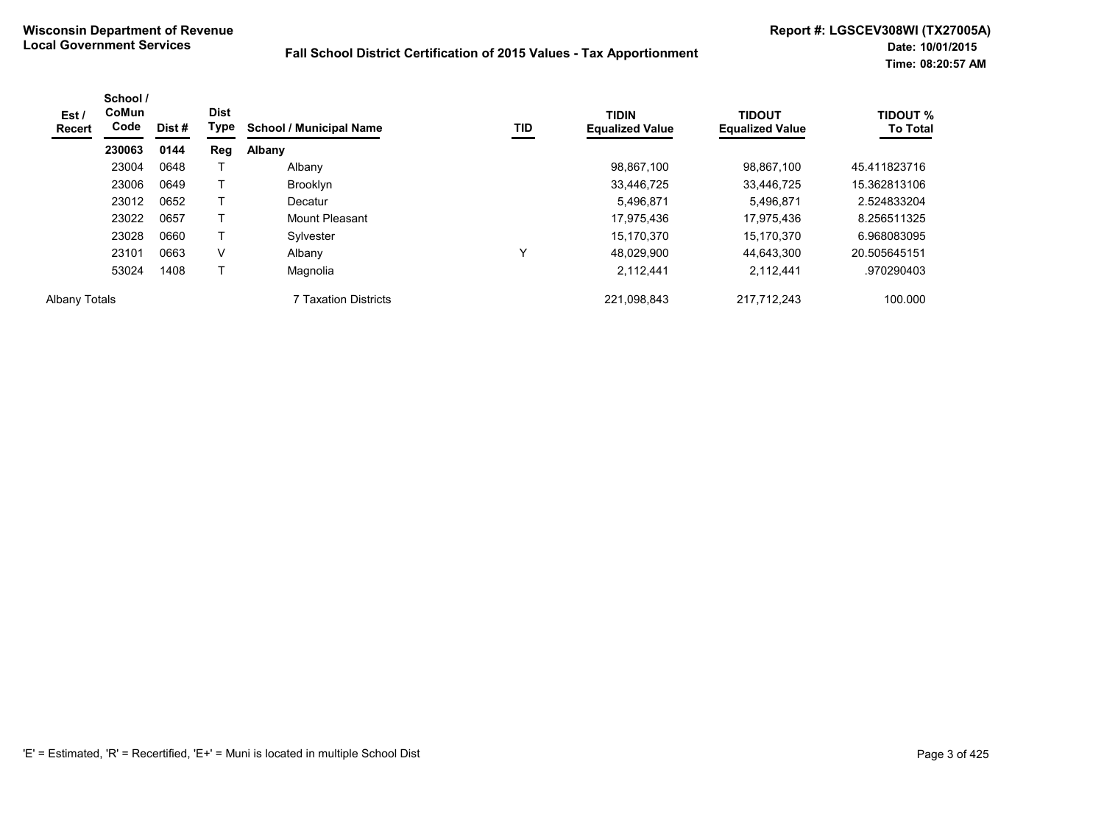| Est /<br><b>Recert</b> | School /<br>CoMun<br>Code | Dist# | <b>Dist</b><br>Type | <b>School / Municipal Name</b> | TID | <b>TIDIN</b><br><b>Equalized Value</b> | <b>TIDOUT</b><br><b>Equalized Value</b> | <b>TIDOUT %</b><br><b>To Total</b> |
|------------------------|---------------------------|-------|---------------------|--------------------------------|-----|----------------------------------------|-----------------------------------------|------------------------------------|
|                        | 230063                    | 0144  | <b>Reg</b>          | Albany                         |     |                                        |                                         |                                    |
|                        | 23004                     | 0648  |                     | Albany                         |     | 98,867,100                             | 98,867,100                              | 45.411823716                       |
|                        | 23006                     | 0649  |                     | <b>Brooklyn</b>                |     | 33,446,725                             | 33,446,725                              | 15.362813106                       |
|                        | 23012                     | 0652  |                     | Decatur                        |     | 5,496,871                              | 5,496,871                               | 2.524833204                        |
|                        | 23022                     | 0657  |                     | Mount Pleasant                 |     | 17,975,436                             | 17.975.436                              | 8.256511325                        |
|                        | 23028                     | 0660  |                     | Sylvester                      |     | 15.170.370                             | 15.170.370                              | 6.968083095                        |
|                        | 23101                     | 0663  | V                   | Albany                         |     | 48.029.900                             | 44.643.300                              | 20.505645151                       |
|                        | 53024                     | 1408  |                     | Magnolia                       |     | 2,112,441                              | 2,112,441                               | .970290403                         |
| <b>Albany Totals</b>   |                           |       |                     | 7 Taxation Districts           |     | 221,098,843                            | 217,712,243                             | 100.000                            |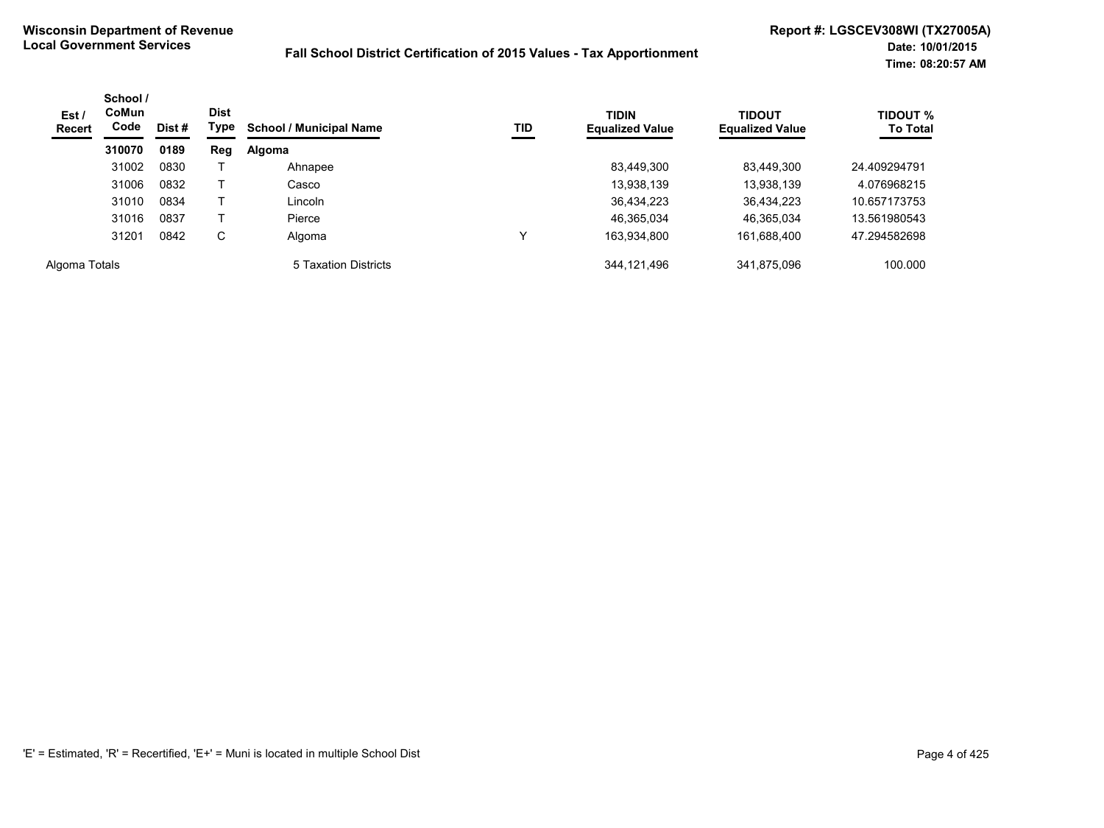| Est /<br><b>Recert</b> | School /<br><b>CoMun</b><br>Code<br>Dist#<br>0189<br>310070 | <b>Dist</b><br>Type | TID<br><b>School / Municipal Name</b> | <b>TIDIN</b><br><b>Equalized Value</b> | <b>TIDOUT</b><br><b>Equalized Value</b> | <b>TIDOUT %</b><br><b>To Total</b> |             |              |
|------------------------|-------------------------------------------------------------|---------------------|---------------------------------------|----------------------------------------|-----------------------------------------|------------------------------------|-------------|--------------|
|                        |                                                             |                     | Reg                                   | Algoma                                 |                                         |                                    |             |              |
|                        | 31002                                                       | 0830                |                                       | Ahnapee                                |                                         | 83,449,300                         | 83,449,300  | 24.409294791 |
|                        | 31006                                                       | 0832                |                                       | Casco                                  |                                         | 13,938,139                         | 13,938,139  | 4.076968215  |
|                        | 31010                                                       | 0834                |                                       | Lincoln                                |                                         | 36,434,223                         | 36,434,223  | 10.657173753 |
|                        | 31016                                                       | 0837                |                                       | Pierce                                 |                                         | 46,365,034                         | 46,365,034  | 13.561980543 |
|                        | 31201                                                       | 0842                | C                                     | Algoma                                 |                                         | 163,934,800                        | 161,688,400 | 47.294582698 |
| Algoma Totals          |                                                             |                     |                                       | 5 Taxation Districts                   |                                         | 344,121,496                        | 341,875,096 | 100.000      |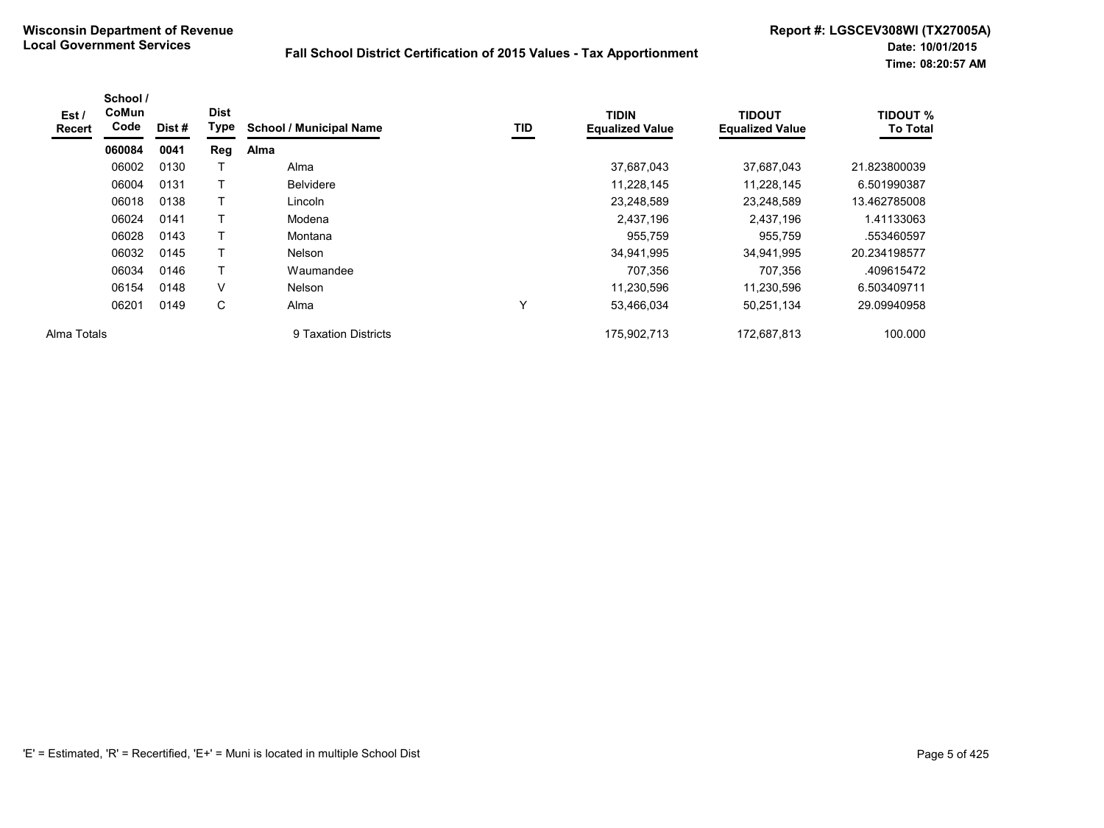| Est /<br>Recert | School /<br>CoMun<br>Code | Dist# | <b>Dist</b><br>Type | <b>School / Municipal Name</b> | TID          | <b>TIDIN</b><br><b>Equalized Value</b> | <b>TIDOUT</b><br><b>Equalized Value</b> | <b>TIDOUT %</b><br><b>To Total</b> |
|-----------------|---------------------------|-------|---------------------|--------------------------------|--------------|----------------------------------------|-----------------------------------------|------------------------------------|
|                 | 060084                    | 0041  | Reg                 | Alma                           |              |                                        |                                         |                                    |
|                 | 06002                     | 0130  |                     | Alma                           |              | 37,687,043                             | 37,687,043                              | 21.823800039                       |
|                 | 06004                     | 0131  |                     | <b>Belvidere</b>               |              | 11,228,145                             | 11,228,145                              | 6.501990387                        |
|                 | 06018                     | 0138  |                     | Lincoln                        |              | 23,248,589                             | 23,248,589                              | 13.462785008                       |
|                 | 06024                     | 0141  |                     | Modena                         |              | 2,437,196                              | 2,437,196                               | 1.41133063                         |
|                 | 06028                     | 0143  |                     | Montana                        |              | 955,759                                | 955,759                                 | .553460597                         |
|                 | 06032                     | 0145  |                     | <b>Nelson</b>                  |              | 34,941,995                             | 34,941,995                              | 20.234198577                       |
|                 | 06034                     | 0146  | т                   | Waumandee                      |              | 707,356                                | 707,356                                 | .409615472                         |
|                 | 06154                     | 0148  | V                   | <b>Nelson</b>                  |              | 11,230,596                             | 11,230,596                              | 6.503409711                        |
|                 | 06201                     | 0149  | С                   | Alma                           | $\checkmark$ | 53,466,034                             | 50,251,134                              | 29.09940958                        |
| Alma Totals     |                           |       |                     | 9 Taxation Districts           |              | 175,902,713                            | 172,687,813                             | 100.000                            |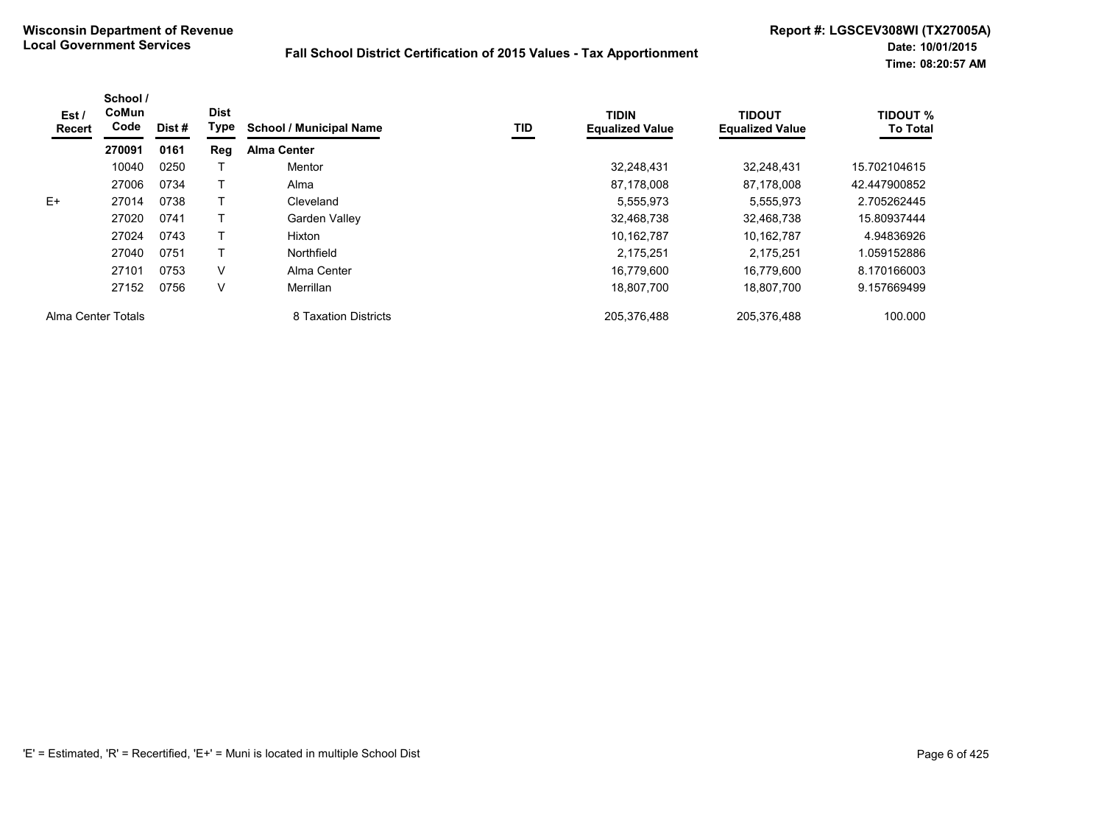| Est/<br>Recert     | School /<br>CoMun<br>Code | Dist# | <b>Dist</b><br>Type | <b>School / Municipal Name</b> | <b>TID</b> | <b>TIDIN</b><br><b>Equalized Value</b> | <b>TIDOUT</b><br><b>Equalized Value</b> | <b>TIDOUT %</b><br><b>To Total</b> |
|--------------------|---------------------------|-------|---------------------|--------------------------------|------------|----------------------------------------|-----------------------------------------|------------------------------------|
|                    | 270091                    | 0161  | Reg                 | <b>Alma Center</b>             |            |                                        |                                         |                                    |
|                    | 10040                     | 0250  |                     | Mentor                         |            | 32.248.431                             | 32.248.431                              | 15.702104615                       |
|                    | 27006                     | 0734  |                     | Alma                           |            | 87,178,008                             | 87,178,008                              | 42.447900852                       |
| $E+$               | 27014                     | 0738  |                     | Cleveland                      |            | 5,555,973                              | 5.555.973                               | 2.705262445                        |
|                    | 27020                     | 0741  |                     | Garden Valley                  |            | 32,468,738                             | 32,468,738                              | 15.80937444                        |
|                    | 27024                     | 0743  |                     | Hixton                         |            | 10,162,787                             | 10.162.787                              | 4.94836926                         |
|                    | 27040                     | 0751  |                     | Northfield                     |            | 2,175,251                              | 2.175.251                               | 1.059152886                        |
|                    | 27101                     | 0753  | V                   | Alma Center                    |            | 16.779.600                             | 16.779.600                              | 8.170166003                        |
|                    | 27152                     | 0756  | V                   | Merrillan                      |            | 18,807,700                             | 18.807.700                              | 9.157669499                        |
| Alma Center Totals |                           |       |                     | 8 Taxation Districts           |            | 205,376,488                            | 205,376,488                             | 100.000                            |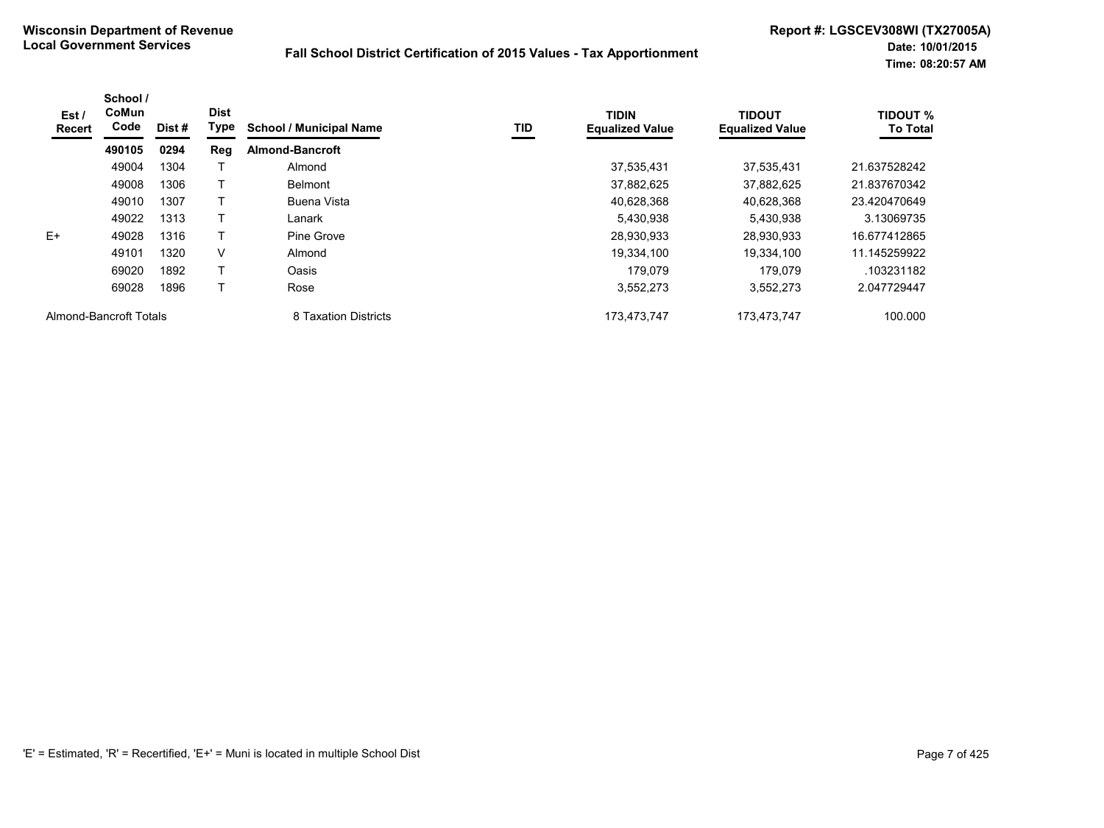| Est /<br>Recert        | School /<br>CoMun<br>Code | Dist # | <b>Dist</b><br>Type | <b>School / Municipal Name</b> | TID | <b>TIDIN</b><br><b>Equalized Value</b> | <b>TIDOUT</b><br><b>Equalized Value</b> | <b>TIDOUT %</b><br><b>To Total</b> |
|------------------------|---------------------------|--------|---------------------|--------------------------------|-----|----------------------------------------|-----------------------------------------|------------------------------------|
|                        | 490105                    | 0294   | Reg                 | <b>Almond-Bancroft</b>         |     |                                        |                                         |                                    |
|                        | 49004                     | 1304   |                     | Almond                         |     | 37,535,431                             | 37,535,431                              | 21.637528242                       |
|                        | 49008                     | 1306   |                     | <b>Belmont</b>                 |     | 37,882,625                             | 37,882,625                              | 21.837670342                       |
|                        | 49010                     | 1307   |                     | Buena Vista                    |     | 40,628,368                             | 40,628,368                              | 23.420470649                       |
|                        | 49022                     | 1313   |                     | Lanark                         |     | 5,430,938                              | 5,430,938                               | 3.13069735                         |
| $E+$                   | 49028                     | 1316   |                     | Pine Grove                     |     | 28,930,933                             | 28.930.933                              | 16.677412865                       |
|                        | 49101                     | 1320   | $\vee$              | Almond                         |     | 19,334,100                             | 19.334.100                              | 11.145259922                       |
|                        | 69020                     | 1892   | T                   | Oasis                          |     | 179.079                                | 179.079                                 | .103231182                         |
|                        | 69028                     | 1896   |                     | Rose                           |     | 3,552,273                              | 3,552,273                               | 2.047729447                        |
| Almond-Bancroft Totals |                           |        |                     | 8 Taxation Districts           |     | 173,473,747                            | 173,473,747                             | 100.000                            |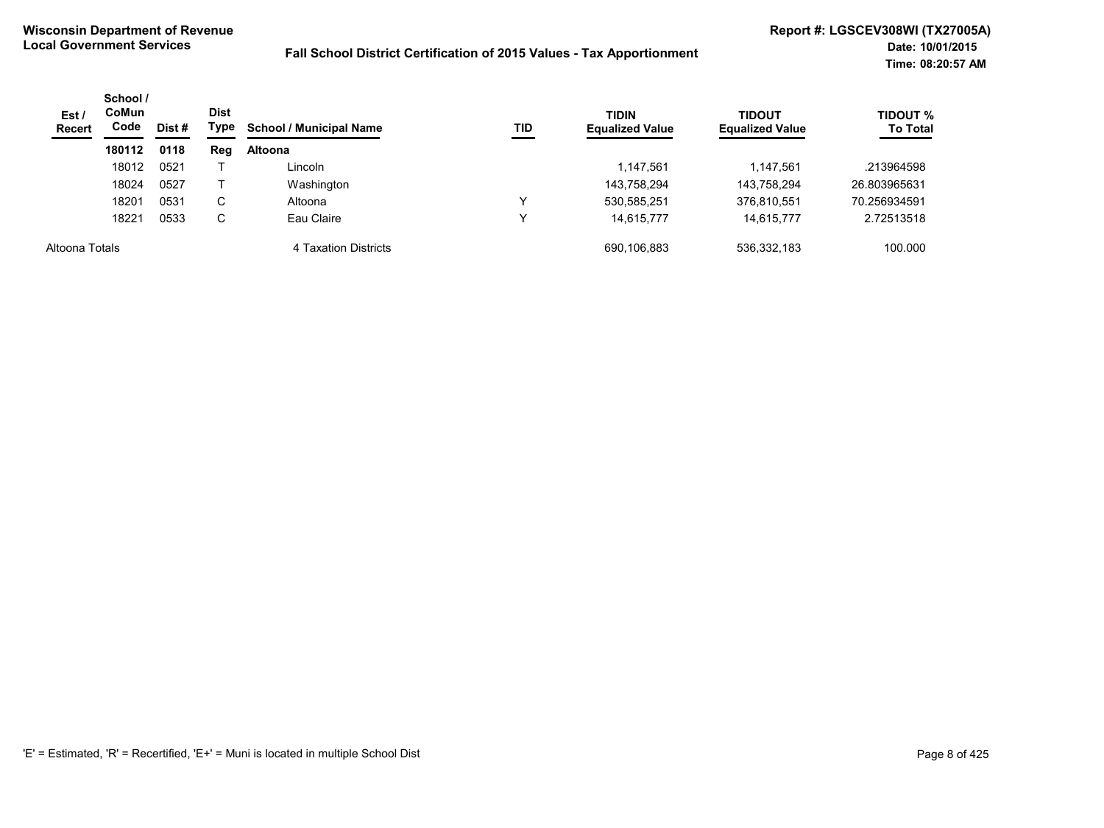| Est/<br><b>Recert</b> | School /<br><b>CoMun</b><br>Code | Dist # | <b>Dist</b><br>Type | <b>School / Municipal Name</b> | TID | <b>TIDIN</b><br><b>Equalized Value</b> | <b>TIDOUT</b><br><b>Equalized Value</b> | <b>TIDOUT %</b><br><b>To Total</b> |
|-----------------------|----------------------------------|--------|---------------------|--------------------------------|-----|----------------------------------------|-----------------------------------------|------------------------------------|
|                       | 180112                           | 0118   | Reg                 | <b>Altoona</b>                 |     |                                        |                                         |                                    |
|                       | 18012                            | 0521   |                     | Lincoln                        |     | 1,147,561                              | 1,147,561                               | .213964598                         |
|                       | 18024                            | 0527   |                     | Washington                     |     | 143,758,294                            | 143,758,294                             | 26.803965631                       |
|                       | 18201                            | 0531   | C                   | Altoona                        |     | 530,585,251                            | 376,810,551                             | 70.256934591                       |
|                       | 18221                            | 0533   | C                   | Eau Claire                     |     | 14.615.777                             | 14.615.777                              | 2.72513518                         |
| Altoona Totals        |                                  |        |                     | 4 Taxation Districts           |     | 690,106,883                            | 536,332,183                             | 100.000                            |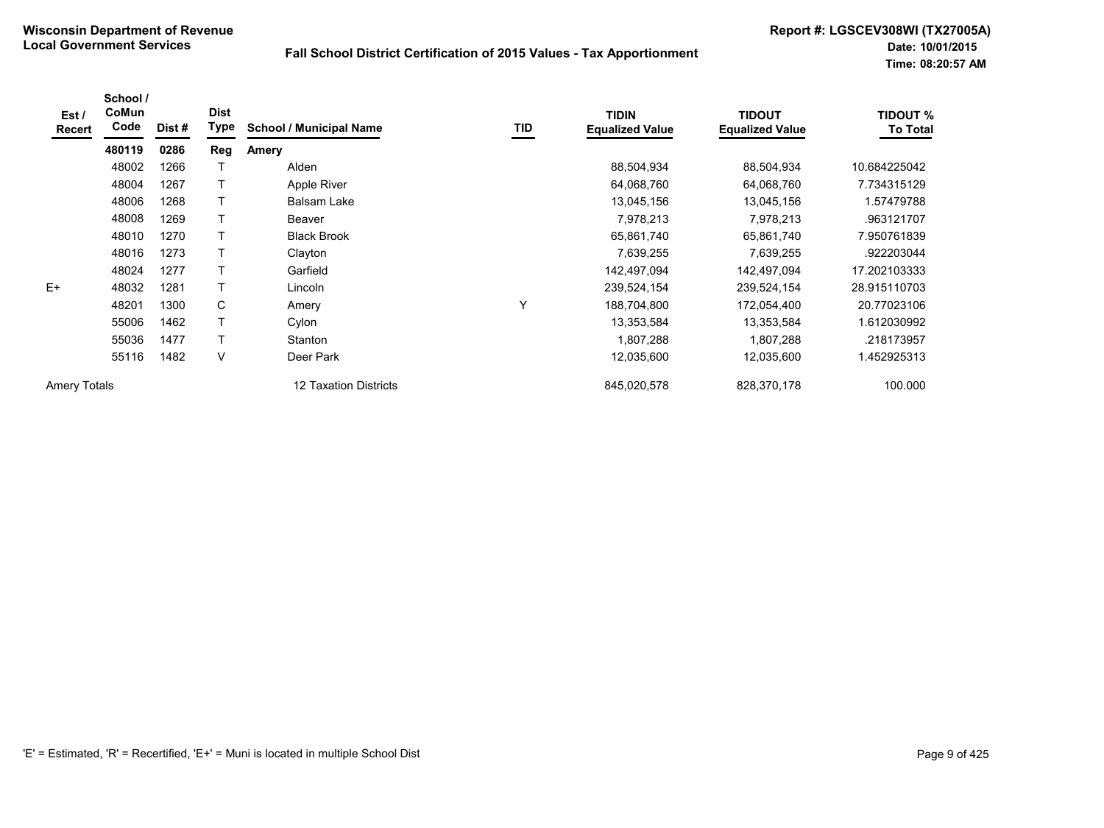| Est /<br>Recert     | School /<br>CoMun<br>Code | Dist# | <b>Dist</b><br>Type | <b>School / Municipal Name</b> | TID | <b>TIDIN</b><br><b>Equalized Value</b> | <b>TIDOUT</b><br><b>Equalized Value</b> | <b>TIDOUT %</b><br><b>To Total</b> |
|---------------------|---------------------------|-------|---------------------|--------------------------------|-----|----------------------------------------|-----------------------------------------|------------------------------------|
|                     | 480119                    | 0286  | <b>Reg</b>          | Amery                          |     |                                        |                                         |                                    |
|                     | 48002                     | 1266  |                     | Alden                          |     | 88,504,934                             | 88,504,934                              | 10.684225042                       |
|                     | 48004                     | 1267  | $\mathsf{T}$        | Apple River                    |     | 64,068,760                             | 64,068,760                              | 7.734315129                        |
|                     | 48006                     | 1268  |                     | <b>Balsam Lake</b>             |     | 13,045,156                             | 13,045,156                              | 1.57479788                         |
|                     | 48008                     | 1269  |                     | Beaver                         |     | 7,978,213                              | 7,978,213                               | .963121707                         |
|                     | 48010                     | 1270  |                     | <b>Black Brook</b>             |     | 65,861,740                             | 65,861,740                              | 7.950761839                        |
|                     | 48016                     | 1273  |                     | Clayton                        |     | 7,639,255                              | 7,639,255                               | .922203044                         |
|                     | 48024                     | 1277  |                     | Garfield                       |     | 142,497,094                            | 142,497,094                             | 17.202103333                       |
| $E+$                | 48032                     | 1281  |                     | Lincoln                        |     | 239,524,154                            | 239,524,154                             | 28.915110703                       |
|                     | 48201                     | 1300  | C                   | Amery                          | Υ   | 188,704,800                            | 172,054,400                             | 20.77023106                        |
|                     | 55006                     | 1462  |                     | Cylon                          |     | 13,353,584                             | 13,353,584                              | 1.612030992                        |
|                     | 55036                     | 1477  | $\top$              | Stanton                        |     | 1,807,288                              | 1,807,288                               | .218173957                         |
|                     | 55116                     | 1482  | V                   | Deer Park                      |     | 12,035,600                             | 12,035,600                              | 1.452925313                        |
| <b>Amery Totals</b> |                           |       |                     | 12 Taxation Districts          |     | 845,020,578                            | 828,370,178                             | 100.000                            |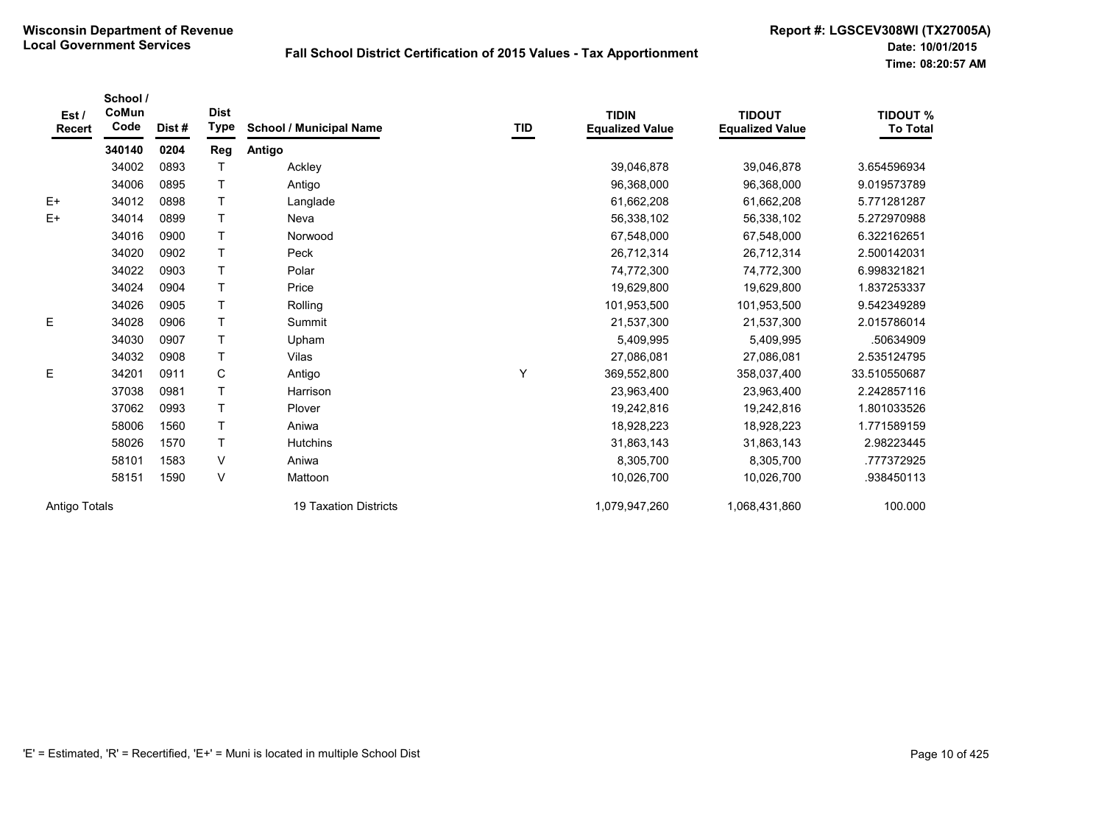| Est /<br><b>Recert</b> | School /<br>CoMun<br>Code | Dist # | <b>Dist</b><br><b>Type</b> | <b>School / Municipal Name</b> | TID | <b>TIDIN</b><br><b>Equalized Value</b> | <b>TIDOUT</b><br><b>Equalized Value</b> | <b>TIDOUT %</b><br><b>To Total</b> |
|------------------------|---------------------------|--------|----------------------------|--------------------------------|-----|----------------------------------------|-----------------------------------------|------------------------------------|
|                        | 340140                    | 0204   | Reg                        | Antigo                         |     |                                        |                                         |                                    |
|                        | 34002                     | 0893   |                            | Ackley                         |     | 39,046,878                             | 39,046,878                              | 3.654596934                        |
|                        | 34006                     | 0895   | T.                         | Antigo                         |     | 96,368,000                             | 96,368,000                              | 9.019573789                        |
| $E+$                   | 34012                     | 0898   | T                          | Langlade                       |     | 61,662,208                             | 61,662,208                              | 5.771281287                        |
| $E+$                   | 34014                     | 0899   | T.                         | Neva                           |     | 56,338,102                             | 56,338,102                              | 5.272970988                        |
|                        | 34016                     | 0900   | T                          | Norwood                        |     | 67,548,000                             | 67,548,000                              | 6.322162651                        |
|                        | 34020                     | 0902   | T.                         | Peck                           |     | 26,712,314                             | 26,712,314                              | 2.500142031                        |
|                        | 34022                     | 0903   | T.                         | Polar                          |     | 74,772,300                             | 74,772,300                              | 6.998321821                        |
|                        | 34024                     | 0904   | T.                         | Price                          |     | 19,629,800                             | 19,629,800                              | 1.837253337                        |
|                        | 34026                     | 0905   | T                          | Rolling                        |     | 101,953,500                            | 101,953,500                             | 9.542349289                        |
| Е                      | 34028                     | 0906   | T                          | Summit                         |     | 21,537,300                             | 21,537,300                              | 2.015786014                        |
|                        | 34030                     | 0907   | T                          | Upham                          |     | 5,409,995                              | 5,409,995                               | .50634909                          |
|                        | 34032                     | 0908   | T.                         | Vilas                          |     | 27,086,081                             | 27,086,081                              | 2.535124795                        |
| Е                      | 34201                     | 0911   | C                          | Antigo                         | Y   | 369,552,800                            | 358,037,400                             | 33.510550687                       |
|                        | 37038                     | 0981   | T                          | Harrison                       |     | 23,963,400                             | 23,963,400                              | 2.242857116                        |
|                        | 37062                     | 0993   | T.                         | Plover                         |     | 19,242,816                             | 19,242,816                              | 1.801033526                        |
|                        | 58006                     | 1560   | T                          | Aniwa                          |     | 18,928,223                             | 18,928,223                              | 1.771589159                        |
|                        | 58026                     | 1570   | T.                         | <b>Hutchins</b>                |     | 31,863,143                             | 31,863,143                              | 2.98223445                         |
|                        | 58101                     | 1583   | V                          | Aniwa                          |     | 8,305,700                              | 8,305,700                               | .777372925                         |
|                        | 58151                     | 1590   | V                          | Mattoon                        |     | 10,026,700                             | 10,026,700                              | .938450113                         |
| Antigo Totals          |                           |        |                            | <b>19 Taxation Districts</b>   |     | 1,079,947,260                          | 1,068,431,860                           | 100.000                            |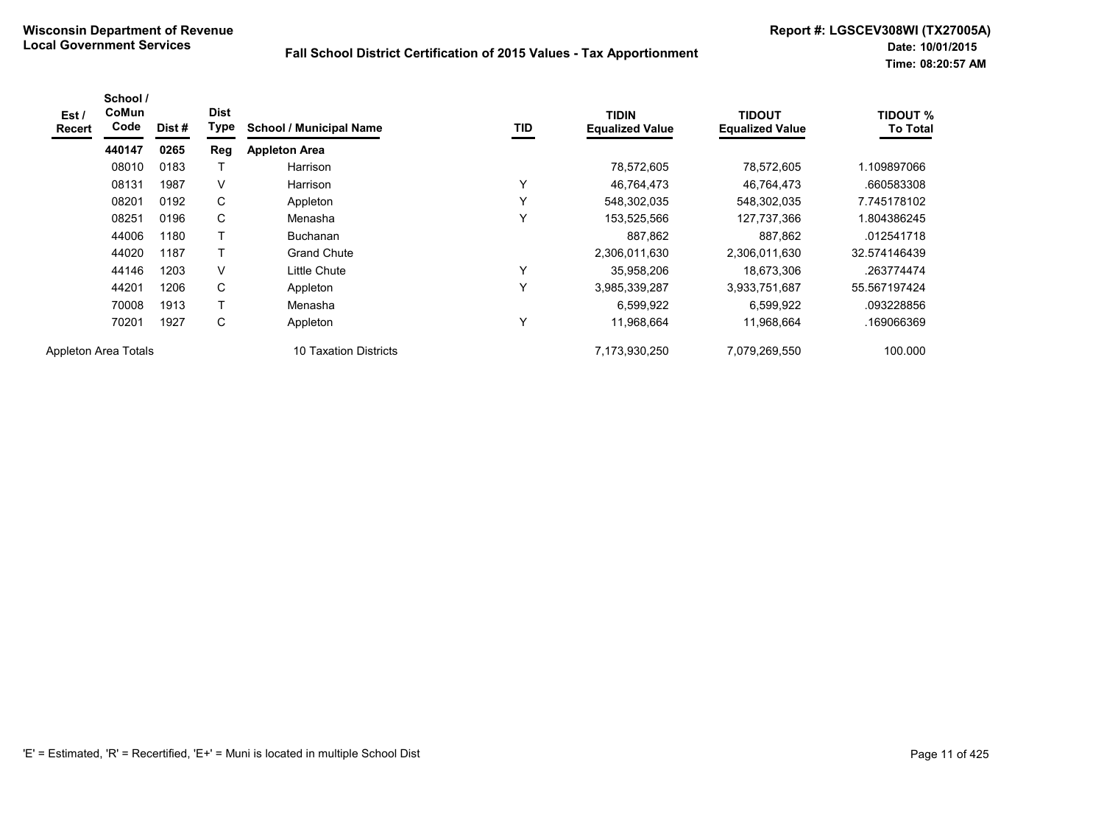| Est /<br>Recert      | School /<br>CoMun<br>Code | Dist# | <b>Dist</b><br>Type | <b>School / Municipal Name</b> | <b>TID</b>   | <b>TIDIN</b><br><b>Equalized Value</b> | <b>TIDOUT</b><br><b>Equalized Value</b> | <b>TIDOUT %</b><br><b>To Total</b> |
|----------------------|---------------------------|-------|---------------------|--------------------------------|--------------|----------------------------------------|-----------------------------------------|------------------------------------|
|                      | 440147                    | 0265  | Reg                 | <b>Appleton Area</b>           |              |                                        |                                         |                                    |
|                      | 08010                     | 0183  |                     | Harrison                       |              | 78,572,605                             | 78,572,605                              | 1.109897066                        |
|                      | 08131                     | 1987  | V                   | Harrison                       | Y            | 46.764.473                             | 46.764.473                              | .660583308                         |
|                      | 08201                     | 0192  | C                   | Appleton                       | Υ            | 548,302,035                            | 548,302,035                             | 7.745178102                        |
|                      | 08251                     | 0196  | C                   | Menasha                        | v            | 153,525,566                            | 127,737,366                             | 804386245                          |
|                      | 44006                     | 1180  | т                   | <b>Buchanan</b>                |              | 887,862                                | 887,862                                 | .012541718                         |
|                      | 44020                     | 1187  |                     | <b>Grand Chute</b>             |              | 2,306,011,630                          | 2,306,011,630                           | 32.574146439                       |
|                      | 44146                     | 1203  | V                   | Little Chute                   | Υ            | 35,958,206                             | 18,673,306                              | .263774474                         |
|                      | 44201                     | 1206  | C                   | Appleton                       | $\checkmark$ | 3,985,339,287                          | 3,933,751,687                           | 55.567197424                       |
|                      | 70008                     | 1913  |                     | Menasha                        |              | 6,599,922                              | 6,599,922                               | .093228856                         |
|                      | 70201                     | 1927  | C                   | Appleton                       | Υ            | 11,968,664                             | 11,968,664                              | .169066369                         |
| Appleton Area Totals |                           |       |                     | 10 Taxation Districts          |              | 7,173,930,250                          | 7,079,269,550                           | 100.000                            |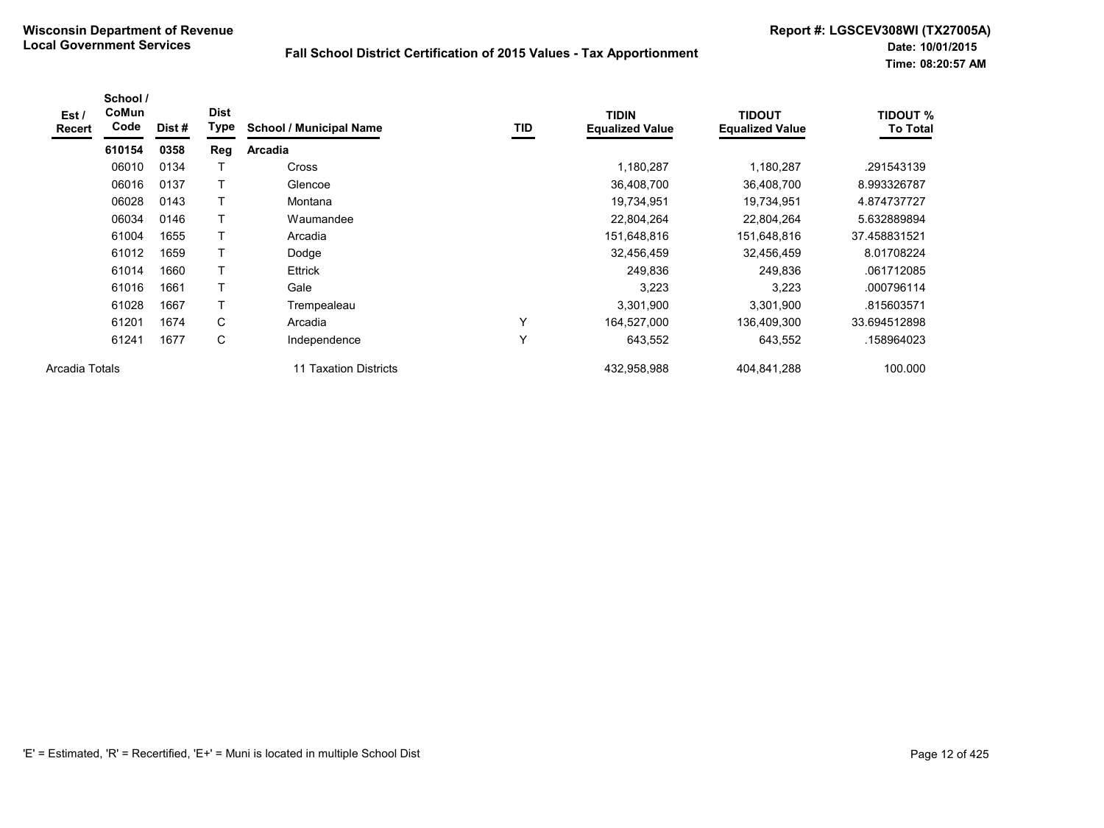| Est /<br><b>Recert</b> | School /<br>CoMun<br>Code | Dist# | <b>Dist</b><br>Type | <b>School / Municipal Name</b> | TID | <b>TIDIN</b><br><b>Equalized Value</b> | <b>TIDOUT</b><br><b>Equalized Value</b> | <b>TIDOUT %</b><br><b>To Total</b> |
|------------------------|---------------------------|-------|---------------------|--------------------------------|-----|----------------------------------------|-----------------------------------------|------------------------------------|
|                        | 610154                    | 0358  | Reg                 | <b>Arcadia</b>                 |     |                                        |                                         |                                    |
|                        | 06010                     | 0134  |                     | <b>Cross</b>                   |     | 1,180,287                              | 1,180,287                               | .291543139                         |
|                        | 06016                     | 0137  |                     | Glencoe                        |     | 36,408,700                             | 36,408,700                              | 8.993326787                        |
|                        | 06028                     | 0143  | T                   | Montana                        |     | 19,734,951                             | 19,734,951                              | 4.874737727                        |
|                        | 06034                     | 0146  |                     | Waumandee                      |     | 22,804,264                             | 22,804,264                              | 5.632889894                        |
|                        | 61004                     | 1655  |                     | Arcadia                        |     | 151,648,816                            | 151,648,816                             | 37.458831521                       |
|                        | 61012                     | 1659  |                     | Dodge                          |     | 32,456,459                             | 32,456,459                              | 8.01708224                         |
|                        | 61014                     | 1660  |                     | <b>Ettrick</b>                 |     | 249,836                                | 249,836                                 | .061712085                         |
|                        | 61016                     | 1661  |                     | Gale                           |     | 3,223                                  | 3,223                                   | .000796114                         |
|                        | 61028                     | 1667  |                     | Trempealeau                    |     | 3,301,900                              | 3,301,900                               | .815603571                         |
|                        | 61201                     | 1674  | C                   | Arcadia                        | Υ   | 164,527,000                            | 136,409,300                             | 33.694512898                       |
|                        | 61241                     | 1677  | C                   | Independence                   | v   | 643,552                                | 643,552                                 | 158964023                          |
| Arcadia Totals         |                           |       |                     | 11 Taxation Districts          |     | 432,958,988                            | 404,841,288                             | 100.000                            |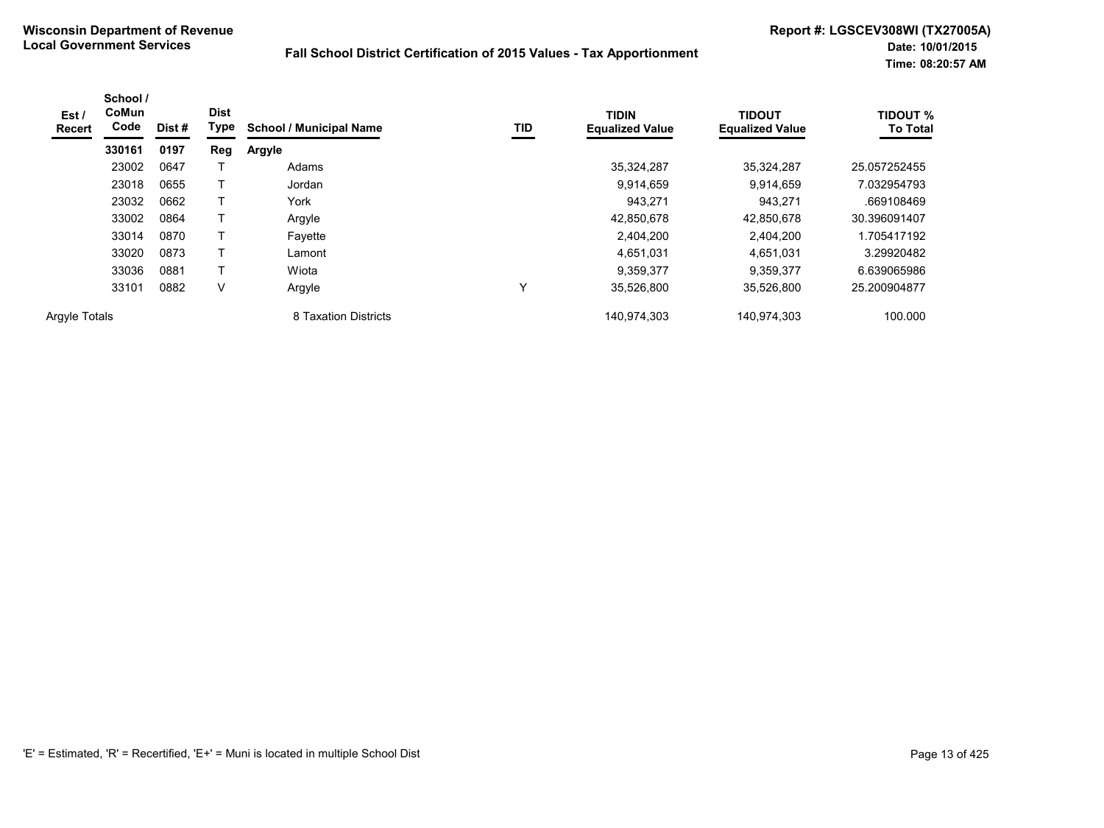| Est /<br><b>Recert</b> | School /<br>CoMun<br>Code | Dist # | <b>Dist</b><br>Type | <b>School / Municipal Name</b> | TID | <b>TIDIN</b><br><b>Equalized Value</b> | <b>TIDOUT</b><br><b>Equalized Value</b> | <b>TIDOUT %</b><br><b>To Total</b> |
|------------------------|---------------------------|--------|---------------------|--------------------------------|-----|----------------------------------------|-----------------------------------------|------------------------------------|
|                        | 330161                    | 0197   | Reg                 | <b>Argyle</b>                  |     |                                        |                                         |                                    |
|                        | 23002                     | 0647   |                     | Adams                          |     | 35,324,287                             | 35,324,287                              | 25.057252455                       |
|                        | 23018                     | 0655   |                     | Jordan                         |     | 9,914,659                              | 9,914,659                               | 7.032954793                        |
|                        | 23032                     | 0662   |                     | York                           |     | 943.271                                | 943,271                                 | .669108469                         |
|                        | 33002                     | 0864   |                     | Argyle                         |     | 42,850,678                             | 42,850,678                              | 30.396091407                       |
|                        | 33014                     | 0870   |                     | Favette                        |     | 2,404,200                              | 2,404,200                               | 1.705417192                        |
|                        | 33020                     | 0873   |                     | Lamont                         |     | 4,651,031                              | 4,651,031                               | 3.29920482                         |
|                        | 33036                     | 0881   |                     | Wiota                          |     | 9,359,377                              | 9.359.377                               | 6.639065986                        |
|                        | 33101                     | 0882   | V                   | Argyle                         | ٧   | 35,526,800                             | 35.526.800                              | 25.200904877                       |
| <b>Argyle Totals</b>   |                           |        |                     | 8 Taxation Districts           |     | 140,974,303                            | 140,974,303                             | 100.000                            |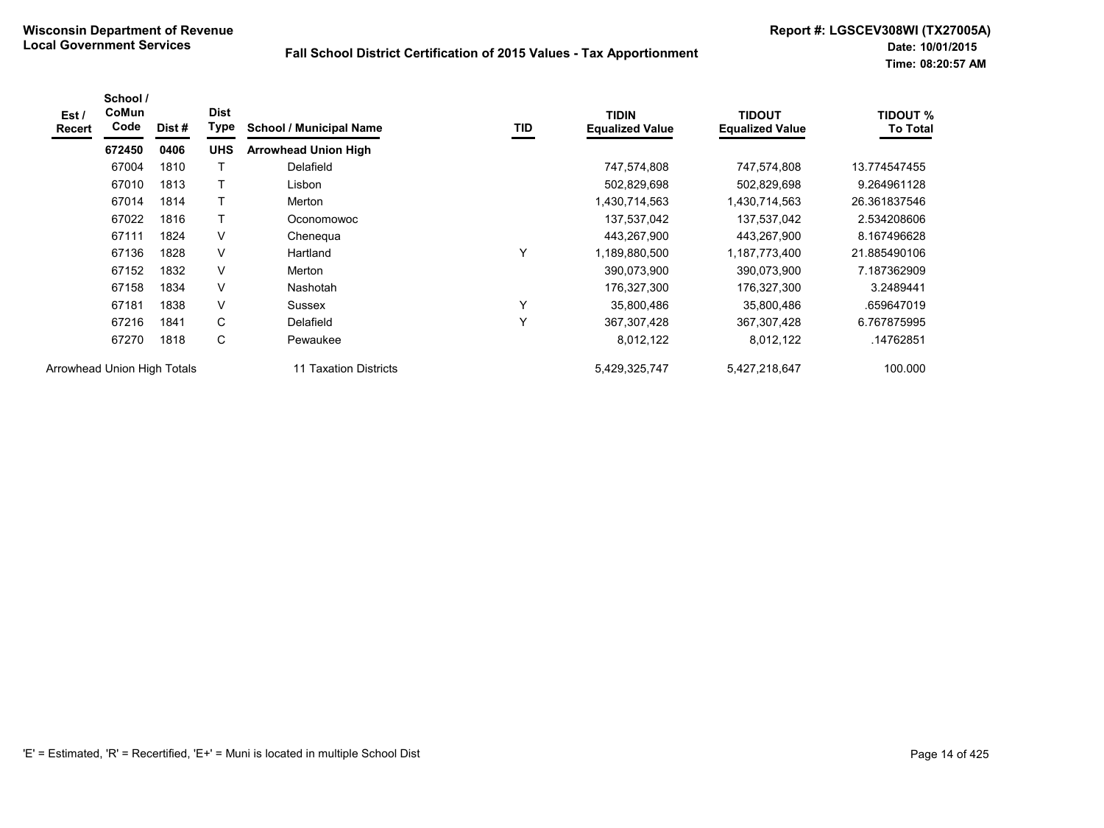| Est /<br><b>Recert</b> | School /<br><b>CoMun</b><br>Code | Dist# | <b>Dist</b><br>Type | <b>School / Municipal Name</b> | TID | <b>TIDIN</b><br><b>Equalized Value</b> | <b>TIDOUT</b><br><b>Equalized Value</b> | <b>TIDOUT %</b><br><b>To Total</b> |
|------------------------|----------------------------------|-------|---------------------|--------------------------------|-----|----------------------------------------|-----------------------------------------|------------------------------------|
|                        | 672450                           | 0406  | <b>UHS</b>          | <b>Arrowhead Union High</b>    |     |                                        |                                         |                                    |
|                        | 67004                            | 1810  |                     | Delafield                      |     | 747,574,808                            | 747,574,808                             | 13.774547455                       |
|                        | 67010                            | 1813  |                     | Lisbon                         |     | 502,829,698                            | 502,829,698                             | 9.264961128                        |
|                        | 67014                            | 1814  | $\mathsf{T}$        | Merton                         |     | 1,430,714,563                          | 1,430,714,563                           | 26.361837546                       |
|                        | 67022                            | 1816  | $\mathsf{T}$        | Oconomowoc                     |     | 137,537,042                            | 137,537,042                             | 2.534208606                        |
|                        | 67111                            | 1824  | V                   | Chenegua                       |     | 443,267,900                            | 443,267,900                             | 8.167496628                        |
|                        | 67136                            | 1828  | V                   | Hartland                       | Υ   | 1,189,880,500                          | 1,187,773,400                           | 21.885490106                       |
|                        | 67152                            | 1832  | V                   | Merton                         |     | 390,073,900                            | 390,073,900                             | 7.187362909                        |
|                        | 67158                            | 1834  | V                   | Nashotah                       |     | 176,327,300                            | 176,327,300                             | 3.2489441                          |
|                        | 67181                            | 1838  | V                   | Sussex                         | Y   | 35,800,486                             | 35,800,486                              | .659647019                         |
|                        | 67216                            | 1841  | C                   | Delafield                      | Y   | 367,307,428                            | 367, 307, 428                           | 6.767875995                        |
|                        | 67270                            | 1818  | С                   | Pewaukee                       |     | 8,012,122                              | 8,012,122                               | .14762851                          |
|                        | Arrowhead Union High Totals      |       |                     | 11 Taxation Districts          |     | 5,429,325,747                          | 5,427,218,647                           | 100.000                            |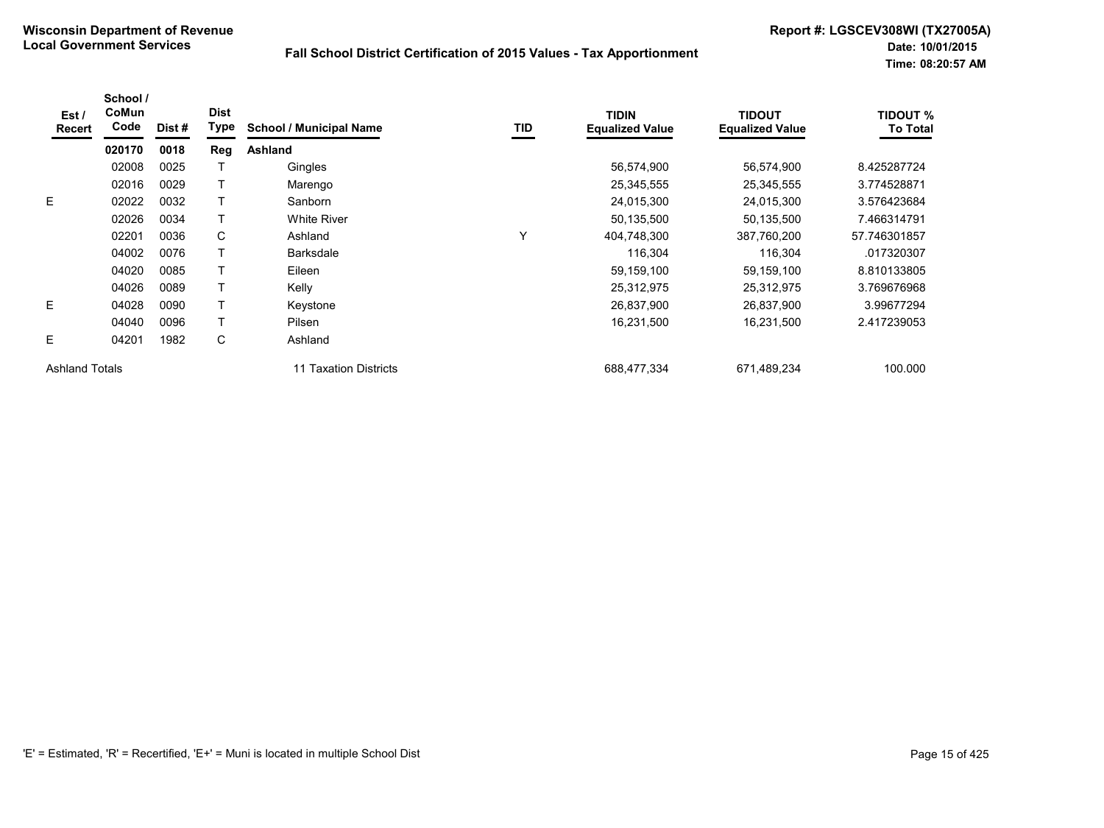| Est /<br><b>Recert</b> | School /<br>CoMun<br>Code | Dist# | <b>Dist</b><br>Type | <b>School / Municipal Name</b> | TID | <b>TIDIN</b><br><b>Equalized Value</b> | <b>TIDOUT</b><br><b>Equalized Value</b> | <b>TIDOUT %</b><br><b>To Total</b> |
|------------------------|---------------------------|-------|---------------------|--------------------------------|-----|----------------------------------------|-----------------------------------------|------------------------------------|
|                        | 020170                    | 0018  | Reg                 | Ashland                        |     |                                        |                                         |                                    |
|                        | 02008                     | 0025  |                     | Gingles                        |     | 56,574,900                             | 56,574,900                              | 8.425287724                        |
|                        | 02016                     | 0029  |                     | Marengo                        |     | 25,345,555                             | 25,345,555                              | 3.774528871                        |
| E                      | 02022                     | 0032  |                     | Sanborn                        |     | 24,015,300                             | 24,015,300                              | 3.576423684                        |
|                        | 02026                     | 0034  |                     | <b>White River</b>             |     | 50,135,500                             | 50,135,500                              | 7.466314791                        |
|                        | 02201                     | 0036  | C                   | Ashland                        | Υ   | 404,748,300                            | 387,760,200                             | 57.746301857                       |
|                        | 04002                     | 0076  |                     | <b>Barksdale</b>               |     | 116,304                                | 116,304                                 | .017320307                         |
|                        | 04020                     | 0085  |                     | Eileen                         |     | 59,159,100                             | 59,159,100                              | 8.810133805                        |
|                        | 04026                     | 0089  |                     | Kelly                          |     | 25,312,975                             | 25,312,975                              | 3.769676968                        |
| E                      | 04028                     | 0090  |                     | Keystone                       |     | 26,837,900                             | 26,837,900                              | 3.99677294                         |
|                        | 04040                     | 0096  |                     | Pilsen                         |     | 16,231,500                             | 16,231,500                              | 2.417239053                        |
| E                      | 04201                     | 1982  | C                   | Ashland                        |     |                                        |                                         |                                    |
| <b>Ashland Totals</b>  |                           |       |                     | 11 Taxation Districts          |     | 688.477.334                            | 671,489,234                             | 100.000                            |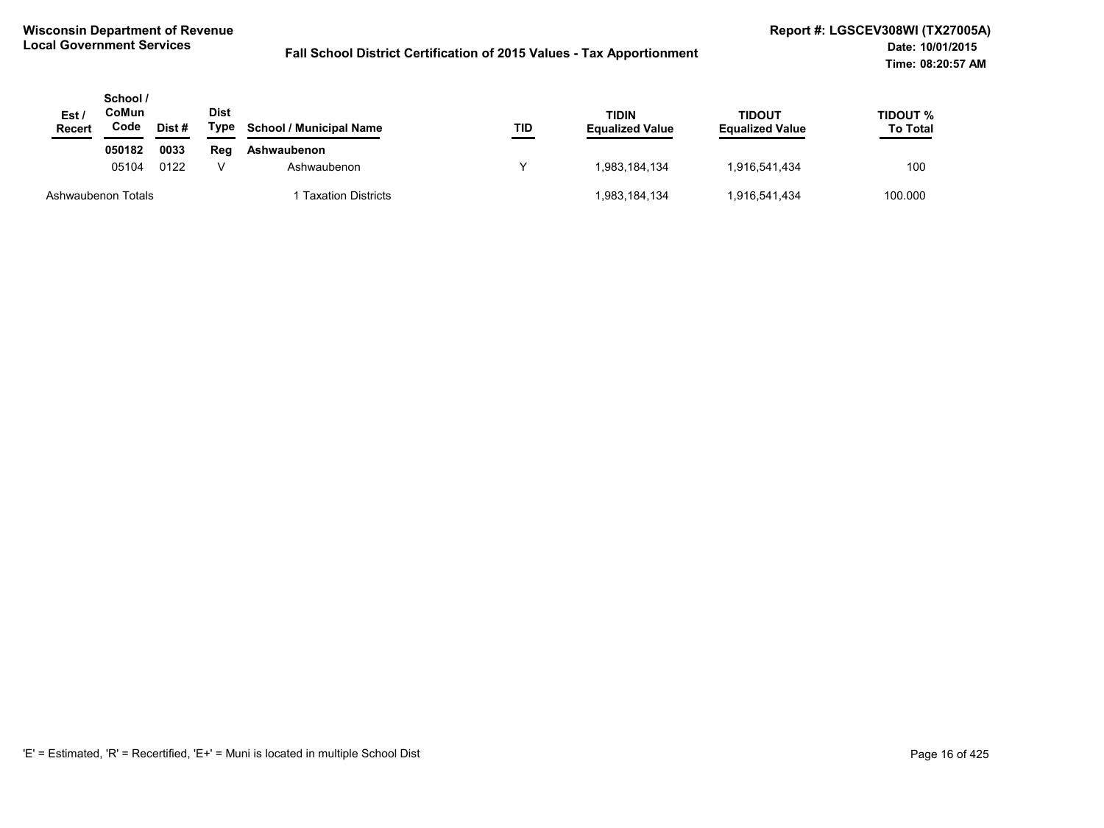| Est /<br><b>Recert</b> | School /<br>CoMun<br>Code | Dist # | <b>Dist</b><br>Type | <b>School / Municipal Name</b> | TID           | <b>TIDIN</b><br><b>Equalized Value</b> | <b>TIDOUT</b><br><b>Equalized Value</b> | TIDOUT %<br><b>To Total</b> |
|------------------------|---------------------------|--------|---------------------|--------------------------------|---------------|----------------------------------------|-----------------------------------------|-----------------------------|
|                        | 050182                    | 0033   | Reg                 | Ashwaubenon                    | 1,983,184,134 | 1,916,541,434                          | 100                                     |                             |
|                        | 05104<br>0122             |        | Ashwaubenon         |                                |               |                                        |                                         |                             |
|                        | Ashwaubenon Totals        |        |                     | <b>Taxation Districts</b>      |               | 1,983,184,134                          | 1,916,541,434                           | 100.000                     |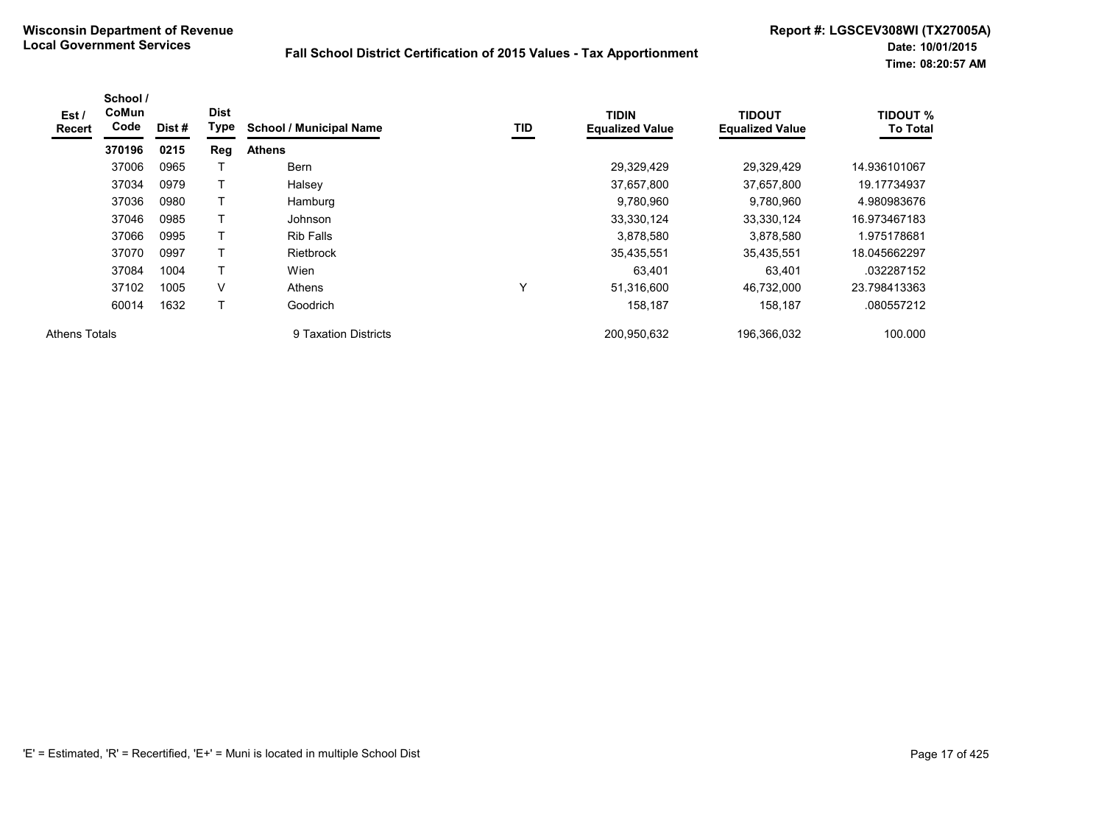| Est /<br>Recert      | School /<br>CoMun<br>Code | Dist# | <b>Dist</b><br>Type | <b>School / Municipal Name</b> | TID          | <b>TIDIN</b><br><b>Equalized Value</b> | <b>TIDOUT</b><br><b>Equalized Value</b> | <b>TIDOUT %</b><br><b>To Total</b> |
|----------------------|---------------------------|-------|---------------------|--------------------------------|--------------|----------------------------------------|-----------------------------------------|------------------------------------|
|                      | 370196                    | 0215  | Reg                 | <b>Athens</b>                  |              |                                        |                                         |                                    |
|                      | 37006                     | 0965  |                     | <b>Bern</b>                    |              | 29,329,429                             | 29,329,429                              | 14.936101067                       |
|                      | 37034                     | 0979  |                     | Halsey                         |              | 37,657,800                             | 37,657,800                              | 19.17734937                        |
|                      | 37036                     | 0980  |                     | Hamburg                        |              | 9,780,960                              | 9,780,960                               | 4.980983676                        |
|                      | 37046                     | 0985  |                     | Johnson                        |              | 33,330,124                             | 33,330,124                              | 16.973467183                       |
|                      | 37066                     | 0995  | T                   | <b>Rib Falls</b>               |              | 3,878,580                              | 3,878,580                               | 975178681. ا                       |
|                      | 37070                     | 0997  |                     | Rietbrock                      |              | 35,435,551                             | 35,435,551                              | 18.045662297                       |
|                      | 37084                     | 1004  | T                   | Wien                           |              | 63.401                                 | 63,401                                  | .032287152                         |
|                      | 37102                     | 1005  | V                   | Athens                         | $\checkmark$ | 51,316,600                             | 46,732,000                              | 23.798413363                       |
|                      | 60014                     | 1632  | T                   | Goodrich                       |              | 158,187                                | 158,187                                 | .080557212                         |
| <b>Athens Totals</b> |                           |       |                     | 9 Taxation Districts           |              | 200,950,632                            | 196,366,032                             | 100.000                            |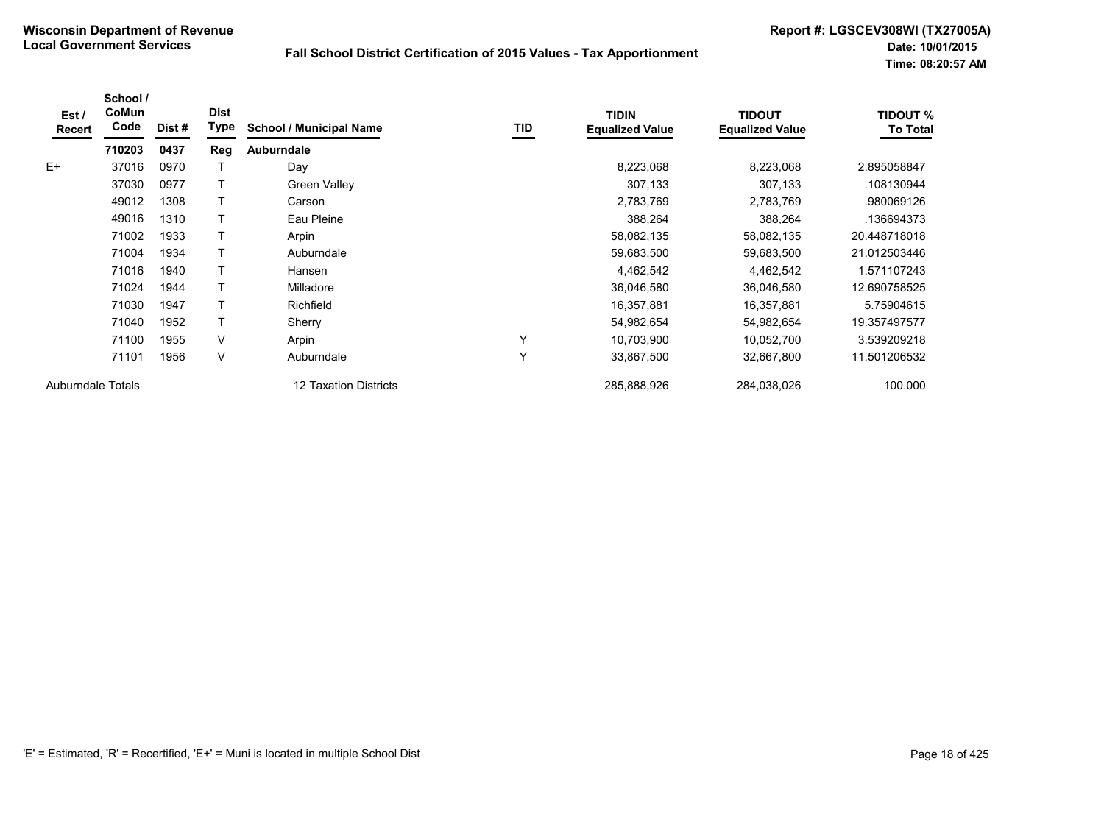| Est /<br>Recert          | School /<br>CoMun<br>Code | Dist # | <b>Dist</b><br>Type | <b>School / Municipal Name</b> | TID | <b>TIDIN</b><br><b>Equalized Value</b> | <b>TIDOUT</b><br><b>Equalized Value</b> | <b>TIDOUT %</b><br><b>To Total</b> |
|--------------------------|---------------------------|--------|---------------------|--------------------------------|-----|----------------------------------------|-----------------------------------------|------------------------------------|
|                          | 710203                    | 0437   | Reg                 | <b>Auburndale</b>              |     |                                        |                                         |                                    |
| $E+$                     | 37016                     | 0970   |                     | Day                            |     | 8,223,068                              | 8,223,068                               | 2.895058847                        |
|                          | 37030                     | 0977   |                     | <b>Green Valley</b>            |     | 307,133                                | 307,133                                 | .108130944                         |
|                          | 49012                     | 1308   |                     | Carson                         |     | 2,783,769                              | 2,783,769                               | .980069126                         |
|                          | 49016                     | 1310   |                     | Eau Pleine                     |     | 388,264                                | 388,264                                 | .136694373                         |
|                          | 71002                     | 1933   |                     | Arpin                          |     | 58,082,135                             | 58,082,135                              | 20.448718018                       |
|                          | 71004                     | 1934   |                     | Auburndale                     |     | 59,683,500                             | 59,683,500                              | 21.012503446                       |
|                          | 71016                     | 1940   |                     | Hansen                         |     | 4,462,542                              | 4,462,542                               | 1.571107243                        |
|                          | 71024                     | 1944   |                     | Milladore                      |     | 36,046,580                             | 36,046,580                              | 12.690758525                       |
|                          | 71030                     | 1947   | т                   | Richfield                      |     | 16,357,881                             | 16,357,881                              | 5.75904615                         |
|                          | 71040                     | 1952   | Т                   | Sherry                         |     | 54,982,654                             | 54,982,654                              | 19.357497577                       |
|                          | 71100                     | 1955   | V                   | Arpin                          | Υ   | 10,703,900                             | 10,052,700                              | 3.539209218                        |
|                          | 71101                     | 1956   | $\vee$              | Auburndale                     | Y   | 33,867,500                             | 32,667,800                              | 11.501206532                       |
| <b>Auburndale Totals</b> |                           |        |                     | 12 Taxation Districts          |     | 285,888,926                            | 284,038,026                             | 100.000                            |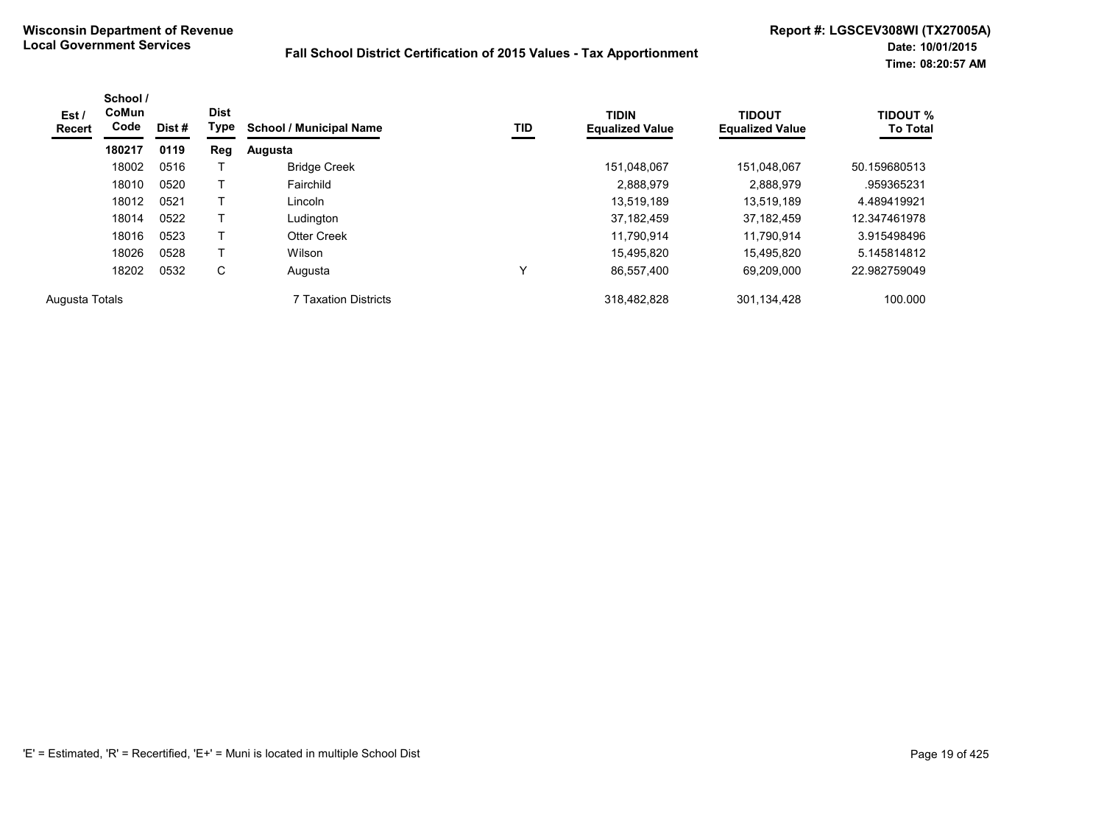| Est /<br><b>Recert</b> | School /<br><b>CoMun</b><br>Code | Dist # | <b>Dist</b><br>Type | <b>School / Municipal Name</b> | <b>TID</b> | <b>TIDIN</b><br><b>Equalized Value</b> | <b>TIDOUT</b><br><b>Equalized Value</b> | <b>TIDOUT %</b><br><b>To Total</b> |
|------------------------|----------------------------------|--------|---------------------|--------------------------------|------------|----------------------------------------|-----------------------------------------|------------------------------------|
|                        | 180217                           | 0119   | Reg                 | Augusta                        |            |                                        |                                         |                                    |
|                        | 18002                            | 0516   |                     | <b>Bridge Creek</b>            |            | 151,048,067                            | 151.048.067                             | 50.159680513                       |
|                        | 18010                            | 0520   |                     | Fairchild                      |            | 2,888,979                              | 2,888,979                               | .959365231                         |
|                        | 18012                            | 0521   |                     | Lincoln                        |            | 13.519.189                             | 13.519.189                              | 4.489419921                        |
|                        | 18014                            | 0522   |                     | Ludington                      |            | 37,182,459                             | 37.182.459                              | 12.347461978                       |
|                        | 18016                            | 0523   |                     | <b>Otter Creek</b>             |            | 11.790.914                             | 11.790.914                              | 3.915498496                        |
|                        | 18026                            | 0528   | т                   | Wilson                         |            | 15,495,820                             | 15.495.820                              | 5.145814812                        |
|                        | 18202                            | 0532   | C                   | Augusta                        | Υ          | 86,557,400                             | 69.209.000                              | 22.982759049                       |
| Augusta Totals         |                                  |        |                     | 7 Taxation Districts           |            | 318,482,828                            | 301,134,428                             | 100.000                            |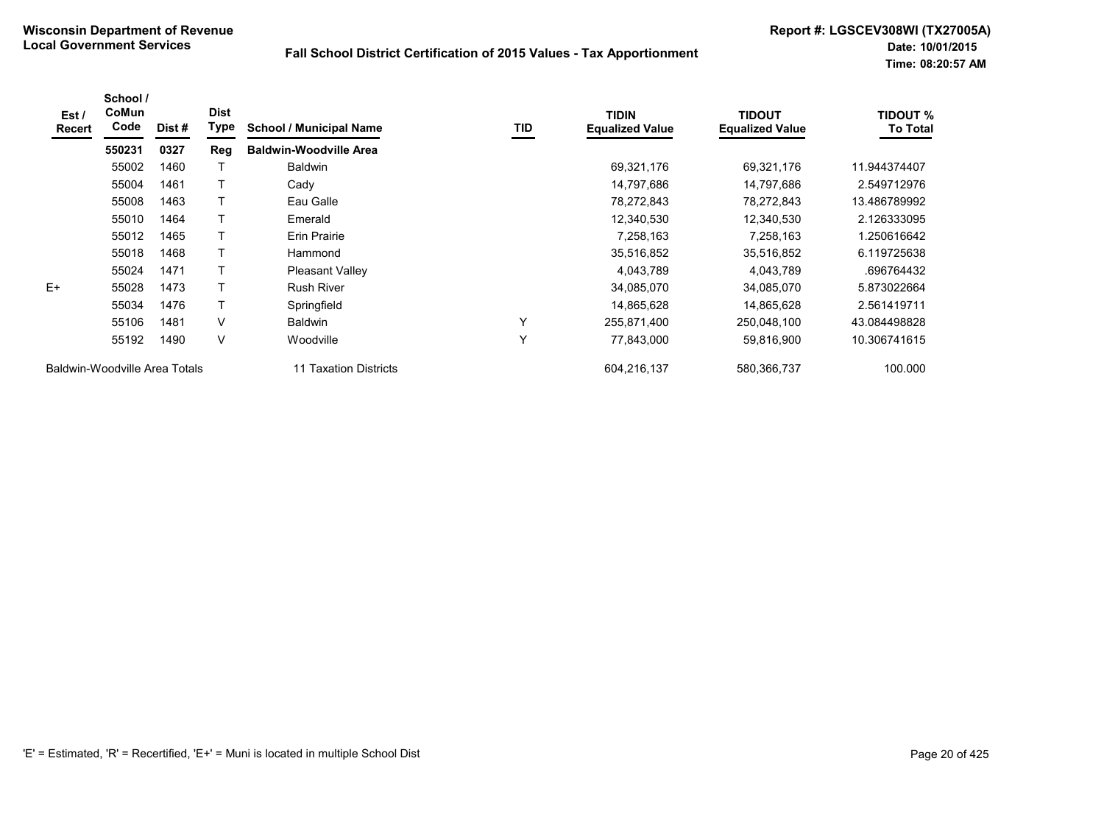| Est /<br><b>Recert</b> | School /<br>CoMun<br>Code     | Dist # | <b>Dist</b><br>Type | <b>School / Municipal Name</b> | TID | <b>TIDIN</b><br><b>Equalized Value</b> | <b>TIDOUT</b><br><b>Equalized Value</b> | <b>TIDOUT %</b><br><b>To Total</b> |
|------------------------|-------------------------------|--------|---------------------|--------------------------------|-----|----------------------------------------|-----------------------------------------|------------------------------------|
|                        | 550231                        | 0327   | Reg                 | <b>Baldwin-Woodville Area</b>  |     |                                        |                                         |                                    |
|                        | 55002                         | 1460   |                     | <b>Baldwin</b>                 |     | 69,321,176                             | 69,321,176                              | 11.944374407                       |
|                        | 55004                         | 1461   |                     | Cady                           |     | 14,797,686                             | 14,797,686                              | 2.549712976                        |
|                        | 55008                         | 1463   |                     | Eau Galle                      |     | 78,272,843                             | 78,272,843                              | 13.486789992                       |
|                        | 55010                         | 1464   |                     | Emerald                        |     | 12,340,530                             | 12,340,530                              | 2.126333095                        |
|                        | 55012                         | 1465   |                     | Erin Prairie                   |     | 7,258,163                              | 7,258,163                               | 1.250616642                        |
|                        | 55018                         | 1468   | Т                   | Hammond                        |     | 35,516,852                             | 35,516,852                              | 6.119725638                        |
|                        | 55024                         | 1471   |                     | <b>Pleasant Valley</b>         |     | 4,043,789                              | 4,043,789                               | .696764432                         |
| E+                     | 55028                         | 1473   |                     | <b>Rush River</b>              |     | 34,085,070                             | 34,085,070                              | 5.873022664                        |
|                        | 55034                         | 1476   |                     | Springfield                    |     | 14,865,628                             | 14,865,628                              | 2.561419711                        |
|                        | 55106                         | 1481   | $\vee$              | <b>Baldwin</b>                 | Y   | 255,871,400                            | 250,048,100                             | 43.084498828                       |
|                        | 55192                         | 1490   | $\vee$              | Woodville                      | Y   | 77,843,000                             | 59,816,900                              | 10.306741615                       |
|                        | Baldwin-Woodville Area Totals |        |                     | 11 Taxation Districts          |     | 604,216,137                            | 580,366,737                             | 100.000                            |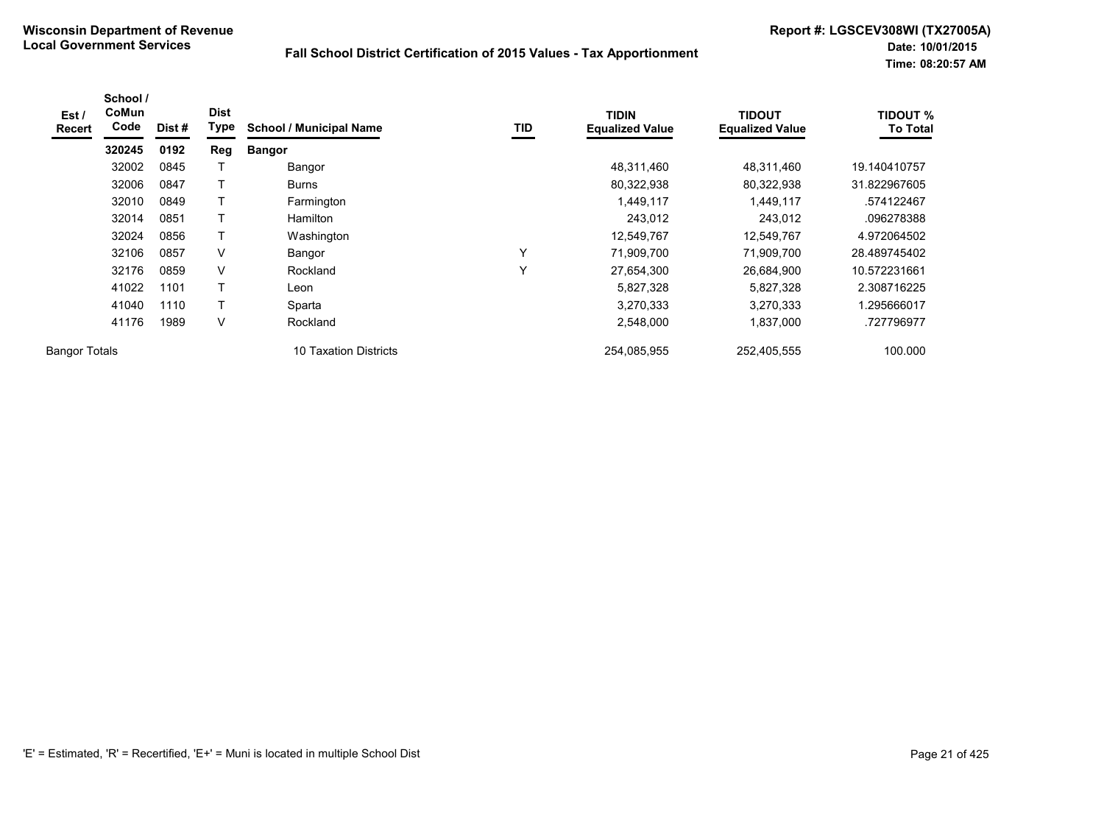| Est /<br><b>Recert</b> | School /<br>CoMun<br>Code | Dist # | <b>Dist</b><br>Type | <b>School / Municipal Name</b> | TID | <b>TIDIN</b><br><b>Equalized Value</b> | <b>TIDOUT</b><br><b>Equalized Value</b> | <b>TIDOUT %</b><br><b>To Total</b> |
|------------------------|---------------------------|--------|---------------------|--------------------------------|-----|----------------------------------------|-----------------------------------------|------------------------------------|
|                        | 320245                    | 0192   | Reg                 | <b>Bangor</b>                  |     |                                        |                                         |                                    |
|                        | 32002                     | 0845   |                     | Bangor                         |     | 48,311,460                             | 48,311,460                              | 19.140410757                       |
|                        | 32006                     | 0847   |                     | <b>Burns</b>                   |     | 80,322,938                             | 80,322,938                              | 31.822967605                       |
|                        | 32010                     | 0849   |                     | Farmington                     |     | 1,449,117                              | 1,449,117                               | .574122467                         |
|                        | 32014                     | 0851   | $\mathsf{T}$        | <b>Hamilton</b>                |     | 243,012                                | 243,012                                 | .096278388                         |
|                        | 32024                     | 0856   | Τ                   | Washington                     |     | 12,549,767                             | 12,549,767                              | 4.972064502                        |
|                        | 32106                     | 0857   | V                   | Bangor                         | Υ   | 71,909,700                             | 71,909,700                              | 28.489745402                       |
|                        | 32176                     | 0859   | V                   | Rockland                       | Y   | 27,654,300                             | 26,684,900                              | 10.572231661                       |
|                        | 41022                     | 1101   | Τ                   | Leon                           |     | 5,827,328                              | 5,827,328                               | 2.308716225                        |
|                        | 41040                     | 1110   | T                   | Sparta                         |     | 3,270,333                              | 3,270,333                               | 1.295666017                        |
|                        | 41176                     | 1989   | V                   | Rockland                       |     | 2,548,000                              | 1,837,000                               | .727796977                         |
| <b>Bangor Totals</b>   |                           |        |                     | 10 Taxation Districts          |     | 254,085,955                            | 252,405,555                             | 100.000                            |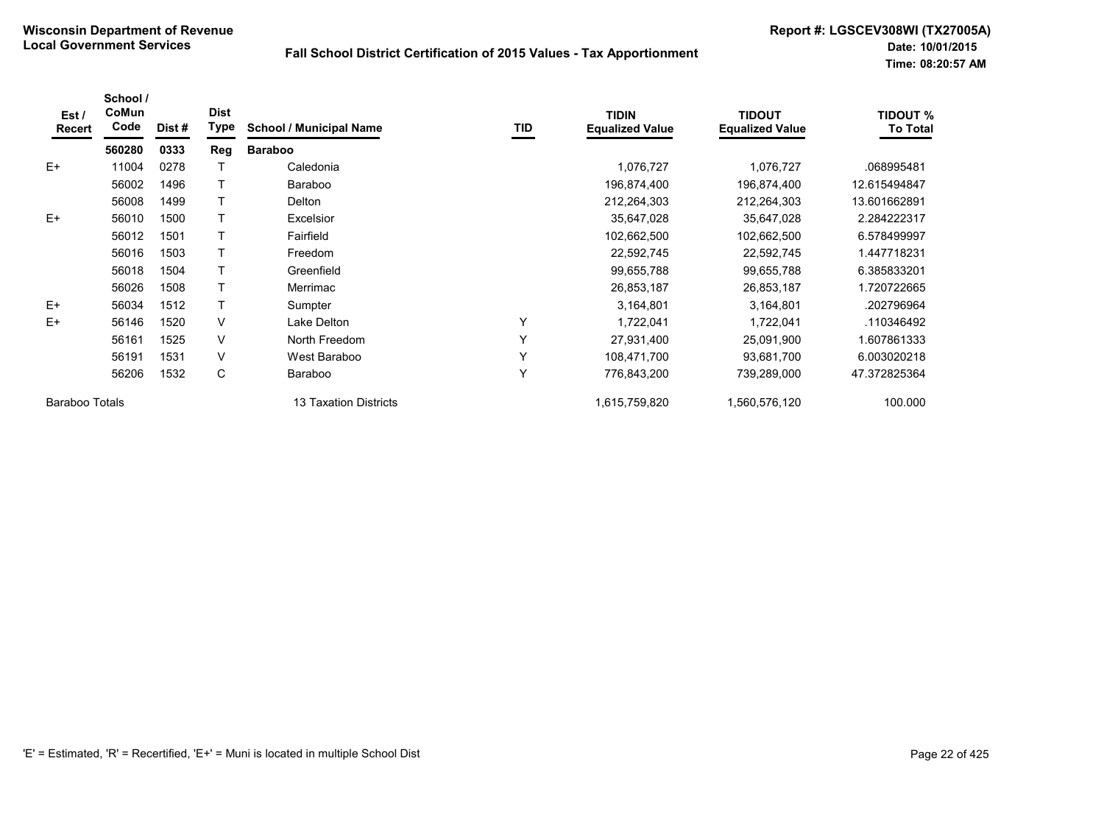| Est /<br>Recert       | School /<br>CoMun<br>Code | Dist # | <b>Dist</b><br>Type | <b>School / Municipal Name</b> | TID | <b>TIDIN</b><br><b>Equalized Value</b> | <b>TIDOUT</b><br><b>Equalized Value</b> | <b>TIDOUT %</b><br><b>To Total</b> |
|-----------------------|---------------------------|--------|---------------------|--------------------------------|-----|----------------------------------------|-----------------------------------------|------------------------------------|
|                       | 560280                    | 0333   | Reg                 | <b>Baraboo</b>                 |     |                                        |                                         |                                    |
| $E+$                  | 11004                     | 0278   |                     | Caledonia                      |     | 1,076,727                              | 1,076,727                               | .068995481                         |
|                       | 56002                     | 1496   |                     | <b>Baraboo</b>                 |     | 196,874,400                            | 196,874,400                             | 12.615494847                       |
|                       | 56008                     | 1499   |                     | Delton                         |     | 212,264,303                            | 212,264,303                             | 13.601662891                       |
| $E+$                  | 56010                     | 1500   |                     | Excelsior                      |     | 35,647,028                             | 35,647,028                              | 2.284222317                        |
|                       | 56012                     | 1501   |                     | Fairfield                      |     | 102,662,500                            | 102,662,500                             | 6.578499997                        |
|                       | 56016                     | 1503   |                     | Freedom                        |     | 22,592,745                             | 22,592,745                              | 1.447718231                        |
|                       | 56018                     | 1504   |                     | Greenfield                     |     | 99,655,788                             | 99,655,788                              | 6.385833201                        |
|                       | 56026                     | 1508   |                     | Merrimac                       |     | 26,853,187                             | 26,853,187                              | 1.720722665                        |
| $E+$                  | 56034                     | 1512   |                     | Sumpter                        |     | 3,164,801                              | 3,164,801                               | .202796964                         |
| E+                    | 56146                     | 1520   | V                   | Lake Delton                    | Υ   | 1,722,041                              | 1,722,041                               | .110346492                         |
|                       | 56161                     | 1525   | V                   | North Freedom                  | Υ   | 27,931,400                             | 25,091,900                              | .607861333                         |
|                       | 56191                     | 1531   | V                   | West Baraboo                   | Υ   | 108,471,700                            | 93,681,700                              | 6.003020218                        |
|                       | 56206                     | 1532   | C                   | <b>Baraboo</b>                 | Y   | 776,843,200                            | 739,289,000                             | 47.372825364                       |
| <b>Baraboo Totals</b> |                           |        |                     | 13 Taxation Districts          |     | 1,615,759,820                          | 1,560,576,120                           | 100.000                            |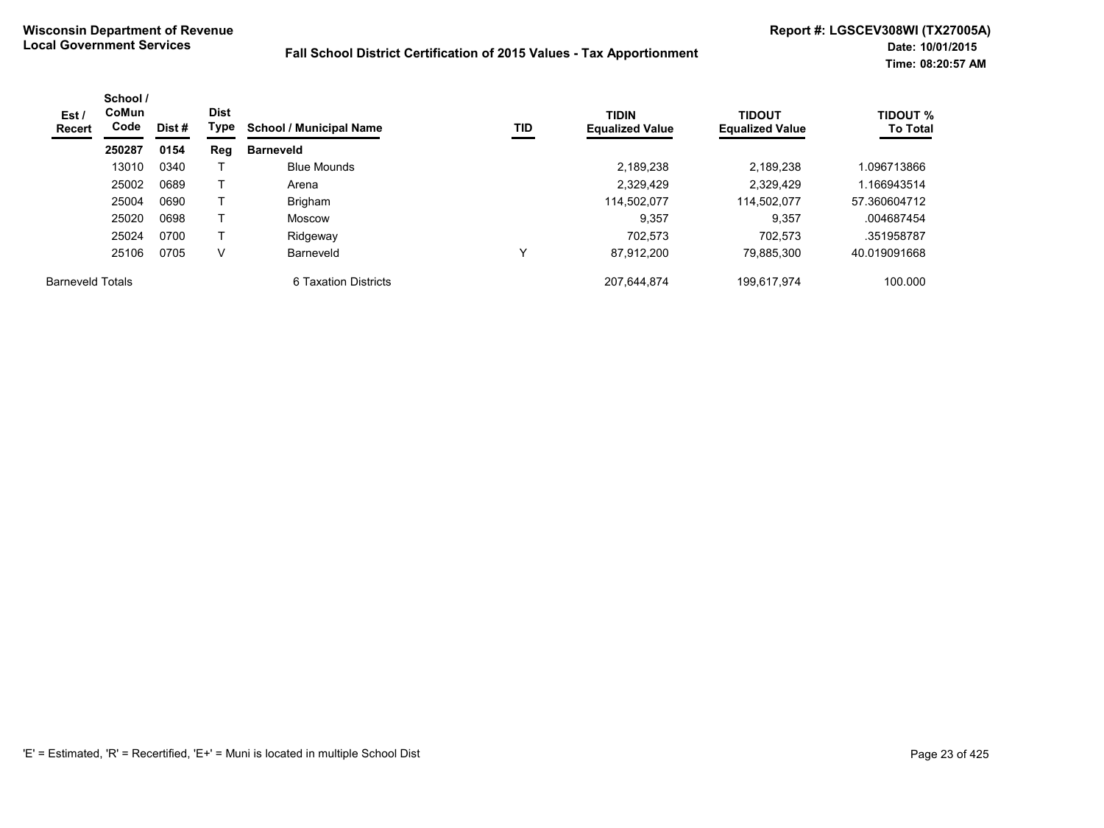| Est /<br>Recert         | School /<br><b>CoMun</b><br>Code | <b>Dist</b><br>Type<br>Dist # |     | <b>School / Municipal Name</b> | TID | <b>TIDIN</b><br><b>Equalized Value</b> | <b>TIDOUT</b><br><b>Equalized Value</b> | <b>TIDOUT %</b><br><b>To Total</b> |
|-------------------------|----------------------------------|-------------------------------|-----|--------------------------------|-----|----------------------------------------|-----------------------------------------|------------------------------------|
|                         | 250287                           | 0154                          | Reg | <b>Barneveld</b>               |     |                                        |                                         |                                    |
|                         | 13010                            | 0340                          |     | <b>Blue Mounds</b>             |     | 2,189,238                              | 2,189,238                               | .096713866                         |
|                         | 25002                            | 0689                          |     | Arena                          |     | 2,329,429                              | 2,329,429                               | .166943514                         |
|                         | 25004                            | 0690                          |     | Brigham                        |     | 114.502.077                            | 114,502,077                             | 57.360604712                       |
|                         | 25020                            | 0698                          |     | Moscow                         |     | 9,357                                  | 9,357                                   | .004687454                         |
|                         | 25024                            | 0700                          |     | Ridgeway                       |     | 702.573                                | 702.573                                 | .351958787                         |
|                         | 25106                            | 0705                          | V   | Barneveld                      | ٧   | 87,912,200                             | 79.885.300                              | 40.019091668                       |
| <b>Barneveld Totals</b> |                                  |                               |     | 6 Taxation Districts           |     | 207,644,874                            | 199,617,974                             | 100.000                            |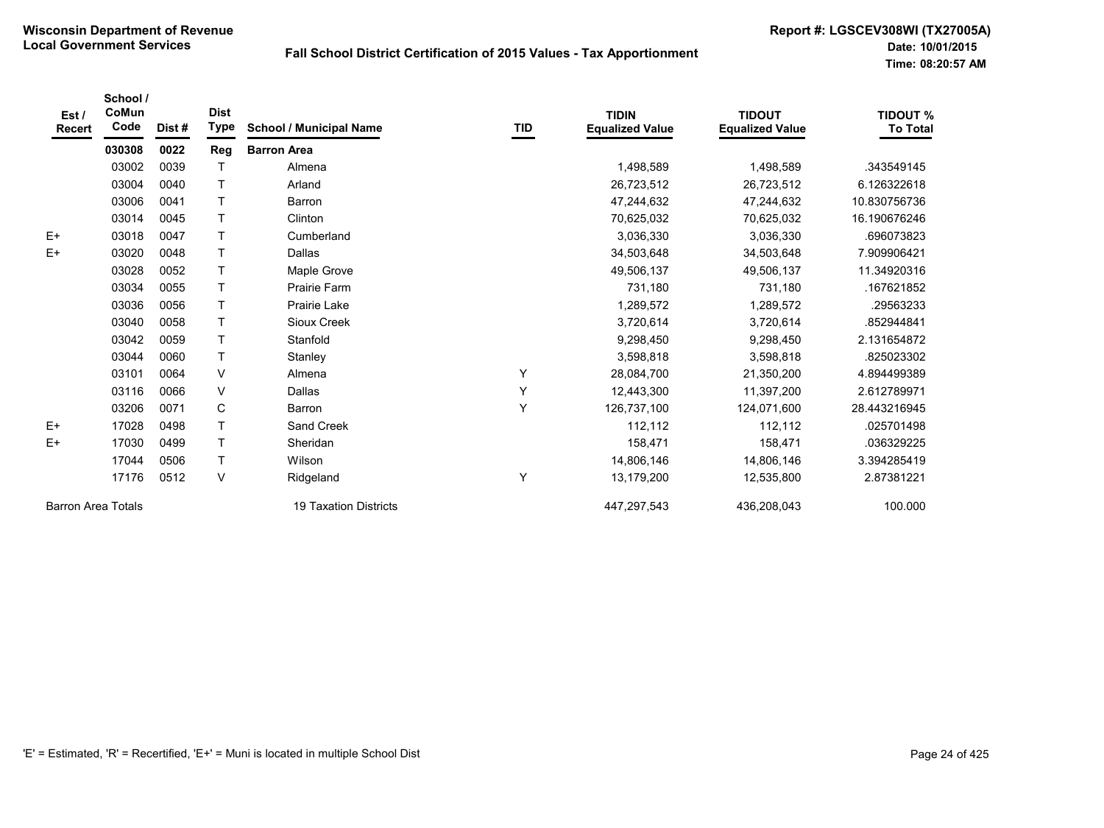| Est /<br><b>Recert</b>    | School /<br>CoMun<br>Code | Dist# | <b>Dist</b><br><b>Type</b> | <b>School / Municipal Name</b> | TID | <b>TIDIN</b><br><b>Equalized Value</b> | <b>TIDOUT</b><br><b>Equalized Value</b> | <b>TIDOUT %</b><br><b>To Total</b> |
|---------------------------|---------------------------|-------|----------------------------|--------------------------------|-----|----------------------------------------|-----------------------------------------|------------------------------------|
|                           | 030308                    | 0022  | Reg                        | <b>Barron Area</b>             |     |                                        |                                         |                                    |
|                           | 03002                     | 0039  | T                          | Almena                         |     | 1,498,589                              | 1,498,589                               | .343549145                         |
|                           | 03004                     | 0040  | $\mathsf{T}$               | Arland                         |     | 26,723,512                             | 26,723,512                              | 6.126322618                        |
|                           | 03006                     | 0041  | T                          | Barron                         |     | 47,244,632                             | 47,244,632                              | 10.830756736                       |
|                           | 03014                     | 0045  | $\mathsf{T}$               | Clinton                        |     | 70,625,032                             | 70,625,032                              | 16.190676246                       |
| $E+$                      | 03018                     | 0047  | $\mathsf T$                | Cumberland                     |     | 3,036,330                              | 3,036,330                               | .696073823                         |
| $E+$                      | 03020                     | 0048  | $\mathsf{T}$               | Dallas                         |     | 34,503,648                             | 34,503,648                              | 7.909906421                        |
|                           | 03028                     | 0052  | $\top$                     | Maple Grove                    |     | 49,506,137                             | 49,506,137                              | 11.34920316                        |
|                           | 03034                     | 0055  | $\mathsf{T}$               | <b>Prairie Farm</b>            |     | 731,180                                | 731,180                                 | .167621852                         |
|                           | 03036                     | 0056  | $\mathsf{T}$               | Prairie Lake                   |     | 1,289,572                              | 1,289,572                               | .29563233                          |
|                           | 03040                     | 0058  | $\mathsf{T}$               | Sioux Creek                    |     | 3,720,614                              | 3,720,614                               | .852944841                         |
|                           | 03042                     | 0059  | $\mathsf{T}$               | Stanfold                       |     | 9,298,450                              | 9,298,450                               | 2.131654872                        |
|                           | 03044                     | 0060  | $\mathsf{T}$               | Stanley                        |     | 3,598,818                              | 3,598,818                               | .825023302                         |
|                           | 03101                     | 0064  | V                          | Almena                         | Υ   | 28,084,700                             | 21,350,200                              | 4.894499389                        |
|                           | 03116                     | 0066  | V                          | Dallas                         | Υ   | 12,443,300                             | 11,397,200                              | 2.612789971                        |
|                           | 03206                     | 0071  | C                          | Barron                         | Υ   | 126,737,100                            | 124,071,600                             | 28.443216945                       |
| $E+$                      | 17028                     | 0498  | $\mathsf{T}$               | Sand Creek                     |     | 112,112                                | 112,112                                 | .025701498                         |
| $E+$                      | 17030                     | 0499  | $\mathsf{T}$               | Sheridan                       |     | 158,471                                | 158,471                                 | .036329225                         |
|                           | 17044                     | 0506  | $\mathsf T$                | Wilson                         |     | 14,806,146                             | 14,806,146                              | 3.394285419                        |
|                           | 17176                     | 0512  | V                          | Ridgeland                      | Υ   | 13,179,200                             | 12,535,800                              | 2.87381221                         |
| <b>Barron Area Totals</b> |                           |       |                            | <b>19 Taxation Districts</b>   |     | 447,297,543                            | 436,208,043                             | 100.000                            |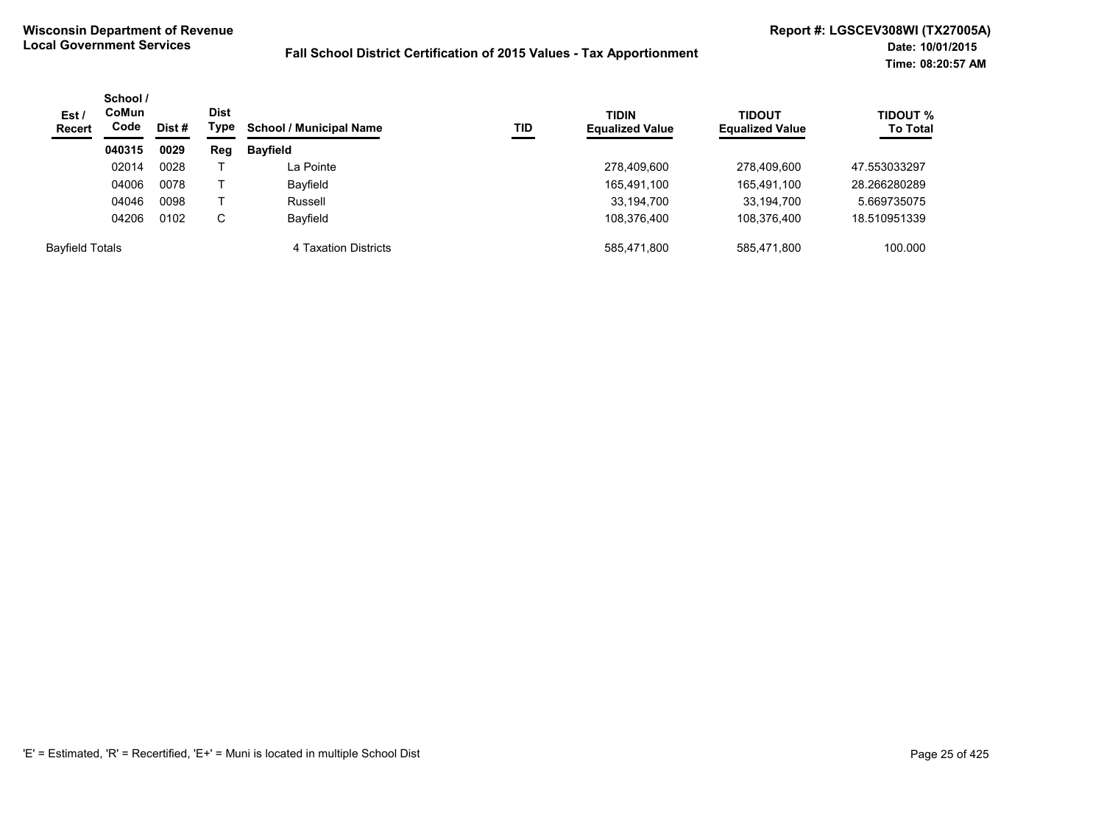| Est /<br><b>Recert</b> | School /<br>CoMun<br>Code<br>Dist # | Dist<br>Type | TID<br><b>School / Municipal Name</b> | <b>TIDIN</b><br><b>Equalized Value</b> | <b>TIDOUT</b><br><b>Equalized Value</b> | <b>TIDOUT %</b><br><b>To Total</b> |             |              |
|------------------------|-------------------------------------|--------------|---------------------------------------|----------------------------------------|-----------------------------------------|------------------------------------|-------------|--------------|
|                        | 040315                              | 0029         | Reg                                   | <b>Bayfield</b>                        |                                         |                                    |             |              |
|                        | 02014                               | 0028         |                                       | La Pointe                              |                                         | 278,409,600                        | 278,409,600 | 47.553033297 |
|                        | 04006                               | 0078         |                                       | Bayfield                               |                                         | 165,491,100                        | 165,491,100 | 28.266280289 |
|                        | 04046                               | 0098         |                                       | Russell                                |                                         | 33,194,700                         | 33,194,700  | 5.669735075  |
|                        | 04206                               | 0102         | C                                     | Bayfield                               |                                         | 108.376.400                        | 108,376,400 | 18.510951339 |
| <b>Bayfield Totals</b> |                                     |              |                                       | 4 Taxation Districts                   |                                         | 585,471,800                        | 585,471,800 | 100.000      |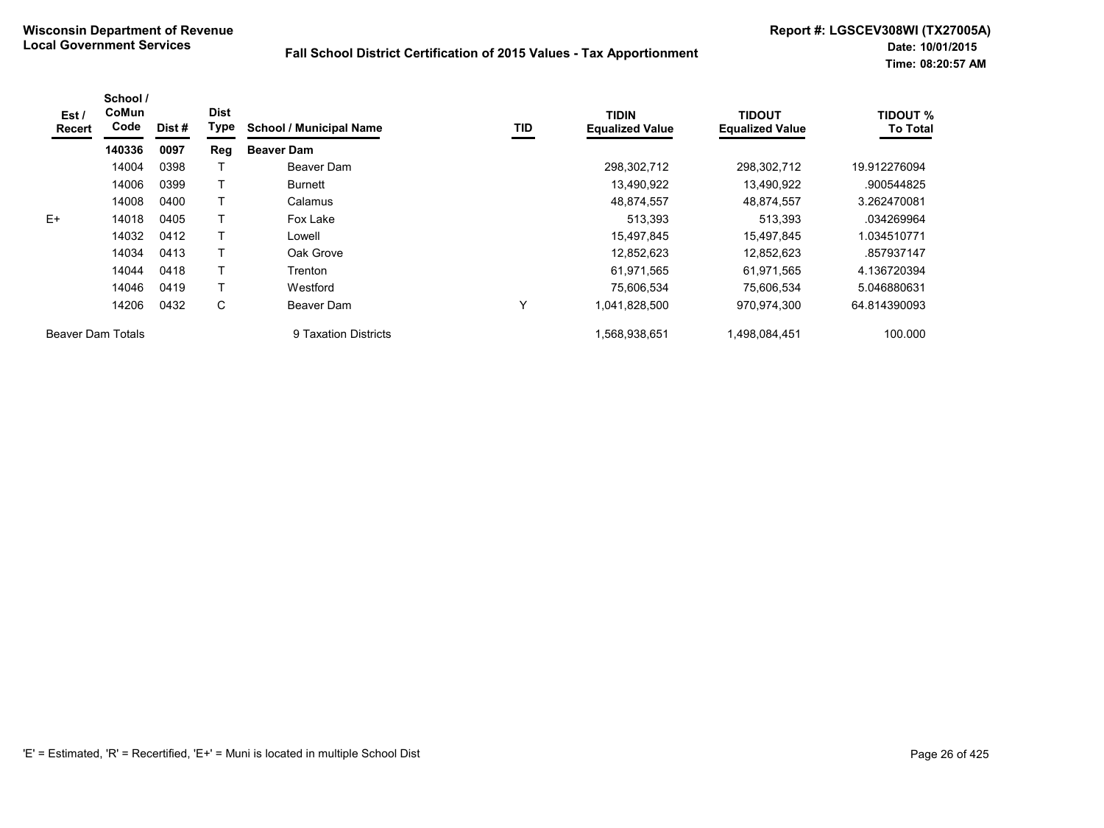| Est /<br>Recert   | School /<br>CoMun<br>Code | Dist # | <b>Dist</b><br>Type | <b>School / Municipal Name</b> | TID | <b>TIDIN</b><br><b>Equalized Value</b> | <b>TIDOUT</b><br><b>Equalized Value</b> | <b>TIDOUT %</b><br><b>To Total</b> |
|-------------------|---------------------------|--------|---------------------|--------------------------------|-----|----------------------------------------|-----------------------------------------|------------------------------------|
|                   | 140336                    | 0097   | Reg                 | <b>Beaver Dam</b>              |     |                                        |                                         |                                    |
|                   | 14004                     | 0398   |                     | Beaver Dam                     |     | 298,302,712                            | 298,302,712                             | 19.912276094                       |
|                   | 14006                     | 0399   |                     | <b>Burnett</b>                 |     | 13,490,922                             | 13,490,922                              | .900544825                         |
|                   | 14008                     | 0400   |                     | Calamus                        |     | 48,874,557                             | 48,874,557                              | 3.262470081                        |
| $E+$              | 14018                     | 0405   |                     | Fox Lake                       |     | 513,393                                | 513,393                                 | .034269964                         |
|                   | 14032                     | 0412   |                     | Lowell                         |     | 15,497,845                             | 15.497.845                              | 1.034510771                        |
|                   | 14034                     | 0413   |                     | Oak Grove                      |     | 12,852,623                             | 12.852.623                              | .857937147                         |
|                   | 14044                     | 0418   |                     | Trenton                        |     | 61,971,565                             | 61,971,565                              | 4.136720394                        |
|                   | 14046                     | 0419   |                     | Westford                       |     | 75.606.534                             | 75.606.534                              | 5.046880631                        |
|                   | 14206                     | 0432   | C                   | Beaver Dam                     | Y   | 1,041,828,500                          | 970,974,300                             | 64.814390093                       |
| Beaver Dam Totals |                           |        |                     | 9 Taxation Districts           |     | 1.568.938.651                          | 1.498.084.451                           | 100.000                            |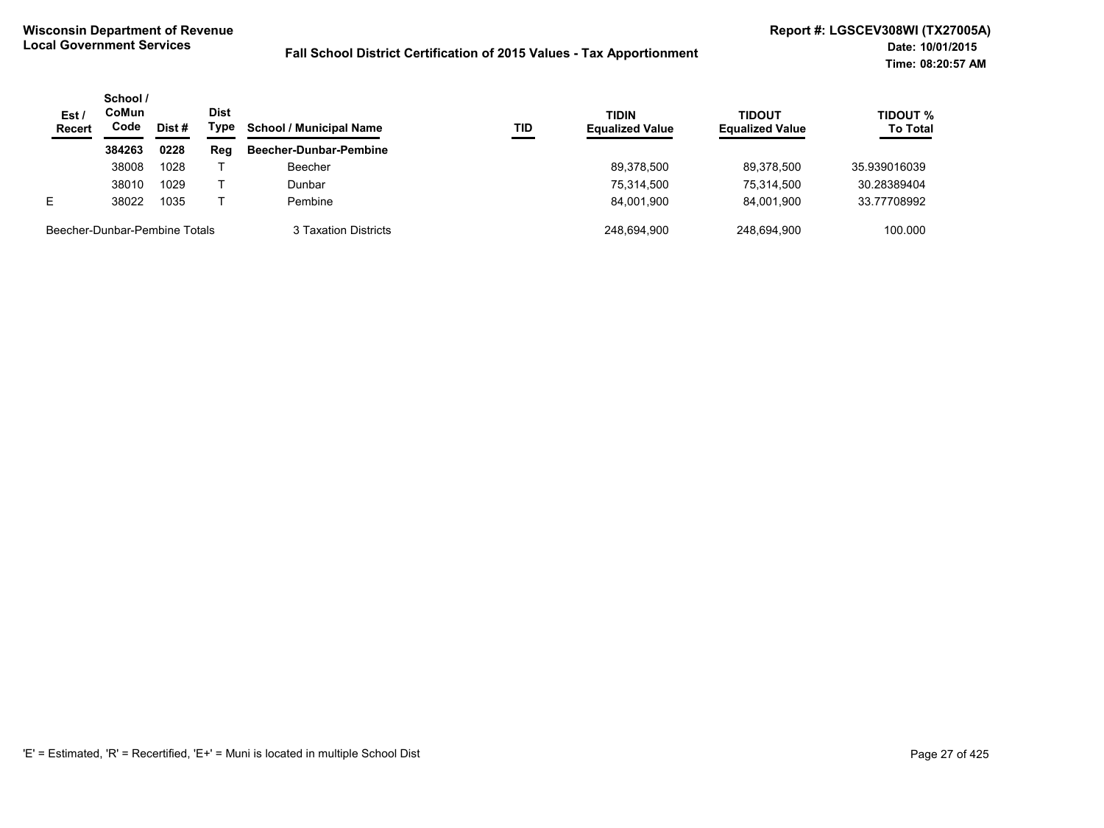| Est/<br><b>Recert</b>         | School /<br>CoMun<br>Code | Dist # | <b>Dist</b><br>Type | <b>School / Municipal Name</b> | TID | <b>TIDIN</b><br><b>Equalized Value</b> | <b>TIDOUT</b><br><b>Equalized Value</b> | <b>TIDOUT %</b><br><b>To Total</b> |
|-------------------------------|---------------------------|--------|---------------------|--------------------------------|-----|----------------------------------------|-----------------------------------------|------------------------------------|
|                               | 384263                    | 0228   | Reg                 | Beecher-Dunbar-Pembine         |     |                                        |                                         |                                    |
|                               | 38008                     | 1028   |                     | Beecher                        |     | 89.378.500                             | 89.378.500                              | 35.939016039                       |
|                               | 38010                     | 1029   |                     | Dunbar                         |     | 75.314.500                             | 75,314,500                              | 30.28389404                        |
| Е                             | 38022                     | 1035   |                     | Pembine                        |     | 84.001.900                             | 84.001.900                              | 33.77708992                        |
| Beecher-Dunbar-Pembine Totals |                           |        |                     | 3 Taxation Districts           |     | 248.694.900                            | 248.694.900                             | 100.000                            |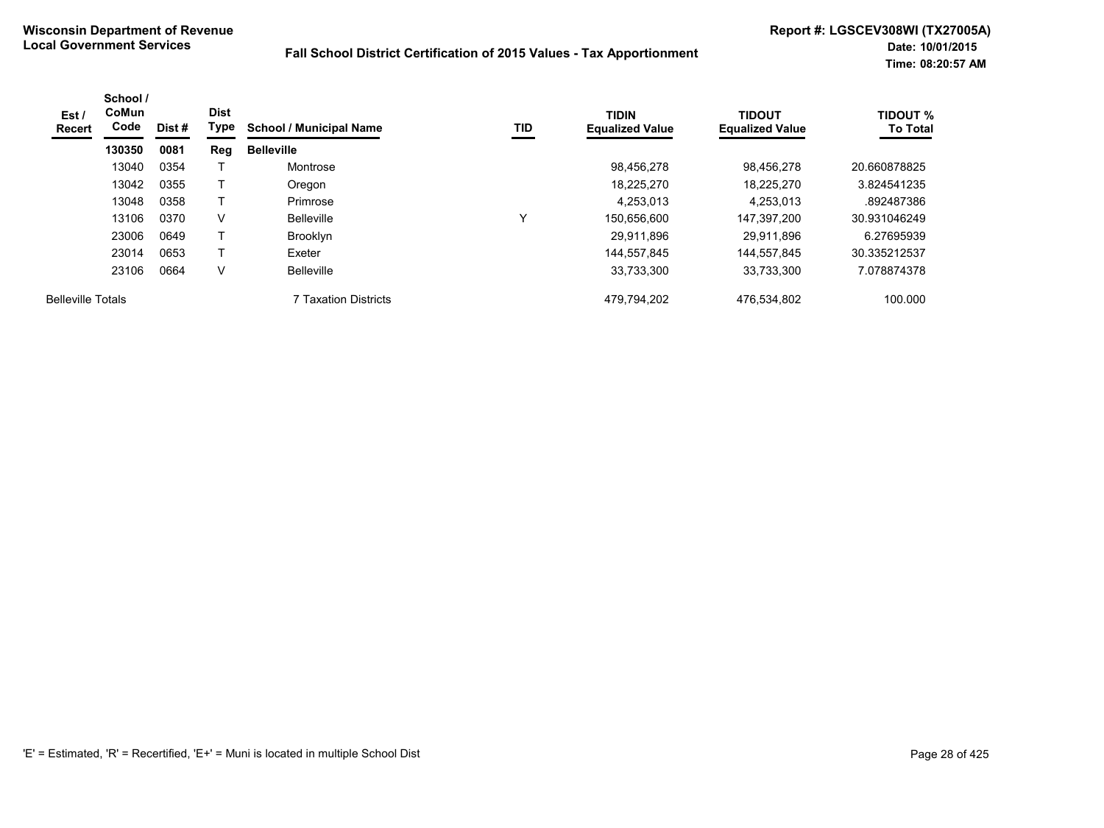| Est/<br><b>Recert</b>    | School /<br><b>CoMun</b><br>Code | Dist # | <b>Dist</b><br>Type | <b>School / Municipal Name</b> | TID | <b>TIDIN</b><br><b>Equalized Value</b> | TIDOUT<br><b>Equalized Value</b> | <b>TIDOUT %</b><br><b>To Total</b> |
|--------------------------|----------------------------------|--------|---------------------|--------------------------------|-----|----------------------------------------|----------------------------------|------------------------------------|
|                          | 130350                           | 0081   | Reg                 | <b>Belleville</b>              |     |                                        |                                  |                                    |
|                          | 13040                            | 0354   |                     | Montrose                       |     | 98,456,278                             | 98.456.278                       | 20.660878825                       |
|                          | 13042                            | 0355   |                     | Oregon                         |     | 18.225.270                             | 18.225.270                       | 3.824541235                        |
|                          | 13048                            | 0358   |                     | Primrose                       |     | 4.253.013                              | 4.253.013                        | .892487386                         |
|                          | 13106                            | 0370   | V                   | <b>Belleville</b>              | v   | 150.656.600                            | 147.397.200                      | 30.931046249                       |
|                          | 23006                            | 0649   |                     | Brooklyn                       |     | 29.911.896                             | 29.911.896                       | 6.27695939                         |
|                          | 23014                            | 0653   |                     | Exeter                         |     | 144,557,845                            | 144,557,845                      | 30.335212537                       |
|                          | 23106                            | 0664   | V                   | <b>Belleville</b>              |     | 33,733,300                             | 33,733,300                       | 7.078874378                        |
| <b>Belleville Totals</b> |                                  |        |                     | 7 Taxation Districts           |     | 479,794,202                            | 476,534,802                      | 100.000                            |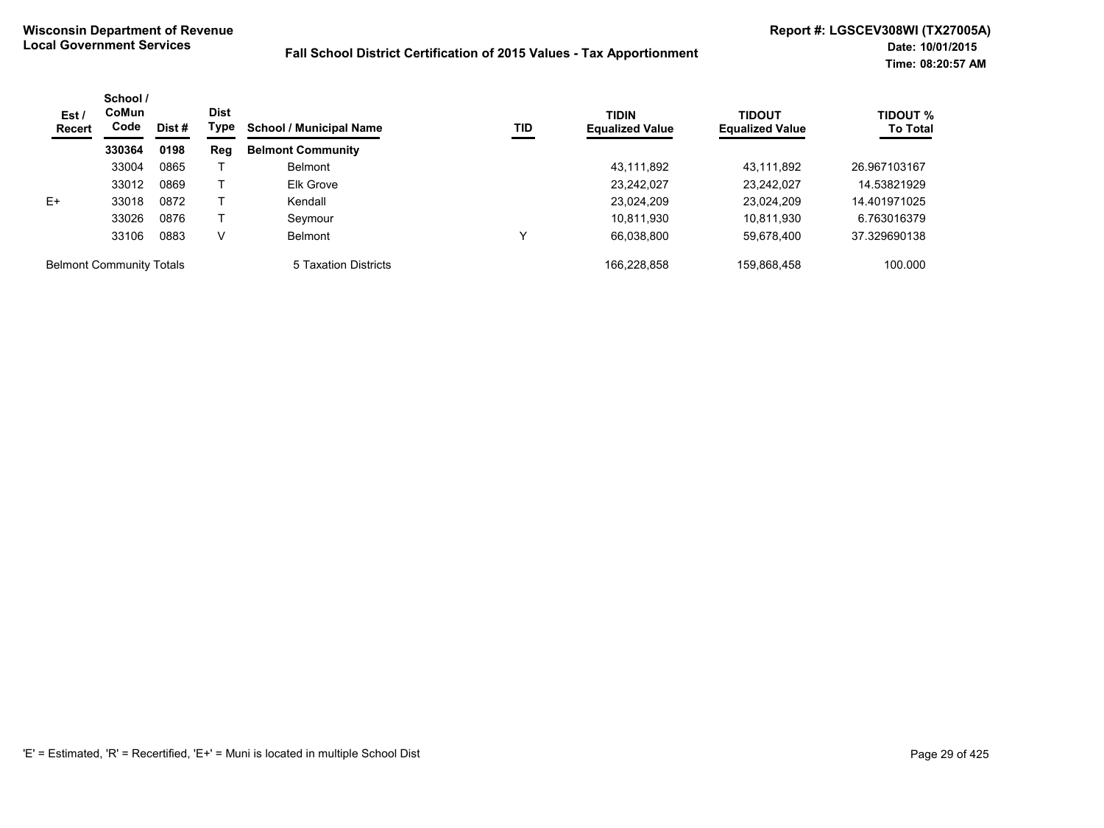| Est/<br><b>Recert</b>           | School /<br><b>CoMun</b><br>Code | Dist# | <b>Dist</b><br>Type | <b>School / Municipal Name</b> | TID         | <b>TIDIN</b><br><b>Equalized Value</b> | TIDOUT<br><b>Equalized Value</b> | <b>TIDOUT %</b><br><b>To Total</b> |
|---------------------------------|----------------------------------|-------|---------------------|--------------------------------|-------------|----------------------------------------|----------------------------------|------------------------------------|
|                                 | 330364                           | 0198  | Reg                 | <b>Belmont Community</b>       |             |                                        |                                  |                                    |
|                                 | 33004                            | 0865  |                     | <b>Belmont</b>                 |             | 43,111,892                             | 43,111,892                       | 26.967103167                       |
|                                 | 33012                            | 0869  |                     | Elk Grove                      |             | 23,242,027                             | 23,242,027                       | 14.53821929                        |
| $E+$                            | 33018                            | 0872  |                     | Kendall                        |             | 23,024,209                             | 23,024,209                       | 14.401971025                       |
|                                 | 33026                            | 0876  |                     | Seymour                        |             | 10,811,930                             | 10,811,930                       | 6.763016379                        |
|                                 | 33106                            | 0883  | v                   | <b>Belmont</b>                 | $\check{ }$ | 66,038,800                             | 59,678,400                       | 37.329690138                       |
| <b>Belmont Community Totals</b> |                                  |       |                     | 5 Taxation Districts           |             | 166.228.858                            | 159.868.458                      | 100.000                            |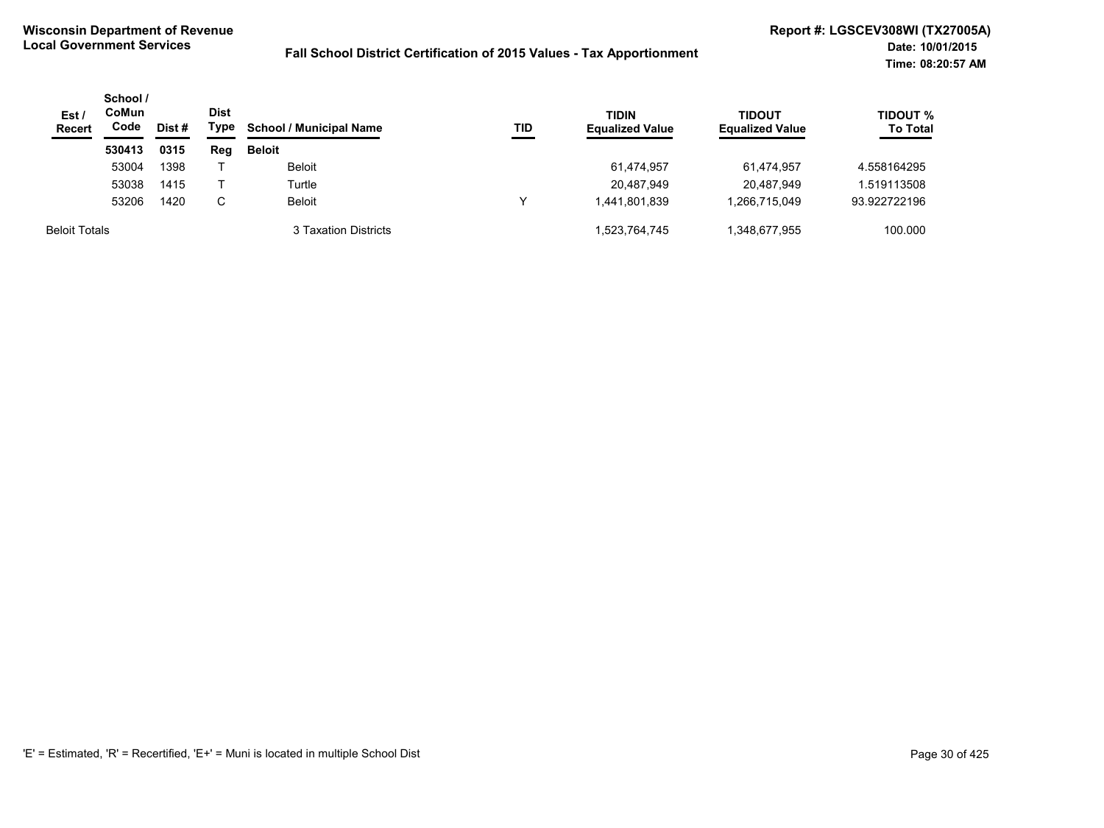| Est /<br><b>Recert</b> | School /<br>CoMun<br>Code | Dist # | <b>Dist</b><br>Type | <b>School / Municipal Name</b> | <b>TID</b> | <b>TIDIN</b><br><b>Equalized Value</b> | <b>TIDOUT</b><br><b>Equalized Value</b> | <b>TIDOUT %</b><br><b>To Total</b> |
|------------------------|---------------------------|--------|---------------------|--------------------------------|------------|----------------------------------------|-----------------------------------------|------------------------------------|
|                        | 530413                    | 0315   | Reg                 | <b>Beloit</b>                  |            |                                        |                                         |                                    |
|                        | 53004                     | 1398   |                     | Beloit                         |            | 61,474,957                             | 61.474.957                              | 4.558164295                        |
|                        | 53038                     | 1415   |                     | Turtle                         |            | 20,487,949                             | 20,487,949                              | 1.519113508                        |
|                        | 53206                     | 1420   | C                   | <b>Beloit</b>                  |            | 1,441,801,839                          | 1.266.715.049                           | 93.922722196                       |
| <b>Beloit Totals</b>   |                           |        |                     | 3 Taxation Districts           |            | 1,523,764,745                          | 1,348,677,955                           | 100.000                            |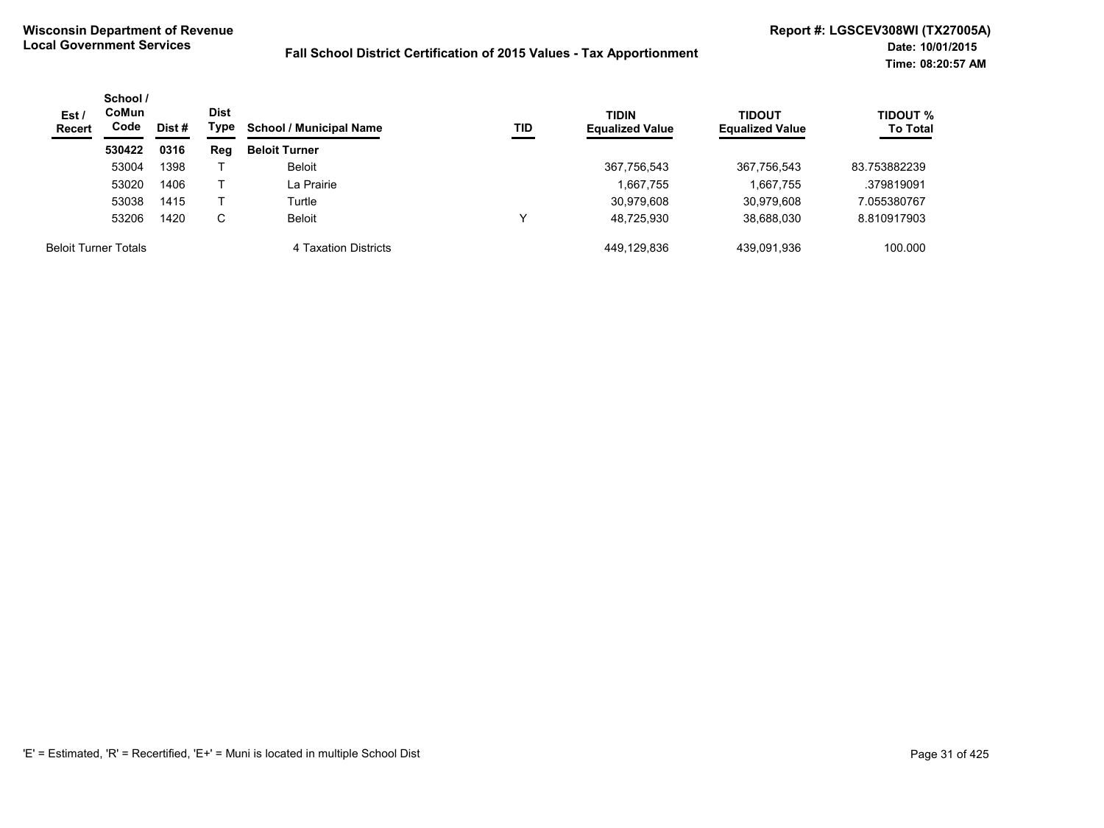| Est /<br><b>Recert</b>      | School /<br>CoMun<br>Code | Dist<br>Type<br>Dist # | TID<br><b>School / Municipal Name</b> | <b>TIDIN</b><br><b>Equalized Value</b> | <b>TIDOUT</b><br><b>Equalized Value</b> | <b>TIDOUT %</b><br><b>To Total</b> |             |              |
|-----------------------------|---------------------------|------------------------|---------------------------------------|----------------------------------------|-----------------------------------------|------------------------------------|-------------|--------------|
|                             | 530422                    | 0316                   | Reg                                   | <b>Beloit Turner</b>                   |                                         |                                    |             |              |
|                             | 53004                     | 1398                   |                                       | <b>Beloit</b>                          |                                         | 367,756,543                        | 367,756,543 | 83.753882239 |
|                             | 53020                     | 1406                   |                                       | La Prairie                             |                                         | 1,667,755                          | 1,667,755   | .379819091   |
|                             | 53038                     | 1415                   |                                       | Turtle                                 |                                         | 30,979,608                         | 30,979,608  | 7.055380767  |
|                             | 53206                     | 1420                   | С                                     | <b>Beloit</b>                          |                                         | 48,725,930                         | 38,688,030  | 8.810917903  |
| <b>Beloit Turner Totals</b> |                           |                        |                                       | 4 Taxation Districts                   |                                         | 449.129.836                        | 439,091,936 | 100.000      |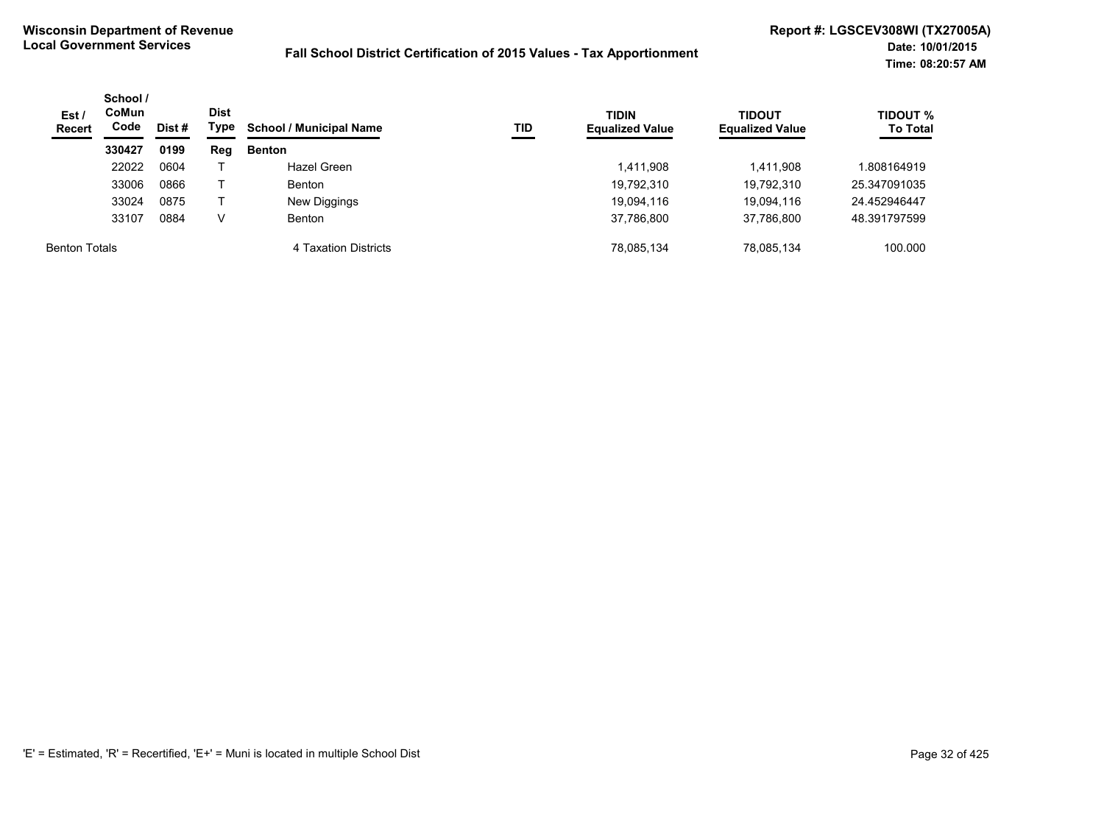| Est /<br><b>Recert</b> | School /<br>CoMun<br>Code<br>Dist# |      | Dist<br>Type | <b>School / Municipal Name</b><br>TID | <b>TIDIN</b><br><b>Equalized Value</b> | <b>TIDOUT</b><br><b>Equalized Value</b> | <b>TIDOUT %</b><br><b>To Total</b> |              |
|------------------------|------------------------------------|------|--------------|---------------------------------------|----------------------------------------|-----------------------------------------|------------------------------------|--------------|
|                        | 330427                             | 0199 | Reg          | <b>Benton</b>                         |                                        |                                         |                                    |              |
|                        | 22022                              | 0604 |              | Hazel Green                           |                                        | 1,411,908                               | 1,411,908                          | 808164919.   |
|                        | 33006                              | 0866 |              | <b>Benton</b>                         |                                        | 19,792,310                              | 19,792,310                         | 25.347091035 |
|                        | 33024                              | 0875 |              | New Diggings                          |                                        | 19,094,116                              | 19,094,116                         | 24.452946447 |
|                        | 33107                              | 0884 |              | <b>Benton</b>                         |                                        | 37,786,800                              | 37,786,800                         | 48.391797599 |
| <b>Benton Totals</b>   |                                    |      |              | 4 Taxation Districts                  |                                        | 78,085,134                              | 78,085,134                         | 100.000      |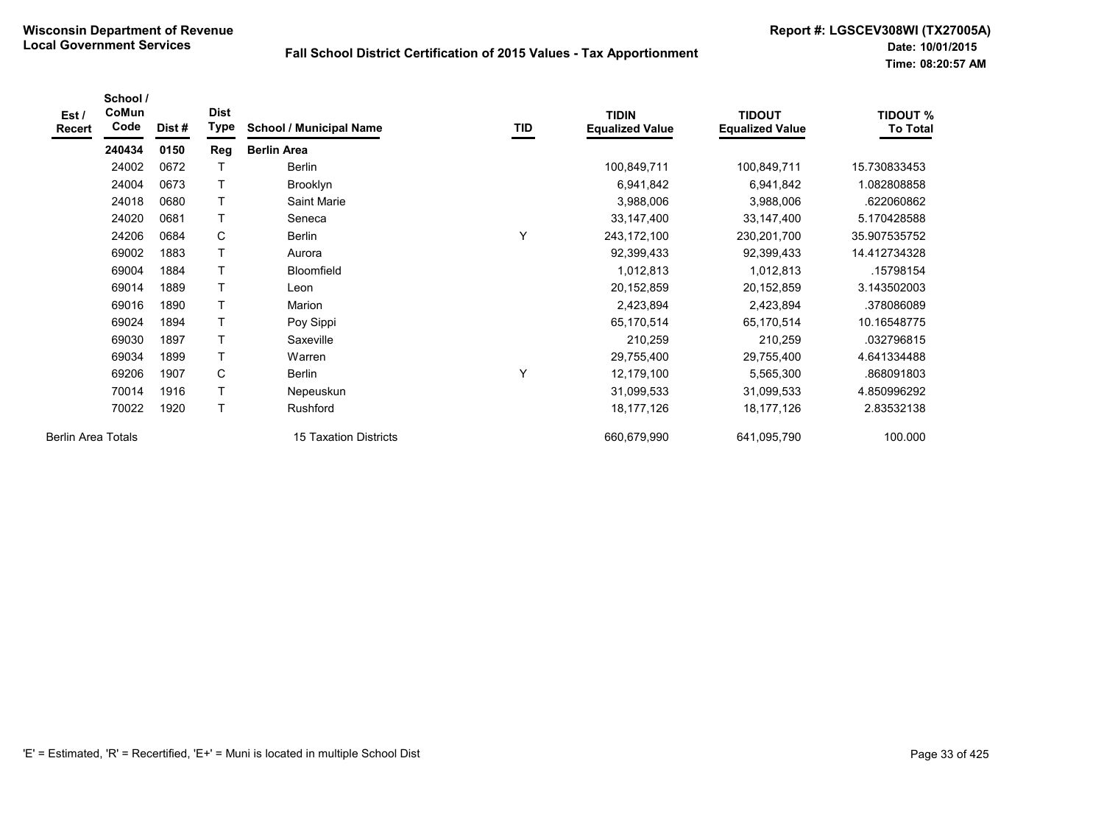| Est /<br><b>Recert</b>    | School /<br>CoMun<br>Code | Dist# | <b>Dist</b><br>Type | <b>School / Municipal Name</b> | TID | <b>TIDIN</b><br><b>Equalized Value</b> | <b>TIDOUT</b><br><b>Equalized Value</b> | <b>TIDOUT %</b><br><b>To Total</b> |
|---------------------------|---------------------------|-------|---------------------|--------------------------------|-----|----------------------------------------|-----------------------------------------|------------------------------------|
|                           | 240434                    | 0150  | Reg                 | <b>Berlin Area</b>             |     |                                        |                                         |                                    |
|                           | 24002                     | 0672  | т                   | Berlin                         |     | 100,849,711                            | 100,849,711                             | 15.730833453                       |
|                           | 24004                     | 0673  | T                   | Brooklyn                       |     | 6,941,842                              | 6,941,842                               | 1.082808858                        |
|                           | 24018                     | 0680  | T                   | Saint Marie                    |     | 3,988,006                              | 3,988,006                               | .622060862                         |
|                           | 24020                     | 0681  | T.                  | Seneca                         |     | 33, 147, 400                           | 33, 147, 400                            | 5.170428588                        |
|                           | 24206                     | 0684  | C                   | Berlin                         |     | 243, 172, 100                          | 230,201,700                             | 35.907535752                       |
|                           | 69002                     | 1883  | T                   | Aurora                         |     | 92,399,433                             | 92,399,433                              | 14.412734328                       |
|                           | 69004                     | 1884  | T                   | <b>Bloomfield</b>              |     | 1,012,813                              | 1,012,813                               | .15798154                          |
|                           | 69014                     | 1889  | T                   | Leon                           |     | 20,152,859                             | 20,152,859                              | 3.143502003                        |
|                           | 69016                     | 1890  | T                   | Marion                         |     | 2,423,894                              | 2,423,894                               | .378086089                         |
|                           | 69024                     | 1894  | T                   | Poy Sippi                      |     | 65,170,514                             | 65,170,514                              | 10.16548775                        |
|                           | 69030                     | 1897  | т                   | Saxeville                      |     | 210,259                                | 210,259                                 | .032796815                         |
|                           | 69034                     | 1899  | T                   | Warren                         |     | 29,755,400                             | 29,755,400                              | 4.641334488                        |
|                           | 69206                     | 1907  | C                   | Berlin                         | ٧   | 12,179,100                             | 5,565,300                               | .868091803                         |
|                           | 70014                     | 1916  | T                   | Nepeuskun                      |     | 31,099,533                             | 31,099,533                              | 4.850996292                        |
|                           | 70022                     | 1920  | T                   | Rushford                       |     | 18, 177, 126                           | 18,177,126                              | 2.83532138                         |
| <b>Berlin Area Totals</b> |                           |       |                     | 15 Taxation Districts          |     | 660,679,990                            | 641,095,790                             | 100.000                            |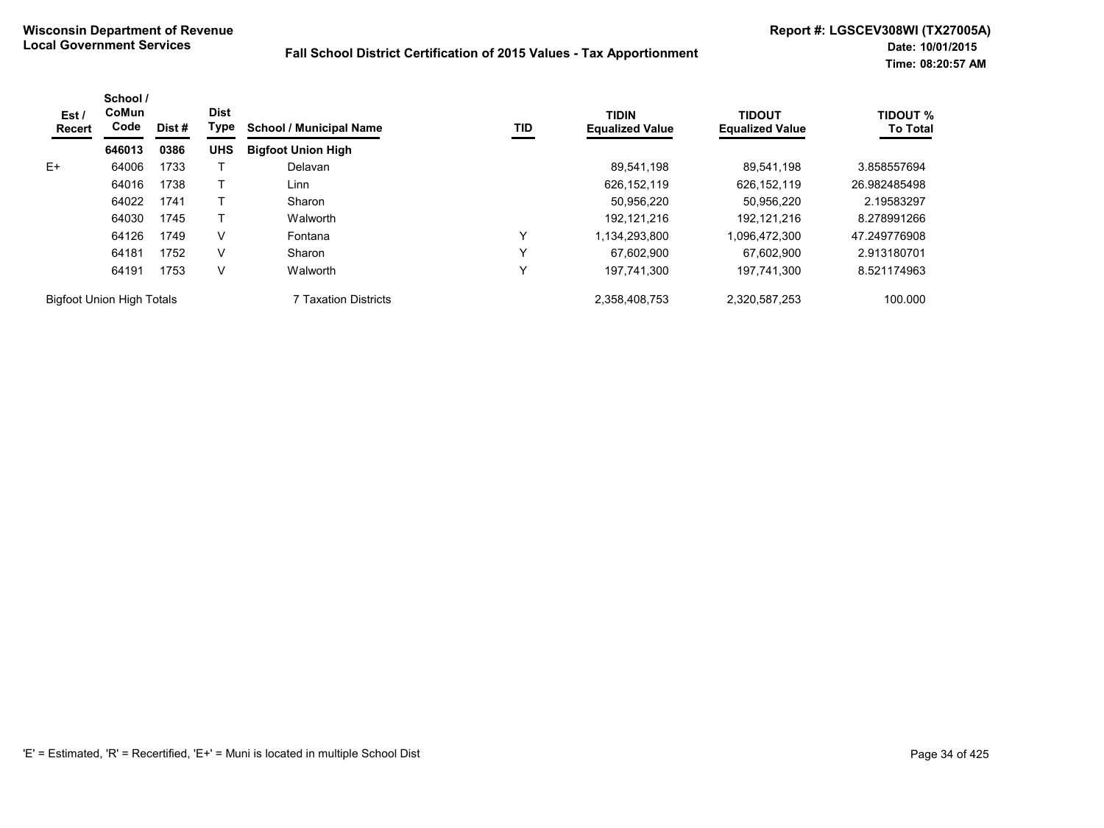| Est/<br>Recert                   | School /<br>CoMun<br>Code | Dist # | <b>Dist</b><br>Type | <b>School / Municipal Name</b> | TID | <b>TIDIN</b><br><b>Equalized Value</b> | <b>TIDOUT</b><br><b>Equalized Value</b> | <b>TIDOUT %</b><br><b>To Total</b> |
|----------------------------------|---------------------------|--------|---------------------|--------------------------------|-----|----------------------------------------|-----------------------------------------|------------------------------------|
|                                  | 646013                    | 0386   | <b>UHS</b>          | <b>Bigfoot Union High</b>      |     |                                        |                                         |                                    |
| $E+$                             | 64006                     | 1733   |                     | Delavan                        |     | 89.541.198                             | 89.541.198                              | 3.858557694                        |
|                                  | 64016                     | 1738   |                     | Linn                           |     | 626, 152, 119                          | 626, 152, 119                           | 26.982485498                       |
|                                  | 64022                     | 1741   |                     | Sharon                         |     | 50,956,220                             | 50,956,220                              | 2.19583297                         |
|                                  | 64030                     | 1745   |                     | Walworth                       |     | 192.121.216                            | 192.121.216                             | 8.278991266                        |
|                                  | 64126                     | 1749   | V                   | Fontana                        | ν   | 1,134,293,800                          | 1,096,472,300                           | 47.249776908                       |
|                                  | 64181                     | 1752   | V                   | Sharon                         | ν   | 67.602.900                             | 67.602.900                              | 2.913180701                        |
|                                  | 64191                     | 1753   | V                   | Walworth                       | Υ   | 197,741,300                            | 197,741,300                             | 8.521174963                        |
| <b>Bigfoot Union High Totals</b> |                           |        |                     | 7 Taxation Districts           |     | 2,358,408,753                          | 2,320,587,253                           | 100.000                            |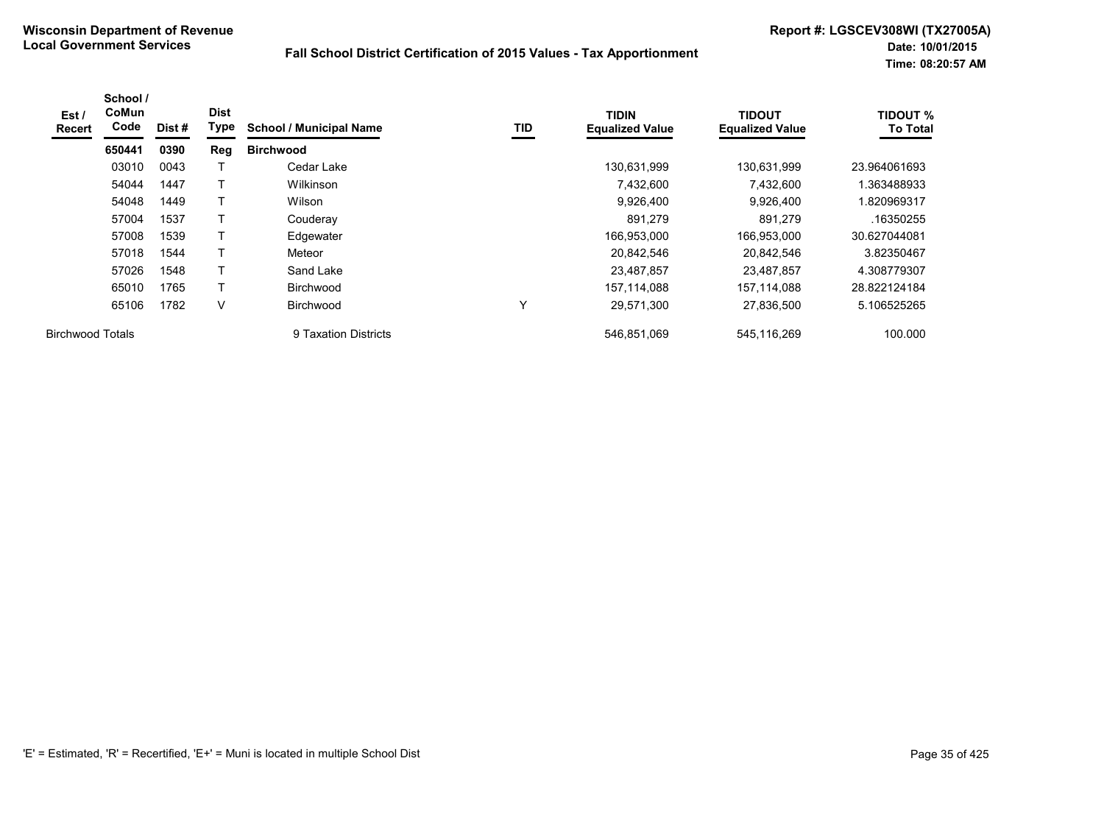| Est /<br><b>Recert</b>  | School /<br>CoMun<br>Code | Dist# | <b>Dist</b><br>Type | <b>School / Municipal Name</b> | TID | <b>TIDIN</b><br><b>Equalized Value</b> | <b>TIDOUT</b><br><b>Equalized Value</b> | <b>TIDOUT %</b><br><b>To Total</b> |
|-------------------------|---------------------------|-------|---------------------|--------------------------------|-----|----------------------------------------|-----------------------------------------|------------------------------------|
|                         | 650441                    | 0390  | Reg                 | <b>Birchwood</b>               |     |                                        |                                         |                                    |
|                         | 03010                     | 0043  |                     | Cedar Lake                     |     | 130,631,999                            | 130,631,999                             | 23.964061693                       |
|                         | 54044                     | 1447  |                     | Wilkinson                      |     | 7,432,600                              | 7,432,600                               | .363488933                         |
|                         | 54048                     | 1449  | т                   | Wilson                         |     | 9,926,400                              | 9,926,400                               | 820969317                          |
|                         | 57004                     | 1537  |                     | Couderay                       |     | 891,279                                | 891,279                                 | .16350255                          |
|                         | 57008                     | 1539  | T                   | Edgewater                      |     | 166,953,000                            | 166,953,000                             | 30.627044081                       |
|                         | 57018                     | 1544  | т                   | Meteor                         |     | 20,842,546                             | 20,842,546                              | 3.82350467                         |
|                         | 57026                     | 1548  | т                   | Sand Lake                      |     | 23,487,857                             | 23,487,857                              | 4.308779307                        |
|                         | 65010                     | 1765  | т                   | <b>Birchwood</b>               |     | 157,114,088                            | 157.114.088                             | 28.822124184                       |
|                         | 65106                     | 1782  | V                   | <b>Birchwood</b>               | Υ   | 29,571,300                             | 27,836,500                              | 5.106525265                        |
| <b>Birchwood Totals</b> |                           |       |                     | 9 Taxation Districts           |     | 546.851.069                            | 545.116.269                             | 100.000                            |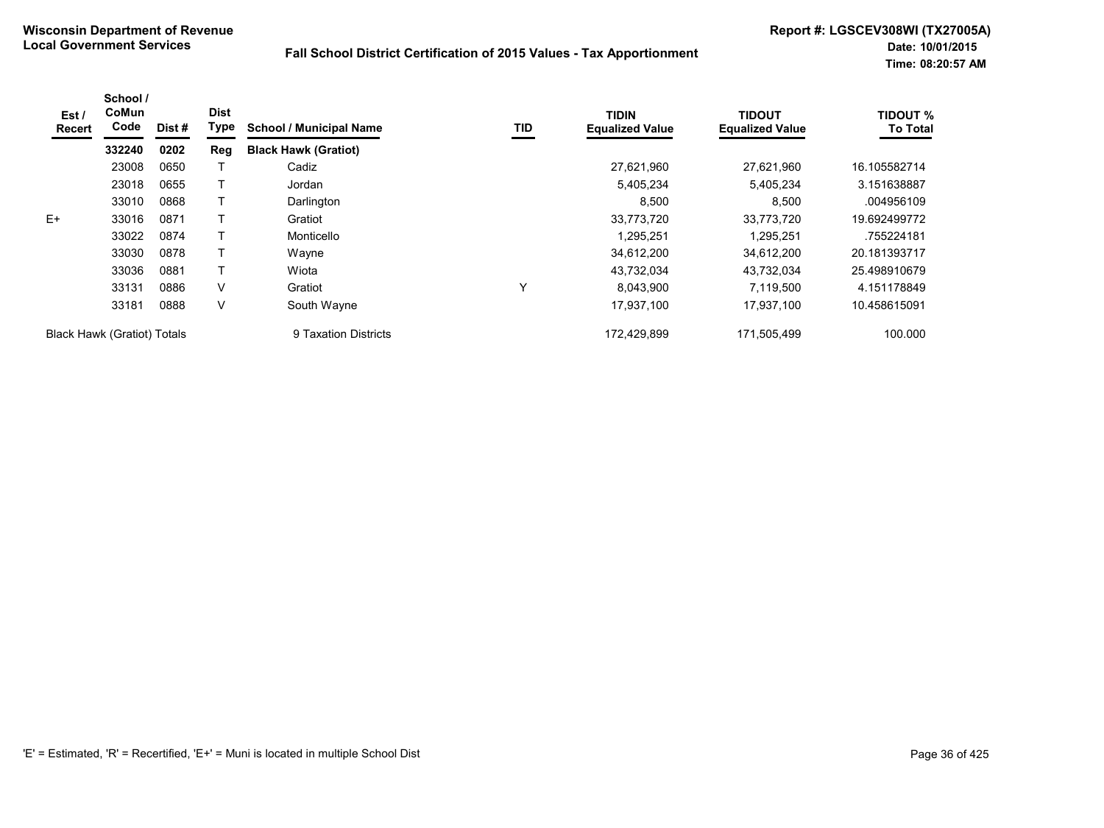| Est/<br>Recert                     | School /<br>CoMun<br>Code | Dist # | <b>Dist</b><br>Type | <b>School / Municipal Name</b> | TID | <b>TIDIN</b><br><b>Equalized Value</b> | <b>TIDOUT</b><br><b>Equalized Value</b> | <b>TIDOUT %</b><br><b>To Total</b> |
|------------------------------------|---------------------------|--------|---------------------|--------------------------------|-----|----------------------------------------|-----------------------------------------|------------------------------------|
|                                    | 332240                    | 0202   | Reg                 | <b>Black Hawk (Gratiot)</b>    |     |                                        |                                         |                                    |
|                                    | 23008                     | 0650   |                     | Cadiz                          |     | 27,621,960                             | 27,621,960                              | 16.105582714                       |
|                                    | 23018                     | 0655   |                     | Jordan                         |     | 5,405,234                              | 5,405,234                               | 3.151638887                        |
|                                    | 33010                     | 0868   |                     | Darlington                     |     | 8,500                                  | 8,500                                   | .004956109                         |
| $E+$                               | 33016                     | 0871   |                     | Gratiot                        |     | 33,773,720                             | 33,773,720                              | 19.692499772                       |
|                                    | 33022                     | 0874   |                     | Monticello                     |     | 1,295,251                              | 1,295,251                               | .755224181                         |
|                                    | 33030                     | 0878   |                     | Wayne                          |     | 34,612,200                             | 34,612,200                              | 20.181393717                       |
|                                    | 33036                     | 0881   |                     | Wiota                          |     | 43,732,034                             | 43,732,034                              | 25.498910679                       |
|                                    | 33131                     | 0886   | V                   | Gratiot                        | Υ   | 8,043,900                              | 7,119,500                               | 4.151178849                        |
|                                    | 33181                     | 0888   | V                   | South Wayne                    |     | 17,937,100                             | 17.937.100                              | 10.458615091                       |
| <b>Black Hawk (Gratiot) Totals</b> |                           |        |                     | 9 Taxation Districts           |     | 172,429,899                            | 171,505,499                             | 100.000                            |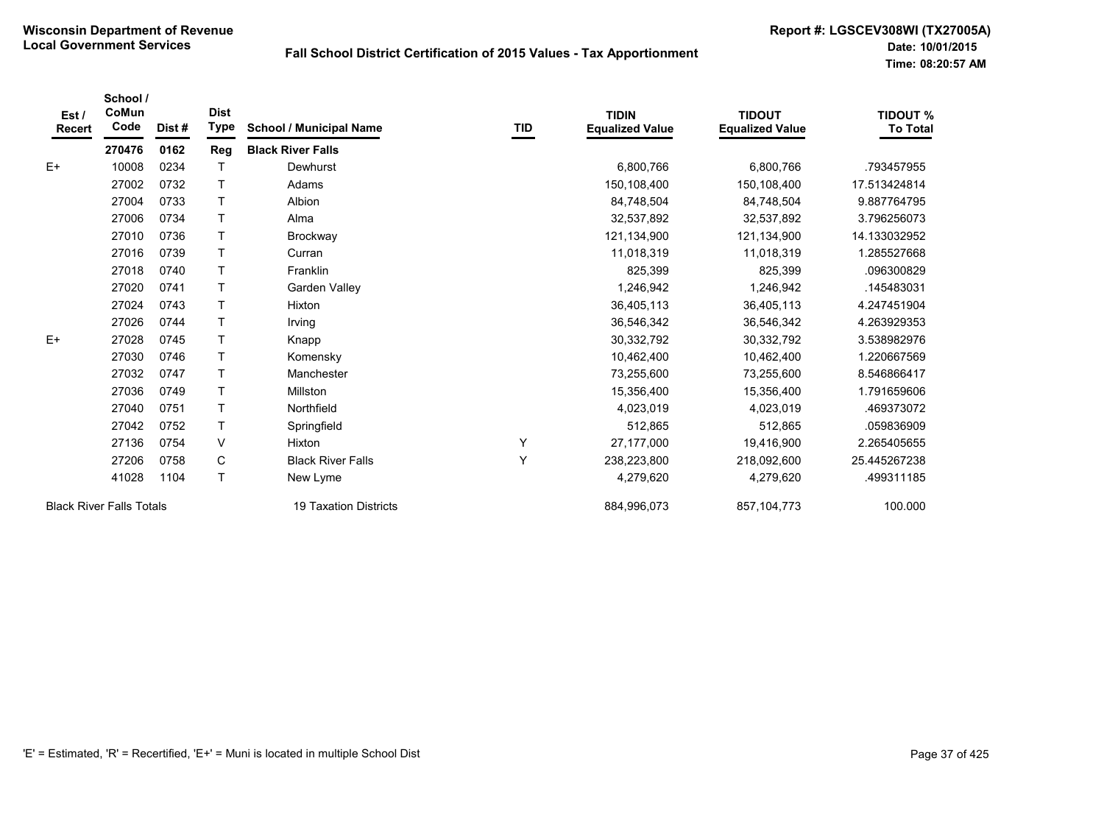| Est /<br>Recert                 | School /<br>CoMun<br>Code | Dist#                 | <b>Dist</b><br><b>Type</b> | <b>School / Municipal Name</b> | TID           | <b>TIDIN</b><br><b>Equalized Value</b> | <b>TIDOUT</b><br><b>Equalized Value</b> | <b>TIDOUT %</b><br><b>To Total</b> |
|---------------------------------|---------------------------|-----------------------|----------------------------|--------------------------------|---------------|----------------------------------------|-----------------------------------------|------------------------------------|
|                                 | 270476                    | 0162                  | Reg                        | <b>Black River Falls</b>       |               |                                        |                                         |                                    |
| $E+$                            | 10008                     | 0234                  |                            | Dewhurst                       |               | 6,800,766                              | 6,800,766                               | .793457955                         |
|                                 | 27002                     | 0732                  | т                          | Adams                          |               | 150,108,400                            | 150,108,400                             | 17.513424814                       |
|                                 | 27004                     | 0733                  | т                          | Albion                         |               | 84,748,504                             | 84,748,504                              | 9.887764795                        |
|                                 | 27006                     | 0734                  | T                          | Alma                           |               | 32,537,892                             | 32,537,892                              | 3.796256073                        |
|                                 | 27010                     | 0736                  | т                          | <b>Brockway</b>                |               | 121,134,900                            | 121,134,900                             | 14.133032952                       |
|                                 | 27016                     | 0739                  | T                          | Curran                         |               | 11,018,319                             | 11,018,319                              | 1.285527668                        |
|                                 | 27018                     | 0740                  | T                          | Franklin                       |               | 825,399                                | 825,399                                 | .096300829                         |
|                                 | 27020                     | 0741                  | T                          | Garden Valley                  |               | 1,246,942                              | 1,246,942                               | .145483031                         |
|                                 | 27024                     | 0743                  | T                          | Hixton                         |               | 36,405,113                             | 36,405,113                              | 4.247451904                        |
|                                 | 27026                     | 0744                  | T                          | Irving                         |               | 36,546,342                             | 36,546,342                              | 4.263929353                        |
| $E+$                            | 27028                     | 0745                  |                            | Knapp                          |               | 30,332,792                             | 30,332,792                              | 3.538982976                        |
|                                 | 27030                     | 0746                  |                            | Komensky                       |               | 10,462,400                             | 10,462,400                              | 1.220667569                        |
|                                 | 27032                     | 0747                  | T                          | Manchester                     |               | 73,255,600                             | 73,255,600                              | 8.546866417                        |
|                                 | 27036                     | 0749                  | T                          | Millston                       |               | 15,356,400                             | 15,356,400                              | 1.791659606                        |
|                                 | 27040                     | 0751                  | T                          | Northfield                     |               | 4,023,019                              | 4,023,019                               | 469373072                          |
|                                 | 27042                     | 0752                  |                            | Springfield                    |               | 512,865                                | 512,865                                 | .059836909                         |
|                                 | 27136                     | 0754                  | V                          | Hixton                         | Υ             | 27,177,000                             | 19,416,900                              | 2.265405655                        |
|                                 | 27206                     | 0758                  | С                          | <b>Black River Falls</b>       | Υ             | 238,223,800                            | 218,092,600                             | 25.445267238                       |
|                                 | 41028                     | 1104                  | T                          | New Lyme                       |               | 4,279,620                              | 4,279,620                               | 499311185                          |
| <b>Black River Falls Totals</b> |                           | 19 Taxation Districts |                            | 884,996,073                    | 857, 104, 773 | 100.000                                |                                         |                                    |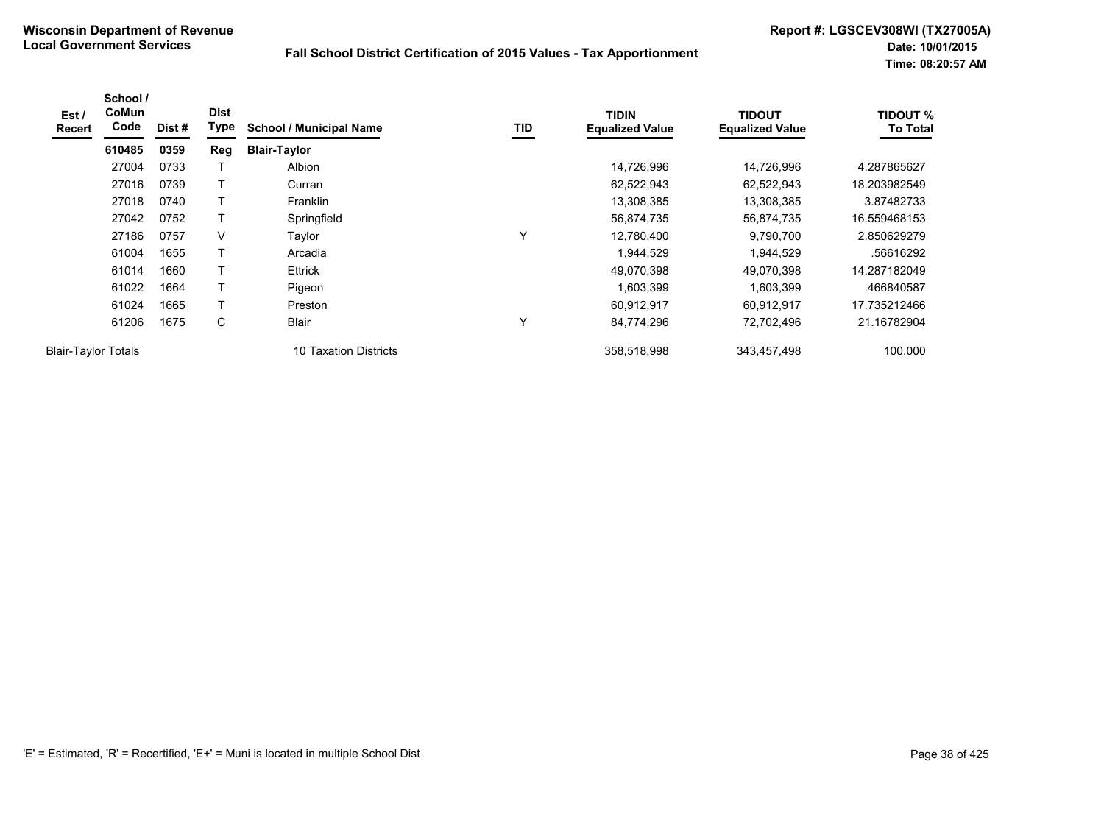| Est /<br><b>Recert</b>     | School /<br>CoMun<br>Code | Dist# | <b>Dist</b><br>Type | <b>School / Municipal Name</b> | TID | <b>TIDIN</b><br><b>Equalized Value</b> | <b>TIDOUT</b><br><b>Equalized Value</b> | <b>TIDOUT %</b><br><b>To Total</b> |
|----------------------------|---------------------------|-------|---------------------|--------------------------------|-----|----------------------------------------|-----------------------------------------|------------------------------------|
|                            | 610485                    | 0359  | Reg                 | <b>Blair-Taylor</b>            |     |                                        |                                         |                                    |
|                            | 27004                     | 0733  |                     | Albion                         |     | 14,726,996                             | 14,726,996                              | 4.287865627                        |
|                            | 27016                     | 0739  | т                   | Curran                         |     | 62,522,943                             | 62,522,943                              | 18.203982549                       |
|                            | 27018                     | 0740  | т                   | Franklin                       |     | 13,308,385                             | 13,308,385                              | 3.87482733                         |
|                            | 27042                     | 0752  | Τ                   | Springfield                    |     | 56,874,735                             | 56,874,735                              | 16.559468153                       |
|                            | 27186                     | 0757  | V                   | Taylor                         | Υ   | 12,780,400                             | 9,790,700                               | 2.850629279                        |
|                            | 61004                     | 1655  |                     | Arcadia                        |     | 1,944,529                              | 1,944,529                               | .56616292                          |
|                            | 61014                     | 1660  | т                   | Ettrick                        |     | 49,070,398                             | 49,070,398                              | 14.287182049                       |
|                            | 61022                     | 1664  | T                   | Pigeon                         |     | 1,603,399                              | 1,603,399                               | .466840587                         |
|                            | 61024                     | 1665  | T                   | Preston                        |     | 60,912,917                             | 60,912,917                              | 17.735212466                       |
|                            | 61206                     | 1675  | C                   | <b>Blair</b>                   | Υ   | 84,774,296                             | 72,702,496                              | 21.16782904                        |
| <b>Blair-Taylor Totals</b> |                           |       |                     | 10 Taxation Districts          |     | 358,518,998                            | 343,457,498                             | 100.000                            |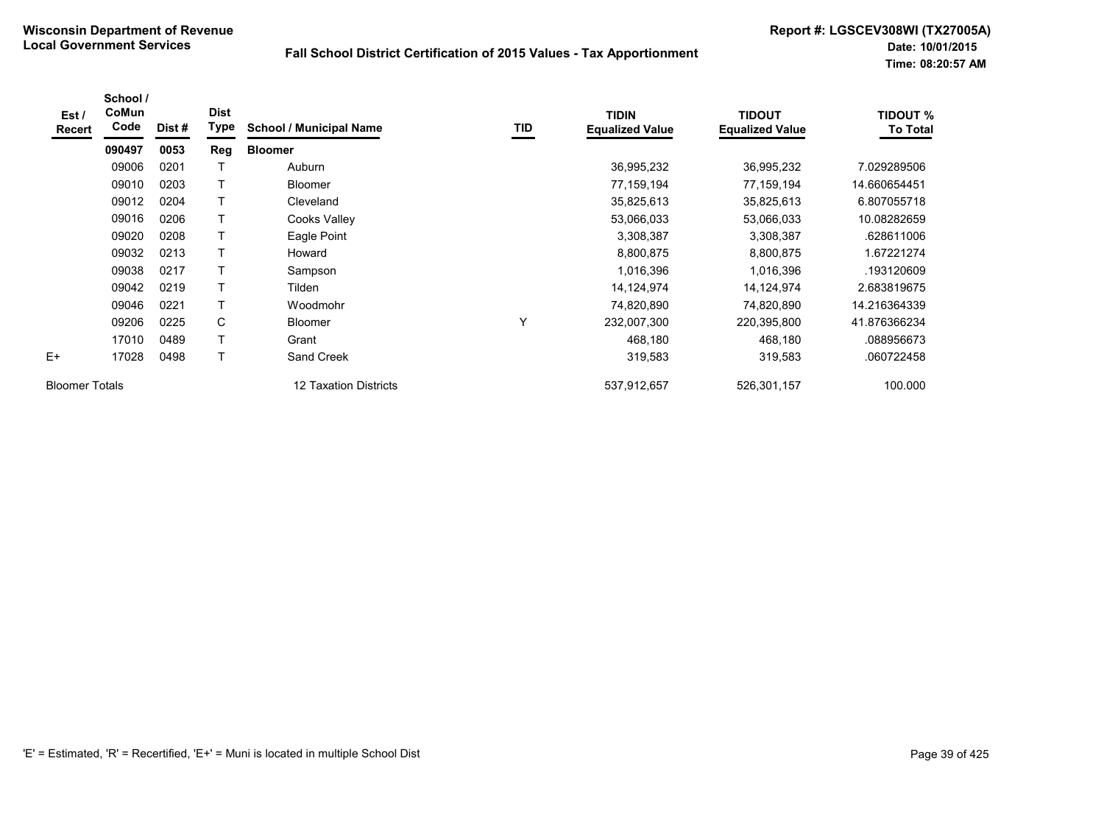| Est /<br><b>Recert</b> | School /<br>CoMun<br>Code | Dist # | <b>Dist</b><br><b>Type</b> | <b>School / Municipal Name</b> | TID | <b>TIDIN</b><br><b>Equalized Value</b> | <b>TIDOUT</b><br><b>Equalized Value</b> | <b>TIDOUT %</b><br><b>To Total</b> |
|------------------------|---------------------------|--------|----------------------------|--------------------------------|-----|----------------------------------------|-----------------------------------------|------------------------------------|
|                        | 090497                    | 0053   | Reg                        | <b>Bloomer</b>                 |     |                                        |                                         |                                    |
|                        | 09006                     | 0201   |                            | Auburn                         |     | 36,995,232                             | 36,995,232                              | 7.029289506                        |
|                        | 09010                     | 0203   | T                          | <b>Bloomer</b>                 |     | 77,159,194                             | 77,159,194                              | 14.660654451                       |
|                        | 09012                     | 0204   | T                          | Cleveland                      |     | 35,825,613                             | 35,825,613                              | 6.807055718                        |
|                        | 09016                     | 0206   | T                          | Cooks Valley                   |     | 53,066,033                             | 53,066,033                              | 10.08282659                        |
|                        | 09020                     | 0208   | Τ                          | Eagle Point                    |     | 3,308,387                              | 3,308,387                               | .628611006                         |
|                        | 09032                     | 0213   | $\top$                     | Howard                         |     | 8,800,875                              | 8,800,875                               | 1.67221274                         |
|                        | 09038                     | 0217   | T                          | Sampson                        |     | 1,016,396                              | 1,016,396                               | .193120609                         |
|                        | 09042                     | 0219   | T                          | Tilden                         |     | 14,124,974                             | 14,124,974                              | 2.683819675                        |
|                        | 09046                     | 0221   | Τ                          | Woodmohr                       |     | 74,820,890                             | 74,820,890                              | 14.216364339                       |
|                        | 09206                     | 0225   | C                          | Bloomer                        | Υ   | 232,007,300                            | 220,395,800                             | 41.876366234                       |
|                        | 17010                     | 0489   | T                          | Grant                          |     | 468,180                                | 468,180                                 | .088956673                         |
| $E+$                   | 17028                     | 0498   | T                          | Sand Creek                     |     | 319,583                                | 319,583                                 | .060722458                         |
| <b>Bloomer Totals</b>  |                           |        |                            | 12 Taxation Districts          |     | 537,912,657                            | 526,301,157                             | 100.000                            |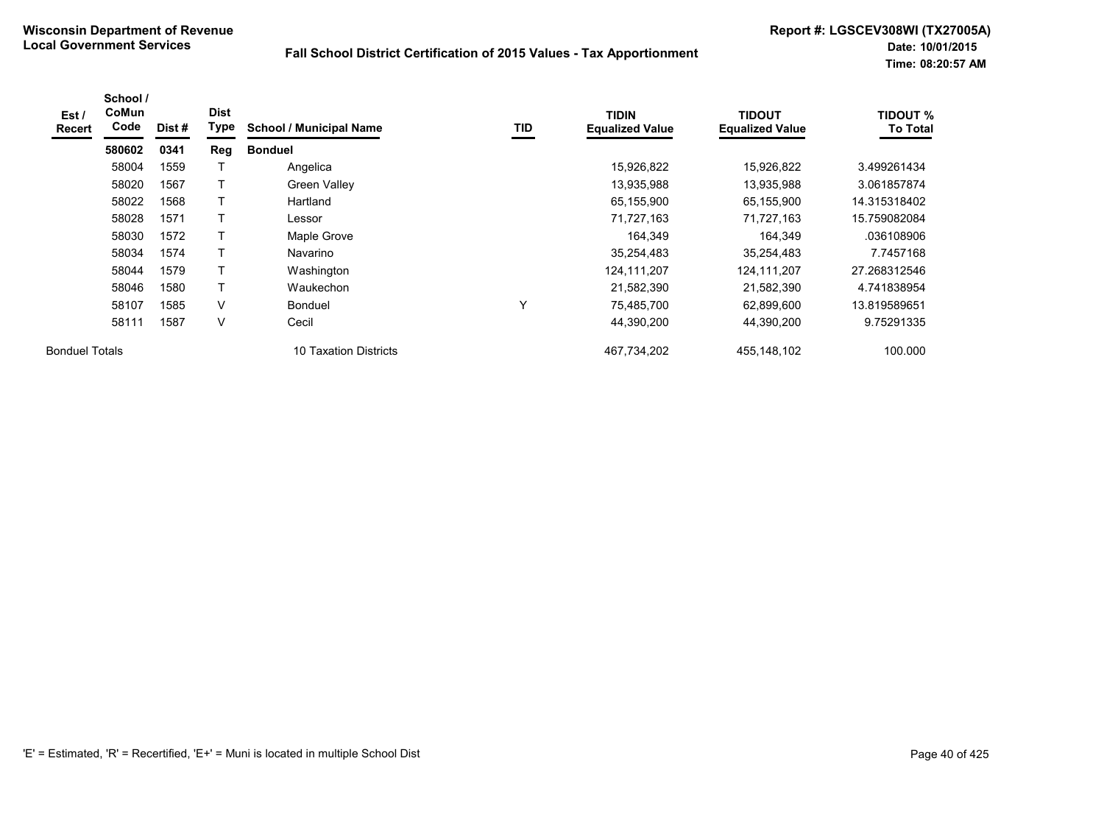| Est /<br><b>Recert</b> | School /<br>CoMun<br>Code | Dist # | <b>Dist</b><br>Type | <b>School / Municipal Name</b> | TID | <b>TIDIN</b><br><b>Equalized Value</b> | <b>TIDOUT</b><br><b>Equalized Value</b> | <b>TIDOUT %</b><br><b>To Total</b> |
|------------------------|---------------------------|--------|---------------------|--------------------------------|-----|----------------------------------------|-----------------------------------------|------------------------------------|
|                        | 580602                    | 0341   | Reg                 | <b>Bonduel</b>                 |     |                                        |                                         |                                    |
|                        | 58004                     | 1559   |                     | Angelica                       |     | 15,926,822                             | 15,926,822                              | 3.499261434                        |
|                        | 58020                     | 1567   |                     | Green Valley                   |     | 13,935,988                             | 13,935,988                              | 3.061857874                        |
|                        | 58022                     | 1568   |                     | Hartland                       |     | 65,155,900                             | 65,155,900                              | 14.315318402                       |
|                        | 58028                     | 1571   |                     | Lessor                         |     | 71,727,163                             | 71,727,163                              | 15.759082084                       |
|                        | 58030                     | 1572   |                     | Maple Grove                    |     | 164,349                                | 164,349                                 | .036108906                         |
|                        | 58034                     | 1574   |                     | Navarino                       |     | 35,254,483                             | 35,254,483                              | 7.7457168                          |
|                        | 58044                     | 1579   |                     | Washington                     |     | 124,111,207                            | 124,111,207                             | 27.268312546                       |
|                        | 58046                     | 1580   | T                   | Waukechon                      |     | 21,582,390                             | 21,582,390                              | 4.741838954                        |
|                        | 58107                     | 1585   | $\vee$              | <b>Bonduel</b>                 | v   | 75,485,700                             | 62,899,600                              | 13.819589651                       |
|                        | 58111                     | 1587   | V                   | Cecil                          |     | 44,390,200                             | 44,390,200                              | 9.75291335                         |
| <b>Bonduel Totals</b>  |                           |        |                     | 10 Taxation Districts          |     | 467,734,202                            | 455,148,102                             | 100.000                            |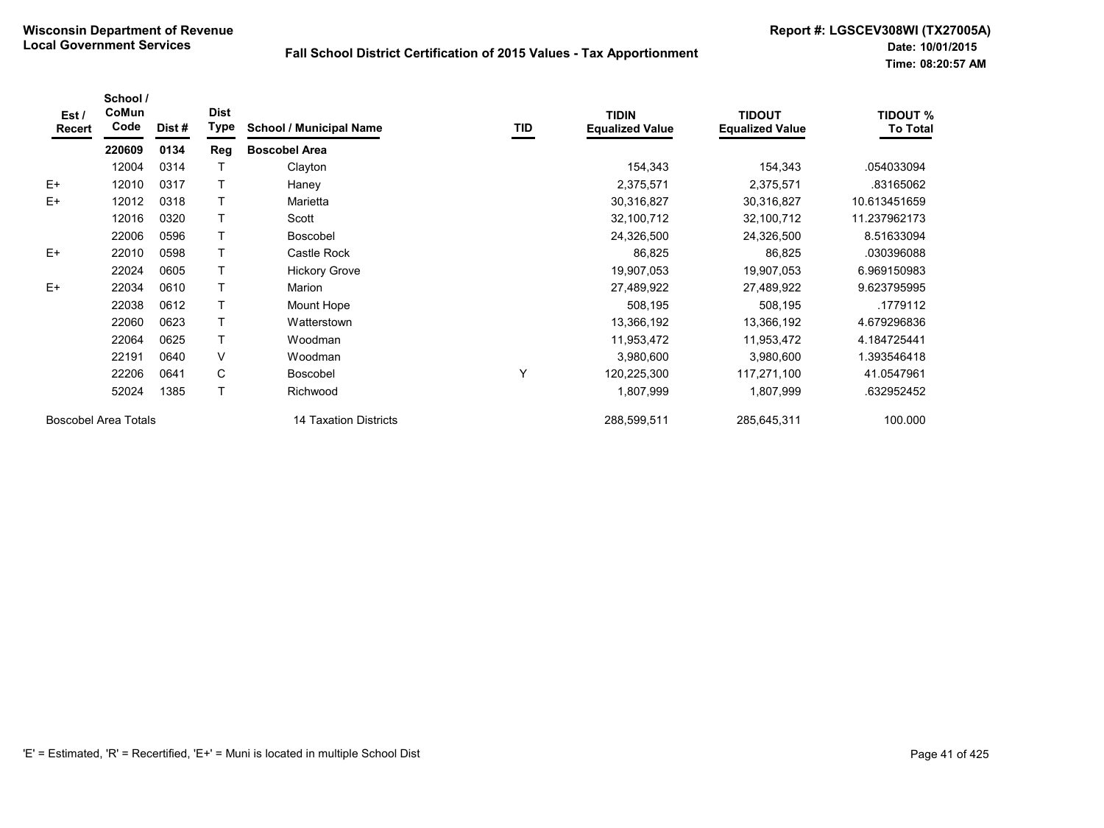| Est/<br>Recert | School /<br>CoMun<br>Code   | Dist # | <b>Dist</b><br><b>Type</b> | <b>School / Municipal Name</b> | TID | <b>TIDIN</b><br><b>Equalized Value</b> | <b>TIDOUT</b><br><b>Equalized Value</b> | <b>TIDOUT %</b><br><b>To Total</b> |
|----------------|-----------------------------|--------|----------------------------|--------------------------------|-----|----------------------------------------|-----------------------------------------|------------------------------------|
|                | 220609                      | 0134   | Reg                        | <b>Boscobel Area</b>           |     |                                        |                                         |                                    |
|                | 12004                       | 0314   |                            | Clayton                        |     | 154,343                                | 154,343                                 | .054033094                         |
| $E+$           | 12010                       | 0317   |                            | Haney                          |     | 2,375,571                              | 2,375,571                               | .83165062                          |
| $E+$           | 12012                       | 0318   |                            | Marietta                       |     | 30,316,827                             | 30,316,827                              | 10.613451659                       |
|                | 12016                       | 0320   |                            | Scott                          |     | 32,100,712                             | 32,100,712                              | 11.237962173                       |
|                | 22006                       | 0596   |                            | <b>Boscobel</b>                |     | 24,326,500                             | 24,326,500                              | 8.51633094                         |
| $E+$           | 22010                       | 0598   |                            | Castle Rock                    |     | 86,825                                 | 86,825                                  | .030396088                         |
|                | 22024                       | 0605   |                            | <b>Hickory Grove</b>           |     | 19,907,053                             | 19,907,053                              | 6.969150983                        |
| $E+$           | 22034                       | 0610   |                            | Marion                         |     | 27,489,922                             | 27,489,922                              | 9.623795995                        |
|                | 22038                       | 0612   |                            | Mount Hope                     |     | 508,195                                | 508,195                                 | .1779112                           |
|                | 22060                       | 0623   | T                          | Watterstown                    |     | 13,366,192                             | 13,366,192                              | 4.679296836                        |
|                | 22064                       | 0625   | т                          | Woodman                        |     | 11,953,472                             | 11,953,472                              | 4.184725441                        |
|                | 22191                       | 0640   | V                          | Woodman                        |     | 3,980,600                              | 3,980,600                               | 1.393546418                        |
|                | 22206                       | 0641   | C                          | <b>Boscobel</b>                | Y   | 120,225,300                            | 117,271,100                             | 41.0547961                         |
|                | 52024                       | 1385   | T                          | Richwood                       |     | 1,807,999                              | 1,807,999                               | .632952452                         |
|                | <b>Boscobel Area Totals</b> |        |                            | 14 Taxation Districts          |     | 288,599,511                            | 285,645,311                             | 100.000                            |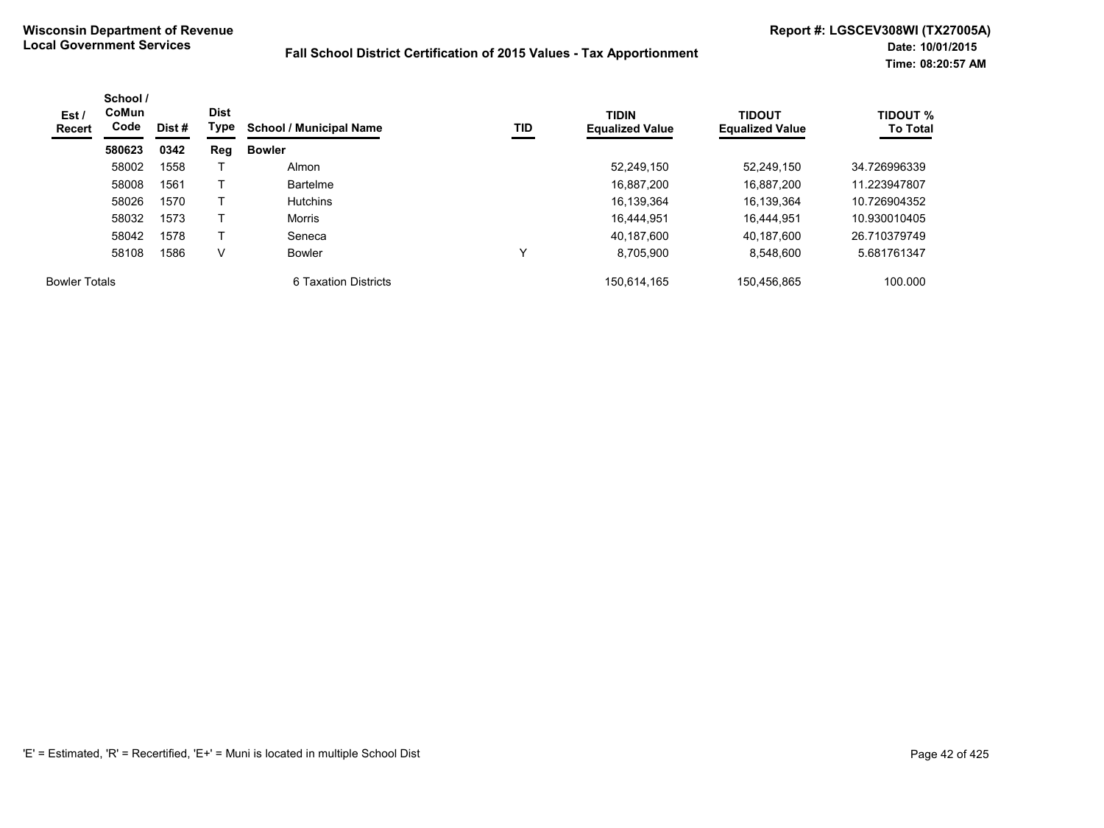| Est /<br><b>Recert</b> | School /<br>CoMun<br>Code | Dist # | <b>Dist</b><br>Type | <b>School / Municipal Name</b> | TID | <b>TIDIN</b><br><b>Equalized Value</b> | <b>TIDOUT</b><br><b>Equalized Value</b> | <b>TIDOUT %</b><br><b>To Total</b> |
|------------------------|---------------------------|--------|---------------------|--------------------------------|-----|----------------------------------------|-----------------------------------------|------------------------------------|
|                        | 580623                    | 0342   | Reg                 | <b>Bowler</b>                  |     |                                        |                                         |                                    |
|                        | 58002                     | 1558   |                     | Almon                          |     | 52,249,150                             | 52,249,150                              | 34.726996339                       |
|                        | 58008                     | 1561   |                     | <b>Bartelme</b>                |     | 16.887.200                             | 16.887.200                              | 11.223947807                       |
|                        | 58026                     | 1570   |                     | <b>Hutchins</b>                |     | 16.139.364                             | 16.139.364                              | 10.726904352                       |
|                        | 58032                     | 1573   |                     | Morris                         |     | 16,444,951                             | 16.444.951                              | 10.930010405                       |
|                        | 58042                     | 1578   |                     | Seneca                         |     | 40.187.600                             | 40.187.600                              | 26.710379749                       |
|                        | 58108                     | 1586   | V                   | <b>Bowler</b>                  |     | 8.705.900                              | 8.548.600                               | 5.681761347                        |
| <b>Bowler Totals</b>   |                           |        |                     | 6 Taxation Districts           |     | 150,614,165                            | 150.456.865                             | 100.000                            |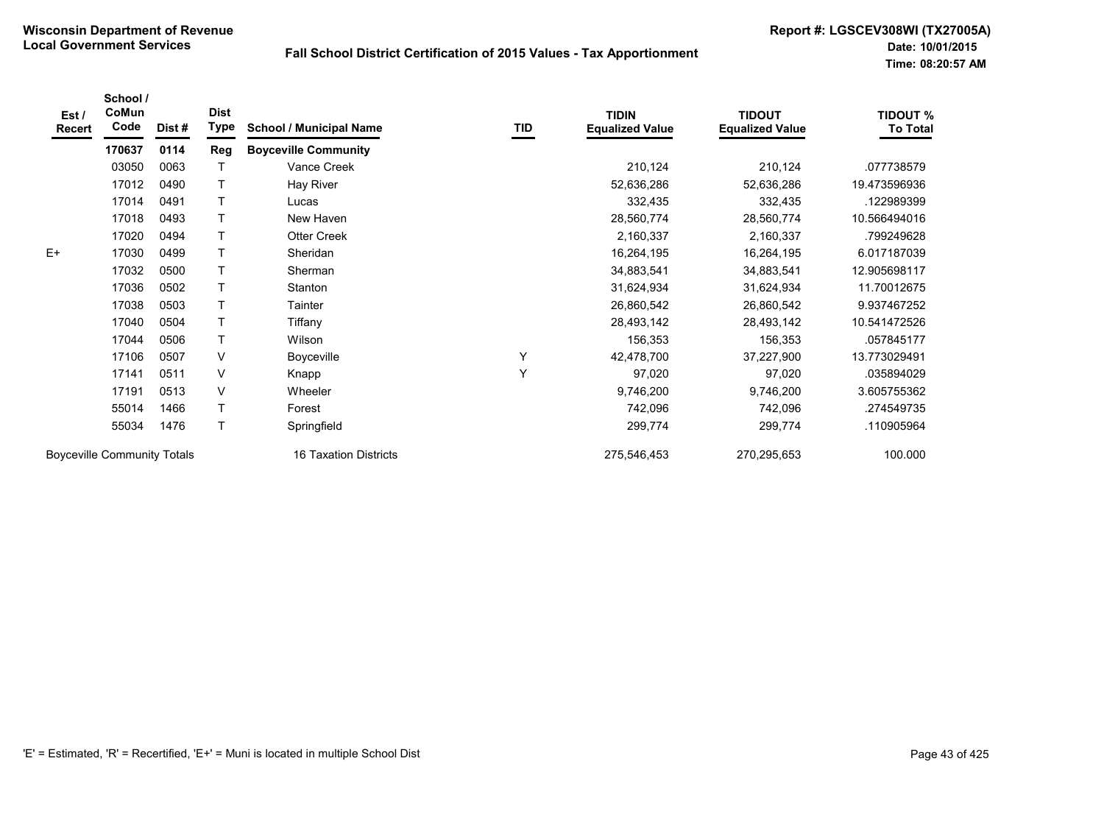| Est/<br>Recert                     | School /<br>CoMun<br>Code | Dist#                 | <b>Dist</b><br>Type | <b>School / Municipal Name</b> | TID         | <b>TIDIN</b><br><b>Equalized Value</b> | <b>TIDOUT</b><br><b>Equalized Value</b> | <b>TIDOUT %</b><br><b>To Total</b> |
|------------------------------------|---------------------------|-----------------------|---------------------|--------------------------------|-------------|----------------------------------------|-----------------------------------------|------------------------------------|
|                                    | 170637                    | 0114                  | <b>Reg</b>          | <b>Boyceville Community</b>    |             |                                        |                                         |                                    |
|                                    | 03050                     | 0063                  |                     | Vance Creek                    |             | 210,124                                | 210,124                                 | .077738579                         |
|                                    | 17012                     | 0490                  |                     | Hay River                      |             | 52,636,286                             | 52,636,286                              | 19.473596936                       |
|                                    | 17014                     | 0491                  |                     | Lucas                          |             | 332,435                                | 332,435                                 | .122989399                         |
|                                    | 17018                     | 0493                  | $\mathsf T$         | New Haven                      |             | 28,560,774                             | 28,560,774                              | 10.566494016                       |
|                                    | 17020                     | 0494                  | $\mathsf{T}$        | <b>Otter Creek</b>             |             | 2,160,337                              | 2,160,337                               | .799249628                         |
| $E+$                               | 17030                     | 0499                  |                     | Sheridan                       |             | 16,264,195                             | 16,264,195                              | 6.017187039                        |
|                                    | 17032                     | 0500                  | $\mathsf{T}$        | Sherman                        |             | 34,883,541                             | 34,883,541                              | 12.905698117                       |
|                                    | 17036                     | 0502                  |                     | Stanton                        |             | 31,624,934                             | 31,624,934                              | 11.70012675                        |
|                                    | 17038                     | 0503                  | $\mathsf{T}$        | Tainter                        |             | 26,860,542                             | 26,860,542                              | 9.937467252                        |
|                                    | 17040                     | 0504                  | $\mathsf{T}$        | Tiffany                        |             | 28,493,142                             | 28,493,142                              | 10.541472526                       |
|                                    | 17044                     | 0506                  | $\mathsf{T}$        | Wilson                         |             | 156,353                                | 156,353                                 | .057845177                         |
|                                    | 17106                     | 0507                  | V                   | <b>Boyceville</b>              | Υ           | 42,478,700                             | 37,227,900                              | 13.773029491                       |
|                                    | 17141                     | 0511                  | V                   | Knapp                          | Y           | 97,020                                 | 97,020                                  | .035894029                         |
|                                    | 17191                     | 0513                  | V                   | Wheeler                        |             | 9,746,200                              | 9,746,200                               | 3.605755362                        |
|                                    | 55014                     | 1466                  | $\mathsf T$         | Forest                         |             | 742,096                                | 742,096                                 | .274549735                         |
|                                    | 55034                     | 1476                  | $\mathsf{T}$        | Springfield                    |             | 299,774                                | 299,774                                 | .110905964                         |
| <b>Boyceville Community Totals</b> |                           | 16 Taxation Districts |                     | 275,546,453                    | 270,295,653 | 100.000                                |                                         |                                    |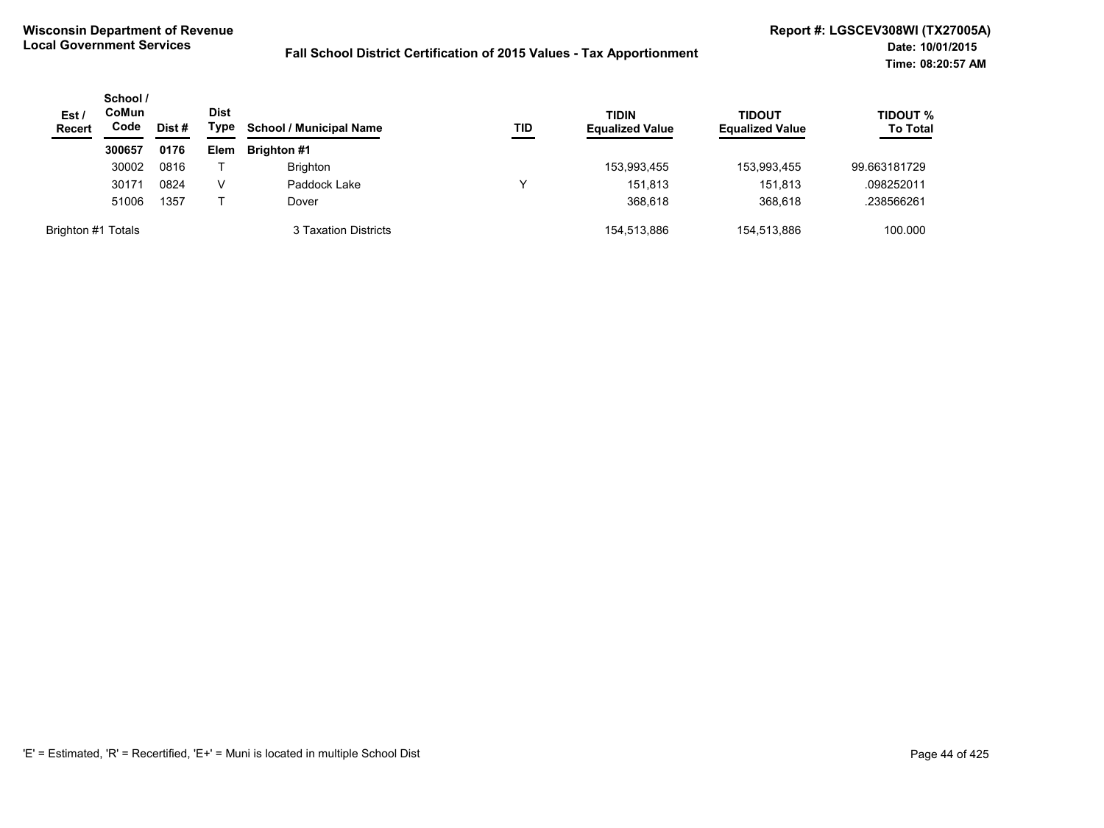| Est/<br><b>Recert</b> | School /<br>CoMun<br>Code | Dist # | Dist<br>Type | <b>School / Municipal Name</b> | TID | <b>TIDIN</b><br><b>Equalized Value</b> | <b>TIDOUT</b><br><b>Equalized Value</b> | <b>TIDOUT %</b><br><b>To Total</b> |
|-----------------------|---------------------------|--------|--------------|--------------------------------|-----|----------------------------------------|-----------------------------------------|------------------------------------|
|                       | 300657                    | 0176   | Elem         | <b>Brighton #1</b>             |     |                                        |                                         |                                    |
|                       | 30002                     | 0816   |              | <b>Brighton</b>                |     | 153,993,455                            | 153,993,455                             | 99.663181729                       |
|                       | 30171                     | 0824   | v            | Paddock Lake                   |     | 151.813                                | 151,813                                 | .098252011                         |
|                       | 51006                     | 1357   |              | Dover                          |     | 368,618                                | 368,618                                 | .238566261                         |
| Brighton #1 Totals    |                           |        |              | 3 Taxation Districts           |     | 154,513,886                            | 154,513,886                             | 100.000                            |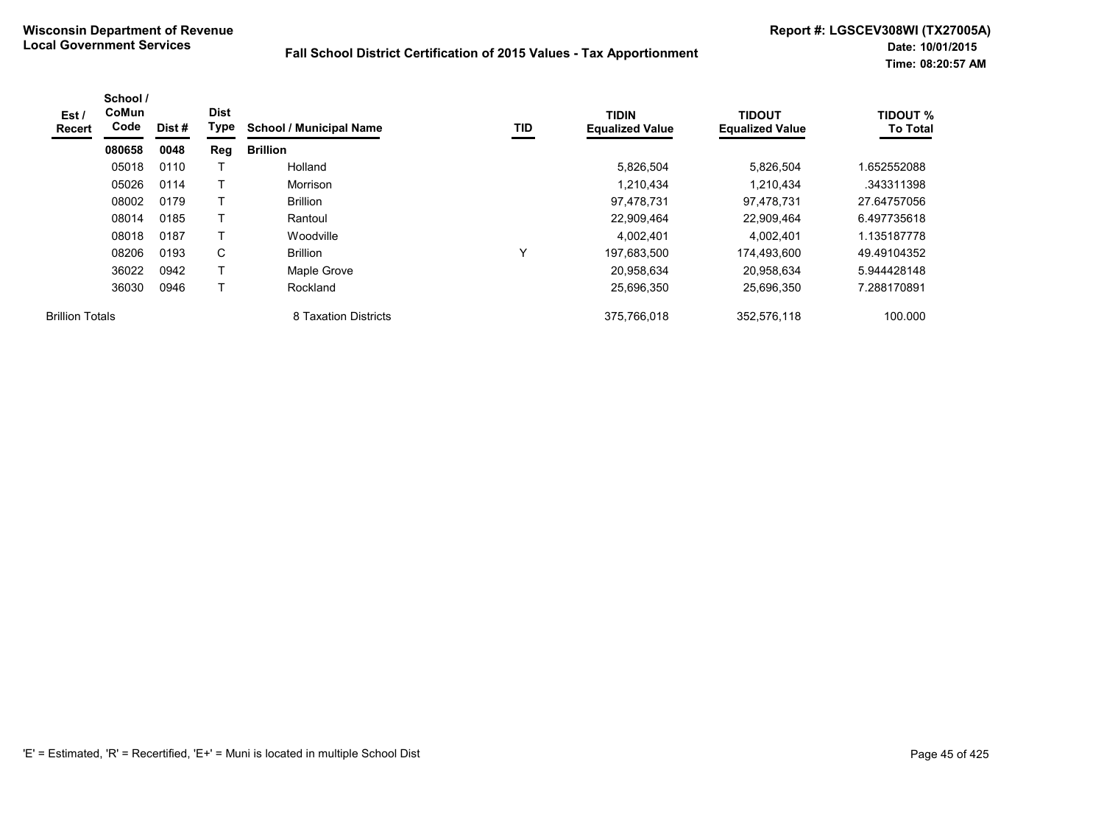| Est /<br>Recert        | School /<br><b>CoMun</b><br>Code | Dist # | <b>Dist</b><br>Type | <b>School / Municipal Name</b> | TID | <b>TIDIN</b><br><b>Equalized Value</b> | <b>TIDOUT</b><br><b>Equalized Value</b> | <b>TIDOUT %</b><br><b>To Total</b> |
|------------------------|----------------------------------|--------|---------------------|--------------------------------|-----|----------------------------------------|-----------------------------------------|------------------------------------|
|                        | 080658                           | 0048   | Reg                 | <b>Brillion</b>                |     |                                        |                                         |                                    |
|                        | 05018                            | 0110   |                     | Holland                        |     | 5,826,504                              | 5,826,504                               | 1.652552088                        |
|                        | 05026                            | 0114   | T                   | Morrison                       |     | 1,210,434                              | 1,210,434                               | .343311398                         |
|                        | 08002                            | 0179   | Т                   | <b>Brillion</b>                |     | 97,478,731                             | 97,478,731                              | 27.64757056                        |
|                        | 08014                            | 0185   | $\top$              | Rantoul                        |     | 22,909,464                             | 22.909.464                              | 6.497735618                        |
|                        | 08018                            | 0187   | Т                   | Woodville                      |     | 4,002,401                              | 4,002,401                               | 1.135187778                        |
|                        | 08206                            | 0193   | C                   | <b>Brillion</b>                | v   | 197,683,500                            | 174,493,600                             | 49.49104352                        |
|                        | 36022                            | 0942   | $\top$              | Maple Grove                    |     | 20,958,634                             | 20.958.634                              | 5.944428148                        |
|                        | 36030                            | 0946   | т                   | Rockland                       |     | 25,696,350                             | 25,696,350                              | 7.288170891                        |
| <b>Brillion Totals</b> |                                  |        |                     | 8 Taxation Districts           |     | 375,766,018                            | 352,576,118                             | 100.000                            |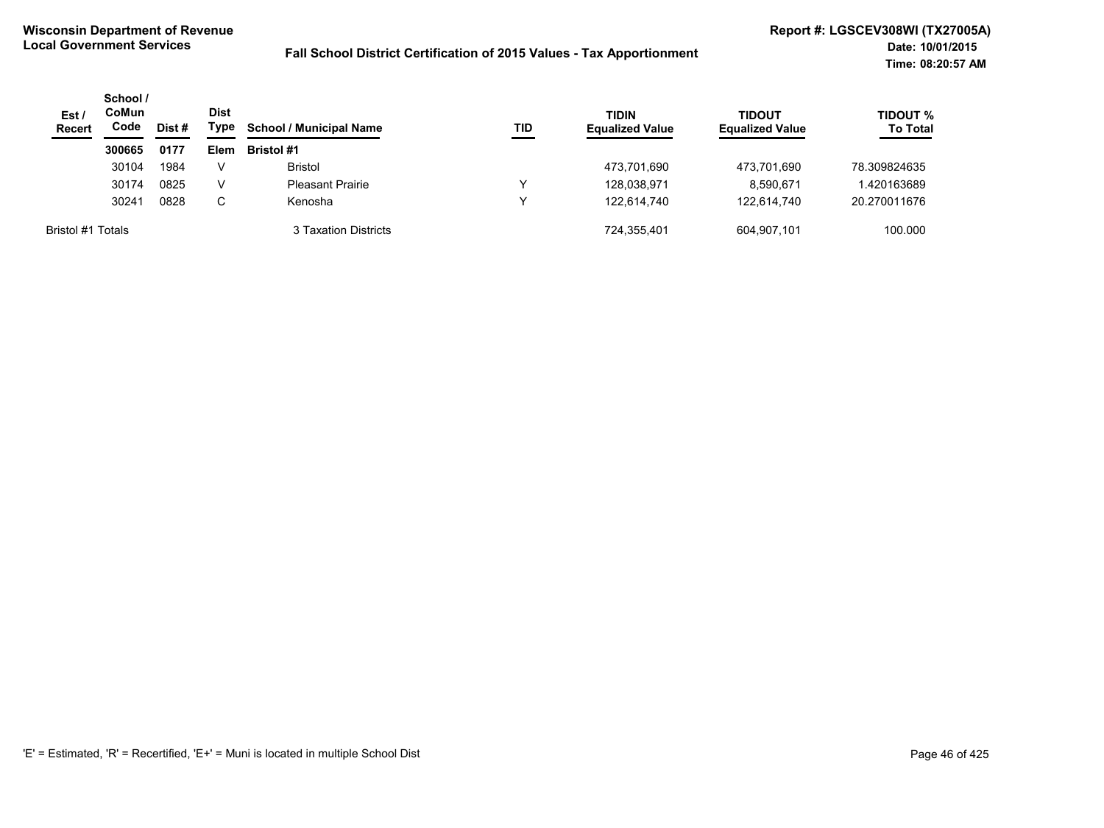| Est/<br><b>Recert</b> | School /<br>CoMun<br>Code | Dist # | Dist<br>Type | <b>School / Municipal Name</b> | TID | <b>TIDIN</b><br><b>Equalized Value</b> | <b>TIDOUT</b><br><b>Equalized Value</b> | <b>TIDOUT %</b><br><b>To Total</b> |
|-----------------------|---------------------------|--------|--------------|--------------------------------|-----|----------------------------------------|-----------------------------------------|------------------------------------|
|                       | 300665                    | 0177   | Elem         | <b>Bristol #1</b>              |     |                                        |                                         |                                    |
|                       | 30104                     | 1984   | v            | <b>Bristol</b>                 |     | 473,701,690                            | 473,701,690                             | 78.309824635                       |
|                       | 30174                     | 0825   | v            | <b>Pleasant Prairie</b>        |     | 128,038,971                            | 8,590,671                               | .420163689                         |
|                       | 30241                     | 0828   | C            | Kenosha                        |     | 122.614.740                            | 122.614.740                             | 20.270011676                       |
| Bristol #1 Totals     |                           |        |              | 3 Taxation Districts           |     | 724,355,401                            | 604.907.101                             | 100.000                            |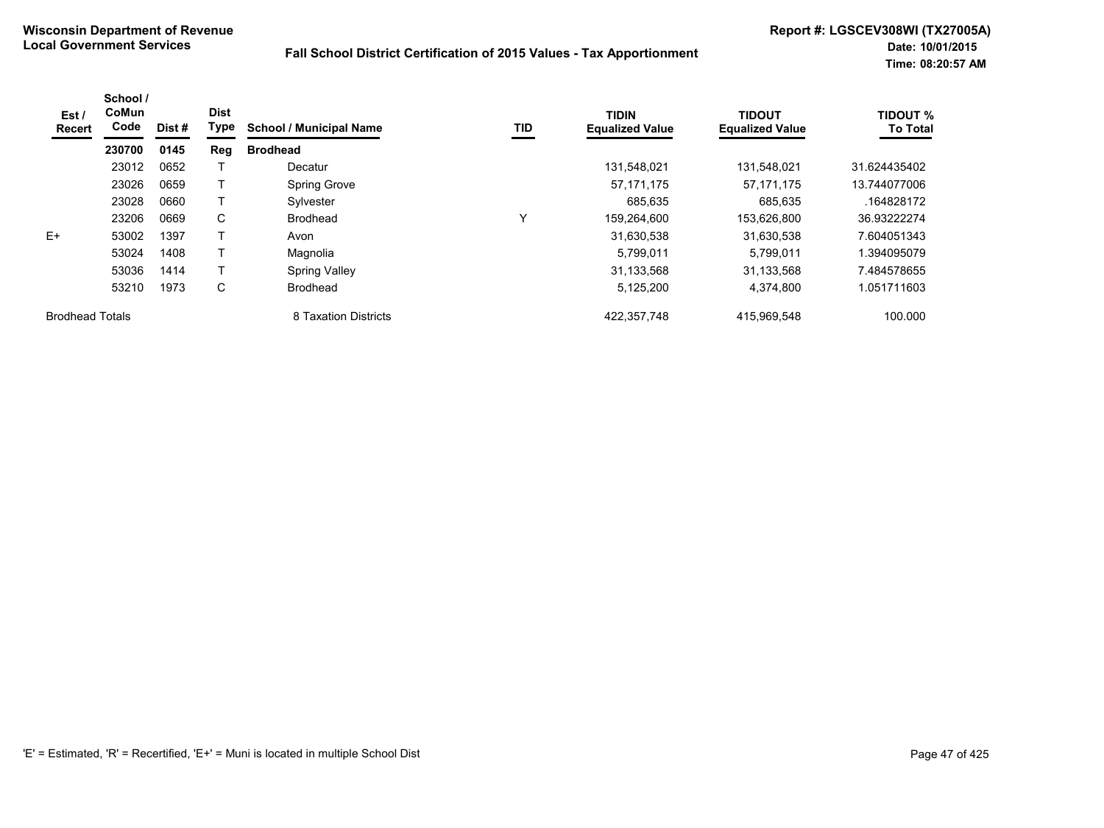| Est/<br>Recert         | School /<br>CoMun<br>Code | Dist # | <b>Dist</b><br>Type | <b>School / Municipal Name</b> | TID          | <b>TIDIN</b><br><b>Equalized Value</b> | <b>TIDOUT</b><br><b>Equalized Value</b> | <b>TIDOUT %</b><br><b>To Total</b> |
|------------------------|---------------------------|--------|---------------------|--------------------------------|--------------|----------------------------------------|-----------------------------------------|------------------------------------|
|                        | 230700                    | 0145   | Reg                 | <b>Brodhead</b>                |              |                                        |                                         |                                    |
|                        | 23012                     | 0652   |                     | Decatur                        |              | 131,548,021                            | 131,548,021                             | 31.624435402                       |
|                        | 23026                     | 0659   |                     | <b>Spring Grove</b>            |              | 57, 171, 175                           | 57,171,175                              | 13.744077006                       |
|                        | 23028                     | 0660   | T                   | Sylvester                      |              | 685.635                                | 685.635                                 | .164828172                         |
|                        | 23206                     | 0669   | C                   | <b>Brodhead</b>                | $\checkmark$ | 159,264,600                            | 153,626,800                             | 36.93222274                        |
| E+                     | 53002                     | 1397   |                     | Avon                           |              | 31,630,538                             | 31,630,538                              | 7.604051343                        |
|                        | 53024                     | 1408   | т                   | Magnolia                       |              | 5,799,011                              | 5,799,011                               | 1.394095079                        |
|                        | 53036                     | 1414   |                     | <b>Spring Valley</b>           |              | 31,133,568                             | 31.133.568                              | 7.484578655                        |
|                        | 53210                     | 1973   | C                   | <b>Brodhead</b>                |              | 5,125,200                              | 4,374,800                               | 1.051711603                        |
| <b>Brodhead Totals</b> |                           |        |                     | 8 Taxation Districts           |              | 422.357.748                            | 415,969,548                             | 100.000                            |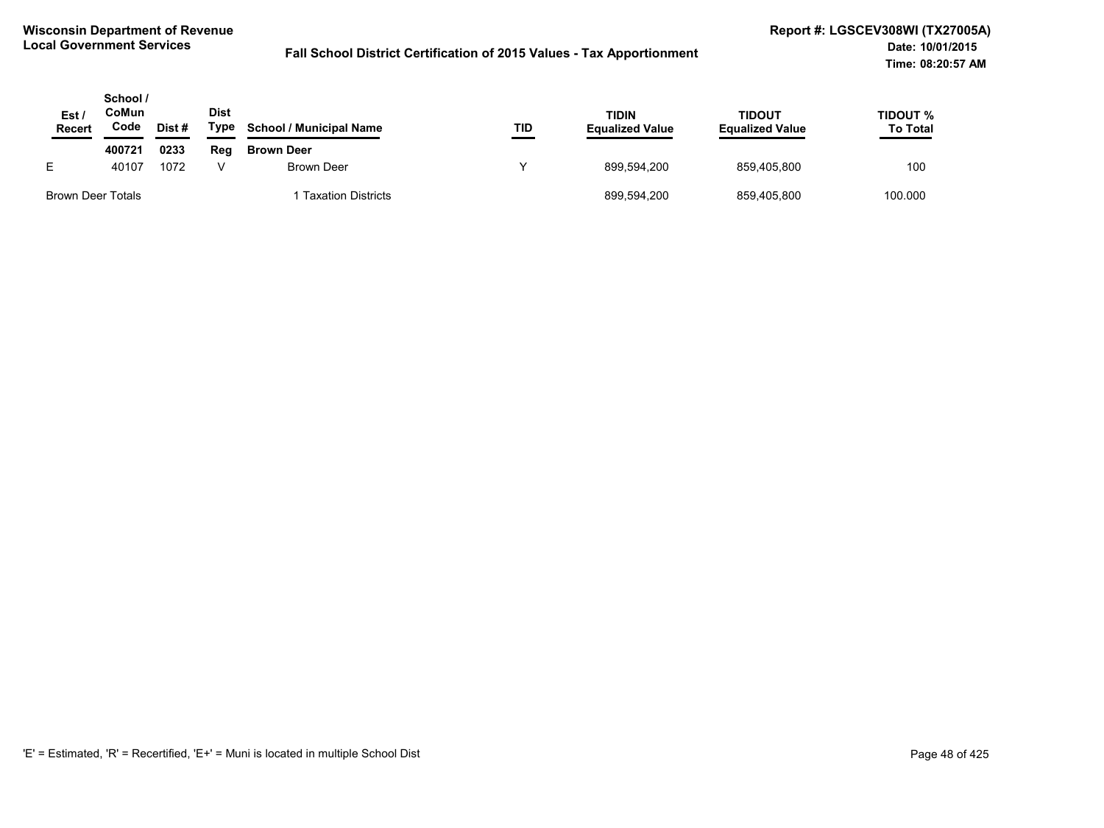| Est<br>Recert     | School /<br>CoMun<br>Code | Dist # | <b>Dist</b><br>Type | <b>School / Municipal Name</b> | TID | TIDIN<br><b>Equalized Value</b> | <b>TIDOUT</b><br><b>Equalized Value</b> | TIDOUT %<br><b>To Total</b> |
|-------------------|---------------------------|--------|---------------------|--------------------------------|-----|---------------------------------|-----------------------------------------|-----------------------------|
|                   | 400721                    | 0233   | Reg                 | <b>Brown Deer</b>              |     |                                 |                                         |                             |
| E.                | 40107                     | 1072   |                     | Brown Deer                     | v   | 899.594.200                     | 859.405.800                             | 100                         |
| Brown Deer Totals |                           |        |                     | <b>Taxation Districts</b>      |     | 899,594,200                     | 859,405,800                             | 100.000                     |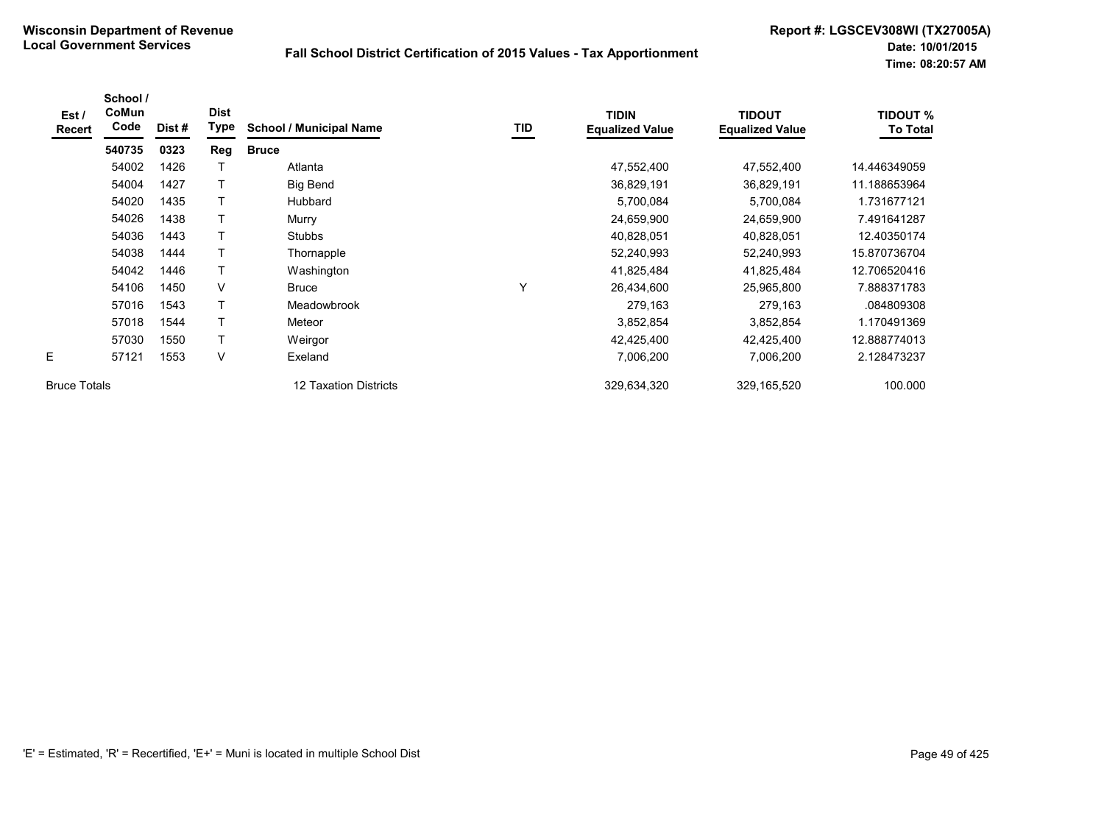| Est /<br><b>Recert</b> | School /<br>CoMun<br>Code | Dist# | <b>Dist</b><br><b>Type</b> | <b>School / Municipal Name</b> | TID | <b>TIDIN</b><br><b>Equalized Value</b> | <b>TIDOUT</b><br><b>Equalized Value</b> | <b>TIDOUT %</b><br><b>To Total</b> |
|------------------------|---------------------------|-------|----------------------------|--------------------------------|-----|----------------------------------------|-----------------------------------------|------------------------------------|
|                        | 540735                    | 0323  | Reg                        | <b>Bruce</b>                   |     |                                        |                                         |                                    |
|                        | 54002                     | 1426  |                            | Atlanta                        |     | 47,552,400                             | 47,552,400                              | 14.446349059                       |
|                        | 54004                     | 1427  | T                          | <b>Big Bend</b>                |     | 36,829,191                             | 36,829,191                              | 11.188653964                       |
|                        | 54020                     | 1435  | $\mathsf{T}$               | Hubbard                        |     | 5,700,084                              | 5,700,084                               | 1.731677121                        |
|                        | 54026                     | 1438  | T                          | Murry                          |     | 24,659,900                             | 24,659,900                              | 7.491641287                        |
|                        | 54036                     | 1443  |                            | <b>Stubbs</b>                  |     | 40,828,051                             | 40,828,051                              | 12.40350174                        |
|                        | 54038                     | 1444  | $\top$                     | Thornapple                     |     | 52,240,993                             | 52,240,993                              | 15.870736704                       |
|                        | 54042                     | 1446  | $\top$                     | Washington                     |     | 41,825,484                             | 41,825,484                              | 12.706520416                       |
|                        | 54106                     | 1450  | V                          | <b>Bruce</b>                   | v   | 26,434,600                             | 25,965,800                              | 7.888371783                        |
|                        | 57016                     | 1543  | $\mathsf{T}$               | Meadowbrook                    |     | 279,163                                | 279,163                                 | .084809308                         |
|                        | 57018                     | 1544  | т                          | Meteor                         |     | 3,852,854                              | 3,852,854                               | 1.170491369                        |
|                        | 57030                     | 1550  | $\mathsf{T}$               | Weirgor                        |     | 42,425,400                             | 42,425,400                              | 12.888774013                       |
| E                      | 57121                     | 1553  | V                          | Exeland                        |     | 7,006,200                              | 7,006,200                               | 2.128473237                        |
| <b>Bruce Totals</b>    |                           |       |                            | 12 Taxation Districts          |     | 329,634,320                            | 329,165,520                             | 100.000                            |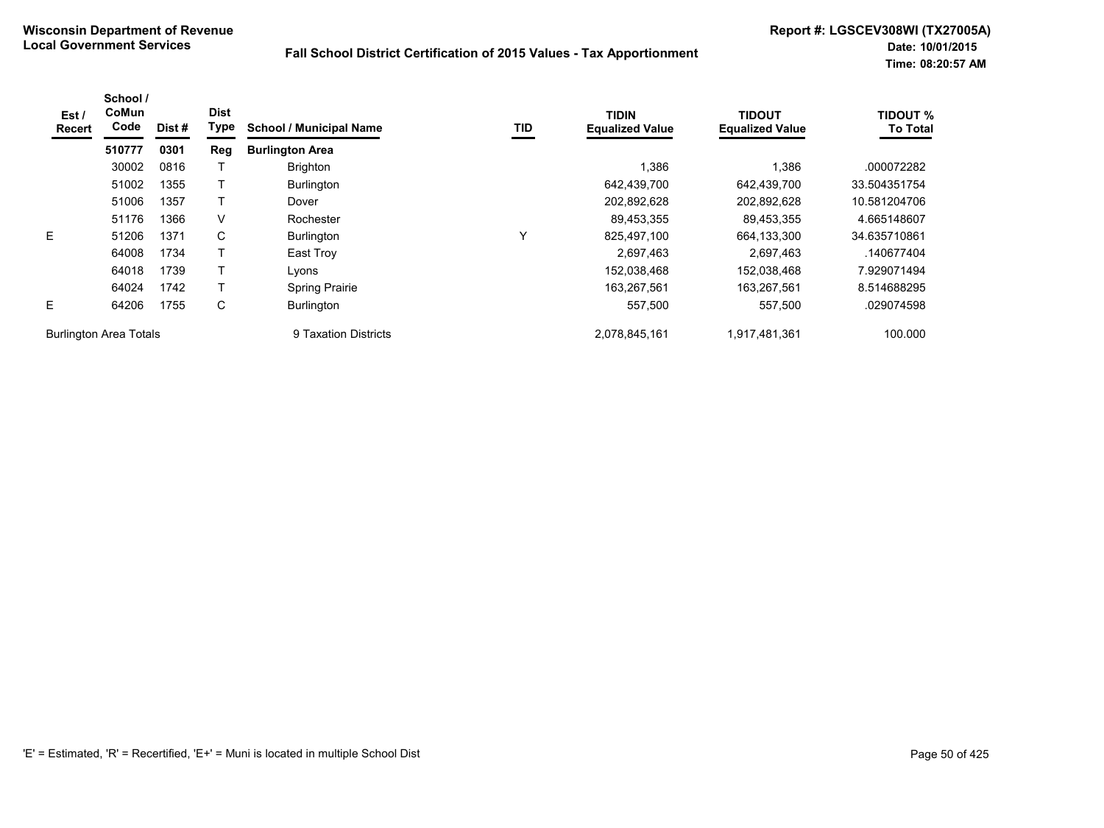| Est/<br>Recert                | School /<br>CoMun<br>Code | Dist # | <b>Dist</b><br>Type | <b>School / Municipal Name</b> | TID | <b>TIDIN</b><br><b>Equalized Value</b> | <b>TIDOUT</b><br><b>Equalized Value</b> | <b>TIDOUT %</b><br><b>To Total</b> |
|-------------------------------|---------------------------|--------|---------------------|--------------------------------|-----|----------------------------------------|-----------------------------------------|------------------------------------|
|                               | 510777                    | 0301   | Reg                 | <b>Burlington Area</b>         |     |                                        |                                         |                                    |
|                               | 30002                     | 0816   |                     | <b>Brighton</b>                |     | 1,386                                  | 1,386                                   | .000072282                         |
|                               | 51002                     | 1355   |                     | Burlington                     |     | 642,439,700                            | 642,439,700                             | 33.504351754                       |
|                               | 51006                     | 1357   |                     | Dover                          |     | 202,892,628                            | 202,892,628                             | 10.581204706                       |
|                               | 51176                     | 1366   | V                   | Rochester                      |     | 89,453,355                             | 89,453,355                              | 4.665148607                        |
| E                             | 51206                     | 1371   | C                   | <b>Burlington</b>              | Υ   | 825,497,100                            | 664,133,300                             | 34.635710861                       |
|                               | 64008                     | 1734   |                     | East Troy                      |     | 2,697,463                              | 2,697,463                               | .140677404                         |
|                               | 64018                     | 1739   |                     | Lvons                          |     | 152,038,468                            | 152,038,468                             | 7.929071494                        |
|                               | 64024                     | 1742   |                     | <b>Spring Prairie</b>          |     | 163,267,561                            | 163,267,561                             | 8.514688295                        |
| E                             | 64206                     | 1755   | С                   | <b>Burlington</b>              |     | 557,500                                | 557,500                                 | .029074598                         |
| <b>Burlington Area Totals</b> |                           |        |                     | 9 Taxation Districts           |     | 2,078,845,161                          | 1,917,481,361                           | 100.000                            |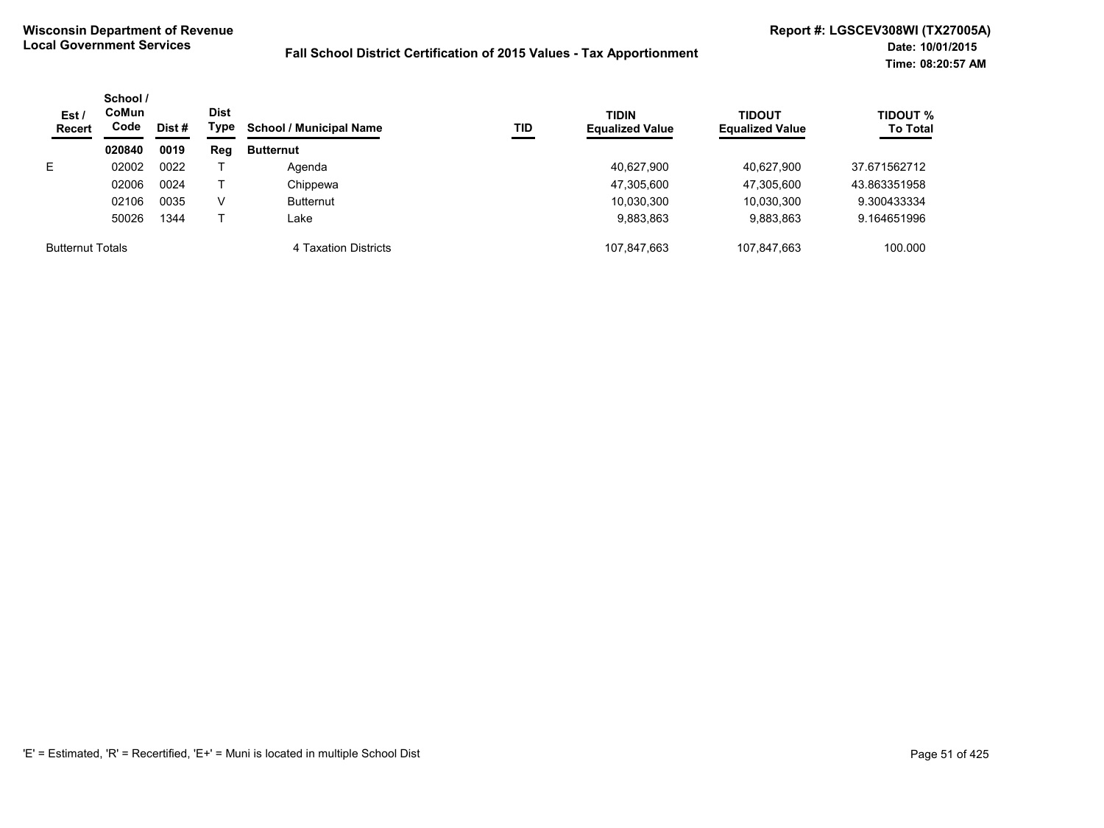| Est/<br><b>Recert</b>   | School /<br>CoMun<br>Code | Dist # | <b>Dist</b><br>Type | <b>School / Municipal Name</b> | TID | <b>TIDIN</b><br><b>Equalized Value</b> | <b>TIDOUT</b><br><b>Equalized Value</b> | <b>TIDOUT %</b><br><b>To Total</b> |
|-------------------------|---------------------------|--------|---------------------|--------------------------------|-----|----------------------------------------|-----------------------------------------|------------------------------------|
|                         | 020840                    | 0019   | Reg                 | <b>Butternut</b>               |     |                                        |                                         |                                    |
| E.                      | 02002                     | 0022   |                     | Agenda                         |     | 40.627.900                             | 40.627.900                              | 37.671562712                       |
|                         | 02006                     | 0024   |                     | Chippewa                       |     | 47,305,600                             | 47.305.600                              | 43.863351958                       |
|                         | 02106                     | 0035   | V                   | <b>Butternut</b>               |     | 10,030,300                             | 10,030,300                              | 9.300433334                        |
|                         | 50026                     | 1344   |                     | Lake                           |     | 9,883,863                              | 9,883,863                               | 9.164651996                        |
| <b>Butternut Totals</b> |                           |        |                     | 4 Taxation Districts           |     | 107.847.663                            | 107.847.663                             | 100.000                            |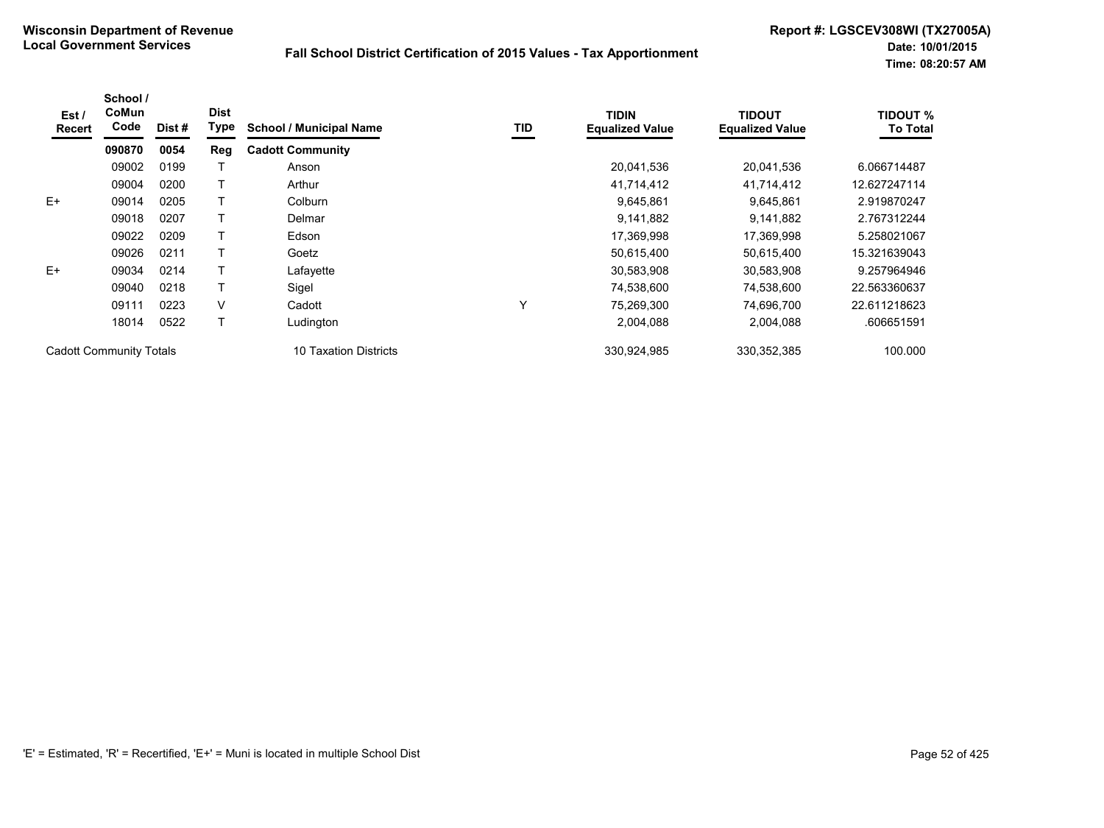| Est /<br>Recert                | School /<br>CoMun<br>Code | Dist # | <b>Dist</b><br><b>Type</b> | <b>School / Municipal Name</b> | TID | <b>TIDIN</b><br><b>Equalized Value</b> | <b>TIDOUT</b><br><b>Equalized Value</b> | <b>TIDOUT %</b><br><b>To Total</b> |
|--------------------------------|---------------------------|--------|----------------------------|--------------------------------|-----|----------------------------------------|-----------------------------------------|------------------------------------|
|                                | 090870                    | 0054   | Reg                        | <b>Cadott Community</b>        |     |                                        |                                         |                                    |
|                                | 09002                     | 0199   |                            | Anson                          |     | 20,041,536                             | 20,041,536                              | 6.066714487                        |
|                                | 09004                     | 0200   |                            | Arthur                         |     | 41,714,412                             | 41,714,412                              | 12.627247114                       |
| $E+$                           | 09014                     | 0205   |                            | Colburn                        |     | 9,645,861                              | 9,645,861                               | 2.919870247                        |
|                                | 09018                     | 0207   |                            | Delmar                         |     | 9,141,882                              | 9,141,882                               | 2.767312244                        |
|                                | 09022                     | 0209   |                            | Edson                          |     | 17,369,998                             | 17,369,998                              | 5.258021067                        |
|                                | 09026                     | 0211   |                            | Goetz                          |     | 50,615,400                             | 50,615,400                              | 15.321639043                       |
| $E+$                           | 09034                     | 0214   |                            | Lafayette                      |     | 30,583,908                             | 30,583,908                              | 9.257964946                        |
|                                | 09040                     | 0218   |                            | Sigel                          |     | 74,538,600                             | 74,538,600                              | 22.563360637                       |
|                                | 09111                     | 0223   | V                          | Cadott                         | Υ   | 75,269,300                             | 74,696,700                              | 22.611218623                       |
|                                | 18014                     | 0522   |                            | Ludington                      |     | 2,004,088                              | 2,004,088                               | .606651591                         |
| <b>Cadott Community Totals</b> |                           |        |                            | 10 Taxation Districts          |     | 330,924,985                            | 330, 352, 385                           | 100.000                            |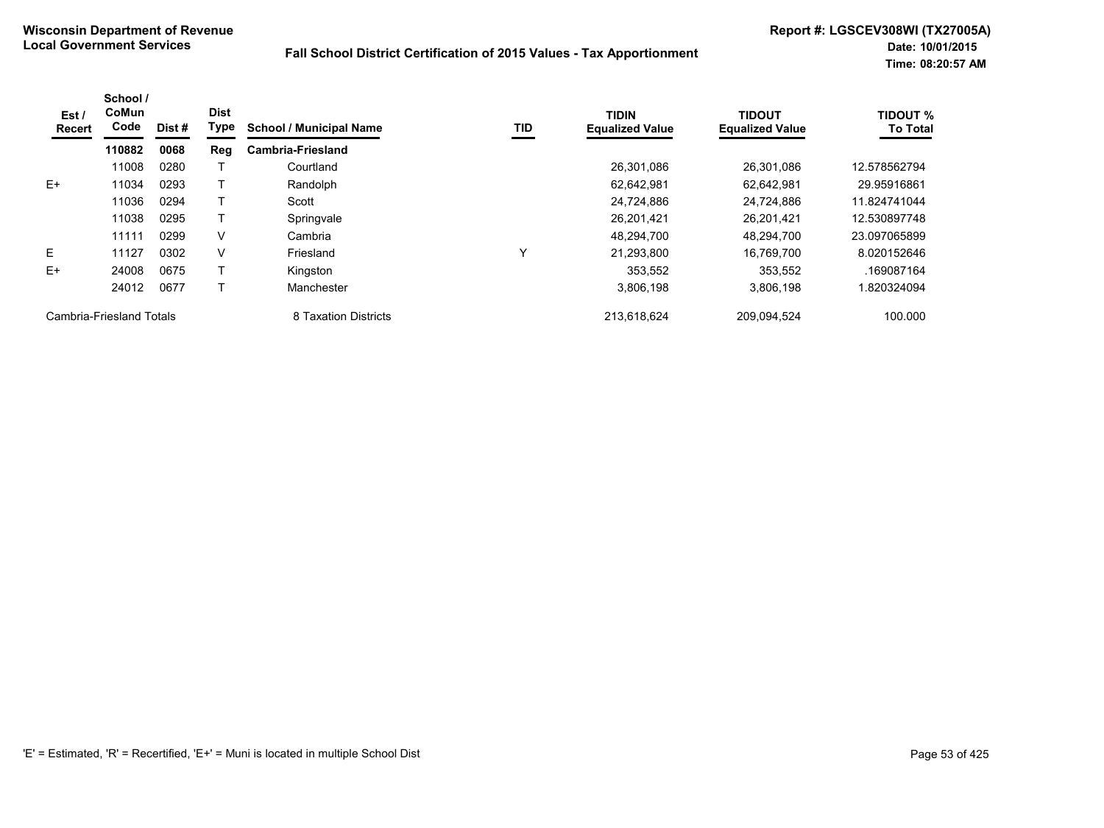| Est/<br>Recert           | School /<br>CoMun<br>Code | Dist# | <b>Dist</b><br>Type | <b>School / Municipal Name</b> | <b>TID</b> | <b>TIDIN</b><br><b>Equalized Value</b> | <b>TIDOUT</b><br><b>Equalized Value</b> | <b>TIDOUT %</b><br><b>To Total</b> |
|--------------------------|---------------------------|-------|---------------------|--------------------------------|------------|----------------------------------------|-----------------------------------------|------------------------------------|
|                          | 110882                    | 0068  | Reg                 | <b>Cambria-Friesland</b>       |            |                                        |                                         |                                    |
|                          | 11008                     | 0280  |                     | Courtland                      |            | 26.301.086                             | 26.301.086                              | 12.578562794                       |
| $E+$                     | 11034                     | 0293  |                     | Randolph                       |            | 62,642,981                             | 62,642,981                              | 29.95916861                        |
|                          | 11036                     | 0294  |                     | Scott                          |            | 24,724,886                             | 24.724.886                              | 11.824741044                       |
|                          | 11038                     | 0295  |                     | Springvale                     |            | 26,201,421                             | 26,201,421                              | 12.530897748                       |
|                          | 11111                     | 0299  | V                   | Cambria                        |            | 48,294,700                             | 48.294.700                              | 23.097065899                       |
| E.                       | 11127                     | 0302  | V                   | Friesland                      | ν          | 21,293,800                             | 16.769.700                              | 8.020152646                        |
| $E+$                     | 24008                     | 0675  |                     | Kingston                       |            | 353.552                                | 353.552                                 | .169087164                         |
|                          | 24012                     | 0677  |                     | Manchester                     |            | 3,806,198                              | 3,806,198                               | 1.820324094                        |
| Cambria-Friesland Totals |                           |       |                     | 8 Taxation Districts           |            | 213.618.624                            | 209,094,524                             | 100.000                            |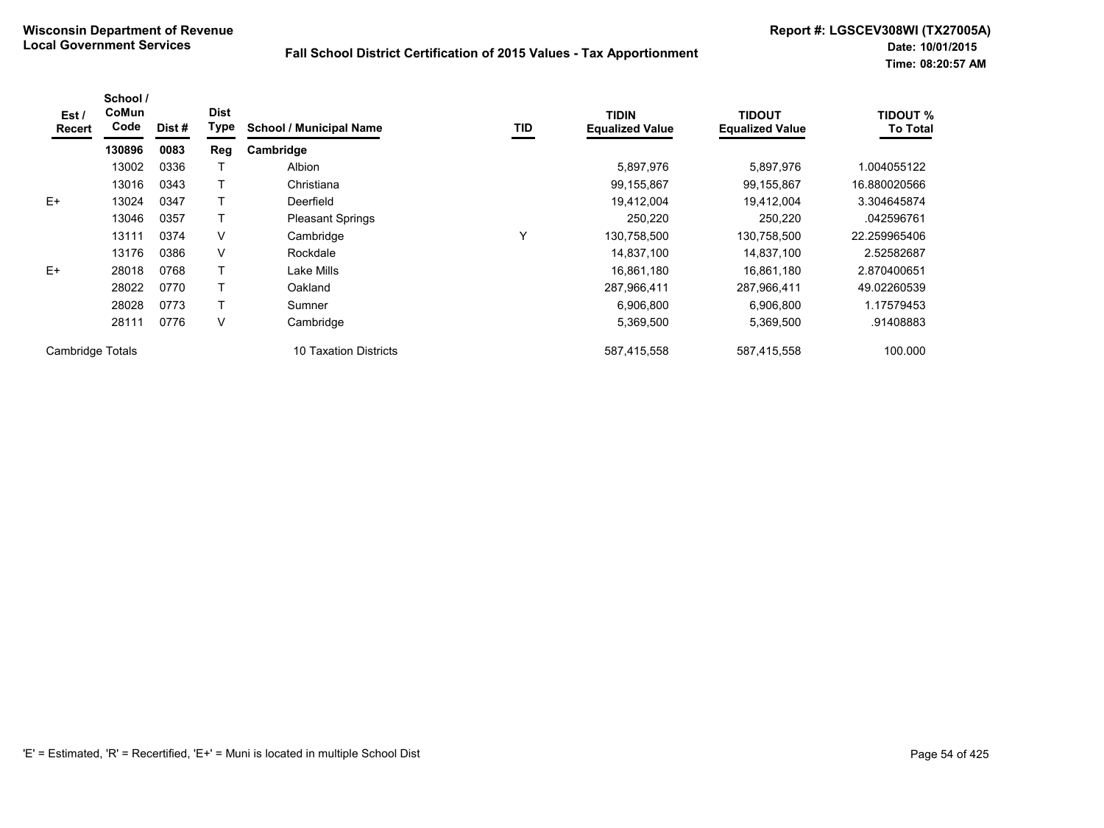| Est /<br><b>Recert</b> | School /<br>CoMun<br>Code | Dist# | <b>Dist</b><br>Type | <b>School / Municipal Name</b> | TID | <b>TIDIN</b><br><b>Equalized Value</b> | <b>TIDOUT</b><br><b>Equalized Value</b> | <b>TIDOUT %</b><br><b>To Total</b> |
|------------------------|---------------------------|-------|---------------------|--------------------------------|-----|----------------------------------------|-----------------------------------------|------------------------------------|
|                        | 130896                    | 0083  | Reg                 | Cambridge                      |     |                                        |                                         |                                    |
|                        | 13002                     | 0336  |                     | Albion                         |     | 5,897,976                              | 5,897,976                               | 1.004055122                        |
|                        | 13016                     | 0343  |                     | Christiana                     |     | 99,155,867                             | 99,155,867                              | 16.880020566                       |
| $E+$                   | 13024                     | 0347  |                     | Deerfield                      |     | 19,412,004                             | 19.412.004                              | 3.304645874                        |
|                        | 13046                     | 0357  |                     | <b>Pleasant Springs</b>        |     | 250,220                                | 250,220                                 | .042596761                         |
|                        | 13111                     | 0374  | V                   | Cambridge                      | Υ   | 130,758,500                            | 130,758,500                             | 22.259965406                       |
|                        | 13176                     | 0386  | V                   | Rockdale                       |     | 14,837,100                             | 14,837,100                              | 2.52582687                         |
| $E+$                   | 28018                     | 0768  |                     | Lake Mills                     |     | 16,861,180                             | 16,861,180                              | 2.870400651                        |
|                        | 28022                     | 0770  |                     | Oakland                        |     | 287,966,411                            | 287,966,411                             | 49.02260539                        |
|                        | 28028                     | 0773  |                     | Sumner                         |     | 6,906,800                              | 6,906,800                               | 1.17579453                         |
|                        | 28111                     | 0776  | V                   | Cambridge                      |     | 5,369,500                              | 5,369,500                               | .91408883                          |
| Cambridge Totals       |                           |       |                     | 10 Taxation Districts          |     | 587,415,558                            | 587.415.558                             | 100.000                            |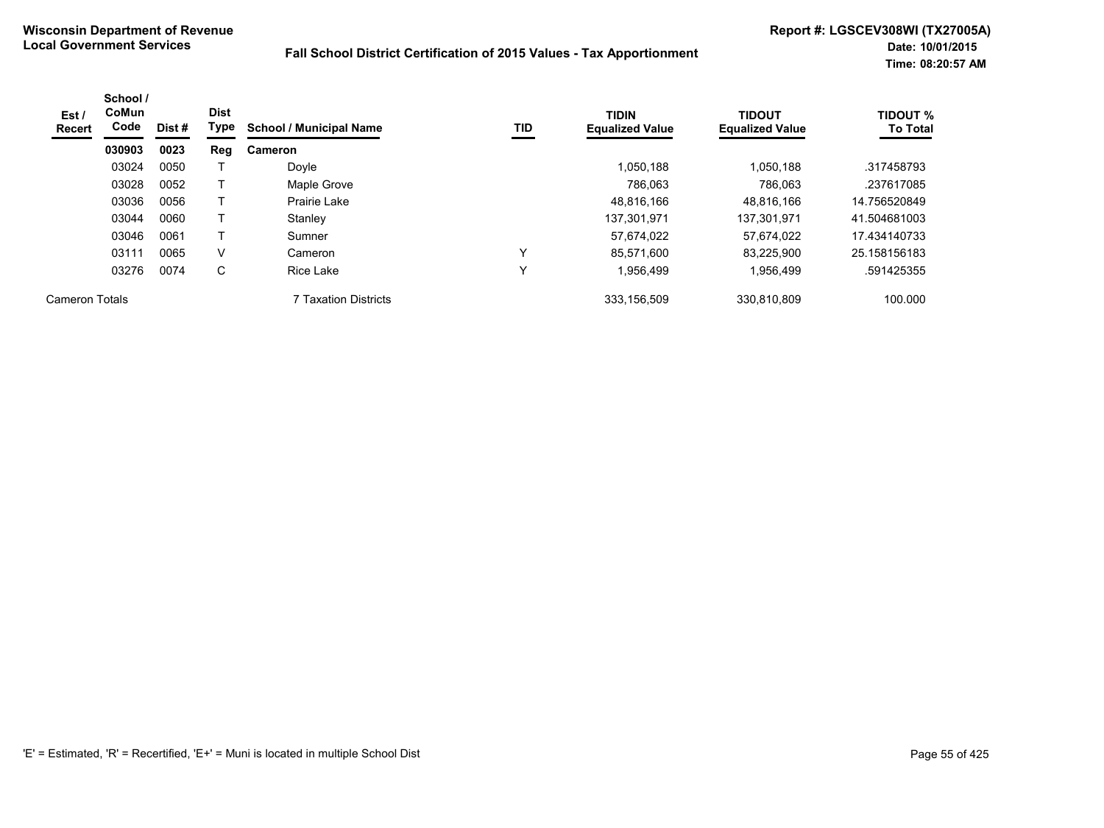| Est /<br><b>Recert</b> | School /<br><b>CoMun</b><br>Code | Dist# | <b>Dist</b><br>Type | <b>School / Municipal Name</b> | TID | <b>TIDIN</b><br><b>Equalized Value</b> | <b>TIDOUT</b><br><b>Equalized Value</b> | <b>TIDOUT %</b><br><b>To Total</b> |
|------------------------|----------------------------------|-------|---------------------|--------------------------------|-----|----------------------------------------|-----------------------------------------|------------------------------------|
|                        | 030903                           | 0023  | Reg                 | Cameron                        |     |                                        |                                         |                                    |
|                        | 03024                            | 0050  |                     | Doyle                          |     | 1.050.188                              | 1.050.188                               | .317458793                         |
|                        | 03028                            | 0052  |                     | Maple Grove                    |     | 786.063                                | 786.063                                 | .237617085                         |
|                        | 03036                            | 0056  |                     | Prairie Lake                   |     | 48,816,166                             | 48.816.166                              | 14.756520849                       |
|                        | 03044                            | 0060  |                     | Stanley                        |     | 137.301.971                            | 137.301.971                             | 41.504681003                       |
|                        | 03046                            | 0061  |                     | Sumner                         |     | 57,674,022                             | 57,674,022                              | 17.434140733                       |
|                        | 03111                            | 0065  | V                   | Cameron                        | v   | 85,571,600                             | 83,225,900                              | 25.158156183                       |
|                        | 03276                            | 0074  | С                   | <b>Rice Lake</b>               | v   | 1,956,499                              | 1,956,499                               | .591425355                         |
| Cameron Totals         |                                  |       |                     | 7 Taxation Districts           |     | 333,156,509                            | 330,810,809                             | 100.000                            |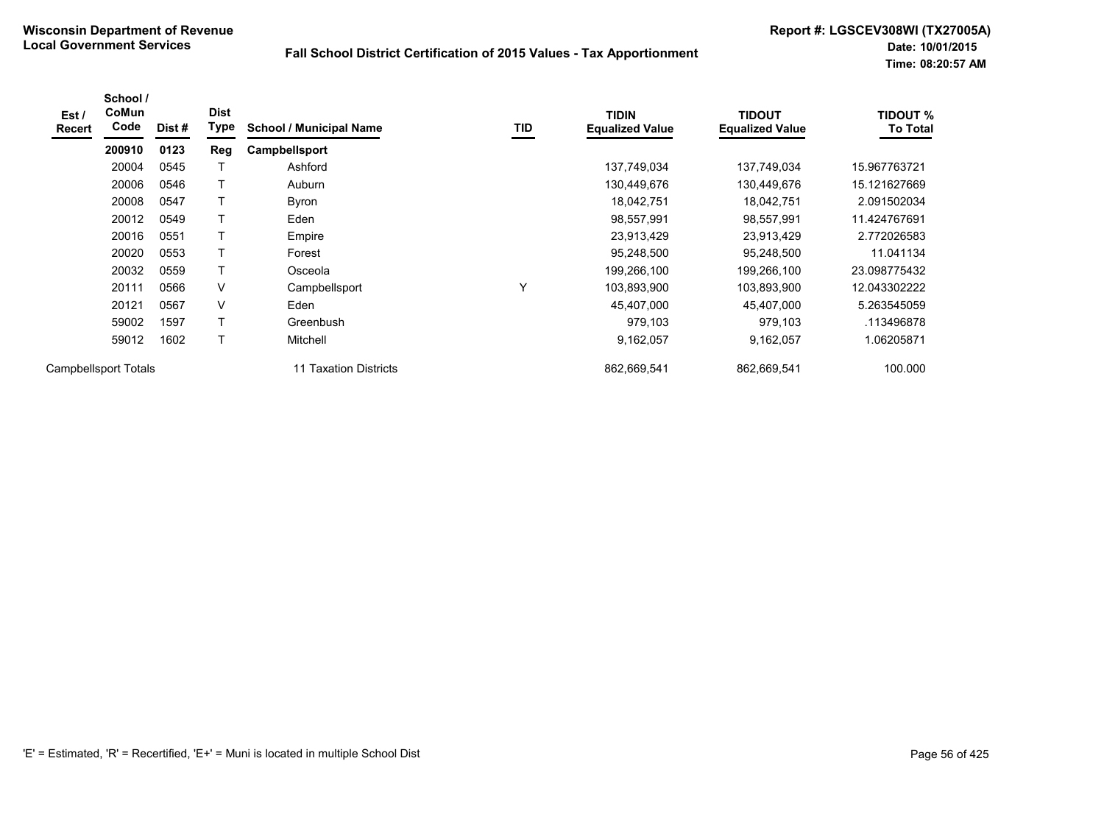| Est /<br><b>Recert</b> | School /<br>CoMun<br>Code | Dist# | <b>Dist</b><br>Type | <b>School / Municipal Name</b> | TID          | <b>TIDIN</b><br><b>Equalized Value</b> | <b>TIDOUT</b><br><b>Equalized Value</b> | <b>TIDOUT %</b><br><b>To Total</b> |
|------------------------|---------------------------|-------|---------------------|--------------------------------|--------------|----------------------------------------|-----------------------------------------|------------------------------------|
|                        | 200910                    | 0123  | Reg                 | Campbellsport                  |              |                                        |                                         |                                    |
|                        | 20004                     | 0545  |                     | Ashford                        |              | 137,749,034                            | 137,749,034                             | 15.967763721                       |
|                        | 20006                     | 0546  |                     | Auburn                         |              | 130,449,676                            | 130,449,676                             | 15.121627669                       |
|                        | 20008                     | 0547  |                     | <b>Byron</b>                   |              | 18,042,751                             | 18,042,751                              | 2.091502034                        |
|                        | 20012                     | 0549  |                     | Eden                           |              | 98,557,991                             | 98,557,991                              | 11.424767691                       |
|                        | 20016                     | 0551  |                     | Empire                         |              | 23,913,429                             | 23,913,429                              | 2.772026583                        |
|                        | 20020                     | 0553  |                     | Forest                         |              | 95,248,500                             | 95,248,500                              | 11.041134                          |
|                        | 20032                     | 0559  | т                   | Osceola                        |              | 199,266,100                            | 199,266,100                             | 23.098775432                       |
|                        | 20111                     | 0566  | V                   | Campbellsport                  | $\checkmark$ | 103,893,900                            | 103,893,900                             | 12.043302222                       |
|                        | 20121                     | 0567  | V                   | Eden                           |              | 45,407,000                             | 45,407,000                              | 5.263545059                        |
|                        | 59002                     | 1597  | T                   | Greenbush                      |              | 979,103                                | 979,103                                 | .113496878                         |
|                        | 59012                     | 1602  | T                   | Mitchell                       |              | 9,162,057                              | 9,162,057                               | 1.06205871                         |
| Campbellsport Totals   |                           |       |                     | 11 Taxation Districts          |              | 862.669.541                            | 862,669,541                             | 100.000                            |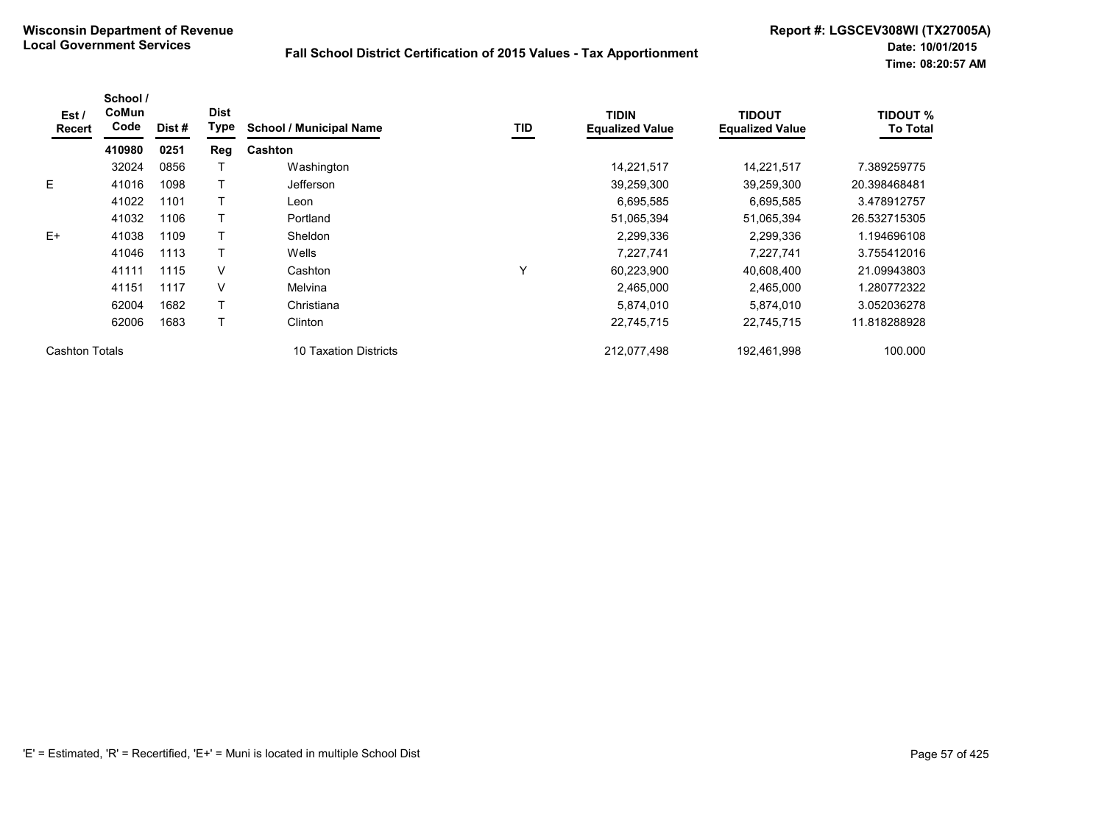| Est/<br><b>Recert</b> | School /<br>CoMun<br>Code | Dist # | <b>Dist</b><br><b>Type</b> | <b>School / Municipal Name</b> | TID | <b>TIDIN</b><br><b>Equalized Value</b> | <b>TIDOUT</b><br><b>Equalized Value</b> | <b>TIDOUT %</b><br><b>To Total</b> |
|-----------------------|---------------------------|--------|----------------------------|--------------------------------|-----|----------------------------------------|-----------------------------------------|------------------------------------|
|                       | 410980                    | 0251   | Reg                        | <b>Cashton</b>                 |     |                                        |                                         |                                    |
|                       | 32024                     | 0856   |                            | Washington                     |     | 14,221,517                             | 14,221,517                              | 7.389259775                        |
| E.                    | 41016                     | 1098   |                            | <b>Jefferson</b>               |     | 39,259,300                             | 39,259,300                              | 20.398468481                       |
|                       | 41022                     | 1101   |                            | Leon                           |     | 6,695,585                              | 6,695,585                               | 3.478912757                        |
|                       | 41032                     | 1106   |                            | Portland                       |     | 51,065,394                             | 51,065,394                              | 26.532715305                       |
| $E+$                  | 41038                     | 1109   |                            | <b>Sheldon</b>                 |     | 2,299,336                              | 2,299,336                               | 1.194696108                        |
|                       | 41046                     | 1113   |                            | Wells                          |     | 7,227,741                              | 7,227,741                               | 3.755412016                        |
|                       | 41111                     | 1115   | V                          | Cashton                        | Υ   | 60,223,900                             | 40,608,400                              | 21.09943803                        |
|                       | 41151                     | 1117   | V                          | Melvina                        |     | 2,465,000                              | 2,465,000                               | 1.280772322                        |
|                       | 62004                     | 1682   |                            | Christiana                     |     | 5,874,010                              | 5,874,010                               | 3.052036278                        |
|                       | 62006                     | 1683   |                            | Clinton                        |     | 22,745,715                             | 22,745,715                              | 11.818288928                       |
| <b>Cashton Totals</b> |                           |        |                            | 10 Taxation Districts          |     | 212,077,498                            | 192,461,998                             | 100.000                            |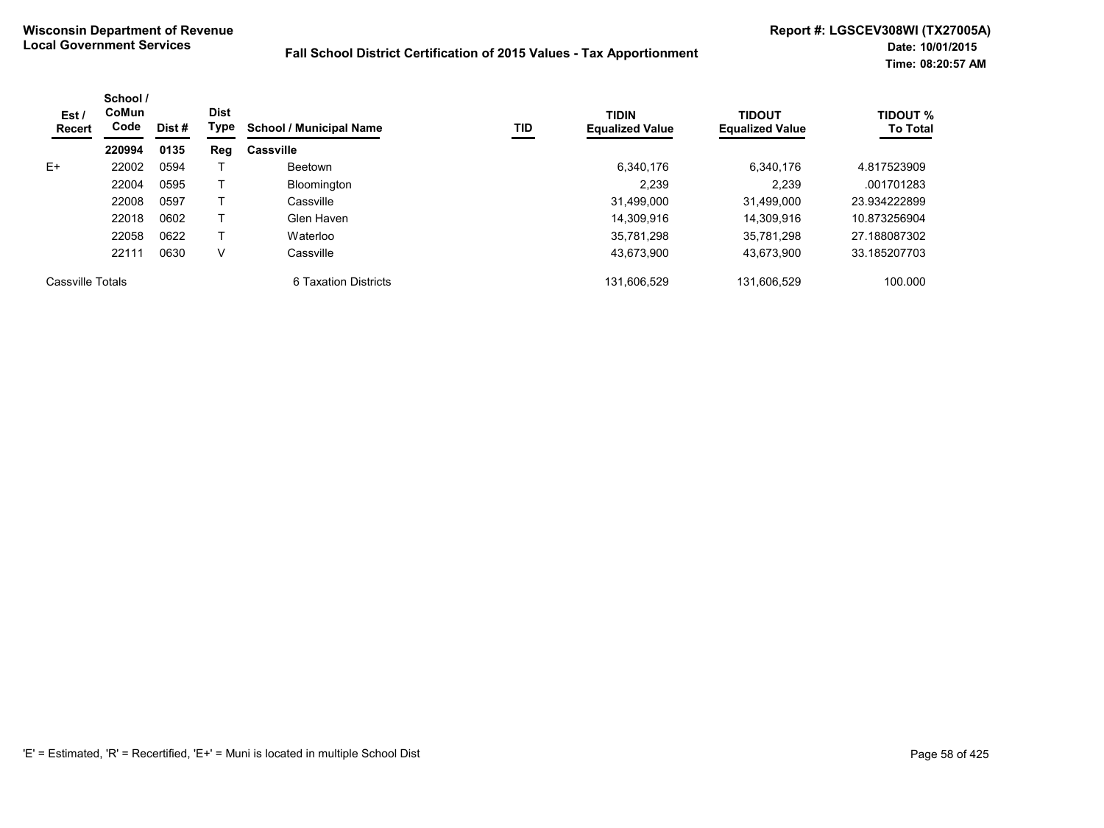| Est /<br><b>Recert</b> | School /<br>CoMun<br>Code | Dist # | <b>Dist</b><br>Type | <b>School / Municipal Name</b> | TID | <b>TIDIN</b><br><b>Equalized Value</b> | <b>TIDOUT</b><br><b>Equalized Value</b> | <b>TIDOUT %</b><br><b>To Total</b> |
|------------------------|---------------------------|--------|---------------------|--------------------------------|-----|----------------------------------------|-----------------------------------------|------------------------------------|
|                        | 220994                    | 0135   | Reg                 | <b>Cassville</b>               |     |                                        |                                         |                                    |
| $E+$                   | 22002                     | 0594   |                     | <b>Beetown</b>                 |     | 6,340,176                              | 6,340,176                               | 4.817523909                        |
|                        | 22004                     | 0595   |                     | Bloomington                    |     | 2.239                                  | 2.239                                   | .001701283                         |
|                        | 22008                     | 0597   |                     | Cassville                      |     | 31,499,000                             | 31.499.000                              | 23.934222899                       |
|                        | 22018                     | 0602   |                     | Glen Haven                     |     | 14,309,916                             | 14.309.916                              | 10.873256904                       |
|                        | 22058                     | 0622   |                     | Waterloo                       |     | 35,781,298                             | 35,781,298                              | 27.188087302                       |
|                        | 22111                     | 0630   | v                   | Cassville                      |     | 43,673,900                             | 43,673,900                              | 33.185207703                       |
| Cassville Totals       |                           |        |                     | 6 Taxation Districts           |     | 131.606.529                            | 131.606.529                             | 100.000                            |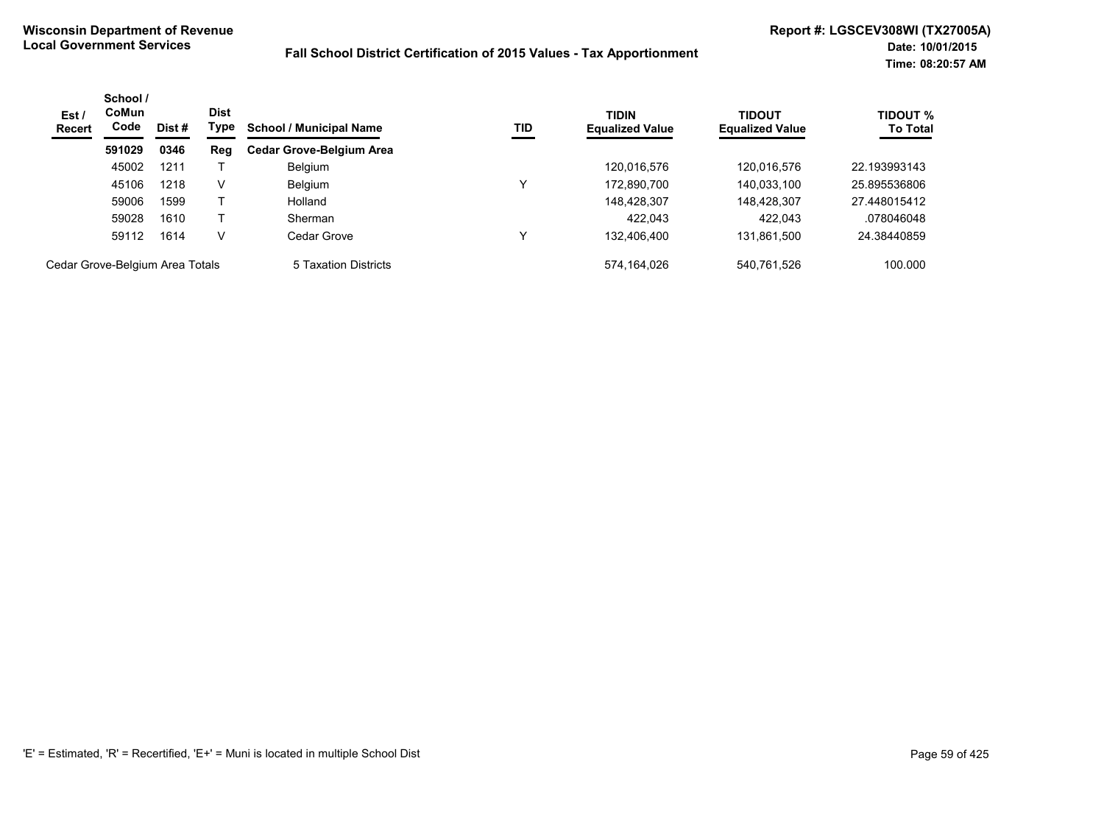| Est /<br><b>Recert</b>          | School /<br><b>CoMun</b><br>Code | Dist# | <b>Dist</b><br>Type | <b>School / Municipal Name</b>  | TID | <b>TIDIN</b><br><b>Equalized Value</b> | <b>TIDOUT</b><br><b>Equalized Value</b> | <b>TIDOUT %</b><br><b>To Total</b> |
|---------------------------------|----------------------------------|-------|---------------------|---------------------------------|-----|----------------------------------------|-----------------------------------------|------------------------------------|
|                                 | 591029                           | 0346  | Reg                 | <b>Cedar Grove-Belgium Area</b> |     |                                        |                                         |                                    |
|                                 | 45002                            | 1211  |                     | <b>Belgium</b>                  |     | 120,016,576                            | 120,016,576                             | 22.193993143                       |
|                                 | 45106                            | 1218  | v                   | <b>Belgium</b>                  | v   | 172,890,700                            | 140,033,100                             | 25.895536806                       |
|                                 | 59006                            | 1599  |                     | Holland                         |     | 148,428,307                            | 148,428,307                             | 27.448015412                       |
|                                 | 59028                            | 1610  |                     | Sherman                         |     | 422.043                                | 422.043                                 | .078046048                         |
|                                 | 59112                            | 1614  | v                   | Cedar Grove                     |     | 132,406,400                            | 131,861,500                             | 24.38440859                        |
| Cedar Grove-Belgium Area Totals |                                  |       |                     | 5 Taxation Districts            |     | 574.164.026                            | 540.761.526                             | 100.000                            |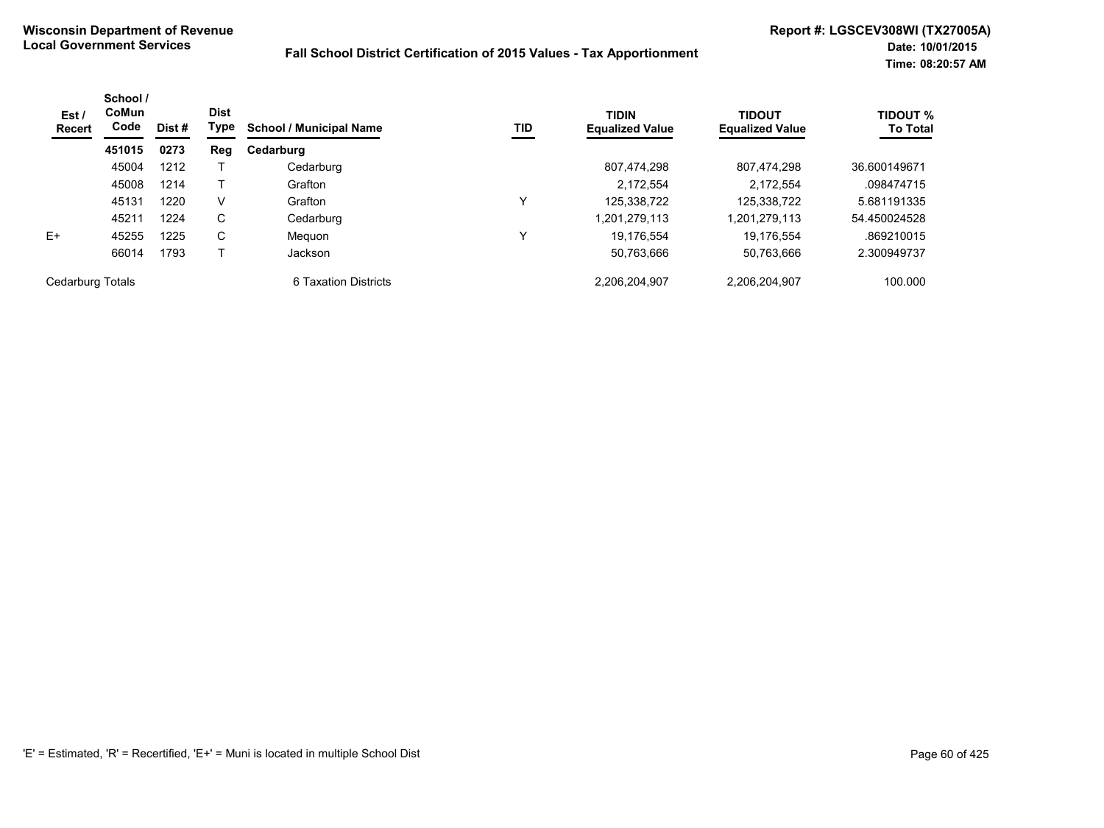| Est/<br><b>Recert</b> | School /<br>CoMun<br>Code | Dist # | <b>Dist</b><br>Type | <b>School / Municipal Name</b> | TID | <b>TIDIN</b><br><b>Equalized Value</b> | <b>TIDOUT</b><br><b>Equalized Value</b> | <b>TIDOUT %</b><br><b>To Total</b> |
|-----------------------|---------------------------|--------|---------------------|--------------------------------|-----|----------------------------------------|-----------------------------------------|------------------------------------|
|                       | 451015                    | 0273   | Reg                 | Cedarburg                      |     |                                        |                                         |                                    |
|                       | 45004                     | 1212   |                     | Cedarburg                      |     | 807,474,298                            | 807,474,298                             | 36.600149671                       |
|                       | 45008                     | 1214   |                     | Grafton                        |     | 2.172.554                              | 2.172.554                               | .098474715                         |
|                       | 45131                     | 1220   | V                   | Grafton                        | 丷   | 125.338.722                            | 125,338,722                             | 5.681191335                        |
|                       | 45211                     | 1224   | $\mathsf{C}$        | Cedarburg                      |     | 1,201,279,113                          | 1,201,279,113                           | 54.450024528                       |
| $E+$                  | 45255                     | 1225   | C                   | Meguon                         | ٧   | 19.176.554                             | 19.176.554                              | .869210015                         |
|                       | 66014                     | 1793   |                     | Jackson                        |     | 50,763,666                             | 50,763,666                              | 2.300949737                        |
| Cedarburg Totals      |                           |        |                     | 6 Taxation Districts           |     | 2.206.204.907                          | 2.206.204.907                           | 100.000                            |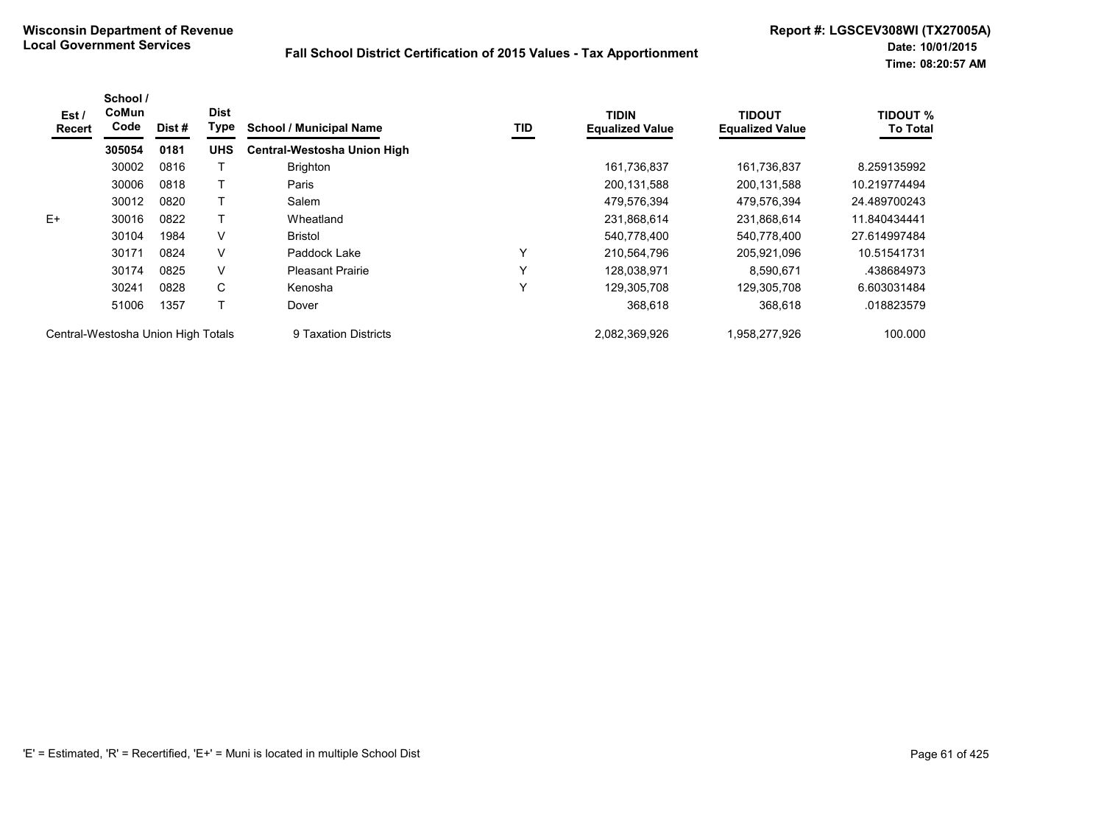| Est /<br>Recert                    | School /<br><b>CoMun</b><br>Code | Dist# | <b>Dist</b><br>Type | <b>School / Municipal Name</b>     | TID          | TIDIN<br><b>Equalized Value</b> | <b>TIDOUT</b><br><b>Equalized Value</b> | <b>TIDOUT %</b><br><b>To Total</b> |
|------------------------------------|----------------------------------|-------|---------------------|------------------------------------|--------------|---------------------------------|-----------------------------------------|------------------------------------|
|                                    | 305054                           | 0181  | <b>UHS</b>          | <b>Central-Westosha Union High</b> |              |                                 |                                         |                                    |
|                                    | 30002                            | 0816  |                     | <b>Brighton</b>                    |              | 161,736,837                     | 161,736,837                             | 8.259135992                        |
|                                    | 30006                            | 0818  |                     | Paris                              |              | 200,131,588                     | 200, 131, 588                           | 10.219774494                       |
|                                    | 30012                            | 0820  |                     | Salem                              |              | 479,576,394                     | 479,576,394                             | 24.489700243                       |
| $E+$                               | 30016                            | 0822  |                     | Wheatland                          |              | 231,868,614                     | 231,868,614                             | 11.840434441                       |
|                                    | 30104                            | 1984  | V                   | <b>Bristol</b>                     |              | 540,778,400                     | 540,778,400                             | 27.614997484                       |
|                                    | 30171                            | 0824  | V                   | Paddock Lake                       | $\checkmark$ | 210,564,796                     | 205,921,096                             | 10.51541731                        |
|                                    | 30174                            | 0825  | V                   | <b>Pleasant Prairie</b>            | $\checkmark$ | 128,038,971                     | 8,590,671                               | .438684973                         |
|                                    | 30241                            | 0828  | C                   | Kenosha                            | $\checkmark$ | 129,305,708                     | 129,305,708                             | 6.603031484                        |
|                                    | 51006                            | 1357  |                     | Dover                              |              | 368,618                         | 368,618                                 | .018823579                         |
| Central-Westosha Union High Totals |                                  |       |                     | 9 Taxation Districts               |              | 2,082,369,926                   | 958,277,926.                            | 100.000                            |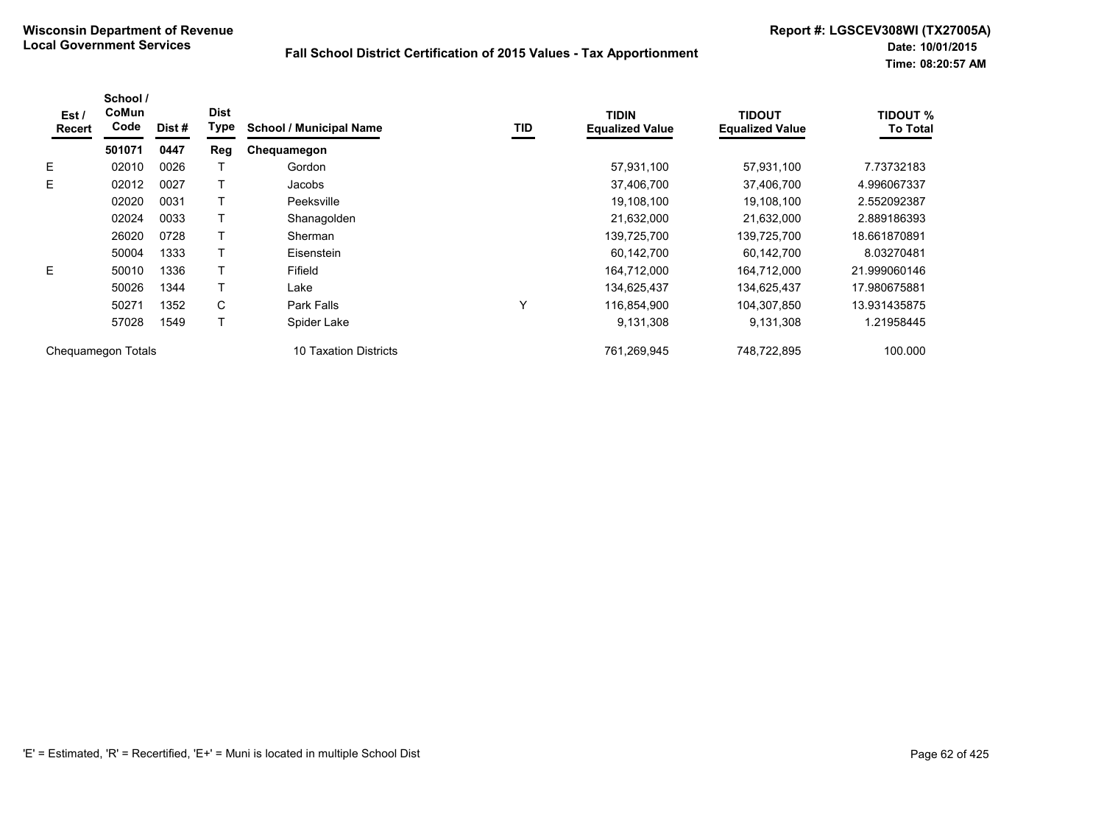| Est /<br><b>Recert</b> | School /<br>CoMun<br>Code | Dist# | <b>Dist</b><br>Type | <b>School / Municipal Name</b>  | TID | <b>TIDIN</b><br><b>Equalized Value</b> | <b>TIDOUT</b><br><b>Equalized Value</b> | <b>TIDOUT %</b><br><b>To Total</b> |
|------------------------|---------------------------|-------|---------------------|---------------------------------|-----|----------------------------------------|-----------------------------------------|------------------------------------|
|                        | 501071                    | 0447  | Reg                 | Chequamegon                     |     |                                        |                                         |                                    |
| E                      | 02010                     | 0026  |                     | Gordon                          |     | 57,931,100                             | 57,931,100                              | 7.73732183                         |
| E                      | 02012                     | 0027  |                     | Jacobs                          |     | 37,406,700                             | 37,406,700                              | 4.996067337                        |
|                        | 02020                     | 0031  |                     | Peeksville                      |     | 19,108,100                             | 19,108,100                              | 2.552092387                        |
|                        | 02024                     | 0033  |                     | Shanagolden                     |     | 21,632,000                             | 21,632,000                              | 2.889186393                        |
|                        | 26020                     | 0728  |                     | Sherman                         |     | 139,725,700                            | 139,725,700                             | 18.661870891                       |
|                        | 50004                     | 1333  |                     | Eisenstein                      |     | 60,142,700                             | 60,142,700                              | 8.03270481                         |
| E                      | 50010                     | 1336  |                     | Fifield                         |     | 164,712,000                            | 164,712,000                             | 21.999060146                       |
|                        | 50026                     | 1344  |                     | Lake                            |     | 134,625,437                            | 134,625,437                             | 17.980675881                       |
|                        | 50271                     | 1352  | C                   | Park Falls                      | ٧   | 116,854,900                            | 104,307,850                             | 13.931435875                       |
|                        | 57028                     | 1549  |                     | Spider Lake                     |     | 9,131,308                              | 9,131,308                               | 1.21958445                         |
|                        | Chequamegon Totals        |       |                     | <b>Taxation Districts</b><br>10 |     | 761.269.945                            | 748.722.895                             | 100.000                            |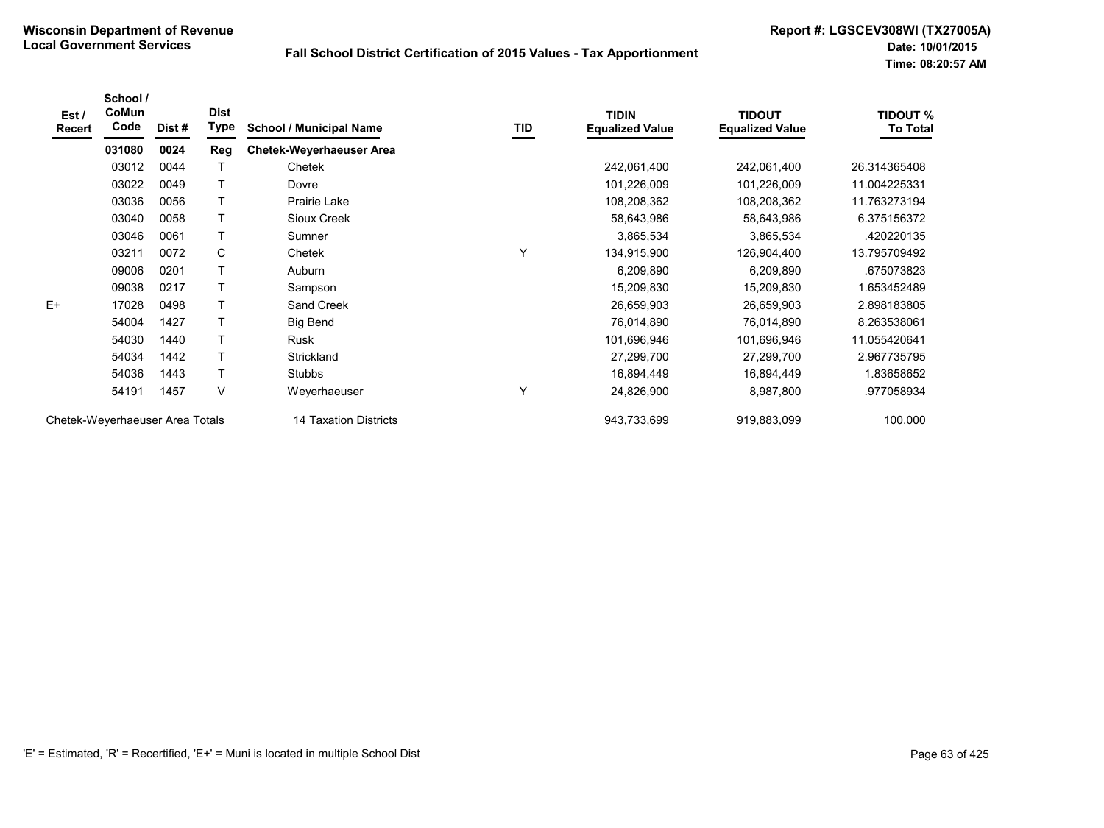| Est/<br><b>Recert</b>           | School /<br>CoMun<br>Code | Dist# | <b>Dist</b><br>Type | <b>School / Municipal Name</b>  | TID | <b>TIDIN</b><br><b>Equalized Value</b> | <b>TIDOUT</b><br><b>Equalized Value</b> | <b>TIDOUT %</b><br><b>To Total</b> |
|---------------------------------|---------------------------|-------|---------------------|---------------------------------|-----|----------------------------------------|-----------------------------------------|------------------------------------|
|                                 | 031080                    | 0024  | Reg                 | <b>Chetek-Weyerhaeuser Area</b> |     |                                        |                                         |                                    |
|                                 | 03012                     | 0044  |                     | Chetek                          |     | 242,061,400                            | 242,061,400                             | 26.314365408                       |
|                                 | 03022                     | 0049  |                     | Dovre                           |     | 101,226,009                            | 101,226,009                             | 11.004225331                       |
|                                 | 03036                     | 0056  |                     | Prairie Lake                    |     | 108,208,362                            | 108,208,362                             | 11.763273194                       |
|                                 | 03040                     | 0058  |                     | Sioux Creek                     |     | 58,643,986                             | 58,643,986                              | 6.375156372                        |
|                                 | 03046                     | 0061  | $\mathsf{T}$        | Sumner                          |     | 3,865,534                              | 3,865,534                               | .420220135                         |
|                                 | 03211                     | 0072  | $\mathsf C$         | Chetek                          | Υ   | 134,915,900                            | 126,904,400                             | 13.795709492                       |
|                                 | 09006                     | 0201  |                     | Auburn                          |     | 6,209,890                              | 6,209,890                               | .675073823                         |
|                                 | 09038                     | 0217  |                     | Sampson                         |     | 15,209,830                             | 15,209,830                              | 1.653452489                        |
| $E+$                            | 17028                     | 0498  | $\mathsf{T}$        | Sand Creek                      |     | 26,659,903                             | 26,659,903                              | 2.898183805                        |
|                                 | 54004                     | 1427  |                     | <b>Big Bend</b>                 |     | 76,014,890                             | 76,014,890                              | 8.263538061                        |
|                                 | 54030                     | 1440  |                     | Rusk                            |     | 101,696,946                            | 101,696,946                             | 11.055420641                       |
|                                 | 54034                     | 1442  |                     | Strickland                      |     | 27,299,700                             | 27,299,700                              | 2.967735795                        |
|                                 | 54036                     | 1443  | $\mathsf{T}$        | Stubbs                          |     | 16,894,449                             | 16,894,449                              | 1.83658652                         |
|                                 | 54191                     | 1457  | V                   | Weyerhaeuser                    | Y   | 24,826,900                             | 8,987,800                               | .977058934                         |
| Chetek-Weyerhaeuser Area Totals |                           |       |                     | 14 Taxation Districts           |     | 943,733,699                            | 919,883,099                             | 100.000                            |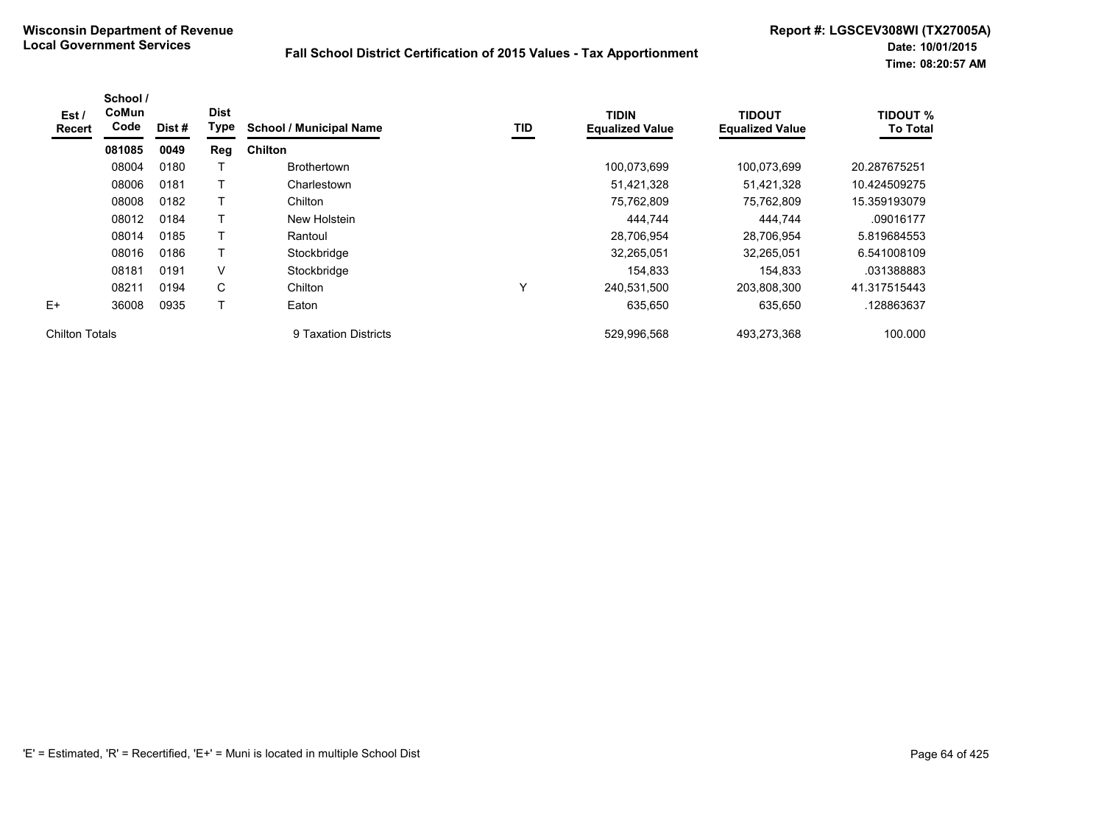| Est /<br>Recert       | School /<br>CoMun<br>Code | Dist# | <b>Dist</b><br>Type | <b>School / Municipal Name</b> | TID | <b>TIDIN</b><br><b>Equalized Value</b> | <b>TIDOUT</b><br><b>Equalized Value</b> | <b>TIDOUT %</b><br><b>To Total</b> |
|-----------------------|---------------------------|-------|---------------------|--------------------------------|-----|----------------------------------------|-----------------------------------------|------------------------------------|
|                       | 081085                    | 0049  | Reg                 | <b>Chilton</b>                 |     |                                        |                                         |                                    |
|                       | 08004                     | 0180  |                     | <b>Brothertown</b>             |     | 100.073.699                            | 100,073,699                             | 20.287675251                       |
|                       | 08006                     | 0181  |                     | Charlestown                    |     | 51,421,328                             | 51,421,328                              | 10.424509275                       |
|                       | 08008                     | 0182  |                     | Chilton                        |     | 75,762,809                             | 75,762,809                              | 15.359193079                       |
|                       | 08012                     | 0184  |                     | New Holstein                   |     | 444,744                                | 444,744                                 | .09016177                          |
|                       | 08014                     | 0185  | T                   | Rantoul                        |     | 28,706,954                             | 28,706,954                              | 5.819684553                        |
|                       | 08016                     | 0186  |                     | Stockbridge                    |     | 32,265,051                             | 32,265,051                              | 6.541008109                        |
|                       | 08181                     | 0191  | V                   | Stockbridge                    |     | 154.833                                | 154,833                                 | .031388883                         |
|                       | 08211                     | 0194  | $\mathsf{C}$        | Chilton                        | Y   | 240,531,500                            | 203,808,300                             | 41.317515443                       |
| $E+$                  | 36008                     | 0935  | Т                   | Eaton                          |     | 635,650                                | 635,650                                 | .128863637                         |
| <b>Chilton Totals</b> |                           |       |                     | 9 Taxation Districts           |     | 529,996,568                            | 493.273.368                             | 100.000                            |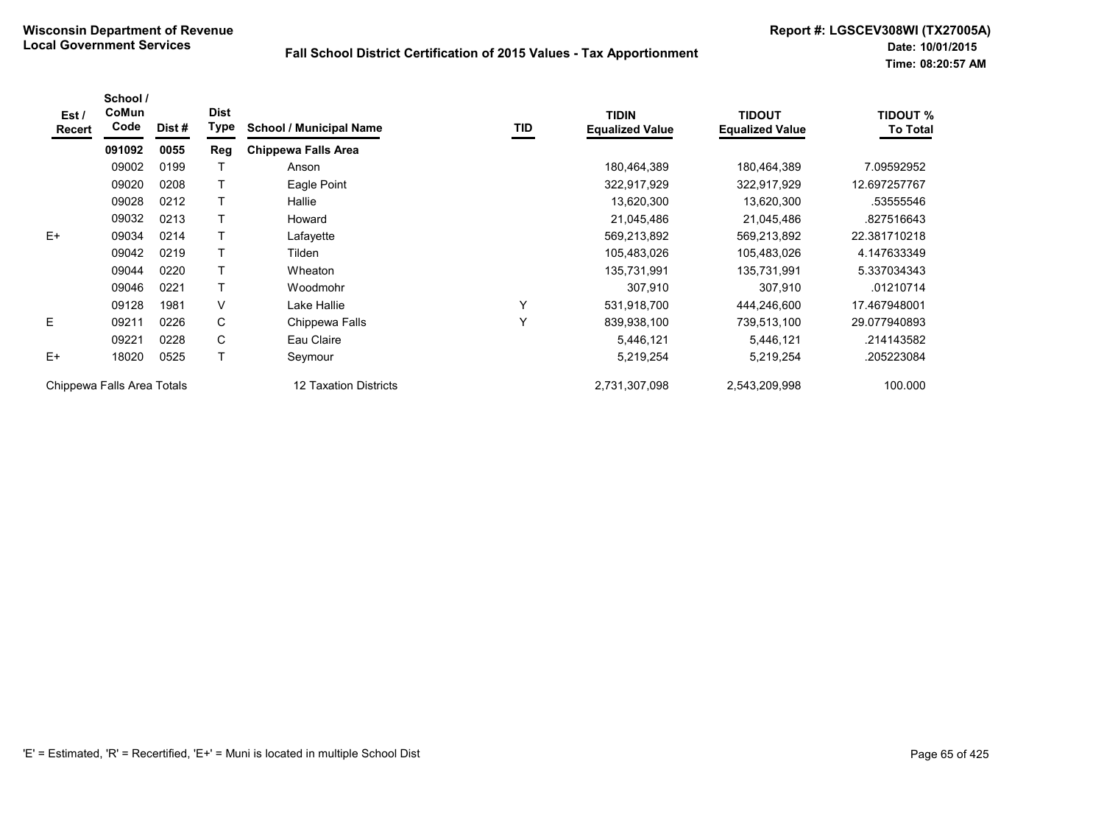| Est /<br>Recert | School /<br>CoMun<br>Code  | Dist # | <b>Dist</b><br><b>Type</b> | <b>School / Municipal Name</b> | TID | <b>TIDIN</b><br><b>Equalized Value</b> | <b>TIDOUT</b><br><b>Equalized Value</b> | <b>TIDOUT %</b><br><b>To Total</b> |
|-----------------|----------------------------|--------|----------------------------|--------------------------------|-----|----------------------------------------|-----------------------------------------|------------------------------------|
|                 | 091092                     | 0055   | Reg                        | <b>Chippewa Falls Area</b>     |     |                                        |                                         |                                    |
|                 | 09002                      | 0199   |                            | Anson                          |     | 180,464,389                            | 180,464,389                             | 7.09592952                         |
|                 | 09020                      | 0208   |                            | Eagle Point                    |     | 322,917,929                            | 322,917,929                             | 12.697257767                       |
|                 | 09028                      | 0212   |                            | Hallie                         |     | 13,620,300                             | 13,620,300                              | .53555546                          |
|                 | 09032                      | 0213   |                            | Howard                         |     | 21,045,486                             | 21,045,486                              | .827516643                         |
| $E+$            | 09034                      | 0214   |                            | Lafayette                      |     | 569,213,892                            | 569,213,892                             | 22.381710218                       |
|                 | 09042                      | 0219   |                            | Tilden                         |     | 105,483,026                            | 105,483,026                             | 4.147633349                        |
|                 | 09044                      | 0220   |                            | Wheaton                        |     | 135,731,991                            | 135,731,991                             | 5.337034343                        |
|                 | 09046                      | 0221   |                            | Woodmohr                       |     | 307,910                                | 307,910                                 | .01210714                          |
|                 | 09128                      | 1981   | $\vee$                     | Lake Hallie                    | Y   | 531,918,700                            | 444,246,600                             | 17.467948001                       |
| E               | 09211                      | 0226   | C                          | Chippewa Falls                 | Y   | 839,938,100                            | 739,513,100                             | 29.077940893                       |
|                 | 09221                      | 0228   | C                          | Eau Claire                     |     | 5,446,121                              | 5,446,121                               | .214143582                         |
| $E+$            | 18020                      | 0525   |                            | Seymour                        |     | 5,219,254                              | 5,219,254                               | .205223084                         |
|                 | Chippewa Falls Area Totals |        |                            | 12 Taxation Districts          |     | 2,731,307,098                          | 2,543,209,998                           | 100.000                            |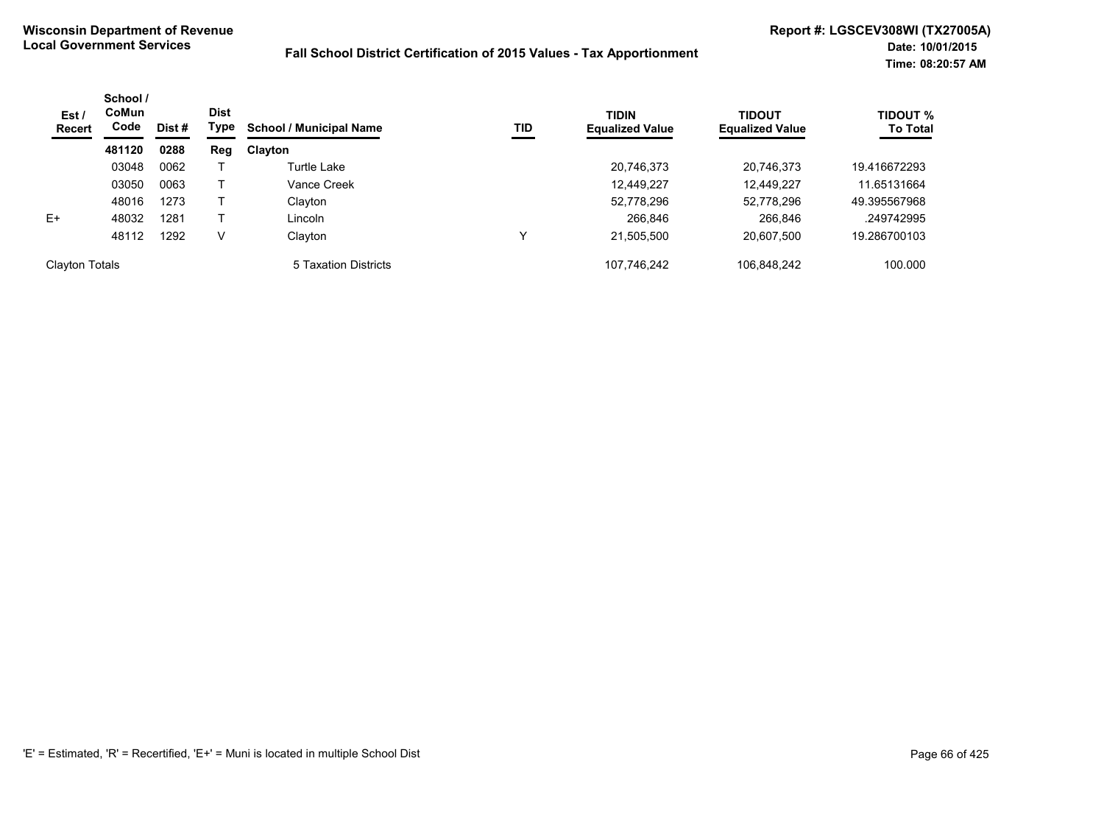| Est/<br><b>Recert</b> | School /<br>CoMun<br>Code | Dist # | <b>Dist</b><br>Type | <b>School / Municipal Name</b> | TID | <b>TIDIN</b><br><b>Equalized Value</b> | TIDOUT<br><b>Equalized Value</b> | <b>TIDOUT %</b><br><b>To Total</b> |
|-----------------------|---------------------------|--------|---------------------|--------------------------------|-----|----------------------------------------|----------------------------------|------------------------------------|
|                       | 481120                    | 0288   | Reg                 | <b>Clayton</b>                 |     |                                        |                                  |                                    |
|                       | 03048                     | 0062   |                     | Turtle Lake                    |     | 20,746,373                             | 20,746,373                       | 19.416672293                       |
|                       | 03050                     | 0063   |                     | Vance Creek                    |     | 12,449,227                             | 12,449,227                       | 11.65131664                        |
|                       | 48016                     | 1273   |                     | Clayton                        |     | 52,778,296                             | 52,778,296                       | 49.395567968                       |
| $E+$                  | 48032                     | 1281   |                     | Lincoln                        |     | 266,846                                | 266,846                          | .249742995                         |
|                       | 48112                     | 1292   | v                   | Clayton                        |     | 21,505,500                             | 20,607,500                       | 19.286700103                       |
| <b>Clayton Totals</b> |                           |        |                     | 5 Taxation Districts           |     | 107,746,242                            | 106.848.242                      | 100.000                            |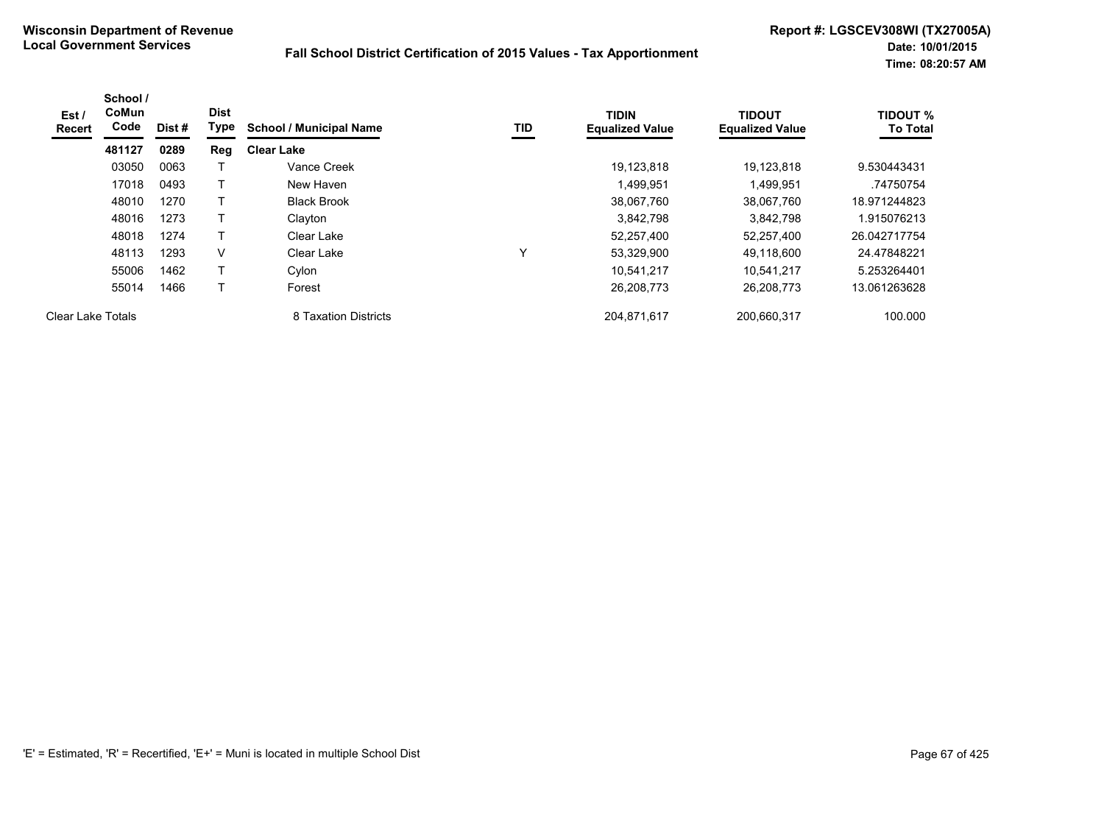| Est /<br><b>Recert</b>   | School /<br>CoMun<br>Code | Dist # | <b>Dist</b><br>Type | <b>School / Municipal Name</b> | TID | <b>TIDIN</b><br><b>Equalized Value</b> | <b>TIDOUT</b><br><b>Equalized Value</b> | <b>TIDOUT %</b><br><b>To Total</b> |
|--------------------------|---------------------------|--------|---------------------|--------------------------------|-----|----------------------------------------|-----------------------------------------|------------------------------------|
|                          | 481127                    | 0289   | Reg                 | <b>Clear Lake</b>              |     |                                        |                                         |                                    |
|                          | 03050                     | 0063   |                     | Vance Creek                    |     | 19,123,818                             | 19.123.818                              | 9.530443431                        |
|                          | 17018                     | 0493   |                     | New Haven                      |     | 1,499,951                              | 1,499,951                               | .74750754                          |
|                          | 48010                     | 1270   | т                   | <b>Black Brook</b>             |     | 38,067,760                             | 38,067,760                              | 18.971244823                       |
|                          | 48016                     | 1273   |                     | Clayton                        |     | 3.842.798                              | 3,842,798                               | 1.915076213                        |
|                          | 48018                     | 1274   |                     | Clear Lake                     |     | 52,257,400                             | 52,257,400                              | 26.042717754                       |
|                          | 48113                     | 1293   | V                   | Clear Lake                     |     | 53,329,900                             | 49,118,600                              | 24.47848221                        |
|                          | 55006                     | 1462   |                     | Cylon                          |     | 10.541.217                             | 10.541.217                              | 5.253264401                        |
|                          | 55014                     | 1466   |                     | Forest                         |     | 26,208,773                             | 26,208,773                              | 13.061263628                       |
| <b>Clear Lake Totals</b> |                           |        |                     | 8 Taxation Districts           |     | 204,871,617                            | 200,660,317                             | 100.000                            |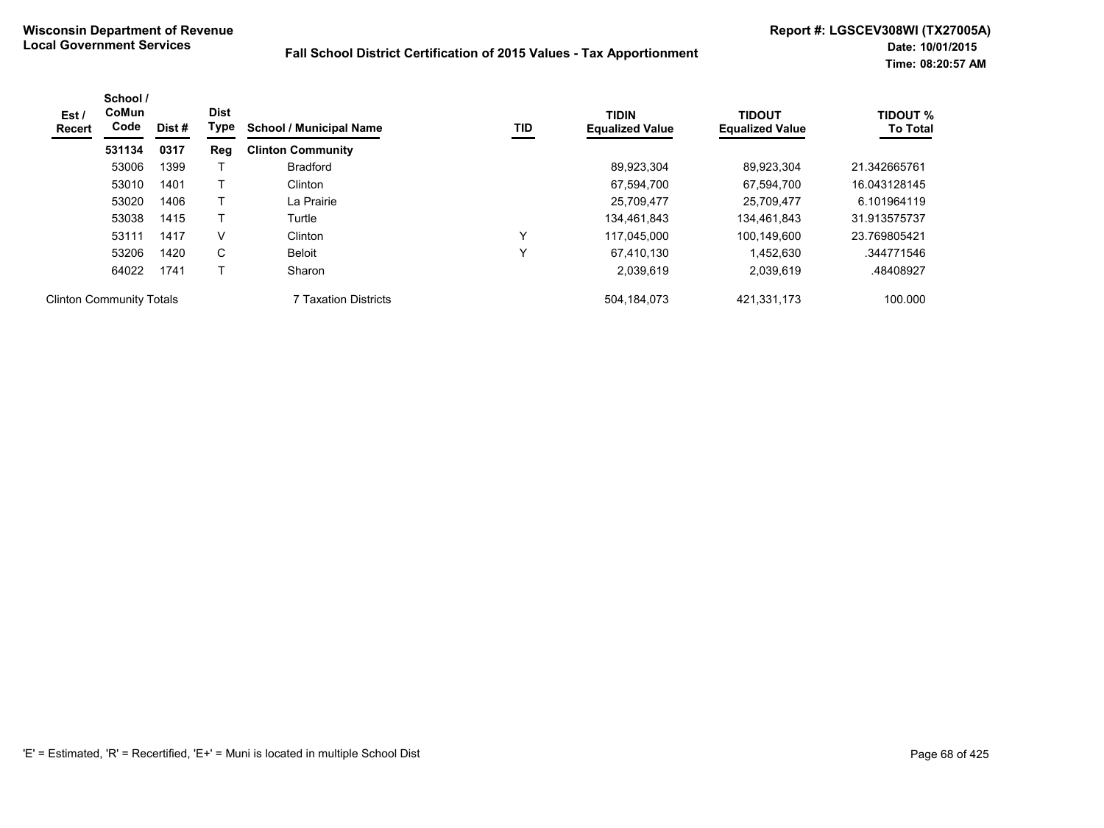| Est /<br>Recert                 | School /<br><b>CoMun</b><br>Code | Dist# | <b>Dist</b><br>Type | <b>School / Municipal Name</b> | TID          | <b>TIDIN</b><br><b>Equalized Value</b> | <b>TIDOUT</b><br><b>Equalized Value</b> | <b>TIDOUT %</b><br><b>To Total</b> |
|---------------------------------|----------------------------------|-------|---------------------|--------------------------------|--------------|----------------------------------------|-----------------------------------------|------------------------------------|
|                                 | 531134                           | 0317  | Reg                 | <b>Clinton Community</b>       |              |                                        |                                         |                                    |
|                                 | 53006                            | 1399  |                     | <b>Bradford</b>                |              | 89,923,304                             | 89,923,304                              | 21.342665761                       |
|                                 | 53010                            | 1401  |                     | Clinton                        |              | 67.594.700                             | 67.594.700                              | 16.043128145                       |
|                                 | 53020                            | 1406  |                     | La Prairie                     |              | 25,709,477                             | 25.709.477                              | 6.101964119                        |
|                                 | 53038                            | 1415  |                     | Turtle                         |              | 134.461.843                            | 134.461.843                             | 31.913575737                       |
|                                 | 53111                            | 1417  | V                   | Clinton                        | $\checkmark$ | 117.045.000                            | 100.149.600                             | 23.769805421                       |
|                                 | 53206                            | 1420  | C                   | Beloit                         | v            | 67,410,130                             | 1,452,630                               | .344771546                         |
|                                 | 64022                            | 1741  |                     | Sharon                         |              | 2,039,619                              | 2,039,619                               | .48408927                          |
| <b>Clinton Community Totals</b> |                                  |       |                     | 7 Taxation Districts           |              | 504, 184, 073                          | 421,331,173                             | 100.000                            |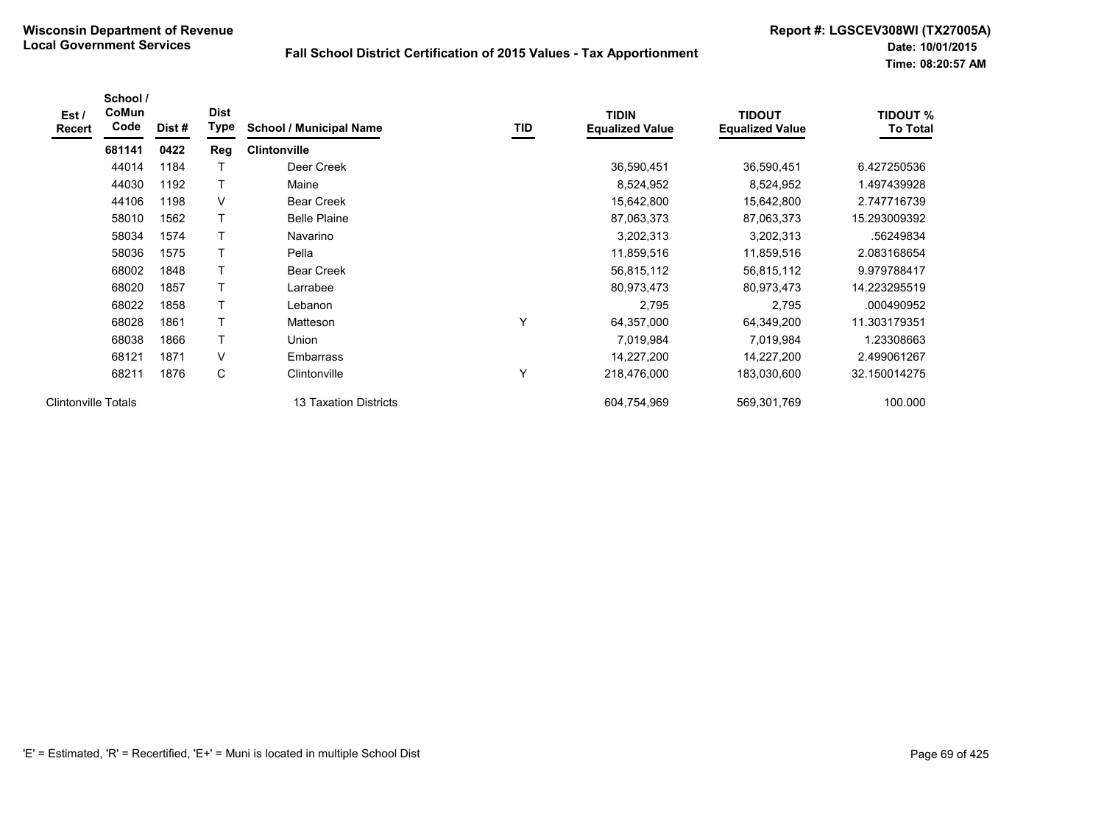| Est /<br><b>Recert</b>     | School /<br>CoMun<br>Code | Dist# | <b>Dist</b><br>Type | <b>School / Municipal Name</b> | TID | <b>TIDIN</b><br><b>Equalized Value</b> | <b>TIDOUT</b><br><b>Equalized Value</b> | <b>TIDOUT %</b><br><b>To Total</b> |
|----------------------------|---------------------------|-------|---------------------|--------------------------------|-----|----------------------------------------|-----------------------------------------|------------------------------------|
|                            | 681141                    | 0422  | Reg                 | <b>Clintonville</b>            |     |                                        |                                         |                                    |
|                            | 44014                     | 1184  |                     | Deer Creek                     |     | 36,590,451                             | 36,590,451                              | 6.427250536                        |
|                            | 44030                     | 1192  | T                   | Maine                          |     | 8,524,952                              | 8,524,952                               | 1.497439928                        |
|                            | 44106                     | 1198  | V                   | <b>Bear Creek</b>              |     | 15,642,800                             | 15,642,800                              | 2.747716739                        |
|                            | 58010                     | 1562  | T                   | <b>Belle Plaine</b>            |     | 87,063,373                             | 87,063,373                              | 15.293009392                       |
|                            | 58034                     | 1574  | T                   | Navarino                       |     | 3,202,313                              | 3,202,313                               | .56249834                          |
|                            | 58036                     | 1575  | Τ                   | Pella                          |     | 11,859,516                             | 11,859,516                              | 2.083168654                        |
|                            | 68002                     | 1848  | Τ                   | <b>Bear Creek</b>              |     | 56,815,112                             | 56,815,112                              | 9.979788417                        |
|                            | 68020                     | 1857  | T                   | Larrabee                       |     | 80,973,473                             | 80,973,473                              | 14.223295519                       |
|                            | 68022                     | 1858  | T                   | Lebanon                        |     | 2,795                                  | 2,795                                   | .000490952                         |
|                            | 68028                     | 1861  | T                   | Matteson                       | v   | 64,357,000                             | 64,349,200                              | 11.303179351                       |
|                            | 68038                     | 1866  | T                   | Union                          |     | 7,019,984                              | 7,019,984                               | 1.23308663                         |
|                            | 68121                     | 1871  | V                   | Embarrass                      |     | 14,227,200                             | 14,227,200                              | 2.499061267                        |
|                            | 68211                     | 1876  | C                   | Clintonville                   | Υ   | 218,476,000                            | 183,030,600                             | 32.150014275                       |
| <b>Clintonville Totals</b> |                           |       |                     | 13 Taxation Districts          |     | 604,754,969                            | 569,301,769                             | 100.000                            |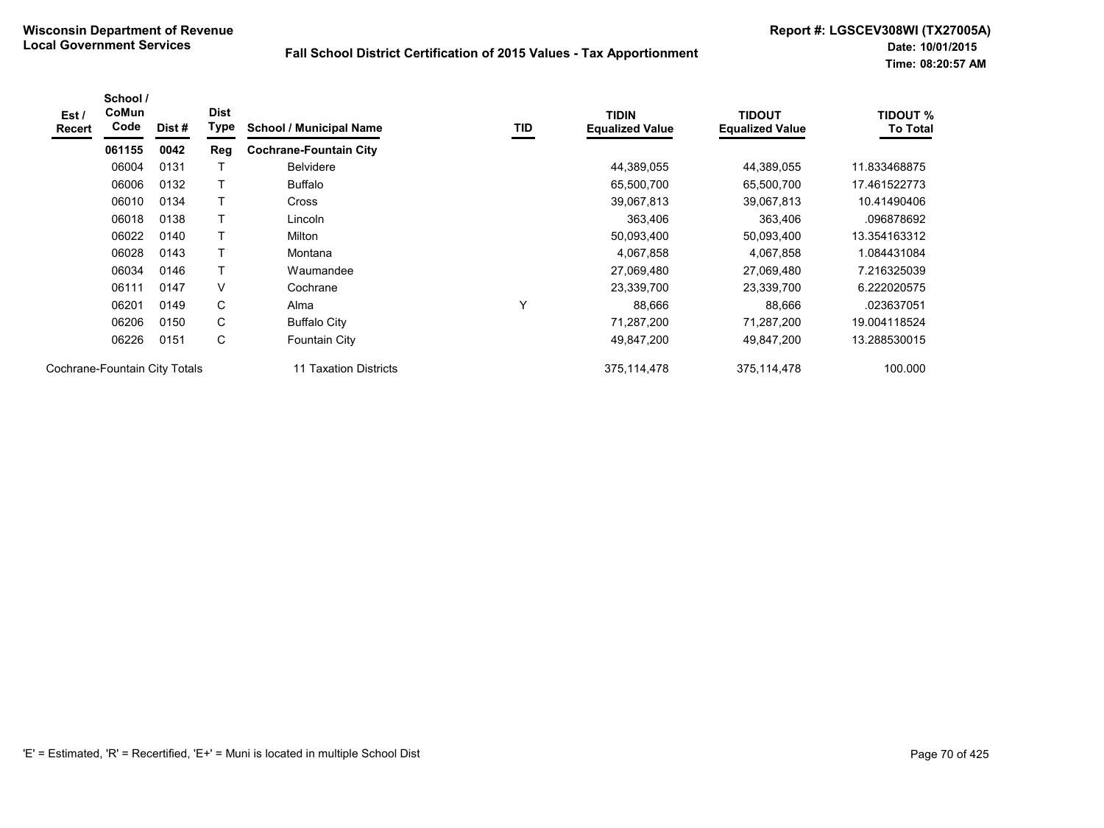| Est /<br><b>Recert</b> | School /<br><b>CoMun</b><br>Code | Dist# | <b>Dist</b><br>Type | <b>School / Municipal Name</b> | TID | <b>TIDIN</b><br><b>Equalized Value</b> | <b>TIDOUT</b><br><b>Equalized Value</b> | <b>TIDOUT %</b><br><b>To Total</b> |
|------------------------|----------------------------------|-------|---------------------|--------------------------------|-----|----------------------------------------|-----------------------------------------|------------------------------------|
|                        | 061155                           | 0042  | <b>Reg</b>          | <b>Cochrane-Fountain City</b>  |     |                                        |                                         |                                    |
|                        | 06004                            | 0131  |                     | <b>Belvidere</b>               |     | 44,389,055                             | 44,389,055                              | 11.833468875                       |
|                        | 06006                            | 0132  | Τ                   | <b>Buffalo</b>                 |     | 65,500,700                             | 65,500,700                              | 17.461522773                       |
|                        | 06010                            | 0134  | $\mathsf{T}$        | <b>Cross</b>                   |     | 39,067,813                             | 39,067,813                              | 10.41490406                        |
|                        | 06018                            | 0138  |                     | Lincoln                        |     | 363,406                                | 363,406                                 | .096878692                         |
|                        | 06022                            | 0140  | Т                   | Milton                         |     | 50,093,400                             | 50,093,400                              | 13.354163312                       |
|                        | 06028                            | 0143  | Τ                   | Montana                        |     | 4,067,858                              | 4,067,858                               | 1.084431084                        |
|                        | 06034                            | 0146  | $\mathsf{T}$        | Waumandee                      |     | 27,069,480                             | 27,069,480                              | 7.216325039                        |
|                        | 06111                            | 0147  | V                   | Cochrane                       |     | 23,339,700                             | 23,339,700                              | 6.222020575                        |
|                        | 06201                            | 0149  | С                   | Alma                           | v   | 88,666                                 | 88,666                                  | .023637051                         |
|                        | 06206                            | 0150  | C                   | <b>Buffalo City</b>            |     | 71,287,200                             | 71,287,200                              | 19.004118524                       |
|                        | 06226                            | 0151  | С                   | Fountain City                  |     | 49,847,200                             | 49,847,200                              | 13.288530015                       |
|                        | Cochrane-Fountain City Totals    |       |                     | 11 Taxation Districts          |     | 375, 114, 478                          | 375,114,478                             | 100.000                            |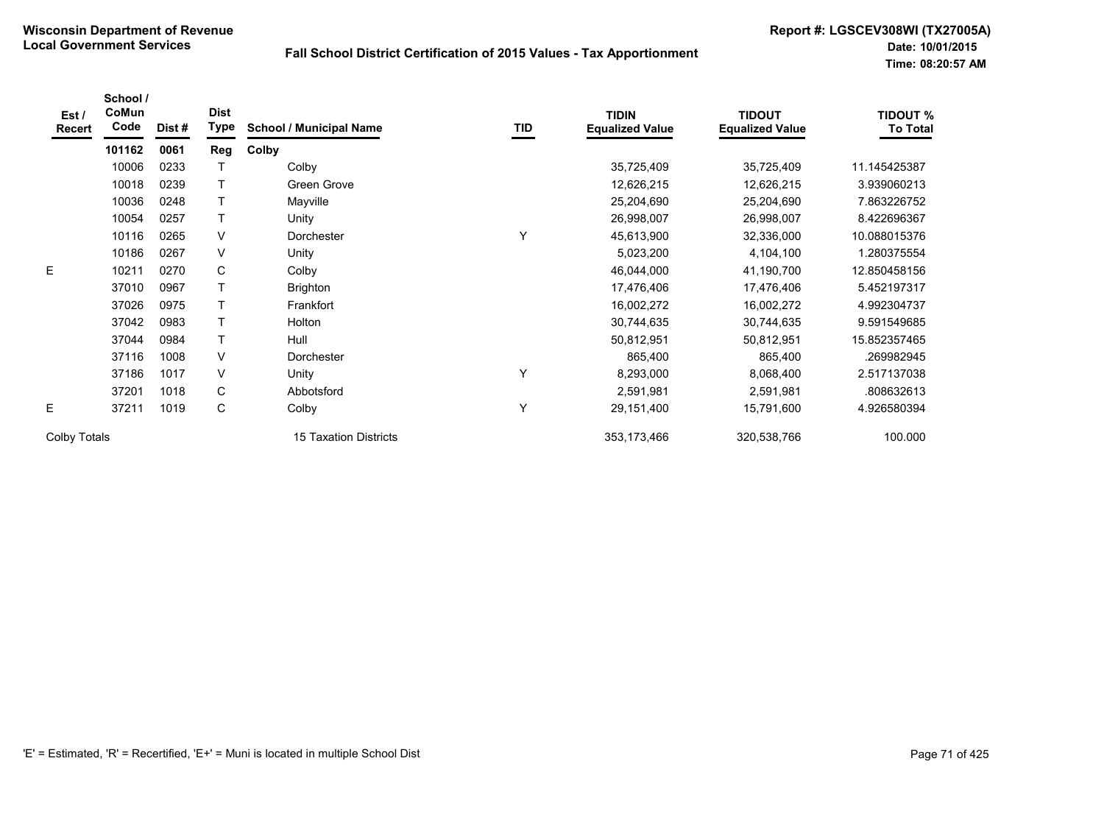| Est/<br><b>Recert</b> | School /<br>CoMun<br>Code | Dist # | <b>Dist</b><br>Type | <b>School / Municipal Name</b> | TID | <b>TIDIN</b><br><b>Equalized Value</b> | <b>TIDOUT</b><br><b>Equalized Value</b> | <b>TIDOUT %</b><br><b>To Total</b> |
|-----------------------|---------------------------|--------|---------------------|--------------------------------|-----|----------------------------------------|-----------------------------------------|------------------------------------|
|                       | 101162                    | 0061   | Reg                 | Colby                          |     |                                        |                                         |                                    |
|                       | 10006                     | 0233   |                     | Colby                          |     | 35,725,409                             | 35,725,409                              | 11.145425387                       |
|                       | 10018                     | 0239   |                     | Green Grove                    |     | 12,626,215                             | 12,626,215                              | 3.939060213                        |
|                       | 10036                     | 0248   |                     | Mayville                       |     | 25,204,690                             | 25,204,690                              | 7.863226752                        |
|                       | 10054                     | 0257   | T                   | Unity                          |     | 26,998,007                             | 26,998,007                              | 8.422696367                        |
|                       | 10116                     | 0265   | V                   | Dorchester                     | Υ   | 45,613,900                             | 32,336,000                              | 10.088015376                       |
|                       | 10186                     | 0267   | V                   | Unity                          |     | 5,023,200                              | 4,104,100                               | 1.280375554                        |
| E                     | 10211                     | 0270   | C                   | Colby                          |     | 46,044,000                             | 41,190,700                              | 12.850458156                       |
|                       | 37010                     | 0967   |                     | <b>Brighton</b>                |     | 17,476,406                             | 17,476,406                              | 5.452197317                        |
|                       | 37026                     | 0975   |                     | Frankfort                      |     | 16,002,272                             | 16,002,272                              | 4.992304737                        |
|                       | 37042                     | 0983   | т                   | Holton                         |     | 30,744,635                             | 30,744,635                              | 9.591549685                        |
|                       | 37044                     | 0984   | T                   | Hull                           |     | 50,812,951                             | 50,812,951                              | 15.852357465                       |
|                       | 37116                     | 1008   | V                   | Dorchester                     |     | 865,400                                | 865,400                                 | 269982945                          |
|                       | 37186                     | 1017   | $\vee$              | Unity                          | Υ   | 8,293,000                              | 8,068,400                               | 2.517137038                        |
|                       | 37201                     | 1018   | C                   | Abbotsford                     |     | 2,591,981                              | 2,591,981                               | .808632613                         |
| E                     | 37211                     | 1019   | C                   | Colby                          | Y   | 29,151,400                             | 15,791,600                              | 4.926580394                        |
| Colby Totals          |                           |        |                     | 15 Taxation Districts          |     | 353, 173, 466                          | 320,538,766                             | 100.000                            |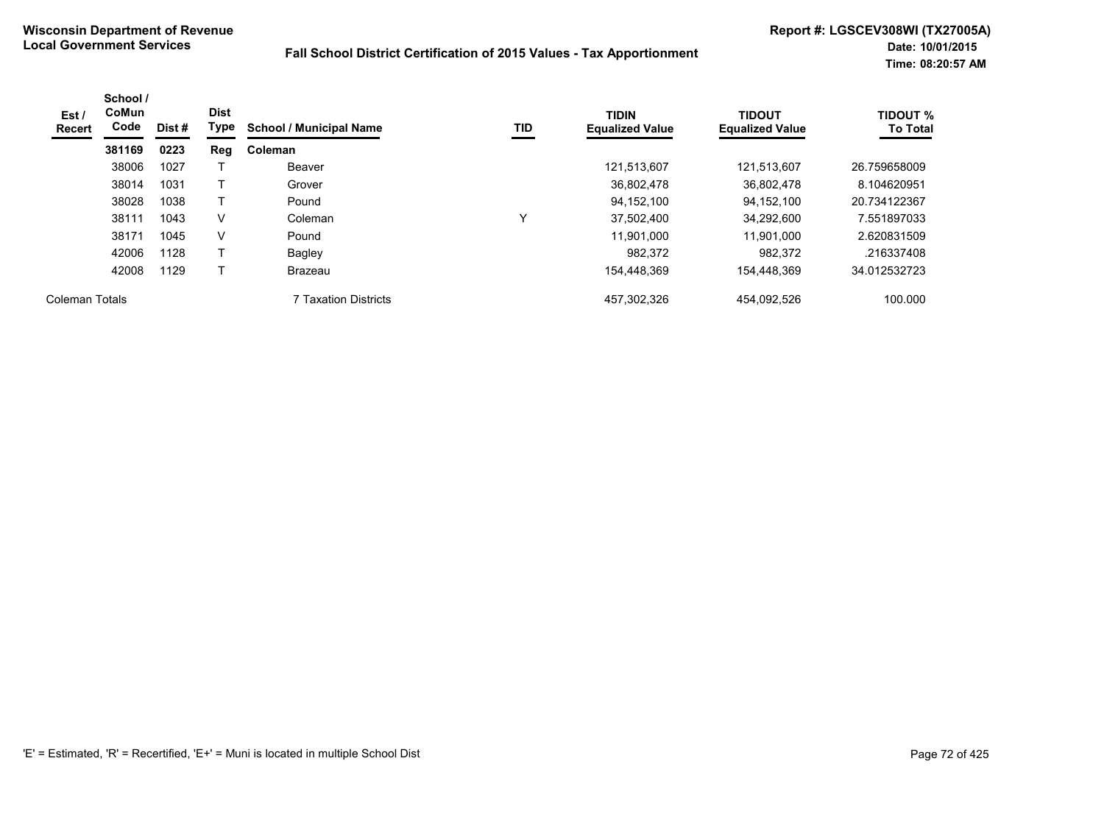| Est /<br><b>Recert</b> | School /<br><b>CoMun</b><br>Code | Dist # | <b>Dist</b><br>Type | <b>School / Municipal Name</b> | TID | <b>TIDIN</b><br><b>Equalized Value</b> | <b>TIDOUT</b><br><b>Equalized Value</b> | <b>TIDOUT %</b><br><b>To Total</b> |
|------------------------|----------------------------------|--------|---------------------|--------------------------------|-----|----------------------------------------|-----------------------------------------|------------------------------------|
|                        | 381169                           | 0223   | Reg                 | Coleman                        |     |                                        |                                         |                                    |
|                        | 38006                            | 1027   |                     | Beaver                         |     | 121,513,607                            | 121,513,607                             | 26.759658009                       |
|                        | 38014                            | 1031   |                     | Grover                         |     | 36,802,478                             | 36.802.478                              | 8.104620951                        |
|                        | 38028                            | 1038   |                     | Pound                          |     | 94.152.100                             | 94.152.100                              | 20.734122367                       |
|                        | 38111                            | 1043   | v                   | Coleman                        | Υ   | 37,502,400                             | 34.292.600                              | 7.551897033                        |
|                        | 38171                            | 1045   | v                   | Pound                          |     | 11,901,000                             | 11.901.000                              | 2.620831509                        |
|                        | 42006                            | 1128   | $\mathbf \tau$      | Bagley                         |     | 982.372                                | 982.372                                 | .216337408                         |
|                        | 42008                            | 1129   |                     | Brazeau                        |     | 154,448,369                            | 154.448.369                             | 34.012532723                       |
| Coleman Totals         |                                  |        |                     | <b>7 Taxation Districts</b>    |     | 457,302,326                            | 454,092,526                             | 100.000                            |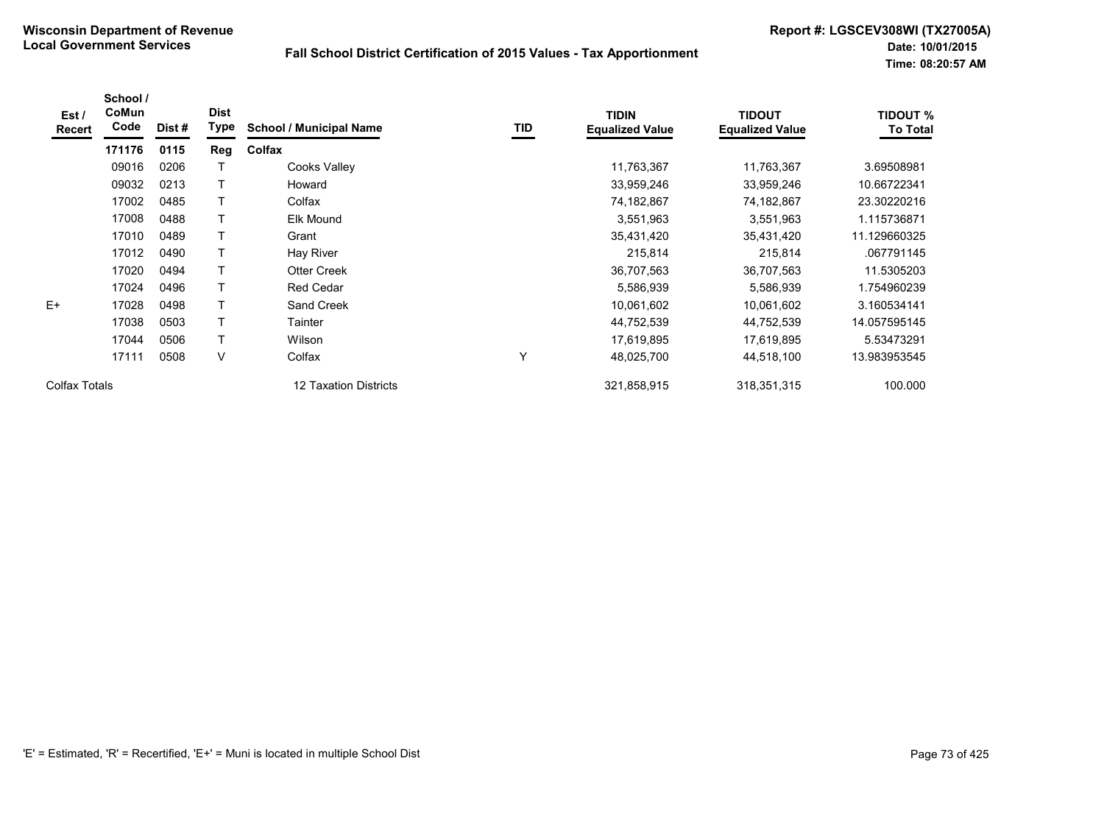| Est /<br>Recert | School /<br>CoMun<br>Code | Dist# | <b>Dist</b><br>Type | <b>School / Municipal Name</b> | TID | <b>TIDIN</b><br><b>Equalized Value</b> | <b>TIDOUT</b><br><b>Equalized Value</b> | <b>TIDOUT %</b><br><b>To Total</b> |
|-----------------|---------------------------|-------|---------------------|--------------------------------|-----|----------------------------------------|-----------------------------------------|------------------------------------|
|                 | 171176                    | 0115  | Reg                 | Colfax                         |     |                                        |                                         |                                    |
|                 | 09016                     | 0206  |                     | Cooks Valley                   |     | 11,763,367                             | 11,763,367                              | 3.69508981                         |
|                 | 09032                     | 0213  | T                   | Howard                         |     | 33,959,246                             | 33,959,246                              | 10.66722341                        |
|                 | 17002                     | 0485  | T                   | Colfax                         |     | 74,182,867                             | 74,182,867                              | 23.30220216                        |
|                 | 17008                     | 0488  | T                   | Elk Mound                      |     | 3,551,963                              | 3,551,963                               | 1.115736871                        |
|                 | 17010                     | 0489  | T                   | Grant                          |     | 35,431,420                             | 35,431,420                              | 11.129660325                       |
|                 | 17012                     | 0490  | Τ                   | Hay River                      |     | 215,814                                | 215,814                                 | .067791145                         |
|                 | 17020                     | 0494  | T                   | <b>Otter Creek</b>             |     | 36,707,563                             | 36,707,563                              | 11.5305203                         |
|                 | 17024                     | 0496  | T                   | <b>Red Cedar</b>               |     | 5,586,939                              | 5,586,939                               | 1.754960239                        |
| $E+$            | 17028                     | 0498  | Τ                   | Sand Creek                     |     | 10,061,602                             | 10,061,602                              | 3.160534141                        |
|                 | 17038                     | 0503  | Т                   | Tainter                        |     | 44,752,539                             | 44,752,539                              | 14.057595145                       |
|                 | 17044                     | 0506  | T                   | Wilson                         |     | 17,619,895                             | 17,619,895                              | 5.53473291                         |
|                 | 17111                     | 0508  | V                   | Colfax                         | Υ   | 48,025,700                             | 44,518,100                              | 13.983953545                       |
| Colfax Totals   |                           |       |                     | 12 Taxation Districts          |     | 321,858,915                            | 318, 351, 315                           | 100.000                            |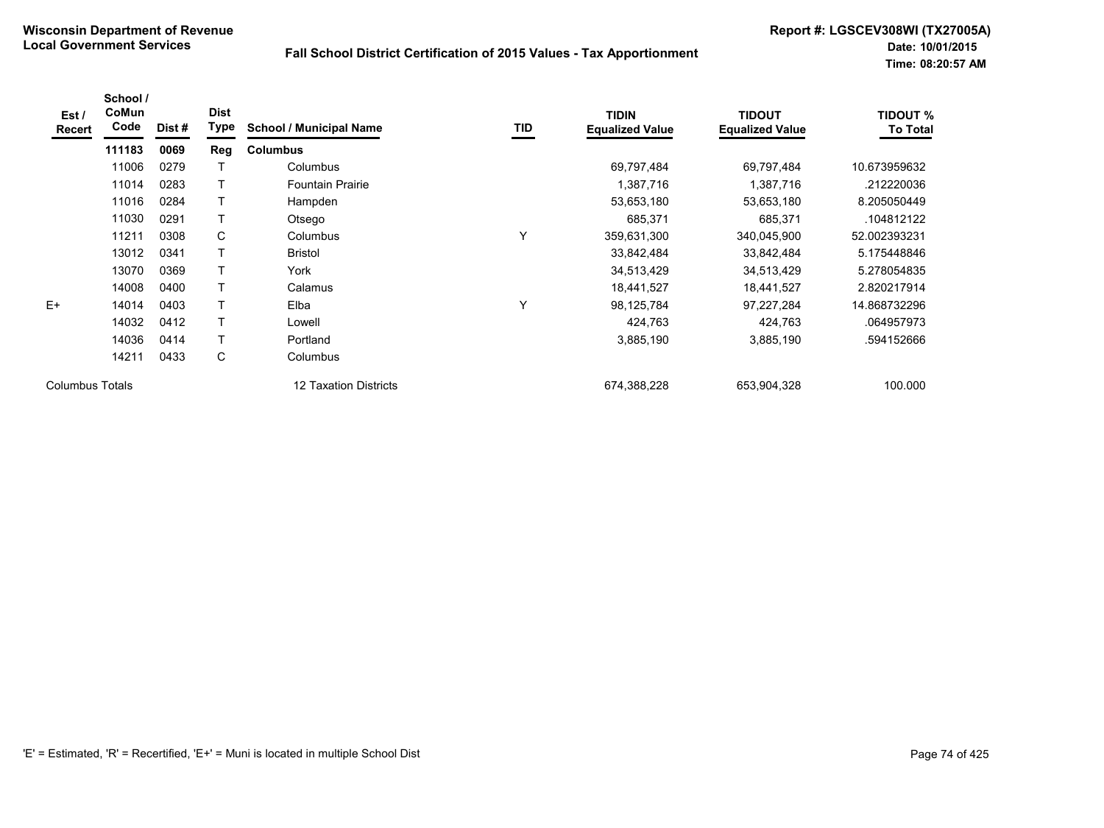| Est /<br>Recert        | School /<br>CoMun<br>Code | Dist# | <b>Dist</b><br>Type | <b>School / Municipal Name</b> | <b>TID</b> | <b>TIDIN</b><br><b>Equalized Value</b> | <b>TIDOUT</b><br><b>Equalized Value</b> | <b>TIDOUT %</b><br><b>To Total</b> |
|------------------------|---------------------------|-------|---------------------|--------------------------------|------------|----------------------------------------|-----------------------------------------|------------------------------------|
|                        | 111183                    | 0069  | Reg                 | <b>Columbus</b>                |            |                                        |                                         |                                    |
|                        | 11006                     | 0279  | т                   | Columbus                       |            | 69,797,484                             | 69,797,484                              | 10.673959632                       |
|                        | 11014                     | 0283  | T                   | <b>Fountain Prairie</b>        |            | 1,387,716                              | 1,387,716                               | .212220036                         |
|                        | 11016                     | 0284  | T                   | Hampden                        |            | 53,653,180                             | 53,653,180                              | 8.205050449                        |
|                        | 11030                     | 0291  | T                   | Otsego                         |            | 685,371                                | 685,371                                 | .104812122                         |
|                        | 11211                     | 0308  | C                   | Columbus                       | Υ          | 359,631,300                            | 340,045,900                             | 52.002393231                       |
|                        | 13012                     | 0341  | т                   | <b>Bristol</b>                 |            | 33,842,484                             | 33,842,484                              | 5.175448846                        |
|                        | 13070                     | 0369  | T                   | York                           |            | 34,513,429                             | 34,513,429                              | 5.278054835                        |
|                        | 14008                     | 0400  | T                   | Calamus                        |            | 18,441,527                             | 18,441,527                              | 2.820217914                        |
| $E+$                   | 14014                     | 0403  | T                   | Elba                           | Υ          | 98,125,784                             | 97,227,284                              | 14.868732296                       |
|                        | 14032                     | 0412  | T                   | Lowell                         |            | 424,763                                | 424,763                                 | .064957973                         |
|                        | 14036                     | 0414  | T                   | Portland                       |            | 3,885,190                              | 3,885,190                               | .594152666                         |
|                        | 14211                     | 0433  | C                   | Columbus                       |            |                                        |                                         |                                    |
| <b>Columbus Totals</b> |                           |       |                     | 12 Taxation Districts          |            | 674,388,228                            | 653,904,328                             | 100.000                            |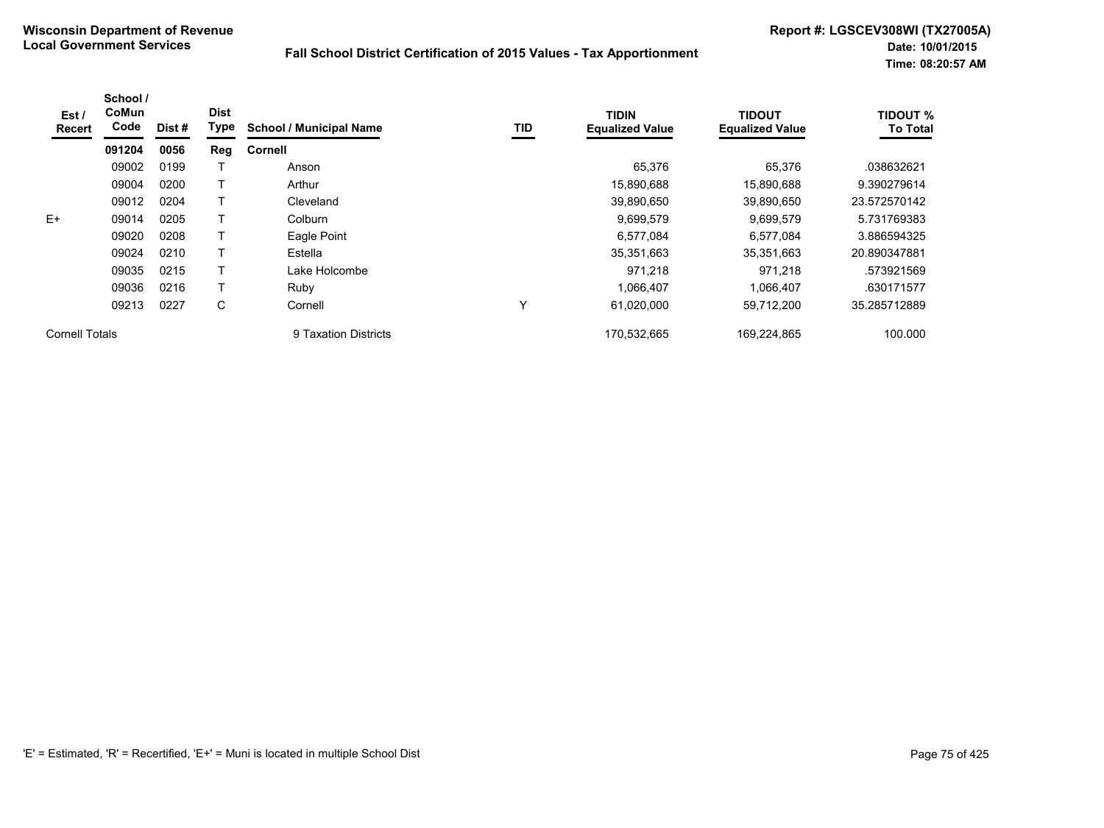| Est /<br>Recert | School /<br>CoMun<br>Code | Dist # | <b>Dist</b><br>Type | <b>School / Municipal Name</b> | TID | <b>TIDIN</b><br><b>Equalized Value</b> | <b>TIDOUT</b><br><b>Equalized Value</b> | <b>TIDOUT %</b><br><b>To Total</b> |
|-----------------|---------------------------|--------|---------------------|--------------------------------|-----|----------------------------------------|-----------------------------------------|------------------------------------|
|                 | 091204                    | 0056   | Reg                 | Cornell                        |     |                                        |                                         |                                    |
|                 | 09002                     | 0199   |                     | Anson                          |     | 65,376                                 | 65,376                                  | .038632621                         |
|                 | 09004                     | 0200   |                     | Arthur                         |     | 15,890,688                             | 15,890,688                              | 9.390279614                        |
|                 | 09012                     | 0204   |                     | Cleveland                      |     | 39,890,650                             | 39,890,650                              | 23.572570142                       |
| $E+$            | 09014                     | 0205   |                     | Colburn                        |     | 9,699,579                              | 9,699,579                               | 5.731769383                        |
|                 | 09020                     | 0208   |                     | Eagle Point                    |     | 6,577,084                              | 6,577,084                               | 3.886594325                        |
|                 | 09024                     | 0210   |                     | Estella                        |     | 35,351,663                             | 35,351,663                              | 20.890347881                       |
|                 | 09035                     | 0215   |                     | Lake Holcombe                  |     | 971.218                                | 971.218                                 | .573921569                         |
|                 | 09036                     | 0216   |                     | Ruby                           |     | 1,066,407                              | 1,066,407                               | .630171577                         |
|                 | 09213                     | 0227   | С                   | Cornell                        | Υ   | 61,020,000                             | 59,712,200                              | 35.285712889                       |
| Cornell Totals  |                           |        |                     | 9 Taxation Districts           |     | 170.532.665                            | 169.224.865                             | 100.000                            |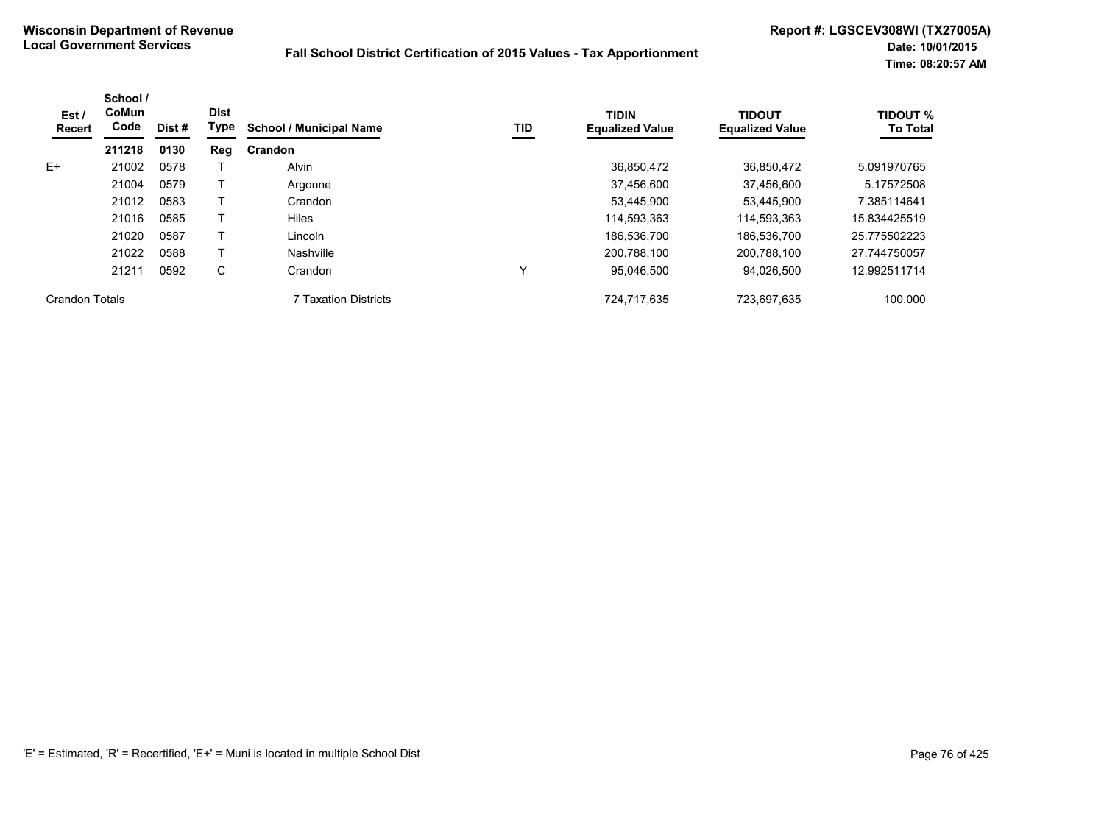| Est/<br><b>Recert</b> | School /<br>CoMun<br>Code | Dist# | <b>Dist</b><br>Type | <b>School / Municipal Name</b> | TID | <b>TIDIN</b><br><b>Equalized Value</b> | <b>TIDOUT</b><br><b>Equalized Value</b> | <b>TIDOUT %</b><br><b>To Total</b> |
|-----------------------|---------------------------|-------|---------------------|--------------------------------|-----|----------------------------------------|-----------------------------------------|------------------------------------|
|                       | 211218                    | 0130  | Reg                 | Crandon                        |     |                                        |                                         |                                    |
| $E+$                  | 21002                     | 0578  |                     | Alvin                          |     | 36.850.472                             | 36.850.472                              | 5.091970765                        |
|                       | 21004                     | 0579  |                     | Argonne                        |     | 37,456,600                             | 37,456,600                              | 5.17572508                         |
|                       | 21012                     | 0583  |                     | Crandon                        |     | 53,445,900                             | 53,445,900                              | 7.385114641                        |
|                       | 21016                     | 0585  |                     | <b>Hiles</b>                   |     | 114,593,363                            | 114,593,363                             | 15.834425519                       |
|                       | 21020                     | 0587  |                     | Lincoln                        |     | 186,536,700                            | 186,536,700                             | 25.775502223                       |
|                       | 21022                     | 0588  |                     | Nashville                      |     | 200,788,100                            | 200,788,100                             | 27.744750057                       |
|                       | 21211                     | 0592  | C                   | Crandon                        | Υ   | 95,046,500                             | 94,026,500                              | 12.992511714                       |
| <b>Crandon Totals</b> |                           |       |                     | 7 Taxation Districts           |     | 724,717,635                            | 723,697,635                             | 100.000                            |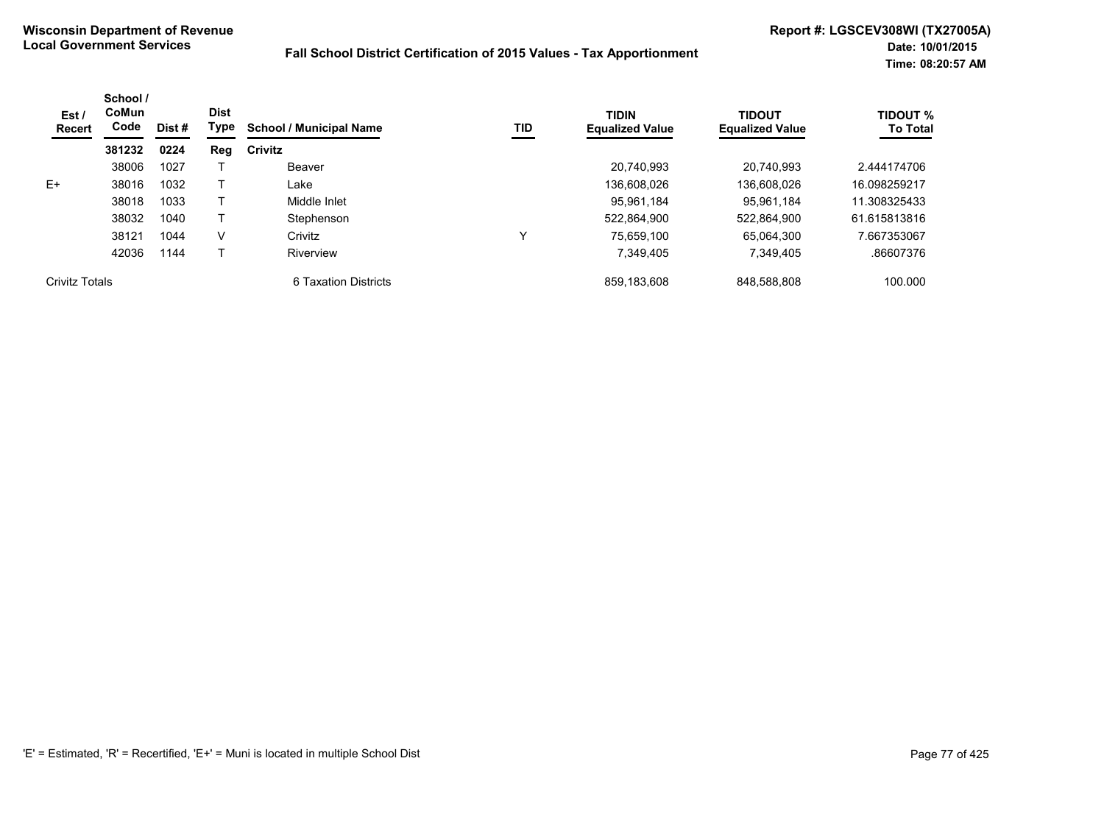| Est /<br><b>Recert</b> | School /<br>CoMun<br>Code | Dist # | <b>Dist</b><br>Type | <b>School / Municipal Name</b> | TID          | <b>TIDIN</b><br><b>Equalized Value</b> | <b>TIDOUT</b><br><b>Equalized Value</b> | <b>TIDOUT %</b><br><b>To Total</b> |
|------------------------|---------------------------|--------|---------------------|--------------------------------|--------------|----------------------------------------|-----------------------------------------|------------------------------------|
|                        | 381232                    | 0224   | Reg                 | Crivitz                        |              |                                        |                                         |                                    |
|                        | 38006                     | 1027   |                     | Beaver                         |              | 20,740,993                             | 20.740.993                              | 2.444174706                        |
| $E+$                   | 38016                     | 1032   |                     | Lake                           |              | 136.608.026                            | 136.608.026                             | 16.098259217                       |
|                        | 38018                     | 1033   |                     | Middle Inlet                   |              | 95,961,184                             | 95.961.184                              | 11.308325433                       |
|                        | 38032                     | 1040   |                     | Stephenson                     |              | 522,864,900                            | 522,864,900                             | 61.615813816                       |
|                        | 38121                     | 1044   | V                   | Crivitz                        | $\checkmark$ | 75.659.100                             | 65.064.300                              | 7.667353067                        |
|                        | 42036                     | 1144   |                     | Riverview                      |              | 7,349,405                              | 7,349,405                               | .86607376                          |
| <b>Crivitz Totals</b>  |                           |        |                     | 6 Taxation Districts           |              | 859,183,608                            | 848,588,808                             | 100.000                            |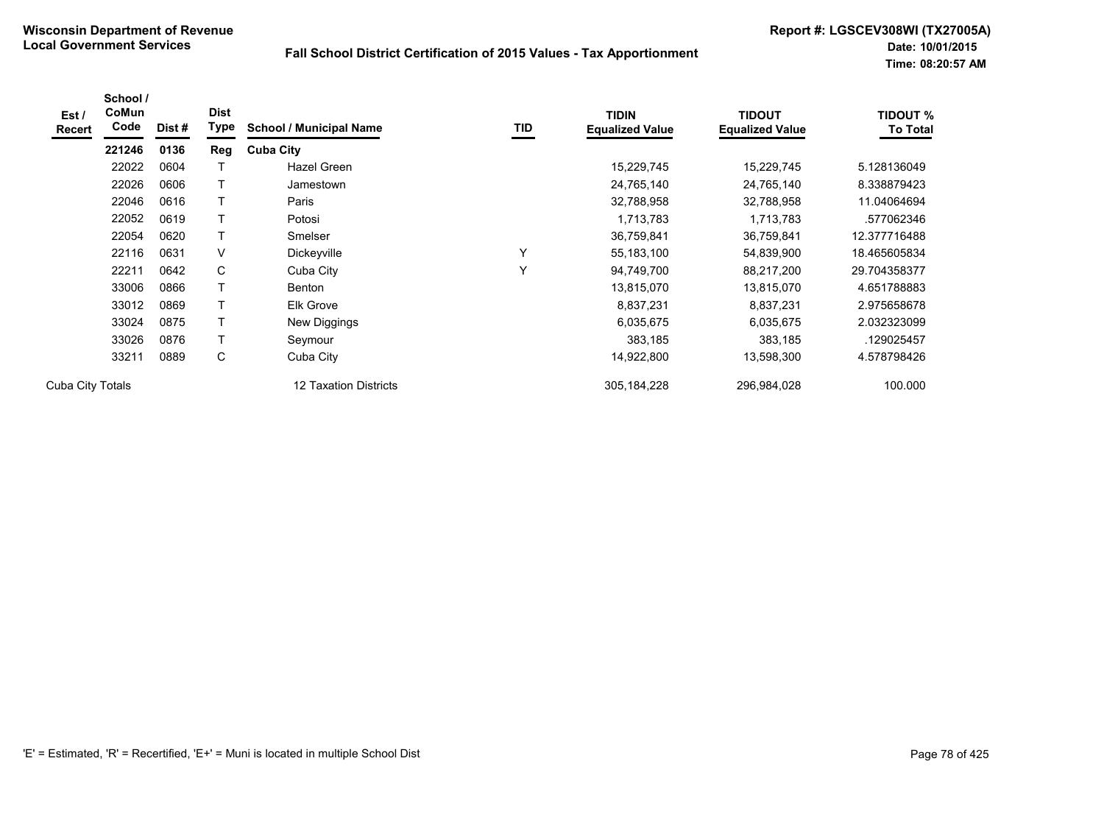| Est /<br><b>Recert</b> | School /<br>CoMun<br>Code | Dist# | <b>Dist</b><br><b>Type</b> | <b>School / Municipal Name</b> | TID          | <b>TIDIN</b><br><b>Equalized Value</b> | <b>TIDOUT</b><br><b>Equalized Value</b> | <b>TIDOUT %</b><br><b>To Total</b> |
|------------------------|---------------------------|-------|----------------------------|--------------------------------|--------------|----------------------------------------|-----------------------------------------|------------------------------------|
|                        | 221246                    | 0136  | Reg                        | <b>Cuba City</b>               |              |                                        |                                         |                                    |
|                        | 22022                     | 0604  |                            | Hazel Green                    |              | 15,229,745                             | 15,229,745                              | 5.128136049                        |
|                        | 22026                     | 0606  |                            | Jamestown                      |              | 24,765,140                             | 24,765,140                              | 8.338879423                        |
|                        | 22046                     | 0616  |                            | Paris                          |              | 32,788,958                             | 32,788,958                              | 11.04064694                        |
|                        | 22052                     | 0619  |                            | Potosi                         |              | 1,713,783                              | 1,713,783                               | .577062346                         |
|                        | 22054                     | 0620  |                            | Smelser                        |              | 36,759,841                             | 36,759,841                              | 12.377716488                       |
|                        | 22116                     | 0631  | $\vee$                     | Dickeyville                    | Υ            | 55, 183, 100                           | 54,839,900                              | 18.465605834                       |
|                        | 22211                     | 0642  | С                          | Cuba City                      | $\checkmark$ | 94,749,700                             | 88,217,200                              | 29.704358377                       |
|                        | 33006                     | 0866  |                            | Benton                         |              | 13,815,070                             | 13,815,070                              | 4.651788883                        |
|                        | 33012                     | 0869  |                            | <b>Elk Grove</b>               |              | 8,837,231                              | 8,837,231                               | 2.975658678                        |
|                        | 33024                     | 0875  | Т                          | New Diggings                   |              | 6,035,675                              | 6,035,675                               | 2.032323099                        |
|                        | 33026                     | 0876  | Τ                          | Seymour                        |              | 383,185                                | 383,185                                 | 129025457                          |
|                        | 33211                     | 0889  | С                          | Cuba City                      |              | 14,922,800                             | 13,598,300                              | 4.578798426                        |
| Cuba City Totals       |                           |       |                            | 12 Taxation Districts          |              | 305, 184, 228                          | 296,984,028                             | 100.000                            |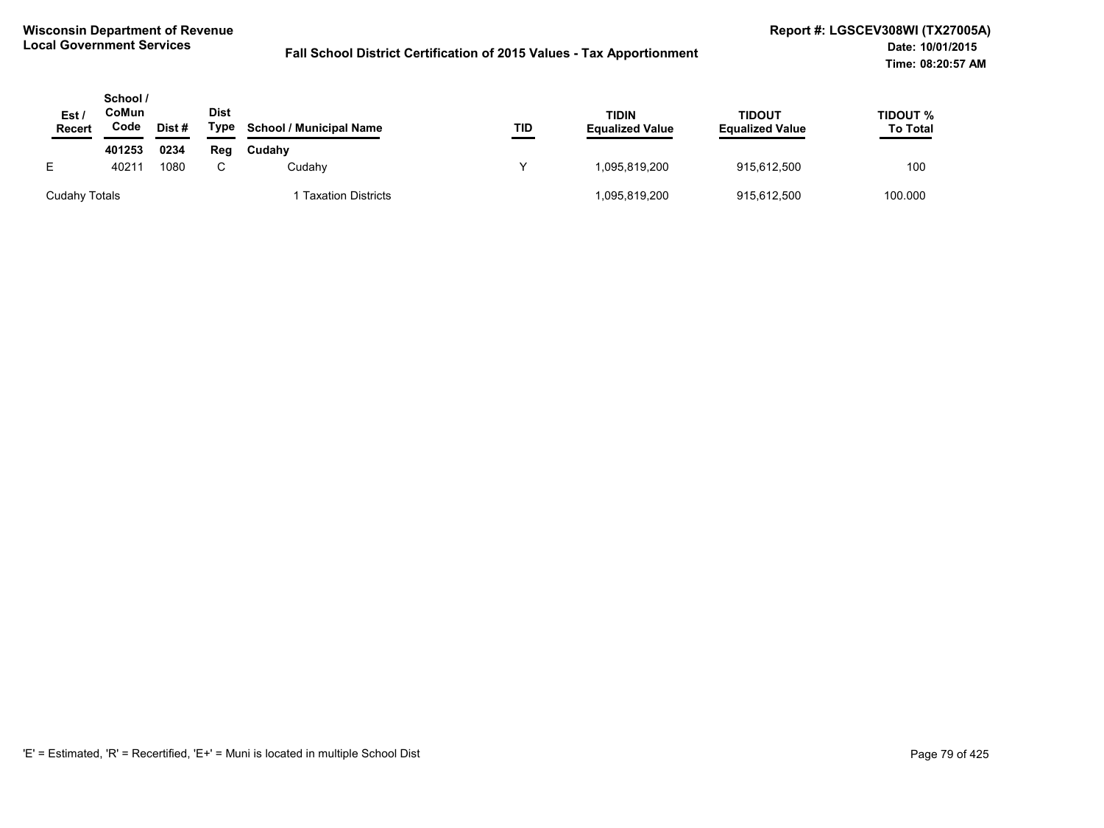| Est,<br><b>Recert</b> | School /<br>CoMun<br>Code | Dist# | <b>Dist</b><br>Type | <b>School / Municipal Name</b> | TID | TIDIN<br><b>Equalized Value</b> | <b>TIDOUT</b><br><b>Equalized Value</b> | TIDOUT %<br><b>To Total</b><br>___ |
|-----------------------|---------------------------|-------|---------------------|--------------------------------|-----|---------------------------------|-----------------------------------------|------------------------------------|
|                       | 401253                    | 0234  | Reg                 | Cudahy                         |     |                                 |                                         |                                    |
| E                     | 40211                     | 1080  |                     | Cudahv                         | v   | 1.095.819.200                   | 915,612,500                             | 100                                |
| Cudahy Totals         |                           |       |                     | <b>Taxation Districts</b>      |     | 1,095,819,200                   | 915,612,500                             | 100.000                            |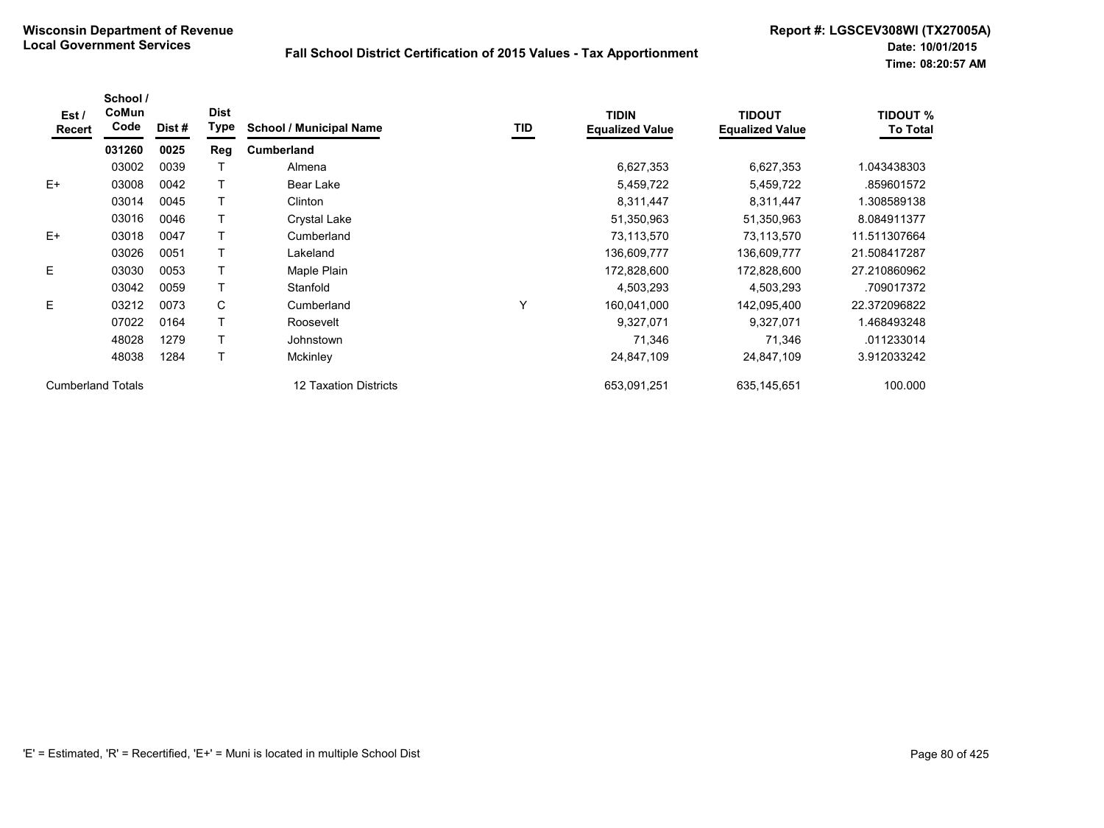| Est /<br>Recert          | School /<br>CoMun<br>Code | Dist # | <b>Dist</b><br><b>Type</b> | <b>School / Municipal Name</b> | TID | <b>TIDIN</b><br><b>Equalized Value</b> | <b>TIDOUT</b><br><b>Equalized Value</b> | <b>TIDOUT %</b><br><b>To Total</b> |
|--------------------------|---------------------------|--------|----------------------------|--------------------------------|-----|----------------------------------------|-----------------------------------------|------------------------------------|
|                          | 031260                    | 0025   | Reg                        | <b>Cumberland</b>              |     |                                        |                                         |                                    |
|                          | 03002                     | 0039   |                            | Almena                         |     | 6,627,353                              | 6,627,353                               | 1.043438303                        |
| $E+$                     | 03008                     | 0042   |                            | Bear Lake                      |     | 5,459,722                              | 5,459,722                               | .859601572                         |
|                          | 03014                     | 0045   |                            | Clinton                        |     | 8,311,447                              | 8,311,447                               | 1.308589138                        |
|                          | 03016                     | 0046   |                            | <b>Crystal Lake</b>            |     | 51,350,963                             | 51,350,963                              | 8.084911377                        |
| $E+$                     | 03018                     | 0047   |                            | Cumberland                     |     | 73,113,570                             | 73,113,570                              | 11.511307664                       |
|                          | 03026                     | 0051   |                            | Lakeland                       |     | 136,609,777                            | 136,609,777                             | 21.508417287                       |
| E.                       | 03030                     | 0053   |                            | Maple Plain                    |     | 172,828,600                            | 172,828,600                             | 27.210860962                       |
|                          | 03042                     | 0059   |                            | Stanfold                       |     | 4,503,293                              | 4,503,293                               | .709017372                         |
| E                        | 03212                     | 0073   | C                          | Cumberland                     | Υ   | 160,041,000                            | 142,095,400                             | 22.372096822                       |
|                          | 07022                     | 0164   |                            | Roosevelt                      |     | 9,327,071                              | 9,327,071                               | 1.468493248                        |
|                          | 48028                     | 1279   |                            | Johnstown                      |     | 71,346                                 | 71,346                                  | .011233014                         |
|                          | 48038                     | 1284   |                            | Mckinley                       |     | 24,847,109                             | 24,847,109                              | 3.912033242                        |
| <b>Cumberland Totals</b> |                           |        |                            | 12 Taxation Districts          |     | 653,091,251                            | 635,145,651                             | 100.000                            |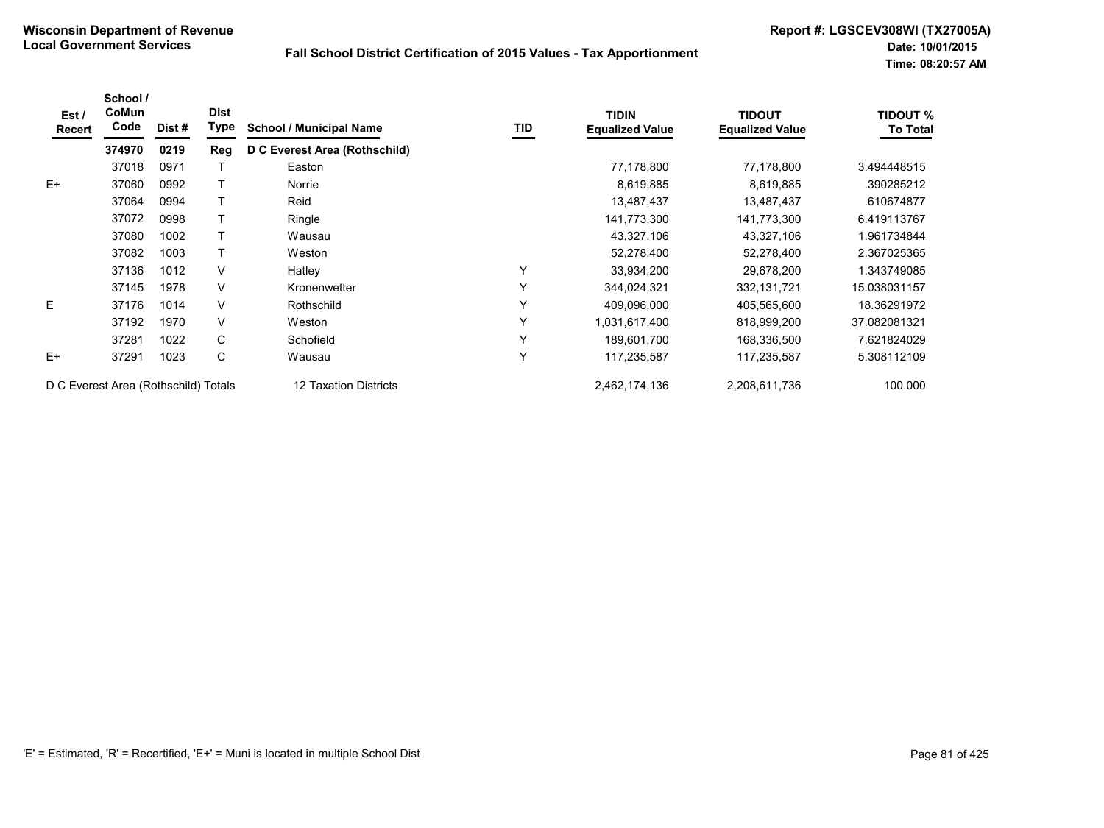| Est/<br>Recert | School /<br>CoMun<br>Code            | Dist # | <b>Dist</b><br>Type | <b>School / Municipal Name</b> | TID | <b>TIDIN</b><br><b>Equalized Value</b> | <b>TIDOUT</b><br><b>Equalized Value</b> | <b>TIDOUT %</b><br><b>To Total</b> |
|----------------|--------------------------------------|--------|---------------------|--------------------------------|-----|----------------------------------------|-----------------------------------------|------------------------------------|
|                | 374970                               | 0219   | Reg                 | D C Everest Area (Rothschild)  |     |                                        |                                         |                                    |
|                | 37018                                | 0971   |                     | Easton                         |     | 77,178,800                             | 77,178,800                              | 3.494448515                        |
| $E+$           | 37060                                | 0992   |                     | Norrie                         |     | 8,619,885                              | 8,619,885                               | .390285212                         |
|                | 37064                                | 0994   |                     | Reid                           |     | 13,487,437                             | 13,487,437                              | .610674877                         |
|                | 37072                                | 0998   |                     | Ringle                         |     | 141,773,300                            | 141,773,300                             | 6.419113767                        |
|                | 37080                                | 1002   |                     | Wausau                         |     | 43,327,106                             | 43,327,106                              | 1.961734844                        |
|                | 37082                                | 1003   |                     | Weston                         |     | 52,278,400                             | 52,278,400                              | 2.367025365                        |
|                | 37136                                | 1012   | V                   | Hatley                         | Y   | 33,934,200                             | 29,678,200                              | 1.343749085                        |
|                | 37145                                | 1978   | V                   | Kronenwetter                   | Y   | 344,024,321                            | 332, 131, 721                           | 15.038031157                       |
| E              | 37176                                | 1014   | V                   | Rothschild                     | Y   | 409,096,000                            | 405,565,600                             | 18.36291972                        |
|                | 37192                                | 1970   | V                   | Weston                         | Y   | 1,031,617,400                          | 818,999,200                             | 37.082081321                       |
|                | 37281                                | 1022   | C                   | Schofield                      | Y   | 189,601,700                            | 168,336,500                             | 7.621824029                        |
| $E+$           | 37291                                | 1023   | C                   | Wausau                         | Y   | 117,235,587                            | 117,235,587                             | 5.308112109                        |
|                | D C Everest Area (Rothschild) Totals |        |                     | 12 Taxation Districts          |     | 2,462,174,136                          | 2,208,611,736                           | 100.000                            |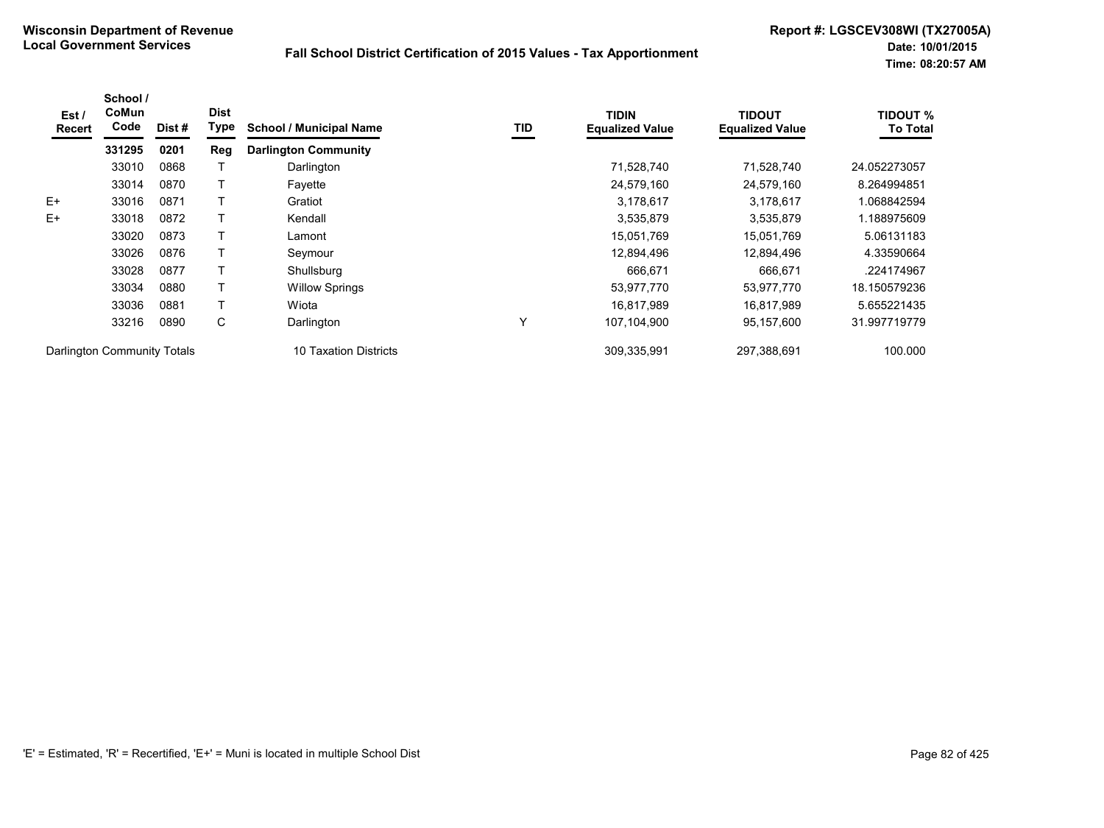| Est /<br>Recert             | School /<br>CoMun<br>Code | Dist # | <b>Dist</b><br><b>Type</b> | <b>School / Municipal Name</b> | TID | <b>TIDIN</b><br><b>Equalized Value</b> | TIDOUT<br><b>Equalized Value</b> | <b>TIDOUT %</b><br><b>To Total</b> |
|-----------------------------|---------------------------|--------|----------------------------|--------------------------------|-----|----------------------------------------|----------------------------------|------------------------------------|
|                             | 331295                    | 0201   | Reg                        | <b>Darlington Community</b>    |     |                                        |                                  |                                    |
|                             | 33010                     | 0868   |                            | Darlington                     |     | 71,528,740                             | 71,528,740                       | 24.052273057                       |
|                             | 33014                     | 0870   |                            | Fayette                        |     | 24,579,160                             | 24,579,160                       | 8.264994851                        |
| $E+$                        | 33016                     | 0871   |                            | Gratiot                        |     | 3,178,617                              | 3,178,617                        | 1.068842594                        |
| $E+$                        | 33018                     | 0872   |                            | Kendall                        |     | 3,535,879                              | 3,535,879                        | 1.188975609                        |
|                             | 33020                     | 0873   |                            | ∟amont                         |     | 15,051,769                             | 15,051,769                       | 5.06131183                         |
|                             | 33026                     | 0876   |                            | Seymour                        |     | 12,894,496                             | 12,894,496                       | 4.33590664                         |
|                             | 33028                     | 0877   |                            | Shullsburg                     |     | 666,671                                | 666,671                          | .224174967                         |
|                             | 33034                     | 0880   |                            | <b>Willow Springs</b>          |     | 53,977,770                             | 53,977,770                       | 18.150579236                       |
|                             | 33036                     | 0881   |                            | Wiota                          |     | 16,817,989                             | 16,817,989                       | 5.655221435                        |
|                             | 33216                     | 0890   | С                          | Darlington                     | Υ   | 107,104,900                            | 95,157,600                       | 31.997719779                       |
| Darlington Community Totals |                           |        |                            | 10 Taxation Districts          |     | 309,335,991                            | 297,388,691                      | 100.000                            |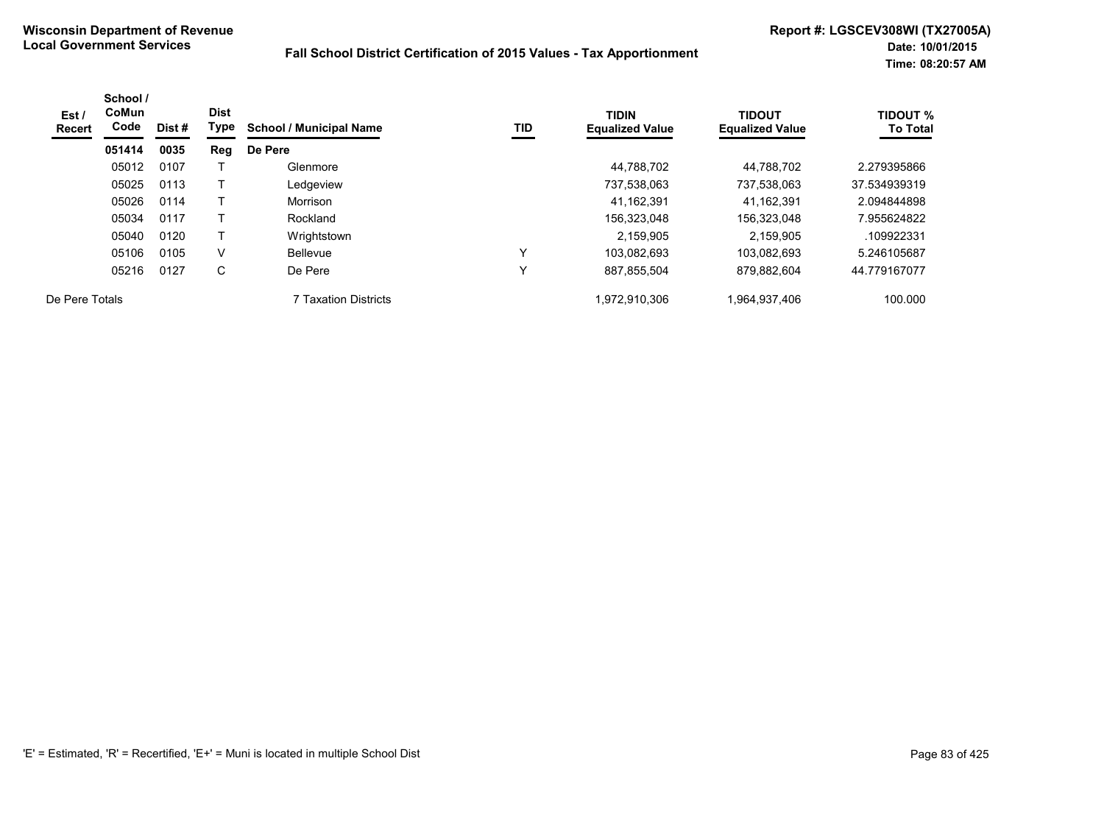| Est /<br><b>Recert</b> | School /<br><b>CoMun</b><br>Code | Dist # | <b>Dist</b><br>Type | <b>School / Municipal Name</b> | TID | <b>TIDIN</b><br><b>Equalized Value</b> | <b>TIDOUT</b><br><b>Equalized Value</b> | <b>TIDOUT %</b><br><b>To Total</b> |
|------------------------|----------------------------------|--------|---------------------|--------------------------------|-----|----------------------------------------|-----------------------------------------|------------------------------------|
|                        | 051414                           | 0035   | Reg                 | De Pere                        |     |                                        |                                         |                                    |
|                        | 05012                            | 0107   |                     | Glenmore                       |     | 44.788.702                             | 44.788.702                              | 2.279395866                        |
|                        | 05025                            | 0113   |                     | Ledgeview                      |     | 737,538,063                            | 737,538,063                             | 37.534939319                       |
|                        | 05026                            | 0114   |                     | Morrison                       |     | 41,162,391                             | 41.162.391                              | 2.094844898                        |
|                        | 05034                            | 0117   |                     | Rockland                       |     | 156,323,048                            | 156,323,048                             | 7.955624822                        |
|                        | 05040                            | 0120   |                     | Wrightstown                    |     | 2,159,905                              | 2.159.905                               | .109922331                         |
|                        | 05106                            | 0105   | V                   | Bellevue                       | v   | 103,082,693                            | 103.082.693                             | 5.246105687                        |
|                        | 05216                            | 0127   | С                   | De Pere                        | v   | 887,855,504                            | 879,882,604                             | 44.779167077                       |
| De Pere Totals         |                                  |        |                     | <b>7 Taxation Districts</b>    |     | 1,972,910,306                          | 1,964,937,406                           | 100.000                            |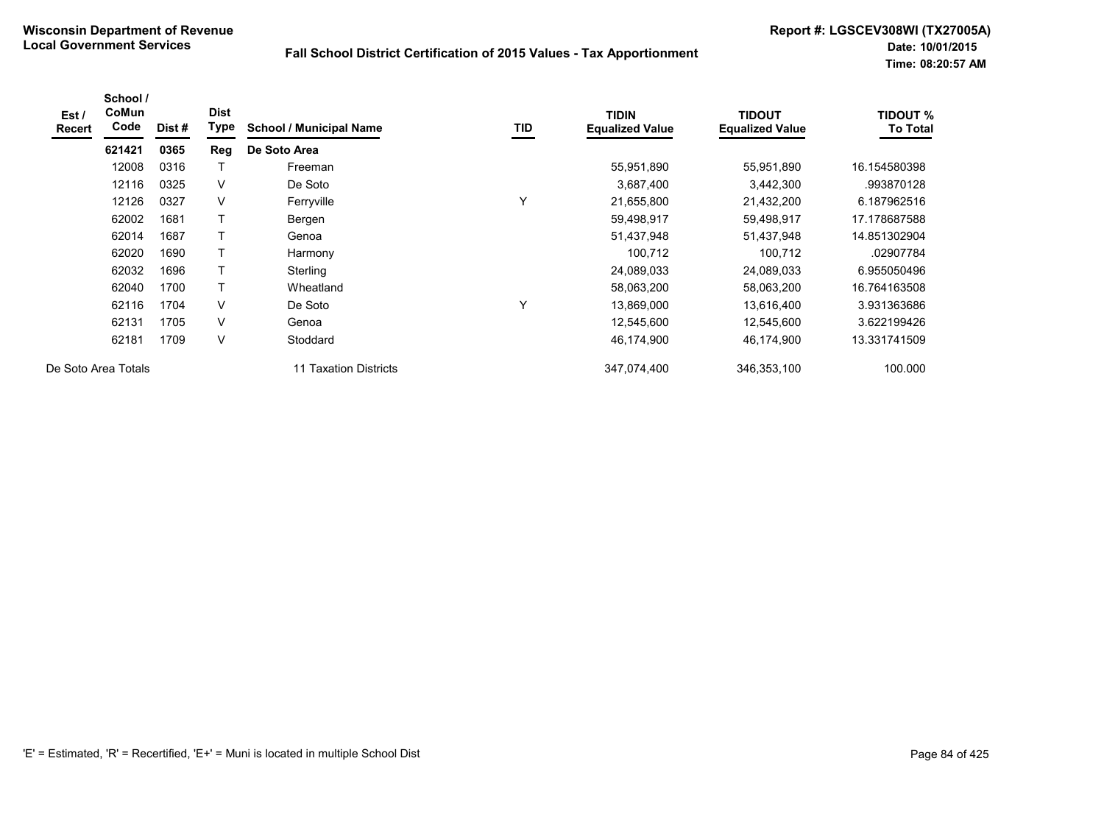| Est /<br>Recert | School /<br>CoMun<br>Code | Dist# | <b>Dist</b><br>Type | <b>School / Municipal Name</b> | TID | <b>TIDIN</b><br><b>Equalized Value</b> | <b>TIDOUT</b><br><b>Equalized Value</b> | <b>TIDOUT %</b><br><b>To Total</b> |
|-----------------|---------------------------|-------|---------------------|--------------------------------|-----|----------------------------------------|-----------------------------------------|------------------------------------|
|                 | 621421                    | 0365  | Reg                 | De Soto Area                   |     |                                        |                                         |                                    |
|                 | 12008                     | 0316  |                     | Freeman                        |     | 55,951,890                             | 55,951,890                              | 16.154580398                       |
|                 | 12116                     | 0325  | V                   | De Soto                        |     | 3,687,400                              | 3,442,300                               | .993870128                         |
|                 | 12126                     | 0327  | $\vee$              | Ferryville                     | Y   | 21,655,800                             | 21,432,200                              | 6.187962516                        |
|                 | 62002                     | 1681  |                     | Bergen                         |     | 59,498,917                             | 59,498,917                              | 17.178687588                       |
|                 | 62014                     | 1687  |                     | Genoa                          |     | 51,437,948                             | 51,437,948                              | 14.851302904                       |
|                 | 62020                     | 1690  |                     | Harmony                        |     | 100,712                                | 100,712                                 | .02907784                          |
|                 | 62032                     | 1696  | Τ                   | Sterling                       |     | 24,089,033                             | 24,089,033                              | 6.955050496                        |
|                 | 62040                     | 1700  |                     | Wheatland                      |     | 58,063,200                             | 58,063,200                              | 16.764163508                       |
|                 | 62116                     | 1704  | V                   | De Soto                        | Υ   | 13,869,000                             | 13,616,400                              | 3.931363686                        |
|                 | 62131                     | 1705  | V                   | Genoa                          |     | 12,545,600                             | 12,545,600                              | 3.622199426                        |
|                 | 62181                     | 1709  | $\vee$              | Stoddard                       |     | 46,174,900                             | 46,174,900                              | 13.331741509                       |
|                 | De Soto Area Totals       |       |                     | 11 Taxation Districts          |     | 347,074,400                            | 346,353,100                             | 100.000                            |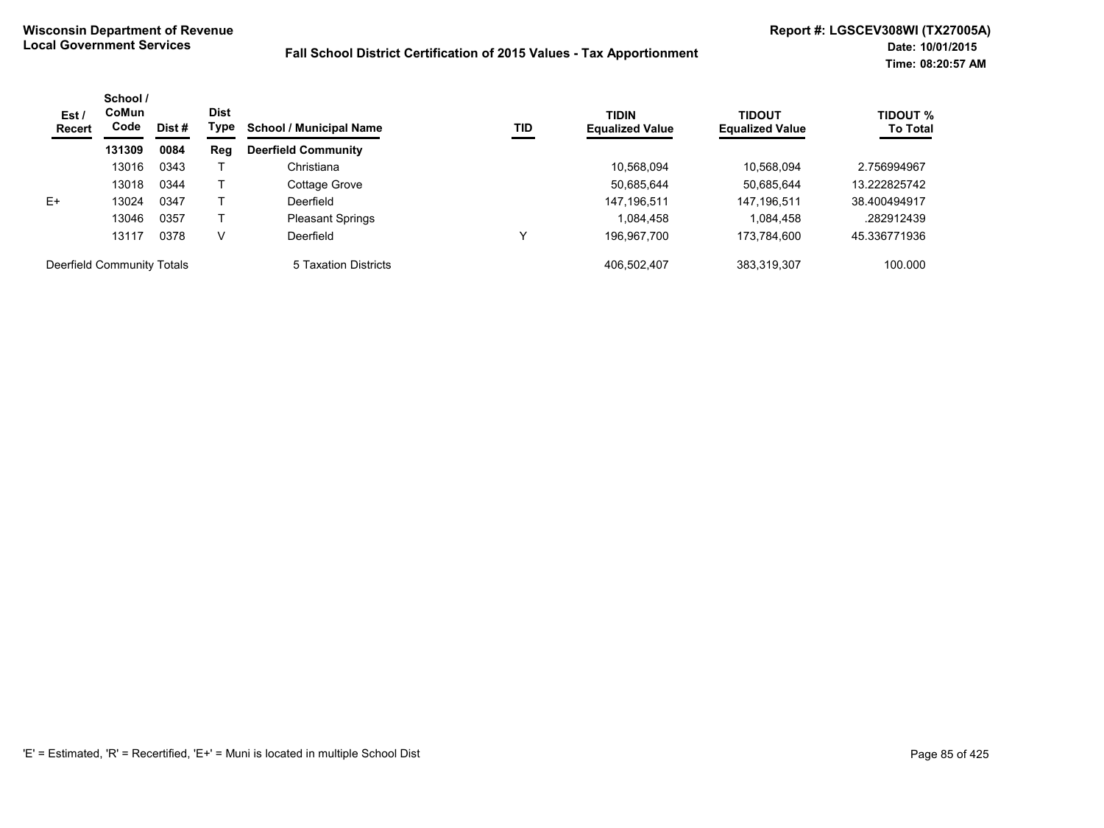| Est /<br><b>Recert</b>     | School /<br><b>CoMun</b><br>Code | Dist# | <b>Dist</b><br>Type | <b>School / Municipal Name</b> | TID | <b>TIDIN</b><br><b>Equalized Value</b> | <b>TIDOUT</b><br><b>Equalized Value</b> | <b>TIDOUT %</b><br><b>To Total</b> |
|----------------------------|----------------------------------|-------|---------------------|--------------------------------|-----|----------------------------------------|-----------------------------------------|------------------------------------|
|                            | 131309                           | 0084  | Reg                 | <b>Deerfield Community</b>     |     |                                        |                                         |                                    |
|                            | 13016                            | 0343  |                     | Christiana                     |     | 10,568,094                             | 10,568,094                              | 2.756994967                        |
|                            | 13018                            | 0344  |                     | Cottage Grove                  |     | 50,685,644                             | 50,685,644                              | 13.222825742                       |
| $E+$                       | 13024                            | 0347  |                     | Deerfield                      |     | 147, 196, 511                          | 147, 196, 511                           | 38.400494917                       |
|                            | 13046                            | 0357  |                     | <b>Pleasant Springs</b>        |     | 1,084,458                              | 1,084,458                               | .282912439                         |
|                            | 13117                            | 0378  | v                   | Deerfield                      |     | 196,967,700                            | 173,784,600                             | 45.336771936                       |
| Deerfield Community Totals |                                  |       |                     | 5 Taxation Districts           |     | 406.502.407                            | 383,319,307                             | 100.000                            |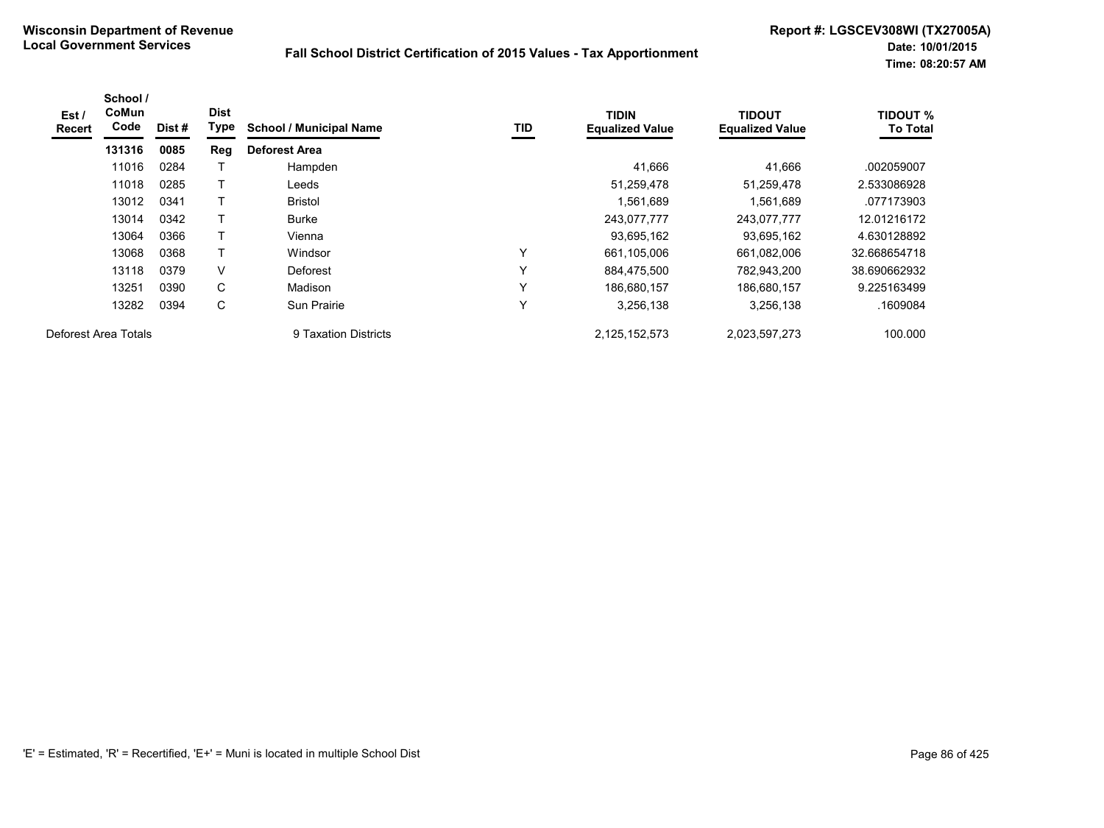| Est /<br>Recert | School /<br>CoMun<br>Code | Dist # | <b>Dist</b><br>Type | <b>School / Municipal Name</b> | TID | <b>TIDIN</b><br><b>Equalized Value</b> | <b>TIDOUT</b><br><b>Equalized Value</b> | <b>TIDOUT %</b><br><b>To Total</b> |
|-----------------|---------------------------|--------|---------------------|--------------------------------|-----|----------------------------------------|-----------------------------------------|------------------------------------|
|                 | 131316                    | 0085   | Reg                 | <b>Deforest Area</b>           |     |                                        |                                         |                                    |
|                 | 11016                     | 0284   |                     | Hampden                        |     | 41,666                                 | 41,666                                  | .002059007                         |
|                 | 11018                     | 0285   |                     | Leeds                          |     | 51,259,478                             | 51,259,478                              | 2.533086928                        |
|                 | 13012                     | 0341   |                     | <b>Bristol</b>                 |     | 1,561,689                              | 1,561,689                               | .077173903                         |
|                 | 13014                     | 0342   |                     | <b>Burke</b>                   |     | 243,077,777                            | 243,077,777                             | 12.01216172                        |
|                 | 13064                     | 0366   | T                   | Vienna                         |     | 93,695,162                             | 93,695,162                              | 4.630128892                        |
|                 | 13068                     | 0368   |                     | Windsor                        | Y   | 661,105,006                            | 661,082,006                             | 32.668654718                       |
|                 | 13118                     | 0379   | V                   | Deforest                       | Υ   | 884,475,500                            | 782,943,200                             | 38.690662932                       |
|                 | 13251                     | 0390   | C                   | Madison                        | Υ   | 186,680,157                            | 186,680,157                             | 9.225163499                        |
|                 | 13282                     | 0394   | С                   | Sun Prairie                    | ٧   | 3,256,138                              | 3,256,138                               | .1609084                           |
|                 | Deforest Area Totals      |        |                     | 9 Taxation Districts           |     | 2,125,152,573                          | 2,023,597,273                           | 100.000                            |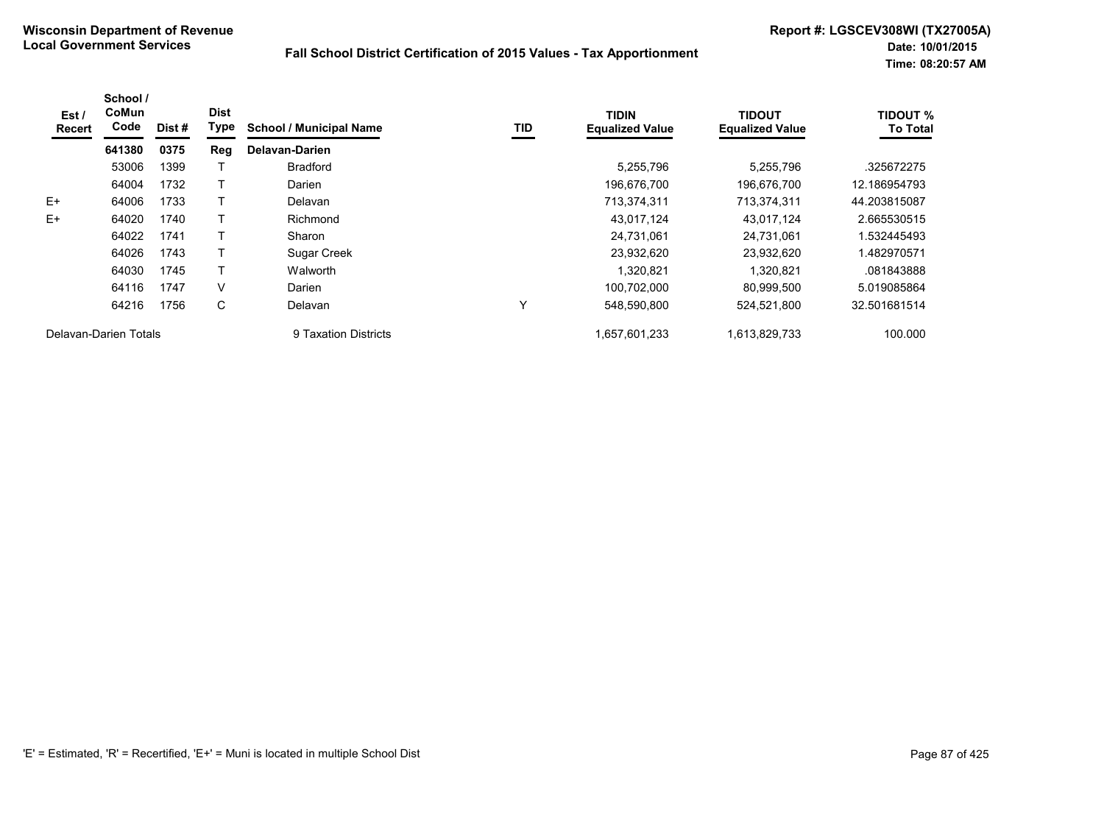| Est /<br>Recert       | School /<br>CoMun<br>Code | Dist# | <b>Dist</b><br>Type | <b>School / Municipal Name</b> | TID         | <b>TIDIN</b><br><b>Equalized Value</b> | <b>TIDOUT</b><br><b>Equalized Value</b> | <b>TIDOUT %</b><br><b>To Total</b> |
|-----------------------|---------------------------|-------|---------------------|--------------------------------|-------------|----------------------------------------|-----------------------------------------|------------------------------------|
|                       | 641380                    | 0375  | Reg                 | Delavan-Darien                 |             |                                        |                                         |                                    |
|                       | 53006                     | 1399  |                     | <b>Bradford</b>                |             | 5,255,796                              | 5,255,796                               | .325672275                         |
|                       | 64004                     | 1732  |                     | Darien                         |             | 196.676.700                            | 196,676,700                             | 12.186954793                       |
| $E+$                  | 64006                     | 1733  |                     | Delavan                        |             | 713,374,311                            | 713,374,311                             | 44.203815087                       |
| $E+$                  | 64020                     | 1740  |                     | Richmond                       |             | 43,017,124                             | 43,017,124                              | 2.665530515                        |
|                       | 64022                     | 1741  |                     | Sharon                         |             | 24,731,061                             | 24,731,061                              | 1.532445493                        |
|                       | 64026                     | 1743  |                     | Sugar Creek                    |             | 23,932,620                             | 23.932.620                              | 1.482970571                        |
|                       | 64030                     | 1745  |                     | Walworth                       |             | 1,320,821                              | 1,320,821                               | .081843888                         |
|                       | 64116                     | 1747  | V                   | Darien                         |             | 100.702.000                            | 80.999.500                              | 5.019085864                        |
|                       | 64216                     | 1756  | C                   | Delavan                        | $\check{ }$ | 548,590,800                            | 524,521,800                             | 32.501681514                       |
| Delavan-Darien Totals |                           |       |                     | 9 Taxation Districts           |             | 1.657.601.233                          | 1.613.829.733                           | 100.000                            |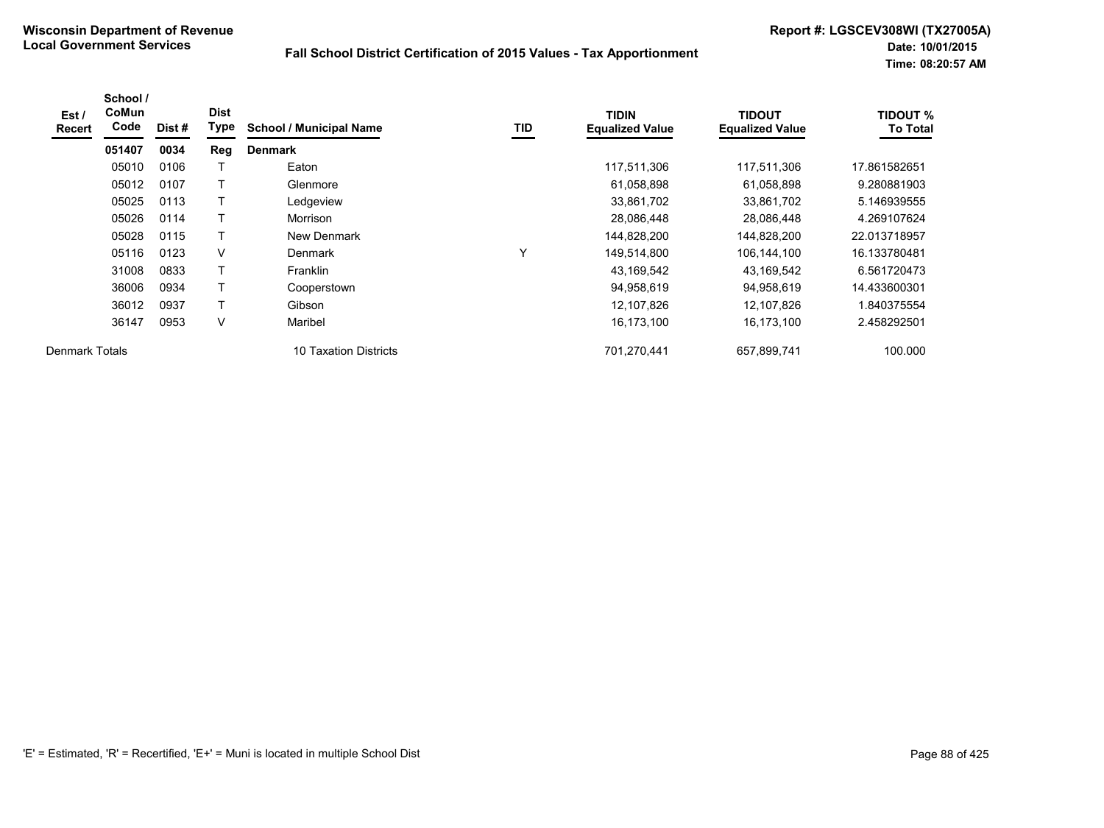| Est /<br><b>Recert</b> | School /<br>CoMun<br>Code | Dist # | <b>Dist</b><br>Type | <b>School / Municipal Name</b> | TID          | <b>TIDIN</b><br><b>Equalized Value</b> | <b>TIDOUT</b><br><b>Equalized Value</b> | <b>TIDOUT %</b><br><b>To Total</b> |
|------------------------|---------------------------|--------|---------------------|--------------------------------|--------------|----------------------------------------|-----------------------------------------|------------------------------------|
|                        | 051407                    | 0034   | Reg                 | <b>Denmark</b>                 |              |                                        |                                         |                                    |
|                        | 05010                     | 0106   |                     | Eaton                          |              | 117,511,306                            | 117,511,306                             | 17.861582651                       |
|                        | 05012                     | 0107   |                     | Glenmore                       |              | 61,058,898                             | 61,058,898                              | 9.280881903                        |
|                        | 05025                     | 0113   |                     | Ledgeview                      |              | 33,861,702                             | 33,861,702                              | 5.146939555                        |
|                        | 05026                     | 0114   |                     | Morrison                       |              | 28,086,448                             | 28,086,448                              | 4.269107624                        |
|                        | 05028                     | 0115   |                     | New Denmark                    |              | 144,828,200                            | 144,828,200                             | 22.013718957                       |
|                        | 05116                     | 0123   | $\vee$              | Denmark                        | $\checkmark$ | 149,514,800                            | 106,144,100                             | 16.133780481                       |
|                        | 31008                     | 0833   |                     | <b>Franklin</b>                |              | 43,169,542                             | 43,169,542                              | 6.561720473                        |
|                        | 36006                     | 0934   |                     | Cooperstown                    |              | 94,958,619                             | 94,958,619                              | 14.433600301                       |
|                        | 36012                     | 0937   | T                   | Gibson                         |              | 12,107,826                             | 12,107,826                              | 1.840375554                        |
|                        | 36147                     | 0953   | V                   | Maribel                        |              | 16,173,100                             | 16,173,100                              | 2.458292501                        |
| Denmark Totals         |                           |        |                     | 10 Taxation Districts          |              | 701,270,441                            | 657,899,741                             | 100.000                            |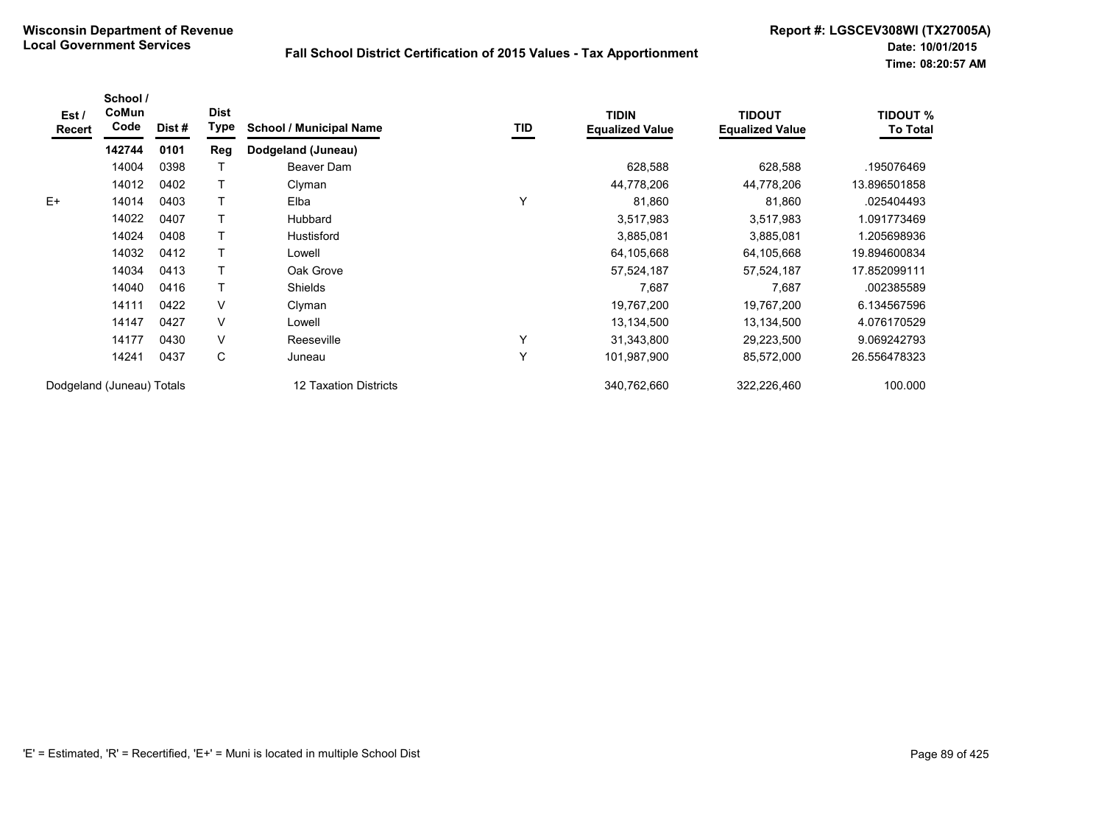| Est /<br>Recert | School /<br>CoMun<br>Code | Dist # | <b>Dist</b><br><b>Type</b> | <b>School / Municipal Name</b> | TID | <b>TIDIN</b><br><b>Equalized Value</b> | <b>TIDOUT</b><br><b>Equalized Value</b> | <b>TIDOUT %</b><br><b>To Total</b> |
|-----------------|---------------------------|--------|----------------------------|--------------------------------|-----|----------------------------------------|-----------------------------------------|------------------------------------|
|                 | 142744                    | 0101   | Reg                        | Dodgeland (Juneau)             |     |                                        |                                         |                                    |
|                 | 14004                     | 0398   |                            | Beaver Dam                     |     | 628,588                                | 628,588                                 | .195076469                         |
|                 | 14012                     | 0402   |                            | Clyman                         |     | 44,778,206                             | 44,778,206                              | 13.896501858                       |
| $E+$            | 14014                     | 0403   |                            | Elba                           | Υ   | 81,860                                 | 81,860                                  | .025404493                         |
|                 | 14022                     | 0407   |                            | <b>Hubbard</b>                 |     | 3,517,983                              | 3,517,983                               | 1.091773469                        |
|                 | 14024                     | 0408   |                            | <b>Hustisford</b>              |     | 3,885,081                              | 3,885,081                               | 1.205698936                        |
|                 | 14032                     | 0412   |                            | Lowell                         |     | 64,105,668                             | 64,105,668                              | 19.894600834                       |
|                 | 14034                     | 0413   |                            | Oak Grove                      |     | 57,524,187                             | 57,524,187                              | 17.852099111                       |
|                 | 14040                     | 0416   |                            | <b>Shields</b>                 |     | 7,687                                  | 7,687                                   | .002385589                         |
|                 | 14111                     | 0422   | V                          | Clyman                         |     | 19,767,200                             | 19,767,200                              | 6.134567596                        |
|                 | 14147                     | 0427   | V                          | Lowell                         |     | 13,134,500                             | 13,134,500                              | 4.076170529                        |
|                 | 14177                     | 0430   | V                          | Reeseville                     | Υ   | 31,343,800                             | 29,223,500                              | 9.069242793                        |
|                 | 14241                     | 0437   | С                          | Juneau                         | Υ   | 101,987,900                            | 85,572,000                              | 26.556478323                       |
|                 | Dodgeland (Juneau) Totals |        |                            | 12 Taxation Districts          |     | 340,762,660                            | 322,226,460                             | 100.000                            |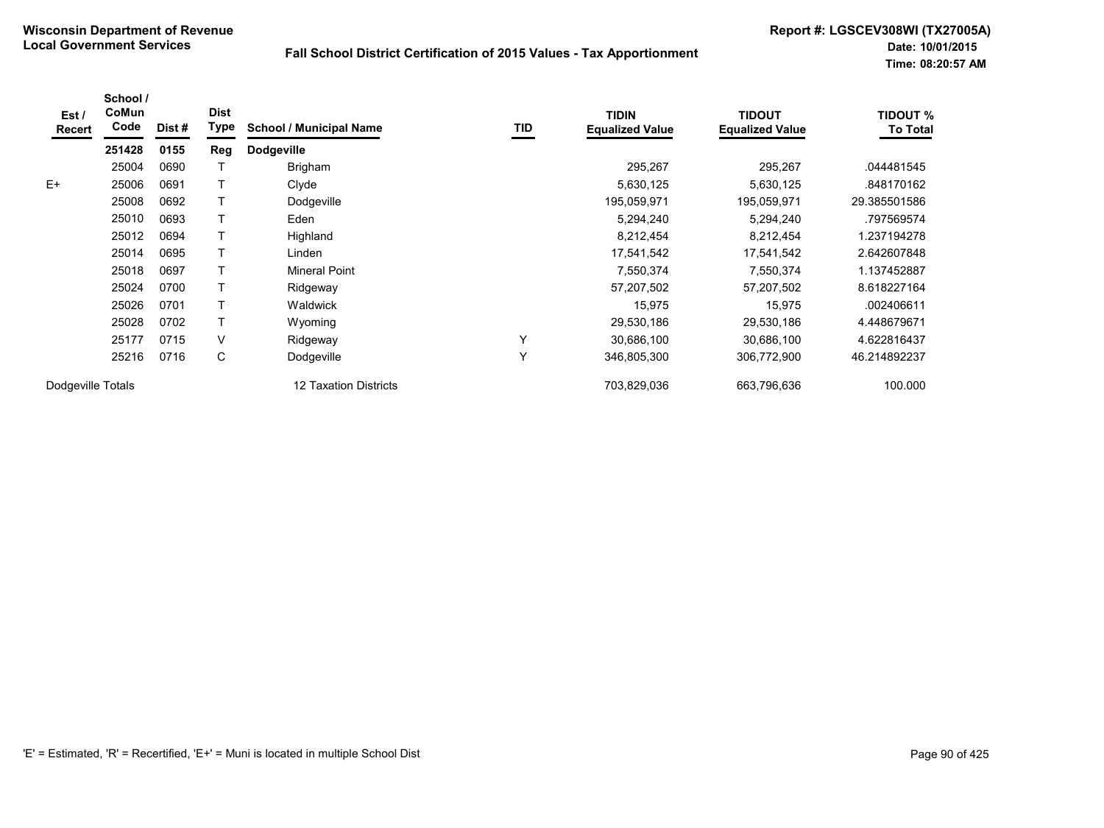| Est /<br>Recert   | School /<br>CoMun<br>Code | Dist # | <b>Dist</b><br>Type | <b>School / Municipal Name</b> | TID | <b>TIDIN</b><br><b>Equalized Value</b> | <b>TIDOUT</b><br><b>Equalized Value</b> | <b>TIDOUT %</b><br>To Total |
|-------------------|---------------------------|--------|---------------------|--------------------------------|-----|----------------------------------------|-----------------------------------------|-----------------------------|
|                   | 251428                    | 0155   | Reg                 | <b>Dodgeville</b>              |     |                                        |                                         |                             |
|                   | 25004                     | 0690   |                     | Brigham                        |     | 295,267                                | 295,267                                 | .044481545                  |
| $E+$              | 25006                     | 0691   |                     | Clyde                          |     | 5,630,125                              | 5,630,125                               | .848170162                  |
|                   | 25008                     | 0692   |                     | Dodgeville                     |     | 195,059,971                            | 195,059,971                             | 29.385501586                |
|                   | 25010                     | 0693   |                     | Eden                           |     | 5,294,240                              | 5,294,240                               | .797569574                  |
|                   | 25012                     | 0694   |                     | Highland                       |     | 8,212,454                              | 8,212,454                               | 1.237194278                 |
|                   | 25014                     | 0695   |                     | Linden                         |     | 17,541,542                             | 17,541,542                              | 2.642607848                 |
|                   | 25018                     | 0697   |                     | <b>Mineral Point</b>           |     | 7,550,374                              | 7,550,374                               | 1.137452887                 |
|                   | 25024                     | 0700   |                     | Ridgeway                       |     | 57,207,502                             | 57,207,502                              | 8.618227164                 |
|                   | 25026                     | 0701   | т                   | Waldwick                       |     | 15,975                                 | 15,975                                  | .002406611                  |
|                   | 25028                     | 0702   | T                   | Wyoming                        |     | 29,530,186                             | 29,530,186                              | 4.448679671                 |
|                   | 25177                     | 0715   | V                   | Ridgeway                       | Υ   | 30,686,100                             | 30,686,100                              | 4.622816437                 |
|                   | 25216                     | 0716   | С                   | Dodgeville                     | Υ   | 346,805,300                            | 306,772,900                             | 46.214892237                |
| Dodgeville Totals |                           |        |                     | 12 Taxation Districts          |     | 703,829,036                            | 663,796,636                             | 100.000                     |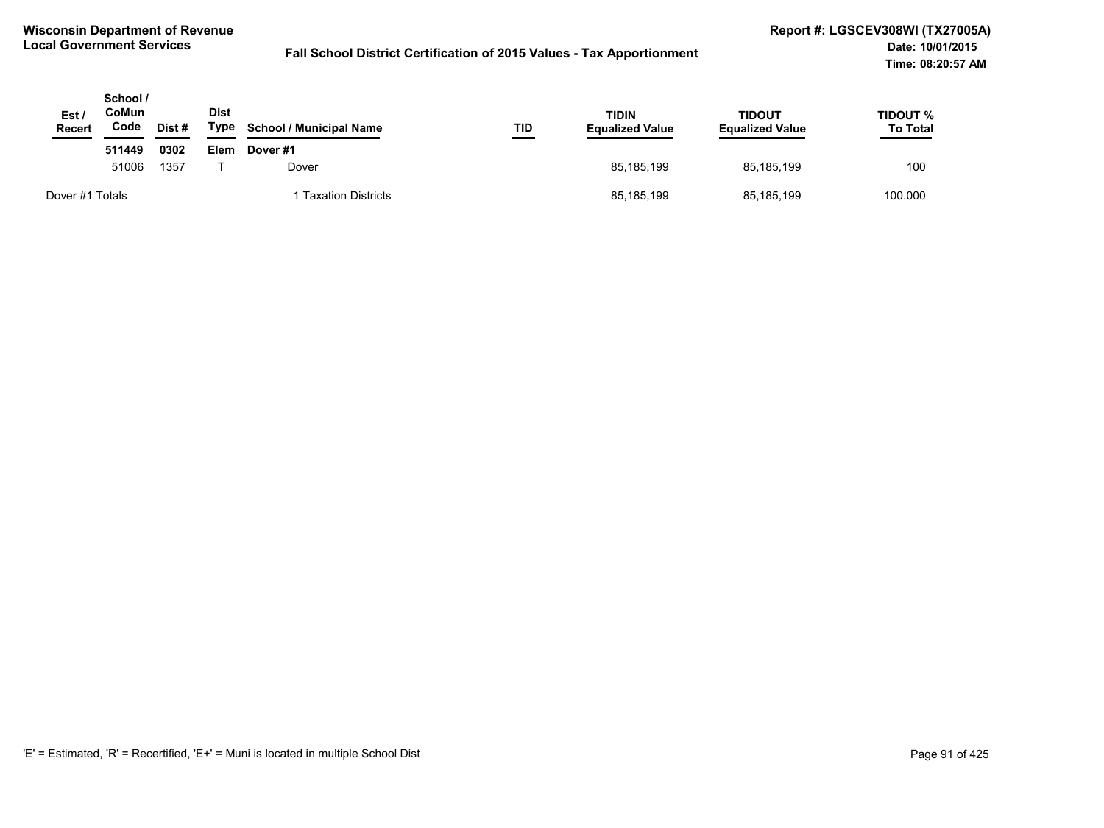| Est/<br><b>Recert</b> | School /<br>CoMun<br>Code | Dist# | Dist<br>Type | <b>School / Municipal Name</b> | TID<br>___ | <b>TIDIN</b><br><b>Equalized Value</b> | TIDOUT<br><b>Equalized Value</b> | TIDOUT %<br><b>To Total</b> |
|-----------------------|---------------------------|-------|--------------|--------------------------------|------------|----------------------------------------|----------------------------------|-----------------------------|
|                       | 511449                    | 0302  | Elem         | Dover #1                       |            |                                        |                                  |                             |
|                       | 51006                     | 1357  |              | Dover                          |            | 85.185.199                             | 85.185.199                       | 100                         |
| Dover #1 Totals       |                           |       |              | <b>Taxation Districts</b>      |            | 85,185,199                             | 85,185,199                       | 100.000                     |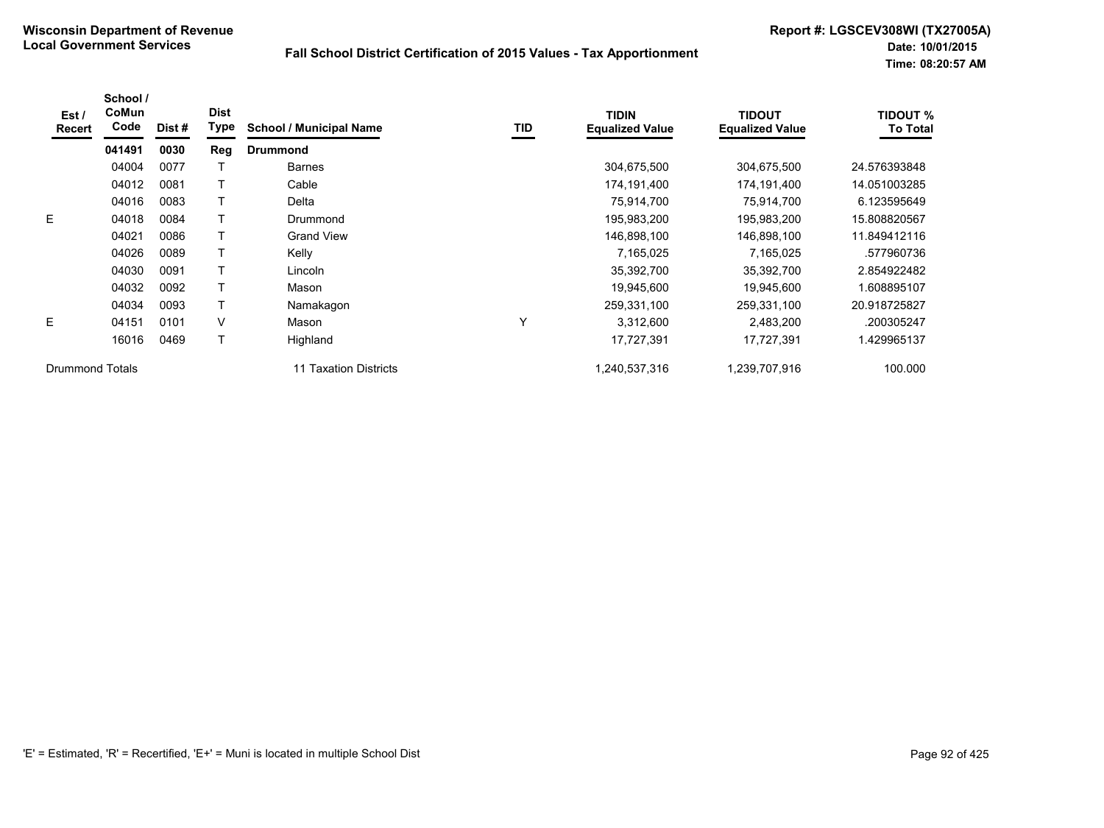| Est/<br>Recert         | School /<br>CoMun<br>Code | Dist# | <b>Dist</b><br>Type | <b>School / Municipal Name</b> | TID | <b>TIDIN</b><br><b>Equalized Value</b> | <b>TIDOUT</b><br><b>Equalized Value</b> | <b>TIDOUT %</b><br><b>To Total</b> |
|------------------------|---------------------------|-------|---------------------|--------------------------------|-----|----------------------------------------|-----------------------------------------|------------------------------------|
|                        | 041491                    | 0030  | Reg                 | <b>Drummond</b>                |     |                                        |                                         |                                    |
|                        | 04004                     | 0077  |                     | <b>Barnes</b>                  |     | 304,675,500                            | 304,675,500                             | 24.576393848                       |
|                        | 04012                     | 0081  |                     | Cable                          |     | 174,191,400                            | 174,191,400                             | 14.051003285                       |
|                        | 04016                     | 0083  |                     | Delta                          |     | 75,914,700                             | 75,914,700                              | 6.123595649                        |
| E.                     | 04018                     | 0084  |                     | Drummond                       |     | 195,983,200                            | 195,983,200                             | 15.808820567                       |
|                        | 04021                     | 0086  |                     | <b>Grand View</b>              |     | 146,898,100                            | 146,898,100                             | 11.849412116                       |
|                        | 04026                     | 0089  |                     | Kelly                          |     | 7,165,025                              | 7,165,025                               | .577960736                         |
|                        | 04030                     | 0091  |                     | Lincoln                        |     | 35,392,700                             | 35,392,700                              | 2.854922482                        |
|                        | 04032                     | 0092  |                     | Mason                          |     | 19,945,600                             | 19,945,600                              | 1.608895107                        |
|                        | 04034                     | 0093  |                     | Namakagon                      |     | 259,331,100                            | 259,331,100                             | 20.918725827                       |
| E.                     | 04151                     | 0101  | V                   | Mason                          | Y   | 3,312,600                              | 2,483,200                               | .200305247                         |
|                        | 16016                     | 0469  |                     | Highland                       |     | 17,727,391                             | 17,727,391                              | 1.429965137                        |
| <b>Drummond Totals</b> |                           |       |                     | 11 Taxation Districts          |     | 1,240,537,316                          | 1,239,707,916                           | 100.000                            |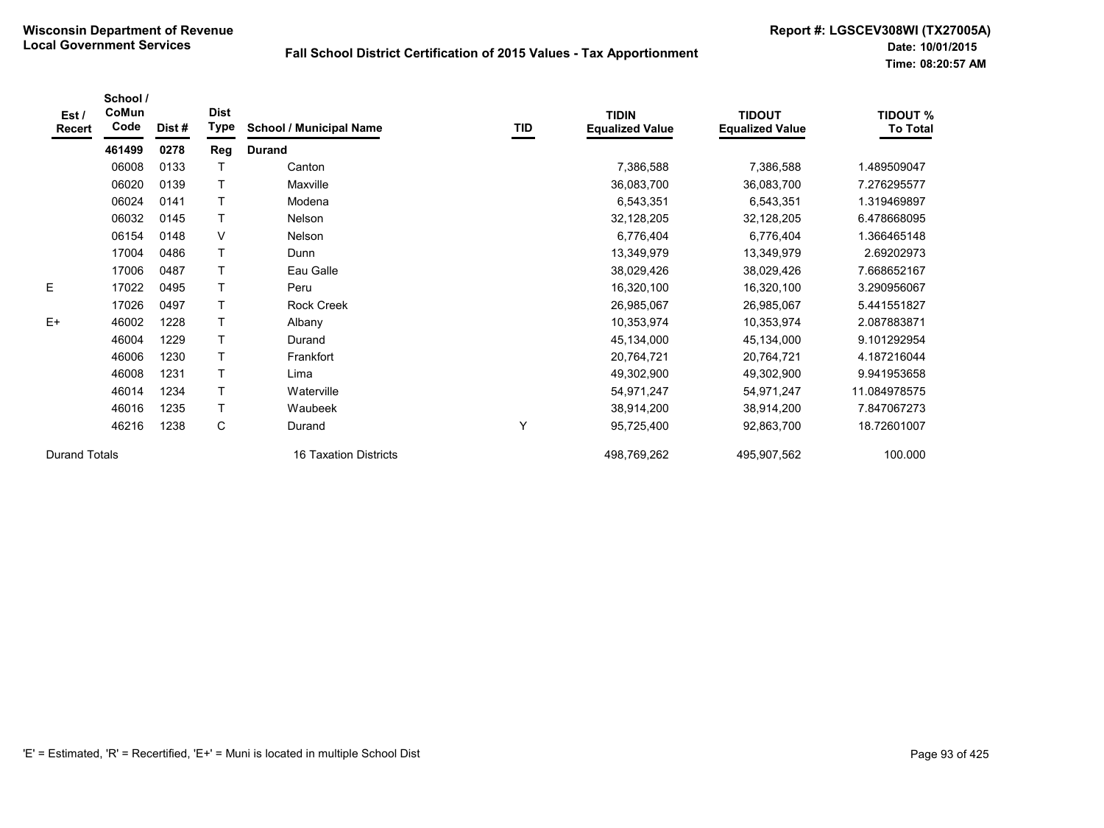| Est /<br>Recert      | School /<br>CoMun<br>Code | Dist# | <b>Dist</b><br><b>Type</b> | <b>School / Municipal Name</b> | TID | <b>TIDIN</b><br><b>Equalized Value</b> | <b>TIDOUT</b><br><b>Equalized Value</b> | <b>TIDOUT %</b><br><b>To Total</b> |
|----------------------|---------------------------|-------|----------------------------|--------------------------------|-----|----------------------------------------|-----------------------------------------|------------------------------------|
|                      | 461499                    | 0278  | Reg                        | <b>Durand</b>                  |     |                                        |                                         |                                    |
|                      | 06008                     | 0133  |                            | Canton                         |     | 7,386,588                              | 7,386,588                               | 1.489509047                        |
|                      | 06020                     | 0139  |                            | <b>Maxville</b>                |     | 36,083,700                             | 36,083,700                              | 7.276295577                        |
|                      | 06024                     | 0141  |                            | Modena                         |     | 6,543,351                              | 6,543,351                               | 1.319469897                        |
|                      | 06032                     | 0145  |                            | <b>Nelson</b>                  |     | 32,128,205                             | 32,128,205                              | 6.478668095                        |
|                      | 06154                     | 0148  | $\vee$                     | Nelson                         |     | 6,776,404                              | 6,776,404                               | 1.366465148                        |
|                      | 17004                     | 0486  | T                          | Dunn                           |     | 13,349,979                             | 13,349,979                              | 2.69202973                         |
|                      | 17006                     | 0487  | T                          | Eau Galle                      |     | 38,029,426                             | 38,029,426                              | 7.668652167                        |
| E                    | 17022                     | 0495  |                            | Peru                           |     | 16,320,100                             | 16,320,100                              | 3.290956067                        |
|                      | 17026                     | 0497  |                            | <b>Rock Creek</b>              |     | 26,985,067                             | 26,985,067                              | 5.441551827                        |
| $E+$                 | 46002                     | 1228  |                            | Albany                         |     | 10,353,974                             | 10,353,974                              | 2.087883871                        |
|                      | 46004                     | 1229  | T                          | Durand                         |     | 45,134,000                             | 45,134,000                              | 9.101292954                        |
|                      | 46006                     | 1230  |                            | Frankfort                      |     | 20,764,721                             | 20,764,721                              | 4.187216044                        |
|                      | 46008                     | 1231  |                            | Lima                           |     | 49,302,900                             | 49,302,900                              | 9.941953658                        |
|                      | 46014                     | 1234  | T                          | Waterville                     |     | 54,971,247                             | 54,971,247                              | 11.084978575                       |
|                      | 46016                     | 1235  | T                          | Waubeek                        |     | 38,914,200                             | 38,914,200                              | 7.847067273                        |
|                      | 46216                     | 1238  | C                          | Durand                         | Υ   | 95,725,400                             | 92,863,700                              | 18.72601007                        |
| <b>Durand Totals</b> |                           |       |                            | 16 Taxation Districts          |     | 498,769,262                            | 495,907,562                             | 100.000                            |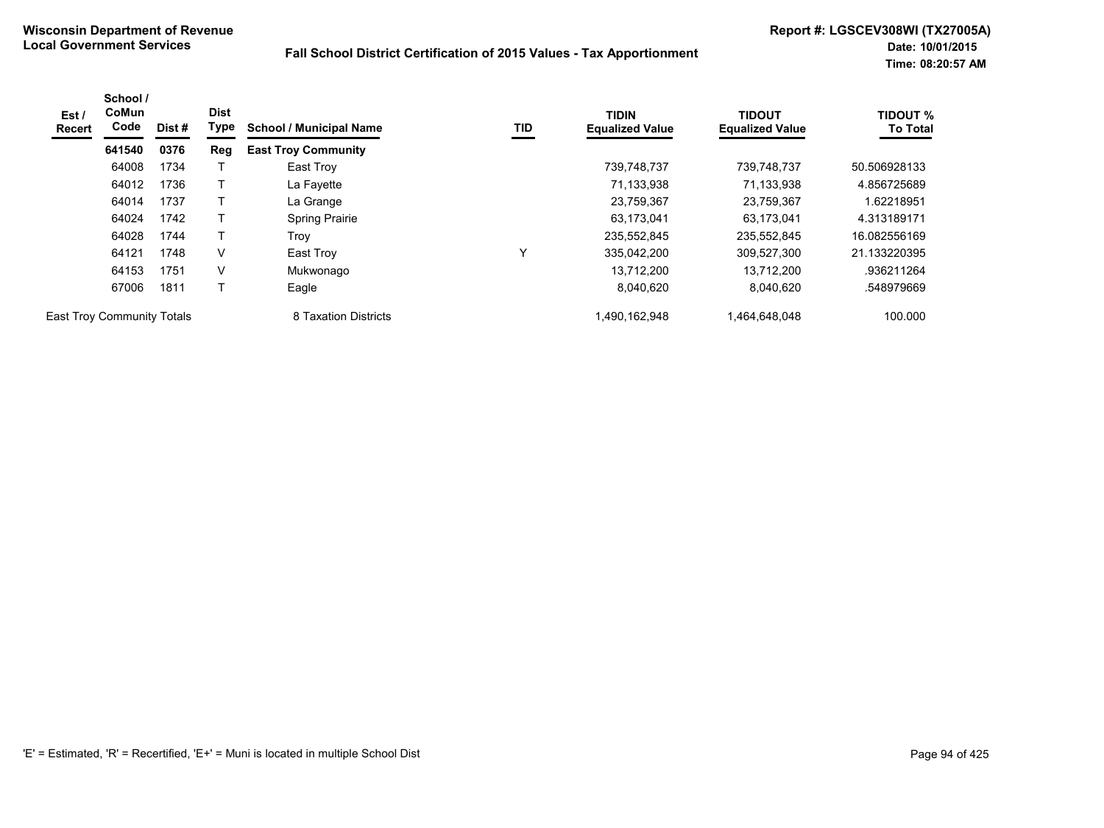| Est/<br>Recert                    | School /<br>CoMun<br>Code | Dist # | <b>Dist</b><br>Type | <b>School / Municipal Name</b> | TID | <b>TIDIN</b><br><b>Equalized Value</b> | <b>TIDOUT</b><br><b>Equalized Value</b> | <b>TIDOUT %</b><br><b>To Total</b> |
|-----------------------------------|---------------------------|--------|---------------------|--------------------------------|-----|----------------------------------------|-----------------------------------------|------------------------------------|
|                                   | 641540                    | 0376   | Reg                 | <b>East Troy Community</b>     |     |                                        |                                         |                                    |
|                                   | 64008                     | 1734   |                     | East Troy                      |     | 739,748,737                            | 739.748.737                             | 50.506928133                       |
|                                   | 64012                     | 1736   |                     | La Fayette                     |     | 71,133,938                             | 71,133,938                              | 4.856725689                        |
|                                   | 64014                     | 1737   |                     | La Grange                      |     | 23,759,367                             | 23,759,367                              | 1.62218951                         |
|                                   | 64024                     | 1742   |                     | <b>Spring Prairie</b>          |     | 63,173,041                             | 63,173,041                              | 4.313189171                        |
|                                   | 64028                     | 1744   |                     | Trov                           |     | 235,552,845                            | 235,552,845                             | 16.082556169                       |
|                                   | 64121                     | 1748   | V                   | East Troy                      | ٧   | 335.042.200                            | 309,527,300                             | 21.133220395                       |
|                                   | 64153                     | 1751   | v                   | Mukwonago                      |     | 13.712.200                             | 13.712.200                              | .936211264                         |
|                                   | 67006                     | 1811   |                     | Eagle                          |     | 8,040,620                              | 8,040,620                               | .548979669                         |
| <b>East Troy Community Totals</b> |                           |        |                     | 8 Taxation Districts           |     | 1,490,162,948                          | 1,464,648,048                           | 100.000                            |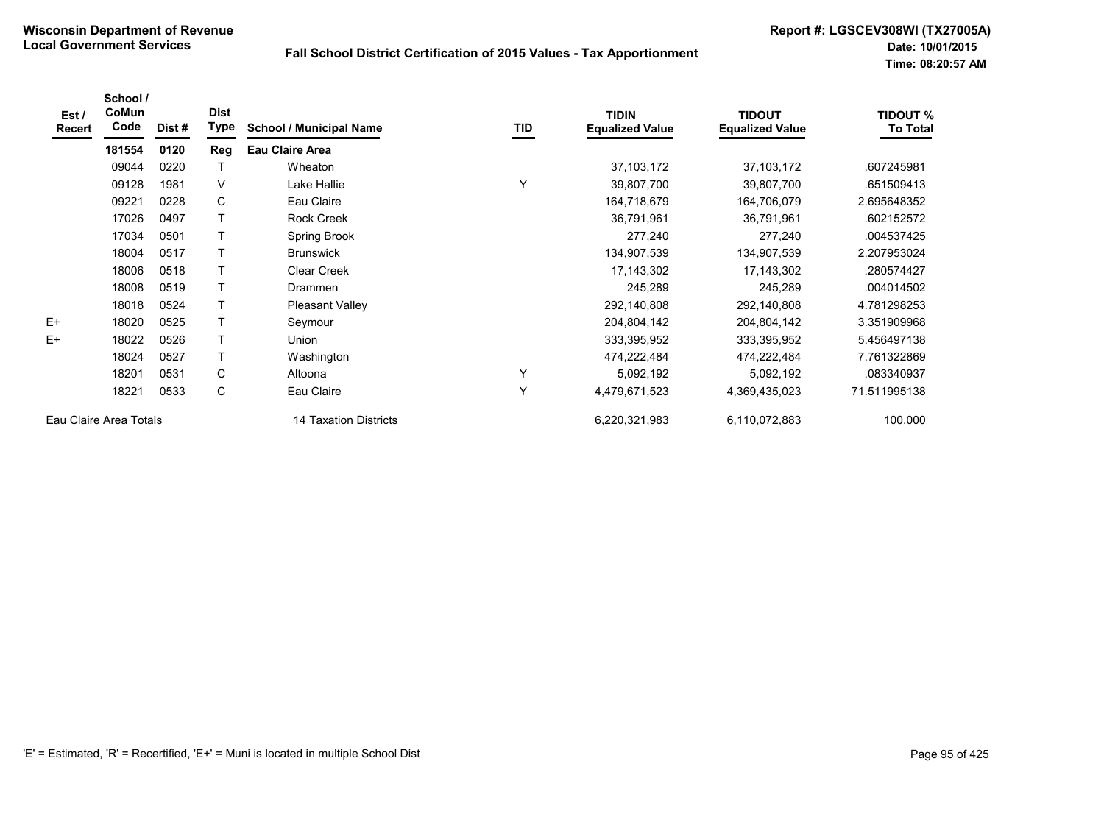| Est/<br>Recert         | School /<br>CoMun<br>Code | Dist # | <b>Dist</b><br><b>Type</b> | <b>School / Municipal Name</b> | TID | <b>TIDIN</b><br><b>Equalized Value</b> | <b>TIDOUT</b><br><b>Equalized Value</b> | <b>TIDOUT %</b><br><b>To Total</b> |
|------------------------|---------------------------|--------|----------------------------|--------------------------------|-----|----------------------------------------|-----------------------------------------|------------------------------------|
|                        | 181554                    | 0120   | Reg                        | <b>Eau Claire Area</b>         |     |                                        |                                         |                                    |
|                        | 09044                     | 0220   |                            | Wheaton                        |     | 37, 103, 172                           | 37,103,172                              | .607245981                         |
|                        | 09128                     | 1981   | V                          | Lake Hallie                    | Υ   | 39,807,700                             | 39,807,700                              | .651509413                         |
|                        | 09221                     | 0228   | C                          | Eau Claire                     |     | 164,718,679                            | 164,706,079                             | 2.695648352                        |
|                        | 17026                     | 0497   |                            | <b>Rock Creek</b>              |     | 36,791,961                             | 36,791,961                              | .602152572                         |
|                        | 17034                     | 0501   |                            | Spring Brook                   |     | 277,240                                | 277,240                                 | .004537425                         |
|                        | 18004                     | 0517   |                            | <b>Brunswick</b>               |     | 134,907,539                            | 134,907,539                             | 2.207953024                        |
|                        | 18006                     | 0518   |                            | Clear Creek                    |     | 17, 143, 302                           | 17,143,302                              | .280574427                         |
|                        | 18008                     | 0519   |                            | Drammen                        |     | 245,289                                | 245,289                                 | .004014502                         |
|                        | 18018                     | 0524   | Τ                          | <b>Pleasant Valley</b>         |     | 292,140,808                            | 292,140,808                             | 4.781298253                        |
| $E+$                   | 18020                     | 0525   | Τ                          | Seymour                        |     | 204,804,142                            | 204,804,142                             | 3.351909968                        |
| $E+$                   | 18022                     | 0526   | Τ                          | Union                          |     | 333,395,952                            | 333,395,952                             | 5.456497138                        |
|                        | 18024                     | 0527   | Τ                          | Washington                     |     | 474,222,484                            | 474,222,484                             | 7.761322869                        |
|                        | 18201                     | 0531   | С                          | Altoona                        | Y   | 5,092,192                              | 5,092,192                               | .083340937                         |
|                        | 18221                     | 0533   | C                          | Eau Claire                     | Y   | 4,479,671,523                          | 4,369,435,023                           | 71.511995138                       |
| Eau Claire Area Totals |                           |        |                            | 14 Taxation Districts          |     | 6,220,321,983                          | 6,110,072,883                           | 100.000                            |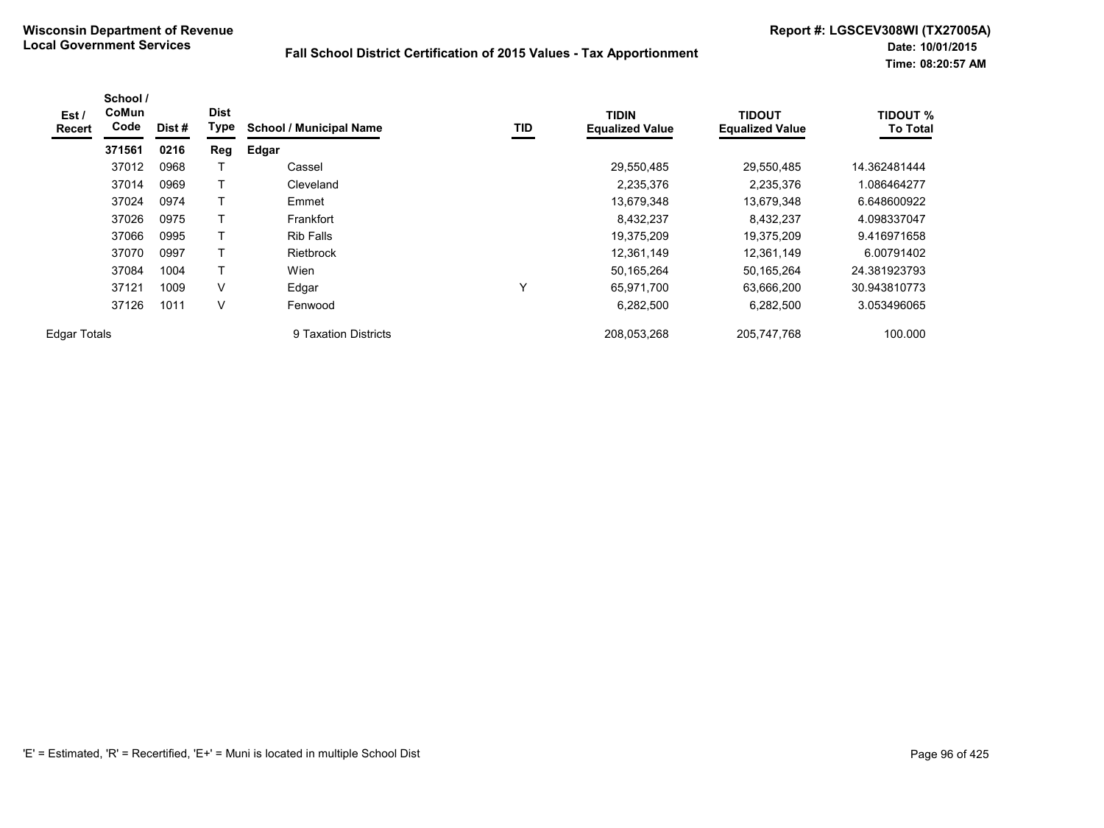| Est /<br><b>Recert</b> | School /<br>CoMun<br>Code | Dist # | <b>Dist</b><br>Type | <b>School / Municipal Name</b> | TID          | <b>TIDIN</b><br><b>Equalized Value</b> | <b>TIDOUT</b><br><b>Equalized Value</b> | <b>TIDOUT %</b><br><b>To Total</b> |
|------------------------|---------------------------|--------|---------------------|--------------------------------|--------------|----------------------------------------|-----------------------------------------|------------------------------------|
|                        | 371561                    | 0216   | Reg                 | Edgar                          |              |                                        |                                         |                                    |
|                        | 37012                     | 0968   |                     | Cassel                         |              | 29,550,485                             | 29,550,485                              | 14.362481444                       |
|                        | 37014                     | 0969   |                     | Cleveland                      |              | 2,235,376                              | 2,235,376                               | 1.086464277                        |
|                        | 37024                     | 0974   | Т                   | Emmet                          |              | 13,679,348                             | 13,679,348                              | 6.648600922                        |
|                        | 37026                     | 0975   |                     | Frankfort                      |              | 8,432,237                              | 8,432,237                               | 4.098337047                        |
|                        | 37066                     | 0995   | Т                   | <b>Rib Falls</b>               |              | 19,375,209                             | 19,375,209                              | 9.416971658                        |
|                        | 37070                     | 0997   |                     | <b>Rietbrock</b>               |              | 12,361,149                             | 12,361,149                              | 6.00791402                         |
|                        | 37084                     | 1004   | Т                   | Wien                           |              | 50,165,264                             | 50,165,264                              | 24.381923793                       |
|                        | 37121                     | 1009   | $\vee$              | Edgar                          | $\checkmark$ | 65,971,700                             | 63,666,200                              | 30.943810773                       |
|                        | 37126                     | 1011   | $\vee$              | Fenwood                        |              | 6,282,500                              | 6,282,500                               | 3.053496065                        |
| <b>Edgar Totals</b>    |                           |        |                     | 9 Taxation Districts           |              | 208,053,268                            | 205,747,768                             | 100.000                            |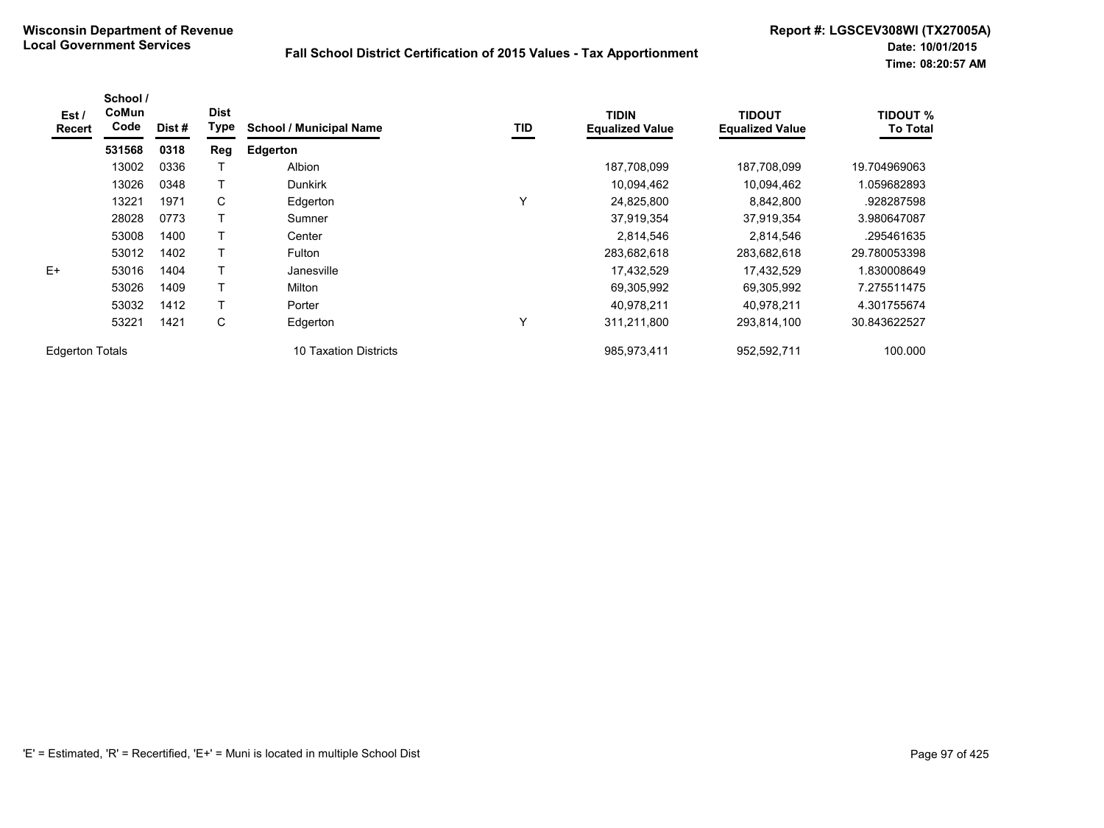| Est /<br><b>Recert</b> | School /<br>CoMun<br>Code | Dist # | <b>Dist</b><br>Type | <b>School / Municipal Name</b> | TID | <b>TIDIN</b><br><b>Equalized Value</b> | <b>TIDOUT</b><br><b>Equalized Value</b> | <b>TIDOUT %</b><br><b>To Total</b> |
|------------------------|---------------------------|--------|---------------------|--------------------------------|-----|----------------------------------------|-----------------------------------------|------------------------------------|
|                        | 531568                    | 0318   | Reg                 | <b>Edgerton</b>                |     |                                        |                                         |                                    |
|                        | 13002                     | 0336   |                     | <b>Albion</b>                  |     | 187,708,099                            | 187,708,099                             | 19.704969063                       |
|                        | 13026                     | 0348   |                     | <b>Dunkirk</b>                 |     | 10,094,462                             | 10,094,462                              | 1.059682893                        |
|                        | 13221                     | 1971   | C                   | Edgerton                       | Υ   | 24,825,800                             | 8,842,800                               | .928287598                         |
|                        | 28028                     | 0773   |                     | Sumner                         |     | 37,919,354                             | 37,919,354                              | 3.980647087                        |
|                        | 53008                     | 1400   |                     | Center                         |     | 2,814,546                              | 2,814,546                               | .295461635                         |
|                        | 53012                     | 1402   | т                   | Fulton                         |     | 283,682,618                            | 283,682,618                             | 29.780053398                       |
| $E+$                   | 53016                     | 1404   |                     | Janesville                     |     | 17,432,529                             | 17,432,529                              | 1.830008649                        |
|                        | 53026                     | 1409   | Т                   | Milton                         |     | 69,305,992                             | 69,305,992                              | 7.275511475                        |
|                        | 53032                     | 1412   |                     | Porter                         |     | 40.978.211                             | 40.978.211                              | 4.301755674                        |
|                        | 53221                     | 1421   | С                   | Edgerton                       | Υ   | 311,211,800                            | 293,814,100                             | 30.843622527                       |
| <b>Edgerton Totals</b> |                           |        |                     | 10 Taxation Districts          |     | 985,973,411                            | 952,592,711                             | 100.000                            |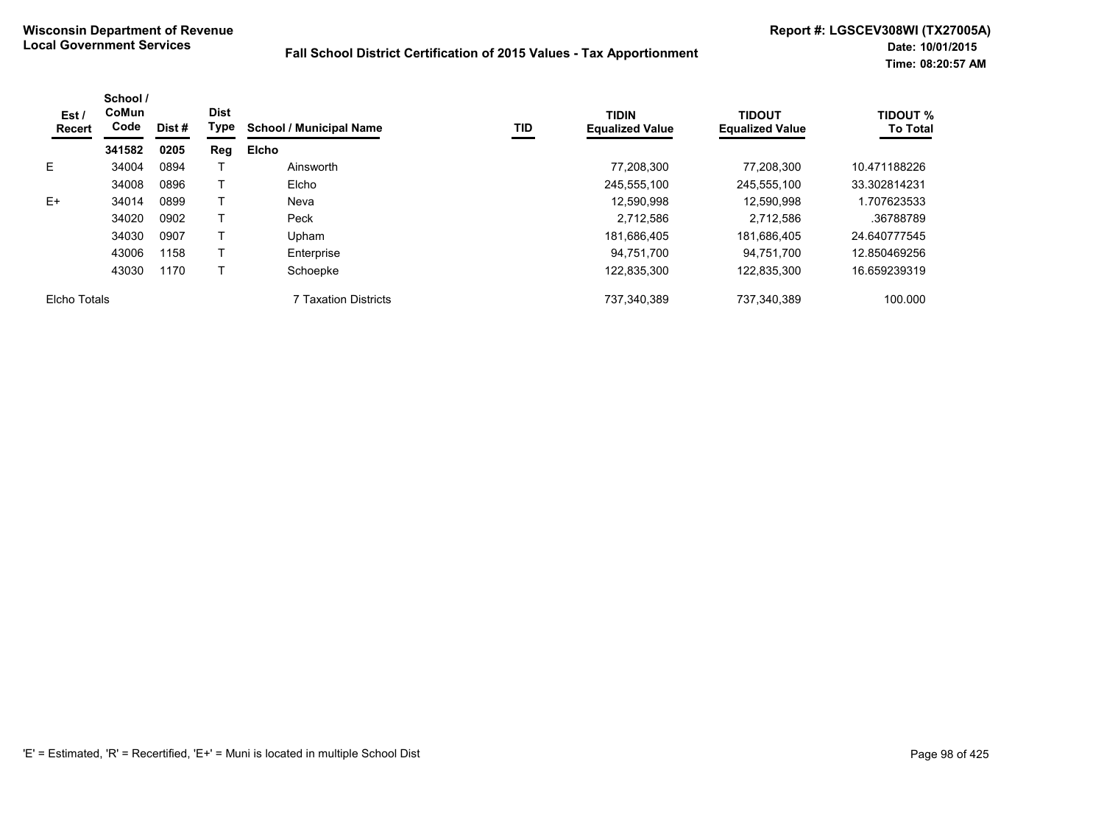| Est /<br><b>Recert</b> | School /<br>CoMun<br>Code | Dist # | <b>Dist</b><br>Type | <b>School / Municipal Name</b> | TID | <b>TIDIN</b><br><b>Equalized Value</b> | <b>TIDOUT</b><br><b>Equalized Value</b> | <b>TIDOUT %</b><br><b>To Total</b> |
|------------------------|---------------------------|--------|---------------------|--------------------------------|-----|----------------------------------------|-----------------------------------------|------------------------------------|
|                        | 341582                    | 0205   | Reg                 | <b>Elcho</b>                   |     |                                        |                                         |                                    |
| E.                     | 34004                     | 0894   |                     | Ainsworth                      |     | 77,208,300                             | 77.208.300                              | 10.471188226                       |
|                        | 34008                     | 0896   |                     | Elcho                          |     | 245.555.100                            | 245.555.100                             | 33.302814231                       |
| $E+$                   | 34014                     | 0899   |                     | Neva                           |     | 12.590.998                             | 12.590.998                              | 1.707623533                        |
|                        | 34020                     | 0902   |                     | Peck                           |     | 2.712.586                              | 2.712.586                               | .36788789                          |
|                        | 34030                     | 0907   |                     | Upham                          |     | 181,686,405                            | 181,686,405                             | 24.640777545                       |
|                        | 43006                     | 1158   |                     | Enterprise                     |     | 94.751.700                             | 94,751,700                              | 12.850469256                       |
|                        | 43030                     | 1170   |                     | Schoepke                       |     | 122,835,300                            | 122,835,300                             | 16.659239319                       |
| Elcho Totals           |                           |        |                     | 7 Taxation Districts           |     | 737,340,389                            | 737,340,389                             | 100.000                            |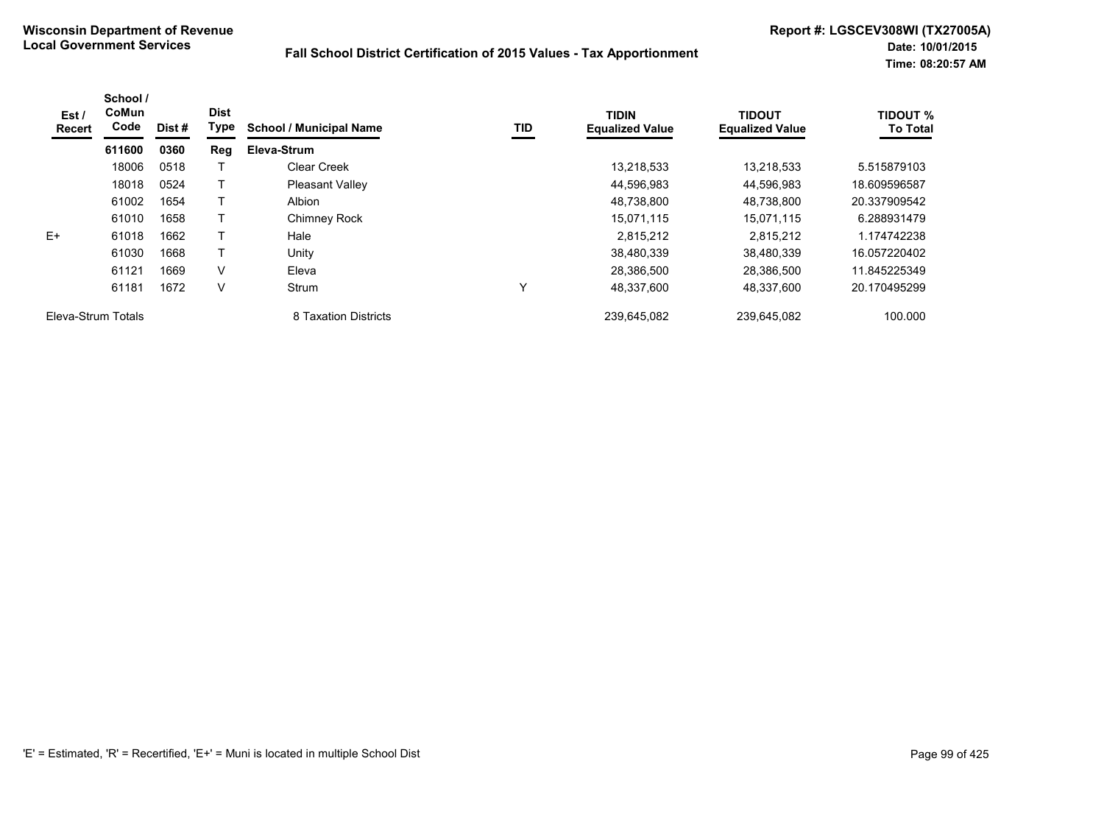| Est /<br><b>Recert</b> | School /<br>CoMun<br>Code | Dist # | <b>Dist</b><br>Type | <b>School / Municipal Name</b> | TID | <b>TIDIN</b><br><b>Equalized Value</b> | <b>TIDOUT</b><br><b>Equalized Value</b> | <b>TIDOUT %</b><br><b>To Total</b> |
|------------------------|---------------------------|--------|---------------------|--------------------------------|-----|----------------------------------------|-----------------------------------------|------------------------------------|
|                        | 611600                    | 0360   | Reg                 | Eleva-Strum                    |     |                                        |                                         |                                    |
|                        | 18006                     | 0518   |                     | Clear Creek                    |     | 13,218,533                             | 13.218.533                              | 5.515879103                        |
|                        | 18018                     | 0524   |                     | <b>Pleasant Valley</b>         |     | 44,596,983                             | 44,596,983                              | 18.609596587                       |
|                        | 61002                     | 1654   |                     | Albion                         |     | 48,738,800                             | 48,738,800                              | 20.337909542                       |
|                        | 61010                     | 1658   |                     | Chimney Rock                   |     | 15.071.115                             | 15,071,115                              | 6.288931479                        |
| $F+$                   | 61018                     | 1662   |                     | Hale                           |     | 2.815.212                              | 2.815.212                               | 1.174742238                        |
|                        | 61030                     | 1668   |                     | Unitv                          |     | 38,480,339                             | 38,480,339                              | 16.057220402                       |
|                        | 61121                     | 1669   | $\vee$              | Eleva                          |     | 28,386,500                             | 28,386,500                              | 11.845225349                       |
|                        | 61181                     | 1672   | V                   | Strum                          | Υ   | 48.337.600                             | 48.337.600                              | 20.170495299                       |
| Eleva-Strum Totals     |                           |        |                     | 8 Taxation Districts           |     | 239,645,082                            | 239.645.082                             | 100.000                            |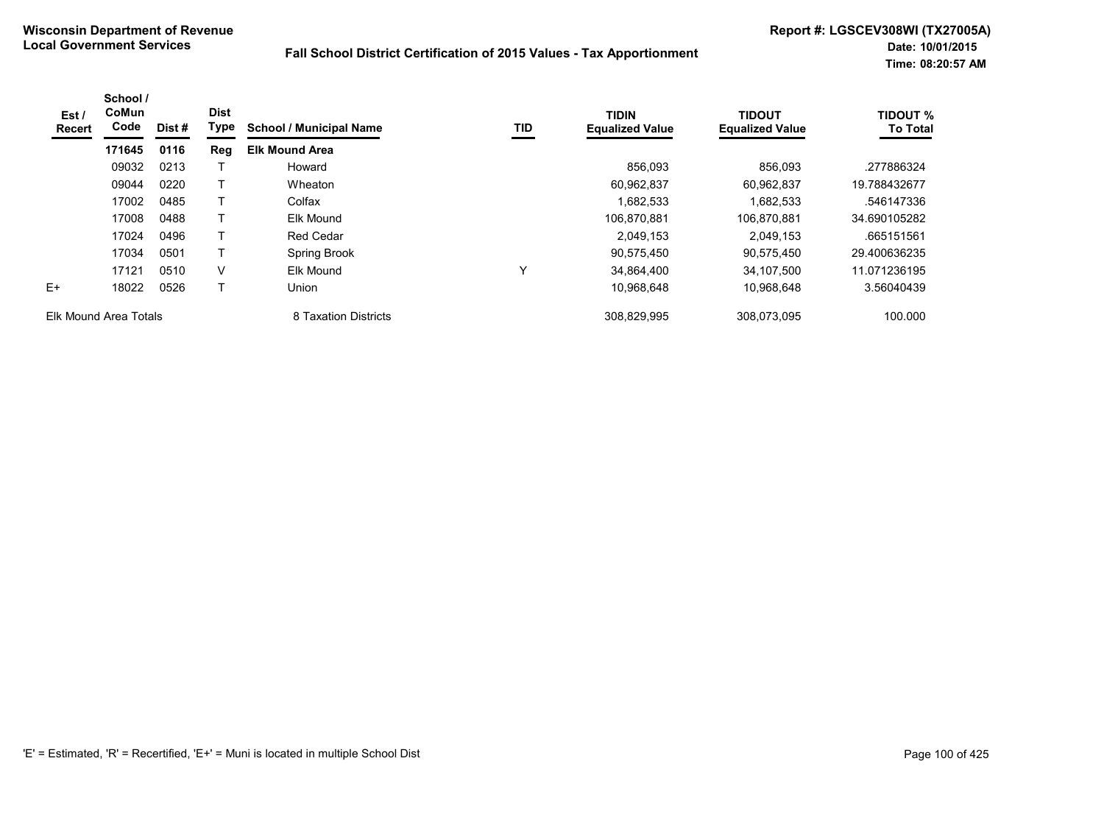| Est /<br><b>Recert</b> | School /<br><b>CoMun</b><br>Code | Dist #<br>0116 | <b>Dist</b><br>Type | <b>School / Municipal Name</b> | TID | <b>TIDIN</b><br><b>Equalized Value</b> | <b>TIDOUT</b><br><b>Equalized Value</b> | <b>TIDOUT %</b><br><b>To Total</b> |
|------------------------|----------------------------------|----------------|---------------------|--------------------------------|-----|----------------------------------------|-----------------------------------------|------------------------------------|
|                        | 171645                           |                | Reg                 | <b>Elk Mound Area</b>          |     |                                        |                                         |                                    |
|                        | 09032                            | 0213           |                     | Howard                         |     | 856,093                                | 856,093                                 | .277886324                         |
|                        | 09044                            | 0220           | т                   | Wheaton                        |     | 60,962,837                             | 60.962.837                              | 19.788432677                       |
|                        | 17002                            | 0485           |                     | Colfax                         |     | .682,533                               | 1,682,533                               | .546147336                         |
|                        | 17008                            | 0488           |                     | <b>Elk Mound</b>               |     | 106,870,881                            | 106.870.881                             | 34.690105282                       |
|                        | 17024                            | 0496           |                     | Red Cedar                      |     | 2,049,153                              | 2,049,153                               | .665151561                         |
|                        | 17034                            | 0501           | T                   | Spring Brook                   |     | 90,575,450                             | 90,575,450                              | 29.400636235                       |
|                        | 17121                            | 0510           | v                   | Elk Mound                      | Υ   | 34,864,400                             | 34.107.500                              | 11.071236195                       |
| E+                     | 18022                            | 0526           |                     | Union                          |     | 10,968,648                             | 10,968,648                              | 3.56040439                         |
| Elk Mound Area Totals  |                                  |                |                     | 8 Taxation Districts           |     | 308,829,995                            | 308,073,095                             | 100.000                            |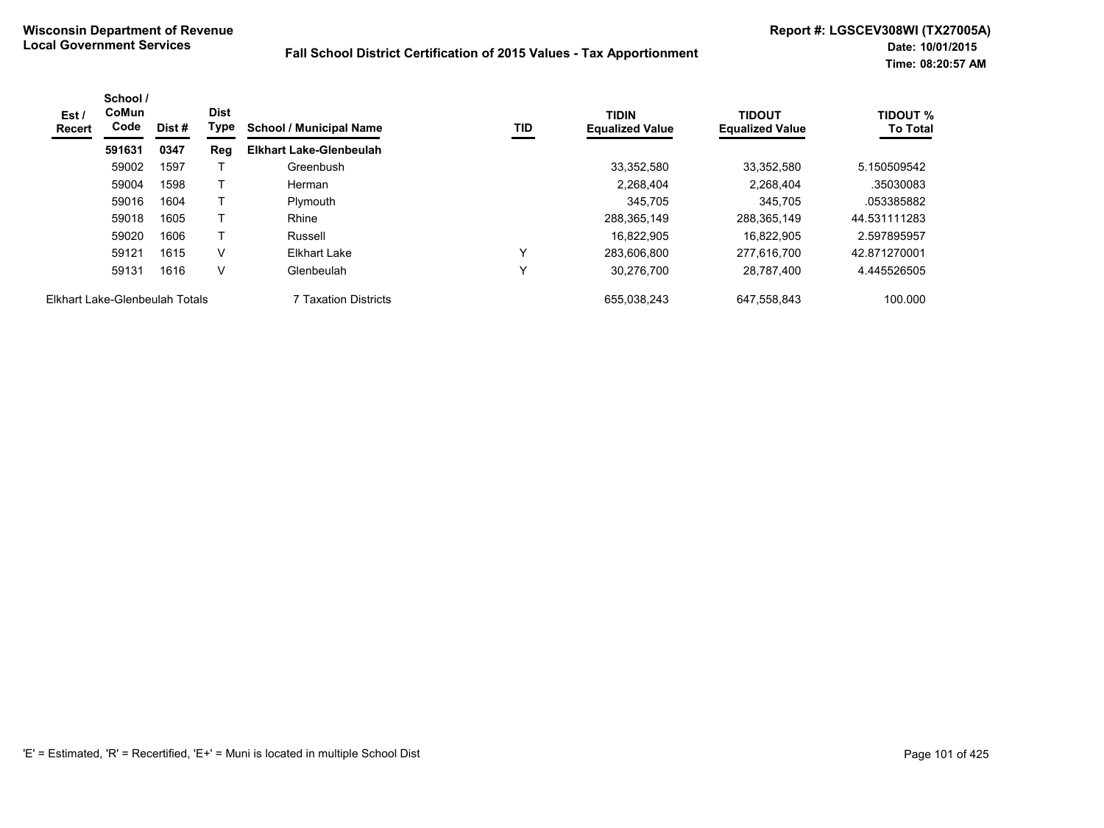| Est /<br><b>Recert</b>         | School /<br><b>CoMun</b><br>Code | Dist # | <b>Dist</b><br>Type | <b>School / Municipal Name</b> | TID          | <b>TIDIN</b><br><b>Equalized Value</b> | <b>TIDOUT</b><br><b>Equalized Value</b> | <b>TIDOUT %</b><br><b>To Total</b> |
|--------------------------------|----------------------------------|--------|---------------------|--------------------------------|--------------|----------------------------------------|-----------------------------------------|------------------------------------|
|                                | 591631                           | 0347   | Reg                 | <b>Elkhart Lake-Glenbeulah</b> |              |                                        |                                         |                                    |
|                                | 59002                            | 1597   |                     | Greenbush                      |              | 33,352,580                             | 33.352.580                              | 5.150509542                        |
|                                | 59004                            | 1598   |                     | Herman                         |              | 2.268.404                              | 2.268.404                               | .35030083                          |
|                                | 59016                            | 1604   |                     | Plymouth                       |              | 345.705                                | 345,705                                 | .053385882                         |
|                                | 59018                            | 1605   |                     | Rhine                          |              | 288,365,149                            | 288,365,149                             | 44.531111283                       |
|                                | 59020                            | 1606   |                     | Russell                        |              | 16.822.905                             | 16.822.905                              | 2.597895957                        |
|                                | 59121                            | 1615   | V                   | Elkhart Lake                   | $\checkmark$ | 283.606.800                            | 277.616.700                             | 42.871270001                       |
|                                | 59131                            | 1616   | V                   | Glenbeulah                     | $\check{ }$  | 30,276,700                             | 28,787,400                              | 4.445526505                        |
| Elkhart Lake-Glenbeulah Totals |                                  |        |                     | 7 Taxation Districts           |              | 655.038.243                            | 647.558.843                             | 100.000                            |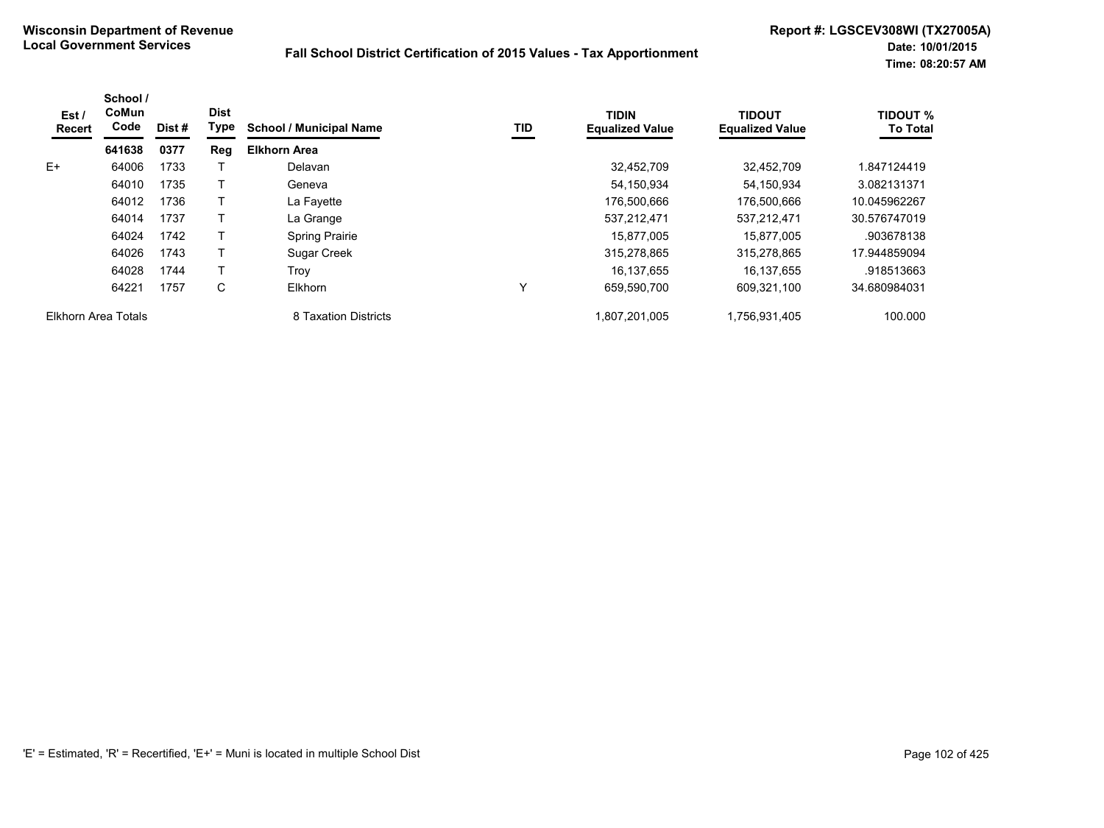| Est /<br>Recert     | School /<br>CoMun<br>Code | Dist# | <b>Dist</b><br>Type | <b>School / Municipal Name</b> | TID | <b>TIDIN</b><br><b>Equalized Value</b> | <b>TIDOUT</b><br><b>Equalized Value</b> | <b>TIDOUT %</b><br><b>To Total</b> |
|---------------------|---------------------------|-------|---------------------|--------------------------------|-----|----------------------------------------|-----------------------------------------|------------------------------------|
|                     | 641638                    | 0377  | Reg                 | <b>Elkhorn Area</b>            |     |                                        |                                         |                                    |
| $E+$                | 64006                     | 1733  |                     | Delavan                        |     | 32.452.709                             | 32.452.709                              | 1.847124419                        |
|                     | 64010                     | 1735  |                     | Geneva                         |     | 54,150,934                             | 54,150,934                              | 3.082131371                        |
|                     | 64012                     | 1736  |                     | La Fayette                     |     | 176,500,666                            | 176,500,666                             | 10.045962267                       |
|                     | 64014                     | 1737  |                     | La Grange                      |     | 537,212,471                            | 537,212,471                             | 30.576747019                       |
|                     | 64024                     | 1742  |                     | <b>Spring Prairie</b>          |     | 15.877.005                             | 15.877.005                              | .903678138                         |
|                     | 64026                     | 1743  |                     | Sugar Creek                    |     | 315,278,865                            | 315,278,865                             | 17.944859094                       |
|                     | 64028                     | 1744  |                     | Trov                           |     | 16,137,655                             | 16,137,655                              | .918513663                         |
|                     | 64221                     | 1757  | C                   | <b>Elkhorn</b>                 | Y   | 659.590.700                            | 609.321.100                             | 34.680984031                       |
| Elkhorn Area Totals |                           |       |                     | 8 Taxation Districts           |     | 1.807.201.005                          | 1,756,931,405                           | 100.000                            |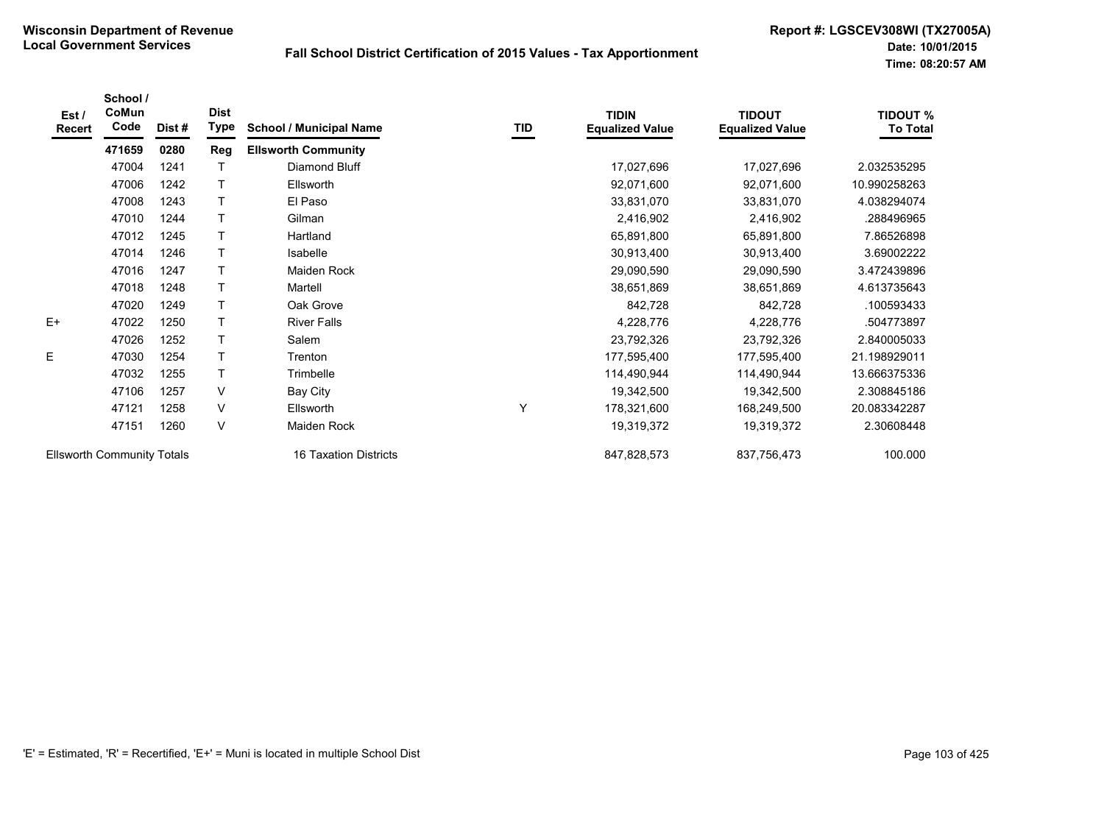| Est/<br>Recert                    | School /<br>CoMun<br>Code | Dist# | <b>Dist</b><br>Type | <b>School / Municipal Name</b> | TID | <b>TIDIN</b><br><b>Equalized Value</b> | <b>TIDOUT</b><br><b>Equalized Value</b> | <b>TIDOUT %</b><br><b>To Total</b> |
|-----------------------------------|---------------------------|-------|---------------------|--------------------------------|-----|----------------------------------------|-----------------------------------------|------------------------------------|
|                                   | 471659                    | 0280  | Reg                 | <b>Ellsworth Community</b>     |     |                                        |                                         |                                    |
|                                   | 47004                     | 1241  |                     | Diamond Bluff                  |     | 17,027,696                             | 17,027,696                              | 2.032535295                        |
|                                   | 47006                     | 1242  | T                   | Ellsworth                      |     | 92,071,600                             | 92,071,600                              | 10.990258263                       |
|                                   | 47008                     | 1243  | Т                   | El Paso                        |     | 33,831,070                             | 33,831,070                              | 4.038294074                        |
|                                   | 47010                     | 1244  | T                   | Gilman                         |     | 2,416,902                              | 2,416,902                               | .288496965                         |
|                                   | 47012                     | 1245  | T                   | Hartland                       |     | 65,891,800                             | 65,891,800                              | 7.86526898                         |
|                                   | 47014                     | 1246  | T                   | Isabelle                       |     | 30,913,400                             | 30,913,400                              | 3.69002222                         |
|                                   | 47016                     | 1247  | T                   | Maiden Rock                    |     | 29,090,590                             | 29,090,590                              | 3.472439896                        |
|                                   | 47018                     | 1248  | T                   | Martell                        |     | 38,651,869                             | 38,651,869                              | 4.613735643                        |
|                                   | 47020                     | 1249  | T                   | Oak Grove                      |     | 842,728                                | 842,728                                 | .100593433                         |
| $E+$                              | 47022                     | 1250  | T                   | <b>River Falls</b>             |     | 4,228,776                              | 4,228,776                               | .504773897                         |
|                                   | 47026                     | 1252  | T                   | Salem                          |     | 23,792,326                             | 23,792,326                              | 2.840005033                        |
| E                                 | 47030                     | 1254  | T                   | Trenton                        |     | 177,595,400                            | 177,595,400                             | 21.198929011                       |
|                                   | 47032                     | 1255  | T                   | Trimbelle                      |     | 114,490,944                            | 114,490,944                             | 13.666375336                       |
|                                   | 47106                     | 1257  | V                   | <b>Bay City</b>                |     | 19,342,500                             | 19,342,500                              | 2.308845186                        |
|                                   | 47121                     | 1258  | V                   | Ellsworth                      | Υ   | 178,321,600                            | 168,249,500                             | 20.083342287                       |
|                                   | 47151                     | 1260  | V                   | Maiden Rock                    |     | 19,319,372                             | 19,319,372                              | 2.30608448                         |
| <b>Ellsworth Community Totals</b> |                           |       |                     | 16 Taxation Districts          |     | 847,828,573                            | 837,756,473                             | 100.000                            |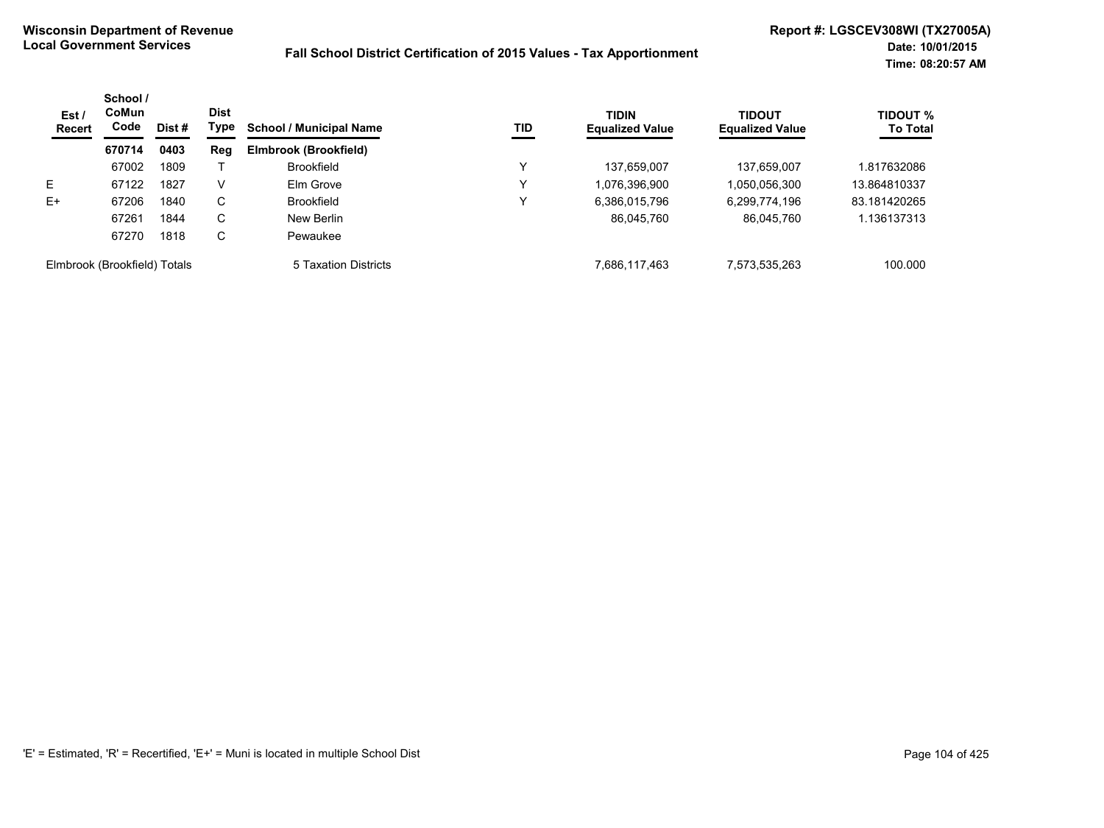| Est/<br>Recert               | School /<br>CoMun<br>Code | Dist # | <b>Dist</b><br>Type | <b>School / Municipal Name</b> | <b>TID</b> | <b>TIDIN</b><br><b>Equalized Value</b> | <b>TIDOUT</b><br><b>Equalized Value</b> | <b>TIDOUT %</b><br><b>To Total</b> |
|------------------------------|---------------------------|--------|---------------------|--------------------------------|------------|----------------------------------------|-----------------------------------------|------------------------------------|
|                              | 670714                    | 0403   | <b>Reg</b>          | Elmbrook (Brookfield)          |            |                                        |                                         |                                    |
|                              | 67002                     | 1809   |                     | <b>Brookfield</b>              | v          | 137,659,007                            | 137,659,007                             | 1.817632086                        |
| Е                            | 67122                     | 1827   | V                   | Elm Grove                      | Y          | 1,076,396,900                          | 1,050,056,300                           | 13.864810337                       |
| $E+$                         | 67206                     | 1840   | C                   | <b>Brookfield</b>              | Y          | 6,386,015,796                          | 6,299,774,196                           | 83.181420265                       |
|                              | 67261                     | 1844   | С                   | New Berlin                     |            | 86,045,760                             | 86,045,760                              | 1.136137313                        |
|                              | 67270                     | 1818   | С                   | Pewaukee                       |            |                                        |                                         |                                    |
| Elmbrook (Brookfield) Totals |                           |        |                     | 5 Taxation Districts           |            | 7.686.117.463                          | 7,573,535,263                           | 100.000                            |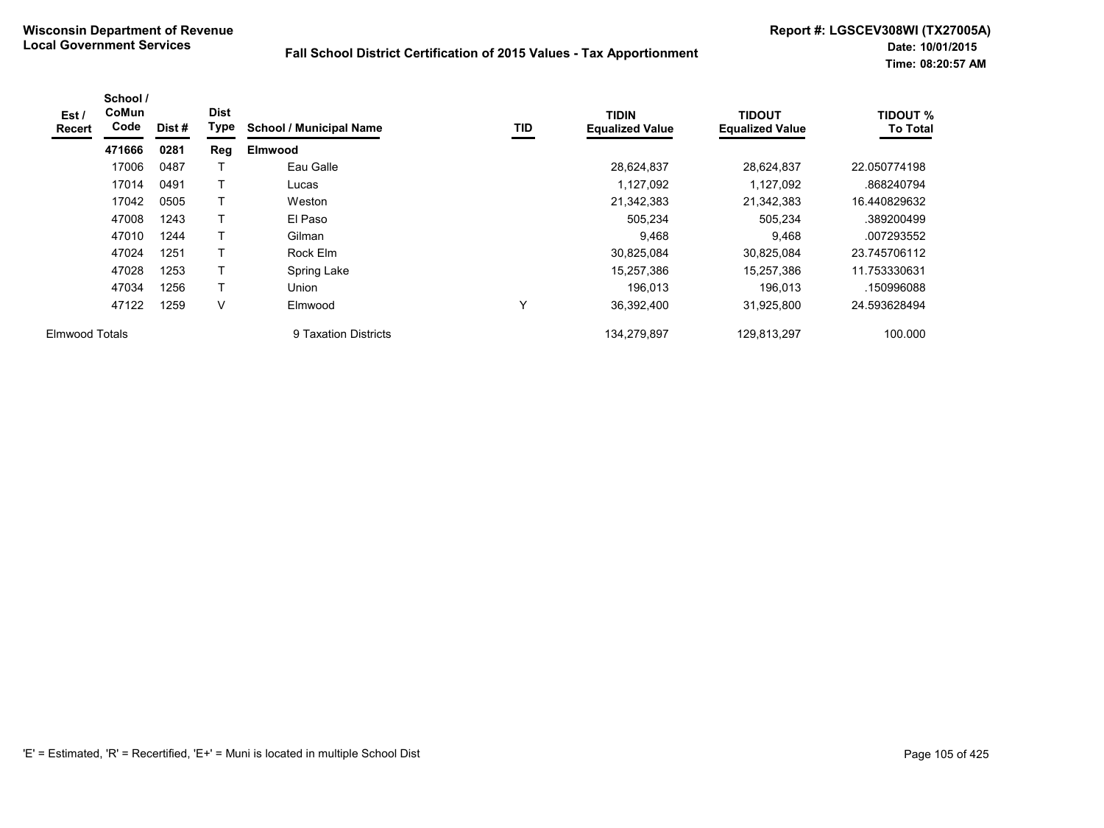| Est /<br><b>Recert</b> | School /<br><b>CoMun</b><br>Code | Dist # | <b>Dist</b><br>Type | <b>School / Municipal Name</b> | TID          | <b>TIDIN</b><br><b>Equalized Value</b> | <b>TIDOUT</b><br><b>Equalized Value</b> | <b>TIDOUT %</b><br><b>To Total</b> |
|------------------------|----------------------------------|--------|---------------------|--------------------------------|--------------|----------------------------------------|-----------------------------------------|------------------------------------|
|                        | 471666                           | 0281   | Reg                 | <b>Elmwood</b>                 |              |                                        |                                         |                                    |
|                        | 17006                            | 0487   |                     | Eau Galle                      |              | 28,624,837                             | 28,624,837                              | 22.050774198                       |
|                        | 17014                            | 0491   |                     | Lucas                          |              | 1,127,092                              | 1,127,092                               | .868240794                         |
|                        | 17042                            | 0505   | т                   | Weston                         |              | 21,342,383                             | 21,342,383                              | 16.440829632                       |
|                        | 47008                            | 1243   |                     | El Paso                        |              | 505,234                                | 505,234                                 | .389200499                         |
|                        | 47010                            | 1244   | T                   | Gilman                         |              | 9,468                                  | 9,468                                   | .007293552                         |
|                        | 47024                            | 1251   |                     | Rock Elm                       |              | 30,825,084                             | 30,825,084                              | 23.745706112                       |
|                        | 47028                            | 1253   | Т                   | Spring Lake                    |              | 15,257,386                             | 15,257,386                              | 11.753330631                       |
|                        | 47034                            | 1256   | T                   | Union                          |              | 196.013                                | 196.013                                 | .150996088                         |
|                        | 47122                            | 1259   | V                   | Elmwood                        | $\checkmark$ | 36,392,400                             | 31,925,800                              | 24.593628494                       |
| <b>Elmwood Totals</b>  |                                  |        |                     | 9 Taxation Districts           |              | 134.279.897                            | 129.813.297                             | 100.000                            |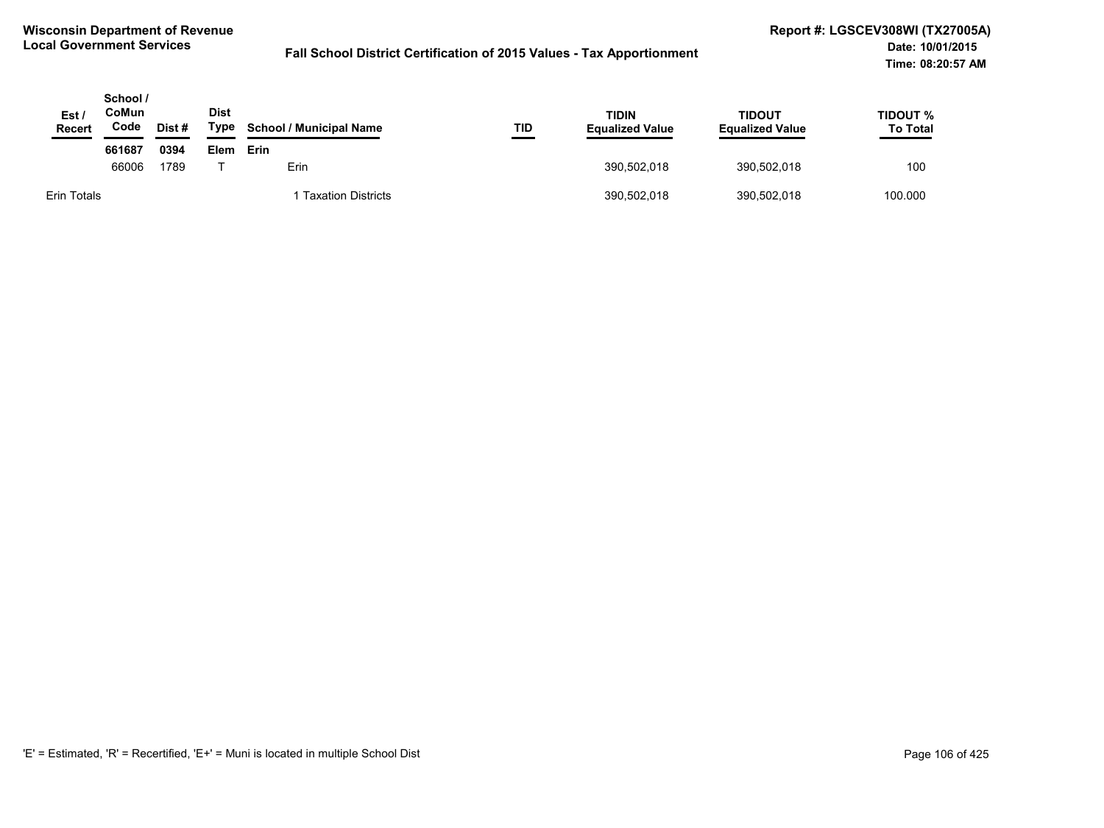| Est /<br><b>Recert</b> | School /<br>CoMun<br>Code | Dist# | <b>Dist</b><br>Type | <b>School / Municipal Name</b> | TID | TIDIN<br><b>Equalized Value</b> | TIDOUT<br><b>Equalized Value</b> | TIDOUT %<br><b>To Total</b> |
|------------------------|---------------------------|-------|---------------------|--------------------------------|-----|---------------------------------|----------------------------------|-----------------------------|
|                        | 661687                    | 0394  | Elem                | Erin                           |     |                                 |                                  |                             |
|                        | 66006                     | 1789  |                     | Erin                           |     | 390,502,018                     | 390,502,018                      | 100                         |
| Erin Totals            |                           |       |                     | <b>Taxation Districts</b>      |     | 390,502,018                     | 390,502,018                      | 100.000                     |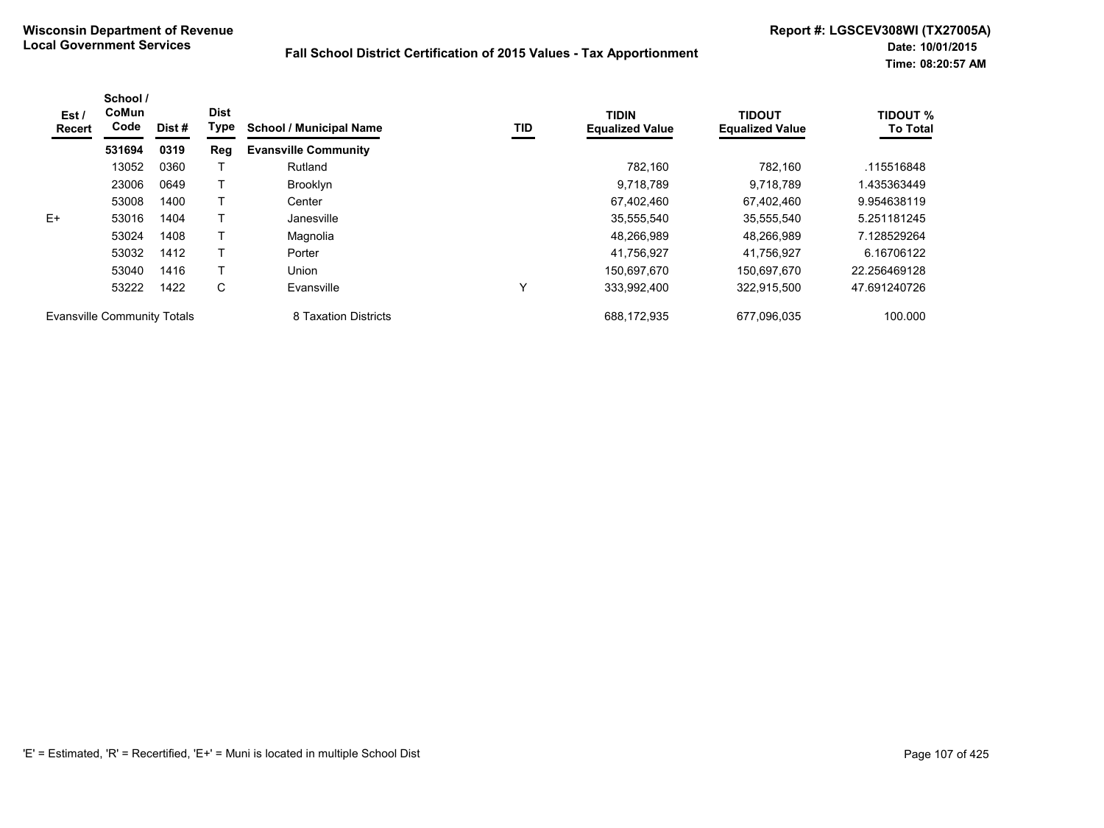| Est /<br>Recert                    | School /<br>CoMun<br>Code | Dist # | <b>Dist</b><br><b>Type</b> | <b>School / Municipal Name</b> | TID         | <b>TIDIN</b><br><b>Equalized Value</b> | <b>TIDOUT</b><br><b>Equalized Value</b> | <b>TIDOUT %</b><br><b>To Total</b> |
|------------------------------------|---------------------------|--------|----------------------------|--------------------------------|-------------|----------------------------------------|-----------------------------------------|------------------------------------|
|                                    | 531694                    | 0319   | Reg                        | <b>Evansville Community</b>    |             |                                        |                                         |                                    |
|                                    | 13052                     | 0360   |                            | Rutland                        |             | 782.160                                | 782.160                                 | .115516848                         |
|                                    | 23006                     | 0649   |                            | <b>Brooklyn</b>                |             | 9,718,789                              | 9,718,789                               | 1.435363449                        |
|                                    | 53008                     | 1400   |                            | Center                         |             | 67,402,460                             | 67.402.460                              | 9.954638119                        |
| $E+$                               | 53016                     | 1404   |                            | Janesville                     |             | 35,555,540                             | 35,555,540                              | 5.251181245                        |
|                                    | 53024                     | 1408   |                            | Magnolia                       |             | 48.266.989                             | 48.266.989                              | 7.128529264                        |
|                                    | 53032                     | 1412   |                            | Porter                         |             | 41,756,927                             | 41,756,927                              | 6.16706122                         |
|                                    | 53040                     | 1416   |                            | <b>Union</b>                   |             | 150,697,670                            | 150,697,670                             | 22.256469128                       |
|                                    | 53222                     | 1422   | C                          | Evansville                     | $\check{ }$ | 333,992,400                            | 322,915,500                             | 47.691240726                       |
| <b>Evansville Community Totals</b> |                           |        |                            | 8 Taxation Districts           |             | 688,172,935                            | 677,096,035                             | 100.000                            |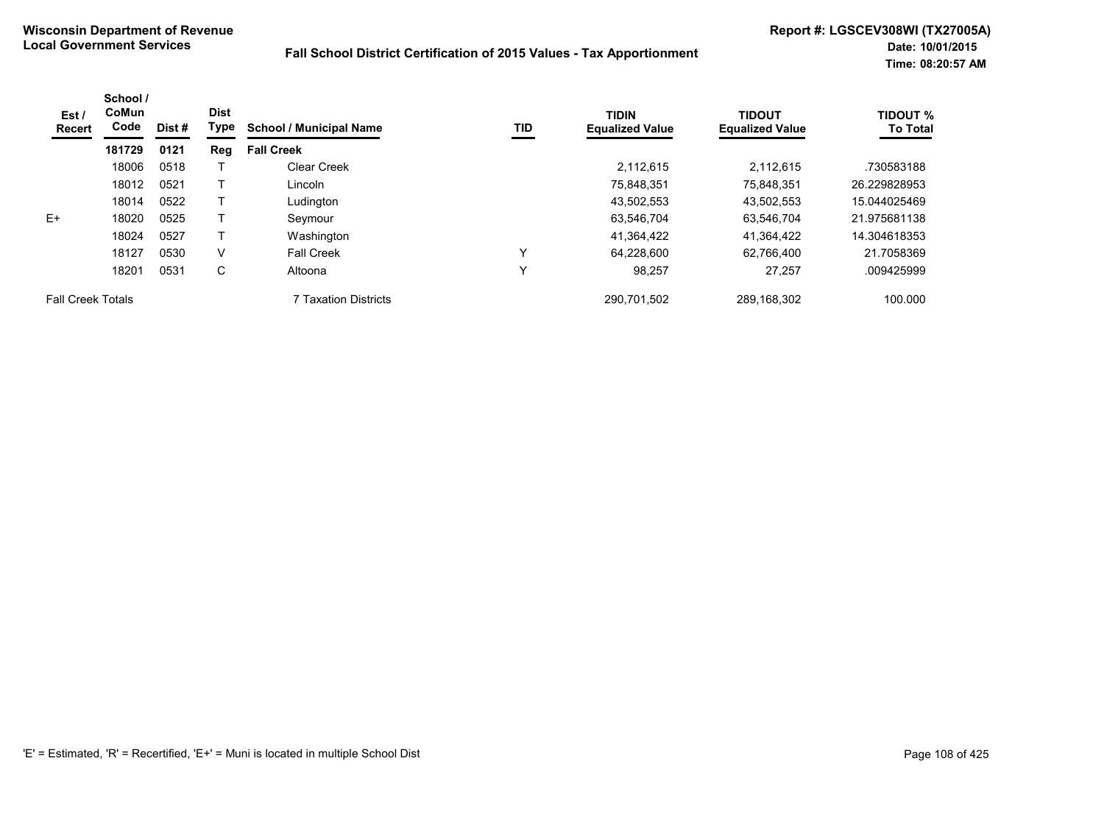| Est /<br><b>Recert</b>   | School /<br><b>CoMun</b><br>Code | Dist # | <b>Dist</b><br>Type | <b>School / Municipal Name</b> | TID | <b>TIDIN</b><br><b>Equalized Value</b> | <b>TIDOUT</b><br><b>Equalized Value</b> | <b>TIDOUT %</b><br><b>To Total</b> |
|--------------------------|----------------------------------|--------|---------------------|--------------------------------|-----|----------------------------------------|-----------------------------------------|------------------------------------|
|                          | 181729                           | 0121   | Reg                 | <b>Fall Creek</b>              |     |                                        |                                         |                                    |
|                          | 18006                            | 0518   |                     | <b>Clear Creek</b>             |     | 2.112.615                              | 2.112.615                               | .730583188                         |
|                          | 18012                            | 0521   |                     | Lincoln                        |     | 75,848,351                             | 75.848.351                              | 26.229828953                       |
|                          | 18014                            | 0522   |                     | Ludington                      |     | 43,502,553                             | 43,502,553                              | 15.044025469                       |
| E+                       | 18020                            | 0525   |                     | Seymour                        |     | 63,546,704                             | 63.546.704                              | 21.975681138                       |
|                          | 18024                            | 0527   |                     | Washington                     |     | 41,364,422                             | 41,364,422                              | 14.304618353                       |
|                          | 18127                            | 0530   | V                   | <b>Fall Creek</b>              |     | 64,228,600                             | 62,766,400                              | 21.7058369                         |
|                          | 18201                            | 0531   | С                   | Altoona                        | v   | 98,257                                 | 27,257                                  | .009425999                         |
| <b>Fall Creek Totals</b> |                                  |        |                     | <b>7 Taxation Districts</b>    |     | 290,701,502                            | 289,168,302                             | 100.000                            |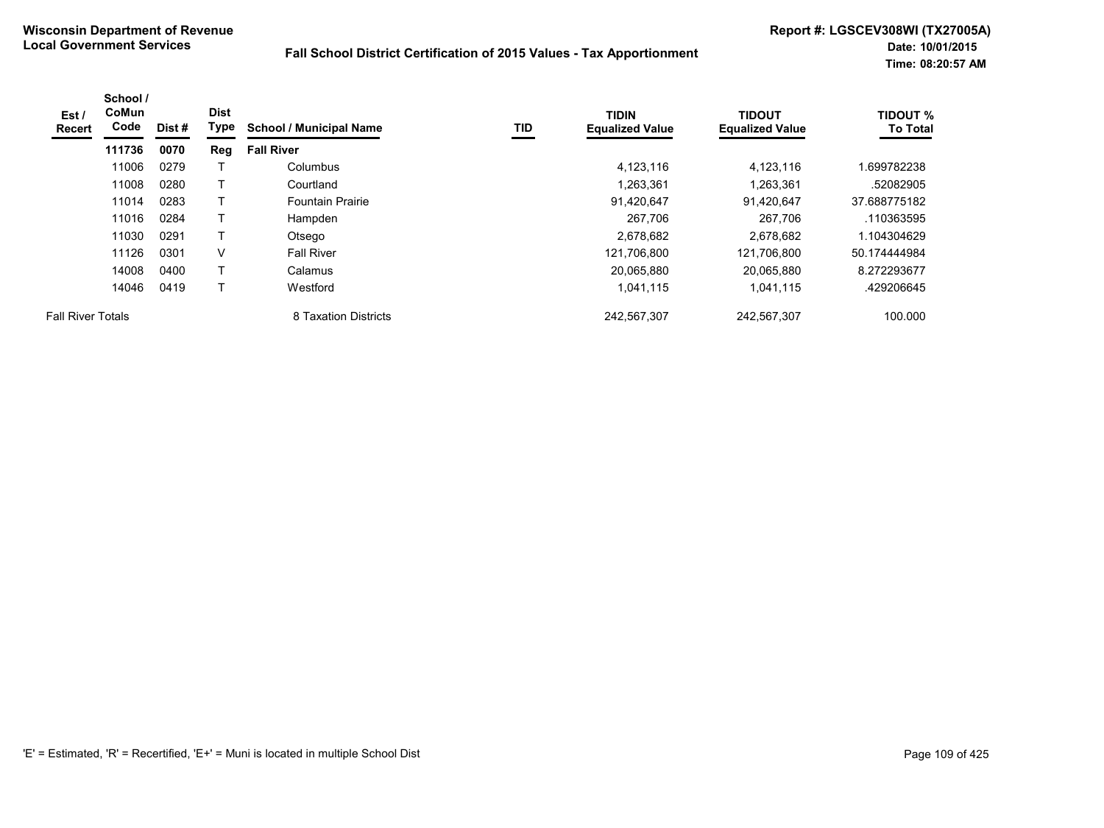| Est/<br>Recert           | School /<br><b>CoMun</b><br>Code | Dist # | <b>Dist</b><br>Type | <b>School / Municipal Name</b> | TID | <b>TIDIN</b><br><b>Equalized Value</b> | <b>TIDOUT</b><br><b>Equalized Value</b> | <b>TIDOUT %</b><br><b>To Total</b> |
|--------------------------|----------------------------------|--------|---------------------|--------------------------------|-----|----------------------------------------|-----------------------------------------|------------------------------------|
|                          | 111736                           | 0070   | Reg                 | <b>Fall River</b>              |     |                                        |                                         |                                    |
|                          | 11006                            | 0279   |                     | Columbus                       |     | 4,123,116                              | 4,123,116                               | .699782238                         |
|                          | 11008                            | 0280   |                     | Courtland                      |     | 1,263,361                              | 1,263,361                               | .52082905                          |
|                          | 11014                            | 0283   |                     | <b>Fountain Prairie</b>        |     | 91,420,647                             | 91,420,647                              | 37.688775182                       |
|                          | 11016                            | 0284   |                     | Hampden                        |     | 267,706                                | 267,706                                 | .110363595                         |
|                          | 11030                            | 0291   | Т                   | Otsego                         |     | 2,678,682                              | 2.678.682                               | 1.104304629                        |
|                          | 11126                            | 0301   | $\vee$              | <b>Fall River</b>              |     | 121,706,800                            | 121,706,800                             | 50.174444984                       |
|                          | 14008                            | 0400   |                     | Calamus                        |     | 20,065,880                             | 20,065,880                              | 8.272293677                        |
|                          | 14046                            | 0419   |                     | Westford                       |     | 1,041,115                              | 1,041,115                               | .429206645                         |
| <b>Fall River Totals</b> |                                  |        |                     | 8 Taxation Districts           |     | 242,567,307                            | 242,567,307                             | 100.000                            |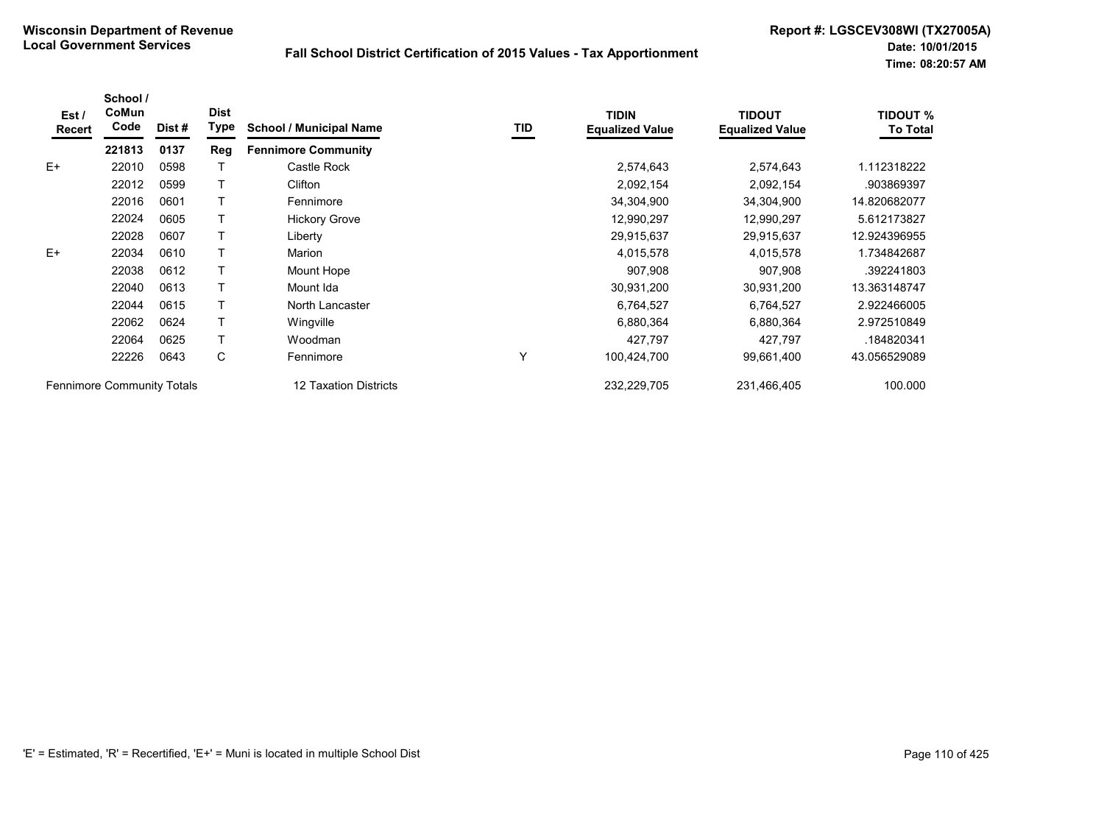| Est /<br>Recert                                            | School /<br>CoMun<br>Code | Dist # | <b>Dist</b><br>Type | <b>School / Municipal Name</b> | TID     | <b>TIDIN</b><br><b>Equalized Value</b> | <b>TIDOUT</b><br><b>Equalized Value</b> | <b>TIDOUT %</b><br><b>To Total</b> |
|------------------------------------------------------------|---------------------------|--------|---------------------|--------------------------------|---------|----------------------------------------|-----------------------------------------|------------------------------------|
|                                                            | 221813                    | 0137   | Reg                 | <b>Fennimore Community</b>     |         |                                        |                                         |                                    |
| $E+$                                                       | 22010                     | 0598   |                     | Castle Rock                    |         | 2,574,643                              | 2,574,643                               | 1.112318222                        |
|                                                            | 22012                     | 0599   |                     | Clifton                        |         | 2,092,154                              | 2,092,154                               | .903869397                         |
|                                                            | 22016                     | 0601   |                     | Fennimore                      |         | 34,304,900                             | 34,304,900                              | 14.820682077                       |
|                                                            | 22024                     | 0605   |                     | <b>Hickory Grove</b>           |         | 12,990,297                             | 12,990,297                              | 5.612173827                        |
|                                                            | 22028                     | 0607   |                     | Liberty                        |         | 29,915,637                             | 29,915,637                              | 12.924396955                       |
| $E+$                                                       | 22034                     | 0610   |                     | Marion                         |         | 4,015,578                              | 4,015,578                               | 1.734842687                        |
|                                                            | 22038                     | 0612   |                     | Mount Hope                     |         | 907,908                                | 907,908                                 | .392241803                         |
|                                                            | 22040                     | 0613   |                     | Mount Ida                      |         | 30,931,200                             | 30,931,200                              | 13.363148747                       |
|                                                            | 22044                     | 0615   |                     | North Lancaster                |         | 6,764,527                              | 6,764,527                               | 2.922466005                        |
|                                                            | 22062                     | 0624   |                     | Wingville                      |         | 6,880,364                              | 6,880,364                               | 2.972510849                        |
|                                                            | 22064                     | 0625   |                     | Woodman                        |         | 427,797                                | 427,797                                 | .184820341                         |
|                                                            | 22226                     | 0643   | C                   | Fennimore                      | Υ       | 100,424,700                            | 99,661,400                              | 43.056529089                       |
| <b>Fennimore Community Totals</b><br>12 Taxation Districts |                           |        | 232,229,705         | 231,466,405                    | 100.000 |                                        |                                         |                                    |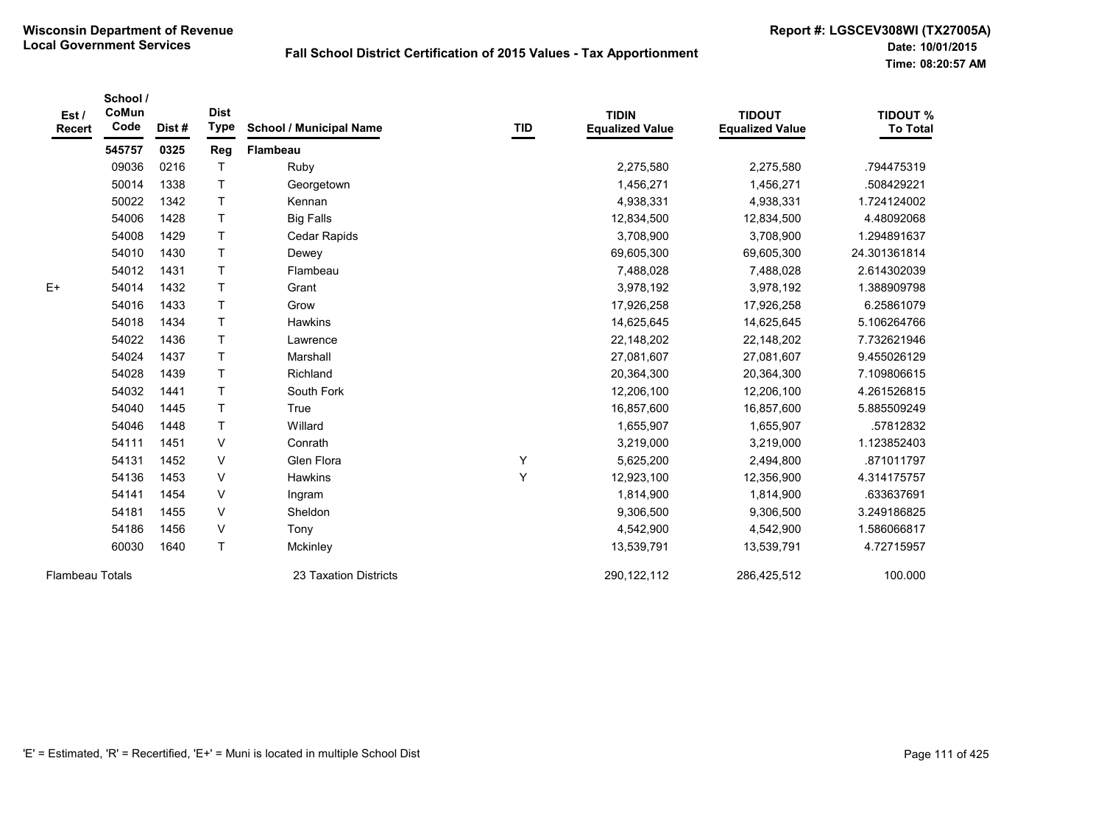| Est /<br><b>Recert</b> | School /<br>CoMun<br>Code | Dist# | <b>Dist</b><br><b>Type</b> | <b>School / Municipal Name</b> | TID | <b>TIDIN</b><br><b>Equalized Value</b> | <b>TIDOUT</b><br><b>Equalized Value</b> | <b>TIDOUT %</b><br><b>To Total</b> |
|------------------------|---------------------------|-------|----------------------------|--------------------------------|-----|----------------------------------------|-----------------------------------------|------------------------------------|
|                        | 545757                    | 0325  | Reg                        | Flambeau                       |     |                                        |                                         |                                    |
|                        | 09036                     | 0216  |                            | Ruby                           |     | 2,275,580                              | 2,275,580                               | .794475319                         |
|                        | 50014                     | 1338  | T                          | Georgetown                     |     | 1,456,271                              | 1,456,271                               | .508429221                         |
|                        | 50022                     | 1342  | $\top$                     | Kennan                         |     | 4,938,331                              | 4,938,331                               | 1.724124002                        |
|                        | 54006                     | 1428  | T                          | <b>Big Falls</b>               |     | 12,834,500                             | 12,834,500                              | 4.48092068                         |
|                        | 54008                     | 1429  | T                          | Cedar Rapids                   |     | 3,708,900                              | 3,708,900                               | 1.294891637                        |
|                        | 54010                     | 1430  | T                          | Dewey                          |     | 69,605,300                             | 69,605,300                              | 24.301361814                       |
|                        | 54012                     | 1431  | T                          | Flambeau                       |     | 7,488,028                              | 7,488,028                               | 2.614302039                        |
| $E+$                   | 54014                     | 1432  | $\mathsf{T}$               | Grant                          |     | 3,978,192                              | 3,978,192                               | 1.388909798                        |
|                        | 54016                     | 1433  | T.                         | Grow                           |     | 17,926,258                             | 17,926,258                              | 6.25861079                         |
|                        | 54018                     | 1434  | T                          | <b>Hawkins</b>                 |     | 14,625,645                             | 14,625,645                              | 5.106264766                        |
|                        | 54022                     | 1436  | $\mathsf T$                | Lawrence                       |     | 22, 148, 202                           | 22,148,202                              | 7.732621946                        |
|                        | 54024                     | 1437  | T.                         | Marshall                       |     | 27,081,607                             | 27,081,607                              | 9.455026129                        |
|                        | 54028                     | 1439  | $\mathsf{T}$               | Richland                       |     | 20,364,300                             | 20,364,300                              | 7.109806615                        |
|                        | 54032                     | 1441  | T                          | South Fork                     |     | 12,206,100                             | 12,206,100                              | 4.261526815                        |
|                        | 54040                     | 1445  | T                          | True                           |     | 16,857,600                             | 16,857,600                              | 5.885509249                        |
|                        | 54046                     | 1448  | T                          | Willard                        |     | 1,655,907                              | 1,655,907                               | .57812832                          |
|                        | 54111                     | 1451  | $\vee$                     | Conrath                        |     | 3,219,000                              | 3,219,000                               | 1.123852403                        |
|                        | 54131                     | 1452  | V                          | Glen Flora                     | Υ   | 5,625,200                              | 2,494,800                               | .871011797                         |
|                        | 54136                     | 1453  | $\vee$                     | Hawkins                        | Y   | 12,923,100                             | 12,356,900                              | 4.314175757                        |
|                        | 54141                     | 1454  | $\vee$                     | Ingram                         |     | 1,814,900                              | 1,814,900                               | .633637691                         |
|                        | 54181                     | 1455  | $\vee$                     | Sheldon                        |     | 9,306,500                              | 9,306,500                               | 3.249186825                        |
|                        | 54186                     | 1456  | V                          | Tony                           |     | 4,542,900                              | 4,542,900                               | 1.586066817                        |
|                        | 60030                     | 1640  | $\mathsf{T}$               | Mckinley                       |     | 13,539,791                             | 13,539,791                              | 4.72715957                         |
| <b>Flambeau Totals</b> |                           |       |                            | 23 Taxation Districts          |     | 290, 122, 112                          | 286,425,512                             | 100.000                            |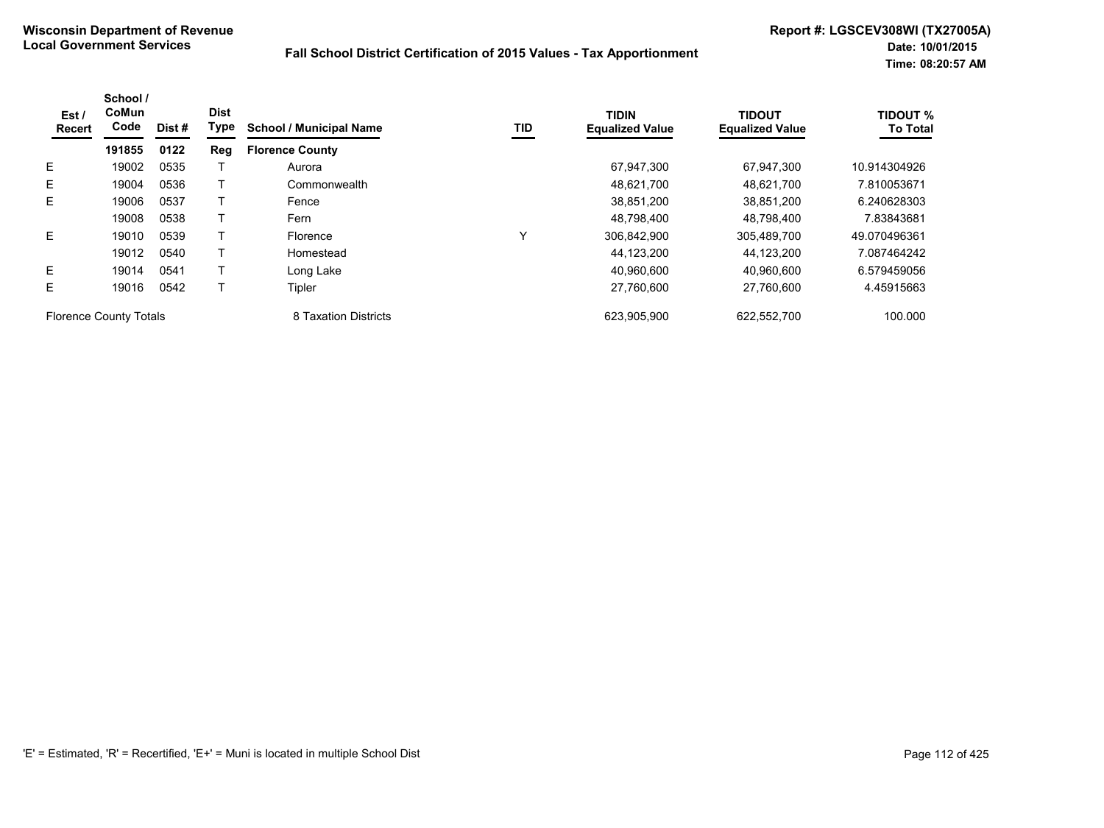| Est/<br>Recert                | School /<br>CoMun<br>Code | Dist # | <b>Dist</b><br>Type | <b>School / Municipal Name</b> | TID          | <b>TIDIN</b><br><b>Equalized Value</b> | <b>TIDOUT</b><br><b>Equalized Value</b> | <b>TIDOUT %</b><br><b>To Total</b> |
|-------------------------------|---------------------------|--------|---------------------|--------------------------------|--------------|----------------------------------------|-----------------------------------------|------------------------------------|
|                               | 191855                    | 0122   | Reg                 | <b>Florence County</b>         |              |                                        |                                         |                                    |
| E.                            | 19002                     | 0535   |                     | Aurora                         |              | 67,947,300                             | 67.947.300                              | 10.914304926                       |
| E.                            | 19004                     | 0536   |                     | Commonwealth                   |              | 48,621,700                             | 48,621,700                              | 7.810053671                        |
| E.                            | 19006                     | 0537   |                     | Fence                          |              | 38,851,200                             | 38.851.200                              | 6.240628303                        |
|                               | 19008                     | 0538   |                     | Fern                           |              | 48.798.400                             | 48.798.400                              | 7.83843681                         |
| E.                            | 19010                     | 0539   |                     | Florence                       | $\checkmark$ | 306,842,900                            | 305,489,700                             | 49.070496361                       |
|                               | 19012                     | 0540   |                     | Homestead                      |              | 44,123,200                             | 44.123.200                              | 7.087464242                        |
| E.                            | 19014                     | 0541   |                     | Long Lake                      |              | 40.960.600                             | 40.960.600                              | 6.579459056                        |
| E.                            | 19016                     | 0542   |                     | Tipler                         |              | 27,760,600                             | 27,760,600                              | 4.45915663                         |
| <b>Florence County Totals</b> |                           |        |                     | 8 Taxation Districts           |              | 623,905,900                            | 622,552,700                             | 100.000                            |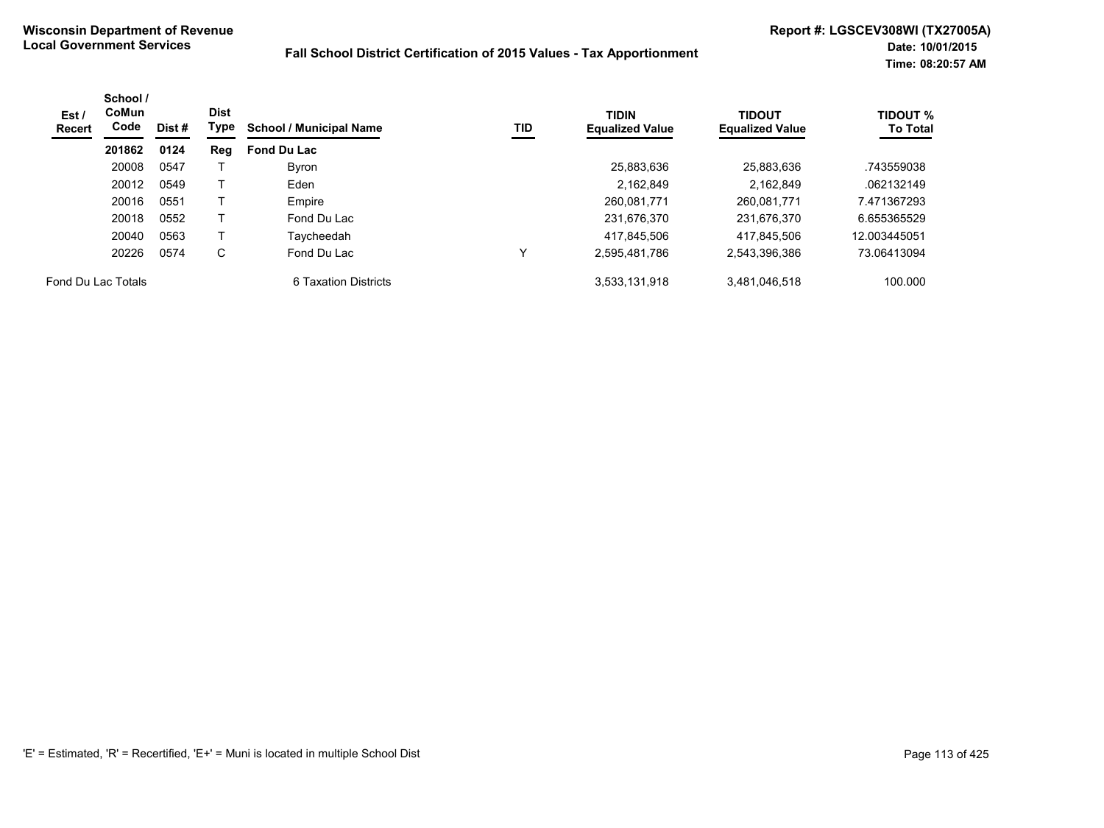| Est/<br><b>Recert</b> | School /<br><b>CoMun</b><br>Code | Dist # | <b>Dist</b><br>Type | <b>School / Municipal Name</b> | TID | <b>TIDIN</b><br><b>Equalized Value</b> | <b>TIDOUT</b><br><b>Equalized Value</b> | <b>TIDOUT %</b><br><b>To Total</b> |
|-----------------------|----------------------------------|--------|---------------------|--------------------------------|-----|----------------------------------------|-----------------------------------------|------------------------------------|
|                       | 201862                           | 0124   | Reg                 | <b>Fond Du Lac</b>             |     |                                        |                                         |                                    |
|                       | 20008                            | 0547   |                     | Byron                          |     | 25,883,636                             | 25,883,636                              | .743559038                         |
|                       | 20012                            | 0549   |                     | Eden                           |     | 2.162.849                              | 2.162.849                               | .062132149                         |
|                       | 20016                            | 0551   |                     | Empire                         |     | 260.081.771                            | 260.081.771                             | 7.471367293                        |
|                       | 20018                            | 0552   |                     | Fond Du Lac                    |     | 231,676,370                            | 231,676,370                             | 6.655365529                        |
|                       | 20040                            | 0563   |                     | Taycheedah                     |     | 417.845.506                            | 417.845.506                             | 12.003445051                       |
|                       | 20226                            | 0574   | C                   | Fond Du Lac                    | v   | 2,595,481,786                          | 2,543,396,386                           | 73.06413094                        |
| Fond Du Lac Totals    |                                  |        |                     | 6 Taxation Districts           |     | 3,533,131,918                          | 3,481,046,518                           | 100.000                            |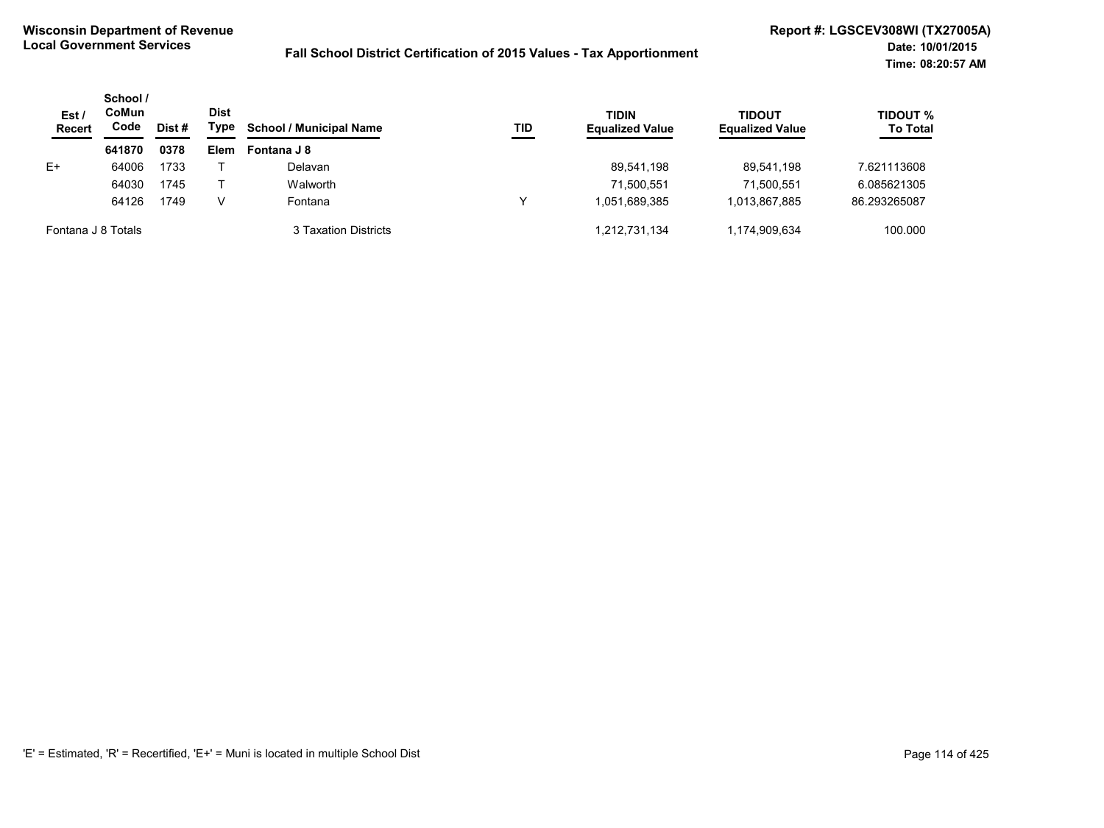| Est /<br><b>Recert</b> | School /<br>CoMun<br>Code | Dist # | <b>Dist</b><br>Type | <b>School / Municipal Name</b> | TID | <b>TIDIN</b><br><b>Equalized Value</b> | <b>TIDOUT</b><br><b>Equalized Value</b> | <b>TIDOUT %</b><br><b>To Total</b> |
|------------------------|---------------------------|--------|---------------------|--------------------------------|-----|----------------------------------------|-----------------------------------------|------------------------------------|
|                        | 641870                    | 0378   | Elem                | Fontana J 8                    |     |                                        |                                         |                                    |
| E+                     | 64006                     | 1733   |                     | Delavan                        |     | 89.541.198                             | 89.541.198                              | 7.621113608                        |
|                        | 64030                     | 1745   |                     | Walworth                       |     | 71.500.551                             | 71.500.551                              | 6.085621305                        |
|                        | 64126                     | 1749   | V                   | Fontana                        | v   | 1.051.689.385                          | 1.013.867.885                           | 86.293265087                       |
| Fontana J 8 Totals     |                           |        |                     | 3 Taxation Districts           |     | 1,212,731,134                          | 1,174,909,634                           | 100.000                            |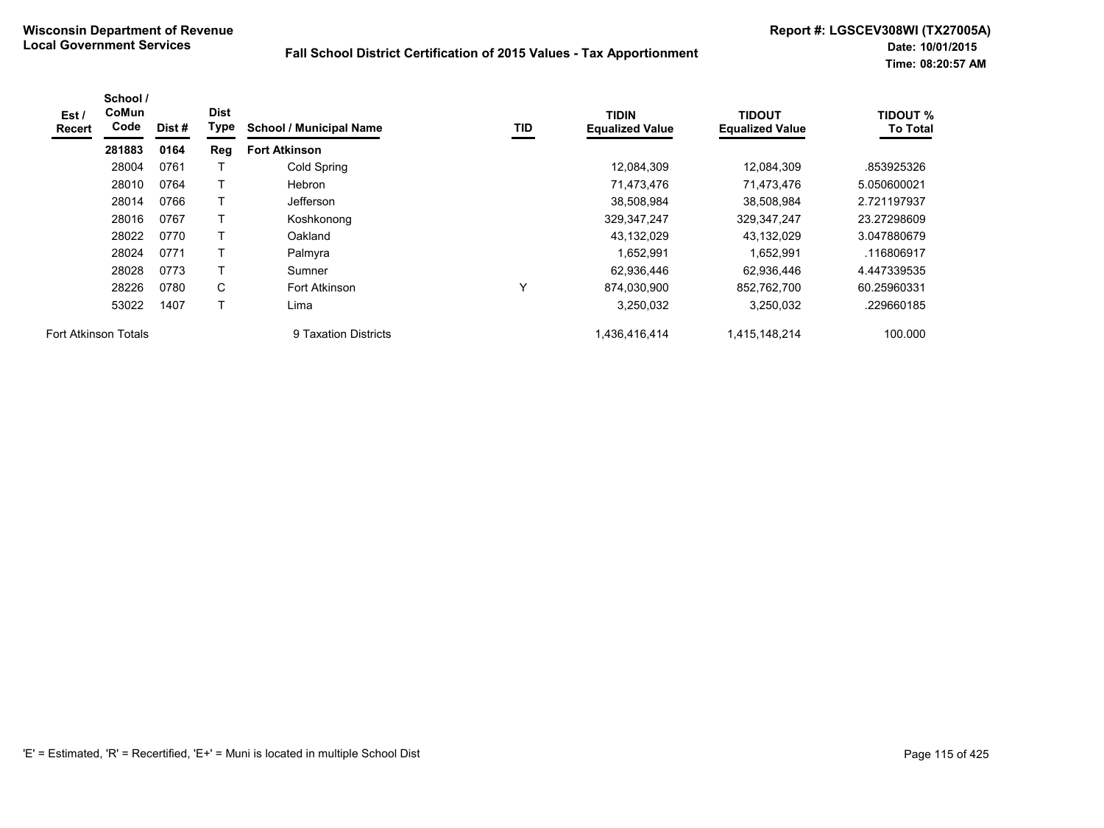| Est/<br><b>Recert</b>       | School /<br>CoMun<br>Code | Dist # | <b>Dist</b><br>Type | <b>School / Municipal Name</b> | <b>TID</b> | <b>TIDIN</b><br><b>Equalized Value</b> | <b>TIDOUT</b><br><b>Equalized Value</b> | <b>TIDOUT %</b><br><b>To Total</b> |
|-----------------------------|---------------------------|--------|---------------------|--------------------------------|------------|----------------------------------------|-----------------------------------------|------------------------------------|
|                             | 281883                    | 0164   | Reg                 | <b>Fort Atkinson</b>           |            |                                        |                                         |                                    |
|                             | 28004                     | 0761   |                     | Cold Spring                    |            | 12,084,309                             | 12,084,309                              | .853925326                         |
|                             | 28010                     | 0764   |                     | <b>Hebron</b>                  |            | 71,473,476                             | 71,473,476                              | 5.050600021                        |
|                             | 28014                     | 0766   | Т                   | Jefferson                      |            | 38,508,984                             | 38,508,984                              | 2.721197937                        |
|                             | 28016                     | 0767   |                     | Koshkonong                     |            | 329,347,247                            | 329, 347, 247                           | 23.27298609                        |
|                             | 28022                     | 0770   | Т                   | Oakland                        |            | 43,132,029                             | 43,132,029                              | 3.047880679                        |
|                             | 28024                     | 0771   |                     | Palmyra                        |            | 1,652,991                              | 1,652,991                               | .116806917                         |
|                             | 28028                     | 0773   | т                   | Sumner                         |            | 62,936,446                             | 62.936.446                              | 4.447339535                        |
|                             | 28226                     | 0780   | C                   | Fort Atkinson                  | Υ          | 874.030.900                            | 852.762.700                             | 60.25960331                        |
|                             | 53022                     | 1407   | т                   | Lima                           |            | 3,250,032                              | 3,250,032                               | .229660185                         |
| <b>Fort Atkinson Totals</b> |                           |        |                     | 9 Taxation Districts           |            | 1,436,416,414                          | 1,415,148,214                           | 100.000                            |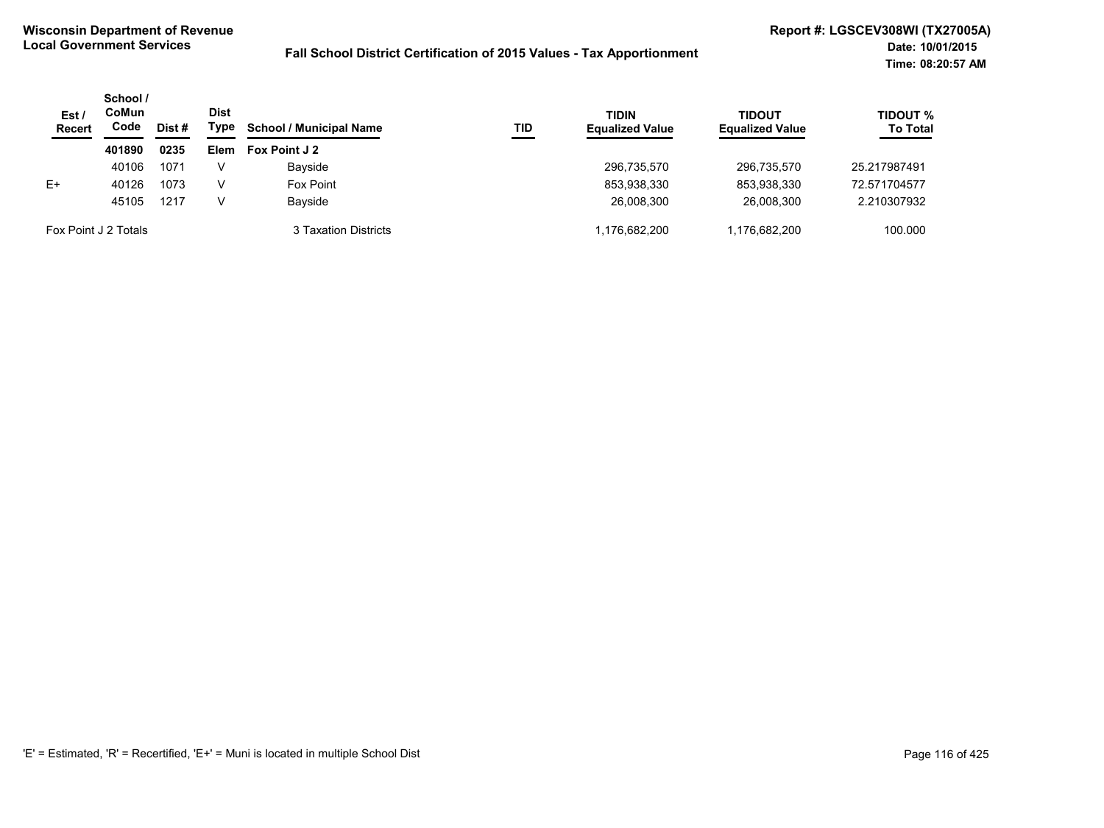| Est/<br><b>Recert</b> | School /<br>CoMun<br>Code | Dist # | <b>Dist</b><br>Type | <b>School / Municipal Name</b> | TID | <b>TIDIN</b><br><b>Equalized Value</b> | <b>TIDOUT</b><br><b>Equalized Value</b> | <b>TIDOUT %</b><br><b>To Total</b> |
|-----------------------|---------------------------|--------|---------------------|--------------------------------|-----|----------------------------------------|-----------------------------------------|------------------------------------|
|                       | 401890                    | 0235   | <b>Elem</b>         | Fox Point J 2                  |     |                                        |                                         |                                    |
|                       | 40106                     | 1071   |                     | Bayside                        |     | 296,735,570                            | 296.735.570                             | 25.217987491                       |
| $E+$                  | 40126                     | 1073   |                     | Fox Point                      |     | 853,938,330                            | 853,938,330                             | 72.571704577                       |
|                       | 45105                     | 1217   | v                   | Bayside                        |     | 26,008,300                             | 26.008.300                              | 2.210307932                        |
|                       | Fox Point J 2 Totals      |        |                     | 3 Taxation Districts           |     | 1,176,682,200                          | 1.176.682.200                           | 100.000                            |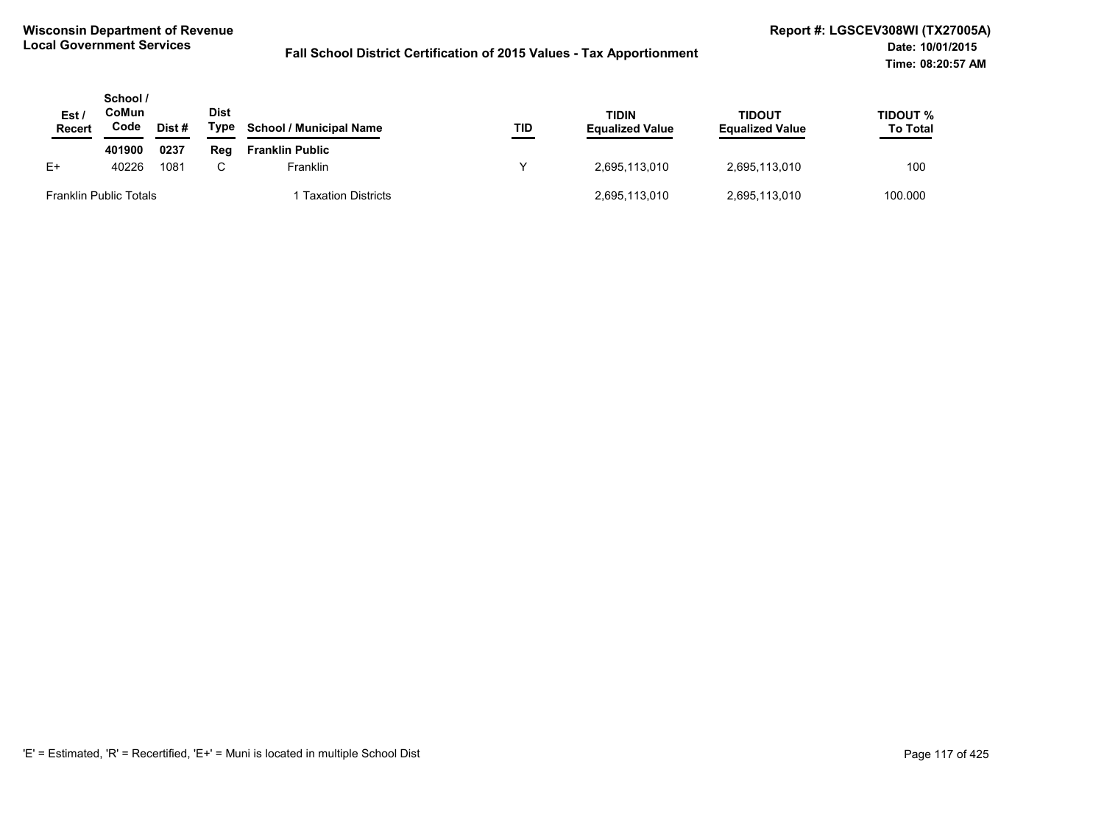| Est /<br><b>Recert</b>        | School /<br>CoMun<br>Code | Dist # | <b>Dist</b><br>Type | <b>School / Municipal Name</b> | TID | <b>TIDIN</b><br><b>Equalized Value</b> | TIDOUT<br><b>Equalized Value</b> | TIDOUT %<br><b>To Total</b> |
|-------------------------------|---------------------------|--------|---------------------|--------------------------------|-----|----------------------------------------|----------------------------------|-----------------------------|
|                               | 401900                    | 0237   | Rea                 | <b>Franklin Public</b>         |     |                                        |                                  |                             |
| $E+$                          | 40226                     | 1081   | C.                  | Franklin                       | v   | 2,695,113,010                          | 2,695,113,010                    | 100                         |
| <b>Franklin Public Totals</b> |                           |        |                     | <b>Taxation Districts</b>      |     | 2,695,113,010                          | 2,695,113,010                    | 100.000                     |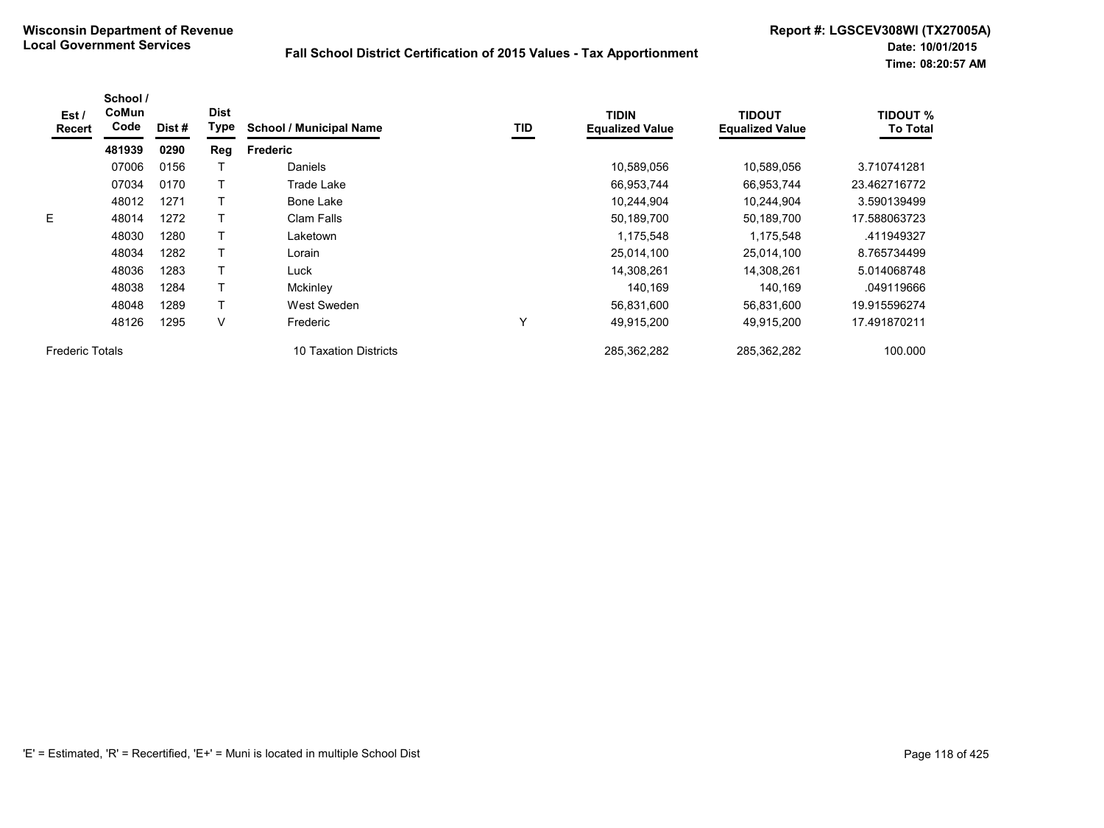| Est /<br><b>Recert</b> | School /<br>CoMun<br>Code | Dist # | <b>Dist</b><br>Type | <b>School / Municipal Name</b> | TID         | <b>TIDIN</b><br><b>Equalized Value</b> | <b>TIDOUT</b><br><b>Equalized Value</b> | <b>TIDOUT %</b><br><b>To Total</b> |
|------------------------|---------------------------|--------|---------------------|--------------------------------|-------------|----------------------------------------|-----------------------------------------|------------------------------------|
|                        | 481939                    | 0290   | Reg                 | <b>Frederic</b>                |             |                                        |                                         |                                    |
|                        | 07006                     | 0156   |                     | <b>Daniels</b>                 |             | 10,589,056                             | 10,589,056                              | 3.710741281                        |
|                        | 07034                     | 0170   |                     | Trade Lake                     |             | 66,953,744                             | 66,953,744                              | 23.462716772                       |
|                        | 48012                     | 1271   |                     | Bone Lake                      |             | 10,244,904                             | 10,244,904                              | 3.590139499                        |
| E                      | 48014                     | 1272   |                     | Clam Falls                     |             | 50,189,700                             | 50,189,700                              | 17.588063723                       |
|                        | 48030                     | 1280   |                     | Laketown                       |             | 1,175,548                              | 1,175,548                               | .411949327                         |
|                        | 48034                     | 1282   |                     | Lorain                         |             | 25,014,100                             | 25,014,100                              | 8.765734499                        |
|                        | 48036                     | 1283   |                     | Luck                           |             | 14,308,261                             | 14.308.261                              | 5.014068748                        |
|                        | 48038                     | 1284   |                     | Mckinley                       |             | 140,169                                | 140,169                                 | .049119666                         |
|                        | 48048                     | 1289   |                     | West Sweden                    |             | 56,831,600                             | 56,831,600                              | 19.915596274                       |
|                        | 48126                     | 1295   | V                   | Frederic                       | $\check{ }$ | 49,915,200                             | 49,915,200                              | 17.491870211                       |
| <b>Frederic Totals</b> |                           |        |                     | 10 Taxation Districts          |             | 285,362,282                            | 285,362,282                             | 100.000                            |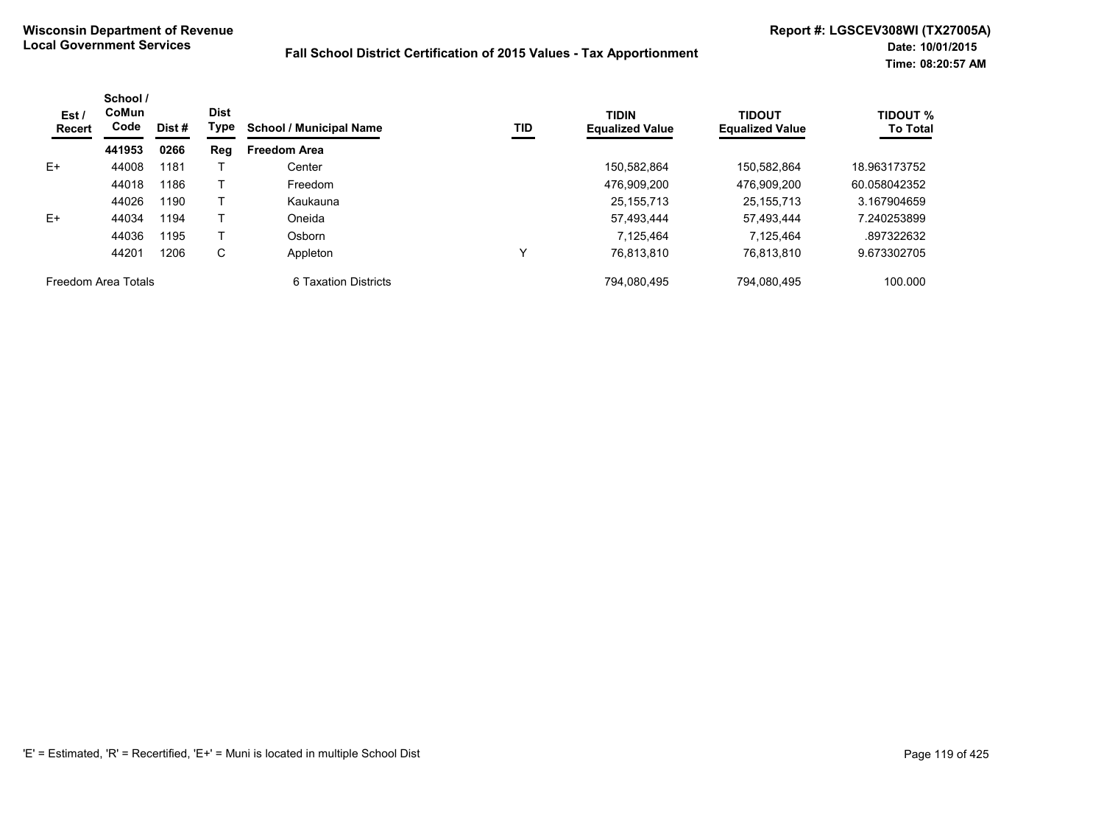| Est /<br><b>Recert</b> | School /<br>CoMun<br>Code | Dist# | <b>Dist</b><br>Type | <b>School / Municipal Name</b> | TID         | <b>TIDIN</b><br><b>Equalized Value</b> | <b>TIDOUT</b><br><b>Equalized Value</b> | <b>TIDOUT %</b><br><b>To Total</b> |
|------------------------|---------------------------|-------|---------------------|--------------------------------|-------------|----------------------------------------|-----------------------------------------|------------------------------------|
|                        | 441953                    | 0266  | Reg                 | <b>Freedom Area</b>            |             |                                        |                                         |                                    |
| $E+$                   | 44008                     | 1181  |                     | Center                         |             | 150.582.864                            | 150.582.864                             | 18.963173752                       |
|                        | 44018                     | 1186  |                     | Freedom                        |             | 476.909.200                            | 476,909,200                             | 60.058042352                       |
|                        | 44026                     | 1190  |                     | Kaukauna                       |             | 25, 155, 713                           | 25, 155, 713                            | 3.167904659                        |
| $E+$                   | 44034                     | 1194  |                     | Oneida                         |             | 57.493.444                             | 57.493.444                              | 7.240253899                        |
|                        | 44036                     | 1195  |                     | Osborn                         |             | 7.125.464                              | 7.125.464                               | .897322632                         |
|                        | 44201                     | 1206  | С                   | Appleton                       | $\check{ }$ | 76,813,810                             | 76,813,810                              | 9.673302705                        |
| Freedom Area Totals    |                           |       |                     | 6 Taxation Districts           |             | 794.080.495                            | 794.080.495                             | 100.000                            |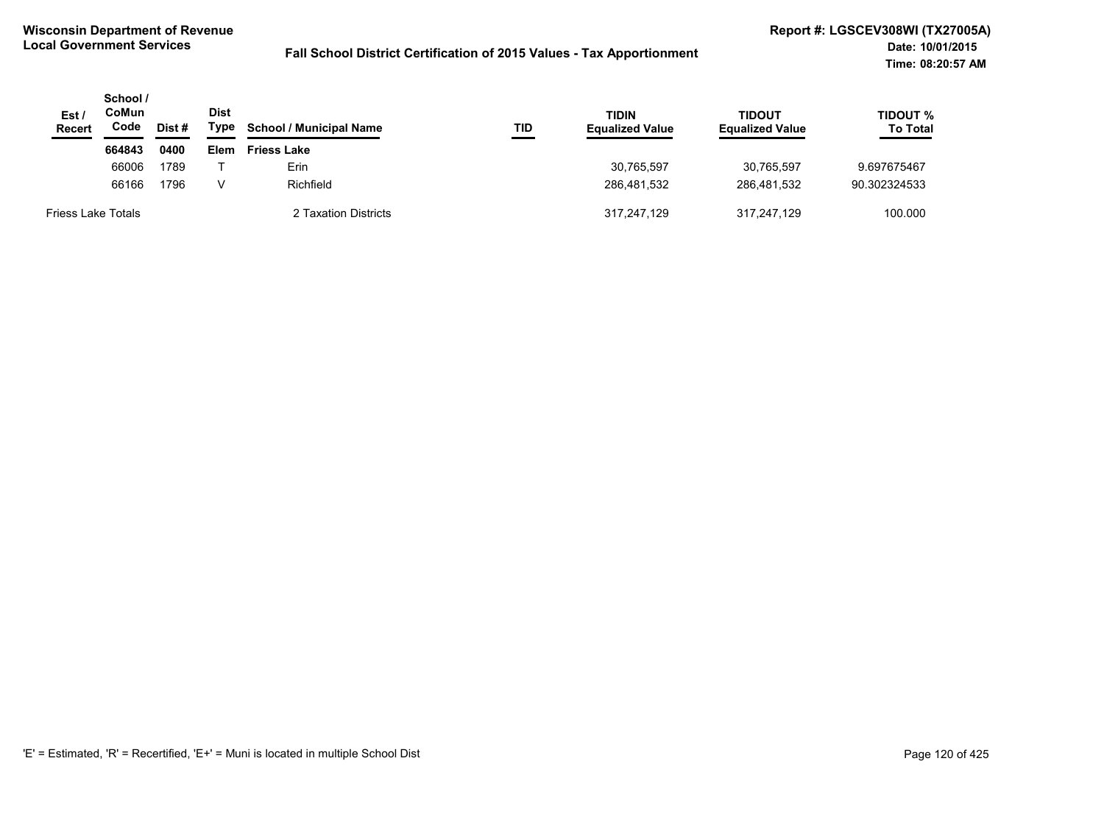| Est /<br><b>Recert</b>    | School /<br>CoMun<br>Code<br>Dist # |      | <b>Dist</b><br>Type | <b>School / Municipal Name</b> | TID | <b>TIDIN</b><br><b>Equalized Value</b> | TIDOUT<br><b>Equalized Value</b> | <b>TIDOUT %</b><br><b>To Total</b> |
|---------------------------|-------------------------------------|------|---------------------|--------------------------------|-----|----------------------------------------|----------------------------------|------------------------------------|
|                           | 664843                              | 0400 | Elem                | <b>Friess Lake</b>             |     |                                        |                                  |                                    |
|                           | 66006                               | 1789 |                     | Erin                           |     | 30,765,597                             | 30.765.597                       | 9.697675467                        |
|                           | 66166                               | 1796 | V                   | Richfield                      |     | 286.481.532                            | 286.481.532                      | 90.302324533                       |
| <b>Friess Lake Totals</b> |                                     |      |                     | 2 Taxation Districts           |     | 317,247,129                            | 317.247.129                      | 100.000                            |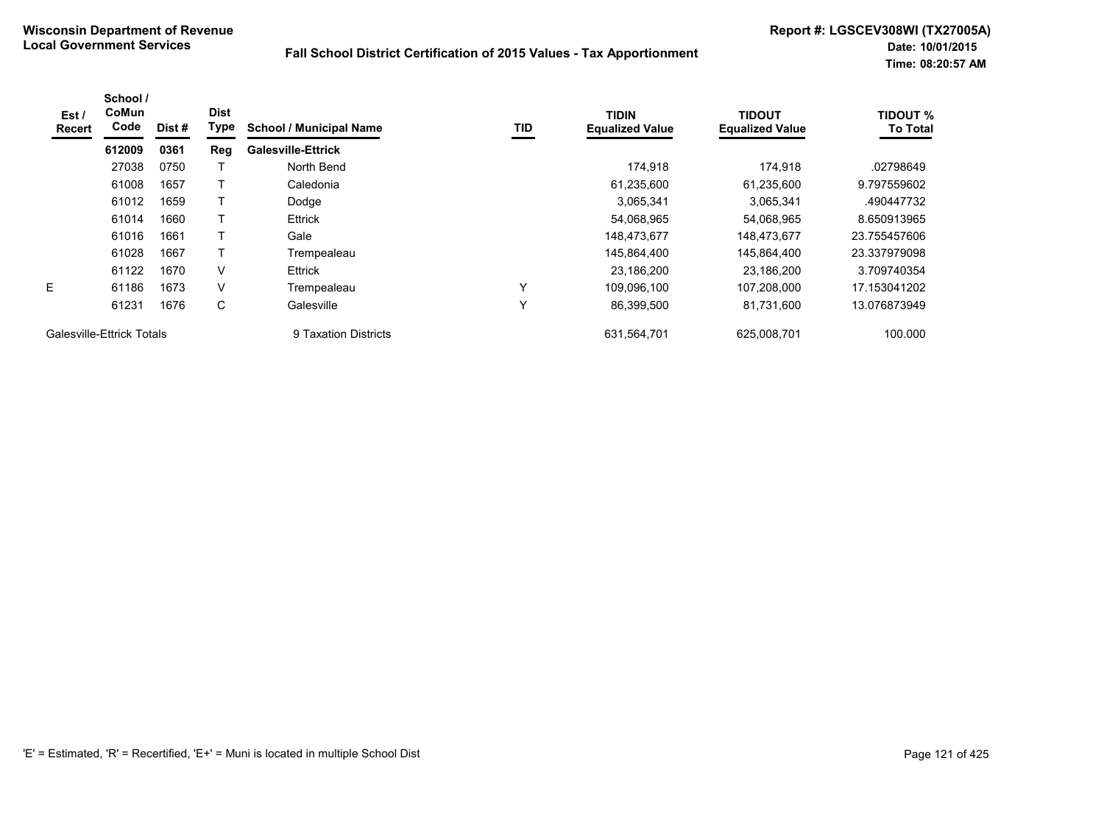| Est/<br>Recert            | School /<br>CoMun<br>Code | Dist# | <b>Dist</b><br>Type | <b>School / Municipal Name</b> | TID          | <b>TIDIN</b><br><b>Equalized Value</b> | <b>TIDOUT</b><br><b>Equalized Value</b> | <b>TIDOUT %</b><br><b>To Total</b> |
|---------------------------|---------------------------|-------|---------------------|--------------------------------|--------------|----------------------------------------|-----------------------------------------|------------------------------------|
|                           | 612009                    | 0361  | Reg                 | <b>Galesville-Ettrick</b>      |              |                                        |                                         |                                    |
|                           | 27038                     | 0750  |                     | North Bend                     |              | 174.918                                | 174.918                                 | .02798649                          |
|                           | 61008                     | 1657  |                     | Caledonia                      |              | 61,235,600                             | 61.235.600                              | 9.797559602                        |
|                           | 61012                     | 1659  |                     | Dodge                          |              | 3,065,341                              | 3,065,341                               | .490447732                         |
|                           | 61014                     | 1660  |                     | <b>Ettrick</b>                 |              | 54,068,965                             | 54,068,965                              | 8.650913965                        |
|                           | 61016                     | 1661  | т                   | Gale                           |              | 148.473.677                            | 148.473.677                             | 23.755457606                       |
|                           | 61028                     | 1667  |                     | Trempealeau                    |              | 145.864.400                            | 145.864.400                             | 23.337979098                       |
|                           | 61122                     | 1670  | V                   | <b>Ettrick</b>                 |              | 23,186,200                             | 23,186,200                              | 3.709740354                        |
| E.                        | 61186                     | 1673  | V                   | Trempealeau                    | $\checkmark$ | 109,096,100                            | 107,208,000                             | 17.153041202                       |
|                           | 61231                     | 1676  | C                   | Galesville                     | ٧            | 86,399,500                             | 81.731.600                              | 13.076873949                       |
| Galesville-Ettrick Totals |                           |       |                     | 9 Taxation Districts           |              | 631,564,701                            | 625,008,701                             | 100.000                            |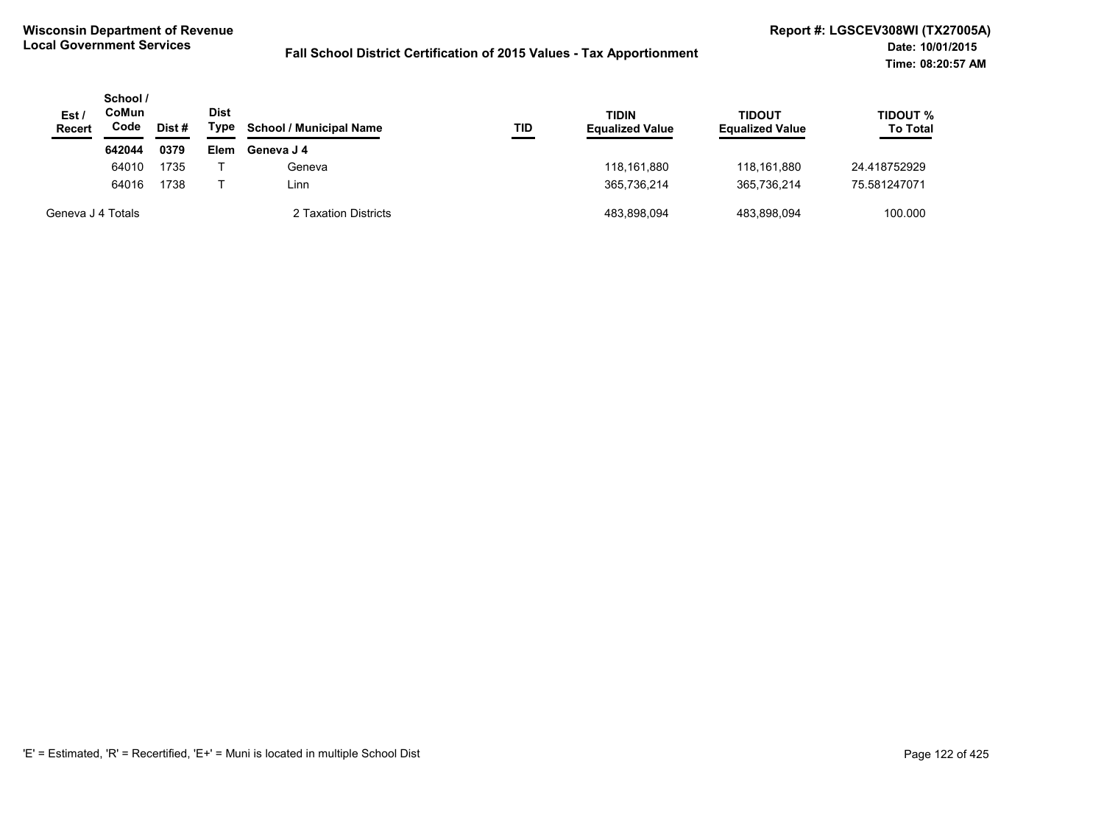| Est /<br><b>Recert</b> | School /<br>CoMun<br>Code<br>Dist # |      | Dist<br>Type | <b>School / Municipal Name</b> | TID | <b>TIDIN</b><br><b>Equalized Value</b> | <b>TIDOUT</b><br><b>Equalized Value</b> | TIDOUT %<br><b>To Total</b> |
|------------------------|-------------------------------------|------|--------------|--------------------------------|-----|----------------------------------------|-----------------------------------------|-----------------------------|
|                        | 642044                              | 0379 | Elem         | Geneva J 4                     |     |                                        |                                         |                             |
|                        | 64010                               | 1735 |              | Geneva                         |     | 118.161.880                            | 118.161.880                             | 24.418752929                |
|                        | 64016                               | 1738 |              | Linn                           |     | 365,736,214                            | 365.736.214                             | 75.581247071                |
| Geneva J 4 Totals      |                                     |      |              | 2 Taxation Districts           |     | 483.898.094                            | 483.898.094                             | 100.000                     |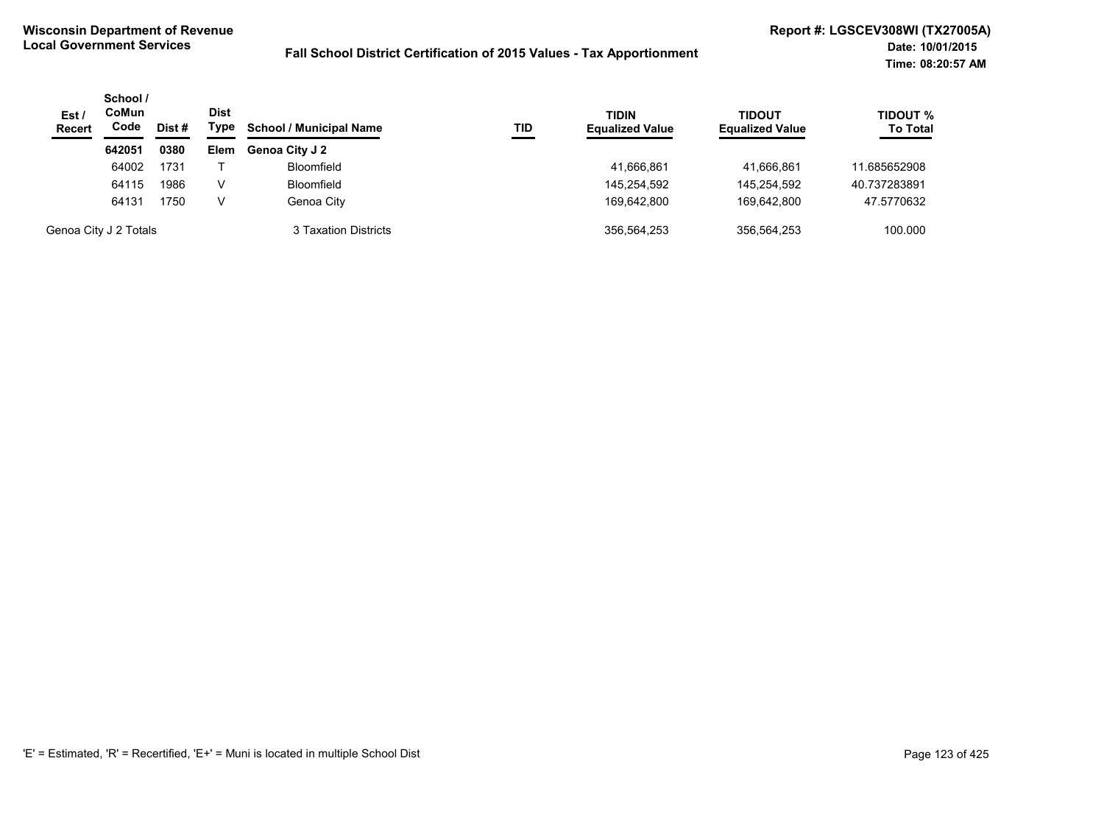| Est/<br><b>Recert</b> | School /<br><b>CoMun</b><br>Code | Dist # | Dist<br>Type | <b>School / Municipal Name</b> | TID | <b>TIDIN</b><br><b>Equalized Value</b> | <b>TIDOUT</b><br><b>Equalized Value</b> | <b>TIDOUT %</b><br><b>To Total</b> |
|-----------------------|----------------------------------|--------|--------------|--------------------------------|-----|----------------------------------------|-----------------------------------------|------------------------------------|
|                       | 642051                           | 0380   | <b>Elem</b>  | <b>Genoa City J 2</b>          |     |                                        |                                         |                                    |
|                       | 64002                            | 1731   |              | <b>Bloomfield</b>              |     | 41,666,861                             | 41.666.861                              | 11.685652908                       |
|                       | 64115                            | 1986   | V            | <b>Bloomfield</b>              |     | 145,254,592                            | 145.254.592                             | 40.737283891                       |
|                       | 64131                            | 1750   | v            | Genoa City                     |     | 169.642.800                            | 169.642.800                             | 47.5770632                         |
|                       | Genoa City J 2 Totals            |        |              | 3 Taxation Districts           |     | 356.564.253                            | 356.564.253                             | 100.000                            |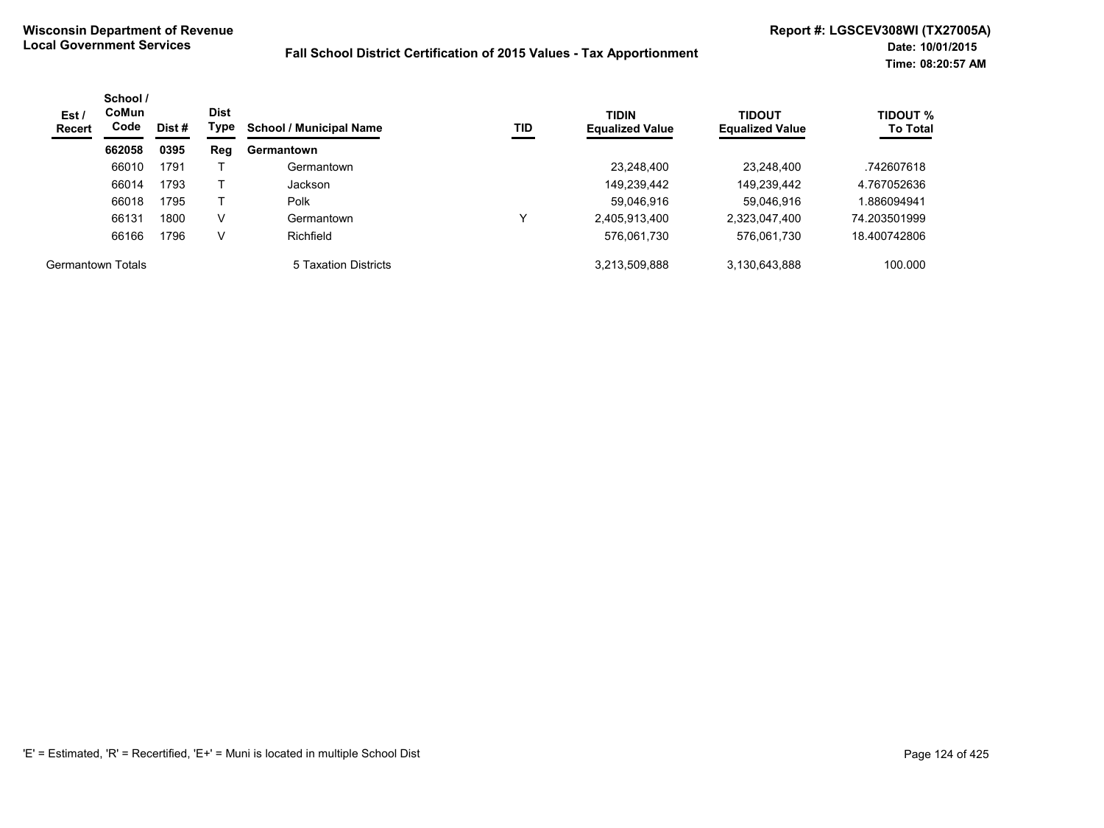| Est /<br><b>Recert</b> | School /<br><b>CoMun</b><br>Code | <b>Dist</b><br>Type<br>Dist # |     | TID<br><b>School / Municipal Name</b> | <b>TIDIN</b><br><b>Equalized Value</b> | <b>TIDOUT</b><br><b>Equalized Value</b> | <b>TIDOUT %</b><br><b>To Total</b> |              |
|------------------------|----------------------------------|-------------------------------|-----|---------------------------------------|----------------------------------------|-----------------------------------------|------------------------------------|--------------|
|                        | 662058                           | 0395                          | Reg | Germantown                            |                                        |                                         |                                    |              |
|                        | 66010                            | 1791                          |     | Germantown                            |                                        | 23,248,400                              | 23.248.400                         | .742607618   |
|                        | 66014                            | 1793                          |     | Jackson                               |                                        | 149,239,442                             | 149,239,442                        | 4.767052636  |
|                        | 66018                            | 1795                          |     | <b>Polk</b>                           |                                        | 59,046,916                              | 59,046,916                         | .886094941   |
|                        | 66131                            | 1800                          | V   | Germantown                            | ν                                      | 2,405,913,400                           | 2,323,047,400                      | 74.203501999 |
|                        | 66166                            | 1796                          | V   | Richfield                             |                                        | 576,061,730                             | 576,061,730                        | 18.400742806 |
| Germantown Totals      |                                  |                               |     | 5 Taxation Districts                  |                                        | 3,213,509,888                           | 3,130,643,888                      | 100.000      |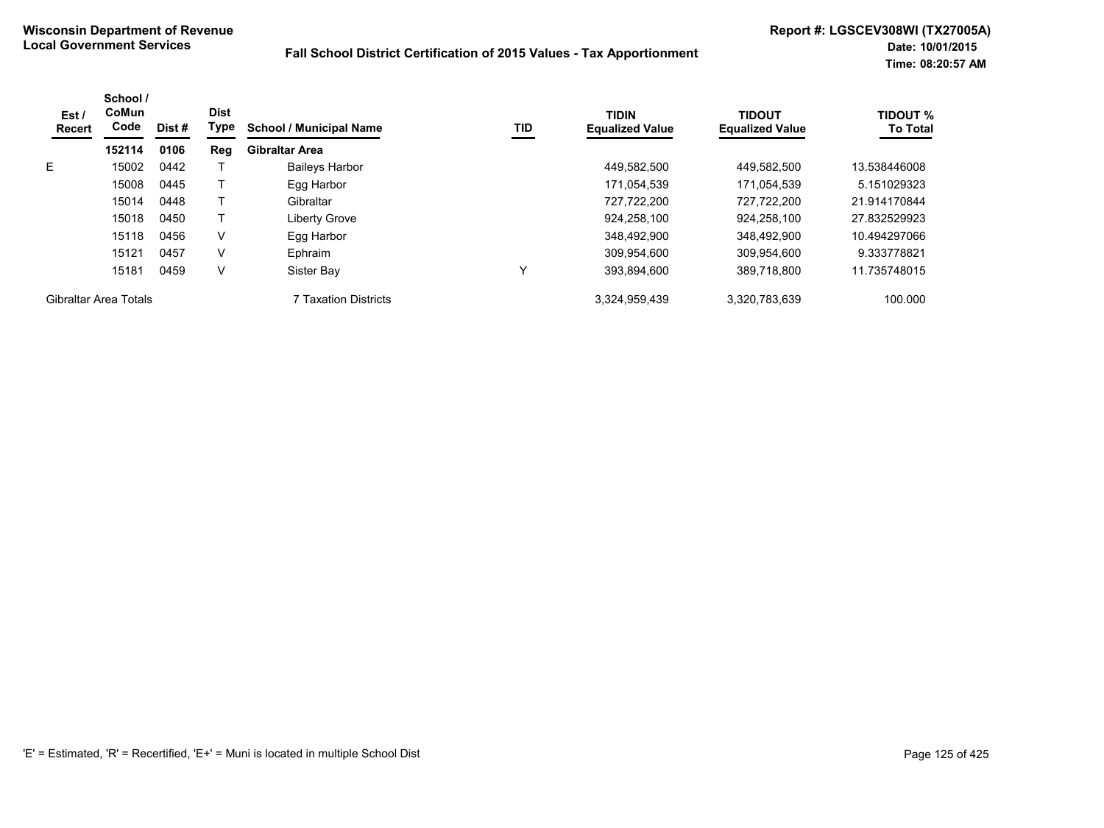| Est /<br>Recert       | School /<br>CoMun<br>Code | Dist # | <b>Dist</b><br>Type | <b>School / Municipal Name</b> | TID | <b>TIDIN</b><br><b>Equalized Value</b> | <b>TIDOUT</b><br><b>Equalized Value</b> | <b>TIDOUT %</b><br><b>To Total</b> |
|-----------------------|---------------------------|--------|---------------------|--------------------------------|-----|----------------------------------------|-----------------------------------------|------------------------------------|
|                       | 152114                    | 0106   | Reg                 | <b>Gibraltar Area</b>          |     |                                        |                                         |                                    |
| E.                    | 15002                     | 0442   |                     | <b>Baileys Harbor</b>          |     | 449.582.500                            | 449.582.500                             | 13.538446008                       |
|                       | 15008                     | 0445   |                     | Egg Harbor                     |     | 171,054,539                            | 171,054,539                             | 5.151029323                        |
|                       | 15014                     | 0448   |                     | Gibraltar                      |     | 727.722.200                            | 727.722.200                             | 21.914170844                       |
|                       | 15018                     | 0450   |                     | Liberty Grove                  |     | 924.258.100                            | 924,258,100                             | 27.832529923                       |
|                       | 15118                     | 0456   | V                   | Egg Harbor                     |     | 348,492,900                            | 348,492,900                             | 10.494297066                       |
|                       | 15121                     | 0457   | v                   | Ephraim                        |     | 309.954.600                            | 309,954,600                             | 9.333778821                        |
|                       | 15181                     | 0459   | V                   | Sister Bay                     |     | 393.894.600                            | 389.718.800                             | 11.735748015                       |
| Gibraltar Area Totals |                           |        |                     | 7 Taxation Districts           |     | 3,324,959,439                          | 3,320,783,639                           | 100.000                            |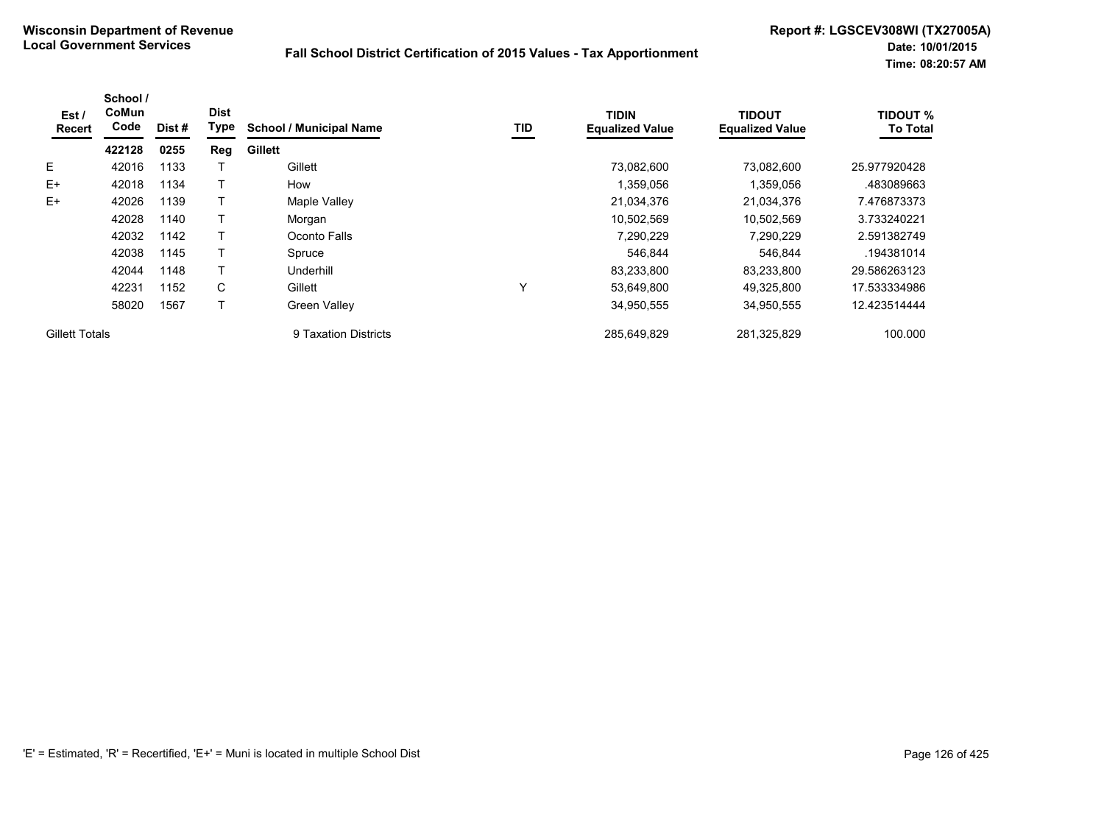| Est/<br>Recert        | School /<br>CoMun<br>Code | Dist# | <b>Dist</b><br>Type | <b>School / Municipal Name</b> | TID | <b>TIDIN</b><br><b>Equalized Value</b> | <b>TIDOUT</b><br><b>Equalized Value</b> | <b>TIDOUT %</b><br><b>To Total</b> |
|-----------------------|---------------------------|-------|---------------------|--------------------------------|-----|----------------------------------------|-----------------------------------------|------------------------------------|
|                       | 422128                    | 0255  | Reg                 | <b>Gillett</b>                 |     |                                        |                                         |                                    |
| E                     | 42016                     | 1133  |                     | Gillett                        |     | 73.082.600                             | 73,082,600                              | 25.977920428                       |
| $E+$                  | 42018                     | 1134  |                     | How                            |     | 1,359,056                              | 1,359,056                               | .483089663                         |
| $E+$                  | 42026                     | 1139  |                     | Maple Valley                   |     | 21,034,376                             | 21,034,376                              | 7.476873373                        |
|                       | 42028                     | 1140  |                     | Morgan                         |     | 10,502,569                             | 10,502,569                              | 3.733240221                        |
|                       | 42032                     | 1142  |                     | Oconto Falls                   |     | 7,290,229                              | 7,290,229                               | 2.591382749                        |
|                       | 42038                     | 1145  |                     | Spruce                         |     | 546,844                                | 546.844                                 | .194381014                         |
|                       | 42044                     | 1148  |                     | Underhill                      |     | 83,233,800                             | 83,233,800                              | 29.586263123                       |
|                       | 42231                     | 1152  | C                   | Gillett                        | Y   | 53,649,800                             | 49,325,800                              | 17.533334986                       |
|                       | 58020                     | 1567  | т                   | <b>Green Valley</b>            |     | 34,950,555                             | 34,950,555                              | 12.423514444                       |
| <b>Gillett Totals</b> |                           |       |                     | 9 Taxation Districts           |     | 285.649.829                            | 281.325.829                             | 100.000                            |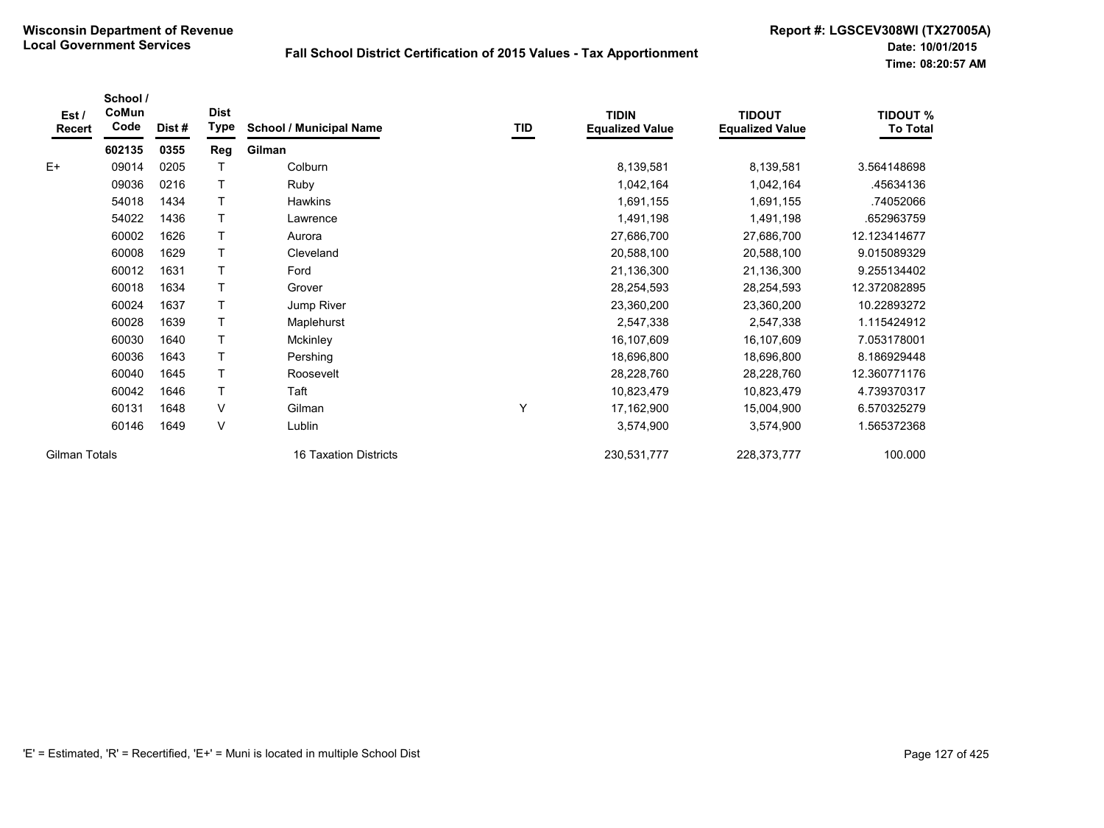| Est/<br><b>Recert</b> | School /<br>CoMun<br>Code | Dist# | <b>Dist</b><br>Type | <b>School / Municipal Name</b> | TID | <b>TIDIN</b><br><b>Equalized Value</b> | <b>TIDOUT</b><br><b>Equalized Value</b> | <b>TIDOUT %</b><br><b>To Total</b> |
|-----------------------|---------------------------|-------|---------------------|--------------------------------|-----|----------------------------------------|-----------------------------------------|------------------------------------|
|                       | 602135                    | 0355  | Reg                 | Gilman                         |     |                                        |                                         |                                    |
| $E+$                  | 09014                     | 0205  |                     | Colburn                        |     | 8,139,581                              | 8,139,581                               | 3.564148698                        |
|                       | 09036                     | 0216  | T                   | Ruby                           |     | 1,042,164                              | 1,042,164                               | .45634136                          |
|                       | 54018                     | 1434  | т                   | Hawkins                        |     | 1,691,155                              | 1,691,155                               | .74052066                          |
|                       | 54022                     | 1436  | T                   | Lawrence                       |     | 1,491,198                              | 1,491,198                               | .652963759                         |
|                       | 60002                     | 1626  | T                   | Aurora                         |     | 27,686,700                             | 27,686,700                              | 12.123414677                       |
|                       | 60008                     | 1629  | T                   | Cleveland                      |     | 20,588,100                             | 20,588,100                              | 9.015089329                        |
|                       | 60012                     | 1631  | T                   | Ford                           |     | 21,136,300                             | 21,136,300                              | 9.255134402                        |
|                       | 60018                     | 1634  | T                   | Grover                         |     | 28,254,593                             | 28,254,593                              | 12.372082895                       |
|                       | 60024                     | 1637  | T                   | Jump River                     |     | 23,360,200                             | 23,360,200                              | 10.22893272                        |
|                       | 60028                     | 1639  | T                   | Maplehurst                     |     | 2,547,338                              | 2,547,338                               | 1.115424912                        |
|                       | 60030                     | 1640  | T.                  | Mckinley                       |     | 16,107,609                             | 16,107,609                              | 7.053178001                        |
|                       | 60036                     | 1643  | T                   | Pershing                       |     | 18,696,800                             | 18,696,800                              | 8.186929448                        |
|                       | 60040                     | 1645  | T                   | Roosevelt                      |     | 28,228,760                             | 28,228,760                              | 12.360771176                       |
|                       | 60042                     | 1646  | T                   | Taft                           |     | 10,823,479                             | 10,823,479                              | 4.739370317                        |
|                       | 60131                     | 1648  | $\vee$              | Gilman                         | Y   | 17,162,900                             | 15,004,900                              | 6.570325279                        |
|                       | 60146                     | 1649  | $\vee$              | Lublin                         |     | 3,574,900                              | 3,574,900                               | 1.565372368                        |
| <b>Gilman Totals</b>  |                           |       |                     | 16 Taxation Districts          |     | 230,531,777                            | 228, 373, 777                           | 100.000                            |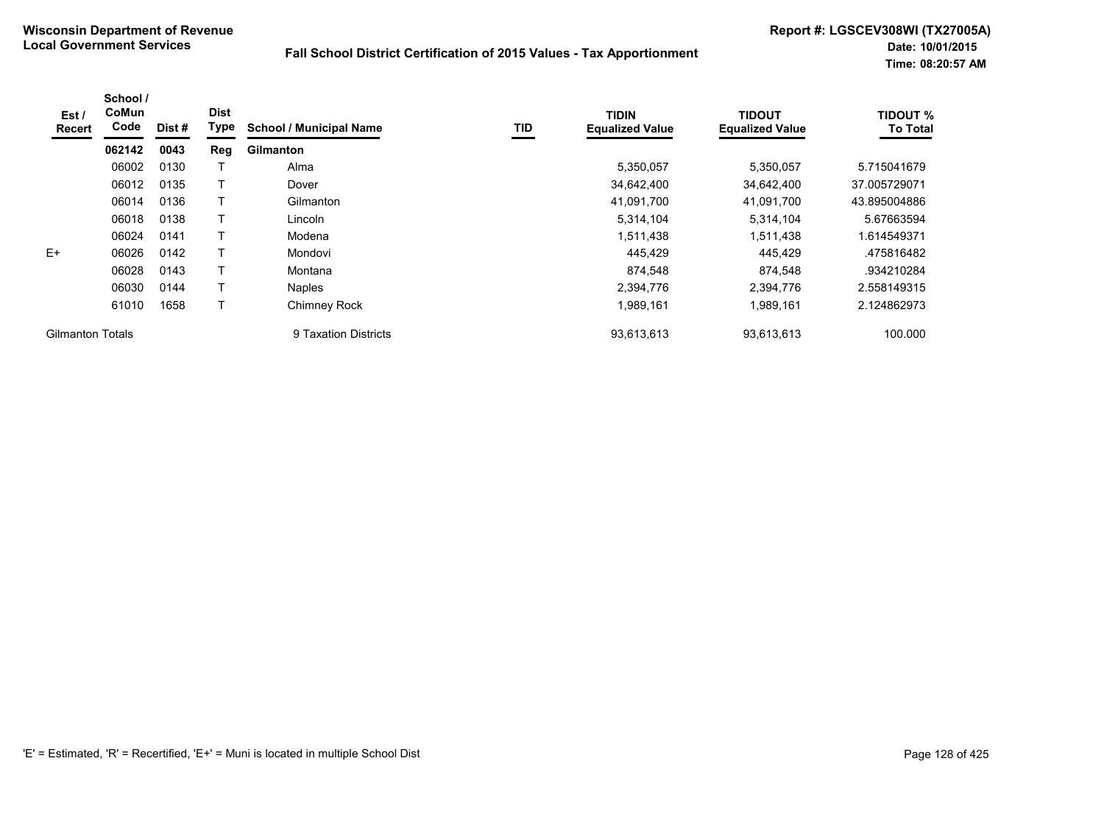| Est /<br>Recert         | School /<br>CoMun<br>Code | Dist# | <b>Dist</b><br>Type | <b>School / Municipal Name</b> | TID | <b>TIDIN</b><br><b>Equalized Value</b> | <b>TIDOUT</b><br><b>Equalized Value</b> | <b>TIDOUT %</b><br><b>To Total</b> |
|-------------------------|---------------------------|-------|---------------------|--------------------------------|-----|----------------------------------------|-----------------------------------------|------------------------------------|
|                         | 062142                    | 0043  | Reg                 | <b>Gilmanton</b>               |     |                                        |                                         |                                    |
|                         | 06002                     | 0130  |                     | Alma                           |     | 5,350,057                              | 5,350,057                               | 5.715041679                        |
|                         | 06012                     | 0135  |                     | Dover                          |     | 34,642,400                             | 34,642,400                              | 37.005729071                       |
|                         | 06014                     | 0136  |                     | Gilmanton                      |     | 41,091,700                             | 41,091,700                              | 43.895004886                       |
|                         | 06018                     | 0138  |                     | Lincoln                        |     | 5,314,104                              | 5,314,104                               | 5.67663594                         |
|                         | 06024                     | 0141  |                     | Modena                         |     | 1,511,438                              | 1,511,438                               | .614549371                         |
| $E+$                    | 06026                     | 0142  |                     | Mondovi                        |     | 445,429                                | 445,429                                 | 475816482                          |
|                         | 06028                     | 0143  | т                   | Montana                        |     | 874,548                                | 874.548                                 | .934210284                         |
|                         | 06030                     | 0144  |                     | Naples                         |     | 2,394,776                              | 2.394.776                               | 2.558149315                        |
|                         | 61010                     | 1658  |                     | Chimney Rock                   |     | 1,989,161                              | 1,989,161                               | 2.124862973                        |
| <b>Gilmanton Totals</b> |                           |       |                     | 9 Taxation Districts           |     | 93,613,613                             | 93,613,613                              | 100.000                            |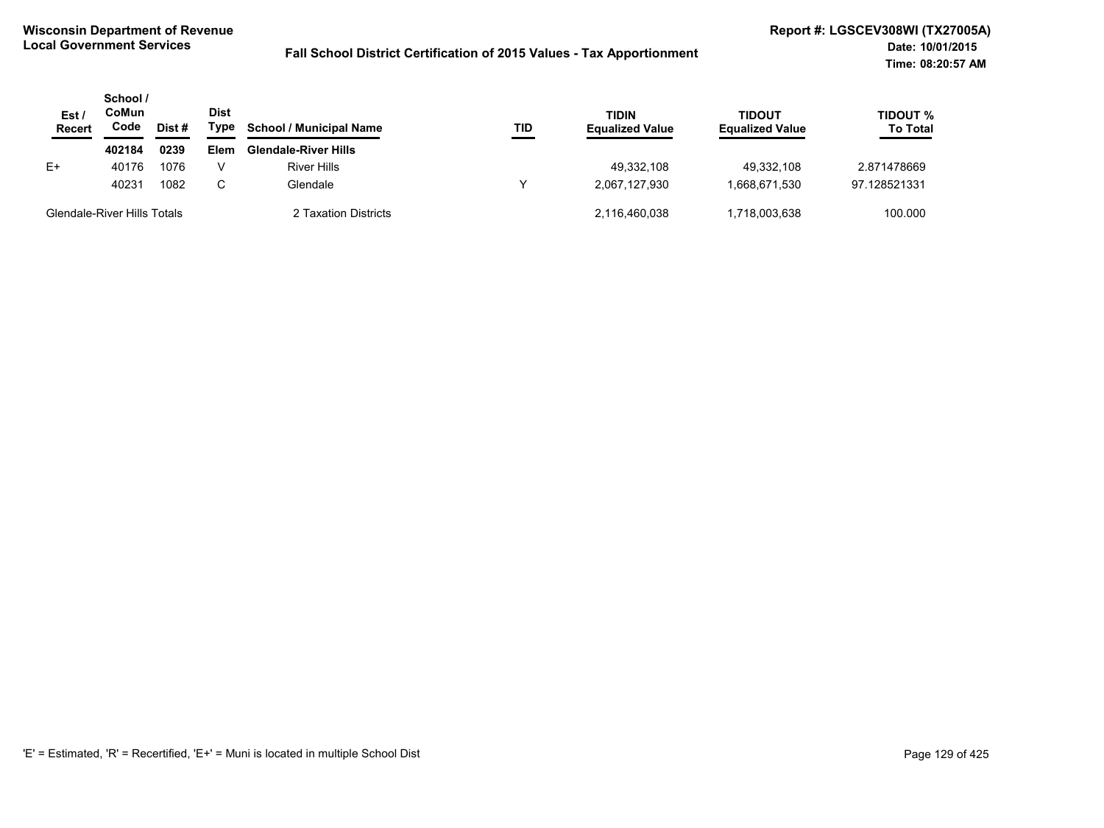| Est/<br><b>Recert</b> | School /<br>CoMun<br>Code   | Dist# | <b>Dist</b><br>Type | <b>School / Municipal Name</b> | TID | TIDIN<br><b>Equalized Value</b> | <b>TIDOUT</b><br><b>Equalized Value</b> | TIDOUT %<br><b>To Total</b> |
|-----------------------|-----------------------------|-------|---------------------|--------------------------------|-----|---------------------------------|-----------------------------------------|-----------------------------|
|                       | 402184                      | 0239  | <b>Elem</b>         | <b>Glendale-River Hills</b>    |     |                                 |                                         |                             |
| E+                    | 40176                       | 1076  |                     | <b>River Hills</b>             |     | 49.332.108                      | 49.332.108                              | 2.871478669                 |
|                       | 40231                       | 1082  | C.                  | Glendale                       |     | 2.067.127.930                   | 1,668,671,530                           | 97.128521331                |
|                       | Glendale-River Hills Totals |       |                     | 2 Taxation Districts           |     | 2.116.460.038                   | 1.718.003.638                           | 100.000                     |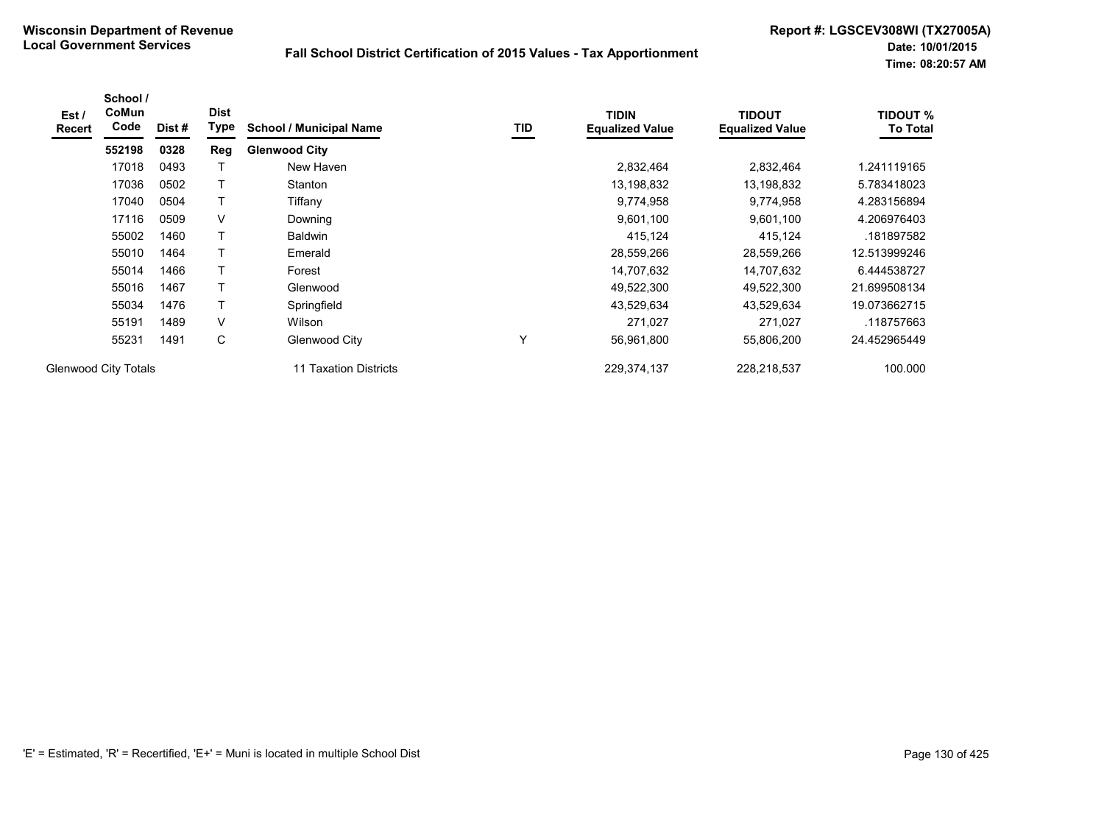| Est /<br><b>Recert</b> | School /<br>CoMun<br>Code   | Dist# | <b>Dist</b><br>Type | <b>School / Municipal Name</b> | TID | <b>TIDIN</b><br><b>Equalized Value</b> | <b>TIDOUT</b><br><b>Equalized Value</b> | <b>TIDOUT %</b><br><b>To Total</b> |
|------------------------|-----------------------------|-------|---------------------|--------------------------------|-----|----------------------------------------|-----------------------------------------|------------------------------------|
|                        | 552198                      | 0328  | Reg                 | <b>Glenwood City</b>           |     |                                        |                                         |                                    |
|                        | 17018                       | 0493  |                     | New Haven                      |     | 2,832,464                              | 2,832,464                               | 1.241119165                        |
|                        | 17036                       | 0502  |                     | Stanton                        |     | 13,198,832                             | 13,198,832                              | 5.783418023                        |
|                        | 17040                       | 0504  | T                   | Tiffany                        |     | 9,774,958                              | 9,774,958                               | 4.283156894                        |
|                        | 17116                       | 0509  | V                   | Downing                        |     | 9,601,100                              | 9,601,100                               | 4.206976403                        |
|                        | 55002                       | 1460  | т                   | <b>Baldwin</b>                 |     | 415,124                                | 415,124                                 | .181897582                         |
|                        | 55010                       | 1464  |                     | Emerald                        |     | 28,559,266                             | 28,559,266                              | 12.513999246                       |
|                        | 55014                       | 1466  | T                   | Forest                         |     | 14,707,632                             | 14,707,632                              | 6.444538727                        |
|                        | 55016                       | 1467  |                     | Glenwood                       |     | 49,522,300                             | 49,522,300                              | 21.699508134                       |
|                        | 55034                       | 1476  |                     | Springfield                    |     | 43,529,634                             | 43,529,634                              | 19.073662715                       |
|                        | 55191                       | 1489  | V                   | Wilson                         |     | 271,027                                | 271,027                                 | .118757663                         |
|                        | 55231                       | 1491  | С                   | Glenwood City                  | v   | 56,961,800                             | 55,806,200                              | 24.452965449                       |
|                        | <b>Glenwood City Totals</b> |       |                     | 11 Taxation Districts          |     | 229,374,137                            | 228,218,537                             | 100.000                            |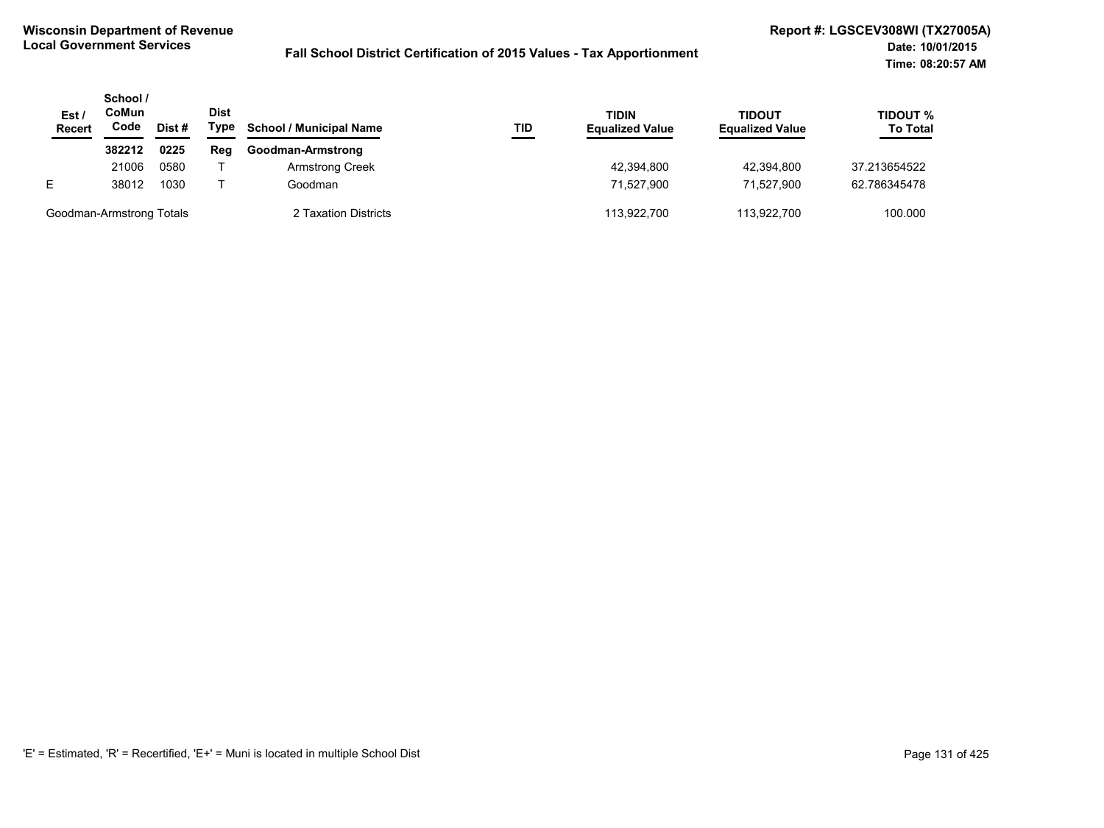| Est /<br>Recert          | School /<br>CoMun<br>Code | Dist # | <b>Dist</b><br>Type | <b>School / Municipal Name</b> | TID | <b>TIDIN</b><br><b>Equalized Value</b> | <b>TIDOUT</b><br><b>Equalized Value</b> | TIDOUT %<br><b>To Total</b> |
|--------------------------|---------------------------|--------|---------------------|--------------------------------|-----|----------------------------------------|-----------------------------------------|-----------------------------|
|                          | 382212                    | 0225   | Reg                 | Goodman-Armstrong              |     |                                        |                                         |                             |
|                          | 21006                     | 0580   |                     | <b>Armstrong Creek</b>         |     | 42,394,800                             | 42,394,800                              | 37.213654522                |
| E.                       | 38012                     | 1030   |                     | Goodman                        |     | 71.527.900                             | 71.527.900                              | 62.786345478                |
| Goodman-Armstrong Totals |                           |        |                     | 2 Taxation Districts           |     | 113,922,700                            | 113,922,700                             | 100.000                     |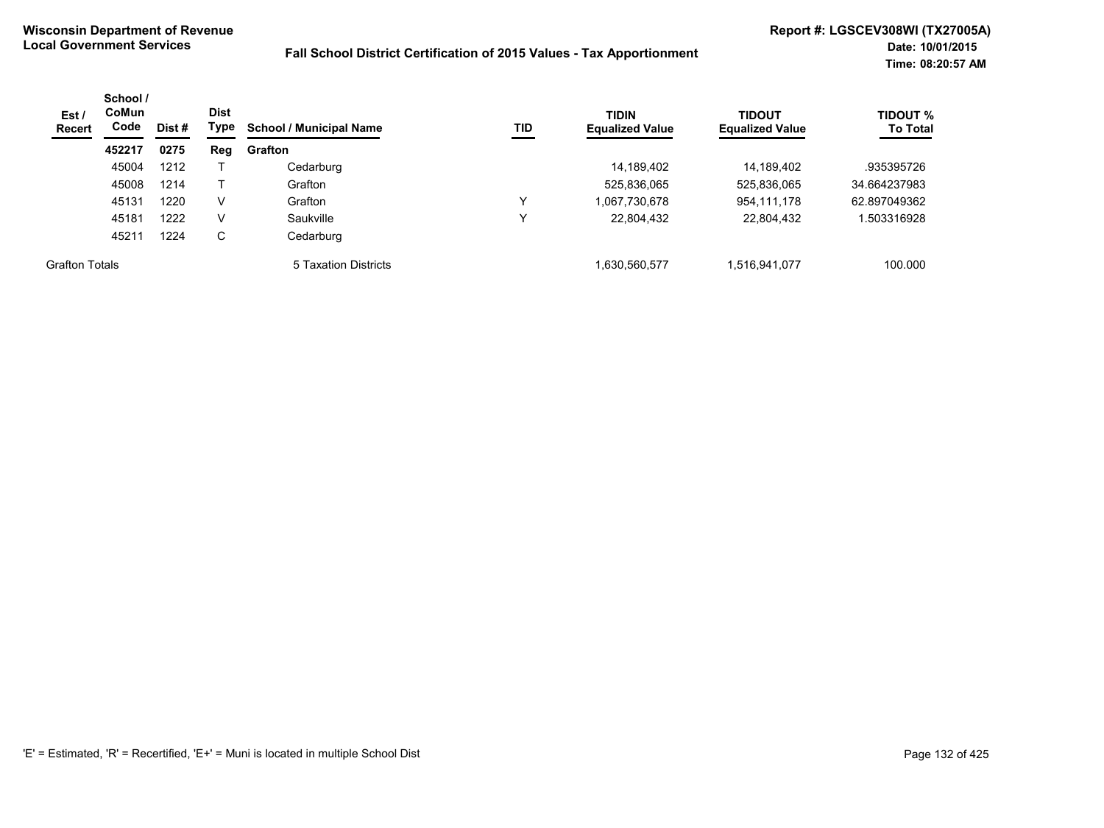| Est/<br><b>Recert</b> | School /<br><b>CoMun</b><br>Code | Dist# | <b>Dist</b><br>Type | TID<br><b>School / Municipal Name</b> | <b>TIDIN</b><br><b>Equalized Value</b> | <b>TIDOUT</b><br><b>Equalized Value</b> | <b>TIDOUT %</b><br><b>To Total</b> |              |
|-----------------------|----------------------------------|-------|---------------------|---------------------------------------|----------------------------------------|-----------------------------------------|------------------------------------|--------------|
|                       | 452217                           | 0275  | Reg                 | Grafton                               |                                        |                                         |                                    |              |
|                       | 45004                            | 1212  |                     | Cedarburg                             |                                        | 14,189,402                              | 14,189,402                         | .935395726   |
|                       | 45008                            | 1214  |                     | Grafton                               |                                        | 525,836,065                             | 525,836,065                        | 34.664237983 |
|                       | 45131                            | 1220  | V                   | Grafton                               |                                        | 1,067,730,678                           | 954,111,178                        | 62.897049362 |
|                       | 45181                            | 1222  | V                   | Saukville                             |                                        | 22,804,432                              | 22,804,432                         | .503316928   |
|                       | 45211                            | 1224  | C                   | Cedarburg                             |                                        |                                         |                                    |              |
| <b>Grafton Totals</b> |                                  |       |                     | 5 Taxation Districts                  |                                        | 1,630,560,577                           | 1,516,941,077                      | 100.000      |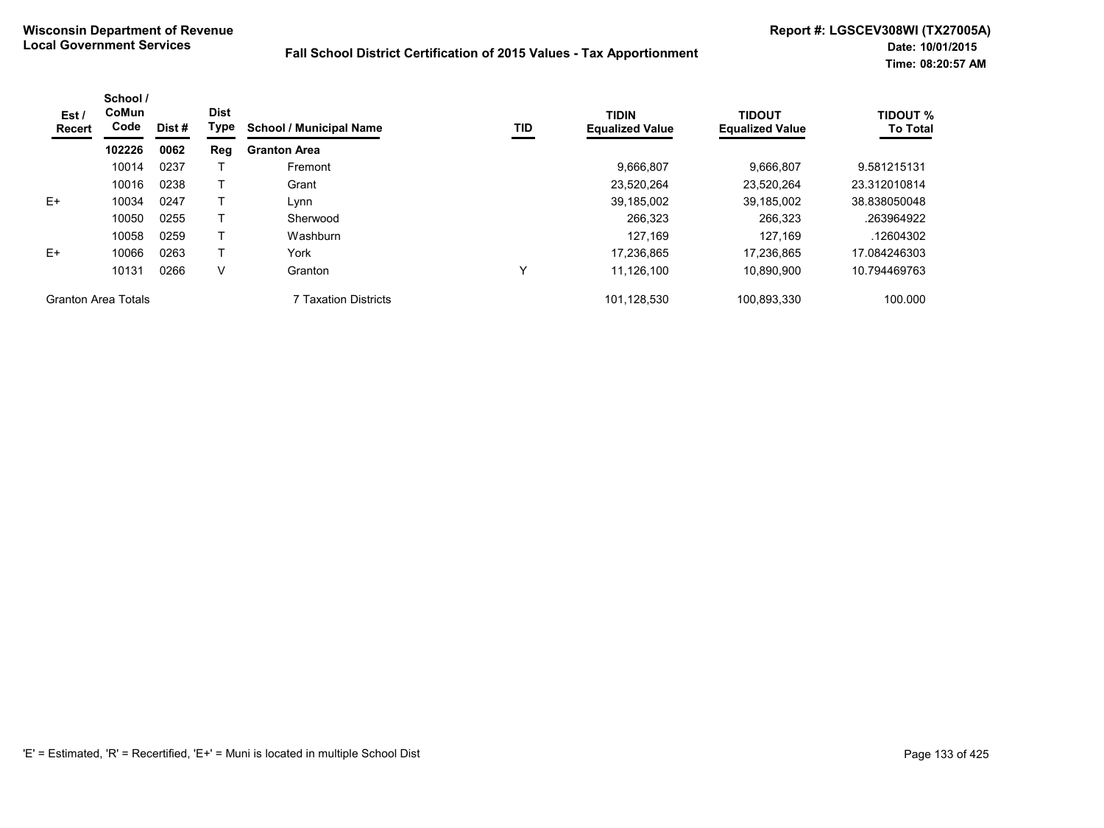| Est /<br><b>Recert</b>     | School /<br>CoMun<br>Code<br>Dist#<br>102226<br>0062 | <b>Dist</b><br>Type | <b>School / Municipal Name</b> | TID                  | <b>TIDIN</b><br><b>Equalized Value</b> | <b>TIDOUT</b><br><b>Equalized Value</b> | <b>TIDOUT %</b><br><b>To Total</b> |              |
|----------------------------|------------------------------------------------------|---------------------|--------------------------------|----------------------|----------------------------------------|-----------------------------------------|------------------------------------|--------------|
|                            |                                                      |                     | Reg                            | <b>Granton Area</b>  |                                        |                                         |                                    |              |
|                            | 10014                                                | 0237                |                                | Fremont              |                                        | 9.666.807                               | 9.666.807                          | 9.581215131  |
|                            | 10016                                                | 0238                |                                | Grant                |                                        | 23,520,264                              | 23.520.264                         | 23.312010814 |
| $E+$                       | 10034                                                | 0247                |                                | Lynn                 |                                        | 39,185,002                              | 39,185,002                         | 38.838050048 |
|                            | 10050                                                | 0255                |                                | Sherwood             |                                        | 266,323                                 | 266.323                            | .263964922   |
|                            | 10058                                                | 0259                |                                | Washburn             |                                        | 127.169                                 | 127,169                            | .12604302    |
| $E+$                       | 10066                                                | 0263                |                                | York                 |                                        | 17.236.865                              | 17.236.865                         | 17.084246303 |
|                            | 10131                                                | 0266                | V                              | Granton              | $\checkmark$                           | 11,126,100                              | 10.890.900                         | 10.794469763 |
| <b>Granton Area Totals</b> |                                                      |                     |                                | 7 Taxation Districts |                                        | 101,128,530                             | 100,893,330                        | 100.000      |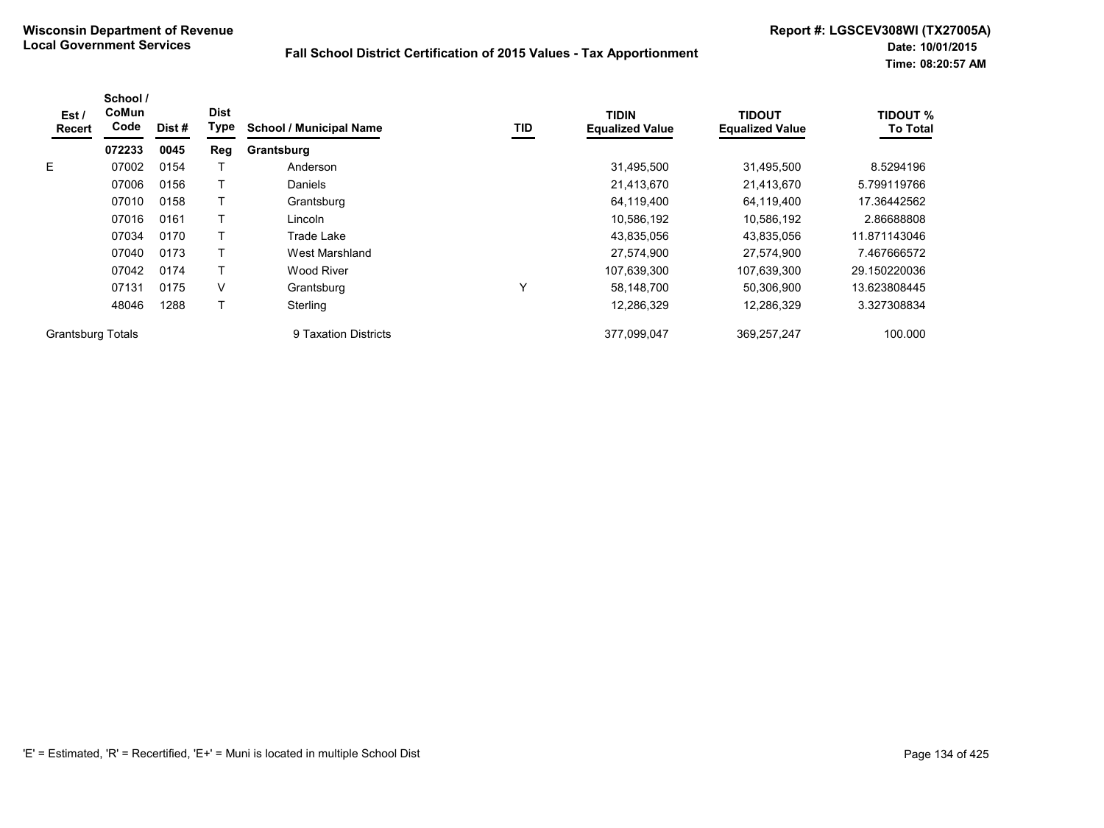| Est /<br><b>Recert</b>   | School /<br>CoMun<br>Code | Dist# | <b>Dist</b><br>Type | <b>School / Municipal Name</b> | TID | <b>TIDIN</b><br><b>Equalized Value</b> | <b>TIDOUT</b><br><b>Equalized Value</b> | <b>TIDOUT %</b><br><b>To Total</b> |
|--------------------------|---------------------------|-------|---------------------|--------------------------------|-----|----------------------------------------|-----------------------------------------|------------------------------------|
|                          | 072233                    | 0045  | Reg                 | Grantsburg                     |     |                                        |                                         |                                    |
| E                        | 07002                     | 0154  |                     | Anderson                       |     | 31,495,500                             | 31,495,500                              | 8.5294196                          |
|                          | 07006                     | 0156  |                     | <b>Daniels</b>                 |     | 21,413,670                             | 21,413,670                              | 5.799119766                        |
|                          | 07010                     | 0158  |                     | Grantsburg                     |     | 64,119,400                             | 64,119,400                              | 17.36442562                        |
|                          | 07016                     | 0161  |                     | Lincoln                        |     | 10,586,192                             | 10,586,192                              | 2.86688808                         |
|                          | 07034                     | 0170  |                     | Trade Lake                     |     | 43,835,056                             | 43,835,056                              | 11.871143046                       |
|                          | 07040                     | 0173  |                     | West Marshland                 |     | 27,574,900                             | 27.574.900                              | 7.467666572                        |
|                          | 07042                     | 0174  |                     | Wood River                     |     | 107,639,300                            | 107,639,300                             | 29.150220036                       |
|                          | 07131                     | 0175  | V                   | Grantsburg                     | Υ   | 58,148,700                             | 50,306,900                              | 13.623808445                       |
|                          | 48046                     | 1288  |                     | Sterling                       |     | 12,286,329                             | 12,286,329                              | 3.327308834                        |
| <b>Grantsburg Totals</b> |                           |       |                     | 9 Taxation Districts           |     | 377,099,047                            | 369,257,247                             | 100.000                            |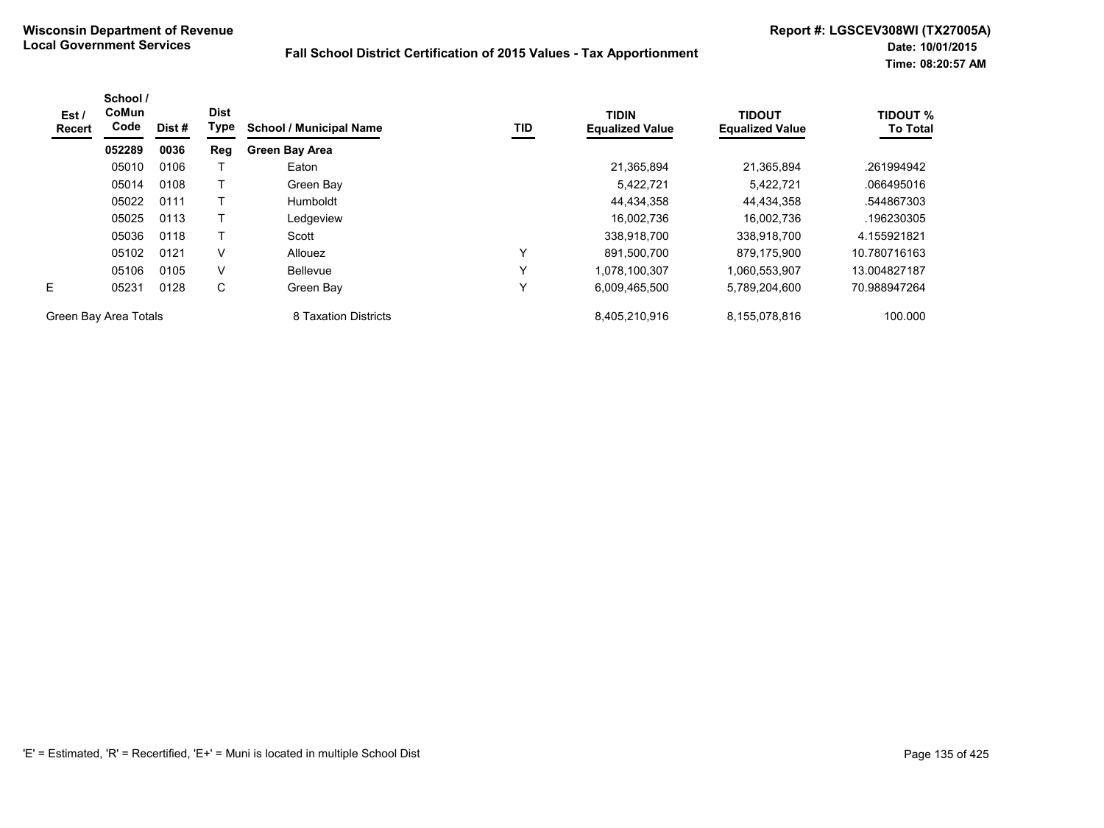| Est /<br><b>Recert</b> | School /<br><b>CoMun</b><br>Code | Dist # | <b>Dist</b><br>Type | <b>School / Municipal Name</b> | TID          | <b>TIDIN</b><br><b>Equalized Value</b> | <b>TIDOUT</b><br><b>Equalized Value</b> | <b>TIDOUT %</b><br><b>To Total</b> |
|------------------------|----------------------------------|--------|---------------------|--------------------------------|--------------|----------------------------------------|-----------------------------------------|------------------------------------|
|                        | 052289                           | 0036   | Reg                 | <b>Green Bay Area</b>          |              |                                        |                                         |                                    |
|                        | 05010                            | 0106   |                     | Eaton                          |              | 21,365,894                             | 21.365.894                              | .261994942                         |
|                        | 05014                            | 0108   |                     | Green Bay                      |              | 5,422,721                              | 5,422,721                               | .066495016                         |
|                        | 05022                            | 0111   |                     | Humboldt                       |              | 44,434,358                             | 44.434.358                              | .544867303                         |
|                        | 05025                            | 0113   |                     | Ledgeview                      |              | 16,002,736                             | 16.002.736                              | .196230305                         |
|                        | 05036                            | 0118   |                     | Scott                          |              | 338,918,700                            | 338,918,700                             | 4.155921821                        |
|                        | 05102                            | 0121   | V                   | Allouez                        | Υ            | 891.500.700                            | 879.175.900                             | 10.780716163                       |
|                        | 05106                            | 0105   | V                   | <b>Bellevue</b>                | $\checkmark$ | 1.078.100.307                          | 1,060,553,907                           | 13.004827187                       |
| E                      | 05231                            | 0128   | С                   | Green Bay                      | Υ            | 6,009,465,500                          | 5,789,204,600                           | 70.988947264                       |
| Green Bay Area Totals  |                                  |        |                     | 8 Taxation Districts           |              | 8,405,210,916                          | 8,155,078,816                           | 100.000                            |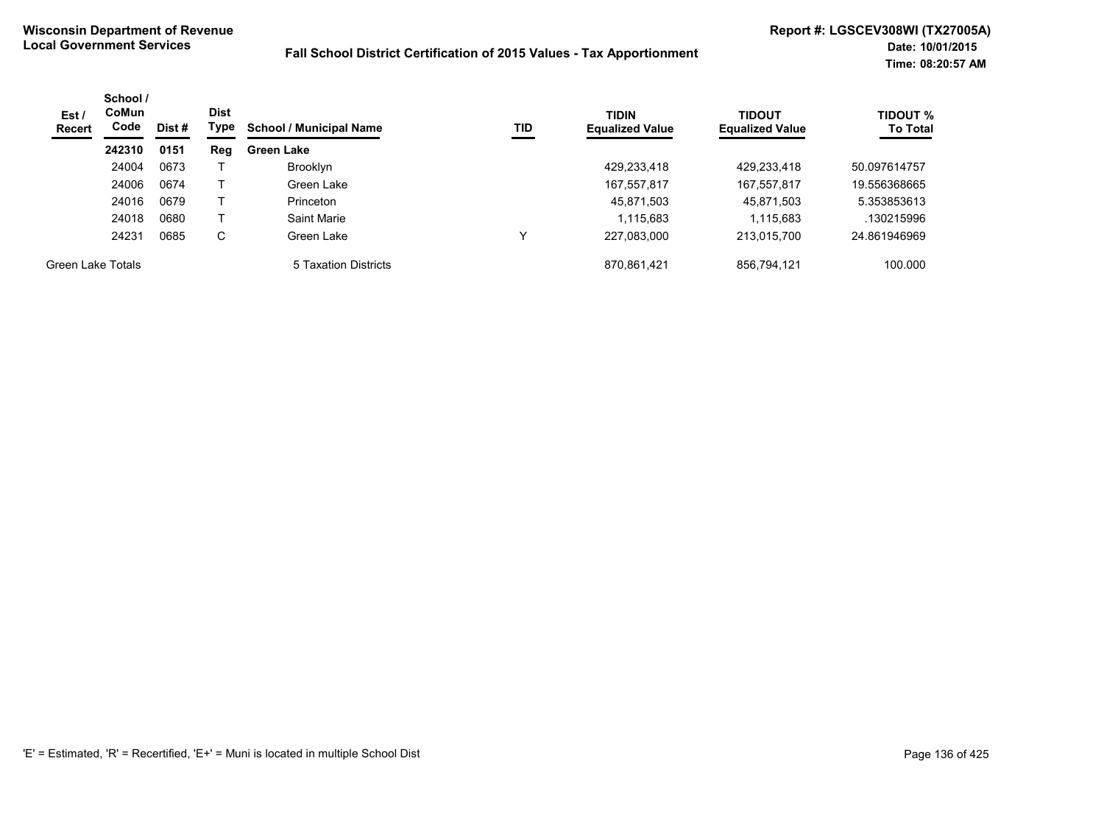| Est/<br>Recert    | School /<br><b>CoMun</b><br>Code | Dist# | <b>Dist</b><br>Type | TID<br><b>School / Municipal Name</b> | <b>TIDIN</b><br><b>Equalized Value</b> | <b>TIDOUT</b><br><b>Equalized Value</b> | <b>TIDOUT %</b><br><b>To Total</b> |              |
|-------------------|----------------------------------|-------|---------------------|---------------------------------------|----------------------------------------|-----------------------------------------|------------------------------------|--------------|
|                   | 242310                           | 0151  | Reg                 | <b>Green Lake</b>                     |                                        |                                         |                                    |              |
|                   | 24004                            | 0673  |                     | <b>Brooklyn</b>                       |                                        | 429,233,418                             | 429,233,418                        | 50.097614757 |
|                   | 24006                            | 0674  |                     | Green Lake                            |                                        | 167,557,817                             | 167,557,817                        | 19.556368665 |
|                   | 24016                            | 0679  |                     | Princeton                             |                                        | 45,871,503                              | 45,871,503                         | 5.353853613  |
|                   | 24018                            | 0680  |                     | Saint Marie                           |                                        | 1,115,683                               | 1,115,683                          | .130215996   |
|                   | 24231                            | 0685  | C                   | Green Lake                            |                                        | 227,083,000                             | 213,015,700                        | 24.861946969 |
| Green Lake Totals |                                  |       |                     | 5 Taxation Districts                  |                                        | 870,861,421                             | 856.794.121                        | 100.000      |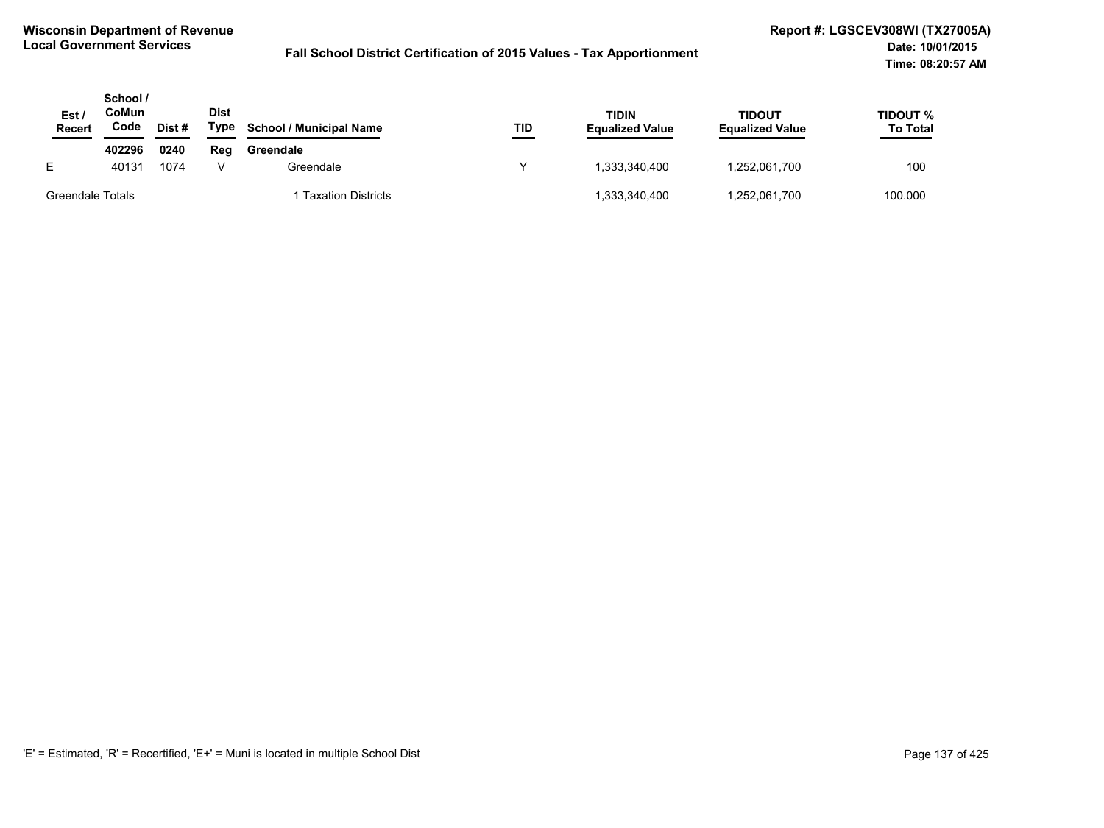| Est<br><b>Recert</b> | School /<br>CoMun<br>Code | Dist# | <b>Dist</b><br>Type | <b>School / Municipal Name</b> | TID | TIDIN<br><b>Equalized Value</b> | <b>TIDOUT</b><br><b>Equalized Value</b> | TIDOUT %<br><b>To Total</b> |
|----------------------|---------------------------|-------|---------------------|--------------------------------|-----|---------------------------------|-----------------------------------------|-----------------------------|
|                      | 402296                    | 0240  | Reg                 | Greendale                      |     |                                 |                                         |                             |
| E.                   | 40131                     | 1074  |                     | Greendale                      |     | 1.333.340.400                   | 1,252,061,700                           | 100                         |
| Greendale Totals     |                           |       |                     | <b>Taxation Districts</b>      |     | 1,333,340,400                   | 1,252,061,700                           | 100.000                     |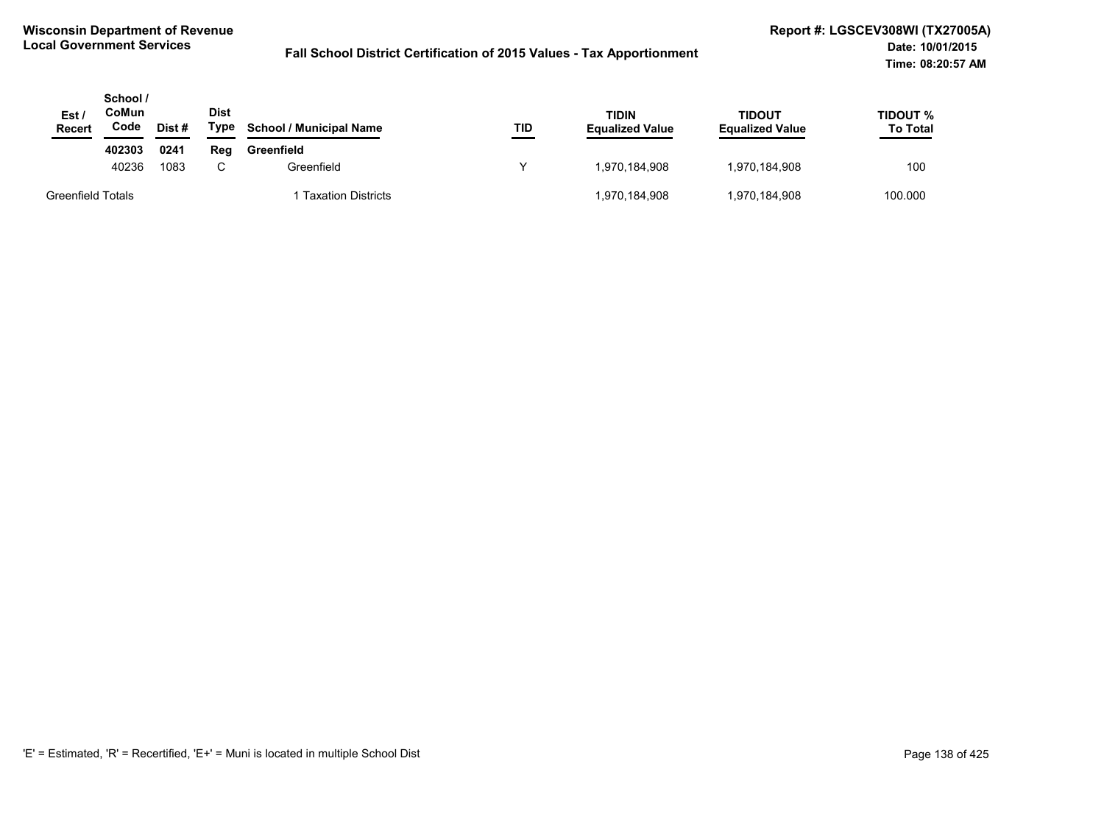| Est/<br><b>Recert</b>    | School /<br>CoMun<br>Code | Dist# | <b>Dist</b><br>Type | <b>School / Municipal Name</b> | TID | TIDIN<br><b>Equalized Value</b> | <b>TIDOUT</b><br><b>Equalized Value</b> | TIDOUT %<br><b>To Total</b> |
|--------------------------|---------------------------|-------|---------------------|--------------------------------|-----|---------------------------------|-----------------------------------------|-----------------------------|
|                          | 402303                    | 0241  | Reg                 | Greenfield                     |     |                                 |                                         |                             |
|                          | 40236                     | 1083  | ⌒                   | Greenfield                     |     | 1.970.184.908                   | 1,970,184,908                           | 100                         |
| <b>Greenfield Totals</b> |                           |       |                     | <b>Taxation Districts</b>      |     | 1,970,184,908                   | 1,970,184,908                           | 100.000                     |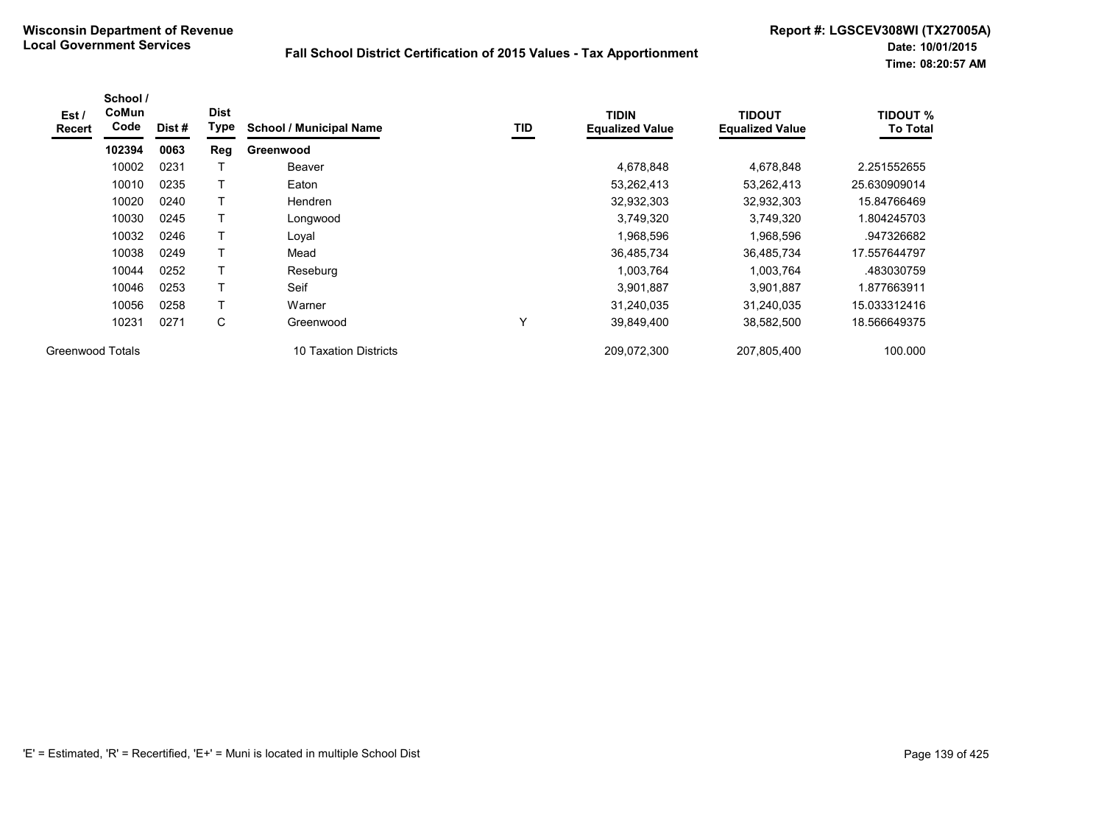| Est/<br><b>Recert</b>   | School /<br>CoMun<br>Code | Dist# | <b>Dist</b><br>Type | <b>School / Municipal Name</b> | TID | <b>TIDIN</b><br><b>Equalized Value</b> | <b>TIDOUT</b><br><b>Equalized Value</b> | <b>TIDOUT %</b><br><b>To Total</b> |
|-------------------------|---------------------------|-------|---------------------|--------------------------------|-----|----------------------------------------|-----------------------------------------|------------------------------------|
|                         | 102394                    | 0063  | Reg                 | Greenwood                      |     |                                        |                                         |                                    |
|                         | 10002                     | 0231  |                     | Beaver                         |     | 4,678,848                              | 4,678,848                               | 2.251552655                        |
|                         | 10010                     | 0235  | т                   | Eaton                          |     | 53,262,413                             | 53,262,413                              | 25.630909014                       |
|                         | 10020                     | 0240  | T                   | <b>Hendren</b>                 |     | 32,932,303                             | 32,932,303                              | 15.84766469                        |
|                         | 10030                     | 0245  | Τ                   | Longwood                       |     | 3,749,320                              | 3,749,320                               | .804245703                         |
|                         | 10032                     | 0246  | т                   | Loyal                          |     | 1,968,596                              | 1,968,596                               | .947326682                         |
|                         | 10038                     | 0249  | т                   | Mead                           |     | 36,485,734                             | 36,485,734                              | 17.557644797                       |
|                         | 10044                     | 0252  | Т                   | Reseburg                       |     | 1,003,764                              | 1,003,764                               | .483030759                         |
|                         | 10046                     | 0253  | T                   | Seif                           |     | 3,901,887                              | 3,901,887                               | .877663911                         |
|                         | 10056                     | 0258  | Τ                   | Warner                         |     | 31,240,035                             | 31,240,035                              | 15.033312416                       |
|                         | 10231                     | 0271  | C                   | Greenwood                      | Y   | 39,849,400                             | 38,582,500                              | 18.566649375                       |
| <b>Greenwood Totals</b> |                           |       |                     | 10 Taxation Districts          |     | 209,072,300                            | 207,805,400                             | 100.000                            |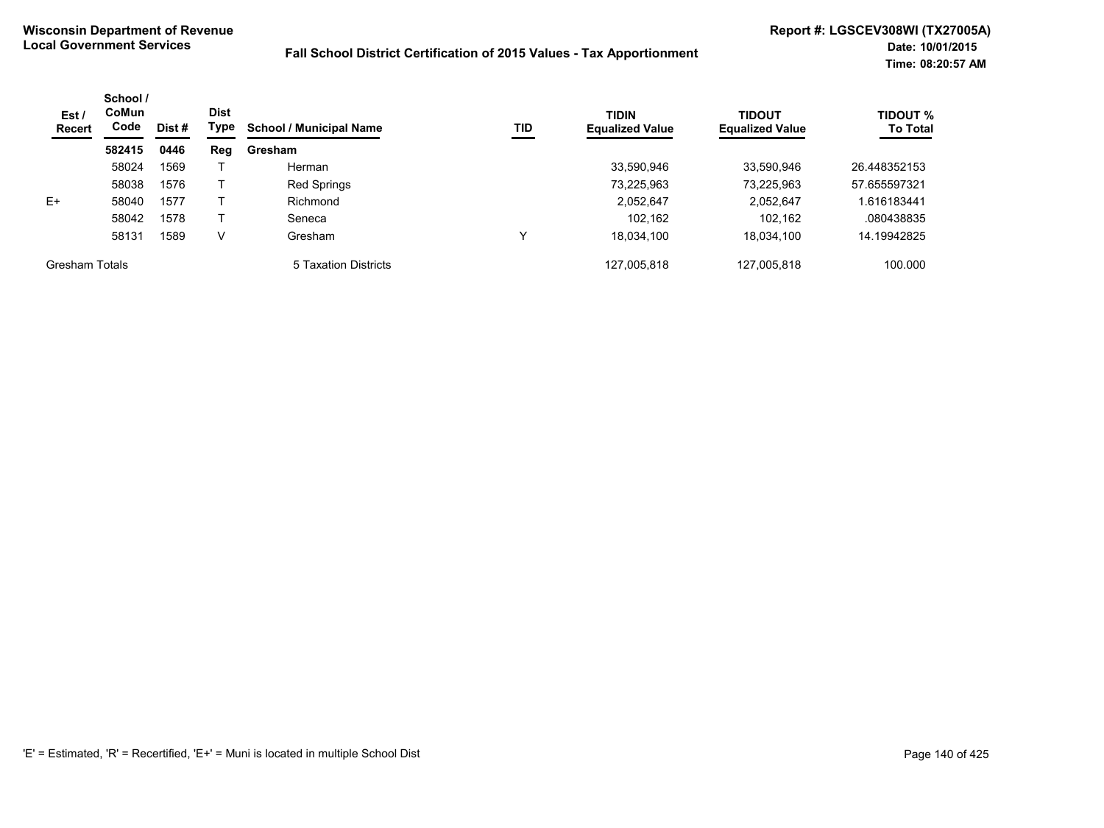| Est/<br>Recert        | School /<br><b>CoMun</b><br>Code | Dist # | <b>Dist</b><br>Type | <b>School / Municipal Name</b> | TID | <b>TIDIN</b><br><b>Equalized Value</b> | TIDOUT<br><b>Equalized Value</b> | <b>TIDOUT %</b><br><b>To Total</b> |
|-----------------------|----------------------------------|--------|---------------------|--------------------------------|-----|----------------------------------------|----------------------------------|------------------------------------|
|                       | 582415                           | 0446   | Reg                 | Gresham                        |     |                                        |                                  |                                    |
|                       | 58024                            | 1569   |                     | Herman                         |     | 33,590,946                             | 33,590,946                       | 26.448352153                       |
|                       | 58038                            | 1576   |                     | <b>Red Springs</b>             |     | 73,225,963                             | 73,225,963                       | 57.655597321                       |
| $E+$                  | 58040                            | 1577   |                     | Richmond                       |     | 2,052,647                              | 2,052,647                        | .616183441                         |
|                       | 58042                            | 1578   |                     | Seneca                         |     | 102.162                                | 102,162                          | .080438835                         |
|                       | 58131                            | 1589   | V                   | Gresham                        | ν   | 18,034,100                             | 18,034,100                       | 14.19942825                        |
| <b>Gresham Totals</b> |                                  |        |                     | 5 Taxation Districts           |     | 127,005,818                            | 127.005.818                      | 100.000                            |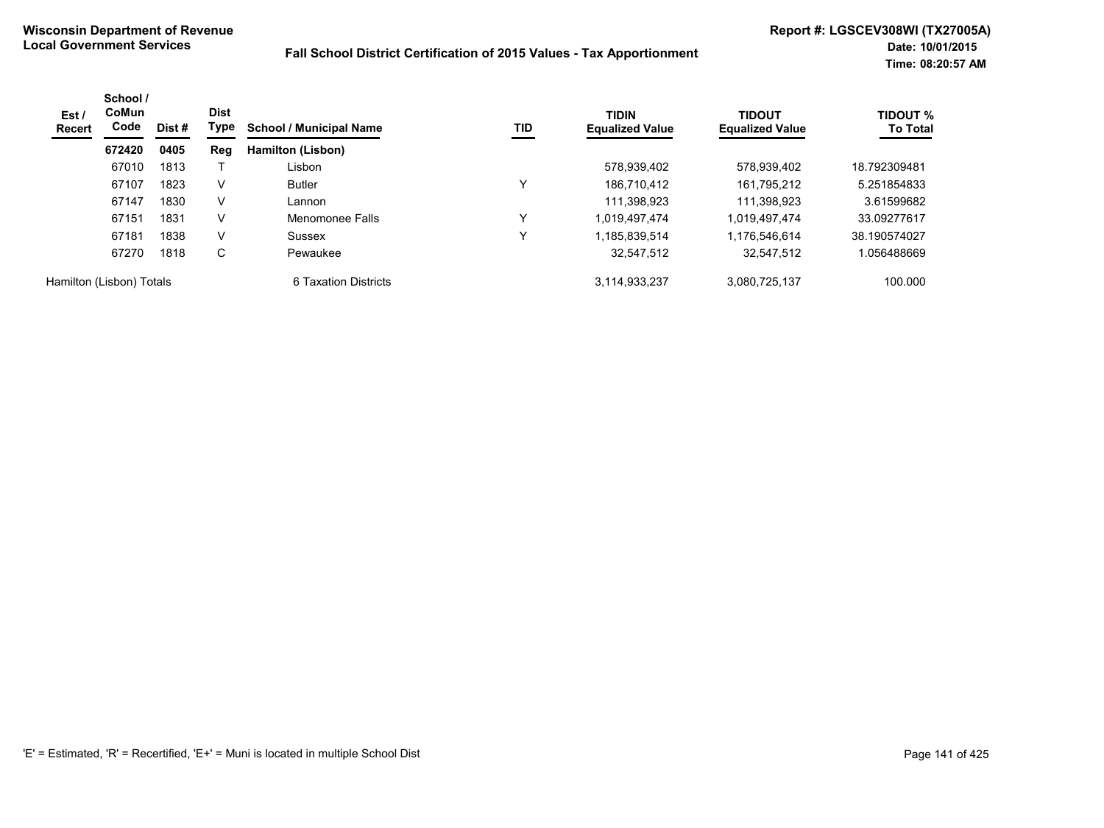| Est /<br><b>Recert</b>   | School /<br><b>CoMun</b><br>Code | <b>Dist</b><br>Dist #<br>0405 | Type | TID<br><b>School / Municipal Name</b> |              | <b>TIDIN</b><br><b>Equalized Value</b> | <b>TIDOUT</b><br><b>Equalized Value</b> | <b>TIDOUT %</b><br><b>To Total</b> |
|--------------------------|----------------------------------|-------------------------------|------|---------------------------------------|--------------|----------------------------------------|-----------------------------------------|------------------------------------|
|                          | 672420                           |                               | Reg  | Hamilton (Lisbon)                     |              |                                        |                                         |                                    |
|                          | 67010                            | 1813                          |      | Lisbon                                |              | 578,939,402                            | 578,939,402                             | 18.792309481                       |
|                          | 67107                            | 1823                          | V    | <b>Butler</b>                         |              | 186,710,412                            | 161,795,212                             | 5.251854833                        |
|                          | 67147                            | 1830                          | V    | Lannon                                |              | 111.398.923                            | 111.398.923                             | 3.61599682                         |
|                          | 67151                            | 1831                          | V    | Menomonee Falls                       | $\checkmark$ | 1.019.497.474                          | 1.019.497.474                           | 33.09277617                        |
|                          | 67181                            | 1838                          | V    | Sussex                                |              | 1,185,839,514                          | 1,176,546,614                           | 38.190574027                       |
|                          | 67270                            | 1818                          | С    | Pewaukee                              |              | 32,547,512                             | 32,547,512                              | .056488669                         |
| Hamilton (Lisbon) Totals |                                  |                               |      | 6 Taxation Districts                  |              | 3,114,933,237                          | 3,080,725,137                           | 100.000                            |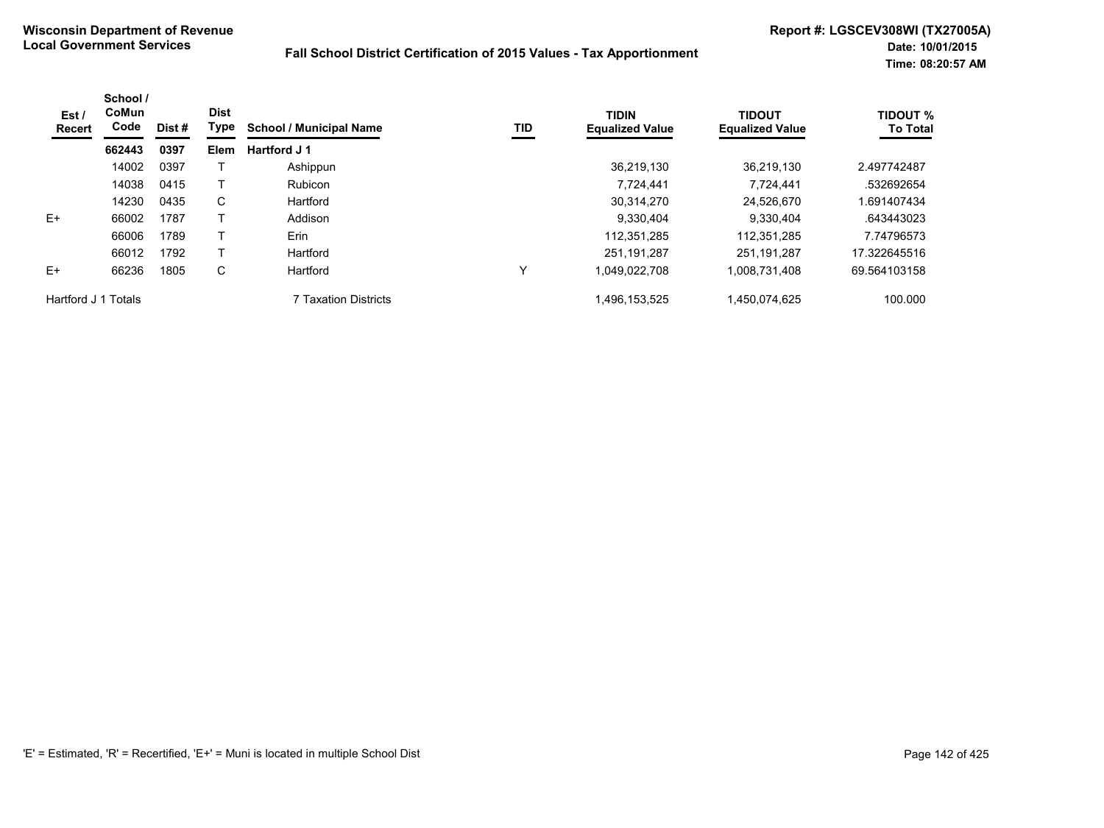| Est /<br>Recert     | School /<br><b>CoMun</b><br>Code | Dist # | <b>Dist</b><br>Type | <b>School / Municipal Name</b> | TID | <b>TIDIN</b><br><b>Equalized Value</b> | <b>TIDOUT</b><br><b>Equalized Value</b> | <b>TIDOUT %</b><br><b>To Total</b> |
|---------------------|----------------------------------|--------|---------------------|--------------------------------|-----|----------------------------------------|-----------------------------------------|------------------------------------|
|                     | 662443                           | 0397   | Elem                | Hartford J 1                   |     |                                        |                                         |                                    |
|                     | 14002                            | 0397   |                     | Ashippun                       |     | 36.219.130                             | 36.219.130                              | 2.497742487                        |
|                     | 14038                            | 0415   |                     | Rubicon                        |     | 7,724,441                              | 7.724.441                               | .532692654                         |
|                     | 14230                            | 0435   | C                   | Hartford                       |     | 30,314,270                             | 24.526.670                              | 1.691407434                        |
| E+                  | 66002                            | 1787   |                     | Addison                        |     | 9,330,404                              | 9,330,404                               | .643443023                         |
|                     | 66006                            | 1789   |                     | Erin                           |     | 112,351,285                            | 112,351,285                             | 7.74796573                         |
|                     | 66012                            | 1792   |                     | Hartford                       |     | 251.191.287                            | 251.191.287                             | 17.322645516                       |
| $E+$                | 66236                            | 1805   | C                   | Hartford                       | ↘   | 1,049,022,708                          | 1,008,731,408                           | 69.564103158                       |
| Hartford J 1 Totals |                                  |        |                     | 7 Taxation Districts           |     | 496,153,525,                           | 1,450,074,625                           | 100.000                            |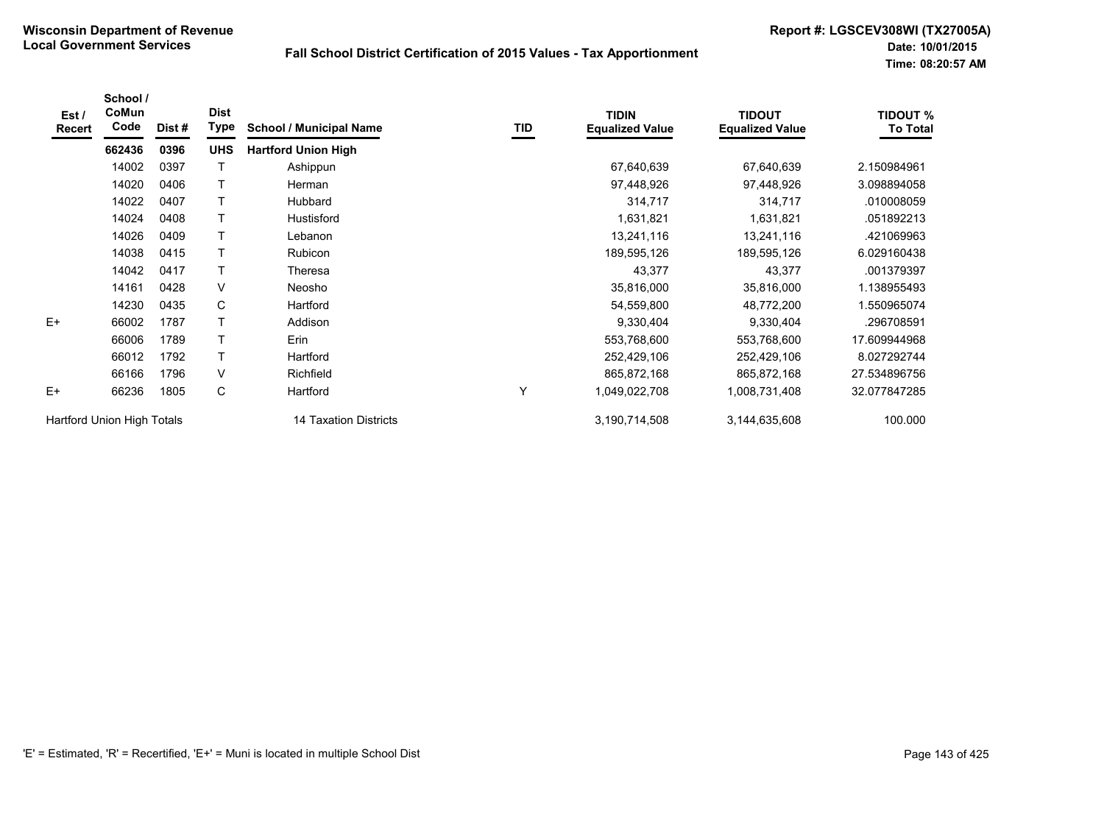| Est /<br>Recert            | School /<br>CoMun<br>Code | Dist# | <b>Dist</b><br><b>Type</b> | <b>School / Municipal Name</b> | TID | <b>TIDIN</b><br><b>Equalized Value</b> | <b>TIDOUT</b><br><b>Equalized Value</b> | <b>TIDOUT %</b><br><b>To Total</b> |
|----------------------------|---------------------------|-------|----------------------------|--------------------------------|-----|----------------------------------------|-----------------------------------------|------------------------------------|
|                            | 662436                    | 0396  | <b>UHS</b>                 | <b>Hartford Union High</b>     |     |                                        |                                         |                                    |
|                            | 14002                     | 0397  |                            | Ashippun                       |     | 67,640,639                             | 67,640,639                              | 2.150984961                        |
|                            | 14020                     | 0406  |                            | Herman                         |     | 97,448,926                             | 97,448,926                              | 3.098894058                        |
|                            | 14022                     | 0407  |                            | <b>Hubbard</b>                 |     | 314,717                                | 314,717                                 | .010008059                         |
|                            | 14024                     | 0408  |                            | Hustisford                     |     | 1,631,821                              | 1,631,821                               | .051892213                         |
|                            | 14026                     | 0409  |                            | Lebanon                        |     | 13,241,116                             | 13,241,116                              | .421069963                         |
|                            | 14038                     | 0415  |                            | Rubicon                        |     | 189,595,126                            | 189,595,126                             | 6.029160438                        |
|                            | 14042                     | 0417  |                            | Theresa                        |     | 43,377                                 | 43,377                                  | .001379397                         |
|                            | 14161                     | 0428  | V                          | Neosho                         |     | 35,816,000                             | 35,816,000                              | 1.138955493                        |
|                            | 14230                     | 0435  | C                          | Hartford                       |     | 54,559,800                             | 48,772,200                              | 1.550965074                        |
| $E+$                       | 66002                     | 1787  | $\mathsf{T}$               | Addison                        |     | 9,330,404                              | 9,330,404                               | .296708591                         |
|                            | 66006                     | 1789  |                            | <b>Erin</b>                    |     | 553,768,600                            | 553,768,600                             | 17.609944968                       |
|                            | 66012                     | 1792  |                            | Hartford                       |     | 252,429,106                            | 252,429,106                             | 8.027292744                        |
|                            | 66166                     | 1796  | V                          | Richfield                      |     | 865,872,168                            | 865,872,168                             | 27.534896756                       |
| $E+$                       | 66236                     | 1805  | С                          | Hartford                       | Y   | 1,049,022,708                          | 1,008,731,408                           | 32.077847285                       |
| Hartford Union High Totals |                           |       |                            | 14 Taxation Districts          |     | 3,190,714,508                          | 3,144,635,608                           | 100.000                            |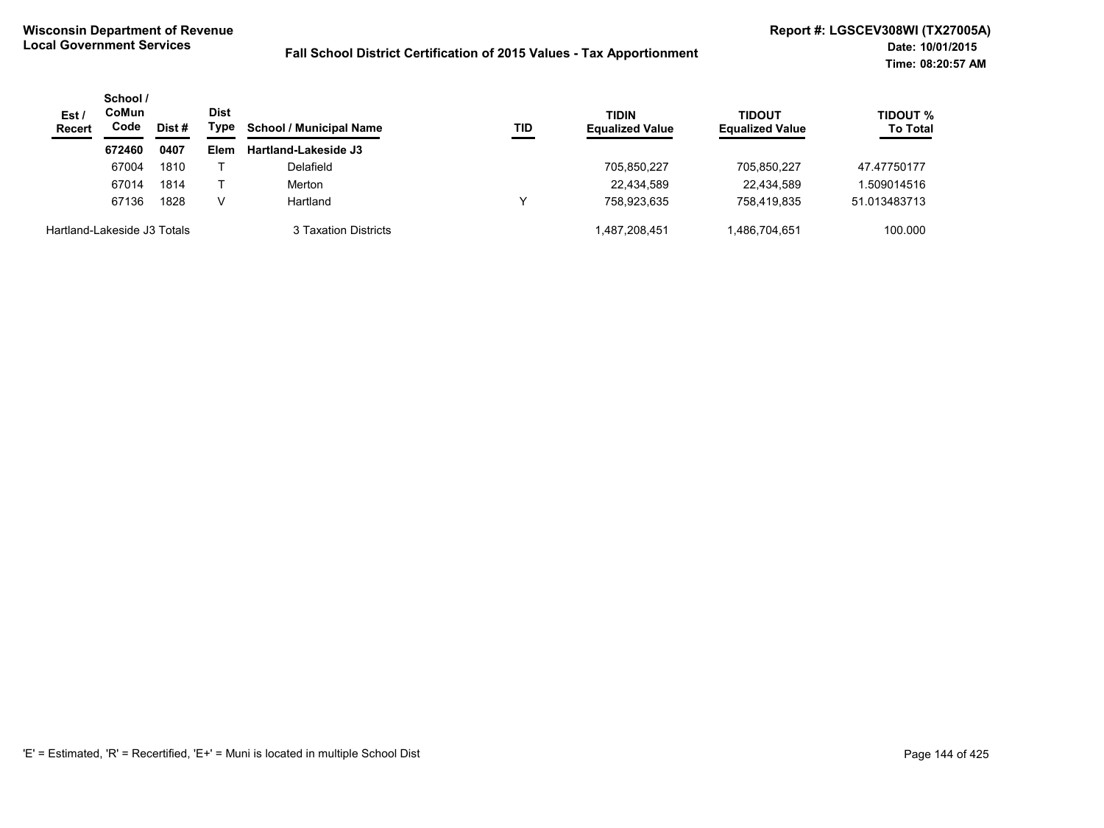| Est/<br><b>Recert</b>       | School /<br>CoMun<br>Code | Dist # | <b>Dist</b><br>Type | <b>School / Municipal Name</b> | TID | <b>TIDIN</b><br><b>Equalized Value</b> | TIDOUT<br><b>Equalized Value</b> | <b>TIDOUT %</b><br><b>To Total</b> |
|-----------------------------|---------------------------|--------|---------------------|--------------------------------|-----|----------------------------------------|----------------------------------|------------------------------------|
|                             | 672460                    | 0407   | Elem                | <b>Hartland-Lakeside J3</b>    |     |                                        |                                  |                                    |
|                             | 67004                     | 1810   |                     | Delafield                      |     | 705,850,227                            | 705,850,227                      | 47.47750177                        |
|                             | 67014                     | 1814   |                     | Merton                         |     | 22,434,589                             | 22.434.589                       | 1.509014516                        |
|                             | 67136                     | 1828   | v                   | Hartland                       |     | 758.923.635                            | 758.419.835                      | 51.013483713                       |
| Hartland-Lakeside J3 Totals |                           |        |                     | 3 Taxation Districts           |     | 1,487,208,451                          | 1,486,704,651                    | 100.000                            |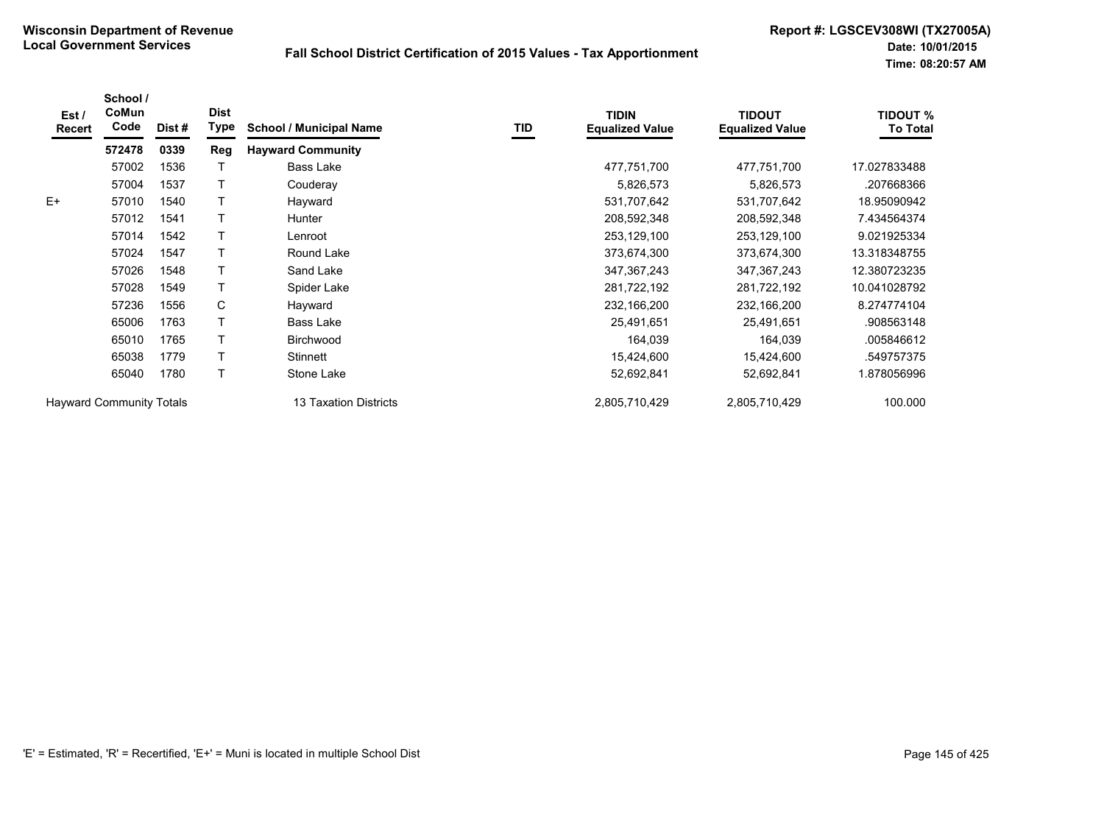| Est /<br>Recert | School /<br>CoMun<br>Code       | Dist # | <b>Dist</b><br>Type | <b>School / Municipal Name</b> | TID | <b>TIDIN</b><br><b>Equalized Value</b> | <b>TIDOUT</b><br><b>Equalized Value</b> | <b>TIDOUT %</b><br><b>To Total</b> |
|-----------------|---------------------------------|--------|---------------------|--------------------------------|-----|----------------------------------------|-----------------------------------------|------------------------------------|
|                 | 572478                          | 0339   | Reg                 | <b>Hayward Community</b>       |     |                                        |                                         |                                    |
|                 | 57002                           | 1536   |                     | <b>Bass Lake</b>               |     | 477,751,700                            | 477,751,700                             | 17.027833488                       |
|                 | 57004                           | 1537   |                     | Couderay                       |     | 5,826,573                              | 5,826,573                               | .207668366                         |
| $E+$            | 57010                           | 1540   |                     | Hayward                        |     | 531,707,642                            | 531,707,642                             | 18.95090942                        |
|                 | 57012                           | 1541   |                     | <b>Hunter</b>                  |     | 208,592,348                            | 208,592,348                             | 7.434564374                        |
|                 | 57014                           | 1542   |                     | Lenroot                        |     | 253,129,100                            | 253,129,100                             | 9.021925334                        |
|                 | 57024                           | 1547   |                     | Round Lake                     |     | 373,674,300                            | 373,674,300                             | 13.318348755                       |
|                 | 57026                           | 1548   |                     | Sand Lake                      |     | 347, 367, 243                          | 347, 367, 243                           | 12.380723235                       |
|                 | 57028                           | 1549   |                     | Spider Lake                    |     | 281,722,192                            | 281,722,192                             | 10.041028792                       |
|                 | 57236                           | 1556   | C                   | Hayward                        |     | 232,166,200                            | 232,166,200                             | 8.274774104                        |
|                 | 65006                           | 1763   |                     | Bass Lake                      |     | 25,491,651                             | 25,491,651                              | .908563148                         |
|                 | 65010                           | 1765   |                     | <b>Birchwood</b>               |     | 164,039                                | 164,039                                 | .005846612                         |
|                 | 65038                           | 1779   |                     | Stinnett                       |     | 15,424,600                             | 15,424,600                              | .549757375                         |
|                 | 65040                           | 1780   |                     | Stone Lake                     |     | 52,692,841                             | 52,692,841                              | 1.878056996                        |
|                 | <b>Hayward Community Totals</b> |        |                     | 13 Taxation Districts          |     | 2,805,710,429                          | 2,805,710,429                           | 100.000                            |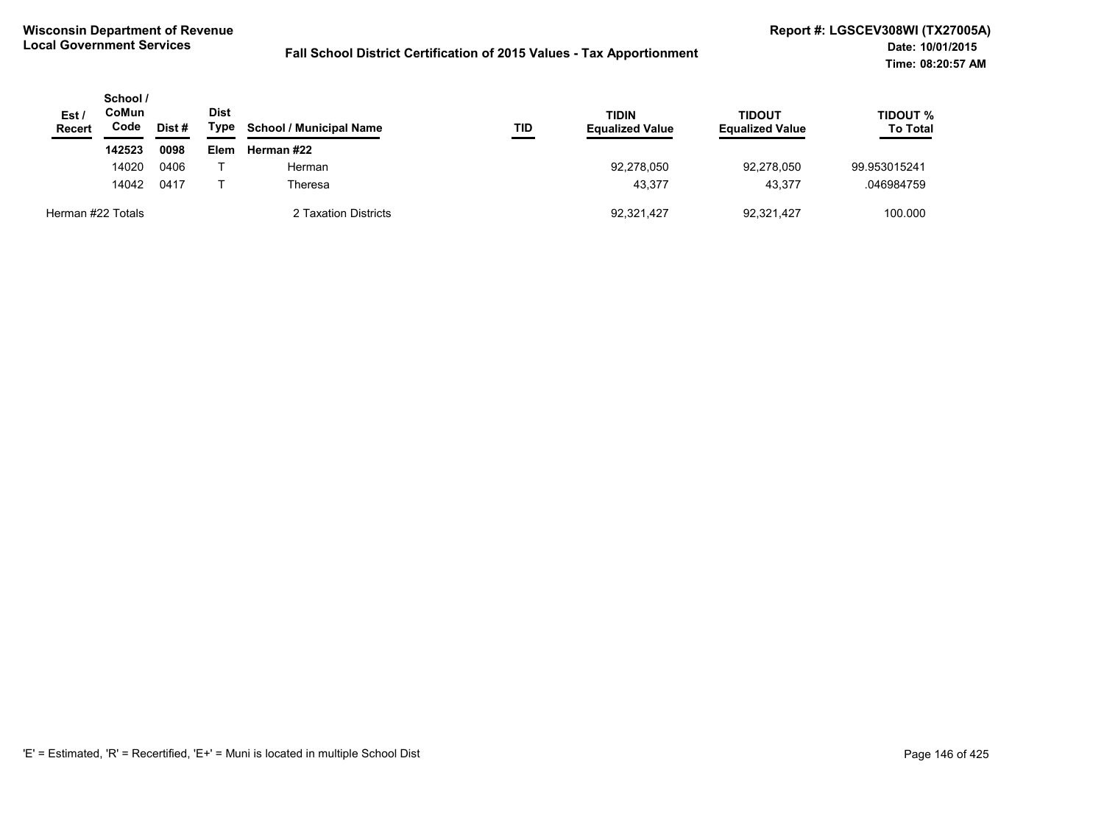| Est /<br><b>Recert</b> | School /<br>CoMun<br>Code<br>Dist # |      | <b>Dist</b><br>Type | <b>School / Municipal Name</b> | TID | <b>TIDIN</b><br><b>Equalized Value</b> | <b>TIDOUT</b><br><b>Equalized Value</b> | TIDOUT %<br><b>To Total</b> |
|------------------------|-------------------------------------|------|---------------------|--------------------------------|-----|----------------------------------------|-----------------------------------------|-----------------------------|
|                        | 142523                              | 0098 | <b>Elem</b>         | Herman #22                     |     |                                        |                                         |                             |
|                        | 14020                               | 0406 |                     | Herman                         |     | 92,278,050                             | 92.278.050                              | 99.953015241                |
|                        | 14042                               | 0417 |                     | Theresa                        |     | 43.377                                 | 43.377                                  | .046984759                  |
| Herman #22 Totals      |                                     |      |                     | 2 Taxation Districts           |     | 92,321,427                             | 92,321,427                              | 100.000                     |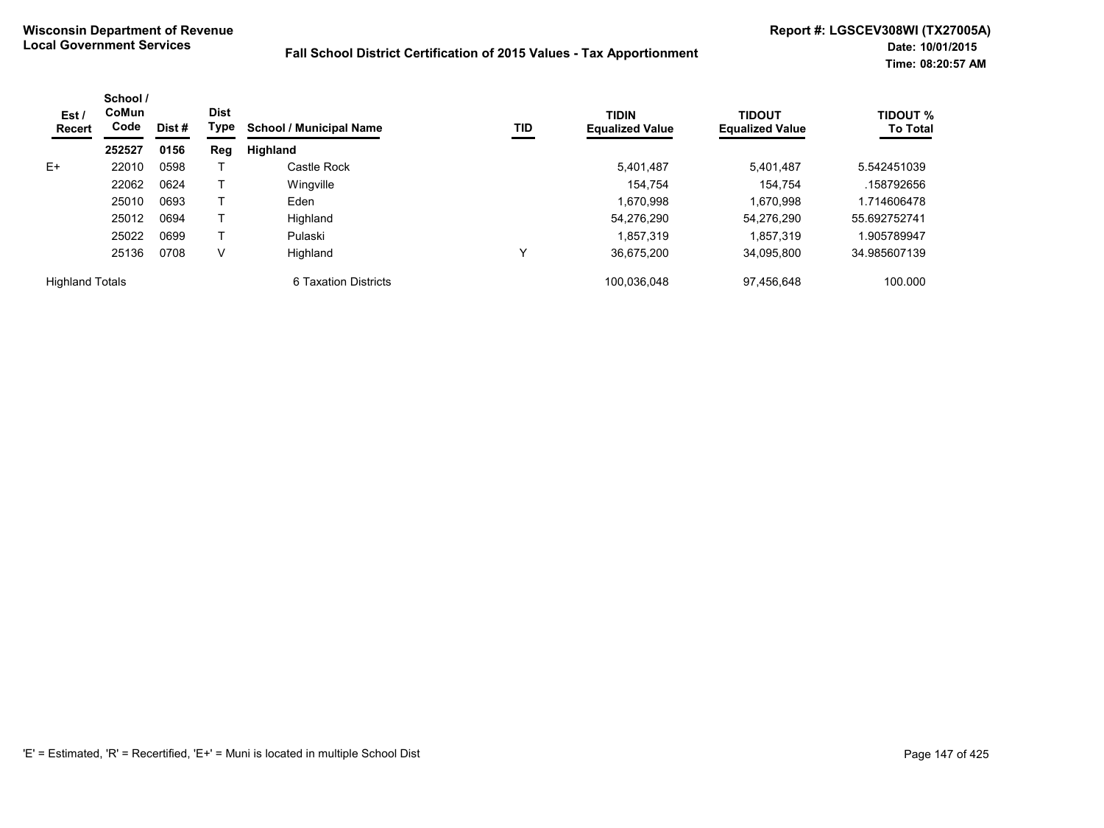| Est/<br>Recert         | School /<br>CoMun<br>Code | Dist # | <b>Dist</b><br>Type | <b>School / Municipal Name</b> | TID          | <b>TIDIN</b><br><b>Equalized Value</b> | TIDOUT<br><b>Equalized Value</b> | <b>TIDOUT %</b><br><b>To Total</b> |
|------------------------|---------------------------|--------|---------------------|--------------------------------|--------------|----------------------------------------|----------------------------------|------------------------------------|
|                        | 252527                    | 0156   | Reg                 | Highland                       |              |                                        |                                  |                                    |
| $E+$                   | 22010                     | 0598   |                     | Castle Rock                    |              | 5.401.487                              | 5.401.487                        | 5.542451039                        |
|                        | 22062                     | 0624   |                     | Wingville                      |              | 154.754                                | 154.754                          | .158792656                         |
|                        | 25010                     | 0693   |                     | Eden                           |              | 1,670,998                              | 1,670,998                        | 1.714606478                        |
|                        | 25012                     | 0694   |                     | Highland                       |              | 54,276,290                             | 54.276.290                       | 55.692752741                       |
|                        | 25022                     | 0699   |                     | Pulaski                        |              | 1.857.319                              | 1.857.319                        | .905789947                         |
|                        | 25136                     | 0708   | V                   | Highland                       | $\checkmark$ | 36.675.200                             | 34.095.800                       | 34.985607139                       |
| <b>Highland Totals</b> |                           |        |                     | 6 Taxation Districts           |              | 100.036.048                            | 97.456.648                       | 100.000                            |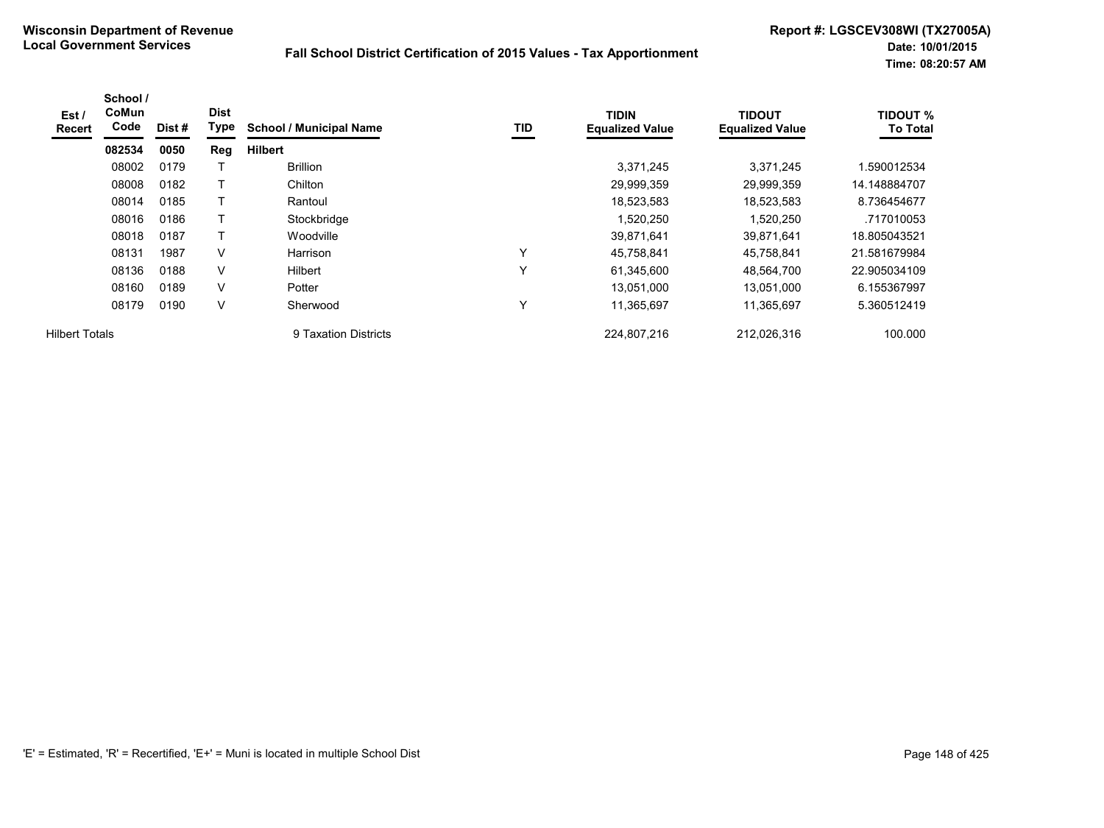| Est /<br><b>Recert</b> | School /<br>CoMun<br>Code | Dist # | <b>Dist</b><br>Type | <b>School / Municipal Name</b> | TID          | <b>TIDIN</b><br><b>Equalized Value</b> | <b>TIDOUT</b><br><b>Equalized Value</b> | <b>TIDOUT %</b><br><b>To Total</b> |
|------------------------|---------------------------|--------|---------------------|--------------------------------|--------------|----------------------------------------|-----------------------------------------|------------------------------------|
|                        | 082534                    | 0050   | Reg                 | <b>Hilbert</b>                 |              |                                        |                                         |                                    |
|                        | 08002                     | 0179   |                     | <b>Brillion</b>                |              | 3,371,245                              | 3,371,245                               | .590012534                         |
|                        | 08008                     | 0182   |                     | Chilton                        |              | 29,999,359                             | 29,999,359                              | 14.148884707                       |
|                        | 08014                     | 0185   | т                   | Rantoul                        |              | 18,523,583                             | 18,523,583                              | 8.736454677                        |
|                        | 08016                     | 0186   |                     | Stockbridge                    |              | 1,520,250                              | 1,520,250                               | .717010053                         |
|                        | 08018                     | 0187   |                     | Woodville                      |              | 39,871,641                             | 39,871,641                              | 18.805043521                       |
|                        | 08131                     | 1987   | V                   | Harrison                       | $\checkmark$ | 45,758,841                             | 45,758,841                              | 21.581679984                       |
|                        | 08136                     | 0188   | V                   | <b>Hilbert</b>                 | $\checkmark$ | 61,345,600                             | 48,564,700                              | 22.905034109                       |
|                        | 08160                     | 0189   | V                   | Potter                         |              | 13,051,000                             | 13,051,000                              | 6.155367997                        |
|                        | 08179                     | 0190   | V                   | Sherwood                       | Y            | 11,365,697                             | 11,365,697                              | 5.360512419                        |
| <b>Hilbert Totals</b>  |                           |        |                     | 9 Taxation Districts           |              | 224,807,216                            | 212,026,316                             | 100.000                            |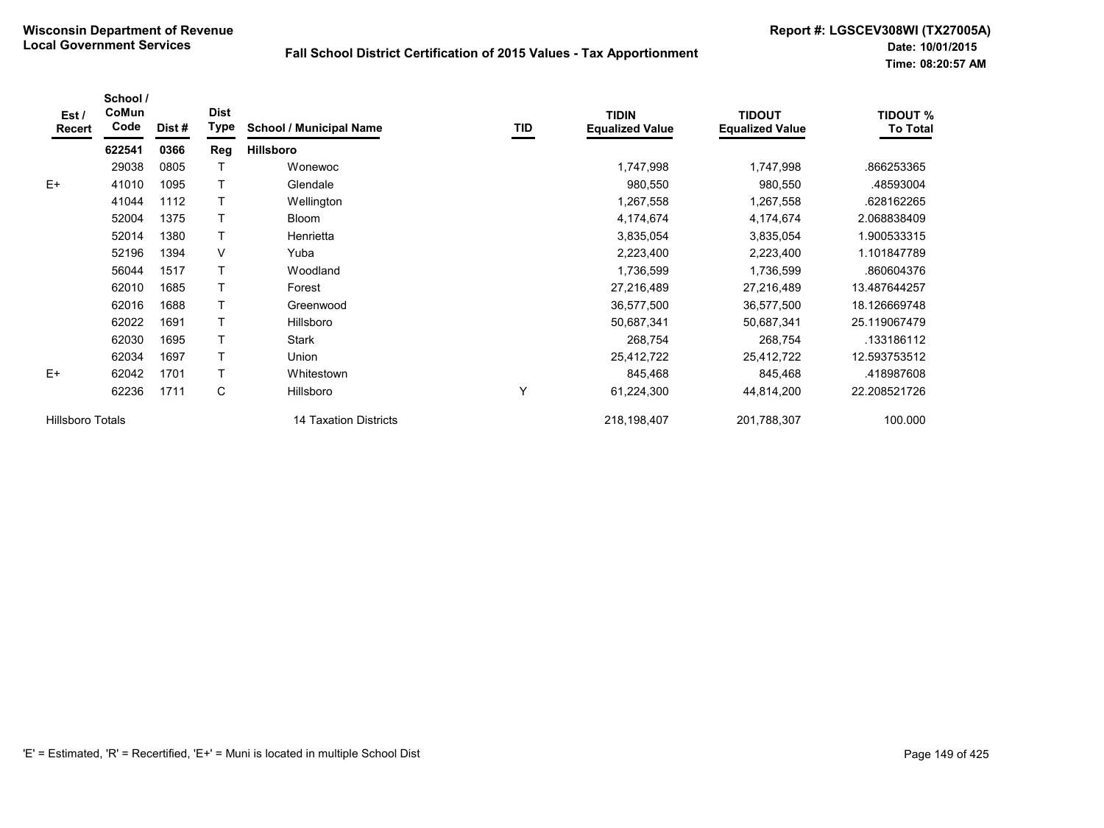| Est/<br><b>Recert</b>   | School /<br>CoMun<br>Code | Dist # | <b>Dist</b><br>Type | <b>School / Municipal Name</b> | TID | <b>TIDIN</b><br><b>Equalized Value</b> | <b>TIDOUT</b><br><b>Equalized Value</b> | <b>TIDOUT %</b><br><b>To Total</b> |
|-------------------------|---------------------------|--------|---------------------|--------------------------------|-----|----------------------------------------|-----------------------------------------|------------------------------------|
|                         | 622541                    | 0366   | Reg                 | <b>Hillsboro</b>               |     |                                        |                                         |                                    |
|                         | 29038                     | 0805   |                     | Wonewoc                        |     | 1,747,998                              | 1,747,998                               | .866253365                         |
| $E+$                    | 41010                     | 1095   |                     | Glendale                       |     | 980,550                                | 980,550                                 | .48593004                          |
|                         | 41044                     | 1112   |                     | Wellington                     |     | 1,267,558                              | 1,267,558                               | .628162265                         |
|                         | 52004                     | 1375   |                     | <b>Bloom</b>                   |     | 4,174,674                              | 4,174,674                               | 2.068838409                        |
|                         | 52014                     | 1380   |                     | Henrietta                      |     | 3,835,054                              | 3,835,054                               | 1.900533315                        |
|                         | 52196                     | 1394   | V                   | Yuba                           |     | 2,223,400                              | 2,223,400                               | 1.101847789                        |
|                         | 56044                     | 1517   |                     | Woodland                       |     | 1,736,599                              | 1,736,599                               | .860604376                         |
|                         | 62010                     | 1685   |                     | Forest                         |     | 27,216,489                             | 27,216,489                              | 13.487644257                       |
|                         | 62016                     | 1688   |                     | Greenwood                      |     | 36,577,500                             | 36,577,500                              | 18.126669748                       |
|                         | 62022                     | 1691   |                     | Hillsboro                      |     | 50,687,341                             | 50,687,341                              | 25.119067479                       |
|                         | 62030                     | 1695   |                     | <b>Stark</b>                   |     | 268,754                                | 268,754                                 | .133186112                         |
|                         | 62034                     | 1697   |                     | Union                          |     | 25,412,722                             | 25,412,722                              | 12.593753512                       |
| $E+$                    | 62042                     | 1701   |                     | Whitestown                     |     | 845,468                                | 845,468                                 | .418987608                         |
|                         | 62236                     | 1711   | С                   | Hillsboro                      | Y   | 61,224,300                             | 44,814,200                              | 22.208521726                       |
| <b>Hillsboro Totals</b> |                           |        |                     | 14 Taxation Districts          |     | 218,198,407                            | 201,788,307                             | 100.000                            |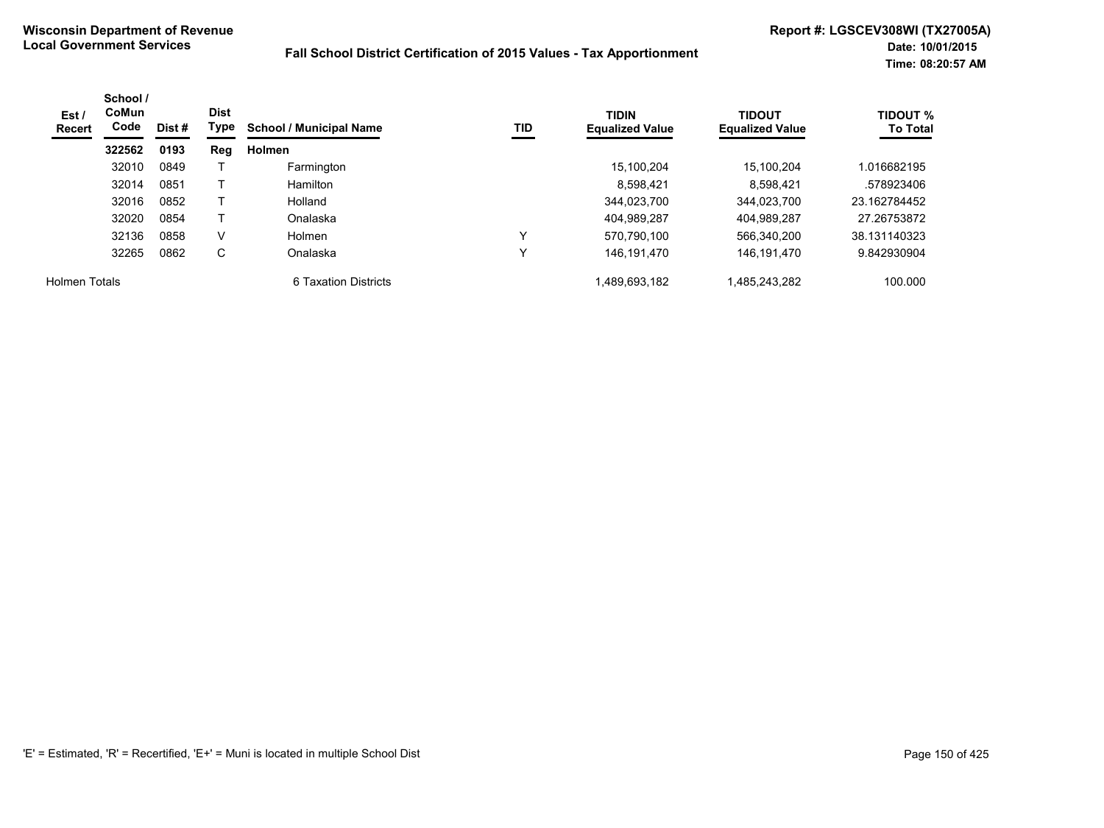| Est /<br>Recert | School /<br>CoMun<br>Code | Dist #<br>0193 | <b>Dist</b><br>Type | <b>School / Municipal Name</b> | TID | <b>TIDIN</b><br><b>Equalized Value</b> | <b>TIDOUT</b><br><b>Equalized Value</b> | <b>TIDOUT %</b><br><b>To Total</b> |
|-----------------|---------------------------|----------------|---------------------|--------------------------------|-----|----------------------------------------|-----------------------------------------|------------------------------------|
|                 | 322562                    |                | Reg                 | <b>Holmen</b>                  |     |                                        |                                         |                                    |
|                 | 32010                     | 0849           |                     | Farmington                     |     | 15.100.204                             | 15.100.204                              | 1.016682195                        |
|                 | 32014                     | 0851           |                     | Hamilton                       |     | 8.598.421                              | 8.598.421                               | .578923406                         |
|                 | 32016                     | 0852           |                     | Holland                        |     | 344.023.700                            | 344.023.700                             | 23.162784452                       |
|                 | 32020                     | 0854           |                     | Onalaska                       |     | 404,989,287                            | 404,989,287                             | 27.26753872                        |
|                 | 32136                     | 0858           | V                   | <b>Holmen</b>                  | v   | 570.790.100                            | 566,340,200                             | 38.131140323                       |
|                 | 32265                     | 0862           | C                   | Onalaska                       |     | 146.191.470                            | 146, 191, 470                           | 9.842930904                        |
| Holmen Totals   |                           |                |                     | 6 Taxation Districts           |     | 1,489,693,182                          | 1,485,243,282                           | 100.000                            |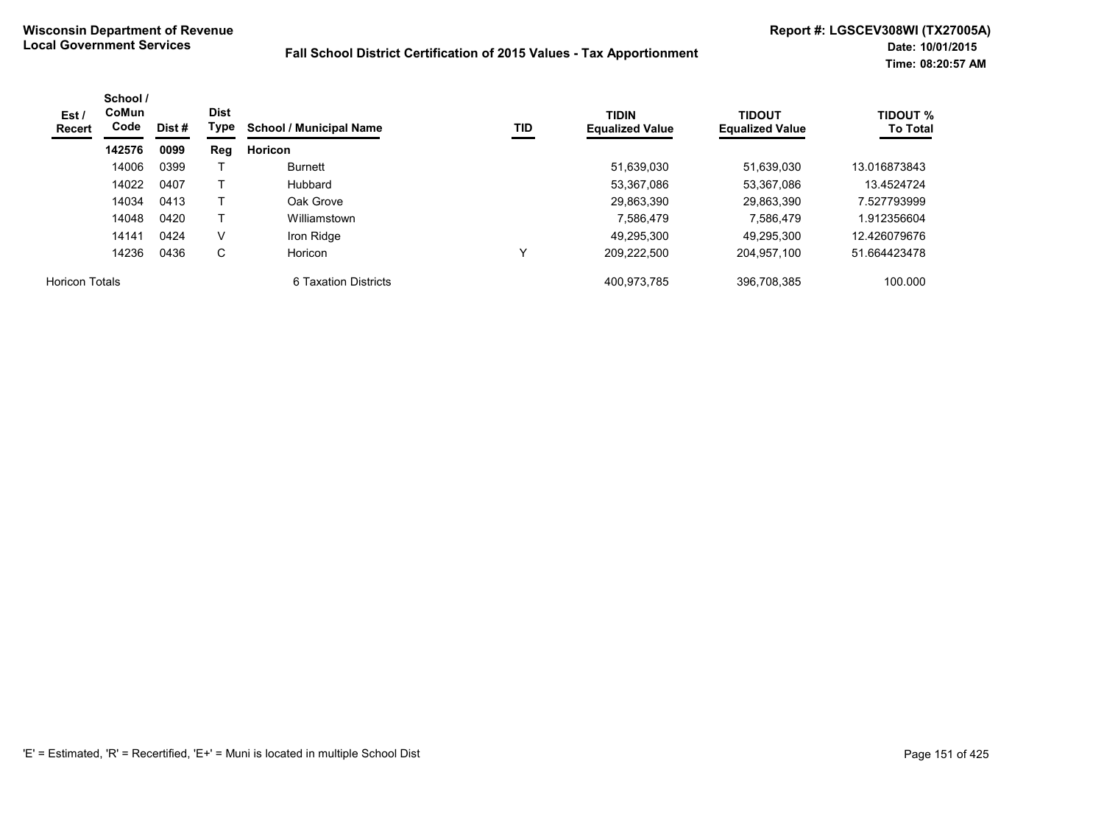| Est /<br>Recert       | School /<br>CoMun<br>Code | Dist #<br>0099 | <b>Dist</b><br>Type | <b>TIDIN</b><br>TID<br><b>School / Municipal Name</b> | <b>Equalized Value</b> | <b>TIDOUT</b><br><b>Equalized Value</b> | <b>TIDOUT %</b><br><b>To Total</b> |              |
|-----------------------|---------------------------|----------------|---------------------|-------------------------------------------------------|------------------------|-----------------------------------------|------------------------------------|--------------|
|                       | 142576                    |                | Reg                 | Horicon                                               |                        |                                         |                                    |              |
|                       | 14006                     | 0399           |                     | Burnett                                               |                        | 51,639,030                              | 51,639,030                         | 13.016873843 |
|                       | 14022                     | 0407           |                     | Hubbard                                               |                        | 53,367,086                              | 53.367.086                         | 13.4524724   |
|                       | 14034                     | 0413           |                     | Oak Grove                                             |                        | 29,863,390                              | 29.863.390                         | 7.527793999  |
|                       | 14048                     | 0420           |                     | Williamstown                                          |                        | 7,586,479                               | 7,586,479                          | 1.912356604  |
|                       | 14141                     | 0424           | V                   | Iron Ridge                                            |                        | 49.295.300                              | 49.295.300                         | 12.426079676 |
|                       | 14236                     | 0436           | C                   | Horicon                                               | v                      | 209.222.500                             | 204.957.100                        | 51.664423478 |
| <b>Horicon Totals</b> |                           |                |                     | 6 Taxation Districts                                  |                        | 400.973.785                             | 396.708.385                        | 100.000      |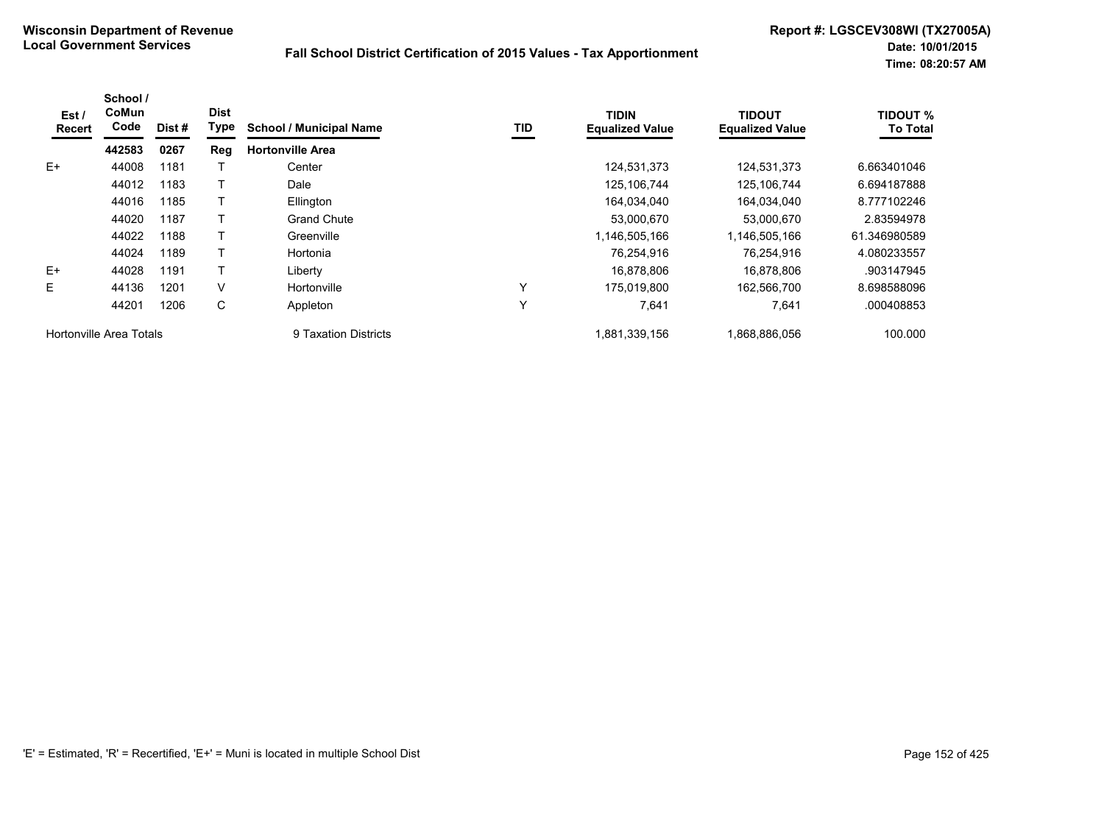| Est/<br>Recert | School /<br>CoMun<br>Code | Dist# | <b>Dist</b><br>Type | <b>School / Municipal Name</b> | TID | <b>TIDIN</b><br><b>Equalized Value</b> | <b>TIDOUT</b><br><b>Equalized Value</b> | <b>TIDOUT %</b><br><b>To Total</b> |
|----------------|---------------------------|-------|---------------------|--------------------------------|-----|----------------------------------------|-----------------------------------------|------------------------------------|
|                | 442583                    | 0267  | Reg                 | <b>Hortonville Area</b>        |     |                                        |                                         |                                    |
| $E+$           | 44008                     | 1181  |                     | Center                         |     | 124,531,373                            | 124,531,373                             | 6.663401046                        |
|                | 44012                     | 1183  |                     | Dale                           |     | 125,106,744                            | 125, 106, 744                           | 6.694187888                        |
|                | 44016                     | 1185  |                     | Ellington                      |     | 164,034,040                            | 164,034,040                             | 8.777102246                        |
|                | 44020                     | 1187  |                     | <b>Grand Chute</b>             |     | 53,000,670                             | 53,000,670                              | 2.83594978                         |
|                | 44022                     | 1188  |                     | Greenville                     |     | 1,146,505,166                          | 1,146,505,166                           | 61.346980589                       |
|                | 44024                     | 1189  |                     | Hortonia                       |     | 76,254,916                             | 76.254.916                              | 4.080233557                        |
| $E+$           | 44028                     | 1191  |                     | Liberty                        |     | 16,878,806                             | 16,878,806                              | .903147945                         |
| E              | 44136                     | 1201  | V                   | Hortonville                    | Y   | 175,019,800                            | 162,566,700                             | 8.698588096                        |
|                | 44201                     | 1206  | С                   | Appleton                       | Y   | 7,641                                  | 7,641                                   | .000408853                         |
|                | Hortonville Area Totals   |       |                     | 9 Taxation Districts           |     | 1,881,339,156                          | 1,868,886,056                           | 100.000                            |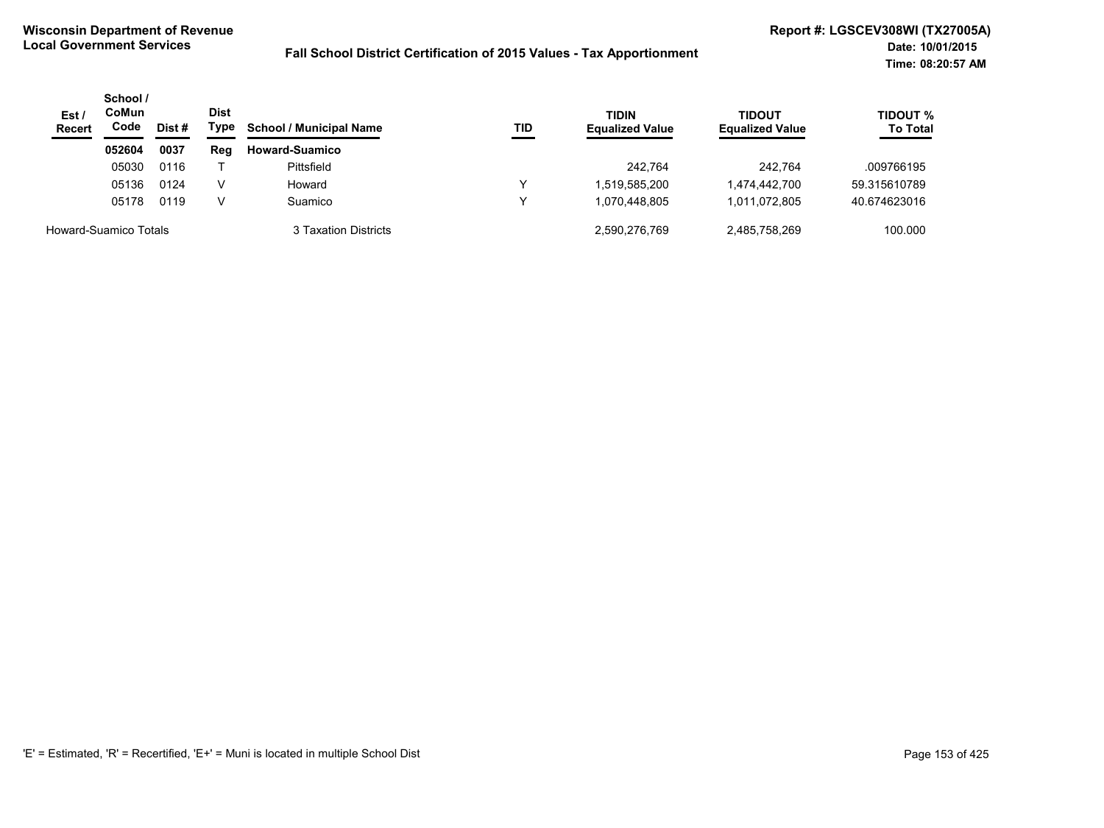| Est/<br><b>Recert</b> | School /<br>CoMun<br>Code | Dist# | <b>Dist</b><br>Type | <b>School / Municipal Name</b> | TID | <b>TIDIN</b><br><b>Equalized Value</b> | <b>TIDOUT</b><br><b>Equalized Value</b> | TIDOUT %<br><b>To Total</b> |
|-----------------------|---------------------------|-------|---------------------|--------------------------------|-----|----------------------------------------|-----------------------------------------|-----------------------------|
|                       | 052604                    | 0037  | Reg                 | <b>Howard-Suamico</b>          |     |                                        |                                         |                             |
|                       | 05030                     | 0116  |                     | Pittsfield                     |     | 242.764                                | 242.764                                 | .009766195                  |
|                       | 05136                     | 0124  | V                   | Howard                         | v   | 1,519,585,200                          | 1,474,442,700                           | 59.315610789                |
|                       | 05178                     | 0119  | v                   | Suamico                        | v   | 1.070.448.805                          | 1,011,072,805                           | 40.674623016                |
| Howard-Suamico Totals |                           |       |                     | 3 Taxation Districts           |     | 2,590,276,769                          | 2,485,758,269                           | 100.000                     |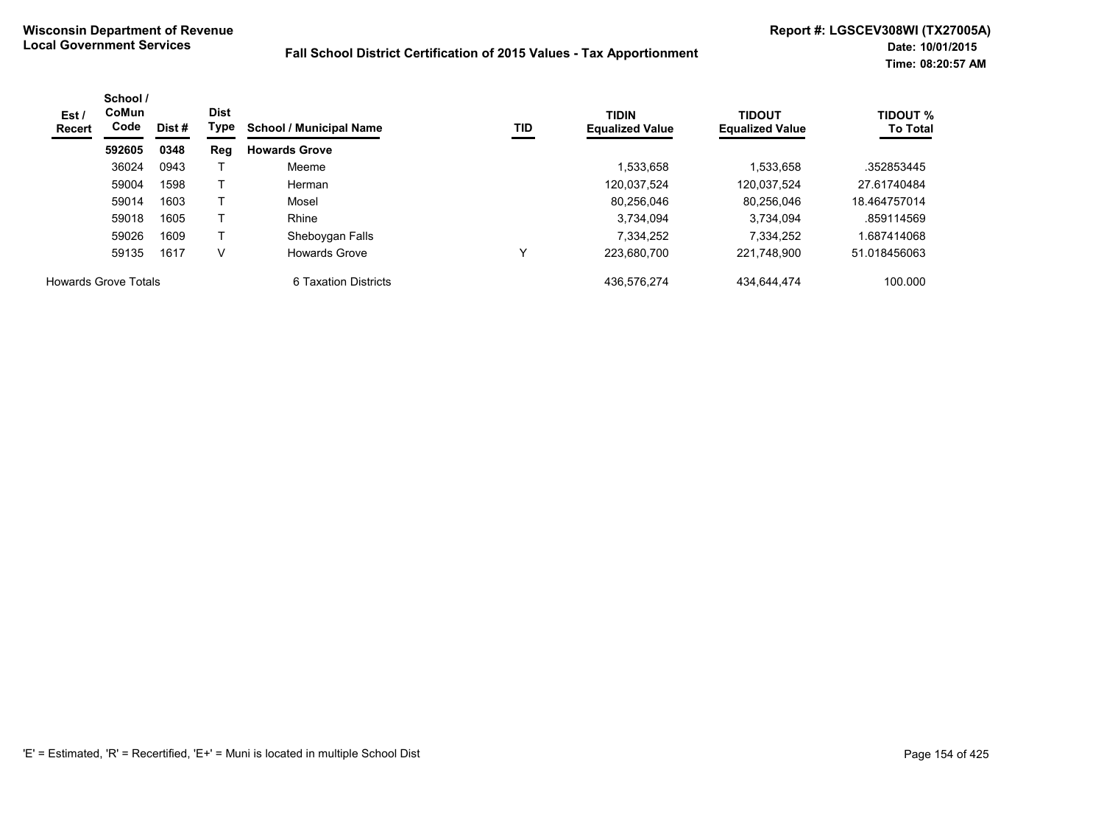| Est/<br><b>Recert</b>       | School /<br><b>CoMun</b><br>Code<br>Dist # | <b>Dist</b><br>Type | <b>School / Municipal Name</b> | TID                  | <b>TIDIN</b><br><b>Equalized Value</b> | <b>TIDOUT</b><br><b>Equalized Value</b> | <b>TIDOUT %</b><br><b>To Total</b> |              |
|-----------------------------|--------------------------------------------|---------------------|--------------------------------|----------------------|----------------------------------------|-----------------------------------------|------------------------------------|--------------|
|                             | 592605                                     | 0348                | Reg                            | <b>Howards Grove</b> |                                        |                                         |                                    |              |
|                             | 36024                                      | 0943                |                                | Meeme                |                                        | 1,533,658                               | 1.533.658                          | .352853445   |
|                             | 59004                                      | 1598                |                                | Herman               |                                        | 120.037.524                             | 120.037.524                        | 27.61740484  |
|                             | 59014                                      | 1603                |                                | Mosel                |                                        | 80.256.046                              | 80.256.046                         | 18.464757014 |
|                             | 59018                                      | 1605                |                                | Rhine                |                                        | 3,734,094                               | 3.734.094                          | .859114569   |
|                             | 59026                                      | 1609                |                                | Sheboygan Falls      |                                        | 7,334,252                               | 7.334.252                          | .687414068   |
|                             | 59135                                      | 1617                | V                              | <b>Howards Grove</b> | v                                      | 223,680,700                             | 221,748,900                        | 51.018456063 |
| <b>Howards Grove Totals</b> |                                            |                     |                                | 6 Taxation Districts |                                        | 436.576.274                             | 434.644.474                        | 100.000      |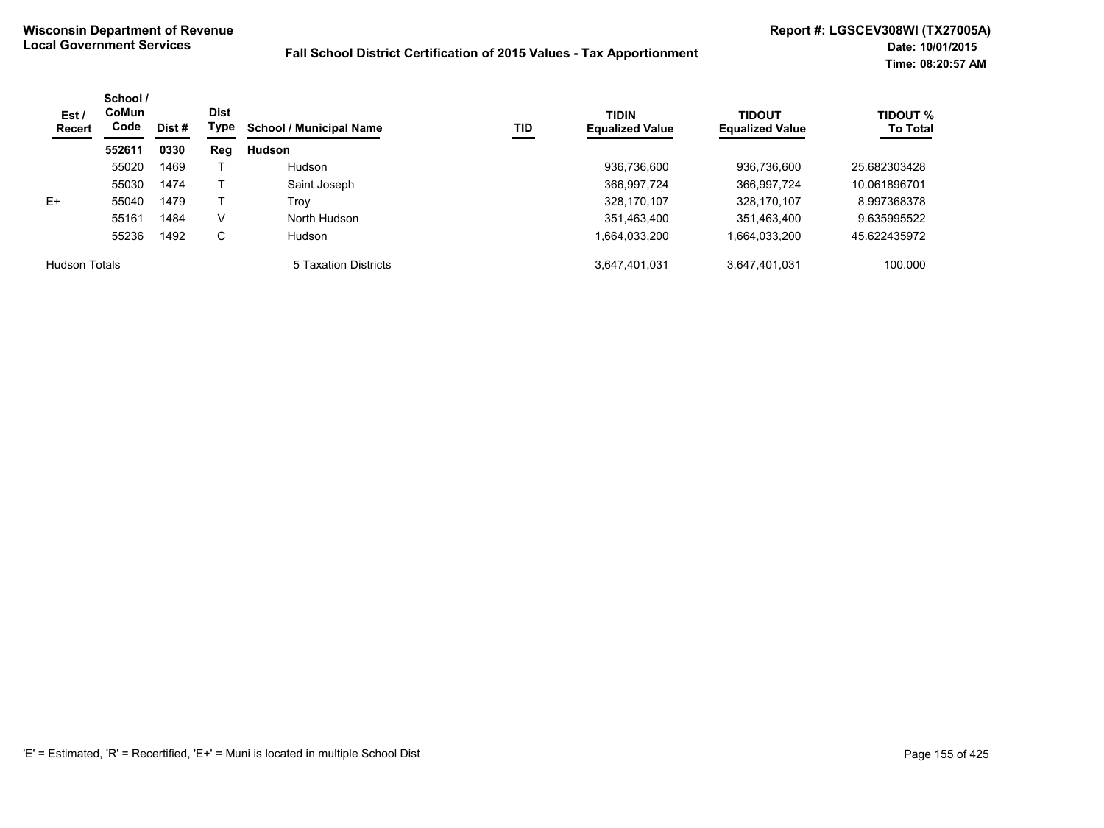| Est /<br><b>Recert</b> | School /<br><b>CoMun</b><br>Code<br>Dist # | <b>Dist</b><br>Type | TID<br><b>School / Municipal Name</b> | <b>TIDIN</b><br><b>Equalized Value</b> | <b>TIDOUT</b><br><b>Equalized Value</b> | <b>TIDOUT %</b><br><b>To Total</b> |               |              |
|------------------------|--------------------------------------------|---------------------|---------------------------------------|----------------------------------------|-----------------------------------------|------------------------------------|---------------|--------------|
|                        | 552611                                     | 0330                | Reg                                   | <b>Hudson</b>                          |                                         |                                    |               |              |
|                        | 55020                                      | 1469                |                                       | <b>Hudson</b>                          |                                         | 936,736,600                        | 936,736,600   | 25.682303428 |
|                        | 55030                                      | 1474                |                                       | Saint Joseph                           |                                         | 366,997,724                        | 366,997,724   | 10.061896701 |
| $E+$                   | 55040                                      | 1479                |                                       | Trov                                   |                                         | 328,170,107                        | 328,170,107   | 8.997368378  |
|                        | 55161                                      | 1484                | v                                     | North Hudson                           |                                         | 351,463,400                        | 351,463,400   | 9.635995522  |
|                        | 55236                                      | 1492                | C                                     | <b>Hudson</b>                          |                                         | 1,664,033,200                      | 1,664,033,200 | 45.622435972 |
| <b>Hudson Totals</b>   |                                            |                     |                                       | 5 Taxation Districts                   |                                         | 3,647,401,031                      | 3,647,401,031 | 100.000      |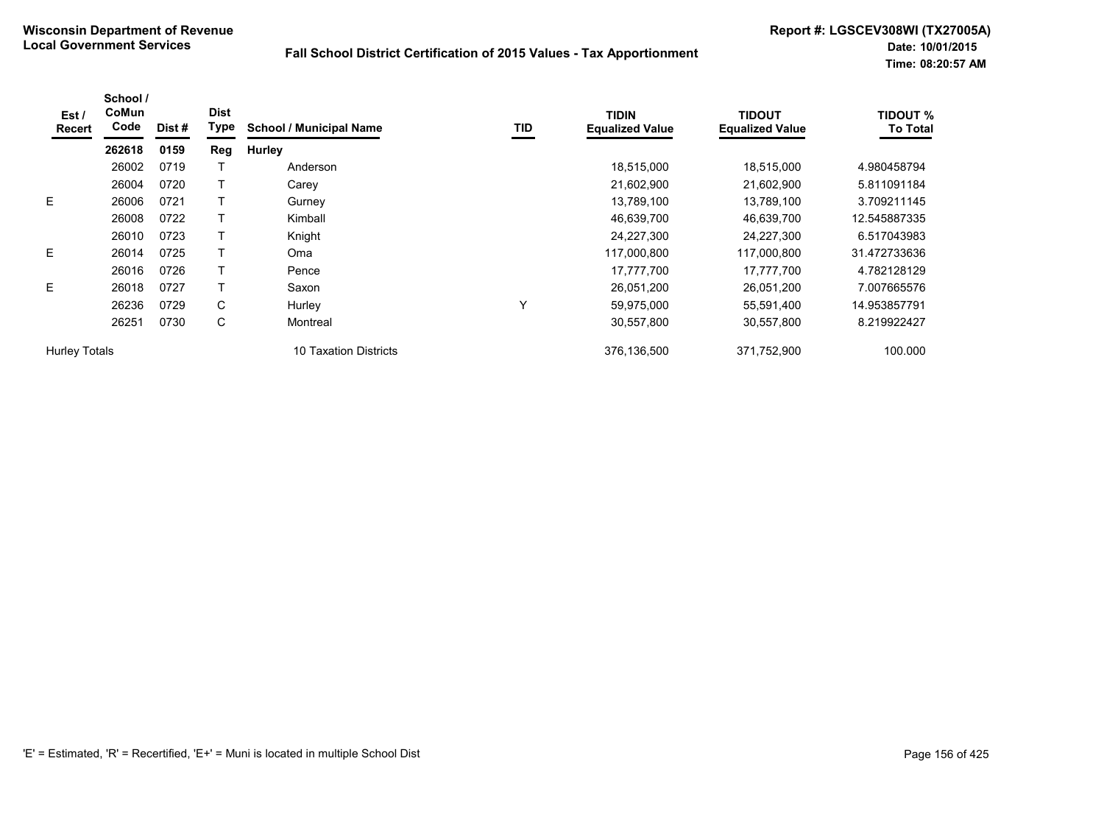| Est/<br>Recert       | School /<br>CoMun<br>Code | Dist # | <b>Dist</b><br>Type | <b>School / Municipal Name</b> | TID | <b>TIDIN</b><br><b>Equalized Value</b> | <b>TIDOUT</b><br><b>Equalized Value</b> | <b>TIDOUT %</b><br><b>To Total</b> |
|----------------------|---------------------------|--------|---------------------|--------------------------------|-----|----------------------------------------|-----------------------------------------|------------------------------------|
|                      | 262618                    | 0159   | Reg                 | Hurley                         |     |                                        |                                         |                                    |
|                      | 26002                     | 0719   |                     | Anderson                       |     | 18,515,000                             | 18,515,000                              | 4.980458794                        |
|                      | 26004                     | 0720   |                     | Carey                          |     | 21,602,900                             | 21,602,900                              | 5.811091184                        |
| E.                   | 26006                     | 0721   |                     | Gurney                         |     | 13,789,100                             | 13,789,100                              | 3.709211145                        |
|                      | 26008                     | 0722   |                     | Kimball                        |     | 46,639,700                             | 46,639,700                              | 12.545887335                       |
|                      | 26010                     | 0723   |                     | Knight                         |     | 24,227,300                             | 24,227,300                              | 6.517043983                        |
| E                    | 26014                     | 0725   |                     | Oma                            |     | 117,000,800                            | 117,000,800                             | 31.472733636                       |
|                      | 26016                     | 0726   |                     | Pence                          |     | 17,777,700                             | 17,777,700                              | 4.782128129                        |
| E                    | 26018                     | 0727   |                     | Saxon                          |     | 26,051,200                             | 26,051,200                              | 7.007665576                        |
|                      | 26236                     | 0729   | C                   | Hurley                         | Υ   | 59,975,000                             | 55,591,400                              | 14.953857791                       |
|                      | 26251                     | 0730   | С                   | Montreal                       |     | 30,557,800                             | 30,557,800                              | 8.219922427                        |
| <b>Hurley Totals</b> |                           |        |                     | 10 Taxation Districts          |     | 376,136,500                            | 371,752,900                             | 100.000                            |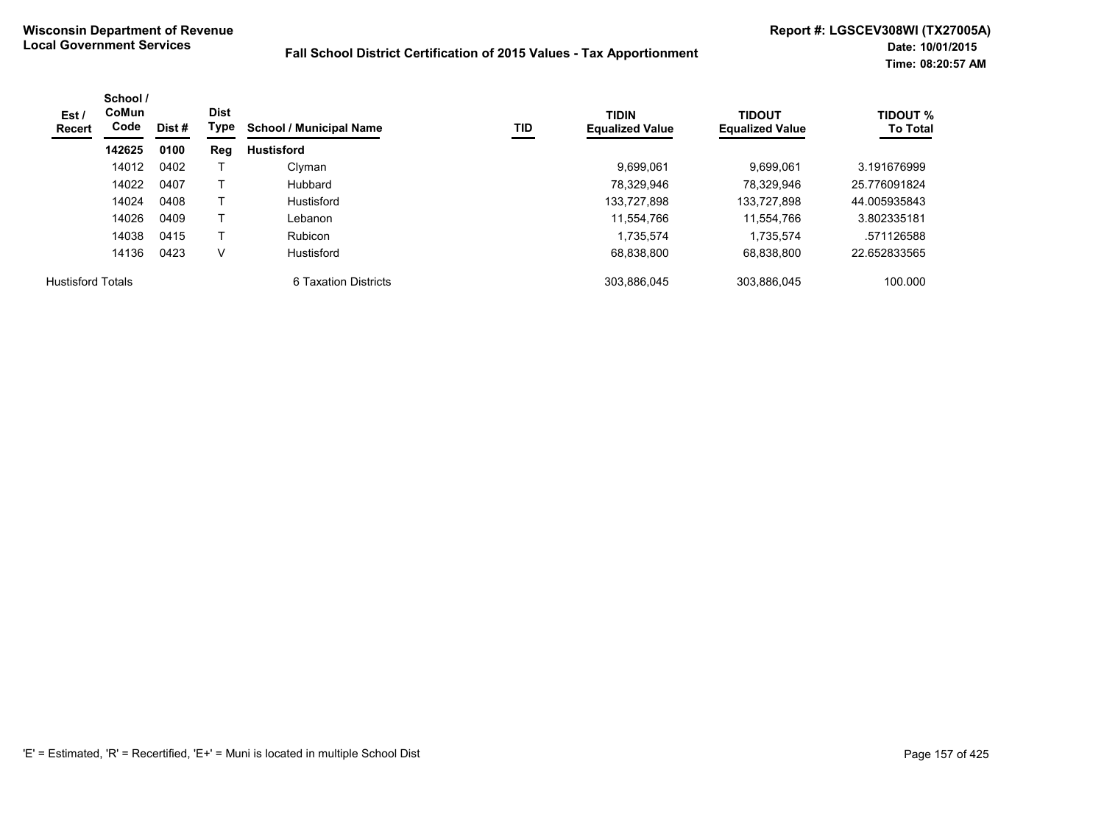| Est /<br>Recert          | School /<br>CoMun<br>Code | Dist # | <b>Dist</b><br>Type | <b>School / Municipal Name</b> | TID | <b>TIDIN</b><br><b>Equalized Value</b> | <b>TIDOUT</b><br><b>Equalized Value</b> | <b>TIDOUT %</b><br><b>To Total</b> |
|--------------------------|---------------------------|--------|---------------------|--------------------------------|-----|----------------------------------------|-----------------------------------------|------------------------------------|
|                          | 142625                    | 0100   | Reg                 | <b>Hustisford</b>              |     |                                        |                                         |                                    |
|                          | 14012                     | 0402   |                     | Clyman                         |     | 9.699.061                              | 9.699.061                               | 3.191676999                        |
|                          | 14022                     | 0407   |                     | Hubbard                        |     | 78,329,946                             | 78.329.946                              | 25.776091824                       |
|                          | 14024                     | 0408   |                     | Hustisford                     |     | 133,727,898                            | 133,727,898                             | 44.005935843                       |
|                          | 14026                     | 0409   |                     | Lebanon                        |     | 11,554,766                             | 11.554.766                              | 3.802335181                        |
|                          | 14038                     | 0415   |                     | <b>Rubicon</b>                 |     | 1,735,574                              | 1.735.574                               | .571126588                         |
|                          | 14136                     | 0423   | v                   | Hustisford                     |     | 68.838.800                             | 68.838.800                              | 22.652833565                       |
| <b>Hustisford Totals</b> |                           |        |                     | 6 Taxation Districts           |     | 303.886.045                            | 303.886.045                             | 100.000                            |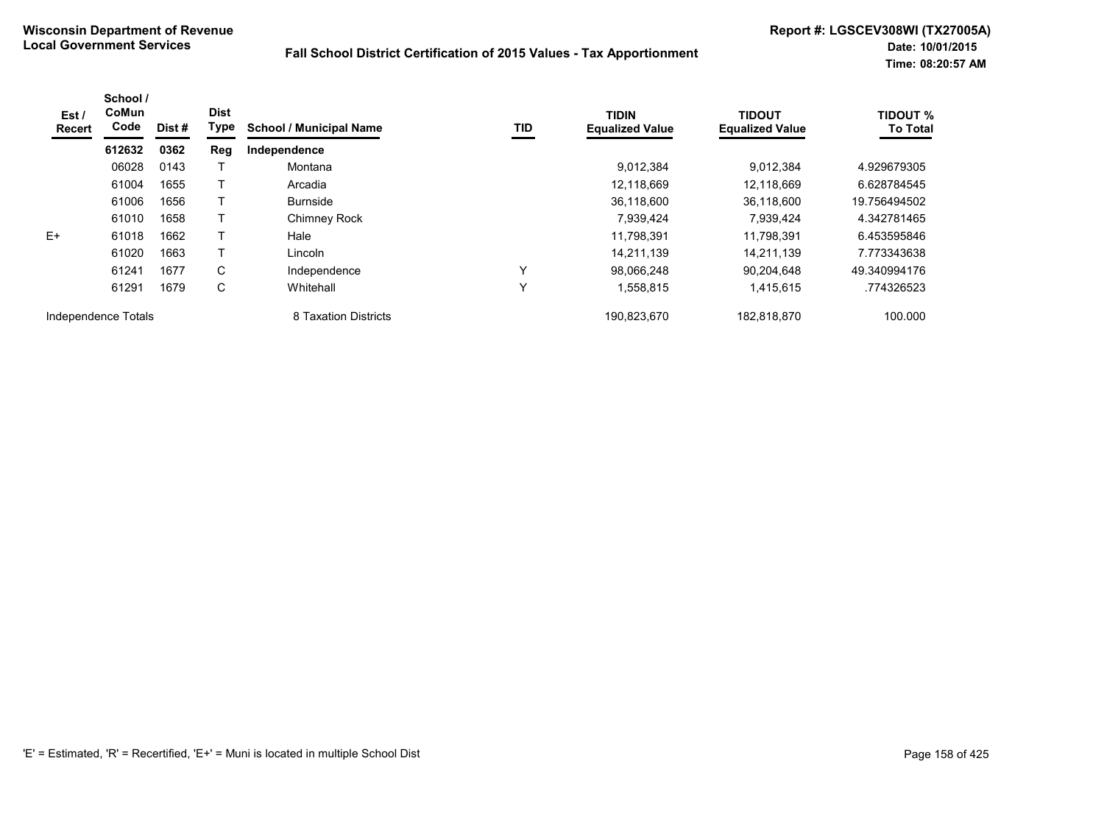| Est /<br>Recert     | School /<br>CoMun<br>Code | Dist # | <b>Dist</b><br><b>Type</b> | <b>School / Municipal Name</b> | TID          | <b>TIDIN</b><br><b>Equalized Value</b> | <b>TIDOUT</b><br><b>Equalized Value</b> | <b>TIDOUT %</b><br><b>To Total</b> |
|---------------------|---------------------------|--------|----------------------------|--------------------------------|--------------|----------------------------------------|-----------------------------------------|------------------------------------|
|                     | 612632                    | 0362   | Reg                        | Independence                   |              |                                        |                                         |                                    |
|                     | 06028                     | 0143   |                            | Montana                        |              | 9,012,384                              | 9.012.384                               | 4.929679305                        |
|                     | 61004                     | 1655   |                            | Arcadia                        |              | 12,118,669                             | 12,118,669                              | 6.628784545                        |
|                     | 61006                     | 1656   |                            | <b>Burnside</b>                |              | 36.118.600                             | 36.118.600                              | 19.756494502                       |
|                     | 61010                     | 1658   |                            | Chimney Rock                   |              | 7,939,424                              | 7,939,424                               | 4.342781465                        |
| E+                  | 61018                     | 1662   |                            | Hale                           |              | 11,798,391                             | 11.798.391                              | 6.453595846                        |
|                     | 61020                     | 1663   |                            | Lincoln                        |              | 14,211,139                             | 14.211.139                              | 7.773343638                        |
|                     | 61241                     | 1677   | C                          | Independence                   | ν            | 98.066.248                             | 90.204.648                              | 49.340994176                       |
|                     | 61291                     | 1679   | C                          | Whitehall                      | $\checkmark$ | 1,558,815                              | 1,415,615                               | .774326523                         |
| Independence Totals |                           |        |                            | 8 Taxation Districts           |              | 190,823,670                            | 182.818.870                             | 100.000                            |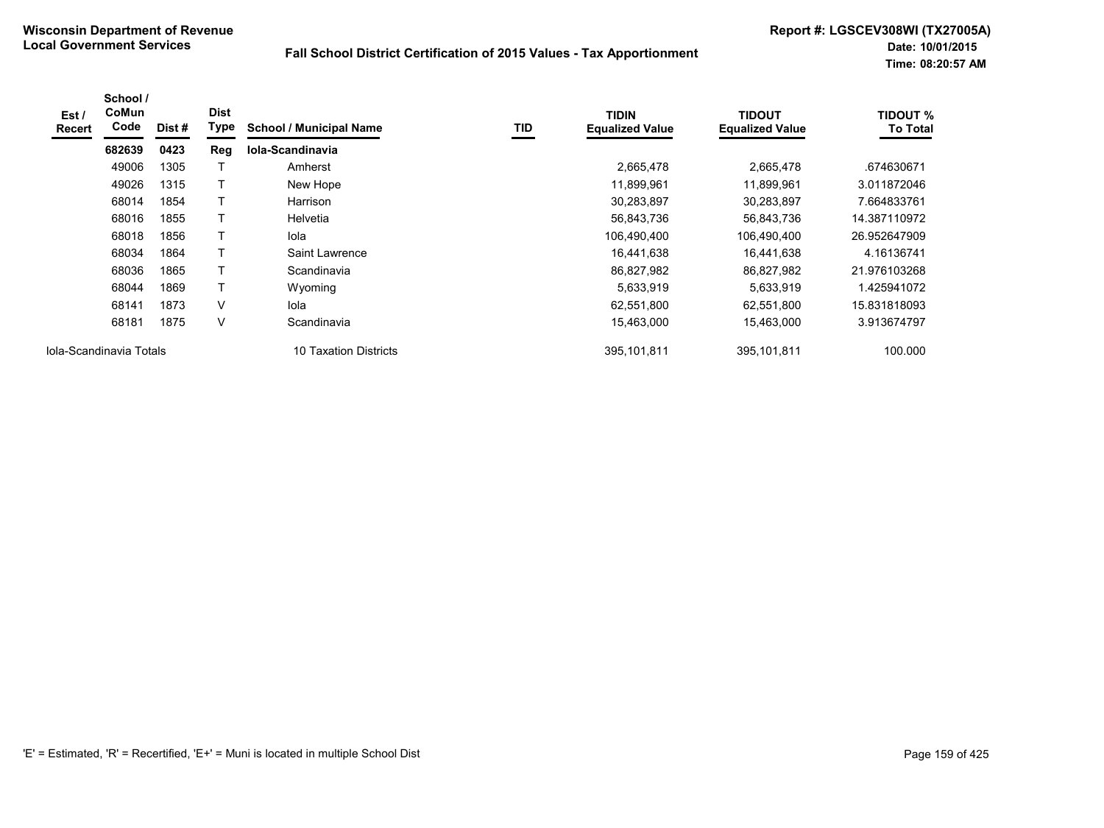| Est /<br><b>Recert</b>  | School /<br>CoMun<br>Code | Dist # | <b>Dist</b><br>Type | <b>School / Municipal Name</b> | TID | <b>TIDIN</b><br><b>Equalized Value</b> | <b>TIDOUT</b><br><b>Equalized Value</b> | <b>TIDOUT %</b><br><b>To Total</b> |
|-------------------------|---------------------------|--------|---------------------|--------------------------------|-----|----------------------------------------|-----------------------------------------|------------------------------------|
|                         | 682639                    | 0423   | Reg                 | Iola-Scandinavia               |     |                                        |                                         |                                    |
|                         | 49006                     | 1305   |                     | Amherst                        |     | 2,665,478                              | 2,665,478                               | .674630671                         |
|                         | 49026                     | 1315   |                     | New Hope                       |     | 11,899,961                             | 11,899,961                              | 3.011872046                        |
|                         | 68014                     | 1854   |                     | Harrison                       |     | 30,283,897                             | 30,283,897                              | 7.664833761                        |
|                         | 68016                     | 1855   |                     | Helvetia                       |     | 56,843,736                             | 56,843,736                              | 14.387110972                       |
|                         | 68018                     | 1856   |                     | lola                           |     | 106,490,400                            | 106,490,400                             | 26.952647909                       |
|                         | 68034                     | 1864   |                     | Saint Lawrence                 |     | 16,441,638                             | 16,441,638                              | 4.16136741                         |
|                         | 68036                     | 1865   |                     | Scandinavia                    |     | 86,827,982                             | 86,827,982                              | 21.976103268                       |
|                         | 68044                     | 1869   |                     | Wyoming                        |     | 5,633,919                              | 5,633,919                               | 1.425941072                        |
|                         | 68141                     | 1873   | V                   | lola                           |     | 62,551,800                             | 62,551,800                              | 15.831818093                       |
|                         | 68181                     | 1875   | V                   | Scandinavia                    |     | 15,463,000                             | 15,463,000                              | 3.913674797                        |
| Iola-Scandinavia Totals |                           |        |                     | 10 Taxation Districts          |     | 395,101,811                            | 395,101,811                             | 100.000                            |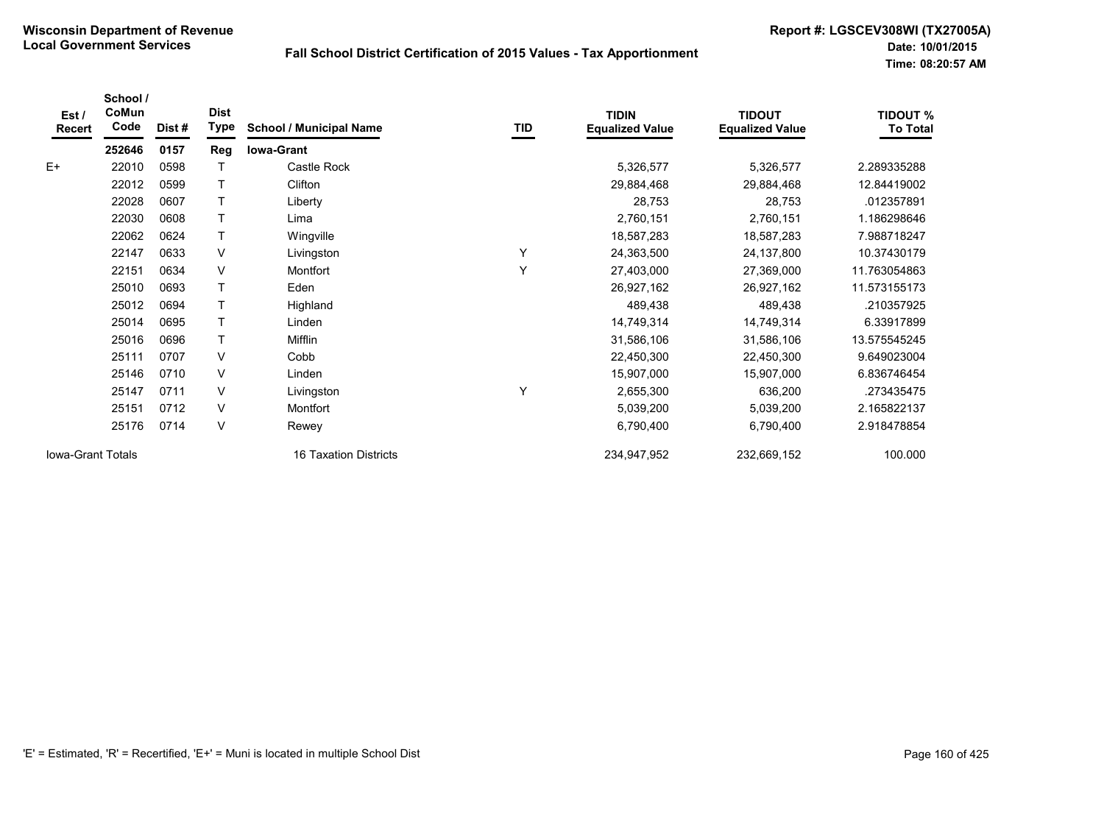| Est/<br>Recert           | School /<br>CoMun<br>Code | Dist# | <b>Dist</b><br>Type | <b>School / Municipal Name</b> | TID | <b>TIDIN</b><br><b>Equalized Value</b> | <b>TIDOUT</b><br><b>Equalized Value</b> | <b>TIDOUT %</b><br><b>To Total</b> |
|--------------------------|---------------------------|-------|---------------------|--------------------------------|-----|----------------------------------------|-----------------------------------------|------------------------------------|
|                          | 252646                    | 0157  | Reg                 | <b>Iowa-Grant</b>              |     |                                        |                                         |                                    |
| $E+$                     | 22010                     | 0598  |                     | Castle Rock                    |     | 5,326,577                              | 5,326,577                               | 2.289335288                        |
|                          | 22012                     | 0599  | T                   | Clifton                        |     | 29,884,468                             | 29,884,468                              | 12.84419002                        |
|                          | 22028                     | 0607  | T                   | Liberty                        |     | 28,753                                 | 28,753                                  | .012357891                         |
|                          | 22030                     | 0608  |                     | Lima                           |     | 2,760,151                              | 2,760,151                               | 1.186298646                        |
|                          | 22062                     | 0624  | $\mathsf{T}$        | Wingville                      |     | 18,587,283                             | 18,587,283                              | 7.988718247                        |
|                          | 22147                     | 0633  | V                   | Livingston                     | Y   | 24,363,500                             | 24,137,800                              | 10.37430179                        |
|                          | 22151                     | 0634  | V                   | Montfort                       | Y   | 27,403,000                             | 27,369,000                              | 11.763054863                       |
|                          | 25010                     | 0693  | T                   | Eden                           |     | 26,927,162                             | 26,927,162                              | 11.573155173                       |
|                          | 25012                     | 0694  | T                   | Highland                       |     | 489,438                                | 489,438                                 | .210357925                         |
|                          | 25014                     | 0695  | T                   | Linden                         |     | 14,749,314                             | 14,749,314                              | 6.33917899                         |
|                          | 25016                     | 0696  | T                   | Mifflin                        |     | 31,586,106                             | 31,586,106                              | 13.575545245                       |
|                          | 25111                     | 0707  | $\vee$              | Cobb                           |     | 22,450,300                             | 22,450,300                              | 9.649023004                        |
|                          | 25146                     | 0710  | $\vee$              | Linden                         |     | 15,907,000                             | 15,907,000                              | 6.836746454                        |
|                          | 25147                     | 0711  | V                   | Livingston                     | Y   | 2,655,300                              | 636,200                                 | .273435475                         |
|                          | 25151                     | 0712  | $\vee$              | Montfort                       |     | 5,039,200                              | 5,039,200                               | 2.165822137                        |
|                          | 25176                     | 0714  | $\vee$              | Rewey                          |     | 6,790,400                              | 6,790,400                               | 2.918478854                        |
| <b>Iowa-Grant Totals</b> |                           |       |                     | 16 Taxation Districts          |     | 234,947,952                            | 232,669,152                             | 100.000                            |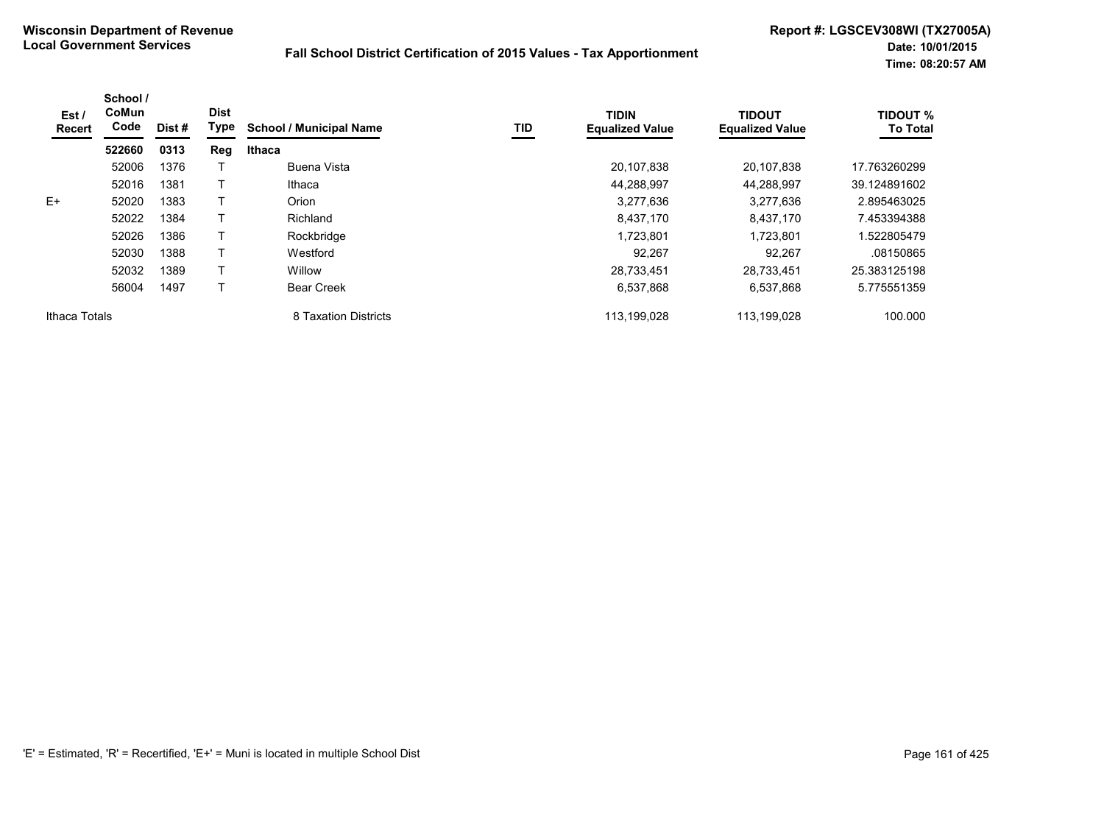| Est /<br>Recert | School /<br>CoMun<br>Code | Dist # | <b>Dist</b><br>Type | <b>School / Municipal Name</b> | TID | <b>TIDIN</b><br><b>Equalized Value</b> | <b>TIDOUT</b><br><b>Equalized Value</b> | <b>TIDOUT %</b><br><b>To Total</b> |
|-----------------|---------------------------|--------|---------------------|--------------------------------|-----|----------------------------------------|-----------------------------------------|------------------------------------|
|                 | 522660                    | 0313   | Reg                 | Ithaca                         |     |                                        |                                         |                                    |
|                 | 52006                     | 1376   |                     | Buena Vista                    |     | 20,107,838                             | 20,107,838                              | 17.763260299                       |
|                 | 52016                     | 1381   |                     | Ithaca                         |     | 44,288,997                             | 44.288.997                              | 39.124891602                       |
| $E+$            | 52020                     | 1383   |                     | Orion                          |     | 3,277,636                              | 3,277,636                               | 2.895463025                        |
|                 | 52022                     | 1384   |                     | Richland                       |     | 8,437,170                              | 8,437,170                               | 7.453394388                        |
|                 | 52026                     | 1386   |                     | Rockbridge                     |     | 1,723,801                              | 1,723,801                               | 1.522805479                        |
|                 | 52030                     | 1388   |                     | Westford                       |     | 92,267                                 | 92,267                                  | .08150865                          |
|                 | 52032                     | 1389   |                     | Willow                         |     | 28,733,451                             | 28,733,451                              | 25.383125198                       |
|                 | 56004                     | 1497   |                     | <b>Bear Creek</b>              |     | 6,537,868                              | 6,537,868                               | 5.775551359                        |
| Ithaca Totals   |                           |        |                     | 8 Taxation Districts           |     | 113,199,028                            | 113,199,028                             | 100.000                            |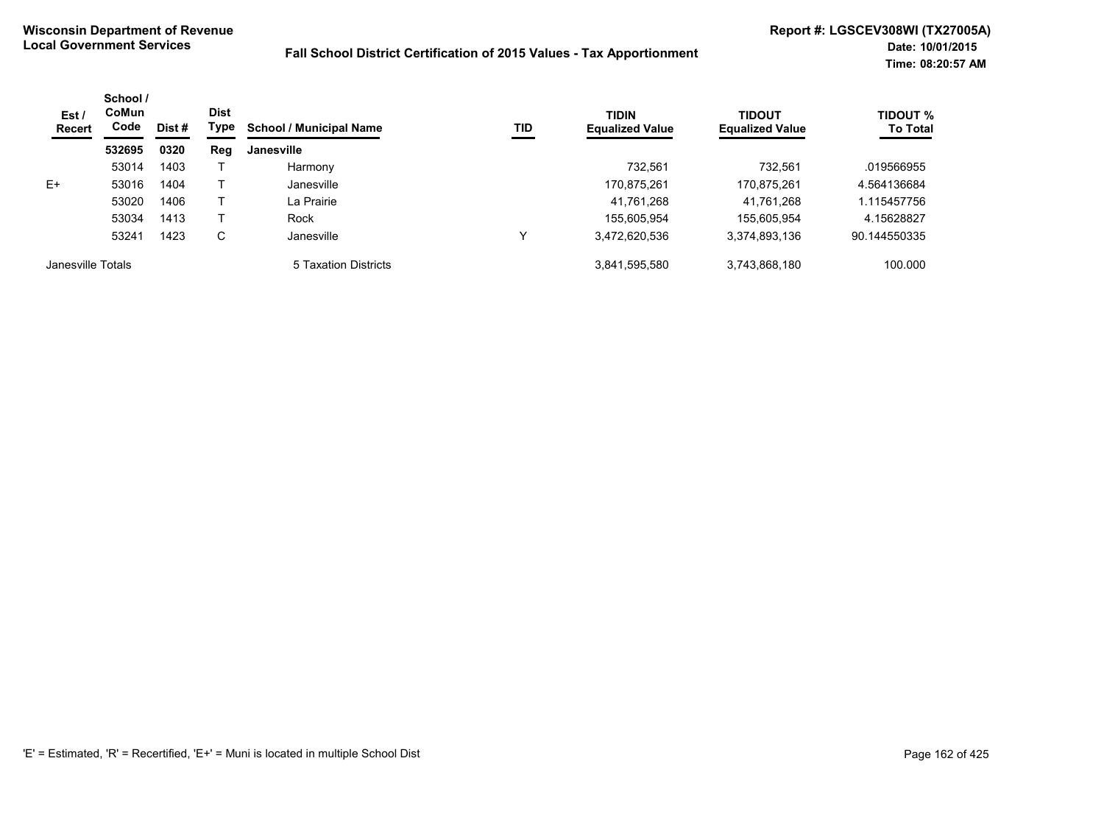| Est/<br>Recert    | School /<br><b>CoMun</b><br>Code | Dist # | <b>Dist</b><br>Type | <b>School / Municipal Name</b> | TID         | <b>TIDIN</b><br><b>Equalized Value</b> | TIDOUT<br><b>Equalized Value</b> | <b>TIDOUT %</b><br><b>To Total</b> |
|-------------------|----------------------------------|--------|---------------------|--------------------------------|-------------|----------------------------------------|----------------------------------|------------------------------------|
|                   | 532695                           | 0320   | Reg                 | Janesville                     |             |                                        |                                  |                                    |
|                   | 53014                            | 1403   |                     | Harmony                        |             | 732.561                                | 732.561                          | .019566955                         |
| E+                | 53016                            | 1404   |                     | Janesville                     |             | 170,875,261                            | 170,875,261                      | 4.564136684                        |
|                   | 53020                            | 1406   |                     | La Prairie                     |             | 41,761,268                             | 41,761,268                       | 1.115457756                        |
|                   | 53034                            | 1413   |                     | Rock                           |             | 155.605.954                            | 155.605.954                      | 4.15628827                         |
|                   | 53241                            | 1423   | С                   | Janesville                     | $\check{ }$ | 3,472,620,536                          | 3,374,893,136                    | 90.144550335                       |
| Janesville Totals |                                  |        |                     | 5 Taxation Districts           |             | 3,841,595,580                          | 3,743,868,180                    | 100.000                            |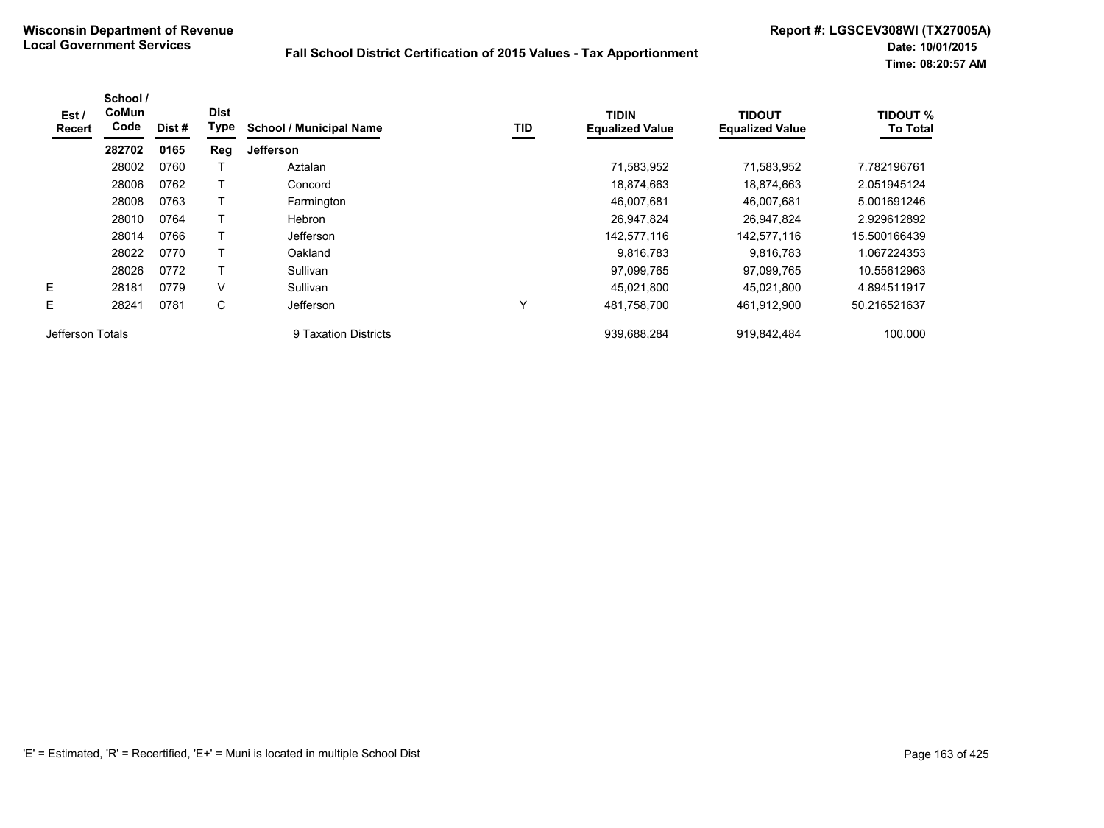| Est /<br><b>Recert</b> | School /<br>CoMun<br>Code | Dist# | <b>Dist</b><br>Type | <b>School / Municipal Name</b> | TID | <b>TIDIN</b><br><b>Equalized Value</b> | <b>TIDOUT</b><br><b>Equalized Value</b> | <b>TIDOUT %</b><br><b>To Total</b> |
|------------------------|---------------------------|-------|---------------------|--------------------------------|-----|----------------------------------------|-----------------------------------------|------------------------------------|
|                        | 282702                    | 0165  | Reg                 | <b>Jefferson</b>               |     |                                        |                                         |                                    |
|                        | 28002                     | 0760  |                     | Aztalan                        |     | 71,583,952                             | 71,583,952                              | 7.782196761                        |
|                        | 28006                     | 0762  |                     | Concord                        |     | 18,874,663                             | 18,874,663                              | 2.051945124                        |
|                        | 28008                     | 0763  | Т                   | Farmington                     |     | 46,007,681                             | 46,007,681                              | 5.001691246                        |
|                        | 28010                     | 0764  |                     | Hebron                         |     | 26,947,824                             | 26,947,824                              | 2.929612892                        |
|                        | 28014                     | 0766  | т                   | Jefferson                      |     | 142,577,116                            | 142,577,116                             | 15.500166439                       |
|                        | 28022                     | 0770  |                     | Oakland                        |     | 9,816,783                              | 9,816,783                               | 1.067224353                        |
|                        | 28026                     | 0772  |                     | Sullivan                       |     | 97,099,765                             | 97,099,765                              | 10.55612963                        |
| E                      | 28181                     | 0779  | $\vee$              | Sullivan                       |     | 45,021,800                             | 45.021.800                              | 4.894511917                        |
| E                      | 28241                     | 0781  | C                   | Jefferson                      | Υ   | 481,758,700                            | 461,912,900                             | 50.216521637                       |
| Jefferson Totals       |                           |       |                     | 9 Taxation Districts           |     | 939.688.284                            | 919.842.484                             | 100.000                            |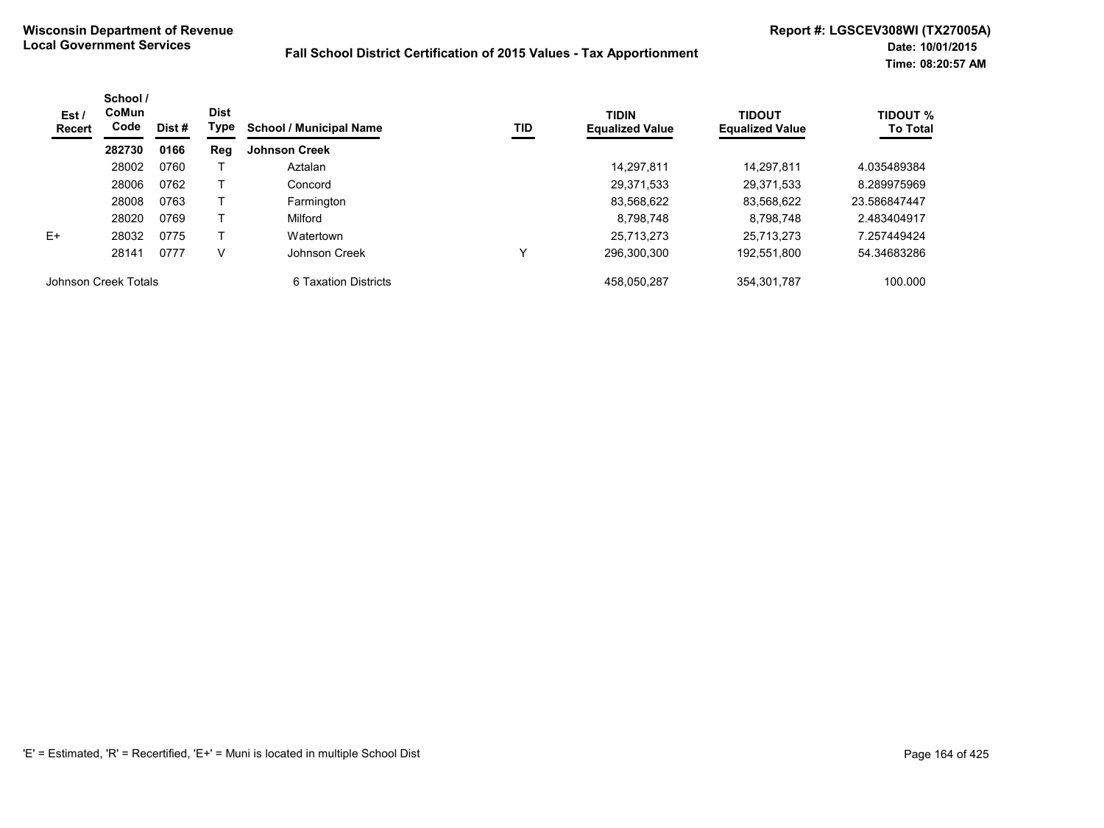| Est /<br>Recert      | School /<br>CoMun<br>Code | Dist# | <b>Dist</b><br>Type | <b>School / Municipal Name</b> | TID | <b>TIDIN</b><br><b>Equalized Value</b> | <b>TIDOUT</b><br><b>Equalized Value</b> | <b>TIDOUT %</b><br><b>To Total</b> |
|----------------------|---------------------------|-------|---------------------|--------------------------------|-----|----------------------------------------|-----------------------------------------|------------------------------------|
|                      | 282730                    | 0166  | Reg                 | <b>Johnson Creek</b>           |     |                                        |                                         |                                    |
|                      | 28002                     | 0760  |                     | Aztalan                        |     | 14.297.811                             | 14.297.811                              | 4.035489384                        |
|                      | 28006                     | 0762  |                     | Concord                        |     | 29,371,533                             | 29.371.533                              | 8.289975969                        |
|                      | 28008                     | 0763  |                     | Farmington                     |     | 83,568,622                             | 83,568,622                              | 23.586847447                       |
|                      | 28020                     | 0769  |                     | Milford                        |     | 8,798,748                              | 8.798.748                               | 2.483404917                        |
| $E+$                 | 28032                     | 0775  |                     | Watertown                      |     | 25.713.273                             | 25.713.273                              | 7.257449424                        |
|                      | 28141                     | 0777  | v                   | Johnson Creek                  |     | 296.300.300                            | 192.551.800                             | 54.34683286                        |
| Johnson Creek Totals |                           |       |                     | 6 Taxation Districts           |     | 458,050,287                            | 354,301,787                             | 100.000                            |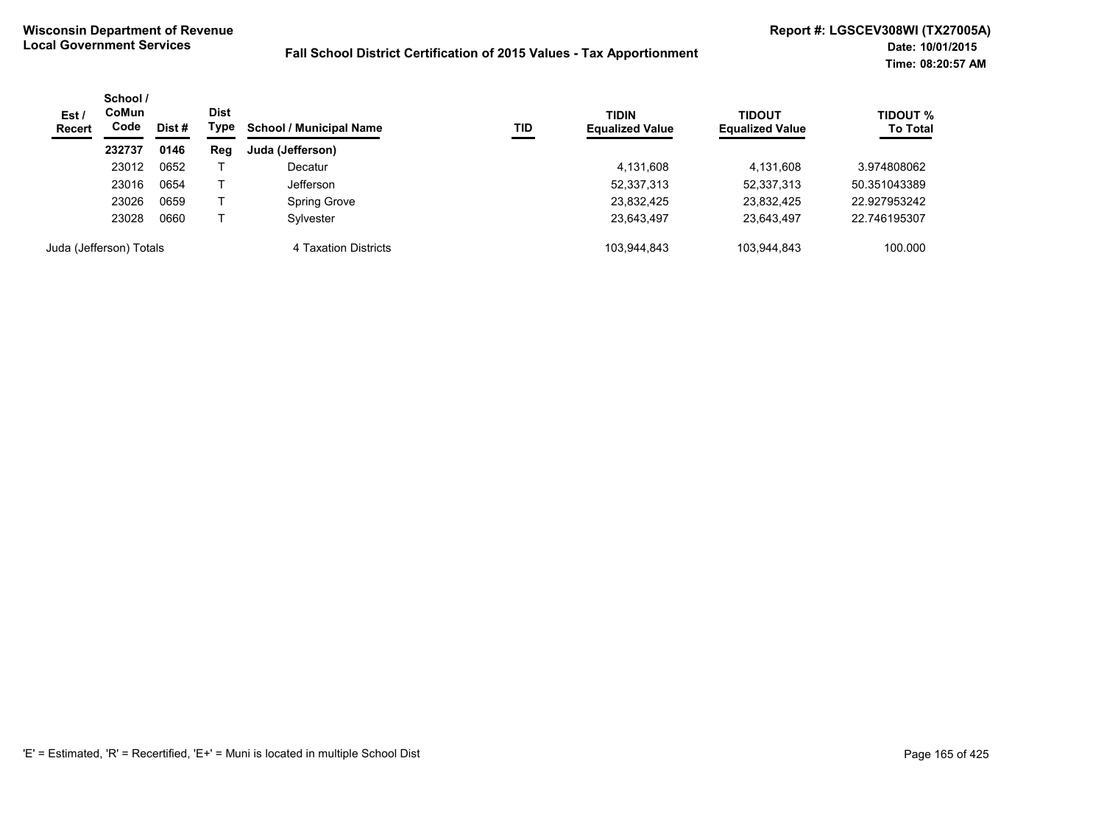| Est/<br><b>Recert</b> | School /<br>CoMun<br>Code | <b>Dist</b><br>Dist # | Type | <b>School / Municipal Name</b><br>TID | <b>TIDIN</b><br><b>Equalized Value</b> | <b>TIDOUT</b><br><b>Equalized Value</b> | <b>TIDOUT %</b><br><b>To Total</b> |              |
|-----------------------|---------------------------|-----------------------|------|---------------------------------------|----------------------------------------|-----------------------------------------|------------------------------------|--------------|
|                       | 232737                    | 0146                  | Reg  | Juda (Jefferson)                      |                                        |                                         |                                    |              |
|                       | 23012                     | 0652                  |      | Decatur                               |                                        | 4,131,608                               | 4,131,608                          | 3.974808062  |
|                       | 23016                     | 0654                  |      | Jefferson                             |                                        | 52,337,313                              | 52,337,313                         | 50.351043389 |
|                       | 23026                     | 0659                  |      | Spring Grove                          |                                        | 23,832,425                              | 23,832,425                         | 22.927953242 |
|                       | 23028                     | 0660                  |      | Sylvester                             |                                        | 23,643,497                              | 23.643.497                         | 22.746195307 |
|                       | Juda (Jefferson) Totals   |                       |      | 4 Taxation Districts                  |                                        | 103.944.843                             | 103,944,843                        | 100.000      |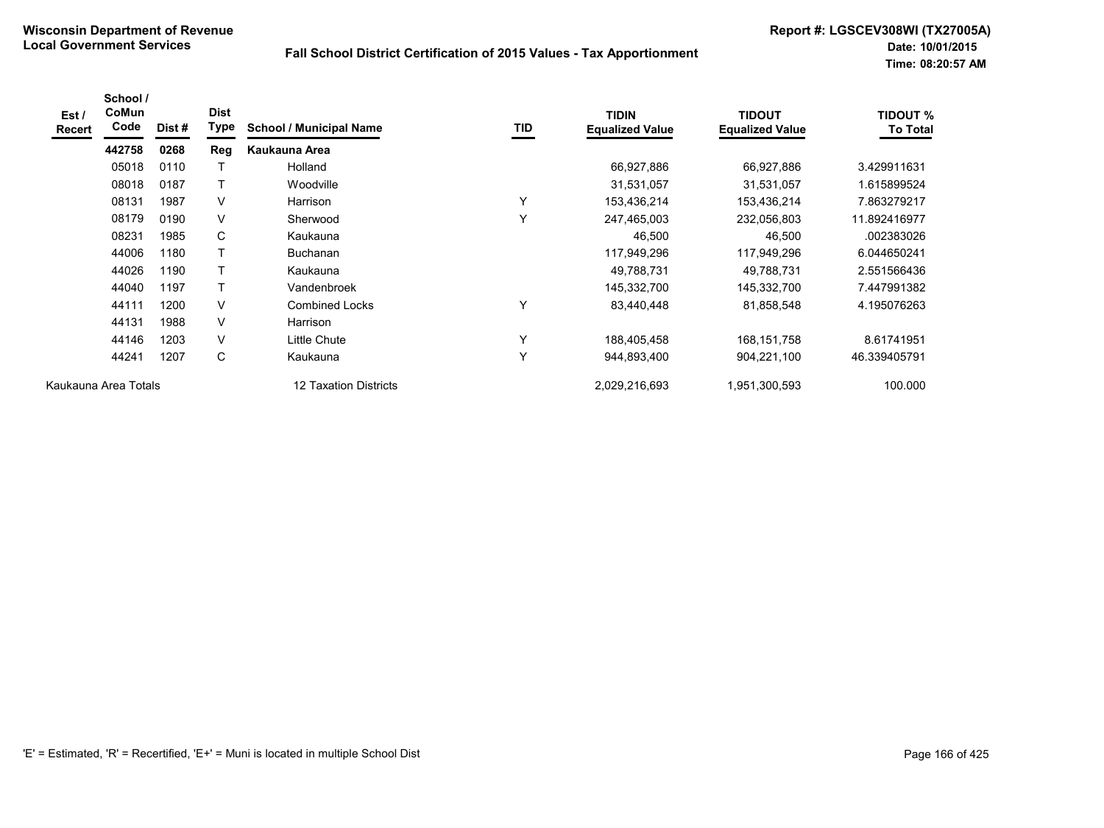| Est /<br>Recert | School /<br>CoMun<br>Code | Dist# | <b>Dist</b><br>Type | <b>School / Municipal Name</b> | <b>TID</b>   | <b>TIDIN</b><br><b>Equalized Value</b> | <b>TIDOUT</b><br><b>Equalized Value</b> | <b>TIDOUT %</b><br><b>To Total</b> |
|-----------------|---------------------------|-------|---------------------|--------------------------------|--------------|----------------------------------------|-----------------------------------------|------------------------------------|
|                 | 442758                    | 0268  | Reg                 | Kaukauna Area                  |              |                                        |                                         |                                    |
|                 | 05018                     | 0110  | Т                   | Holland                        |              | 66,927,886                             | 66,927,886                              | 3.429911631                        |
|                 | 08018                     | 0187  | Т                   | Woodville                      |              | 31,531,057                             | 31,531,057                              | 1.615899524                        |
|                 | 08131                     | 1987  | $\vee$              | Harrison                       | $\checkmark$ | 153,436,214                            | 153,436,214                             | 7.863279217                        |
|                 | 08179                     | 0190  | $\vee$              | Sherwood                       | $\checkmark$ | 247,465,003                            | 232,056,803                             | 11.892416977                       |
|                 | 08231                     | 1985  | C                   | Kaukauna                       |              | 46,500                                 | 46,500                                  | .002383026                         |
|                 | 44006                     | 1180  | Τ                   | <b>Buchanan</b>                |              | 117,949,296                            | 117,949,296                             | 6.044650241                        |
|                 | 44026                     | 1190  | $\mathsf{T}$        | Kaukauna                       |              | 49,788,731                             | 49,788,731                              | 2.551566436                        |
|                 | 44040                     | 1197  | $\mathsf{T}$        | Vandenbroek                    |              | 145,332,700                            | 145,332,700                             | 7.447991382                        |
|                 | 44111                     | 1200  | $\vee$              | <b>Combined Locks</b>          | Y            | 83,440,448                             | 81,858,548                              | 4.195076263                        |
|                 | 44131                     | 1988  | $\vee$              | Harrison                       |              |                                        |                                         |                                    |
|                 | 44146                     | 1203  | $\vee$              | Little Chute                   | $\checkmark$ | 188,405,458                            | 168,151,758                             | 8.61741951                         |
|                 | 44241                     | 1207  | C                   | Kaukauna                       | $\checkmark$ | 944,893,400                            | 904,221,100                             | 46.339405791                       |
|                 | Kaukauna Area Totals      |       |                     | 12 Taxation Districts          |              | 2,029,216,693                          | 1,951,300,593                           | 100.000                            |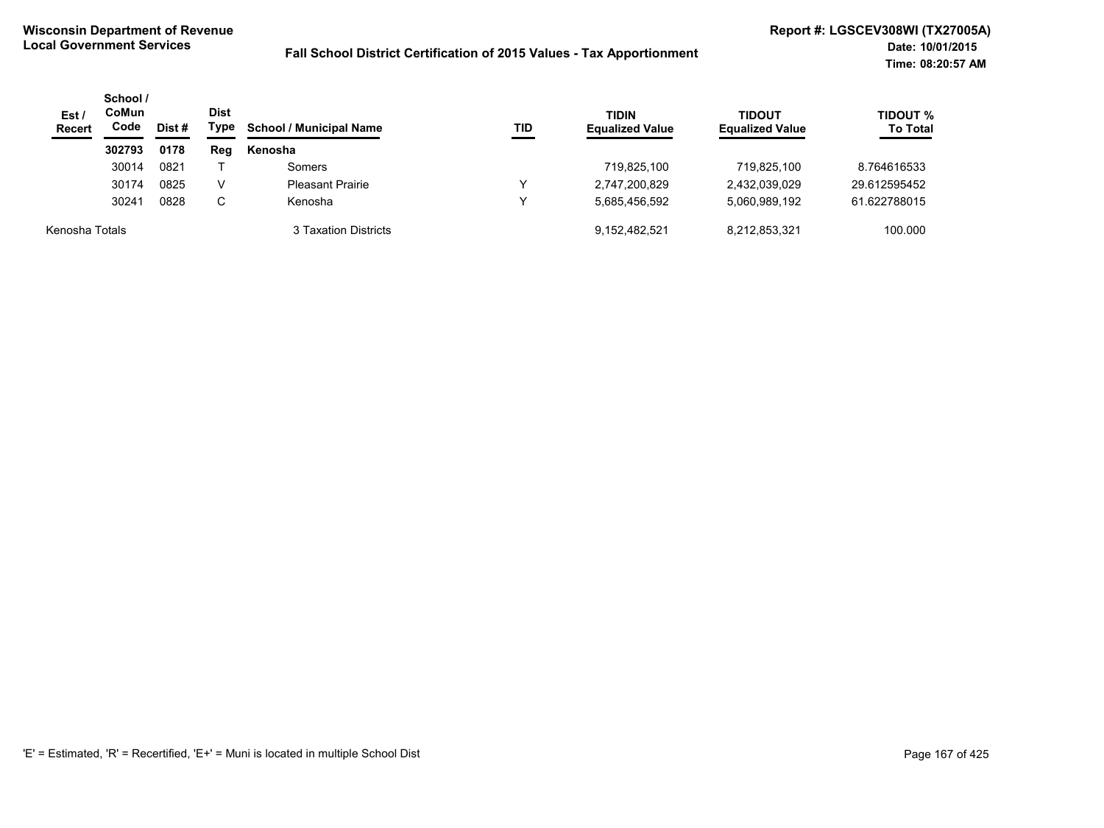| Est /<br><b>Recert</b> | School /<br>CoMun<br>Code<br>Dist # | <b>Dist</b><br>Type | <b>School / Municipal Name</b> | TID                     | <b>TIDIN</b><br><b>Equalized Value</b> | <b>TIDOUT</b><br><b>Equalized Value</b> | <b>TIDOUT %</b><br><b>To Total</b> |              |
|------------------------|-------------------------------------|---------------------|--------------------------------|-------------------------|----------------------------------------|-----------------------------------------|------------------------------------|--------------|
|                        | 302793                              | 0178                | Reg                            | Kenosha                 |                                        |                                         |                                    |              |
|                        | 30014                               | 0821                |                                | Somers                  |                                        | 719,825,100                             | 719,825,100                        | 8.764616533  |
|                        | 30174                               | 0825                | V                              | <b>Pleasant Prairie</b> |                                        | 2,747,200,829                           | 2,432,039,029                      | 29.612595452 |
|                        | 30241                               | 0828                | C                              | Kenosha                 |                                        | 5.685.456.592                           | 5,060,989,192                      | 61.622788015 |
| Kenosha Totals         |                                     |                     |                                | 3 Taxation Districts    |                                        | 9,152,482,521                           | 8,212,853,321                      | 100.000      |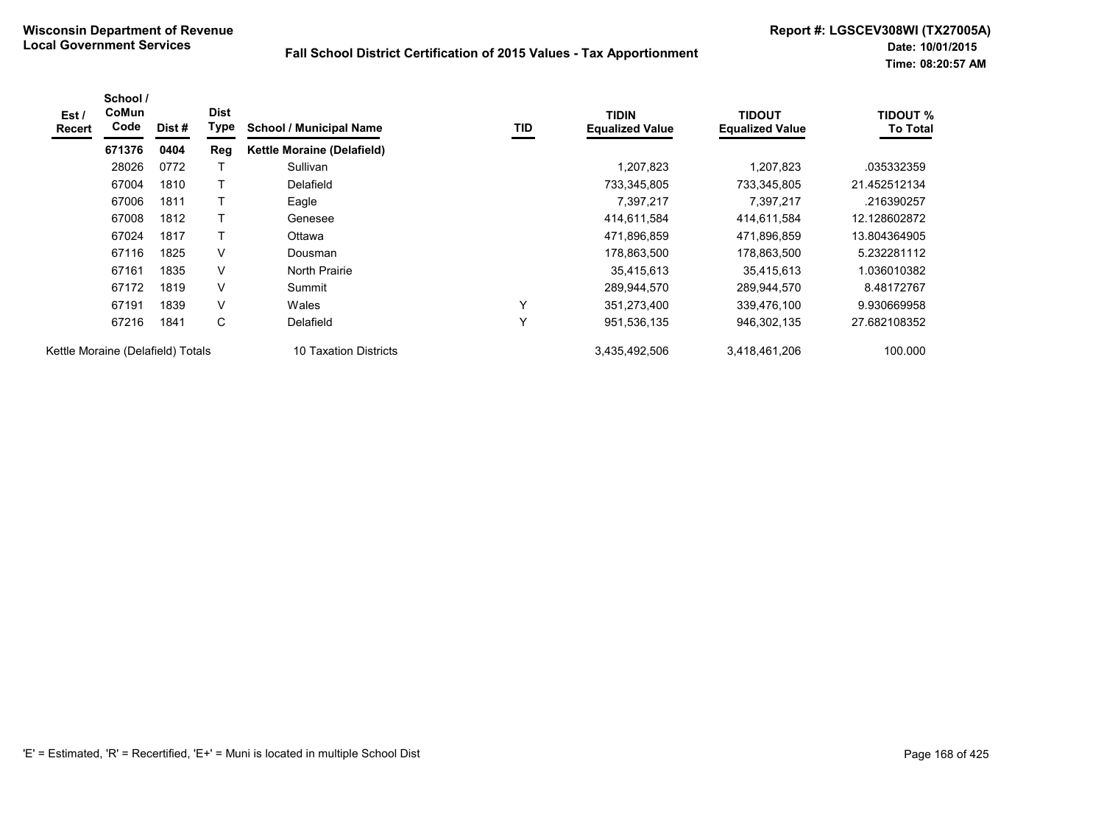| Est /<br>Recert                   | School /<br>CoMun<br>Code | Dist# | <b>Dist</b><br>Type | <b>School / Municipal Name</b>    | TID          | <b>TIDIN</b><br><b>Equalized Value</b> | TIDOUT<br><b>Equalized Value</b> | <b>TIDOUT %</b><br><b>To Total</b> |
|-----------------------------------|---------------------------|-------|---------------------|-----------------------------------|--------------|----------------------------------------|----------------------------------|------------------------------------|
|                                   | 671376                    | 0404  | Reg                 | <b>Kettle Moraine (Delafield)</b> |              |                                        |                                  |                                    |
|                                   | 28026                     | 0772  |                     | Sullivan                          |              | 1,207,823                              | 1,207,823                        | .035332359                         |
|                                   | 67004                     | 1810  |                     | Delafield                         |              | 733,345,805                            | 733,345,805                      | 21.452512134                       |
|                                   | 67006                     | 1811  |                     | Eagle                             |              | 7,397,217                              | 7,397,217                        | .216390257                         |
|                                   | 67008                     | 1812  |                     | Genesee                           |              | 414,611,584                            | 414,611,584                      | 12.128602872                       |
|                                   | 67024                     | 1817  |                     | Ottawa                            |              | 471,896,859                            | 471,896,859                      | 13.804364905                       |
|                                   | 67116                     | 1825  | $\vee$              | Dousman                           |              | 178,863,500                            | 178,863,500                      | 5.232281112                        |
|                                   | 67161                     | 1835  | V                   | <b>North Prairie</b>              |              | 35,415,613                             | 35,415,613                       | 1.036010382                        |
|                                   | 67172                     | 1819  | V                   | Summit                            |              | 289,944,570                            | 289,944,570                      | 8.48172767                         |
|                                   | 67191                     | 1839  | V                   | Wales                             | $\checkmark$ | 351,273,400                            | 339,476,100                      | 9.930669958                        |
|                                   | 67216                     | 1841  | C                   | Delafield                         | ٧            | 951,536,135                            | 946,302,135                      | 27.682108352                       |
| Kettle Moraine (Delafield) Totals |                           |       |                     | 10 Taxation Districts             |              | 3,435,492,506                          | 3,418,461,206                    | 100.000                            |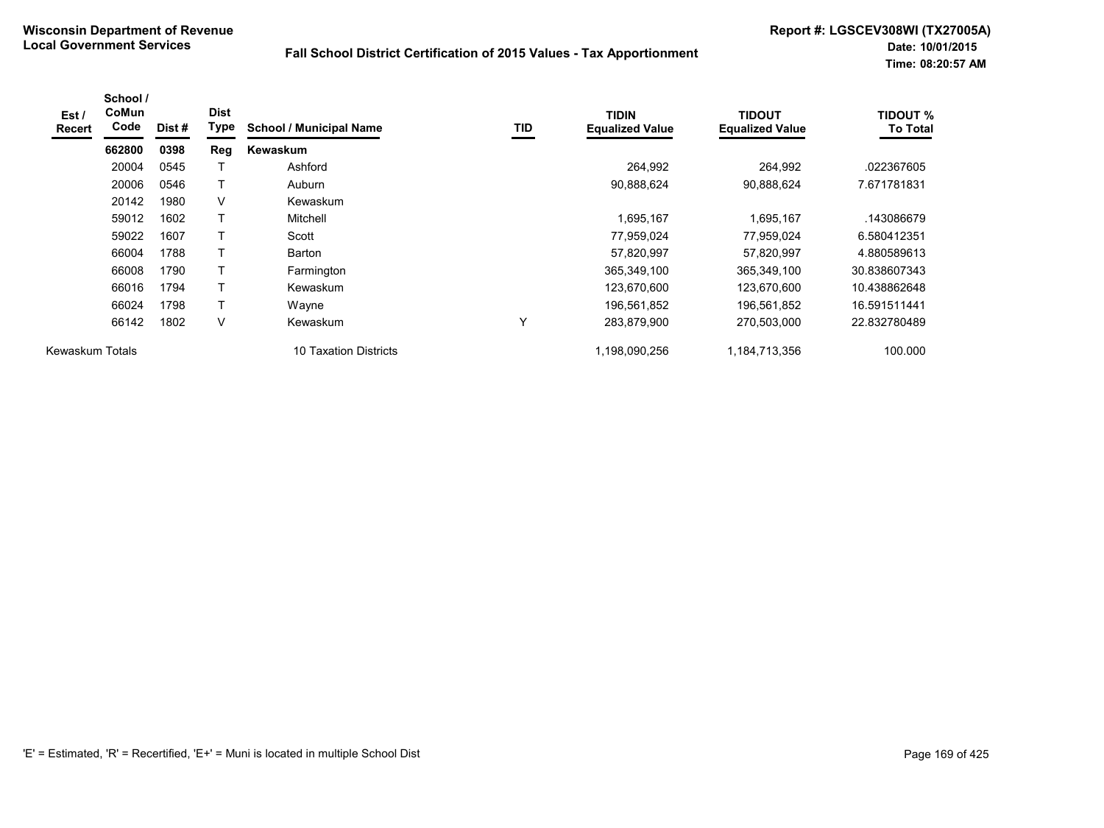| Est /<br><b>Recert</b> | School /<br>CoMun<br>Code | Dist# | <b>Dist</b><br>Type | <b>School / Municipal Name</b> | TID | <b>TIDIN</b><br><b>Equalized Value</b> | <b>TIDOUT</b><br><b>Equalized Value</b> | <b>TIDOUT %</b><br><b>To Total</b> |
|------------------------|---------------------------|-------|---------------------|--------------------------------|-----|----------------------------------------|-----------------------------------------|------------------------------------|
|                        | 662800                    | 0398  | Reg                 | Kewaskum                       |     |                                        |                                         |                                    |
|                        | 20004                     | 0545  |                     | Ashford                        |     | 264,992                                | 264,992                                 | .022367605                         |
|                        | 20006                     | 0546  | Τ                   | Auburn                         |     | 90,888,624                             | 90,888,624                              | 7.671781831                        |
|                        | 20142                     | 1980  | V                   | Kewaskum                       |     |                                        |                                         |                                    |
|                        | 59012                     | 1602  | Т                   | Mitchell                       |     | 1,695,167                              | 1,695,167                               | .143086679                         |
|                        | 59022                     | 1607  | Т                   | Scott                          |     | 77,959,024                             | 77,959,024                              | 6.580412351                        |
|                        | 66004                     | 1788  | T                   | Barton                         |     | 57,820,997                             | 57,820,997                              | 4.880589613                        |
|                        | 66008                     | 1790  |                     | Farmington                     |     | 365,349,100                            | 365,349,100                             | 30.838607343                       |
|                        | 66016                     | 1794  |                     | Kewaskum                       |     | 123,670,600                            | 123,670,600                             | 10.438862648                       |
|                        | 66024                     | 1798  | Τ                   | Wayne                          |     | 196,561,852                            | 196,561,852                             | 16.591511441                       |
|                        | 66142                     | 1802  | V                   | Kewaskum                       | Υ   | 283,879,900                            | 270,503,000                             | 22.832780489                       |
| Kewaskum Totals        |                           |       |                     | 10 Taxation Districts          |     | 1,198,090,256                          | 1,184,713,356                           | 100.000                            |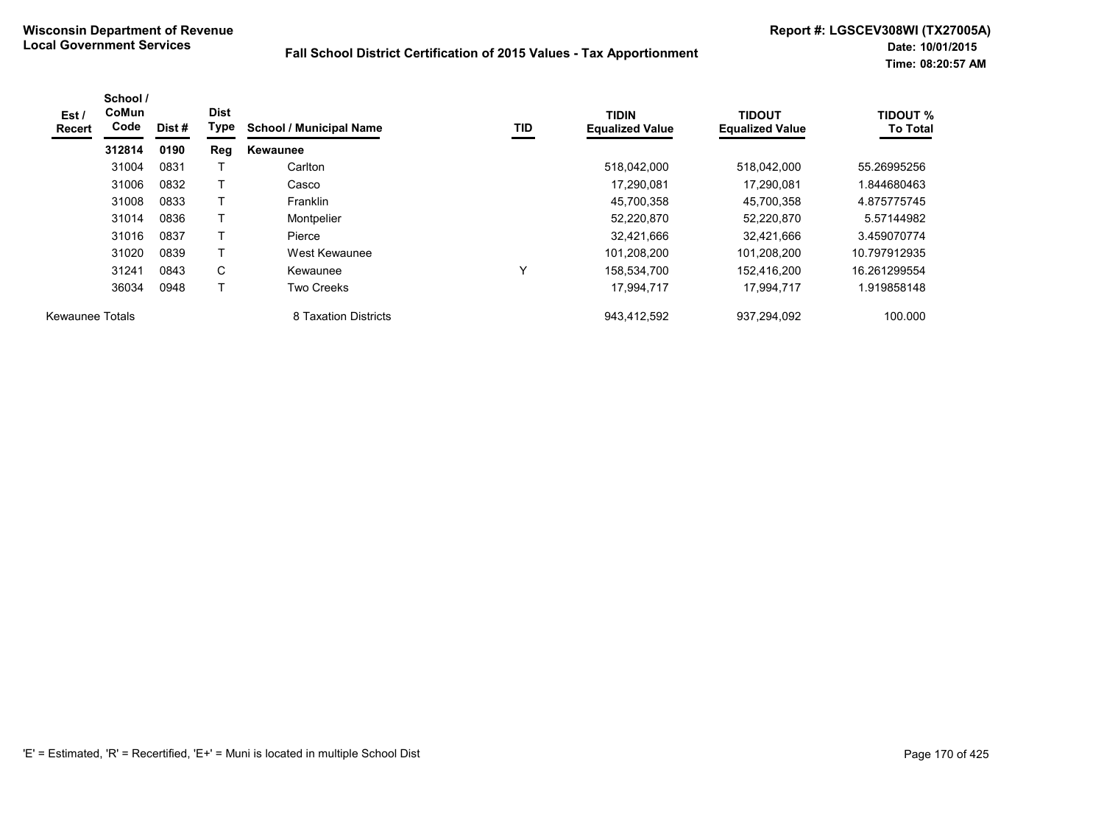| Est /<br><b>Recert</b> | School /<br><b>CoMun</b><br>Code | Dist # | <b>Dist</b><br>Type | <b>School / Municipal Name</b> | TID          | <b>TIDIN</b><br><b>Equalized Value</b> | <b>TIDOUT</b><br><b>Equalized Value</b> | <b>TIDOUT %</b><br><b>To Total</b> |
|------------------------|----------------------------------|--------|---------------------|--------------------------------|--------------|----------------------------------------|-----------------------------------------|------------------------------------|
|                        | 312814                           | 0190   | Reg                 | Kewaunee                       |              |                                        |                                         |                                    |
|                        | 31004                            | 0831   |                     | Carlton                        |              | 518,042,000                            | 518,042,000                             | 55.26995256                        |
|                        | 31006                            | 0832   |                     | Casco                          |              | 17,290,081                             | 17.290.081                              | 844680463.                         |
|                        | 31008                            | 0833   |                     | Franklin                       |              | 45,700,358                             | 45,700,358                              | 4.875775745                        |
|                        | 31014                            | 0836   |                     | Montpelier                     |              | 52,220,870                             | 52,220,870                              | 5.57144982                         |
|                        | 31016                            | 0837   |                     | Pierce                         |              | 32,421,666                             | 32,421,666                              | 3.459070774                        |
|                        | 31020                            | 0839   | T                   | West Kewaunee                  |              | 101,208,200                            | 101,208,200                             | 10.797912935                       |
|                        | 31241                            | 0843   | C                   | Kewaunee                       | $\checkmark$ | 158,534,700                            | 152,416,200                             | 16.261299554                       |
|                        | 36034                            | 0948   |                     | <b>Two Creeks</b>              |              | 17,994,717                             | 17,994,717                              | 1.919858148                        |
| <b>Kewaunee Totals</b> |                                  |        |                     | 8 Taxation Districts           |              | 943,412,592                            | 937,294,092                             | 100.000                            |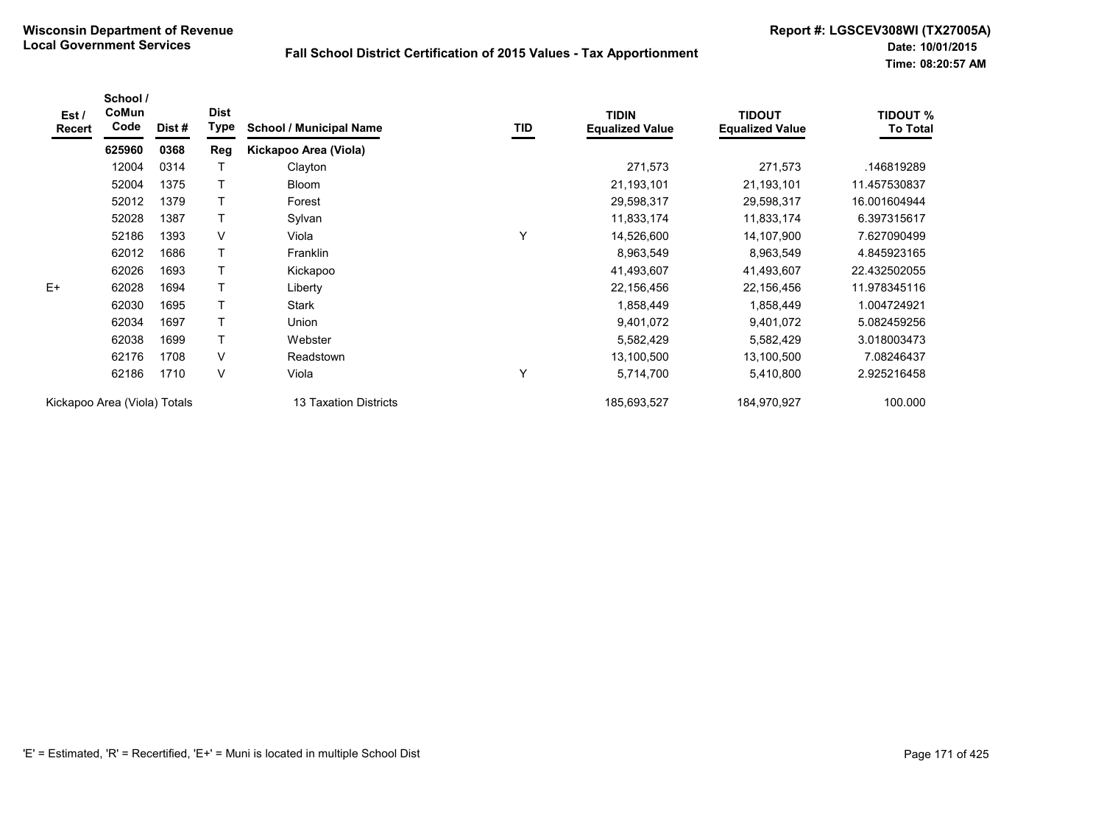| Est /<br>Recert              | School /<br>CoMun<br>Code | Dist #                | <b>Dist</b><br>Type | <b>School / Municipal Name</b> | TID         | <b>TIDIN</b><br><b>Equalized Value</b> | <b>TIDOUT</b><br><b>Equalized Value</b> | <b>TIDOUT %</b><br><b>To Total</b> |
|------------------------------|---------------------------|-----------------------|---------------------|--------------------------------|-------------|----------------------------------------|-----------------------------------------|------------------------------------|
|                              | 625960                    | 0368                  | Reg                 | Kickapoo Area (Viola)          |             |                                        |                                         |                                    |
|                              | 12004                     | 0314                  |                     | Clayton                        |             | 271,573                                | 271,573                                 | .146819289                         |
|                              | 52004                     | 1375                  |                     | <b>Bloom</b>                   |             | 21,193,101                             | 21,193,101                              | 11.457530837                       |
|                              | 52012                     | 1379                  | $\top$              | Forest                         |             | 29,598,317                             | 29,598,317                              | 16.001604944                       |
|                              | 52028                     | 1387                  | $\mathsf{T}$        | Sylvan                         |             | 11,833,174                             | 11,833,174                              | 6.397315617                        |
|                              | 52186                     | 1393                  | V                   | Viola                          | Y           | 14,526,600                             | 14,107,900                              | 7.627090499                        |
|                              | 62012                     | 1686                  | T                   | Franklin                       |             | 8,963,549                              | 8,963,549                               | 4.845923165                        |
|                              | 62026                     | 1693                  | T                   | Kickapoo                       |             | 41,493,607                             | 41,493,607                              | 22.432502055                       |
| $E+$                         | 62028                     | 1694                  | т                   | Liberty                        |             | 22,156,456                             | 22,156,456                              | 11.978345116                       |
|                              | 62030                     | 1695                  | т                   | Stark                          |             | 1,858,449                              | 1,858,449                               | 1.004724921                        |
|                              | 62034                     | 1697                  |                     | Union                          |             | 9,401,072                              | 9,401,072                               | 5.082459256                        |
|                              | 62038                     | 1699                  | т                   | Webster                        |             | 5,582,429                              | 5,582,429                               | 3.018003473                        |
|                              | 62176                     | 1708                  | V                   | Readstown                      |             | 13,100,500                             | 13,100,500                              | 7.08246437                         |
|                              | 62186                     | 1710                  | V                   | Viola                          | Y           | 5,714,700                              | 5,410,800                               | 2.925216458                        |
| Kickapoo Area (Viola) Totals |                           | 13 Taxation Districts |                     | 185,693,527                    | 184,970,927 | 100.000                                |                                         |                                    |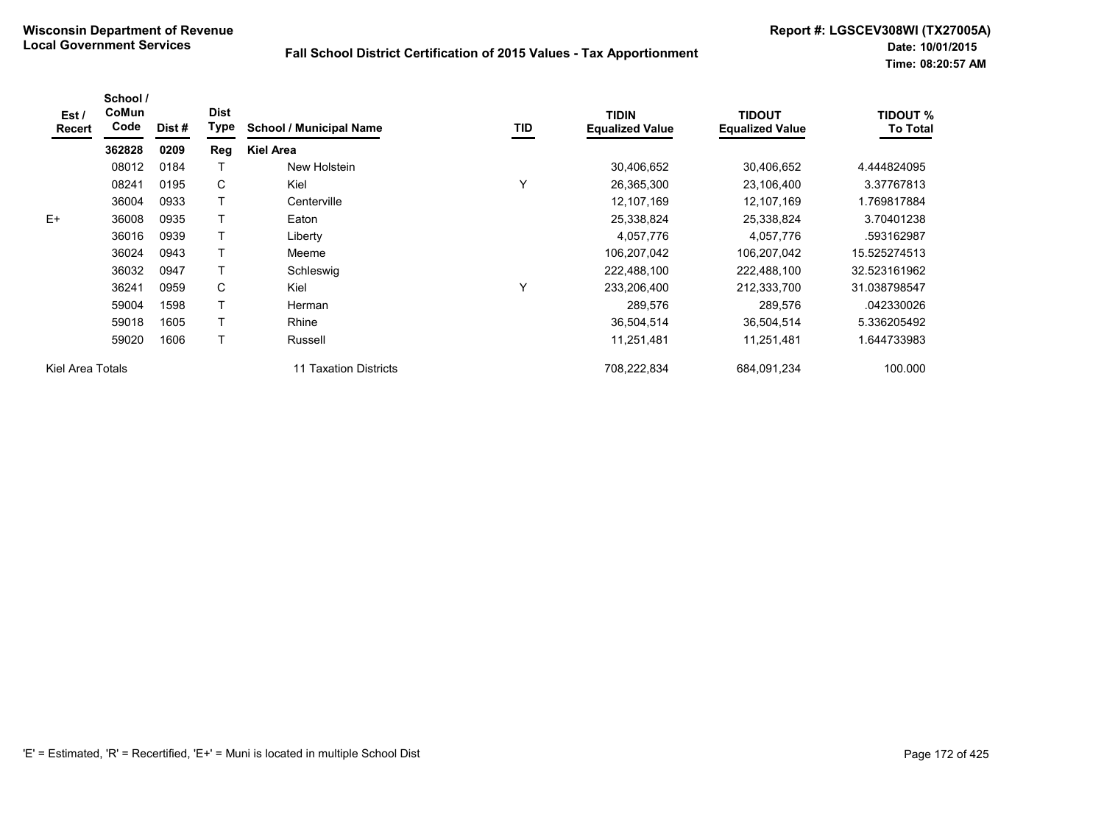| Est/<br><b>Recert</b> | School /<br>CoMun<br>Code | Dist # | <b>Dist</b><br>Type | <b>School / Municipal Name</b> | TID | <b>TIDIN</b><br><b>Equalized Value</b> | TIDOUT<br><b>Equalized Value</b> | <b>TIDOUT %</b><br><b>To Total</b> |
|-----------------------|---------------------------|--------|---------------------|--------------------------------|-----|----------------------------------------|----------------------------------|------------------------------------|
|                       | 362828                    | 0209   | Reg                 | <b>Kiel Area</b>               |     |                                        |                                  |                                    |
|                       | 08012                     | 0184   |                     | New Holstein                   |     | 30,406,652                             | 30,406,652                       | 4.444824095                        |
|                       | 08241                     | 0195   | C                   | Kiel                           | Υ   | 26,365,300                             | 23,106,400                       | 3.37767813                         |
|                       | 36004                     | 0933   |                     | Centerville                    |     | 12,107,169                             | 12,107,169                       | 1.769817884                        |
| $E+$                  | 36008                     | 0935   |                     | Eaton                          |     | 25,338,824                             | 25,338,824                       | 3.70401238                         |
|                       | 36016                     | 0939   | T                   | Liberty                        |     | 4,057,776                              | 4,057,776                        | .593162987                         |
|                       | 36024                     | 0943   | Т                   | Meeme                          |     | 106,207,042                            | 106,207,042                      | 15.525274513                       |
|                       | 36032                     | 0947   |                     | Schleswig                      |     | 222,488,100                            | 222,488,100                      | 32.523161962                       |
|                       | 36241                     | 0959   | C                   | Kiel                           | Υ   | 233,206,400                            | 212,333,700                      | 31.038798547                       |
|                       | 59004                     | 1598   | T.                  | Herman                         |     | 289,576                                | 289,576                          | .042330026                         |
|                       | 59018                     | 1605   | Т                   | Rhine                          |     | 36,504,514                             | 36,504,514                       | 5.336205492                        |
|                       | 59020                     | 1606   | T                   | Russell                        |     | 11,251,481                             | 11,251,481                       | .644733983                         |
| Kiel Area Totals      |                           |        |                     | 11 Taxation Districts          |     | 708,222,834                            | 684,091,234                      | 100.000                            |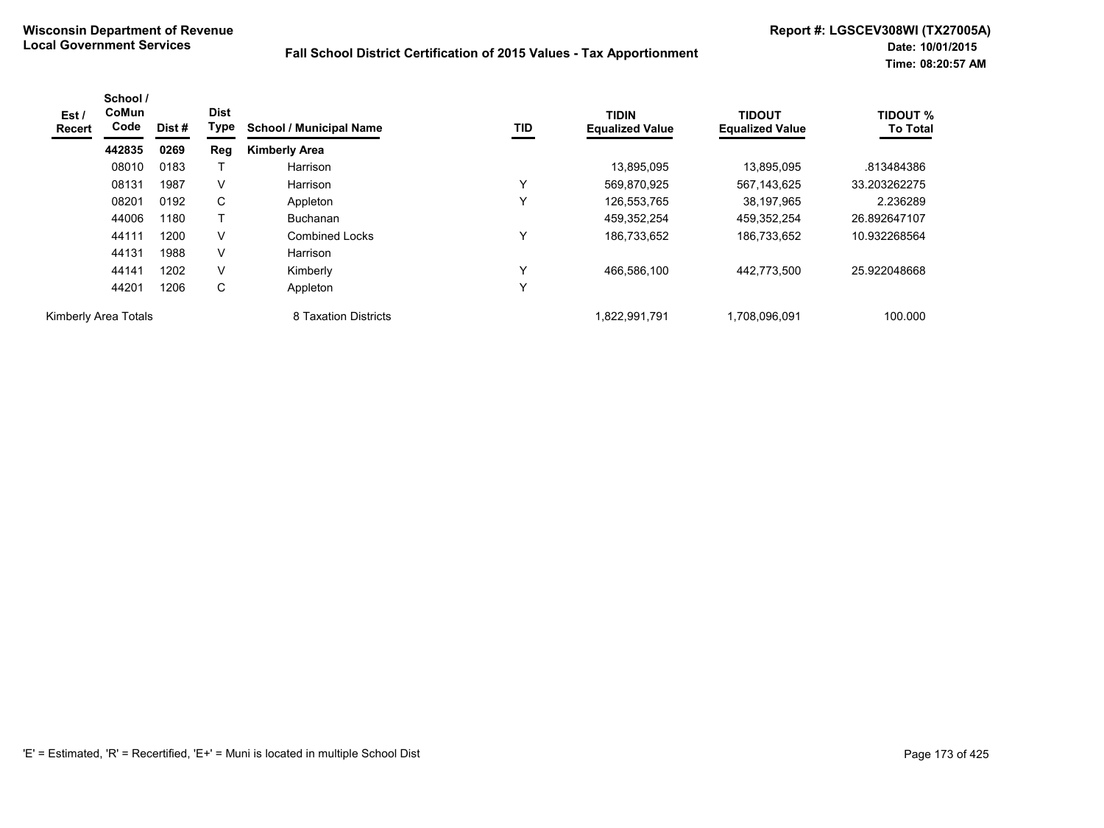| Est /<br>Recert      | School /<br>CoMun<br>Code | Dist# | <b>Dist</b><br>Type | <b>School / Municipal Name</b> | TID          | <b>TIDIN</b><br><b>Equalized Value</b> | <b>TIDOUT</b><br><b>Equalized Value</b> | <b>TIDOUT %</b><br><b>To Total</b> |
|----------------------|---------------------------|-------|---------------------|--------------------------------|--------------|----------------------------------------|-----------------------------------------|------------------------------------|
|                      | 442835                    | 0269  | Reg                 | <b>Kimberly Area</b>           |              |                                        |                                         |                                    |
|                      | 08010                     | 0183  |                     | Harrison                       |              | 13,895,095                             | 13.895.095                              | .813484386                         |
|                      | 08131                     | 1987  | V                   | Harrison                       | $\checkmark$ | 569,870,925                            | 567,143,625                             | 33.203262275                       |
|                      | 08201                     | 0192  | С                   | Appleton                       | $\checkmark$ | 126,553,765                            | 38,197,965                              | 2.236289                           |
|                      | 44006                     | 1180  |                     | <b>Buchanan</b>                |              | 459,352,254                            | 459,352,254                             | 26.892647107                       |
|                      | 44111                     | 1200  | $\vee$              | <b>Combined Locks</b>          | Υ            | 186,733,652                            | 186,733,652                             | 10.932268564                       |
|                      | 44131                     | 1988  | V                   | Harrison                       |              |                                        |                                         |                                    |
|                      | 44141                     | 1202  | V                   | Kimberly                       | $\checkmark$ | 466,586,100                            | 442.773.500                             | 25.922048668                       |
|                      | 44201                     | 1206  | C                   | Appleton                       | Υ            |                                        |                                         |                                    |
| Kimberly Area Totals |                           |       |                     | 8 Taxation Districts           |              | 1,822,991,791                          | 1,708,096,091                           | 100.000                            |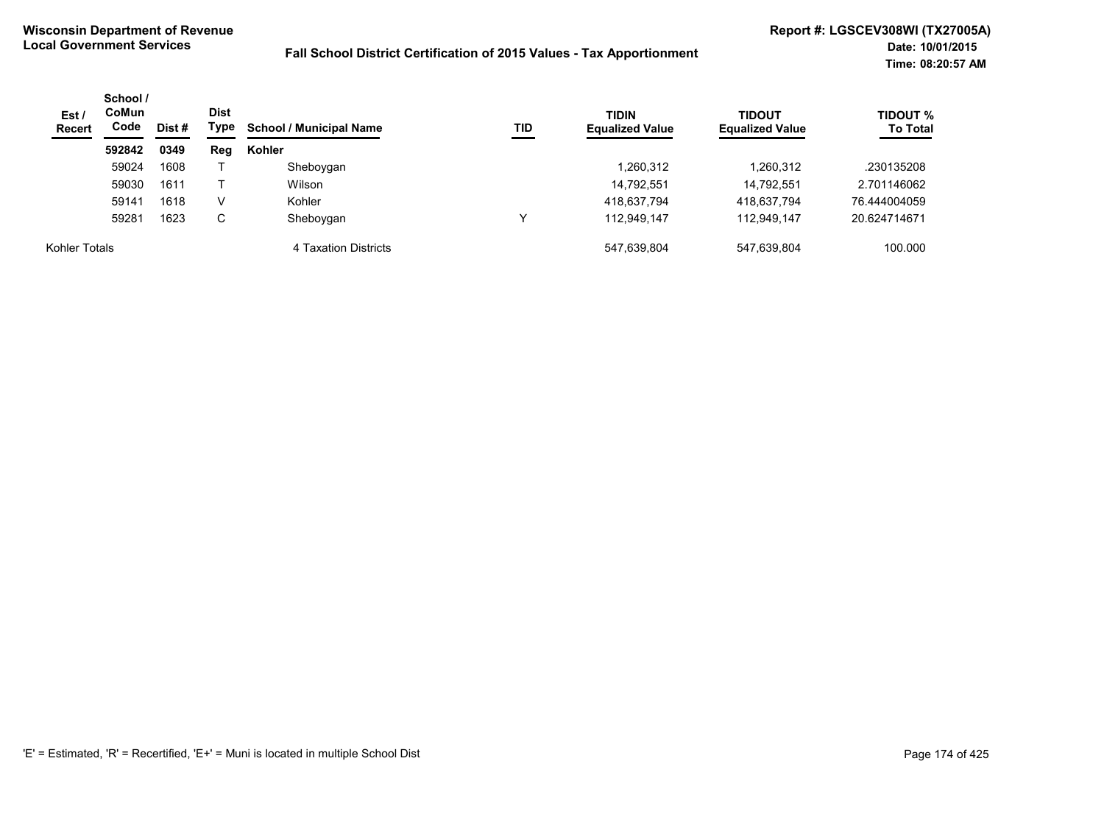| Est/<br><b>Recert</b> | School /<br><b>CoMun</b><br>Code<br>Dist # |      | <b>Dist</b><br>Type | <b>School / Municipal Name</b><br>TID | <b>TIDIN</b><br><b>Equalized Value</b> | <b>TIDOUT</b><br><b>Equalized Value</b> | <b>TIDOUT %</b><br><b>To Total</b> |              |
|-----------------------|--------------------------------------------|------|---------------------|---------------------------------------|----------------------------------------|-----------------------------------------|------------------------------------|--------------|
|                       | 592842                                     | 0349 | Reg                 | Kohler                                |                                        |                                         |                                    |              |
|                       | 59024                                      | 1608 |                     | Sheboygan                             |                                        | 1,260,312                               | 1,260,312                          | .230135208   |
|                       | 59030                                      | 1611 |                     | Wilson                                |                                        | 14,792,551                              | 14,792,551                         | 2.701146062  |
|                       | 59141                                      | 1618 | v                   | Kohler                                |                                        | 418,637,794                             | 418,637,794                        | 76.444004059 |
|                       | 59281                                      | 1623 | C                   | Sheboygan                             |                                        | 112.949.147                             | 112.949.147                        | 20.624714671 |
| Kohler Totals         |                                            |      |                     | 4 Taxation Districts                  |                                        | 547,639,804                             | 547.639.804                        | 100.000      |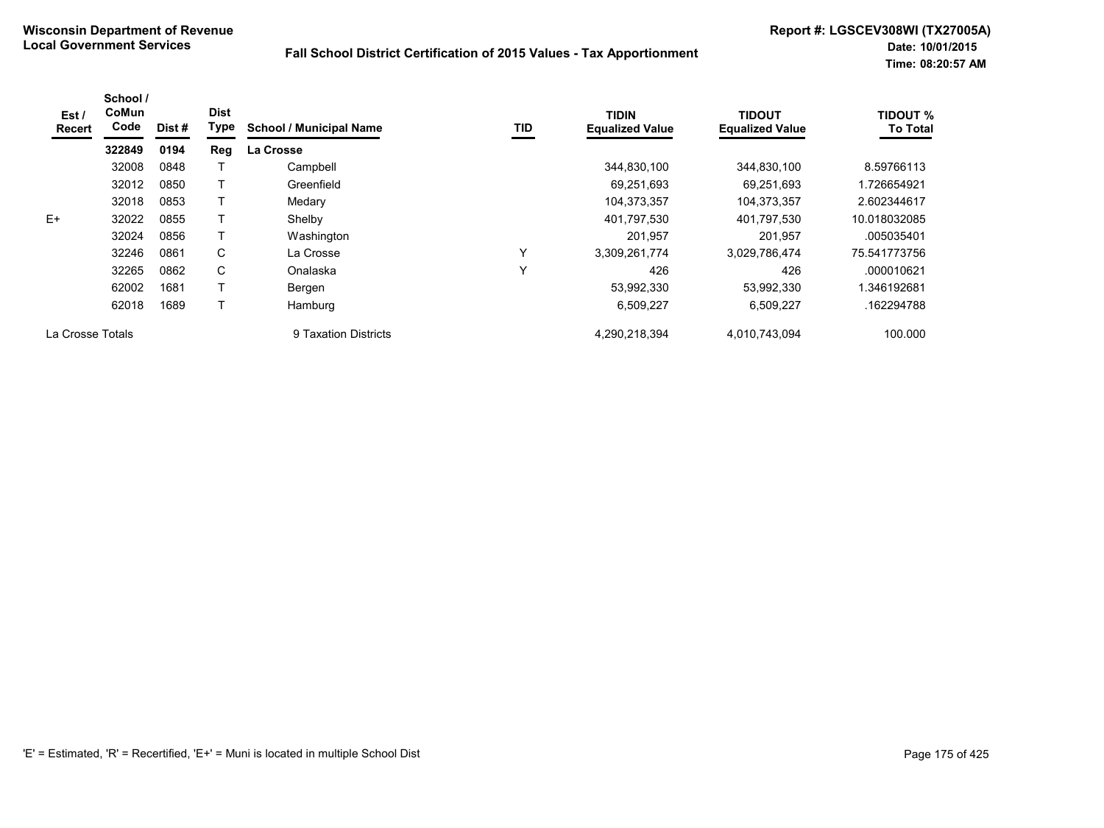| Est /<br><b>Recert</b> | School /<br>CoMun<br>Code | Dist# | <b>Dist</b><br><b>Type</b> | <b>School / Municipal Name</b> | TID          | <b>TIDIN</b><br><b>Equalized Value</b> | <b>TIDOUT</b><br><b>Equalized Value</b> | <b>TIDOUT %</b><br><b>To Total</b> |
|------------------------|---------------------------|-------|----------------------------|--------------------------------|--------------|----------------------------------------|-----------------------------------------|------------------------------------|
|                        | 322849                    | 0194  | Reg                        | La Crosse                      |              |                                        |                                         |                                    |
|                        | 32008                     | 0848  |                            | Campbell                       |              | 344,830,100                            | 344,830,100                             | 8.59766113                         |
|                        | 32012                     | 0850  |                            | Greenfield                     |              | 69,251,693                             | 69,251,693                              | 1.726654921                        |
|                        | 32018                     | 0853  |                            | Medary                         |              | 104,373,357                            | 104,373,357                             | 2.602344617                        |
| E+                     | 32022                     | 0855  |                            | Shelby                         |              | 401,797,530                            | 401,797,530                             | 10.018032085                       |
|                        | 32024                     | 0856  |                            | Washington                     |              | 201,957                                | 201,957                                 | .005035401                         |
|                        | 32246                     | 0861  | C                          | La Crosse                      | $\checkmark$ | 3,309,261,774                          | 3,029,786,474                           | 75.541773756                       |
|                        | 32265                     | 0862  | C                          | Onalaska                       | $\checkmark$ | 426                                    | 426                                     | .000010621                         |
|                        | 62002                     | 1681  |                            | Bergen                         |              | 53,992,330                             | 53.992.330                              | .346192681                         |
|                        | 62018                     | 1689  |                            | Hamburg                        |              | 6,509,227                              | 6,509,227                               | .162294788                         |
| La Crosse Totals       |                           |       |                            | 9 Taxation Districts           |              | 4,290,218,394                          | 4,010,743,094                           | 100.000                            |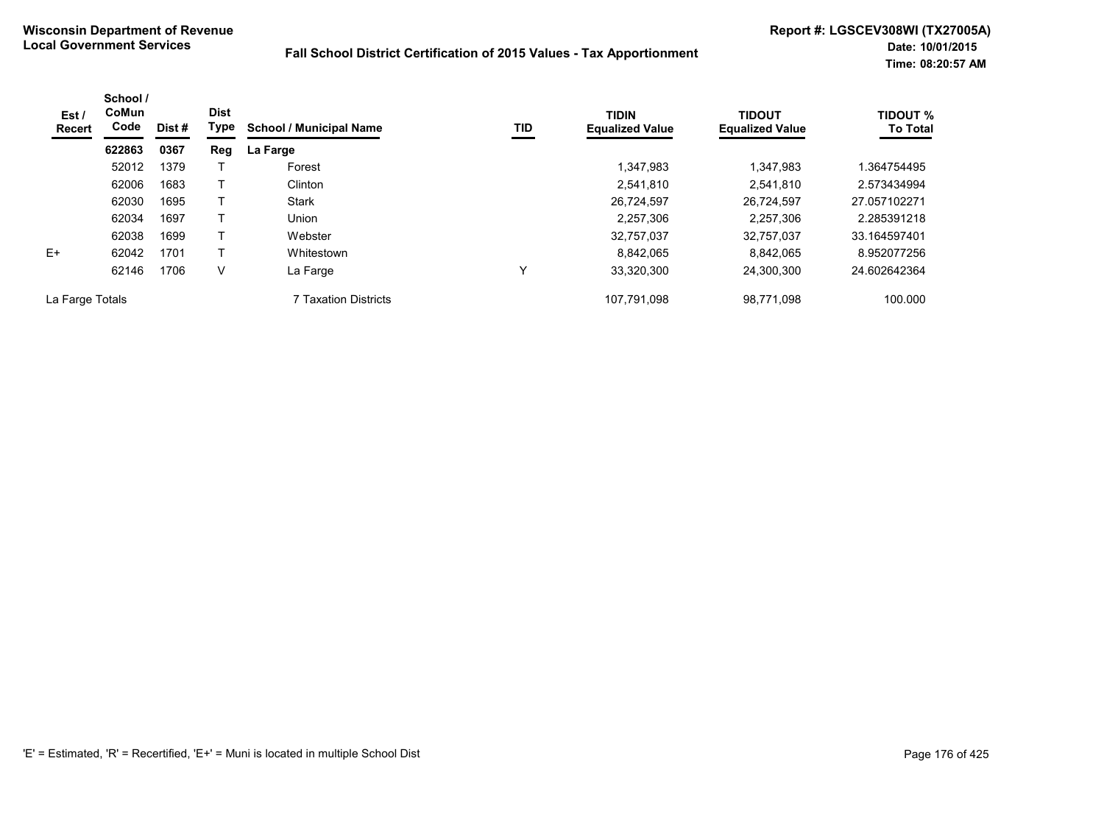| Est/<br>Recert  | School /<br>CoMun<br>Code | Dist # | <b>Dist</b><br>Type | <b>School / Municipal Name</b> | TID | <b>TIDIN</b><br><b>Equalized Value</b> | <b>TIDOUT</b><br><b>Equalized Value</b> | <b>TIDOUT %</b><br><b>To Total</b> |
|-----------------|---------------------------|--------|---------------------|--------------------------------|-----|----------------------------------------|-----------------------------------------|------------------------------------|
|                 | 622863                    | 0367   | Reg                 | La Farge                       |     |                                        |                                         |                                    |
|                 | 52012                     | 1379   |                     | Forest                         |     | 1,347,983                              | 1,347,983                               | 1.364754495                        |
|                 | 62006                     | 1683   |                     | Clinton                        |     | 2,541,810                              | 2.541.810                               | 2.573434994                        |
|                 | 62030                     | 1695   |                     | Stark                          |     | 26,724,597                             | 26.724.597                              | 27.057102271                       |
|                 | 62034                     | 1697   |                     | Union                          |     | 2,257,306                              | 2,257,306                               | 2.285391218                        |
|                 | 62038                     | 1699   |                     | Webster                        |     | 32,757,037                             | 32,757,037                              | 33.164597401                       |
| $E+$            | 62042                     | 1701   |                     | Whitestown                     |     | 8,842,065                              | 8.842.065                               | 8.952077256                        |
|                 | 62146                     | 1706   | $\vee$              | La Farge                       | Υ   | 33,320,300                             | 24.300.300                              | 24.602642364                       |
| La Farge Totals |                           |        |                     | 7 Taxation Districts           |     | 107,791,098                            | 98,771,098                              | 100.000                            |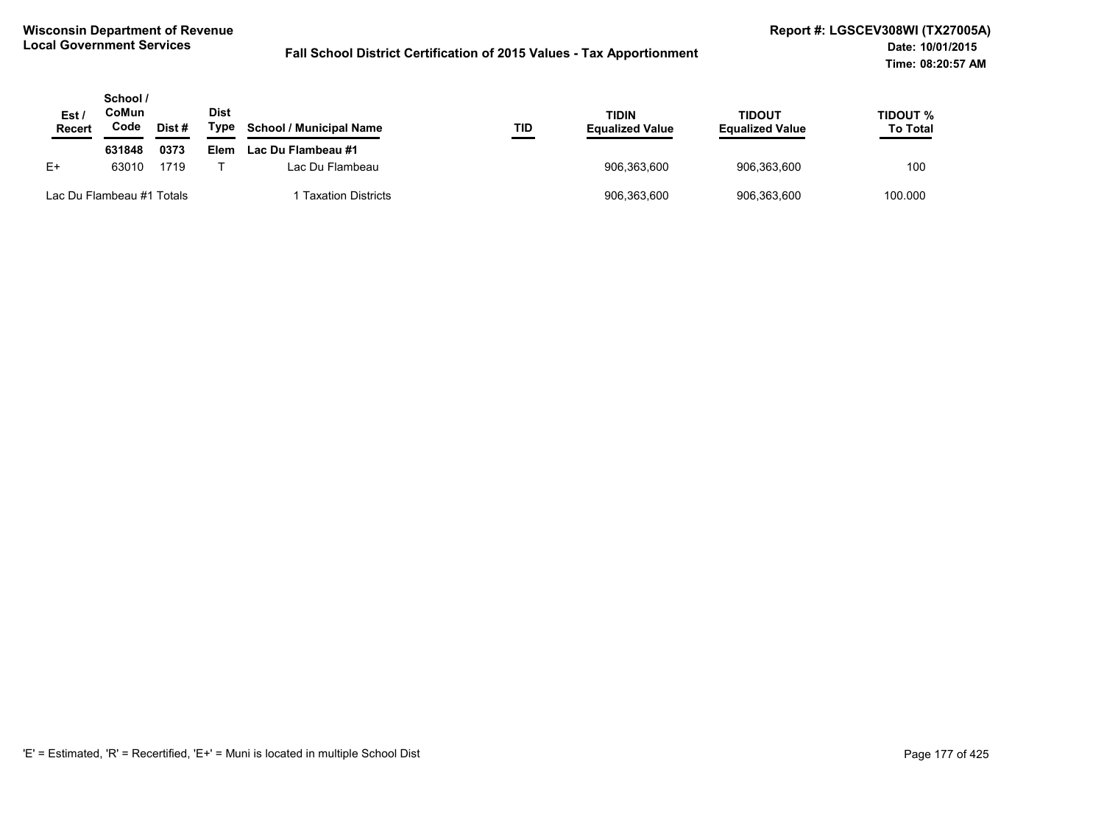| Est /<br>Recert           | School /<br>CoMun<br>Code | Dist# | <b>Dist</b><br>Type | <b>School / Municipal Name</b> | TID | <b>TIDIN</b><br><b>Equalized Value</b> | <b>TIDOUT</b><br><b>Equalized Value</b> | TIDOUT %<br><b>To Total</b> |
|---------------------------|---------------------------|-------|---------------------|--------------------------------|-----|----------------------------------------|-----------------------------------------|-----------------------------|
|                           | 631848                    | 0373  | Elem                | Lac Du Flambeau #1             |     |                                        |                                         |                             |
| $E+$                      | 63010                     | 1719  |                     | Lac Du Flambeau                |     | 906,363,600                            | 906.363.600                             | 100                         |
| Lac Du Flambeau #1 Totals |                           |       |                     | <b>Taxation Districts</b>      |     | 906,363,600                            | 906.363.600                             | 100.000                     |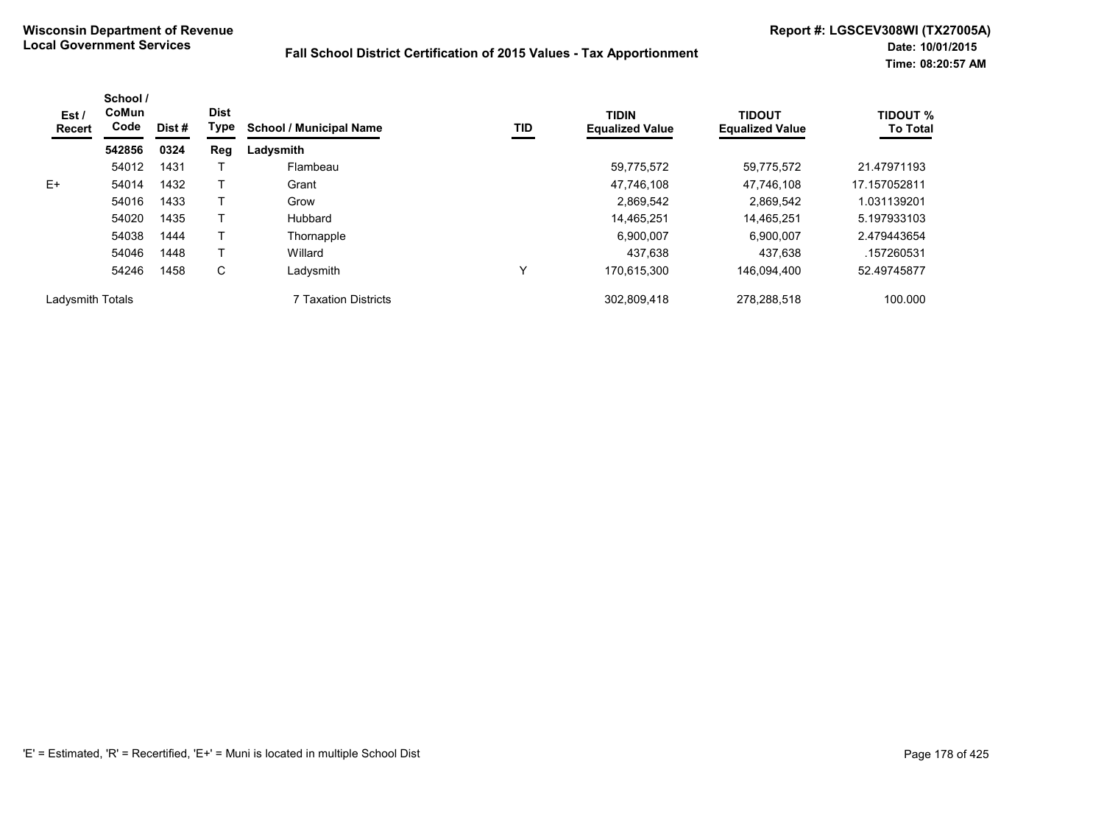| Est /<br>Recert  | School /<br>CoMun<br>Code | Dist # | <b>Dist</b><br>Type | <b>School / Municipal Name</b> | TID | <b>TIDIN</b><br><b>Equalized Value</b> | <b>TIDOUT</b><br><b>Equalized Value</b> | <b>TIDOUT %</b><br><b>To Total</b> |
|------------------|---------------------------|--------|---------------------|--------------------------------|-----|----------------------------------------|-----------------------------------------|------------------------------------|
|                  | 542856                    | 0324   | Reg                 | Ladysmith                      |     |                                        |                                         |                                    |
|                  | 54012                     | 1431   |                     | Flambeau                       |     | 59,775,572                             | 59.775.572                              | 21.47971193                        |
| $E+$             | 54014                     | 1432   |                     | Grant                          |     | 47,746,108                             | 47,746,108                              | 17.157052811                       |
|                  | 54016                     | 1433   |                     | Grow                           |     | 2,869,542                              | 2.869.542                               | 1.031139201                        |
|                  | 54020                     | 1435   |                     | Hubbard                        |     | 14,465,251                             | 14.465.251                              | 5.197933103                        |
|                  | 54038                     | 1444   |                     | Thornapple                     |     | 6,900,007                              | 6,900,007                               | 2.479443654                        |
|                  | 54046                     | 1448   |                     | Willard                        |     | 437.638                                | 437.638                                 | .157260531                         |
|                  | 54246                     | 1458   | С                   | Ladysmith                      | Υ   | 170.615.300                            | 146.094.400                             | 52.49745877                        |
| Ladysmith Totals |                           |        |                     | 7 Taxation Districts           |     | 302,809,418                            | 278,288,518                             | 100.000                            |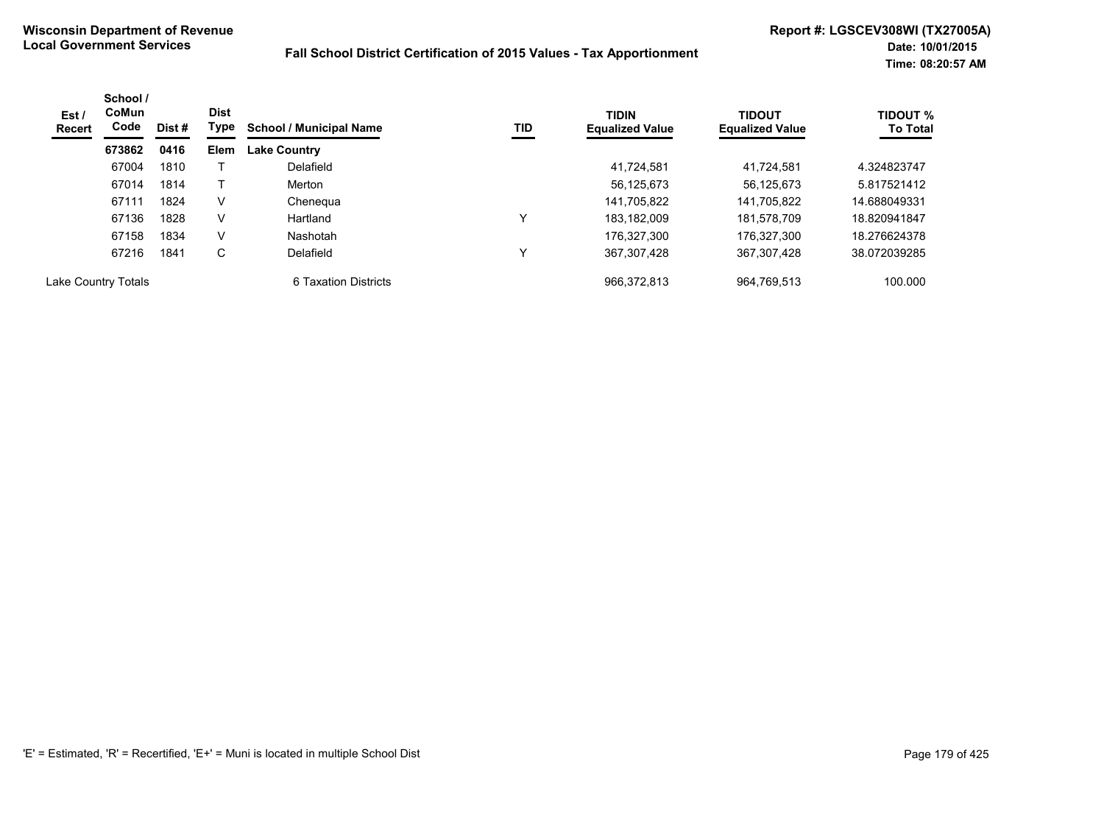| Est /<br>Recert     | School /<br><b>CoMun</b><br>Code | Dist # | <b>Dist</b><br>Type | <b>School / Municipal Name</b> | TID          | <b>TIDIN</b><br><b>Equalized Value</b> | <b>TIDOUT</b><br><b>Equalized Value</b> | <b>TIDOUT %</b><br><b>To Total</b> |
|---------------------|----------------------------------|--------|---------------------|--------------------------------|--------------|----------------------------------------|-----------------------------------------|------------------------------------|
|                     | 673862                           | 0416   | <b>Elem</b>         | <b>Lake Country</b>            |              |                                        |                                         |                                    |
|                     | 67004                            | 1810   |                     | Delafield                      |              | 41,724,581                             | 41.724.581                              | 4.324823747                        |
|                     | 67014                            | 1814   |                     | Merton                         |              | 56,125,673                             | 56.125.673                              | 5.817521412                        |
|                     | 67111                            | 1824   | V                   | Chenegua                       |              | 141,705,822                            | 141.705.822                             | 14.688049331                       |
|                     | 67136                            | 1828   | v                   | Hartland                       | $\checkmark$ | 183.182.009                            | 181.578.709                             | 18.820941847                       |
|                     | 67158                            | 1834   | V                   | Nashotah                       |              | 176.327.300                            | 176.327.300                             | 18.276624378                       |
|                     | 67216                            | 1841   | С                   | Delafield                      | $\checkmark$ | 367,307,428                            | 367,307,428                             | 38.072039285                       |
| Lake Country Totals |                                  |        |                     | 6 Taxation Districts           |              | 966.372.813                            | 964.769.513                             | 100.000                            |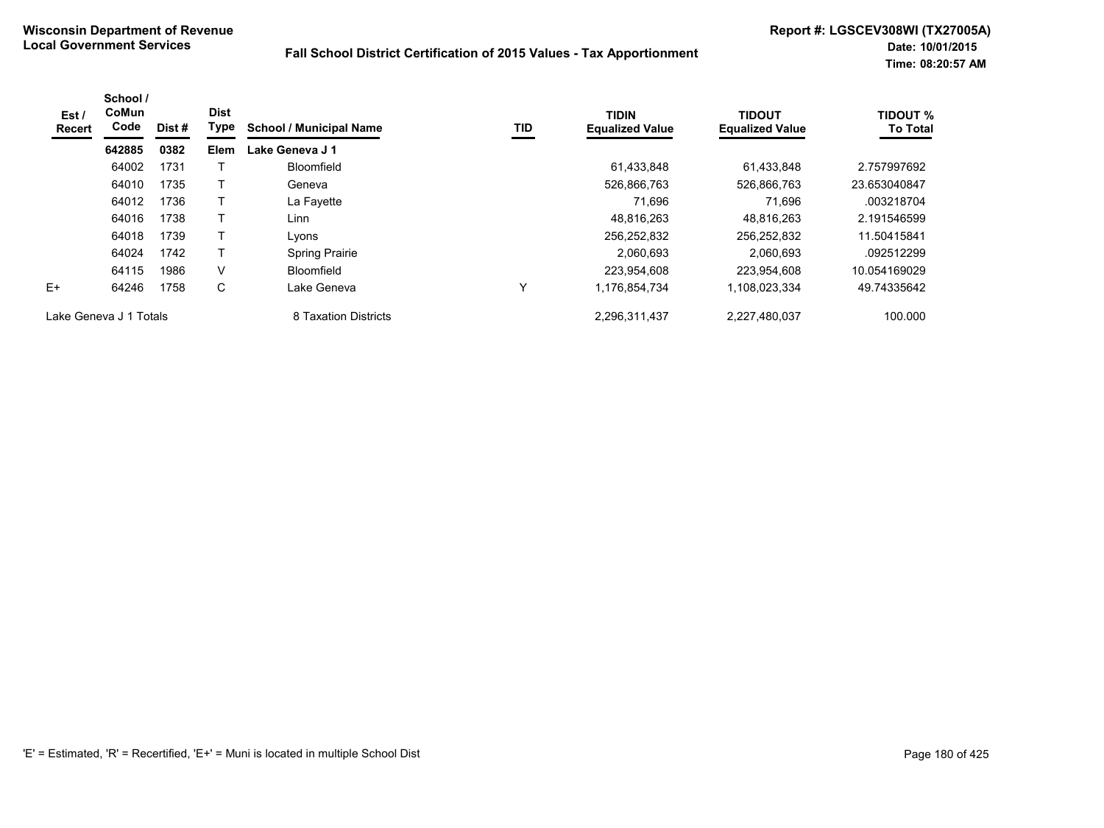| Est /<br>Recert        | School /<br>CoMun<br>Code | Dist # | <b>Dist</b><br>Type | <b>School / Municipal Name</b> | TID | <b>TIDIN</b><br><b>Equalized Value</b> | <b>TIDOUT</b><br><b>Equalized Value</b> | <b>TIDOUT %</b><br><b>To Total</b> |
|------------------------|---------------------------|--------|---------------------|--------------------------------|-----|----------------------------------------|-----------------------------------------|------------------------------------|
|                        | 642885                    | 0382   | Elem                | Lake Geneva J 1                |     |                                        |                                         |                                    |
|                        | 64002                     | 1731   |                     | Bloomfield                     |     | 61,433,848                             | 61.433.848                              | 2.757997692                        |
|                        | 64010                     | 1735   |                     | Geneva                         |     | 526,866,763                            | 526,866,763                             | 23.653040847                       |
|                        | 64012                     | 1736   |                     | La Fayette                     |     | 71.696                                 | 71.696                                  | .003218704                         |
|                        | 64016                     | 1738   |                     | Linn                           |     | 48,816,263                             | 48.816.263                              | 2.191546599                        |
|                        | 64018                     | 1739   |                     | Lyons                          |     | 256,252,832                            | 256,252,832                             | 11.50415841                        |
|                        | 64024                     | 1742   |                     | <b>Spring Prairie</b>          |     | 2,060,693                              | 2,060,693                               | .092512299                         |
|                        | 64115                     | 1986   | V                   | Bloomfield                     |     | 223,954,608                            | 223.954.608                             | 10.054169029                       |
| $E+$                   | 64246                     | 1758   | C                   | Lake Geneva                    | Υ   | 1,176,854,734                          | 1,108,023,334                           | 49.74335642                        |
| Lake Geneva J 1 Totals |                           |        |                     | 8 Taxation Districts           |     | 2,296,311,437                          | 2,227,480,037                           | 100.000                            |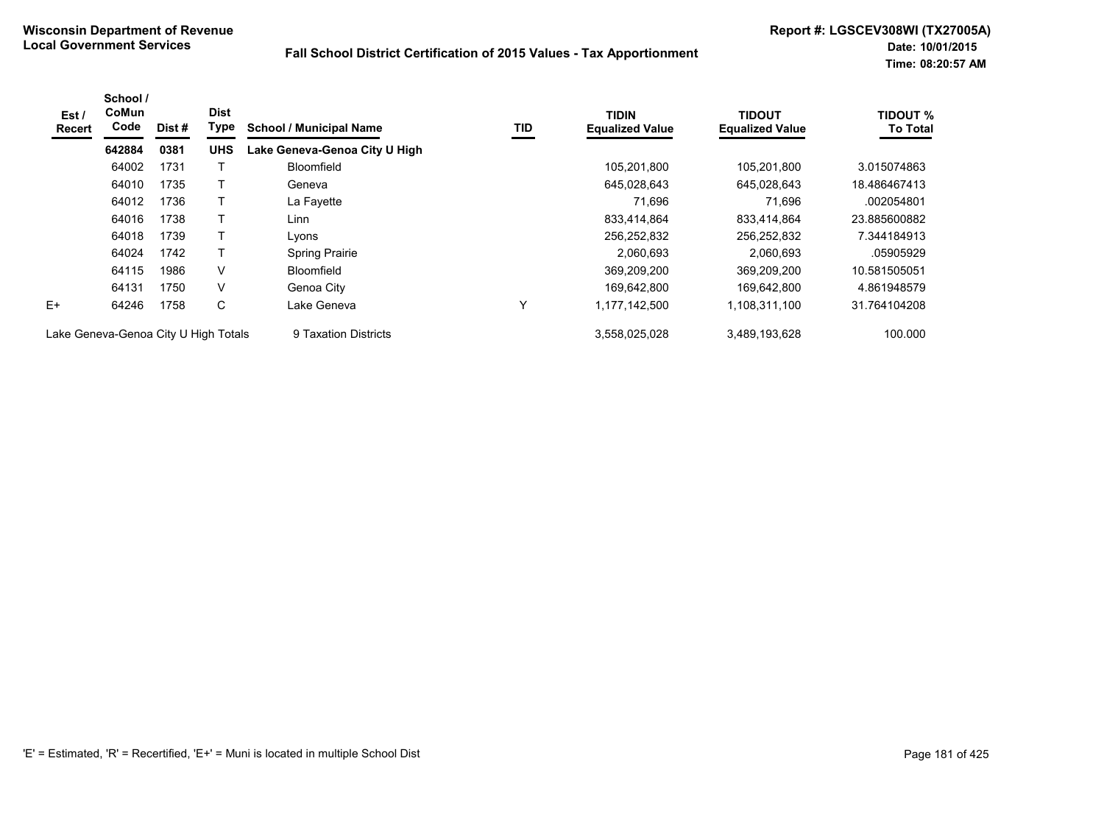| Est /<br>Recert                      | School /<br><b>CoMun</b><br>Code | Dist # | <b>Dist</b><br>Type | <b>School / Municipal Name</b> | TID          | <b>TIDIN</b><br><b>Equalized Value</b> | <b>TIDOUT</b><br><b>Equalized Value</b> | <b>TIDOUT %</b><br><b>To Total</b> |
|--------------------------------------|----------------------------------|--------|---------------------|--------------------------------|--------------|----------------------------------------|-----------------------------------------|------------------------------------|
|                                      | 642884                           | 0381   | <b>UHS</b>          | Lake Geneva-Genoa City U High  |              |                                        |                                         |                                    |
|                                      | 64002                            | 1731   |                     | Bloomfield                     |              | 105,201,800                            | 105,201,800                             | 3.015074863                        |
|                                      | 64010                            | 1735   |                     | Geneva                         |              | 645,028,643                            | 645,028,643                             | 18.486467413                       |
|                                      | 64012                            | 1736   |                     | La Fayette                     |              | 71.696                                 | 71,696                                  | .002054801                         |
|                                      | 64016                            | 1738   |                     | Linn                           |              | 833,414,864                            | 833.414.864                             | 23.885600882                       |
|                                      | 64018                            | 1739   |                     | Lyons                          |              | 256,252,832                            | 256,252,832                             | 7.344184913                        |
|                                      | 64024                            | 1742   |                     | <b>Spring Prairie</b>          |              | 2,060,693                              | 2,060,693                               | .05905929                          |
|                                      | 64115                            | 1986   | V                   | <b>Bloomfield</b>              |              | 369,209,200                            | 369,209,200                             | 10.581505051                       |
|                                      | 64131                            | 1750   | V                   | Genoa City                     |              | 169,642,800                            | 169,642,800                             | 4.861948579                        |
| $E+$                                 | 64246                            | 1758   | C                   | Lake Geneva                    | $\checkmark$ | 1,177,142,500                          | 1,108,311,100                           | 31.764104208                       |
| Lake Geneva-Genoa City U High Totals |                                  |        |                     | 9 Taxation Districts           |              | 3,558,025,028                          | 3,489,193,628                           | 100.000                            |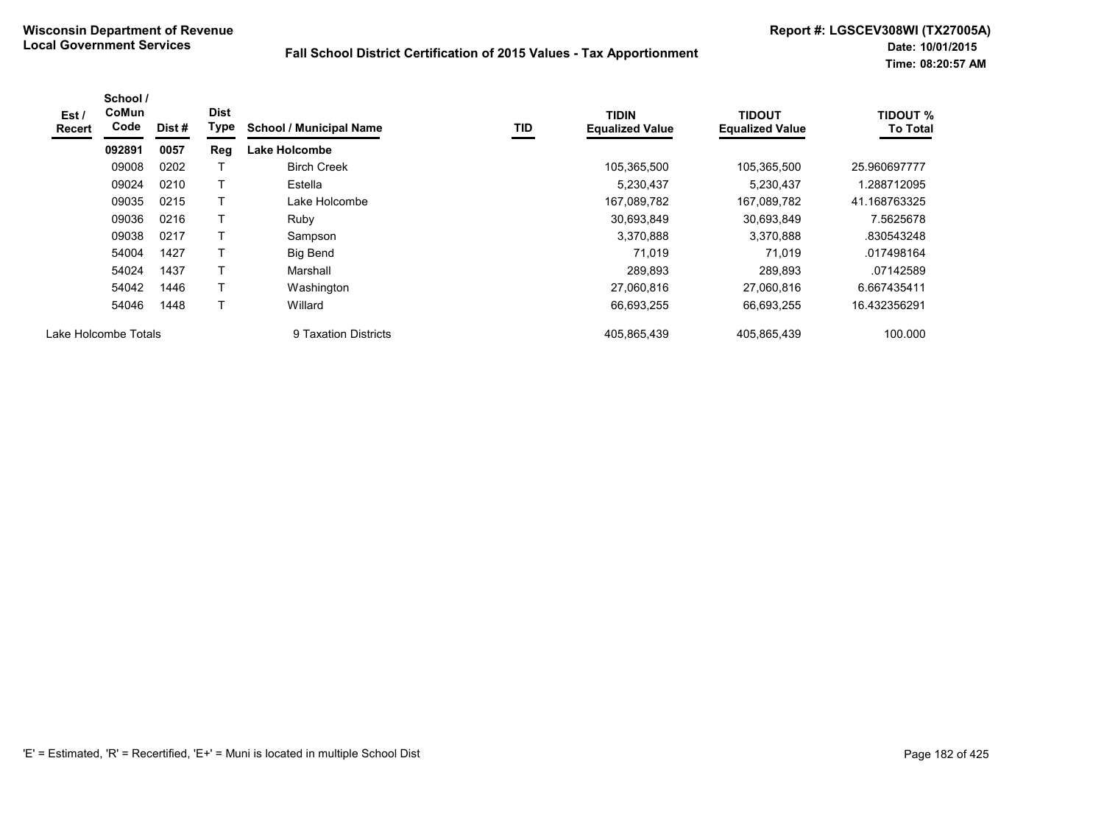| Est /<br><b>Recert</b> | School /<br>CoMun<br>Code | Dist# | <b>Dist</b><br>Type | <b>School / Municipal Name</b> | <b>TID</b> | <b>TIDIN</b><br><b>Equalized Value</b> | <b>TIDOUT</b><br><b>Equalized Value</b> | <b>TIDOUT %</b><br><b>To Total</b> |
|------------------------|---------------------------|-------|---------------------|--------------------------------|------------|----------------------------------------|-----------------------------------------|------------------------------------|
|                        | 092891                    | 0057  | Reg                 | <b>Lake Holcombe</b>           |            |                                        |                                         |                                    |
|                        | 09008                     | 0202  |                     | <b>Birch Creek</b>             |            | 105,365,500                            | 105.365.500                             | 25.960697777                       |
|                        | 09024                     | 0210  |                     | Estella                        |            | 5,230,437                              | 5,230,437                               | 1.288712095                        |
|                        | 09035                     | 0215  |                     | Lake Holcombe                  |            | 167,089,782                            | 167,089,782                             | 41.168763325                       |
|                        | 09036                     | 0216  |                     | Ruby                           |            | 30,693,849                             | 30,693,849                              | 7.5625678                          |
|                        | 09038                     | 0217  | т                   | Sampson                        |            | 3,370,888                              | 3,370,888                               | .830543248                         |
|                        | 54004                     | 1427  |                     | Big Bend                       |            | 71.019                                 | 71.019                                  | .017498164                         |
|                        | 54024                     | 1437  | т                   | Marshall                       |            | 289.893                                | 289.893                                 | .07142589                          |
|                        | 54042                     | 1446  | Т                   | Washington                     |            | 27,060,816                             | 27.060.816                              | 6.667435411                        |
|                        | 54046                     | 1448  | $\mathbf \tau$      | Willard                        |            | 66,693,255                             | 66,693,255                              | 16.432356291                       |
|                        | Lake Holcombe Totals      |       |                     | 9 Taxation Districts           |            | 405.865.439                            | 405,865,439                             | 100.000                            |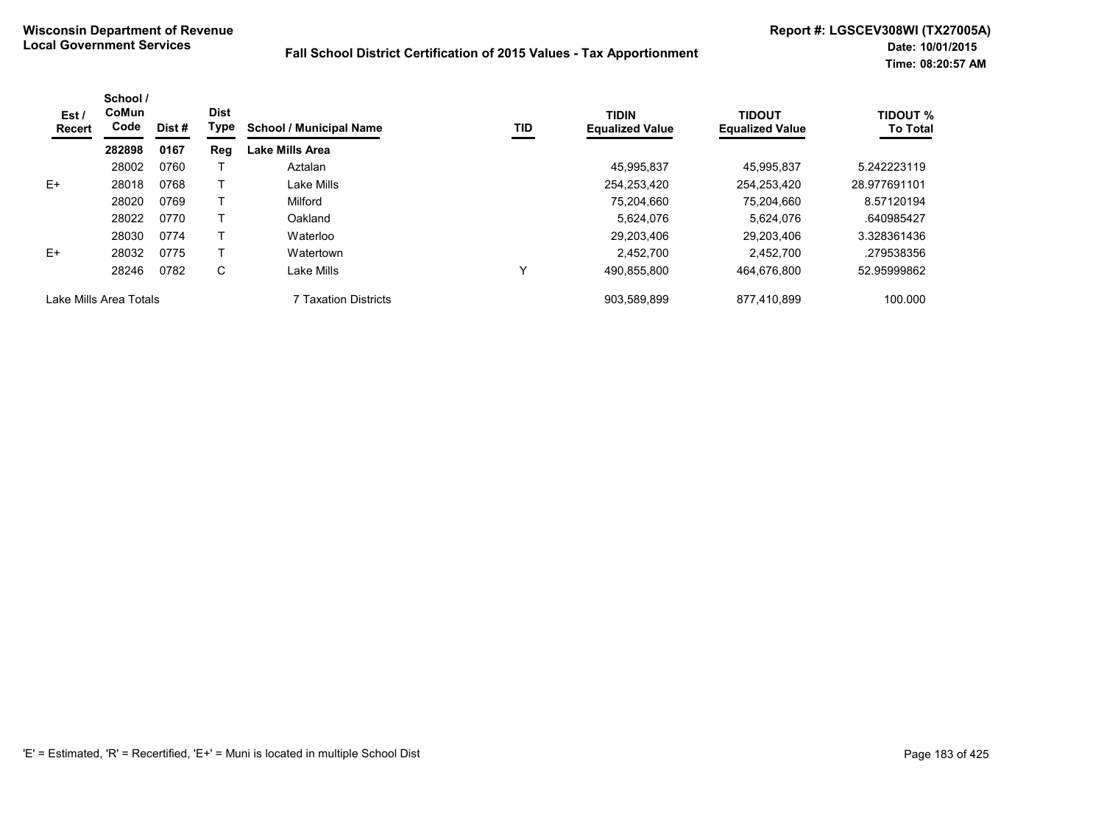| Est/<br><b>Recert</b> | School /<br>CoMun<br>Code | Dist # | <b>Dist</b><br>Type | <b>School / Municipal Name</b> | TID | <b>TIDIN</b><br><b>Equalized Value</b> | <b>TIDOUT</b><br><b>Equalized Value</b> | <b>TIDOUT %</b><br><b>To Total</b> |
|-----------------------|---------------------------|--------|---------------------|--------------------------------|-----|----------------------------------------|-----------------------------------------|------------------------------------|
|                       | 282898                    | 0167   | Reg                 | Lake Mills Area                |     |                                        |                                         |                                    |
|                       | 28002                     | 0760   |                     | Aztalan                        |     | 45.995.837                             | 45,995,837                              | 5.242223119                        |
| E+                    | 28018                     | 0768   |                     | Lake Mills                     |     | 254,253,420                            | 254.253.420                             | 28.977691101                       |
|                       | 28020                     | 0769   |                     | Milford                        |     | 75.204.660                             | 75.204.660                              | 8.57120194                         |
|                       | 28022                     | 0770   |                     | Oakland                        |     | 5.624.076                              | 5.624.076                               | .640985427                         |
|                       | 28030                     | 0774   |                     | Waterloo                       |     | 29,203,406                             | 29,203,406                              | 3.328361436                        |
| $E+$                  | 28032                     | 0775   |                     | Watertown                      |     | 2.452.700                              | 2.452.700                               | .279538356                         |
|                       | 28246                     | 0782   | С                   | Lake Mills                     | Υ   | 490,855,800                            | 464.676.800                             | 52.95999862                        |
|                       | Lake Mills Area Totals    |        |                     | 7 Taxation Districts           |     | 903,589,899                            | 877,410,899                             | 100.000                            |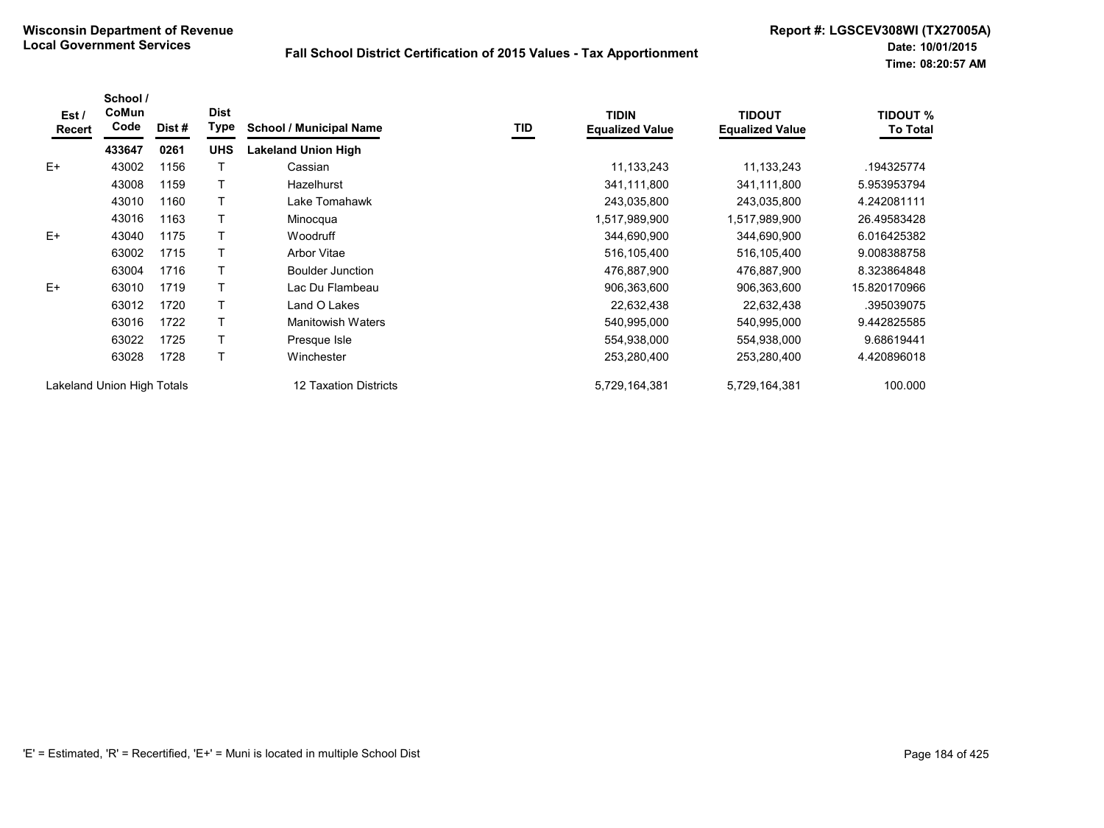| Est /<br>Recert | School /<br>CoMun<br>Code  | Dist # | <b>Dist</b><br><b>Type</b> | <b>School / Municipal Name</b> | TID | <b>TIDIN</b><br><b>Equalized Value</b> | TIDOUT<br><b>Equalized Value</b> | <b>TIDOUT %</b><br><b>To Total</b> |
|-----------------|----------------------------|--------|----------------------------|--------------------------------|-----|----------------------------------------|----------------------------------|------------------------------------|
|                 | 433647                     | 0261   | <b>UHS</b>                 | <b>Lakeland Union High</b>     |     |                                        |                                  |                                    |
| $E+$            | 43002                      | 1156   |                            | Cassian                        |     | 11,133,243                             | 11,133,243                       | .194325774                         |
|                 | 43008                      | 1159   |                            | Hazelhurst                     |     | 341,111,800                            | 341,111,800                      | 5.953953794                        |
|                 | 43010                      | 1160   |                            | Lake Tomahawk                  |     | 243,035,800                            | 243,035,800                      | 4.242081111                        |
|                 | 43016                      | 1163   |                            | Minocqua                       |     | 1,517,989,900                          | 1,517,989,900                    | 26.49583428                        |
| $E+$            | 43040                      | 1175   |                            | Woodruff                       |     | 344,690,900                            | 344,690,900                      | 6.016425382                        |
|                 | 63002                      | 1715   |                            | <b>Arbor Vitae</b>             |     | 516,105,400                            | 516,105,400                      | 9.008388758                        |
|                 | 63004                      | 1716   |                            | <b>Boulder Junction</b>        |     | 476,887,900                            | 476,887,900                      | 8.323864848                        |
| $E+$            | 63010                      | 1719   | т                          | Lac Du Flambeau                |     | 906,363,600                            | 906,363,600                      | 15.820170966                       |
|                 | 63012                      | 1720   |                            | Land O Lakes                   |     | 22,632,438                             | 22,632,438                       | .395039075                         |
|                 | 63016                      | 1722   |                            | <b>Manitowish Waters</b>       |     | 540,995,000                            | 540,995,000                      | 9.442825585                        |
|                 | 63022                      | 1725   |                            | Presque Isle                   |     | 554,938,000                            | 554,938,000                      | 9.68619441                         |
|                 | 63028                      | 1728   |                            | Winchester                     |     | 253,280,400                            | 253,280,400                      | 4.420896018                        |
|                 | Lakeland Union High Totals |        |                            | 12 Taxation Districts          |     | 5,729,164,381                          | 5,729,164,381                    | 100.000                            |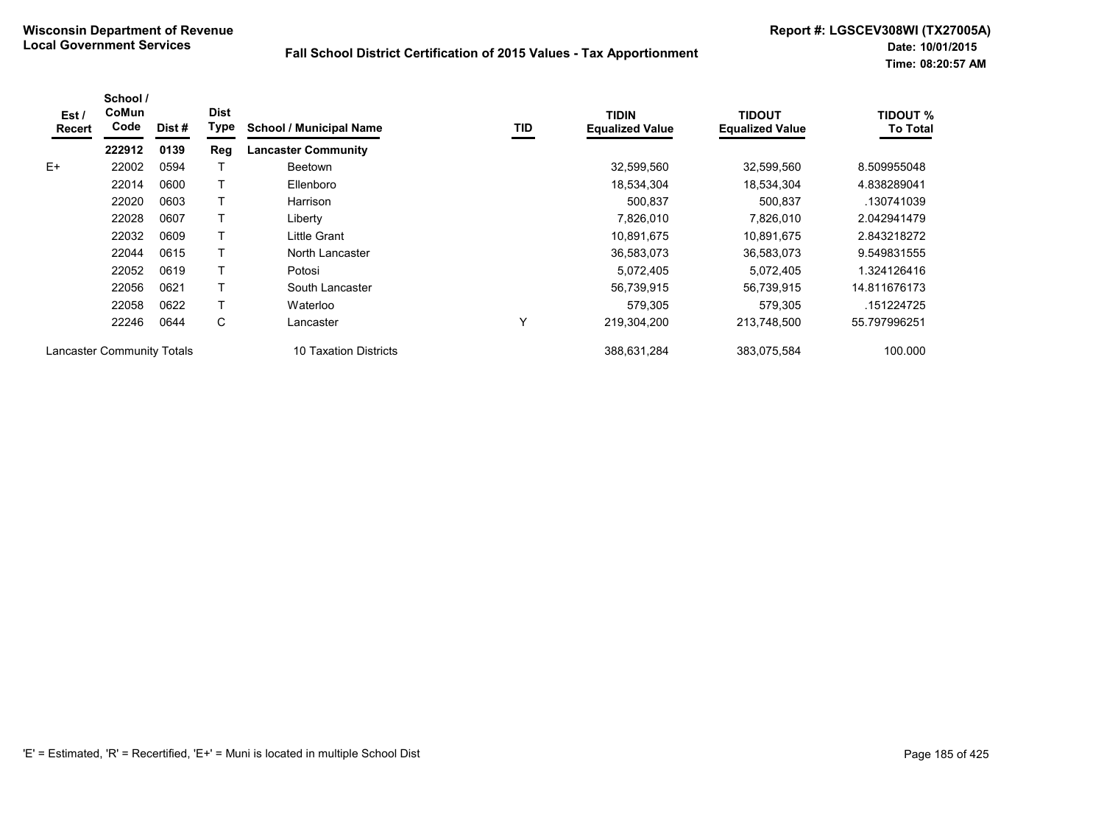| Est/<br>Recert | School /<br>CoMun<br>Code         | Dist# | <b>Dist</b><br>Type | <b>School / Municipal Name</b> | TID | <b>TIDIN</b><br><b>Equalized Value</b> | TIDOUT<br><b>Equalized Value</b> | <b>TIDOUT %</b><br><b>To Total</b> |
|----------------|-----------------------------------|-------|---------------------|--------------------------------|-----|----------------------------------------|----------------------------------|------------------------------------|
|                | 222912                            | 0139  | Reg                 | <b>Lancaster Community</b>     |     |                                        |                                  |                                    |
| $E+$           | 22002                             | 0594  |                     | <b>Beetown</b>                 |     | 32,599,560                             | 32,599,560                       | 8.509955048                        |
|                | 22014                             | 0600  |                     | Ellenboro                      |     | 18,534,304                             | 18.534.304                       | 4.838289041                        |
|                | 22020                             | 0603  |                     | Harrison                       |     | 500,837                                | 500,837                          | .130741039                         |
|                | 22028                             | 0607  |                     | Liberty                        |     | 7,826,010                              | 7,826,010                        | 2.042941479                        |
|                | 22032                             | 0609  |                     | Little Grant                   |     | 10.891.675                             | 10.891.675                       | 2.843218272                        |
|                | 22044                             | 0615  |                     | North Lancaster                |     | 36,583,073                             | 36,583,073                       | 9.549831555                        |
|                | 22052                             | 0619  |                     | Potosi                         |     | 5,072,405                              | 5,072,405                        | 1.324126416                        |
|                | 22056                             | 0621  |                     | South Lancaster                |     | 56,739,915                             | 56,739,915                       | 14.811676173                       |
|                | 22058                             | 0622  |                     | Waterloo                       |     | 579.305                                | 579,305                          | .151224725                         |
|                | 22246                             | 0644  | С                   | Lancaster                      | Υ   | 219,304,200                            | 213,748,500                      | 55.797996251                       |
|                | <b>Lancaster Community Totals</b> |       |                     | 10 Taxation Districts          |     | 388,631,284                            | 383,075,584                      | 100.000                            |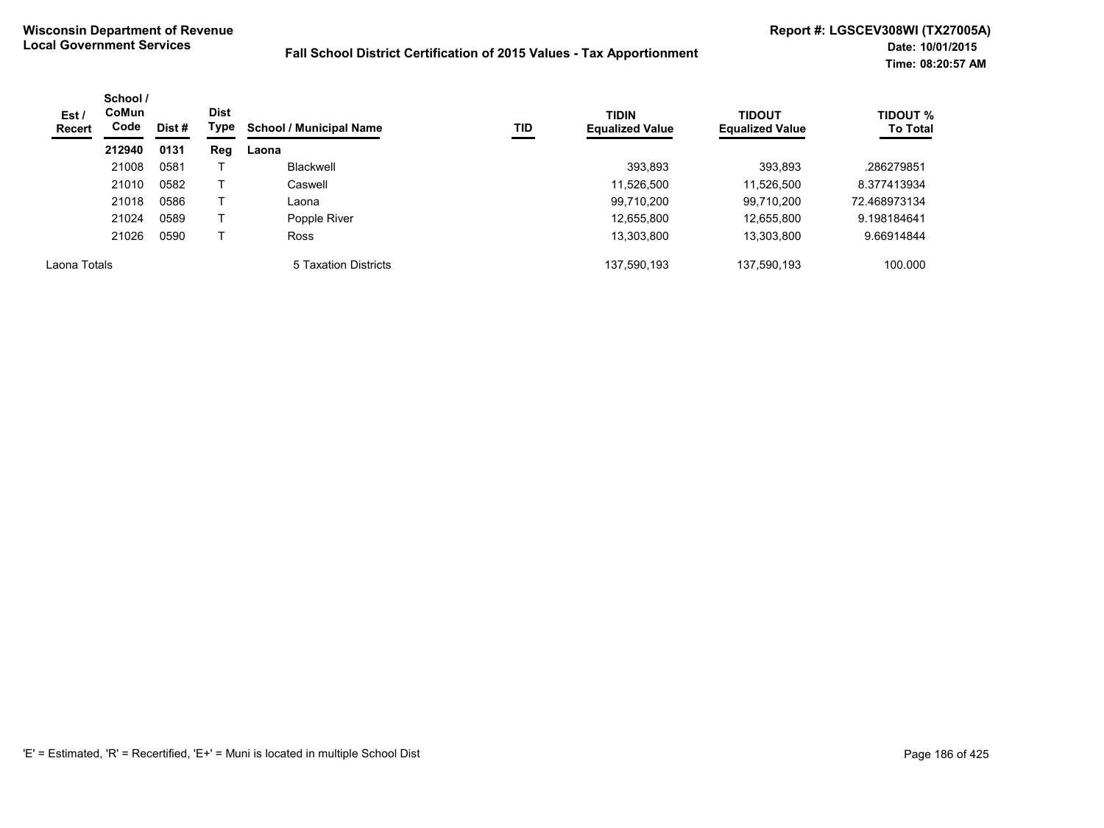| Est /<br>Recert | School /<br><b>CoMun</b><br>Code | Dist # | <b>Dist</b><br>Type | TID<br><b>School / Municipal Name</b> | <b>TIDIN</b><br><b>Equalized Value</b> | <b>TIDOUT</b><br><b>Equalized Value</b> | <b>TIDOUT %</b><br><b>To Total</b> |              |
|-----------------|----------------------------------|--------|---------------------|---------------------------------------|----------------------------------------|-----------------------------------------|------------------------------------|--------------|
|                 | 212940                           | 0131   | Reg                 | Laona                                 |                                        |                                         |                                    |              |
|                 | 21008                            | 0581   |                     | Blackwell                             |                                        | 393,893                                 | 393,893                            | .286279851   |
|                 | 21010                            | 0582   |                     | Caswell                               |                                        | 11,526,500                              | 11,526,500                         | 8.377413934  |
|                 | 21018                            | 0586   |                     | Laona                                 |                                        | 99,710,200                              | 99,710,200                         | 72.468973134 |
|                 | 21024                            | 0589   |                     | Popple River                          |                                        | 12,655,800                              | 12,655,800                         | 9.198184641  |
|                 | 21026                            | 0590   |                     | <b>Ross</b>                           |                                        | 13,303,800                              | 13,303,800                         | 9.66914844   |
| Laona Totals    |                                  |        |                     | 5 Taxation Districts                  |                                        | 137,590,193                             | 137,590,193                        | 100.000      |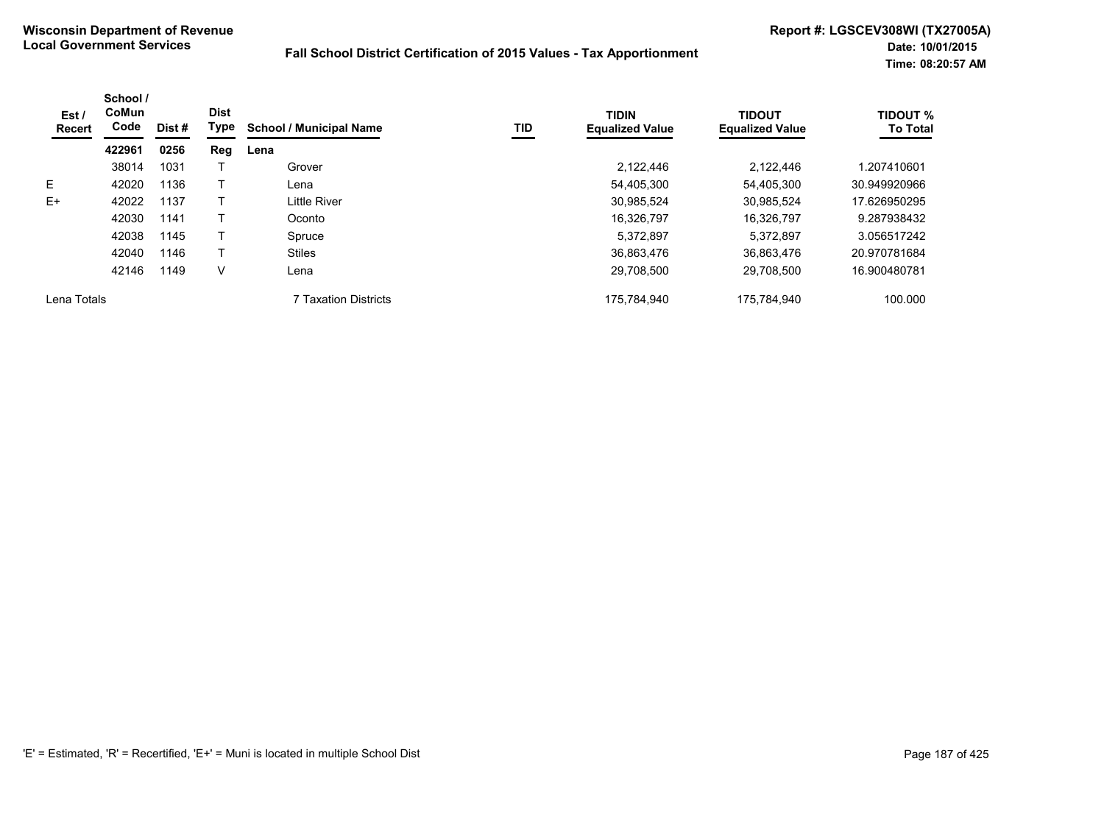| Est/<br>Recert | School /<br><b>CoMun</b><br>Code | Dist # | <b>Dist</b><br>Type | <b>School / Municipal Name</b> | TID | <b>TIDIN</b><br><b>Equalized Value</b> | <b>TIDOUT</b><br><b>Equalized Value</b> | <b>TIDOUT %</b><br><b>To Total</b> |
|----------------|----------------------------------|--------|---------------------|--------------------------------|-----|----------------------------------------|-----------------------------------------|------------------------------------|
|                | 422961                           | 0256   | Reg                 | Lena                           |     |                                        |                                         |                                    |
|                | 38014                            | 1031   |                     | Grover                         |     | 2,122,446                              | 2,122,446                               | 1.207410601                        |
| E.             | 42020                            | 1136   |                     | Lena                           |     | 54.405.300                             | 54.405.300                              | 30.949920966                       |
| $E+$           | 42022                            | 1137   |                     | Little River                   |     | 30,985,524                             | 30.985.524                              | 17.626950295                       |
|                | 42030                            | 1141   |                     | Oconto                         |     | 16.326.797                             | 16.326.797                              | 9.287938432                        |
|                | 42038                            | 1145   |                     | Spruce                         |     | 5,372,897                              | 5.372.897                               | 3.056517242                        |
|                | 42040                            | 1146   |                     | <b>Stiles</b>                  |     | 36,863,476                             | 36.863.476                              | 20.970781684                       |
|                | 42146                            | 1149   | v                   | Lena                           |     | 29,708,500                             | 29,708,500                              | 16.900480781                       |
| Lena Totals    |                                  |        |                     | <b>7 Taxation Districts</b>    |     | 175,784,940                            | 175,784,940                             | 100.000                            |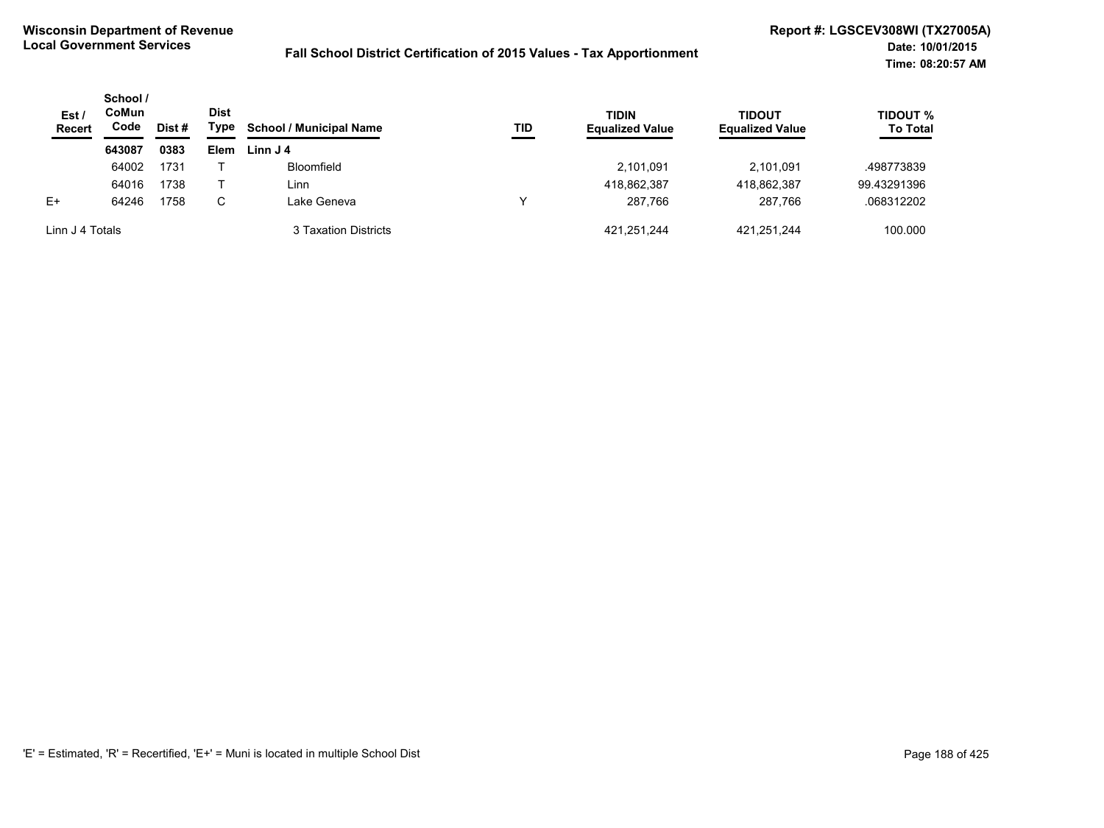| Est /<br><b>Recert</b> | School /<br>CoMun<br>Code<br>Dist # | <b>Dist</b><br>Type | <b>School / Municipal Name</b> | TID                  | <b>TIDIN</b><br><b>Equalized Value</b> | <b>TIDOUT</b><br><b>Equalized Value</b> | <b>TIDOUT %</b><br><b>To Total</b> |             |
|------------------------|-------------------------------------|---------------------|--------------------------------|----------------------|----------------------------------------|-----------------------------------------|------------------------------------|-------------|
|                        | 643087                              | 0383                | <b>Elem</b>                    | Linn J 4             |                                        |                                         |                                    |             |
|                        | 64002                               | 1731                |                                | <b>Bloomfield</b>    |                                        | 2.101.091                               | 2.101.091                          | .498773839  |
|                        | 64016                               | 1738                |                                | Linn                 |                                        | 418,862,387                             | 418,862,387                        | 99.43291396 |
| $E+$                   | 64246                               | 1758                | С                              | ∟ake Geneva          | ν                                      | 287.766                                 | 287.766                            | .068312202  |
| Linn J 4 Totals        |                                     |                     |                                | 3 Taxation Districts |                                        | 421.251.244                             | 421.251.244                        | 100.000     |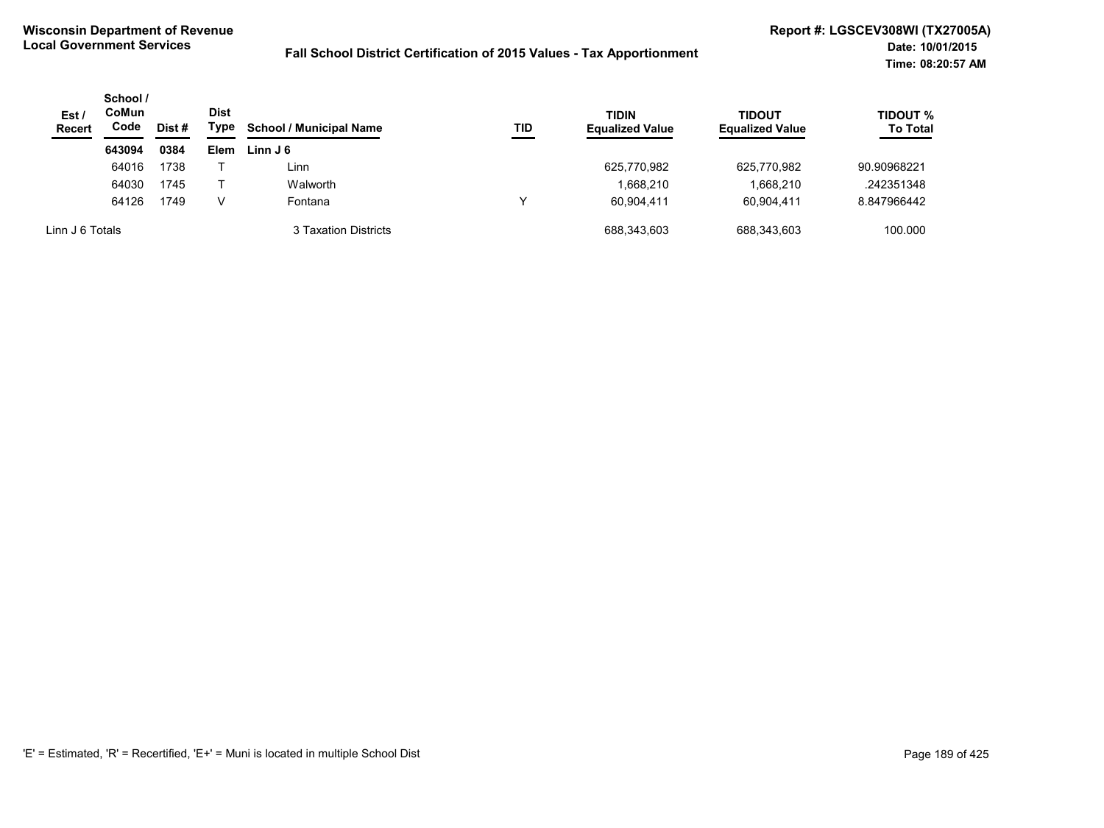| Est/<br><b>Recert</b> | School /<br>CoMun<br>Code | Dist # | <b>Dist</b><br>Type | <b>School / Municipal Name</b> | TID | <b>TIDIN</b><br><b>Equalized Value</b> | <b>TIDOUT</b><br><b>Equalized Value</b> | <b>TIDOUT %</b><br><b>To Total</b> |
|-----------------------|---------------------------|--------|---------------------|--------------------------------|-----|----------------------------------------|-----------------------------------------|------------------------------------|
|                       | 643094                    | 0384   | Elem                | Linn J 6                       |     |                                        |                                         |                                    |
|                       | 64016                     | 1738   |                     | Linn                           |     | 625,770,982                            | 625,770,982                             | 90.90968221                        |
|                       | 64030                     | 1745   |                     | Walworth                       |     | 1,668,210                              | 1,668,210                               | .242351348                         |
|                       | 64126                     | 1749   | V                   | Fontana                        |     | 60.904.411                             | 60.904.411                              | 8.847966442                        |
| Linn J 6 Totals       |                           |        |                     | 3 Taxation Districts           |     | 688,343,603                            | 688,343,603                             | 100.000                            |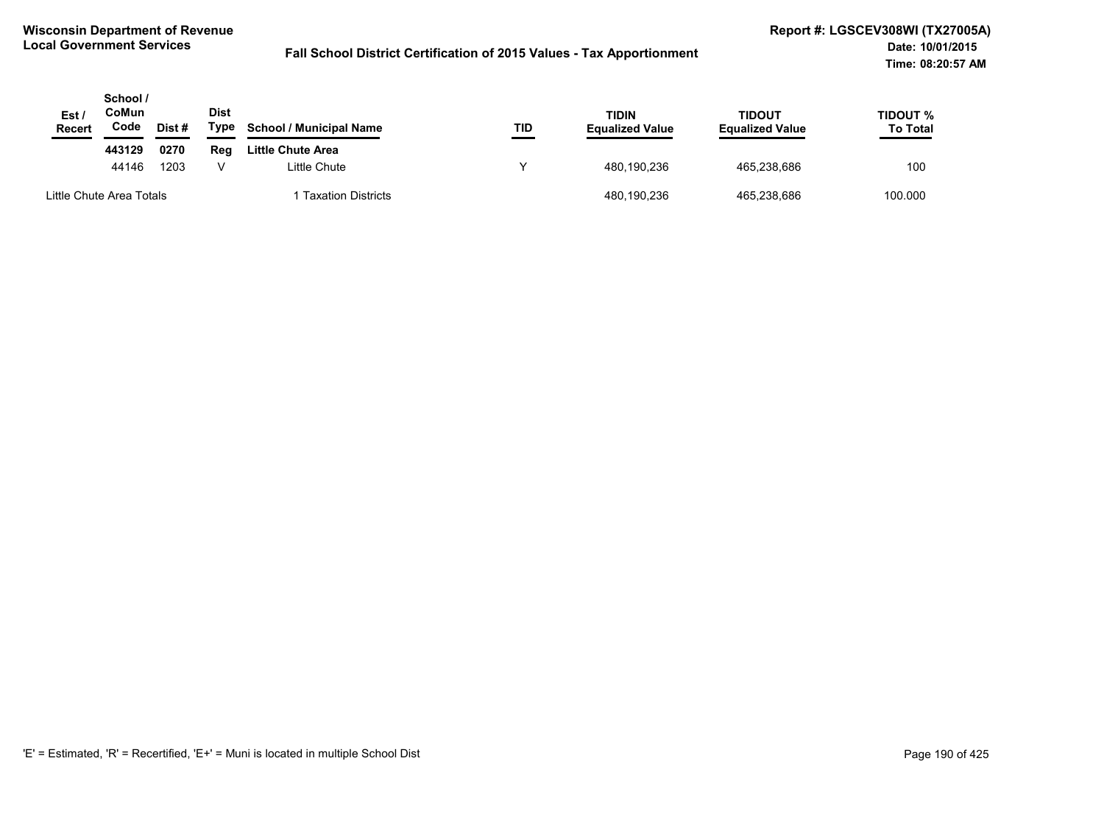| Est /<br><b>Recert</b>   | School /<br>CoMun<br>Code | Dist# | Dist<br>Type | <b>School / Municipal Name</b> | TID | TIDIN<br><b>Equalized Value</b> | <b>TIDOUT</b><br><b>Equalized Value</b> | TIDOUT %<br><b>To Total</b> |
|--------------------------|---------------------------|-------|--------------|--------------------------------|-----|---------------------------------|-----------------------------------------|-----------------------------|
|                          | 443129                    | 0270  | Reg          | Little Chute Area              |     |                                 |                                         |                             |
|                          | 44146                     | 1203  | v            | Little Chute                   |     | 480.190.236                     | 465,238,686                             | 100                         |
| Little Chute Area Totals |                           |       |              | <b>Taxation Districts</b>      |     | 480,190,236                     | 465,238,686                             | 100.000                     |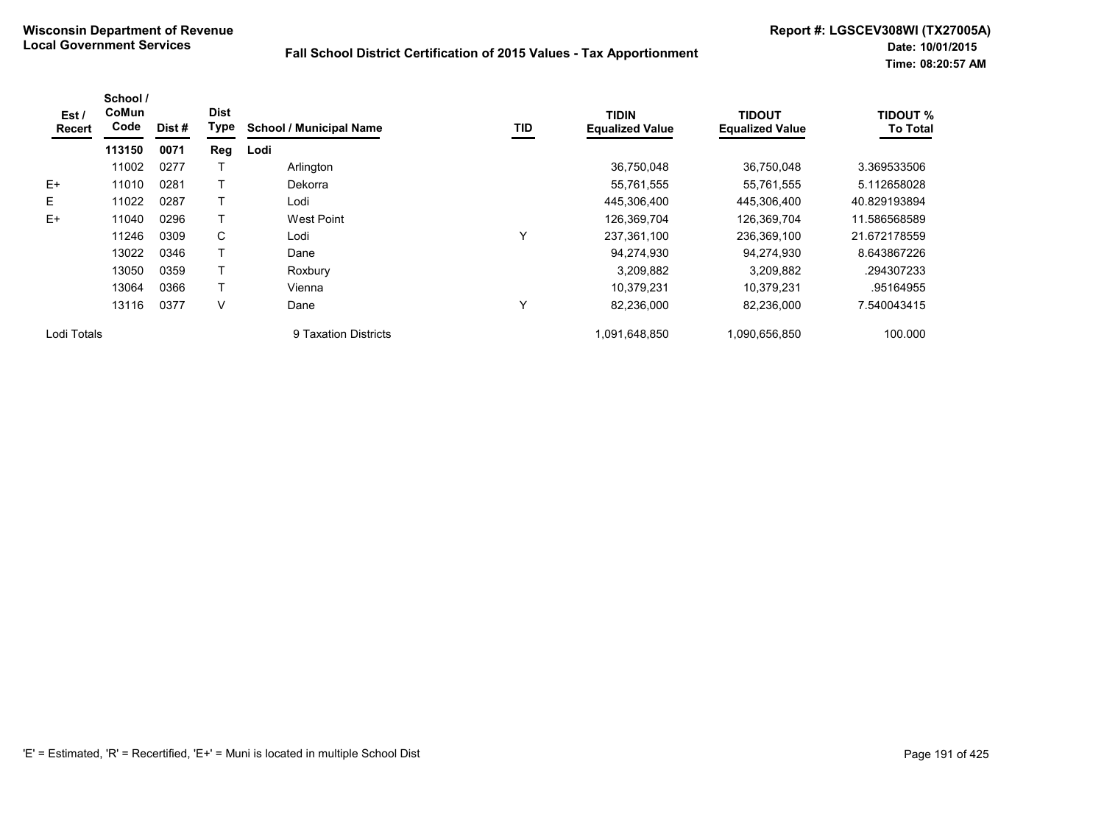| Est/<br><b>Recert</b> | School /<br>CoMun<br>Code | Dist# | <b>Dist</b><br>Type | <b>School / Municipal Name</b> | TID | <b>TIDIN</b><br><b>Equalized Value</b> | <b>TIDOUT</b><br><b>Equalized Value</b> | <b>TIDOUT %</b><br><b>To Total</b> |
|-----------------------|---------------------------|-------|---------------------|--------------------------------|-----|----------------------------------------|-----------------------------------------|------------------------------------|
|                       | 113150                    | 0071  | Reg                 | Lodi                           |     |                                        |                                         |                                    |
|                       | 11002                     | 0277  |                     | Arlington                      |     | 36,750,048                             | 36.750.048                              | 3.369533506                        |
| $E+$                  | 11010                     | 0281  |                     | Dekorra                        |     | 55,761,555                             | 55,761,555                              | 5.112658028                        |
| E                     | 11022                     | 0287  |                     | Lodi                           |     | 445,306,400                            | 445,306,400                             | 40.829193894                       |
| $E+$                  | 11040                     | 0296  |                     | West Point                     |     | 126,369,704                            | 126,369,704                             | 11.586568589                       |
|                       | 11246                     | 0309  | C                   | Lodi                           | Υ   | 237,361,100                            | 236,369,100                             | 21.672178559                       |
|                       | 13022                     | 0346  |                     | Dane                           |     | 94,274,930                             | 94,274,930                              | 8.643867226                        |
|                       | 13050                     | 0359  |                     | Roxbury                        |     | 3,209,882                              | 3,209,882                               | .294307233                         |
|                       | 13064                     | 0366  |                     | Vienna                         |     | 10.379.231                             | 10.379.231                              | .95164955                          |
|                       | 13116                     | 0377  | V                   | Dane                           | Υ   | 82,236,000                             | 82,236,000                              | 7.540043415                        |
| Lodi Totals           |                           |       |                     | 9 Taxation Districts           |     | 1.091.648.850                          | 1,090,656,850                           | 100.000                            |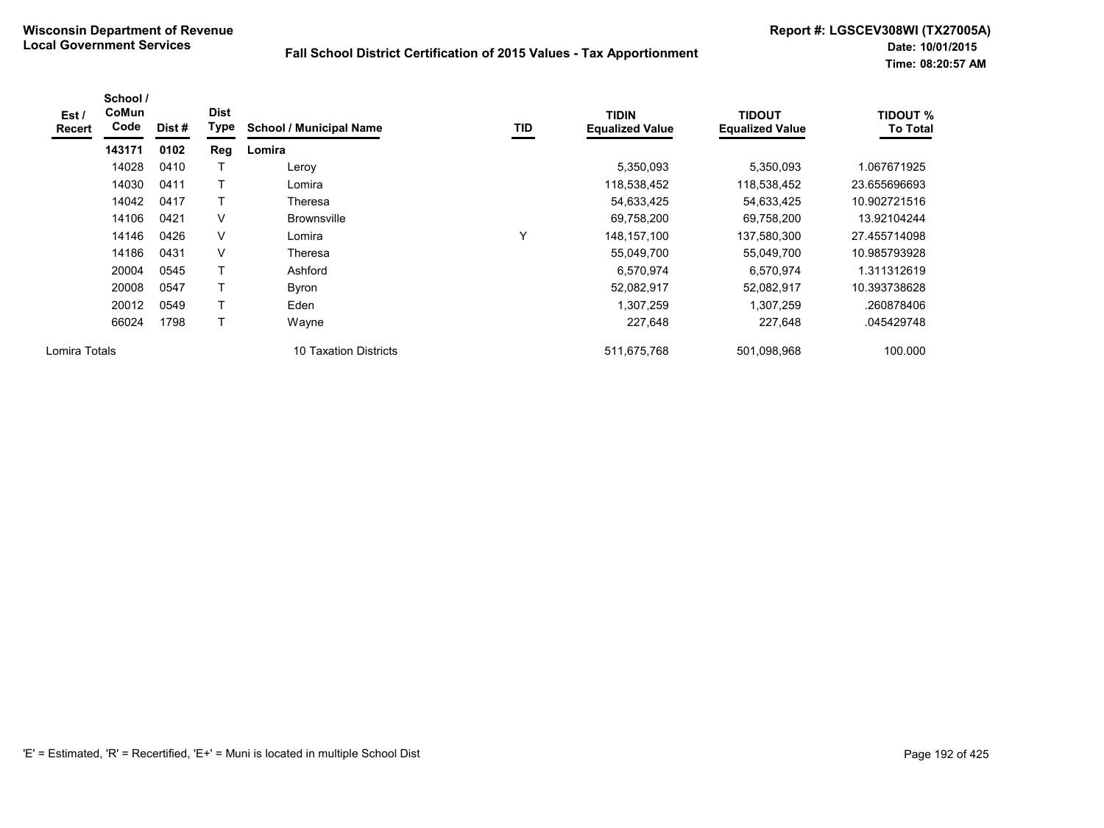| Est /<br>Recert | School /<br>CoMun<br>Code | Dist# | <b>Dist</b><br>Type | <b>School / Municipal Name</b> | TID | <b>TIDIN</b><br><b>Equalized Value</b> | <b>TIDOUT</b><br><b>Equalized Value</b> | <b>TIDOUT %</b><br><b>To Total</b> |
|-----------------|---------------------------|-------|---------------------|--------------------------------|-----|----------------------------------------|-----------------------------------------|------------------------------------|
|                 | 143171                    | 0102  | Reg                 | Lomira                         |     |                                        |                                         |                                    |
|                 | 14028                     | 0410  |                     | Leroy                          |     | 5,350,093                              | 5,350,093                               | 1.067671925                        |
|                 | 14030                     | 0411  |                     | Lomira                         |     | 118,538,452                            | 118,538,452                             | 23.655696693                       |
|                 | 14042                     | 0417  |                     | Theresa                        |     | 54,633,425                             | 54,633,425                              | 10.902721516                       |
|                 | 14106                     | 0421  | $\vee$              | <b>Brownsville</b>             |     | 69,758,200                             | 69,758,200                              | 13.92104244                        |
|                 | 14146                     | 0426  | $\vee$              | Lomira                         | Y   | 148, 157, 100                          | 137,580,300                             | 27.455714098                       |
|                 | 14186                     | 0431  | $\vee$              | Theresa                        |     | 55,049,700                             | 55,049,700                              | 10.985793928                       |
|                 | 20004                     | 0545  |                     | Ashford                        |     | 6,570,974                              | 6,570,974                               | 1.311312619                        |
|                 | 20008                     | 0547  | Τ                   | <b>Byron</b>                   |     | 52,082,917                             | 52,082,917                              | 10.393738628                       |
|                 | 20012                     | 0549  | т                   | Eden                           |     | 1,307,259                              | 1,307,259                               | .260878406                         |
|                 | 66024                     | 1798  |                     | Wayne                          |     | 227,648                                | 227,648                                 | .045429748                         |
| Lomira Totals   |                           |       |                     | 10 Taxation Districts          |     | 511,675,768                            | 501,098,968                             | 100.000                            |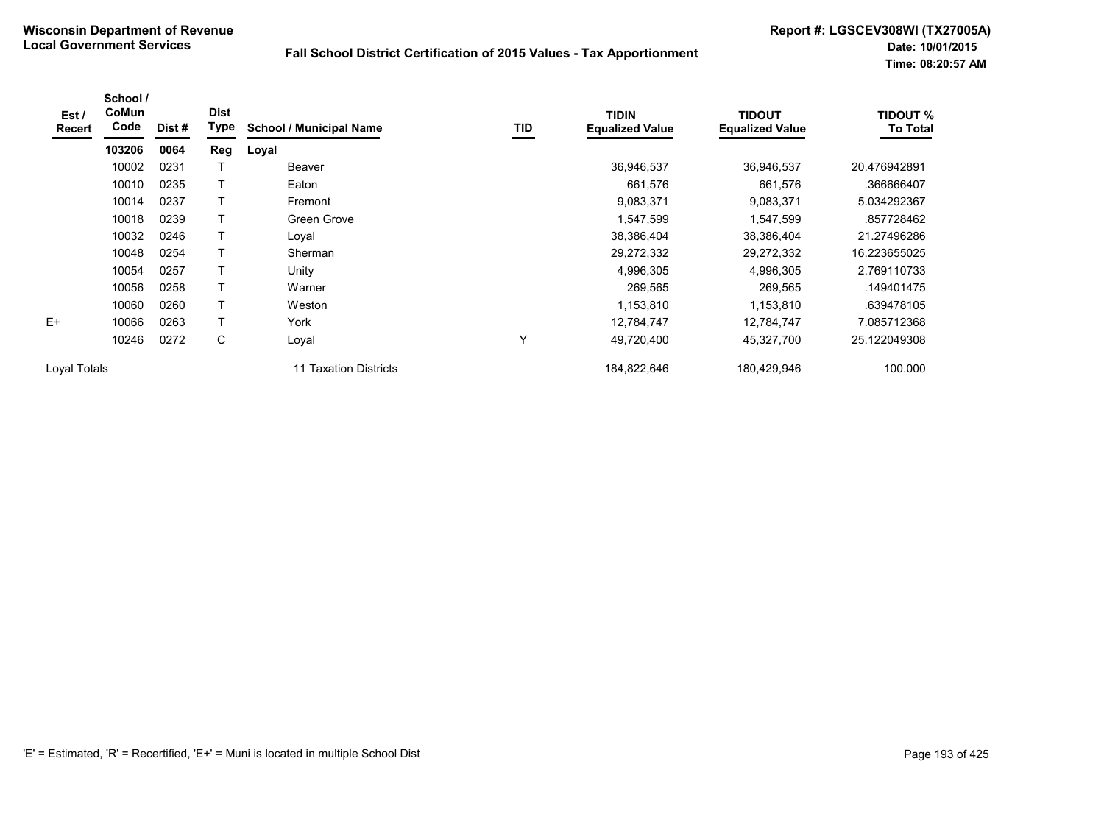| Est /<br><b>Recert</b> | School /<br>CoMun<br>Code | Dist # | <b>Dist</b><br>Type | <b>School / Municipal Name</b> | <b>TID</b> | <b>TIDIN</b><br><b>Equalized Value</b> | <b>TIDOUT</b><br><b>Equalized Value</b> | <b>TIDOUT %</b><br><b>To Total</b> |
|------------------------|---------------------------|--------|---------------------|--------------------------------|------------|----------------------------------------|-----------------------------------------|------------------------------------|
|                        | 103206                    | 0064   | Reg                 | Loyal                          |            |                                        |                                         |                                    |
|                        | 10002                     | 0231   |                     | Beaver                         |            | 36,946,537                             | 36,946,537                              | 20.476942891                       |
|                        | 10010                     | 0235   |                     | Eaton                          |            | 661,576                                | 661,576                                 | .366666407                         |
|                        | 10014                     | 0237   | $\mathsf{T}$        | Fremont                        |            | 9,083,371                              | 9,083,371                               | 5.034292367                        |
|                        | 10018                     | 0239   |                     | Green Grove                    |            | 1,547,599                              | 1,547,599                               | .857728462                         |
|                        | 10032                     | 0246   |                     | Loyal                          |            | 38,386,404                             | 38,386,404                              | 21.27496286                        |
|                        | 10048                     | 0254   |                     | Sherman                        |            | 29,272,332                             | 29,272,332                              | 16.223655025                       |
|                        | 10054                     | 0257   |                     | Unity                          |            | 4,996,305                              | 4,996,305                               | 2.769110733                        |
|                        | 10056                     | 0258   |                     | Warner                         |            | 269,565                                | 269,565                                 | .149401475                         |
|                        | 10060                     | 0260   | $\mathsf{T}$        | Weston                         |            | 1,153,810                              | 1,153,810                               | .639478105                         |
| $E+$                   | 10066                     | 0263   | $\mathsf{T}$        | York                           |            | 12,784,747                             | 12,784,747                              | 7.085712368                        |
|                        | 10246                     | 0272   | С                   | Loyal                          | Υ          | 49,720,400                             | 45,327,700                              | 25.122049308                       |
| Loval Totals           |                           |        |                     | 11 Taxation Districts          |            | 184,822,646                            | 180,429,946                             | 100.000                            |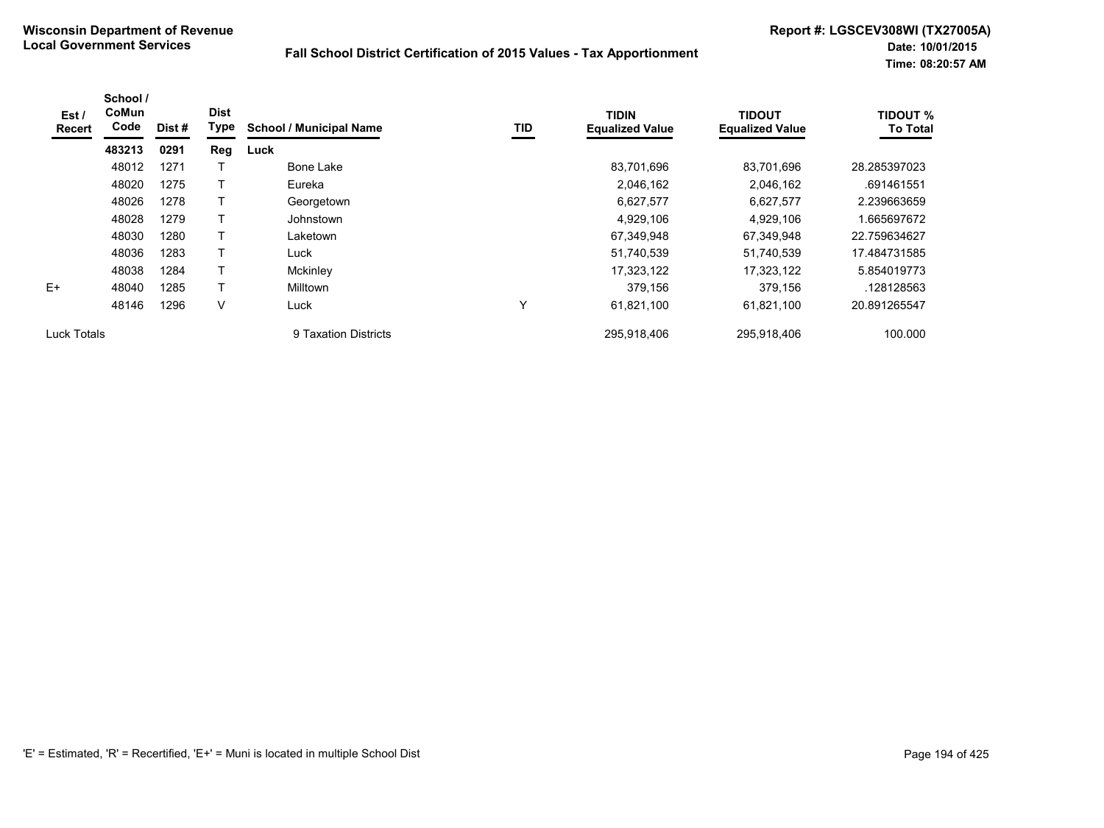| Est /<br><b>Recert</b> | School /<br><b>CoMun</b><br>Code | Dist# | <b>Dist</b><br>Type | <b>School / Municipal Name</b> | <b>TID</b> | <b>TIDIN</b><br><b>Equalized Value</b> | <b>TIDOUT</b><br><b>Equalized Value</b> | <b>TIDOUT %</b><br><b>To Total</b> |
|------------------------|----------------------------------|-------|---------------------|--------------------------------|------------|----------------------------------------|-----------------------------------------|------------------------------------|
|                        | 483213                           | 0291  | <b>Reg</b>          | Luck                           |            |                                        |                                         |                                    |
|                        | 48012                            | 1271  |                     | Bone Lake                      |            | 83,701,696                             | 83,701,696                              | 28.285397023                       |
|                        | 48020                            | 1275  |                     | Eureka                         |            | 2,046,162                              | 2,046,162                               | .691461551                         |
|                        | 48026                            | 1278  |                     | Georgetown                     |            | 6,627,577                              | 6,627,577                               | 2.239663659                        |
|                        | 48028                            | 1279  |                     | Johnstown                      |            | 4,929,106                              | 4,929,106                               | .665697672                         |
|                        | 48030                            | 1280  | $\mathsf{T}$        | Laketown                       |            | 67,349,948                             | 67,349,948                              | 22.759634627                       |
|                        | 48036                            | 1283  |                     | Luck                           |            | 51,740,539                             | 51,740,539                              | 17.484731585                       |
|                        | 48038                            | 1284  |                     | Mckinley                       |            | 17,323,122                             | 17,323,122                              | 5.854019773                        |
| $F+$                   | 48040                            | 1285  |                     | <b>Milltown</b>                |            | 379,156                                | 379,156                                 | .128128563                         |
|                        | 48146                            | 1296  | V                   | Luck                           | v          | 61,821,100                             | 61,821,100                              | 20.891265547                       |
| Luck Totals            |                                  |       |                     | 9 Taxation Districts           |            | 295,918,406                            | 295.918.406                             | 100.000                            |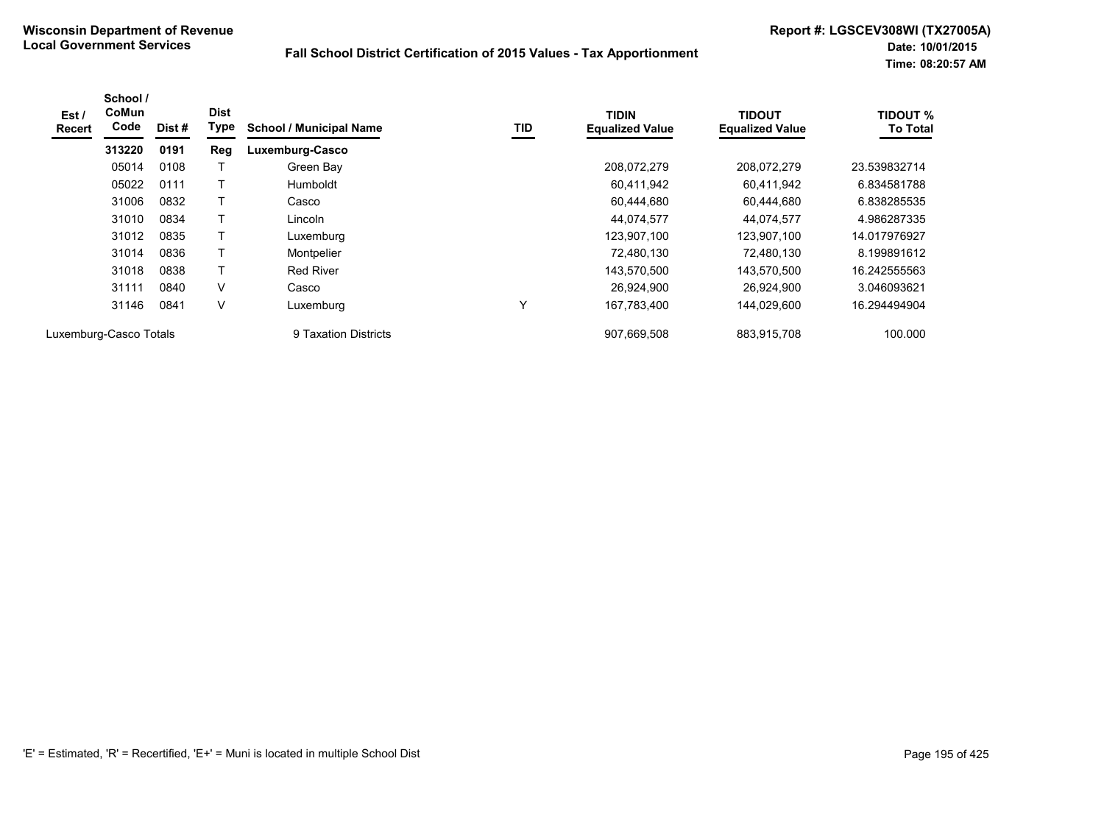| Est/<br>Recert | School /<br>CoMun<br>Code | Dist# | <b>Dist</b><br>Type | <b>School / Municipal Name</b> | TID | <b>TIDIN</b><br><b>Equalized Value</b> | <b>TIDOUT</b><br><b>Equalized Value</b> | <b>TIDOUT %</b><br><b>To Total</b> |
|----------------|---------------------------|-------|---------------------|--------------------------------|-----|----------------------------------------|-----------------------------------------|------------------------------------|
|                | 313220                    | 0191  | Reg                 | Luxemburg-Casco                |     |                                        |                                         |                                    |
|                | 05014                     | 0108  |                     | Green Bay                      |     | 208,072,279                            | 208.072.279                             | 23.539832714                       |
|                | 05022                     | 0111  |                     | Humboldt                       |     | 60,411,942                             | 60.411.942                              | 6.834581788                        |
|                | 31006                     | 0832  |                     | Casco                          |     | 60.444.680                             | 60.444.680                              | 6.838285535                        |
|                | 31010                     | 0834  |                     | Lincoln                        |     | 44.074.577                             | 44.074.577                              | 4.986287335                        |
|                | 31012                     | 0835  |                     | Luxemburg                      |     | 123,907,100                            | 123,907,100                             | 14.017976927                       |
|                | 31014                     | 0836  | т                   | Montpelier                     |     | 72,480,130                             | 72,480,130                              | 8.199891612                        |
|                | 31018                     | 0838  | Т                   | <b>Red River</b>               |     | 143,570,500                            | 143,570,500                             | 16.242555563                       |
|                | 31111                     | 0840  | V                   | Casco                          |     | 26,924,900                             | 26,924,900                              | 3.046093621                        |
|                | 31146                     | 0841  | V                   | Luxemburg                      | Υ   | 167,783,400                            | 144,029,600                             | 16.294494904                       |
|                | Luxemburg-Casco Totals    |       |                     | 9 Taxation Districts           |     | 907.669.508                            | 883,915,708                             | 100.000                            |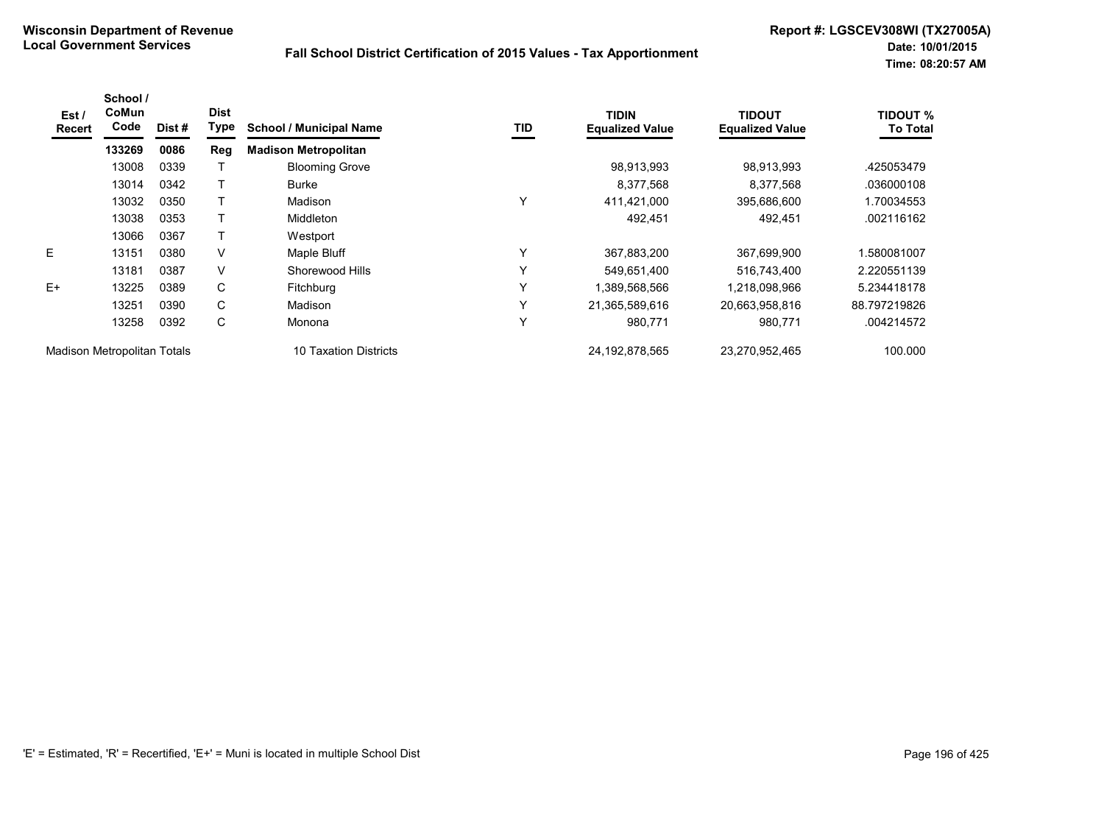| Est /<br><b>Recert</b>             | School /<br>CoMun<br>Code | Dist # | <b>Dist</b><br><b>Type</b> | <b>School / Municipal Name</b> | TID | <b>TIDIN</b><br><b>Equalized Value</b> | <b>TIDOUT</b><br><b>Equalized Value</b> | <b>TIDOUT %</b><br><b>To Total</b> |
|------------------------------------|---------------------------|--------|----------------------------|--------------------------------|-----|----------------------------------------|-----------------------------------------|------------------------------------|
|                                    | 133269                    | 0086   | Reg                        | <b>Madison Metropolitan</b>    |     |                                        |                                         |                                    |
|                                    | 13008                     | 0339   |                            | <b>Blooming Grove</b>          |     | 98,913,993                             | 98,913,993                              | .425053479                         |
|                                    | 13014                     | 0342   |                            | <b>Burke</b>                   |     | 8,377,568                              | 8,377,568                               | .036000108                         |
|                                    | 13032                     | 0350   |                            | Madison                        | Υ   | 411,421,000                            | 395,686,600                             | 1.70034553                         |
|                                    | 13038                     | 0353   |                            | Middleton                      |     | 492,451                                | 492,451                                 | .002116162                         |
|                                    | 13066                     | 0367   |                            | Westport                       |     |                                        |                                         |                                    |
| E                                  | 13151                     | 0380   | V                          | Maple Bluff                    | Υ   | 367,883,200                            | 367,699,900                             | 1.580081007                        |
|                                    | 13181                     | 0387   | V                          | Shorewood Hills                | Υ   | 549,651,400                            | 516,743,400                             | 2.220551139                        |
| $E+$                               | 13225                     | 0389   | C                          | <b>Fitchburg</b>               | Υ   | 1,389,568,566                          | 1,218,098,966                           | 5.234418178                        |
|                                    | 13251                     | 0390   | C                          | Madison                        | Υ   | 21,365,589,616                         | 20,663,958,816                          | 88.797219826                       |
|                                    | 13258                     | 0392   | C                          | Monona                         | Υ   | 980,771                                | 980,771                                 | .004214572                         |
| <b>Madison Metropolitan Totals</b> |                           |        |                            | 10 Taxation Districts          |     | 24, 192, 878, 565                      | 23,270,952,465                          | 100.000                            |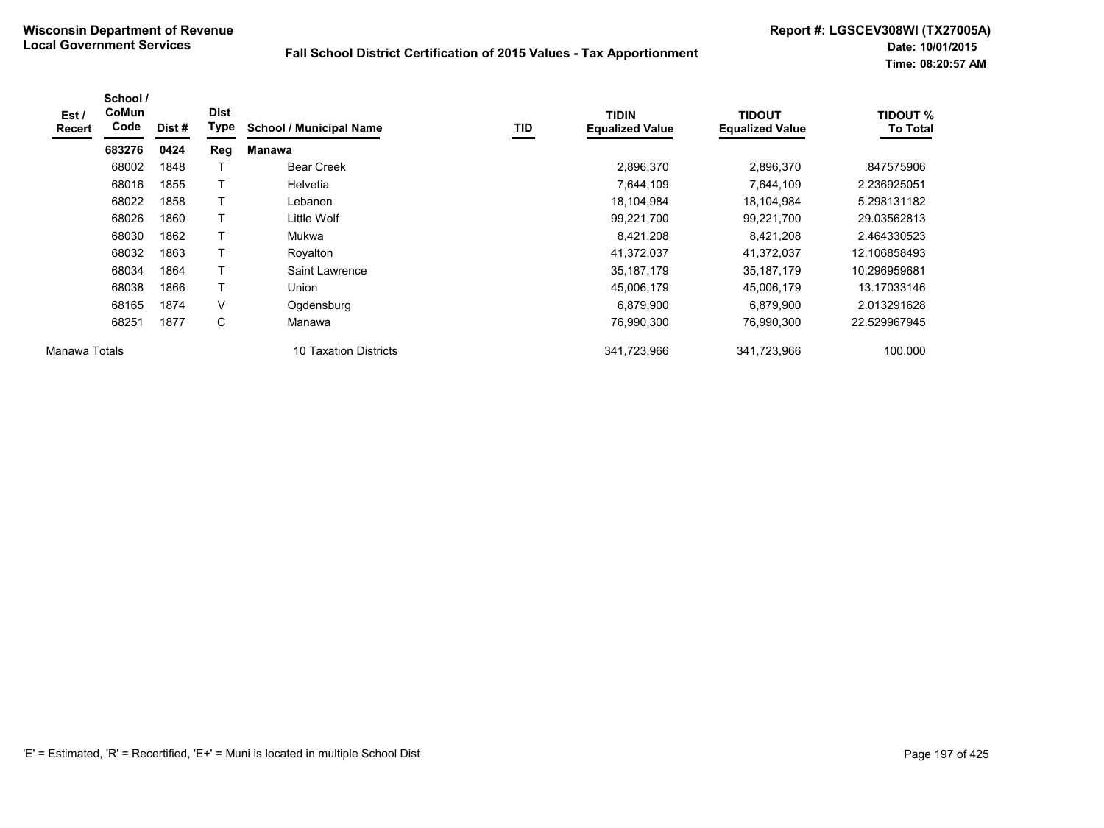| Est/<br>Recert | School /<br><b>CoMun</b><br>Code | Dist# | <b>Dist</b><br>Type | <b>School / Municipal Name</b> | TID | <b>TIDIN</b><br><b>Equalized Value</b> | <b>TIDOUT</b><br><b>Equalized Value</b> | <b>TIDOUT %</b><br><b>To Total</b> |
|----------------|----------------------------------|-------|---------------------|--------------------------------|-----|----------------------------------------|-----------------------------------------|------------------------------------|
|                | 683276                           | 0424  | <b>Reg</b>          | Manawa                         |     |                                        |                                         |                                    |
|                | 68002                            | 1848  |                     | <b>Bear Creek</b>              |     | 2,896,370                              | 2,896,370                               | .847575906                         |
|                | 68016                            | 1855  |                     | <b>Helvetia</b>                |     | 7,644,109                              | 7,644,109                               | 2.236925051                        |
|                | 68022                            | 1858  | T                   | Lebanon                        |     | 18,104,984                             | 18,104,984                              | 5.298131182                        |
|                | 68026                            | 1860  | Τ                   | Little Wolf                    |     | 99,221,700                             | 99,221,700                              | 29.03562813                        |
|                | 68030                            | 1862  | т                   | Mukwa                          |     | 8,421,208                              | 8,421,208                               | 2.464330523                        |
|                | 68032                            | 1863  | т                   | Royalton                       |     | 41,372,037                             | 41,372,037                              | 12.106858493                       |
|                | 68034                            | 1864  |                     | Saint Lawrence                 |     | 35, 187, 179                           | 35,187,179                              | 10.296959681                       |
|                | 68038                            | 1866  | T                   | Union                          |     | 45,006,179                             | 45,006,179                              | 13.17033146                        |
|                | 68165                            | 1874  | V                   | Ogdensburg                     |     | 6,879,900                              | 6,879,900                               | 2.013291628                        |
|                | 68251                            | 1877  | C                   | Manawa                         |     | 76,990,300                             | 76.990.300                              | 22.529967945                       |
| Manawa Totals  |                                  |       |                     | 10 Taxation Districts          |     | 341,723,966                            | 341,723,966                             | 100.000                            |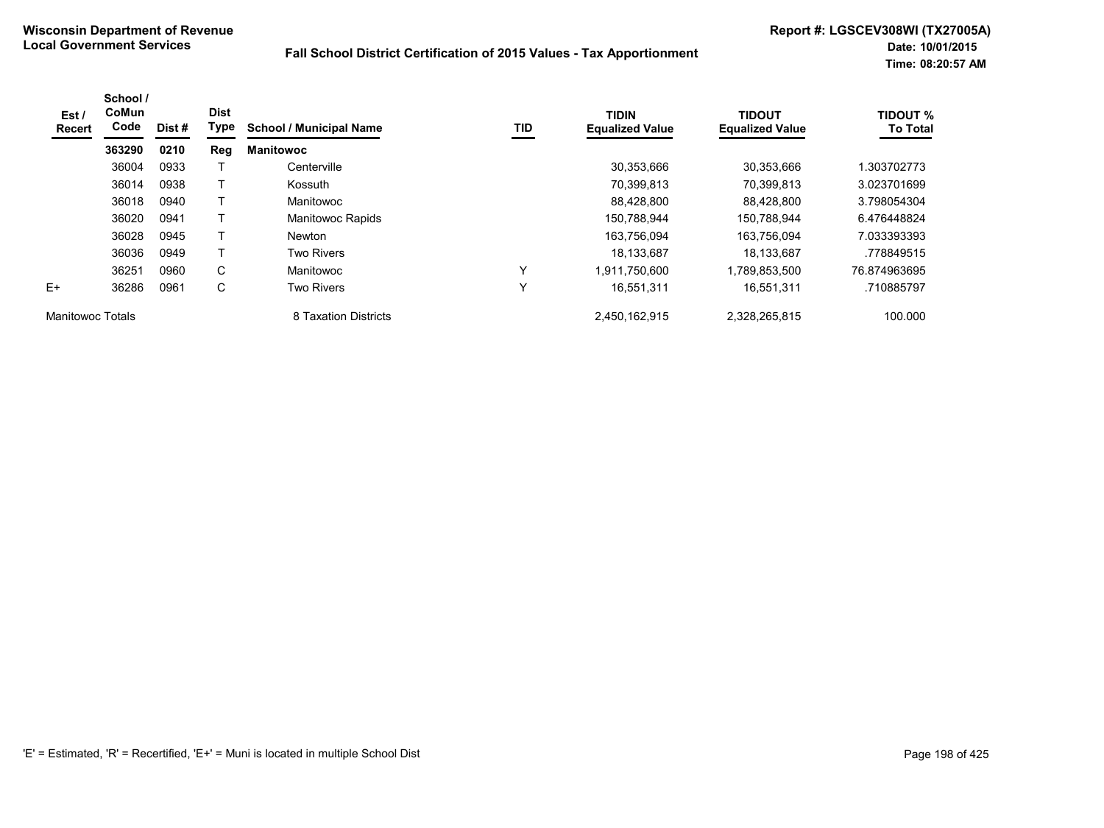| Est /<br><b>Recert</b>  | School /<br><b>CoMun</b><br>Code | Dist# | <b>Dist</b><br>Type | <b>School / Municipal Name</b> | TID          | <b>TIDIN</b><br><b>Equalized Value</b> | <b>TIDOUT</b><br><b>Equalized Value</b> | <b>TIDOUT %</b><br><b>To Total</b> |
|-------------------------|----------------------------------|-------|---------------------|--------------------------------|--------------|----------------------------------------|-----------------------------------------|------------------------------------|
|                         | 363290                           | 0210  | <b>Reg</b>          | <b>Manitowoc</b>               |              |                                        |                                         |                                    |
|                         | 36004                            | 0933  |                     | Centerville                    |              | 30,353,666                             | 30.353.666                              | .303702773                         |
|                         | 36014                            | 0938  |                     | Kossuth                        |              | 70,399,813                             | 70.399.813                              | 3.023701699                        |
|                         | 36018                            | 0940  |                     | Manitowoc                      |              | 88,428,800                             | 88.428.800                              | 3.798054304                        |
|                         | 36020                            | 0941  |                     | Manitowoc Rapids               |              | 150,788,944                            | 150.788.944                             | 6.476448824                        |
|                         | 36028                            | 0945  |                     | <b>Newton</b>                  |              | 163,756,094                            | 163,756,094                             | 7.033393393                        |
|                         | 36036                            | 0949  |                     | <b>Two Rivers</b>              |              | 18,133,687                             | 18,133,687                              | .778849515                         |
|                         | 36251                            | 0960  | C                   | Manitowoc                      | $\checkmark$ | 1,911,750,600                          | 1,789,853,500                           | 76.874963695                       |
| $F+$                    | 36286                            | 0961  | C                   | <b>Two Rivers</b>              | $\checkmark$ | 16,551,311                             | 16,551,311                              | .710885797                         |
| <b>Manitowoc Totals</b> |                                  |       |                     | 8 Taxation Districts           |              | 2,450,162,915                          | 2,328,265,815                           | 100.000                            |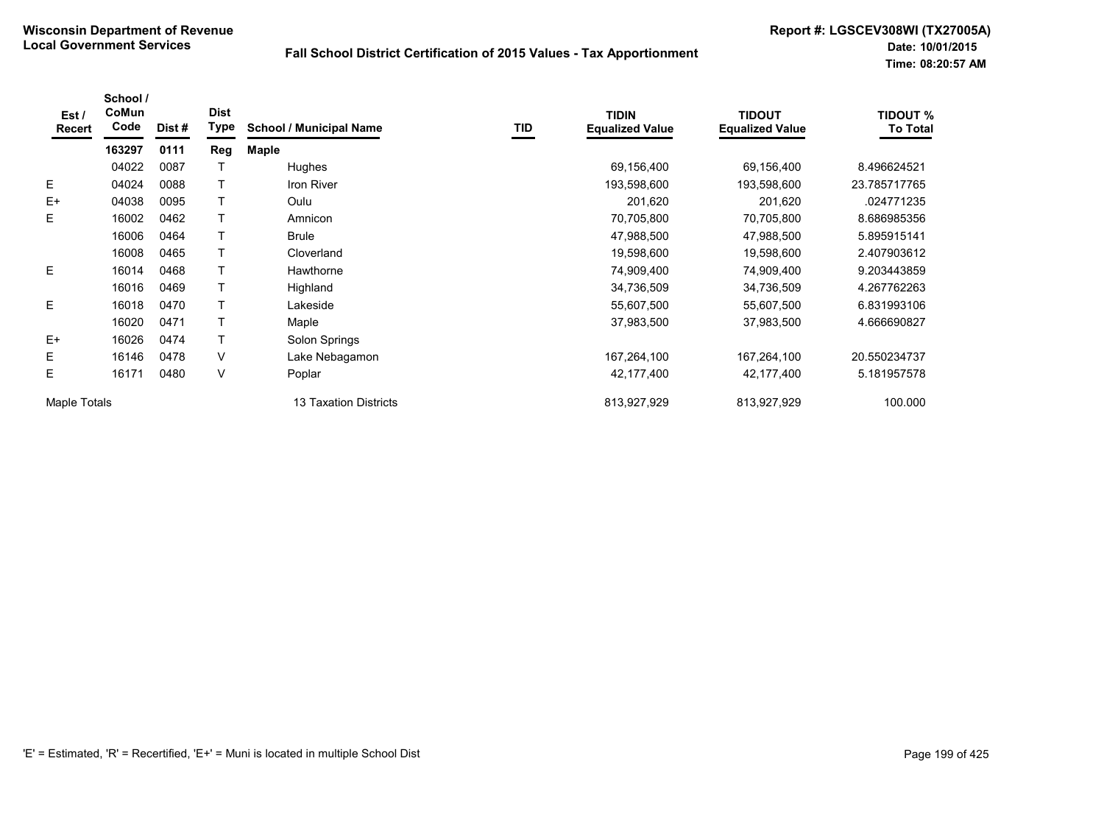| Est /<br>Recert | School /<br>CoMun<br>Code | Dist # | <b>Dist</b><br>Type | <b>School / Municipal Name</b> | TID | <b>TIDIN</b><br><b>Equalized Value</b> | <b>TIDOUT</b><br><b>Equalized Value</b> | <b>TIDOUT %</b><br><b>To Total</b> |
|-----------------|---------------------------|--------|---------------------|--------------------------------|-----|----------------------------------------|-----------------------------------------|------------------------------------|
|                 | 163297                    | 0111   | Reg                 | <b>Maple</b>                   |     |                                        |                                         |                                    |
|                 | 04022                     | 0087   |                     | Hughes                         |     | 69,156,400                             | 69,156,400                              | 8.496624521                        |
| E.              | 04024                     | 0088   |                     | <b>Iron River</b>              |     | 193,598,600                            | 193,598,600                             | 23.785717765                       |
| $E+$            | 04038                     | 0095   |                     | Oulu                           |     | 201,620                                | 201,620                                 | .024771235                         |
| E               | 16002                     | 0462   |                     | Amnicon                        |     | 70,705,800                             | 70,705,800                              | 8.686985356                        |
|                 | 16006                     | 0464   |                     | <b>Brule</b>                   |     | 47,988,500                             | 47,988,500                              | 5.895915141                        |
|                 | 16008                     | 0465   |                     | Cloverland                     |     | 19,598,600                             | 19,598,600                              | 2.407903612                        |
| E.              | 16014                     | 0468   |                     | Hawthorne                      |     | 74,909,400                             | 74,909,400                              | 9.203443859                        |
|                 | 16016                     | 0469   |                     | Highland                       |     | 34,736,509                             | 34,736,509                              | 4.267762263                        |
| E               | 16018                     | 0470   |                     | Lakeside                       |     | 55,607,500                             | 55,607,500                              | 6.831993106                        |
|                 | 16020                     | 0471   |                     | Maple                          |     | 37,983,500                             | 37,983,500                              | 4.666690827                        |
| $E+$            | 16026                     | 0474   |                     | Solon Springs                  |     |                                        |                                         |                                    |
| Е               | 16146                     | 0478   | V                   | Lake Nebagamon                 |     | 167,264,100                            | 167,264,100                             | 20.550234737                       |
| Ε               | 16171                     | 0480   | V                   | Poplar                         |     | 42,177,400                             | 42,177,400                              | 5.181957578                        |
| Maple Totals    |                           |        |                     | <b>13 Taxation Districts</b>   |     | 813,927,929                            | 813,927,929                             | 100.000                            |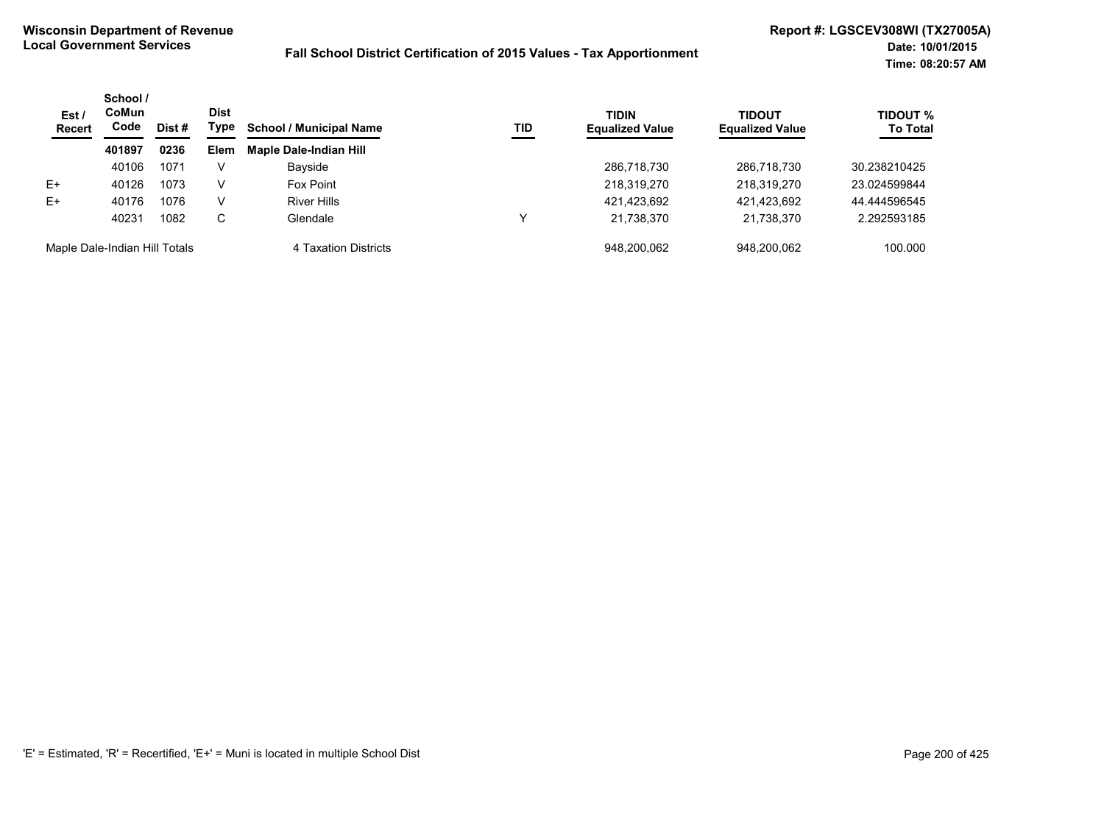| Est/<br><b>Recert</b>         | School /<br>CoMun<br>Code<br>Dist # | <b>Dist</b><br>Type | <b>School / Municipal Name</b> | TID                           | <b>TIDIN</b><br><b>Equalized Value</b> | <b>TIDOUT</b><br><b>Equalized Value</b> | <b>TIDOUT %</b><br><b>To Total</b> |              |
|-------------------------------|-------------------------------------|---------------------|--------------------------------|-------------------------------|----------------------------------------|-----------------------------------------|------------------------------------|--------------|
|                               | 401897                              | 0236                | <b>Elem</b>                    | <b>Maple Dale-Indian Hill</b> |                                        |                                         |                                    |              |
|                               | 40106                               | 1071                | V                              | Bayside                       |                                        | 286,718,730                             | 286,718,730                        | 30.238210425 |
| E+                            | 40126                               | 1073                | V                              | Fox Point                     |                                        | 218,319,270                             | 218,319,270                        | 23.024599844 |
| $E+$                          | 40176                               | 1076                | v                              | <b>River Hills</b>            |                                        | 421,423,692                             | 421,423,692                        | 44.444596545 |
|                               | 40231                               | 1082                | C.                             | Glendale                      |                                        | 21,738,370                              | 21,738,370                         | 2.292593185  |
| Maple Dale-Indian Hill Totals |                                     |                     |                                | 4 Taxation Districts          |                                        | 948.200.062                             | 948.200.062                        | 100.000      |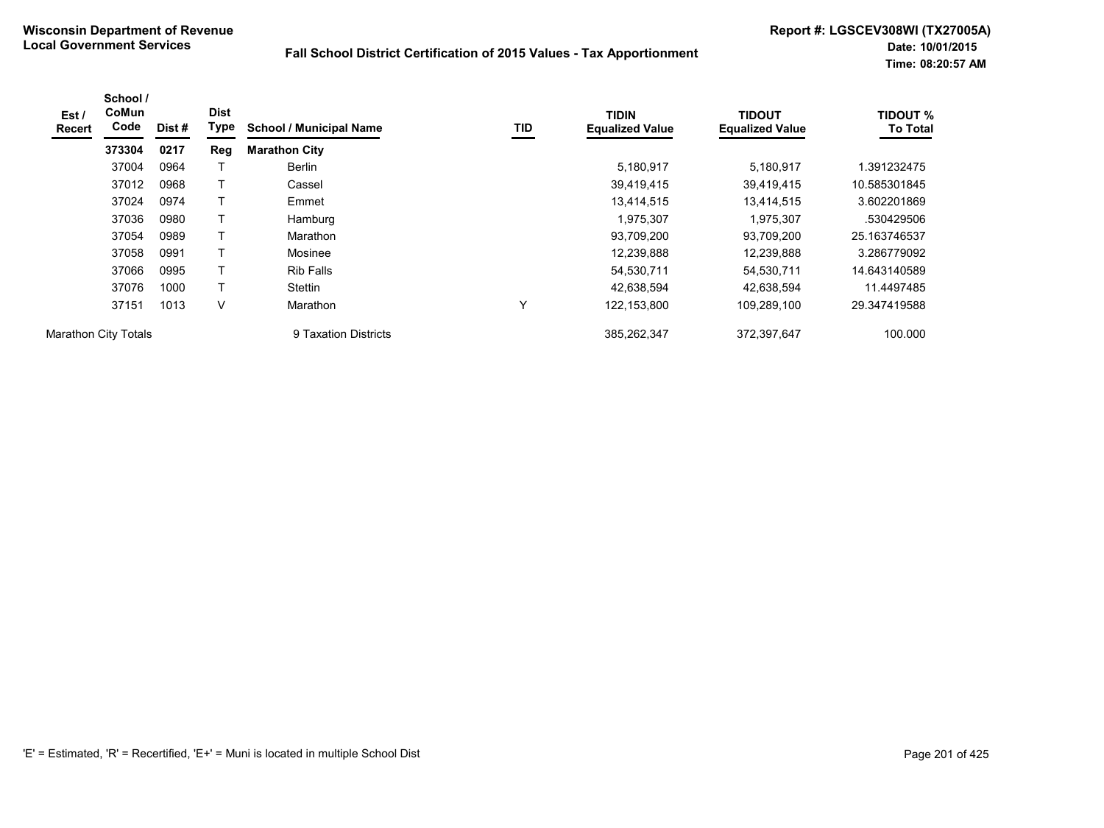| Est /<br><b>Recert</b>      | School /<br>CoMun<br>Code | Dist# | <b>Dist</b><br>Type | <b>School / Municipal Name</b> | TID | <b>TIDIN</b><br><b>Equalized Value</b> | <b>TIDOUT</b><br><b>Equalized Value</b> | <b>TIDOUT %</b><br><b>To Total</b> |
|-----------------------------|---------------------------|-------|---------------------|--------------------------------|-----|----------------------------------------|-----------------------------------------|------------------------------------|
|                             | 373304                    | 0217  | Reg                 | <b>Marathon City</b>           |     |                                        |                                         |                                    |
|                             | 37004                     | 0964  |                     | Berlin                         |     | 5,180,917                              | 5,180,917                               | 1.391232475                        |
|                             | 37012                     | 0968  |                     | Cassel                         |     | 39,419,415                             | 39,419,415                              | 10.585301845                       |
|                             | 37024                     | 0974  | т                   | Emmet                          |     | 13,414,515                             | 13,414,515                              | 3.602201869                        |
|                             | 37036                     | 0980  |                     | Hamburg                        |     | 1,975,307                              | 1,975,307                               | .530429506                         |
|                             | 37054                     | 0989  | T                   | Marathon                       |     | 93,709,200                             | 93,709,200                              | 25.163746537                       |
|                             | 37058                     | 0991  |                     | Mosinee                        |     | 12,239,888                             | 12,239,888                              | 3.286779092                        |
|                             | 37066                     | 0995  |                     | <b>Rib Falls</b>               |     | 54,530,711                             | 54,530,711                              | 14.643140589                       |
|                             | 37076                     | 1000  | T                   | Stettin                        |     | 42.638.594                             | 42,638,594                              | 11.4497485                         |
|                             | 37151                     | 1013  | V                   | Marathon                       | Υ   | 122, 153, 800                          | 109,289,100                             | 29.347419588                       |
| <b>Marathon City Totals</b> |                           |       |                     | 9 Taxation Districts           |     | 385.262.347                            | 372.397.647                             | 100.000                            |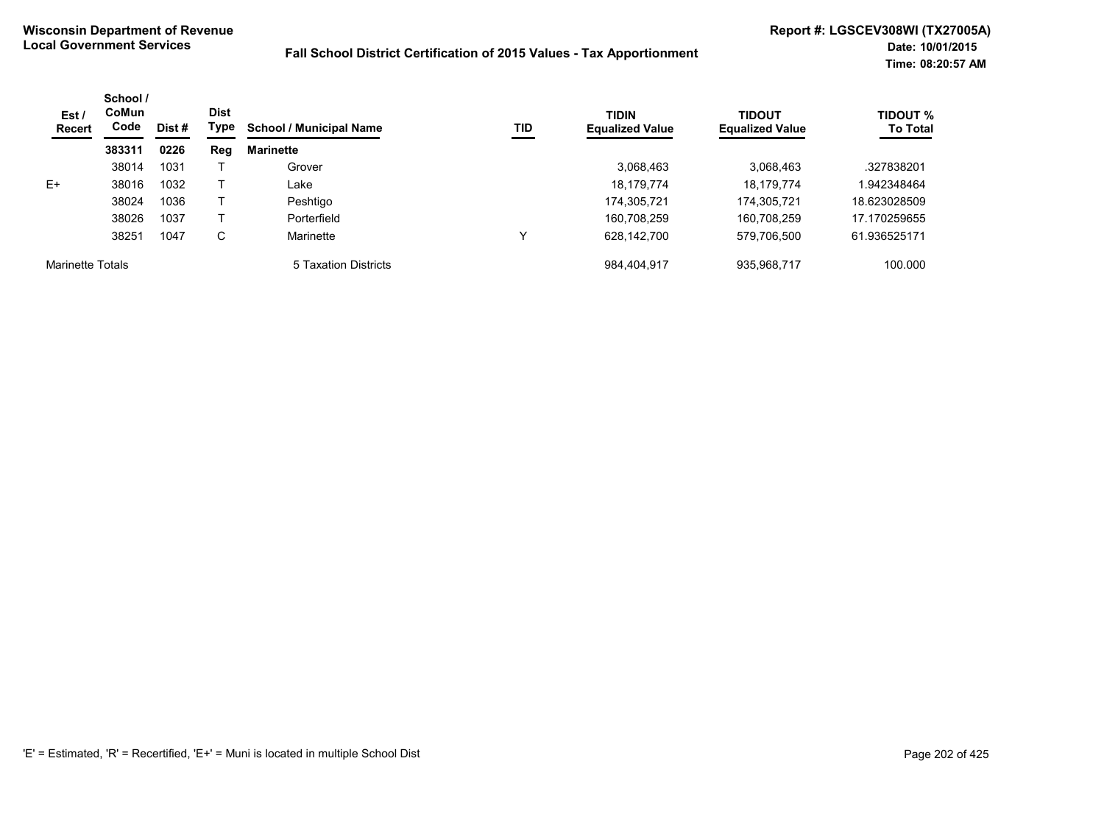| Est/<br>Recert          | School /<br>CoMun<br>Code | Dist # | <b>Dist</b><br>Type | <b>School / Municipal Name</b> | TID | <b>TIDIN</b><br><b>Equalized Value</b> | <b>TIDOUT</b><br><b>Equalized Value</b> | <b>TIDOUT %</b><br><b>To Total</b> |
|-------------------------|---------------------------|--------|---------------------|--------------------------------|-----|----------------------------------------|-----------------------------------------|------------------------------------|
|                         | 383311                    | 0226   | Reg                 | <b>Marinette</b>               |     |                                        |                                         |                                    |
|                         | 38014                     | 1031   |                     | Grover                         |     | 3,068,463                              | 3,068,463                               | .327838201                         |
| $E+$                    | 38016                     | 1032   |                     | ∟ake                           |     | 18,179,774                             | 18,179,774                              | 1.942348464                        |
|                         | 38024                     | 1036   |                     | Peshtigo                       |     | 174.305.721                            | 174.305.721                             | 18.623028509                       |
|                         | 38026                     | 1037   |                     | Porterfield                    |     | 160.708.259                            | 160,708,259                             | 17.170259655                       |
|                         | 38251                     | 1047   | С                   | Marinette                      | v   | 628,142,700                            | 579,706,500                             | 61.936525171                       |
| <b>Marinette Totals</b> |                           |        |                     | 5 Taxation Districts           |     | 984,404,917                            | 935,968,717                             | 100.000                            |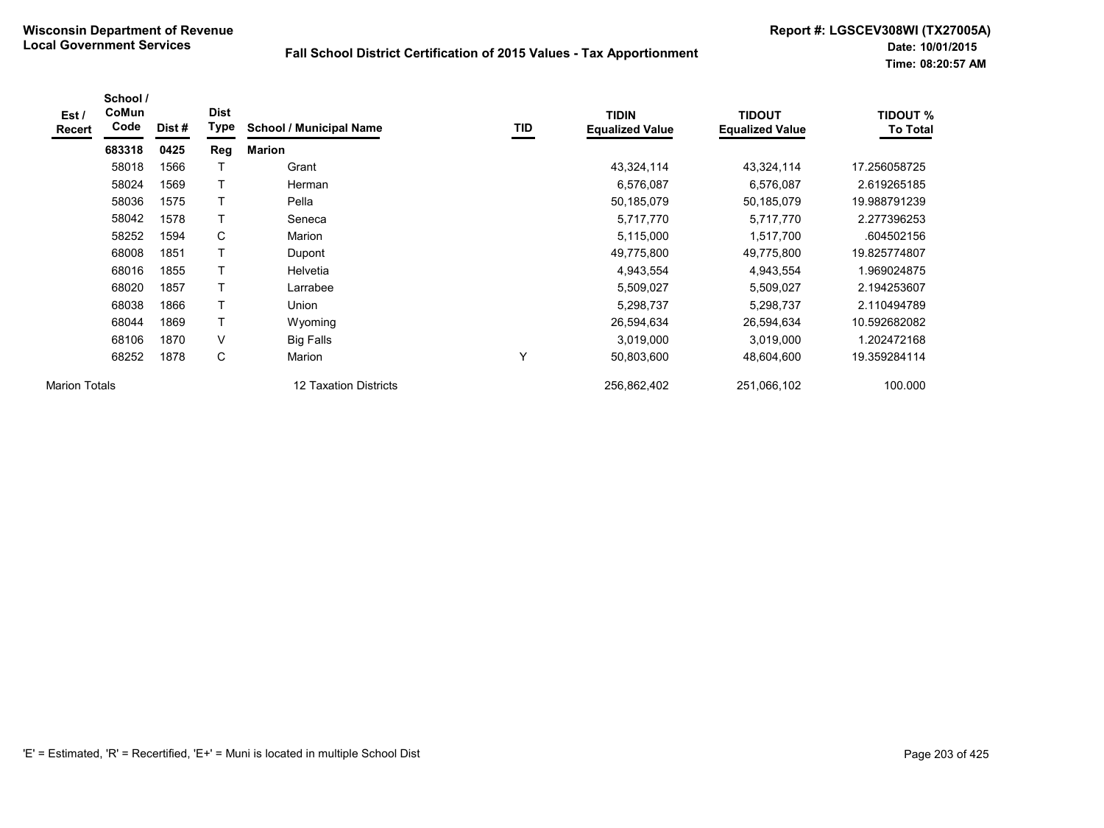| Est /<br>Recert      | School /<br>CoMun<br>Code | Dist# | <b>Dist</b><br>Type | <b>School / Municipal Name</b> | TID | <b>TIDIN</b><br><b>Equalized Value</b> | <b>TIDOUT</b><br><b>Equalized Value</b> | <b>TIDOUT %</b><br><b>To Total</b> |
|----------------------|---------------------------|-------|---------------------|--------------------------------|-----|----------------------------------------|-----------------------------------------|------------------------------------|
|                      | 683318                    | 0425  | Reg                 | <b>Marion</b>                  |     |                                        |                                         |                                    |
|                      | 58018                     | 1566  |                     | Grant                          |     | 43,324,114                             | 43,324,114                              | 17.256058725                       |
|                      | 58024                     | 1569  |                     | Herman                         |     | 6,576,087                              | 6,576,087                               | 2.619265185                        |
|                      | 58036                     | 1575  |                     | Pella                          |     | 50,185,079                             | 50,185,079                              | 19.988791239                       |
|                      | 58042                     | 1578  | Τ                   | Seneca                         |     | 5,717,770                              | 5,717,770                               | 2.277396253                        |
|                      | 58252                     | 1594  | C                   | Marion                         |     | 5,115,000                              | 1,517,700                               | .604502156                         |
|                      | 68008                     | 1851  | Τ                   | Dupont                         |     | 49,775,800                             | 49,775,800                              | 19.825774807                       |
|                      | 68016                     | 1855  | Т                   | Helvetia                       |     | 4,943,554                              | 4,943,554                               | 1.969024875                        |
|                      | 68020                     | 1857  | Т                   | Larrabee                       |     | 5,509,027                              | 5,509,027                               | 2.194253607                        |
|                      | 68038                     | 1866  | Т                   | Union                          |     | 5,298,737                              | 5,298,737                               | 2.110494789                        |
|                      | 68044                     | 1869  | Т                   | Wyoming                        |     | 26,594,634                             | 26,594,634                              | 10.592682082                       |
|                      | 68106                     | 1870  | $\vee$              | <b>Big Falls</b>               |     | 3,019,000                              | 3,019,000                               | .202472168                         |
|                      | 68252                     | 1878  | С                   | Marion                         | Y   | 50,803,600                             | 48,604,600                              | 19.359284114                       |
| <b>Marion Totals</b> |                           |       |                     | <b>12 Taxation Districts</b>   |     | 256,862,402                            | 251,066,102                             | 100.000                            |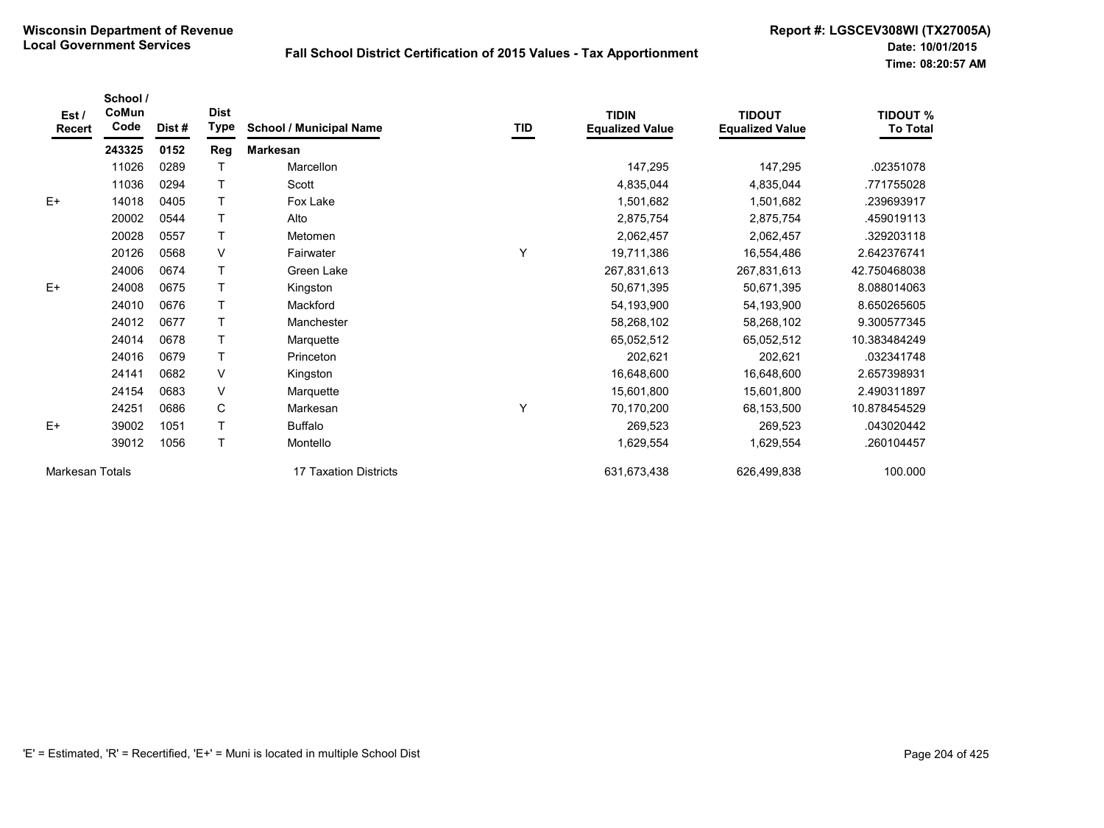| Est/<br><b>Recert</b> | School /<br>CoMun<br>Code | Dist # | <b>Dist</b><br><b>Type</b> | <b>School / Municipal Name</b> | TID | <b>TIDIN</b><br><b>Equalized Value</b> | <b>TIDOUT</b><br><b>Equalized Value</b> | <b>TIDOUT %</b><br><b>To Total</b> |
|-----------------------|---------------------------|--------|----------------------------|--------------------------------|-----|----------------------------------------|-----------------------------------------|------------------------------------|
|                       | 243325                    | 0152   | Reg                        | <b>Markesan</b>                |     |                                        |                                         |                                    |
|                       | 11026                     | 0289   |                            | Marcellon                      |     | 147,295                                | 147,295                                 | .02351078                          |
|                       | 11036                     | 0294   |                            | Scott                          |     | 4,835,044                              | 4,835,044                               | .771755028                         |
| $E+$                  | 14018                     | 0405   |                            | Fox Lake                       |     | 1,501,682                              | 1,501,682                               | .239693917                         |
|                       | 20002                     | 0544   |                            | Alto                           |     | 2,875,754                              | 2,875,754                               | .459019113                         |
|                       | 20028                     | 0557   |                            | Metomen                        |     | 2,062,457                              | 2,062,457                               | .329203118                         |
|                       | 20126                     | 0568   | V                          | Fairwater                      | Y   | 19,711,386                             | 16,554,486                              | 2.642376741                        |
|                       | 24006                     | 0674   |                            | Green Lake                     |     | 267,831,613                            | 267,831,613                             | 42.750468038                       |
| $E+$                  | 24008                     | 0675   |                            | Kingston                       |     | 50,671,395                             | 50,671,395                              | 8.088014063                        |
|                       | 24010                     | 0676   |                            | Mackford                       |     | 54,193,900                             | 54,193,900                              | 8.650265605                        |
|                       | 24012                     | 0677   |                            | Manchester                     |     | 58,268,102                             | 58,268,102                              | 9.300577345                        |
|                       | 24014                     | 0678   |                            | Marquette                      |     | 65,052,512                             | 65,052,512                              | 10.383484249                       |
|                       | 24016                     | 0679   |                            | Princeton                      |     | 202,621                                | 202,621                                 | .032341748                         |
|                       | 24141                     | 0682   | V                          | Kingston                       |     | 16,648,600                             | 16,648,600                              | 2.657398931                        |
|                       | 24154                     | 0683   | V                          | Marquette                      |     | 15,601,800                             | 15,601,800                              | 2.490311897                        |
|                       | 24251                     | 0686   | C                          | Markesan                       | Y   | 70,170,200                             | 68,153,500                              | 10.878454529                       |
| $E+$                  | 39002                     | 1051   |                            | <b>Buffalo</b>                 |     | 269,523                                | 269,523                                 | 043020442                          |
|                       | 39012                     | 1056   |                            | Montello                       |     | 1,629,554                              | 1,629,554                               | .260104457                         |
| Markesan Totals       |                           |        |                            | <b>17 Taxation Districts</b>   |     | 631,673,438                            | 626,499,838                             | 100.000                            |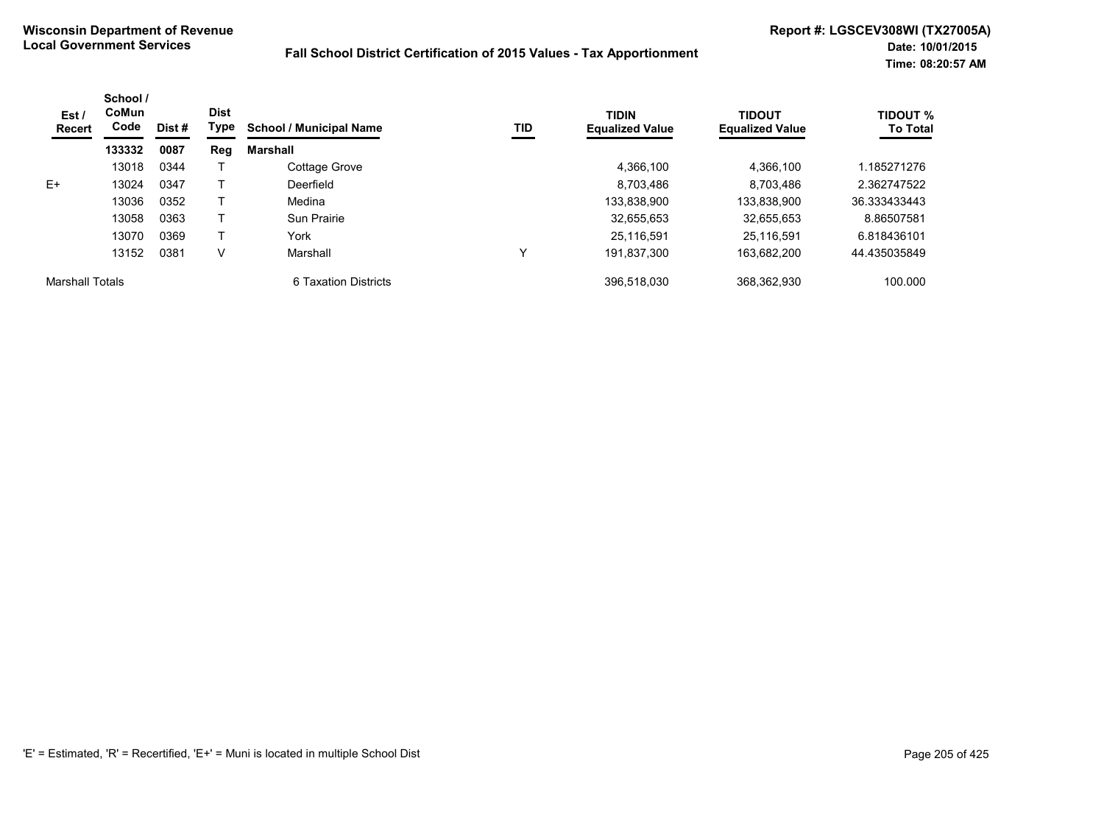| Est /<br><b>Recert</b> | School /<br>CoMun<br>Code | Dist# | <b>Dist</b><br>Type | <b>School / Municipal Name</b> | TID | <b>TIDIN</b><br><b>Equalized Value</b> | <b>TIDOUT</b><br><b>Equalized Value</b> | TIDOUT %<br><b>To Total</b> |
|------------------------|---------------------------|-------|---------------------|--------------------------------|-----|----------------------------------------|-----------------------------------------|-----------------------------|
|                        | 133332                    | 0087  | Reg                 | Marshall                       |     |                                        |                                         |                             |
|                        | 13018                     | 0344  |                     | Cottage Grove                  |     | 4,366,100                              | 4,366,100                               | .185271276                  |
| E+                     | 13024                     | 0347  |                     | Deerfield                      |     | 8,703,486                              | 8,703,486                               | 2.362747522                 |
|                        | 13036                     | 0352  |                     | Medina                         |     | 133,838,900                            | 133,838,900                             | 36.333433443                |
|                        | 13058                     | 0363  |                     | Sun Prairie                    |     | 32,655,653                             | 32,655,653                              | 8.86507581                  |
|                        | 13070                     | 0369  |                     | York                           |     | 25.116.591                             | 25.116.591                              | 6.818436101                 |
|                        | 13152                     | 0381  | V                   | Marshall                       | v   | 191.837.300                            | 163.682.200                             | 44.435035849                |
| <b>Marshall Totals</b> |                           |       |                     | 6 Taxation Districts           |     | 396.518.030                            | 368,362,930                             | 100.000                     |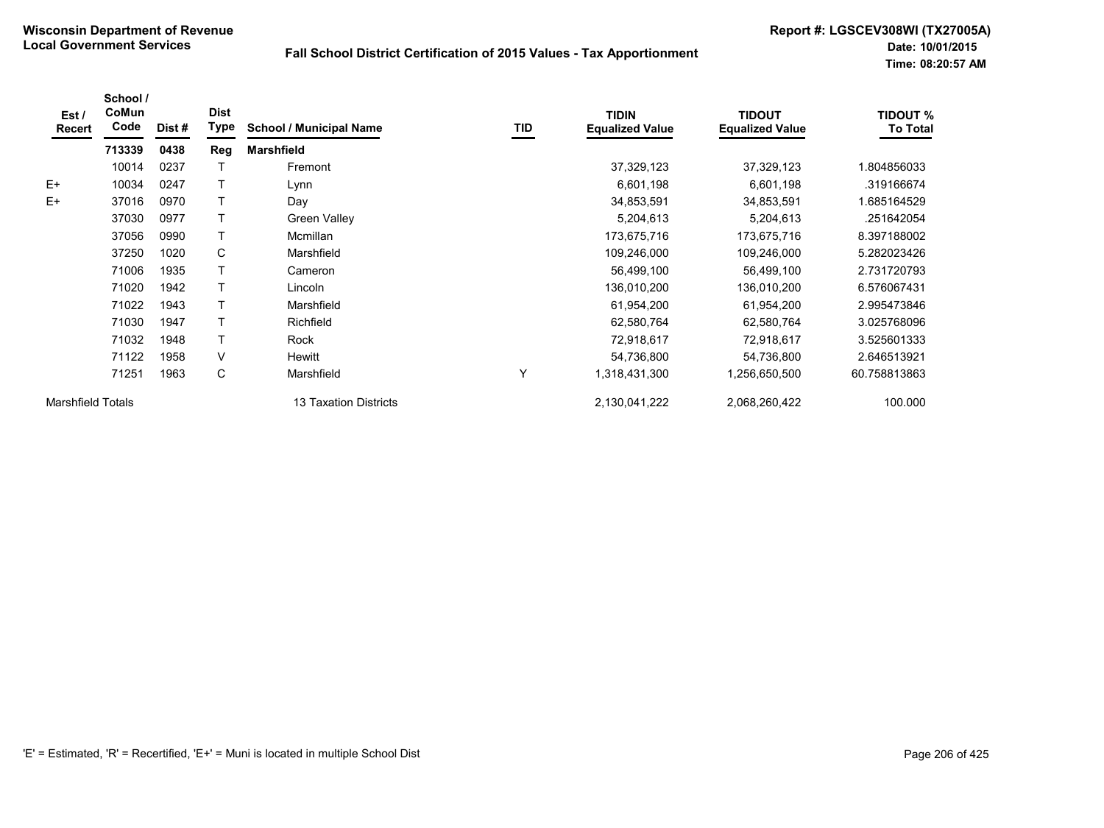| Est /<br><b>Recert</b>   | School /<br>CoMun<br>Code | Dist# | <b>Dist</b><br>Type | <b>School / Municipal Name</b> | TID | <b>TIDIN</b><br><b>Equalized Value</b> | <b>TIDOUT</b><br><b>Equalized Value</b> | <b>TIDOUT %</b><br><b>To Total</b> |
|--------------------------|---------------------------|-------|---------------------|--------------------------------|-----|----------------------------------------|-----------------------------------------|------------------------------------|
|                          | 713339                    | 0438  | Reg                 | <b>Marshfield</b>              |     |                                        |                                         |                                    |
|                          | 10014                     | 0237  |                     | Fremont                        |     | 37,329,123                             | 37,329,123                              | 1.804856033                        |
| $E+$                     | 10034                     | 0247  |                     | Lynn                           |     | 6,601,198                              | 6,601,198                               | .319166674                         |
| $E+$                     | 37016                     | 0970  |                     | Day                            |     | 34,853,591                             | 34,853,591                              | 1.685164529                        |
|                          | 37030                     | 0977  |                     | Green Valley                   |     | 5,204,613                              | 5,204,613                               | .251642054                         |
|                          | 37056                     | 0990  |                     | Mcmillan                       |     | 173,675,716                            | 173,675,716                             | 8.397188002                        |
|                          | 37250                     | 1020  | C                   | Marshfield                     |     | 109,246,000                            | 109,246,000                             | 5.282023426                        |
|                          | 71006                     | 1935  |                     | Cameron                        |     | 56,499,100                             | 56,499,100                              | 2.731720793                        |
|                          | 71020                     | 1942  |                     | Lincoln                        |     | 136,010,200                            | 136,010,200                             | 6.576067431                        |
|                          | 71022                     | 1943  |                     | Marshfield                     |     | 61,954,200                             | 61,954,200                              | 2.995473846                        |
|                          | 71030                     | 1947  |                     | Richfield                      |     | 62,580,764                             | 62,580,764                              | 3.025768096                        |
|                          | 71032                     | 1948  |                     | Rock                           |     | 72,918,617                             | 72,918,617                              | 3.525601333                        |
|                          | 71122                     | 1958  | V                   | Hewitt                         |     | 54,736,800                             | 54,736,800                              | 2.646513921                        |
|                          | 71251                     | 1963  | C                   | Marshfield                     | Y   | 1,318,431,300                          | 1,256,650,500                           | 60.758813863                       |
| <b>Marshfield Totals</b> |                           |       |                     | 13 Taxation Districts          |     | 2,130,041,222                          | 2,068,260,422                           | 100.000                            |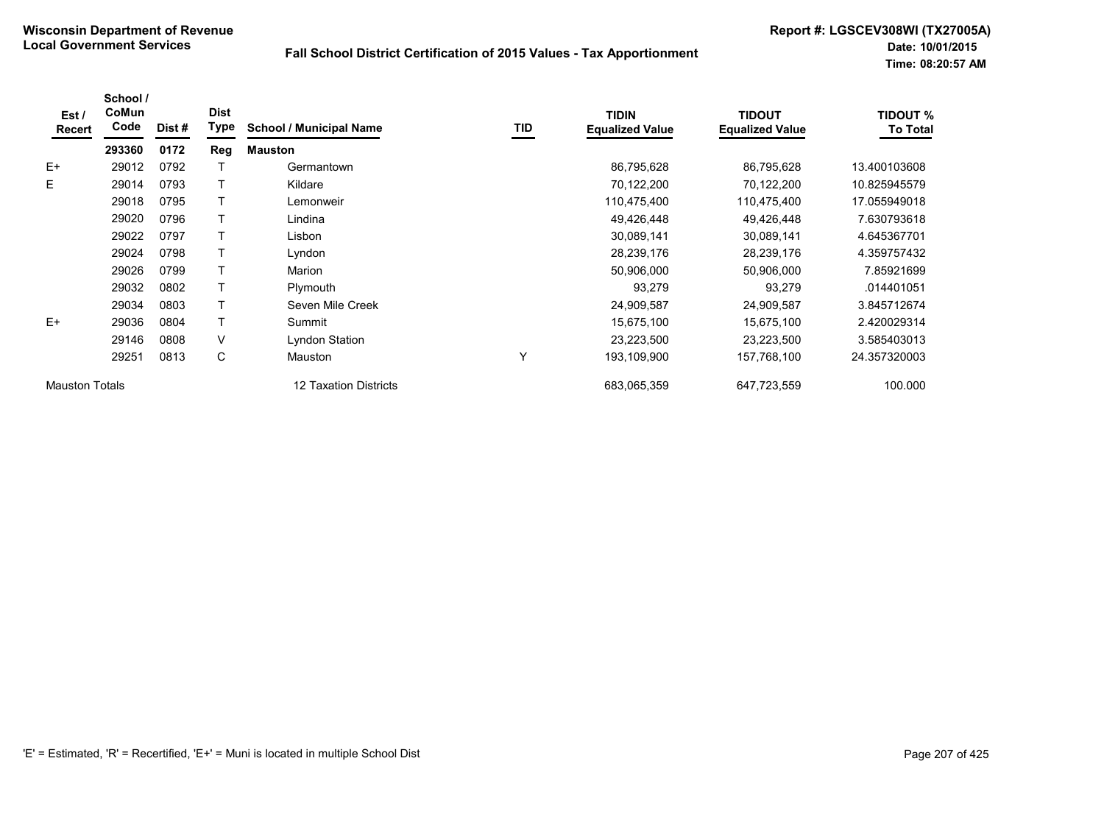| Est /<br>Recert       | School /<br>CoMun<br>Code | Dist # | <b>Dist</b><br>Type | <b>School / Municipal Name</b> | TID | <b>TIDIN</b><br><b>Equalized Value</b> | <b>TIDOUT</b><br><b>Equalized Value</b> | <b>TIDOUT %</b><br><b>To Total</b> |
|-----------------------|---------------------------|--------|---------------------|--------------------------------|-----|----------------------------------------|-----------------------------------------|------------------------------------|
|                       | 293360                    | 0172   | Reg                 | <b>Mauston</b>                 |     |                                        |                                         |                                    |
| $E+$                  | 29012                     | 0792   |                     | Germantown                     |     | 86,795,628                             | 86,795,628                              | 13.400103608                       |
| E                     | 29014                     | 0793   |                     | Kildare                        |     | 70,122,200                             | 70,122,200                              | 10.825945579                       |
|                       | 29018                     | 0795   |                     | Lemonweir                      |     | 110,475,400                            | 110,475,400                             | 17.055949018                       |
|                       | 29020                     | 0796   |                     | Lindina                        |     | 49,426,448                             | 49,426,448                              | 7.630793618                        |
|                       | 29022                     | 0797   |                     | Lisbon                         |     | 30,089,141                             | 30,089,141                              | 4.645367701                        |
|                       | 29024                     | 0798   |                     | Lyndon                         |     | 28,239,176                             | 28,239,176                              | 4.359757432                        |
|                       | 29026                     | 0799   |                     | Marion                         |     | 50,906,000                             | 50,906,000                              | 7.85921699                         |
|                       | 29032                     | 0802   |                     | Plymouth                       |     | 93,279                                 | 93,279                                  | .014401051                         |
|                       | 29034                     | 0803   |                     | Seven Mile Creek               |     | 24,909,587                             | 24,909,587                              | 3.845712674                        |
| $E+$                  | 29036                     | 0804   |                     | Summit                         |     | 15,675,100                             | 15,675,100                              | 2.420029314                        |
|                       | 29146                     | 0808   | V                   | Lyndon Station                 |     | 23,223,500                             | 23,223,500                              | 3.585403013                        |
|                       | 29251                     | 0813   | С                   | Mauston                        | Υ   | 193,109,900                            | 157,768,100                             | 24.357320003                       |
| <b>Mauston Totals</b> |                           |        |                     | <b>12 Taxation Districts</b>   |     | 683,065,359                            | 647,723,559                             | 100.000                            |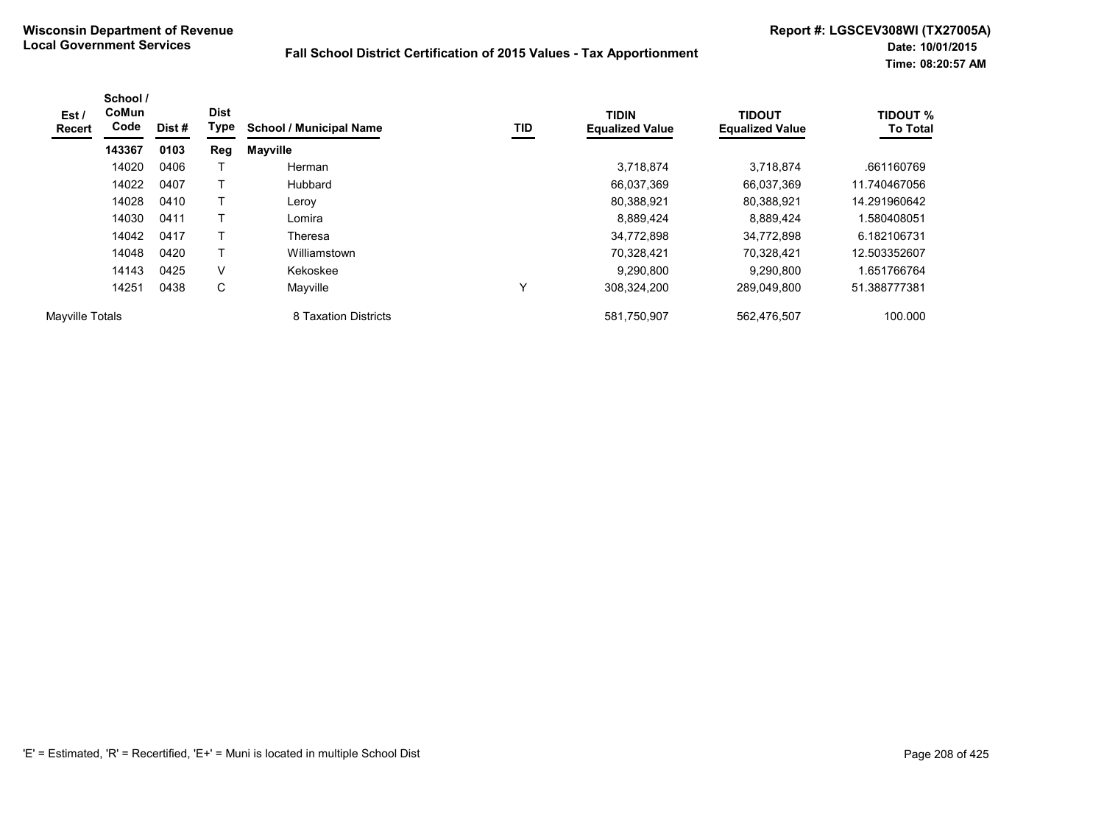| Est/<br>Recert  | School /<br><b>CoMun</b><br>Code | Dist # | <b>Dist</b><br>Type | <b>School / Municipal Name</b> | TID | <b>TIDIN</b><br><b>Equalized Value</b> | <b>TIDOUT</b><br><b>Equalized Value</b> | <b>TIDOUT %</b><br><b>To Total</b> |
|-----------------|----------------------------------|--------|---------------------|--------------------------------|-----|----------------------------------------|-----------------------------------------|------------------------------------|
|                 | 143367                           | 0103   | Reg                 | <b>Mayville</b>                |     |                                        |                                         |                                    |
|                 | 14020                            | 0406   |                     | Herman                         |     | 3,718,874                              | 3,718,874                               | .661160769                         |
|                 | 14022                            | 0407   | т                   | Hubbard                        |     | 66,037,369                             | 66,037,369                              | 11.740467056                       |
|                 | 14028                            | 0410   | Τ                   | Leroy                          |     | 80,388,921                             | 80,388,921                              | 14.291960642                       |
|                 | 14030                            | 0411   | Τ                   | Lomira                         |     | 8,889,424                              | 8,889,424                               | 1.580408051                        |
|                 | 14042                            | 0417   | Τ                   | Theresa                        |     | 34,772,898                             | 34.772.898                              | 6.182106731                        |
|                 | 14048                            | 0420   | Τ                   | Williamstown                   |     | 70,328,421                             | 70,328,421                              | 12.503352607                       |
|                 | 14143                            | 0425   | V                   | Kekoskee                       |     | 9,290,800                              | 9,290,800                               | 1.651766764                        |
|                 | 14251                            | 0438   | C                   | Mayville                       |     | 308.324.200                            | 289,049,800                             | 51.388777381                       |
| Mayville Totals |                                  |        |                     | 8 Taxation Districts           |     | 581,750,907                            | 562,476,507                             | 100.000                            |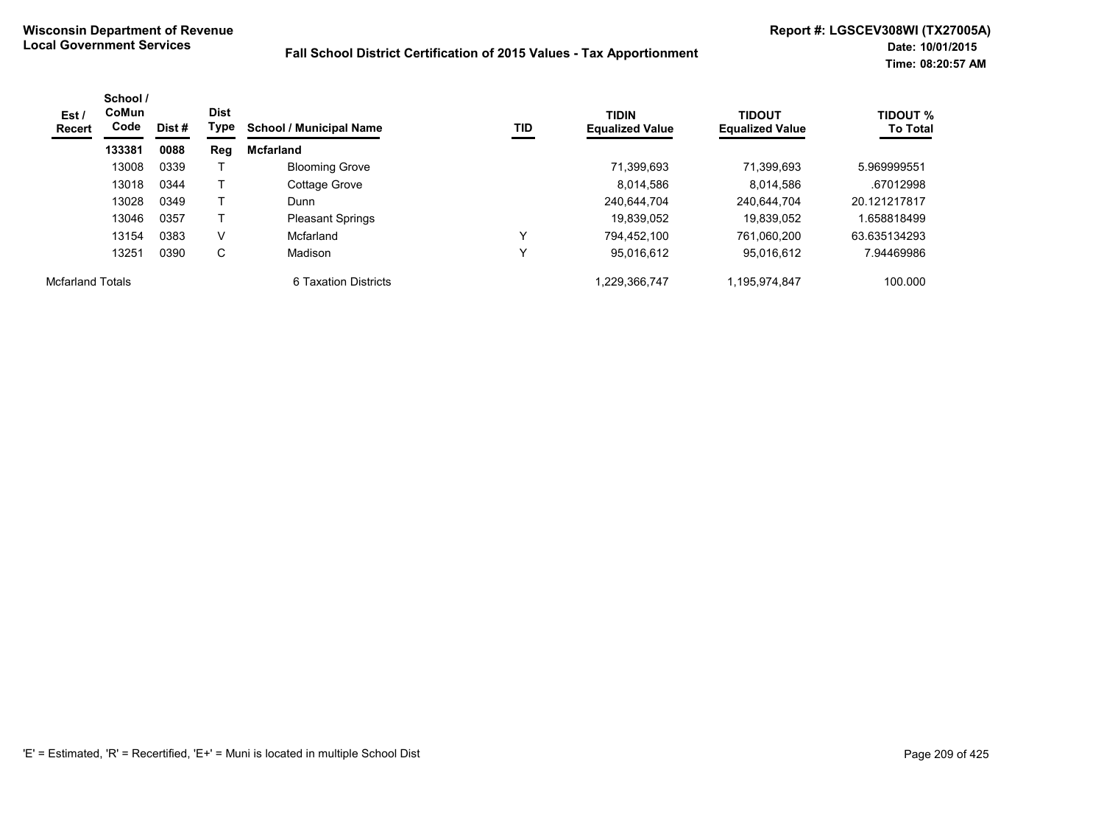| Est /<br><b>Recert</b>  | School /<br><b>CoMun</b><br>Code | Dist # | <b>Dist</b><br>Type | <b>School / Municipal Name</b> | TID          | <b>TIDIN</b><br><b>Equalized Value</b> | <b>TIDOUT</b><br><b>Equalized Value</b> | <b>TIDOUT %</b><br><b>To Total</b> |
|-------------------------|----------------------------------|--------|---------------------|--------------------------------|--------------|----------------------------------------|-----------------------------------------|------------------------------------|
|                         | 133381                           | 0088   | Reg                 | <b>Mcfarland</b>               |              |                                        |                                         |                                    |
|                         | 13008                            | 0339   |                     | <b>Blooming Grove</b>          |              | 71,399,693                             | 71,399,693                              | 5.969999551                        |
|                         | 13018                            | 0344   |                     | Cottage Grove                  |              | 8.014.586                              | 8.014,586                               | .67012998                          |
|                         | 13028                            | 0349   |                     | Dunn                           |              | 240.644.704                            | 240.644.704                             | 20.121217817                       |
|                         | 13046                            | 0357   |                     | <b>Pleasant Springs</b>        |              | 19.839.052                             | 19.839.052                              | .658818499                         |
|                         | 13154                            | 0383   | V                   | Mcfarland                      | $\checkmark$ | 794.452.100                            | 761.060.200                             | 63.635134293                       |
|                         | 13251                            | 0390   | С                   | Madison                        |              | 95.016.612                             | 95.016.612                              | 7.94469986                         |
| <b>Mcfarland Totals</b> |                                  |        |                     | 6 Taxation Districts           |              | 1,229,366,747                          | 1,195,974,847                           | 100.000                            |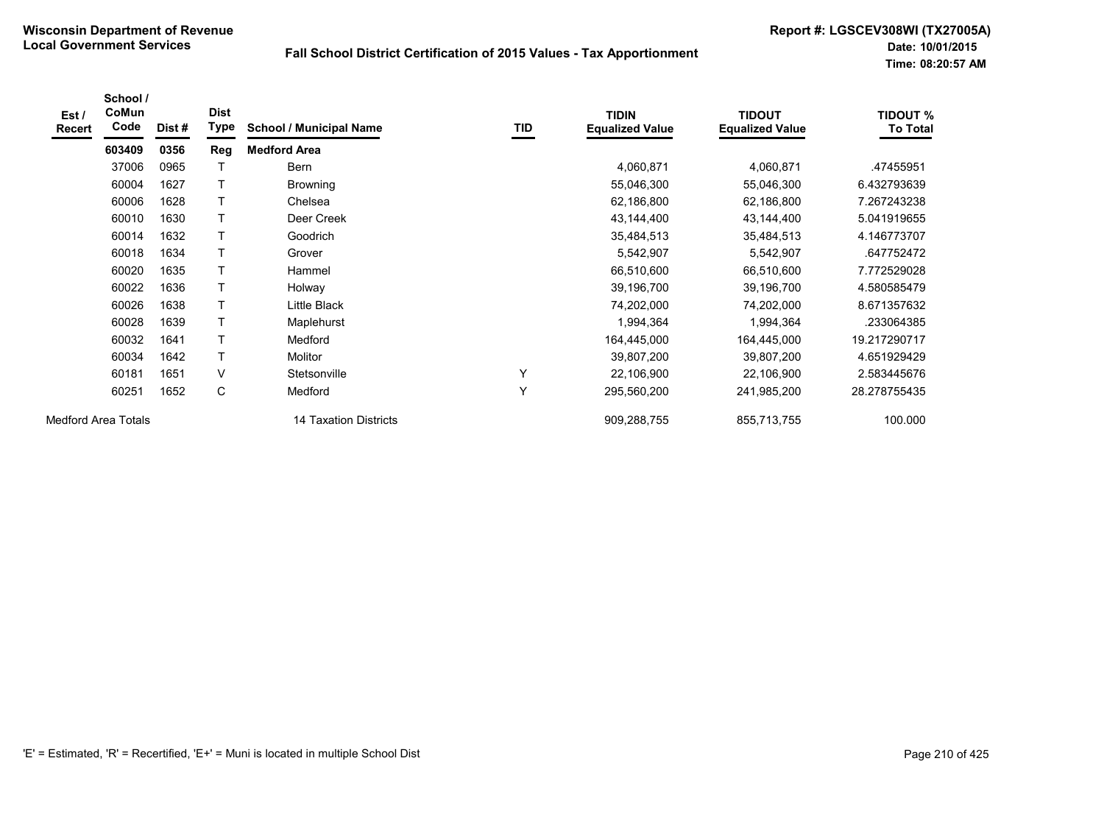| Est/<br><b>Recert</b>      | School /<br>CoMun<br>Code | Dist# | <b>Dist</b><br>Type | <b>School / Municipal Name</b> | TID | <b>TIDIN</b><br><b>Equalized Value</b> | <b>TIDOUT</b><br><b>Equalized Value</b> | <b>TIDOUT %</b><br><b>To Total</b> |
|----------------------------|---------------------------|-------|---------------------|--------------------------------|-----|----------------------------------------|-----------------------------------------|------------------------------------|
|                            | 603409                    | 0356  | Reg                 | <b>Medford Area</b>            |     |                                        |                                         |                                    |
|                            | 37006                     | 0965  |                     | Bern                           |     | 4,060,871                              | 4,060,871                               | .47455951                          |
|                            | 60004                     | 1627  |                     | <b>Browning</b>                |     | 55,046,300                             | 55,046,300                              | 6.432793639                        |
|                            | 60006                     | 1628  |                     | Chelsea                        |     | 62,186,800                             | 62,186,800                              | 7.267243238                        |
|                            | 60010                     | 1630  | Т                   | Deer Creek                     |     | 43,144,400                             | 43,144,400                              | 5.041919655                        |
|                            | 60014                     | 1632  | T                   | Goodrich                       |     | 35,484,513                             | 35,484,513                              | 4.146773707                        |
|                            | 60018                     | 1634  |                     | Grover                         |     | 5,542,907                              | 5,542,907                               | .647752472                         |
|                            | 60020                     | 1635  |                     | Hammel                         |     | 66,510,600                             | 66,510,600                              | 7.772529028                        |
|                            | 60022                     | 1636  |                     | Holway                         |     | 39,196,700                             | 39,196,700                              | 4.580585479                        |
|                            | 60026                     | 1638  | Τ                   | Little Black                   |     | 74,202,000                             | 74,202,000                              | 8.671357632                        |
|                            | 60028                     | 1639  | T                   | Maplehurst                     |     | 1,994,364                              | 1,994,364                               | .233064385                         |
|                            | 60032                     | 1641  |                     | Medford                        |     | 164,445,000                            | 164,445,000                             | 19.217290717                       |
|                            | 60034                     | 1642  | T                   | Molitor                        |     | 39,807,200                             | 39,807,200                              | 4.651929429                        |
|                            | 60181                     | 1651  | $\vee$              | Stetsonville                   | Υ   | 22,106,900                             | 22,106,900                              | 2.583445676                        |
|                            | 60251                     | 1652  | С                   | Medford                        | Y   | 295,560,200                            | 241,985,200                             | 28.278755435                       |
| <b>Medford Area Totals</b> |                           |       |                     | 14 Taxation Districts          |     | 909,288,755                            | 855,713,755                             | 100.000                            |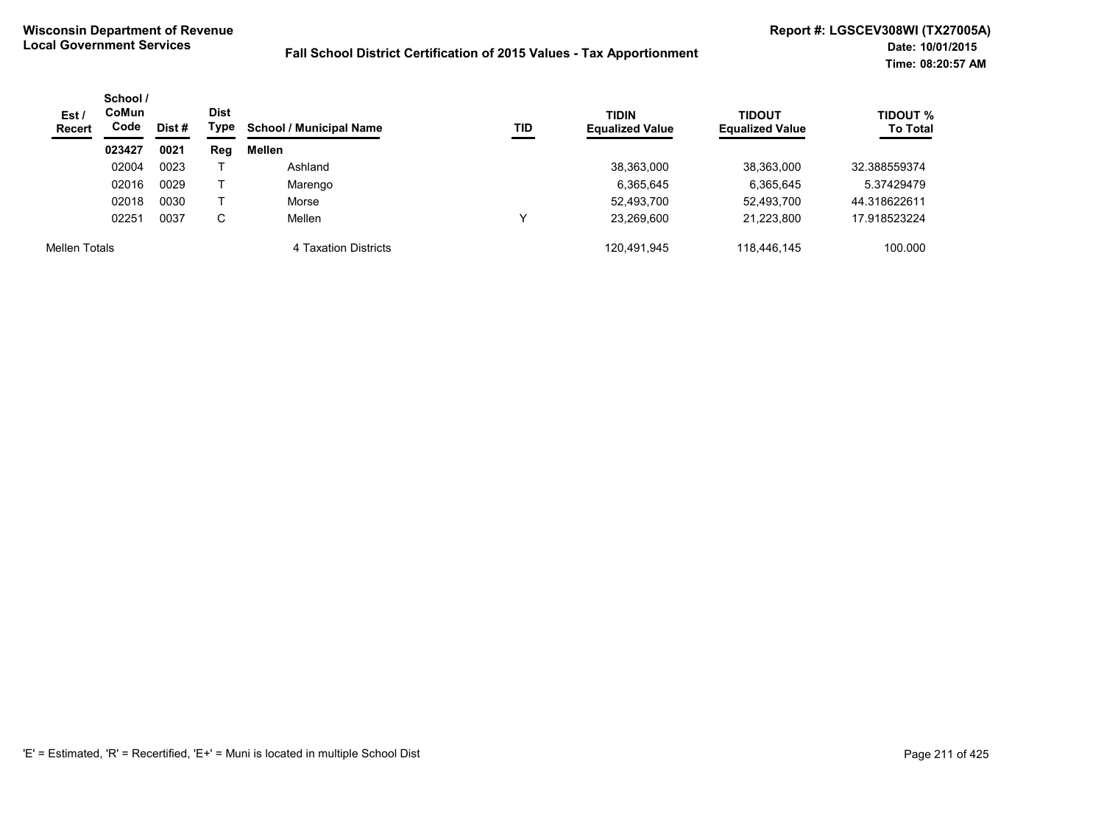| Est/<br><b>Recert</b> | School /<br><b>CoMun</b><br>Code | Dist # | <b>Dist</b><br>Type | <b>School / Municipal Name</b> | TID | <b>TIDIN</b><br><b>Equalized Value</b> | <b>TIDOUT</b><br><b>Equalized Value</b> | <b>TIDOUT %</b><br><b>To Total</b> |
|-----------------------|----------------------------------|--------|---------------------|--------------------------------|-----|----------------------------------------|-----------------------------------------|------------------------------------|
|                       | 023427                           | 0021   | Reg                 | Mellen                         |     |                                        |                                         |                                    |
|                       | 02004                            | 0023   |                     | Ashland                        |     | 38,363,000                             | 38,363,000                              | 32.388559374                       |
|                       | 02016                            | 0029   |                     | Marengo                        |     | 6,365,645                              | 6,365,645                               | 5.37429479                         |
|                       | 02018                            | 0030   |                     | Morse                          |     | 52,493,700                             | 52,493,700                              | 44.318622611                       |
|                       | 02251                            | 0037   | С                   | Mellen                         |     | 23.269.600                             | 21.223.800                              | 17.918523224                       |
| Mellen Totals         |                                  |        |                     | 4 Taxation Districts           |     | 120.491.945                            | 118.446.145                             | 100.000                            |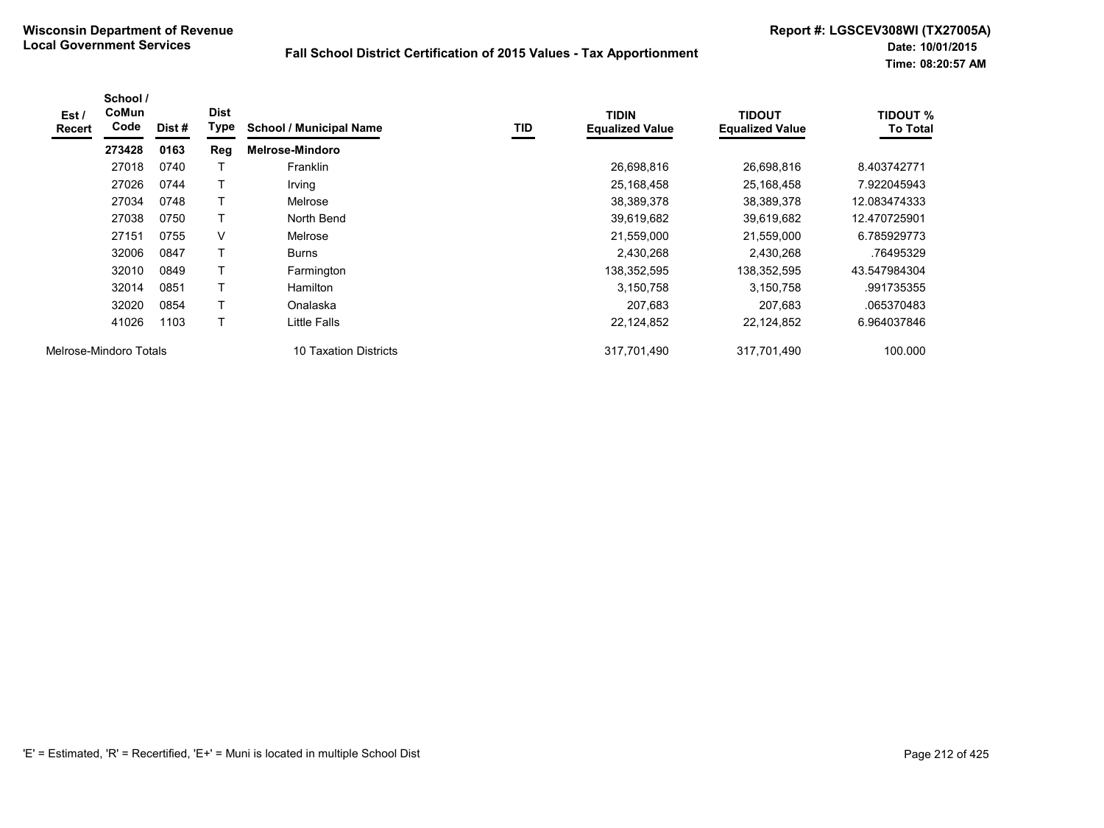| Est/<br><b>Recert</b>  | School /<br><b>CoMun</b><br>Code | Dist# | <b>Dist</b><br>Type | <b>School / Municipal Name</b> | TID | <b>TIDIN</b><br><b>Equalized Value</b> | <b>TIDOUT</b><br><b>Equalized Value</b> | TIDOUT %<br><b>To Total</b> |
|------------------------|----------------------------------|-------|---------------------|--------------------------------|-----|----------------------------------------|-----------------------------------------|-----------------------------|
|                        | 273428                           | 0163  | Reg                 | <b>Melrose-Mindoro</b>         |     |                                        |                                         |                             |
|                        | 27018                            | 0740  |                     | Franklin                       |     | 26,698,816                             | 26,698,816                              | 8.403742771                 |
|                        | 27026                            | 0744  |                     | Irving                         |     | 25,168,458                             | 25,168,458                              | 7.922045943                 |
|                        | 27034                            | 0748  | т                   | Melrose                        |     | 38,389,378                             | 38,389,378                              | 12.083474333                |
|                        | 27038                            | 0750  |                     | North Bend                     |     | 39,619,682                             | 39,619,682                              | 12.470725901                |
|                        | 27151                            | 0755  | V                   | Melrose                        |     | 21,559,000                             | 21,559,000                              | 6.785929773                 |
|                        | 32006                            | 0847  | T                   | <b>Burns</b>                   |     | 2,430,268                              | 2,430,268                               | .76495329                   |
|                        | 32010                            | 0849  | Τ                   | Farmington                     |     | 138,352,595                            | 138,352,595                             | 43.547984304                |
|                        | 32014                            | 0851  | T                   | <b>Hamilton</b>                |     | 3,150,758                              | 3,150,758                               | .991735355                  |
|                        | 32020                            | 0854  | т                   | Onalaska                       |     | 207,683                                | 207,683                                 | .065370483                  |
|                        | 41026                            | 1103  | т                   | Little Falls                   |     | 22,124,852                             | 22,124,852                              | 6.964037846                 |
| Melrose-Mindoro Totals |                                  |       |                     | 10 Taxation Districts          |     | 317,701,490                            | 317,701,490                             | 100.000                     |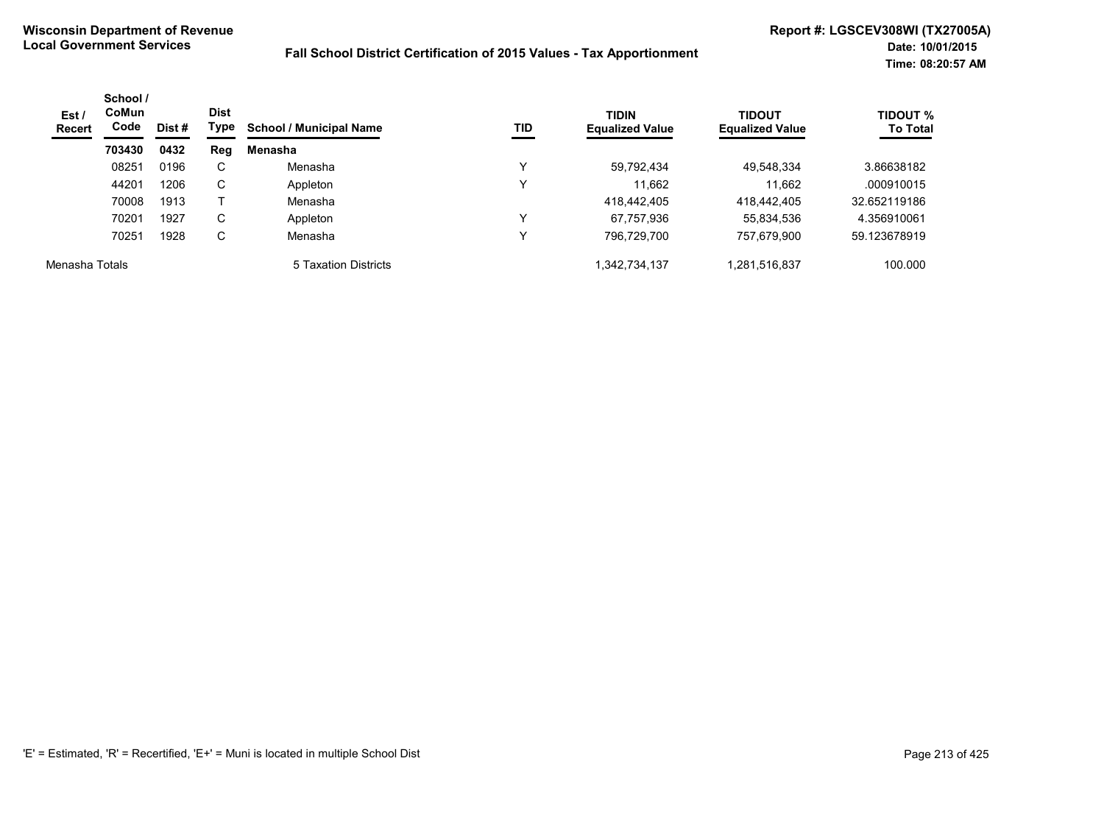| Est/<br><b>Recert</b> | School /<br><b>CoMun</b><br>Code | Dist # | <b>Dist</b><br>Type | <b>TIDIN</b><br>TID<br><b>School / Municipal Name</b><br><b>Equalized Value</b> | <b>TIDOUT</b><br><b>Equalized Value</b> | <b>TIDOUT %</b><br><b>To Total</b> |              |              |
|-----------------------|----------------------------------|--------|---------------------|---------------------------------------------------------------------------------|-----------------------------------------|------------------------------------|--------------|--------------|
|                       | 703430                           | 0432   | Reg                 | Menasha                                                                         |                                         |                                    |              |              |
|                       | 08251                            | 0196   | C                   | Menasha                                                                         |                                         | 59,792,434                         | 49.548.334   | 3.86638182   |
|                       | 44201                            | 1206   | C                   | Appleton                                                                        | ν                                       | 11.662                             | 11.662       | .000910015   |
|                       | 70008                            | 1913   |                     | Menasha                                                                         |                                         | 418,442,405                        | 418,442,405  | 32.652119186 |
|                       | 70201                            | 1927   | C                   | Appleton                                                                        | ν                                       | 67,757,936                         | 55,834,536   | 4.356910061  |
|                       | 70251                            | 1928   | C                   | Menasha                                                                         |                                         | 796,729,700                        | 757,679,900  | 59.123678919 |
| Menasha Totals        |                                  |        |                     | 5 Taxation Districts                                                            |                                         | 342,734,137                        | .281,516,837 | 100.000      |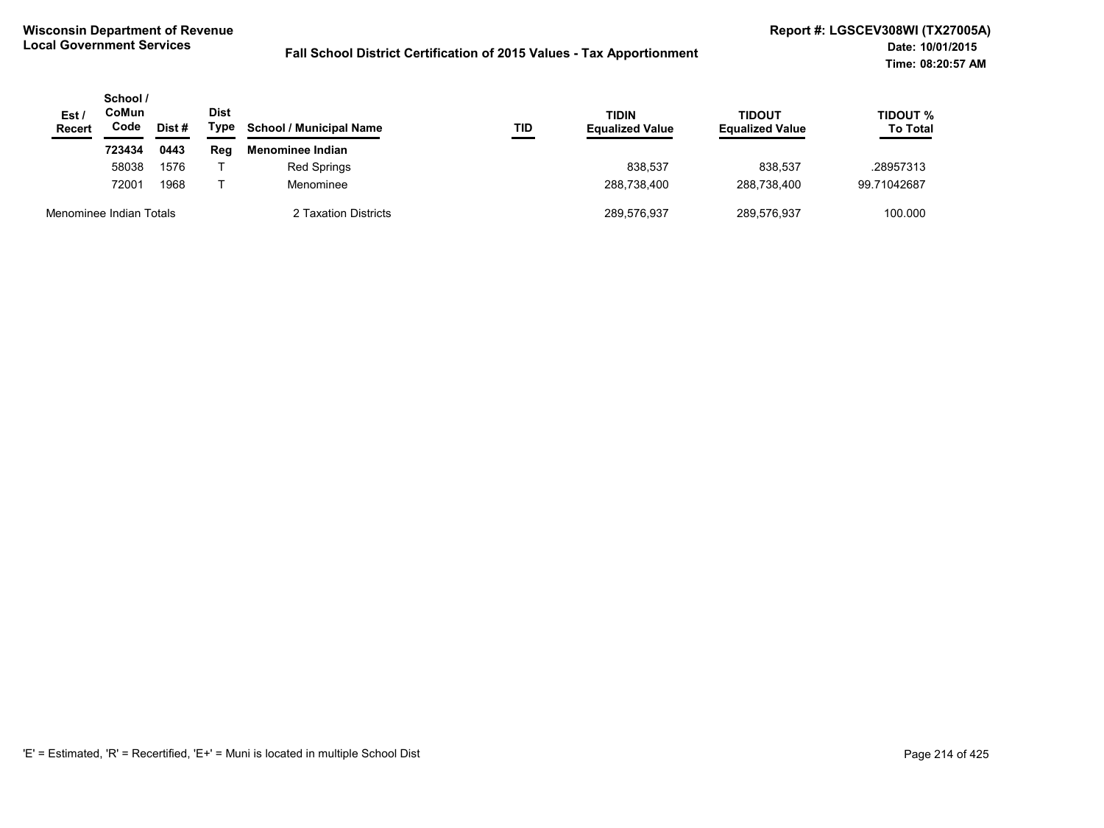| Est /<br><b>Recert</b>  | School /<br>CoMun<br>Code<br>Dist # | Dist<br>Type | <b>School / Municipal Name</b> | TID                  | <b>TIDIN</b><br><b>Equalized Value</b> | <b>TIDOUT</b><br><b>Equalized Value</b> | TIDOUT %<br><b>To Total</b> |             |
|-------------------------|-------------------------------------|--------------|--------------------------------|----------------------|----------------------------------------|-----------------------------------------|-----------------------------|-------------|
|                         | 723434                              | 0443         | Rea                            | Menominee Indian     |                                        |                                         |                             |             |
|                         | 58038                               | 1576         |                                | <b>Red Springs</b>   |                                        | 838.537                                 | 838.537                     | .28957313   |
|                         | 72001                               | 1968         |                                | Menominee            |                                        | 288.738.400                             | 288.738.400                 | 99.71042687 |
| Menominee Indian Totals |                                     |              |                                | 2 Taxation Districts |                                        | 289,576,937                             | 289,576,937                 | 100.000     |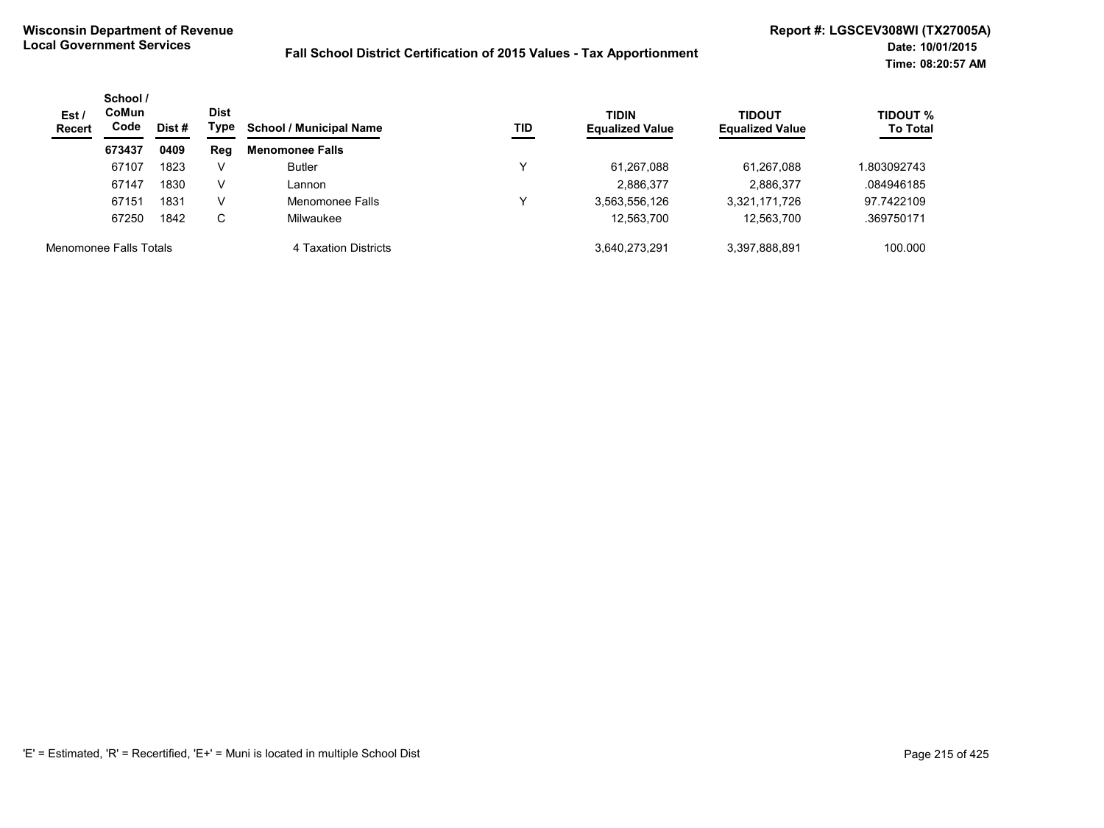| Est/<br><b>Recert</b> | School /<br>CoMun<br>Code<br>Dist #<br>0409<br>673437 | Dist<br>Type | <b>School / Municipal Name</b> | TID                    | <b>TIDIN</b><br><b>Equalized Value</b> | <b>TIDOUT</b><br><b>Equalized Value</b> | TIDOUT %<br><b>To Total</b> |            |
|-----------------------|-------------------------------------------------------|--------------|--------------------------------|------------------------|----------------------------------------|-----------------------------------------|-----------------------------|------------|
|                       |                                                       |              | Reg                            | <b>Menomonee Falls</b> |                                        |                                         |                             |            |
|                       | 67107                                                 | 1823         | V                              | <b>Butler</b>          |                                        | 61,267,088                              | 61.267.088                  | .803092743 |
|                       | 67147                                                 | 1830         | v                              | Lannon                 |                                        | 2.886.377                               | 2.886.377                   | .084946185 |
|                       | 67151                                                 | 1831         | v                              | Menomonee Falls        | v                                      | 3,563,556,126                           | 3,321,171,726               | 97.7422109 |
|                       | 67250                                                 | 1842         | С                              | Milwaukee              |                                        | 12,563,700                              | 12,563,700                  | .369750171 |
|                       | Menomonee Falls Totals                                |              |                                | 4 Taxation Districts   |                                        | 3.640.273.291                           | 3.397.888.891               | 100.000    |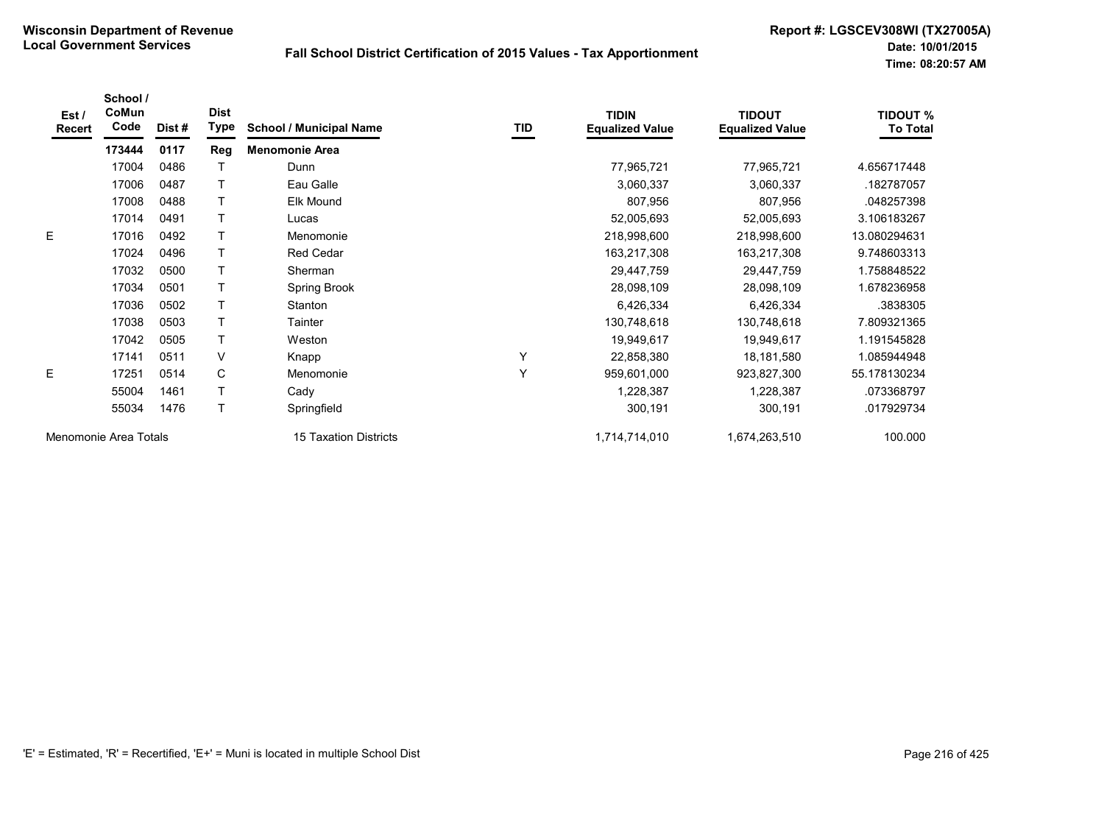| Est /<br>Recert | School /<br>CoMun<br>Code | Dist # | <b>Dist</b><br><b>Type</b> | <b>School / Municipal Name</b> | TID | <b>TIDIN</b><br><b>Equalized Value</b> | <b>TIDOUT</b><br><b>Equalized Value</b> | <b>TIDOUT %</b><br><b>To Total</b> |
|-----------------|---------------------------|--------|----------------------------|--------------------------------|-----|----------------------------------------|-----------------------------------------|------------------------------------|
|                 | 173444                    | 0117   | Reg                        | <b>Menomonie Area</b>          |     |                                        |                                         |                                    |
|                 | 17004                     | 0486   |                            | Dunn                           |     | 77,965,721                             | 77,965,721                              | 4.656717448                        |
|                 | 17006                     | 0487   |                            | Eau Galle                      |     | 3,060,337                              | 3,060,337                               | .182787057                         |
|                 | 17008                     | 0488   |                            | Elk Mound                      |     | 807,956                                | 807,956                                 | .048257398                         |
|                 | 17014                     | 0491   |                            | Lucas                          |     | 52,005,693                             | 52,005,693                              | 3.106183267                        |
| E               | 17016                     | 0492   |                            | Menomonie                      |     | 218,998,600                            | 218,998,600                             | 13.080294631                       |
|                 | 17024                     | 0496   |                            | <b>Red Cedar</b>               |     | 163,217,308                            | 163,217,308                             | 9.748603313                        |
|                 | 17032                     | 0500   |                            | Sherman                        |     | 29,447,759                             | 29,447,759                              | 1.758848522                        |
|                 | 17034                     | 0501   |                            | Spring Brook                   |     | 28,098,109                             | 28,098,109                              | 1.678236958                        |
|                 | 17036                     | 0502   |                            | Stanton                        |     | 6,426,334                              | 6,426,334                               | .3838305                           |
|                 | 17038                     | 0503   |                            | Tainter                        |     | 130,748,618                            | 130,748,618                             | 7.809321365                        |
|                 | 17042                     | 0505   |                            | Weston                         |     | 19,949,617                             | 19,949,617                              | 1.191545828                        |
|                 | 17141                     | 0511   | V                          | Knapp                          | Y   | 22,858,380                             | 18,181,580                              | 1.085944948                        |
| E               | 17251                     | 0514   | C                          | Menomonie                      | Y   | 959,601,000                            | 923,827,300                             | 55.178130234                       |
|                 | 55004                     | 1461   |                            | Cady                           |     | 1,228,387                              | 1,228,387                               | .073368797                         |
|                 | 55034                     | 1476   |                            | Springfield                    |     | 300,191                                | 300,191                                 | .017929734                         |
|                 | Menomonie Area Totals     |        |                            | 15 Taxation Districts          |     | 1,714,714,010                          | 1,674,263,510                           | 100.000                            |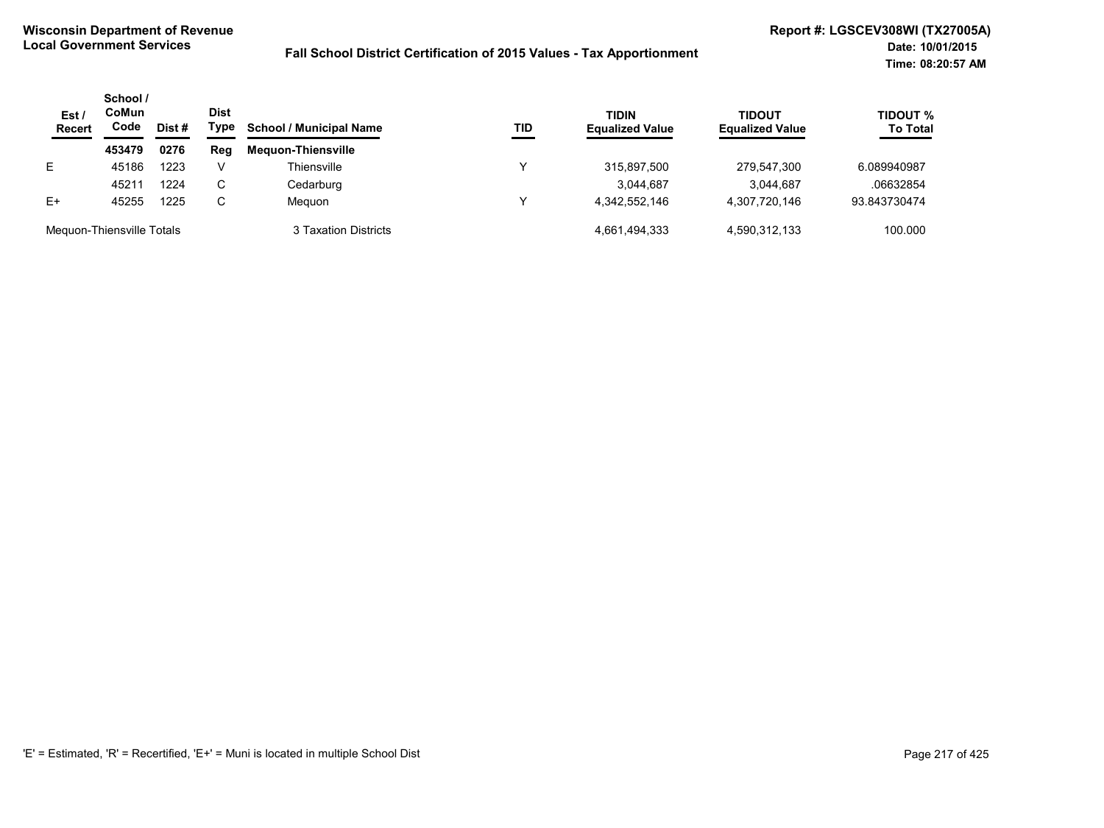| Est/<br><b>Recert</b>     | School /<br>CoMun<br>Code | Dist # | <b>Dist</b><br>Type | <b>School / Municipal Name</b> | TID | <b>TIDIN</b><br><b>Equalized Value</b> | <b>TIDOUT</b><br><b>Equalized Value</b> | <b>TIDOUT %</b><br><b>To Total</b> |
|---------------------------|---------------------------|--------|---------------------|--------------------------------|-----|----------------------------------------|-----------------------------------------|------------------------------------|
|                           | 453479                    | 0276   | Reg                 | <b>Mequon-Thiensville</b>      |     |                                        |                                         |                                    |
| E.                        | 45186                     | 1223   | V                   | Thiensville                    | v   | 315,897,500                            | 279,547,300                             | 6.089940987                        |
|                           | 45211                     | 1224   | C                   | Cedarburg                      |     | 3,044,687                              | 3.044.687                               | .06632854                          |
| $E+$                      | 45255                     | 1225   | C                   | Meguon                         |     | 4.342.552.146                          | 4,307,720,146                           | 93.843730474                       |
| Mequon-Thiensville Totals |                           |        |                     | 3 Taxation Districts           |     | 4,661,494,333                          | 4,590,312,133                           | 100.000                            |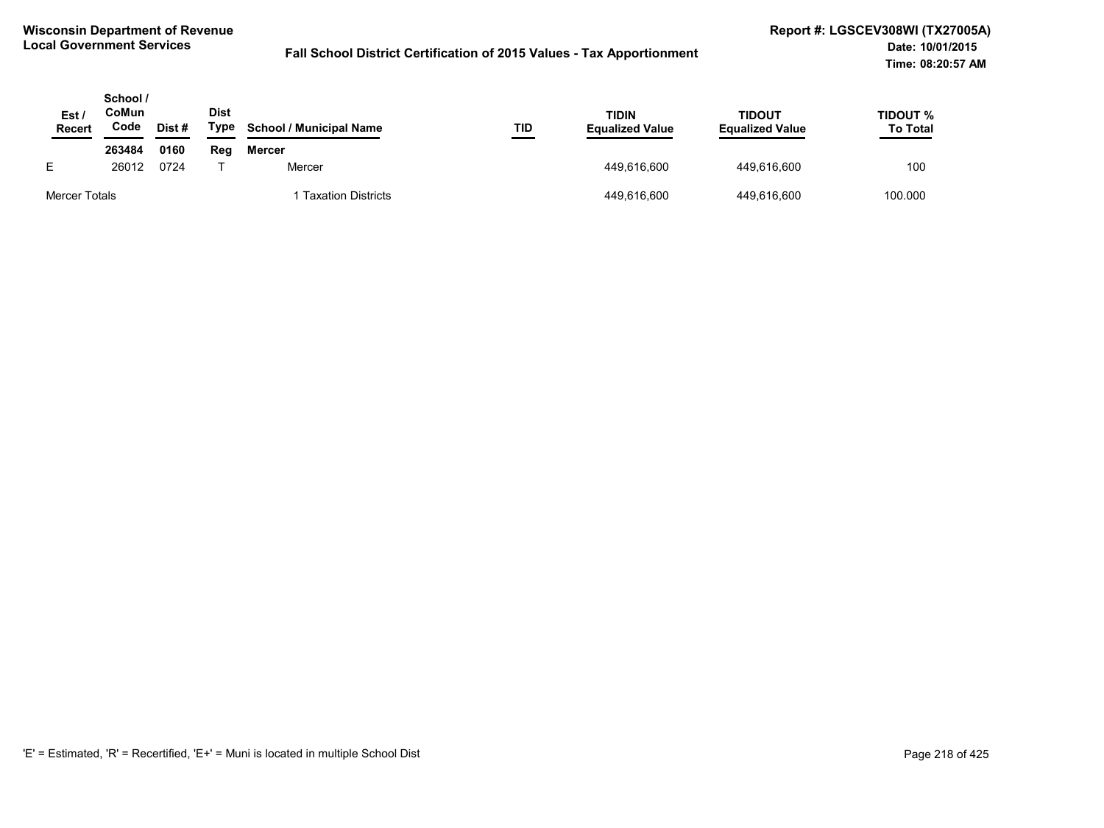| Est,<br><b>Recert</b> | School /<br>CoMun<br>Code | <b>Dist</b><br>Type<br>Dist# | <b>School / Municipal Name</b> | TID                       | TIDIN<br><b>Equalized Value</b> | <b>TIDOUT</b><br><b>Equalized Value</b> | TIDOUT %<br><b>To Total</b> |         |
|-----------------------|---------------------------|------------------------------|--------------------------------|---------------------------|---------------------------------|-----------------------------------------|-----------------------------|---------|
|                       | 263484                    | 0160                         | Reg                            | <b>Mercer</b>             |                                 |                                         |                             |         |
| E                     | 26012                     | 0724                         |                                | Mercer                    |                                 | 449,616,600                             | 449.616.600                 | 100     |
| Mercer Totals         |                           |                              |                                | <b>Taxation Districts</b> |                                 | 449,616,600                             | 449,616,600                 | 100.000 |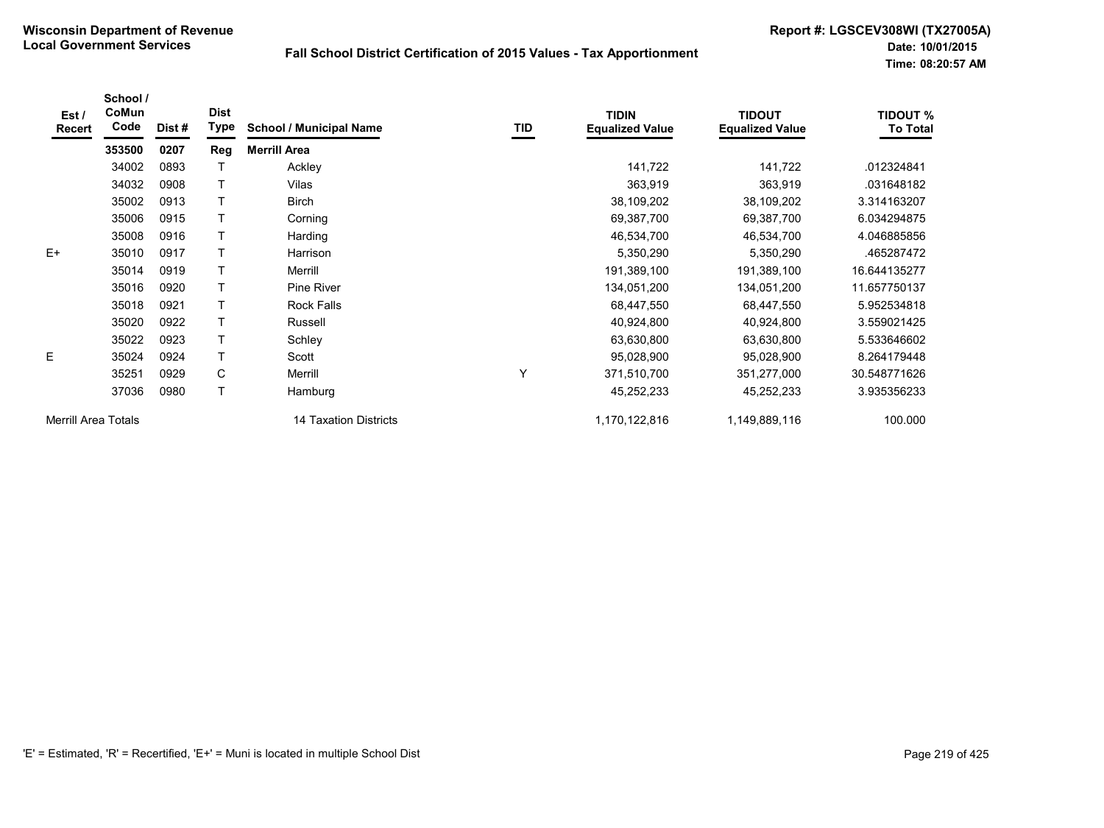| Est/<br><b>Recert</b>      | School /<br>CoMun<br>Code | Dist # | <b>Dist</b><br>Type | <b>School / Municipal Name</b> | TID | <b>TIDIN</b><br><b>Equalized Value</b> | <b>TIDOUT</b><br><b>Equalized Value</b> | <b>TIDOUT %</b><br><b>To Total</b> |
|----------------------------|---------------------------|--------|---------------------|--------------------------------|-----|----------------------------------------|-----------------------------------------|------------------------------------|
|                            | 353500                    | 0207   | Reg                 | <b>Merrill Area</b>            |     |                                        |                                         |                                    |
|                            | 34002                     | 0893   |                     | Ackley                         |     | 141,722                                | 141,722                                 | .012324841                         |
|                            | 34032                     | 0908   | т                   | Vilas                          |     | 363,919                                | 363,919                                 | .031648182                         |
|                            | 35002                     | 0913   | T                   | <b>Birch</b>                   |     | 38,109,202                             | 38,109,202                              | 3.314163207                        |
|                            | 35006                     | 0915   |                     | Corning                        |     | 69,387,700                             | 69,387,700                              | 6.034294875                        |
|                            | 35008                     | 0916   | T                   | Harding                        |     | 46,534,700                             | 46,534,700                              | 4.046885856                        |
| $E+$                       | 35010                     | 0917   |                     | Harrison                       |     | 5,350,290                              | 5,350,290                               | .465287472                         |
|                            | 35014                     | 0919   |                     | Merrill                        |     | 191,389,100                            | 191,389,100                             | 16.644135277                       |
|                            | 35016                     | 0920   |                     | Pine River                     |     | 134,051,200                            | 134,051,200                             | 11.657750137                       |
|                            | 35018                     | 0921   | T                   | <b>Rock Falls</b>              |     | 68,447,550                             | 68,447,550                              | 5.952534818                        |
|                            | 35020                     | 0922   | T                   | Russell                        |     | 40,924,800                             | 40,924,800                              | 3.559021425                        |
|                            | 35022                     | 0923   | T                   | Schley                         |     | 63,630,800                             | 63,630,800                              | 5.533646602                        |
| E                          | 35024                     | 0924   | $\mathsf{T}$        | Scott                          |     | 95,028,900                             | 95,028,900                              | 8.264179448                        |
|                            | 35251                     | 0929   | C                   | Merrill                        | Υ   | 371,510,700                            | 351,277,000                             | 30.548771626                       |
|                            | 37036                     | 0980   | т                   | Hamburg                        |     | 45,252,233                             | 45,252,233                              | 3.935356233                        |
| <b>Merrill Area Totals</b> |                           |        |                     | 14 Taxation Districts          |     | 1,170,122,816                          | 1,149,889,116                           | 100.000                            |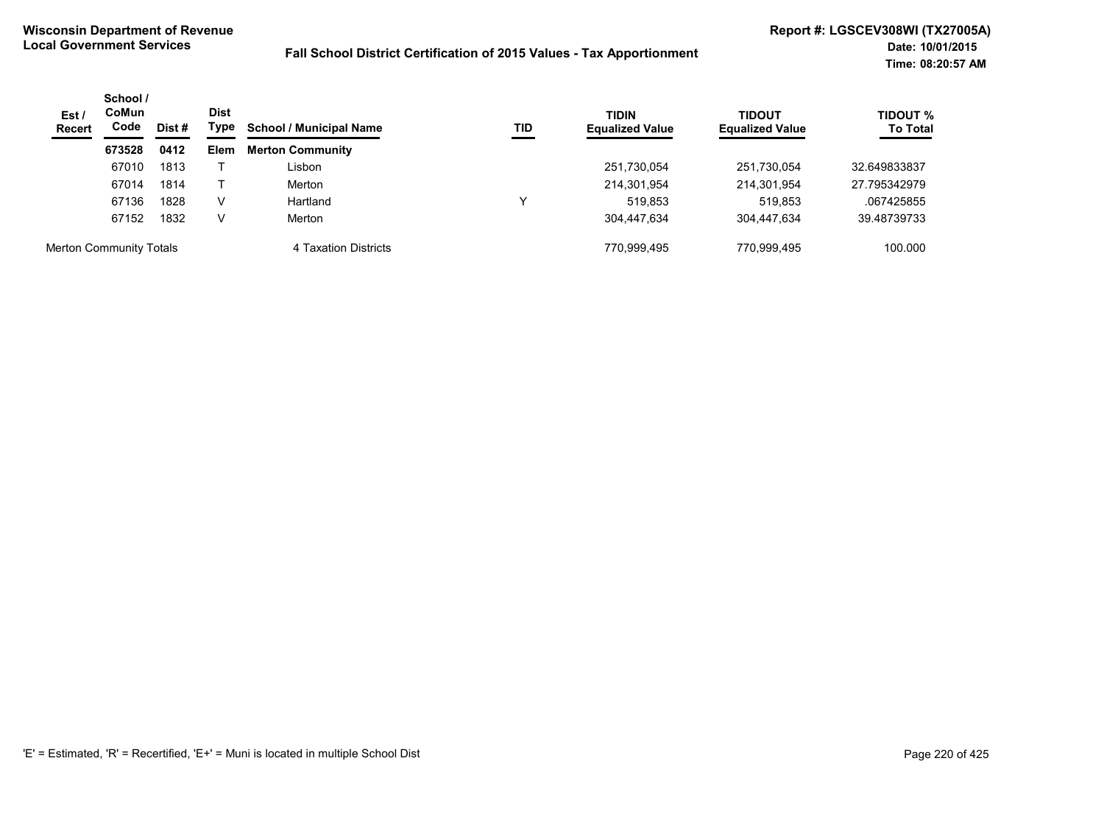| Est /<br><b>Recert</b> | CoMun<br>Code                  | School /<br>Dist<br>Type<br>Dist # | TID<br><b>School / Municipal Name</b> | <b>TIDIN</b><br><b>Equalized Value</b> | <b>TIDOUT</b><br><b>Equalized Value</b> | TIDOUT %<br><b>To Total</b> |             |              |
|------------------------|--------------------------------|------------------------------------|---------------------------------------|----------------------------------------|-----------------------------------------|-----------------------------|-------------|--------------|
|                        | 673528                         | 0412                               | Elem                                  | <b>Merton Community</b>                |                                         |                             |             |              |
|                        | 67010                          | 1813                               |                                       | ∟isbon                                 |                                         | 251,730,054                 | 251,730,054 | 32.649833837 |
|                        | 67014                          | 1814                               |                                       | Merton                                 |                                         | 214,301,954                 | 214,301,954 | 27.795342979 |
|                        | 67136                          | 1828                               | v                                     | Hartland                               |                                         | 519.853                     | 519.853     | .067425855   |
|                        | 67152                          | 1832                               | V                                     | Merton                                 |                                         | 304.447.634                 | 304.447.634 | 39.48739733  |
|                        | <b>Merton Community Totals</b> |                                    |                                       | 4 Taxation Districts                   |                                         | 770.999.495                 | 770.999.495 | 100.000      |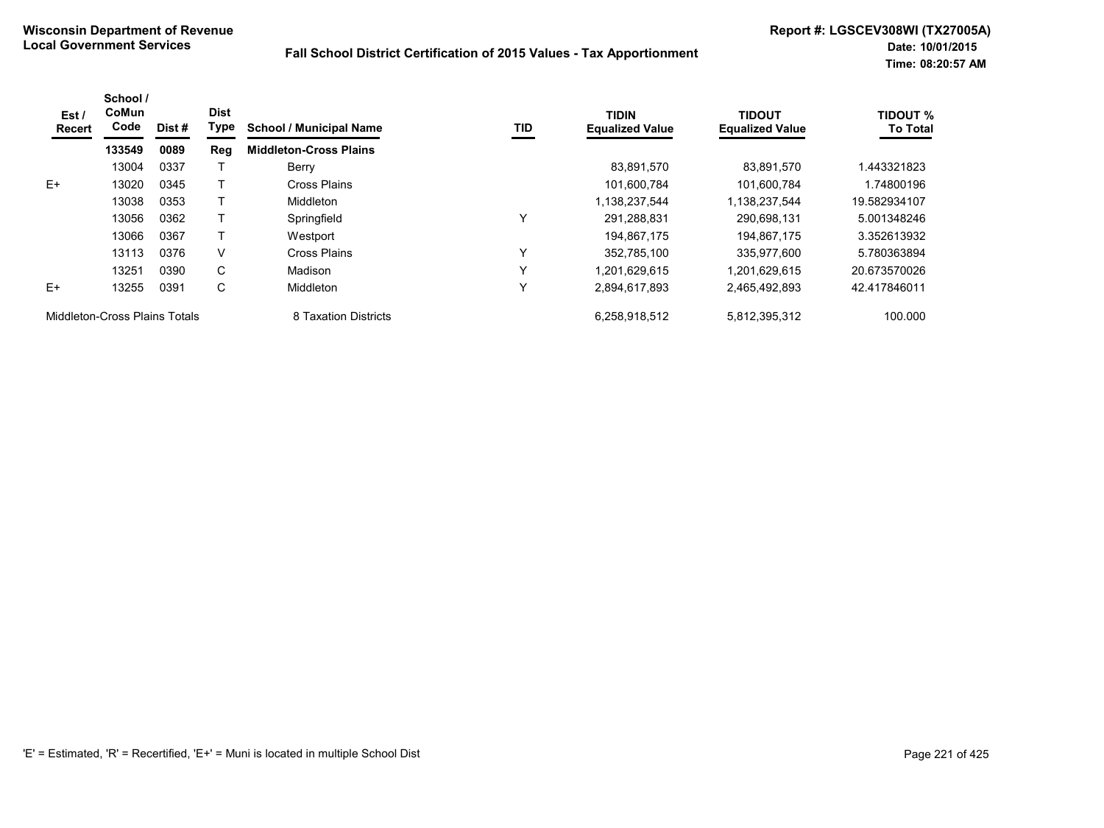| Est /<br>Recert               | School /<br>CoMun<br>Code | Dist# | <b>Dist</b><br>Type | <b>School / Municipal Name</b> | TID          | <b>TIDIN</b><br><b>Equalized Value</b> | <b>TIDOUT</b><br><b>Equalized Value</b> | <b>TIDOUT %</b><br><b>To Total</b> |
|-------------------------------|---------------------------|-------|---------------------|--------------------------------|--------------|----------------------------------------|-----------------------------------------|------------------------------------|
|                               | 133549                    | 0089  | Reg                 | <b>Middleton-Cross Plains</b>  |              |                                        |                                         |                                    |
|                               | 13004                     | 0337  |                     | Berry                          |              | 83.891.570                             | 83.891.570                              | 1.443321823                        |
| $E+$                          | 13020                     | 0345  |                     | Cross Plains                   |              | 101,600,784                            | 101.600.784                             | 1.74800196                         |
|                               | 13038                     | 0353  |                     | <b>Middleton</b>               |              | 1,138,237,544                          | 1.138.237.544                           | 19.582934107                       |
|                               | 13056                     | 0362  |                     | Springfield                    | Υ            | 291,288,831                            | 290.698.131                             | 5.001348246                        |
|                               | 13066                     | 0367  |                     | Westport                       |              | 194,867,175                            | 194.867.175                             | 3.352613932                        |
|                               | 13113                     | 0376  | V                   | Cross Plains                   | $\checkmark$ | 352,785,100                            | 335,977,600                             | 5.780363894                        |
|                               | 13251                     | 0390  | C                   | Madison                        | Y            | 1,201,629,615                          | 1,201,629,615                           | 20.673570026                       |
| F+                            | 13255                     | 0391  | C                   | <b>Middleton</b>               | Υ            | 2,894,617,893                          | 2,465,492,893                           | 42.417846011                       |
| Middleton-Cross Plains Totals |                           |       |                     | 8 Taxation Districts           |              | 6,258,918,512                          | 5,812,395,312                           | 100.000                            |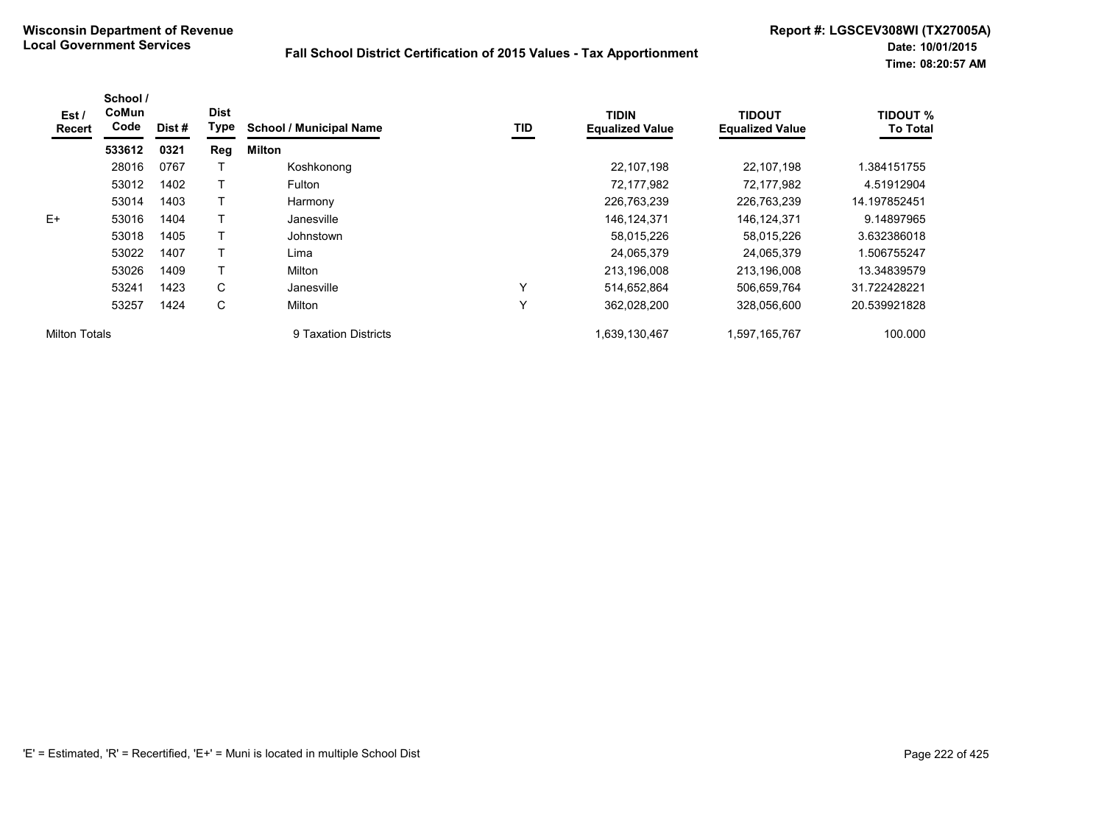| Est/<br><b>Recert</b> | School /<br>CoMun<br>Code | Dist # | <b>Dist</b><br>Type | <b>School / Municipal Name</b> | TID | <b>TIDIN</b><br><b>Equalized Value</b> | <b>TIDOUT</b><br><b>Equalized Value</b> | <b>TIDOUT %</b><br><b>To Total</b> |
|-----------------------|---------------------------|--------|---------------------|--------------------------------|-----|----------------------------------------|-----------------------------------------|------------------------------------|
|                       | 533612                    | 0321   | <b>Reg</b>          | Milton                         |     |                                        |                                         |                                    |
|                       | 28016                     | 0767   |                     | Koshkonong                     |     | 22,107,198                             | 22.107.198                              | 1.384151755                        |
|                       | 53012                     | 1402   |                     | Fulton                         |     | 72,177,982                             | 72,177,982                              | 4.51912904                         |
|                       | 53014                     | 1403   | Т                   | Harmony                        |     | 226,763,239                            | 226,763,239                             | 14.197852451                       |
| E+                    | 53016                     | 1404   |                     | Janesville                     |     | 146,124,371                            | 146, 124, 371                           | 9.14897965                         |
|                       | 53018                     | 1405   | т                   | Johnstown                      |     | 58,015,226                             | 58,015,226                              | 3.632386018                        |
|                       | 53022                     | 1407   |                     | Lima                           |     | 24,065,379                             | 24,065,379                              | 1.506755247                        |
|                       | 53026                     | 1409   | т                   | Milton                         |     | 213,196,008                            | 213,196,008                             | 13.34839579                        |
|                       | 53241                     | 1423   | C                   | Janesville                     | Υ   | 514,652,864                            | 506,659,764                             | 31.722428221                       |
|                       | 53257                     | 1424   | С                   | Milton                         | Υ   | 362,028,200                            | 328,056,600                             | 20.539921828                       |
| <b>Milton Totals</b>  |                           |        |                     | 9 Taxation Districts           |     | 1,639,130,467                          | 1,597,165,767                           | 100.000                            |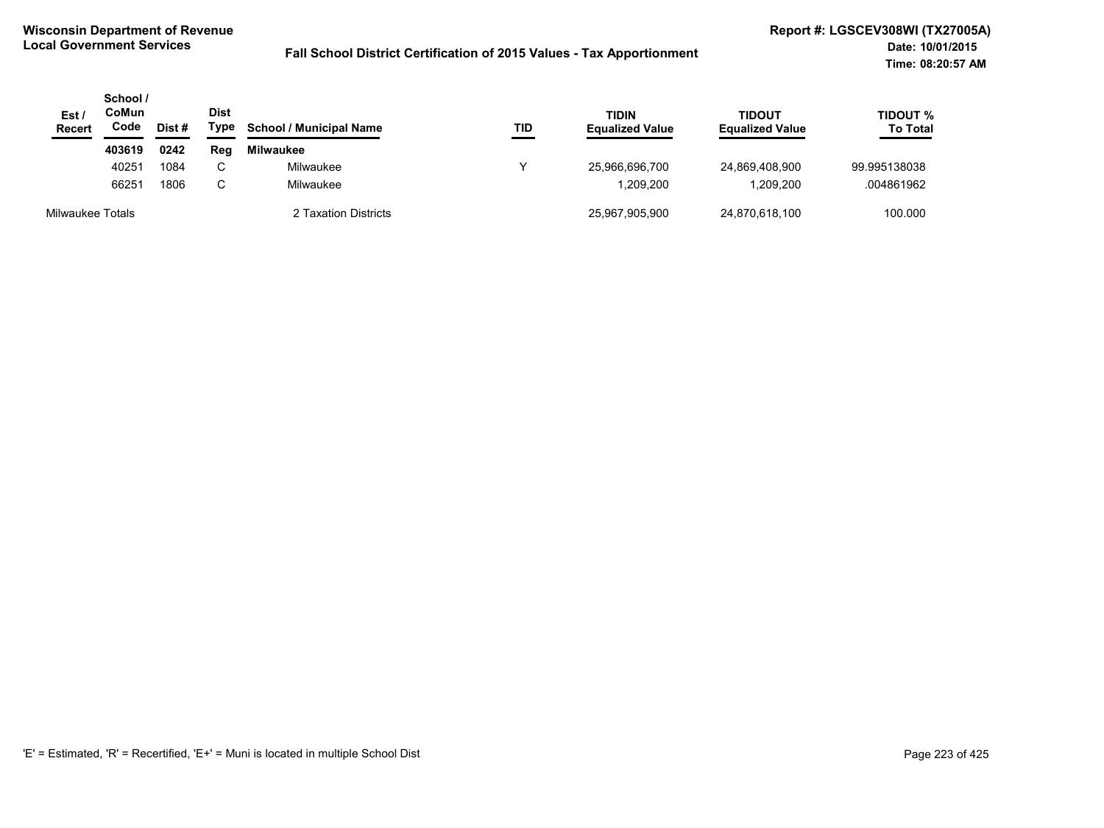| Est /<br><b>Recert</b> | School /<br>CoMun<br>Code | Dist # | <b>Dist</b><br>Type | <b>School / Municipal Name</b> | TID | <b>TIDIN</b><br><b>Equalized Value</b> | TIDOUT<br><b>Equalized Value</b> | TIDOUT %<br><b>To Total</b> |
|------------------------|---------------------------|--------|---------------------|--------------------------------|-----|----------------------------------------|----------------------------------|-----------------------------|
|                        | 403619                    | 0242   | Reg                 | <b>Milwaukee</b>               |     |                                        |                                  |                             |
|                        | 40251                     | 1084   |                     | Milwaukee                      |     | 25,966,696,700                         | 24,869,408,900                   | 99.995138038                |
|                        | 66251                     | 1806   |                     | Milwaukee                      |     | 1,209,200                              | ,209,200                         | .004861962                  |
| Milwaukee Totals       |                           |        |                     | 2 Taxation Districts           |     | 25.967.905.900                         | 24,870,618,100                   | 100.000                     |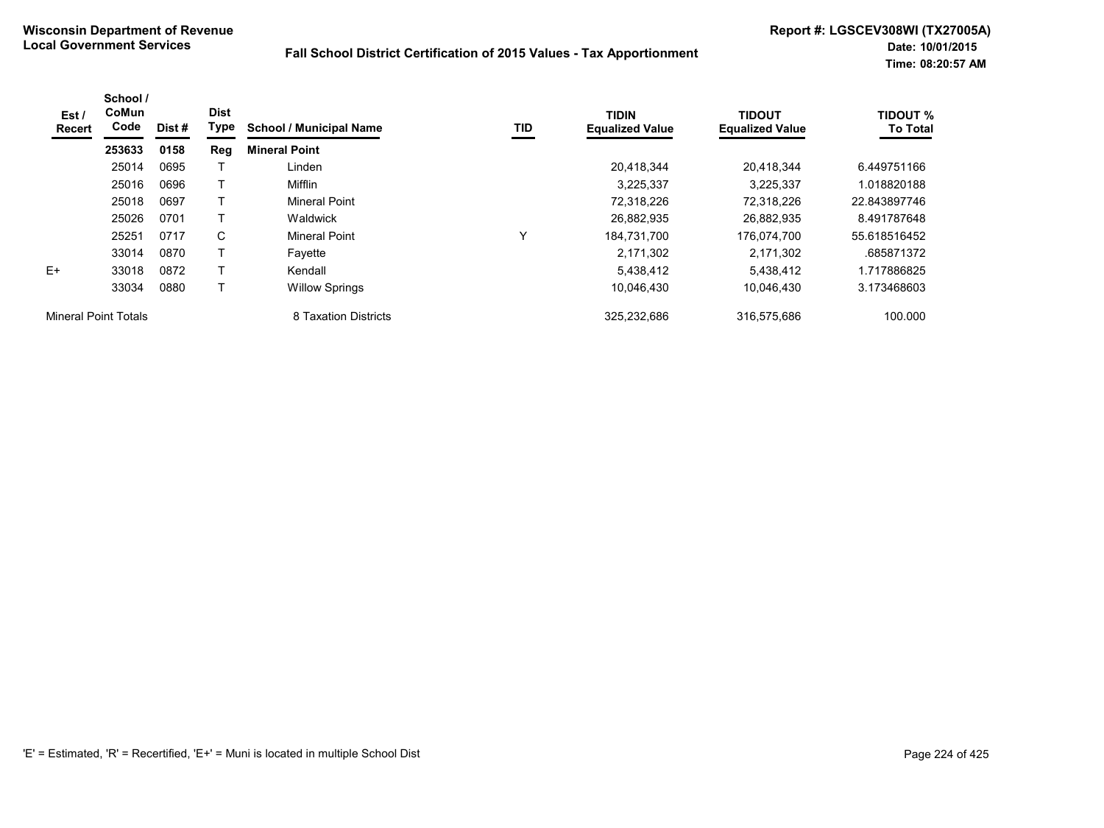| Est/<br>Recert              | School /<br>CoMun<br>Code | Dist # | <b>Dist</b><br>Type | <b>School / Municipal Name</b> | TID | <b>TIDIN</b><br><b>Equalized Value</b> | <b>TIDOUT</b><br><b>Equalized Value</b> | <b>TIDOUT %</b><br><b>To Total</b> |
|-----------------------------|---------------------------|--------|---------------------|--------------------------------|-----|----------------------------------------|-----------------------------------------|------------------------------------|
|                             | 253633                    | 0158   | Reg                 | <b>Mineral Point</b>           |     |                                        |                                         |                                    |
|                             | 25014                     | 0695   |                     | Linden                         |     | 20,418,344                             | 20,418,344                              | 6.449751166                        |
|                             | 25016                     | 0696   |                     | Mifflin                        |     | 3,225,337                              | 3,225,337                               | 1.018820188                        |
|                             | 25018                     | 0697   | Т                   | <b>Mineral Point</b>           |     | 72.318.226                             | 72.318.226                              | 22.843897746                       |
|                             | 25026                     | 0701   |                     | Waldwick                       |     | 26,882,935                             | 26,882,935                              | 8.491787648                        |
|                             | 25251                     | 0717   | C                   | <b>Mineral Point</b>           | v   | 184.731.700                            | 176,074,700                             | 55.618516452                       |
|                             | 33014                     | 0870   | т                   | Fayette                        |     | 2,171,302                              | 2,171,302                               | .685871372                         |
| $E+$                        | 33018                     | 0872   |                     | Kendall                        |     | 5,438,412                              | 5,438,412                               | 1.717886825                        |
|                             | 33034                     | 0880   |                     | <b>Willow Springs</b>          |     | 10,046,430                             | 10,046,430                              | 3.173468603                        |
| <b>Mineral Point Totals</b> |                           |        |                     | 8 Taxation Districts           |     | 325,232,686                            | 316,575,686                             | 100.000                            |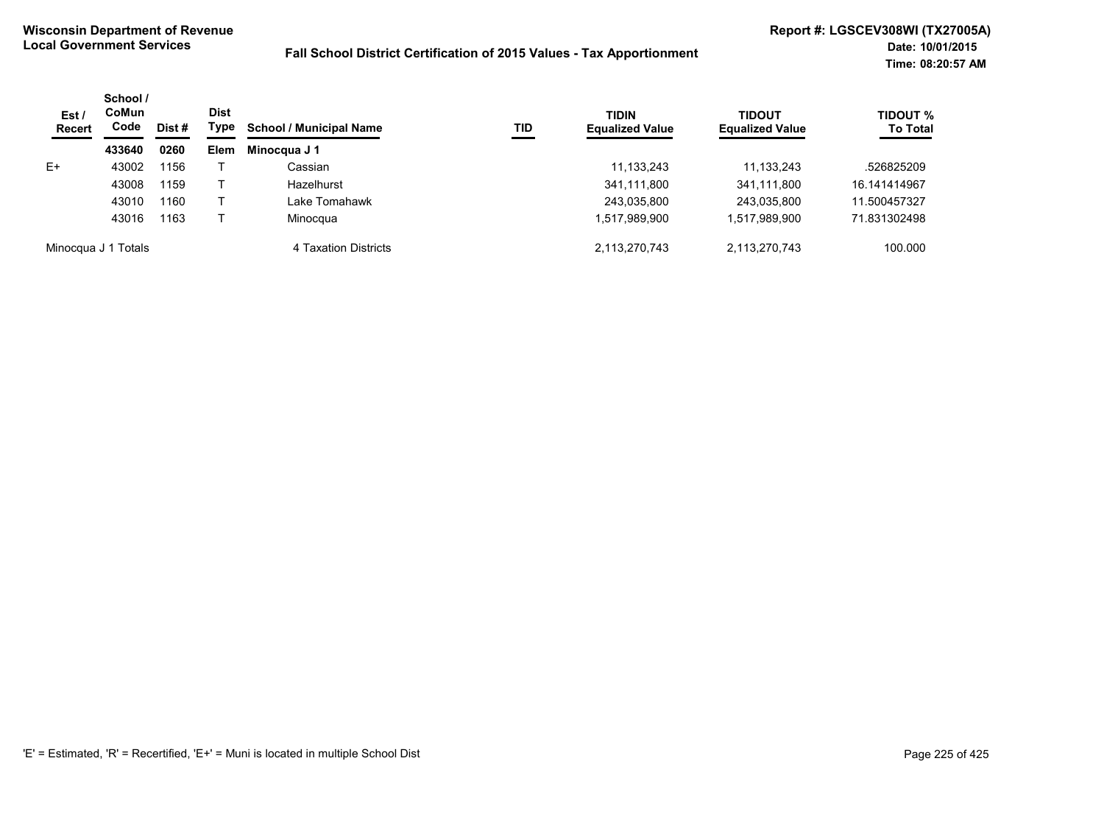| Est /<br><b>Recert</b> | School /<br>CoMun<br>Code | Dist # | <b>Dist</b><br>Type | <b>School / Municipal Name</b> | TID | <b>TIDIN</b><br><b>Equalized Value</b> | <b>TIDOUT</b><br><b>Equalized Value</b> | <b>TIDOUT %</b><br><b>To Total</b> |
|------------------------|---------------------------|--------|---------------------|--------------------------------|-----|----------------------------------------|-----------------------------------------|------------------------------------|
|                        | 433640                    | 0260   | Elem                | Minocqua J 1                   |     |                                        |                                         |                                    |
| E+                     | 43002                     | 1156   |                     | Cassian                        |     | 11,133,243                             | 11, 133, 243                            | .526825209                         |
|                        | 43008                     | 1159   |                     | Hazelhurst                     |     | 341,111,800                            | 341,111,800                             | 16.141414967                       |
|                        | 43010                     | 1160   |                     | Lake Tomahawk                  |     | 243,035,800                            | 243,035,800                             | 11.500457327                       |
|                        | 43016                     | 1163   |                     | Minocqua                       |     | 1,517,989,900                          | 1,517,989,900                           | 71.831302498                       |
|                        | Minocqua J 1 Totals       |        |                     | 4 Taxation Districts           |     | 2,113,270,743                          | 2,113,270,743                           | 100.000                            |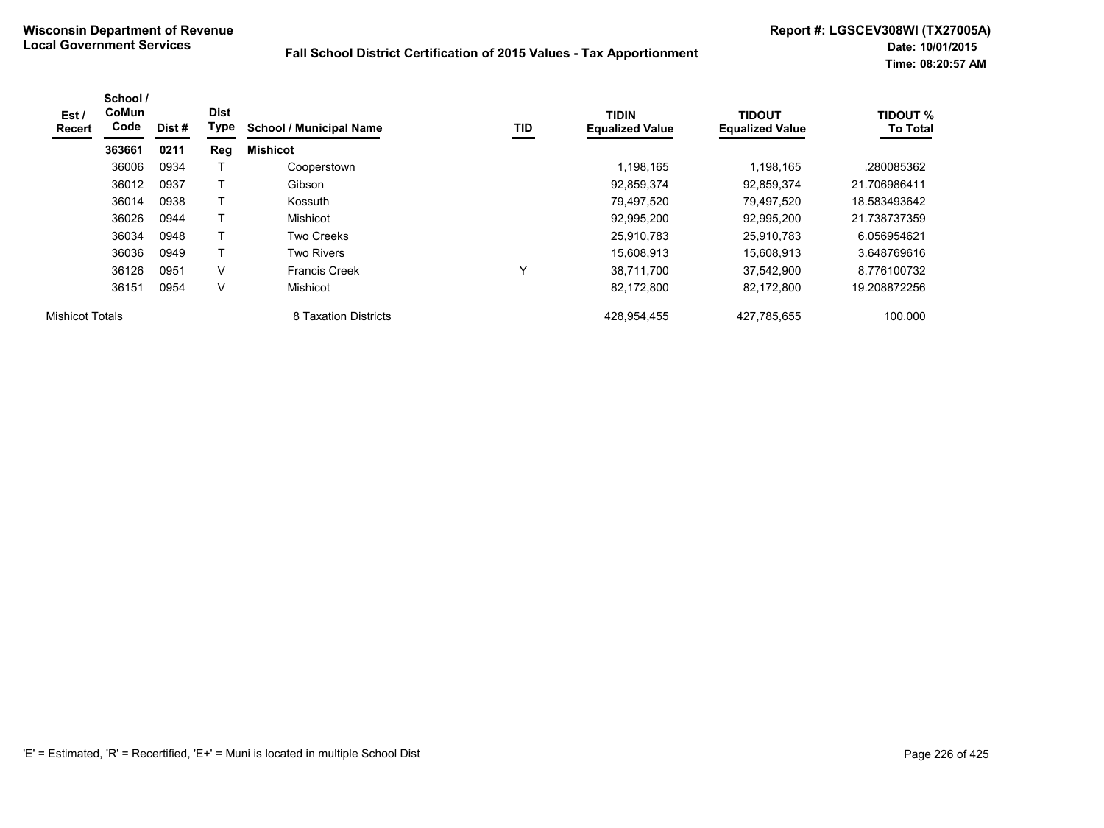| Est /<br>Recert        | School /<br>CoMun<br>Code | Dist # | <b>Dist</b><br>Type | <b>School / Municipal Name</b> | TID | <b>TIDIN</b><br><b>Equalized Value</b> | <b>TIDOUT</b><br><b>Equalized Value</b> | <b>TIDOUT %</b><br><b>To Total</b> |
|------------------------|---------------------------|--------|---------------------|--------------------------------|-----|----------------------------------------|-----------------------------------------|------------------------------------|
|                        | 363661                    | 0211   | Reg                 | <b>Mishicot</b>                |     |                                        |                                         |                                    |
|                        | 36006                     | 0934   |                     | Cooperstown                    |     | 1,198,165                              | 1,198,165                               | .280085362                         |
|                        | 36012                     | 0937   |                     | Gibson                         |     | 92,859,374                             | 92,859,374                              | 21.706986411                       |
|                        | 36014                     | 0938   |                     | Kossuth                        |     | 79,497,520                             | 79,497,520                              | 18.583493642                       |
|                        | 36026                     | 0944   |                     | Mishicot                       |     | 92,995,200                             | 92,995,200                              | 21.738737359                       |
|                        | 36034                     | 0948   |                     | Two Creeks                     |     | 25,910,783                             | 25.910.783                              | 6.056954621                        |
|                        | 36036                     | 0949   | т                   | <b>Two Rivers</b>              |     | 15,608,913                             | 15,608,913                              | 3.648769616                        |
|                        | 36126                     | 0951   | $\vee$              | <b>Francis Creek</b>           | v   | 38.711.700                             | 37,542,900                              | 8.776100732                        |
|                        | 36151                     | 0954   | $\vee$              | Mishicot                       |     | 82,172,800                             | 82,172,800                              | 19.208872256                       |
| <b>Mishicot Totals</b> |                           |        |                     | 8 Taxation Districts           |     | 428,954,455                            | 427,785,655                             | 100.000                            |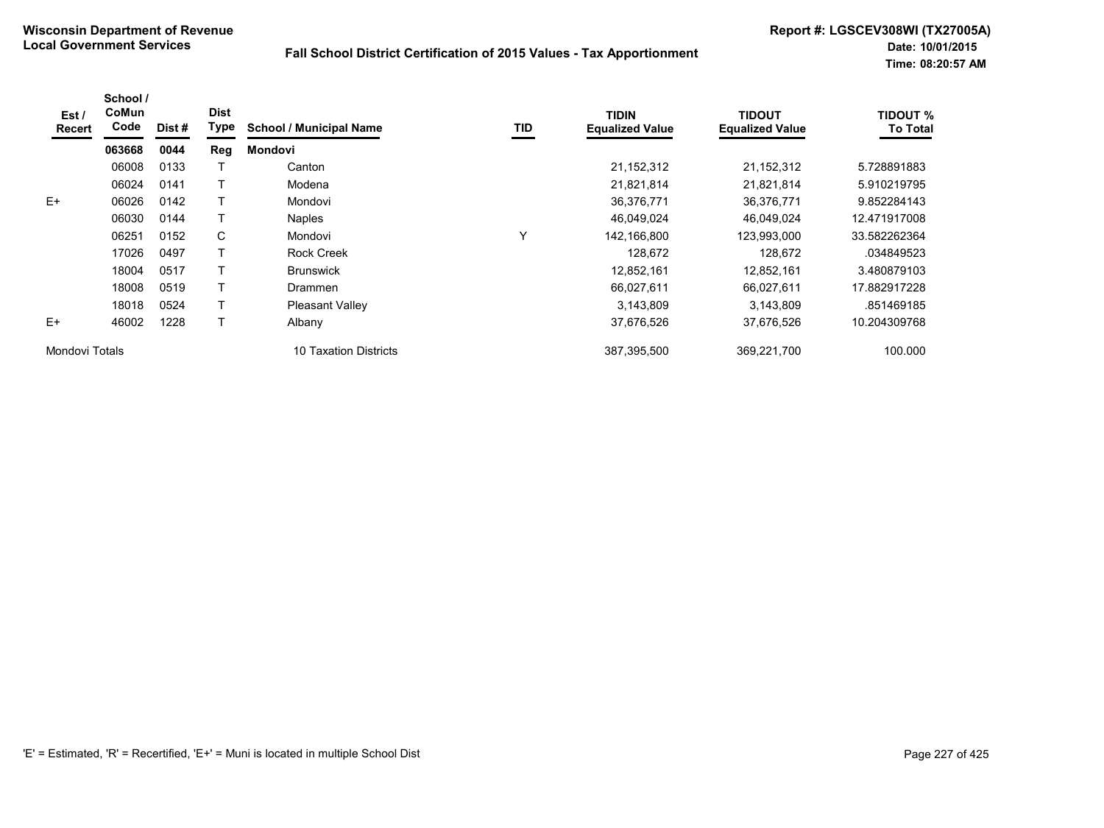| Est /<br>Recert | School /<br>CoMun<br>Code | Dist # | <b>Dist</b><br><b>Type</b> | <b>School / Municipal Name</b> | TID | <b>TIDIN</b><br><b>Equalized Value</b> | <b>TIDOUT</b><br><b>Equalized Value</b> | <b>TIDOUT %</b><br><b>To Total</b> |
|-----------------|---------------------------|--------|----------------------------|--------------------------------|-----|----------------------------------------|-----------------------------------------|------------------------------------|
|                 | 063668                    | 0044   | Reg                        | <b>Mondovi</b>                 |     |                                        |                                         |                                    |
|                 | 06008                     | 0133   |                            | Canton                         |     | 21, 152, 312                           | 21,152,312                              | 5.728891883                        |
|                 | 06024                     | 0141   |                            | Modena                         |     | 21,821,814                             | 21,821,814                              | 5.910219795                        |
| $E+$            | 06026                     | 0142   |                            | Mondovi                        |     | 36,376,771                             | 36,376,771                              | 9.852284143                        |
|                 | 06030                     | 0144   |                            | <b>Naples</b>                  |     | 46,049,024                             | 46,049,024                              | 12.471917008                       |
|                 | 06251                     | 0152   | C                          | Mondovi                        | Υ   | 142,166,800                            | 123,993,000                             | 33.582262364                       |
|                 | 17026                     | 0497   |                            | <b>Rock Creek</b>              |     | 128.672                                | 128,672                                 | .034849523                         |
|                 | 18004                     | 0517   |                            | <b>Brunswick</b>               |     | 12,852,161                             | 12,852,161                              | 3.480879103                        |
|                 | 18008                     | 0519   |                            | Drammen                        |     | 66,027,611                             | 66,027,611                              | 17.882917228                       |
|                 | 18018                     | 0524   |                            | <b>Pleasant Valley</b>         |     | 3,143,809                              | 3,143,809                               | .851469185                         |
| $E+$            | 46002                     | 1228   |                            | Albany                         |     | 37,676,526                             | 37,676,526                              | 10.204309768                       |
| Mondovi Totals  |                           |        |                            | 10 Taxation Districts          |     | 387,395,500                            | 369,221,700                             | 100.000                            |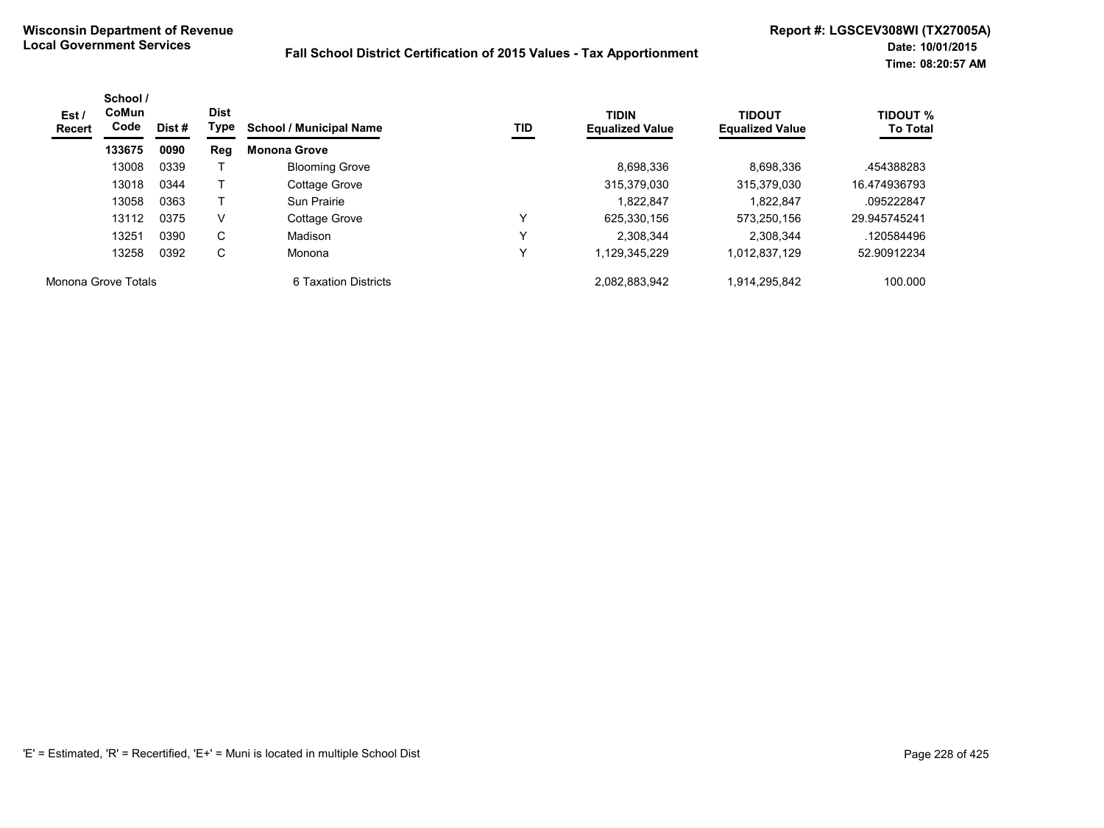| Est /<br>Recert     | School /<br><b>CoMun</b><br>Code | <b>Dist</b><br>Type<br>Dist # |     | <b>School / Municipal Name</b> | TID          | <b>TIDIN</b><br><b>Equalized Value</b> | <b>TIDOUT</b><br><b>Equalized Value</b> | <b>TIDOUT %</b><br><b>To Total</b> |
|---------------------|----------------------------------|-------------------------------|-----|--------------------------------|--------------|----------------------------------------|-----------------------------------------|------------------------------------|
|                     | 133675                           | 0090                          | Reg | <b>Monona Grove</b>            |              |                                        |                                         |                                    |
|                     | 13008                            | 0339                          |     | <b>Blooming Grove</b>          |              | 8,698,336                              | 8.698.336                               | .454388283                         |
|                     | 13018                            | 0344                          |     | Cottage Grove                  |              | 315,379,030                            | 315,379,030                             | 16.474936793                       |
|                     | 13058                            | 0363                          |     | Sun Prairie                    |              | 1.822.847                              | 1.822.847                               | .095222847                         |
|                     | 13112                            | 0375                          | V   | Cottage Grove                  | ٧            | 625.330.156                            | 573.250.156                             | 29.945745241                       |
|                     | 13251                            | 0390                          | C   | Madison                        | $\checkmark$ | 2.308.344                              | 2.308.344                               | .120584496                         |
|                     | 13258                            | 0392                          | C   | Monona                         | v            | 1,129,345,229                          | 1,012,837,129                           | 52.90912234                        |
| Monona Grove Totals |                                  |                               |     | 6 Taxation Districts           |              | 2.082.883.942                          | .914.295.842                            | 100.000                            |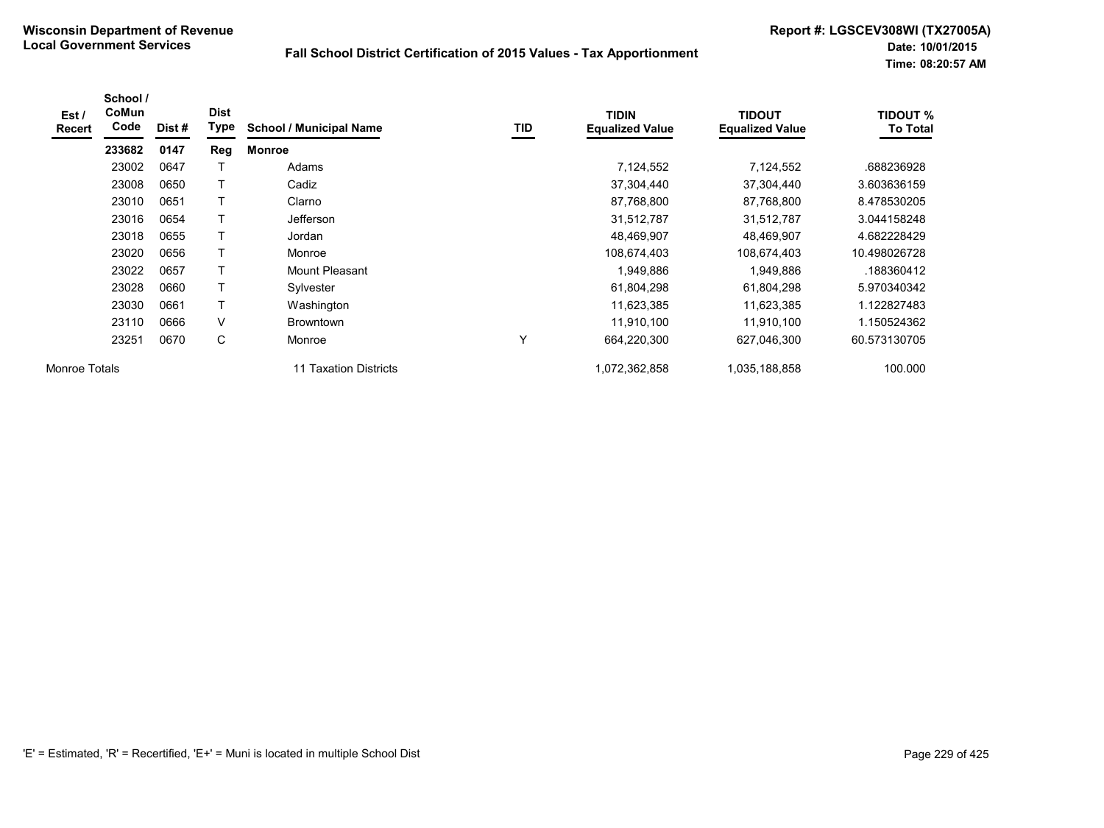| Est /<br><b>Recert</b> | School /<br>CoMun<br>Code | Dist# | <b>Dist</b><br>Type | <b>School / Municipal Name</b> | TID | <b>TIDIN</b><br><b>Equalized Value</b> | <b>TIDOUT</b><br><b>Equalized Value</b> | <b>TIDOUT %</b><br><b>To Total</b> |
|------------------------|---------------------------|-------|---------------------|--------------------------------|-----|----------------------------------------|-----------------------------------------|------------------------------------|
|                        | 233682                    | 0147  | Reg                 | <b>Monroe</b>                  |     |                                        |                                         |                                    |
|                        | 23002                     | 0647  |                     | Adams                          |     | 7,124,552                              | 7,124,552                               | .688236928                         |
|                        | 23008                     | 0650  |                     | Cadiz                          |     | 37,304,440                             | 37,304,440                              | 3.603636159                        |
|                        | 23010                     | 0651  | T                   | Clarno                         |     | 87,768,800                             | 87,768,800                              | 8.478530205                        |
|                        | 23016                     | 0654  |                     | <b>Jefferson</b>               |     | 31,512,787                             | 31,512,787                              | 3.044158248                        |
|                        | 23018                     | 0655  |                     | Jordan                         |     | 48,469,907                             | 48,469,907                              | 4.682228429                        |
|                        | 23020                     | 0656  |                     | Monroe                         |     | 108,674,403                            | 108,674,403                             | 10.498026728                       |
|                        | 23022                     | 0657  | T                   | Mount Pleasant                 |     | 1,949,886                              | 1,949,886                               | .188360412                         |
|                        | 23028                     | 0660  |                     | Sylvester                      |     | 61,804,298                             | 61,804,298                              | 5.970340342                        |
|                        | 23030                     | 0661  |                     | Washington                     |     | 11,623,385                             | 11,623,385                              | 1.122827483                        |
|                        | 23110                     | 0666  | V                   | <b>Browntown</b>               |     | 11,910,100                             | 11,910,100                              | 1.150524362                        |
|                        | 23251                     | 0670  | С                   | Monroe                         | ٧   | 664,220,300                            | 627,046,300                             | 60.573130705                       |
| Monroe Totals          |                           |       |                     | 11 Taxation Districts          |     | 1,072,362,858                          | 1,035,188,858                           | 100.000                            |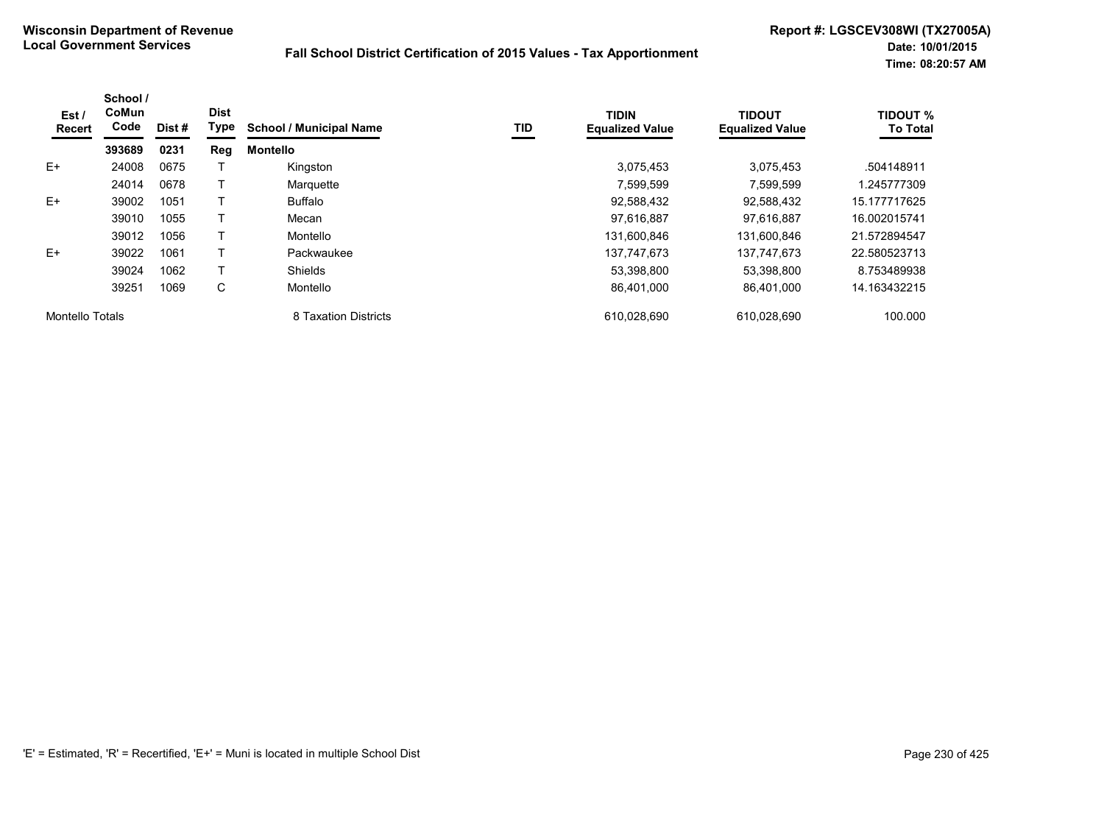| Est/<br>Recert         | School /<br>CoMun<br>Code | Dist# | <b>Dist</b><br>Type | <b>School / Municipal Name</b> | <b>TID</b> | <b>TIDIN</b><br><b>Equalized Value</b> | <b>TIDOUT</b><br><b>Equalized Value</b> | <b>TIDOUT %</b><br><b>To Total</b> |
|------------------------|---------------------------|-------|---------------------|--------------------------------|------------|----------------------------------------|-----------------------------------------|------------------------------------|
|                        | 393689                    | 0231  | Reg                 | <b>Montello</b>                |            |                                        |                                         |                                    |
| $E+$                   | 24008                     | 0675  |                     | Kingston                       |            | 3,075,453                              | 3.075.453                               | .504148911                         |
|                        | 24014                     | 0678  |                     | Marquette                      |            | 7,599,599                              | 7,599,599                               | 1.245777309                        |
| $E+$                   | 39002                     | 1051  |                     | <b>Buffalo</b>                 |            | 92,588,432                             | 92,588,432                              | 15.177717625                       |
|                        | 39010                     | 1055  |                     | Mecan                          |            | 97.616.887                             | 97.616.887                              | 16.002015741                       |
|                        | 39012                     | 1056  |                     | Montello                       |            | 131,600,846                            | 131,600,846                             | 21.572894547                       |
| $E+$                   | 39022                     | 1061  |                     | Packwaukee                     |            | 137,747,673                            | 137,747,673                             | 22.580523713                       |
|                        | 39024                     | 1062  |                     | <b>Shields</b>                 |            | 53,398,800                             | 53,398,800                              | 8.753489938                        |
|                        | 39251                     | 1069  | C                   | Montello                       |            | 86,401,000                             | 86,401,000                              | 14.163432215                       |
| <b>Montello Totals</b> |                           |       |                     | 8 Taxation Districts           |            | 610,028,690                            | 610.028.690                             | 100.000                            |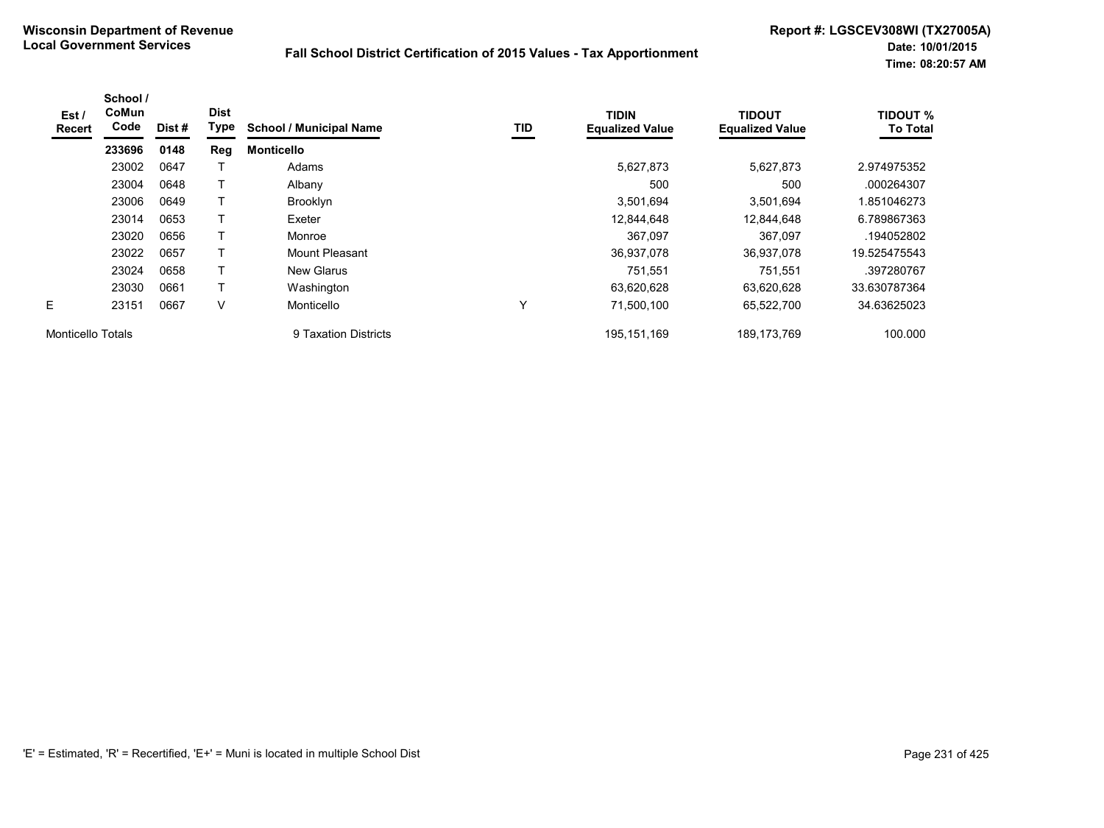| Est /<br>Recert   | School /<br>CoMun<br>Code | Dist# | <b>Dist</b><br>Type | <b>School / Municipal Name</b> | TID         | <b>TIDIN</b><br><b>Equalized Value</b> | <b>TIDOUT</b><br><b>Equalized Value</b> | <b>TIDOUT %</b><br><b>To Total</b> |
|-------------------|---------------------------|-------|---------------------|--------------------------------|-------------|----------------------------------------|-----------------------------------------|------------------------------------|
|                   | 233696                    | 0148  | Reg                 | <b>Monticello</b>              |             |                                        |                                         |                                    |
|                   | 23002                     | 0647  |                     | Adams                          |             | 5,627,873                              | 5,627,873                               | 2.974975352                        |
|                   | 23004                     | 0648  |                     | Albany                         |             | 500                                    | 500                                     | .000264307                         |
|                   | 23006                     | 0649  | т                   | Brooklyn                       |             | 3,501,694                              | 3,501,694                               | 1.851046273                        |
|                   | 23014                     | 0653  |                     | Exeter                         |             | 12,844,648                             | 12,844,648                              | 6.789867363                        |
|                   | 23020                     | 0656  | т                   | Monroe                         |             | 367,097                                | 367,097                                 | .194052802                         |
|                   | 23022                     | 0657  |                     | Mount Pleasant                 |             | 36,937,078                             | 36.937.078                              | 19.525475543                       |
|                   | 23024                     | 0658  |                     | <b>New Glarus</b>              |             | 751,551                                | 751,551                                 | .397280767                         |
|                   | 23030                     | 0661  |                     | Washington                     |             | 63,620,628                             | 63,620,628                              | 33.630787364                       |
| E                 | 23151                     | 0667  | V                   | Monticello                     | $\check{ }$ | 71,500,100                             | 65,522,700                              | 34.63625023                        |
| Monticello Totals |                           |       |                     | 9 Taxation Districts           |             | 195, 151, 169                          | 189, 173, 769                           | 100.000                            |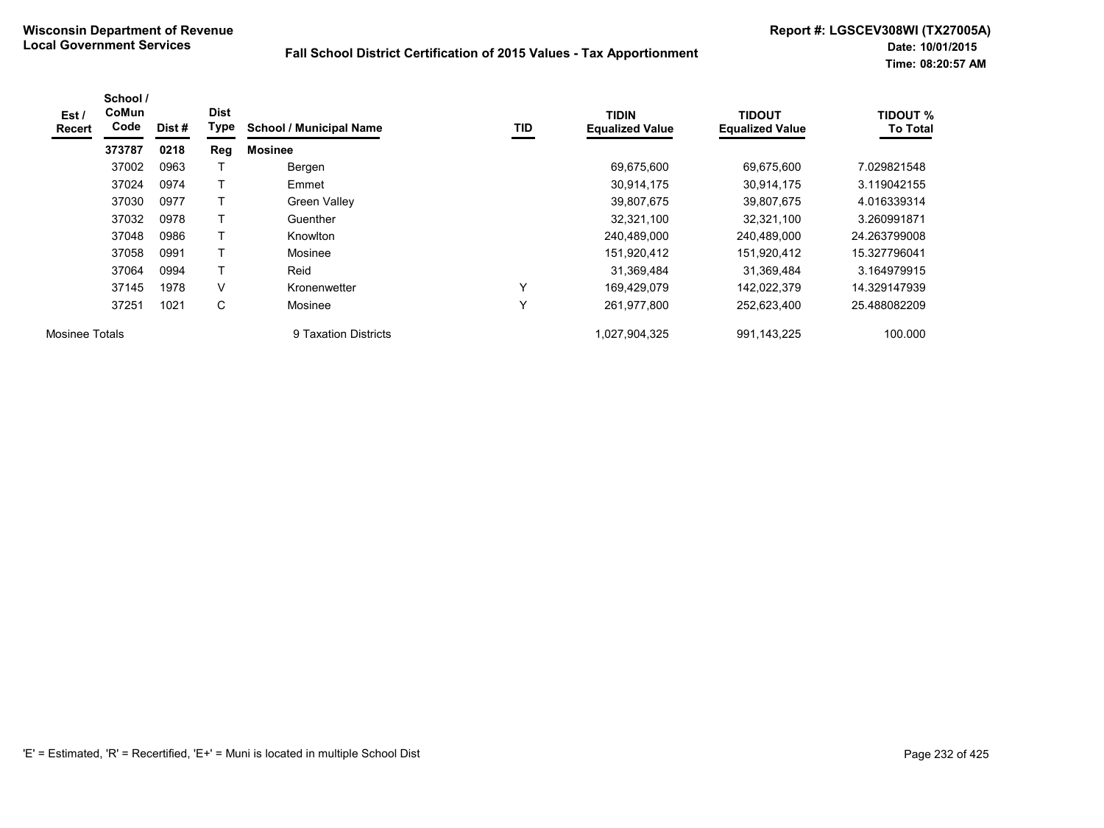| Est/<br><b>Recert</b> | School /<br>CoMun<br>Code | Dist # | <b>Dist</b><br>Type | <b>School / Municipal Name</b> | TID          | <b>TIDIN</b><br><b>Equalized Value</b> | <b>TIDOUT</b><br><b>Equalized Value</b> | <b>TIDOUT %</b><br><b>To Total</b> |
|-----------------------|---------------------------|--------|---------------------|--------------------------------|--------------|----------------------------------------|-----------------------------------------|------------------------------------|
|                       | 373787                    | 0218   | Reg                 | <b>Mosinee</b>                 |              |                                        |                                         |                                    |
|                       | 37002                     | 0963   |                     | Bergen                         |              | 69,675,600                             | 69,675,600                              | 7.029821548                        |
|                       | 37024                     | 0974   |                     | Emmet                          |              | 30,914,175                             | 30,914,175                              | 3.119042155                        |
|                       | 37030                     | 0977   |                     | <b>Green Valley</b>            |              | 39,807,675                             | 39,807,675                              | 4.016339314                        |
|                       | 37032                     | 0978   |                     | Guenther                       |              | 32,321,100                             | 32,321,100                              | 3.260991871                        |
|                       | 37048                     | 0986   | T                   | Knowlton                       |              | 240,489,000                            | 240,489,000                             | 24.263799008                       |
|                       | 37058                     | 0991   |                     | Mosinee                        |              | 151,920,412                            | 151,920,412                             | 15.327796041                       |
|                       | 37064                     | 0994   | T                   | Reid                           |              | 31,369,484                             | 31,369,484                              | 3.164979915                        |
|                       | 37145                     | 1978   | V                   | Kronenwetter                   | $\checkmark$ | 169,429,079                            | 142,022,379                             | 14.329147939                       |
|                       | 37251                     | 1021   | C                   | Mosinee                        | v            | 261,977,800                            | 252,623,400                             | 25.488082209                       |
| Mosinee Totals        |                           |        |                     | 9 Taxation Districts           |              | 1,027,904,325                          | 991,143,225                             | 100.000                            |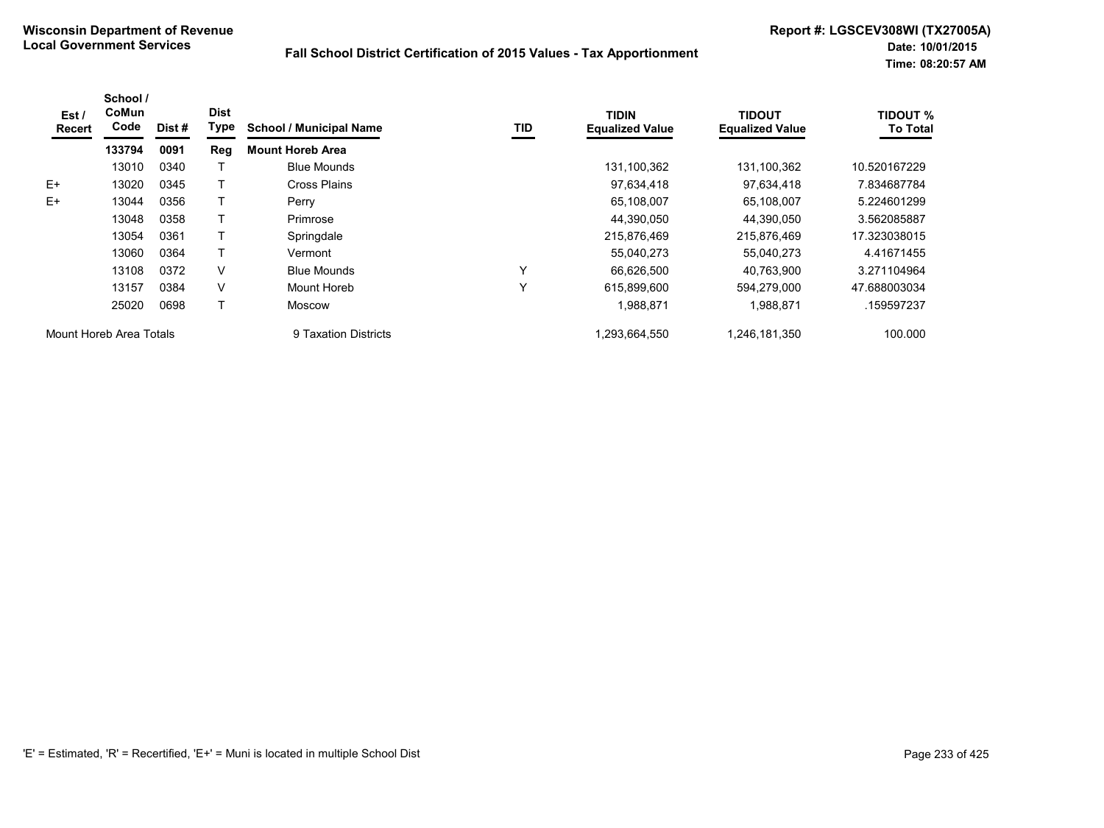| Est/<br><b>Recert</b>   | School /<br>CoMun<br>Code | Dist #               | <b>Dist</b><br>Type | <b>School / Municipal Name</b> | TID           | <b>TIDIN</b><br><b>Equalized Value</b> | <b>TIDOUT</b><br><b>Equalized Value</b> | <b>TIDOUT %</b><br><b>To Total</b> |
|-------------------------|---------------------------|----------------------|---------------------|--------------------------------|---------------|----------------------------------------|-----------------------------------------|------------------------------------|
|                         | 133794                    | 0091                 | Reg                 | <b>Mount Horeb Area</b>        |               |                                        |                                         |                                    |
|                         | 13010                     | 0340                 |                     | <b>Blue Mounds</b>             |               | 131,100,362                            | 131,100,362                             | 10.520167229                       |
| $E+$                    | 13020                     | 0345                 |                     | Cross Plains                   |               | 97,634,418                             | 97,634,418                              | 7.834687784                        |
| $E+$                    | 13044                     | 0356                 |                     | Perry                          |               | 65,108,007                             | 65,108,007                              | 5.224601299                        |
|                         | 13048                     | 0358                 |                     | Primrose                       |               | 44,390,050                             | 44,390,050                              | 3.562085887                        |
|                         | 13054                     | 0361                 |                     | Springdale                     |               | 215,876,469                            | 215,876,469                             | 17.323038015                       |
|                         | 13060                     | 0364                 |                     | Vermont                        |               | 55,040,273                             | 55,040,273                              | 4.41671455                         |
|                         | 13108                     | 0372                 | V                   | <b>Blue Mounds</b>             | Y             | 66.626.500                             | 40.763.900                              | 3.271104964                        |
|                         | 13157                     | 0384                 | V                   | Mount Horeb                    | Υ             | 615,899,600                            | 594,279,000                             | 47.688003034                       |
|                         | 25020                     | 0698                 | T                   | Moscow                         |               | 1,988,871                              | 1,988,871                               | .159597237                         |
| Mount Horeb Area Totals |                           | 9 Taxation Districts |                     | 1,293,664,550                  | 1,246,181,350 | 100.000                                |                                         |                                    |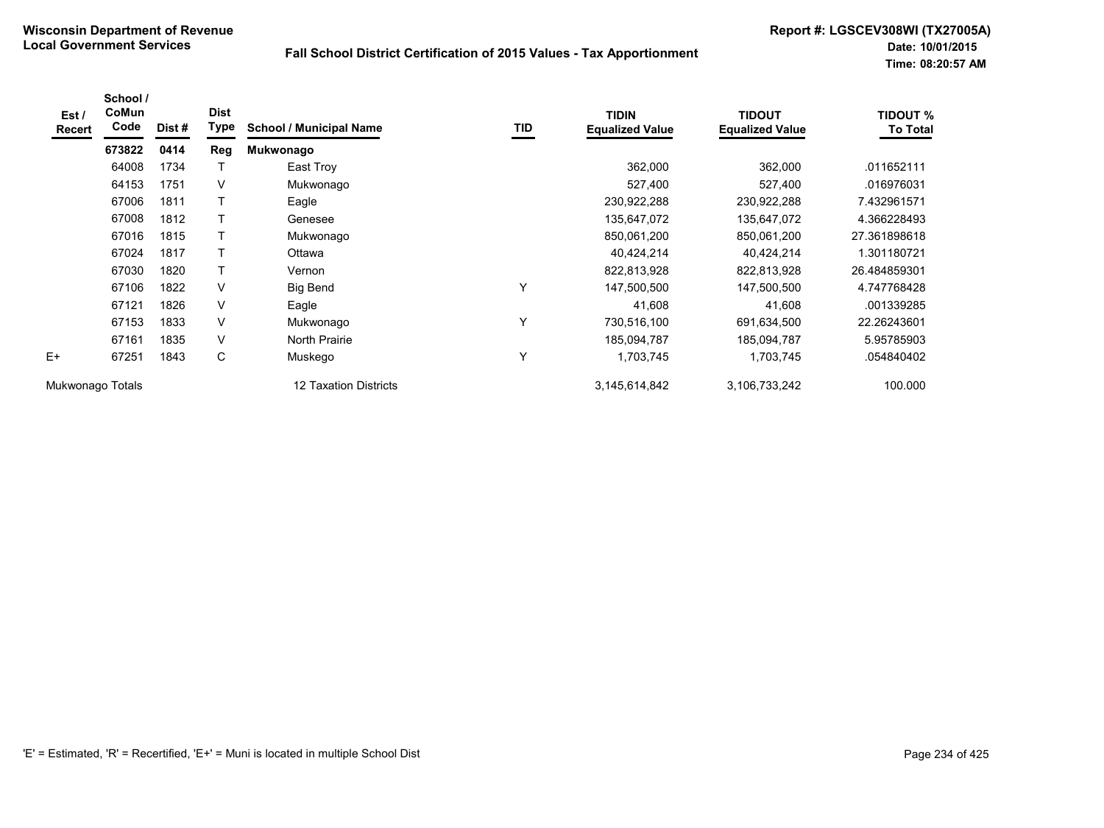| Est /<br><b>Recert</b> | School /<br>CoMun<br>Code | Dist# | <b>Dist</b><br>Type | <b>School / Municipal Name</b> | <b>TID</b> | <b>TIDIN</b><br><b>Equalized Value</b> | <b>TIDOUT</b><br><b>Equalized Value</b> | <b>TIDOUT %</b><br><b>To Total</b> |
|------------------------|---------------------------|-------|---------------------|--------------------------------|------------|----------------------------------------|-----------------------------------------|------------------------------------|
|                        | 673822                    | 0414  | <b>Reg</b>          | Mukwonago                      |            |                                        |                                         |                                    |
|                        | 64008                     | 1734  |                     | East Troy                      |            | 362,000                                | 362,000                                 | .011652111                         |
|                        | 64153                     | 1751  | V                   | Mukwonago                      |            | 527,400                                | 527,400                                 | .016976031                         |
|                        | 67006                     | 1811  |                     | Eagle                          |            | 230,922,288                            | 230,922,288                             | 7.432961571                        |
|                        | 67008                     | 1812  |                     | Genesee                        |            | 135,647,072                            | 135,647,072                             | 4.366228493                        |
|                        | 67016                     | 1815  |                     | Mukwonago                      |            | 850,061,200                            | 850,061,200                             | 27.361898618                       |
|                        | 67024                     | 1817  |                     | Ottawa                         |            | 40,424,214                             | 40,424,214                              | 1.301180721                        |
|                        | 67030                     | 1820  |                     | Vernon                         |            | 822,813,928                            | 822,813,928                             | 26.484859301                       |
|                        | 67106                     | 1822  | V                   | Big Bend                       | Υ          | 147,500,500                            | 147,500,500                             | 4.747768428                        |
|                        | 67121                     | 1826  | V                   | Eagle                          |            | 41,608                                 | 41,608                                  | .001339285                         |
|                        | 67153                     | 1833  | V                   | Mukwonago                      | Υ          | 730,516,100                            | 691,634,500                             | 22.26243601                        |
|                        | 67161                     | 1835  | V                   | North Prairie                  |            | 185,094,787                            | 185,094,787                             | 5.95785903                         |
| $E+$                   | 67251                     | 1843  | С                   | Muskego                        | Υ          | 1,703,745                              | 1,703,745                               | .054840402                         |
| Mukwonago Totals       |                           |       |                     | <b>12 Taxation Districts</b>   |            | 3,145,614,842                          | 3,106,733,242                           | 100.000                            |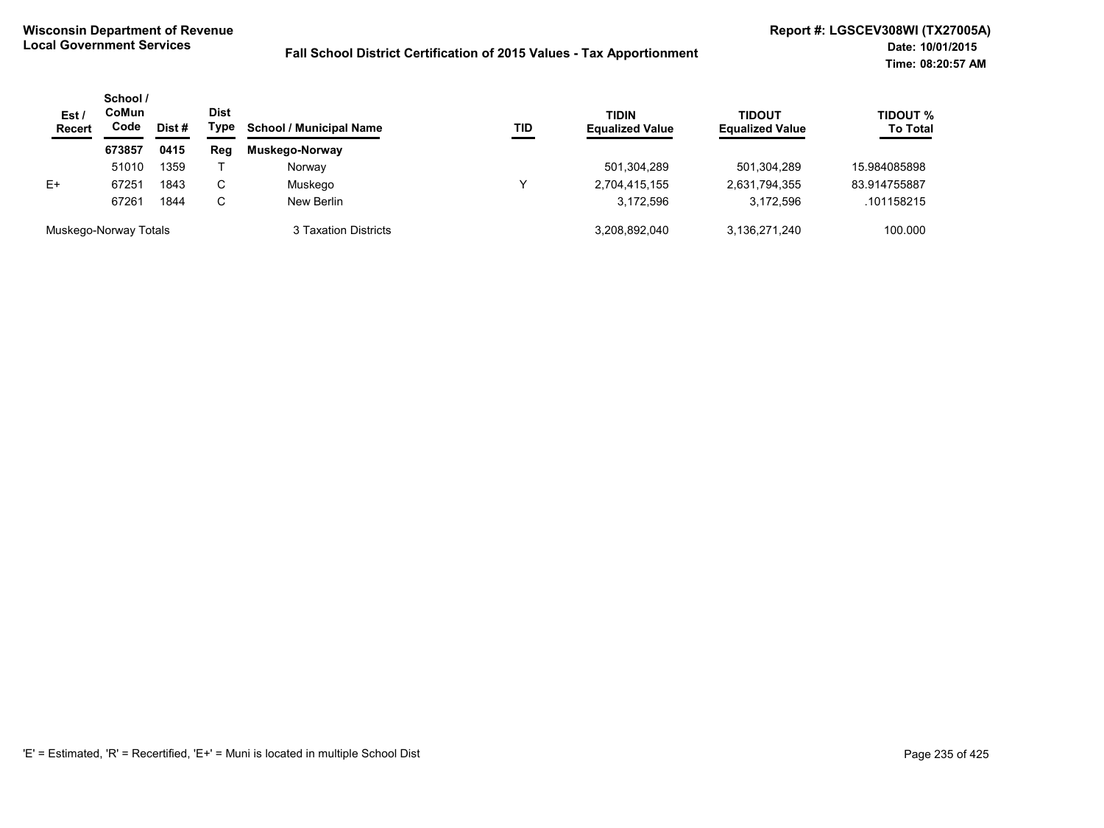| Est/<br><b>Recert</b> | School /<br>CoMun<br>Code | Dist# | <b>Dist</b><br>Type | <b>School / Municipal Name</b> | TID | <b>TIDIN</b><br><b>Equalized Value</b> | TIDOUT<br><b>Equalized Value</b> | <b>TIDOUT %</b><br><b>To Total</b> |
|-----------------------|---------------------------|-------|---------------------|--------------------------------|-----|----------------------------------------|----------------------------------|------------------------------------|
|                       | 673857                    | 0415  | Reg                 | Muskego-Norway                 |     |                                        |                                  |                                    |
|                       | 51010                     | 1359  |                     | Norway                         |     | 501,304,289                            | 501,304,289                      | 15.984085898                       |
| E+                    | 67251                     | 1843  | C.                  | Muskego                        | ν   | 2,704,415,155                          | 2,631,794,355                    | 83.914755887                       |
|                       | 67261                     | 1844  | C.                  | New Berlin                     |     | 3,172,596                              | 3.172.596                        | .101158215                         |
| Muskego-Norway Totals |                           |       |                     | 3 Taxation Districts           |     | 3,208,892,040                          | 3,136,271,240                    | 100.000                            |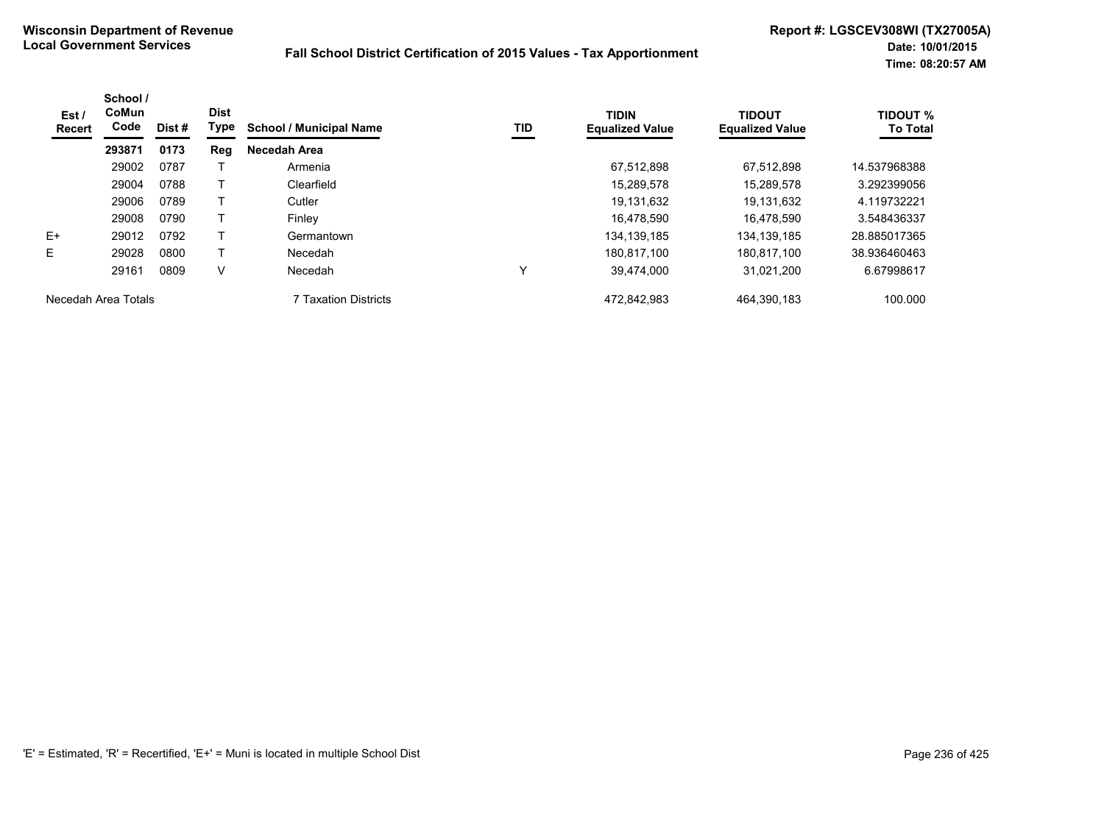| Est/<br><b>Recert</b> | School /<br>CoMun<br>Code | Dist# | <b>Dist</b><br>Type | <b>School / Municipal Name</b> | TID | <b>TIDIN</b><br><b>Equalized Value</b> | <b>TIDOUT</b><br><b>Equalized Value</b> | <b>TIDOUT %</b><br><b>To Total</b> |
|-----------------------|---------------------------|-------|---------------------|--------------------------------|-----|----------------------------------------|-----------------------------------------|------------------------------------|
|                       | 293871                    | 0173  | Reg                 | Necedah Area                   |     |                                        |                                         |                                    |
|                       | 29002                     | 0787  |                     | Armenia                        |     | 67.512.898                             | 67.512.898                              | 14.537968388                       |
|                       | 29004                     | 0788  |                     | Clearfield                     |     | 15,289,578                             | 15.289.578                              | 3.292399056                        |
|                       | 29006                     | 0789  |                     | Cutler                         |     | 19,131,632                             | 19.131.632                              | 4.119732221                        |
|                       | 29008                     | 0790  |                     | Finley                         |     | 16,478,590                             | 16.478.590                              | 3.548436337                        |
| E+                    | 29012                     | 0792  |                     | Germantown                     |     | 134, 139, 185                          | 134, 139, 185                           | 28.885017365                       |
| E                     | 29028                     | 0800  |                     | Necedah                        |     | 180.817.100                            | 180,817,100                             | 38.936460463                       |
|                       | 29161                     | 0809  | V                   | Necedah                        | Υ   | 39.474.000                             | 31.021.200                              | 6.67998617                         |
| Necedah Area Totals   |                           |       |                     | 7 Taxation Districts           |     | 472,842,983                            | 464,390,183                             | 100.000                            |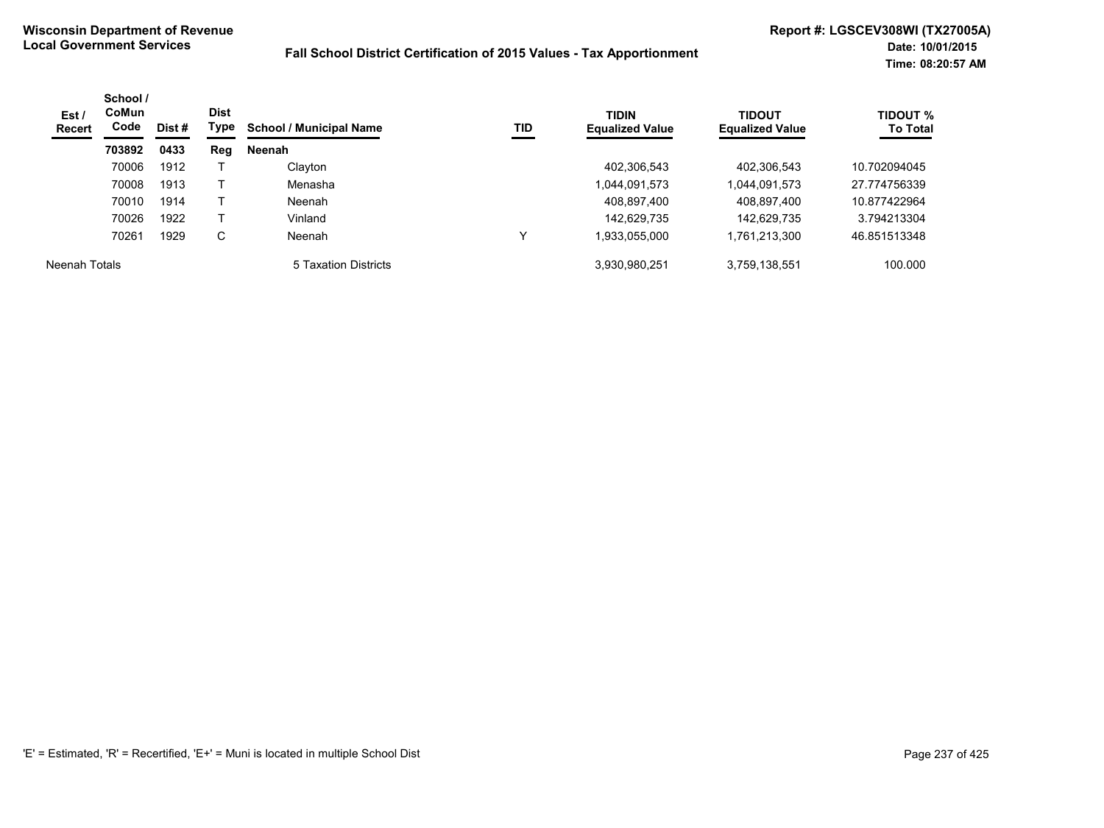| Est /<br>Recert | School /<br>CoMun<br>Code | Dist # | <b>Dist</b><br>Type | <b>School / Municipal Name</b> | TID | <b>TIDIN</b><br><b>Equalized Value</b> | <b>TIDOUT</b><br><b>Equalized Value</b> | <b>TIDOUT %</b><br><b>To Total</b> |
|-----------------|---------------------------|--------|---------------------|--------------------------------|-----|----------------------------------------|-----------------------------------------|------------------------------------|
|                 | 703892                    | 0433   | Reg                 | Neenah                         |     |                                        |                                         |                                    |
|                 | 70006                     | 1912   |                     | Clayton                        |     | 402,306,543                            | 402,306,543                             | 10.702094045                       |
|                 | 70008                     | 1913   |                     | Menasha                        |     | 1,044,091,573                          | 1,044,091,573                           | 27.774756339                       |
|                 | 70010                     | 1914   |                     | Neenah                         |     | 408,897,400                            | 408,897,400                             | 10.877422964                       |
|                 | 70026                     | 1922   |                     | Vinland                        |     | 142,629,735                            | 142,629,735                             | 3.794213304                        |
|                 | 70261                     | 1929   | C                   | Neenah                         | ∨   | 1,933,055,000                          | 1,761,213,300                           | 46.851513348                       |
| Neenah Totals   |                           |        |                     | 5 Taxation Districts           |     | 3,930,980,251                          | 3,759,138,551                           | 100.000                            |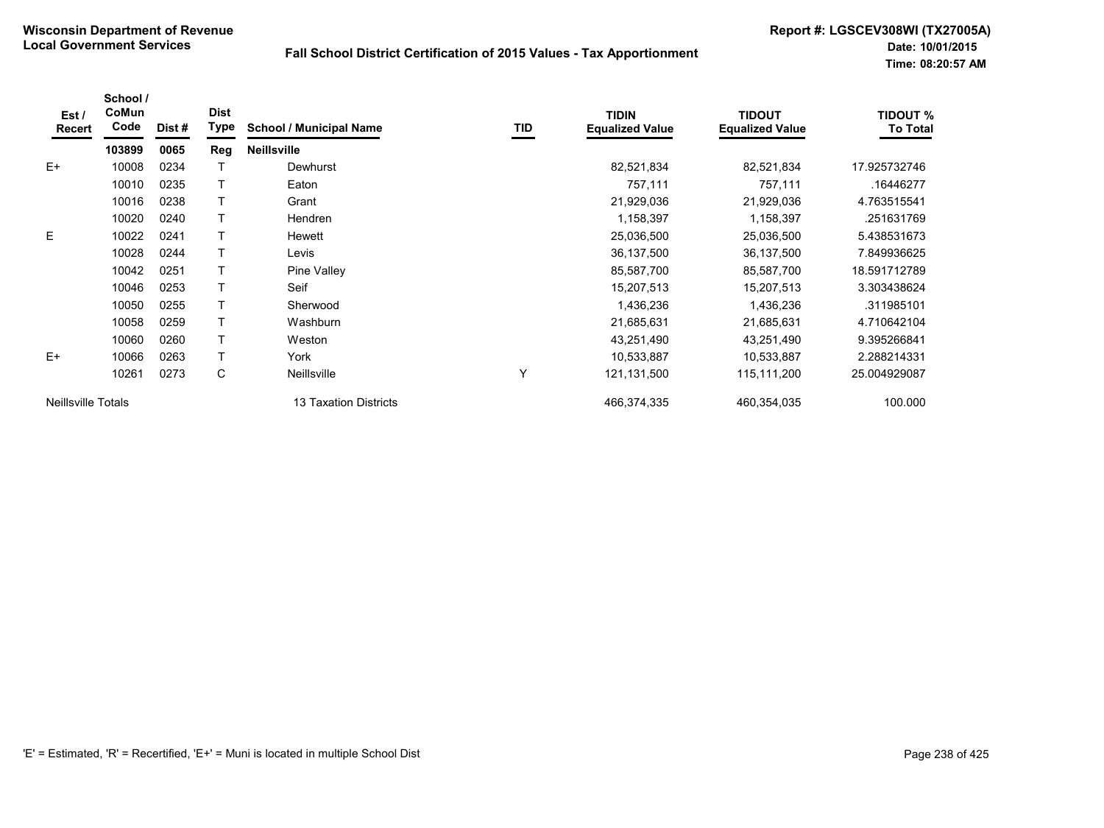| Est/<br>Recert     | School /<br>CoMun<br>Code | Dist# | <b>Dist</b><br><b>Type</b> | <b>School / Municipal Name</b> | TID | <b>TIDIN</b><br><b>Equalized Value</b> | <b>TIDOUT</b><br><b>Equalized Value</b> | <b>TIDOUT %</b><br><b>To Total</b> |
|--------------------|---------------------------|-------|----------------------------|--------------------------------|-----|----------------------------------------|-----------------------------------------|------------------------------------|
|                    | 103899                    | 0065  | Reg                        | <b>Neillsville</b>             |     |                                        |                                         |                                    |
| $E+$               | 10008                     | 0234  |                            | Dewhurst                       |     | 82,521,834                             | 82,521,834                              | 17.925732746                       |
|                    | 10010                     | 0235  |                            | Eaton                          |     | 757,111                                | 757,111                                 | .16446277                          |
|                    | 10016                     | 0238  |                            | Grant                          |     | 21,929,036                             | 21,929,036                              | 4.763515541                        |
|                    | 10020                     | 0240  |                            | <b>Hendren</b>                 |     | 1,158,397                              | 1,158,397                               | .251631769                         |
| E.                 | 10022                     | 0241  |                            | Hewett                         |     | 25,036,500                             | 25,036,500                              | 5.438531673                        |
|                    | 10028                     | 0244  |                            | Levis                          |     | 36,137,500                             | 36,137,500                              | 7.849936625                        |
|                    | 10042                     | 0251  |                            | Pine Valley                    |     | 85,587,700                             | 85,587,700                              | 18.591712789                       |
|                    | 10046                     | 0253  |                            | Seif                           |     | 15,207,513                             | 15,207,513                              | 3.303438624                        |
|                    | 10050                     | 0255  |                            | Sherwood                       |     | 1,436,236                              | 1,436,236                               | .311985101                         |
|                    | 10058                     | 0259  |                            | Washburn                       |     | 21,685,631                             | 21,685,631                              | 4.710642104                        |
|                    | 10060                     | 0260  |                            | Weston                         |     | 43,251,490                             | 43,251,490                              | 9.395266841                        |
| $E+$               | 10066                     | 0263  |                            | York                           |     | 10,533,887                             | 10,533,887                              | 2.288214331                        |
|                    | 10261                     | 0273  | C                          | Neillsville                    | Υ   | 121,131,500                            | 115,111,200                             | 25.004929087                       |
| Neillsville Totals |                           |       |                            | 13 Taxation Districts          |     | 466,374,335                            | 460,354,035                             | 100.000                            |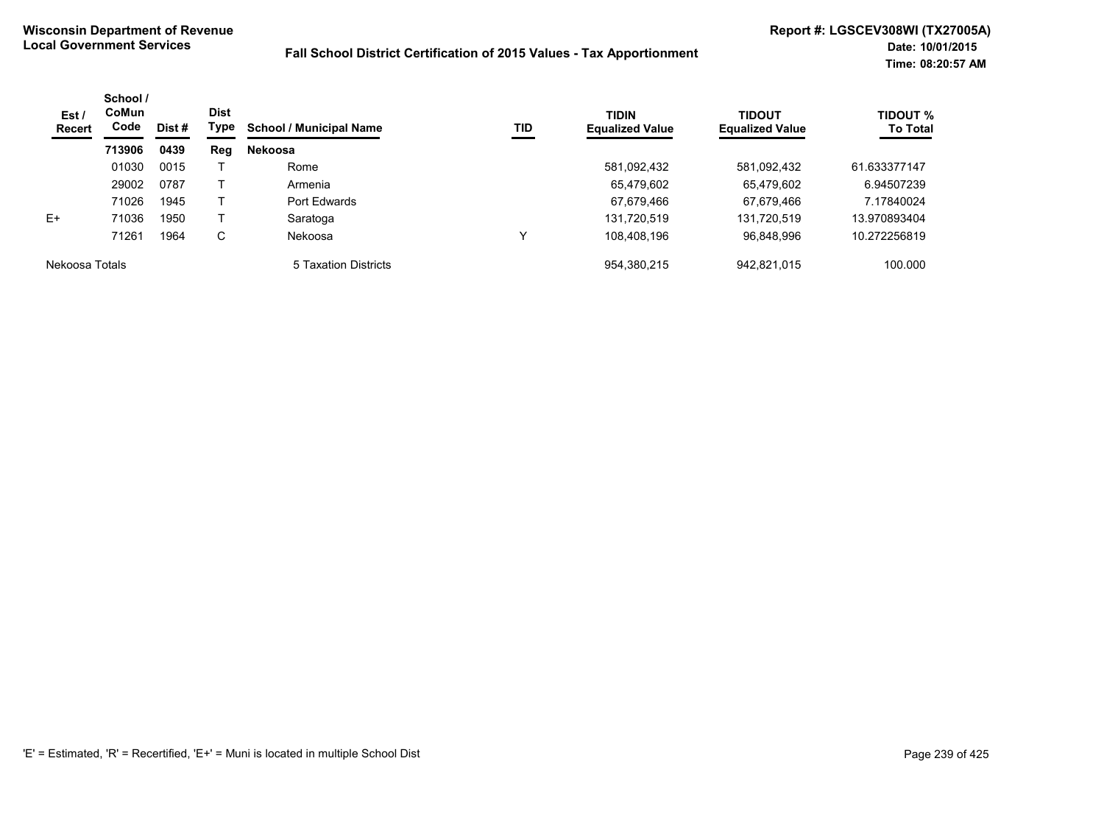| Est /<br>Recert | School /<br>CoMun<br>Code | Dist # | <b>Dist</b><br>Type | <b>School / Municipal Name</b> | <b>TID</b> | <b>TIDIN</b><br><b>Equalized Value</b> | TIDOUT<br><b>Equalized Value</b> | <b>TIDOUT %</b><br><b>To Total</b> |
|-----------------|---------------------------|--------|---------------------|--------------------------------|------------|----------------------------------------|----------------------------------|------------------------------------|
|                 | 713906                    | 0439   | Reg                 | <b>Nekoosa</b>                 |            |                                        |                                  |                                    |
|                 | 01030                     | 0015   |                     | Rome                           |            | 581,092,432                            | 581,092,432                      | 61.633377147                       |
|                 | 29002                     | 0787   |                     | Armenia                        |            | 65,479,602                             | 65.479.602                       | 6.94507239                         |
|                 | 71026                     | 1945   |                     | Port Edwards                   |            | 67,679,466                             | 67,679,466                       | 7.17840024                         |
| E+              | 71036                     | 1950   |                     | Saratoga                       |            | 131,720,519                            | 131,720,519                      | 13.970893404                       |
|                 | 71261                     | 1964   | C                   | Nekoosa                        |            | 108,408,196                            | 96,848,996                       | 10.272256819                       |
| Nekoosa Totals  |                           |        |                     | 5 Taxation Districts           |            | 954,380,215                            | 942,821,015                      | 100.000                            |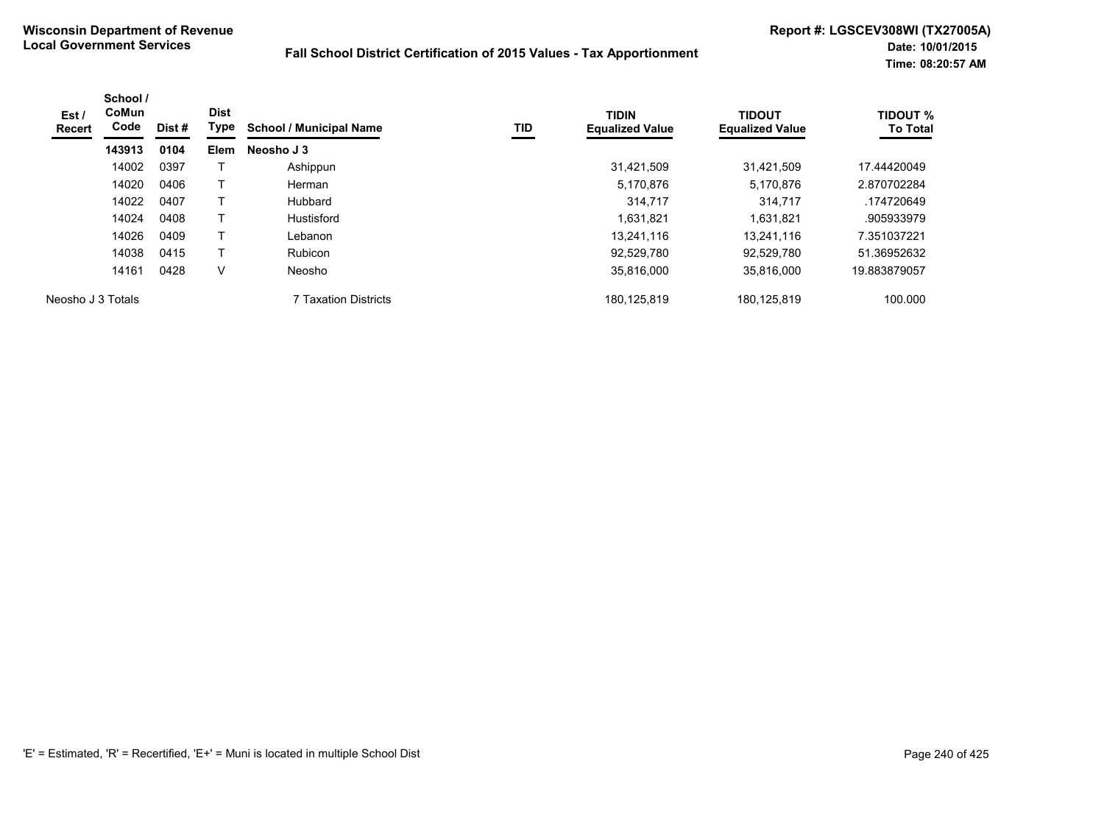| Est /<br>Recert   | School /<br><b>CoMun</b><br>Code | Dist # | <b>Dist</b><br>Type | <b>School / Municipal Name</b> | TID | <b>TIDIN</b><br><b>Equalized Value</b> | <b>TIDOUT</b><br><b>Equalized Value</b> | <b>TIDOUT %</b><br><b>To Total</b> |
|-------------------|----------------------------------|--------|---------------------|--------------------------------|-----|----------------------------------------|-----------------------------------------|------------------------------------|
|                   | 143913                           | 0104   | <b>Elem</b>         | Neosho J 3                     |     |                                        |                                         |                                    |
|                   | 14002                            | 0397   |                     | Ashippun                       |     | 31,421,509                             | 31,421,509                              | 17.44420049                        |
|                   | 14020                            | 0406   |                     | Herman                         |     | 5,170,876                              | 5,170,876                               | 2.870702284                        |
|                   | 14022                            | 0407   |                     | Hubbard                        |     | 314.717                                | 314,717                                 | .174720649                         |
|                   | 14024                            | 0408   |                     | Hustisford                     |     | 1,631,821                              | 1,631,821                               | .905933979                         |
|                   | 14026                            | 0409   |                     | Lebanon                        |     | 13.241.116                             | 13.241.116                              | 7.351037221                        |
|                   | 14038                            | 0415   |                     | <b>Rubicon</b>                 |     | 92,529,780                             | 92.529.780                              | 51.36952632                        |
|                   | 14161                            | 0428   | V                   | Neosho                         |     | 35,816,000                             | 35,816,000                              | 19.883879057                       |
| Neosho J 3 Totals |                                  |        |                     | 7 Taxation Districts           |     | 180,125,819                            | 180,125,819                             | 100.000                            |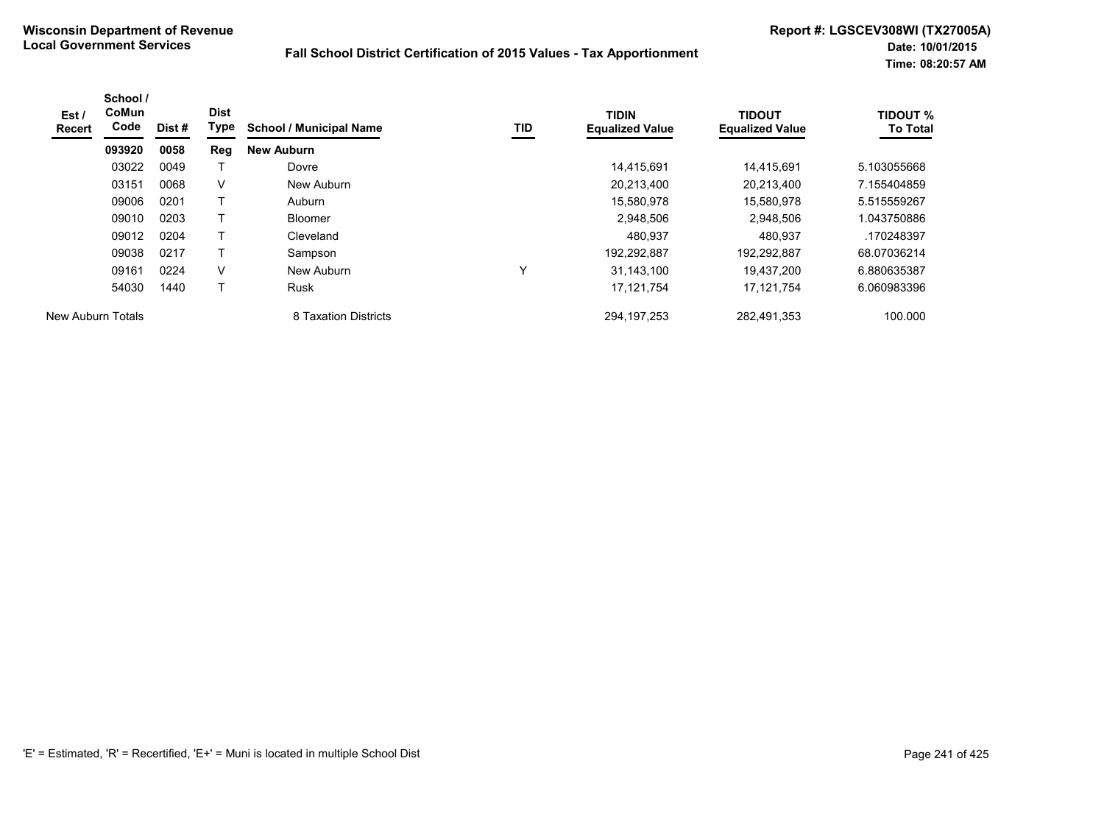| Est /<br>Recert          | School /<br>CoMun<br>Code | Dist# | <b>Dist</b><br>Type | <b>School / Municipal Name</b> | TID          | <b>TIDIN</b><br><b>Equalized Value</b> | <b>TIDOUT</b><br><b>Equalized Value</b> | <b>TIDOUT %</b><br><b>To Total</b> |
|--------------------------|---------------------------|-------|---------------------|--------------------------------|--------------|----------------------------------------|-----------------------------------------|------------------------------------|
|                          | 093920                    | 0058  | Reg                 | <b>New Auburn</b>              |              |                                        |                                         |                                    |
|                          | 03022                     | 0049  |                     | Dovre                          |              | 14.415.691                             | 14.415.691                              | 5.103055668                        |
|                          | 03151                     | 0068  | V                   | New Auburn                     |              | 20,213,400                             | 20,213,400                              | 7.155404859                        |
|                          | 09006                     | 0201  | T                   | Auburn                         |              | 15,580,978                             | 15,580,978                              | 5.515559267                        |
|                          | 09010                     | 0203  | T.                  | Bloomer                        |              | 2.948.506                              | 2,948,506                               | 1.043750886                        |
|                          | 09012                     | 0204  |                     | Cleveland                      |              | 480.937                                | 480.937                                 | .170248397                         |
|                          | 09038                     | 0217  | Т                   | Sampson                        |              | 192,292,887                            | 192,292,887                             | 68.07036214                        |
|                          | 09161                     | 0224  | V                   | New Auburn                     | $\checkmark$ | 31.143.100                             | 19.437.200                              | 6.880635387                        |
|                          | 54030                     | 1440  |                     | <b>Rusk</b>                    |              | 17, 121, 754                           | 17,121,754                              | 6.060983396                        |
| <b>New Auburn Totals</b> |                           |       |                     | 8 Taxation Districts           |              | 294, 197, 253                          | 282,491,353                             | 100.000                            |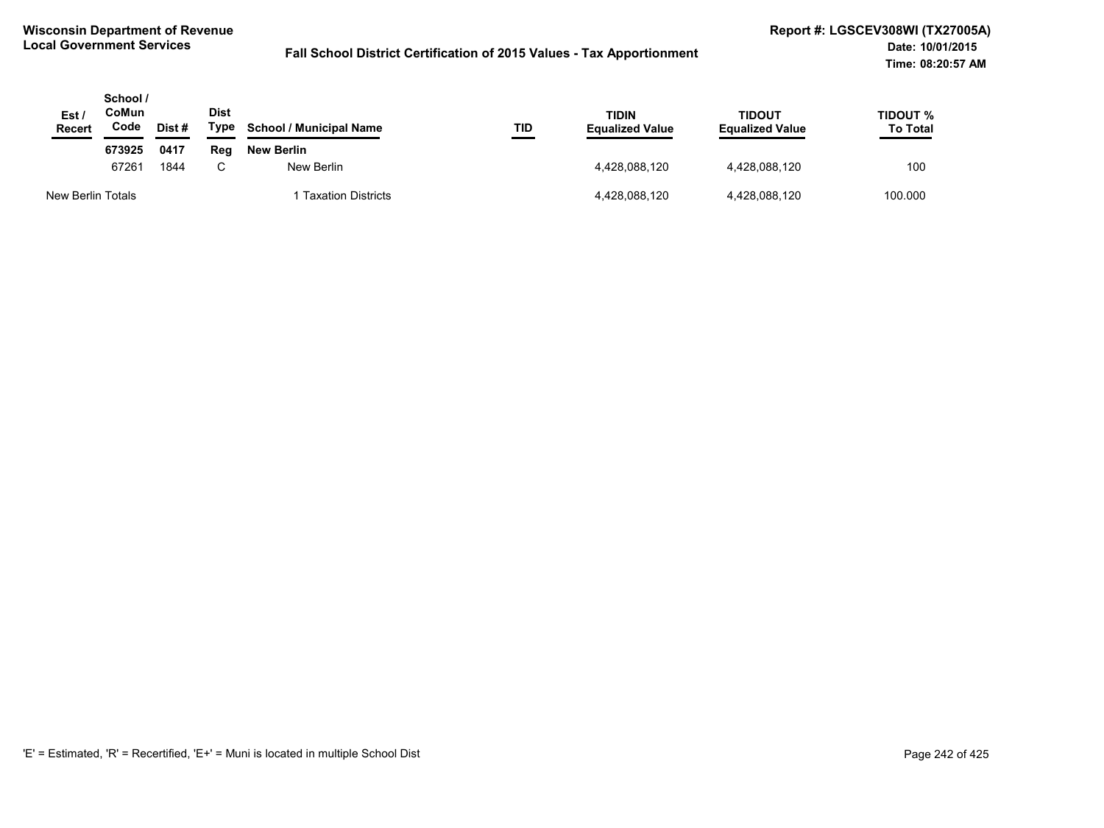| Est /<br><b>Recert</b> | School /<br>CoMun<br>Code | Dist# | <b>Dist</b><br>Type | <b>School / Municipal Name</b> | TID | <b>TIDIN</b><br><b>Equalized Value</b> | TIDOUT<br><b>Equalized Value</b> | <b>TIDOUT %</b><br><b>To Total</b> |
|------------------------|---------------------------|-------|---------------------|--------------------------------|-----|----------------------------------------|----------------------------------|------------------------------------|
|                        | 673925                    | 0417  | Rea                 | New Berlin                     |     |                                        |                                  |                                    |
|                        | 67261                     | 1844  | ⌒                   | New Berlin                     |     | 4.428.088.120                          | 4,428,088,120                    | 100                                |
| New Berlin Totals      |                           |       |                     | <b>Taxation Districts</b>      |     | 4,428,088,120                          | 4,428,088,120                    | 100.000                            |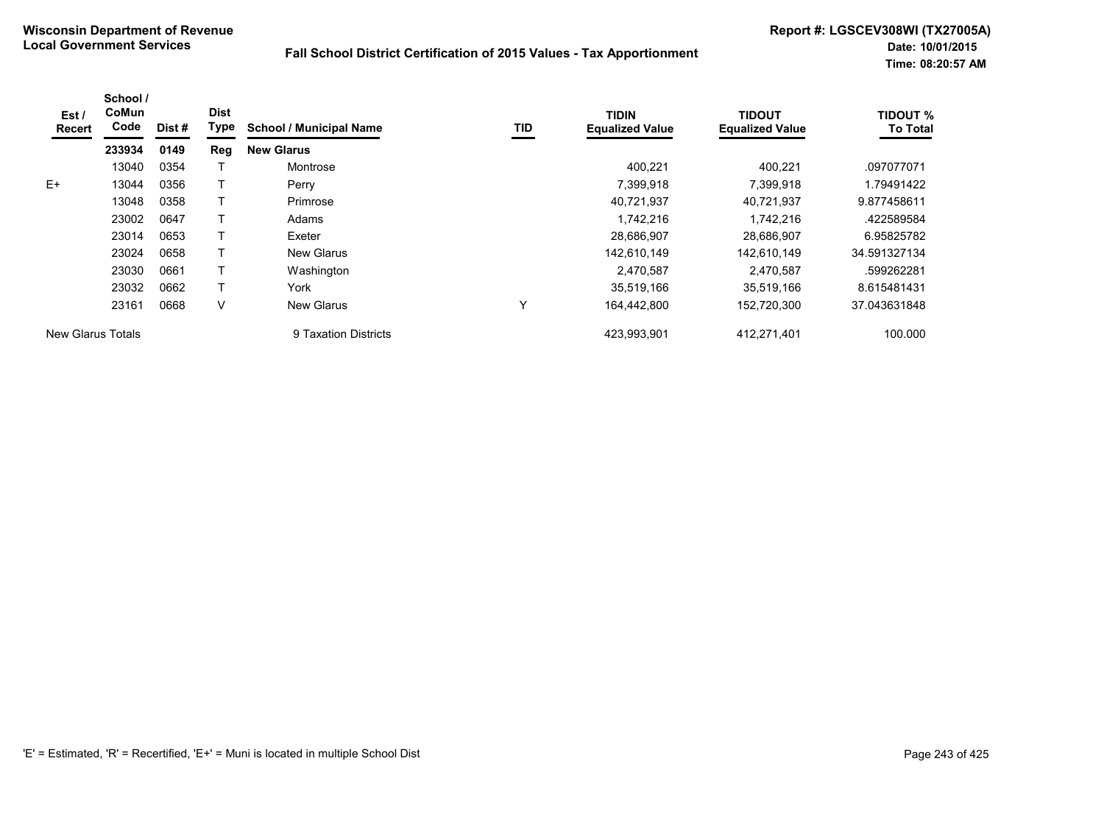| Est /<br>Recert   | School /<br>CoMun<br>Code | Dist # | <b>Dist</b><br>Type | <b>School / Municipal Name</b> | TID | <b>TIDIN</b><br><b>Equalized Value</b> | <b>TIDOUT</b><br><b>Equalized Value</b> | <b>TIDOUT %</b><br><b>To Total</b> |
|-------------------|---------------------------|--------|---------------------|--------------------------------|-----|----------------------------------------|-----------------------------------------|------------------------------------|
|                   | 233934                    | 0149   | Reg                 | <b>New Glarus</b>              |     |                                        |                                         |                                    |
|                   | 13040                     | 0354   |                     | Montrose                       |     | 400.221                                | 400.221                                 | .097077071                         |
| $E+$              | 13044                     | 0356   |                     | Perry                          |     | 7,399,918                              | 7.399.918                               | 1.79491422                         |
|                   | 13048                     | 0358   |                     | Primrose                       |     | 40,721,937                             | 40.721.937                              | 9.877458611                        |
|                   | 23002                     | 0647   |                     | Adams                          |     | 1.742.216                              | 1.742.216                               | .422589584                         |
|                   | 23014                     | 0653   |                     | Exeter                         |     | 28,686,907                             | 28,686,907                              | 6.95825782                         |
|                   | 23024                     | 0658   |                     | New Glarus                     |     | 142,610,149                            | 142,610,149                             | 34.591327134                       |
|                   | 23030                     | 0661   |                     | Washington                     |     | 2,470,587                              | 2,470,587                               | .599262281                         |
|                   | 23032                     | 0662   |                     | York                           |     | 35,519,166                             | 35,519,166                              | 8.615481431                        |
|                   | 23161                     | 0668   | V                   | <b>New Glarus</b>              | Υ   | 164,442,800                            | 152,720,300                             | 37.043631848                       |
| New Glarus Totals |                           |        |                     | 9 Taxation Districts           |     | 423.993.901                            | 412,271,401                             | 100.000                            |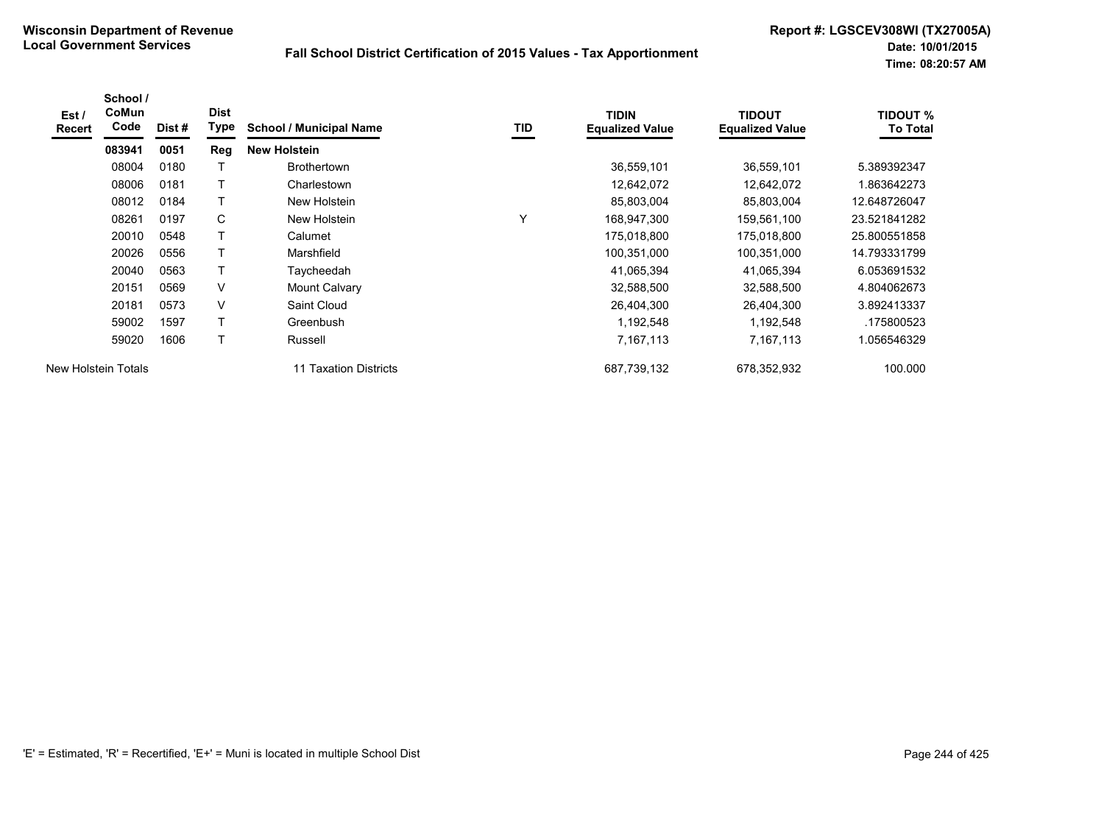| Est /<br>Recert | School /<br>CoMun<br>Code | Dist# | <b>Dist</b><br>Type | <b>School / Municipal Name</b> | TID | <b>TIDIN</b><br><b>Equalized Value</b> | <b>TIDOUT</b><br><b>Equalized Value</b> | <b>TIDOUT %</b><br><b>To Total</b> |
|-----------------|---------------------------|-------|---------------------|--------------------------------|-----|----------------------------------------|-----------------------------------------|------------------------------------|
|                 | 083941                    | 0051  | <b>Reg</b>          | <b>New Holstein</b>            |     |                                        |                                         |                                    |
|                 | 08004                     | 0180  |                     | <b>Brothertown</b>             |     | 36,559,101                             | 36,559,101                              | 5.389392347                        |
|                 | 08006                     | 0181  |                     | Charlestown                    |     | 12,642,072                             | 12,642,072                              | 1.863642273                        |
|                 | 08012                     | 0184  | Т                   | New Holstein                   |     | 85,803,004                             | 85,803,004                              | 12.648726047                       |
|                 | 08261                     | 0197  | С                   | New Holstein                   | v   | 168,947,300                            | 159,561,100                             | 23.521841282                       |
|                 | 20010                     | 0548  |                     | Calumet                        |     | 175,018,800                            | 175,018,800                             | 25.800551858                       |
|                 | 20026                     | 0556  |                     | Marshfield                     |     | 100,351,000                            | 100,351,000                             | 14.793331799                       |
|                 | 20040                     | 0563  | Т                   | Taycheedah                     |     | 41,065,394                             | 41,065,394                              | 6.053691532                        |
|                 | 20151                     | 0569  | $\vee$              | Mount Calvary                  |     | 32,588,500                             | 32,588,500                              | 4.804062673                        |
|                 | 20181                     | 0573  | $\vee$              | Saint Cloud                    |     | 26,404,300                             | 26,404,300                              | 3.892413337                        |
|                 | 59002                     | 1597  | Т                   | Greenbush                      |     | 1,192,548                              | 1,192,548                               | .175800523                         |
|                 | 59020                     | 1606  | т                   | Russell                        |     | 7,167,113                              | 7,167,113                               | 1.056546329                        |
|                 | New Holstein Totals       |       |                     | 11 Taxation Districts          |     | 687,739,132                            | 678,352,932                             | 100.000                            |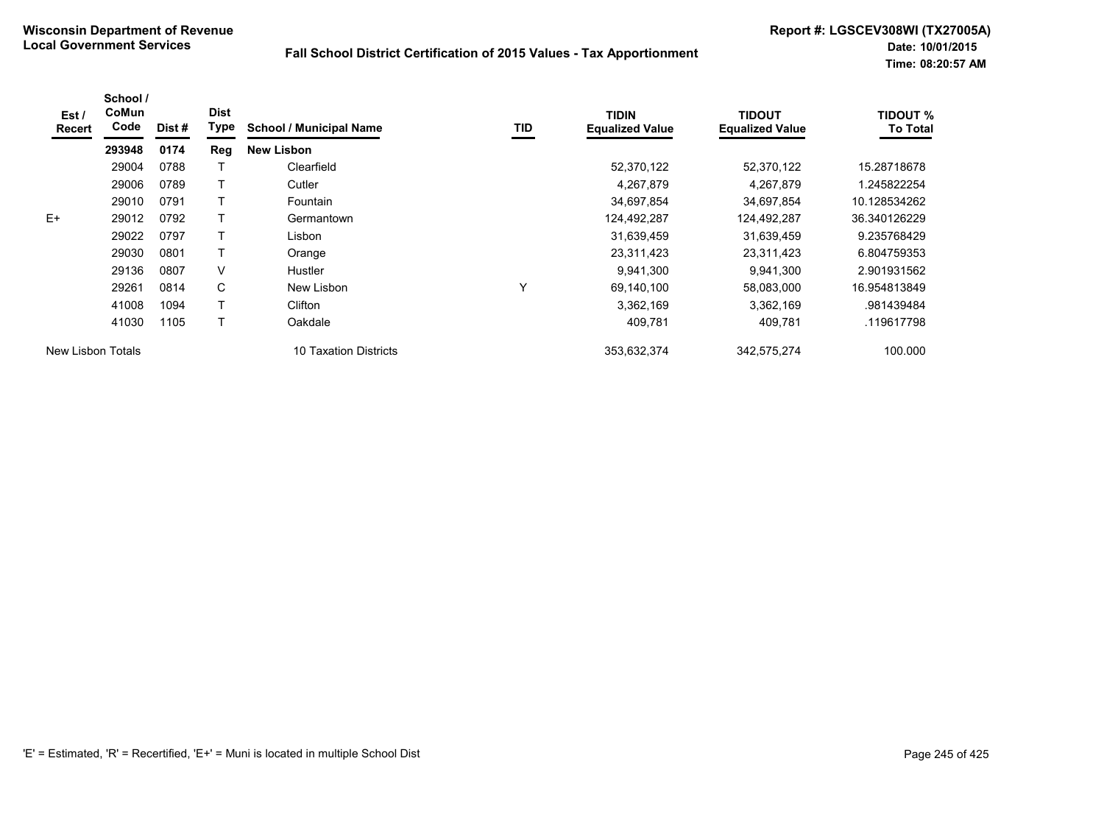| Est /<br>Recert   | School /<br>CoMun<br>Code | Dist # | <b>Dist</b><br><b>Type</b> | <b>School / Municipal Name</b> | TID | <b>TIDIN</b><br><b>Equalized Value</b> | <b>TIDOUT</b><br><b>Equalized Value</b> | <b>TIDOUT %</b><br><b>To Total</b> |
|-------------------|---------------------------|--------|----------------------------|--------------------------------|-----|----------------------------------------|-----------------------------------------|------------------------------------|
|                   | 293948                    | 0174   | Reg                        | <b>New Lisbon</b>              |     |                                        |                                         |                                    |
|                   | 29004                     | 0788   |                            | Clearfield                     |     | 52,370,122                             | 52,370,122                              | 15.28718678                        |
|                   | 29006                     | 0789   |                            | Cutler                         |     | 4,267,879                              | 4,267,879                               | 1.245822254                        |
|                   | 29010                     | 0791   |                            | Fountain                       |     | 34,697,854                             | 34,697,854                              | 10.128534262                       |
| $E+$              | 29012                     | 0792   |                            | Germantown                     |     | 124,492,287                            | 124,492,287                             | 36.340126229                       |
|                   | 29022                     | 0797   |                            | Lisbon                         |     | 31,639,459                             | 31,639,459                              | 9.235768429                        |
|                   | 29030                     | 0801   | T                          | Orange                         |     | 23,311,423                             | 23,311,423                              | 6.804759353                        |
|                   | 29136                     | 0807   | V                          | <b>Hustler</b>                 |     | 9,941,300                              | 9,941,300                               | 2.901931562                        |
|                   | 29261                     | 0814   | C                          | New Lisbon                     | Υ   | 69,140,100                             | 58,083,000                              | 16.954813849                       |
|                   | 41008                     | 1094   |                            | Clifton                        |     | 3,362,169                              | 3,362,169                               | .981439484                         |
|                   | 41030                     | 1105   |                            | Oakdale                        |     | 409,781                                | 409,781                                 | .119617798                         |
| New Lisbon Totals |                           |        |                            | 10 Taxation Districts          |     | 353,632,374                            | 342,575,274                             | 100.000                            |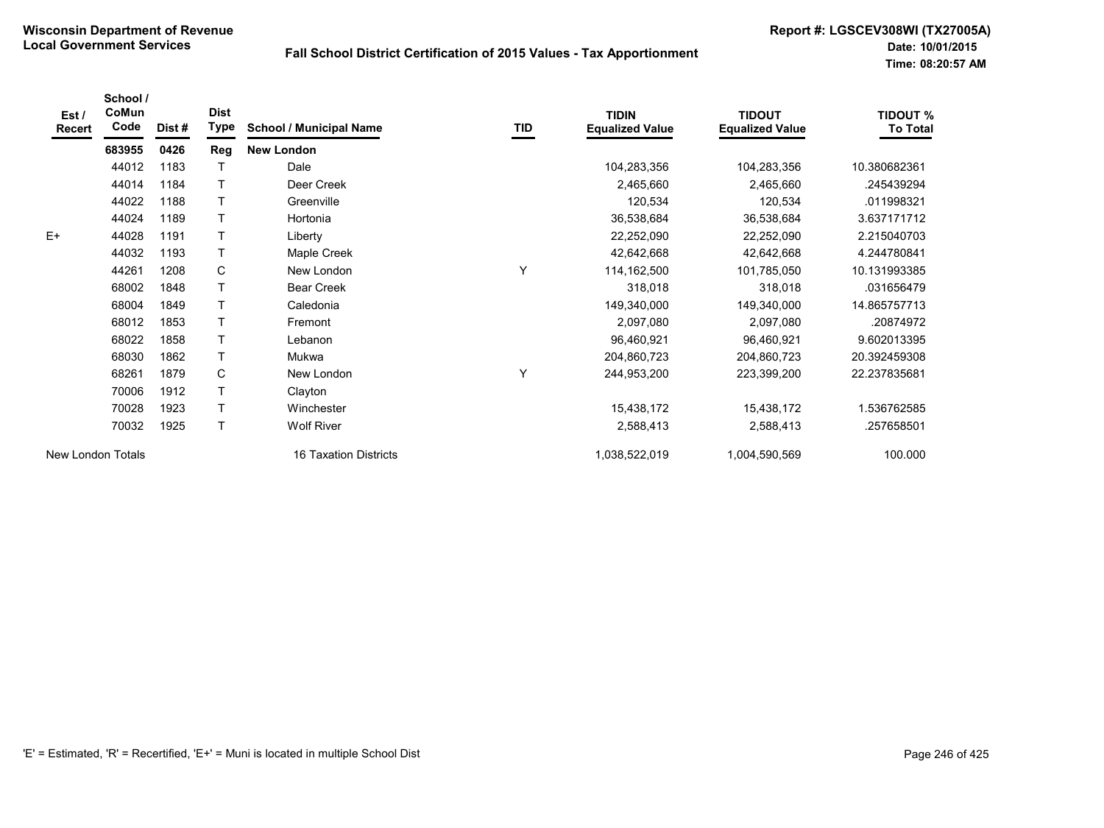| Est $\prime$<br>Recert | School /<br>CoMun<br>Code | Dist# | <b>Dist</b><br>Type | <b>School / Municipal Name</b> | TID | <b>TIDIN</b><br><b>Equalized Value</b> | <b>TIDOUT</b><br><b>Equalized Value</b> | <b>TIDOUT %</b><br><b>To Total</b> |
|------------------------|---------------------------|-------|---------------------|--------------------------------|-----|----------------------------------------|-----------------------------------------|------------------------------------|
|                        | 683955                    | 0426  | <b>Reg</b>          | <b>New London</b>              |     |                                        |                                         |                                    |
|                        | 44012                     | 1183  |                     | Dale                           |     | 104,283,356                            | 104,283,356                             | 10.380682361                       |
|                        | 44014                     | 1184  | $\mathsf{T}$        | Deer Creek                     |     | 2,465,660                              | 2,465,660                               | .245439294                         |
|                        | 44022                     | 1188  | Т                   | Greenville                     |     | 120,534                                | 120,534                                 | .011998321                         |
|                        | 44024                     | 1189  |                     | Hortonia                       |     | 36,538,684                             | 36,538,684                              | 3.637171712                        |
| $E+$                   | 44028                     | 1191  | т                   | Liberty                        |     | 22,252,090                             | 22,252,090                              | 2.215040703                        |
|                        | 44032                     | 1193  |                     | Maple Creek                    |     | 42,642,668                             | 42,642,668                              | 4.244780841                        |
|                        | 44261                     | 1208  | C                   | New London                     | Υ   | 114,162,500                            | 101,785,050                             | 10.131993385                       |
|                        | 68002                     | 1848  |                     | <b>Bear Creek</b>              |     | 318,018                                | 318,018                                 | .031656479                         |
|                        | 68004                     | 1849  | $\top$              | Caledonia                      |     | 149,340,000                            | 149,340,000                             | 14.865757713                       |
|                        | 68012                     | 1853  | $\top$              | Fremont                        |     | 2,097,080                              | 2,097,080                               | .20874972                          |
|                        | 68022                     | 1858  | $\mathsf{T}$        | Lebanon                        |     | 96,460,921                             | 96,460,921                              | 9.602013395                        |
|                        | 68030                     | 1862  | $\mathsf{T}$        | Mukwa                          |     | 204,860,723                            | 204,860,723                             | 20.392459308                       |
|                        | 68261                     | 1879  | C                   | New London                     |     | 244,953,200                            | 223,399,200                             | 22.237835681                       |
|                        | 70006                     | 1912  | $\mathsf{T}$        | Clayton                        |     |                                        |                                         |                                    |
|                        | 70028                     | 1923  |                     | Winchester                     |     | 15,438,172                             | 15,438,172                              | 1.536762585                        |
|                        | 70032                     | 1925  | T                   | <b>Wolf River</b>              |     | 2,588,413                              | 2,588,413                               | .257658501                         |
| New London Totals      |                           |       |                     | 16 Taxation Districts          |     | 1,038,522,019                          | 1,004,590,569                           | 100.000                            |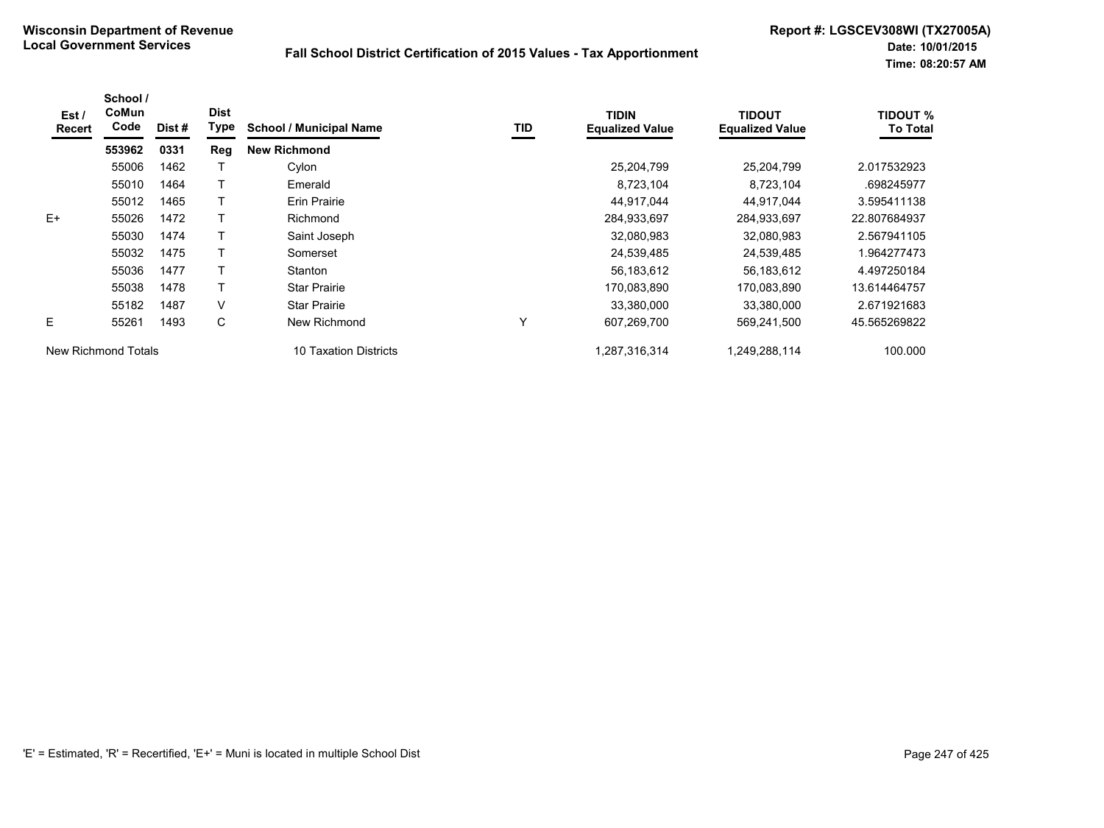| Est/<br>Recert      | School /<br>CoMun<br>Code | Dist # | <b>Dist</b><br><b>Type</b> | <b>School / Municipal Name</b> | TID | <b>TIDIN</b><br><b>Equalized Value</b> | <b>TIDOUT</b><br><b>Equalized Value</b> | <b>TIDOUT %</b><br><b>To Total</b> |
|---------------------|---------------------------|--------|----------------------------|--------------------------------|-----|----------------------------------------|-----------------------------------------|------------------------------------|
|                     | 553962                    | 0331   | Reg                        | <b>New Richmond</b>            |     |                                        |                                         |                                    |
|                     | 55006                     | 1462   |                            | Cylon                          |     | 25,204,799                             | 25,204,799                              | 2.017532923                        |
|                     | 55010                     | 1464   |                            | Emerald                        |     | 8,723,104                              | 8,723,104                               | .698245977                         |
|                     | 55012                     | 1465   |                            | Erin Prairie                   |     | 44,917,044                             | 44,917,044                              | 3.595411138                        |
| $E+$                | 55026                     | 1472   |                            | Richmond                       |     | 284,933,697                            | 284,933,697                             | 22.807684937                       |
|                     | 55030                     | 1474   |                            | Saint Joseph                   |     | 32,080,983                             | 32,080,983                              | 2.567941105                        |
|                     | 55032                     | 1475   |                            | Somerset                       |     | 24,539,485                             | 24,539,485                              | 1.964277473                        |
|                     | 55036                     | 1477   |                            | Stanton                        |     | 56,183,612                             | 56,183,612                              | 4.497250184                        |
|                     | 55038                     | 1478   |                            | <b>Star Prairie</b>            |     | 170,083,890                            | 170,083,890                             | 13.614464757                       |
|                     | 55182                     | 1487   | V                          | <b>Star Prairie</b>            |     | 33,380,000                             | 33,380,000                              | 2.671921683                        |
| E                   | 55261                     | 1493   | C                          | New Richmond                   | Υ   | 607,269,700                            | 569,241,500                             | 45.565269822                       |
| New Richmond Totals |                           |        |                            | 10 Taxation Districts          |     | 1,287,316,314                          | 1,249,288,114                           | 100.000                            |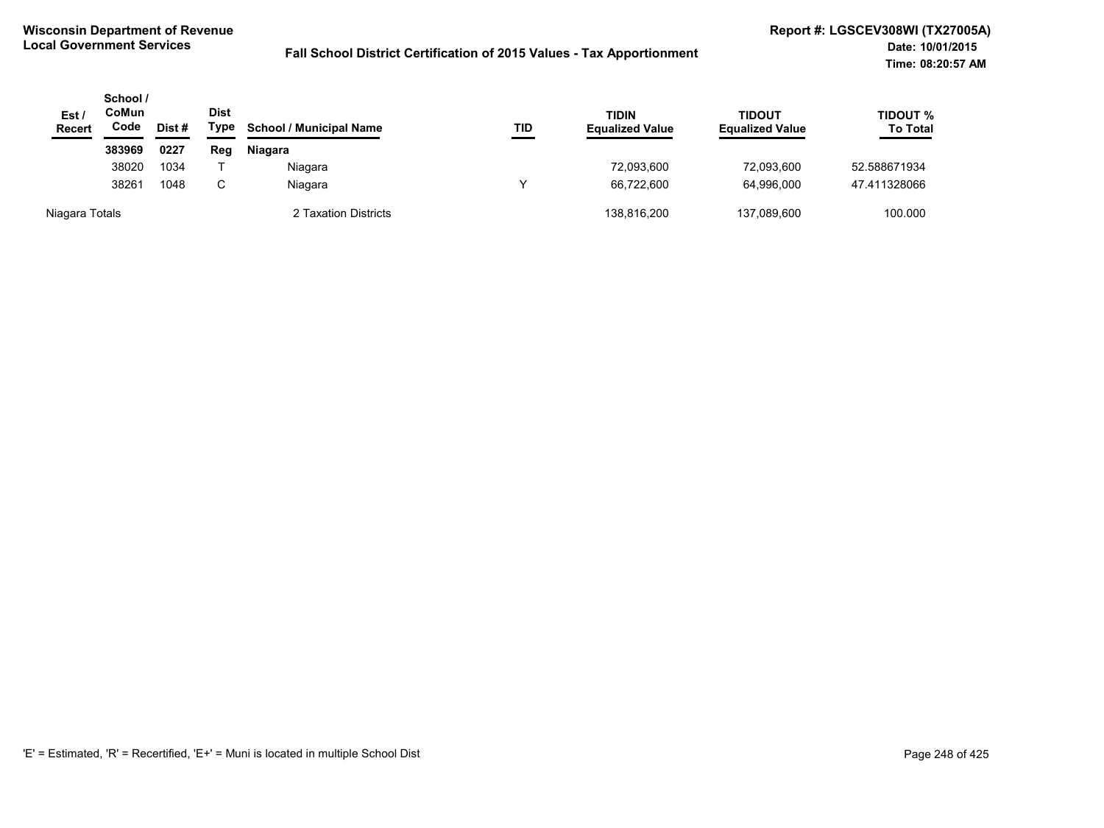| Est/<br><b>Recert</b> | School /<br>CoMun<br>Code<br>Dist# |      | <b>Dist</b><br>Type | <b>School / Municipal Name</b> | TID | <b>TIDIN</b><br><b>Equalized Value</b> | <b>TIDOUT</b><br><b>Equalized Value</b> | TIDOUT %<br><b>To Total</b> |
|-----------------------|------------------------------------|------|---------------------|--------------------------------|-----|----------------------------------------|-----------------------------------------|-----------------------------|
|                       | 383969                             | 0227 | Reg                 | Niagara                        |     |                                        |                                         |                             |
|                       | 38020                              | 1034 |                     | Niagara                        |     | 72,093,600                             | 72,093,600                              | 52.588671934                |
|                       | 38261                              | 1048 | C.                  | Niagara                        |     | 66.722.600                             | 64.996.000                              | 47.411328066                |
| Niagara Totals        |                                    |      |                     | 2 Taxation Districts           |     | 138,816,200                            | 137,089,600                             | 100.000                     |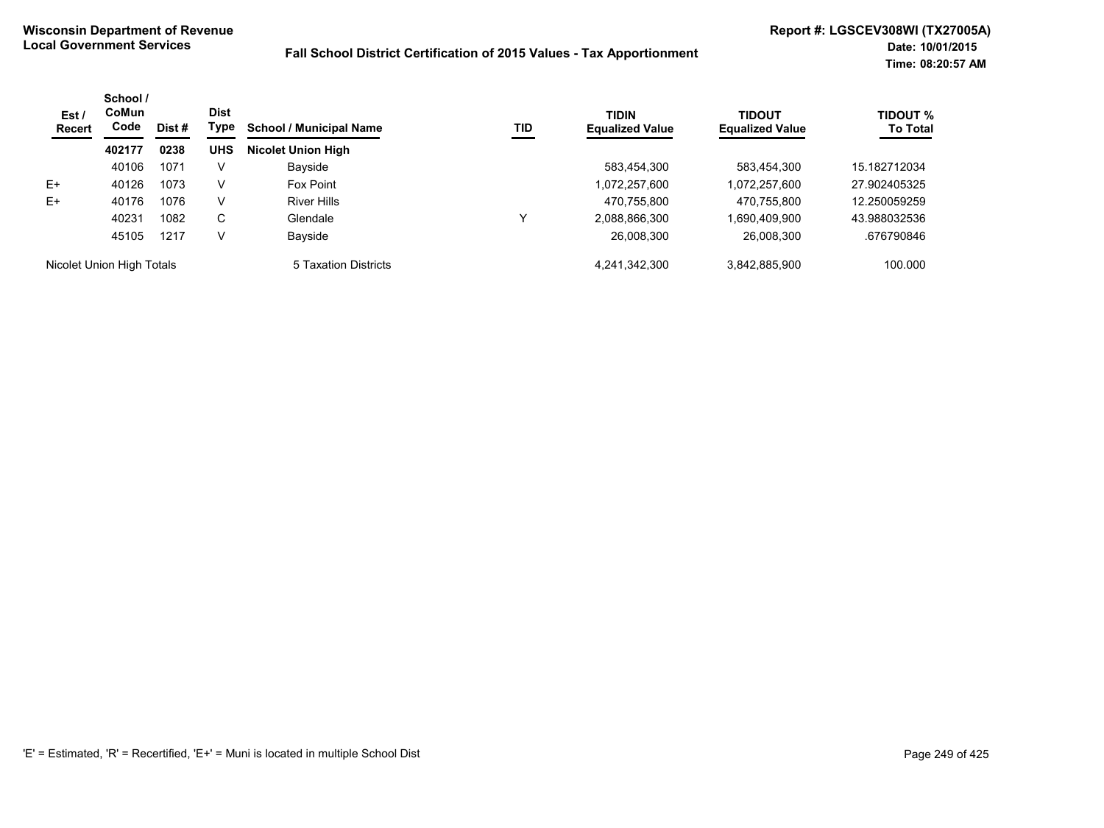| Est/<br>Recert            | School /<br><b>CoMun</b><br>Code | <b>Dist</b><br>Dist# | Type       | <b>School / Municipal Name</b> | TID | <b>TIDIN</b><br><b>Equalized Value</b> | TIDOUT<br><b>Equalized Value</b> | <b>TIDOUT %</b><br><b>To Total</b> |
|---------------------------|----------------------------------|----------------------|------------|--------------------------------|-----|----------------------------------------|----------------------------------|------------------------------------|
|                           | 402177                           | 0238                 | <b>UHS</b> | <b>Nicolet Union High</b>      |     |                                        |                                  |                                    |
|                           | 40106                            | 1071                 | V          | Bayside                        |     | 583.454.300                            | 583,454,300                      | 15.182712034                       |
| E+                        | 40126                            | 1073                 | v          | Fox Point                      |     | 1,072,257,600                          | 1,072,257,600                    | 27.902405325                       |
| $E+$                      | 40176                            | 1076                 | V          | <b>River Hills</b>             |     | 470.755.800                            | 470,755,800                      | 12.250059259                       |
|                           | 40231                            | 1082                 | С          | Glendale                       | ↘   | 2,088,866,300                          | 1,690,409,900                    | 43.988032536                       |
|                           | 45105                            | 1217                 | V          | Bayside                        |     | 26,008,300                             | 26,008,300                       | .676790846                         |
| Nicolet Union High Totals |                                  |                      |            | 5 Taxation Districts           |     | 4,241,342,300                          | 3,842,885,900                    | 100.000                            |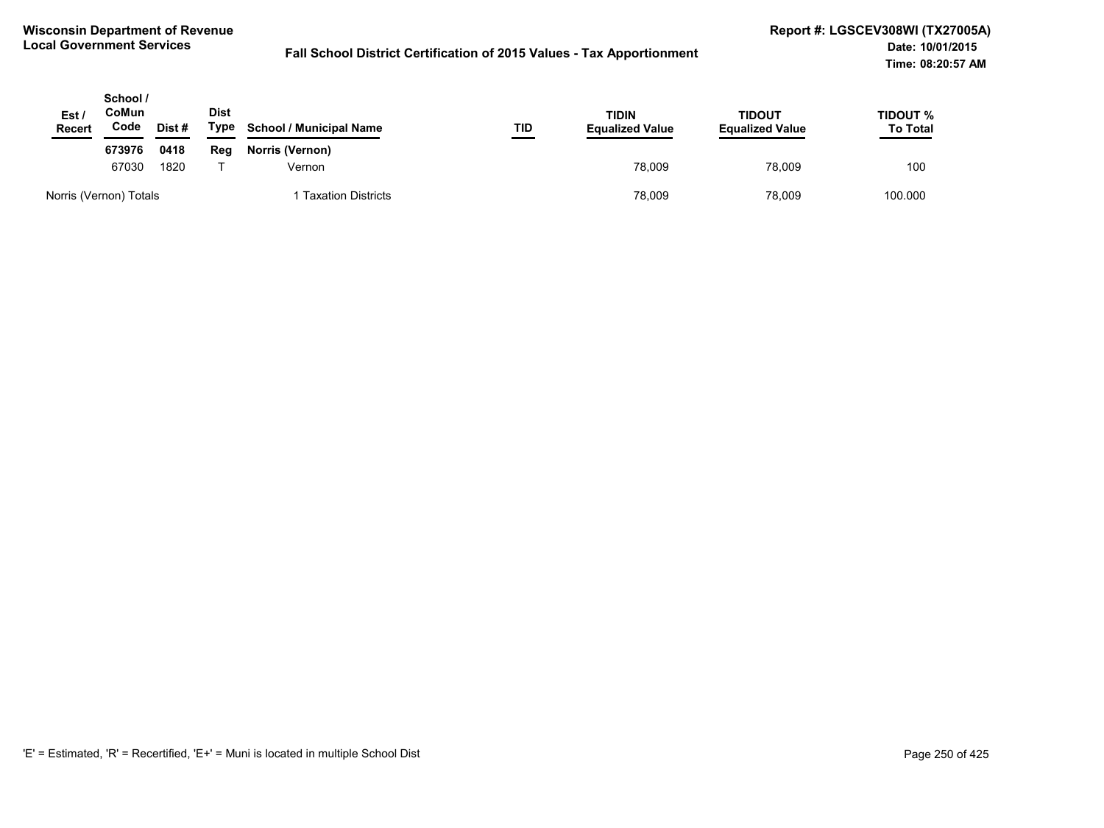| Est /<br><b>Recert</b> | School /<br>CoMun<br>Code | Dist# | <b>Dist</b><br>Type | <b>School / Municipal Name</b> | TID    | TIDIN<br><b>Equalized Value</b> | TIDOUT<br><b>Equalized Value</b> | TIDOUT %<br><b>To Total</b> |
|------------------------|---------------------------|-------|---------------------|--------------------------------|--------|---------------------------------|----------------------------------|-----------------------------|
|                        | 673976                    | 0418  | Reg                 | <b>Norris (Vernon)</b>         |        |                                 |                                  |                             |
|                        | 67030<br>1820             |       | Vernon              |                                | 78.009 | 78.009                          | 100                              |                             |
| Norris (Vernon) Totals |                           |       |                     | <b>Taxation Districts</b>      |        | 78,009                          | 78,009                           | 100.000                     |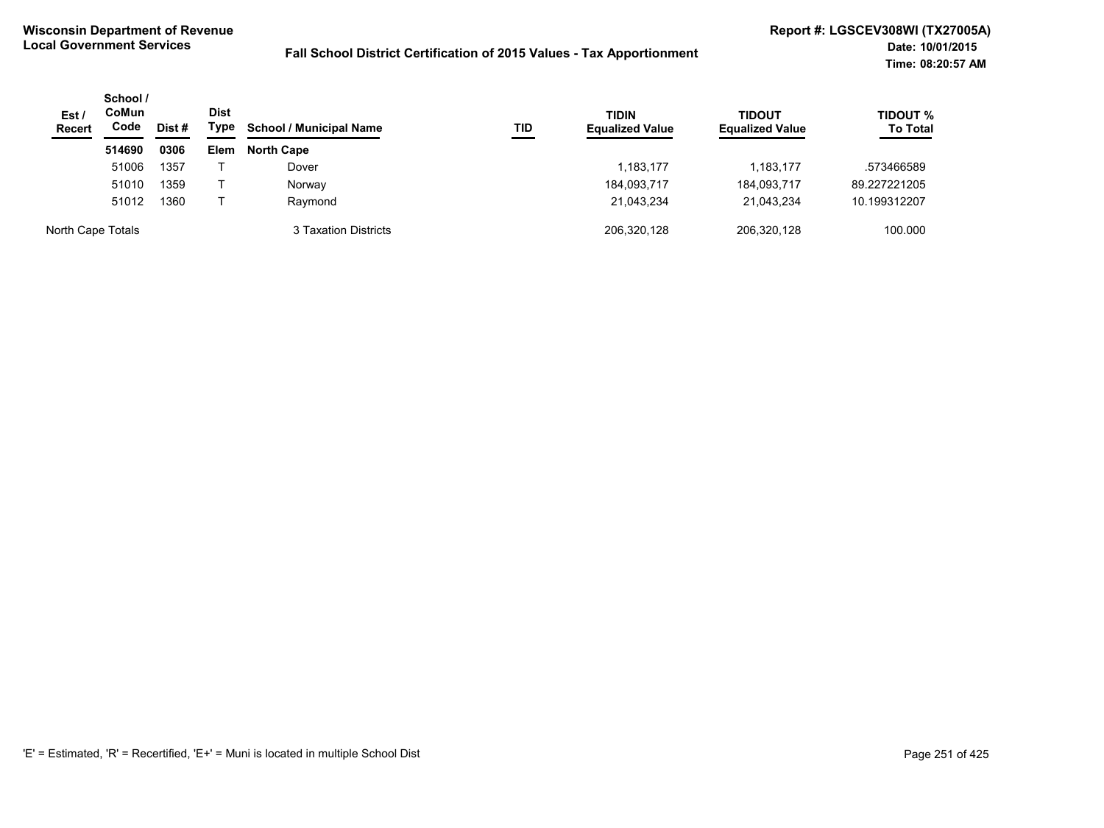| Est/<br><b>Recert</b> | School /<br><b>CoMun</b><br>Code<br>Dist# | Dist<br>Type | <b>School / Municipal Name</b> | TID                  | <b>TIDIN</b><br><b>Equalized Value</b> | TIDOUT<br><b>Equalized Value</b> | <b>TIDOUT %</b><br><b>To Total</b> |              |
|-----------------------|-------------------------------------------|--------------|--------------------------------|----------------------|----------------------------------------|----------------------------------|------------------------------------|--------------|
|                       | 514690                                    | 0306         | <b>Elem</b>                    | <b>North Cape</b>    |                                        |                                  |                                    |              |
|                       | 51006                                     | 1357         |                                | Dover                |                                        | 1,183,177                        | 1,183,177                          | .573466589   |
|                       | 51010                                     | 1359         |                                | Norway               |                                        | 184,093,717                      | 184,093,717                        | 89.227221205 |
|                       | 51012                                     | 1360         |                                | Raymond              |                                        | 21,043,234                       | 21,043,234                         | 10.199312207 |
| North Cape Totals     |                                           |              |                                | 3 Taxation Districts |                                        | 206,320,128                      | 206,320,128                        | 100.000      |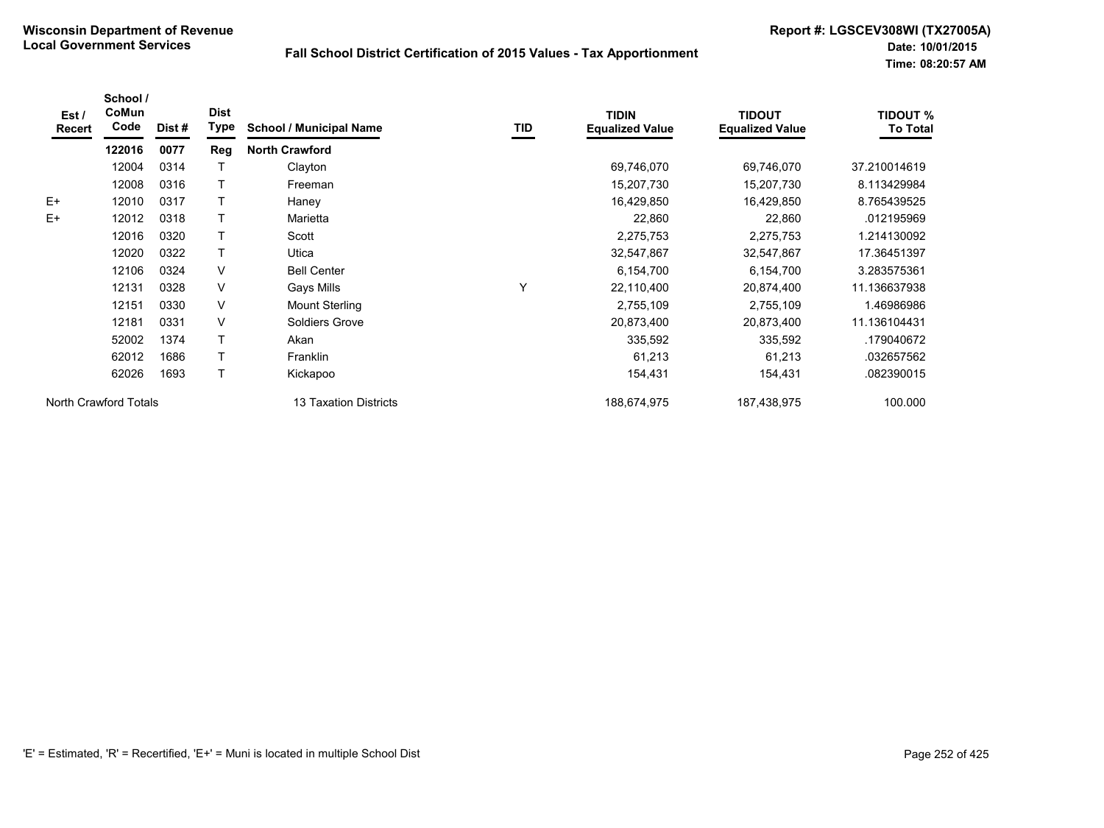| Est /<br>Recert       | School /<br>CoMun<br>Code | Dist # | <b>Dist</b><br>Type | <b>School / Municipal Name</b> | TID | <b>TIDIN</b><br><b>Equalized Value</b> | <b>TIDOUT</b><br><b>Equalized Value</b> | <b>TIDOUT %</b><br><b>To Total</b> |
|-----------------------|---------------------------|--------|---------------------|--------------------------------|-----|----------------------------------------|-----------------------------------------|------------------------------------|
|                       | 122016                    | 0077   | Reg                 | <b>North Crawford</b>          |     |                                        |                                         |                                    |
|                       | 12004                     | 0314   |                     | Clayton                        |     | 69,746,070                             | 69,746,070                              | 37.210014619                       |
|                       | 12008                     | 0316   |                     | Freeman                        |     | 15,207,730                             | 15,207,730                              | 8.113429984                        |
| $E+$                  | 12010                     | 0317   |                     | Haney                          |     | 16,429,850                             | 16,429,850                              | 8.765439525                        |
| E+                    | 12012                     | 0318   |                     | Marietta                       |     | 22,860                                 | 22,860                                  | .012195969                         |
|                       | 12016                     | 0320   |                     | Scott                          |     | 2,275,753                              | 2,275,753                               | 1.214130092                        |
|                       | 12020                     | 0322   |                     | Utica                          |     | 32,547,867                             | 32,547,867                              | 17.36451397                        |
|                       | 12106                     | 0324   | V                   | <b>Bell Center</b>             |     | 6,154,700                              | 6,154,700                               | 3.283575361                        |
|                       | 12131                     | 0328   | V                   | Gays Mills                     | Υ   | 22,110,400                             | 20,874,400                              | 11.136637938                       |
|                       | 12151                     | 0330   | V                   | <b>Mount Sterling</b>          |     | 2,755,109                              | 2,755,109                               | 1.46986986                         |
|                       | 12181                     | 0331   | V                   | Soldiers Grove                 |     | 20,873,400                             | 20,873,400                              | 11.136104431                       |
|                       | 52002                     | 1374   |                     | Akan                           |     | 335,592                                | 335,592                                 | .179040672                         |
|                       | 62012                     | 1686   |                     | Franklin                       |     | 61,213                                 | 61,213                                  | .032657562                         |
|                       | 62026                     | 1693   |                     | Kickapoo                       |     | 154,431                                | 154,431                                 | .082390015                         |
| North Crawford Totals |                           |        |                     | <b>13 Taxation Districts</b>   |     | 188,674,975                            | 187,438,975                             | 100.000                            |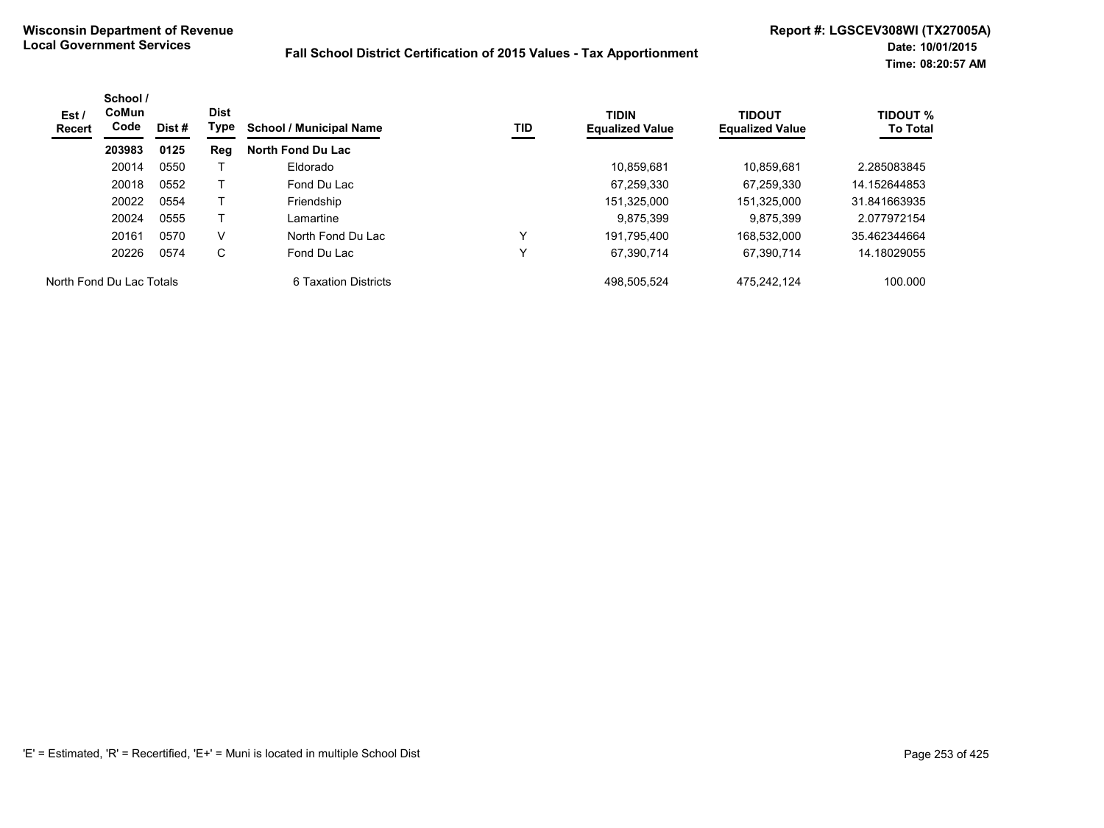| Est /<br>Recert          | School /<br>CoMun<br>Code | Dist # | <b>Dist</b><br>Type | <b>School / Municipal Name</b> | TID | <b>TIDIN</b><br><b>Equalized Value</b> | <b>TIDOUT</b><br><b>Equalized Value</b> | <b>TIDOUT %</b><br><b>To Total</b> |
|--------------------------|---------------------------|--------|---------------------|--------------------------------|-----|----------------------------------------|-----------------------------------------|------------------------------------|
|                          | 203983                    | 0125   | Reg                 | North Fond Du Lac              |     |                                        |                                         |                                    |
|                          | 20014                     | 0550   |                     | Eldorado                       |     | 10.859.681                             | 10.859.681                              | 2.285083845                        |
|                          | 20018                     | 0552   |                     | Fond Du Lac                    |     | 67,259,330                             | 67,259,330                              | 14.152644853                       |
|                          | 20022                     | 0554   |                     | Friendship                     |     | 151,325,000                            | 151,325,000                             | 31.841663935                       |
|                          | 20024                     | 0555   |                     | Lamartine                      |     | 9.875.399                              | 9.875.399                               | 2.077972154                        |
|                          | 20161                     | 0570   | V                   | North Fond Du Lac              | v   | 191.795.400                            | 168.532.000                             | 35.462344664                       |
|                          | 20226                     | 0574   | C                   | Fond Du Lac                    | v   | 67.390.714                             | 67.390.714                              | 14.18029055                        |
| North Fond Du Lac Totals |                           |        |                     | 6 Taxation Districts           |     | 498.505.524                            | 475.242.124                             | 100.000                            |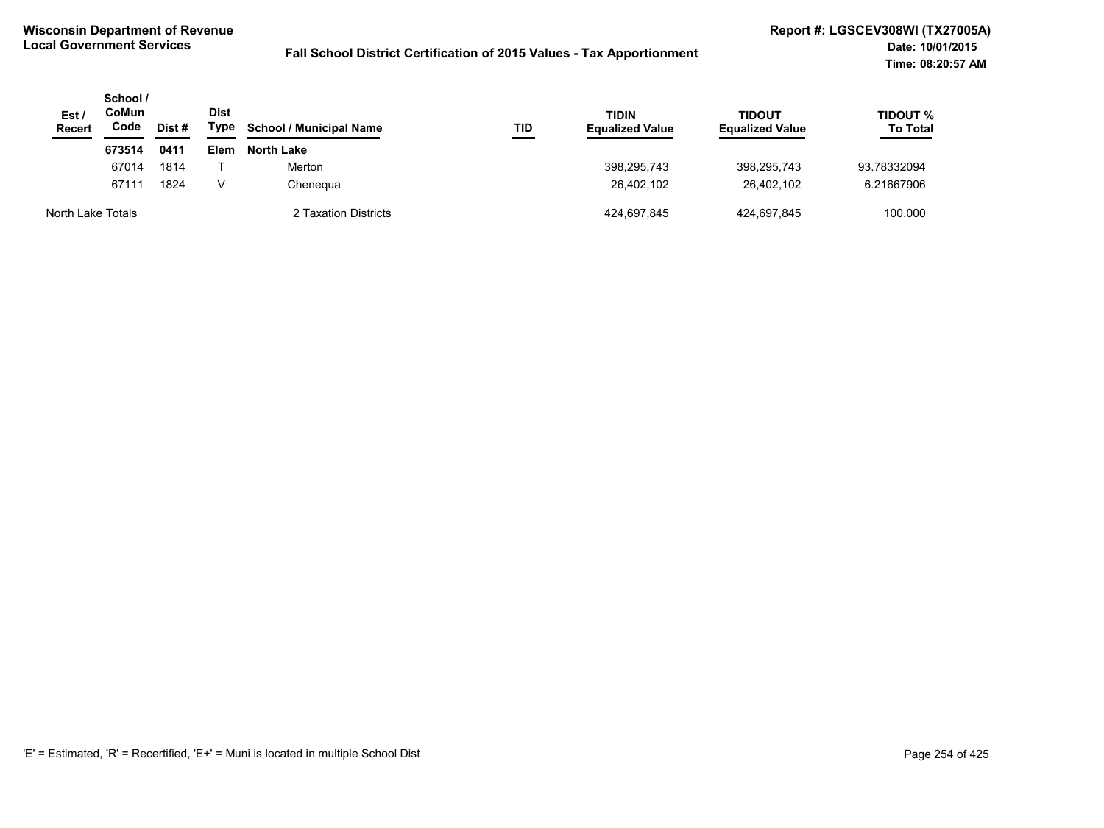| Est/<br>Recert    | School /<br>CoMun<br>Code<br>Dist# |      | Dist<br>Type | <b>School / Municipal Name</b> | TID | <b>TIDIN</b><br><b>Equalized Value</b> | <b>TIDOUT</b><br><b>Equalized Value</b> | TIDOUT %<br><b>To Total</b> |
|-------------------|------------------------------------|------|--------------|--------------------------------|-----|----------------------------------------|-----------------------------------------|-----------------------------|
|                   | 673514                             | 0411 | Elem         | <b>North Lake</b>              |     |                                        |                                         |                             |
|                   | 67014                              | 1814 |              | Merton                         |     | 398.295.743                            | 398.295.743                             | 93.78332094                 |
|                   | 67111                              | 1824 | v            | Chenegua                       |     | 26,402,102                             | 26.402.102                              | 6.21667906                  |
| North Lake Totals |                                    |      |              | 2 Taxation Districts           |     | 424.697.845                            | 424.697.845                             | 100.000                     |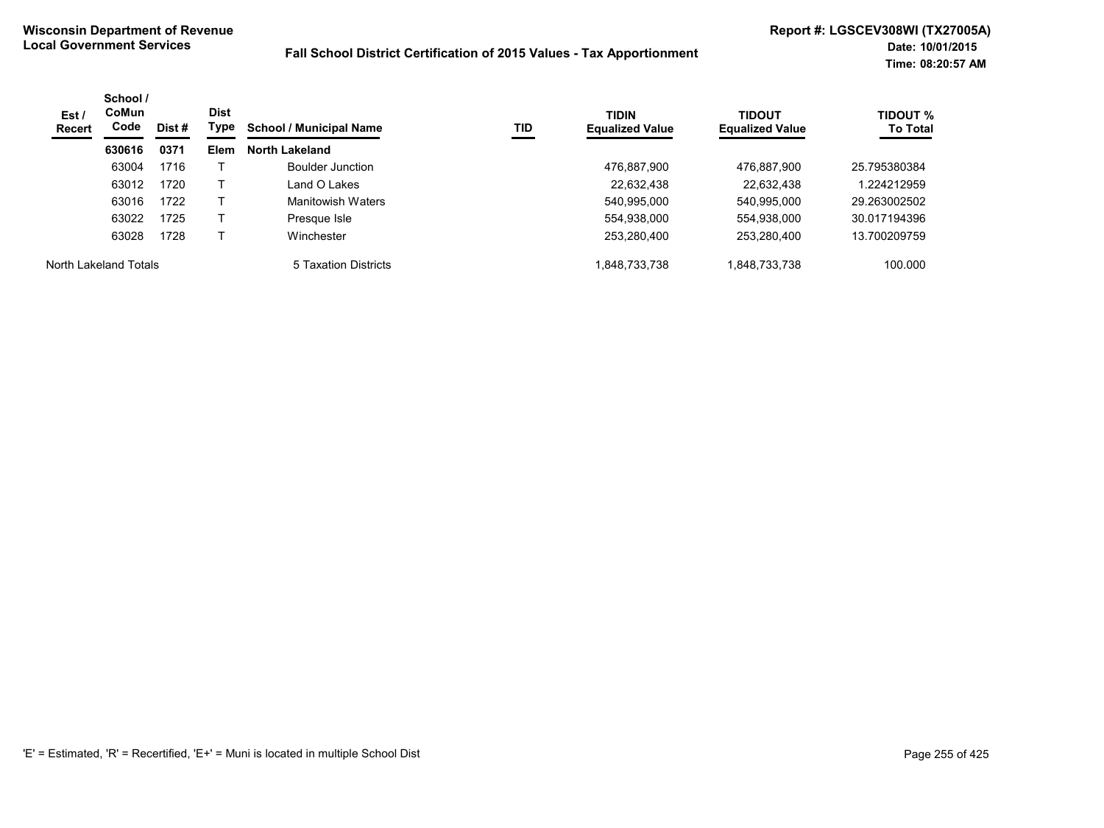| Est/<br>Recert        | School /<br><b>CoMun</b><br>Code | Dist # | <b>Dist</b><br>Type | <b>School / Municipal Name</b> | TID | <b>TIDIN</b><br><b>Equalized Value</b> | <b>TIDOUT</b><br><b>Equalized Value</b> | <b>TIDOUT %</b><br><b>To Total</b> |
|-----------------------|----------------------------------|--------|---------------------|--------------------------------|-----|----------------------------------------|-----------------------------------------|------------------------------------|
|                       | 630616                           | 0371   | Elem                | <b>North Lakeland</b>          |     |                                        |                                         |                                    |
|                       | 63004                            | 1716   |                     | Boulder Junction               |     | 476.887.900                            | 476,887,900                             | 25.795380384                       |
|                       | 63012                            | 1720   |                     | Land O Lakes                   |     | 22,632,438                             | 22,632,438                              | 1.224212959                        |
|                       | 63016                            | 1722   |                     | Manitowish Waters              |     | 540,995,000                            | 540,995,000                             | 29.263002502                       |
|                       | 63022                            | 1725   |                     | Presque Isle                   |     | 554.938.000                            | 554,938,000                             | 30.017194396                       |
|                       | 63028                            | 1728   |                     | Winchester                     |     | 253,280,400                            | 253,280,400                             | 13.700209759                       |
| North Lakeland Totals |                                  |        |                     | 5 Taxation Districts           |     | 1,848,733,738                          | 1,848,733,738                           | 100.000                            |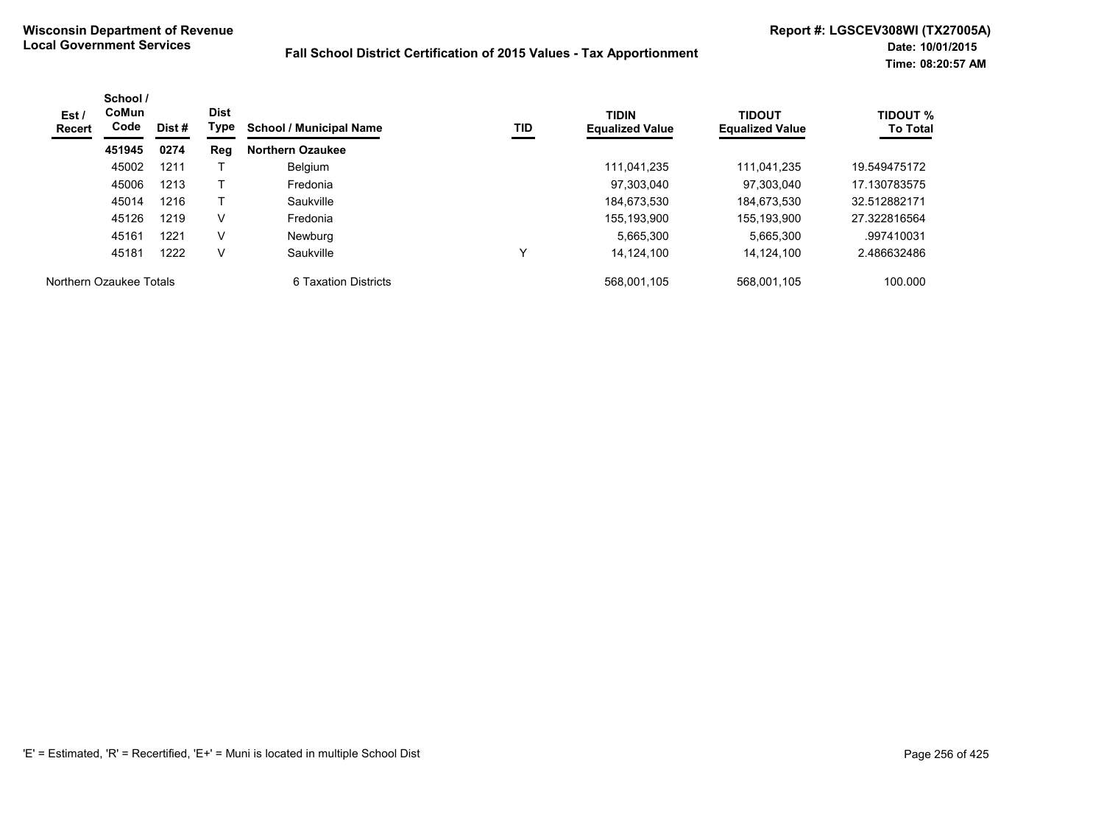| Est /<br><b>Recert</b>  | School /<br>CoMun<br>Code | Dist # | <b>Dist</b><br>Type | <b>School / Municipal Name</b> | TID | <b>TIDIN</b><br><b>Equalized Value</b> | <b>TIDOUT</b><br><b>Equalized Value</b> | <b>TIDOUT %</b><br><b>To Total</b> |
|-------------------------|---------------------------|--------|---------------------|--------------------------------|-----|----------------------------------------|-----------------------------------------|------------------------------------|
|                         | 451945                    | 0274   | Reg                 | <b>Northern Ozaukee</b>        |     |                                        |                                         |                                    |
|                         | 45002                     | 1211   |                     | Belgium                        |     | 111.041.235                            | 111.041.235                             | 19.549475172                       |
|                         | 45006                     | 1213   |                     | Fredonia                       |     | 97.303.040                             | 97.303.040                              | 17.130783575                       |
|                         | 45014                     | 1216   |                     | Saukville                      |     | 184,673,530                            | 184,673,530                             | 32.512882171                       |
|                         | 45126                     | 1219   | v                   | Fredonia                       |     | 155,193,900                            | 155.193.900                             | 27.322816564                       |
|                         | 45161                     | 1221   | $\vee$              | Newburg                        |     | 5.665.300                              | 5,665,300                               | .997410031                         |
|                         | 45181                     | 1222   | v                   | Saukville                      | v   | 14.124.100                             | 14.124.100                              | 2.486632486                        |
| Northern Ozaukee Totals |                           |        |                     | 6 Taxation Districts           |     | 568.001.105                            | 568.001.105                             | 100.000                            |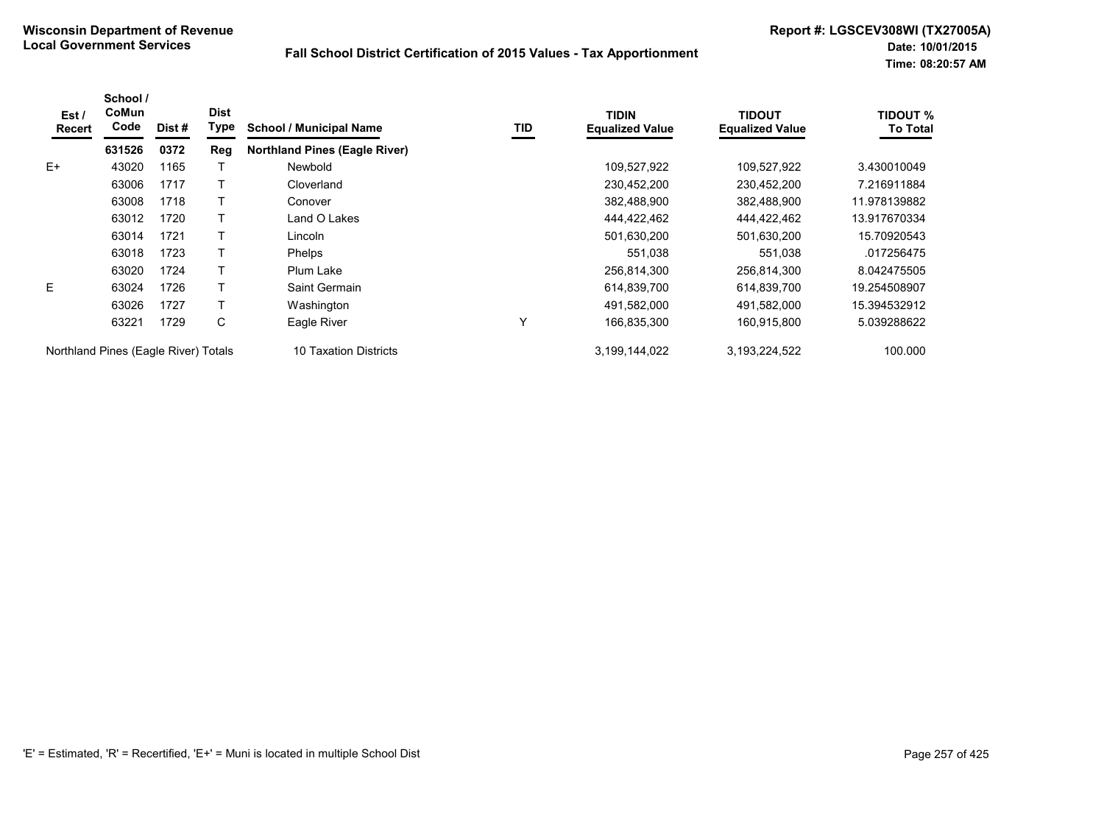| Est /<br><b>Recert</b>               | School /<br><b>CoMun</b><br>Code | Dist # | <b>Dist</b><br>Type | <b>School / Municipal Name</b>       | TID | <b>TIDIN</b><br><b>Equalized Value</b> | <b>TIDOUT</b><br><b>Equalized Value</b> | <b>TIDOUT %</b><br><b>To Total</b> |
|--------------------------------------|----------------------------------|--------|---------------------|--------------------------------------|-----|----------------------------------------|-----------------------------------------|------------------------------------|
|                                      | 631526                           | 0372   | Reg                 | <b>Northland Pines (Eagle River)</b> |     |                                        |                                         |                                    |
| $E+$                                 | 43020                            | 1165   |                     | Newbold                              |     | 109,527,922                            | 109,527,922                             | 3.430010049                        |
|                                      | 63006                            | 1717   |                     | Cloverland                           |     | 230,452,200                            | 230,452,200                             | 7.216911884                        |
|                                      | 63008                            | 1718   |                     | Conover                              |     | 382,488,900                            | 382,488,900                             | 11.978139882                       |
|                                      | 63012                            | 1720   |                     | Land O Lakes                         |     | 444,422,462                            | 444,422,462                             | 13.917670334                       |
|                                      | 63014                            | 1721   |                     | Lincoln                              |     | 501,630,200                            | 501,630,200                             | 15.70920543                        |
|                                      | 63018                            | 1723   |                     | <b>Phelps</b>                        |     | 551,038                                | 551,038                                 | .017256475                         |
|                                      | 63020                            | 1724   |                     | Plum Lake                            |     | 256,814,300                            | 256,814,300                             | 8.042475505                        |
| E.                                   | 63024                            | 1726   |                     | Saint Germain                        |     | 614,839,700                            | 614,839,700                             | 19.254508907                       |
|                                      | 63026                            | 1727   |                     | Washington                           |     | 491,582,000                            | 491,582,000                             | 15.394532912                       |
|                                      | 63221                            | 1729   | С                   | Eagle River                          | Y   | 166,835,300                            | 160,915,800                             | 5.039288622                        |
| Northland Pines (Eagle River) Totals |                                  |        |                     | <b>Taxation Districts</b><br>10      |     | 3,199,144,022                          | 3,193,224,522                           | 100.000                            |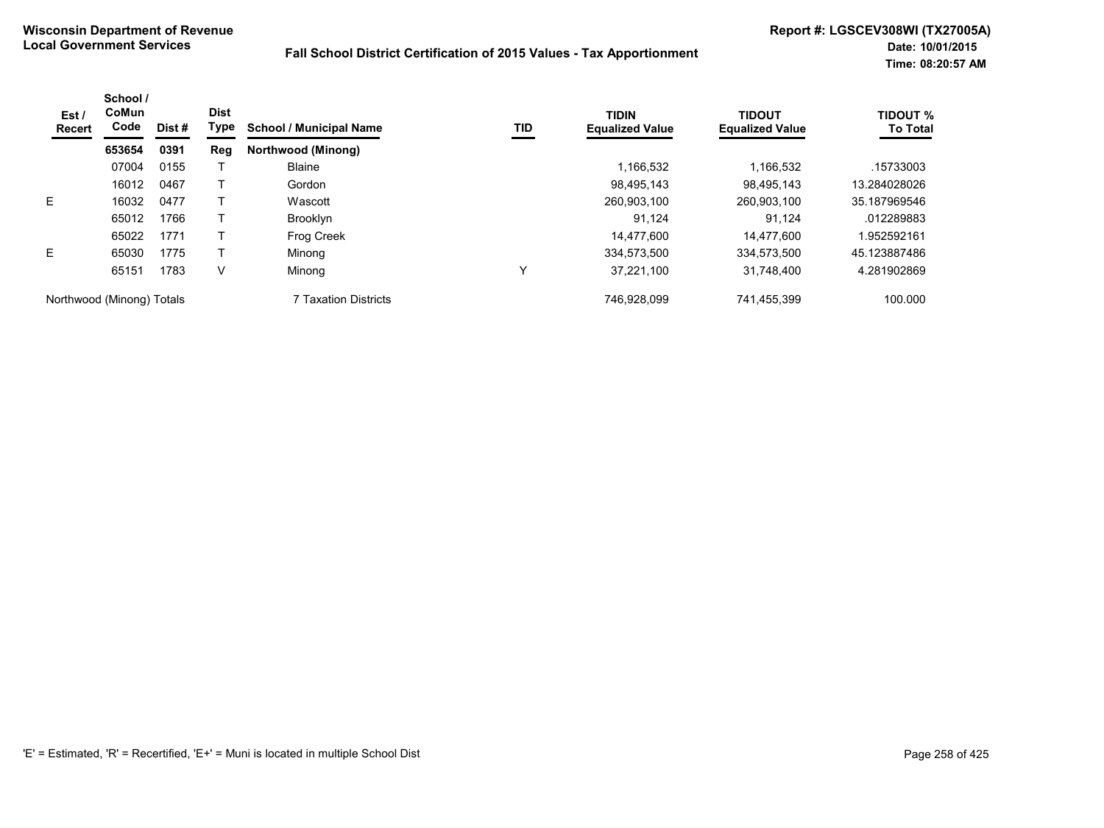| Est /<br>Recert           | School /<br>CoMun<br>Code | Dist# | <b>Dist</b><br>Type | <b>School / Municipal Name</b> | TID | <b>TIDIN</b><br><b>Equalized Value</b> | <b>TIDOUT</b><br><b>Equalized Value</b> | <b>TIDOUT %</b><br><b>To Total</b> |
|---------------------------|---------------------------|-------|---------------------|--------------------------------|-----|----------------------------------------|-----------------------------------------|------------------------------------|
|                           | 653654                    | 0391  | Reg                 | Northwood (Minong)             |     |                                        |                                         |                                    |
|                           | 07004                     | 0155  |                     | <b>Blaine</b>                  |     | 1,166,532                              | 1,166,532                               | .15733003                          |
|                           | 16012                     | 0467  |                     | Gordon                         |     | 98.495.143                             | 98.495.143                              | 13.284028026                       |
| E.                        | 16032                     | 0477  |                     | Wascott                        |     | 260,903,100                            | 260,903,100                             | 35.187969546                       |
|                           | 65012                     | 1766  |                     | <b>Brooklyn</b>                |     | 91.124                                 | 91.124                                  | .012289883                         |
|                           | 65022                     | 1771  |                     | Frog Creek                     |     | 14,477,600                             | 14,477,600                              | 1.952592161                        |
| E.                        | 65030                     | 1775  |                     | Minong                         |     | 334.573.500                            | 334,573,500                             | 45.123887486                       |
|                           | 65151                     | 1783  | V                   | Minong                         | Υ   | 37.221.100                             | 31,748,400                              | 4.281902869                        |
| Northwood (Minong) Totals |                           |       |                     | 7 Taxation Districts           |     | 746.928.099                            | 741,455,399                             | 100.000                            |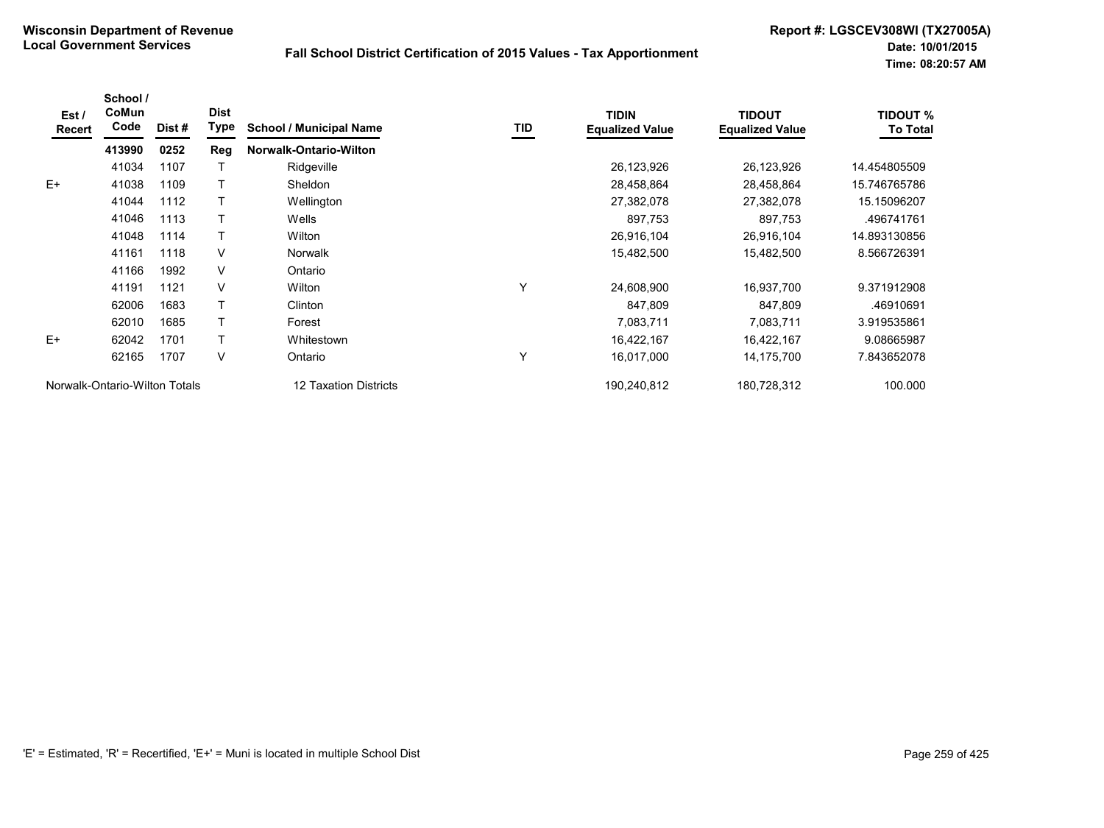| Est /<br>Recert | School /<br>CoMun<br>Code     | Dist # | <b>Dist</b><br><b>Type</b> | <b>School / Municipal Name</b> | TID | <b>TIDIN</b><br><b>Equalized Value</b> | <b>TIDOUT</b><br><b>Equalized Value</b> | <b>TIDOUT %</b><br><b>To Total</b> |
|-----------------|-------------------------------|--------|----------------------------|--------------------------------|-----|----------------------------------------|-----------------------------------------|------------------------------------|
|                 | 413990                        | 0252   | Reg                        | Norwalk-Ontario-Wilton         |     |                                        |                                         |                                    |
|                 | 41034                         | 1107   |                            | Ridgeville                     |     | 26,123,926                             | 26,123,926                              | 14.454805509                       |
| $E+$            | 41038                         | 1109   |                            | Sheldon                        |     | 28,458,864                             | 28,458,864                              | 15.746765786                       |
|                 | 41044                         | 1112   |                            | Wellington                     |     | 27,382,078                             | 27,382,078                              | 15.15096207                        |
|                 | 41046                         | 1113   |                            | Wells                          |     | 897,753                                | 897,753                                 | .496741761                         |
|                 | 41048                         | 1114   |                            | Wilton                         |     | 26,916,104                             | 26,916,104                              | 14.893130856                       |
|                 | 41161                         | 1118   | V                          | Norwalk                        |     | 15,482,500                             | 15,482,500                              | 8.566726391                        |
|                 | 41166                         | 1992   | V                          | Ontario                        |     |                                        |                                         |                                    |
|                 | 41191                         | 1121   | $\vee$                     | Wilton                         | Υ   | 24,608,900                             | 16,937,700                              | 9.371912908                        |
|                 | 62006                         | 1683   |                            | Clinton                        |     | 847,809                                | 847,809                                 | .46910691                          |
|                 | 62010                         | 1685   |                            | Forest                         |     | 7,083,711                              | 7,083,711                               | 3.919535861                        |
| $E+$            | 62042                         | 1701   |                            | Whitestown                     |     | 16,422,167                             | 16,422,167                              | 9.08665987                         |
|                 | 62165                         | 1707   | V                          | Ontario                        | Υ   | 16,017,000                             | 14,175,700                              | 7.843652078                        |
|                 | Norwalk-Ontario-Wilton Totals |        |                            | 12 Taxation Districts          |     | 190,240,812                            | 180,728,312                             | 100.000                            |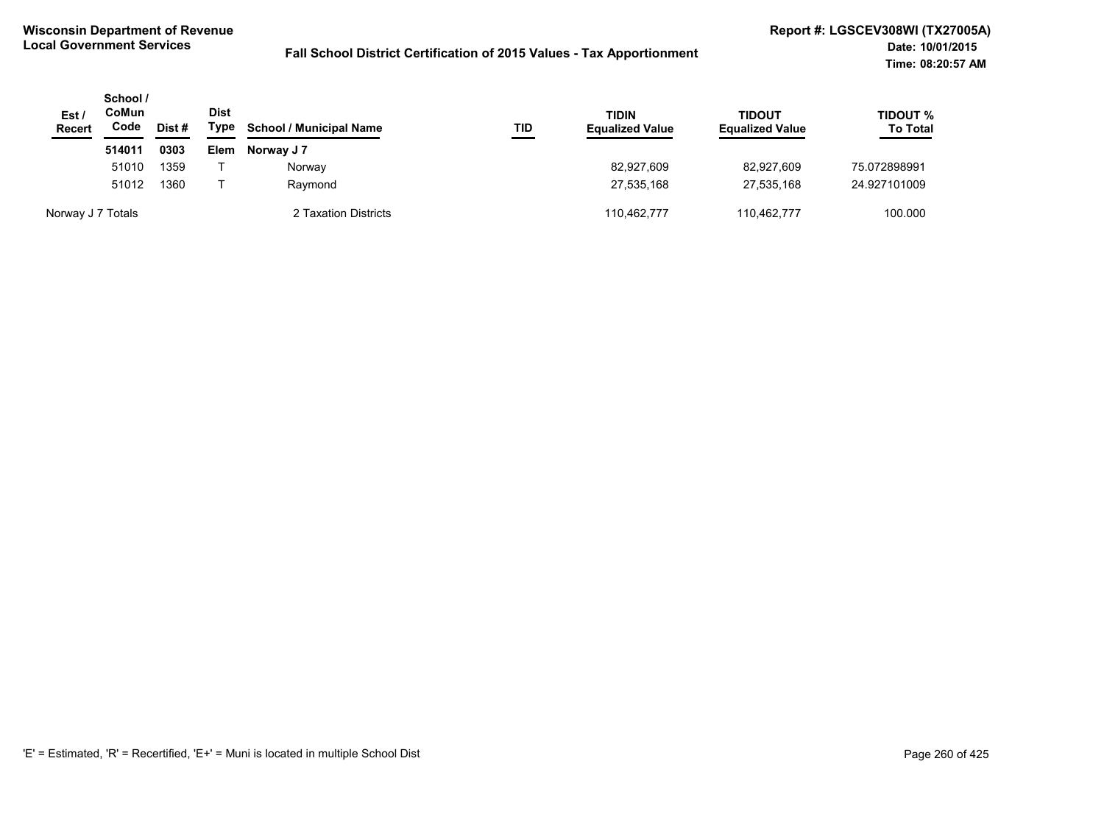| Est/<br><b>Recert</b> | School /<br>CoMun<br>Code<br>Dist # |      | <b>Dist</b><br>Type | <b>School / Municipal Name</b> | TID | <b>TIDIN</b><br><b>Equalized Value</b> | <b>TIDOUT</b><br><b>Equalized Value</b> | TIDOUT %<br><b>To Total</b> |
|-----------------------|-------------------------------------|------|---------------------|--------------------------------|-----|----------------------------------------|-----------------------------------------|-----------------------------|
|                       | 514011                              | 0303 | <b>Elem</b>         | Norway J 7                     |     |                                        |                                         |                             |
|                       | 51010                               | 1359 |                     | Norway                         |     | 82,927,609                             | 82.927.609                              | 75.072898991                |
|                       | 51012                               | 1360 |                     | Raymond                        |     | 27,535,168                             | 27.535.168                              | 24.927101009                |
| Norway J 7 Totals     |                                     |      |                     | 2 Taxation Districts           |     | 110.462.777                            | 110.462.777                             | 100.000                     |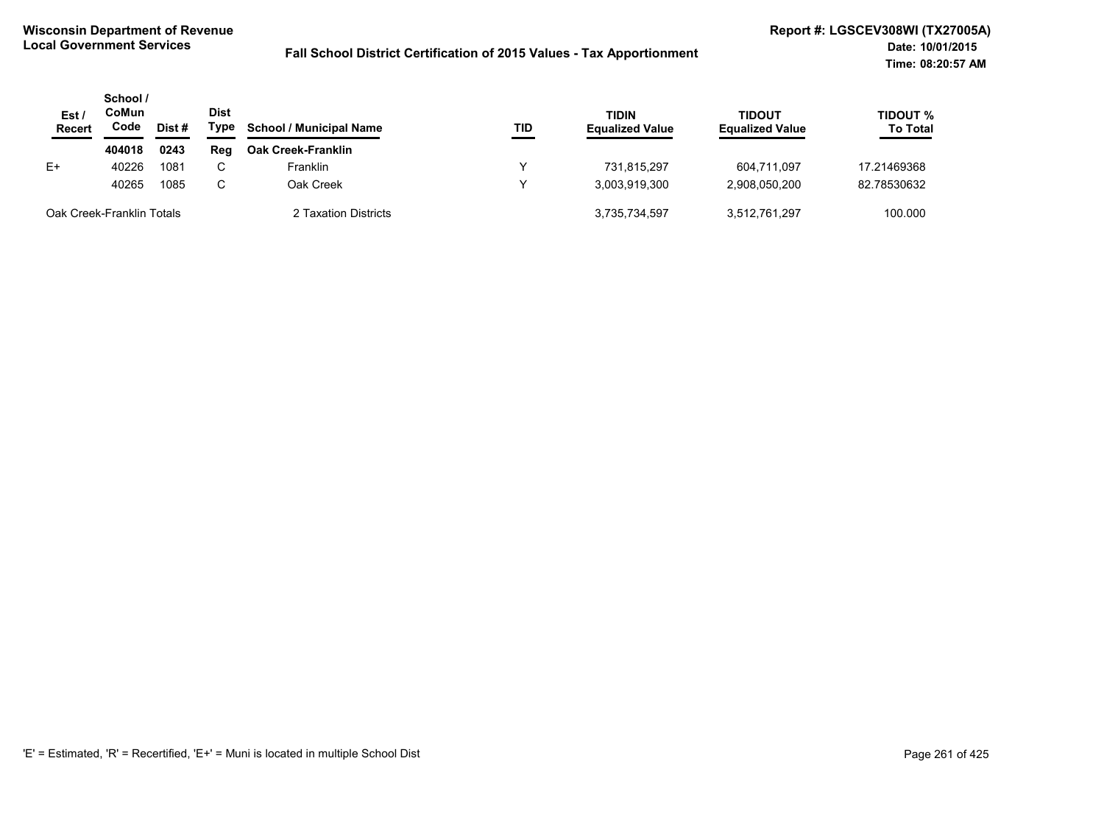| Est/<br>Recert            | School /<br>CoMun<br>Code | Dist #               | <b>Dist</b><br>Type | <b>School / Municipal Name</b> | TID           | TIDIN<br><b>Equalized Value</b> | <b>TIDOUT</b><br><b>Equalized Value</b> | TIDOUT %<br><b>To Total</b> |
|---------------------------|---------------------------|----------------------|---------------------|--------------------------------|---------------|---------------------------------|-----------------------------------------|-----------------------------|
|                           | 404018                    | 0243                 | Rea                 | <b>Oak Creek-Franklin</b>      |               |                                 |                                         |                             |
| E+                        | 40226                     | 1081                 | C.                  | <b>Franklin</b>                | ◡             | 731.815.297                     | 604.711.097                             | 17.21469368                 |
|                           | 40265                     | 1085                 | C.                  | Oak Creek                      | v             | 3.003.919.300                   | 2.908.050.200                           | 82.78530632                 |
| Oak Creek-Franklin Totals |                           | 2 Taxation Districts |                     | 3,735,734,597                  | 3.512.761.297 | 100.000                         |                                         |                             |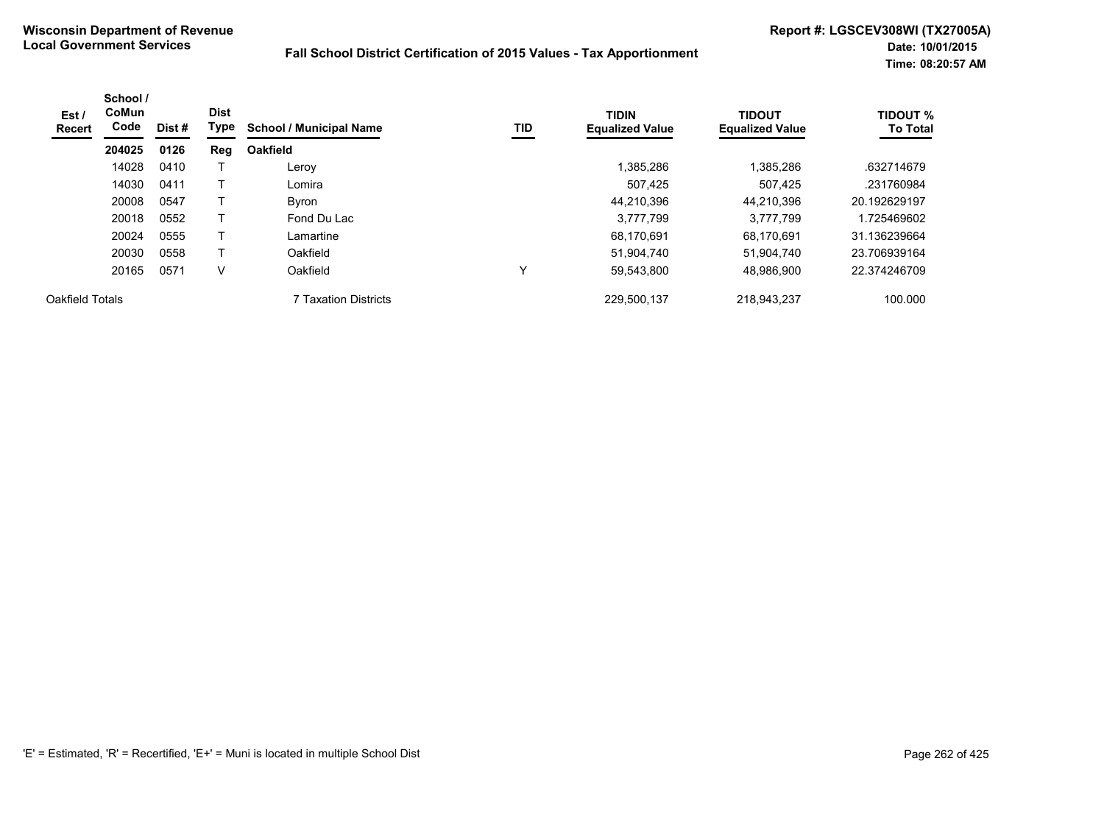| Est /<br><b>Recert</b> | School /<br>CoMun<br>Code | Dist # | <b>Dist</b><br>Type | <b>School / Municipal Name</b> | TID | <b>TIDIN</b><br><b>Equalized Value</b> | <b>TIDOUT</b><br><b>Equalized Value</b> | <b>TIDOUT %</b><br><b>To Total</b> |
|------------------------|---------------------------|--------|---------------------|--------------------------------|-----|----------------------------------------|-----------------------------------------|------------------------------------|
|                        | 204025                    | 0126   | Reg                 | <b>Oakfield</b>                |     |                                        |                                         |                                    |
|                        | 14028                     | 0410   |                     | Leroy                          |     | 1,385,286                              | 1,385,286                               | .632714679                         |
|                        | 14030                     | 0411   |                     | Lomira                         |     | 507,425                                | 507,425                                 | .231760984                         |
|                        | 20008                     | 0547   |                     | <b>Byron</b>                   |     | 44,210,396                             | 44.210.396                              | 20.192629197                       |
|                        | 20018                     | 0552   |                     | Fond Du Lac                    |     | 3,777,799                              | 3,777,799                               | 1.725469602                        |
|                        | 20024                     | 0555   |                     | Lamartine                      |     | 68.170.691                             | 68.170.691                              | 31.136239664                       |
|                        | 20030                     | 0558   |                     | Oakfield                       |     | 51,904,740                             | 51,904,740                              | 23.706939164                       |
|                        | 20165                     | 0571   | ٧                   | Oakfield                       | v   | 59,543,800                             | 48.986.900                              | 22.374246709                       |
| Oakfield Totals        |                           |        |                     | <b>7 Taxation Districts</b>    |     | 229,500,137                            | 218,943,237                             | 100.000                            |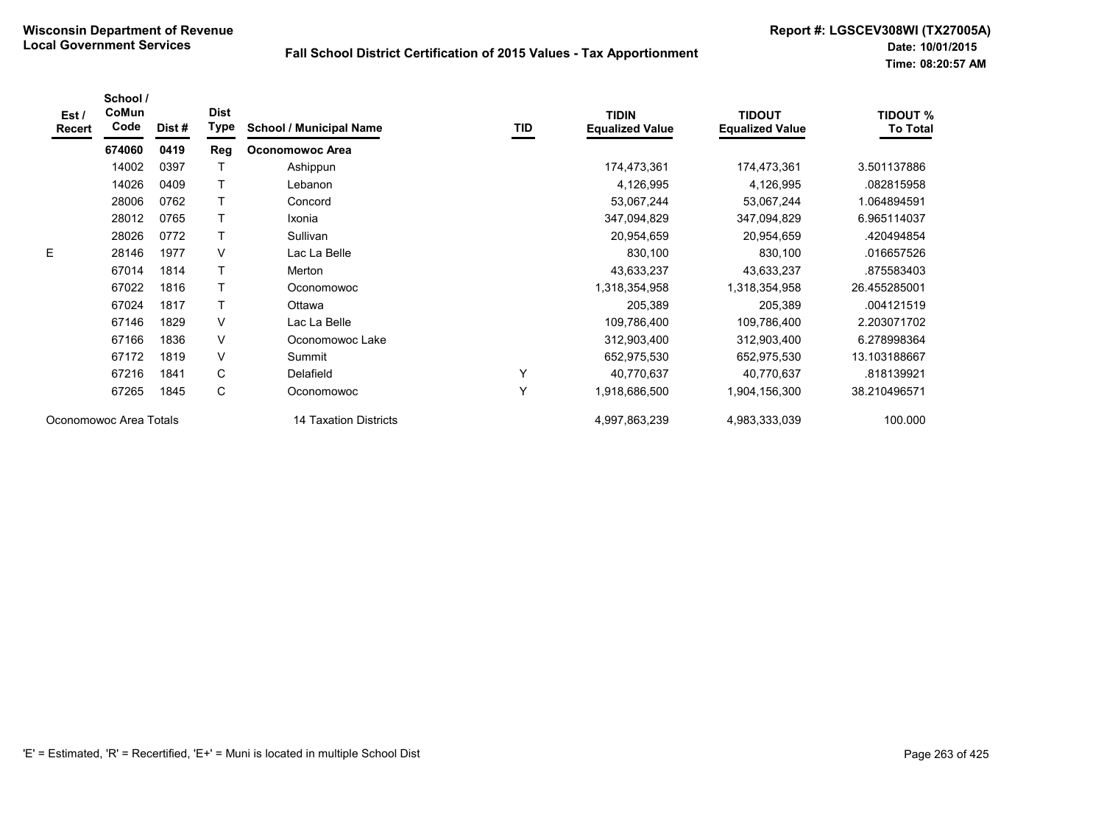| Est/<br><b>Recert</b>  | School /<br>CoMun<br>Code | Dist# | <b>Dist</b><br>Type | <b>School / Municipal Name</b> | TID | <b>TIDIN</b><br><b>Equalized Value</b> | <b>TIDOUT</b><br><b>Equalized Value</b> | <b>TIDOUT %</b><br><b>To Total</b> |
|------------------------|---------------------------|-------|---------------------|--------------------------------|-----|----------------------------------------|-----------------------------------------|------------------------------------|
|                        | 674060                    | 0419  | Reg                 | <b>Oconomowoc Area</b>         |     |                                        |                                         |                                    |
|                        | 14002                     | 0397  |                     | Ashippun                       |     | 174,473,361                            | 174,473,361                             | 3.501137886                        |
|                        | 14026                     | 0409  |                     | Lebanon                        |     | 4,126,995                              | 4,126,995                               | .082815958                         |
|                        | 28006                     | 0762  |                     | Concord                        |     | 53,067,244                             | 53,067,244                              | 1.064894591                        |
|                        | 28012                     | 0765  |                     | Ixonia                         |     | 347,094,829                            | 347,094,829                             | 6.965114037                        |
|                        | 28026                     | 0772  |                     | Sullivan                       |     | 20,954,659                             | 20,954,659                              | .420494854                         |
| E                      | 28146                     | 1977  | V                   | Lac La Belle                   |     | 830,100                                | 830,100                                 | .016657526                         |
|                        | 67014                     | 1814  |                     | Merton                         |     | 43,633,237                             | 43,633,237                              | .875583403                         |
|                        | 67022                     | 1816  | $\mathsf{T}$        | Oconomowoc                     |     | 1,318,354,958                          | 1,318,354,958                           | 26.455285001                       |
|                        | 67024                     | 1817  | $\top$              | Ottawa                         |     | 205,389                                | 205,389                                 | .004121519                         |
|                        | 67146                     | 1829  | V                   | Lac La Belle                   |     | 109,786,400                            | 109,786,400                             | 2.203071702                        |
|                        | 67166                     | 1836  | V                   | Oconomowoc Lake                |     | 312,903,400                            | 312,903,400                             | 6.278998364                        |
|                        | 67172                     | 1819  | $\vee$              | Summit                         |     | 652,975,530                            | 652,975,530                             | 13.103188667                       |
|                        | 67216                     | 1841  | C                   | Delafield                      | Υ   | 40,770,637                             | 40,770,637                              | .818139921                         |
|                        | 67265                     | 1845  | C                   | Oconomowoc                     | Y   | 1,918,686,500                          | 1,904,156,300                           | 38.210496571                       |
| Oconomowoc Area Totals |                           |       |                     | 14 Taxation Districts          |     | 4,997,863,239                          | 4,983,333,039                           | 100.000                            |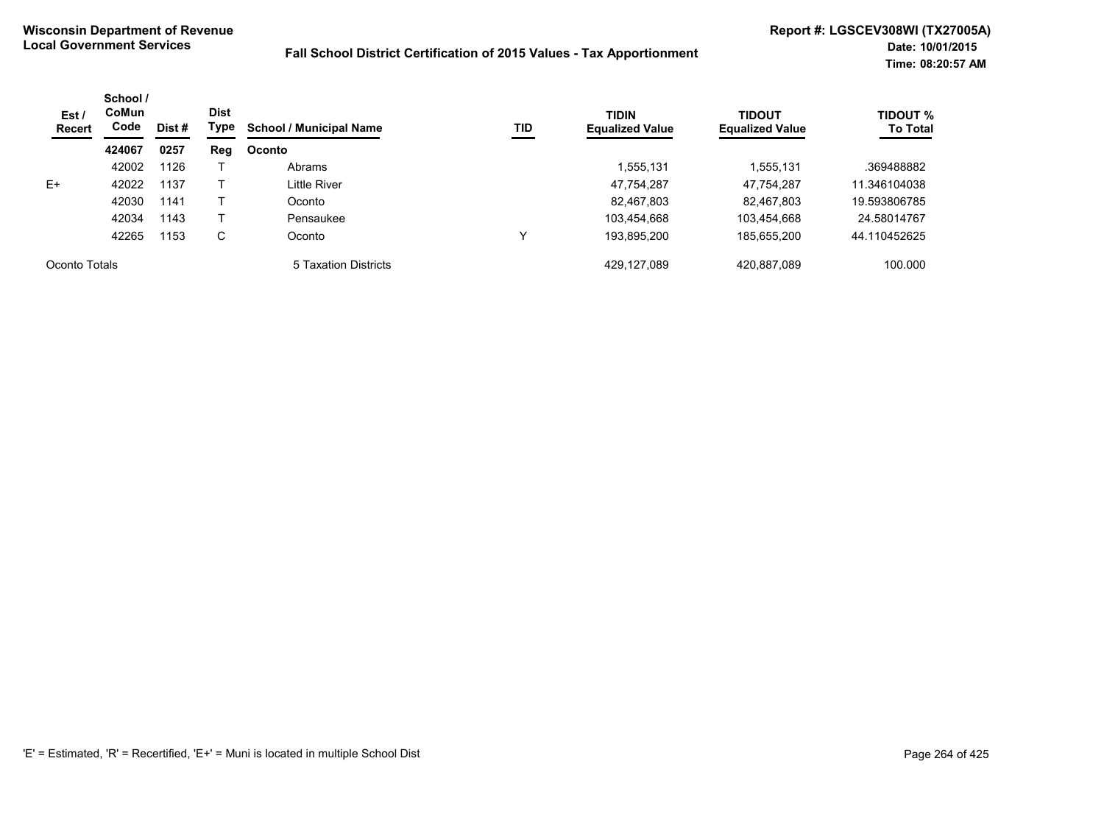| Est/<br><b>Recert</b> | School /<br><b>CoMun</b><br>Code<br>Dist # | <b>Dist</b><br>Type | TID<br><b>School / Municipal Name</b> | <b>TIDIN</b><br><b>Equalized Value</b> | <b>TIDOUT</b><br><b>Equalized Value</b> | <b>TIDOUT %</b><br><b>To Total</b> |             |              |
|-----------------------|--------------------------------------------|---------------------|---------------------------------------|----------------------------------------|-----------------------------------------|------------------------------------|-------------|--------------|
|                       | 424067                                     | 0257                | Reg                                   | <b>Oconto</b>                          |                                         |                                    |             |              |
|                       | 42002                                      | 1126                |                                       | Abrams                                 |                                         | .555,131                           | 1,555,131   | .369488882   |
| $E+$                  | 42022                                      | 1137                |                                       | Little River                           |                                         | 47,754,287                         | 47,754,287  | 11.346104038 |
|                       | 42030                                      | 1141                |                                       | Oconto                                 |                                         | 82,467,803                         | 82,467,803  | 19.593806785 |
|                       | 42034                                      | 1143                |                                       | Pensaukee                              |                                         | 103,454,668                        | 103,454,668 | 24.58014767  |
|                       | 42265                                      | 1153                | С                                     | Oconto                                 |                                         | 193,895,200                        | 185,655,200 | 44.110452625 |
| Oconto Totals         |                                            |                     |                                       | 5 Taxation Districts                   |                                         | 429,127,089                        | 420,887,089 | 100.000      |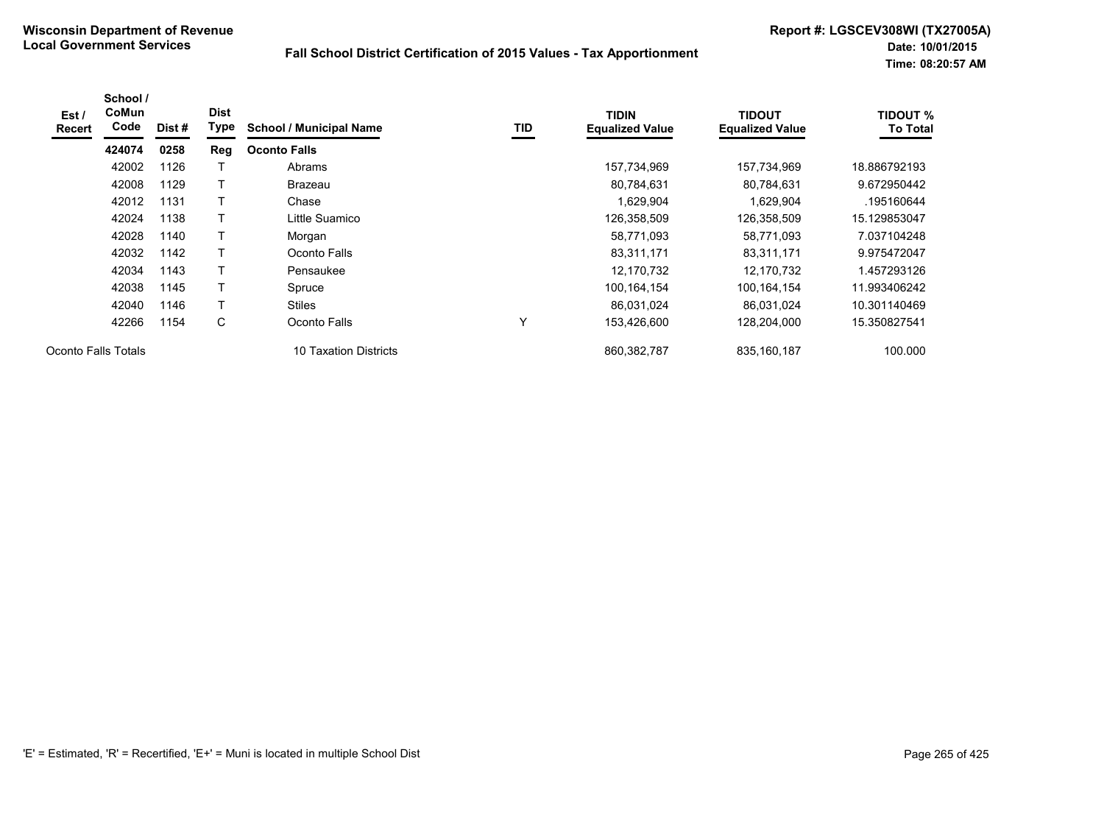| Est /<br><b>Recert</b> | School /<br><b>CoMun</b><br>Code | Dist # | <b>Dist</b><br>Type | <b>School / Municipal Name</b> | TID | <b>TIDIN</b><br><b>Equalized Value</b> | <b>TIDOUT</b><br><b>Equalized Value</b> | <b>TIDOUT %</b><br><b>To Total</b> |
|------------------------|----------------------------------|--------|---------------------|--------------------------------|-----|----------------------------------------|-----------------------------------------|------------------------------------|
|                        | 424074                           | 0258   | Reg                 | <b>Oconto Falls</b>            |     |                                        |                                         |                                    |
|                        | 42002                            | 1126   |                     | Abrams                         |     | 157,734,969                            | 157,734,969                             | 18.886792193                       |
|                        | 42008                            | 1129   | т                   | <b>Brazeau</b>                 |     | 80,784,631                             | 80,784,631                              | 9.672950442                        |
|                        | 42012                            | 1131   |                     | Chase                          |     | 1,629,904                              | 1,629,904                               | .195160644                         |
|                        | 42024                            | 1138   |                     | Little Suamico                 |     | 126,358,509                            | 126,358,509                             | 15.129853047                       |
|                        | 42028                            | 1140   | T                   | Morgan                         |     | 58,771,093                             | 58,771,093                              | 7.037104248                        |
|                        | 42032                            | 1142   | т                   | Oconto Falls                   |     | 83,311,171                             | 83,311,171                              | 9.975472047                        |
|                        | 42034                            | 1143   | т                   | Pensaukee                      |     | 12,170,732                             | 12,170,732                              | 1.457293126                        |
|                        | 42038                            | 1145   | T                   | Spruce                         |     | 100.164.154                            | 100.164.154                             | 11.993406242                       |
|                        | 42040                            | 1146   | Τ                   | <b>Stiles</b>                  |     | 86,031,024                             | 86,031,024                              | 10.301140469                       |
|                        | 42266                            | 1154   | C                   | Oconto Falls                   | Υ   | 153,426,600                            | 128,204,000                             | 15.350827541                       |
| Oconto Falls Totals    |                                  |        |                     | 10 Taxation Districts          |     | 860,382,787                            | 835,160,187                             | 100.000                            |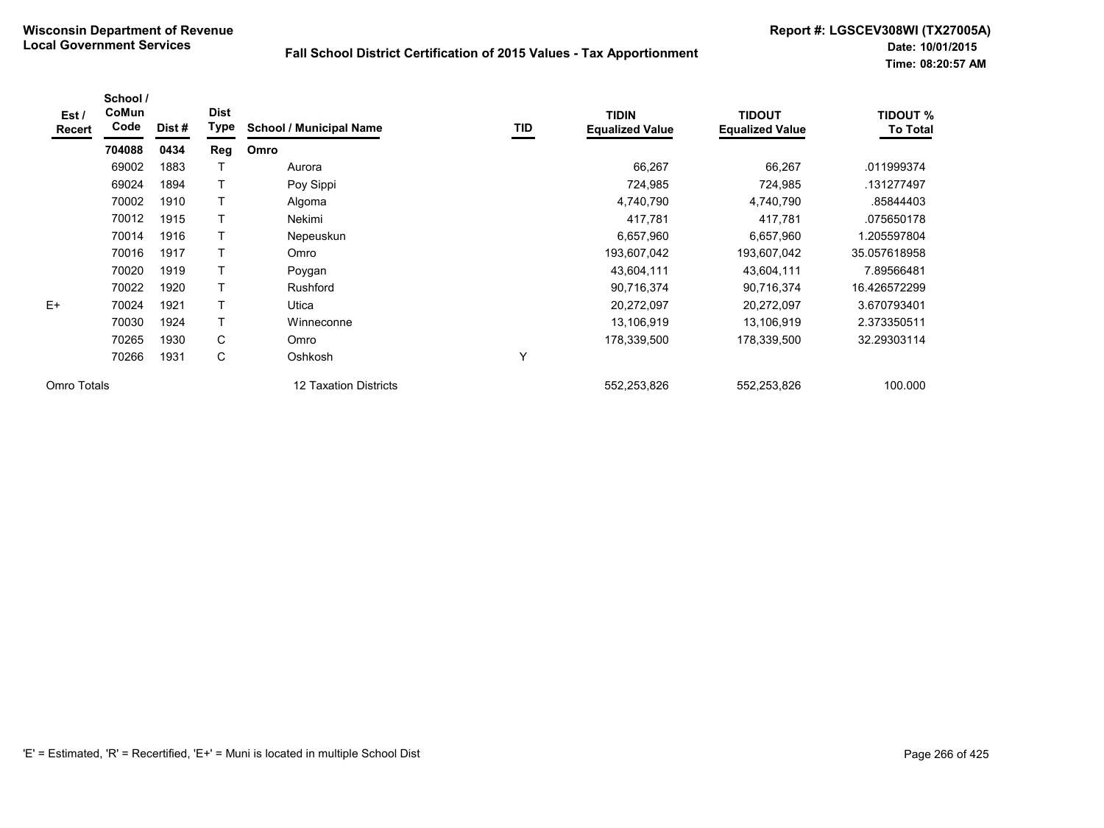| Est /<br><b>Recert</b> | School /<br>CoMun<br>Code | Dist # | <b>Dist</b><br><b>Type</b> | <b>School / Municipal Name</b> | TID | <b>TIDIN</b><br><b>Equalized Value</b> | <b>TIDOUT</b><br><b>Equalized Value</b> | <b>TIDOUT %</b><br><b>To Total</b> |
|------------------------|---------------------------|--------|----------------------------|--------------------------------|-----|----------------------------------------|-----------------------------------------|------------------------------------|
|                        | 704088                    | 0434   | Reg                        | Omro                           |     |                                        |                                         |                                    |
|                        | 69002                     | 1883   |                            | Aurora                         |     | 66,267                                 | 66,267                                  | .011999374                         |
|                        | 69024                     | 1894   | T                          | Poy Sippi                      |     | 724,985                                | 724,985                                 | .131277497                         |
|                        | 70002                     | 1910   | T                          | Algoma                         |     | 4,740,790                              | 4,740,790                               | .85844403                          |
|                        | 70012                     | 1915   | T                          | Nekimi                         |     | 417,781                                | 417,781                                 | .075650178                         |
|                        | 70014                     | 1916   | $\top$                     | Nepeuskun                      |     | 6,657,960                              | 6,657,960                               | 1.205597804                        |
|                        | 70016                     | 1917   | T                          | Omro                           |     | 193,607,042                            | 193,607,042                             | 35.057618958                       |
|                        | 70020                     | 1919   | T                          | Poygan                         |     | 43,604,111                             | 43,604,111                              | 7.89566481                         |
|                        | 70022                     | 1920   | T                          | <b>Rushford</b>                |     | 90,716,374                             | 90,716,374                              | 16.426572299                       |
| $E+$                   | 70024                     | 1921   | Т                          | Utica                          |     | 20,272,097                             | 20,272,097                              | 3.670793401                        |
|                        | 70030                     | 1924   | Т                          | Winneconne                     |     | 13,106,919                             | 13,106,919                              | 2.373350511                        |
|                        | 70265                     | 1930   | C                          | Omro                           |     | 178,339,500                            | 178,339,500                             | 32.29303114                        |
|                        | 70266                     | 1931   | C                          | Oshkosh                        | Υ   |                                        |                                         |                                    |
| Omro Totals            |                           |        |                            | 12 Taxation Districts          |     | 552,253,826                            | 552,253,826                             | 100.000                            |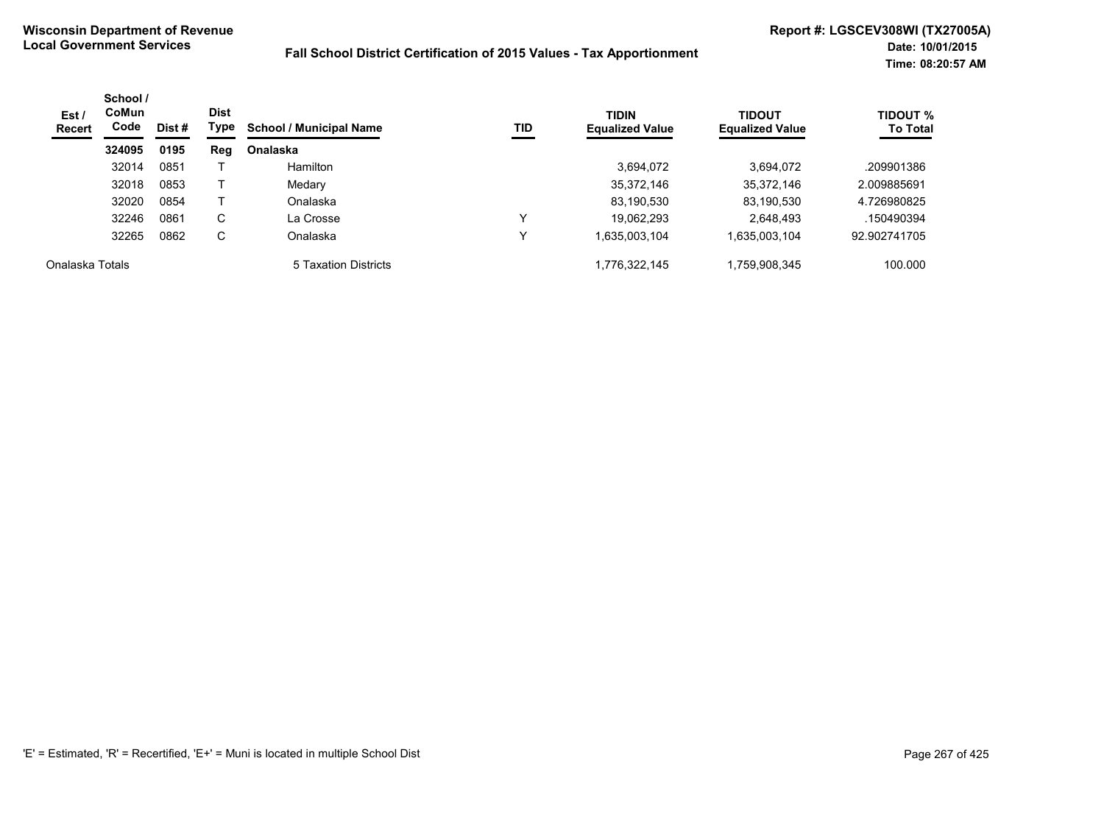| Est/<br><b>Recert</b> | School /<br><b>CoMun</b><br>Code | Dist # | <b>Dist</b><br>Type | TID<br><b>School / Municipal Name</b> | <b>TIDIN</b><br><b>Equalized Value</b> | <b>TIDOUT</b><br><b>Equalized Value</b> | <b>TIDOUT %</b><br><b>To Total</b> |              |
|-----------------------|----------------------------------|--------|---------------------|---------------------------------------|----------------------------------------|-----------------------------------------|------------------------------------|--------------|
|                       | 324095                           | 0195   | Reg                 | <b>Onalaska</b>                       |                                        |                                         |                                    |              |
|                       | 32014                            | 0851   |                     | <b>Hamilton</b>                       |                                        | 3,694,072                               | 3.694.072                          | .209901386   |
|                       | 32018                            | 0853   |                     | Medary                                |                                        | 35,372,146                              | 35,372,146                         | 2.009885691  |
|                       | 32020                            | 0854   |                     | Onalaska                              |                                        | 83,190,530                              | 83,190,530                         | 4.726980825  |
|                       | 32246                            | 0861   | C                   | La Crosse                             | v                                      | 19.062.293                              | 2,648,493                          | .150490394   |
|                       | 32265                            | 0862   | C                   | Onalaska                              | ν                                      | 1,635,003,104                           | 1,635,003,104                      | 92.902741705 |
| Onalaska Totals       |                                  |        |                     | 5 Taxation Districts                  |                                        | 1,776,322,145                           | 1,759,908,345                      | 100.000      |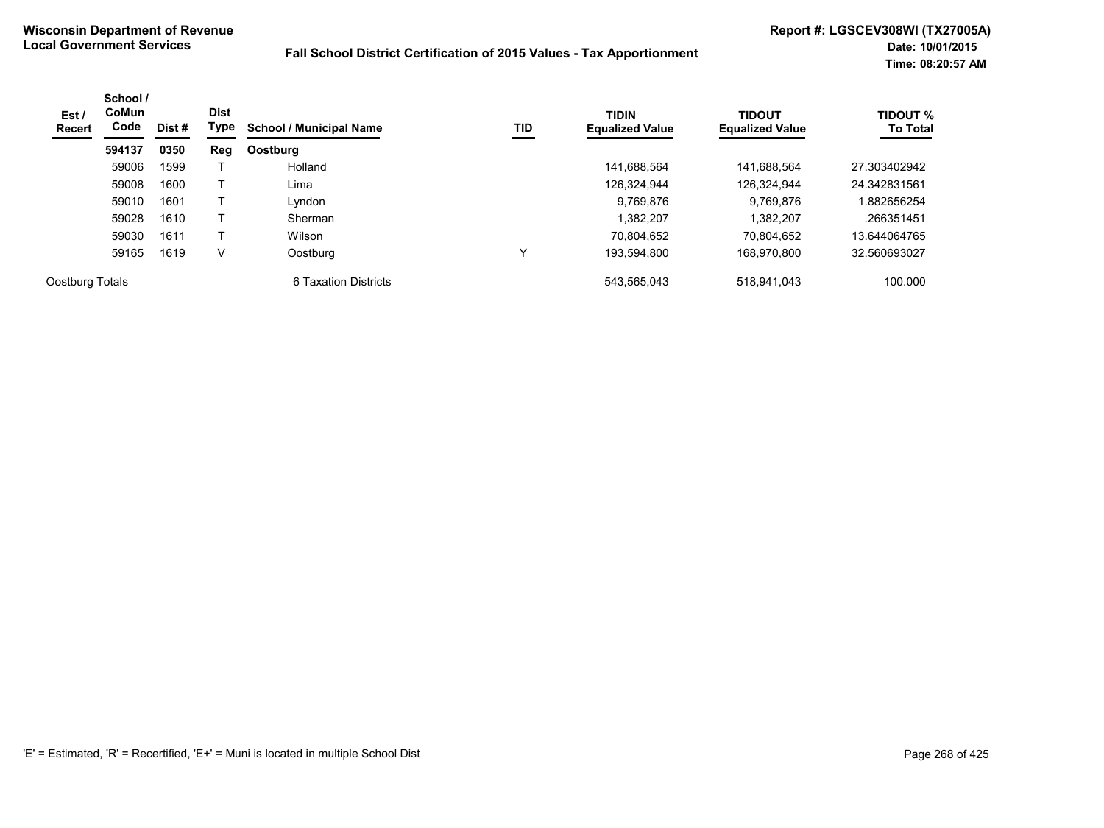| Est /<br><b>Recert</b> | School /<br><b>CoMun</b><br>Code | Dist # | <b>Dist</b><br>Type | <b>School / Municipal Name</b> | TID | <b>TIDIN</b><br><b>Equalized Value</b> | <b>TIDOUT</b><br><b>Equalized Value</b> | <b>TIDOUT %</b><br><b>To Total</b> |
|------------------------|----------------------------------|--------|---------------------|--------------------------------|-----|----------------------------------------|-----------------------------------------|------------------------------------|
|                        | 594137                           | 0350   | Reg                 | Oostburg                       |     |                                        |                                         |                                    |
|                        | 59006                            | 1599   |                     | Holland                        |     | 141,688,564                            | 141,688,564                             | 27.303402942                       |
|                        | 59008                            | 1600   |                     | Lima                           |     | 126,324,944                            | 126,324,944                             | 24.342831561                       |
|                        | 59010                            | 1601   |                     | Lyndon                         |     | 9,769,876                              | 9.769.876                               | .882656254                         |
|                        | 59028                            | 1610   |                     | Sherman                        |     | 1,382,207                              | 1.382.207                               | .266351451                         |
|                        | 59030                            | 1611   |                     | Wilson                         |     | 70.804.652                             | 70.804.652                              | 13.644064765                       |
|                        | 59165                            | 1619   | V                   | Oostburg                       |     | 193.594.800                            | 168.970.800                             | 32.560693027                       |
| Oostburg Totals        |                                  |        |                     | 6 Taxation Districts           |     | 543,565,043                            | 518,941,043                             | 100.000                            |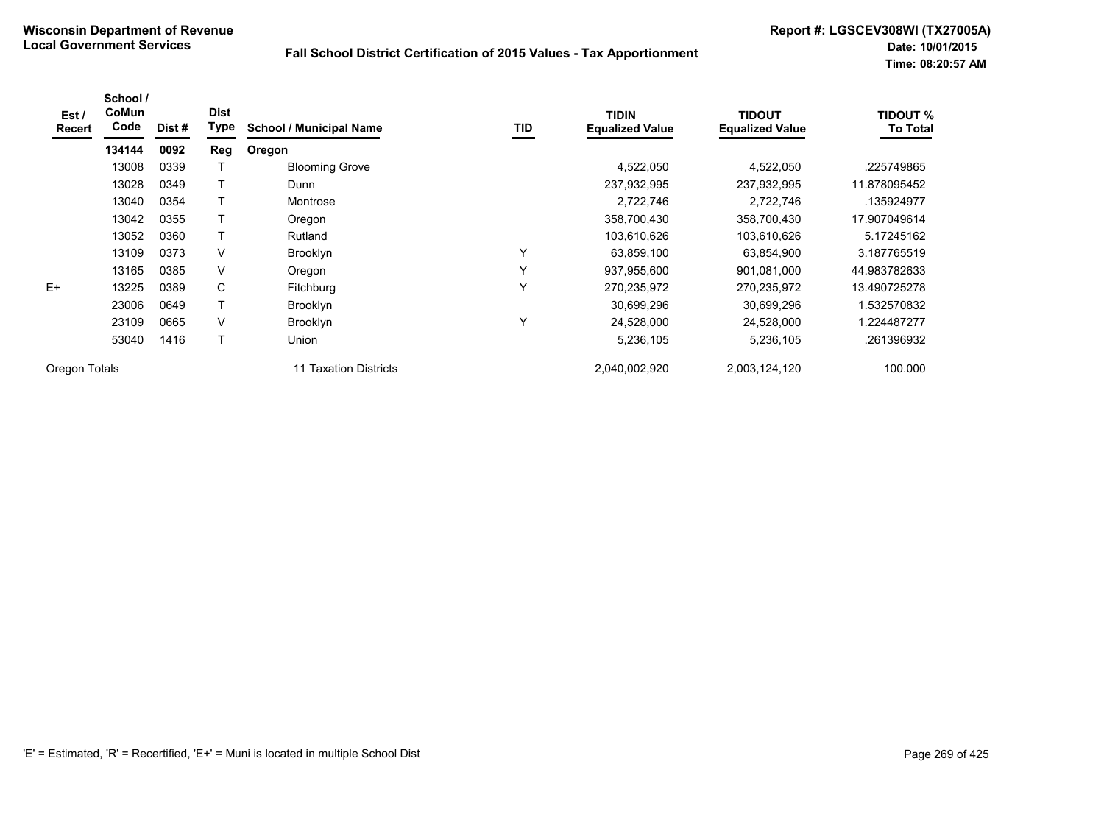| Est /<br>Recert | School /<br>CoMun<br>Code | Dist # | <b>Dist</b><br>Type | <b>School / Municipal Name</b> | TID | <b>TIDIN</b><br><b>Equalized Value</b> | <b>TIDOUT</b><br><b>Equalized Value</b> | <b>TIDOUT %</b><br><b>To Total</b> |
|-----------------|---------------------------|--------|---------------------|--------------------------------|-----|----------------------------------------|-----------------------------------------|------------------------------------|
|                 | 134144                    | 0092   | Reg                 | Oregon                         |     |                                        |                                         |                                    |
|                 | 13008                     | 0339   |                     | <b>Blooming Grove</b>          |     | 4,522,050                              | 4,522,050                               | .225749865                         |
|                 | 13028                     | 0349   |                     | Dunn                           |     | 237,932,995                            | 237,932,995                             | 11.878095452                       |
|                 | 13040                     | 0354   |                     | Montrose                       |     | 2,722,746                              | 2,722,746                               | .135924977                         |
|                 | 13042                     | 0355   |                     | Oregon                         |     | 358,700,430                            | 358,700,430                             | 17.907049614                       |
|                 | 13052                     | 0360   |                     | Rutland                        |     | 103,610,626                            | 103,610,626                             | 5.17245162                         |
|                 | 13109                     | 0373   | V                   | <b>Brooklyn</b>                | Y   | 63,859,100                             | 63,854,900                              | 3.187765519                        |
|                 | 13165                     | 0385   | $\vee$              | Oregon                         | Υ   | 937,955,600                            | 901,081,000                             | 44.983782633                       |
| $E+$            | 13225                     | 0389   | C                   | Fitchburg                      | Y   | 270,235,972                            | 270,235,972                             | 13.490725278                       |
|                 | 23006                     | 0649   |                     | Brooklyn                       |     | 30,699,296                             | 30,699,296                              | 1.532570832                        |
|                 | 23109                     | 0665   | $\vee$              | <b>Brooklyn</b>                | Υ   | 24,528,000                             | 24,528,000                              | 1.224487277                        |
|                 | 53040                     | 1416   | T                   | Union                          |     | 5,236,105                              | 5,236,105                               | .261396932                         |
| Oregon Totals   |                           |        |                     | 11 Taxation Districts          |     | 2,040,002,920                          | 2,003,124,120                           | 100.000                            |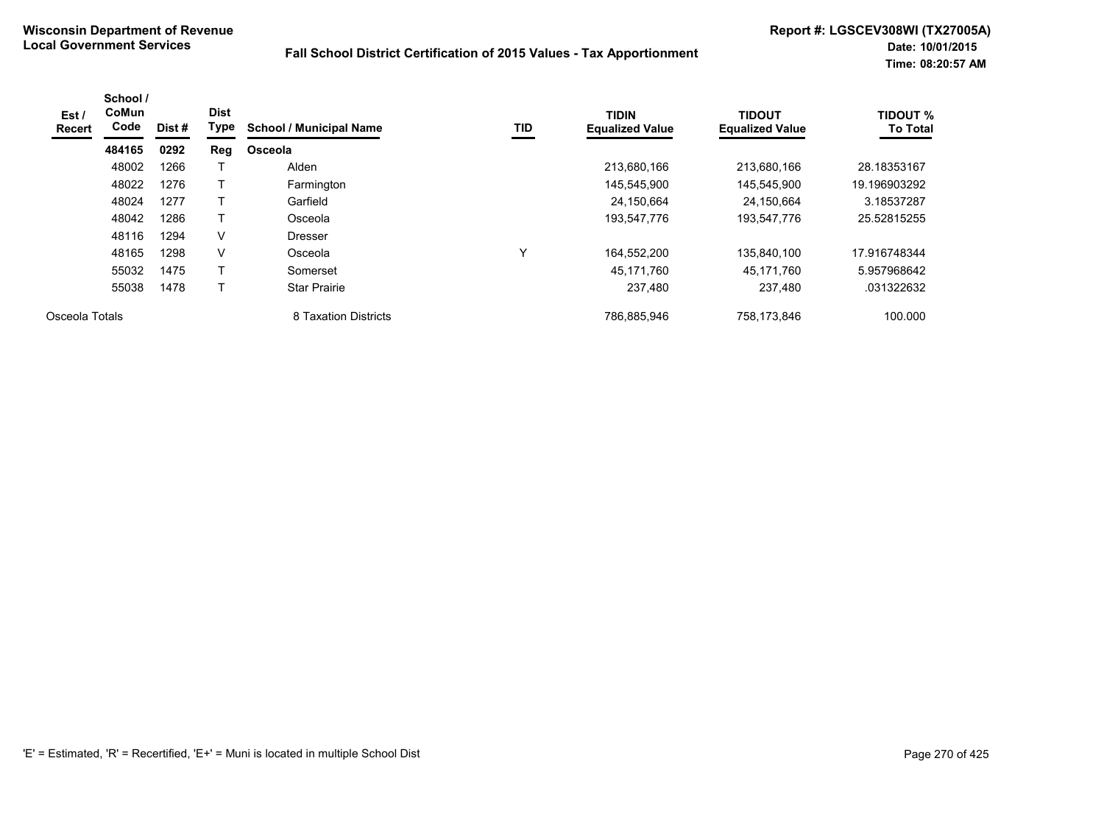| Est /<br>Recert | School /<br><b>CoMun</b><br>Code | Dist # | <b>Dist</b><br>Type | <b>School / Municipal Name</b> | TID | <b>TIDIN</b><br><b>Equalized Value</b> | <b>TIDOUT</b><br><b>Equalized Value</b> | <b>TIDOUT %</b><br><b>To Total</b> |
|-----------------|----------------------------------|--------|---------------------|--------------------------------|-----|----------------------------------------|-----------------------------------------|------------------------------------|
|                 | 484165                           | 0292   | Reg                 | Osceola                        |     |                                        |                                         |                                    |
|                 | 48002                            | 1266   |                     | Alden                          |     | 213,680,166                            | 213.680.166                             | 28.18353167                        |
|                 | 48022                            | 1276   |                     | Farmington                     |     | 145,545,900                            | 145,545,900                             | 19.196903292                       |
|                 | 48024                            | 1277   |                     | Garfield                       |     | 24,150,664                             | 24,150,664                              | 3.18537287                         |
|                 | 48042                            | 1286   | Т                   | Osceola                        |     | 193,547,776                            | 193,547,776                             | 25.52815255                        |
|                 | 48116                            | 1294   | $\vee$              | <b>Dresser</b>                 |     |                                        |                                         |                                    |
|                 | 48165                            | 1298   | $\vee$              | Osceola                        | Υ   | 164,552,200                            | 135.840.100                             | 17.916748344                       |
|                 | 55032                            | 1475   | Т                   | Somerset                       |     | 45,171,760                             | 45,171,760                              | 5.957968642                        |
|                 | 55038                            | 1478   | т                   | <b>Star Prairie</b>            |     | 237,480                                | 237,480                                 | .031322632                         |
| Osceola Totals  |                                  |        |                     | 8 Taxation Districts           |     | 786,885,946                            | 758,173,846                             | 100.000                            |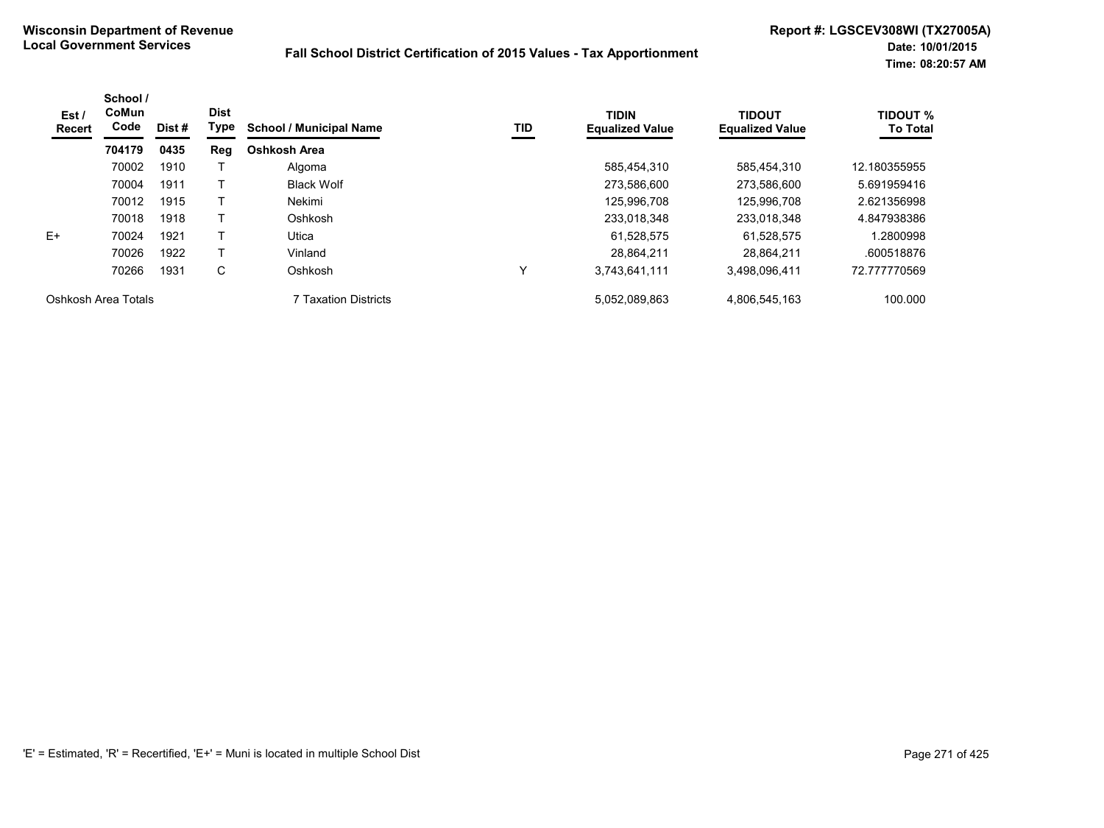| Est /<br>Recert     | School /<br><b>CoMun</b><br>Code | Dist # | <b>Dist</b><br>Type | <b>School / Municipal Name</b> | TID | <b>TIDIN</b><br><b>Equalized Value</b> | <b>TIDOUT</b><br><b>Equalized Value</b> | <b>TIDOUT %</b><br><b>To Total</b> |
|---------------------|----------------------------------|--------|---------------------|--------------------------------|-----|----------------------------------------|-----------------------------------------|------------------------------------|
|                     | 704179                           | 0435   | Reg                 | Oshkosh Area                   |     |                                        |                                         |                                    |
|                     | 70002                            | 1910   |                     | Algoma                         |     | 585.454.310                            | 585.454.310                             | 12.180355955                       |
|                     | 70004                            | 1911   |                     | <b>Black Wolf</b>              |     | 273,586,600                            | 273,586,600                             | 5.691959416                        |
|                     | 70012                            | 1915   |                     | Nekimi                         |     | 125,996,708                            | 125.996.708                             | 2.621356998                        |
|                     | 70018                            | 1918   |                     | Oshkosh                        |     | 233,018,348                            | 233,018,348                             | 4.847938386                        |
| E+                  | 70024                            | 1921   |                     | Utica                          |     | 61,528,575                             | 61,528,575                              | 1.2800998                          |
|                     | 70026                            | 1922   |                     | Vinland                        |     | 28.864.211                             | 28.864.211                              | .600518876                         |
|                     | 70266                            | 1931   | С                   | Oshkosh                        |     | 3,743,641,111                          | 3,498,096,411                           | 72.777770569                       |
| Oshkosh Area Totals |                                  |        |                     | <b>7 Taxation Districts</b>    |     | 5,052,089,863                          | 4,806,545,163                           | 100.000                            |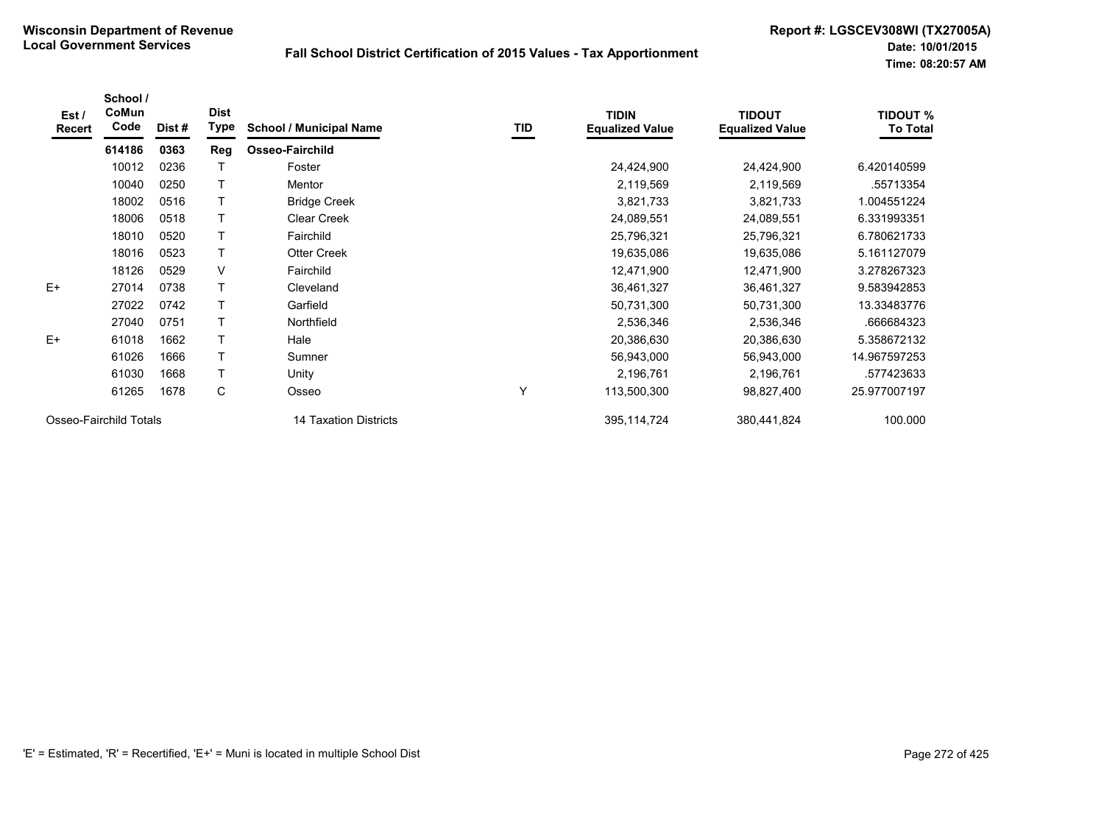| Est/<br><b>Recert</b>  | School /<br>CoMun<br>Code | Dist # | <b>Dist</b><br>Type | <b>School / Municipal Name</b> | TID | <b>TIDIN</b><br><b>Equalized Value</b> | <b>TIDOUT</b><br><b>Equalized Value</b> | <b>TIDOUT %</b><br><b>To Total</b> |
|------------------------|---------------------------|--------|---------------------|--------------------------------|-----|----------------------------------------|-----------------------------------------|------------------------------------|
|                        | 614186                    | 0363   | Reg                 | Osseo-Fairchild                |     |                                        |                                         |                                    |
|                        | 10012                     | 0236   |                     | Foster                         |     | 24,424,900                             | 24,424,900                              | 6.420140599                        |
|                        | 10040                     | 0250   |                     | Mentor                         |     | 2,119,569                              | 2,119,569                               | .55713354                          |
|                        | 18002                     | 0516   |                     | <b>Bridge Creek</b>            |     | 3,821,733                              | 3,821,733                               | 1.004551224                        |
|                        | 18006                     | 0518   |                     | <b>Clear Creek</b>             |     | 24,089,551                             | 24,089,551                              | 6.331993351                        |
|                        | 18010                     | 0520   |                     | Fairchild                      |     | 25,796,321                             | 25,796,321                              | 6.780621733                        |
|                        | 18016                     | 0523   |                     | <b>Otter Creek</b>             |     | 19,635,086                             | 19,635,086                              | 5.161127079                        |
|                        | 18126                     | 0529   | V                   | Fairchild                      |     | 12,471,900                             | 12,471,900                              | 3.278267323                        |
| $E+$                   | 27014                     | 0738   |                     | Cleveland                      |     | 36,461,327                             | 36,461,327                              | 9.583942853                        |
|                        | 27022                     | 0742   |                     | Garfield                       |     | 50,731,300                             | 50,731,300                              | 13.33483776                        |
|                        | 27040                     | 0751   |                     | Northfield                     |     | 2,536,346                              | 2,536,346                               | .666684323                         |
| $E+$                   | 61018                     | 1662   |                     | Hale                           |     | 20,386,630                             | 20,386,630                              | 5.358672132                        |
|                        | 61026                     | 1666   |                     | Sumner                         |     | 56,943,000                             | 56,943,000                              | 14.967597253                       |
|                        | 61030                     | 1668   |                     | Unity                          |     | 2,196,761                              | 2,196,761                               | .577423633                         |
|                        | 61265                     | 1678   | C                   | Osseo                          | Y   | 113,500,300                            | 98,827,400                              | 25.977007197                       |
| Osseo-Fairchild Totals |                           |        |                     | 14 Taxation Districts          |     | 395, 114, 724                          | 380,441,824                             | 100.000                            |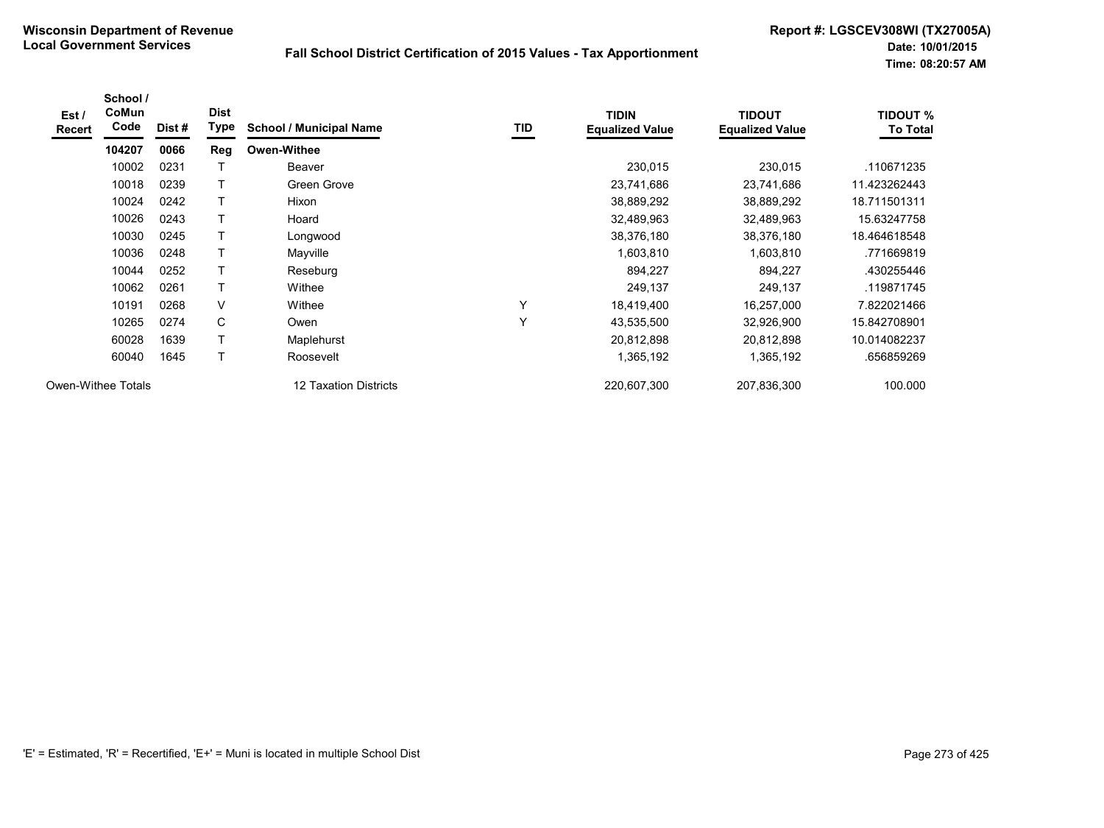| Est /<br><b>Recert</b> | School /<br>CoMun<br>Code | Dist# | <b>Dist</b><br>Type | <b>School / Municipal Name</b> | TID | <b>TIDIN</b><br><b>Equalized Value</b> | <b>TIDOUT</b><br><b>Equalized Value</b> | <b>TIDOUT %</b><br><b>To Total</b> |
|------------------------|---------------------------|-------|---------------------|--------------------------------|-----|----------------------------------------|-----------------------------------------|------------------------------------|
|                        | 104207                    | 0066  | Reg                 | <b>Owen-Withee</b>             |     |                                        |                                         |                                    |
|                        | 10002                     | 0231  |                     | Beaver                         |     | 230,015                                | 230,015                                 | .110671235                         |
|                        | 10018                     | 0239  | T                   | Green Grove                    |     | 23,741,686                             | 23,741,686                              | 11.423262443                       |
|                        | 10024                     | 0242  | т                   | Hixon                          |     | 38,889,292                             | 38,889,292                              | 18.711501311                       |
|                        | 10026                     | 0243  |                     | Hoard                          |     | 32,489,963                             | 32,489,963                              | 15.63247758                        |
|                        | 10030                     | 0245  |                     | Longwood                       |     | 38,376,180                             | 38,376,180                              | 18.464618548                       |
|                        | 10036                     | 0248  |                     | Mayville                       |     | 1,603,810                              | 1,603,810                               | .771669819                         |
|                        | 10044                     | 0252  | T                   | Reseburg                       |     | 894,227                                | 894,227                                 | .430255446                         |
|                        | 10062                     | 0261  | T                   | Withee                         |     | 249,137                                | 249,137                                 | .119871745                         |
|                        | 10191                     | 0268  | V                   | Withee                         |     | 18,419,400                             | 16,257,000                              | 7.822021466                        |
|                        | 10265                     | 0274  | C                   | Owen                           | Y   | 43,535,500                             | 32,926,900                              | 15.842708901                       |
|                        | 60028                     | 1639  | T                   | Maplehurst                     |     | 20,812,898                             | 20,812,898                              | 10.014082237                       |
|                        | 60040                     | 1645  | T                   | Roosevelt                      |     | 1,365,192                              | 1,365,192                               | .656859269                         |
| Owen-Withee Totals     |                           |       |                     | 12 Taxation Districts          |     | 220,607,300                            | 207,836,300                             | 100.000                            |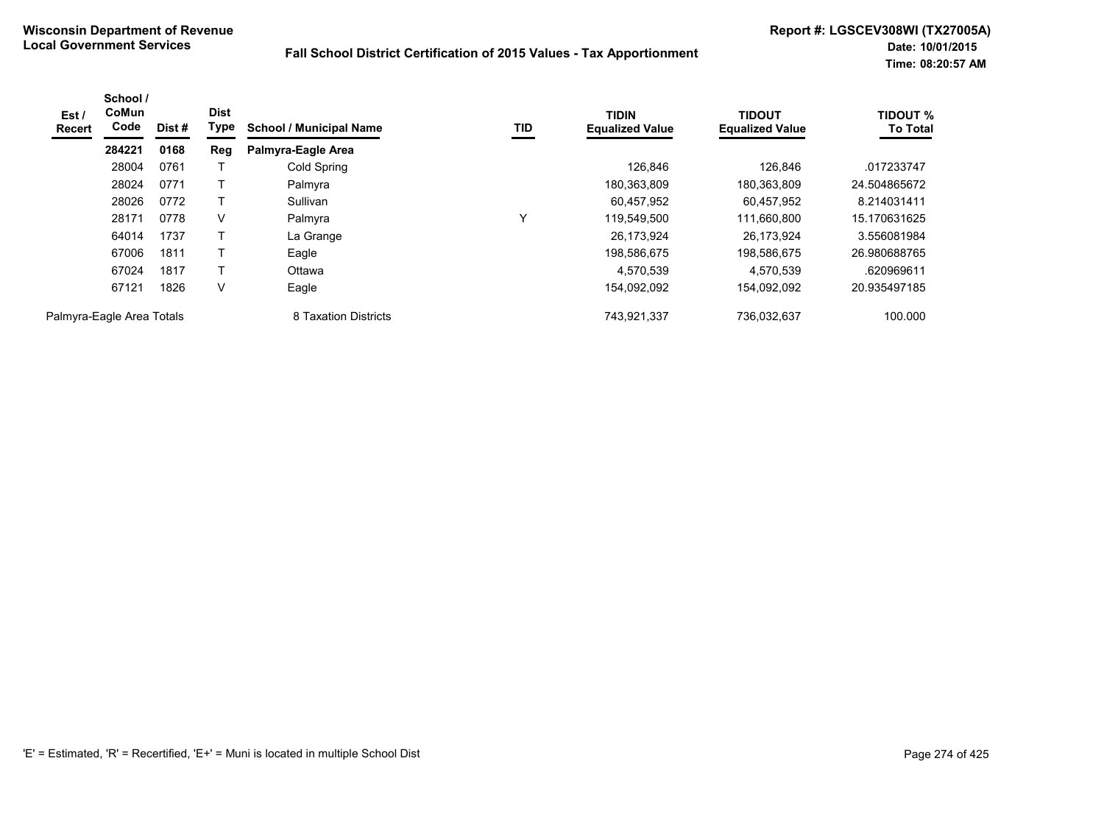| Est /<br>Recert           | School /<br><b>CoMun</b><br>Code | Dist # | <b>Dist</b><br>Type | <b>School / Municipal Name</b> | TID          | <b>TIDIN</b><br><b>Equalized Value</b> | <b>TIDOUT</b><br><b>Equalized Value</b> | <b>TIDOUT %</b><br><b>To Total</b> |
|---------------------------|----------------------------------|--------|---------------------|--------------------------------|--------------|----------------------------------------|-----------------------------------------|------------------------------------|
|                           | 284221                           | 0168   | Reg                 | Palmyra-Eagle Area             |              |                                        |                                         |                                    |
|                           | 28004                            | 0761   |                     | Cold Spring                    |              | 126,846                                | 126,846                                 | .017233747                         |
|                           | 28024                            | 0771   |                     | Palmyra                        |              | 180,363,809                            | 180,363,809                             | 24.504865672                       |
|                           | 28026                            | 0772   |                     | Sullivan                       |              | 60,457,952                             | 60,457,952                              | 8.214031411                        |
|                           | 28171                            | 0778   | V                   | Palmyra                        | $\checkmark$ | 119,549,500                            | 111,660,800                             | 15.170631625                       |
|                           | 64014                            | 1737   |                     | La Grange                      |              | 26,173,924                             | 26,173,924                              | 3.556081984                        |
|                           | 67006                            | 1811   | T                   | Eagle                          |              | 198,586,675                            | 198,586,675                             | 26.980688765                       |
|                           | 67024                            | 1817   |                     | Ottawa                         |              | 4,570,539                              | 4,570,539                               | .620969611                         |
|                           | 67121                            | 1826   | V                   | Eagle                          |              | 154,092,092                            | 154,092,092                             | 20.935497185                       |
| Palmyra-Eagle Area Totals |                                  |        |                     | 8 Taxation Districts           |              | 743,921,337                            | 736,032,637                             | 100.000                            |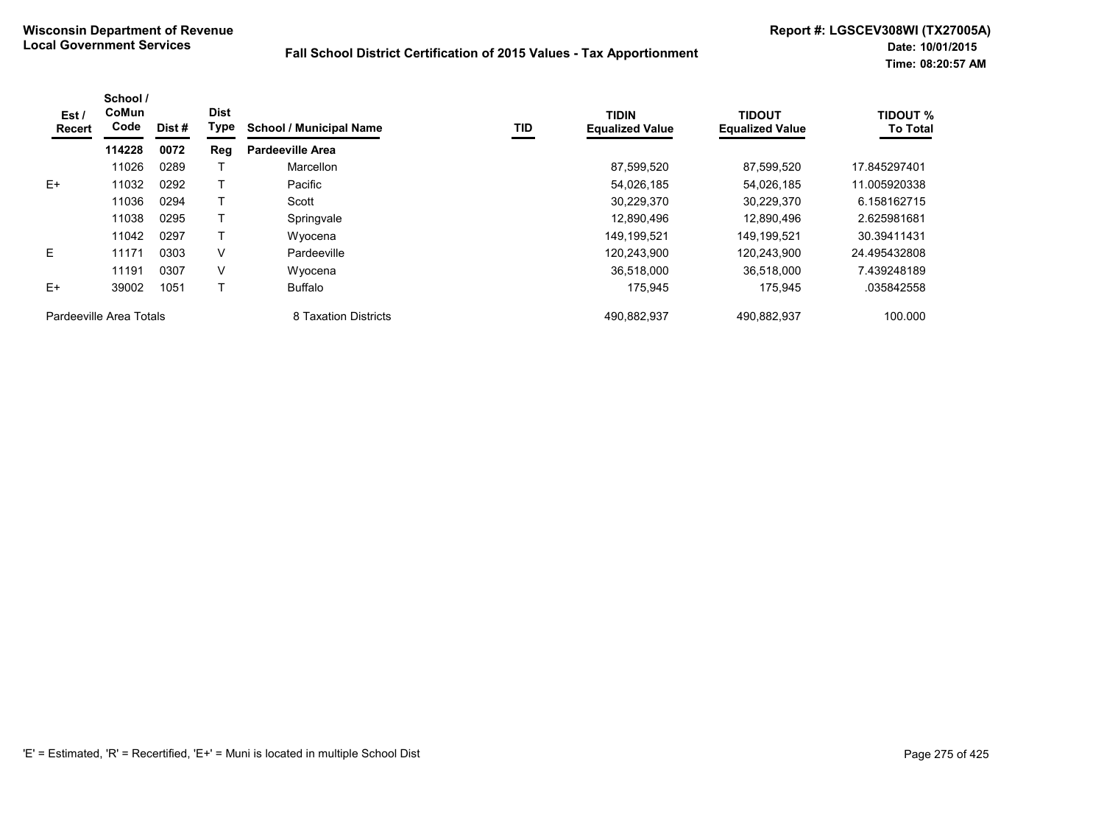| Est/<br>Recert          | School /<br>CoMun<br>Code | Dist # | <b>Dist</b><br>Type | <b>School / Municipal Name</b> | TID | <b>TIDIN</b><br><b>Equalized Value</b> | <b>TIDOUT</b><br><b>Equalized Value</b> | <b>TIDOUT %</b><br><b>To Total</b> |
|-------------------------|---------------------------|--------|---------------------|--------------------------------|-----|----------------------------------------|-----------------------------------------|------------------------------------|
|                         | 114228                    | 0072   | Reg                 | <b>Pardeeville Area</b>        |     |                                        |                                         |                                    |
|                         | 11026                     | 0289   |                     | Marcellon                      |     | 87,599,520                             | 87,599,520                              | 17.845297401                       |
| $E+$                    | 11032                     | 0292   |                     | Pacific                        |     | 54,026,185                             | 54,026,185                              | 11.005920338                       |
|                         | 11036                     | 0294   |                     | Scott                          |     | 30,229,370                             | 30,229,370                              | 6.158162715                        |
|                         | 11038                     | 0295   |                     | Springvale                     |     | 12.890.496                             | 12.890.496                              | 2.625981681                        |
|                         | 11042                     | 0297   |                     | Wyocena                        |     | 149,199,521                            | 149,199,521                             | 30.39411431                        |
| E                       | 11171                     | 0303   | V                   | Pardeeville                    |     | 120,243,900                            | 120,243,900                             | 24.495432808                       |
|                         | 11191                     | 0307   | V                   | Wyocena                        |     | 36.518.000                             | 36.518.000                              | 7.439248189                        |
| $E+$                    | 39002                     | 1051   |                     | Buffalo                        |     | 175,945                                | 175,945                                 | .035842558                         |
| Pardeeville Area Totals |                           |        |                     | 8 Taxation Districts           |     | 490,882,937                            | 490,882,937                             | 100.000                            |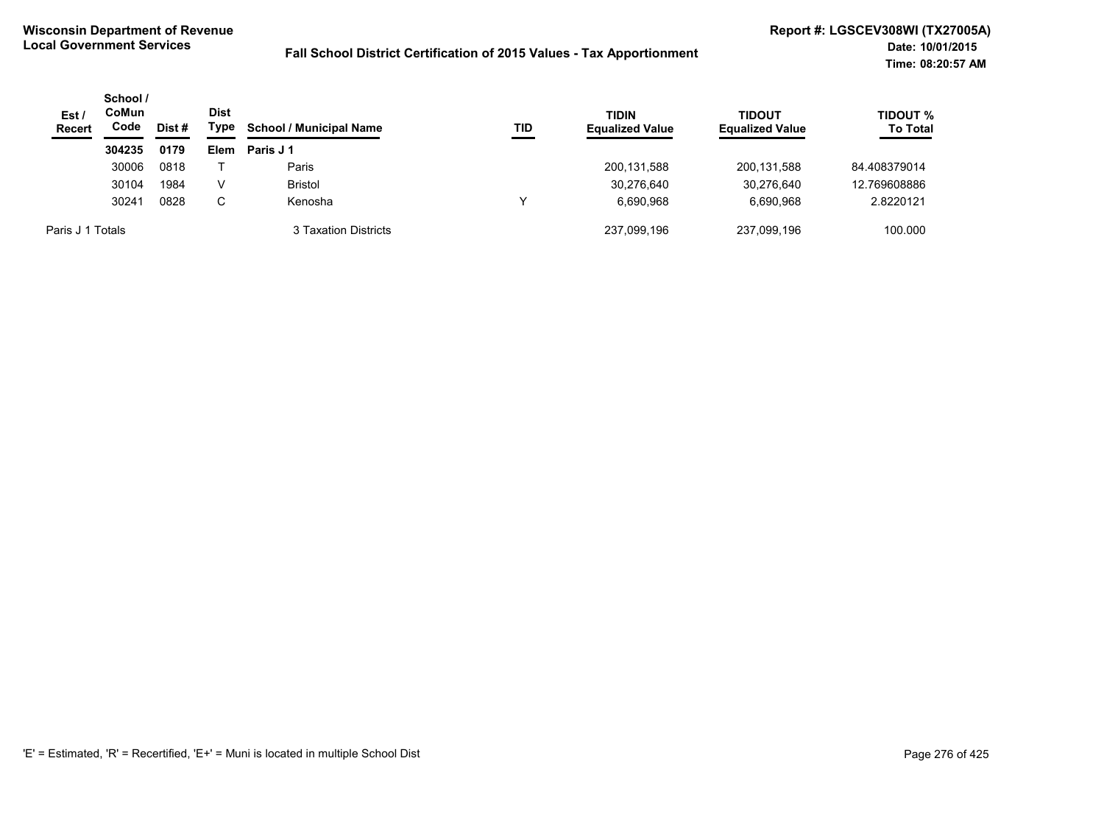| Est/<br><b>Recert</b> | School /<br>CoMun<br>Code<br>Dist # |      | <b>Dist</b><br>Type | <b>School / Municipal Name</b> | TID | <b>TIDIN</b><br><b>Equalized Value</b> | TIDOUT<br><b>Equalized Value</b> | <b>TIDOUT %</b><br><b>To Total</b> |
|-----------------------|-------------------------------------|------|---------------------|--------------------------------|-----|----------------------------------------|----------------------------------|------------------------------------|
|                       | 304235                              | 0179 | <b>Elem</b>         | Paris J 1                      |     |                                        |                                  |                                    |
|                       | 30006                               | 0818 |                     | Paris                          |     | 200,131,588                            | 200.131.588                      | 84.408379014                       |
|                       | 30104                               | 1984 | V                   | <b>Bristol</b>                 |     | 30,276,640                             | 30.276.640                       | 12.769608886                       |
|                       | 30241                               | 0828 | C                   | Kenosha                        | v   | 6.690.968                              | 6.690.968                        | 2.8220121                          |
| Paris J 1 Totals      |                                     |      |                     | 3 Taxation Districts           |     | 237.099.196                            | 237.099.196                      | 100.000                            |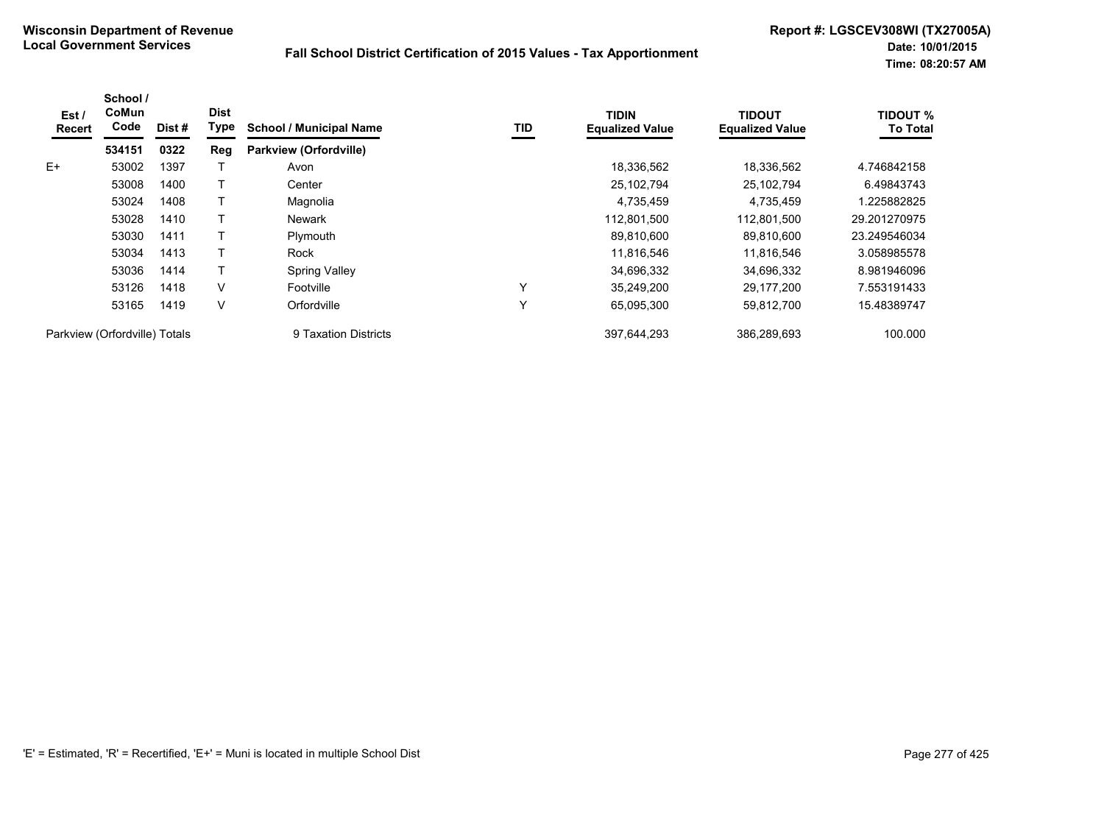| Est /<br><b>Recert</b>        | School /<br>CoMun<br>Code | Dist# | <b>Dist</b><br>Type | <b>School / Municipal Name</b> | TID | <b>TIDIN</b><br><b>Equalized Value</b> | <b>TIDOUT</b><br><b>Equalized Value</b> | <b>TIDOUT %</b><br><b>To Total</b> |
|-------------------------------|---------------------------|-------|---------------------|--------------------------------|-----|----------------------------------------|-----------------------------------------|------------------------------------|
|                               | 534151                    | 0322  | Reg                 | <b>Parkview (Orfordville)</b>  |     |                                        |                                         |                                    |
| $E+$                          | 53002                     | 1397  |                     | Avon                           |     | 18,336,562                             | 18,336,562                              | 4.746842158                        |
|                               | 53008                     | 1400  |                     | Center                         |     | 25,102,794                             | 25,102,794                              | 6.49843743                         |
|                               | 53024                     | 1408  |                     | Magnolia                       |     | 4,735,459                              | 4,735,459                               | 1.225882825                        |
|                               | 53028                     | 1410  |                     | <b>Newark</b>                  |     | 112,801,500                            | 112.801.500                             | 29.201270975                       |
|                               | 53030                     | 1411  |                     | Plymouth                       |     | 89,810,600                             | 89,810,600                              | 23.249546034                       |
|                               | 53034                     | 1413  |                     | Rock                           |     | 11,816,546                             | 11,816,546                              | 3.058985578                        |
|                               | 53036                     | 1414  |                     | <b>Spring Valley</b>           |     | 34,696,332                             | 34,696,332                              | 8.981946096                        |
|                               | 53126                     | 1418  | $\vee$              | Footville                      | Υ   | 35,249,200                             | 29,177,200                              | 7.553191433                        |
|                               | 53165                     | 1419  | V                   | Orfordville                    | Υ   | 65,095,300                             | 59,812,700                              | 15.48389747                        |
| Parkview (Orfordville) Totals |                           |       |                     | 9 Taxation Districts           |     | 397,644,293                            | 386,289,693                             | 100.000                            |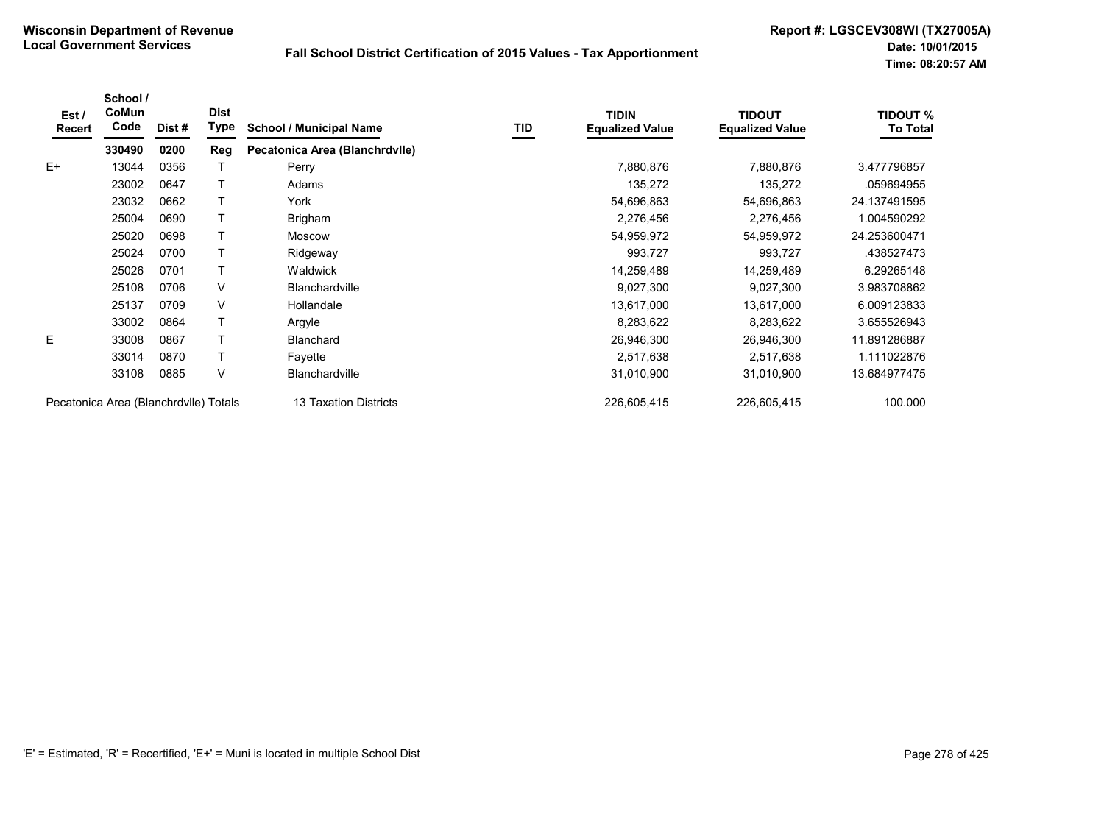| Est/<br><b>Recert</b>                 | School /<br>CoMun<br>Code | Dist# | <b>Dist</b><br>Type | <b>School / Municipal Name</b> | TID | <b>TIDIN</b><br><b>Equalized Value</b> | <b>TIDOUT</b><br><b>Equalized Value</b> | <b>TIDOUT %</b><br><b>To Total</b> |
|---------------------------------------|---------------------------|-------|---------------------|--------------------------------|-----|----------------------------------------|-----------------------------------------|------------------------------------|
|                                       | 330490                    | 0200  | Reg                 | Pecatonica Area (Blanchrdvlle) |     |                                        |                                         |                                    |
| $E+$                                  | 13044                     | 0356  |                     | Perry                          |     | 7,880,876                              | 7,880,876                               | 3.477796857                        |
|                                       | 23002                     | 0647  |                     | Adams                          |     | 135,272                                | 135,272                                 | .059694955                         |
|                                       | 23032                     | 0662  |                     | York                           |     | 54,696,863                             | 54,696,863                              | 24.137491595                       |
|                                       | 25004                     | 0690  |                     | Brigham                        |     | 2,276,456                              | 2,276,456                               | 1.004590292                        |
|                                       | 25020                     | 0698  |                     | <b>Moscow</b>                  |     | 54,959,972                             | 54,959,972                              | 24.253600471                       |
|                                       | 25024                     | 0700  |                     | Ridgeway                       |     | 993,727                                | 993,727                                 | .438527473                         |
|                                       | 25026                     | 0701  |                     | Waldwick                       |     | 14,259,489                             | 14,259,489                              | 6.29265148                         |
|                                       | 25108                     | 0706  | V                   | <b>Blanchardville</b>          |     | 9,027,300                              | 9,027,300                               | 3.983708862                        |
|                                       | 25137                     | 0709  | V                   | Hollandale                     |     | 13,617,000                             | 13,617,000                              | 6.009123833                        |
|                                       | 33002                     | 0864  |                     | Argyle                         |     | 8,283,622                              | 8,283,622                               | 3.655526943                        |
| E                                     | 33008                     | 0867  |                     | <b>Blanchard</b>               |     | 26,946,300                             | 26,946,300                              | 11.891286887                       |
|                                       | 33014                     | 0870  |                     | Fayette                        |     | 2,517,638                              | 2,517,638                               | 1.111022876                        |
|                                       | 33108                     | 0885  | $\vee$              | <b>Blanchardville</b>          |     | 31,010,900                             | 31,010,900                              | 13.684977475                       |
| Pecatonica Area (Blanchrdvlle) Totals |                           |       |                     | 13 Taxation Districts          |     | 226,605,415                            | 226,605,415                             | 100.000                            |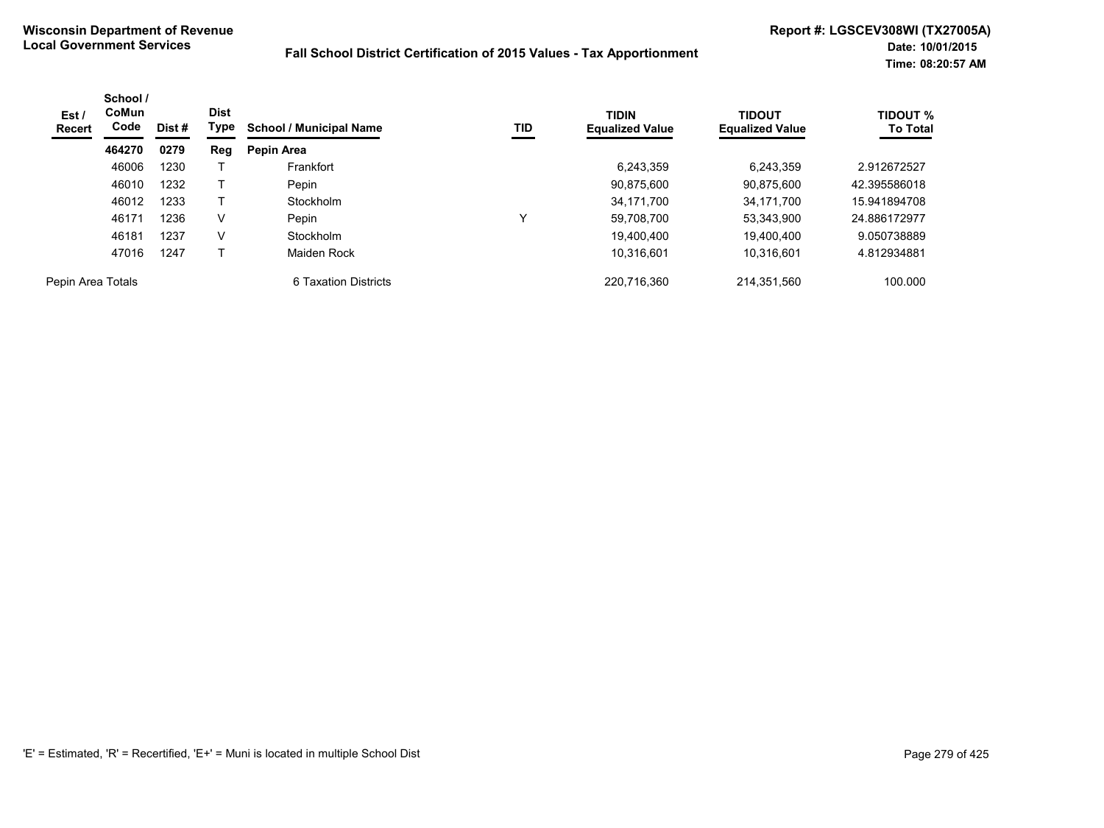| Est /<br><b>Recert</b> | School /<br>CoMun<br>Code | Dist # | <b>Dist</b><br>Type | <b>School / Municipal Name</b> | TID | <b>TIDIN</b><br><b>Equalized Value</b> | <b>TIDOUT</b><br><b>Equalized Value</b> | <b>TIDOUT %</b><br><b>To Total</b> |
|------------------------|---------------------------|--------|---------------------|--------------------------------|-----|----------------------------------------|-----------------------------------------|------------------------------------|
|                        | 464270                    | 0279   | Reg                 | Pepin Area                     |     |                                        |                                         |                                    |
|                        | 46006                     | 1230   |                     | Frankfort                      |     | 6,243,359                              | 6,243,359                               | 2.912672527                        |
|                        | 46010                     | 1232   |                     | Pepin                          |     | 90.875.600                             | 90.875.600                              | 42.395586018                       |
|                        | 46012                     | 1233   |                     | Stockholm                      |     | 34.171.700                             | 34.171.700                              | 15.941894708                       |
|                        | 46171                     | 1236   | V                   | Pepin                          | v   | 59,708,700                             | 53,343,900                              | 24.886172977                       |
|                        | 46181                     | 1237   | $\vee$              | Stockholm                      |     | 19.400.400                             | 19.400.400                              | 9.050738889                        |
|                        | 47016                     | 1247   |                     | Maiden Rock                    |     | 10,316,601                             | 10.316.601                              | 4.812934881                        |
| Pepin Area Totals      |                           |        |                     | 6 Taxation Districts           |     | 220.716.360                            | 214,351,560                             | 100.000                            |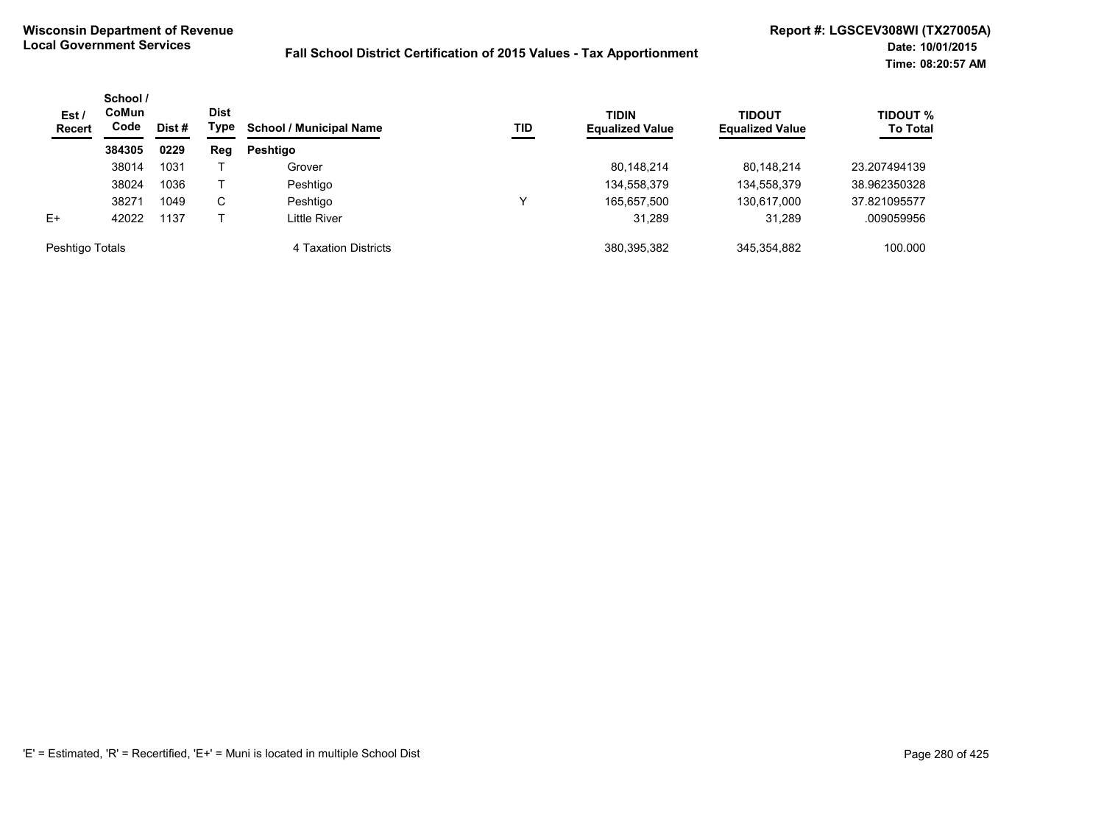| Est/<br><b>Recert</b> | School /<br>CoMun<br>Code | Dist # | <b>Dist</b><br>Type | <b>School / Municipal Name</b> | TID | <b>TIDIN</b><br><b>Equalized Value</b> | <b>TIDOUT</b><br><b>Equalized Value</b> | <b>TIDOUT %</b><br><b>To Total</b> |
|-----------------------|---------------------------|--------|---------------------|--------------------------------|-----|----------------------------------------|-----------------------------------------|------------------------------------|
|                       | 384305                    | 0229   | Reg                 | <b>Peshtigo</b>                |     |                                        |                                         |                                    |
|                       | 38014                     | 1031   |                     | Grover                         |     | 80,148,214                             | 80.148.214                              | 23.207494139                       |
|                       | 38024                     | 1036   |                     | Peshtigo                       |     | 134,558,379                            | 134,558,379                             | 38.962350328                       |
|                       | 38271                     | 1049   | C.                  | Peshtigo                       | ν   | 165,657,500                            | 130,617,000                             | 37.821095577                       |
| $E+$                  | 42022                     | 1137   |                     | Little River                   |     | 31.289                                 | 31.289                                  | .009059956                         |
| Peshtigo Totals       |                           |        |                     | 4 Taxation Districts           |     | 380,395,382                            | 345,354,882                             | 100.000                            |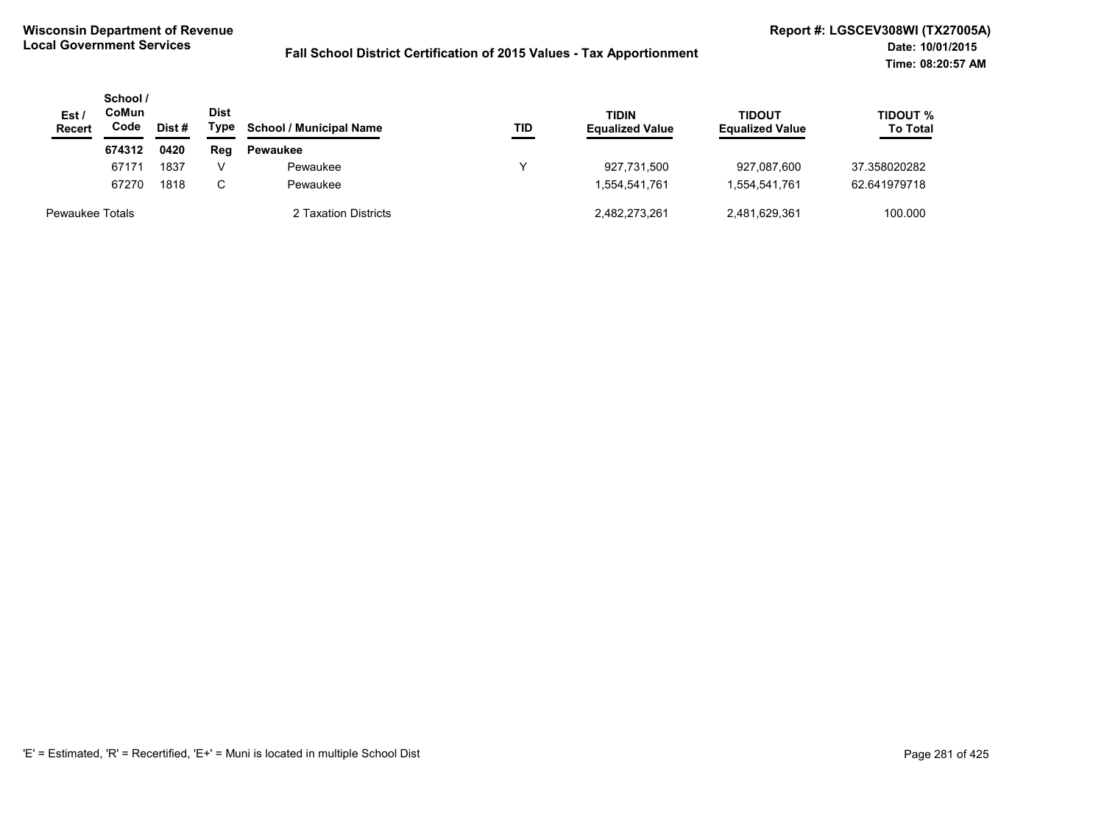| Est /<br><b>Recert</b> | School /<br>CoMun<br>Code<br>Dist# |      | Dist<br>Type | <b>School / Municipal Name</b> | TID | <b>TIDIN</b><br><b>Equalized Value</b> | <b>TIDOUT</b><br><b>Equalized Value</b> | TIDOUT %<br><b>To Total</b> |
|------------------------|------------------------------------|------|--------------|--------------------------------|-----|----------------------------------------|-----------------------------------------|-----------------------------|
|                        | 674312                             | 0420 | Reg          | <b>Pewaukee</b>                |     |                                        |                                         |                             |
|                        | 67171                              | 1837 | v            | Pewaukee                       | ν   | 927.731.500                            | 927,087,600                             | 37.358020282                |
|                        | 67270                              | 1818 | C.           | Pewaukee                       |     | 1,554,541,761                          | 1.554.541.761                           | 62.641979718                |
| <b>Pewaukee Totals</b> |                                    |      |              | 2 Taxation Districts           |     | 2,482,273,261                          | 2,481,629,361                           | 100.000                     |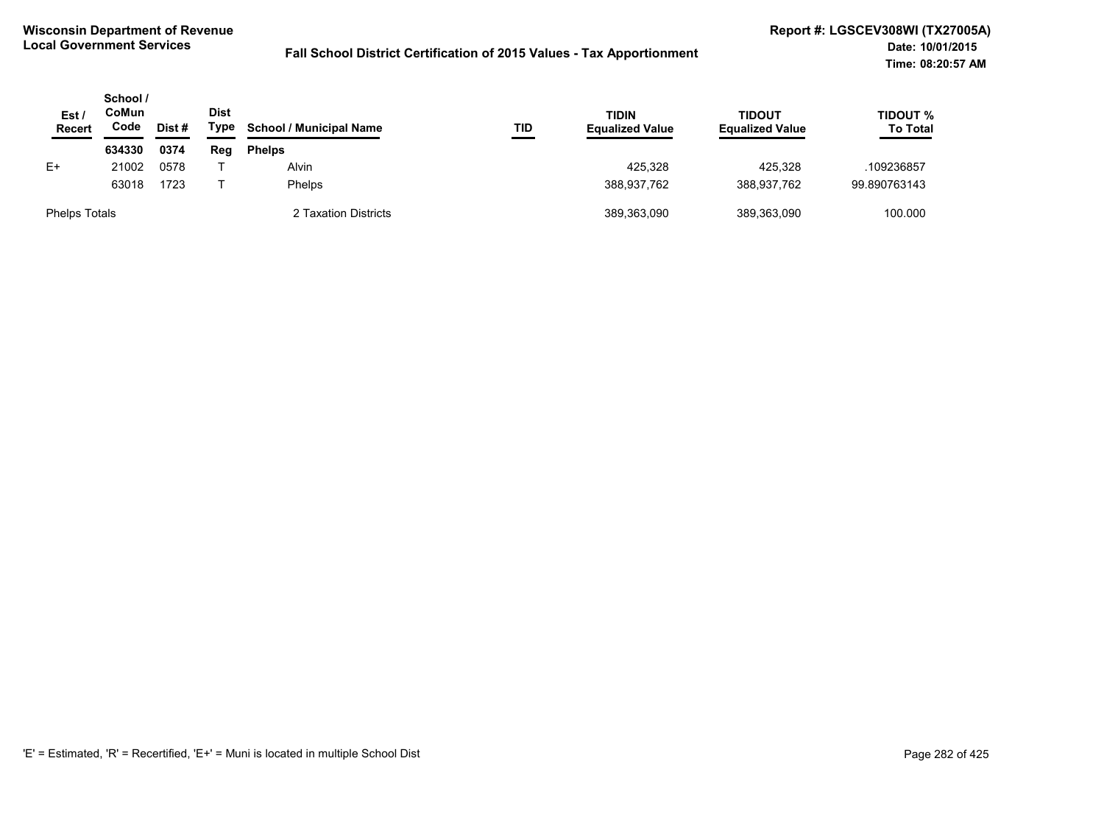| Est <sub>1</sub><br><b>Recert</b> | School /<br>CoMun<br>Code | Dist# | <b>Dist</b><br>Type | <b>School / Municipal Name</b> | TID | TIDIN<br><b>Equalized Value</b> | <b>TIDOUT</b><br><b>Equalized Value</b> | TIDOUT %<br><b>To Total</b> |
|-----------------------------------|---------------------------|-------|---------------------|--------------------------------|-----|---------------------------------|-----------------------------------------|-----------------------------|
|                                   | 634330                    | 0374  | Reg                 | <b>Phelps</b>                  |     |                                 |                                         |                             |
| E+                                | 21002                     | 0578  |                     | Alvin                          |     | 425.328                         | 425.328                                 | .109236857                  |
|                                   | 63018                     | 1723  |                     | <b>Phelps</b>                  |     | 388.937.762                     | 388.937.762                             | 99.890763143                |
| <b>Phelps Totals</b>              |                           |       |                     | 2 Taxation Districts           |     | 389,363,090                     | 389,363,090                             | 100.000                     |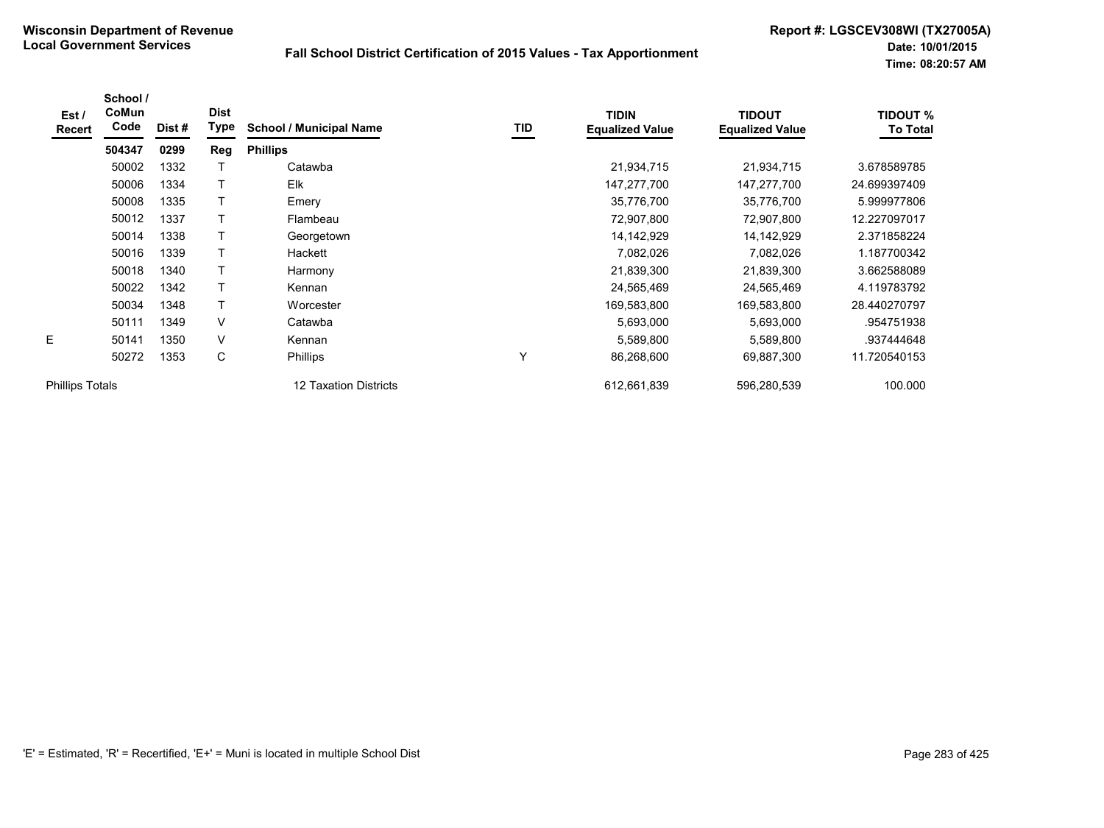| Est /<br>Recert        | School /<br>CoMun<br>Code | Dist # | <b>Dist</b><br>Type | <b>School / Municipal Name</b> | TID | <b>TIDIN</b><br><b>Equalized Value</b> | <b>TIDOUT</b><br><b>Equalized Value</b> | <b>TIDOUT %</b><br><b>To Total</b> |
|------------------------|---------------------------|--------|---------------------|--------------------------------|-----|----------------------------------------|-----------------------------------------|------------------------------------|
|                        | 504347                    | 0299   | Reg                 | <b>Phillips</b>                |     |                                        |                                         |                                    |
|                        | 50002                     | 1332   |                     | Catawba                        |     | 21,934,715                             | 21,934,715                              | 3.678589785                        |
|                        | 50006                     | 1334   | T                   | Elk                            |     | 147,277,700                            | 147,277,700                             | 24.699397409                       |
|                        | 50008                     | 1335   |                     | Emery                          |     | 35,776,700                             | 35,776,700                              | 5.999977806                        |
|                        | 50012                     | 1337   |                     | Flambeau                       |     | 72,907,800                             | 72,907,800                              | 12.227097017                       |
|                        | 50014                     | 1338   |                     | Georgetown                     |     | 14, 142, 929                           | 14,142,929                              | 2.371858224                        |
|                        | 50016                     | 1339   |                     | Hackett                        |     | 7,082,026                              | 7,082,026                               | 1.187700342                        |
|                        | 50018                     | 1340   |                     | Harmony                        |     | 21,839,300                             | 21,839,300                              | 3.662588089                        |
|                        | 50022                     | 1342   |                     | Kennan                         |     | 24,565,469                             | 24,565,469                              | 4.119783792                        |
|                        | 50034                     | 1348   | T                   | Worcester                      |     | 169,583,800                            | 169,583,800                             | 28.440270797                       |
|                        | 50111                     | 1349   | V                   | Catawba                        |     | 5,693,000                              | 5,693,000                               | .954751938                         |
| E                      | 50141                     | 1350   | V                   | Kennan                         |     | 5,589,800                              | 5,589,800                               | .937444648                         |
|                        | 50272                     | 1353   | С                   | <b>Phillips</b>                | ٧   | 86,268,600                             | 69,887,300                              | 11.720540153                       |
| <b>Phillips Totals</b> |                           |        |                     | 12 Taxation Districts          |     | 612,661,839                            | 596,280,539                             | 100.000                            |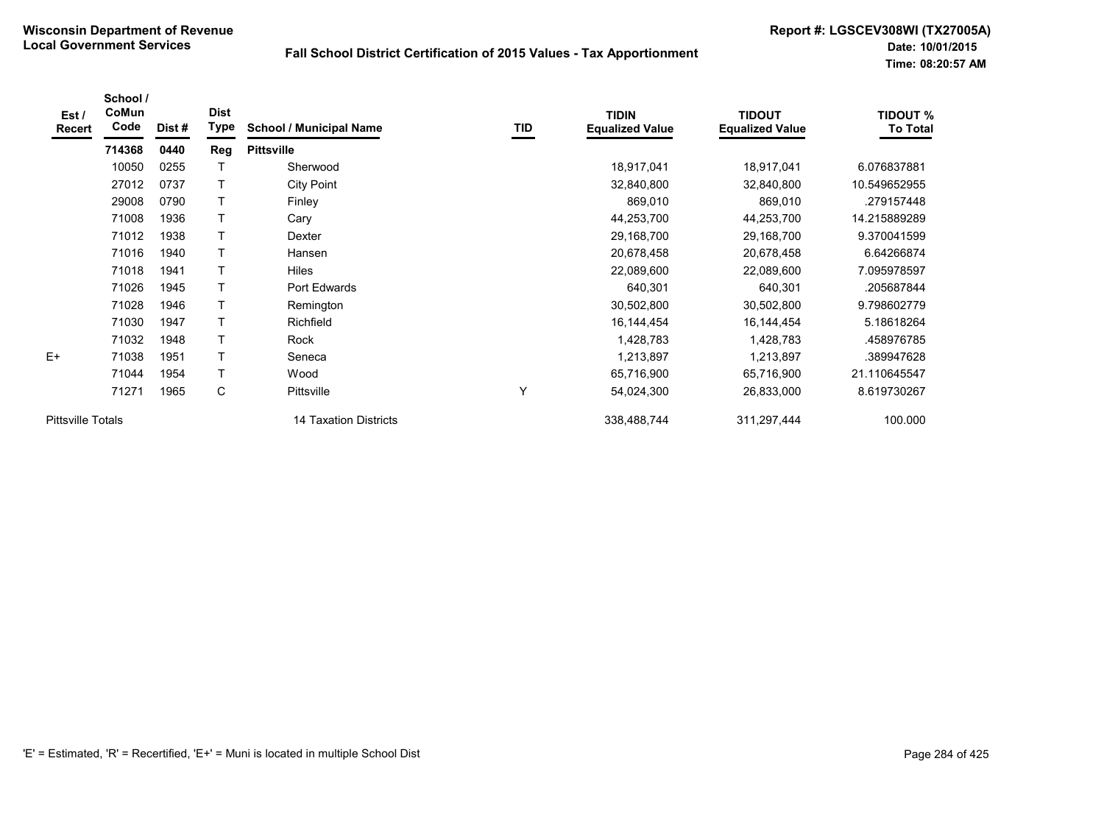| Est /<br><b>Recert</b>   | School /<br>CoMun<br>Code | Dist# | <b>Dist</b><br>Type | <b>School / Municipal Name</b> | TID | <b>TIDIN</b><br><b>Equalized Value</b> | <b>TIDOUT</b><br><b>Equalized Value</b> | <b>TIDOUT %</b><br><b>To Total</b> |
|--------------------------|---------------------------|-------|---------------------|--------------------------------|-----|----------------------------------------|-----------------------------------------|------------------------------------|
|                          | 714368                    | 0440  | Reg                 | <b>Pittsville</b>              |     |                                        |                                         |                                    |
|                          | 10050                     | 0255  |                     | Sherwood                       |     | 18,917,041                             | 18,917,041                              | 6.076837881                        |
|                          | 27012                     | 0737  | T                   | <b>City Point</b>              |     | 32,840,800                             | 32,840,800                              | 10.549652955                       |
|                          | 29008                     | 0790  | т                   | Finley                         |     | 869,010                                | 869,010                                 | .279157448                         |
|                          | 71008                     | 1936  | T                   | Cary                           |     | 44,253,700                             | 44,253,700                              | 14.215889289                       |
|                          | 71012                     | 1938  | T                   | Dexter                         |     | 29,168,700                             | 29,168,700                              | 9.370041599                        |
|                          | 71016                     | 1940  | T                   | Hansen                         |     | 20,678,458                             | 20,678,458                              | 6.64266874                         |
|                          | 71018                     | 1941  | T                   | <b>Hiles</b>                   |     | 22,089,600                             | 22,089,600                              | 7.095978597                        |
|                          | 71026                     | 1945  | T                   | Port Edwards                   |     | 640,301                                | 640,301                                 | .205687844                         |
|                          | 71028                     | 1946  | T                   | Remington                      |     | 30,502,800                             | 30,502,800                              | 9.798602779                        |
|                          | 71030                     | 1947  | T                   | Richfield                      |     | 16, 144, 454                           | 16,144,454                              | 5.18618264                         |
|                          | 71032                     | 1948  | $\mathsf{T}$        | Rock                           |     | 1,428,783                              | 1,428,783                               | .458976785                         |
| $E+$                     | 71038                     | 1951  | $\mathsf{T}$        | Seneca                         |     | 1,213,897                              | 1,213,897                               | .389947628                         |
|                          | 71044                     | 1954  | T                   | Wood                           |     | 65,716,900                             | 65,716,900                              | 21.110645547                       |
|                          | 71271                     | 1965  | C                   | Pittsville                     | Y   | 54,024,300                             | 26,833,000                              | 8.619730267                        |
| <b>Pittsville Totals</b> |                           |       |                     | 14 Taxation Districts          |     | 338,488,744                            | 311,297,444                             | 100.000                            |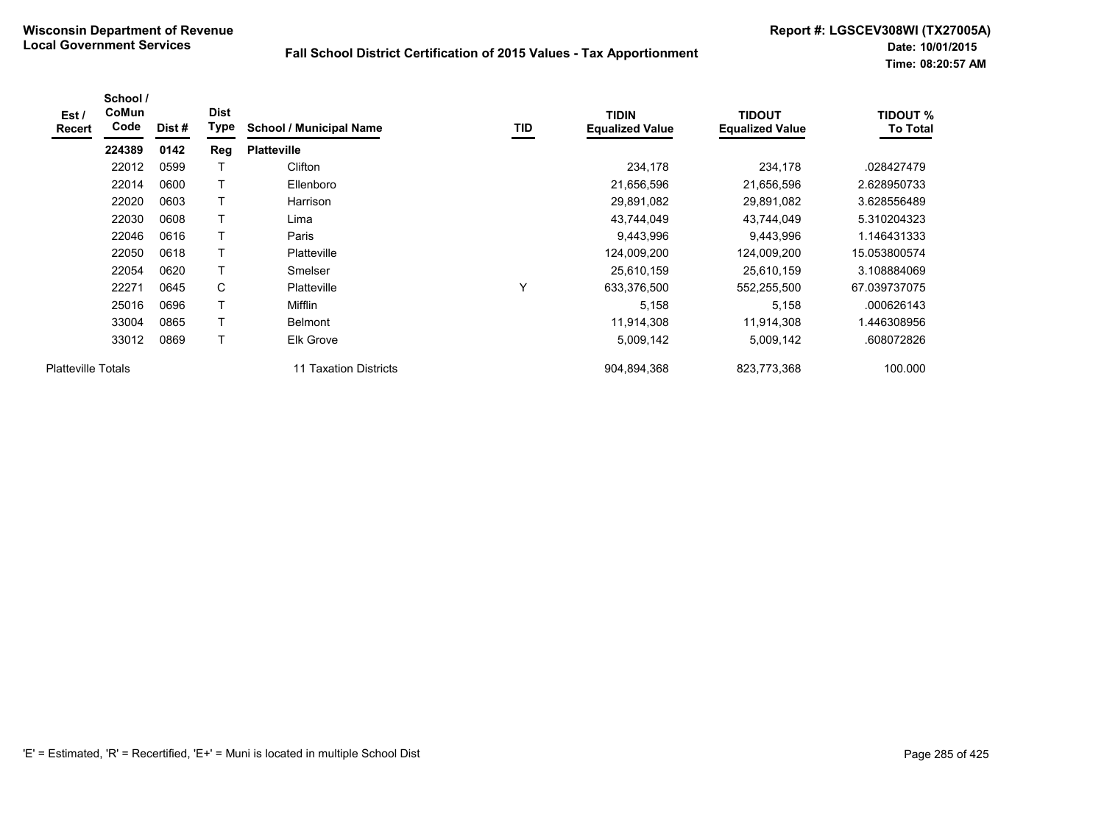| Est /<br>Recert           | School /<br>CoMun<br>Code | Dist# | <b>Dist</b><br>Type | <b>School / Municipal Name</b> | TID          | <b>TIDIN</b><br><b>Equalized Value</b> | <b>TIDOUT</b><br><b>Equalized Value</b> | <b>TIDOUT %</b><br><b>To Total</b> |
|---------------------------|---------------------------|-------|---------------------|--------------------------------|--------------|----------------------------------------|-----------------------------------------|------------------------------------|
|                           | 224389                    | 0142  | Reg                 | <b>Platteville</b>             |              |                                        |                                         |                                    |
|                           | 22012                     | 0599  |                     | Clifton                        |              | 234,178                                | 234,178                                 | .028427479                         |
|                           | 22014                     | 0600  |                     | Ellenboro                      |              | 21,656,596                             | 21,656,596                              | 2.628950733                        |
|                           | 22020                     | 0603  | T                   | Harrison                       |              | 29,891,082                             | 29,891,082                              | 3.628556489                        |
|                           | 22030                     | 0608  |                     | Lima                           |              | 43,744,049                             | 43,744,049                              | 5.310204323                        |
|                           | 22046                     | 0616  | T                   | Paris                          |              | 9,443,996                              | 9,443,996                               | 1.146431333                        |
|                           | 22050                     | 0618  | T                   | <b>Platteville</b>             |              | 124,009,200                            | 124,009,200                             | 15.053800574                       |
|                           | 22054                     | 0620  | T                   | Smelser                        |              | 25,610,159                             | 25,610,159                              | 3.108884069                        |
|                           | 22271                     | 0645  | C                   | <b>Platteville</b>             | $\checkmark$ | 633,376,500                            | 552,255,500                             | 67.039737075                       |
|                           | 25016                     | 0696  | T                   | Mifflin                        |              | 5,158                                  | 5.158                                   | .000626143                         |
|                           | 33004                     | 0865  | T                   | <b>Belmont</b>                 |              | 11,914,308                             | 11,914,308                              | 1.446308956                        |
|                           | 33012                     | 0869  | $\top$              | Elk Grove                      |              | 5,009,142                              | 5,009,142                               | .608072826                         |
| <b>Platteville Totals</b> |                           |       |                     | 11 Taxation Districts          |              | 904,894,368                            | 823,773,368                             | 100.000                            |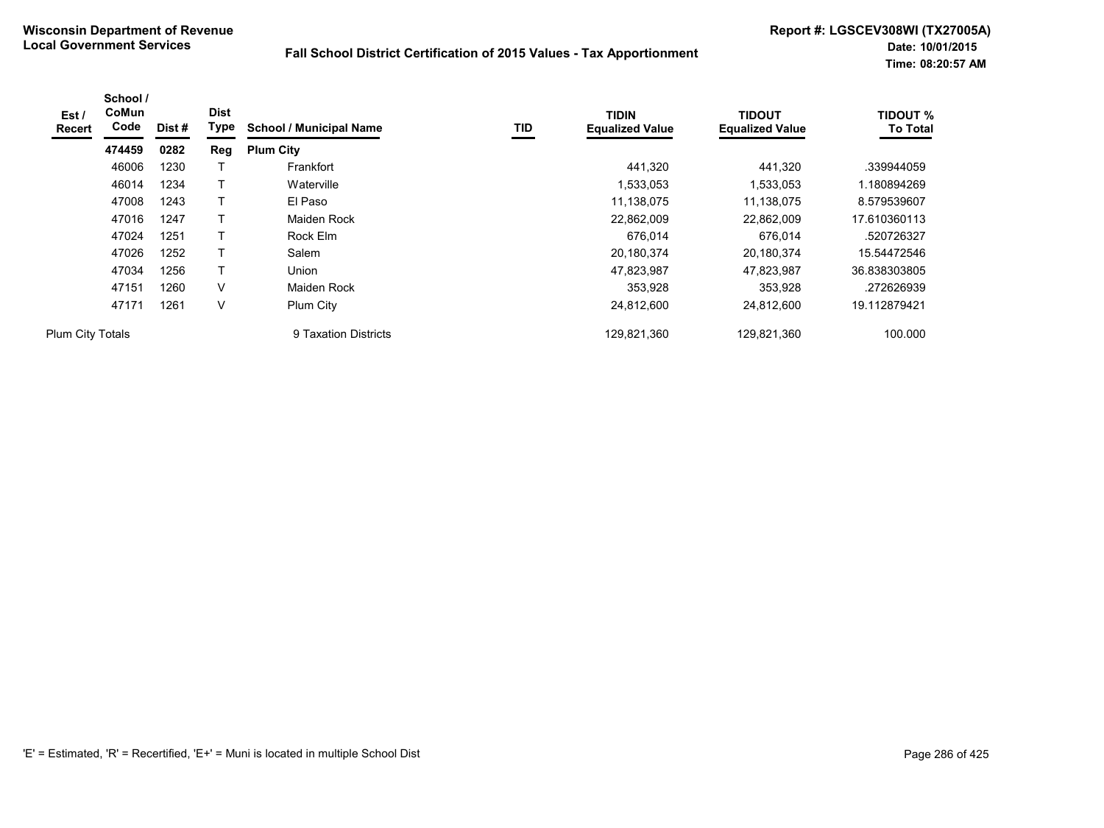| Est /<br>Recert  | School /<br>CoMun<br>Code | Dist# | <b>Dist</b><br>Type | <b>School / Municipal Name</b> | <b>TID</b> | <b>TIDIN</b><br><b>Equalized Value</b> | <b>TIDOUT</b><br><b>Equalized Value</b> | <b>TIDOUT %</b><br><b>To Total</b> |
|------------------|---------------------------|-------|---------------------|--------------------------------|------------|----------------------------------------|-----------------------------------------|------------------------------------|
|                  | 474459                    | 0282  | Reg                 | <b>Plum City</b>               |            |                                        |                                         |                                    |
|                  | 46006                     | 1230  |                     | Frankfort                      |            | 441,320                                | 441,320                                 | .339944059                         |
|                  | 46014                     | 1234  |                     | Waterville                     |            | 1,533,053                              | 1,533,053                               | 1.180894269                        |
|                  | 47008                     | 1243  |                     | El Paso                        |            | 11,138,075                             | 11,138,075                              | 8.579539607                        |
|                  | 47016                     | 1247  |                     | <b>Maiden Rock</b>             |            | 22,862,009                             | 22,862,009                              | 17.610360113                       |
|                  | 47024                     | 1251  |                     | Rock Elm                       |            | 676.014                                | 676,014                                 | .520726327                         |
|                  | 47026                     | 1252  |                     | Salem                          |            | 20,180,374                             | 20,180,374                              | 15.54472546                        |
|                  | 47034                     | 1256  | т                   | Union                          |            | 47,823,987                             | 47,823,987                              | 36.838303805                       |
|                  | 47151                     | 1260  | V                   | Maiden Rock                    |            | 353,928                                | 353,928                                 | .272626939                         |
|                  | 47171                     | 1261  | $\vee$              | Plum City                      |            | 24,812,600                             | 24,812,600                              | 19.112879421                       |
| Plum City Totals |                           |       |                     | 9 Taxation Districts           |            | 129,821,360                            | 129,821,360                             | 100.000                            |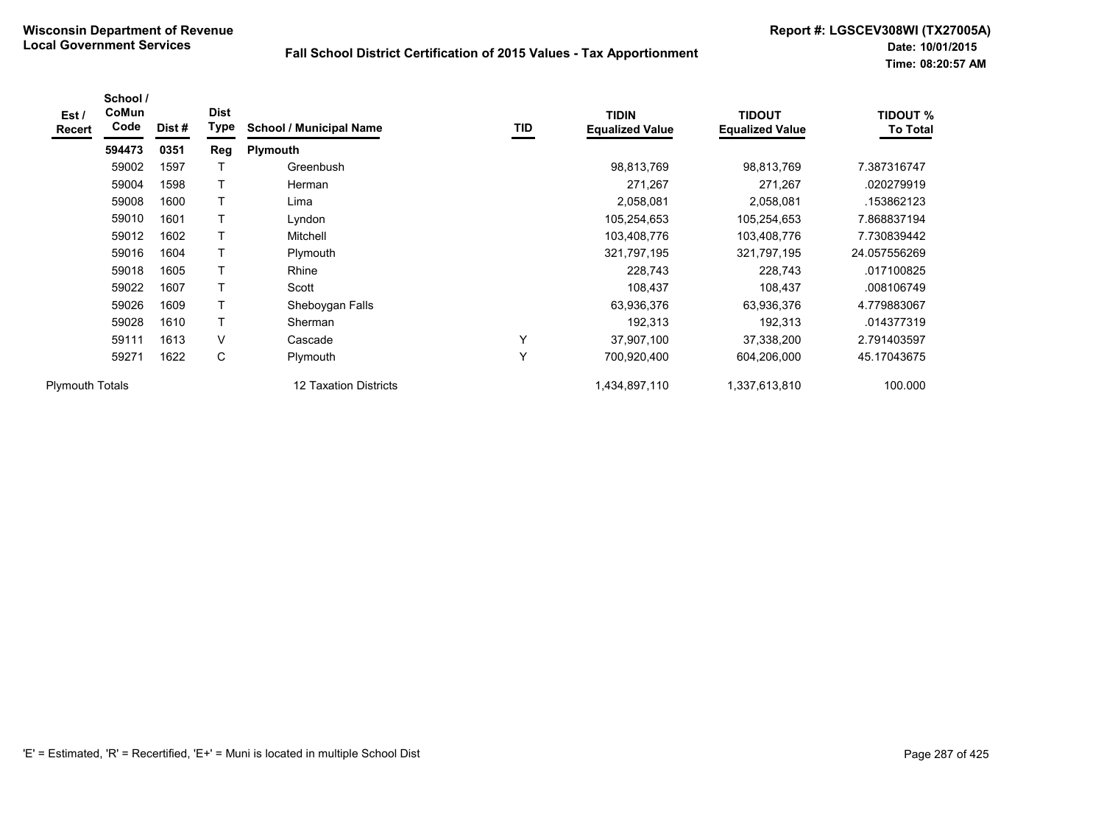| Est /<br><b>Recert</b> | School /<br>CoMun<br>Code | Dist# | <b>Dist</b><br><b>Type</b> | <b>School / Municipal Name</b> | TID          | <b>TIDIN</b><br><b>Equalized Value</b> | <b>TIDOUT</b><br><b>Equalized Value</b> | <b>TIDOUT %</b><br><b>To Total</b> |
|------------------------|---------------------------|-------|----------------------------|--------------------------------|--------------|----------------------------------------|-----------------------------------------|------------------------------------|
|                        | 594473                    | 0351  | Reg                        | <b>Plymouth</b>                |              |                                        |                                         |                                    |
|                        | 59002                     | 1597  | Т                          | Greenbush                      |              | 98,813,769                             | 98,813,769                              | 7.387316747                        |
|                        | 59004                     | 1598  | T                          | Herman                         |              | 271,267                                | 271,267                                 | .020279919                         |
|                        | 59008                     | 1600  | T                          | Lima                           |              | 2,058,081                              | 2,058,081                               | .153862123                         |
|                        | 59010                     | 1601  |                            | Lyndon                         |              | 105,254,653                            | 105,254,653                             | 7.868837194                        |
|                        | 59012                     | 1602  | T                          | Mitchell                       |              | 103,408,776                            | 103,408,776                             | 7.730839442                        |
|                        | 59016                     | 1604  | T                          | Plymouth                       |              | 321,797,195                            | 321,797,195                             | 24.057556269                       |
|                        | 59018                     | 1605  | T                          | Rhine                          |              | 228,743                                | 228,743                                 | .017100825                         |
|                        | 59022                     | 1607  | T                          | Scott                          |              | 108,437                                | 108,437                                 | .008106749                         |
|                        | 59026                     | 1609  | T                          | Sheboygan Falls                |              | 63,936,376                             | 63,936,376                              | 4.779883067                        |
|                        | 59028                     | 1610  | T                          | Sherman                        |              | 192,313                                | 192,313                                 | .014377319                         |
|                        | 59111                     | 1613  | V                          | Cascade                        | $\checkmark$ | 37,907,100                             | 37,338,200                              | 2.791403597                        |
|                        | 59271                     | 1622  | С                          | Plymouth                       | $\checkmark$ | 700,920,400                            | 604,206,000                             | 45.17043675                        |
| <b>Plymouth Totals</b> |                           |       |                            | 12 Taxation Districts          |              | 1,434,897,110                          | 1,337,613,810                           | 100.000                            |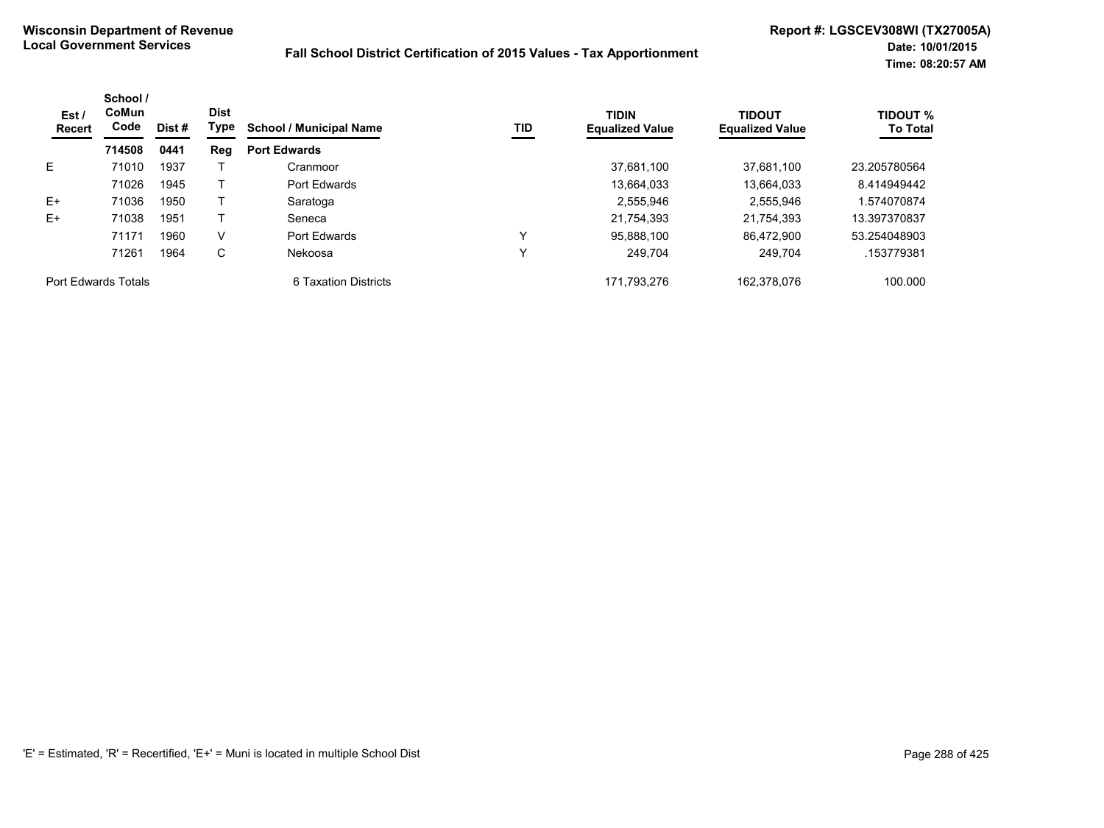| Est /<br>Recert     | School /<br>CoMun<br>Code | Dist # | <b>Dist</b><br>Type | <b>School / Municipal Name</b> | <b>TID</b> | <b>TIDIN</b><br><b>Equalized Value</b> | <b>TIDOUT</b><br><b>Equalized Value</b> | <b>TIDOUT %</b><br><b>To Total</b> |
|---------------------|---------------------------|--------|---------------------|--------------------------------|------------|----------------------------------------|-----------------------------------------|------------------------------------|
|                     | 714508                    | 0441   | Reg                 | <b>Port Edwards</b>            |            |                                        |                                         |                                    |
| E.                  | 71010                     | 1937   |                     | Cranmoor                       |            | 37,681,100                             | 37.681.100                              | 23.205780564                       |
|                     | 71026                     | 1945   |                     | Port Edwards                   |            | 13.664.033                             | 13.664.033                              | 8.414949442                        |
| $E+$                | 71036                     | 1950   |                     | Saratoga                       |            | 2.555.946                              | 2,555,946                               | 1.574070874                        |
| $E+$                | 71038                     | 1951   |                     | Seneca                         |            | 21.754.393                             | 21.754.393                              | 13.397370837                       |
|                     | 71171                     | 1960   | V                   | Port Edwards                   | v          | 95.888.100                             | 86.472.900                              | 53.254048903                       |
|                     | 71261                     | 1964   | С                   | Nekoosa                        | ν          | 249.704                                | 249.704                                 | .153779381                         |
| Port Edwards Totals |                           |        |                     | 6 Taxation Districts           |            | 171.793.276                            | 162.378.076                             | 100.000                            |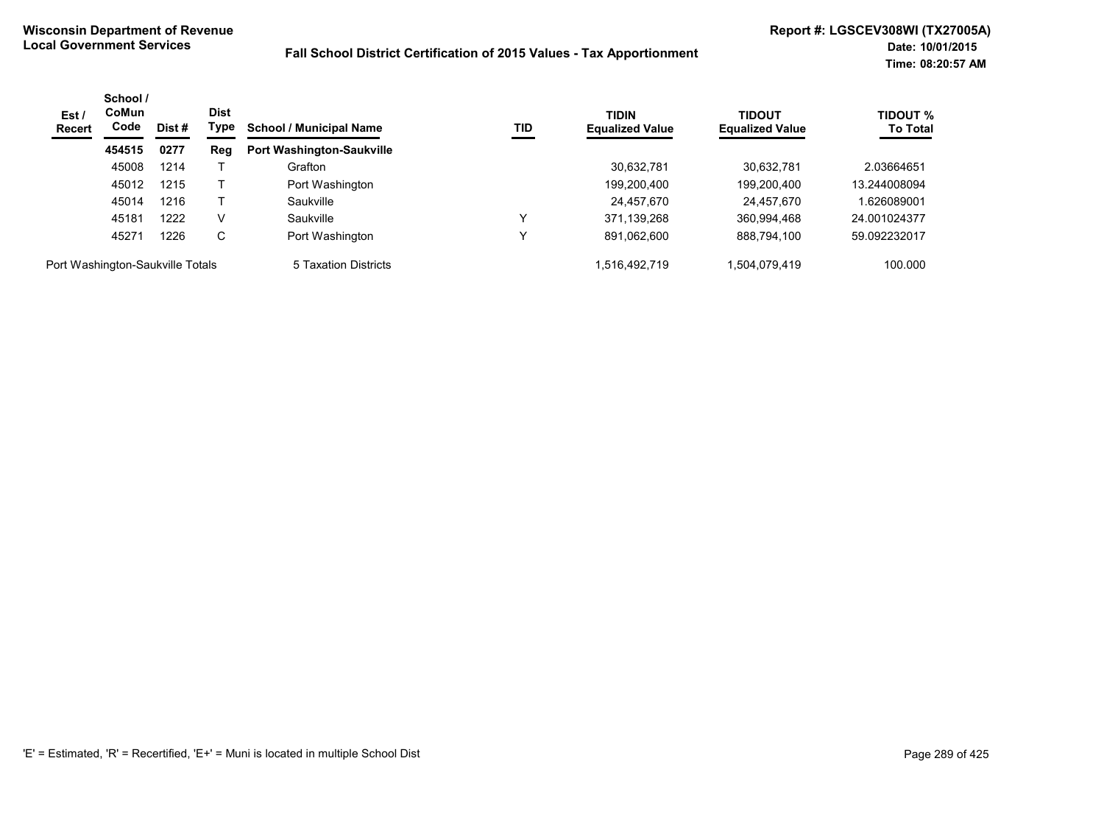| Est /<br><b>Recert</b>           | School /<br><b>CoMun</b><br>Code | Dist# | <b>Dist</b><br>Type | <b>School / Municipal Name</b>   | TID | <b>TIDIN</b><br><b>Equalized Value</b> | <b>TIDOUT</b><br><b>Equalized Value</b> | <b>TIDOUT %</b><br><b>To Total</b> |
|----------------------------------|----------------------------------|-------|---------------------|----------------------------------|-----|----------------------------------------|-----------------------------------------|------------------------------------|
|                                  | 454515                           | 0277  | Reg                 | <b>Port Washington-Saukville</b> |     |                                        |                                         |                                    |
|                                  | 45008                            | 1214  |                     | Grafton                          |     | 30,632,781                             | 30,632,781                              | 2.03664651                         |
|                                  | 45012                            | 1215  |                     | Port Washington                  |     | 199,200,400                            | 199,200,400                             | 13.244008094                       |
|                                  | 45014                            | 1216  |                     | Saukville                        |     | 24,457,670                             | 24,457,670                              | 1.626089001                        |
|                                  | 45181                            | 1222  | V                   | Saukville                        |     | 371,139,268                            | 360,994,468                             | 24.001024377                       |
|                                  | 45271                            | 1226  | C                   | Port Washington                  |     | 891,062,600                            | 888,794,100                             | 59.092232017                       |
| Port Washington-Saukville Totals |                                  |       |                     | 5 Taxation Districts             |     | 1,516,492,719                          | 1,504,079,419                           | 100.000                            |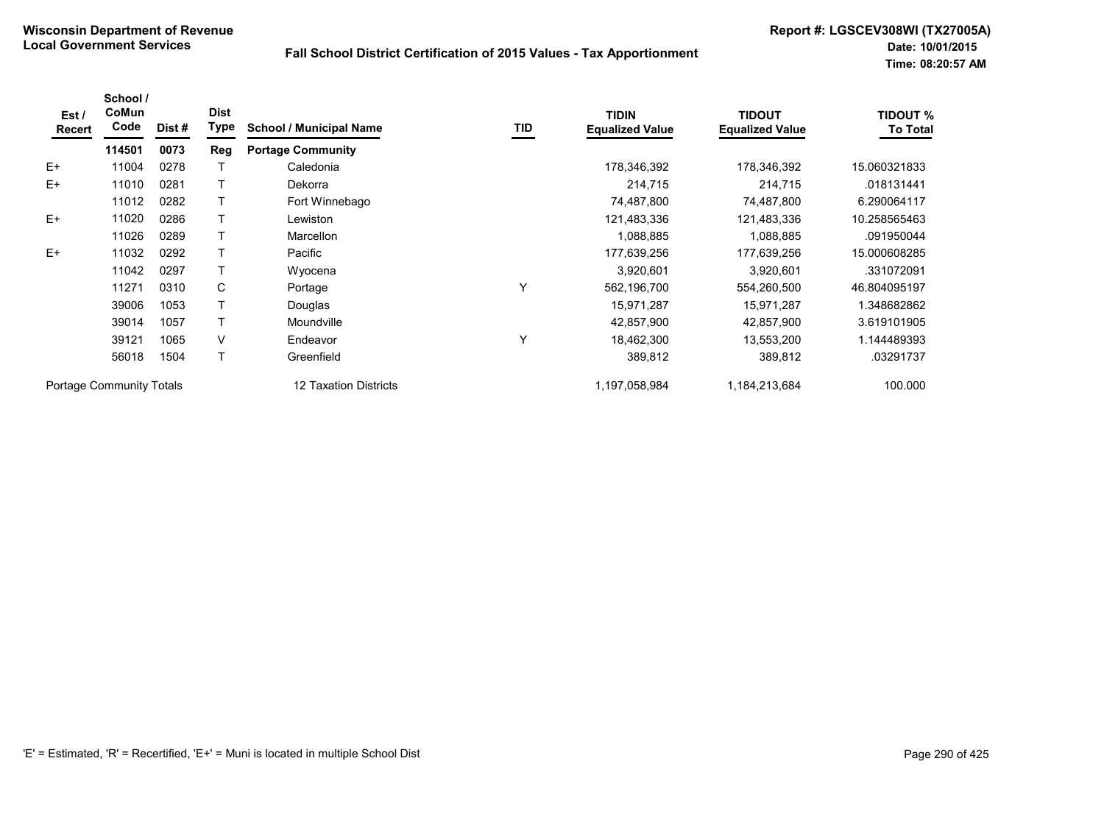| Est /<br>Recert | School /<br>CoMun<br>Code       | Dist # | <b>Dist</b><br>Type | <b>School / Municipal Name</b> | TID | <b>TIDIN</b><br><b>Equalized Value</b> | <b>TIDOUT</b><br><b>Equalized Value</b> | <b>TIDOUT %</b><br><b>To Total</b> |
|-----------------|---------------------------------|--------|---------------------|--------------------------------|-----|----------------------------------------|-----------------------------------------|------------------------------------|
|                 | 114501                          | 0073   | Reg                 | <b>Portage Community</b>       |     |                                        |                                         |                                    |
| $E+$            | 11004                           | 0278   |                     | Caledonia                      |     | 178,346,392                            | 178,346,392                             | 15.060321833                       |
| $E+$            | 11010                           | 0281   |                     | Dekorra                        |     | 214,715                                | 214,715                                 | .018131441                         |
|                 | 11012                           | 0282   |                     | Fort Winnebago                 |     | 74,487,800                             | 74,487,800                              | 6.290064117                        |
| $E+$            | 11020                           | 0286   |                     | Lewiston                       |     | 121,483,336                            | 121,483,336                             | 10.258565463                       |
|                 | 11026                           | 0289   |                     | Marcellon                      |     | 1,088,885                              | 1,088,885                               | .091950044                         |
| $E+$            | 11032                           | 0292   |                     | Pacific                        |     | 177,639,256                            | 177,639,256                             | 15.000608285                       |
|                 | 11042                           | 0297   |                     | Wyocena                        |     | 3,920,601                              | 3,920,601                               | .331072091                         |
|                 | 11271                           | 0310   | C                   | Portage                        | Υ   | 562,196,700                            | 554,260,500                             | 46.804095197                       |
|                 | 39006                           | 1053   |                     | Douglas                        |     | 15,971,287                             | 15,971,287                              | 1.348682862                        |
|                 | 39014                           | 1057   |                     | Moundville                     |     | 42,857,900                             | 42,857,900                              | 3.619101905                        |
|                 | 39121                           | 1065   | V                   | Endeavor                       | Υ   | 18,462,300                             | 13,553,200                              | 1.144489393                        |
|                 | 56018                           | 1504   |                     | Greenfield                     |     | 389,812                                | 389,812                                 | .03291737                          |
|                 | <b>Portage Community Totals</b> |        |                     | 12 Taxation Districts          |     | 1,197,058,984                          | 1,184,213,684                           | 100.000                            |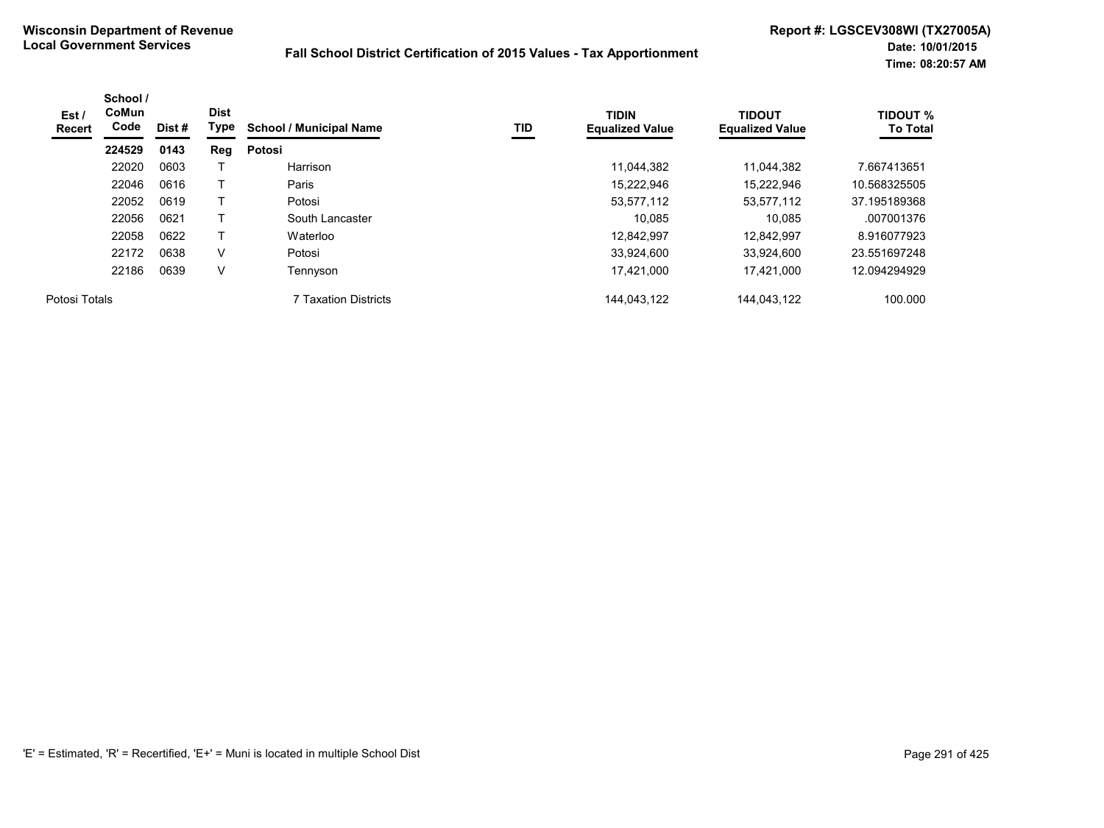| Est /<br>Recert | School /<br><b>CoMun</b><br>Code | Dist # | <b>Dist</b><br>Type | <b>School / Municipal Name</b> | TID | <b>TIDIN</b><br><b>Equalized Value</b> | <b>TIDOUT</b><br><b>Equalized Value</b> | <b>TIDOUT %</b><br><b>To Total</b> |
|-----------------|----------------------------------|--------|---------------------|--------------------------------|-----|----------------------------------------|-----------------------------------------|------------------------------------|
|                 | 224529                           | 0143   | Reg                 | Potosi                         |     |                                        |                                         |                                    |
|                 | 22020                            | 0603   |                     | Harrison                       |     | 11,044,382                             | 11,044,382                              | 7.667413651                        |
|                 | 22046                            | 0616   |                     | Paris                          |     | 15.222.946                             | 15.222.946                              | 10.568325505                       |
|                 | 22052                            | 0619   |                     | Potosi                         |     | 53,577,112                             | 53,577,112                              | 37.195189368                       |
|                 | 22056                            | 0621   |                     | South Lancaster                |     | 10.085                                 | 10.085                                  | .007001376                         |
|                 | 22058                            | 0622   |                     | Waterloo                       |     | 12.842.997                             | 12.842.997                              | 8.916077923                        |
|                 | 22172                            | 0638   | $\vee$              | Potosi                         |     | 33,924,600                             | 33.924.600                              | 23.551697248                       |
|                 | 22186                            | 0639   | V                   | Tennyson                       |     | 17,421,000                             | 17,421,000                              | 12.094294929                       |
| Potosi Totals   |                                  |        |                     | 7 Taxation Districts           |     | 144.043.122                            | 144.043.122                             | 100.000                            |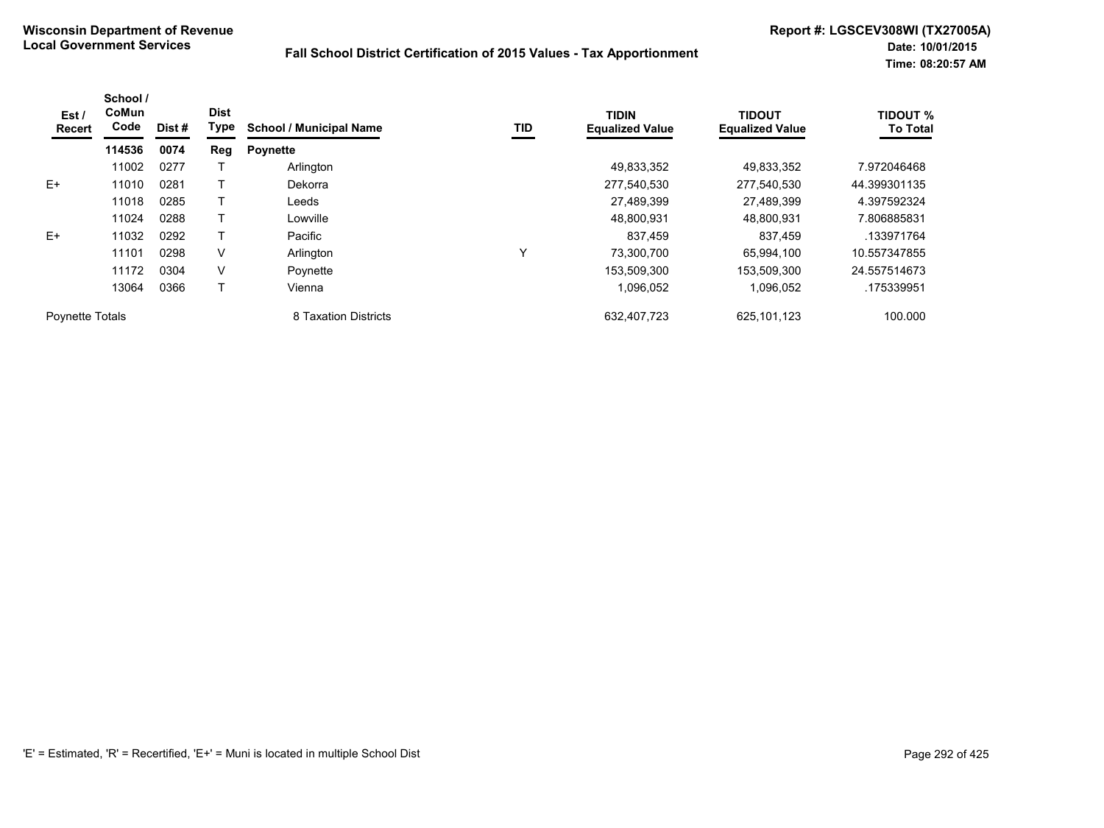| Est /<br><b>Recert</b> | School /<br>CoMun<br>Code | Dist# | <b>Dist</b><br><b>Type</b> | <b>School / Municipal Name</b> | TID | <b>TIDIN</b><br><b>Equalized Value</b> | <b>TIDOUT</b><br><b>Equalized Value</b> | <b>TIDOUT %</b><br><b>To Total</b> |
|------------------------|---------------------------|-------|----------------------------|--------------------------------|-----|----------------------------------------|-----------------------------------------|------------------------------------|
|                        | 114536                    | 0074  | Reg                        | <b>Poynette</b>                |     |                                        |                                         |                                    |
|                        | 11002                     | 0277  |                            | Arlington                      |     | 49,833,352                             | 49,833,352                              | 7.972046468                        |
| $E+$                   | 11010                     | 0281  |                            | Dekorra                        |     | 277,540,530                            | 277,540,530                             | 44.399301135                       |
|                        | 11018                     | 0285  |                            | Leeds                          |     | 27,489,399                             | 27,489,399                              | 4.397592324                        |
|                        | 11024                     | 0288  |                            | Lowville                       |     | 48.800.931                             | 48.800.931                              | 7.806885831                        |
| $E+$                   | 11032                     | 0292  |                            | Pacific                        |     | 837.459                                | 837,459                                 | .133971764                         |
|                        | 11101                     | 0298  | V                          | Arlington                      | Y   | 73,300,700                             | 65,994,100                              | 10.557347855                       |
|                        | 11172                     | 0304  | V                          | Poynette                       |     | 153,509,300                            | 153,509,300                             | 24.557514673                       |
|                        | 13064                     | 0366  |                            | Vienna                         |     | 1,096,052                              | 1,096,052                               | .175339951                         |
| <b>Poynette Totals</b> |                           |       |                            | 8 Taxation Districts           |     | 632,407,723                            | 625,101,123                             | 100.000                            |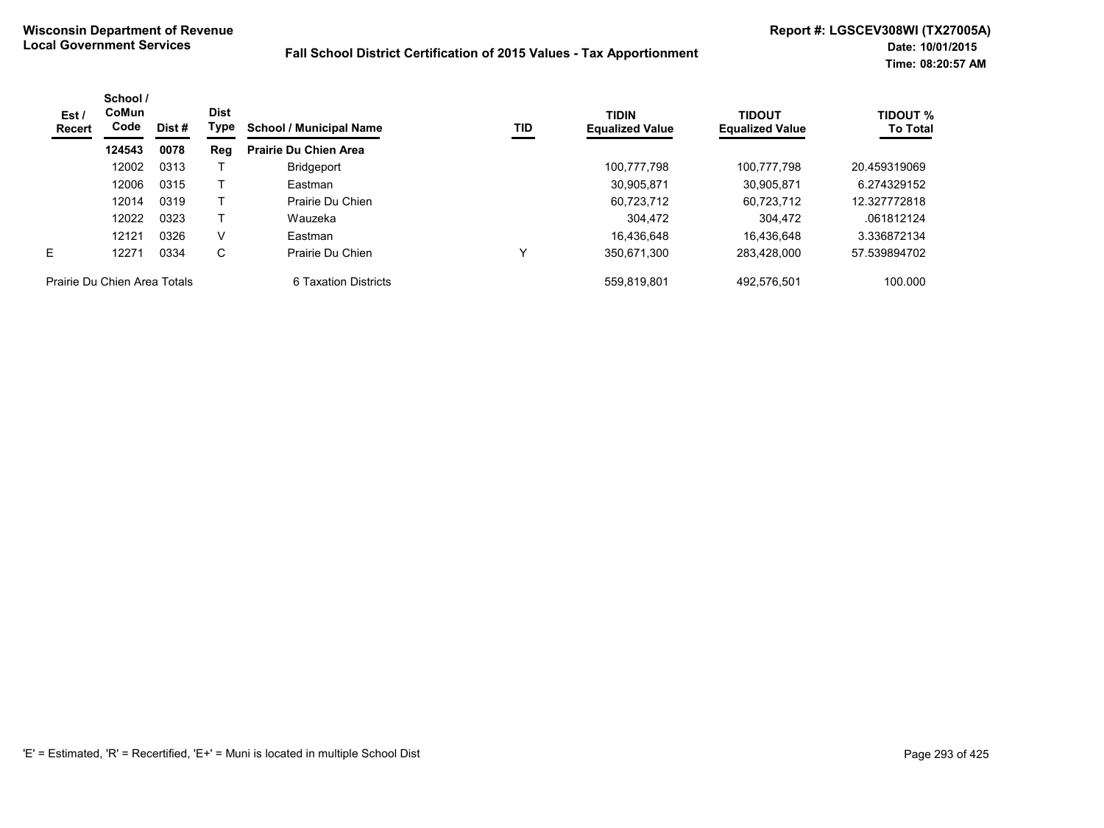| Est /<br><b>Recert</b>       | School /<br><b>CoMun</b><br>Code | Dist # | <b>Dist</b><br>Type | <b>School / Municipal Name</b> | TID | <b>TIDIN</b><br><b>Equalized Value</b> | <b>TIDOUT</b><br><b>Equalized Value</b> | <b>TIDOUT %</b><br><b>To Total</b> |
|------------------------------|----------------------------------|--------|---------------------|--------------------------------|-----|----------------------------------------|-----------------------------------------|------------------------------------|
|                              | 124543                           | 0078   | Reg                 | <b>Prairie Du Chien Area</b>   |     |                                        |                                         |                                    |
|                              | 12002                            | 0313   |                     | <b>Bridgeport</b>              |     | 100,777,798                            | 100,777,798                             | 20.459319069                       |
|                              | 12006                            | 0315   |                     | Eastman                        |     | 30,905,871                             | 30,905,871                              | 6.274329152                        |
|                              | 12014                            | 0319   |                     | Prairie Du Chien               |     | 60,723,712                             | 60.723.712                              | 12.327772818                       |
|                              | 12022                            | 0323   |                     | Wauzeka                        |     | 304.472                                | 304,472                                 | .061812124                         |
|                              | 12121                            | 0326   | v                   | Eastman                        |     | 16.436.648                             | 16.436.648                              | 3.336872134                        |
| E.                           | 12271                            | 0334   | C                   | Prairie Du Chien               |     | 350.671.300                            | 283.428.000                             | 57.539894702                       |
| Prairie Du Chien Area Totals |                                  |        |                     | 6 Taxation Districts           |     | 559.819.801                            | 492,576,501                             | 100.000                            |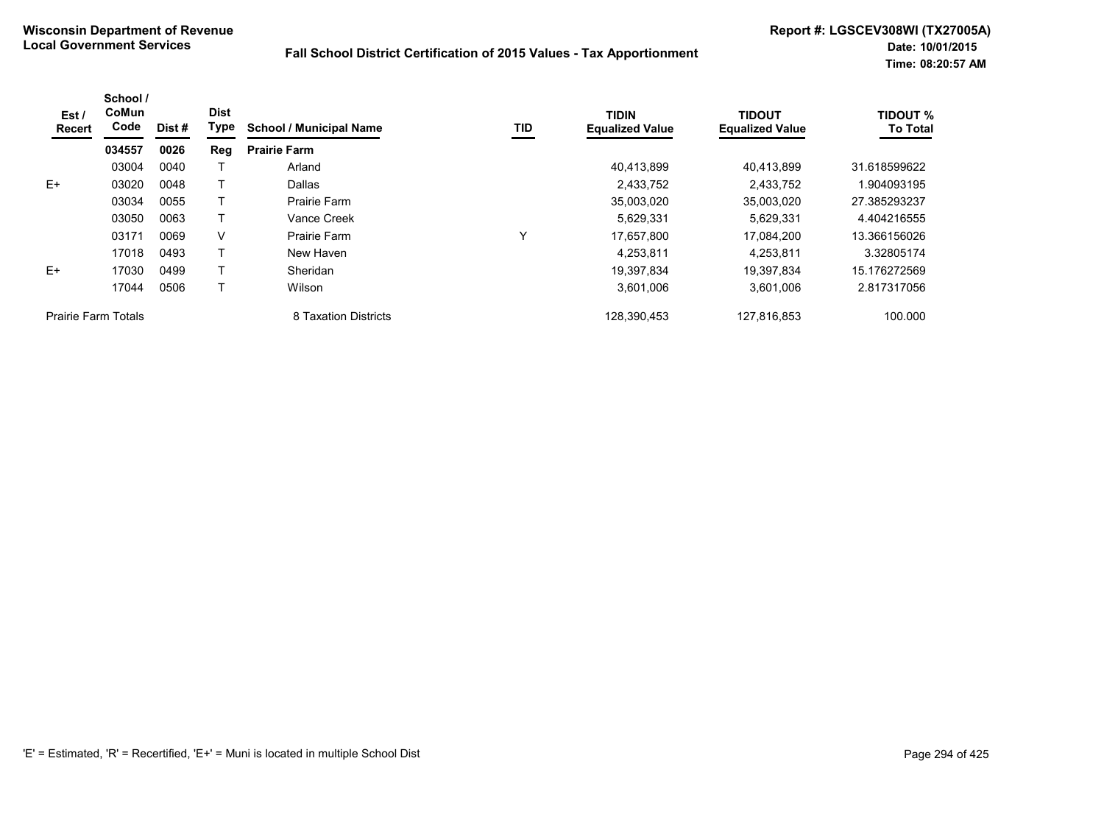| Est/<br>Recert             | School /<br>CoMun<br>Code | Dist# | <b>Dist</b><br>Type | <b>School / Municipal Name</b> | TID | <b>TIDIN</b><br><b>Equalized Value</b> | <b>TIDOUT</b><br><b>Equalized Value</b> | <b>TIDOUT %</b><br><b>To Total</b> |
|----------------------------|---------------------------|-------|---------------------|--------------------------------|-----|----------------------------------------|-----------------------------------------|------------------------------------|
|                            | 034557                    | 0026  | Reg                 | <b>Prairie Farm</b>            |     |                                        |                                         |                                    |
|                            | 03004                     | 0040  |                     | Arland                         |     | 40,413,899                             | 40,413,899                              | 31.618599622                       |
| $E+$                       | 03020                     | 0048  |                     | Dallas                         |     | 2,433,752                              | 2,433,752                               | 1.904093195                        |
|                            | 03034                     | 0055  |                     | Prairie Farm                   |     | 35,003,020                             | 35,003,020                              | 27.385293237                       |
|                            | 03050                     | 0063  |                     | Vance Creek                    |     | 5.629.331                              | 5.629.331                               | 4.404216555                        |
|                            | 03171                     | 0069  | v                   | Prairie Farm                   | ν   | 17,657,800                             | 17,084,200                              | 13.366156026                       |
|                            | 17018                     | 0493  |                     | New Haven                      |     | 4,253,811                              | 4,253,811                               | 3.32805174                         |
| $E+$                       | 17030                     | 0499  |                     | Sheridan                       |     | 19,397,834                             | 19,397,834                              | 15.176272569                       |
|                            | 17044                     | 0506  |                     | Wilson                         |     | 3,601,006                              | 3,601,006                               | 2.817317056                        |
| <b>Prairie Farm Totals</b> |                           |       |                     | 8 Taxation Districts           |     | 128,390,453                            | 127,816,853                             | 100.000                            |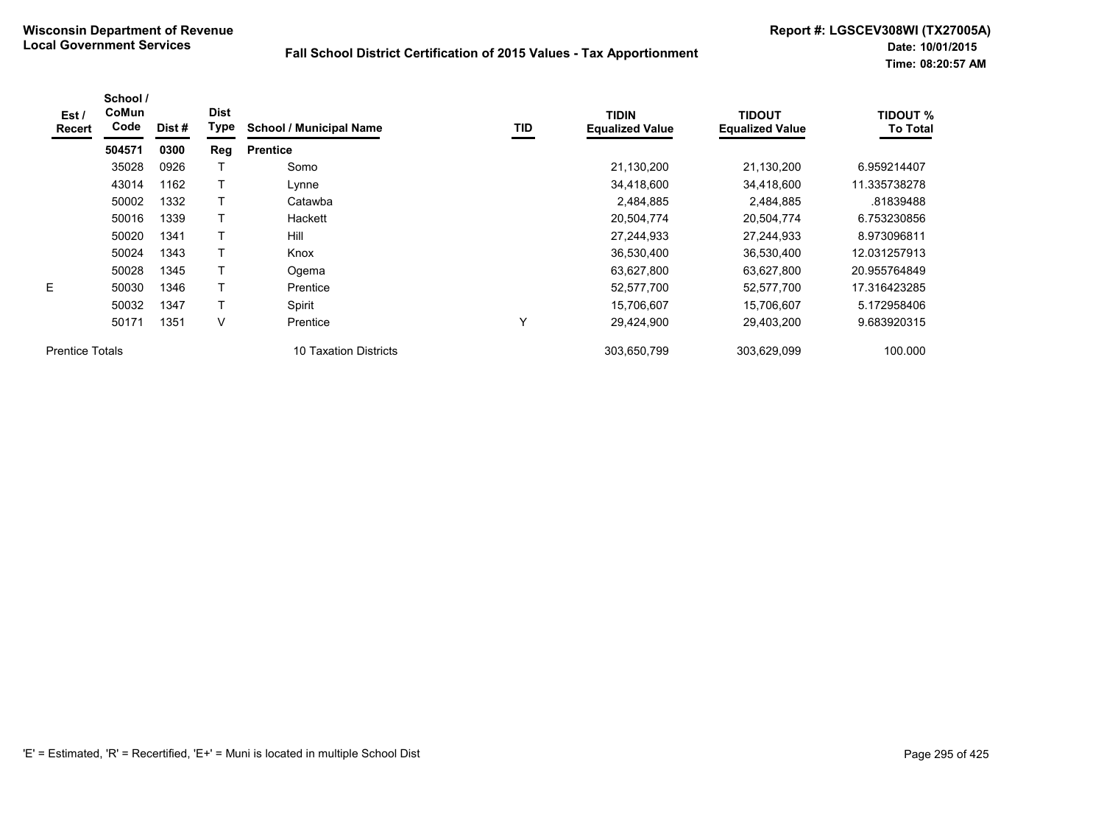| Est /<br>Recert        | School /<br>CoMun<br>Code | Dist # | <b>Dist</b><br>Type | <b>School / Municipal Name</b> | TID | <b>TIDIN</b><br><b>Equalized Value</b> | <b>TIDOUT</b><br><b>Equalized Value</b> | <b>TIDOUT %</b><br><b>To Total</b> |
|------------------------|---------------------------|--------|---------------------|--------------------------------|-----|----------------------------------------|-----------------------------------------|------------------------------------|
|                        | 504571                    | 0300   | Reg                 | <b>Prentice</b>                |     |                                        |                                         |                                    |
|                        | 35028                     | 0926   |                     | Somo                           |     | 21,130,200                             | 21,130,200                              | 6.959214407                        |
|                        | 43014                     | 1162   |                     | Lynne                          |     | 34,418,600                             | 34,418,600                              | 11.335738278                       |
|                        | 50002                     | 1332   |                     | Catawba                        |     | 2,484,885                              | 2,484,885                               | .81839488                          |
|                        | 50016                     | 1339   |                     | Hackett                        |     | 20,504,774                             | 20,504,774                              | 6.753230856                        |
|                        | 50020                     | 1341   |                     | Hill                           |     | 27,244,933                             | 27,244,933                              | 8.973096811                        |
|                        | 50024                     | 1343   |                     | Knox                           |     | 36,530,400                             | 36,530,400                              | 12.031257913                       |
|                        | 50028                     | 1345   |                     | Ogema                          |     | 63,627,800                             | 63,627,800                              | 20.955764849                       |
| E.                     | 50030                     | 1346   |                     | Prentice                       |     | 52,577,700                             | 52,577,700                              | 17.316423285                       |
|                        | 50032                     | 1347   |                     | Spirit                         |     | 15,706,607                             | 15,706,607                              | 5.172958406                        |
|                        | 50171                     | 1351   | V                   | Prentice                       | Υ   | 29,424,900                             | 29,403,200                              | 9.683920315                        |
| <b>Prentice Totals</b> |                           |        |                     | 10 Taxation Districts          |     | 303,650,799                            | 303,629,099                             | 100.000                            |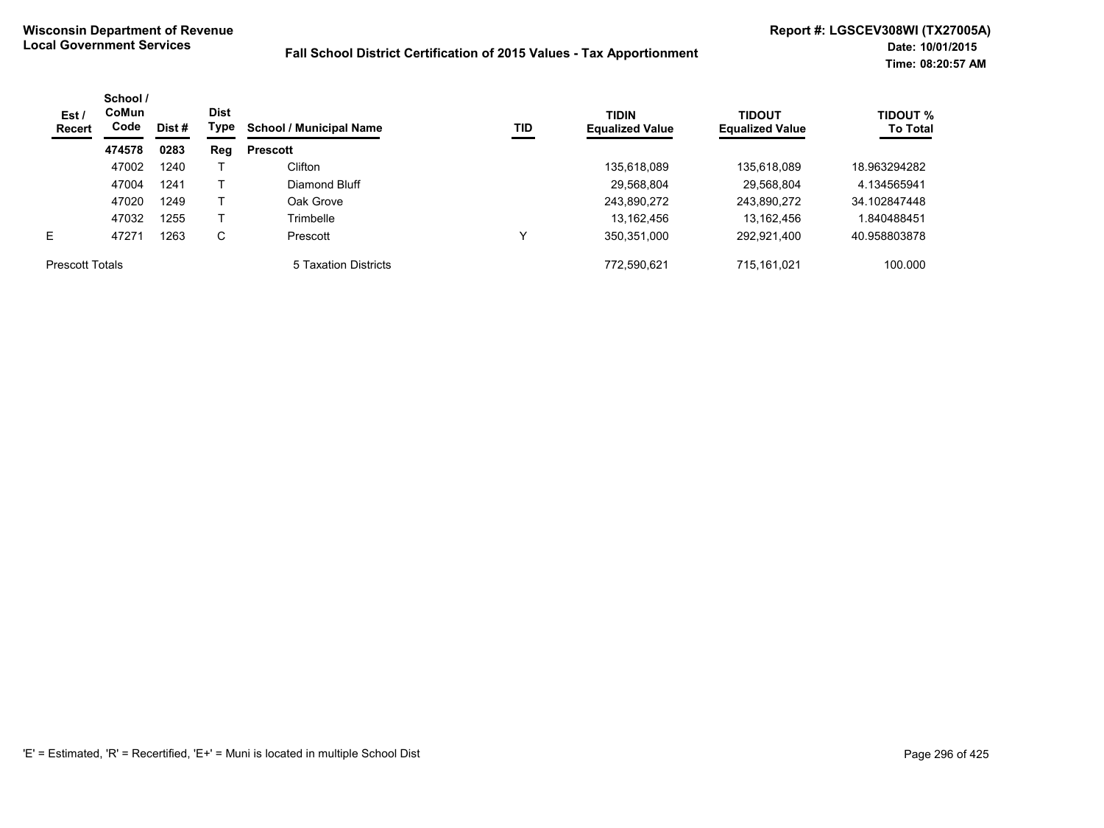| Est /<br>Recert        | School /<br><b>CoMun</b><br>Code | Dist # | <b>Dist</b><br>Type | <b>School / Municipal Name</b> | TID | <b>TIDIN</b><br><b>Equalized Value</b> | <b>TIDOUT</b><br><b>Equalized Value</b> | <b>TIDOUT %</b><br><b>To Total</b> |
|------------------------|----------------------------------|--------|---------------------|--------------------------------|-----|----------------------------------------|-----------------------------------------|------------------------------------|
|                        | 474578                           | 0283   | Reg                 | <b>Prescott</b>                |     |                                        |                                         |                                    |
|                        | 47002                            | 1240   |                     | Clifton                        |     | 135,618,089                            | 135,618,089                             | 18.963294282                       |
|                        | 47004                            | 1241   |                     | Diamond Bluff                  |     | 29,568,804                             | 29,568,804                              | 4.134565941                        |
|                        | 47020                            | 1249   |                     | Oak Grove                      |     | 243,890,272                            | 243,890,272                             | 34.102847448                       |
|                        | 47032                            | 1255   |                     | Trimbelle                      |     | 13,162,456                             | 13,162,456                              | .840488451                         |
| E.                     | 47271                            | 1263   | C                   | Prescott                       |     | 350,351,000                            | 292,921,400                             | 40.958803878                       |
| <b>Prescott Totals</b> |                                  |        |                     | 5 Taxation Districts           |     | 772,590,621                            | 715,161,021                             | 100.000                            |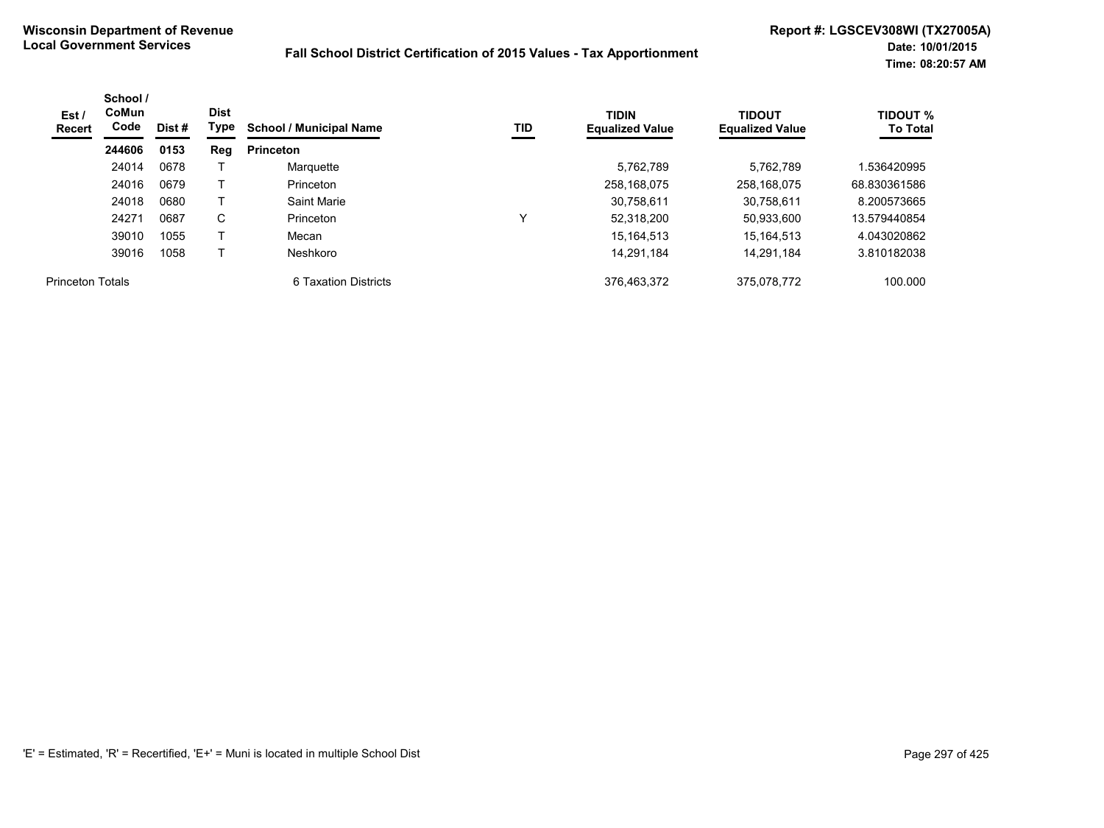| Est /<br>Recert         | School /<br>CoMun<br>Code | Dist # | <b>Dist</b><br>Type | <b>School / Municipal Name</b> | TID | <b>TIDIN</b><br><b>Equalized Value</b> | <b>TIDOUT</b><br><b>Equalized Value</b> | <b>TIDOUT %</b><br><b>To Total</b> |
|-------------------------|---------------------------|--------|---------------------|--------------------------------|-----|----------------------------------------|-----------------------------------------|------------------------------------|
|                         | 244606                    | 0153   | <b>Reg</b>          | <b>Princeton</b>               |     |                                        |                                         |                                    |
|                         | 24014                     | 0678   |                     | Marquette                      |     | 5,762,789                              | 5.762.789                               | .536420995                         |
|                         | 24016                     | 0679   |                     | Princeton                      |     | 258.168.075                            | 258.168.075                             | 68.830361586                       |
|                         | 24018                     | 0680   |                     | Saint Marie                    |     | 30,758,611                             | 30,758,611                              | 8.200573665                        |
|                         | 24271                     | 0687   | C                   | Princeton                      | v   | 52,318,200                             | 50,933,600                              | 13.579440854                       |
|                         | 39010                     | 1055   |                     | Mecan                          |     | 15.164.513                             | 15.164.513                              | 4.043020862                        |
|                         | 39016                     | 1058   |                     | Neshkoro                       |     | 14,291,184                             | 14.291.184                              | 3.810182038                        |
| <b>Princeton Totals</b> |                           |        |                     | 6 Taxation Districts           |     | 376.463.372                            | 375.078.772                             | 100.000                            |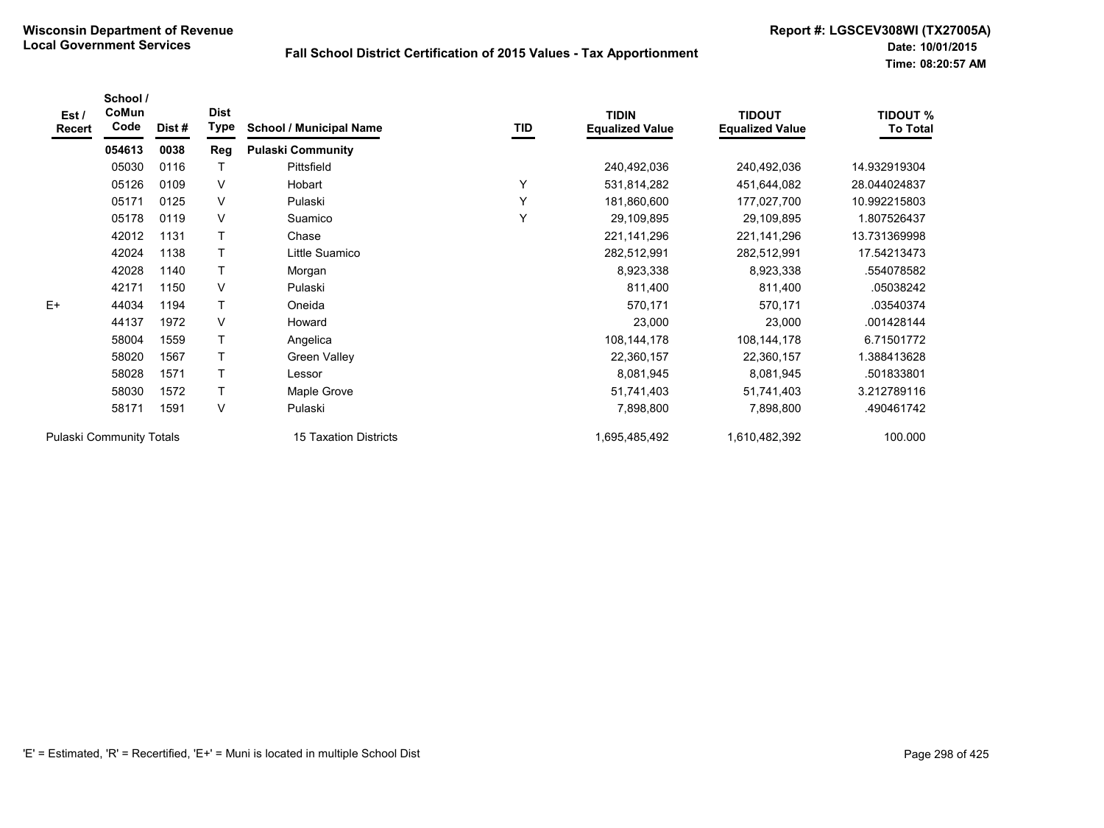| Est /<br><b>Recert</b>          | School /<br>CoMun<br>Code | Dist# | <b>Dist</b><br>Type | <b>School / Municipal Name</b> | TID | <b>TIDIN</b><br><b>Equalized Value</b> | <b>TIDOUT</b><br><b>Equalized Value</b> | <b>TIDOUT %</b><br><b>To Total</b> |
|---------------------------------|---------------------------|-------|---------------------|--------------------------------|-----|----------------------------------------|-----------------------------------------|------------------------------------|
|                                 | 054613                    | 0038  | Reg                 | <b>Pulaski Community</b>       |     |                                        |                                         |                                    |
|                                 | 05030                     | 0116  |                     | Pittsfield                     |     | 240,492,036                            | 240,492,036                             | 14.932919304                       |
|                                 | 05126                     | 0109  | V                   | Hobart                         | Υ   | 531,814,282                            | 451,644,082                             | 28.044024837                       |
|                                 | 05171                     | 0125  | V                   | Pulaski                        | Y   | 181,860,600                            | 177,027,700                             | 10.992215803                       |
|                                 | 05178                     | 0119  | V                   | Suamico                        | Y   | 29,109,895                             | 29,109,895                              | 1.807526437                        |
|                                 | 42012                     | 1131  |                     | Chase                          |     | 221, 141, 296                          | 221, 141, 296                           | 13.731369998                       |
|                                 | 42024                     | 1138  |                     | Little Suamico                 |     | 282,512,991                            | 282,512,991                             | 17.54213473                        |
|                                 | 42028                     | 1140  |                     | Morgan                         |     | 8,923,338                              | 8,923,338                               | .554078582                         |
|                                 | 42171                     | 1150  | V                   | Pulaski                        |     | 811,400                                | 811,400                                 | .05038242                          |
| $E+$                            | 44034                     | 1194  | $\mathsf{T}$        | Oneida                         |     | 570,171                                | 570,171                                 | .03540374                          |
|                                 | 44137                     | 1972  | V                   | Howard                         |     | 23,000                                 | 23,000                                  | .001428144                         |
|                                 | 58004                     | 1559  |                     | Angelica                       |     | 108,144,178                            | 108, 144, 178                           | 6.71501772                         |
|                                 | 58020                     | 1567  |                     | Green Valley                   |     | 22,360,157                             | 22,360,157                              | 1.388413628                        |
|                                 | 58028                     | 1571  |                     | Lessor                         |     | 8,081,945                              | 8,081,945                               | .501833801                         |
|                                 | 58030                     | 1572  | $\mathsf{T}$        | Maple Grove                    |     | 51,741,403                             | 51,741,403                              | 3.212789116                        |
|                                 | 58171                     | 1591  | V                   | Pulaski                        |     | 7,898,800                              | 7,898,800                               | .490461742                         |
| <b>Pulaski Community Totals</b> |                           |       |                     | 15 Taxation Districts          |     | 1,695,485,492                          | 1,610,482,392                           | 100.000                            |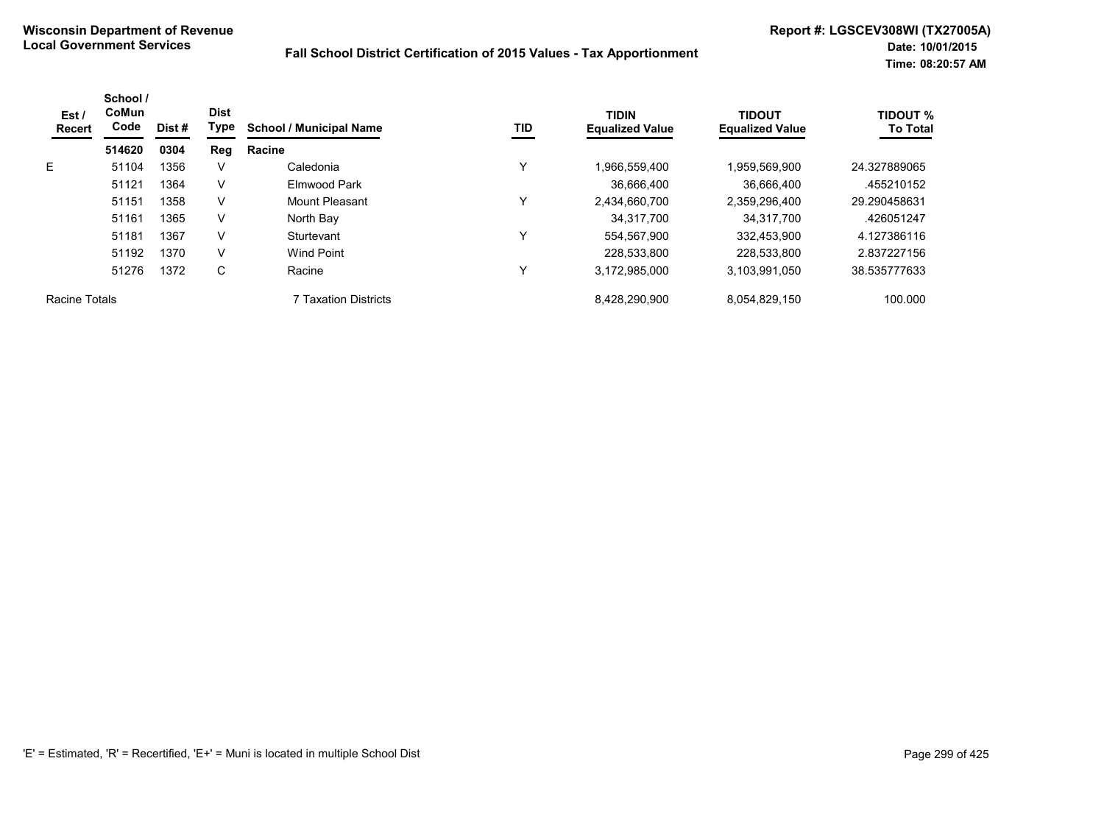| Est/<br>Recert | School /<br><b>CoMun</b><br>Code | Dist # | <b>Dist</b><br>Type | <b>School / Municipal Name</b> | TID          | <b>TIDIN</b><br><b>Equalized Value</b> | <b>TIDOUT</b><br><b>Equalized Value</b> | <b>TIDOUT %</b><br><b>To Total</b> |
|----------------|----------------------------------|--------|---------------------|--------------------------------|--------------|----------------------------------------|-----------------------------------------|------------------------------------|
|                | 514620                           | 0304   | Reg                 | Racine                         |              |                                        |                                         |                                    |
| E              | 51104                            | 1356   | V                   | Caledonia                      | ν            | 1,966,559,400                          | 1,959,569,900                           | 24.327889065                       |
|                | 51121                            | 1364   | V                   | Elmwood Park                   |              | 36.666.400                             | 36.666.400                              | .455210152                         |
|                | 51151                            | 1358   | V                   | Mount Pleasant                 | $\checkmark$ | 2.434.660.700                          | 2,359,296,400                           | 29.290458631                       |
|                | 51161                            | 1365   | V                   | North Bay                      |              | 34.317.700                             | 34.317.700                              | .426051247                         |
|                | 51181                            | 1367   | V                   | Sturtevant                     | ν            | 554.567.900                            | 332,453,900                             | 4.127386116                        |
|                | 51192                            | 1370   | V                   | Wind Point                     |              | 228.533.800                            | 228,533,800                             | 2.837227156                        |
|                | 51276                            | 1372   | C                   | Racine                         | ν            | 3,172,985,000                          | 3,103,991,050                           | 38.535777633                       |
| Racine Totals  |                                  |        |                     | 7 Taxation Districts           |              | 8,428,290,900                          | 8,054,829,150                           | 100.000                            |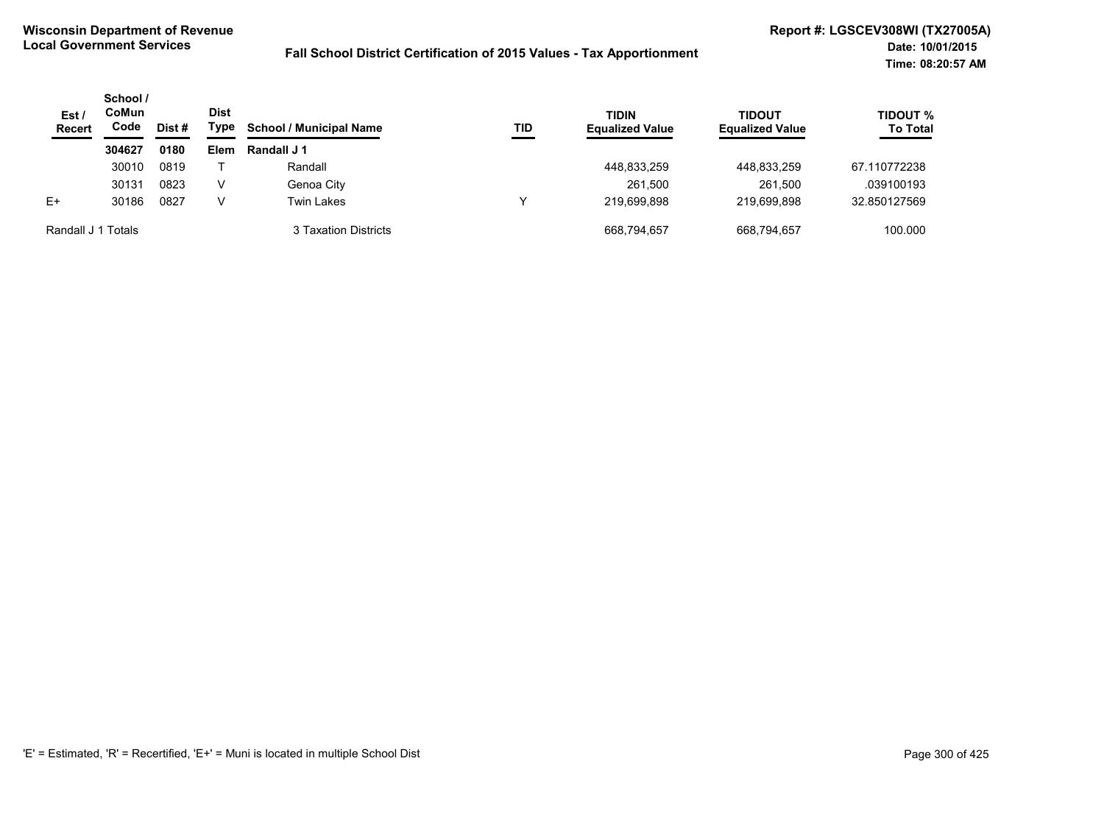| Est/<br><b>Recert</b> | School /<br>CoMun<br>Code | Dist # | <b>Dist</b><br>Type | <b>School / Municipal Name</b> | TID | <b>TIDIN</b><br><b>Equalized Value</b> | <b>TIDOUT</b><br><b>Equalized Value</b> | <b>TIDOUT %</b><br><b>To Total</b> |
|-----------------------|---------------------------|--------|---------------------|--------------------------------|-----|----------------------------------------|-----------------------------------------|------------------------------------|
|                       | 304627                    | 0180   | <b>Elem</b>         | Randall J 1                    |     |                                        |                                         |                                    |
|                       | 30010                     | 0819   |                     | Randall                        |     | 448,833,259                            | 448,833,259                             | 67.110772238                       |
|                       | 30131                     | 0823   | V                   | Genoa City                     |     | 261,500                                | 261,500                                 | .039100193                         |
| $E+$                  | 30186                     | 0827   | v                   | Twin Lakes                     |     | 219.699.898                            | 219.699.898                             | 32.850127569                       |
| Randall J 1 Totals    |                           |        |                     | 3 Taxation Districts           |     | 668,794,657                            | 668.794.657                             | 100.000                            |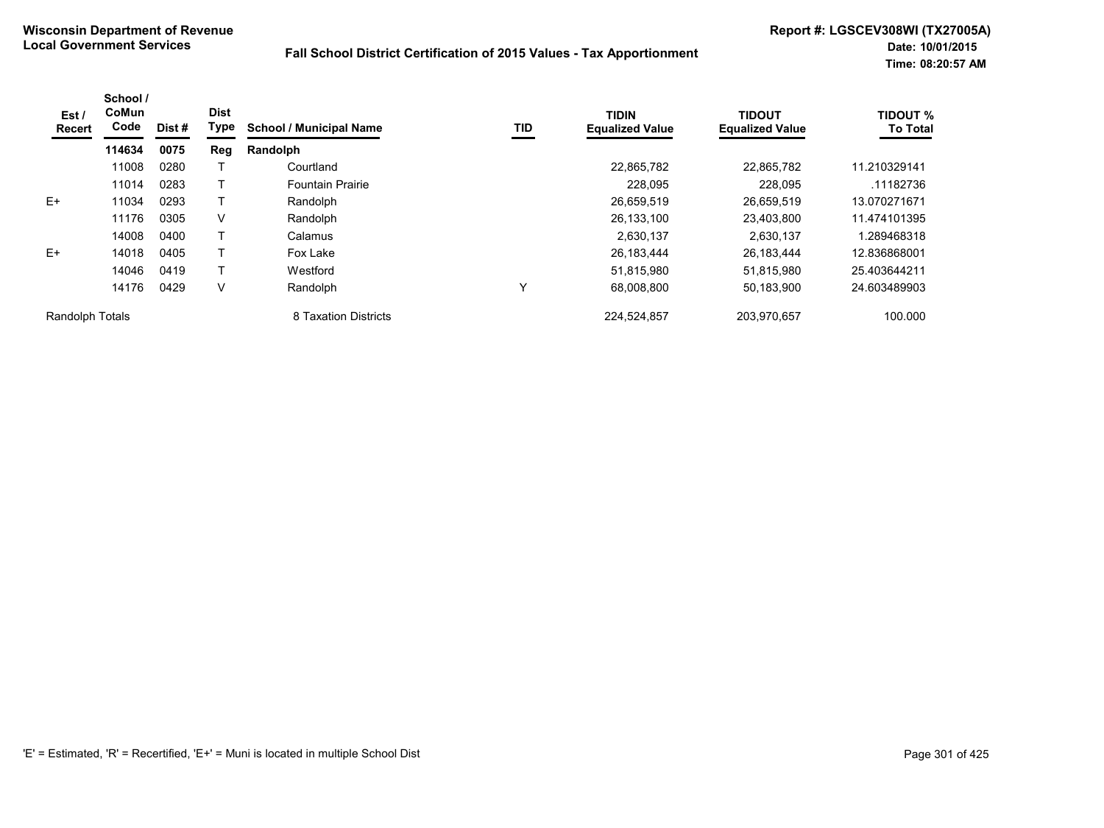| Est /<br>Recert | School /<br>CoMun<br>Code | Dist # | <b>Dist</b><br><b>Type</b> | <b>School / Municipal Name</b> | TID | <b>TIDIN</b><br><b>Equalized Value</b> | <b>TIDOUT</b><br><b>Equalized Value</b> | <b>TIDOUT %</b><br><b>To Total</b> |
|-----------------|---------------------------|--------|----------------------------|--------------------------------|-----|----------------------------------------|-----------------------------------------|------------------------------------|
|                 | 114634                    | 0075   | Reg                        | Randolph                       |     |                                        |                                         |                                    |
|                 | 11008                     | 0280   |                            | Courtland                      |     | 22,865,782                             | 22.865.782                              | 11.210329141                       |
|                 | 11014                     | 0283   |                            | <b>Fountain Prairie</b>        |     | 228.095                                | 228,095                                 | .11182736                          |
| $E+$            | 11034                     | 0293   |                            | Randolph                       |     | 26,659,519                             | 26.659.519                              | 13.070271671                       |
|                 | 11176                     | 0305   | V                          | Randolph                       |     | 26,133,100                             | 23,403,800                              | 11.474101395                       |
|                 | 14008                     | 0400   |                            | Calamus                        |     | 2.630.137                              | 2.630.137                               | 1.289468318                        |
| $E+$            | 14018                     | 0405   |                            | Fox Lake                       |     | 26,183,444                             | 26.183.444                              | 12.836868001                       |
|                 | 14046                     | 0419   |                            | Westford                       |     | 51,815,980                             | 51,815,980                              | 25.403644211                       |
|                 | 14176                     | 0429   | V                          | Randolph                       | ν   | 68,008,800                             | 50,183,900                              | 24.603489903                       |
| Randolph Totals |                           |        |                            | 8 Taxation Districts           |     | 224,524,857                            | 203,970,657                             | 100.000                            |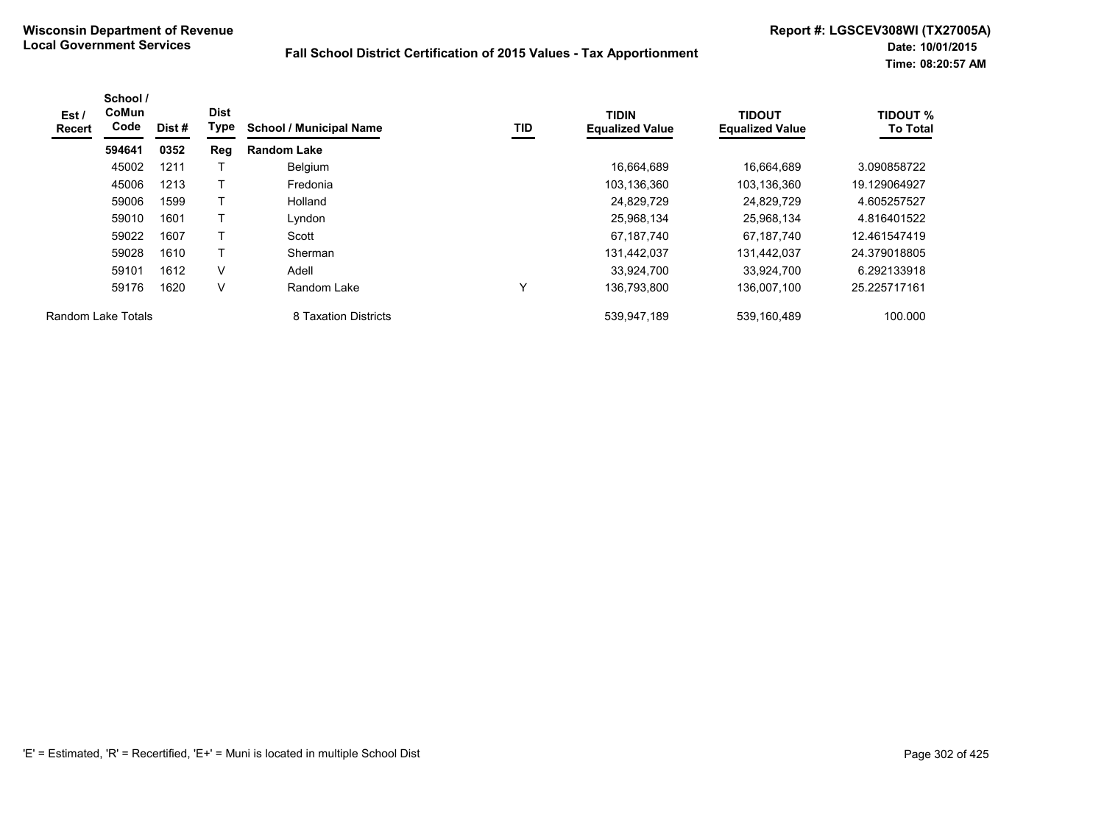| Est /<br>Recert | School /<br><b>CoMun</b><br>Code | Dist # | <b>Dist</b><br>Type | <b>School / Municipal Name</b> | <b>TID</b> | <b>TIDIN</b><br><b>Equalized Value</b> | <b>TIDOUT</b><br><b>Equalized Value</b> | <b>TIDOUT %</b><br><b>To Total</b> |
|-----------------|----------------------------------|--------|---------------------|--------------------------------|------------|----------------------------------------|-----------------------------------------|------------------------------------|
|                 | 594641                           | 0352   | Reg                 | <b>Random Lake</b>             |            |                                        |                                         |                                    |
|                 | 45002                            | 1211   |                     | Belgium                        |            | 16.664.689                             | 16.664.689                              | 3.090858722                        |
|                 | 45006                            | 1213   | Т                   | Fredonia                       |            | 103,136,360                            | 103,136,360                             | 19.129064927                       |
|                 | 59006                            | 1599   | Т                   | Holland                        |            | 24,829,729                             | 24,829,729                              | 4.605257527                        |
|                 | 59010                            | 1601   | $\mathsf{T}$        | Lyndon                         |            | 25,968,134                             | 25,968,134                              | 4.816401522                        |
|                 | 59022                            | 1607   | Т                   | Scott                          |            | 67,187,740                             | 67.187.740                              | 12.461547419                       |
|                 | 59028                            | 1610   | Τ                   | Sherman                        |            | 131,442,037                            | 131,442,037                             | 24.379018805                       |
|                 | 59101                            | 1612   | $\vee$              | Adell                          |            | 33,924,700                             | 33,924,700                              | 6.292133918                        |
|                 | 59176                            | 1620   | V                   | Random Lake                    |            | 136,793,800                            | 136,007,100                             | 25.225717161                       |
|                 | Random Lake Totals               |        |                     | 8 Taxation Districts           |            | 539,947,189                            | 539,160,489                             | 100.000                            |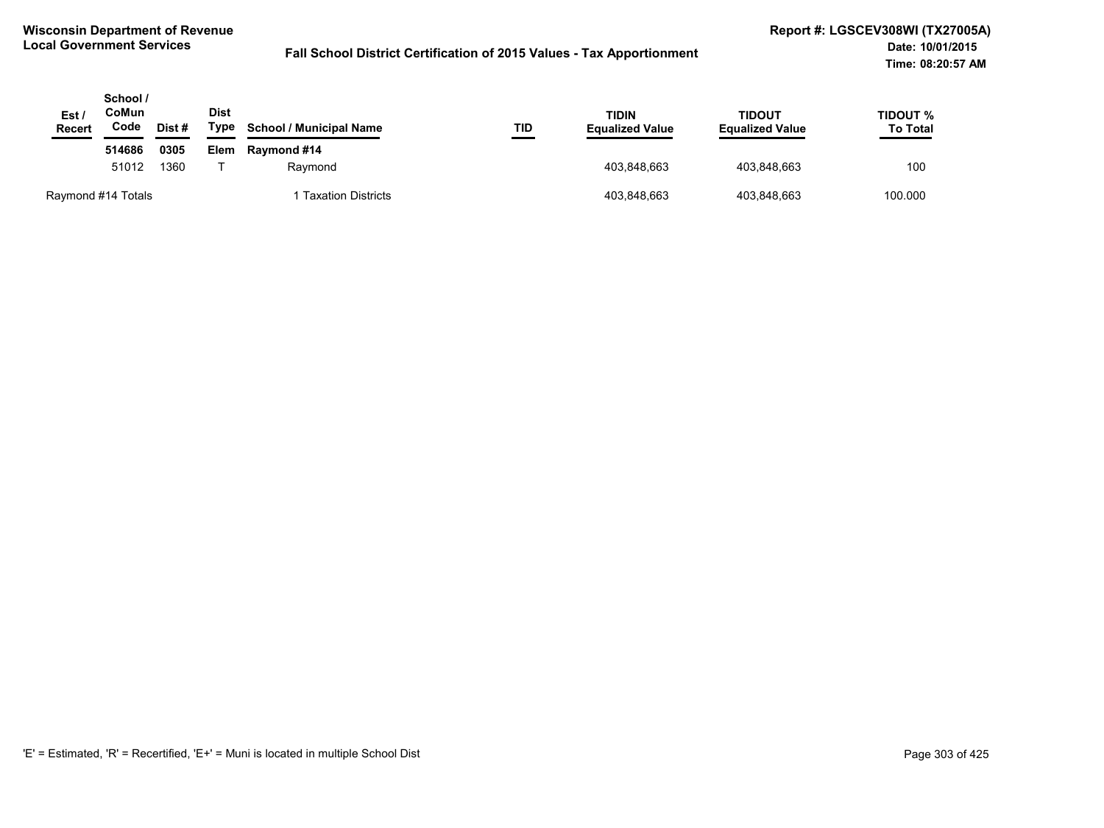| Est /<br><b>Recert</b> | School /<br>CoMun<br>Code | Dist #  | <b>Dist</b><br>Type | <b>School / Municipal Name</b> | TID         | <b>TIDIN</b><br><b>Equalized Value</b> | TIDOUT<br><b>Equalized Value</b> | TIDOUT %<br><b>To Total</b> |
|------------------------|---------------------------|---------|---------------------|--------------------------------|-------------|----------------------------------------|----------------------------------|-----------------------------|
|                        | 514686                    | 0305    | Elem                | Raymond #14                    |             |                                        |                                  |                             |
|                        | 51012<br>1360             | Raymond |                     | 403.848.663                    | 403.848.663 | 100                                    |                                  |                             |
| Raymond #14 Totals     |                           |         |                     | <b>Taxation Districts</b>      |             | 403,848,663                            | 403,848,663                      | 100.000                     |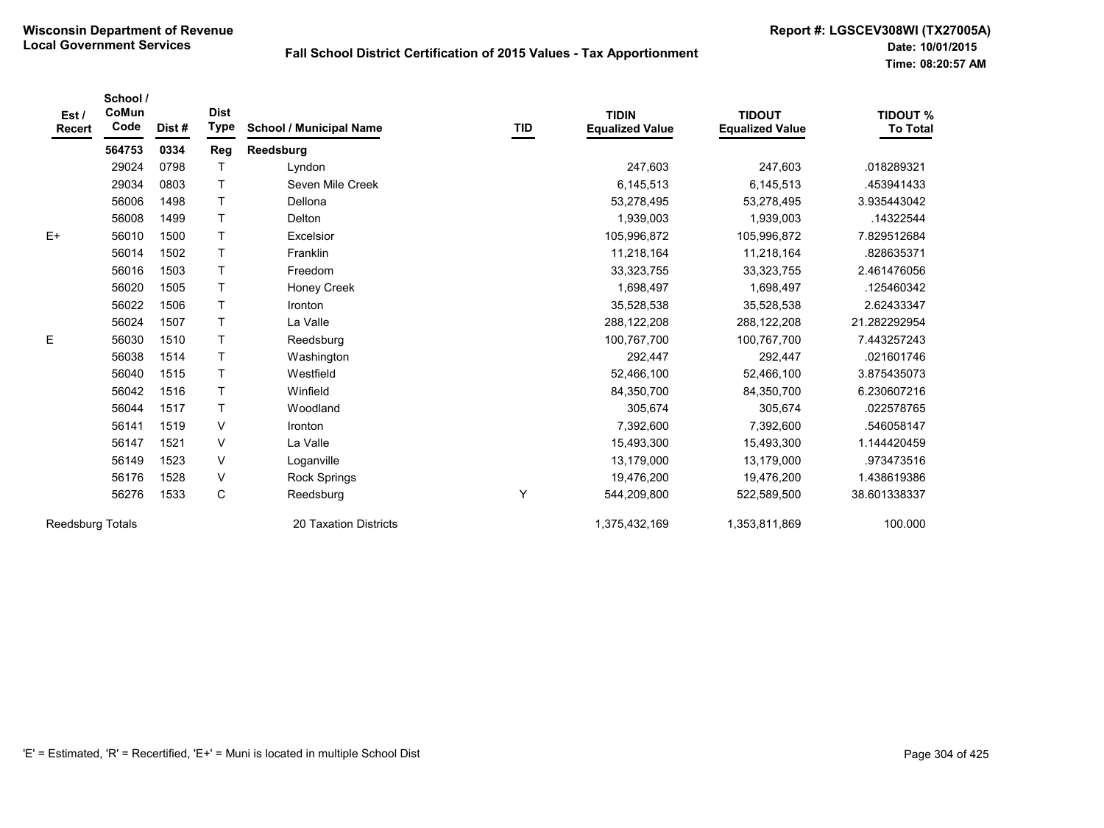| Est /<br>Recert  | School /<br>CoMun<br>Code | Dist# | <b>Dist</b><br>Type | <b>School / Municipal Name</b> | TID | <b>TIDIN</b><br><b>Equalized Value</b> | <b>TIDOUT</b><br><b>Equalized Value</b> | <b>TIDOUT %</b><br><b>To Total</b> |
|------------------|---------------------------|-------|---------------------|--------------------------------|-----|----------------------------------------|-----------------------------------------|------------------------------------|
|                  | 564753                    | 0334  | <b>Reg</b>          | Reedsburg                      |     |                                        |                                         |                                    |
|                  | 29024                     | 0798  |                     | Lyndon                         |     | 247,603                                | 247,603                                 | .018289321                         |
|                  | 29034                     | 0803  | $\mathsf{T}$        | Seven Mile Creek               |     | 6,145,513                              | 6,145,513                               | .453941433                         |
|                  | 56006                     | 1498  |                     | Dellona                        |     | 53,278,495                             | 53,278,495                              | 3.935443042                        |
|                  | 56008                     | 1499  |                     | Delton                         |     | 1,939,003                              | 1,939,003                               | .14322544                          |
| $E+$             | 56010                     | 1500  | T                   | Excelsior                      |     | 105,996,872                            | 105,996,872                             | 7.829512684                        |
|                  | 56014                     | 1502  | T                   | Franklin                       |     | 11,218,164                             | 11,218,164                              | .828635371                         |
|                  | 56016                     | 1503  |                     | Freedom                        |     | 33,323,755                             | 33,323,755                              | 2.461476056                        |
|                  | 56020                     | 1505  | Τ                   | Honey Creek                    |     | 1,698,497                              | 1,698,497                               | .125460342                         |
|                  | 56022                     | 1506  |                     | Ironton                        |     | 35,528,538                             | 35,528,538                              | 2.62433347                         |
|                  | 56024                     | 1507  |                     | La Valle                       |     | 288,122,208                            | 288,122,208                             | 21.282292954                       |
| E                | 56030                     | 1510  |                     | Reedsburg                      |     | 100,767,700                            | 100,767,700                             | 7.443257243                        |
|                  | 56038                     | 1514  |                     | Washington                     |     | 292,447                                | 292,447                                 | .021601746                         |
|                  | 56040                     | 1515  | $\mathsf T$         | Westfield                      |     | 52,466,100                             | 52,466,100                              | 3.875435073                        |
|                  | 56042                     | 1516  | $\mathsf T$         | Winfield                       |     | 84,350,700                             | 84,350,700                              | 6.230607216                        |
|                  | 56044                     | 1517  |                     | Woodland                       |     | 305,674                                | 305,674                                 | .022578765                         |
|                  | 56141                     | 1519  | $\vee$              | Ironton                        |     | 7,392,600                              | 7,392,600                               | .546058147                         |
|                  | 56147                     | 1521  | V                   | La Valle                       |     | 15,493,300                             | 15,493,300                              | 1.144420459                        |
|                  | 56149                     | 1523  | V                   | Loganville                     |     | 13,179,000                             | 13,179,000                              | .973473516                         |
|                  | 56176                     | 1528  | $\vee$              | <b>Rock Springs</b>            |     | 19,476,200                             | 19,476,200                              | 1.438619386                        |
|                  | 56276                     | 1533  | C                   | Reedsburg                      | Y   | 544,209,800                            | 522,589,500                             | 38.601338337                       |
| Reedsburg Totals |                           |       |                     | 20 Taxation Districts          |     | 1,375,432,169                          | 1,353,811,869                           | 100.000                            |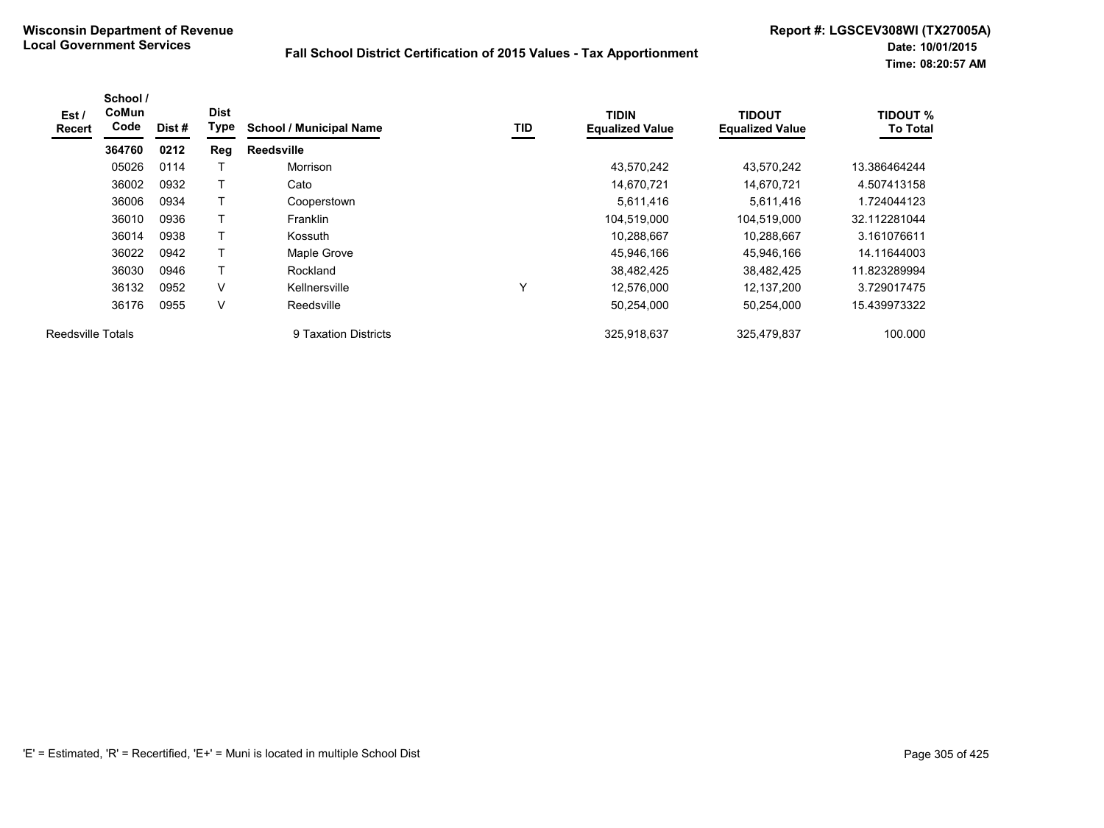| Est/<br><b>Recert</b>    | School /<br>CoMun<br>Code | Dist# | <b>Dist</b><br>Type | <b>School / Municipal Name</b> | TID         | <b>TIDIN</b><br><b>Equalized Value</b> | <b>TIDOUT</b><br><b>Equalized Value</b> | <b>TIDOUT %</b><br><b>To Total</b> |
|--------------------------|---------------------------|-------|---------------------|--------------------------------|-------------|----------------------------------------|-----------------------------------------|------------------------------------|
|                          | 364760                    | 0212  | Reg                 | <b>Reedsville</b>              |             |                                        |                                         |                                    |
|                          | 05026                     | 0114  |                     | Morrison                       |             | 43,570,242                             | 43.570.242                              | 13.386464244                       |
|                          | 36002                     | 0932  |                     | Cato                           |             | 14,670,721                             | 14,670,721                              | 4.507413158                        |
|                          | 36006                     | 0934  |                     | Cooperstown                    |             | 5,611,416                              | 5,611,416                               | 1.724044123                        |
|                          | 36010                     | 0936  |                     | <b>Franklin</b>                |             | 104,519,000                            | 104,519,000                             | 32.112281044                       |
|                          | 36014                     | 0938  | $\mathbf \tau$      | Kossuth                        |             | 10,288,667                             | 10.288.667                              | 3.161076611                        |
|                          | 36022                     | 0942  |                     | Maple Grove                    |             | 45,946,166                             | 45,946,166                              | 14.11644003                        |
|                          | 36030                     | 0946  |                     | Rockland                       |             | 38,482,425                             | 38,482,425                              | 11.823289994                       |
|                          | 36132                     | 0952  | V                   | Kellnersville                  | $\check{ }$ | 12,576,000                             | 12,137,200                              | 3.729017475                        |
|                          | 36176                     | 0955  | V                   | Reedsville                     |             | 50,254,000                             | 50,254,000                              | 15.439973322                       |
| <b>Reedsville Totals</b> |                           |       |                     | 9 Taxation Districts           |             | 325,918,637                            | 325.479.837                             | 100.000                            |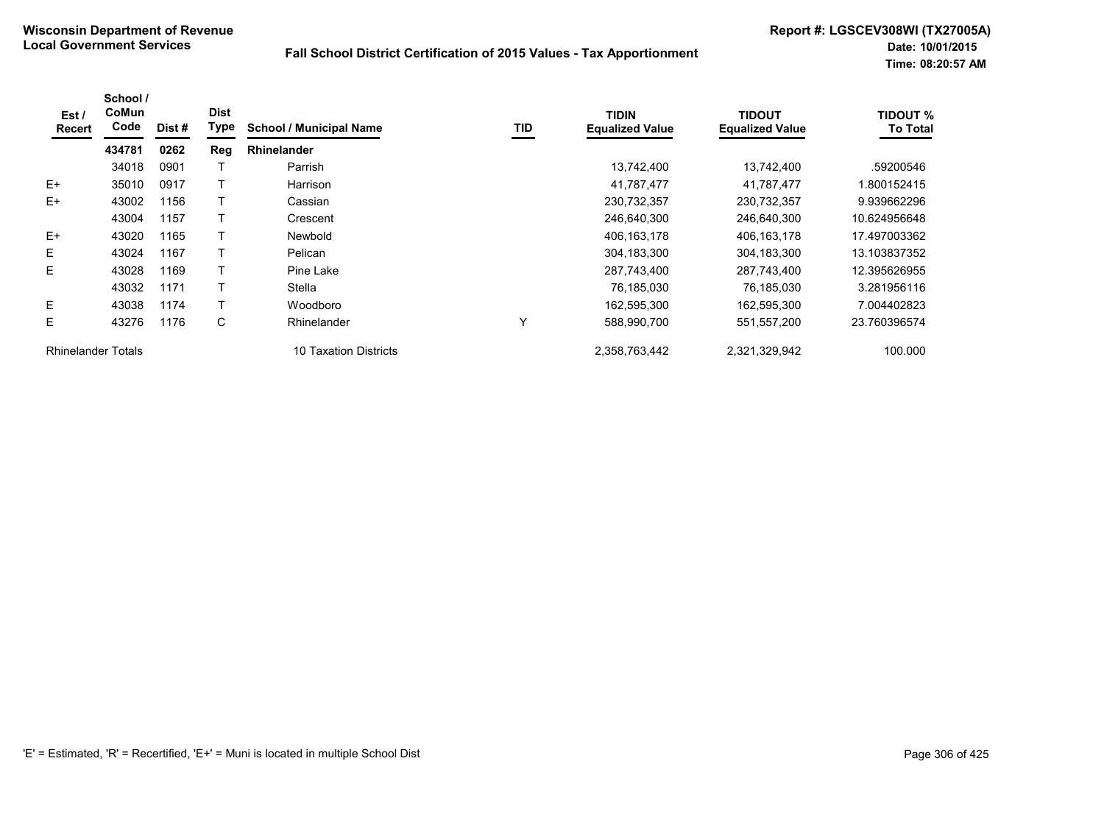| Est/<br>Recert            | School /<br>CoMun<br>Code | Dist# | <b>Dist</b><br>Type | <b>School / Municipal Name</b> | TID | <b>TIDIN</b><br><b>Equalized Value</b> | <b>TIDOUT</b><br><b>Equalized Value</b> | <b>TIDOUT %</b><br><b>To Total</b> |
|---------------------------|---------------------------|-------|---------------------|--------------------------------|-----|----------------------------------------|-----------------------------------------|------------------------------------|
|                           | 434781                    | 0262  | Reg                 | <b>Rhinelander</b>             |     |                                        |                                         |                                    |
|                           | 34018                     | 0901  |                     | Parrish                        |     | 13,742,400                             | 13,742,400                              | .59200546                          |
| $E+$                      | 35010                     | 0917  |                     | Harrison                       |     | 41,787,477                             | 41,787,477                              | 1.800152415                        |
| $E+$                      | 43002                     | 1156  |                     | Cassian                        |     | 230,732,357                            | 230,732,357                             | 9.939662296                        |
|                           | 43004                     | 1157  |                     | Crescent                       |     | 246,640,300                            | 246,640,300                             | 10.624956648                       |
| $E+$                      | 43020                     | 1165  |                     | <b>Newbold</b>                 |     | 406,163,178                            | 406, 163, 178                           | 17.497003362                       |
| Е                         | 43024                     | 1167  |                     | Pelican                        |     | 304,183,300                            | 304,183,300                             | 13.103837352                       |
| E                         | 43028                     | 1169  |                     | Pine Lake                      |     | 287,743,400                            | 287,743,400                             | 12.395626955                       |
|                           | 43032                     | 1171  |                     | Stella                         |     | 76,185,030                             | 76,185,030                              | 3.281956116                        |
| E.                        | 43038                     | 1174  |                     | Woodboro                       |     | 162,595,300                            | 162,595,300                             | 7.004402823                        |
| E                         | 43276                     | 1176  | C                   | Rhinelander                    |     | 588,990,700                            | 551,557,200                             | 23.760396574                       |
| <b>Rhinelander Totals</b> |                           |       |                     | 10 Taxation Districts          |     | 2,358,763,442                          | 2,321,329,942                           | 100.000                            |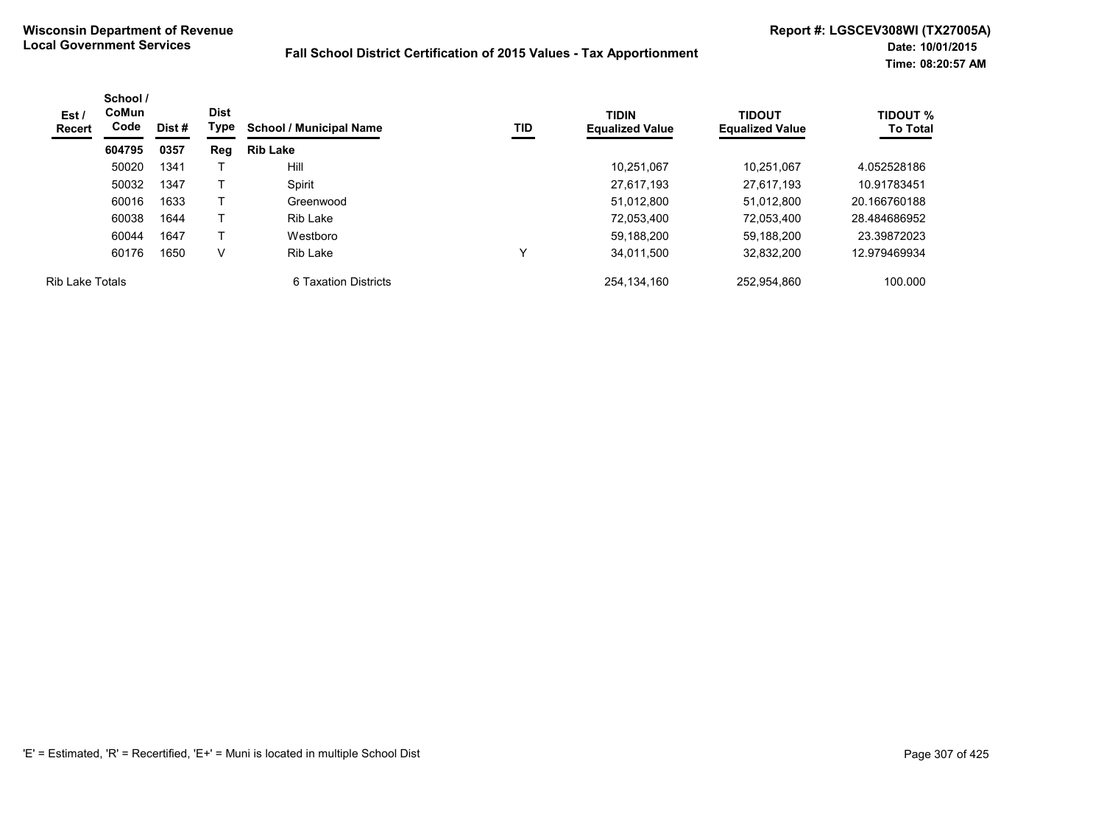| Est /<br>Recert        | School /<br>CoMun<br>Code | <b>Dist</b><br>Type<br>Dist # |     | <b>School / Municipal Name</b> | TID | <b>TIDIN</b><br><b>Equalized Value</b> | <b>TIDOUT</b><br><b>Equalized Value</b> | <b>TIDOUT %</b><br><b>To Total</b> |
|------------------------|---------------------------|-------------------------------|-----|--------------------------------|-----|----------------------------------------|-----------------------------------------|------------------------------------|
|                        | 604795                    | 0357                          | Reg | <b>Rib Lake</b>                |     |                                        |                                         |                                    |
|                        | 50020                     | 1341                          |     | <b>Hill</b>                    |     | 10.251.067                             | 10.251.067                              | 4.052528186                        |
|                        | 50032                     | 1347                          |     | Spirit                         |     | 27.617.193                             | 27,617,193                              | 10.91783451                        |
|                        | 60016                     | 1633                          |     | Greenwood                      |     | 51.012.800                             | 51.012.800                              | 20.166760188                       |
|                        | 60038                     | 1644                          |     | <b>Rib Lake</b>                |     | 72,053,400                             | 72.053.400                              | 28.484686952                       |
|                        | 60044                     | 1647                          |     | Westboro                       |     | 59,188,200                             | 59.188.200                              | 23.39872023                        |
|                        | 60176                     | 1650                          | V   | Rib Lake                       |     | 34.011.500                             | 32,832,200                              | 12.979469934                       |
| <b>Rib Lake Totals</b> |                           |                               |     | 6 Taxation Districts           |     | 254.134.160                            | 252.954.860                             | 100.000                            |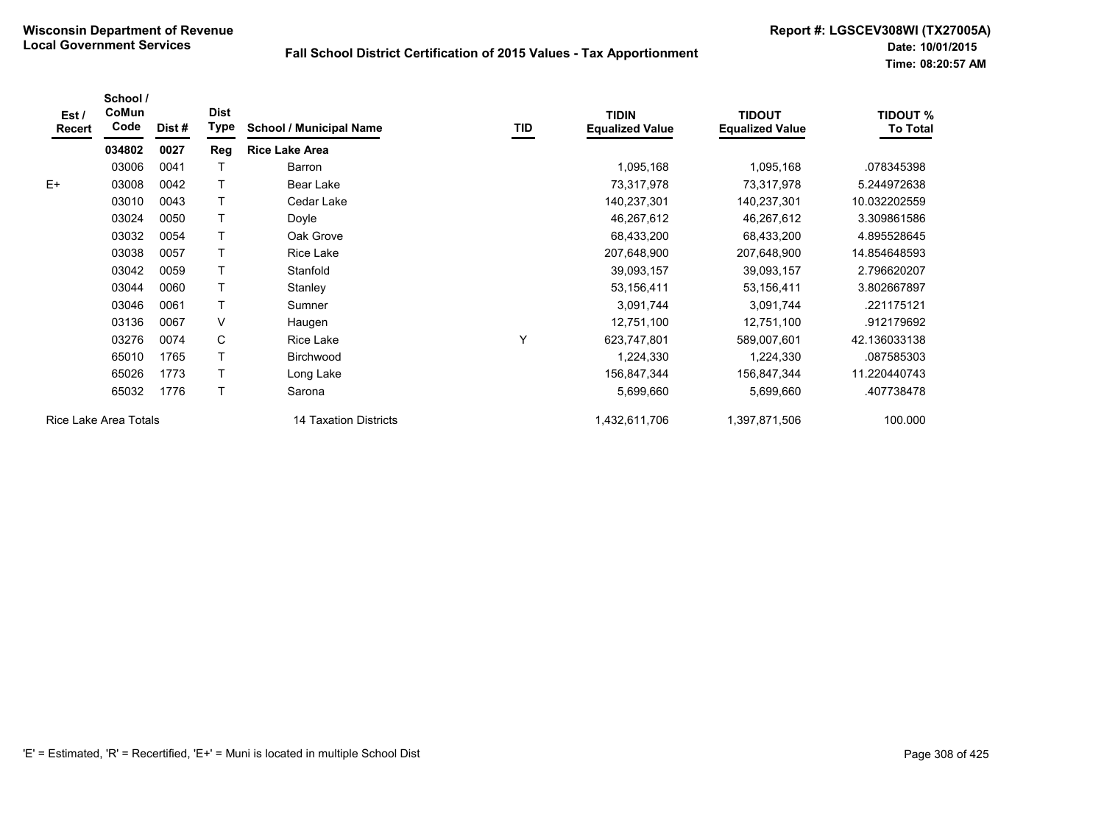| Est/<br><b>Recert</b> | School /<br>CoMun<br>Code | Dist # | <b>Dist</b><br>Type | <b>School / Municipal Name</b> | TID | <b>TIDIN</b><br><b>Equalized Value</b> | <b>TIDOUT</b><br><b>Equalized Value</b> | <b>TIDOUT %</b><br><b>To Total</b> |
|-----------------------|---------------------------|--------|---------------------|--------------------------------|-----|----------------------------------------|-----------------------------------------|------------------------------------|
|                       | 034802                    | 0027   | Reg                 | <b>Rice Lake Area</b>          |     |                                        |                                         |                                    |
|                       | 03006                     | 0041   | т                   | Barron                         |     | 1,095,168                              | 1,095,168                               | .078345398                         |
| $E+$                  | 03008                     | 0042   |                     | Bear Lake                      |     | 73,317,978                             | 73,317,978                              | 5.244972638                        |
|                       | 03010                     | 0043   | т                   | Cedar Lake                     |     | 140,237,301                            | 140,237,301                             | 10.032202559                       |
|                       | 03024                     | 0050   | T                   | Doyle                          |     | 46,267,612                             | 46,267,612                              | 3.309861586                        |
|                       | 03032                     | 0054   | T                   | Oak Grove                      |     | 68,433,200                             | 68,433,200                              | 4.895528645                        |
|                       | 03038                     | 0057   |                     | Rice Lake                      |     | 207,648,900                            | 207,648,900                             | 14.854648593                       |
|                       | 03042                     | 0059   |                     | Stanfold                       |     | 39,093,157                             | 39,093,157                              | 2.796620207                        |
|                       | 03044                     | 0060   | т                   | Stanley                        |     | 53,156,411                             | 53,156,411                              | 3.802667897                        |
|                       | 03046                     | 0061   | T                   | Sumner                         |     | 3,091,744                              | 3,091,744                               | .221175121                         |
|                       | 03136                     | 0067   | V                   | Haugen                         |     | 12,751,100                             | 12,751,100                              | .912179692                         |
|                       | 03276                     | 0074   | C                   | Rice Lake                      | Υ   | 623,747,801                            | 589,007,601                             | 42.136033138                       |
|                       | 65010                     | 1765   | т                   | Birchwood                      |     | 1,224,330                              | 1,224,330                               | .087585303                         |
|                       | 65026                     | 1773   |                     | Long Lake                      |     | 156,847,344                            | 156,847,344                             | 11.220440743                       |
|                       | 65032                     | 1776   | Τ                   | Sarona                         |     | 5,699,660                              | 5,699,660                               | .407738478                         |
|                       | Rice Lake Area Totals     |        |                     | 14 Taxation Districts          |     | 1,432,611,706                          | 1,397,871,506                           | 100.000                            |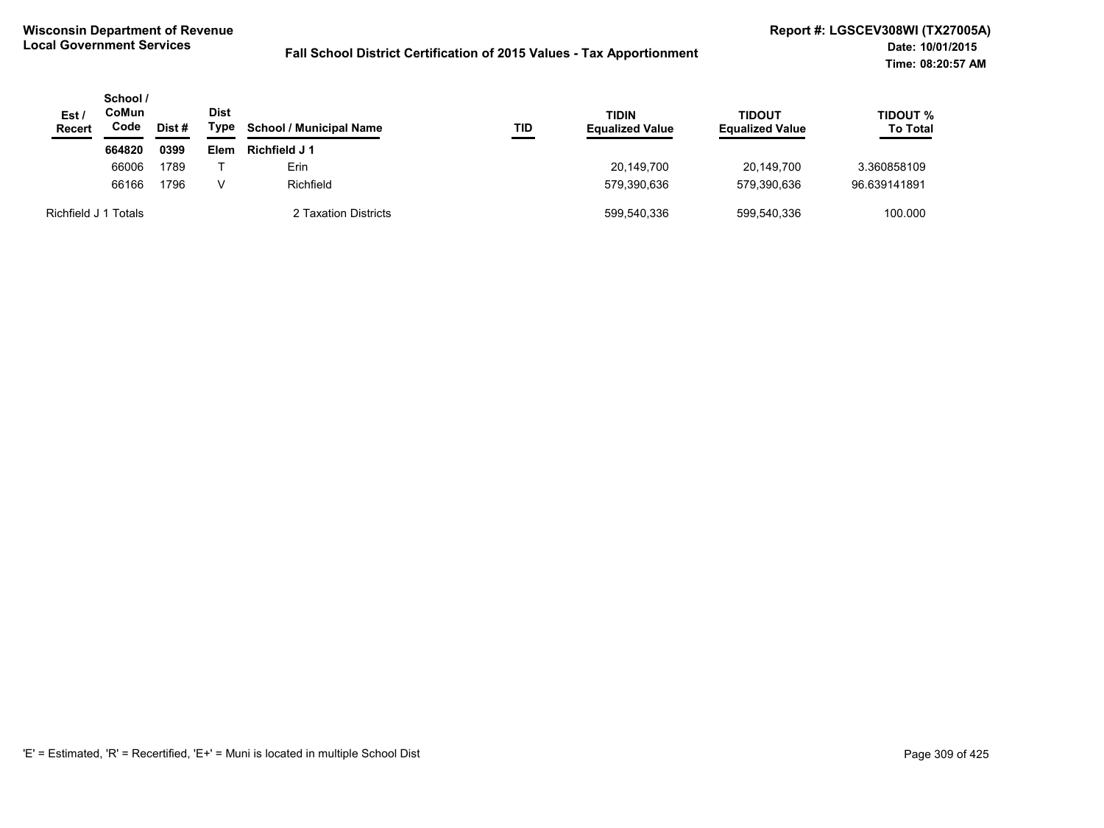| Est/<br><b>Recert</b> | School /<br>CoMun<br>Code | Dist# | <b>Dist</b><br>Type | <b>School / Municipal Name</b> | TID | <b>TIDIN</b><br><b>Equalized Value</b> | TIDOUT<br><b>Equalized Value</b> | <b>TIDOUT %</b><br><b>To Total</b> |
|-----------------------|---------------------------|-------|---------------------|--------------------------------|-----|----------------------------------------|----------------------------------|------------------------------------|
|                       | 664820                    | 0399  | Elem                | Richfield J 1                  |     |                                        |                                  |                                    |
|                       | 66006                     | 1789  |                     | Erin                           |     | 20,149,700                             | 20.149.700                       | 3.360858109                        |
|                       | 66166                     | 1796  | v                   | Richfield                      |     | 579,390,636                            | 579,390,636                      | 96.639141891                       |
| Richfield J           | Totals                    |       |                     | 2 Taxation Districts           |     | 599,540,336                            | 599,540,336                      | 100.000                            |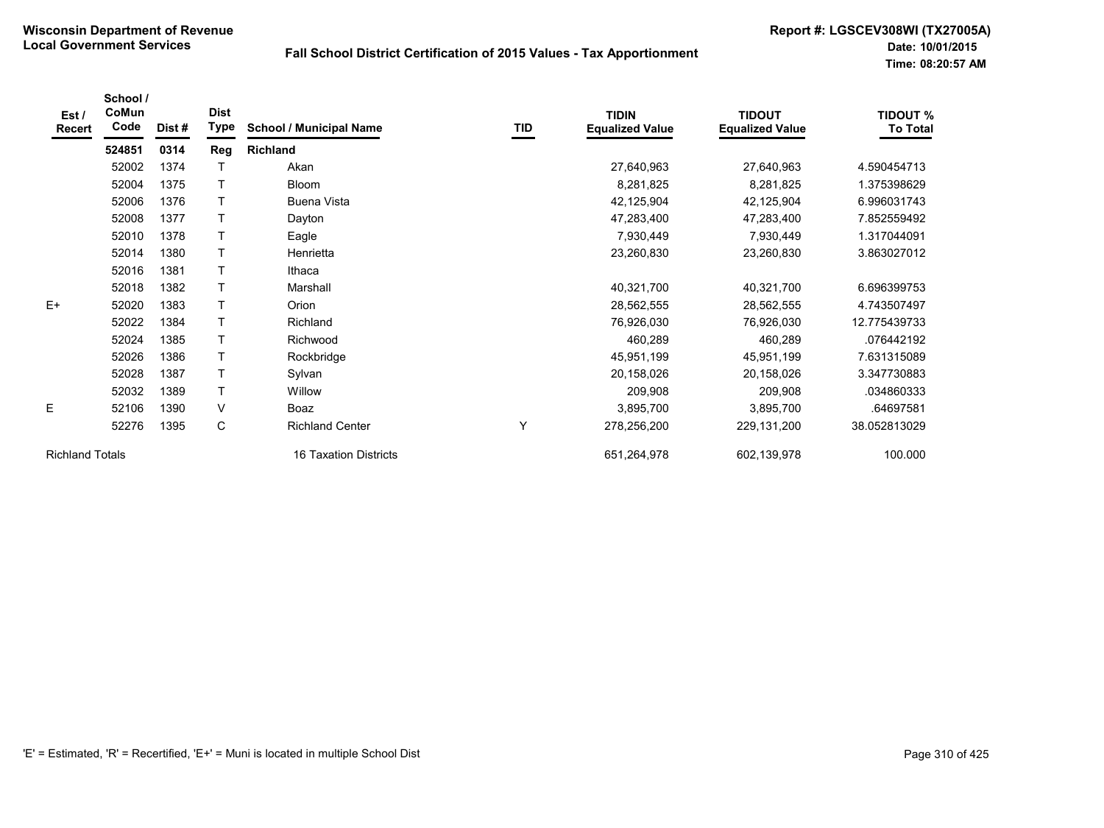| Est/<br><b>Recert</b>  | School /<br>CoMun<br>Code | Dist# | <b>Dist</b><br>Type | <b>School / Municipal Name</b> | TID | <b>TIDIN</b><br><b>Equalized Value</b> | <b>TIDOUT</b><br><b>Equalized Value</b> | <b>TIDOUT %</b><br><b>To Total</b> |
|------------------------|---------------------------|-------|---------------------|--------------------------------|-----|----------------------------------------|-----------------------------------------|------------------------------------|
|                        | 524851                    | 0314  | Reg                 | <b>Richland</b>                |     |                                        |                                         |                                    |
|                        | 52002                     | 1374  |                     | Akan                           |     | 27,640,963                             | 27,640,963                              | 4.590454713                        |
|                        | 52004                     | 1375  |                     | <b>Bloom</b>                   |     | 8,281,825                              | 8,281,825                               | 1.375398629                        |
|                        | 52006                     | 1376  |                     | <b>Buena Vista</b>             |     | 42,125,904                             | 42,125,904                              | 6.996031743                        |
|                        | 52008                     | 1377  |                     | Dayton                         |     | 47,283,400                             | 47,283,400                              | 7.852559492                        |
|                        | 52010                     | 1378  |                     | Eagle                          |     | 7,930,449                              | 7,930,449                               | 1.317044091                        |
|                        | 52014                     | 1380  |                     | Henrietta                      |     | 23,260,830                             | 23,260,830                              | 3.863027012                        |
|                        | 52016                     | 1381  | Т                   | Ithaca                         |     |                                        |                                         |                                    |
|                        | 52018                     | 1382  |                     | Marshall                       |     | 40,321,700                             | 40,321,700                              | 6.696399753                        |
| $E+$                   | 52020                     | 1383  | T                   | Orion                          |     | 28,562,555                             | 28,562,555                              | 4.743507497                        |
|                        | 52022                     | 1384  | T                   | Richland                       |     | 76,926,030                             | 76,926,030                              | 12.775439733                       |
|                        | 52024                     | 1385  |                     | Richwood                       |     | 460,289                                | 460,289                                 | .076442192                         |
|                        | 52026                     | 1386  | T                   | Rockbridge                     |     | 45,951,199                             | 45,951,199                              | 7.631315089                        |
|                        | 52028                     | 1387  | T                   | Sylvan                         |     | 20,158,026                             | 20,158,026                              | 3.347730883                        |
|                        | 52032                     | 1389  | T                   | Willow                         |     | 209,908                                | 209,908                                 | .034860333                         |
| E                      | 52106                     | 1390  | V                   | Boaz                           |     | 3,895,700                              | 3,895,700                               | .64697581                          |
|                        | 52276                     | 1395  | C                   | <b>Richland Center</b>         | Y   | 278,256,200                            | 229, 131, 200                           | 38.052813029                       |
| <b>Richland Totals</b> |                           |       |                     | 16 Taxation Districts          |     | 651,264,978                            | 602,139,978                             | 100.000                            |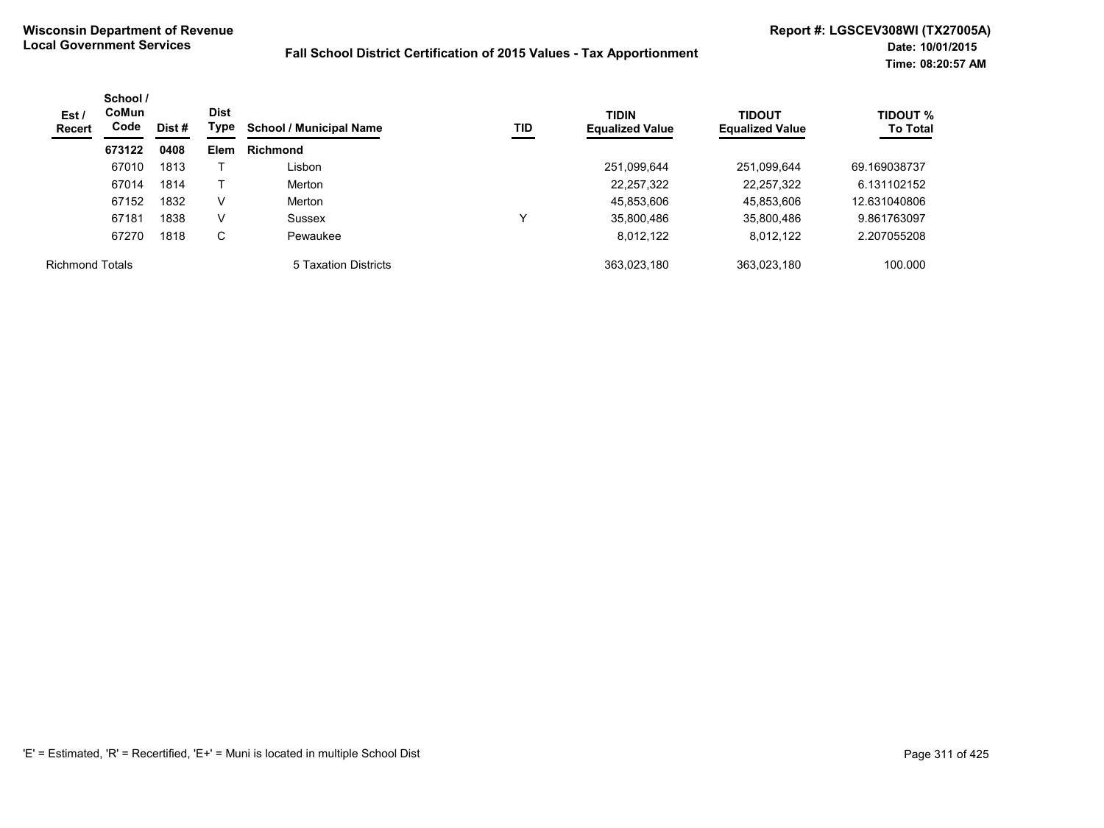| Est /<br>Recert        | School /<br><b>CoMun</b><br>Code<br>Dist # | <b>Dist</b><br>Type | TID<br><b>School / Municipal Name</b> | <b>TIDIN</b><br><b>Equalized Value</b> | <b>TIDOUT</b><br><b>Equalized Value</b> | <b>TIDOUT %</b><br><b>To Total</b> |             |              |
|------------------------|--------------------------------------------|---------------------|---------------------------------------|----------------------------------------|-----------------------------------------|------------------------------------|-------------|--------------|
|                        | 673122                                     | 0408                | Elem                                  | <b>Richmond</b>                        |                                         |                                    |             |              |
|                        | 67010                                      | 1813                |                                       | Lisbon                                 |                                         | 251,099,644                        | 251,099,644 | 69.169038737 |
|                        | 67014                                      | 1814                |                                       | Merton                                 |                                         | 22, 257, 322                       | 22,257,322  | 6.131102152  |
|                        | 67152                                      | 1832                | V                                     | Merton                                 |                                         | 45,853,606                         | 45,853,606  | 12.631040806 |
|                        | 67181                                      | 1838                | V                                     | Sussex                                 | ν                                       | 35,800,486                         | 35,800,486  | 9.861763097  |
|                        | 67270                                      | 1818                | C                                     | Pewaukee                               |                                         | 8,012,122                          | 8,012,122   | 2.207055208  |
| <b>Richmond Totals</b> |                                            |                     |                                       | 5 Taxation Districts                   |                                         | 363,023,180                        | 363,023,180 | 100.000      |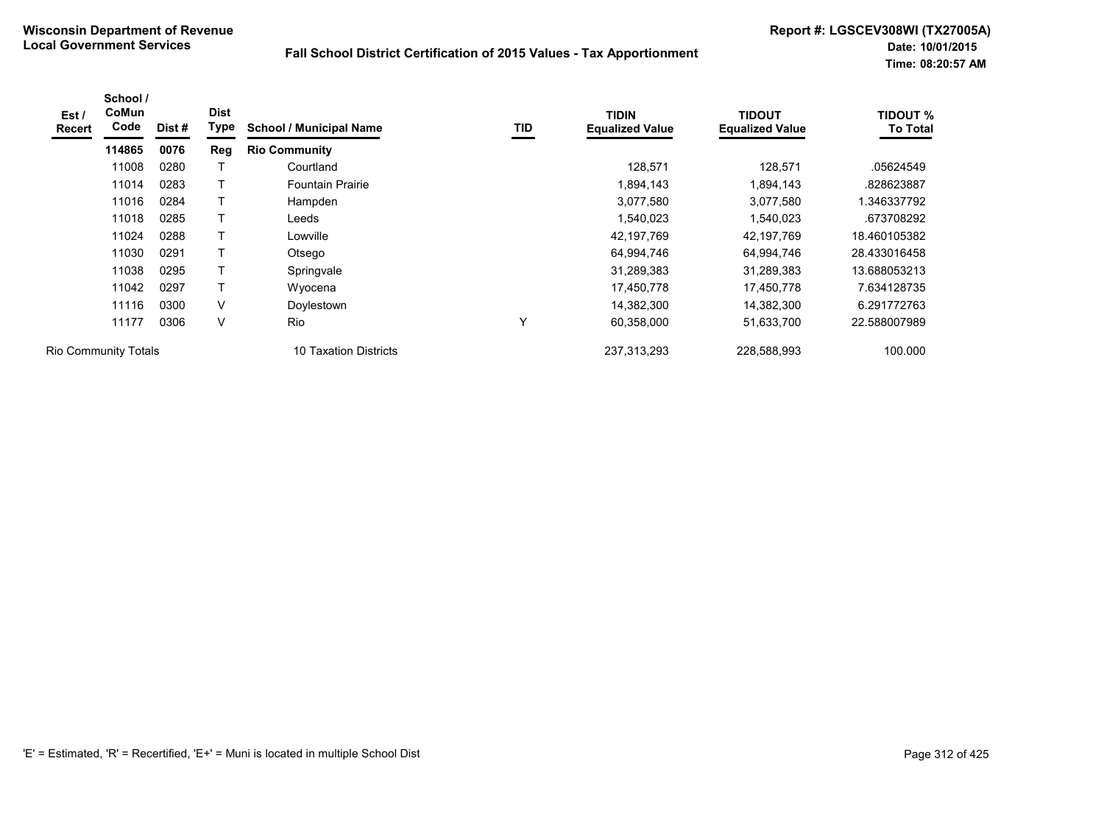| Est /<br><b>Recert</b> | School /<br>CoMun<br>Code   | Dist # | <b>Dist</b><br>Type | <b>School / Municipal Name</b> | TID         | <b>TIDIN</b><br><b>Equalized Value</b> | <b>TIDOUT</b><br><b>Equalized Value</b> | <b>TIDOUT %</b><br><b>To Total</b> |
|------------------------|-----------------------------|--------|---------------------|--------------------------------|-------------|----------------------------------------|-----------------------------------------|------------------------------------|
|                        | 114865                      | 0076   | <b>Reg</b>          | <b>Rio Community</b>           |             |                                        |                                         |                                    |
|                        | 11008                       | 0280   |                     | Courtland                      |             | 128,571                                | 128,571                                 | .05624549                          |
|                        | 11014                       | 0283   |                     | <b>Fountain Prairie</b>        |             | 1,894,143                              | 1,894,143                               | .828623887                         |
|                        | 11016                       | 0284   |                     | Hampden                        |             | 3,077,580                              | 3,077,580                               | .346337792                         |
|                        | 11018                       | 0285   |                     | Leeds                          |             | 1,540,023                              | 1,540,023                               | .673708292                         |
|                        | 11024                       | 0288   |                     | Lowville                       |             | 42,197,769                             | 42,197,769                              | 18.460105382                       |
|                        | 11030                       | 0291   |                     | Otsego                         |             | 64,994,746                             | 64,994,746                              | 28.433016458                       |
|                        | 11038                       | 0295   |                     | Springvale                     |             | 31,289,383                             | 31,289,383                              | 13.688053213                       |
|                        | 11042                       | 0297   | т                   | Wyocena                        |             | 17,450,778                             | 17,450,778                              | 7.634128735                        |
|                        | 11116                       | 0300   | V                   | Doylestown                     |             | 14,382,300                             | 14,382,300                              | 6.291772763                        |
|                        | 11177                       | 0306   | V                   | <b>Rio</b>                     | $\check{ }$ | 60,358,000                             | 51,633,700                              | 22.588007989                       |
|                        | <b>Rio Community Totals</b> |        |                     | 10 Taxation Districts          |             | 237,313,293                            | 228,588,993                             | 100.000                            |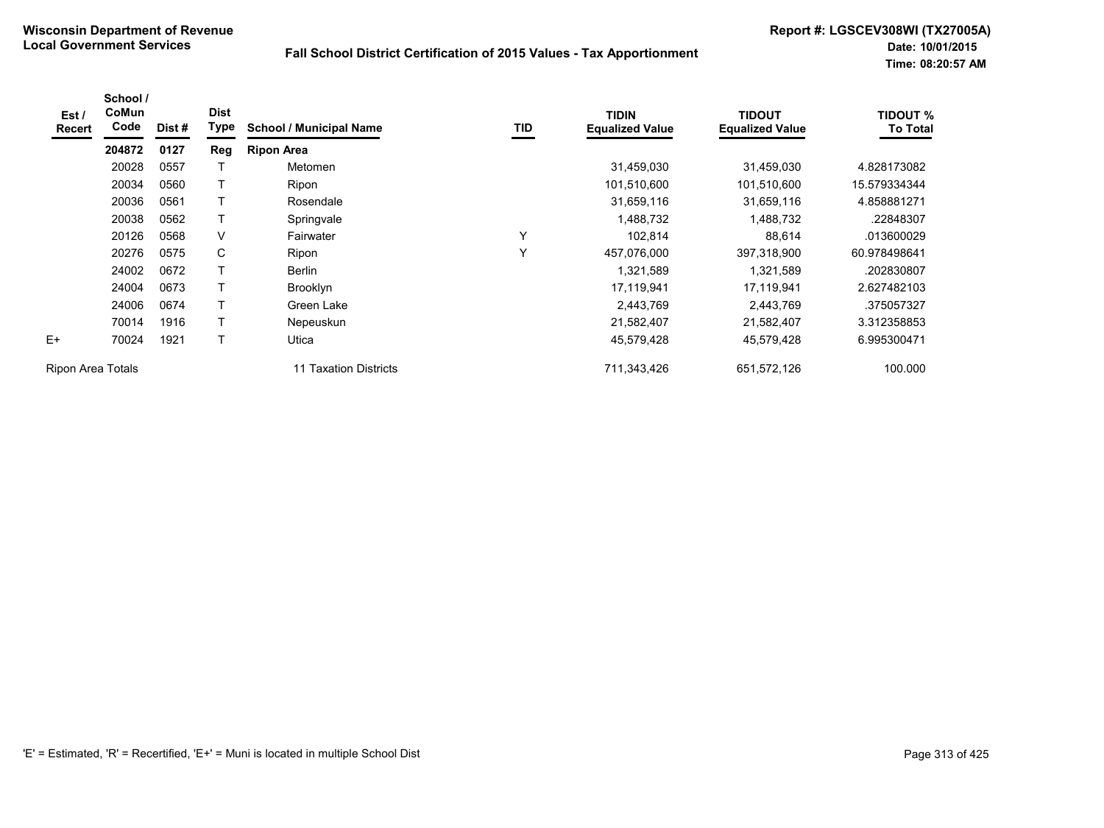| Est /<br><b>Recert</b> | School /<br>CoMun<br>Code | Dist # | <b>Dist</b><br>Type | <b>School / Municipal Name</b> | TID | <b>TIDIN</b><br><b>Equalized Value</b> | <b>TIDOUT</b><br><b>Equalized Value</b> | <b>TIDOUT %</b><br><b>To Total</b> |
|------------------------|---------------------------|--------|---------------------|--------------------------------|-----|----------------------------------------|-----------------------------------------|------------------------------------|
|                        | 204872                    | 0127   | Reg                 | <b>Ripon Area</b>              |     |                                        |                                         |                                    |
|                        | 20028                     | 0557   |                     | Metomen                        |     | 31,459,030                             | 31,459,030                              | 4.828173082                        |
|                        | 20034                     | 0560   |                     | Ripon                          |     | 101,510,600                            | 101,510,600                             | 15.579334344                       |
|                        | 20036                     | 0561   |                     | Rosendale                      |     | 31,659,116                             | 31,659,116                              | 4.858881271                        |
|                        | 20038                     | 0562   |                     | Springvale                     |     | 1,488,732                              | 1,488,732                               | .22848307                          |
|                        | 20126                     | 0568   | $\vee$              | Fairwater                      | Y   | 102,814                                | 88,614                                  | .013600029                         |
|                        | 20276                     | 0575   | C                   | Ripon                          | Υ   | 457,076,000                            | 397,318,900                             | 60.978498641                       |
|                        | 24002                     | 0672   | $\mathsf{T}$        | Berlin                         |     | 1,321,589                              | 1,321,589                               | .202830807                         |
|                        | 24004                     | 0673   |                     | <b>Brooklyn</b>                |     | 17,119,941                             | 17,119,941                              | 2.627482103                        |
|                        | 24006                     | 0674   |                     | Green Lake                     |     | 2,443,769                              | 2,443,769                               | .375057327                         |
|                        | 70014                     | 1916   |                     | Nepeuskun                      |     | 21,582,407                             | 21,582,407                              | 3.312358853                        |
| $E+$                   | 70024                     | 1921   | $\mathsf{T}$        | Utica                          |     | 45,579,428                             | 45,579,428                              | 6.995300471                        |
| Ripon Area Totals      |                           |        |                     | 11 Taxation Districts          |     | 711,343,426                            | 651,572,126                             | 100.000                            |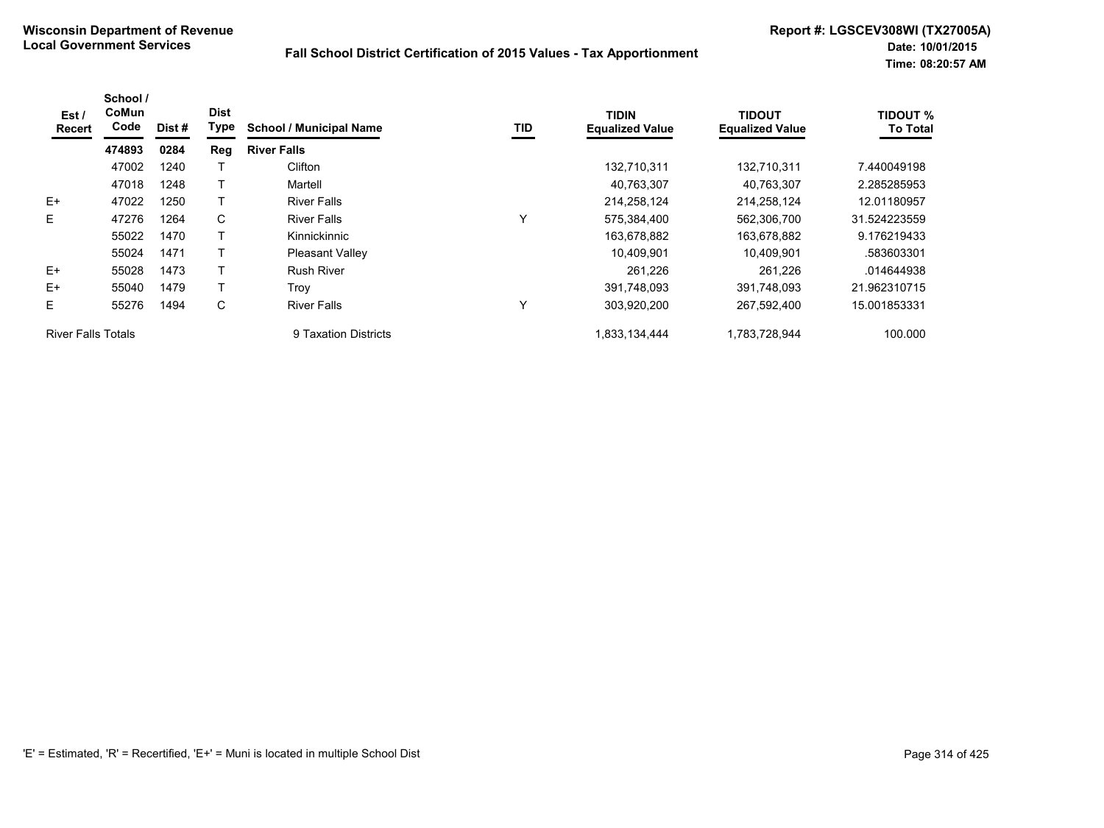| Est /<br><b>Recert</b>    | School /<br>CoMun<br>Code | Dist # | <b>Dist</b><br>Type | <b>School / Municipal Name</b> | TID | <b>TIDIN</b><br><b>Equalized Value</b> | <b>TIDOUT</b><br><b>Equalized Value</b> | <b>TIDOUT %</b><br><b>To Total</b> |
|---------------------------|---------------------------|--------|---------------------|--------------------------------|-----|----------------------------------------|-----------------------------------------|------------------------------------|
|                           | 474893                    | 0284   | Reg                 | <b>River Falls</b>             |     |                                        |                                         |                                    |
|                           | 47002                     | 1240   |                     | Clifton                        |     | 132,710,311                            | 132,710,311                             | 7.440049198                        |
|                           | 47018                     | 1248   |                     | Martell                        |     | 40,763,307                             | 40,763,307                              | 2.285285953                        |
| $E+$                      | 47022                     | 1250   |                     | <b>River Falls</b>             |     | 214,258,124                            | 214,258,124                             | 12.01180957                        |
| E.                        | 47276                     | 1264   | C                   | <b>River Falls</b>             | Υ   | 575,384,400                            | 562,306,700                             | 31.524223559                       |
|                           | 55022                     | 1470   |                     | Kinnickinnic                   |     | 163,678,882                            | 163,678,882                             | 9.176219433                        |
|                           | 55024                     | 1471   |                     | <b>Pleasant Valley</b>         |     | 10,409,901                             | 10.409.901                              | .583603301                         |
| $E+$                      | 55028                     | 1473   |                     | <b>Rush River</b>              |     | 261.226                                | 261,226                                 | .014644938                         |
| $E+$                      | 55040                     | 1479   |                     | Trov                           |     | 391.748.093                            | 391.748.093                             | 21.962310715                       |
| E.                        | 55276                     | 1494   | С                   | <b>River Falls</b>             | Υ   | 303,920,200                            | 267,592,400                             | 15.001853331                       |
| <b>River Falls Totals</b> |                           |        |                     | 9 Taxation Districts           |     | 1,833,134,444                          | 1,783,728,944                           | 100.000                            |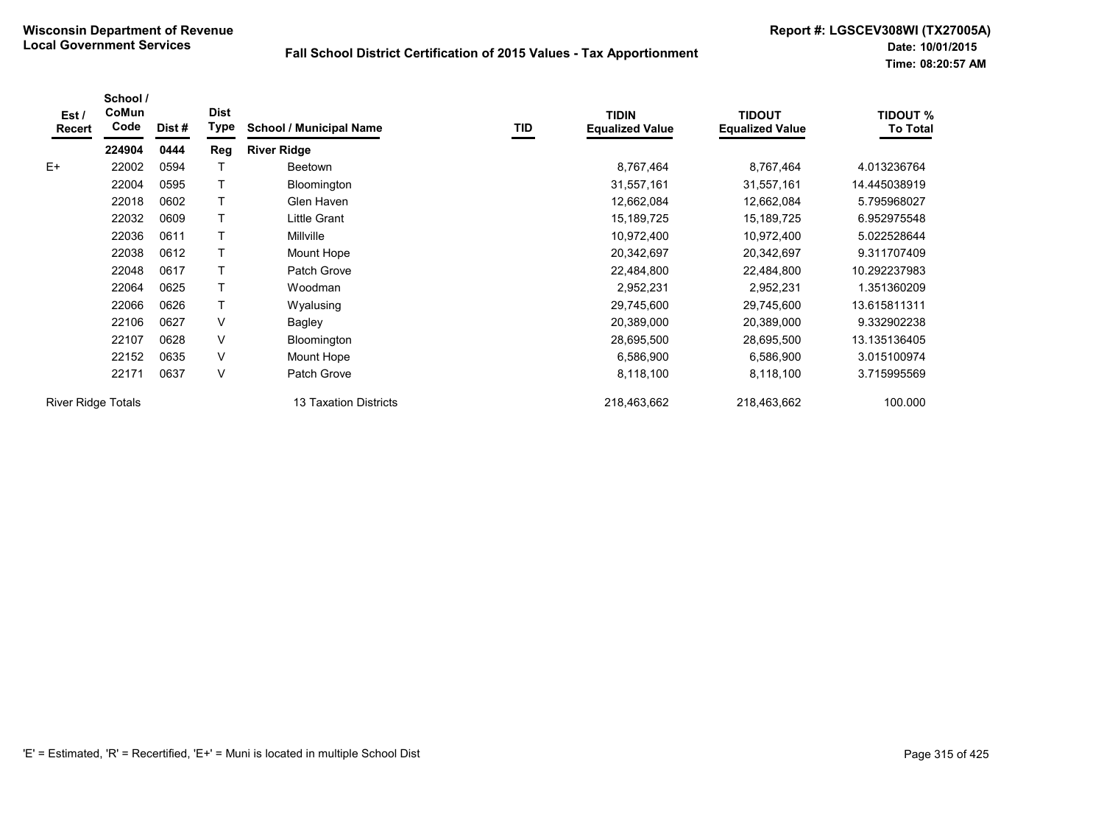| Est/<br>Recert            | School /<br>CoMun<br>Code | Dist# | <b>Dist</b><br>Type | <b>School / Municipal Name</b> | TID | <b>TIDIN</b><br><b>Equalized Value</b> | <b>TIDOUT</b><br><b>Equalized Value</b> | <b>TIDOUT %</b><br><b>To Total</b> |
|---------------------------|---------------------------|-------|---------------------|--------------------------------|-----|----------------------------------------|-----------------------------------------|------------------------------------|
|                           | 224904                    | 0444  | Reg                 | <b>River Ridge</b>             |     |                                        |                                         |                                    |
| $E+$                      | 22002                     | 0594  |                     | Beetown                        |     | 8,767,464                              | 8,767,464                               | 4.013236764                        |
|                           | 22004                     | 0595  |                     | Bloomington                    |     | 31,557,161                             | 31,557,161                              | 14.445038919                       |
|                           | 22018                     | 0602  |                     | Glen Haven                     |     | 12,662,084                             | 12,662,084                              | 5.795968027                        |
|                           | 22032                     | 0609  |                     | Little Grant                   |     | 15,189,725                             | 15,189,725                              | 6.952975548                        |
|                           | 22036                     | 0611  |                     | Millville                      |     | 10,972,400                             | 10,972,400                              | 5.022528644                        |
|                           | 22038                     | 0612  |                     | Mount Hope                     |     | 20,342,697                             | 20,342,697                              | 9.311707409                        |
|                           | 22048                     | 0617  |                     | Patch Grove                    |     | 22,484,800                             | 22,484,800                              | 10.292237983                       |
|                           | 22064                     | 0625  |                     | Woodman                        |     | 2,952,231                              | 2,952,231                               | 1.351360209                        |
|                           | 22066                     | 0626  |                     | Wyalusing                      |     | 29,745,600                             | 29,745,600                              | 13.615811311                       |
|                           | 22106                     | 0627  | V                   | Bagley                         |     | 20,389,000                             | 20,389,000                              | 9.332902238                        |
|                           | 22107                     | 0628  | V                   | Bloomington                    |     | 28,695,500                             | 28,695,500                              | 13.135136405                       |
|                           | 22152                     | 0635  | $\vee$              | Mount Hope                     |     | 6,586,900                              | 6,586,900                               | 3.015100974                        |
|                           | 22171                     | 0637  | V                   | Patch Grove                    |     | 8,118,100                              | 8,118,100                               | 3.715995569                        |
| <b>River Ridge Totals</b> |                           |       |                     | <b>13 Taxation Districts</b>   |     | 218,463,662                            | 218,463,662                             | 100.000                            |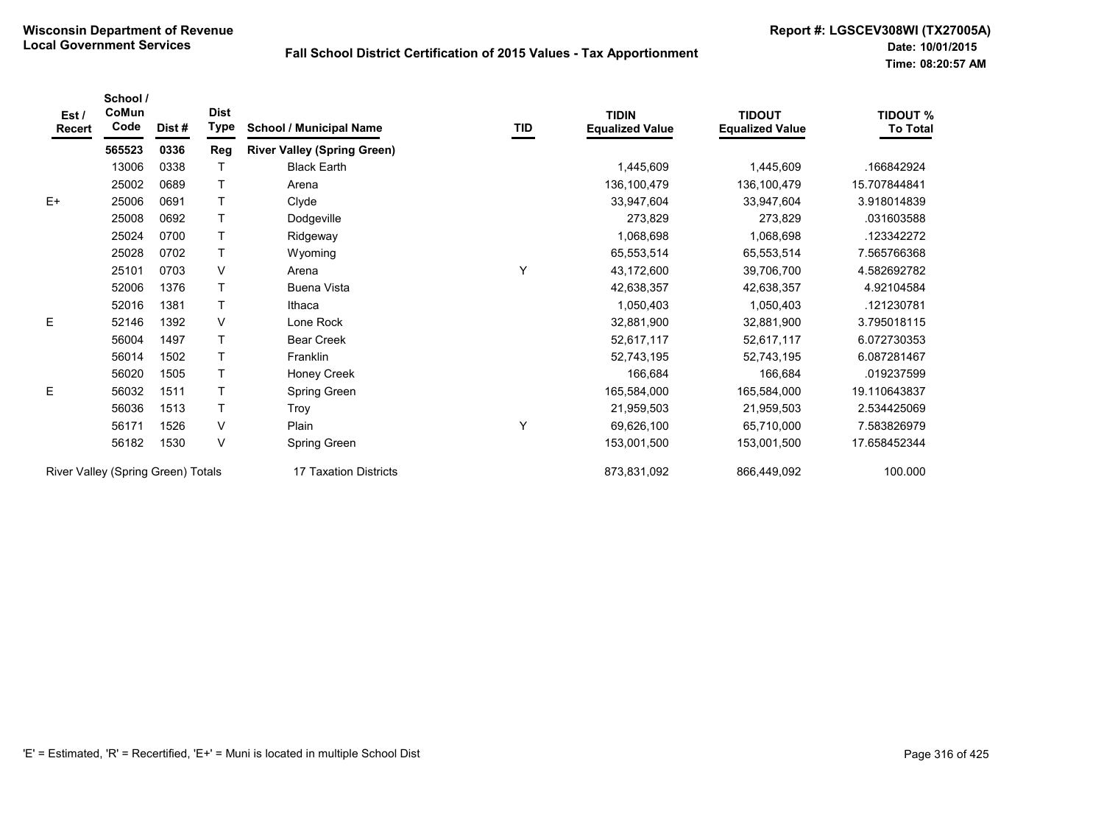| Est /<br>Recert                    | School /<br>CoMun<br>Code | Dist#                 | <b>Dist</b><br><b>Type</b> | <b>School / Municipal Name</b>     | TID         | <b>TIDIN</b><br><b>Equalized Value</b> | <b>TIDOUT</b><br><b>Equalized Value</b> | <b>TIDOUT %</b><br><b>To Total</b> |
|------------------------------------|---------------------------|-----------------------|----------------------------|------------------------------------|-------------|----------------------------------------|-----------------------------------------|------------------------------------|
|                                    | 565523                    | 0336                  | Reg                        | <b>River Valley (Spring Green)</b> |             |                                        |                                         |                                    |
|                                    | 13006                     | 0338                  |                            | <b>Black Earth</b>                 |             | 1,445,609                              | 1,445,609                               | .166842924                         |
|                                    | 25002                     | 0689                  |                            | Arena                              |             | 136,100,479                            | 136,100,479                             | 15.707844841                       |
| $E+$                               | 25006                     | 0691                  |                            | Clyde                              |             | 33,947,604                             | 33,947,604                              | 3.918014839                        |
|                                    | 25008                     | 0692                  |                            | Dodgeville                         |             | 273,829                                | 273,829                                 | .031603588                         |
|                                    | 25024                     | 0700                  |                            | Ridgeway                           |             | 1,068,698                              | 1,068,698                               | .123342272                         |
|                                    | 25028                     | 0702                  |                            | Wyoming                            |             | 65,553,514                             | 65,553,514                              | 7.565766368                        |
|                                    | 25101                     | 0703                  | V                          | Arena                              | Y           | 43,172,600                             | 39,706,700                              | 4.582692782                        |
|                                    | 52006                     | 1376                  |                            | <b>Buena Vista</b>                 |             | 42,638,357                             | 42,638,357                              | 4.92104584                         |
|                                    | 52016                     | 1381                  |                            | Ithaca                             |             | 1,050,403                              | 1,050,403                               | 121230781                          |
| E                                  | 52146                     | 1392                  | V                          | Lone Rock                          |             | 32,881,900                             | 32,881,900                              | 3.795018115                        |
|                                    | 56004                     | 1497                  |                            | <b>Bear Creek</b>                  |             | 52,617,117                             | 52,617,117                              | 6.072730353                        |
|                                    | 56014                     | 1502                  |                            | Franklin                           |             | 52,743,195                             | 52,743,195                              | 6.087281467                        |
|                                    | 56020                     | 1505                  |                            | Honey Creek                        |             | 166,684                                | 166,684                                 | .019237599                         |
| E                                  | 56032                     | 1511                  |                            | Spring Green                       |             | 165,584,000                            | 165,584,000                             | 19.110643837                       |
|                                    | 56036                     | 1513                  |                            | <b>Troy</b>                        |             | 21,959,503                             | 21,959,503                              | 2.534425069                        |
|                                    | 56171                     | 1526                  | V                          | Plain                              | Y           | 69,626,100                             | 65,710,000                              | 7.583826979                        |
|                                    | 56182                     | 1530                  | V                          | Spring Green                       |             | 153,001,500                            | 153,001,500                             | 17.658452344                       |
| River Valley (Spring Green) Totals |                           | 17 Taxation Districts |                            | 873,831,092                        | 866,449,092 | 100.000                                |                                         |                                    |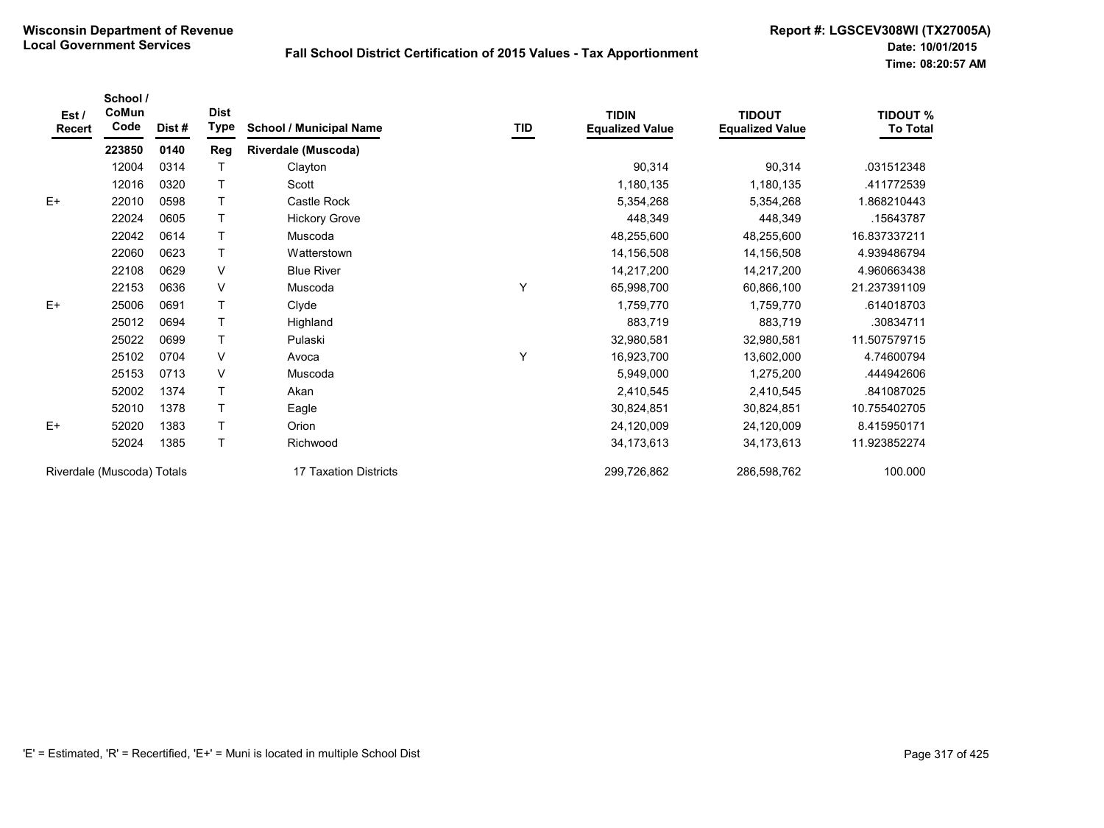| Est /<br><b>Recert</b>     | School /<br>CoMun<br>Code | Dist# | <b>Dist</b><br><b>Type</b> | <b>School / Municipal Name</b> | $\underline{\mathsf{TID}}$ | <b>TIDIN</b><br><b>Equalized Value</b> | <b>TIDOUT</b><br><b>Equalized Value</b> | <b>TIDOUT %</b><br><b>To Total</b> |
|----------------------------|---------------------------|-------|----------------------------|--------------------------------|----------------------------|----------------------------------------|-----------------------------------------|------------------------------------|
|                            | 223850                    | 0140  | Reg                        | <b>Riverdale (Muscoda)</b>     |                            |                                        |                                         |                                    |
|                            | 12004                     | 0314  |                            | Clayton                        |                            | 90,314                                 | 90,314                                  | .031512348                         |
|                            | 12016                     | 0320  |                            | Scott                          |                            | 1,180,135                              | 1,180,135                               | .411772539                         |
| $E+$                       | 22010                     | 0598  |                            | Castle Rock                    |                            | 5,354,268                              | 5,354,268                               | 1.868210443                        |
|                            | 22024                     | 0605  |                            | <b>Hickory Grove</b>           |                            | 448,349                                | 448,349                                 | .15643787                          |
|                            | 22042                     | 0614  |                            | Muscoda                        |                            | 48,255,600                             | 48,255,600                              | 16.837337211                       |
|                            | 22060                     | 0623  | T                          | Watterstown                    |                            | 14,156,508                             | 14,156,508                              | 4.939486794                        |
|                            | 22108                     | 0629  | $\vee$                     | <b>Blue River</b>              |                            | 14,217,200                             | 14,217,200                              | 4.960663438                        |
|                            | 22153                     | 0636  | V                          | Muscoda                        | Υ                          | 65,998,700                             | 60,866,100                              | 21.237391109                       |
| $E+$                       | 25006                     | 0691  | T                          | Clyde                          |                            | 1,759,770                              | 1,759,770                               | .614018703                         |
|                            | 25012                     | 0694  | т                          | Highland                       |                            | 883,719                                | 883,719                                 | .30834711                          |
|                            | 25022                     | 0699  |                            | Pulaski                        |                            | 32,980,581                             | 32,980,581                              | 11.507579715                       |
|                            | 25102                     | 0704  | $\vee$                     | Avoca                          | Υ                          | 16,923,700                             | 13,602,000                              | 4.74600794                         |
|                            | 25153                     | 0713  | V                          | Muscoda                        |                            | 5,949,000                              | 1,275,200                               | .444942606                         |
|                            | 52002                     | 1374  |                            | Akan                           |                            | 2,410,545                              | 2,410,545                               | .841087025                         |
|                            | 52010                     | 1378  |                            | Eagle                          |                            | 30,824,851                             | 30,824,851                              | 10.755402705                       |
| $E+$                       | 52020                     | 1383  | T                          | Orion                          |                            | 24,120,009                             | 24,120,009                              | 8.415950171                        |
|                            | 52024                     | 1385  | T                          | Richwood                       |                            | 34, 173, 613                           | 34,173,613                              | 11.923852274                       |
| Riverdale (Muscoda) Totals |                           |       |                            | 17 Taxation Districts          |                            | 299,726,862                            | 286,598,762                             | 100.000                            |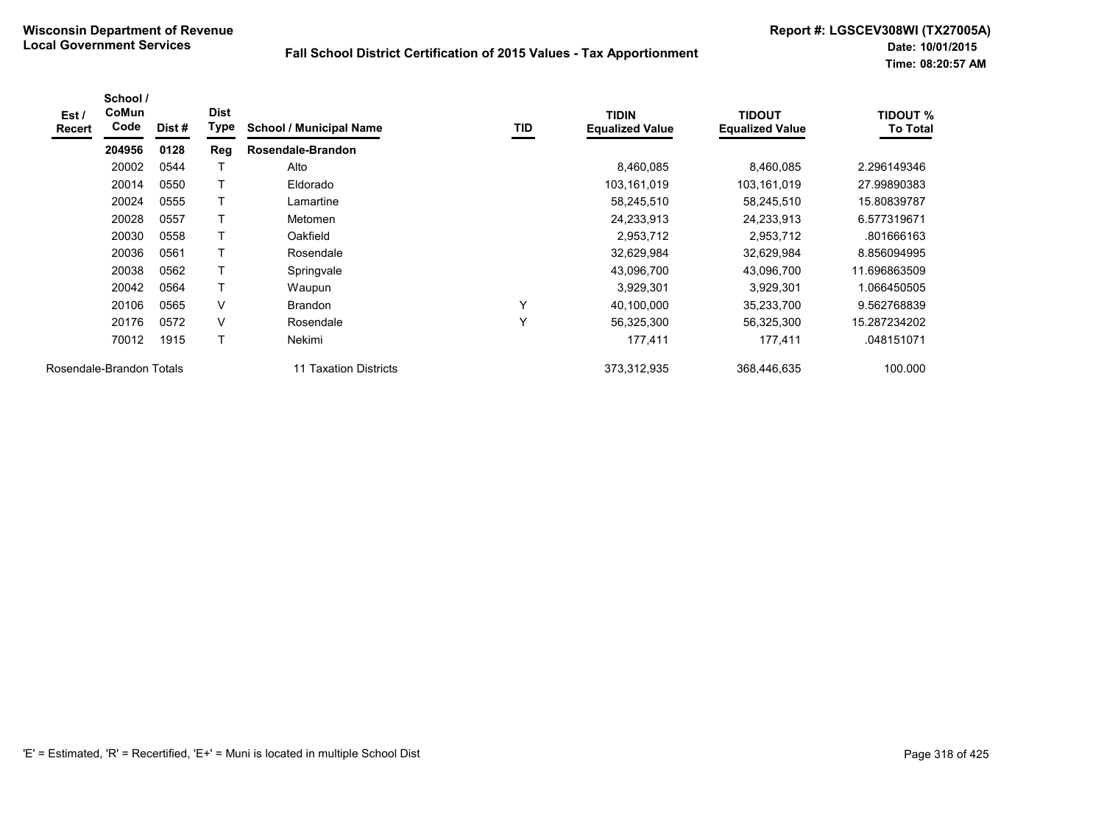| Est/<br><b>Recert</b> | School /<br>CoMun<br>Code | Dist # | <b>Dist</b><br>Type | <b>School / Municipal Name</b> | TID | <b>TIDIN</b><br><b>Equalized Value</b> | <b>TIDOUT</b><br><b>Equalized Value</b> | <b>TIDOUT %</b><br><b>To Total</b> |
|-----------------------|---------------------------|--------|---------------------|--------------------------------|-----|----------------------------------------|-----------------------------------------|------------------------------------|
|                       | 204956                    | 0128   | Reg                 | Rosendale-Brandon              |     |                                        |                                         |                                    |
|                       | 20002                     | 0544   |                     | Alto                           |     | 8,460,085                              | 8,460,085                               | 2.296149346                        |
|                       | 20014                     | 0550   | т                   | Eldorado                       |     | 103,161,019                            | 103,161,019                             | 27.99890383                        |
|                       | 20024                     | 0555   | т                   | Lamartine                      |     | 58,245,510                             | 58,245,510                              | 15.80839787                        |
|                       | 20028                     | 0557   |                     | Metomen                        |     | 24,233,913                             | 24,233,913                              | 6.577319671                        |
|                       | 20030                     | 0558   |                     | Oakfield                       |     | 2,953,712                              | 2,953,712                               | .801666163                         |
|                       | 20036                     | 0561   |                     | Rosendale                      |     | 32,629,984                             | 32,629,984                              | 8.856094995                        |
|                       | 20038                     | 0562   | т                   | Springvale                     |     | 43,096,700                             | 43,096,700                              | 11.696863509                       |
|                       | 20042                     | 0564   |                     | Waupun                         |     | 3,929,301                              | 3,929,301                               | 1.066450505                        |
|                       | 20106                     | 0565   | V                   | <b>Brandon</b>                 | Y   | 40,100,000                             | 35,233,700                              | 9.562768839                        |
|                       | 20176                     | 0572   | V                   | Rosendale                      | Υ   | 56,325,300                             | 56,325,300                              | 15.287234202                       |
|                       | 70012                     | 1915   | Τ                   | Nekimi                         |     | 177,411                                | 177,411                                 | .048151071                         |
|                       | Rosendale-Brandon Totals  |        |                     | <b>Taxation Districts</b>      |     | 373,312,935                            | 368,446,635                             | 100.000                            |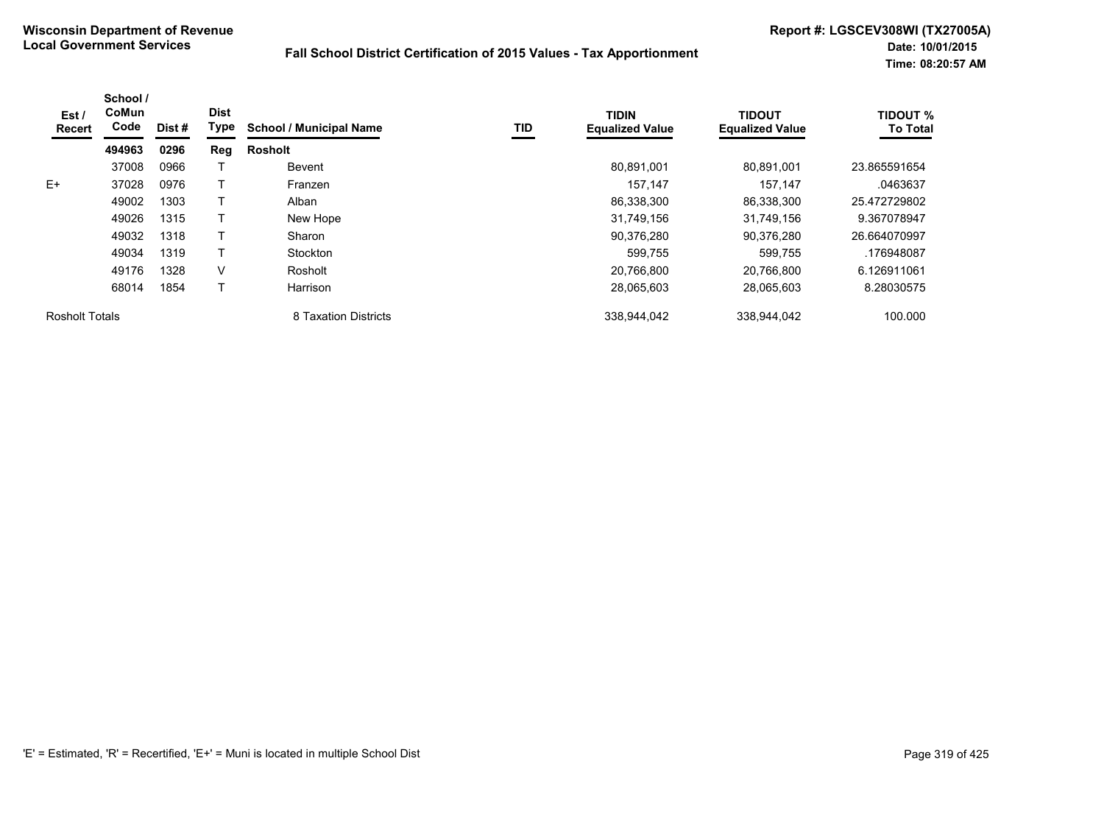| Est/<br>Recert        | School /<br>CoMun<br>Code | Dist# | <b>Dist</b><br>Type | <b>School / Municipal Name</b> | TID | <b>TIDIN</b><br><b>Equalized Value</b> | <b>TIDOUT</b><br><b>Equalized Value</b> | <b>TIDOUT %</b><br><b>To Total</b> |
|-----------------------|---------------------------|-------|---------------------|--------------------------------|-----|----------------------------------------|-----------------------------------------|------------------------------------|
|                       | 494963                    | 0296  | Reg                 | <b>Rosholt</b>                 |     |                                        |                                         |                                    |
|                       | 37008                     | 0966  |                     | <b>Bevent</b>                  |     | 80.891.001                             | 80.891.001                              | 23.865591654                       |
| $E+$                  | 37028                     | 0976  |                     | Franzen                        |     | 157.147                                | 157,147                                 | .0463637                           |
|                       | 49002                     | 1303  |                     | Alban                          |     | 86,338,300                             | 86,338,300                              | 25.472729802                       |
|                       | 49026                     | 1315  |                     | New Hope                       |     | 31.749.156                             | 31.749.156                              | 9.367078947                        |
|                       | 49032                     | 1318  |                     | Sharon                         |     | 90,376,280                             | 90,376,280                              | 26.664070997                       |
|                       | 49034                     | 1319  |                     | Stockton                       |     | 599.755                                | 599,755                                 | .176948087                         |
|                       | 49176                     | 1328  | V                   | Rosholt                        |     | 20,766,800                             | 20.766.800                              | 6.126911061                        |
|                       | 68014                     | 1854  |                     | Harrison                       |     | 28,065,603                             | 28,065,603                              | 8.28030575                         |
| <b>Rosholt Totals</b> |                           |       |                     | 8 Taxation Districts           |     | 338,944,042                            | 338,944,042                             | 100.000                            |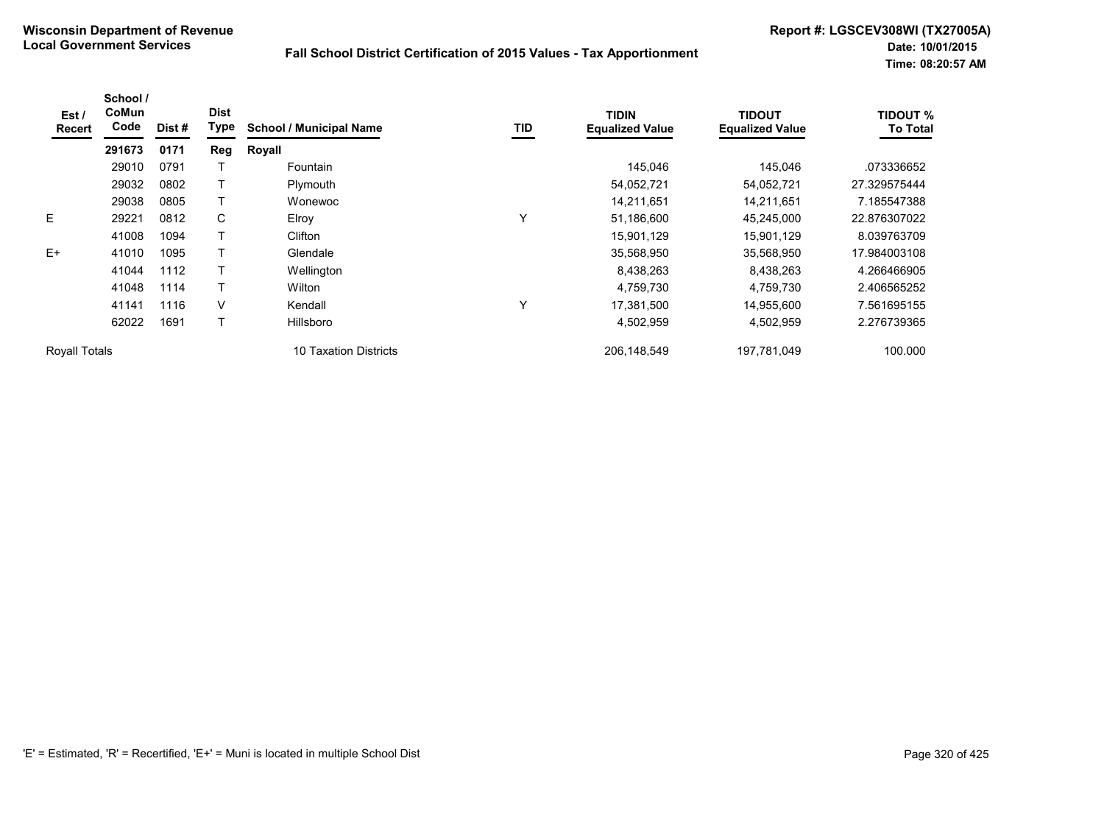| Est /<br><b>Recert</b> | School /<br>CoMun<br>Code | Dist # | <b>Dist</b><br><b>Type</b> | <b>School / Municipal Name</b> | <b>TID</b> | <b>TIDIN</b><br><b>Equalized Value</b> | <b>TIDOUT</b><br><b>Equalized Value</b> | <b>TIDOUT %</b><br><b>To Total</b> |
|------------------------|---------------------------|--------|----------------------------|--------------------------------|------------|----------------------------------------|-----------------------------------------|------------------------------------|
|                        | 291673                    | 0171   | Reg                        | Royall                         |            |                                        |                                         |                                    |
|                        | 29010                     | 0791   |                            | Fountain                       |            | 145,046                                | 145,046                                 | .073336652                         |
|                        | 29032                     | 0802   |                            | Plymouth                       |            | 54,052,721                             | 54,052,721                              | 27.329575444                       |
|                        | 29038                     | 0805   |                            | Wonewoc                        |            | 14,211,651                             | 14,211,651                              | 7.185547388                        |
| E                      | 29221                     | 0812   | C                          | Elroy                          | Υ          | 51,186,600                             | 45,245,000                              | 22.876307022                       |
|                        | 41008                     | 1094   |                            | Clifton                        |            | 15,901,129                             | 15,901,129                              | 8.039763709                        |
| $E+$                   | 41010                     | 1095   |                            | Glendale                       |            | 35,568,950                             | 35,568,950                              | 17.984003108                       |
|                        | 41044                     | 1112   |                            | Wellington                     |            | 8,438,263                              | 8,438,263                               | 4.266466905                        |
|                        | 41048                     | 1114   |                            | Wilton                         |            | 4,759,730                              | 4,759,730                               | 2.406565252                        |
|                        | 41141                     | 1116   | V                          | Kendall                        | Υ          | 17,381,500                             | 14,955,600                              | 7.561695155                        |
|                        | 62022                     | 1691   |                            | Hillsboro                      |            | 4,502,959                              | 4,502,959                               | 2.276739365                        |
| <b>Royall Totals</b>   |                           |        |                            | 10 Taxation Districts          |            | 206, 148, 549                          | 197,781,049                             | 100.000                            |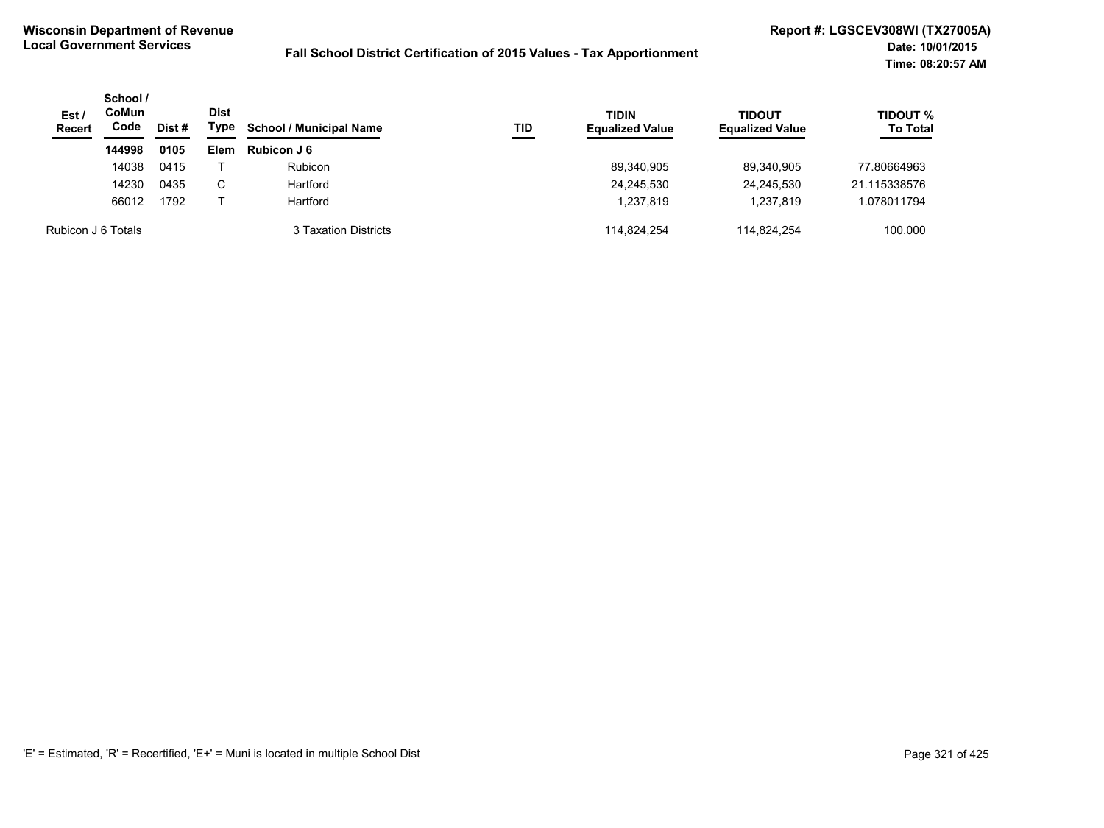| Est/<br><b>Recert</b> | School /<br><b>CoMun</b><br>Code | Dist # | Dist<br>Type | <b>School / Municipal Name</b> | TID | <b>TIDIN</b><br><b>Equalized Value</b> | <b>TIDOUT</b><br><b>Equalized Value</b> | <b>TIDOUT %</b><br><b>To Total</b> |
|-----------------------|----------------------------------|--------|--------------|--------------------------------|-----|----------------------------------------|-----------------------------------------|------------------------------------|
|                       | 144998                           | 0105   | Elem         | Rubicon J 6                    |     |                                        |                                         |                                    |
|                       | 14038                            | 0415   |              | <b>Rubicon</b>                 |     | 89,340,905                             | 89.340.905                              | 77.80664963                        |
|                       | 14230                            | 0435   | С            | Hartford                       |     | 24,245,530                             | 24,245,530                              | 21.115338576                       |
|                       | 66012                            | 1792   |              | Hartford                       |     | 1,237,819                              | 1,237,819                               | 1.078011794                        |
| Rubicon J 6 Totals    |                                  |        |              | 3 Taxation Districts           |     | 114.824.254                            | 114.824.254                             | 100.000                            |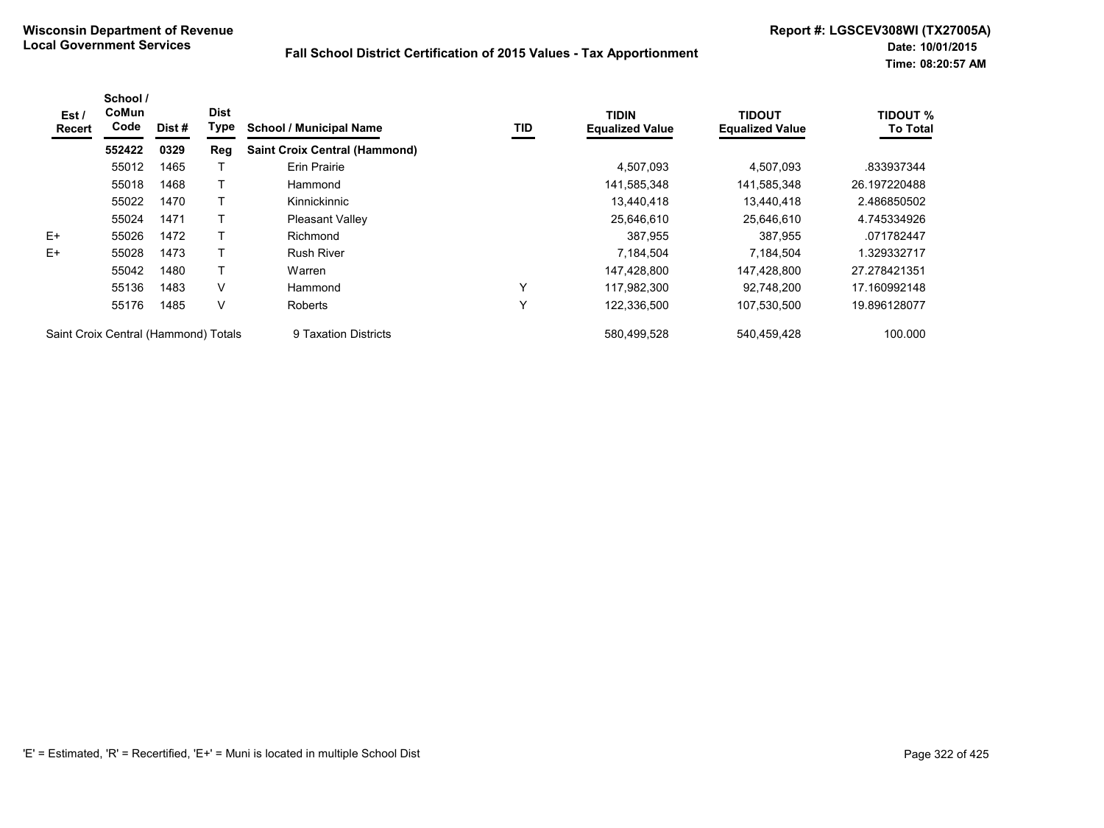| Est /<br><b>Recert</b>               | School /<br>CoMun<br>Code | Dist # | <b>Dist</b><br>Type | <b>School / Municipal Name</b>       | TID | <b>TIDIN</b><br><b>Equalized Value</b> | <b>TIDOUT</b><br><b>Equalized Value</b> | <b>TIDOUT %</b><br><b>To Total</b> |
|--------------------------------------|---------------------------|--------|---------------------|--------------------------------------|-----|----------------------------------------|-----------------------------------------|------------------------------------|
|                                      | 552422                    | 0329   | Reg                 | <b>Saint Croix Central (Hammond)</b> |     |                                        |                                         |                                    |
|                                      | 55012                     | 1465   |                     | <b>Erin Prairie</b>                  |     | 4,507,093                              | 4,507,093                               | .833937344                         |
|                                      | 55018                     | 1468   |                     | Hammond                              |     | 141,585,348                            | 141,585,348                             | 26.197220488                       |
|                                      | 55022                     | 1470   |                     | Kinnickinnic                         |     | 13,440,418                             | 13,440,418                              | 2.486850502                        |
|                                      | 55024                     | 1471   |                     | <b>Pleasant Valley</b>               |     | 25,646,610                             | 25,646,610                              | 4.745334926                        |
| $E+$                                 | 55026                     | 1472   |                     | Richmond                             |     | 387,955                                | 387,955                                 | .071782447                         |
| $E+$                                 | 55028                     | 1473   |                     | <b>Rush River</b>                    |     | 7,184,504                              | 7,184,504                               | 1.329332717                        |
|                                      | 55042                     | 1480   |                     | Warren                               |     | 147,428,800                            | 147,428,800                             | 27.278421351                       |
|                                      | 55136                     | 1483   | V                   | Hammond                              | Υ   | 117.982.300                            | 92.748.200                              | 17.160992148                       |
|                                      | 55176                     | 1485   | V                   | <b>Roberts</b>                       | Y   | 122,336,500                            | 107,530,500                             | 19.896128077                       |
| Saint Croix Central (Hammond) Totals |                           |        |                     | 9 Taxation Districts                 |     | 580,499,528                            | 540,459,428                             | 100.000                            |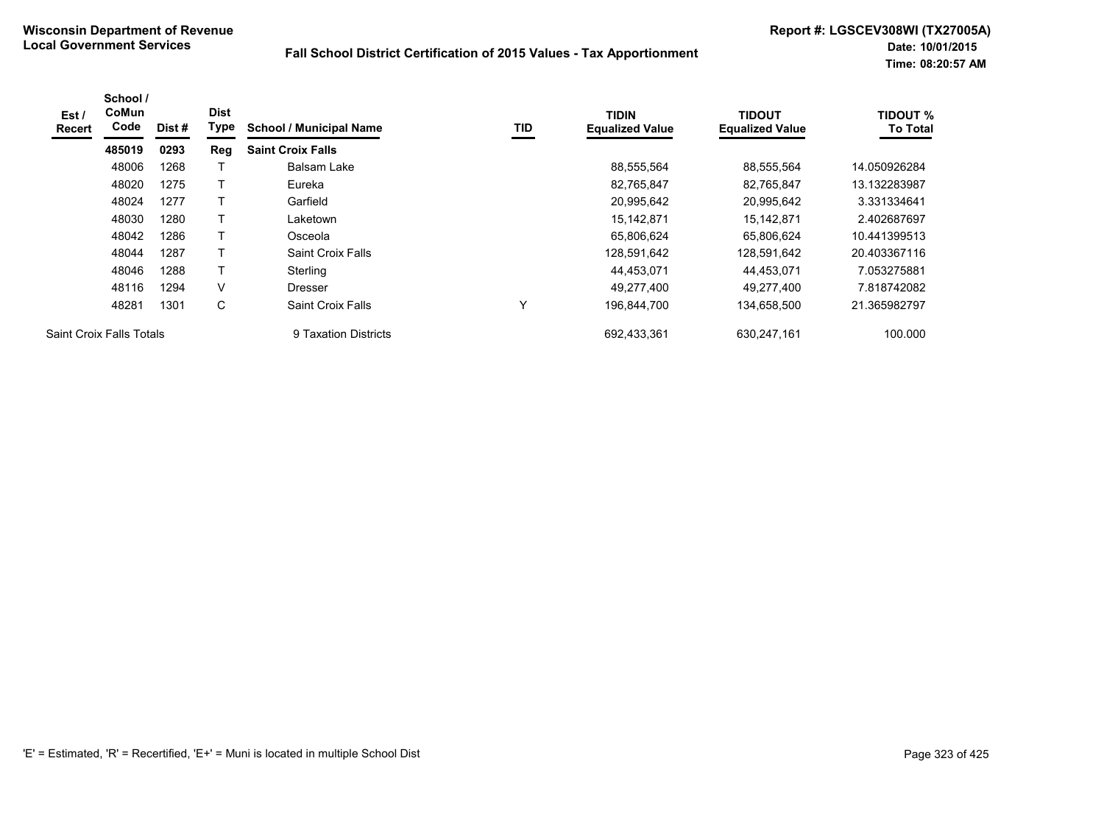| Est /<br>Recert | School /<br>CoMun<br>Code       | Dist# | <b>Dist</b><br>Type | <b>School / Municipal Name</b> | TID          | <b>TIDIN</b><br><b>Equalized Value</b> | <b>TIDOUT</b><br><b>Equalized Value</b> | <b>TIDOUT %</b><br><b>To Total</b> |
|-----------------|---------------------------------|-------|---------------------|--------------------------------|--------------|----------------------------------------|-----------------------------------------|------------------------------------|
|                 | 485019                          | 0293  | Reg                 | <b>Saint Croix Falls</b>       |              |                                        |                                         |                                    |
|                 | 48006                           | 1268  |                     | Balsam Lake                    |              | 88,555,564                             | 88,555,564                              | 14.050926284                       |
|                 | 48020                           | 1275  |                     | Eureka                         |              | 82,765,847                             | 82.765.847                              | 13.132283987                       |
|                 | 48024                           | 1277  |                     | Garfield                       |              | 20,995,642                             | 20,995,642                              | 3.331334641                        |
|                 | 48030                           | 1280  |                     | Laketown                       |              | 15,142,871                             | 15,142,871                              | 2.402687697                        |
|                 | 48042                           | 1286  | т                   | Osceola                        |              | 65,806,624                             | 65,806,624                              | 10.441399513                       |
|                 | 48044                           | 1287  |                     | Saint Croix Falls              |              | 128,591,642                            | 128,591,642                             | 20.403367116                       |
|                 | 48046                           | 1288  |                     | Sterling                       |              | 44,453,071                             | 44,453,071                              | 7.053275881                        |
|                 | 48116                           | 1294  | V                   | <b>Dresser</b>                 |              | 49.277.400                             | 49.277.400                              | 7.818742082                        |
|                 | 48281                           | 1301  | С                   | Saint Croix Falls              | $\checkmark$ | 196,844,700                            | 134,658,500                             | 21.365982797                       |
|                 | <b>Saint Croix Falls Totals</b> |       |                     | 9 Taxation Districts           |              | 692.433.361                            | 630.247.161                             | 100.000                            |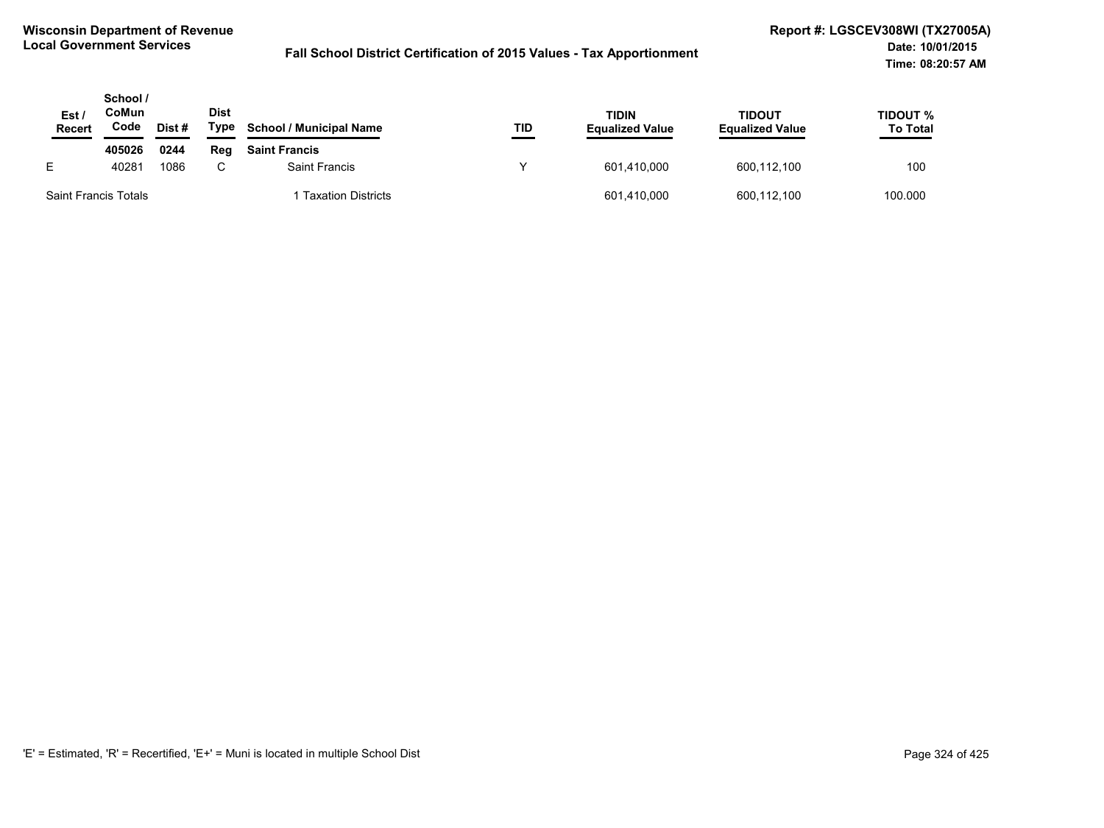| Est /<br><b>Recert</b>      | School /<br>CoMun<br>Code | Dist# | <b>Dist</b><br>Type | <b>School / Municipal Name</b> | TID | TIDIN<br><b>Equalized Value</b> | <b>TIDOUT</b><br><b>Equalized Value</b> | TIDOUT %<br><b>To Total</b> |
|-----------------------------|---------------------------|-------|---------------------|--------------------------------|-----|---------------------------------|-----------------------------------------|-----------------------------|
|                             | 405026                    | 0244  | Reg                 | <b>Saint Francis</b>           |     |                                 |                                         |                             |
| E.                          | 40281                     | 1086  |                     | <b>Saint Francis</b>           |     | 601,410,000                     | 600,112,100                             | 100                         |
| <b>Saint Francis Totals</b> |                           |       |                     | <b>Taxation Districts</b>      |     | 601,410,000                     | 600,112,100                             | 100.000                     |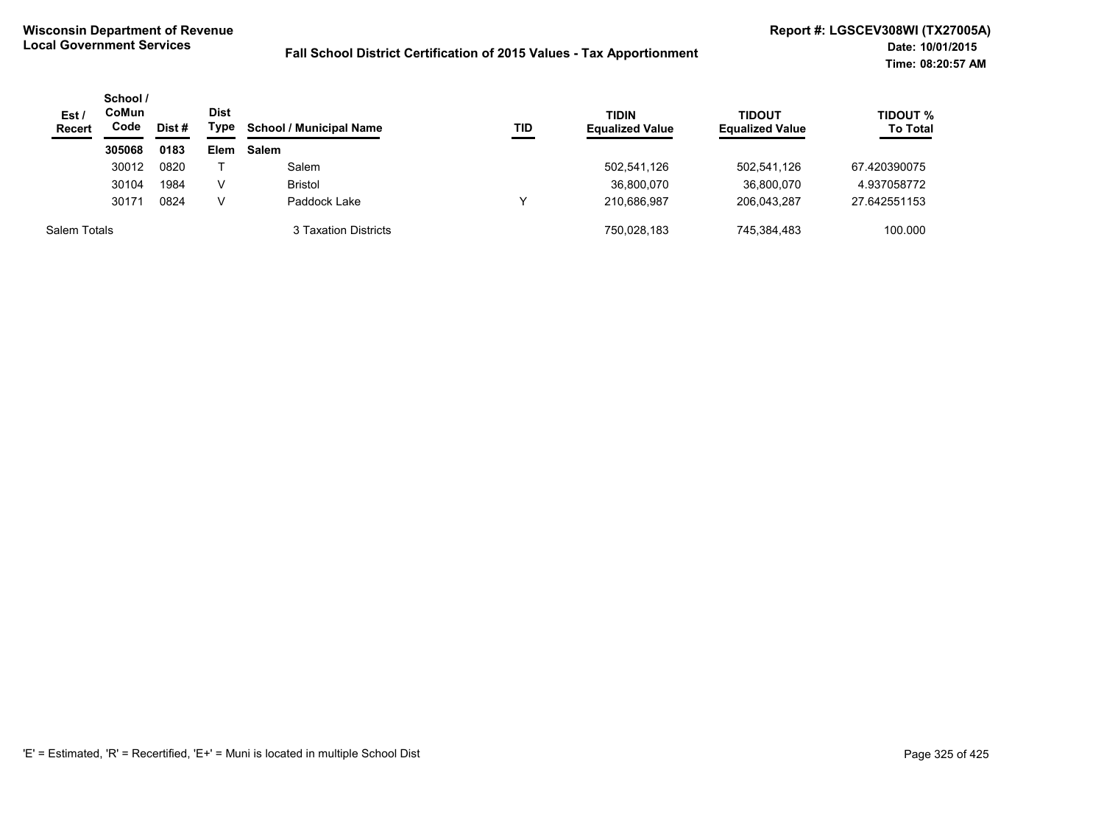| Est /<br><b>Recert</b> | School /<br>CoMun<br>Code | Dist # | <b>Dist</b><br>Type | <b>School / Municipal Name</b> | TID | <b>TIDIN</b><br><b>Equalized Value</b> | <b>TIDOUT</b><br><b>Equalized Value</b> | <b>TIDOUT %</b><br><b>To Total</b> |
|------------------------|---------------------------|--------|---------------------|--------------------------------|-----|----------------------------------------|-----------------------------------------|------------------------------------|
|                        | 305068                    | 0183   | <b>Elem</b>         | <b>Salem</b>                   |     |                                        |                                         |                                    |
|                        | 30012                     | 0820   |                     | Salem                          |     | 502,541,126                            | 502,541,126                             | 67.420390075                       |
|                        | 30104                     | 1984   | V                   | <b>Bristol</b>                 |     | 36,800,070                             | 36,800,070                              | 4.937058772                        |
|                        | 30171                     | 0824   | V                   | Paddock Lake                   |     | 210,686,987                            | 206.043.287                             | 27.642551153                       |
| Salem Totals           |                           |        |                     | 3 Taxation Districts           |     | 750.028.183                            | 745.384.483                             | 100.000                            |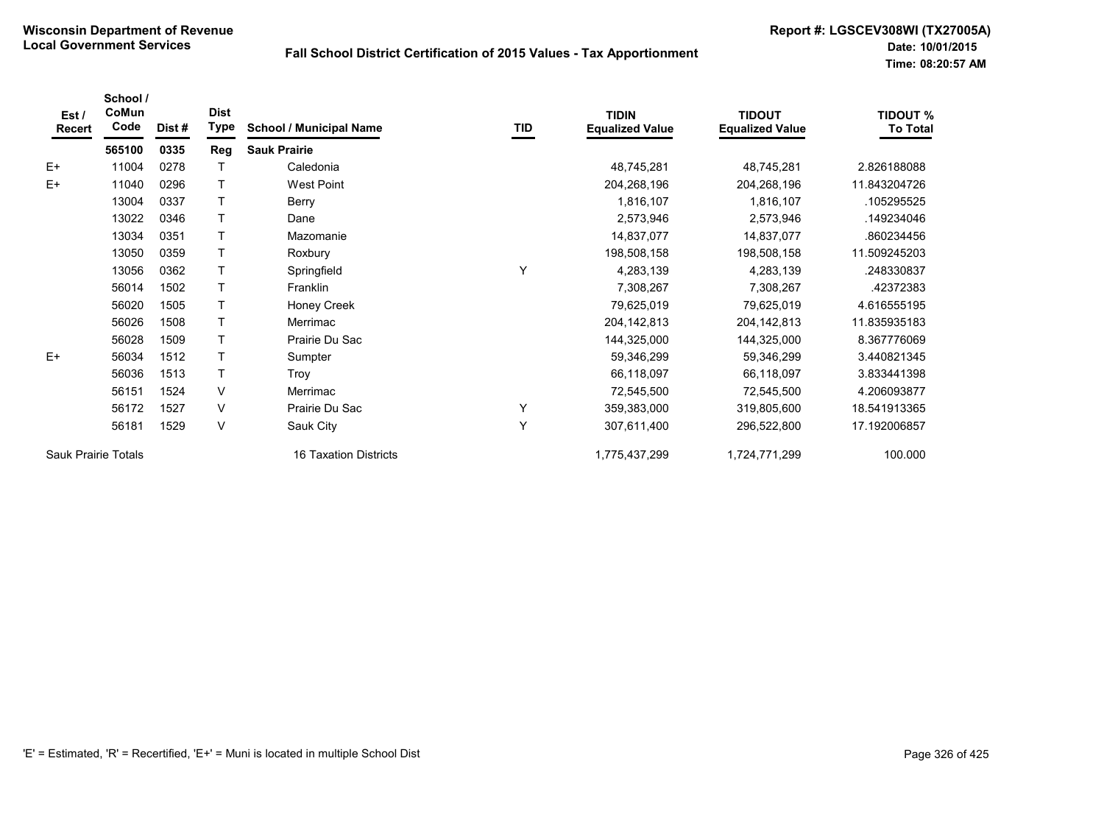| Est /<br>Recert     | School /<br>CoMun<br>Code | Dist # | <b>Dist</b><br><b>Type</b> | <b>School / Municipal Name</b> | TID | <b>TIDIN</b><br><b>Equalized Value</b> | <b>TIDOUT</b><br><b>Equalized Value</b> | <b>TIDOUT %</b><br><b>To Total</b> |
|---------------------|---------------------------|--------|----------------------------|--------------------------------|-----|----------------------------------------|-----------------------------------------|------------------------------------|
|                     | 565100                    | 0335   | <b>Reg</b>                 | <b>Sauk Prairie</b>            |     |                                        |                                         |                                    |
| $E+$                | 11004                     | 0278   |                            | Caledonia                      |     | 48,745,281                             | 48,745,281                              | 2.826188088                        |
| $E+$                | 11040                     | 0296   |                            | <b>West Point</b>              |     | 204,268,196                            | 204,268,196                             | 11.843204726                       |
|                     | 13004                     | 0337   |                            | Berry                          |     | 1,816,107                              | 1,816,107                               | .105295525                         |
|                     | 13022                     | 0346   |                            | Dane                           |     | 2,573,946                              | 2,573,946                               | .149234046                         |
|                     | 13034                     | 0351   | T                          | Mazomanie                      |     | 14,837,077                             | 14,837,077                              | .860234456                         |
|                     | 13050                     | 0359   |                            | Roxbury                        |     | 198,508,158                            | 198,508,158                             | 11.509245203                       |
|                     | 13056                     | 0362   | T                          | Springfield                    | Y   | 4,283,139                              | 4,283,139                               | .248330837                         |
|                     | 56014                     | 1502   |                            | Franklin                       |     | 7,308,267                              | 7,308,267                               | .42372383                          |
|                     | 56020                     | 1505   | T                          | Honey Creek                    |     | 79,625,019                             | 79,625,019                              | 4.616555195                        |
|                     | 56026                     | 1508   | т                          | Merrimac                       |     | 204, 142, 813                          | 204, 142, 813                           | 11.835935183                       |
|                     | 56028                     | 1509   |                            | Prairie Du Sac                 |     | 144,325,000                            | 144,325,000                             | 8.367776069                        |
| $E+$                | 56034                     | 1512   |                            | Sumpter                        |     | 59,346,299                             | 59,346,299                              | 3.440821345                        |
|                     | 56036                     | 1513   |                            | Troy                           |     | 66,118,097                             | 66,118,097                              | 3.833441398                        |
|                     | 56151                     | 1524   | V                          | Merrimac                       |     | 72,545,500                             | 72,545,500                              | 4.206093877                        |
|                     | 56172                     | 1527   | V                          | Prairie Du Sac                 | Υ   | 359,383,000                            | 319,805,600                             | 18.541913365                       |
|                     | 56181                     | 1529   | V                          | Sauk City                      | Y   | 307,611,400                            | 296,522,800                             | 17.192006857                       |
| Sauk Prairie Totals |                           |        |                            | 16 Taxation Districts          |     | 1,775,437,299                          | 1,724,771,299                           | 100.000                            |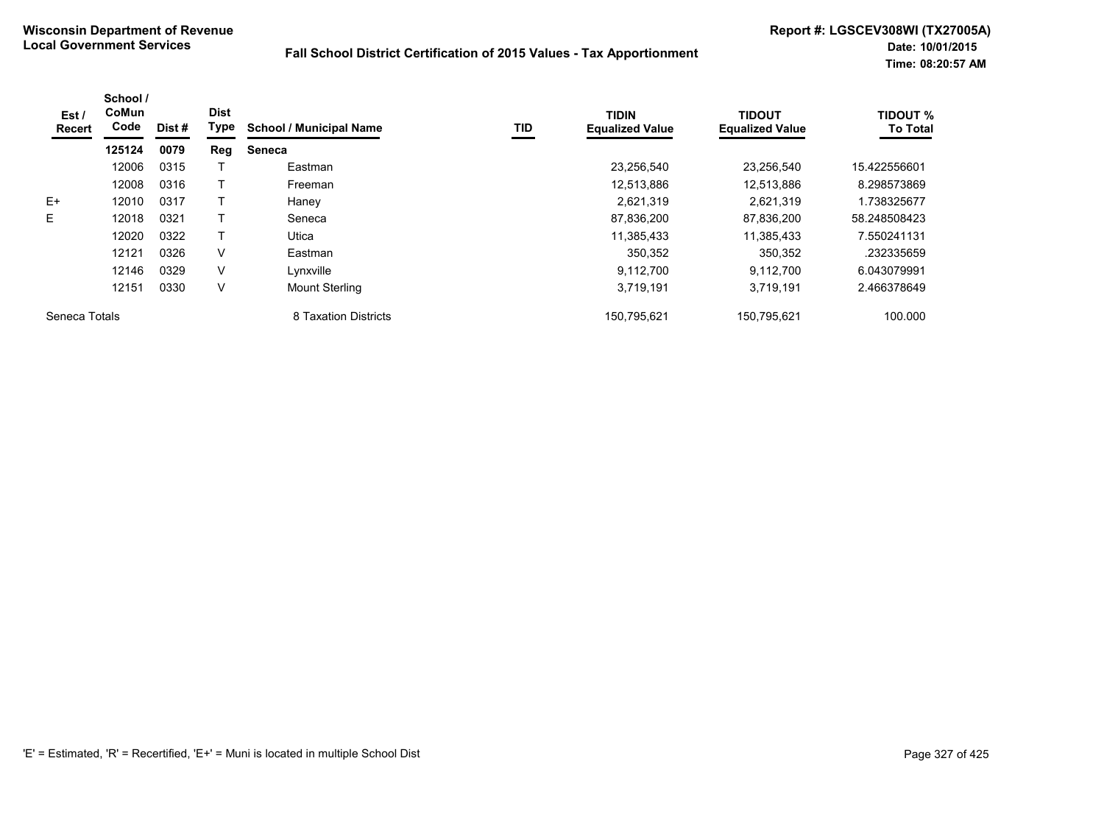| Est /<br>Recert | School /<br>CoMun<br>Code | Dist # | <b>Dist</b><br>Type | <b>School / Municipal Name</b> | TID | <b>TIDIN</b><br><b>Equalized Value</b> | <b>TIDOUT</b><br><b>Equalized Value</b> | <b>TIDOUT %</b><br><b>To Total</b> |
|-----------------|---------------------------|--------|---------------------|--------------------------------|-----|----------------------------------------|-----------------------------------------|------------------------------------|
|                 | 125124                    | 0079   | Reg                 | <b>Seneca</b>                  |     |                                        |                                         |                                    |
|                 | 12006                     | 0315   |                     | Eastman                        |     | 23,256,540                             | 23,256,540                              | 15.422556601                       |
|                 | 12008                     | 0316   |                     | Freeman                        |     | 12,513,886                             | 12,513,886                              | 8.298573869                        |
| $E+$            | 12010                     | 0317   |                     | Haney                          |     | 2,621,319                              | 2,621,319                               | 1.738325677                        |
| E               | 12018                     | 0321   |                     | Seneca                         |     | 87,836,200                             | 87.836.200                              | 58.248508423                       |
|                 | 12020                     | 0322   |                     | Utica                          |     | 11,385,433                             | 11,385,433                              | 7.550241131                        |
|                 | 12121                     | 0326   | V                   | Eastman                        |     | 350,352                                | 350,352                                 | .232335659                         |
|                 | 12146                     | 0329   | v                   | Lynxville                      |     | 9,112,700                              | 9.112.700                               | 6.043079991                        |
|                 | 12151                     | 0330   | v                   | <b>Mount Sterling</b>          |     | 3,719,191                              | 3,719,191                               | 2.466378649                        |
| Seneca Totals   |                           |        |                     | 8 Taxation Districts           |     | 150,795,621                            | 150,795,621                             | 100.000                            |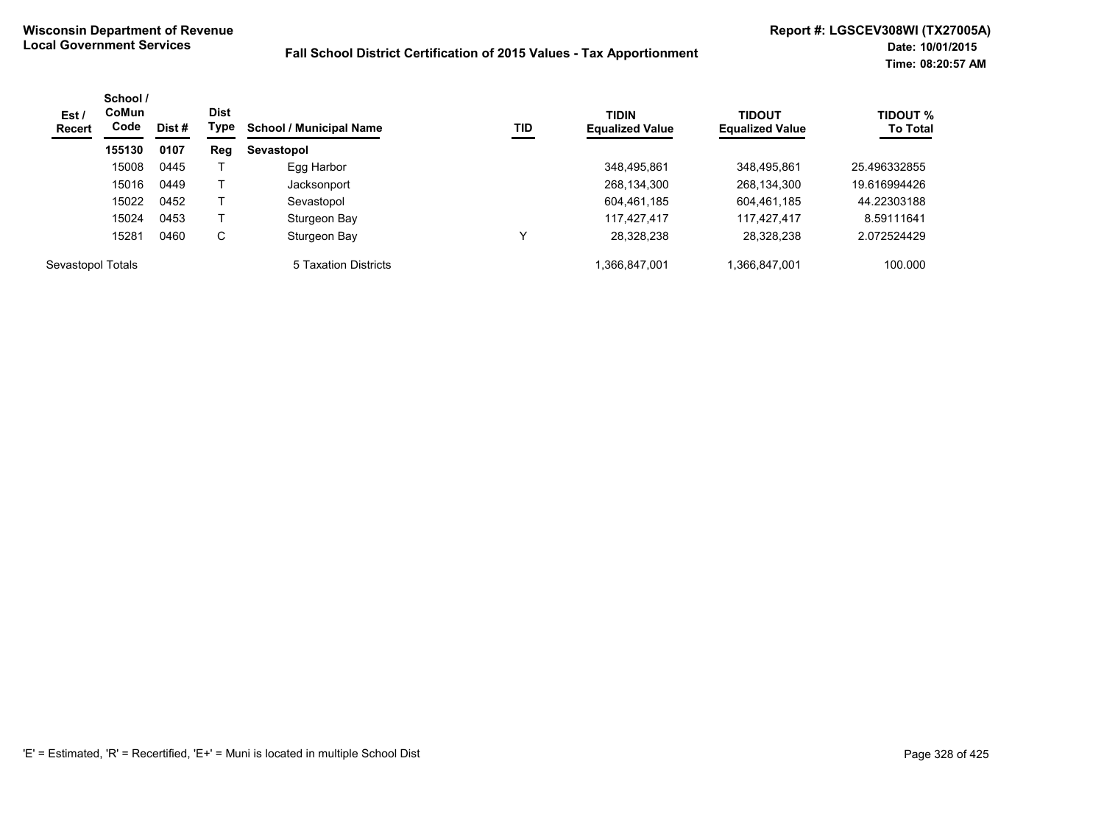| Est/<br><b>Recert</b> | School /<br><b>CoMun</b><br>Code | Dist# | <b>Dist</b><br>Type | <b>School / Municipal Name</b> | TID | <b>TIDIN</b><br><b>Equalized Value</b> | <b>TIDOUT</b><br><b>Equalized Value</b> | <b>TIDOUT %</b><br><b>To Total</b> |
|-----------------------|----------------------------------|-------|---------------------|--------------------------------|-----|----------------------------------------|-----------------------------------------|------------------------------------|
|                       | 155130                           | 0107  | Reg                 | Sevastopol                     |     |                                        |                                         |                                    |
|                       | 15008                            | 0445  |                     | Egg Harbor                     |     | 348.495.861                            | 348,495,861                             | 25.496332855                       |
|                       | 15016                            | 0449  |                     | Jacksonport                    |     | 268,134,300                            | 268,134,300                             | 19.616994426                       |
|                       | 15022                            | 0452  |                     | Sevastopol                     |     | 604,461,185                            | 604,461,185                             | 44.22303188                        |
|                       | 15024                            | 0453  |                     | Sturgeon Bay                   |     | 117,427,417                            | 117,427,417                             | 8.59111641                         |
|                       | 15281                            | 0460  | С                   | Sturgeon Bay                   |     | 28,328,238                             | 28,328,238                              | 2.072524429                        |
| Sevastopol Totals     |                                  |       |                     | 5 Taxation Districts           |     | 1,366,847,001                          | 1,366,847,001                           | 100.000                            |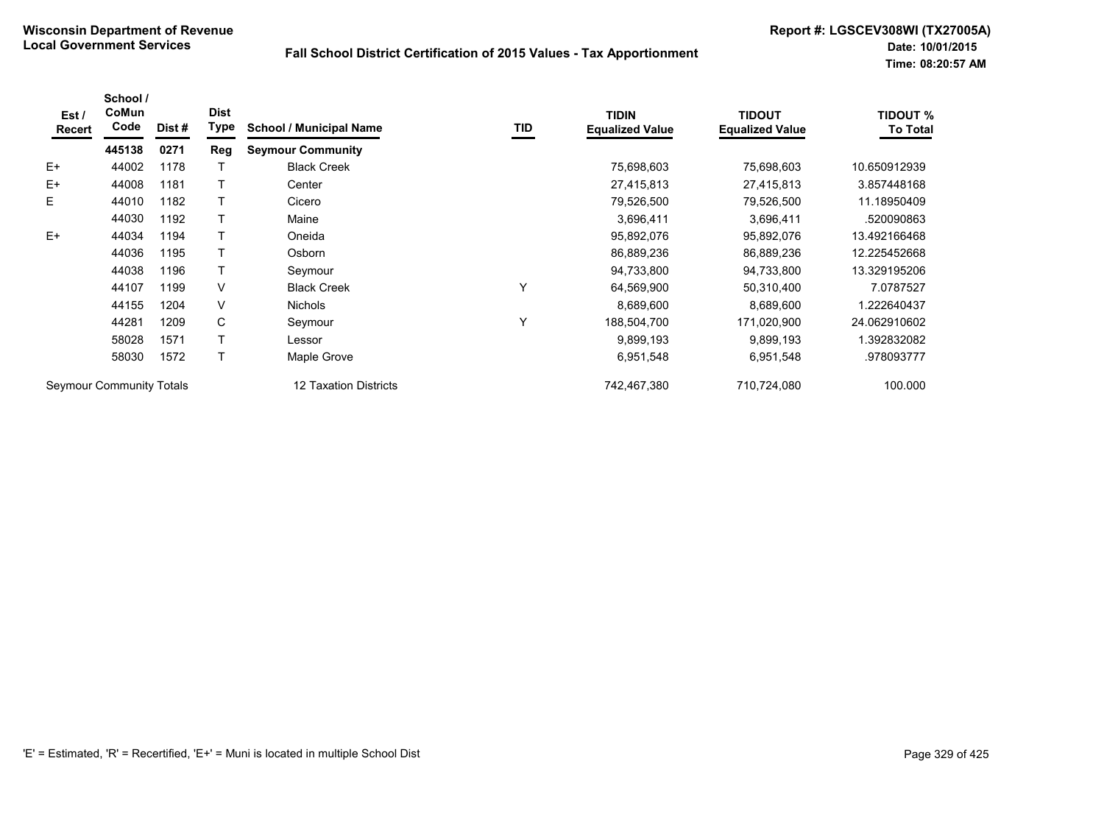| Est /<br>Recert          | School /<br>CoMun<br>Code | Dist #                | <b>Dist</b><br>Type | <b>School / Municipal Name</b> | TID         | <b>TIDIN</b><br><b>Equalized Value</b> | <b>TIDOUT</b><br><b>Equalized Value</b> | <b>TIDOUT %</b><br><b>To Total</b> |
|--------------------------|---------------------------|-----------------------|---------------------|--------------------------------|-------------|----------------------------------------|-----------------------------------------|------------------------------------|
|                          | 445138                    | 0271                  | Reg                 | <b>Seymour Community</b>       |             |                                        |                                         |                                    |
| $E+$                     | 44002                     | 1178                  |                     | <b>Black Creek</b>             |             | 75,698,603                             | 75,698,603                              | 10.650912939                       |
| E+                       | 44008                     | 1181                  |                     | Center                         |             | 27,415,813                             | 27,415,813                              | 3.857448168                        |
| E.                       | 44010                     | 1182                  |                     | Cicero                         |             | 79,526,500                             | 79,526,500                              | 11.18950409                        |
|                          | 44030                     | 1192                  |                     | Maine                          |             | 3,696,411                              | 3,696,411                               | .520090863                         |
| $E+$                     | 44034                     | 1194                  |                     | Oneida                         |             | 95,892,076                             | 95,892,076                              | 13.492166468                       |
|                          | 44036                     | 1195                  |                     | Osborn                         |             | 86,889,236                             | 86,889,236                              | 12.225452668                       |
|                          | 44038                     | 1196                  |                     | Seymour                        |             | 94,733,800                             | 94,733,800                              | 13.329195206                       |
|                          | 44107                     | 1199                  | $\vee$              | <b>Black Creek</b>             | Υ           | 64,569,900                             | 50,310,400                              | 7.0787527                          |
|                          | 44155                     | 1204                  | V                   | <b>Nichols</b>                 |             | 8,689,600                              | 8,689,600                               | 1.222640437                        |
|                          | 44281                     | 1209                  | C                   | Seymour                        | Υ           | 188,504,700                            | 171,020,900                             | 24.062910602                       |
|                          | 58028                     | 1571                  | T                   | Lessor                         |             | 9,899,193                              | 9,899,193                               | 1.392832082                        |
|                          | 58030                     | 1572                  | т                   | Maple Grove                    |             | 6,951,548                              | 6,951,548                               | .978093777                         |
| Seymour Community Totals |                           | 12 Taxation Districts |                     | 742,467,380                    | 710,724,080 | 100.000                                |                                         |                                    |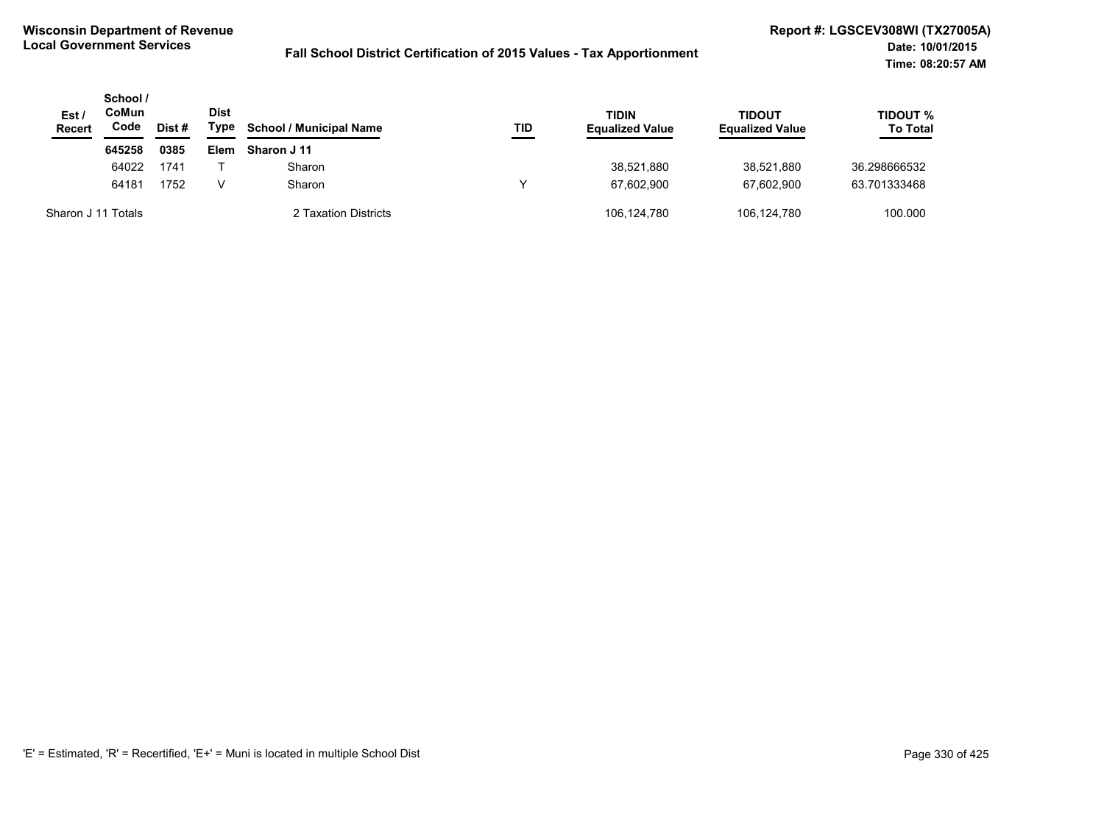| Est /<br><b>Recert</b> | School /<br>CoMun<br>Code<br>Dist# |      | Dist<br>Type | <b>School / Municipal Name</b> | TID | <b>TIDIN</b><br><b>Equalized Value</b> | <b>TIDOUT</b><br><b>Equalized Value</b> | <b>TIDOUT %</b><br><b>To Total</b> |
|------------------------|------------------------------------|------|--------------|--------------------------------|-----|----------------------------------------|-----------------------------------------|------------------------------------|
|                        | 645258                             | 0385 | Elem         | Sharon J 11                    |     |                                        |                                         |                                    |
|                        | 64022                              | 1741 |              | Sharon                         |     | 38,521,880                             | 38,521,880                              | 36.298666532                       |
|                        | 64181                              | 1752 | V            | Sharon                         | ν   | 67.602.900                             | 67.602.900                              | 63.701333468                       |
| Sharon J 11 Totals     |                                    |      |              | 2 Taxation Districts           |     | 106,124,780                            | 106,124,780                             | 100.000                            |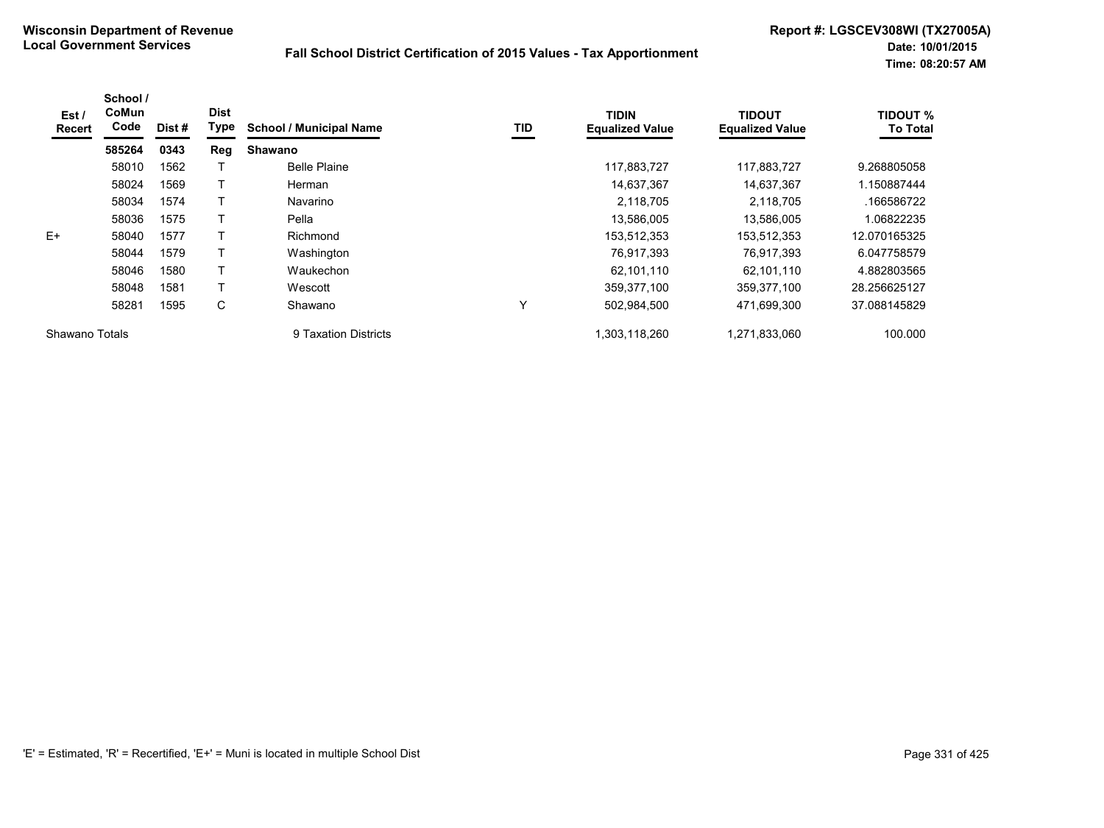| Est /<br><b>Recert</b> | School /<br><b>CoMun</b><br>Code | Dist # | <b>Dist</b><br>Type | <b>School / Municipal Name</b> | <b>TID</b> | <b>TIDIN</b><br><b>Equalized Value</b> | <b>TIDOUT</b><br><b>Equalized Value</b> | <b>TIDOUT %</b><br><b>To Total</b> |
|------------------------|----------------------------------|--------|---------------------|--------------------------------|------------|----------------------------------------|-----------------------------------------|------------------------------------|
|                        | 585264                           | 0343   | Reg                 | <b>Shawano</b>                 |            |                                        |                                         |                                    |
|                        | 58010                            | 1562   |                     | <b>Belle Plaine</b>            |            | 117,883,727                            | 117,883,727                             | 9.268805058                        |
|                        | 58024                            | 1569   |                     | Herman                         |            | 14,637,367                             | 14,637,367                              | 1.150887444                        |
|                        | 58034                            | 1574   |                     | Navarino                       |            | 2,118,705                              | 2,118,705                               | .166586722                         |
|                        | 58036                            | 1575   |                     | Pella                          |            | 13,586,005                             | 13,586,005                              | 1.06822235                         |
| $E+$                   | 58040                            | 1577   |                     | Richmond                       |            | 153,512,353                            | 153,512,353                             | 12.070165325                       |
|                        | 58044                            | 1579   |                     | Washington                     |            | 76,917,393                             | 76,917,393                              | 6.047758579                        |
|                        | 58046                            | 1580   |                     | Waukechon                      |            | 62,101,110                             | 62,101,110                              | 4.882803565                        |
|                        | 58048                            | 1581   |                     | Wescott                        |            | 359,377,100                            | 359,377,100                             | 28.256625127                       |
|                        | 58281                            | 1595   | C                   | Shawano                        | Υ          | 502,984,500                            | 471,699,300                             | 37.088145829                       |
| Shawano Totals         |                                  |        |                     | 9 Taxation Districts           |            | 1,303,118,260                          | 1.271.833.060                           | 100.000                            |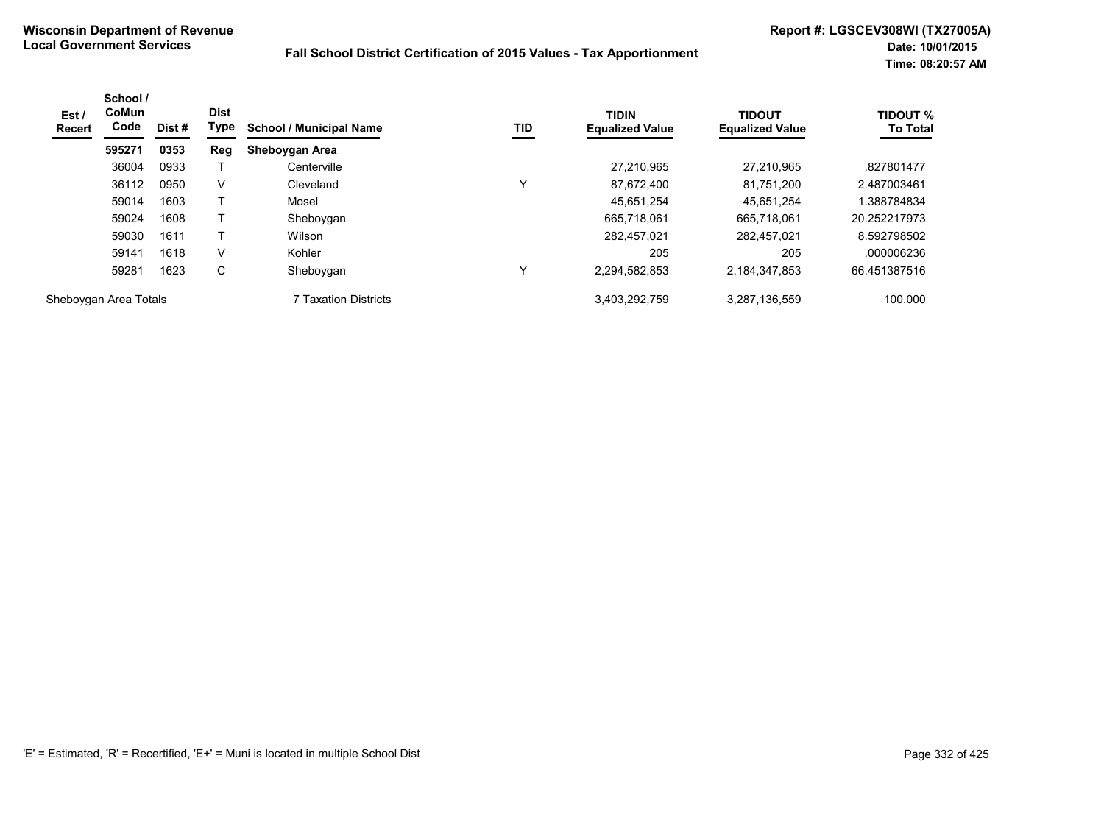| Est/<br><b>Recert</b> | School /<br><b>CoMun</b><br>Code | Dist # | <b>Dist</b><br>Type | <b>School / Municipal Name</b> | TID | <b>TIDIN</b><br><b>Equalized Value</b> | <b>TIDOUT</b><br><b>Equalized Value</b> | <b>TIDOUT %</b><br><b>To Total</b> |
|-----------------------|----------------------------------|--------|---------------------|--------------------------------|-----|----------------------------------------|-----------------------------------------|------------------------------------|
|                       | 595271                           | 0353   | Reg                 | Sheboygan Area                 |     |                                        |                                         |                                    |
|                       | 36004                            | 0933   |                     | Centerville                    |     | 27,210,965                             | 27.210.965                              | .827801477                         |
|                       | 36112                            | 0950   | V                   | Cleveland                      | 丷   | 87.672.400                             | 81.751.200                              | 2.487003461                        |
|                       | 59014                            | 1603   |                     | Mosel                          |     | 45.651.254                             | 45.651.254                              | .388784834                         |
|                       | 59024                            | 1608   |                     | Sheboygan                      |     | 665.718.061                            | 665.718.061                             | 20.252217973                       |
|                       | 59030                            | 1611   |                     | Wilson                         |     | 282.457.021                            | 282.457.021                             | 8.592798502                        |
|                       | 59141                            | 1618   | V                   | Kohler                         |     | 205                                    | 205                                     | .000006236                         |
|                       | 59281                            | 1623   | С                   | Sheboygan                      | v   | 2,294,582,853                          | 2,184,347,853                           | 66.451387516                       |
| Sheboygan Area Totals |                                  |        |                     | 7 Taxation Districts           |     | 3,403,292,759                          | 3,287,136,559                           | 100.000                            |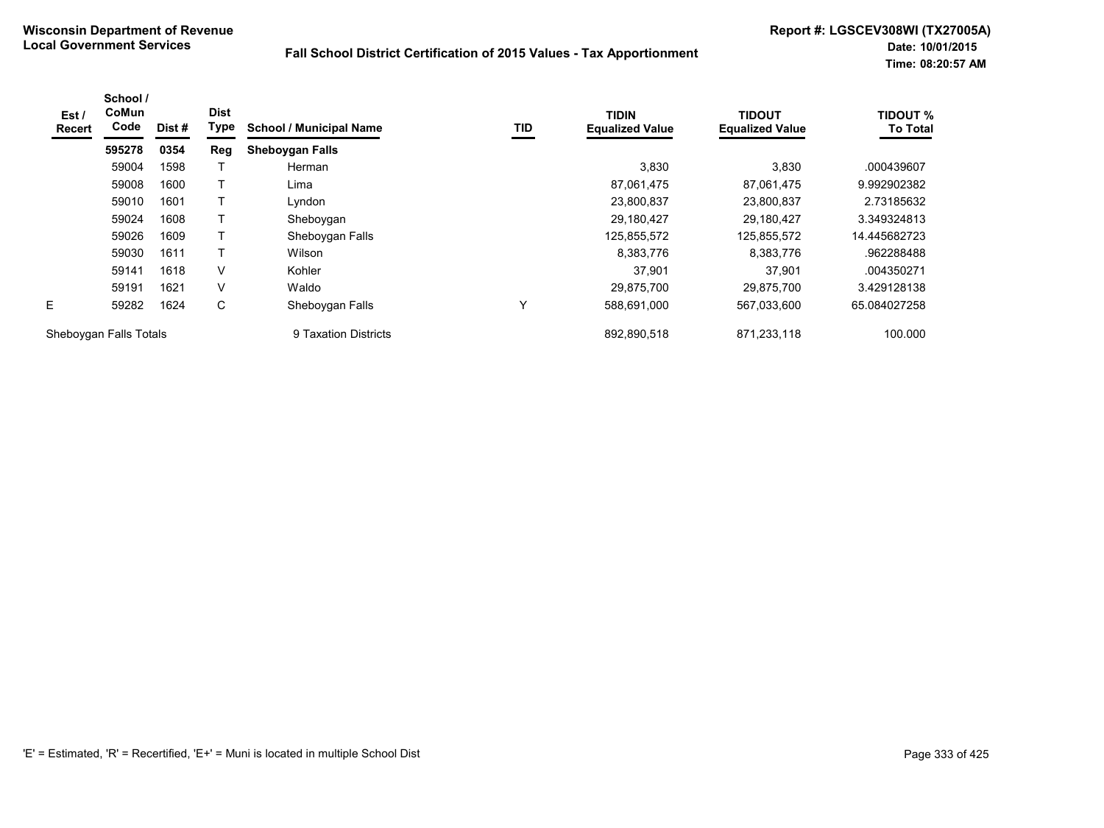| Est /<br><b>Recert</b> | School /<br>CoMun<br>Code | Dist # | <b>Dist</b><br>Type | <b>School / Municipal Name</b> | TID | <b>TIDIN</b><br><b>Equalized Value</b> | <b>TIDOUT</b><br><b>Equalized Value</b> | <b>TIDOUT %</b><br><b>To Total</b> |
|------------------------|---------------------------|--------|---------------------|--------------------------------|-----|----------------------------------------|-----------------------------------------|------------------------------------|
|                        | 595278                    | 0354   | Reg                 | <b>Sheboygan Falls</b>         |     |                                        |                                         |                                    |
|                        | 59004                     | 1598   |                     | Herman                         |     | 3,830                                  | 3,830                                   | .000439607                         |
|                        | 59008                     | 1600   |                     | Lima                           |     | 87,061,475                             | 87,061,475                              | 9.992902382                        |
|                        | 59010                     | 1601   |                     | Lyndon                         |     | 23,800,837                             | 23,800,837                              | 2.73185632                         |
|                        | 59024                     | 1608   |                     | Sheboygan                      |     | 29,180,427                             | 29,180,427                              | 3.349324813                        |
|                        | 59026                     | 1609   | т                   | Sheboygan Falls                |     | 125,855,572                            | 125,855,572                             | 14.445682723                       |
|                        | 59030                     | 1611   |                     | Wilson                         |     | 8,383,776                              | 8,383,776                               | .962288488                         |
|                        | 59141                     | 1618   | V                   | Kohler                         |     | 37,901                                 | 37,901                                  | .004350271                         |
|                        | 59191                     | 1621   | V                   | Waldo                          |     | 29.875.700                             | 29.875.700                              | 3.429128138                        |
| E                      | 59282                     | 1624   | С                   | Sheboygan Falls                | Υ   | 588,691,000                            | 567,033,600                             | 65.084027258                       |
|                        | Sheboygan Falls Totals    |        |                     | 9 Taxation Districts           |     | 892.890.518                            | 871.233.118                             | 100.000                            |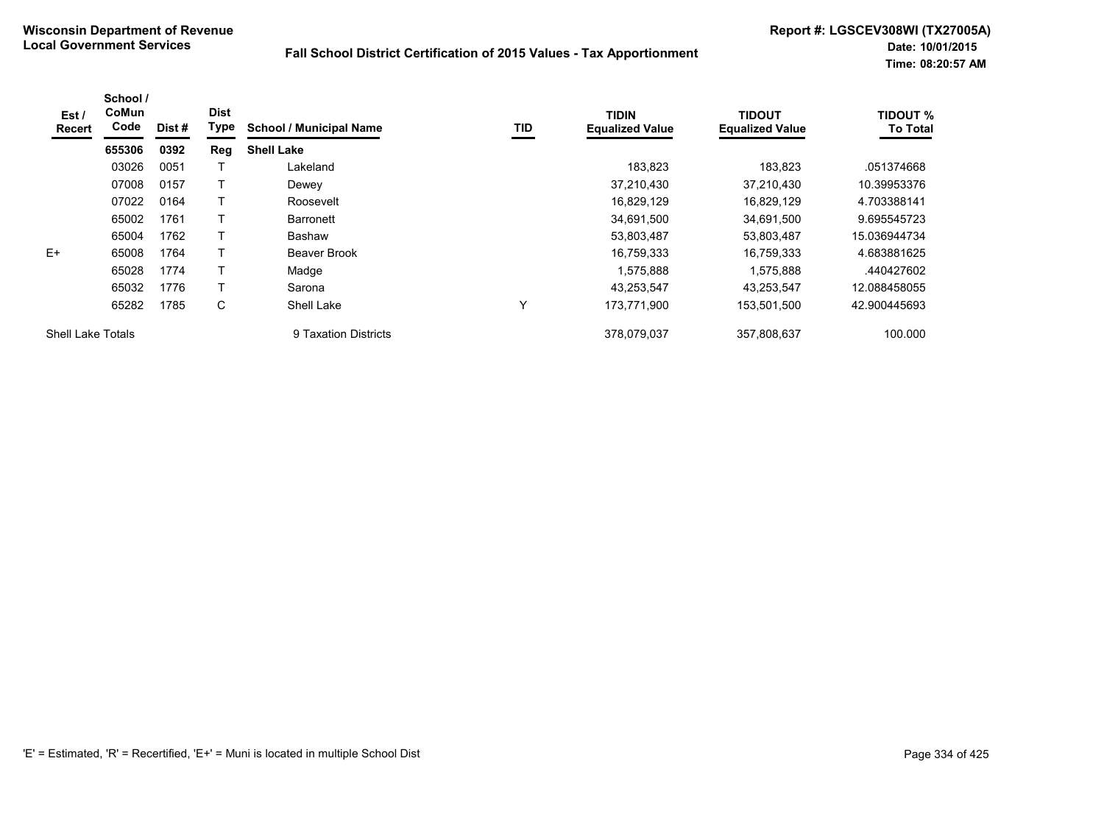| Est /<br>Recert          | School /<br>CoMun<br>Code | Dist# | <b>Dist</b><br>Type | <b>School / Municipal Name</b> | <b>TID</b>  | <b>TIDIN</b><br><b>Equalized Value</b> | <b>TIDOUT</b><br><b>Equalized Value</b> | <b>TIDOUT %</b><br><b>To Total</b> |
|--------------------------|---------------------------|-------|---------------------|--------------------------------|-------------|----------------------------------------|-----------------------------------------|------------------------------------|
|                          | 655306                    | 0392  | Reg                 | <b>Shell Lake</b>              |             |                                        |                                         |                                    |
|                          | 03026                     | 0051  |                     | Lakeland                       |             | 183.823                                | 183.823                                 | .051374668                         |
|                          | 07008                     | 0157  |                     | Dewey                          |             | 37,210,430                             | 37.210.430                              | 10.39953376                        |
|                          | 07022                     | 0164  |                     | Roosevelt                      |             | 16,829,129                             | 16,829,129                              | 4.703388141                        |
|                          | 65002                     | 1761  |                     | <b>Barronett</b>               |             | 34,691,500                             | 34,691,500                              | 9.695545723                        |
|                          | 65004                     | 1762  |                     | Bashaw                         |             | 53,803,487                             | 53,803,487                              | 15.036944734                       |
| $E+$                     | 65008                     | 1764  |                     | Beaver Brook                   |             | 16,759,333                             | 16.759.333                              | 4.683881625                        |
|                          | 65028                     | 1774  |                     | Madge                          |             | 1,575,888                              | 1,575,888                               | .440427602                         |
|                          | 65032                     | 1776  |                     | Sarona                         |             | 43.253.547                             | 43.253.547                              | 12.088458055                       |
|                          | 65282                     | 1785  | C                   | <b>Shell Lake</b>              | $\check{ }$ | 173,771,900                            | 153,501,500                             | 42.900445693                       |
| <b>Shell Lake Totals</b> |                           |       |                     | 9 Taxation Districts           |             | 378.079.037                            | 357.808.637                             | 100.000                            |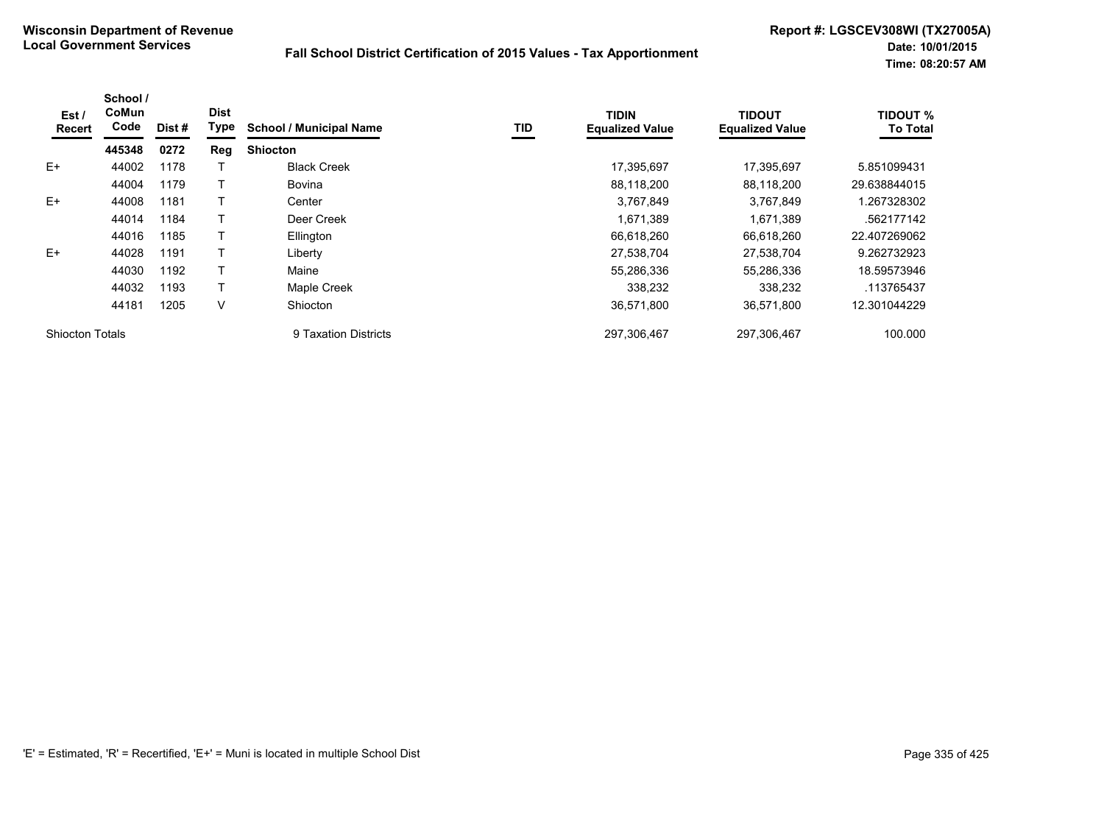| Est/<br><b>Recert</b>  | School /<br>CoMun<br>Code | Dist# | <b>Dist</b><br>Type | <b>School / Municipal Name</b> | TID | <b>TIDIN</b><br><b>Equalized Value</b> | <b>TIDOUT</b><br><b>Equalized Value</b> | <b>TIDOUT %</b><br><b>To Total</b> |
|------------------------|---------------------------|-------|---------------------|--------------------------------|-----|----------------------------------------|-----------------------------------------|------------------------------------|
|                        | 445348                    | 0272  | Reg                 | <b>Shiocton</b>                |     |                                        |                                         |                                    |
| $E+$                   | 44002                     | 1178  |                     | <b>Black Creek</b>             |     | 17,395,697                             | 17,395,697                              | 5.851099431                        |
|                        | 44004                     | 1179  |                     | <b>Bovina</b>                  |     | 88,118,200                             | 88,118,200                              | 29.638844015                       |
| $E+$                   | 44008                     | 1181  |                     | Center                         |     | 3,767,849                              | 3,767,849                               | 1.267328302                        |
|                        | 44014                     | 1184  |                     | Deer Creek                     |     | 1,671,389                              | 1,671,389                               | .562177142                         |
|                        | 44016                     | 1185  |                     | Ellington                      |     | 66,618,260                             | 66,618,260                              | 22.407269062                       |
| $E+$                   | 44028                     | 1191  |                     | Liberty                        |     | 27,538,704                             | 27,538,704                              | 9.262732923                        |
|                        | 44030                     | 1192  |                     | Maine                          |     | 55,286,336                             | 55,286,336                              | 18.59573946                        |
|                        | 44032                     | 1193  |                     | Maple Creek                    |     | 338,232                                | 338,232                                 | .113765437                         |
|                        | 44181                     | 1205  | V                   | Shiocton                       |     | 36,571,800                             | 36,571,800                              | 12.301044229                       |
| <b>Shiocton Totals</b> |                           |       |                     | 9 Taxation Districts           |     | 297,306,467                            | 297,306,467                             | 100.000                            |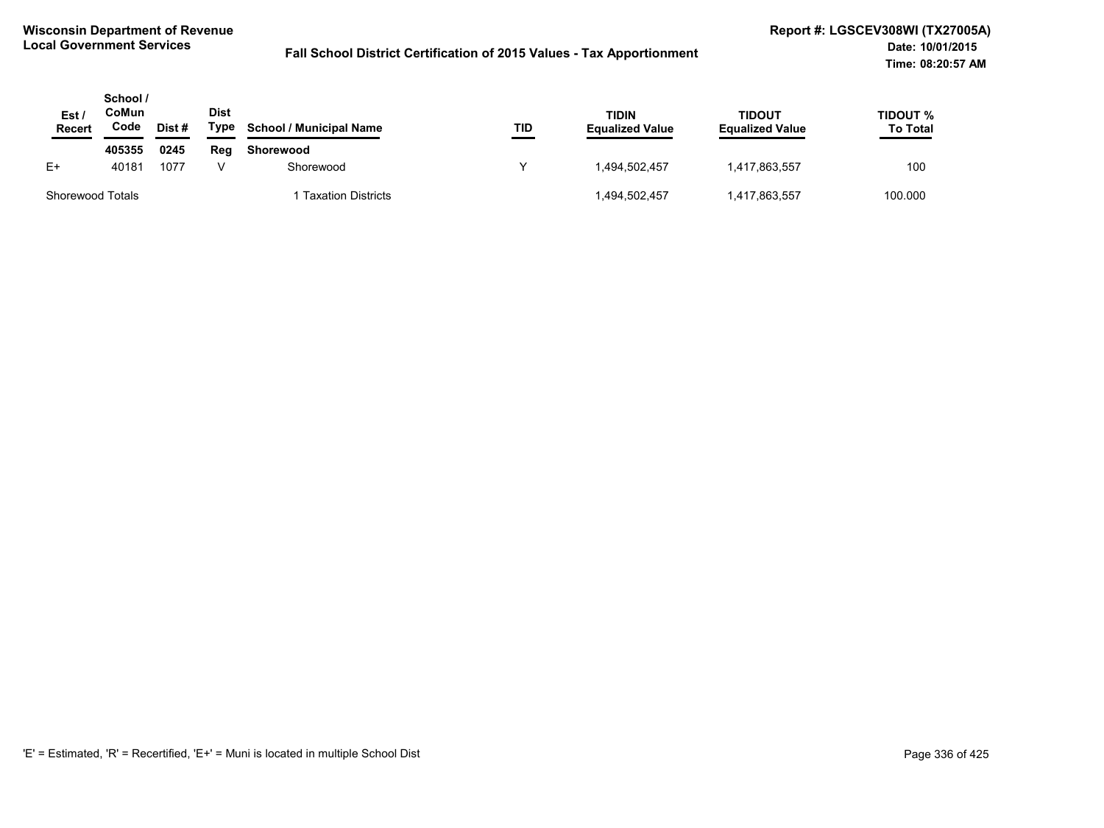| Est /<br>Recert  | School /<br>CoMun<br>Code | Dist # | <b>Dist</b><br>Type | <b>School / Municipal Name</b> | TID | <b>TIDIN</b><br><b>Equalized Value</b> | TIDOUT<br><b>Equalized Value</b> | TIDOUT %<br><b>To Total</b> |
|------------------|---------------------------|--------|---------------------|--------------------------------|-----|----------------------------------------|----------------------------------|-----------------------------|
|                  | 405355                    | 0245   | Rea                 | Shorewood                      |     |                                        |                                  |                             |
| E+               | 40181                     | 1077   |                     | Shorewood                      |     | 1.494.502.457                          | 1,417,863,557                    | 100                         |
| Shorewood Totals |                           |        |                     | <b>Taxation Districts</b>      |     | 1,494,502,457                          | 1,417,863,557                    | 100.000                     |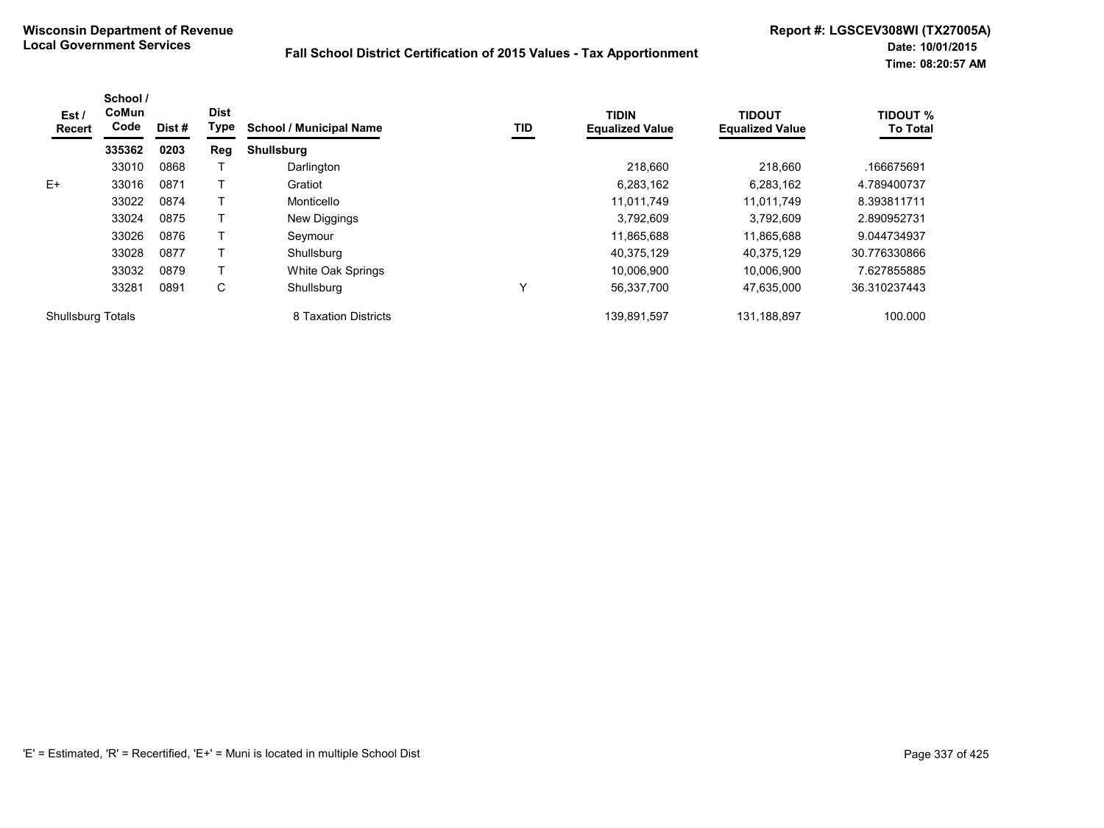| Est /<br><b>Recert</b>   | School /<br>CoMun<br>Code | Dist # | <b>Dist</b><br>Type | <b>School / Municipal Name</b> | TID | <b>TIDIN</b><br><b>Equalized Value</b> | <b>TIDOUT</b><br><b>Equalized Value</b> | <b>TIDOUT %</b><br><b>To Total</b> |
|--------------------------|---------------------------|--------|---------------------|--------------------------------|-----|----------------------------------------|-----------------------------------------|------------------------------------|
|                          | 335362                    | 0203   | Reg                 | <b>Shullsburg</b>              |     |                                        |                                         |                                    |
|                          | 33010                     | 0868   |                     | Darlington                     |     | 218,660                                | 218,660                                 | .166675691                         |
| $E+$                     | 33016                     | 0871   |                     | Gratiot                        |     | 6,283,162                              | 6.283.162                               | 4.789400737                        |
|                          | 33022                     | 0874   |                     | Monticello                     |     | 11,011,749                             | 11,011,749                              | 8.393811711                        |
|                          | 33024                     | 0875   |                     | New Diggings                   |     | 3,792,609                              | 3.792.609                               | 2.890952731                        |
|                          | 33026                     | 0876   |                     | Seymour                        |     | 11,865,688                             | 11,865,688                              | 9.044734937                        |
|                          | 33028                     | 0877   |                     | Shullsburg                     |     | 40.375.129                             | 40.375.129                              | 30.776330866                       |
|                          | 33032                     | 0879   |                     | White Oak Springs              |     | 10,006,900                             | 10,006,900                              | 7.627855885                        |
|                          | 33281                     | 0891   | C                   | Shullsburg                     | Υ   | 56,337,700                             | 47,635,000                              | 36.310237443                       |
| <b>Shullsburg Totals</b> |                           |        |                     | 8 Taxation Districts           |     | 139.891.597                            | 131.188.897                             | 100.000                            |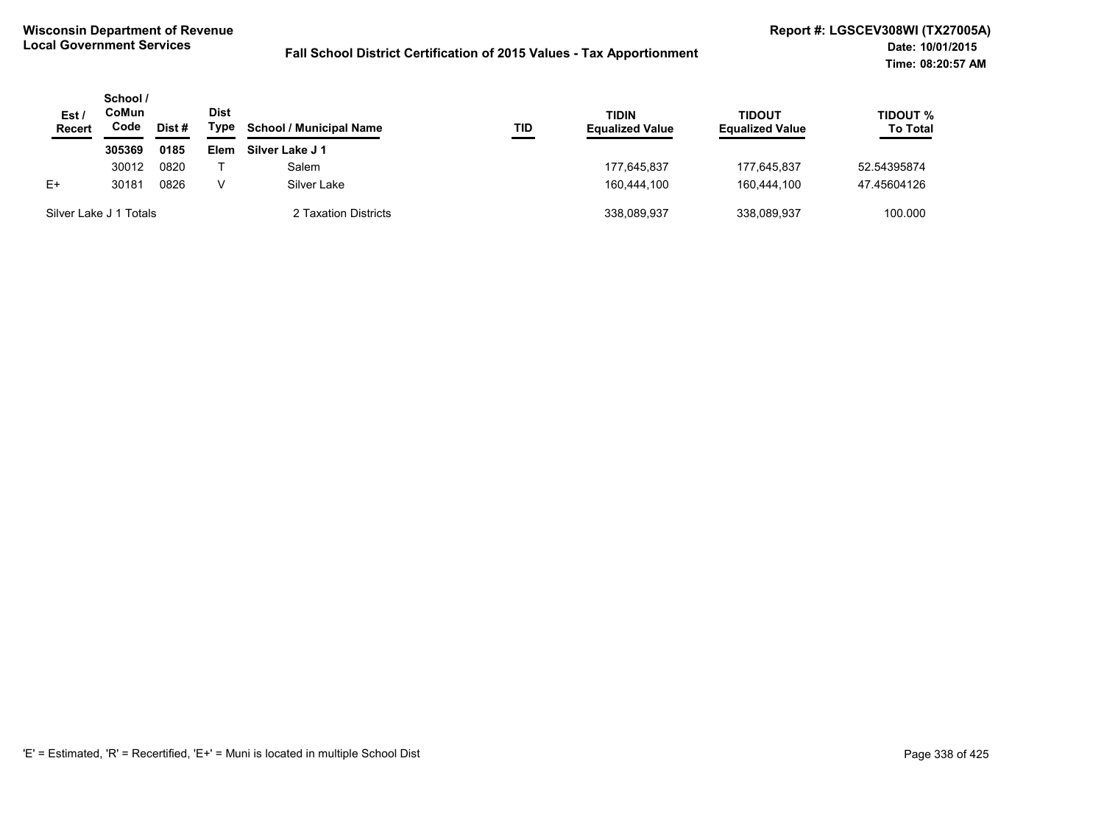| Est /<br><b>Recert</b> | School /<br>CoMun<br>Code<br>Dist # |      | <b>Dist</b><br>Type | <b>School / Municipal Name</b> | TID | <b>TIDIN</b><br><b>Equalized Value</b> | TIDOUT<br><b>Equalized Value</b> | TIDOUT %<br><b>To Total</b> |
|------------------------|-------------------------------------|------|---------------------|--------------------------------|-----|----------------------------------------|----------------------------------|-----------------------------|
|                        | 305369                              | 0185 | Elem                | Silver Lake J 1                |     |                                        |                                  |                             |
|                        | 30012                               | 0820 |                     | Salem                          |     | 177.645.837                            | 177.645.837                      | 52.54395874                 |
| $E+$                   | 30181                               | 0826 | v                   | Silver Lake                    |     | 160.444.100                            | 160.444.100                      | 47.45604126                 |
| Silver Lake J 1 Totals |                                     |      |                     | 2 Taxation Districts           |     | 338.089.937                            | 338.089.937                      | 100.000                     |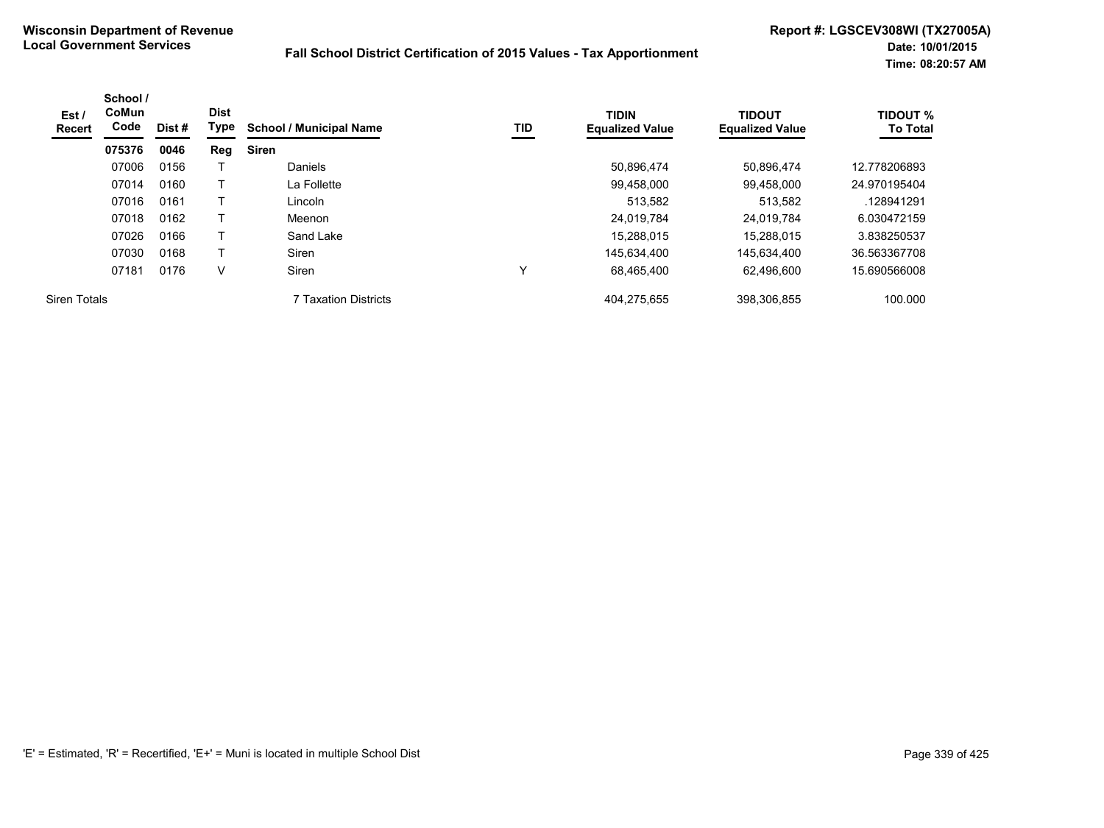| Est /<br><b>Recert</b> | School /<br><b>CoMun</b><br>Code | Dist# | <b>Dist</b><br>Type | <b>School / Municipal Name</b> | <b>TID</b> | <b>TIDIN</b><br><b>Equalized Value</b> | <b>TIDOUT</b><br><b>Equalized Value</b> | <b>TIDOUT %</b><br><b>To Total</b> |
|------------------------|----------------------------------|-------|---------------------|--------------------------------|------------|----------------------------------------|-----------------------------------------|------------------------------------|
|                        | 075376                           | 0046  | Reg                 | <b>Siren</b>                   |            |                                        |                                         |                                    |
|                        | 07006                            | 0156  |                     | <b>Daniels</b>                 |            | 50.896.474                             | 50.896.474                              | 12.778206893                       |
|                        | 07014                            | 0160  |                     | La Follette                    |            | 99,458,000                             | 99,458,000                              | 24.970195404                       |
|                        | 07016                            | 0161  |                     | Lincoln                        |            | 513.582                                | 513,582                                 | .128941291                         |
|                        | 07018                            | 0162  |                     | Meenon                         |            | 24,019,784                             | 24.019.784                              | 6.030472159                        |
|                        | 07026                            | 0166  |                     | Sand Lake                      |            | 15,288,015                             | 15.288.015                              | 3.838250537                        |
|                        | 07030                            | 0168  | т                   | Siren                          |            | 145,634,400                            | 145,634,400                             | 36.563367708                       |
|                        | 07181                            | 0176  | ٧                   | <b>Siren</b>                   | ٧          | 68,465,400                             | 62.496.600                              | 15.690566008                       |
| <b>Siren Totals</b>    |                                  |       |                     | 7 Taxation Districts           |            | 404,275,655                            | 398,306,855                             | 100.000                            |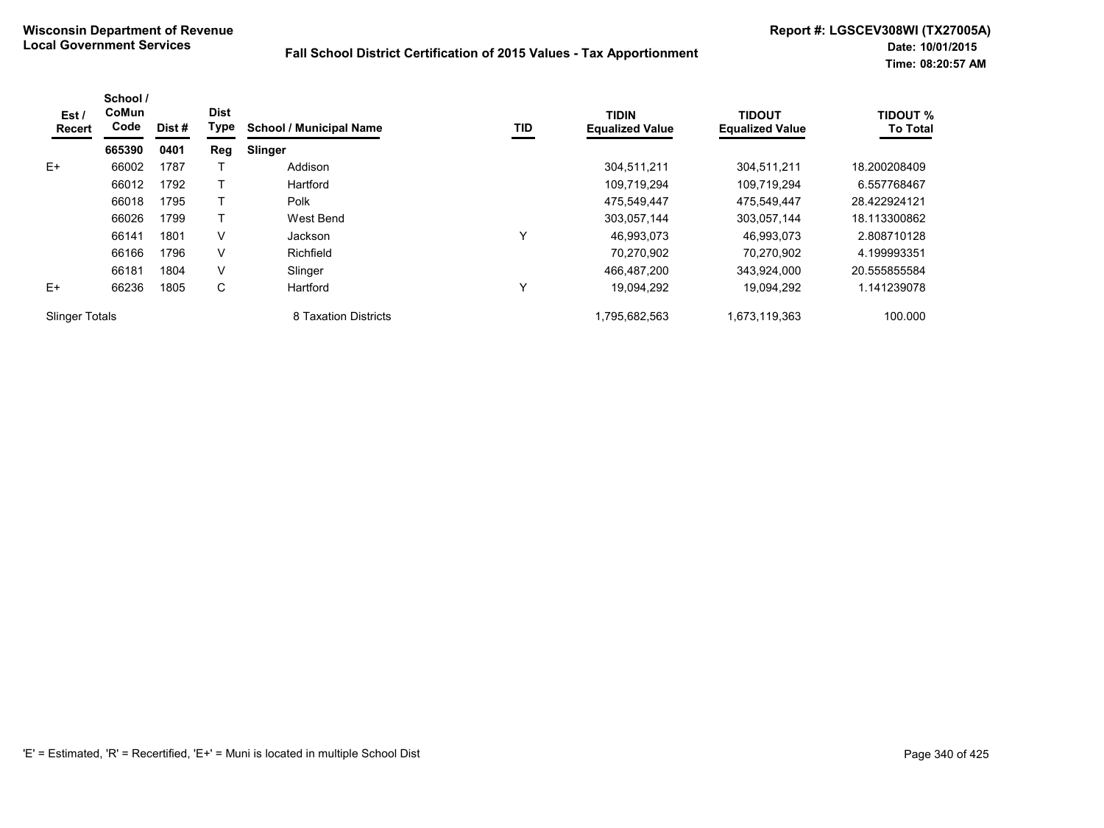| Est/<br>Recert        | School /<br>CoMun<br>Code | Dist # | <b>Dist</b><br><b>Type</b> | <b>School / Municipal Name</b> | TID | <b>TIDIN</b><br><b>Equalized Value</b> | <b>TIDOUT</b><br><b>Equalized Value</b> | <b>TIDOUT %</b><br><b>To Total</b> |
|-----------------------|---------------------------|--------|----------------------------|--------------------------------|-----|----------------------------------------|-----------------------------------------|------------------------------------|
|                       | 665390                    | 0401   | Reg                        | <b>Slinger</b>                 |     |                                        |                                         |                                    |
| $E+$                  | 66002                     | 1787   |                            | Addison                        |     | 304,511,211                            | 304,511,211                             | 18.200208409                       |
|                       | 66012                     | 1792   |                            | Hartford                       |     | 109,719,294                            | 109,719,294                             | 6.557768467                        |
|                       | 66018                     | 1795   |                            | Polk                           |     | 475,549,447                            | 475,549,447                             | 28.422924121                       |
|                       | 66026                     | 1799   |                            | West Bend                      |     | 303.057.144                            | 303.057.144                             | 18.113300862                       |
|                       | 66141                     | 1801   | V                          | <b>Jackson</b>                 | Y   | 46.993.073                             | 46.993.073                              | 2.808710128                        |
|                       | 66166                     | 1796   | V                          | Richfield                      |     | 70.270.902                             | 70.270.902                              | 4.199993351                        |
|                       | 66181                     | 1804   | V                          | Slinger                        |     | 466.487.200                            | 343.924.000                             | 20.555855584                       |
| $E+$                  | 66236                     | 1805   | C                          | Hartford                       | Y   | 19.094.292                             | 19.094.292                              | 1.141239078                        |
| <b>Slinger Totals</b> |                           |        |                            | 8 Taxation Districts           |     | 1,795,682,563                          | 1,673,119,363                           | 100.000                            |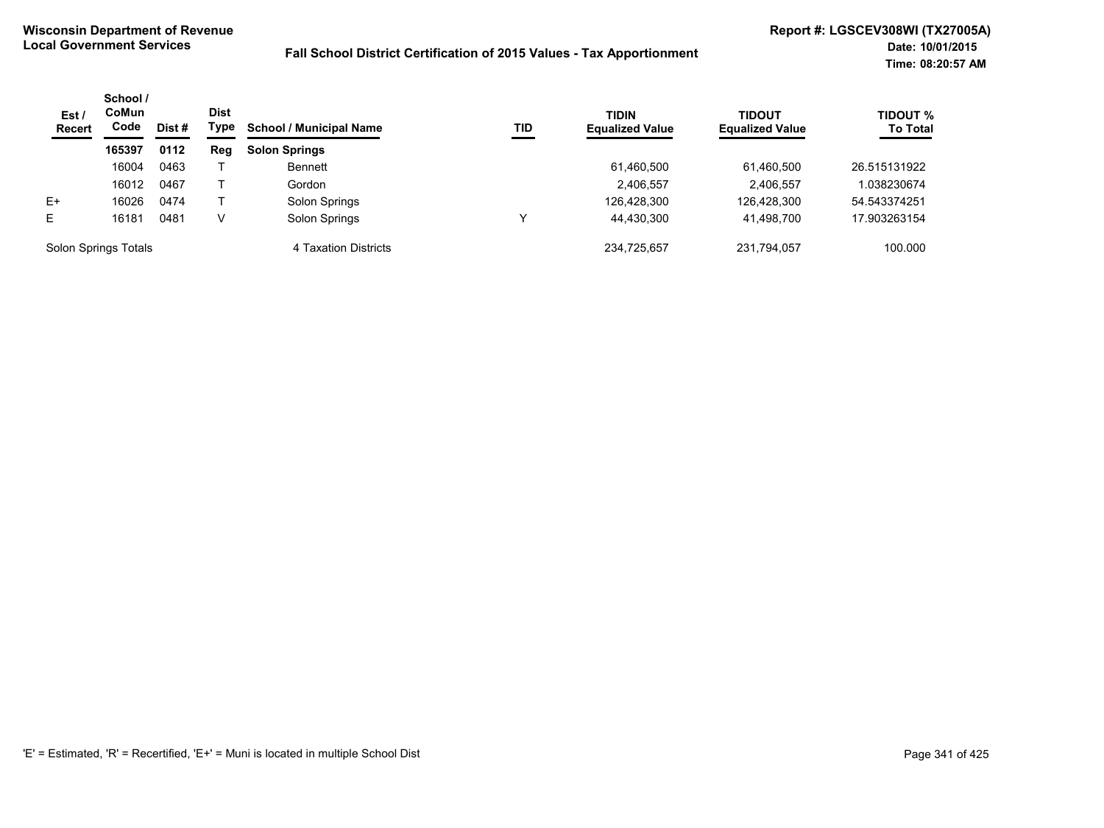| Est /<br><b>Recert</b> | School /<br>CoMun<br>Code<br>Dist # | <b>Dist</b><br>Type | <b>School / Municipal Name</b><br>TID | <b>TIDIN</b><br><b>Equalized Value</b> | TIDOUT<br><b>Equalized Value</b> | <b>TIDOUT %</b><br><b>To Total</b> |             |              |
|------------------------|-------------------------------------|---------------------|---------------------------------------|----------------------------------------|----------------------------------|------------------------------------|-------------|--------------|
|                        | 165397                              | 0112                | Reg                                   | <b>Solon Springs</b>                   |                                  |                                    |             |              |
|                        | 16004                               | 0463                |                                       | <b>Bennett</b>                         |                                  | 61,460,500                         | 61,460,500  | 26.515131922 |
|                        | 16012                               | 0467                |                                       | Gordon                                 |                                  | 2,406,557                          | 2,406,557   | 1.038230674  |
| $E+$                   | 16026                               | 0474                |                                       | Solon Springs                          |                                  | 126,428,300                        | 126,428,300 | 54.543374251 |
| E                      | 16181                               | 0481                | v                                     | Solon Springs                          |                                  | 44,430,300                         | 41,498,700  | 17.903263154 |
| Solon Springs Totals   |                                     |                     |                                       | 4 Taxation Districts                   |                                  | 234.725.657                        | 231.794.057 | 100.000      |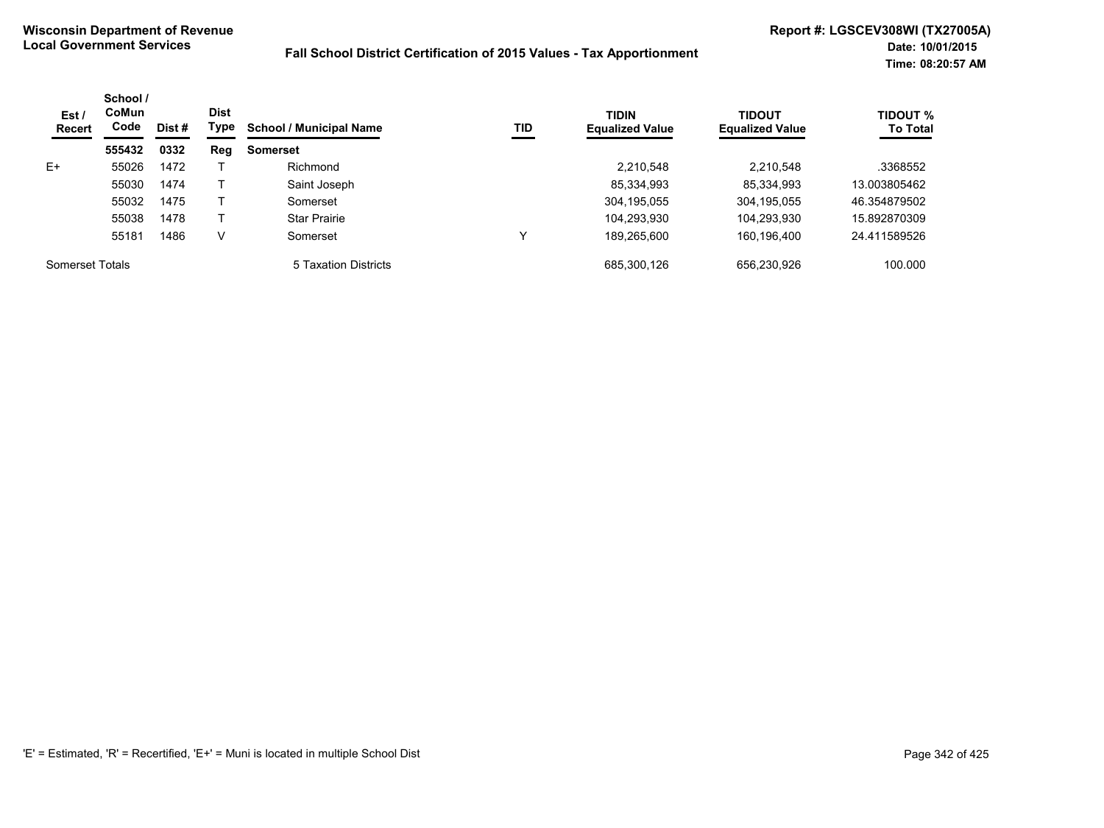| Est/<br><b>Recert</b>  | School /<br><b>CoMun</b><br>Code | Dist # | <b>Dist</b><br>Type | <b>School / Municipal Name</b> | TID | <b>TIDIN</b><br><b>Equalized Value</b> | <b>TIDOUT</b><br><b>Equalized Value</b> | <b>TIDOUT %</b><br><b>To Total</b> |
|------------------------|----------------------------------|--------|---------------------|--------------------------------|-----|----------------------------------------|-----------------------------------------|------------------------------------|
|                        | 555432                           | 0332   | Reg                 | <b>Somerset</b>                |     |                                        |                                         |                                    |
| $E+$                   | 55026                            | 1472   |                     | Richmond                       |     | 2,210,548                              | 2,210,548                               | .3368552                           |
|                        | 55030                            | 1474   |                     | Saint Joseph                   |     | 85,334,993                             | 85,334,993                              | 13.003805462                       |
|                        | 55032                            | 1475   |                     | Somerset                       |     | 304,195,055                            | 304,195,055                             | 46.354879502                       |
|                        | 55038                            | 1478   |                     | <b>Star Prairie</b>            |     | 104,293,930                            | 104,293,930                             | 15.892870309                       |
|                        | 55181                            | 1486   | v                   | Somerset                       | ν   | 189,265,600                            | 160,196,400                             | 24.411589526                       |
| <b>Somerset Totals</b> |                                  |        |                     | 5 Taxation Districts           |     | 685,300,126                            | 656.230.926                             | 100.000                            |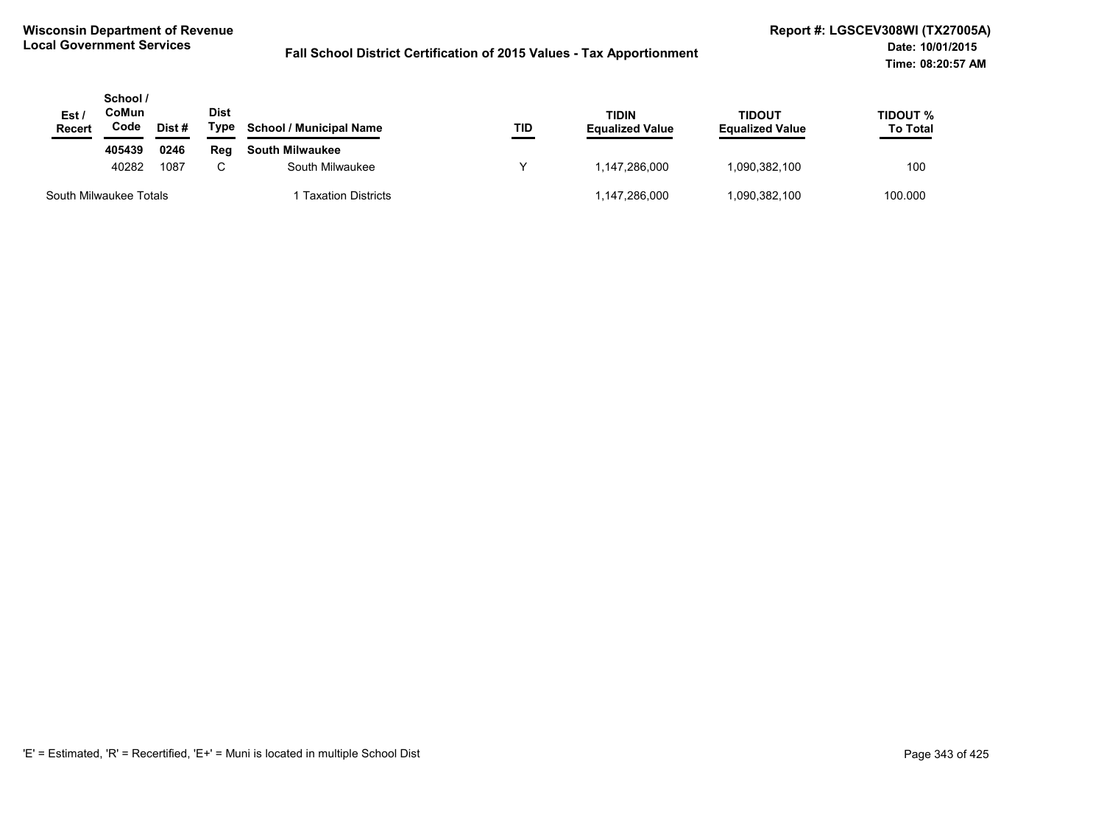| Est/<br><b>Recert</b>  | School /<br>CoMun<br>Code | Dist# | Dist<br>Type | <b>School / Municipal Name</b> | TID | <b>TIDIN</b><br><b>Equalized Value</b> | <b>TIDOUT</b><br><b>Equalized Value</b> | <b>TIDOUT %</b><br><b>To Total</b> |
|------------------------|---------------------------|-------|--------------|--------------------------------|-----|----------------------------------------|-----------------------------------------|------------------------------------|
|                        | 405439                    | 0246  | Reg          | <b>South Milwaukee</b>         |     |                                        |                                         |                                    |
|                        | 40282                     | 1087  | $\sim$       | South Milwaukee                |     | 1.147.286.000                          | 1,090,382,100                           | 100                                |
| South Milwaukee Totals |                           |       |              | <b>Taxation Districts</b>      |     | 1,147,286,000                          | .090,382,100                            | 100.000                            |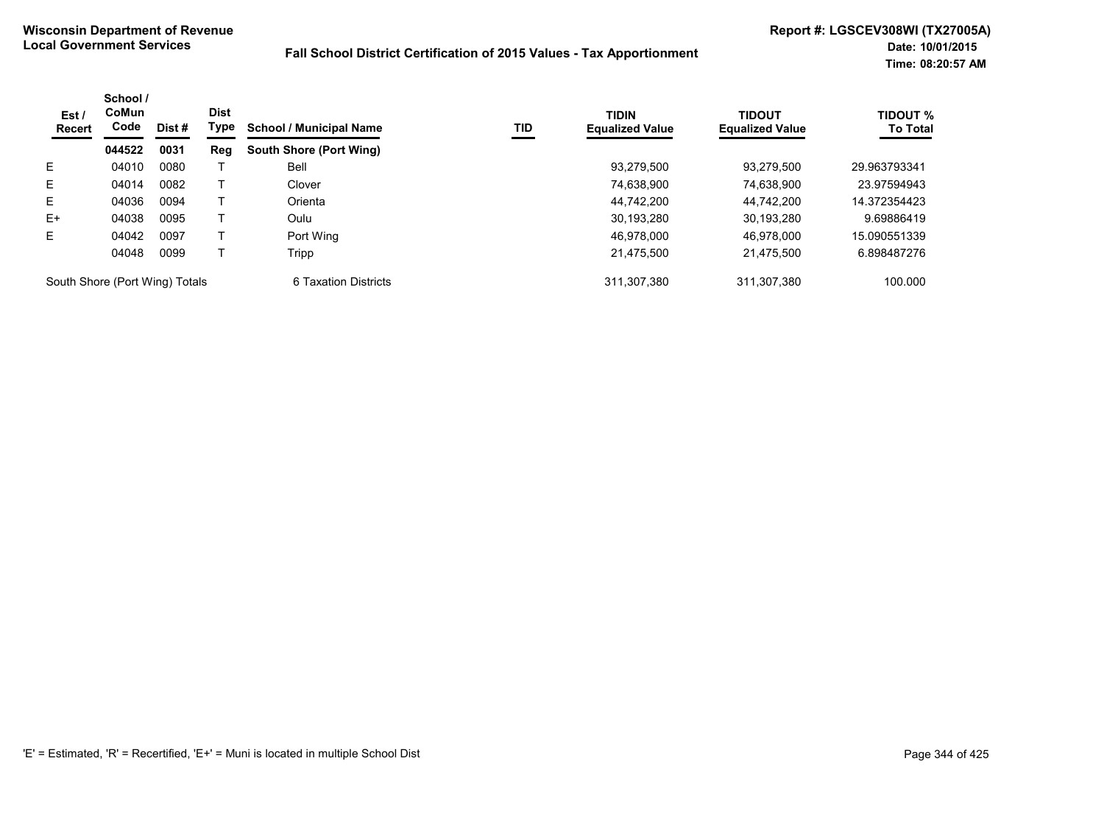| Est/<br><b>Recert</b>          | School /<br>CoMun<br>Code | Dist # | <b>Dist</b><br>Type | <b>School / Municipal Name</b> | TID | <b>TIDIN</b><br><b>Equalized Value</b> | <b>TIDOUT</b><br><b>Equalized Value</b> | <b>TIDOUT %</b><br><b>To Total</b> |
|--------------------------------|---------------------------|--------|---------------------|--------------------------------|-----|----------------------------------------|-----------------------------------------|------------------------------------|
|                                | 044522                    | 0031   | Reg                 | South Shore (Port Wing)        |     |                                        |                                         |                                    |
| E.                             | 04010                     | 0080   |                     | Bell                           |     | 93,279,500                             | 93.279.500                              | 29.963793341                       |
| E.                             | 04014                     | 0082   |                     | Clover                         |     | 74,638,900                             | 74.638.900                              | 23.97594943                        |
| E.                             | 04036                     | 0094   |                     | Orienta                        |     | 44.742.200                             | 44.742.200                              | 14.372354423                       |
| $E+$                           | 04038                     | 0095   |                     | Oulu                           |     | 30,193,280                             | 30,193,280                              | 9.69886419                         |
| E.                             | 04042                     | 0097   |                     | Port Wing                      |     | 46.978.000                             | 46.978.000                              | 15.090551339                       |
|                                | 04048                     | 0099   |                     | Tripp                          |     | 21,475,500                             | 21.475.500                              | 6.898487276                        |
| South Shore (Port Wing) Totals |                           |        |                     | 6 Taxation Districts           |     | 311.307.380                            | 311.307.380                             | 100.000                            |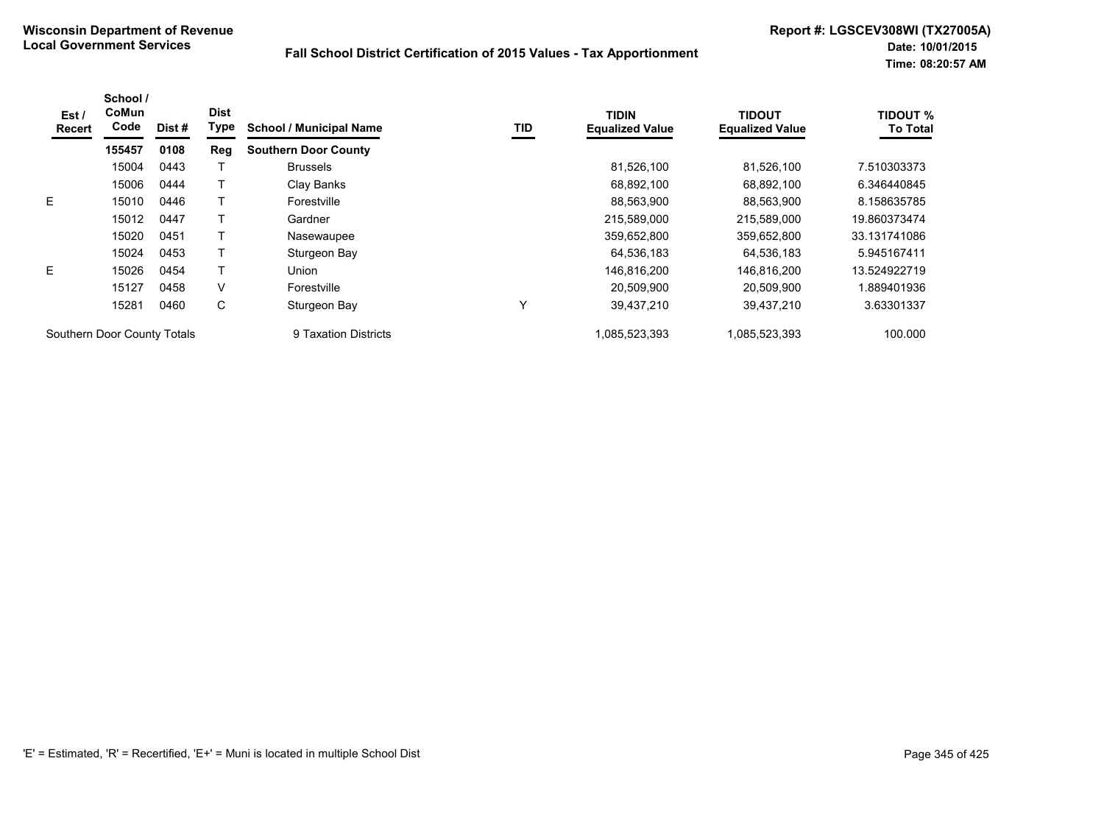| Est/<br><b>Recert</b> | School /<br>CoMun<br>Code   | Dist# | <b>Dist</b><br>Type | <b>School / Municipal Name</b> | TID          | <b>TIDIN</b><br><b>Equalized Value</b> | <b>TIDOUT</b><br><b>Equalized Value</b> | <b>TIDOUT %</b><br><b>To Total</b> |
|-----------------------|-----------------------------|-------|---------------------|--------------------------------|--------------|----------------------------------------|-----------------------------------------|------------------------------------|
|                       | 155457                      | 0108  | Reg                 | <b>Southern Door County</b>    |              |                                        |                                         |                                    |
|                       | 15004                       | 0443  |                     | <b>Brussels</b>                |              | 81,526,100                             | 81,526,100                              | 7.510303373                        |
|                       | 15006                       | 0444  |                     | Clay Banks                     |              | 68,892,100                             | 68,892,100                              | 6.346440845                        |
| E                     | 15010                       | 0446  |                     | Forestville                    |              | 88,563,900                             | 88,563,900                              | 8.158635785                        |
|                       | 15012                       | 0447  |                     | Gardner                        |              | 215,589,000                            | 215,589,000                             | 19.860373474                       |
|                       | 15020                       | 0451  |                     | Nasewaupee                     |              | 359,652,800                            | 359,652,800                             | 33.131741086                       |
|                       | 15024                       | 0453  |                     | Sturgeon Bay                   |              | 64,536,183                             | 64,536,183                              | 5.945167411                        |
| E.                    | 15026                       | 0454  |                     | Union                          |              | 146,816,200                            | 146,816,200                             | 13.524922719                       |
|                       | 15127                       | 0458  | V                   | Forestville                    |              | 20.509.900                             | 20.509.900                              | .889401936                         |
|                       | 15281                       | 0460  | С                   | Sturgeon Bay                   | $\checkmark$ | 39,437,210                             | 39,437,210                              | 3.63301337                         |
|                       | Southern Door County Totals |       |                     | 9 Taxation Districts           |              | 1.085.523.393                          | 1,085,523,393                           | 100.000                            |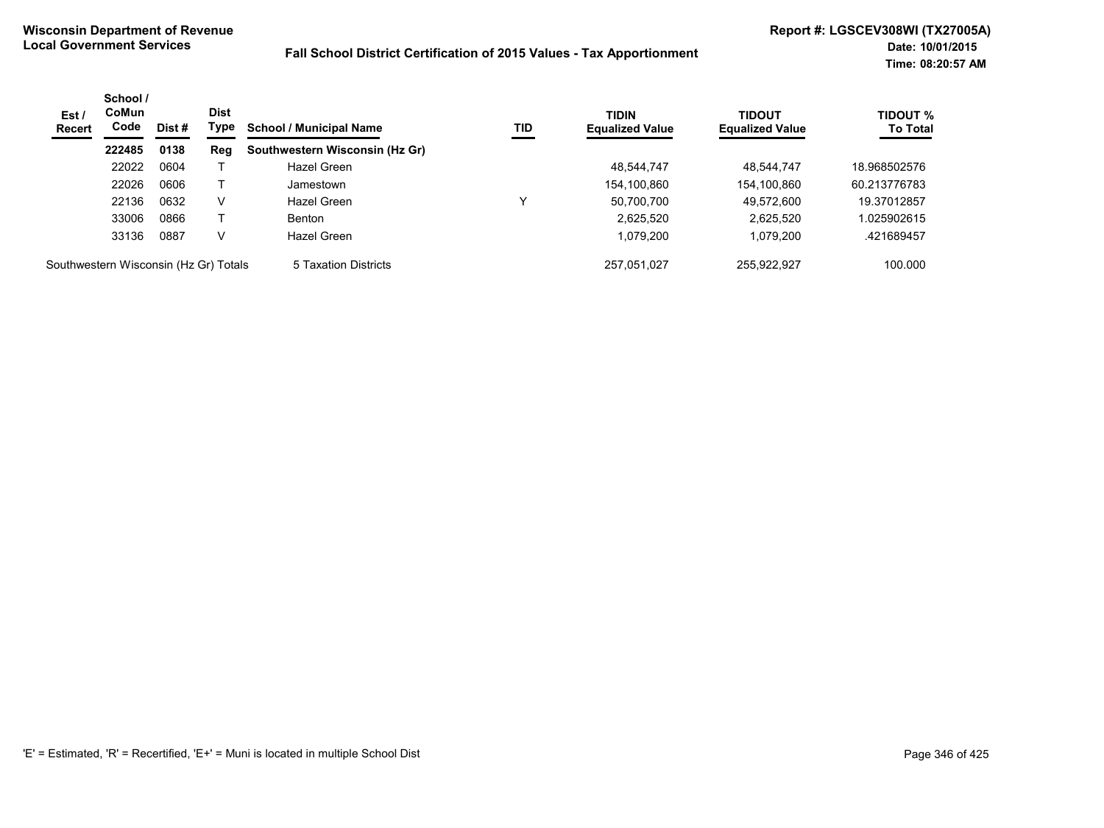| Est/<br><b>Recert</b>                 | School /<br><b>CoMun</b><br>Code | Dist# | <b>Dist</b><br>Type | <b>School / Municipal Name</b> | TID | <b>TIDIN</b><br><b>Equalized Value</b> | <b>TIDOUT</b><br><b>Equalized Value</b> | <b>TIDOUT %</b><br><b>To Total</b> |
|---------------------------------------|----------------------------------|-------|---------------------|--------------------------------|-----|----------------------------------------|-----------------------------------------|------------------------------------|
|                                       | 222485                           | 0138  | Reg                 | Southwestern Wisconsin (Hz Gr) |     |                                        |                                         |                                    |
|                                       | 22022                            | 0604  |                     | Hazel Green                    |     | 48.544.747                             | 48.544.747                              | 18.968502576                       |
|                                       | 22026                            | 0606  |                     | Jamestown                      |     | 154,100,860                            | 154,100,860                             | 60.213776783                       |
|                                       | 22136                            | 0632  | V                   | Hazel Green                    | v   | 50,700,700                             | 49.572.600                              | 19.37012857                        |
|                                       | 33006                            | 0866  |                     | <b>Benton</b>                  |     | 2,625,520                              | 2,625,520                               | .025902615                         |
|                                       | 33136                            | 0887  | v                   | Hazel Green                    |     | 1,079,200                              | 1.079.200                               | .421689457                         |
| Southwestern Wisconsin (Hz Gr) Totals |                                  |       |                     | 5 Taxation Districts           |     | 257.051.027                            | 255.922.927                             | 100.000                            |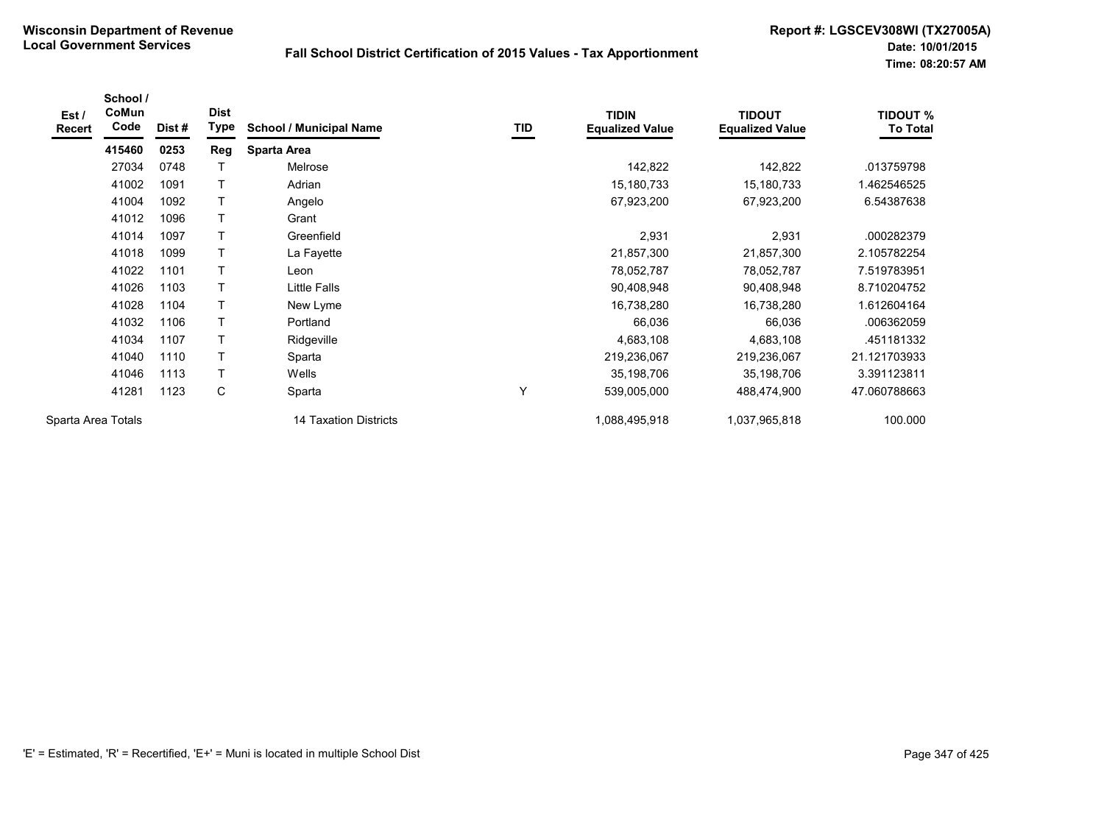| Est /<br><b>Recert</b> | School /<br>CoMun<br>Code | Dist# | <b>Dist</b><br>Type | <b>School / Municipal Name</b> | TID | <b>TIDIN</b><br><b>Equalized Value</b> | <b>TIDOUT</b><br><b>Equalized Value</b> | <b>TIDOUT %</b><br><b>To Total</b> |
|------------------------|---------------------------|-------|---------------------|--------------------------------|-----|----------------------------------------|-----------------------------------------|------------------------------------|
|                        | 415460                    | 0253  | Reg                 | Sparta Area                    |     |                                        |                                         |                                    |
|                        | 27034                     | 0748  |                     | Melrose                        |     | 142,822                                | 142,822                                 | .013759798                         |
|                        | 41002                     | 1091  | Т                   | Adrian                         |     | 15,180,733                             | 15,180,733                              | 1.462546525                        |
|                        | 41004                     | 1092  | т                   | Angelo                         |     | 67,923,200                             | 67,923,200                              | 6.54387638                         |
|                        | 41012                     | 1096  | Т                   | Grant                          |     |                                        |                                         |                                    |
|                        | 41014                     | 1097  | T                   | Greenfield                     |     | 2,931                                  | 2,931                                   | .000282379                         |
|                        | 41018                     | 1099  | $\mathsf{T}$        | La Fayette                     |     | 21,857,300                             | 21,857,300                              | 2.105782254                        |
|                        | 41022                     | 1101  |                     | Leon                           |     | 78,052,787                             | 78,052,787                              | 7.519783951                        |
|                        | 41026                     | 1103  | T                   | Little Falls                   |     | 90,408,948                             | 90,408,948                              | 8.710204752                        |
|                        | 41028                     | 1104  | $\mathsf{T}$        | New Lyme                       |     | 16,738,280                             | 16,738,280                              | 1.612604164                        |
|                        | 41032                     | 1106  | T                   | Portland                       |     | 66,036                                 | 66,036                                  | .006362059                         |
|                        | 41034                     | 1107  | T                   | Ridgeville                     |     | 4,683,108                              | 4,683,108                               | .451181332                         |
|                        | 41040                     | 1110  | T                   | Sparta                         |     | 219,236,067                            | 219,236,067                             | 21.121703933                       |
|                        | 41046                     | 1113  | T                   | Wells                          |     | 35,198,706                             | 35,198,706                              | 3.391123811                        |
|                        | 41281                     | 1123  | C                   | Sparta                         | Y   | 539,005,000                            | 488,474,900                             | 47.060788663                       |
| Sparta Area Totals     |                           |       |                     | <b>14 Taxation Districts</b>   |     | 1,088,495,918                          | 1,037,965,818                           | 100.000                            |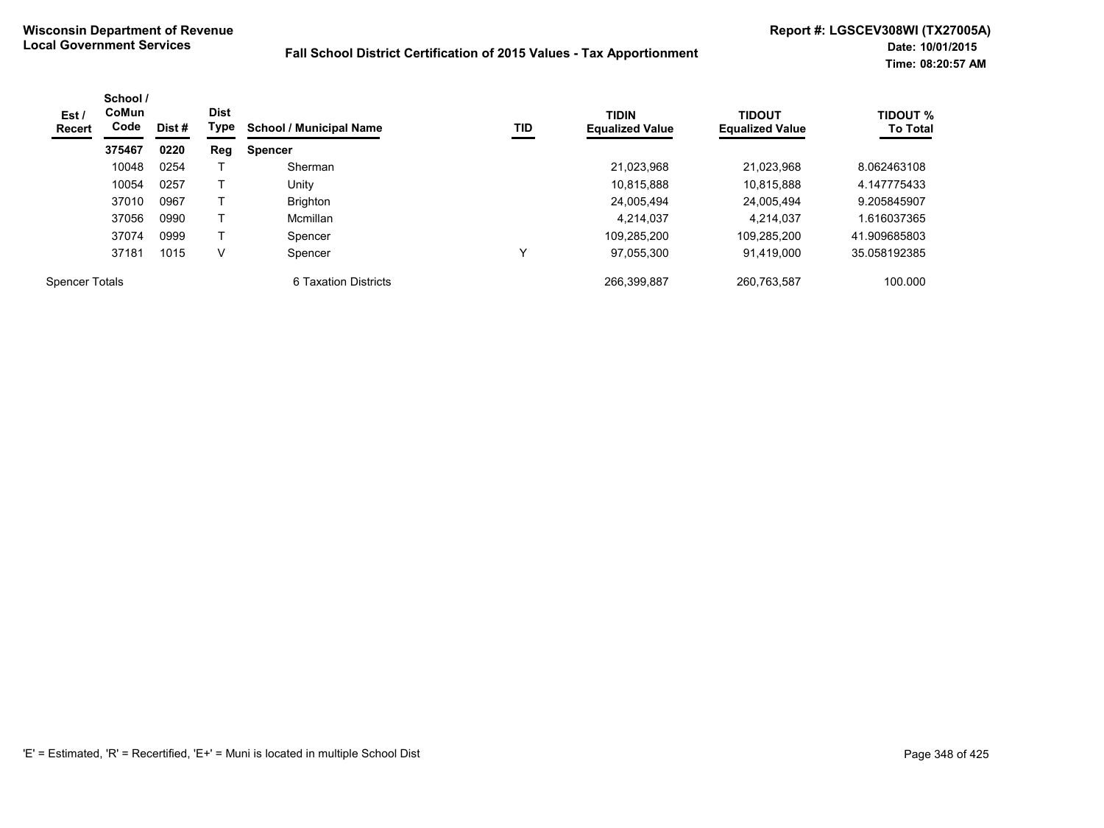| Est /<br>Recert       | School /<br>CoMun<br>Code | Dist # | <b>Dist</b><br>Type | <b>School / Municipal Name</b> | <b>TID</b> | <b>TIDIN</b><br><b>Equalized Value</b> | <b>TIDOUT</b><br><b>Equalized Value</b> | <b>TIDOUT %</b><br><b>To Total</b> |
|-----------------------|---------------------------|--------|---------------------|--------------------------------|------------|----------------------------------------|-----------------------------------------|------------------------------------|
|                       | 375467                    | 0220   | Reg                 | <b>Spencer</b>                 |            |                                        |                                         |                                    |
|                       | 10048                     | 0254   |                     | Sherman                        |            | 21,023,968                             | 21.023.968                              | 8.062463108                        |
|                       | 10054                     | 0257   |                     | Unitv                          |            | 10.815.888                             | 10.815.888                              | 4.147775433                        |
|                       | 37010                     | 0967   |                     | <b>Brighton</b>                |            | 24.005.494                             | 24.005.494                              | 9.205845907                        |
|                       | 37056                     | 0990   |                     | Mcmillan                       |            | 4,214,037                              | 4.214.037                               | 1.616037365                        |
|                       | 37074                     | 0999   |                     | Spencer                        |            | 109,285,200                            | 109,285,200                             | 41.909685803                       |
|                       | 37181                     | 1015   | v                   | Spencer                        |            | 97,055,300                             | 91,419,000                              | 35.058192385                       |
| <b>Spencer Totals</b> |                           |        |                     | 6 Taxation Districts           |            | 266.399.887                            | 260,763,587                             | 100.000                            |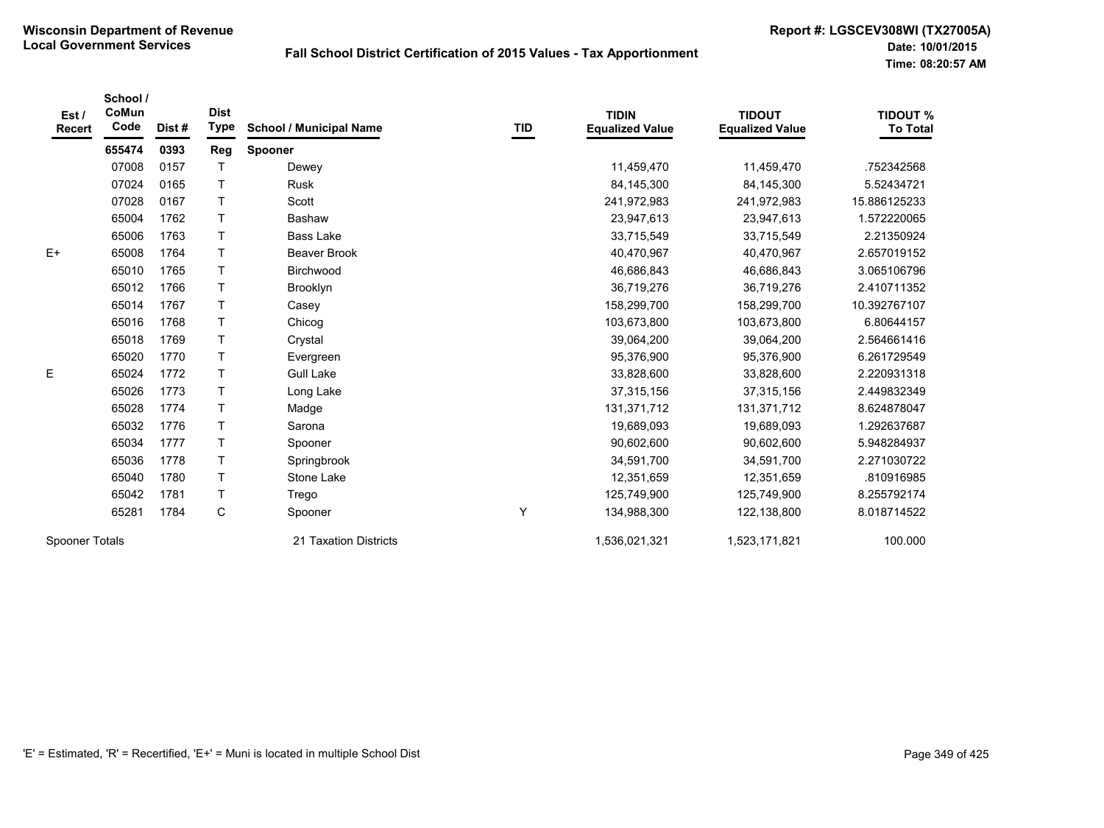| Est /<br><b>Recert</b> | School /<br>CoMun<br>Code | Dist# | <b>Dist</b><br><b>Type</b> | <b>School / Municipal Name</b> | TID | <b>TIDIN</b><br><b>Equalized Value</b> | <b>TIDOUT</b><br><b>Equalized Value</b> | <b>TIDOUT %</b><br><b>To Total</b> |
|------------------------|---------------------------|-------|----------------------------|--------------------------------|-----|----------------------------------------|-----------------------------------------|------------------------------------|
|                        | 655474                    | 0393  | Reg                        | Spooner                        |     |                                        |                                         |                                    |
|                        | 07008                     | 0157  | $\top$                     | Dewey                          |     | 11,459,470                             | 11,459,470                              | .752342568                         |
|                        | 07024                     | 0165  | T                          | <b>Rusk</b>                    |     | 84,145,300                             | 84,145,300                              | 5.52434721                         |
|                        | 07028                     | 0167  | $\top$                     | Scott                          |     | 241,972,983                            | 241,972,983                             | 15.886125233                       |
|                        | 65004                     | 1762  | $\top$                     | Bashaw                         |     | 23,947,613                             | 23,947,613                              | 1.572220065                        |
|                        | 65006                     | 1763  | $\top$                     | <b>Bass Lake</b>               |     | 33,715,549                             | 33,715,549                              | 2.21350924                         |
| $E+$                   | 65008                     | 1764  | $\mathsf{T}$               | <b>Beaver Brook</b>            |     | 40,470,967                             | 40,470,967                              | 2.657019152                        |
|                        | 65010                     | 1765  | $\top$                     | Birchwood                      |     | 46,686,843                             | 46,686,843                              | 3.065106796                        |
|                        | 65012                     | 1766  | $\mathsf{T}$               | Brooklyn                       |     | 36,719,276                             | 36,719,276                              | 2.410711352                        |
|                        | 65014                     | 1767  | $\top$                     | Casey                          |     | 158,299,700                            | 158,299,700                             | 10.392767107                       |
|                        | 65016                     | 1768  | $\top$                     | Chicog                         |     | 103,673,800                            | 103,673,800                             | 6.80644157                         |
|                        | 65018                     | 1769  | $\top$                     | Crystal                        |     | 39,064,200                             | 39,064,200                              | 2.564661416                        |
|                        | 65020                     | 1770  | $\top$                     | Evergreen                      |     | 95,376,900                             | 95,376,900                              | 6.261729549                        |
| Ε                      | 65024                     | 1772  | $\top$                     | <b>Gull Lake</b>               |     | 33,828,600                             | 33,828,600                              | 2.220931318                        |
|                        | 65026                     | 1773  | $\top$                     | Long Lake                      |     | 37,315,156                             | 37,315,156                              | 2.449832349                        |
|                        | 65028                     | 1774  | $\mathsf{T}$               | Madge                          |     | 131,371,712                            | 131,371,712                             | 8.624878047                        |
|                        | 65032                     | 1776  | T                          | Sarona                         |     | 19,689,093                             | 19,689,093                              | 1.292637687                        |
|                        | 65034                     | 1777  | $\top$                     | Spooner                        |     | 90,602,600                             | 90,602,600                              | 5.948284937                        |
|                        | 65036                     | 1778  | $\top$                     | Springbrook                    |     | 34,591,700                             | 34,591,700                              | 2.271030722                        |
|                        | 65040                     | 1780  | $\top$                     | Stone Lake                     |     | 12,351,659                             | 12,351,659                              | .810916985                         |
|                        | 65042                     | 1781  | T                          | Trego                          |     | 125,749,900                            | 125,749,900                             | 8.255792174                        |
|                        | 65281                     | 1784  | $\mathsf C$                | Spooner                        | Y   | 134,988,300                            | 122,138,800                             | 8.018714522                        |
| Spooner Totals         |                           |       |                            | 21 Taxation Districts          |     | 1,536,021,321                          | 1,523,171,821                           | 100.000                            |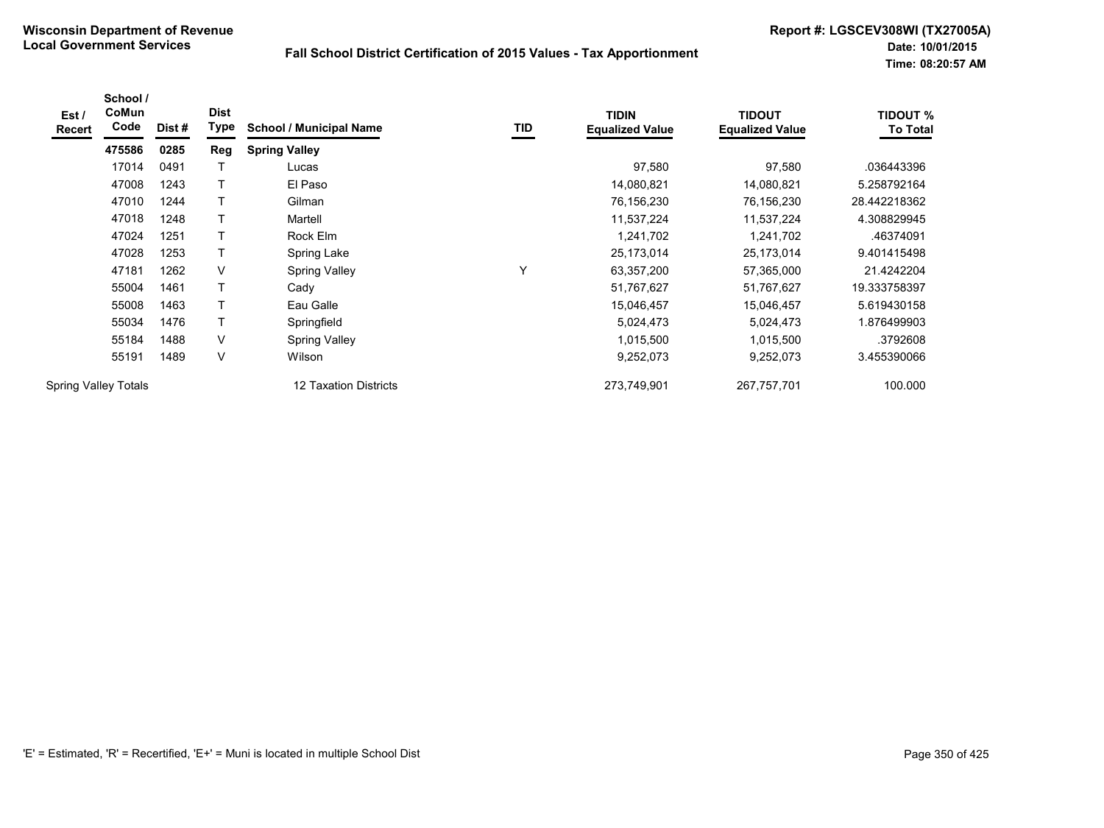| Est /<br><b>Recert</b>      | School /<br>CoMun<br>Code | Dist# | <b>Dist</b><br><b>Type</b> | <b>School / Municipal Name</b> | TID | <b>TIDIN</b><br><b>Equalized Value</b> | <b>TIDOUT</b><br><b>Equalized Value</b> | <b>TIDOUT %</b><br><b>To Total</b> |
|-----------------------------|---------------------------|-------|----------------------------|--------------------------------|-----|----------------------------------------|-----------------------------------------|------------------------------------|
|                             | 475586                    | 0285  | Reg                        | <b>Spring Valley</b>           |     |                                        |                                         |                                    |
|                             | 17014                     | 0491  | Т                          | Lucas                          |     | 97,580                                 | 97,580                                  | .036443396                         |
|                             | 47008                     | 1243  | T                          | El Paso                        |     | 14,080,821                             | 14,080,821                              | 5.258792164                        |
|                             | 47010                     | 1244  | T                          | Gilman                         |     | 76,156,230                             | 76,156,230                              | 28.442218362                       |
|                             | 47018                     | 1248  |                            | Martell                        |     | 11,537,224                             | 11,537,224                              | 4.308829945                        |
|                             | 47024                     | 1251  |                            | Rock Elm                       |     | 1,241,702                              | 1,241,702                               | .46374091                          |
|                             | 47028                     | 1253  | T                          | Spring Lake                    |     | 25,173,014                             | 25,173,014                              | 9.401415498                        |
|                             | 47181                     | 1262  | V                          | <b>Spring Valley</b>           | Y   | 63,357,200                             | 57,365,000                              | 21.4242204                         |
|                             | 55004                     | 1461  | T                          | Cady                           |     | 51,767,627                             | 51,767,627                              | 19.333758397                       |
|                             | 55008                     | 1463  | T                          | Eau Galle                      |     | 15,046,457                             | 15,046,457                              | 5.619430158                        |
|                             | 55034                     | 1476  | T                          | Springfield                    |     | 5,024,473                              | 5,024,473                               | 1.876499903                        |
|                             | 55184                     | 1488  | $\vee$                     | <b>Spring Valley</b>           |     | 1,015,500                              | 1,015,500                               | .3792608                           |
|                             | 55191                     | 1489  | V                          | Wilson                         |     | 9,252,073                              | 9,252,073                               | 3.455390066                        |
| <b>Spring Valley Totals</b> |                           |       |                            | 12 Taxation Districts          |     | 273,749,901                            | 267,757,701                             | 100.000                            |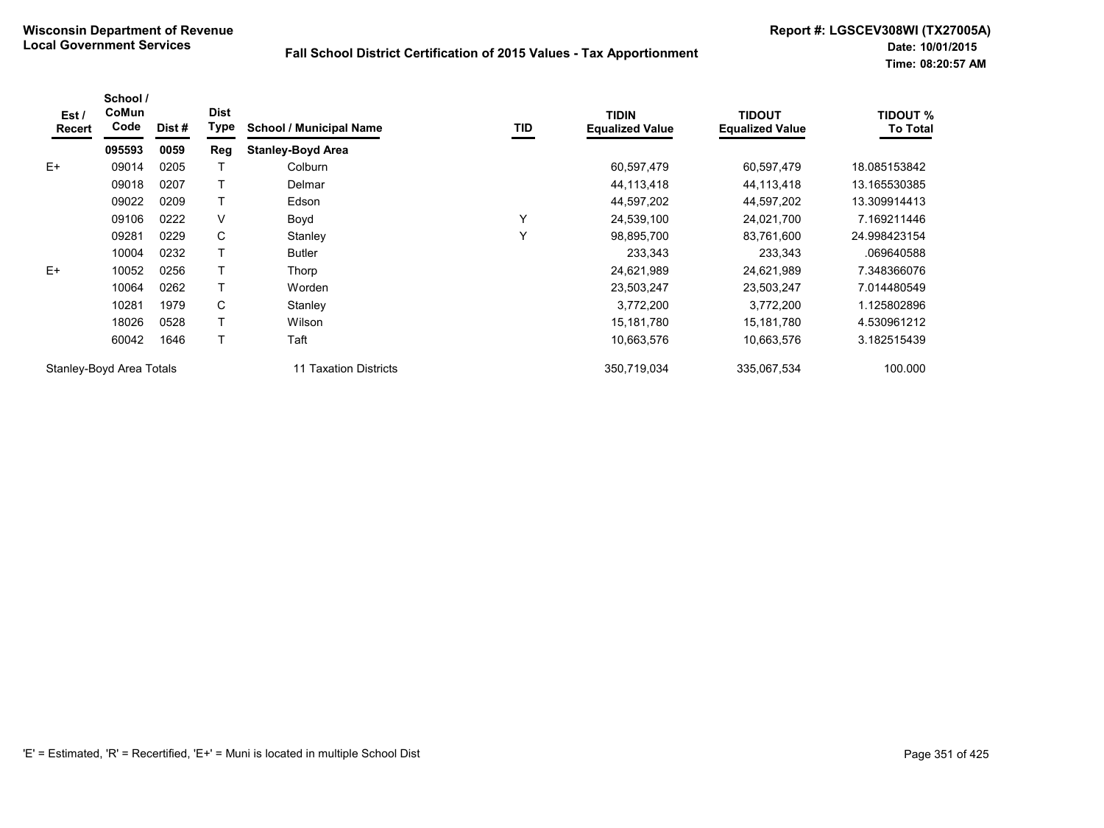| Est/<br>Recert | School /<br>CoMun<br>Code | Dist # | <b>Dist</b><br>Type | <b>School / Municipal Name</b> | TID | <b>TIDIN</b><br><b>Equalized Value</b> | <b>TIDOUT</b><br><b>Equalized Value</b> | <b>TIDOUT %</b><br><b>To Total</b> |
|----------------|---------------------------|--------|---------------------|--------------------------------|-----|----------------------------------------|-----------------------------------------|------------------------------------|
|                | 095593                    | 0059   | Reg                 | <b>Stanley-Boyd Area</b>       |     |                                        |                                         |                                    |
| $E+$           | 09014                     | 0205   |                     | Colburn                        |     | 60,597,479                             | 60,597,479                              | 18.085153842                       |
|                | 09018                     | 0207   |                     | Delmar                         |     | 44,113,418                             | 44,113,418                              | 13.165530385                       |
|                | 09022                     | 0209   |                     | Edson                          |     | 44,597,202                             | 44,597,202                              | 13.309914413                       |
|                | 09106                     | 0222   | V                   | Boyd                           | Υ   | 24,539,100                             | 24,021,700                              | 7.169211446                        |
|                | 09281                     | 0229   | C                   | Stanley                        | Y   | 98,895,700                             | 83,761,600                              | 24.998423154                       |
|                | 10004                     | 0232   |                     | <b>Butler</b>                  |     | 233,343                                | 233,343                                 | .069640588                         |
| $E+$           | 10052                     | 0256   |                     | Thorp                          |     | 24,621,989                             | 24,621,989                              | 7.348366076                        |
|                | 10064                     | 0262   |                     | Worden                         |     | 23,503,247                             | 23,503,247                              | 7.014480549                        |
|                | 10281                     | 1979   | C                   | Stanley                        |     | 3,772,200                              | 3,772,200                               | 1.125802896                        |
|                | 18026                     | 0528   |                     | Wilson                         |     | 15,181,780                             | 15,181,780                              | 4.530961212                        |
|                | 60042                     | 1646   |                     | Taft                           |     | 10,663,576                             | 10,663,576                              | 3.182515439                        |
|                | Stanley-Boyd Area Totals  |        |                     | 11 Taxation Districts          |     | 350,719,034                            | 335.067.534                             | 100.000                            |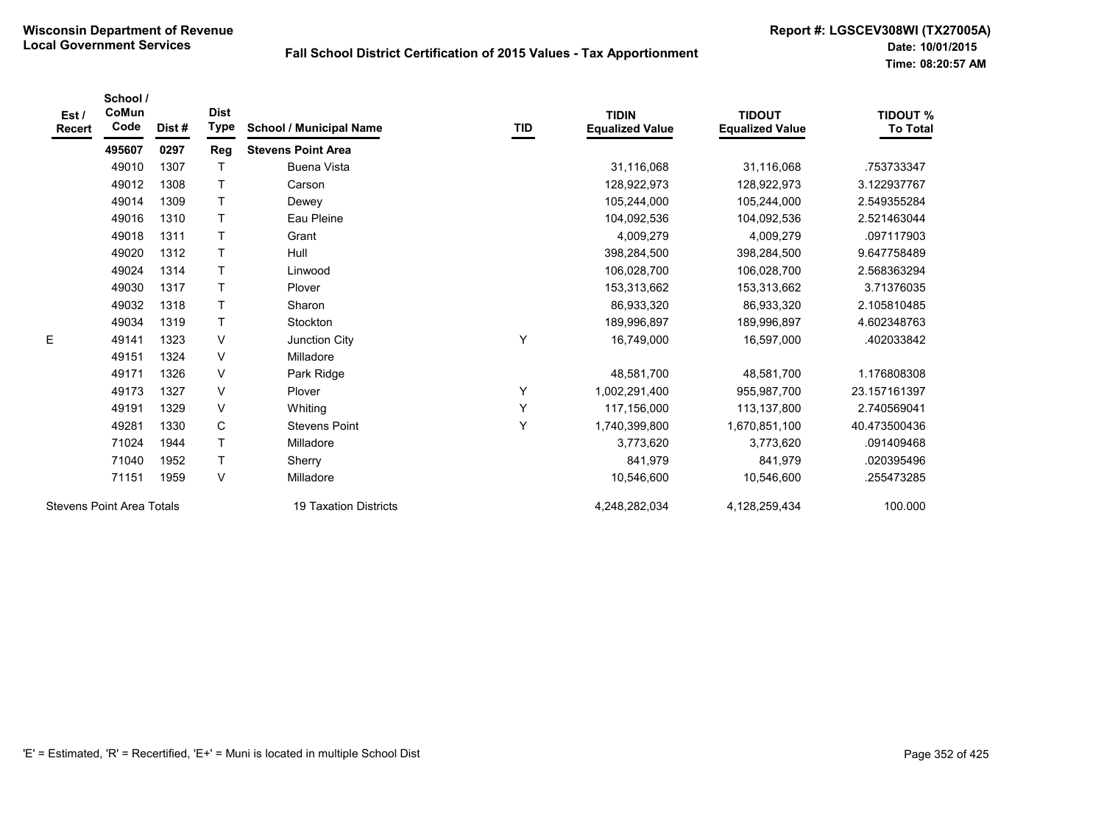| Est/<br><b>Recert</b>            | School /<br>CoMun<br>Code | Dist# | <b>Dist</b><br><b>Type</b> | <b>School / Municipal Name</b> | <b>TID</b> | <b>TIDIN</b><br><b>Equalized Value</b> | <b>TIDOUT</b><br><b>Equalized Value</b> | <b>TIDOUT %</b><br><b>To Total</b> |
|----------------------------------|---------------------------|-------|----------------------------|--------------------------------|------------|----------------------------------------|-----------------------------------------|------------------------------------|
|                                  | 495607                    | 0297  | Reg                        | <b>Stevens Point Area</b>      |            |                                        |                                         |                                    |
|                                  | 49010                     | 1307  | $\mathsf T$                | <b>Buena Vista</b>             |            | 31,116,068                             | 31,116,068                              | .753733347                         |
|                                  | 49012                     | 1308  | $\top$                     | Carson                         |            | 128,922,973                            | 128,922,973                             | 3.122937767                        |
|                                  | 49014                     | 1309  | $\mathsf{T}$               | Dewey                          |            | 105,244,000                            | 105,244,000                             | 2.549355284                        |
|                                  | 49016                     | 1310  | $\mathsf{T}$               | Eau Pleine                     |            | 104,092,536                            | 104,092,536                             | 2.521463044                        |
|                                  | 49018                     | 1311  | $\mathsf{T}$               | Grant                          |            | 4,009,279                              | 4,009,279                               | .097117903                         |
|                                  | 49020                     | 1312  | $\top$                     | Hull                           |            | 398,284,500                            | 398,284,500                             | 9.647758489                        |
|                                  | 49024                     | 1314  | T                          | Linwood                        |            | 106,028,700                            | 106,028,700                             | 2.568363294                        |
|                                  | 49030                     | 1317  | T                          | Plover                         |            | 153,313,662                            | 153,313,662                             | 3.71376035                         |
|                                  | 49032                     | 1318  | $\mathsf{T}$               | Sharon                         |            | 86,933,320                             | 86,933,320                              | 2.105810485                        |
|                                  | 49034                     | 1319  | $\mathsf{T}$               | Stockton                       |            | 189,996,897                            | 189,996,897                             | 4.602348763                        |
| E                                | 49141                     | 1323  | V                          | Junction City                  | Y          | 16,749,000                             | 16,597,000                              | .402033842                         |
|                                  | 49151                     | 1324  | $\vee$                     | Milladore                      |            |                                        |                                         |                                    |
|                                  | 49171                     | 1326  | V                          | Park Ridge                     |            | 48,581,700                             | 48,581,700                              | 1.176808308                        |
|                                  | 49173                     | 1327  | $\vee$                     | Plover                         | Υ          | 1,002,291,400                          | 955,987,700                             | 23.157161397                       |
|                                  | 49191                     | 1329  | V                          | Whiting                        | Υ          | 117,156,000                            | 113,137,800                             | 2.740569041                        |
|                                  | 49281                     | 1330  | C                          | <b>Stevens Point</b>           | Υ          | 1,740,399,800                          | 1,670,851,100                           | 40.473500436                       |
|                                  | 71024                     | 1944  | $\mathsf{T}$               | Milladore                      |            | 3,773,620                              | 3,773,620                               | .091409468                         |
|                                  | 71040                     | 1952  | $\mathsf{T}$               | Sherry                         |            | 841,979                                | 841,979                                 | .020395496                         |
|                                  | 71151                     | 1959  | V                          | Milladore                      |            | 10,546,600                             | 10,546,600                              | .255473285                         |
| <b>Stevens Point Area Totals</b> |                           |       |                            | <b>19 Taxation Districts</b>   |            | 4,248,282,034                          | 4,128,259,434                           | 100.000                            |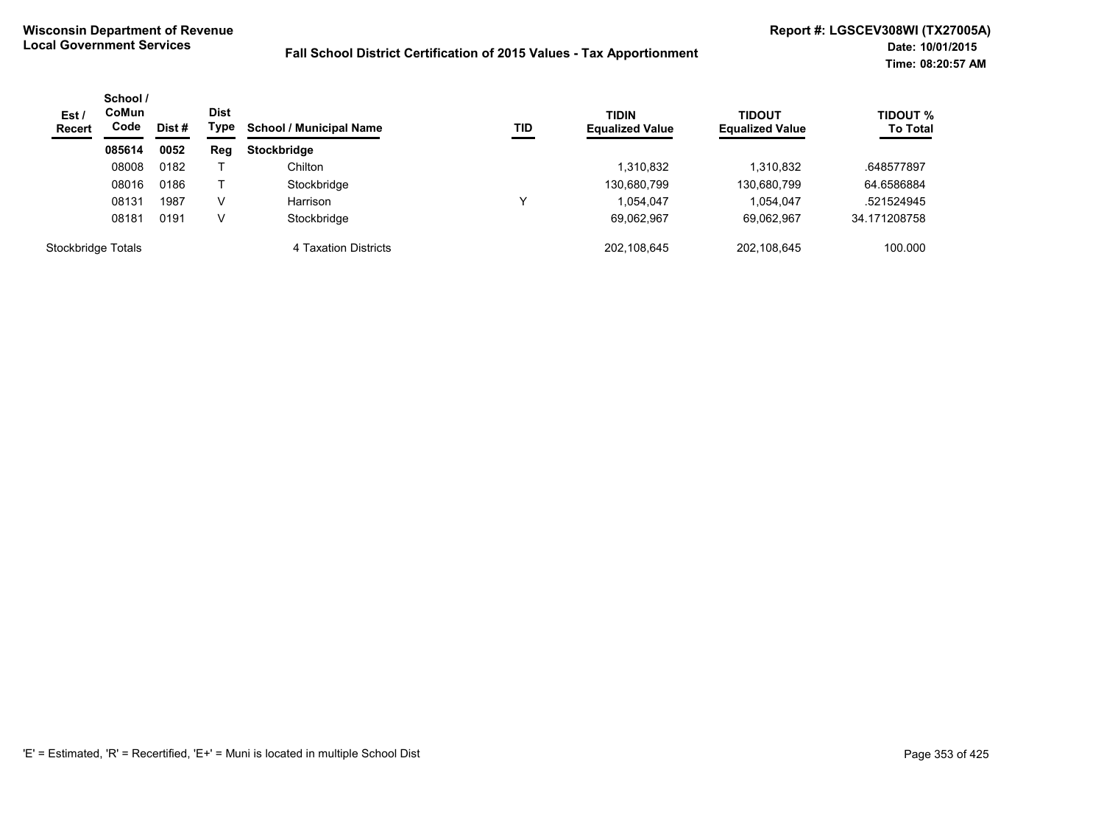| Est/<br><b>Recert</b> | School /<br><b>CoMun</b><br>Code<br>Dist # |      | <b>Dist</b><br>Type | TID<br><b>School / Municipal Name</b> | <b>TIDIN</b><br><b>Equalized Value</b> | <b>TIDOUT</b><br><b>Equalized Value</b> | <b>TIDOUT %</b><br><b>To Total</b> |              |
|-----------------------|--------------------------------------------|------|---------------------|---------------------------------------|----------------------------------------|-----------------------------------------|------------------------------------|--------------|
|                       | 085614                                     | 0052 | Reg                 | <b>Stockbridge</b>                    |                                        |                                         |                                    |              |
|                       | 08008                                      | 0182 |                     | Chilton                               |                                        | 1,310,832                               | 1,310,832                          | .648577897   |
|                       | 08016                                      | 0186 |                     | Stockbridge                           |                                        | 130,680,799                             | 130,680,799                        | 64.6586884   |
|                       | 08131                                      | 1987 | v                   | Harrison                              |                                        | 1,054,047                               | 1.054.047                          | .521524945   |
|                       | 08181                                      | 0191 | v                   | Stockbridge                           |                                        | 69,062,967                              | 69.062.967                         | 34.171208758 |
| Stockbridge Totals    |                                            |      |                     | 4 Taxation Districts                  |                                        | 202,108,645                             | 202.108.645                        | 100.000      |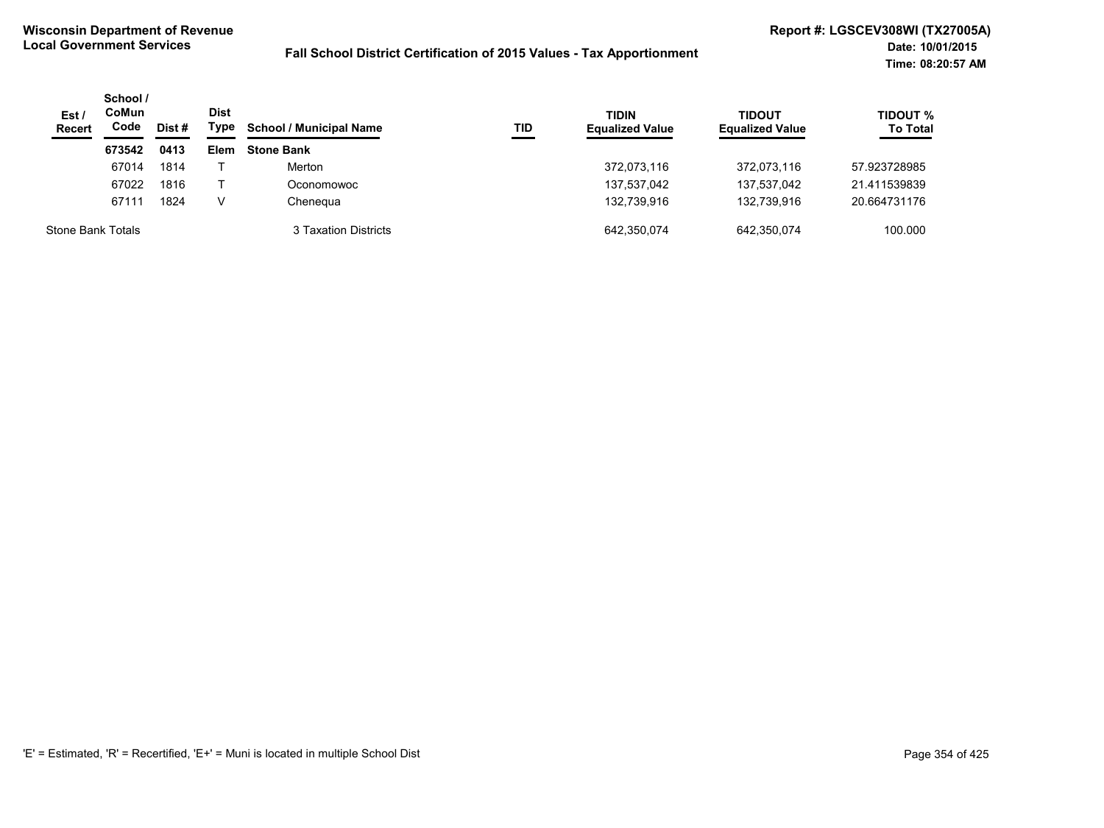| Est/<br><b>Recert</b> | School /<br>CoMun<br>Code | Dist # | <b>Dist</b><br>Type | <b>School / Municipal Name</b> | TID | <b>TIDIN</b><br><b>Equalized Value</b> | <b>TIDOUT</b><br><b>Equalized Value</b> | <b>TIDOUT %</b><br><b>To Total</b> |
|-----------------------|---------------------------|--------|---------------------|--------------------------------|-----|----------------------------------------|-----------------------------------------|------------------------------------|
|                       | 673542                    | 0413   | Elem                | <b>Stone Bank</b>              |     |                                        |                                         |                                    |
|                       | 67014                     | 1814   |                     | Merton                         |     | 372,073,116                            | 372,073,116                             | 57.923728985                       |
|                       | 67022                     | 1816   |                     | Oconomowoc                     |     | 137,537,042                            | 137,537,042                             | 21.411539839                       |
|                       | 67111                     | 1824   | V                   | Chenegua                       |     | 132.739.916                            | 132.739.916                             | 20.664731176                       |
| Stone Bank Totals     |                           |        |                     | 3 Taxation Districts           |     | 642,350,074                            | 642,350,074                             | 100.000                            |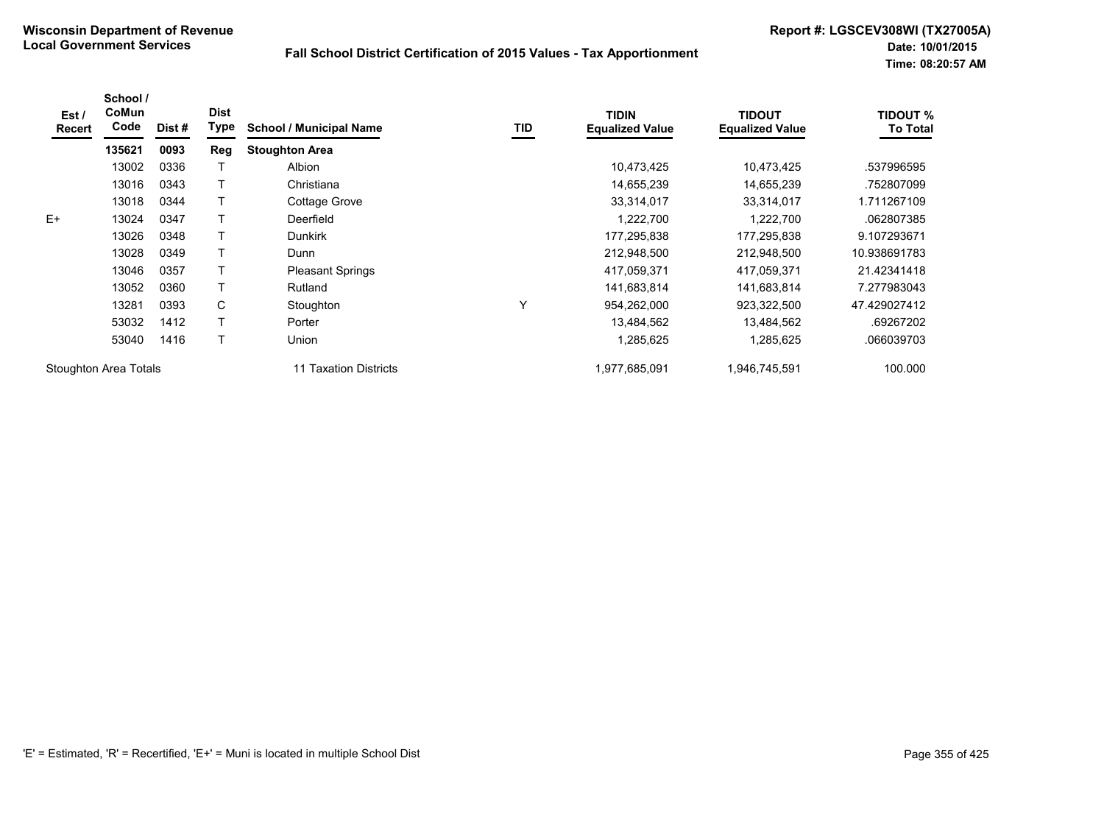| Est /<br><b>Recert</b> | School /<br>CoMun<br>Code | Dist # | <b>Dist</b><br>Type | <b>School / Municipal Name</b> | TID          | <b>TIDIN</b><br><b>Equalized Value</b> | <b>TIDOUT</b><br><b>Equalized Value</b> | <b>TIDOUT %</b><br><b>To Total</b> |
|------------------------|---------------------------|--------|---------------------|--------------------------------|--------------|----------------------------------------|-----------------------------------------|------------------------------------|
|                        | 135621                    | 0093   | Reg                 | <b>Stoughton Area</b>          |              |                                        |                                         |                                    |
|                        | 13002                     | 0336   |                     | Albion                         |              | 10,473,425                             | 10,473,425                              | .537996595                         |
|                        | 13016                     | 0343   |                     | Christiana                     |              | 14,655,239                             | 14,655,239                              | .752807099                         |
|                        | 13018                     | 0344   |                     | Cottage Grove                  |              | 33,314,017                             | 33,314,017                              | 1.711267109                        |
| $E+$                   | 13024                     | 0347   |                     | Deerfield                      |              | 1,222,700                              | 1,222,700                               | .062807385                         |
|                        | 13026                     | 0348   |                     | <b>Dunkirk</b>                 |              | 177,295,838                            | 177,295,838                             | 9.107293671                        |
|                        | 13028                     | 0349   |                     | Dunn                           |              | 212,948,500                            | 212,948,500                             | 10.938691783                       |
|                        | 13046                     | 0357   |                     | <b>Pleasant Springs</b>        |              | 417,059,371                            | 417,059,371                             | 21.42341418                        |
|                        | 13052                     | 0360   |                     | Rutland                        |              | 141,683,814                            | 141,683,814                             | 7.277983043                        |
|                        | 13281                     | 0393   | C                   | Stoughton                      | $\checkmark$ | 954,262,000                            | 923,322,500                             | 47.429027412                       |
|                        | 53032                     | 1412   |                     | Porter                         |              | 13,484,562                             | 13,484,562                              | .69267202                          |
|                        | 53040                     | 1416   | Т                   | Union                          |              | 1,285,625                              | 1,285,625                               | .066039703                         |
| Stoughton Area Totals  |                           |        |                     | Taxation Districts             |              | 1,977,685,091                          | 1,946,745,591                           | 100.000                            |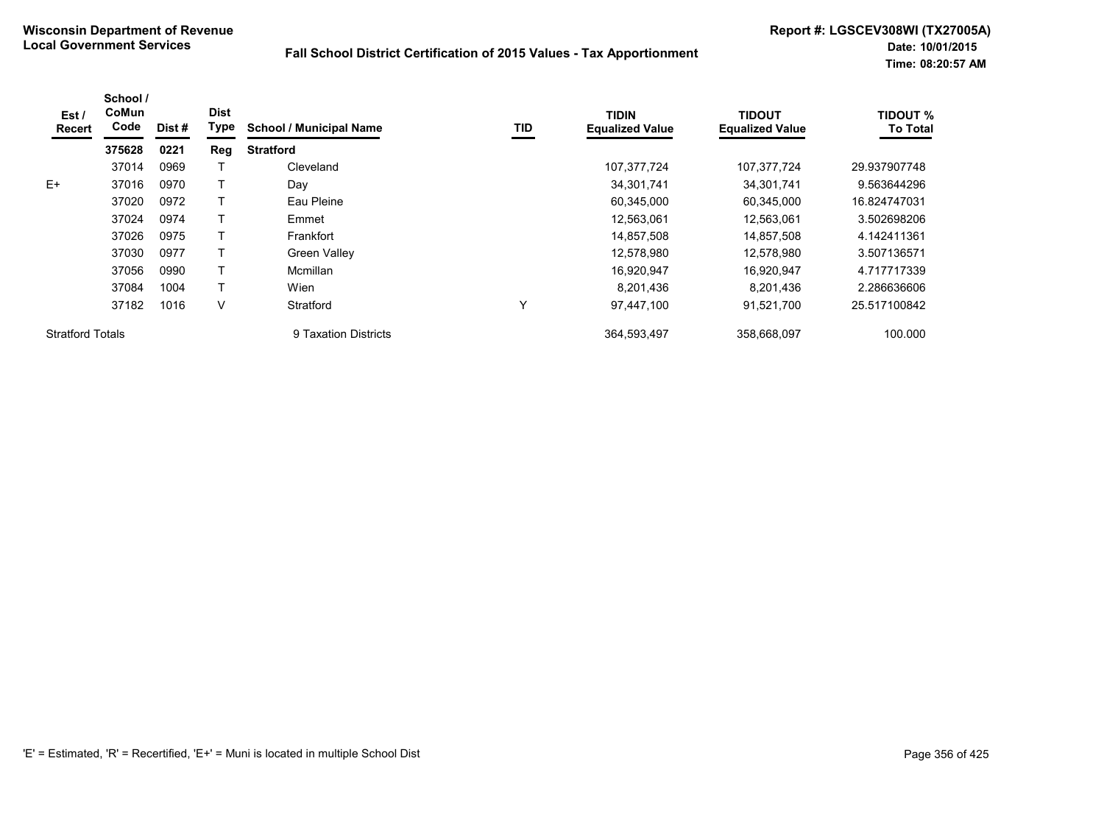| Est /<br>Recert         | School /<br>CoMun<br>Code | Dist # | <b>Dist</b><br>Type | <b>School / Municipal Name</b> | <b>TID</b> | <b>TIDIN</b><br><b>Equalized Value</b> | <b>TIDOUT</b><br><b>Equalized Value</b> | <b>TIDOUT %</b><br><b>To Total</b> |
|-------------------------|---------------------------|--------|---------------------|--------------------------------|------------|----------------------------------------|-----------------------------------------|------------------------------------|
|                         | 375628                    | 0221   | Reg                 | <b>Stratford</b>               |            |                                        |                                         |                                    |
|                         | 37014                     | 0969   |                     | Cleveland                      |            | 107,377,724                            | 107,377,724                             | 29.937907748                       |
| E+                      | 37016                     | 0970   |                     | Day                            |            | 34,301,741                             | 34,301,741                              | 9.563644296                        |
|                         | 37020                     | 0972   |                     | Eau Pleine                     |            | 60,345,000                             | 60,345,000                              | 16.824747031                       |
|                         | 37024                     | 0974   |                     | Emmet                          |            | 12,563,061                             | 12,563,061                              | 3.502698206                        |
|                         | 37026                     | 0975   |                     | Frankfort                      |            | 14,857,508                             | 14,857,508                              | 4.142411361                        |
|                         | 37030                     | 0977   |                     | <b>Green Valley</b>            |            | 12,578,980                             | 12.578.980                              | 3.507136571                        |
|                         | 37056                     | 0990   |                     | Mcmillan                       |            | 16,920,947                             | 16,920,947                              | 4.717717339                        |
|                         | 37084                     | 1004   |                     | Wien                           |            | 8.201.436                              | 8.201.436                               | 2.286636606                        |
|                         | 37182                     | 1016   | V                   | Stratford                      | Y          | 97,447,100                             | 91,521,700                              | 25.517100842                       |
| <b>Stratford Totals</b> |                           |        |                     | 9 Taxation Districts           |            | 364.593.497                            | 358.668.097                             | 100.000                            |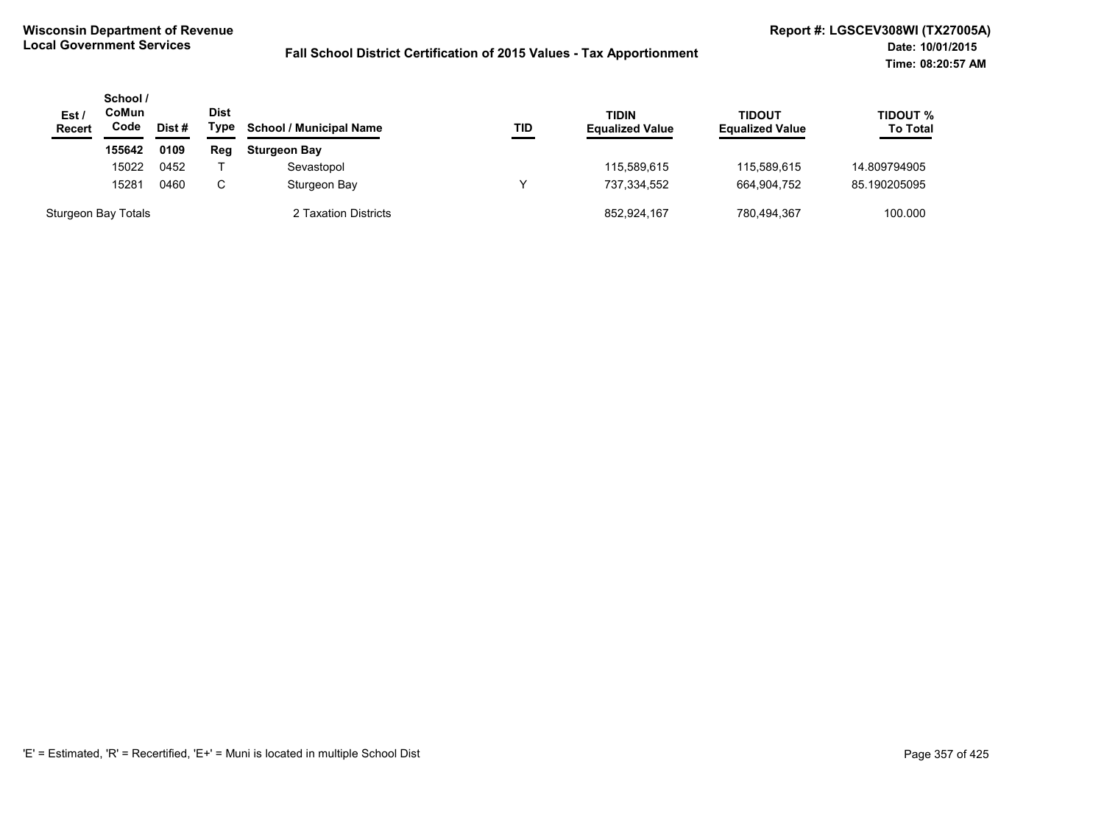| Est/<br><b>Recert</b> | School /<br>CoMun<br>Code<br>Dist# |      | <b>Dist</b><br>Type | <b>School / Municipal Name</b> | TID | TIDIN<br><b>Equalized Value</b> | <b>TIDOUT</b><br><b>Equalized Value</b> | TIDOUT %<br><b>To Total</b> |
|-----------------------|------------------------------------|------|---------------------|--------------------------------|-----|---------------------------------|-----------------------------------------|-----------------------------|
|                       | 155642                             | 0109 | Reg                 | <b>Sturgeon Bay</b>            |     |                                 |                                         |                             |
|                       | 15022                              | 0452 |                     | Sevastopol                     |     | 115,589,615                     | 115.589.615                             | 14.809794905                |
|                       | 15281                              | 0460 | C                   | Sturgeon Bay                   |     | 737,334,552                     | 664.904.752                             | 85.190205095                |
| Sturgeon Bay Totals   |                                    |      |                     | 2 Taxation Districts           |     | 852,924,167                     | 780,494,367                             | 100.000                     |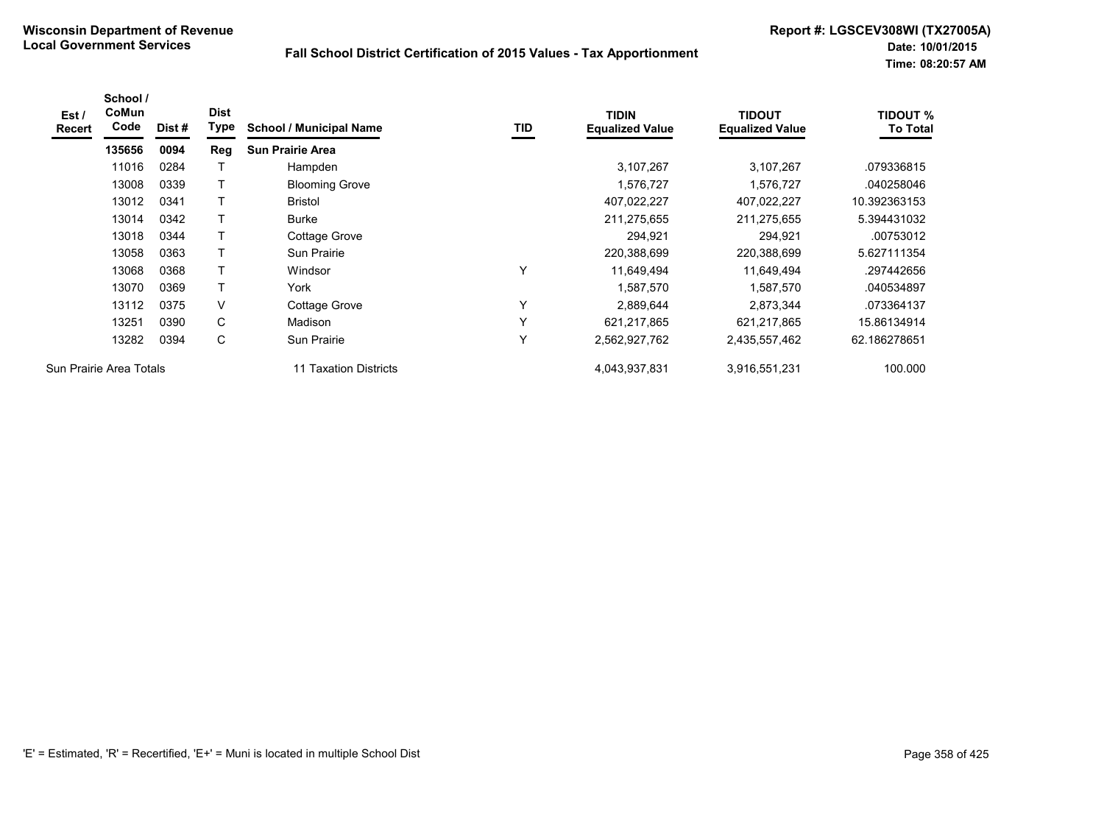| Est /<br><b>Recert</b> | School /<br><b>CoMun</b><br>Code | Dist # | <b>Dist</b><br>Type | <b>School / Municipal Name</b> | TID | <b>TIDIN</b><br><b>Equalized Value</b> | <b>TIDOUT</b><br><b>Equalized Value</b> | <b>TIDOUT %</b><br><b>To Total</b> |
|------------------------|----------------------------------|--------|---------------------|--------------------------------|-----|----------------------------------------|-----------------------------------------|------------------------------------|
|                        | 135656                           | 0094   | Reg                 | <b>Sun Prairie Area</b>        |     |                                        |                                         |                                    |
|                        | 11016                            | 0284   |                     | Hampden                        |     | 3,107,267                              | 3,107,267                               | .079336815                         |
|                        | 13008                            | 0339   |                     | <b>Blooming Grove</b>          |     | 1,576,727                              | 1,576,727                               | .040258046                         |
|                        | 13012                            | 0341   | T                   | <b>Bristol</b>                 |     | 407,022,227                            | 407,022,227                             | 10.392363153                       |
|                        | 13014                            | 0342   | T                   | <b>Burke</b>                   |     | 211,275,655                            | 211,275,655                             | 5.394431032                        |
|                        | 13018                            | 0344   | Τ                   | Cottage Grove                  |     | 294,921                                | 294,921                                 | .00753012                          |
|                        | 13058                            | 0363   | T                   | <b>Sun Prairie</b>             |     | 220,388,699                            | 220,388,699                             | 5.627111354                        |
|                        | 13068                            | 0368   | $\top$              | Windsor                        | Υ   | 11,649,494                             | 11,649,494                              | .297442656                         |
|                        | 13070                            | 0369   | T                   | York                           |     | 1,587,570                              | 1,587,570                               | .040534897                         |
|                        | 13112                            | 0375   | V                   | <b>Cottage Grove</b>           | Y   | 2,889,644                              | 2,873,344                               | .073364137                         |
|                        | 13251                            | 0390   | C                   | Madison                        | Υ   | 621,217,865                            | 621,217,865                             | 15.86134914                        |
|                        | 13282                            | 0394   | C                   | <b>Sun Prairie</b>             | Y   | 2,562,927,762                          | 2,435,557,462                           | 62.186278651                       |
|                        | Sun Prairie Area Totals          |        |                     | 11 Taxation Districts          |     | 4,043,937,831                          | 3,916,551,231                           | 100.000                            |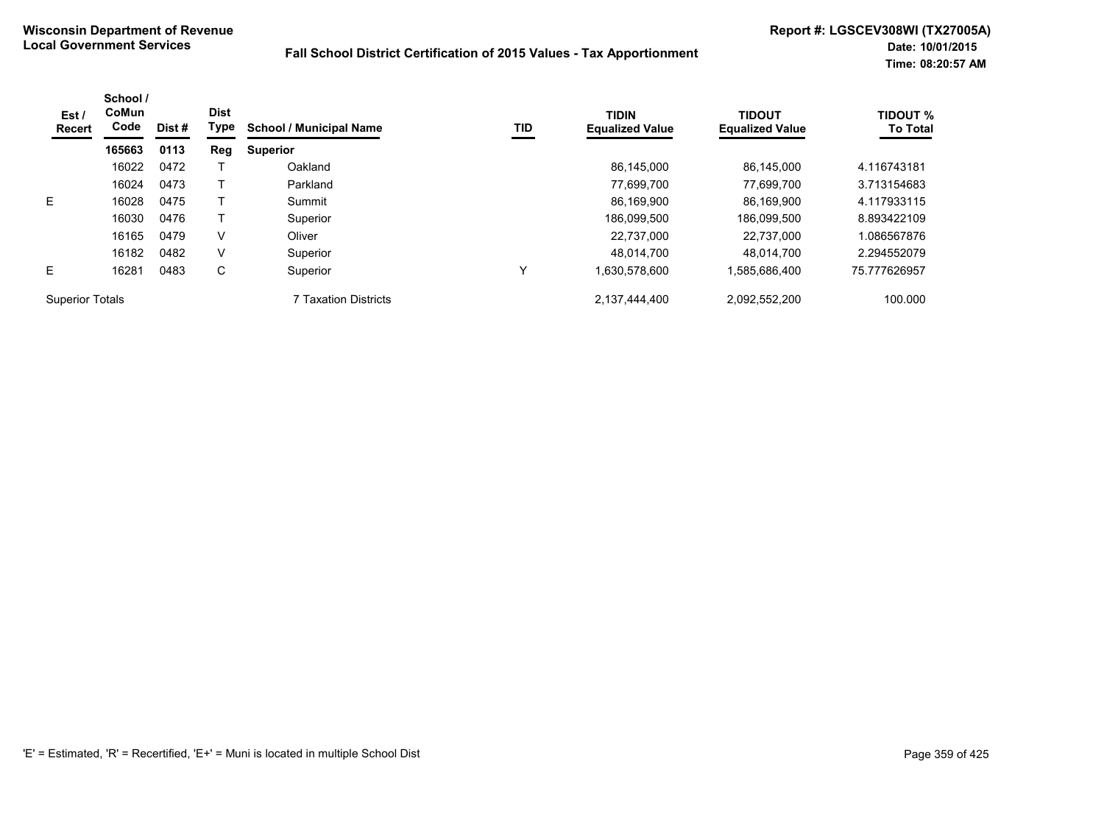| Est /<br>Recert        | School /<br><b>CoMun</b><br>Code | Dist # | <b>Dist</b><br>Type | <b>School / Municipal Name</b> | TID | <b>TIDIN</b><br><b>Equalized Value</b> | <b>TIDOUT</b><br><b>Equalized Value</b> | <b>TIDOUT %</b><br><b>To Total</b> |
|------------------------|----------------------------------|--------|---------------------|--------------------------------|-----|----------------------------------------|-----------------------------------------|------------------------------------|
|                        | 165663                           | 0113   | Reg                 | <b>Superior</b>                |     |                                        |                                         |                                    |
|                        | 16022                            | 0472   |                     | Oakland                        |     | 86.145.000                             | 86.145.000                              | 4.116743181                        |
|                        | 16024                            | 0473   |                     | Parkland                       |     | 77.699.700                             | 77.699.700                              | 3.713154683                        |
| E                      | 16028                            | 0475   |                     | Summit                         |     | 86,169,900                             | 86.169.900                              | 4.117933115                        |
|                        | 16030                            | 0476   |                     | Superior                       |     | 186,099,500                            | 186.099.500                             | 8.893422109                        |
|                        | 16165                            | 0479   | V                   | Oliver                         |     | 22.737.000                             | 22.737.000                              | 1.086567876                        |
|                        | 16182                            | 0482   | V                   | Superior                       |     | 48.014.700                             | 48.014.700                              | 2.294552079                        |
| E                      | 16281                            | 0483   | С                   | Superior                       | Y   | .630,578,600                           | 1,585,686,400                           | 75.777626957                       |
| <b>Superior Totals</b> |                                  |        |                     | 7 Taxation Districts           |     | 2,137,444,400                          | 2,092,552,200                           | 100.000                            |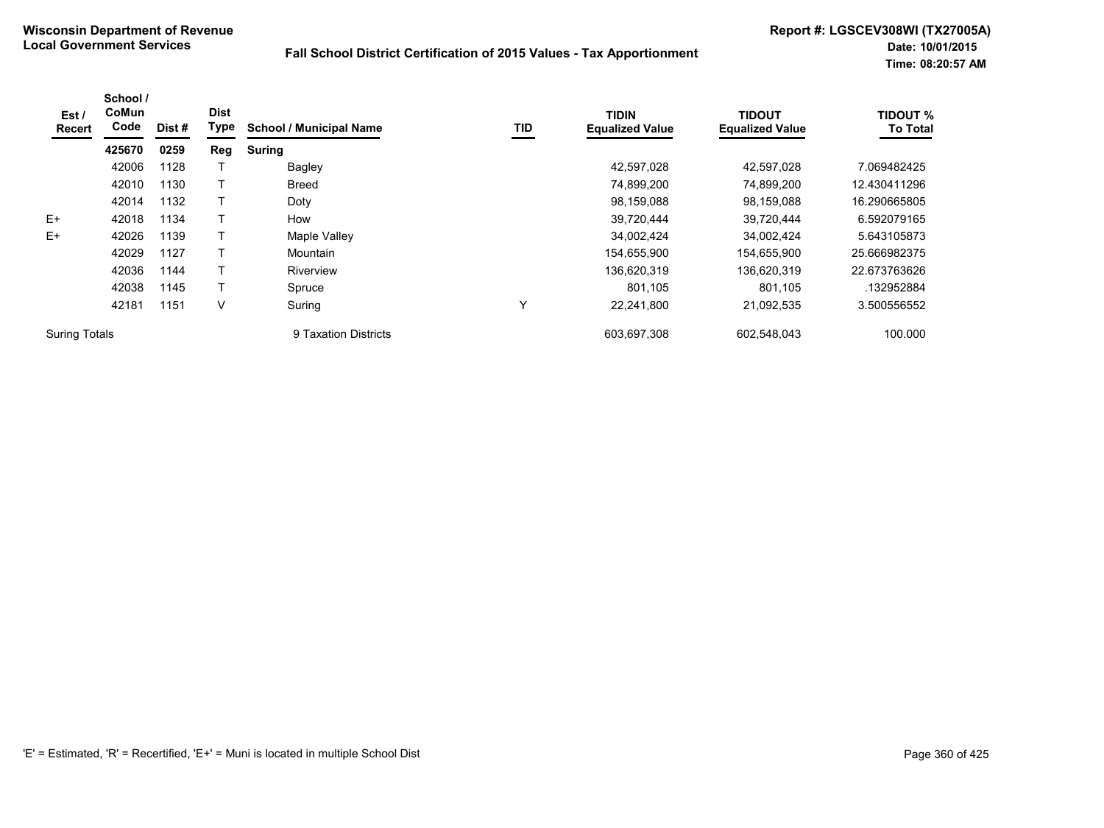| Est /<br><b>Recert</b> | School /<br>CoMun<br>Code | Dist # | <b>Dist</b><br>Type | <b>School / Municipal Name</b> | TID          | <b>TIDIN</b><br><b>Equalized Value</b> | <b>TIDOUT</b><br><b>Equalized Value</b> | <b>TIDOUT %</b><br><b>To Total</b> |
|------------------------|---------------------------|--------|---------------------|--------------------------------|--------------|----------------------------------------|-----------------------------------------|------------------------------------|
|                        | 425670                    | 0259   | Reg                 | <b>Suring</b>                  |              |                                        |                                         |                                    |
|                        | 42006                     | 1128   |                     | Bagley                         |              | 42,597,028                             | 42,597,028                              | 7.069482425                        |
|                        | 42010                     | 1130   |                     | Breed                          |              | 74,899,200                             | 74,899,200                              | 12.430411296                       |
|                        | 42014                     | 1132   |                     | Doty                           |              | 98,159,088                             | 98,159,088                              | 16.290665805                       |
| $E+$                   | 42018                     | 1134   |                     | How                            |              | 39,720,444                             | 39,720,444                              | 6.592079165                        |
| $E+$                   | 42026                     | 1139   |                     | Maple Valley                   |              | 34,002,424                             | 34,002,424                              | 5.643105873                        |
|                        | 42029                     | 1127   |                     | Mountain                       |              | 154,655,900                            | 154,655,900                             | 25.666982375                       |
|                        | 42036                     | 1144   |                     | Riverview                      |              | 136,620,319                            | 136,620,319                             | 22.673763626                       |
|                        | 42038                     | 1145   |                     | Spruce                         |              | 801.105                                | 801,105                                 | .132952884                         |
|                        | 42181                     | 1151   | v                   | Suring                         | $\checkmark$ | 22,241,800                             | 21,092,535                              | 3.500556552                        |
| <b>Suring Totals</b>   |                           |        |                     | 9 Taxation Districts           |              | 603.697.308                            | 602,548,043                             | 100.000                            |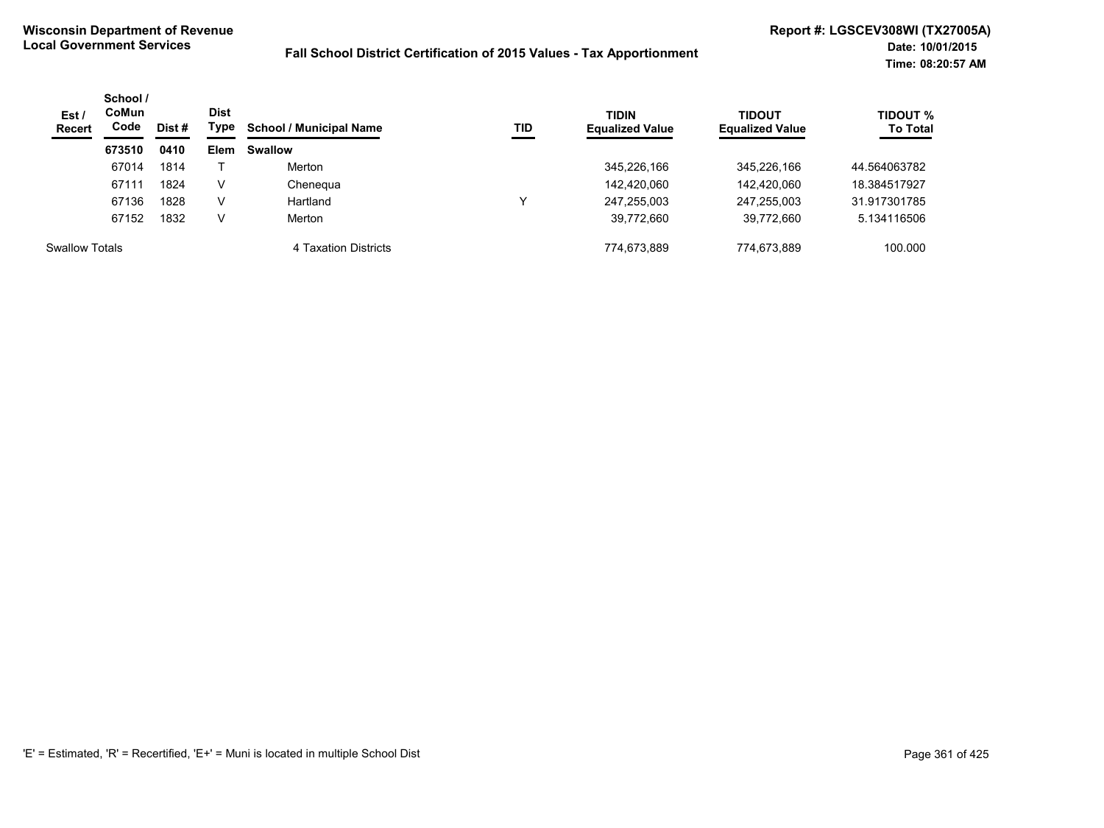| Est/<br><b>Recert</b> | School /<br><b>CoMun</b><br>Code<br>Dist # |      | Dist<br>Type | <b>School / Municipal Name</b> | TID | <b>TIDIN</b><br><b>Equalized Value</b> | <b>TIDOUT</b><br><b>Equalized Value</b> | <b>TIDOUT %</b><br><b>To Total</b> |
|-----------------------|--------------------------------------------|------|--------------|--------------------------------|-----|----------------------------------------|-----------------------------------------|------------------------------------|
|                       | 673510                                     | 0410 | <b>Elem</b>  | <b>Swallow</b>                 |     |                                        |                                         |                                    |
|                       | 67014                                      | 1814 |              | Merton                         |     | 345,226,166                            | 345,226,166                             | 44.564063782                       |
|                       | 67111                                      | 1824 | v            | Chenegua                       |     | 142,420,060                            | 142,420,060                             | 18.384517927                       |
|                       | 67136                                      | 1828 | v            | Hartland                       |     | 247.255.003                            | 247,255,003                             | 31.917301785                       |
|                       | 67152                                      | 1832 | v            | Merton                         |     | 39.772.660                             | 39,772,660                              | 5.134116506                        |
| <b>Swallow Totals</b> |                                            |      |              | 4 Taxation Districts           |     | 774.673.889                            | 774.673.889                             | 100.000                            |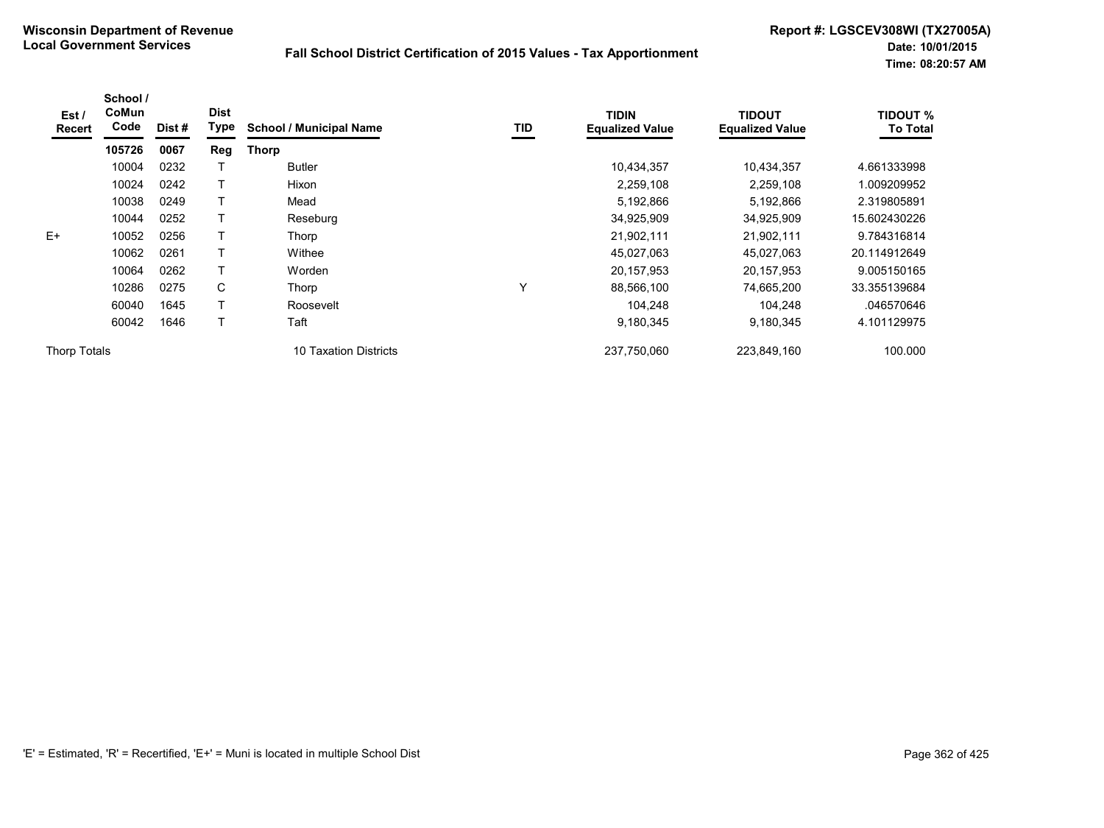| Est /<br>Recert     | School /<br>CoMun<br>Code | Dist # | <b>Dist</b><br><b>Type</b> | <b>School / Municipal Name</b> | TID | <b>TIDIN</b><br><b>Equalized Value</b> | <b>TIDOUT</b><br><b>Equalized Value</b> | <b>TIDOUT %</b><br><b>To Total</b> |
|---------------------|---------------------------|--------|----------------------------|--------------------------------|-----|----------------------------------------|-----------------------------------------|------------------------------------|
|                     | 105726                    | 0067   | Reg                        | <b>Thorp</b>                   |     |                                        |                                         |                                    |
|                     | 10004                     | 0232   |                            | <b>Butler</b>                  |     | 10,434,357                             | 10,434,357                              | 4.661333998                        |
|                     | 10024                     | 0242   |                            | Hixon                          |     | 2,259,108                              | 2,259,108                               | 1.009209952                        |
|                     | 10038                     | 0249   | Т                          | Mead                           |     | 5,192,866                              | 5,192,866                               | 2.319805891                        |
|                     | 10044                     | 0252   | T                          | Reseburg                       |     | 34,925,909                             | 34,925,909                              | 15.602430226                       |
| $E+$                | 10052                     | 0256   |                            | Thorp                          |     | 21,902,111                             | 21,902,111                              | 9.784316814                        |
|                     | 10062                     | 0261   | Т                          | Withee                         |     | 45,027,063                             | 45,027,063                              | 20.114912649                       |
|                     | 10064                     | 0262   | Т                          | Worden                         |     | 20, 157, 953                           | 20,157,953                              | 9.005150165                        |
|                     | 10286                     | 0275   | C                          | Thorp                          | Υ   | 88,566,100                             | 74,665,200                              | 33.355139684                       |
|                     | 60040                     | 1645   | Т                          | Roosevelt                      |     | 104.248                                | 104,248                                 | .046570646                         |
|                     | 60042                     | 1646   | Τ                          | Taft                           |     | 9,180,345                              | 9,180,345                               | 4.101129975                        |
| <b>Thorp Totals</b> |                           |        |                            | 10 Taxation Districts          |     | 237,750,060                            | 223,849,160                             | 100.000                            |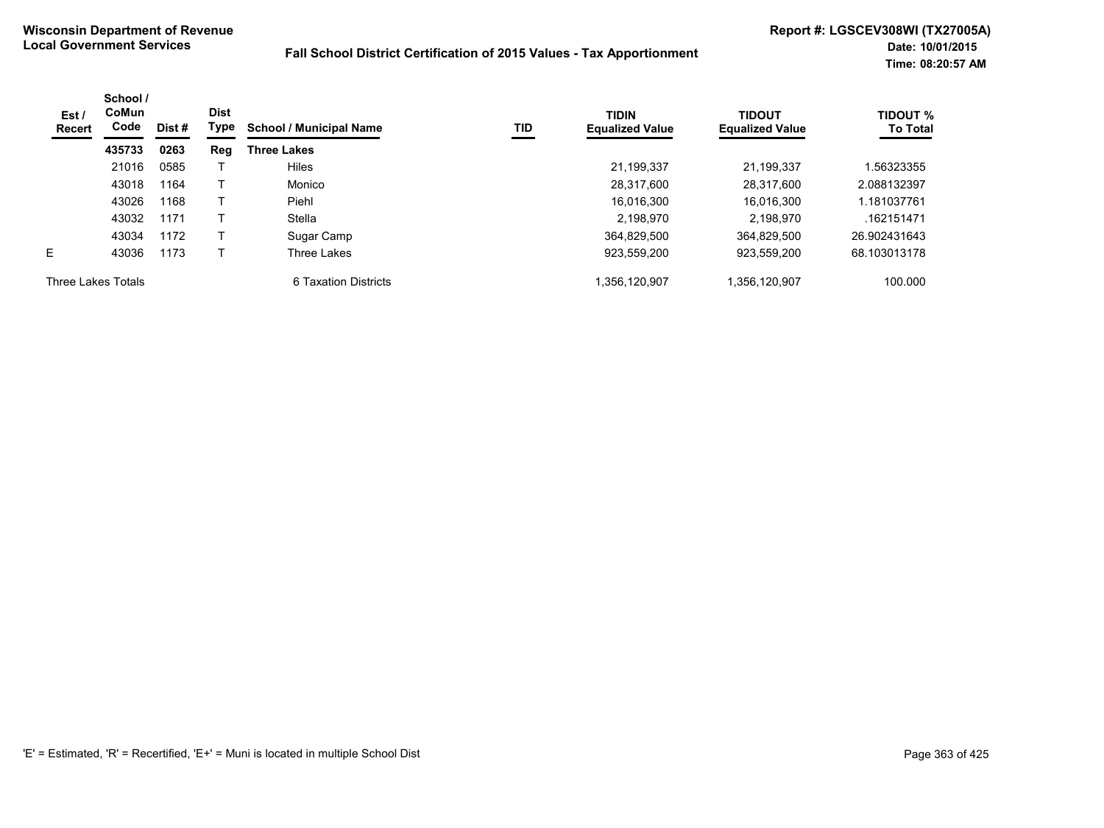| Est /<br>Recert    | School /<br>CoMun<br>Code | Dist # | <b>Dist</b><br>Type | <b>School / Municipal Name</b> | TID | <b>TIDIN</b><br><b>Equalized Value</b> | <b>TIDOUT</b><br><b>Equalized Value</b> | <b>TIDOUT %</b><br><b>To Total</b> |
|--------------------|---------------------------|--------|---------------------|--------------------------------|-----|----------------------------------------|-----------------------------------------|------------------------------------|
|                    | 435733                    | 0263   | Reg                 | <b>Three Lakes</b>             |     |                                        |                                         |                                    |
|                    | 21016                     | 0585   |                     | Hiles                          |     | 21,199,337                             | 21.199.337                              | 1.56323355                         |
|                    | 43018                     | 1164   |                     | Monico                         |     | 28,317,600                             | 28.317.600                              | 2.088132397                        |
|                    | 43026                     | 1168   |                     | Piehl                          |     | 16,016,300                             | 16,016,300                              | 1.181037761                        |
|                    | 43032                     | 1171   |                     | Stella                         |     | 2.198.970                              | 2.198.970                               | .162151471                         |
|                    | 43034                     | 1172   |                     | Sugar Camp                     |     | 364.829.500                            | 364,829,500                             | 26.902431643                       |
| E.                 | 43036                     | 1173   |                     | Three Lakes                    |     | 923.559.200                            | 923.559.200                             | 68.103013178                       |
| Three Lakes Totals |                           |        |                     | 6 Taxation Districts           |     | 1,356,120,907                          | 1,356,120,907                           | 100.000                            |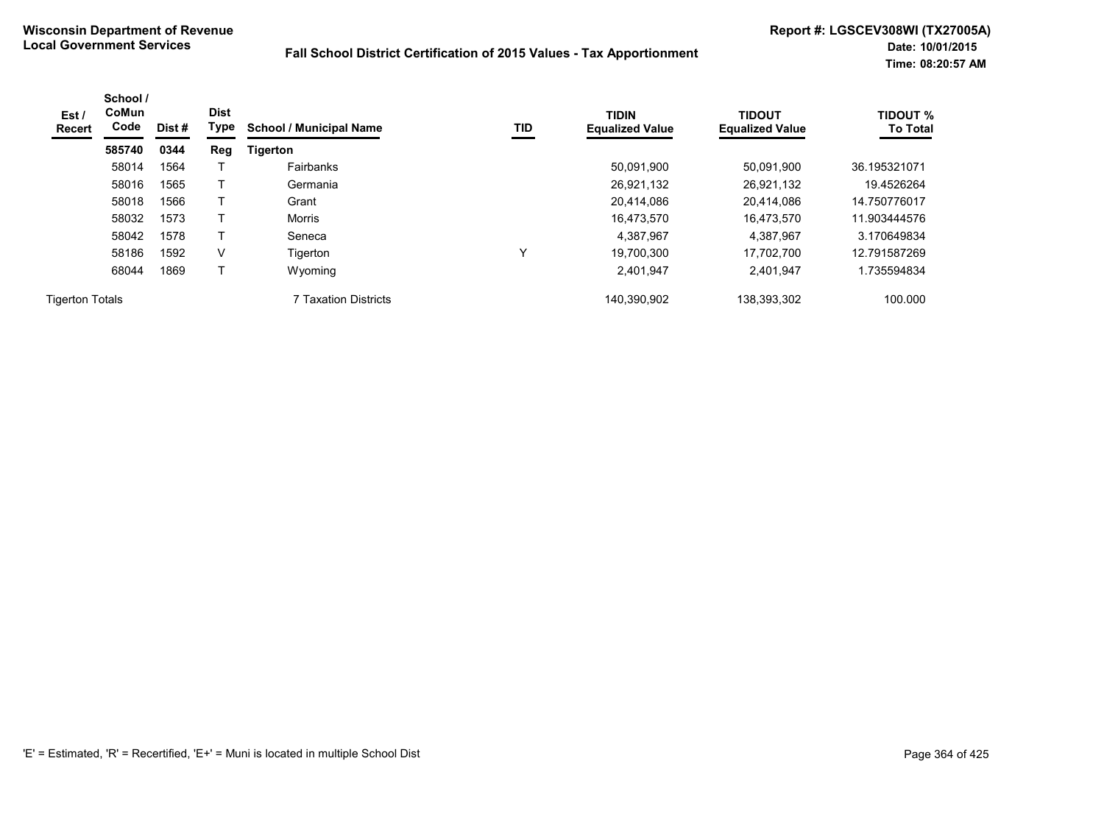| Est /<br><b>Recert</b> | School /<br><b>CoMun</b><br>Code | Dist # | <b>Dist</b><br>Type | <b>School / Municipal Name</b> | TID | <b>TIDIN</b><br><b>Equalized Value</b> | <b>TIDOUT</b><br><b>Equalized Value</b> | <b>TIDOUT %</b><br><b>To Total</b> |
|------------------------|----------------------------------|--------|---------------------|--------------------------------|-----|----------------------------------------|-----------------------------------------|------------------------------------|
|                        | 585740                           | 0344   | Reg                 | <b>Tigerton</b>                |     |                                        |                                         |                                    |
|                        | 58014                            | 1564   |                     | Fairbanks                      |     | 50.091.900                             | 50.091.900                              | 36.195321071                       |
|                        | 58016                            | 1565   |                     | Germania                       |     | 26,921,132                             | 26,921,132                              | 19.4526264                         |
|                        | 58018                            | 1566   |                     | Grant                          |     | 20,414,086                             | 20,414,086                              | 14.750776017                       |
|                        | 58032                            | 1573   |                     | Morris                         |     | 16.473.570                             | 16.473.570                              | 11.903444576                       |
|                        | 58042                            | 1578   |                     | Seneca                         |     | 4,387,967                              | 4,387,967                               | 3.170649834                        |
|                        | 58186                            | 1592   | V                   | Tigerton                       | v   | 19,700,300                             | 17.702.700                              | 12.791587269                       |
|                        | 68044                            | 1869   | Т                   | Wyoming                        |     | 2,401,947                              | 2,401,947                               | 1.735594834                        |
| <b>Tigerton Totals</b> |                                  |        |                     | 7 Taxation Districts           |     | 140,390,902                            | 138,393,302                             | 100.000                            |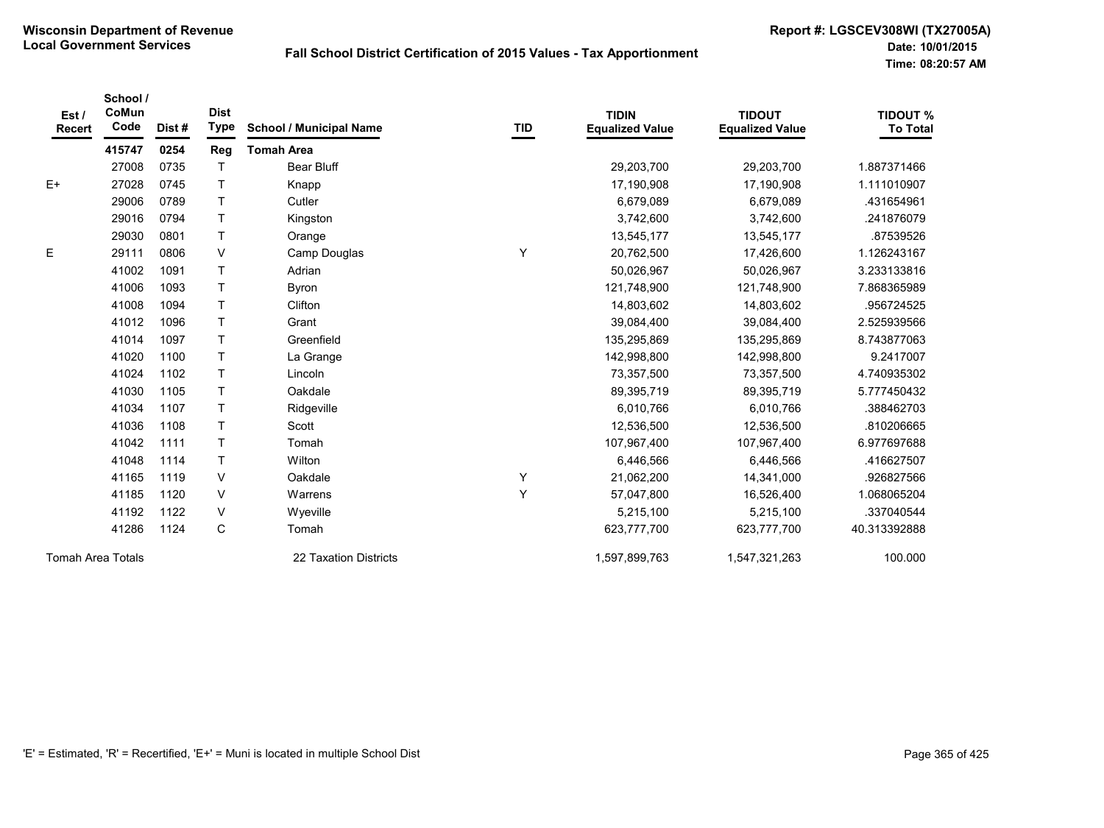| Est/<br>Recert    | School /<br>CoMun<br>Code | Dist# | <b>Dist</b><br><b>Type</b> | <b>School / Municipal Name</b> | TID | <b>TIDIN</b><br><b>Equalized Value</b> | <b>TIDOUT</b><br><b>Equalized Value</b> | <b>TIDOUT %</b><br><b>To Total</b> |
|-------------------|---------------------------|-------|----------------------------|--------------------------------|-----|----------------------------------------|-----------------------------------------|------------------------------------|
|                   | 415747                    | 0254  | Reg                        | <b>Tomah Area</b>              |     |                                        |                                         |                                    |
|                   | 27008                     | 0735  | T                          | <b>Bear Bluff</b>              |     | 29,203,700                             | 29,203,700                              | 1.887371466                        |
| $E+$              | 27028                     | 0745  | T.                         | Knapp                          |     | 17,190,908                             | 17,190,908                              | 1.111010907                        |
|                   | 29006                     | 0789  | T                          | Cutler                         |     | 6,679,089                              | 6,679,089                               | .431654961                         |
|                   | 29016                     | 0794  | T                          | Kingston                       |     | 3,742,600                              | 3,742,600                               | .241876079                         |
|                   | 29030                     | 0801  | T                          | Orange                         |     | 13,545,177                             | 13,545,177                              | .87539526                          |
| Ε                 | 29111                     | 0806  | V                          | Camp Douglas                   | Υ   | 20,762,500                             | 17,426,600                              | 1.126243167                        |
|                   | 41002                     | 1091  | Τ                          | Adrian                         |     | 50,026,967                             | 50,026,967                              | 3.233133816                        |
|                   | 41006                     | 1093  | T                          | <b>Byron</b>                   |     | 121,748,900                            | 121,748,900                             | 7.868365989                        |
|                   | 41008                     | 1094  | T                          | Clifton                        |     | 14,803,602                             | 14,803,602                              | .956724525                         |
|                   | 41012                     | 1096  | $\top$                     | Grant                          |     | 39,084,400                             | 39,084,400                              | 2.525939566                        |
|                   | 41014                     | 1097  | $\top$                     | Greenfield                     |     | 135,295,869                            | 135,295,869                             | 8.743877063                        |
|                   | 41020                     | 1100  | T                          | La Grange                      |     | 142,998,800                            | 142,998,800                             | 9.2417007                          |
|                   | 41024                     | 1102  | Τ                          | Lincoln                        |     | 73,357,500                             | 73,357,500                              | 4.740935302                        |
|                   | 41030                     | 1105  | T                          | Oakdale                        |     | 89,395,719                             | 89,395,719                              | 5.777450432                        |
|                   | 41034                     | 1107  | T                          | Ridgeville                     |     | 6,010,766                              | 6,010,766                               | .388462703                         |
|                   | 41036                     | 1108  | T                          | Scott                          |     | 12,536,500                             | 12,536,500                              | .810206665                         |
|                   | 41042                     | 1111  | T.                         | Tomah                          |     | 107,967,400                            | 107,967,400                             | 6.977697688                        |
|                   | 41048                     | 1114  | T                          | Wilton                         |     | 6,446,566                              | 6,446,566                               | .416627507                         |
|                   | 41165                     | 1119  | V                          | Oakdale                        | Υ   | 21,062,200                             | 14,341,000                              | .926827566                         |
|                   | 41185                     | 1120  | V                          | Warrens                        | Y   | 57,047,800                             | 16,526,400                              | 1.068065204                        |
|                   | 41192                     | 1122  | V                          | Wyeville                       |     | 5,215,100                              | 5,215,100                               | .337040544                         |
|                   | 41286                     | 1124  | C                          | Tomah                          |     | 623,777,700                            | 623,777,700                             | 40.313392888                       |
| Tomah Area Totals |                           |       |                            | 22 Taxation Districts          |     | 1,597,899,763                          | 1,547,321,263                           | 100.000                            |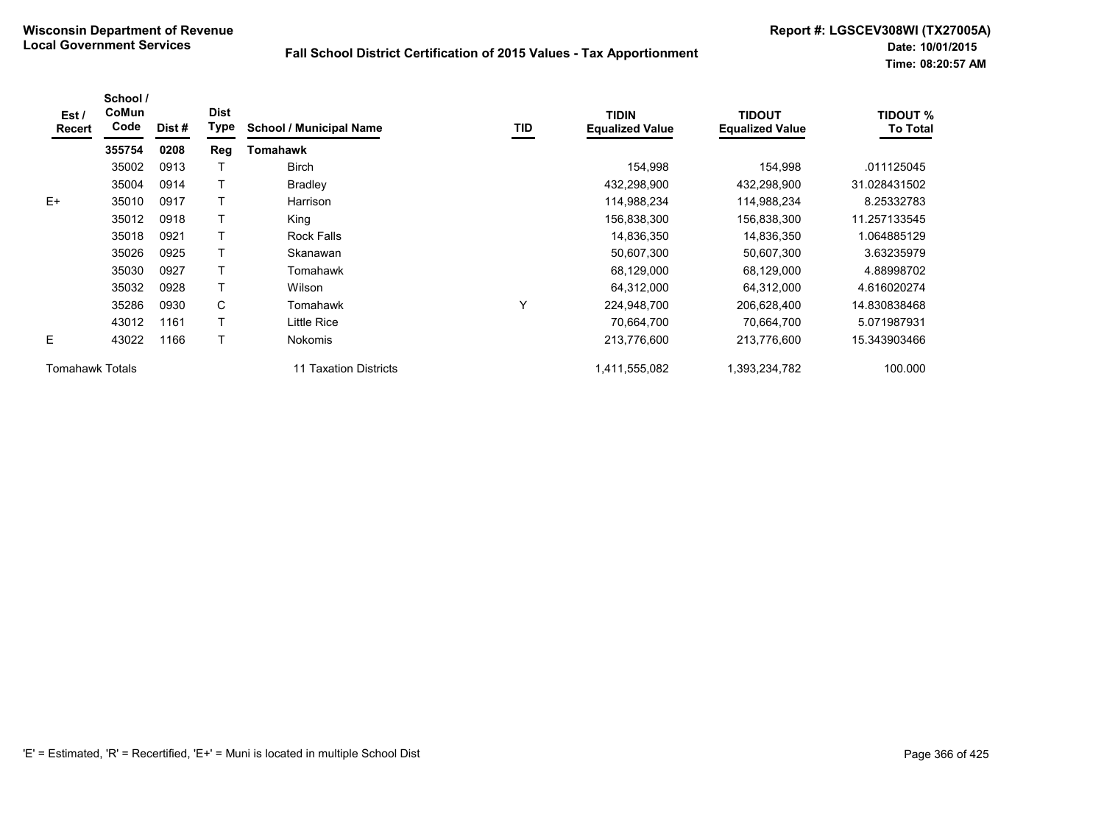| Est/<br><b>Recert</b>  | School /<br>CoMun<br>Code | Dist # | <b>Dist</b><br>Type | <b>School / Municipal Name</b>  | TID | <b>TIDIN</b><br><b>Equalized Value</b> | <b>TIDOUT</b><br><b>Equalized Value</b> | <b>TIDOUT %</b><br><b>To Total</b> |
|------------------------|---------------------------|--------|---------------------|---------------------------------|-----|----------------------------------------|-----------------------------------------|------------------------------------|
|                        | 355754                    | 0208   | Reg                 | Tomahawk                        |     |                                        |                                         |                                    |
|                        | 35002                     | 0913   |                     | <b>Birch</b>                    |     | 154,998                                | 154,998                                 | .011125045                         |
|                        | 35004                     | 0914   |                     | <b>Bradley</b>                  |     | 432,298,900                            | 432,298,900                             | 31.028431502                       |
| $E+$                   | 35010                     | 0917   |                     | Harrison                        |     | 114,988,234                            | 114,988,234                             | 8.25332783                         |
|                        | 35012                     | 0918   |                     | King                            |     | 156,838,300                            | 156,838,300                             | 11.257133545                       |
|                        | 35018                     | 0921   |                     | <b>Rock Falls</b>               |     | 14,836,350                             | 14,836,350                              | 1.064885129                        |
|                        | 35026                     | 0925   |                     | Skanawan                        |     | 50,607,300                             | 50,607,300                              | 3.63235979                         |
|                        | 35030                     | 0927   | т                   | Tomahawk                        |     | 68,129,000                             | 68,129,000                              | 4.88998702                         |
|                        | 35032                     | 0928   |                     | Wilson                          |     | 64,312,000                             | 64,312,000                              | 4.616020274                        |
|                        | 35286                     | 0930   | C                   | Tomahawk                        | Υ   | 224,948,700                            | 206,628,400                             | 14.830838468                       |
|                        | 43012                     | 1161   |                     | Little Rice                     |     | 70,664,700                             | 70,664,700                              | 5.071987931                        |
| E.                     | 43022                     | 1166   |                     | <b>Nokomis</b>                  |     | 213,776,600                            | 213,776,600                             | 15.343903466                       |
| <b>Tomahawk Totals</b> |                           |        |                     | <b>Taxation Districts</b><br>11 |     | 1,411,555,082                          | ,393,234,782                            | 100.000                            |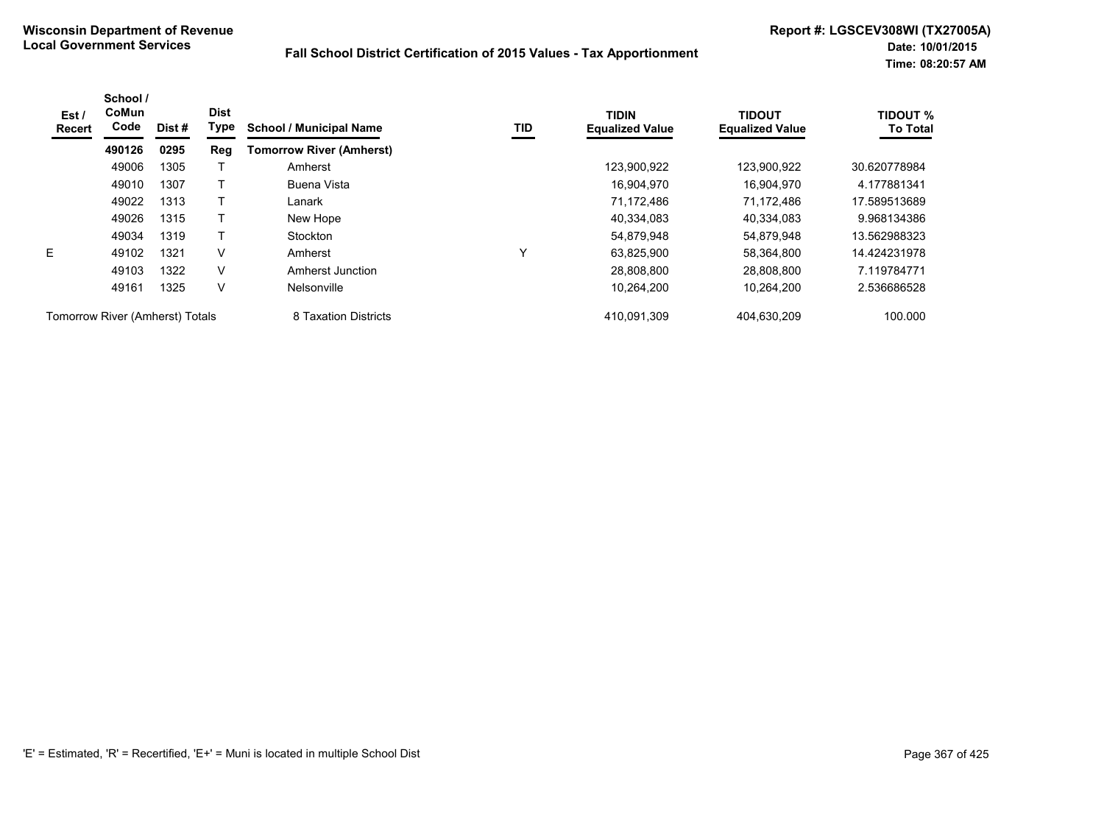| Est/<br>Recert                  | School /<br><b>CoMun</b><br>Code | Dist # | <b>Dist</b><br>Type | <b>School / Municipal Name</b>  | TID | <b>TIDIN</b><br><b>Equalized Value</b> | <b>TIDOUT</b><br><b>Equalized Value</b> | <b>TIDOUT %</b><br><b>To Total</b> |
|---------------------------------|----------------------------------|--------|---------------------|---------------------------------|-----|----------------------------------------|-----------------------------------------|------------------------------------|
|                                 | 490126                           | 0295   | Reg                 | <b>Tomorrow River (Amherst)</b> |     |                                        |                                         |                                    |
|                                 | 49006                            | 1305   |                     | Amherst                         |     | 123,900,922                            | 123,900,922                             | 30.620778984                       |
|                                 | 49010                            | 1307   |                     | Buena Vista                     |     | 16,904,970                             | 16.904.970                              | 4.177881341                        |
|                                 | 49022                            | 1313   |                     | Lanark                          |     | 71.172.486                             | 71.172.486                              | 17.589513689                       |
|                                 | 49026                            | 1315   |                     | New Hope                        |     | 40,334,083                             | 40,334,083                              | 9.968134386                        |
|                                 | 49034                            | 1319   |                     | Stockton                        |     | 54,879,948                             | 54,879,948                              | 13.562988323                       |
| E.                              | 49102                            | 1321   | V                   | Amherst                         | v   | 63,825,900                             | 58,364,800                              | 14.424231978                       |
|                                 | 49103                            | 1322   | V                   | Amherst Junction                |     | 28.808.800                             | 28.808.800                              | 7.119784771                        |
|                                 | 49161                            | 1325   | V                   | Nelsonville                     |     | 10,264,200                             | 10.264.200                              | 2.536686528                        |
| Tomorrow River (Amherst) Totals |                                  |        |                     | 8 Taxation Districts            |     | 410,091,309                            | 404,630,209                             | 100.000                            |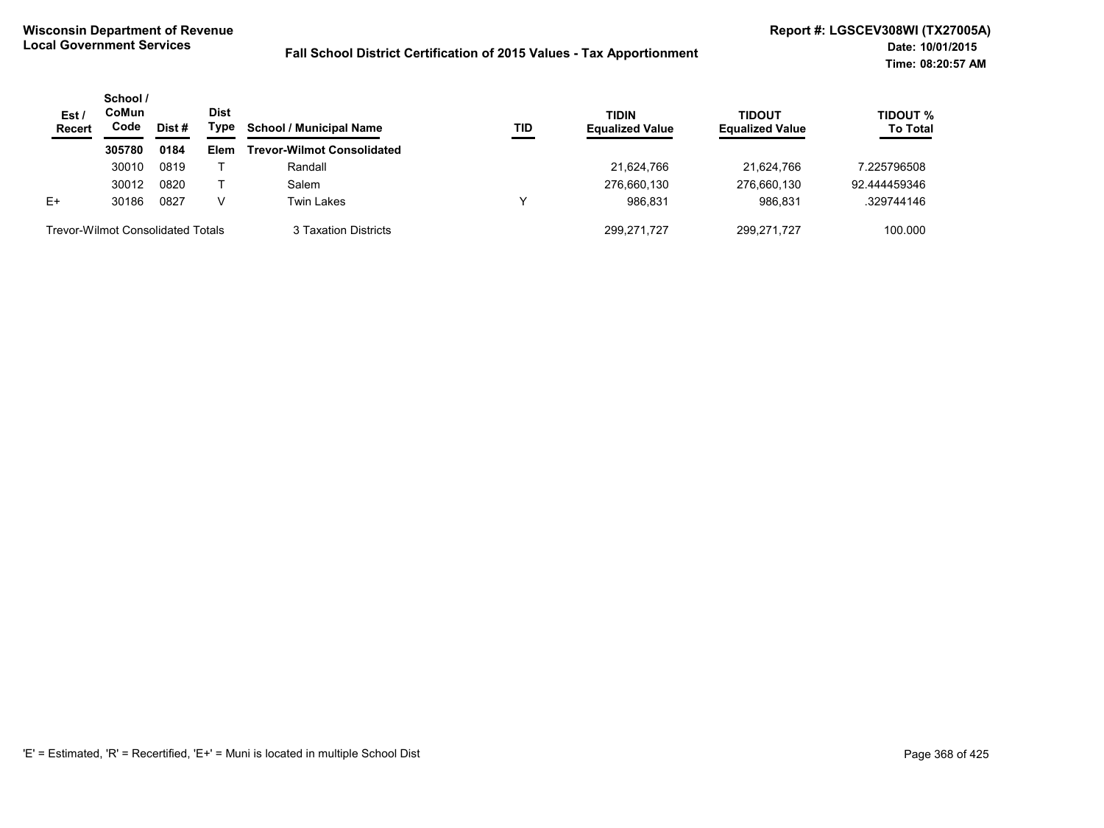| Est/<br><b>Recert</b>                    | School /<br>CoMun<br>Code | Dist # | <b>Dist</b><br>Type | <b>School / Municipal Name</b>    | TID | <b>TIDIN</b><br><b>Equalized Value</b> | <b>TIDOUT</b><br><b>Equalized Value</b> | TIDOUT %<br><b>To Total</b> |
|------------------------------------------|---------------------------|--------|---------------------|-----------------------------------|-----|----------------------------------------|-----------------------------------------|-----------------------------|
|                                          | 305780                    | 0184   | Elem                | <b>Trevor-Wilmot Consolidated</b> |     |                                        |                                         |                             |
|                                          | 30010                     | 0819   |                     | Randall                           |     | 21.624.766                             | 21.624.766                              | 7.225796508                 |
|                                          | 30012                     | 0820   |                     | Salem                             |     | 276,660,130                            | 276,660,130                             | 92.444459346                |
| $E+$                                     | 30186                     | 0827   |                     | Twin Lakes                        | v   | 986.831                                | 986.831                                 | .329744146                  |
| <b>Trevor-Wilmot Consolidated Totals</b> |                           |        |                     | 3 Taxation Districts              |     | 299.271.727                            | 299.271.727                             | 100.000                     |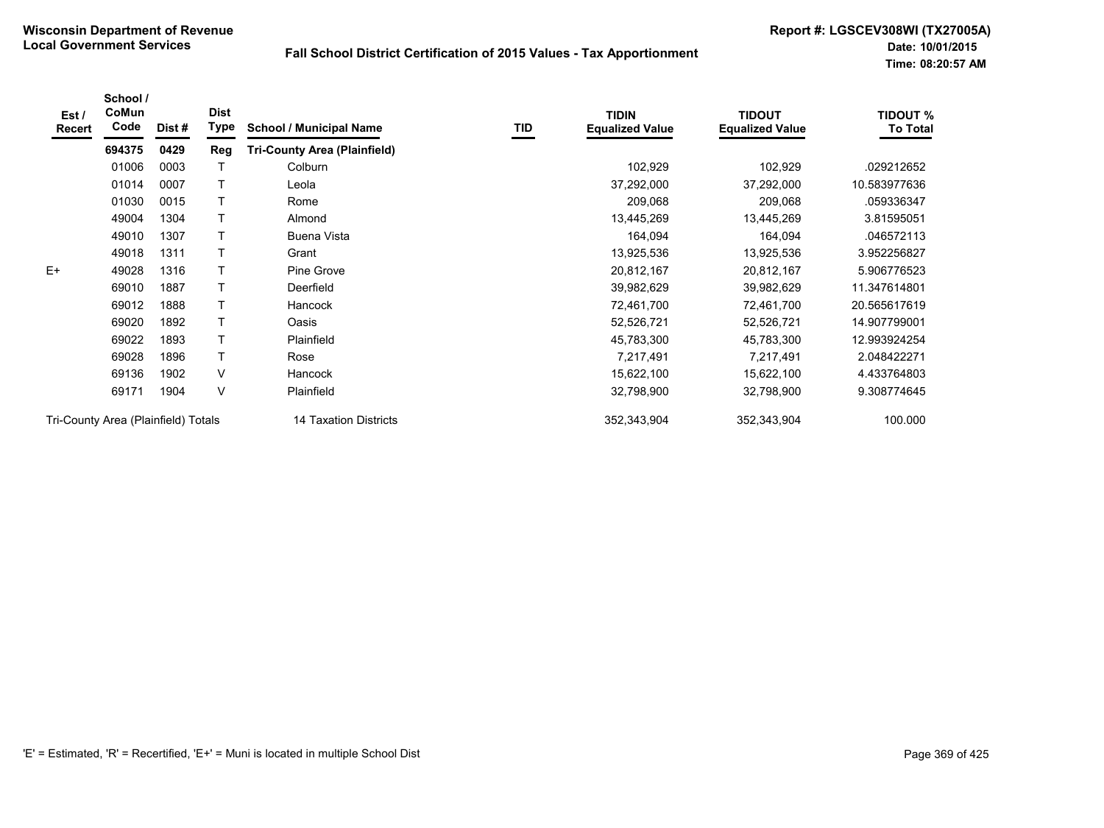| Est/<br>Recert | School /<br>CoMun<br>Code           | Dist # | <b>Dist</b><br>Type | <b>School / Municipal Name</b>      | TID | <b>TIDIN</b><br><b>Equalized Value</b> | <b>TIDOUT</b><br><b>Equalized Value</b> | <b>TIDOUT %</b><br><b>To Total</b> |
|----------------|-------------------------------------|--------|---------------------|-------------------------------------|-----|----------------------------------------|-----------------------------------------|------------------------------------|
|                | 694375                              | 0429   | Reg                 | <b>Tri-County Area (Plainfield)</b> |     |                                        |                                         |                                    |
|                | 01006                               | 0003   |                     | Colburn                             |     | 102,929                                | 102,929                                 | .029212652                         |
|                | 01014                               | 0007   |                     | Leola                               |     | 37,292,000                             | 37,292,000                              | 10.583977636                       |
|                | 01030                               | 0015   |                     | Rome                                |     | 209,068                                | 209,068                                 | .059336347                         |
|                | 49004                               | 1304   |                     | Almond                              |     | 13,445,269                             | 13,445,269                              | 3.81595051                         |
|                | 49010                               | 1307   |                     | Buena Vista                         |     | 164,094                                | 164,094                                 | .046572113                         |
|                | 49018                               | 1311   |                     | Grant                               |     | 13,925,536                             | 13,925,536                              | 3.952256827                        |
| $E+$           | 49028                               | 1316   |                     | Pine Grove                          |     | 20,812,167                             | 20,812,167                              | 5.906776523                        |
|                | 69010                               | 1887   |                     | Deerfield                           |     | 39,982,629                             | 39,982,629                              | 11.347614801                       |
|                | 69012                               | 1888   |                     | Hancock                             |     | 72,461,700                             | 72,461,700                              | 20.565617619                       |
|                | 69020                               | 1892   | T                   | Oasis                               |     | 52,526,721                             | 52,526,721                              | 14.907799001                       |
|                | 69022                               | 1893   | T                   | Plainfield                          |     | 45,783,300                             | 45,783,300                              | 12.993924254                       |
|                | 69028                               | 1896   | T                   | Rose                                |     | 7,217,491                              | 7,217,491                               | 2.048422271                        |
|                | 69136                               | 1902   | V                   | Hancock                             |     | 15,622,100                             | 15,622,100                              | 4.433764803                        |
|                | 69171                               | 1904   | V                   | Plainfield                          |     | 32,798,900                             | 32,798,900                              | 9.308774645                        |
|                | Tri-County Area (Plainfield) Totals |        |                     | 14 Taxation Districts               |     | 352,343,904                            | 352,343,904                             | 100.000                            |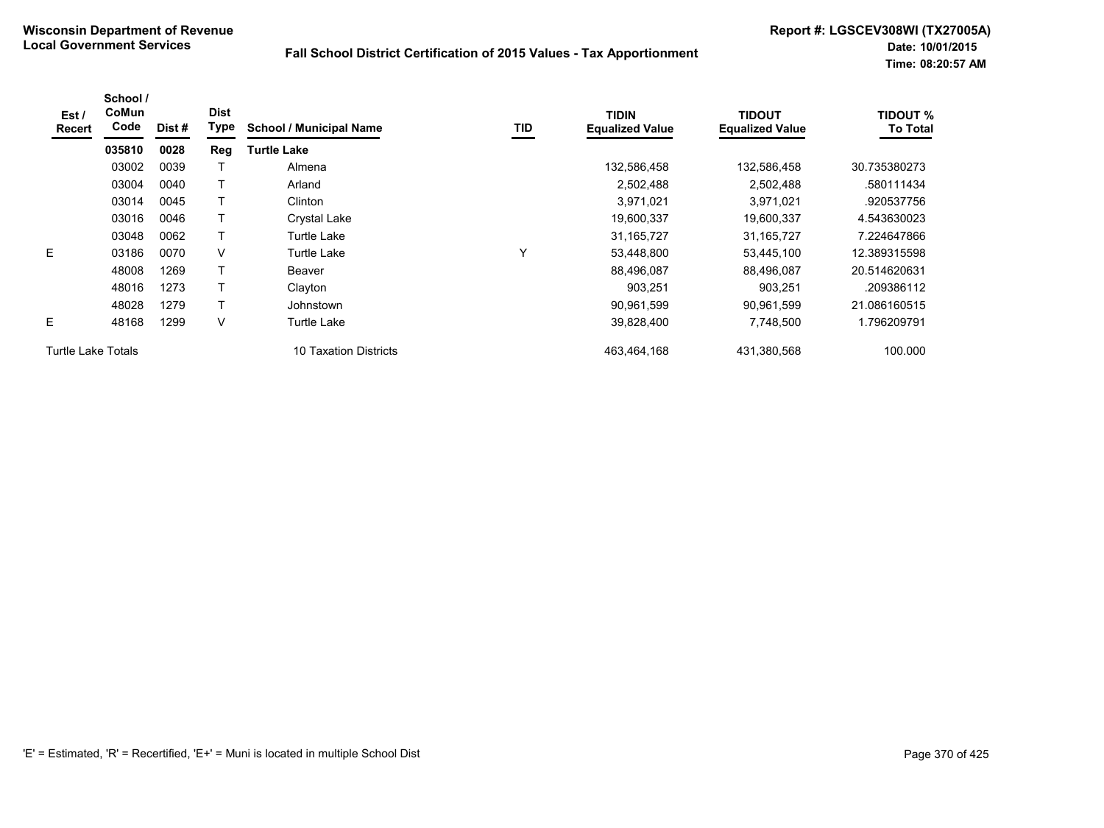| Est /<br>Recert           | School /<br>CoMun<br>Code | Dist # | <b>Dist</b><br>Type | <b>School / Municipal Name</b> | TID | <b>TIDIN</b><br><b>Equalized Value</b> | <b>TIDOUT</b><br><b>Equalized Value</b> | <b>TIDOUT %</b><br><b>To Total</b> |
|---------------------------|---------------------------|--------|---------------------|--------------------------------|-----|----------------------------------------|-----------------------------------------|------------------------------------|
|                           | 035810                    | 0028   | Reg                 | <b>Turtle Lake</b>             |     |                                        |                                         |                                    |
|                           | 03002                     | 0039   |                     | Almena                         |     | 132,586,458                            | 132,586,458                             | 30.735380273                       |
|                           | 03004                     | 0040   |                     | Arland                         |     | 2,502,488                              | 2,502,488                               | .580111434                         |
|                           | 03014                     | 0045   |                     | Clinton                        |     | 3,971,021                              | 3,971,021                               | .920537756                         |
|                           | 03016                     | 0046   |                     | <b>Crystal Lake</b>            |     | 19,600,337                             | 19,600,337                              | 4.543630023                        |
|                           | 03048                     | 0062   |                     | Turtle Lake                    |     | 31,165,727                             | 31, 165, 727                            | 7.224647866                        |
| E                         | 03186                     | 0070   | V                   | Turtle Lake                    | Y   | 53,448,800                             | 53,445,100                              | 12.389315598                       |
|                           | 48008                     | 1269   |                     | Beaver                         |     | 88,496,087                             | 88,496,087                              | 20.514620631                       |
|                           | 48016                     | 1273   |                     | Clayton                        |     | 903,251                                | 903,251                                 | .209386112                         |
|                           | 48028                     | 1279   |                     | Johnstown                      |     | 90,961,599                             | 90,961,599                              | 21.086160515                       |
| E.                        | 48168                     | 1299   | V                   | Turtle Lake                    |     | 39,828,400                             | 7,748,500                               | 1.796209791                        |
| <b>Turtle Lake Totals</b> |                           |        |                     | 10 Taxation Districts          |     | 463,464,168                            | 431,380,568                             | 100.000                            |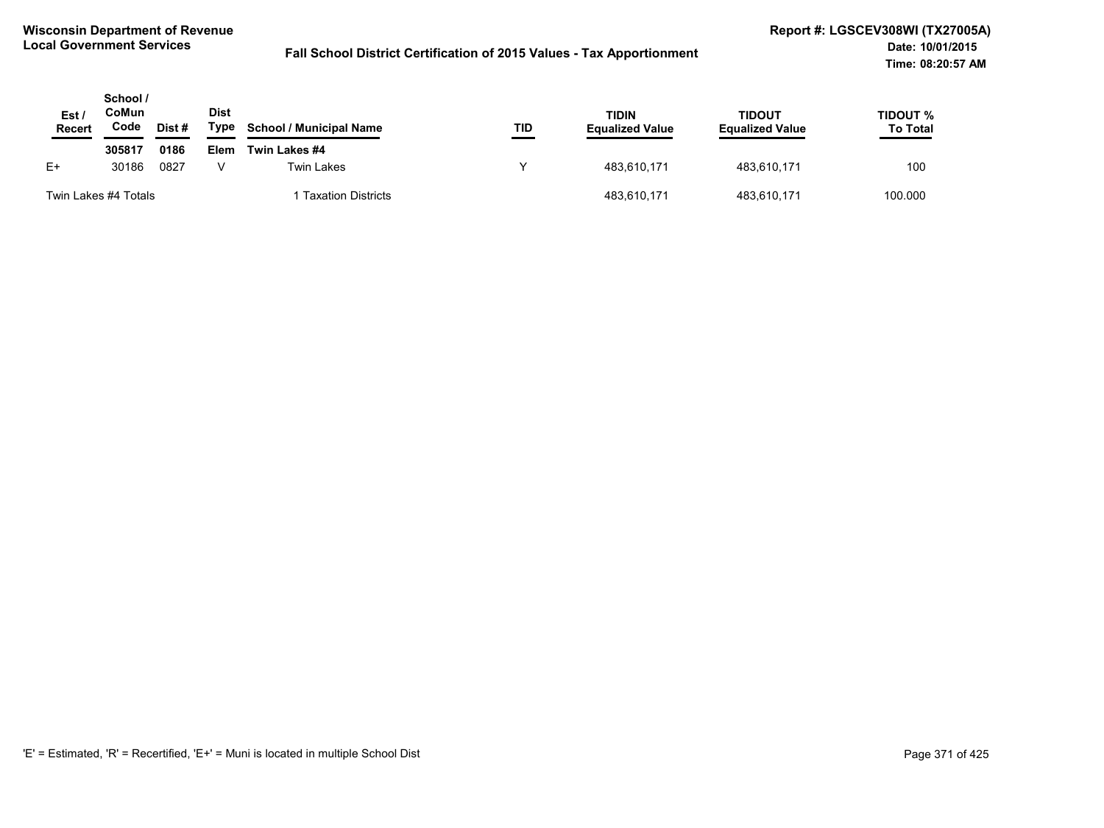| Est<br>Recert        | School /<br>CoMun<br>Code | Dist # | <b>Dist</b><br>Type | <b>School / Municipal Name</b> | TID | <b>TIDIN</b><br><b>Equalized Value</b> | TIDOUT<br><b>Equalized Value</b> | TIDOUT %<br><b>To Total</b> |
|----------------------|---------------------------|--------|---------------------|--------------------------------|-----|----------------------------------------|----------------------------------|-----------------------------|
|                      | 305817                    | 0186   | Elem                | Twin Lakes #4                  |     |                                        |                                  |                             |
| $E+$                 | 30186                     | 0827   |                     | <b>Twin Lakes</b>              |     | 483,610,171                            | 483,610,171                      | 100                         |
| Twin Lakes #4 Totals |                           |        |                     | Taxation Districts             |     | 483,610,171                            | 483.610.171                      | 100.000                     |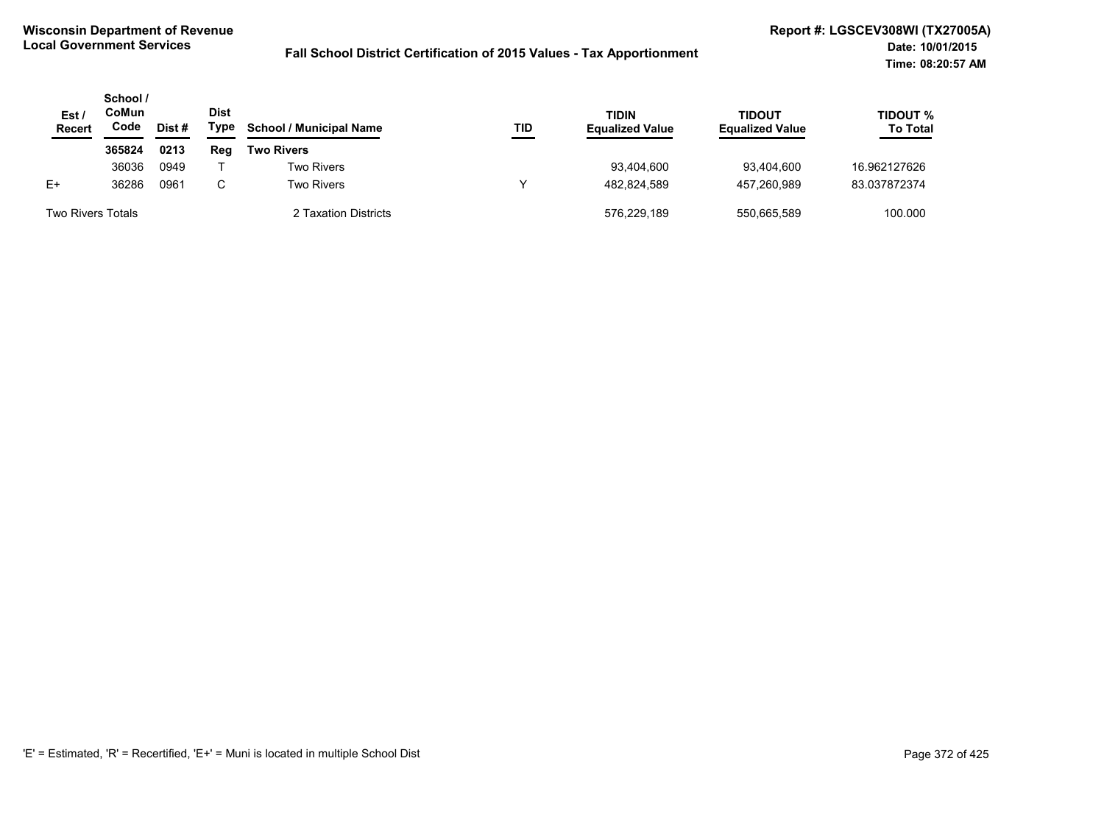| Est/<br>Recert           | School /<br>CoMun<br>Code | Dist # | <b>Dist</b><br>Type | <b>School / Municipal Name</b> | TID | TIDIN<br><b>Equalized Value</b> | <b>TIDOUT</b><br><b>Equalized Value</b> | TIDOUT %<br><b>To Total</b> |
|--------------------------|---------------------------|--------|---------------------|--------------------------------|-----|---------------------------------|-----------------------------------------|-----------------------------|
|                          | 365824                    | 0213   | Reg                 | <b>Two Rivers</b>              |     |                                 |                                         |                             |
|                          | 36036                     | 0949   |                     | <b>Two Rivers</b>              |     | 93,404,600                      | 93.404.600                              | 16.962127626                |
| E+                       | 36286                     | 0961   | C.                  | <b>Two Rivers</b>              | v   | 482.824.589                     | 457.260.989                             | 83.037872374                |
| <b>Two Rivers Totals</b> |                           |        |                     | 2 Taxation Districts           |     | 576,229,189                     | 550,665,589                             | 100.000                     |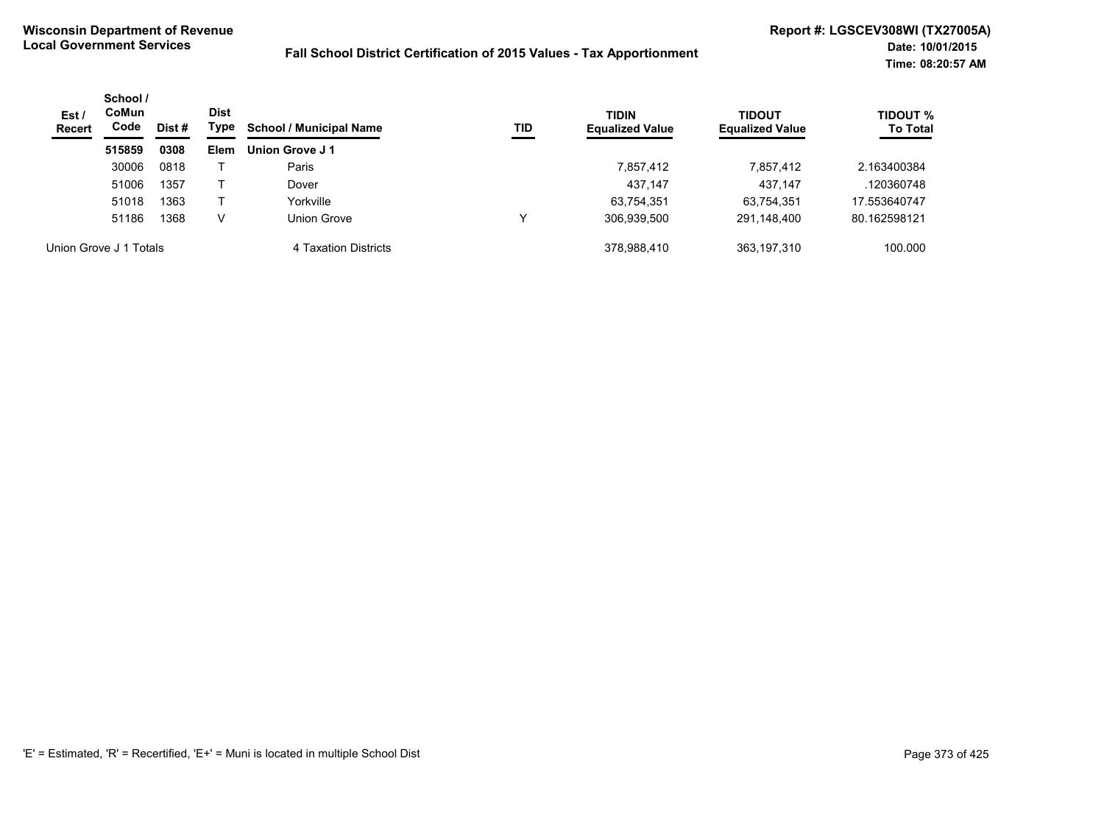| Est/<br><b>Recert</b> | School /<br><b>CoMun</b><br>Code | Dist # | <b>Dist</b><br>Type | <b>School / Municipal Name</b><br>TID | <b>TIDIN</b><br><b>Equalized Value</b> | <b>TIDOUT</b><br><b>Equalized Value</b> | <b>TIDOUT %</b><br><b>To Total</b> |              |
|-----------------------|----------------------------------|--------|---------------------|---------------------------------------|----------------------------------------|-----------------------------------------|------------------------------------|--------------|
|                       | 515859                           | 0308   | <b>Elem</b>         | Union Grove J1                        |                                        |                                         |                                    |              |
|                       | 30006                            | 0818   |                     | Paris                                 |                                        | 7,857,412                               | 7,857,412                          | 2.163400384  |
|                       | 51006                            | 1357   |                     | Dover                                 |                                        | 437,147                                 | 437,147                            | .120360748   |
|                       | 51018                            | 1363   |                     | Yorkville                             |                                        | 63,754,351                              | 63,754,351                         | 17.553640747 |
|                       | 51186                            | 1368   | v                   | Union Grove                           | $\checkmark$                           | 306,939,500                             | 291,148,400                        | 80.162598121 |
|                       | Union Grove J 1 Totals           |        |                     | 4 Taxation Districts                  |                                        | 378.988.410                             | 363.197.310                        | 100.000      |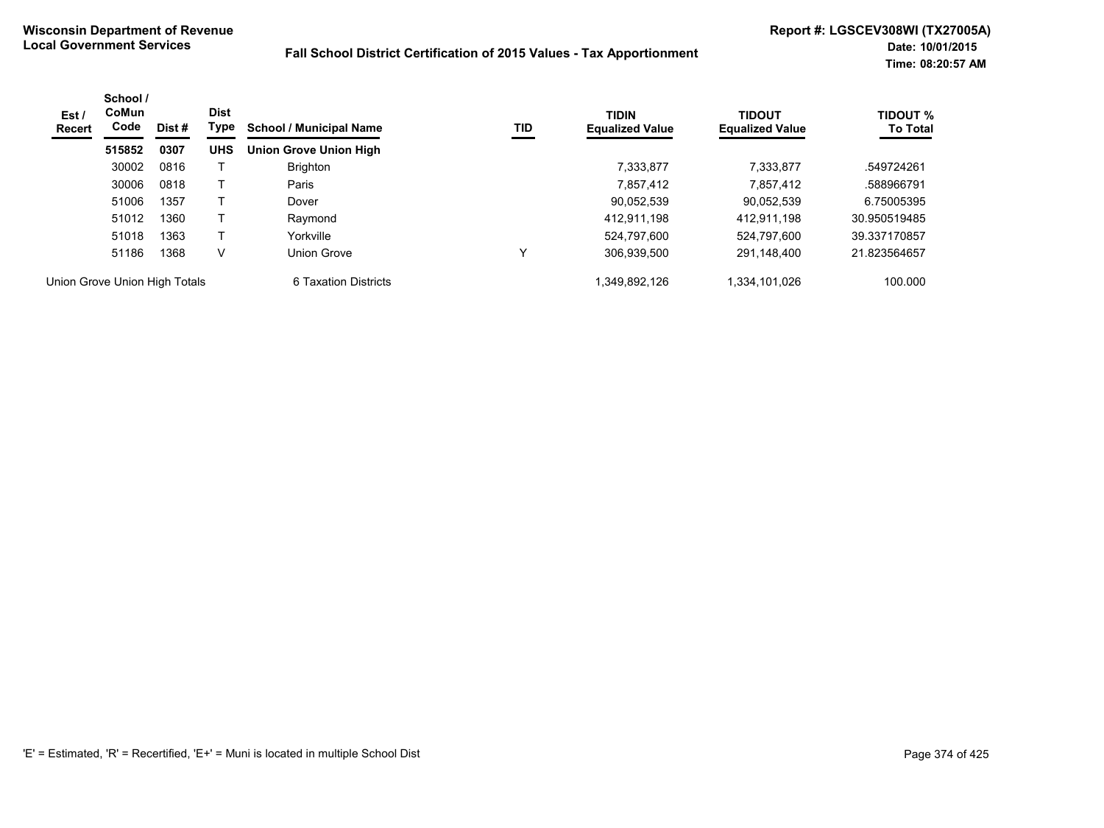| Est /<br>Recert               | School /<br>CoMun<br>Code | Dist # | <b>Dist</b><br>Type | <b>School / Municipal Name</b> | TID | <b>TIDIN</b><br><b>Equalized Value</b> | <b>TIDOUT</b><br><b>Equalized Value</b> | <b>TIDOUT %</b><br><b>To Total</b> |
|-------------------------------|---------------------------|--------|---------------------|--------------------------------|-----|----------------------------------------|-----------------------------------------|------------------------------------|
|                               | 515852                    | 0307   | <b>UHS</b>          | <b>Union Grove Union High</b>  |     |                                        |                                         |                                    |
|                               | 30002                     | 0816   |                     | <b>Brighton</b>                |     | 7.333.877                              | 7.333.877                               | .549724261                         |
|                               | 30006                     | 0818   |                     | Paris                          |     | 7,857,412                              | 7,857,412                               | .588966791                         |
|                               | 51006                     | 1357   |                     | Dover                          |     | 90,052,539                             | 90,052,539                              | 6.75005395                         |
|                               | 51012                     | 1360   |                     | Raymond                        |     | 412.911.198                            | 412,911,198                             | 30.950519485                       |
|                               | 51018                     | 1363   |                     | Yorkville                      |     | 524.797.600                            | 524.797.600                             | 39.337170857                       |
|                               | 51186                     | 1368   | V                   | Union Grove                    | v   | 306,939,500                            | 291,148,400                             | 21.823564657                       |
| Union Grove Union High Totals |                           |        |                     | 6 Taxation Districts           |     | 1,349,892,126                          | 1,334,101,026                           | 100.000                            |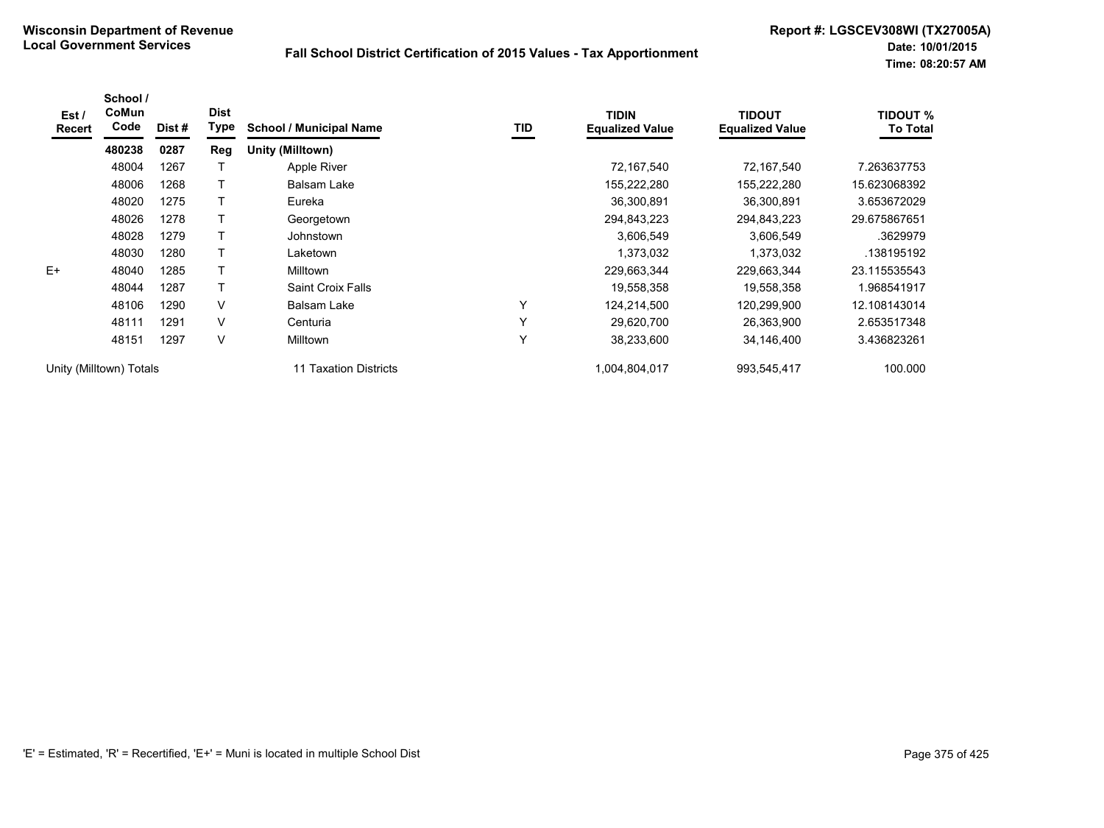| Est /<br><b>Recert</b> | School /<br>CoMun<br>Code | Dist # | <b>Dist</b><br>Type | <b>School / Municipal Name</b> | TID          | <b>TIDIN</b><br><b>Equalized Value</b> | <b>TIDOUT</b><br><b>Equalized Value</b> | <b>TIDOUT %</b><br><b>To Total</b> |
|------------------------|---------------------------|--------|---------------------|--------------------------------|--------------|----------------------------------------|-----------------------------------------|------------------------------------|
|                        | 480238                    | 0287   | Reg                 | Unity (Milltown)               |              |                                        |                                         |                                    |
|                        | 48004                     | 1267   |                     | Apple River                    |              | 72,167,540                             | 72,167,540                              | 7.263637753                        |
|                        | 48006                     | 1268   |                     | Balsam Lake                    |              | 155,222,280                            | 155,222,280                             | 15.623068392                       |
|                        | 48020                     | 1275   |                     | Eureka                         |              | 36,300,891                             | 36,300,891                              | 3.653672029                        |
|                        | 48026                     | 1278   |                     | Georgetown                     |              | 294,843,223                            | 294,843,223                             | 29.675867651                       |
|                        | 48028                     | 1279   |                     | Johnstown                      |              | 3,606,549                              | 3,606,549                               | .3629979                           |
|                        | 48030                     | 1280   |                     | Laketown                       |              | 1,373,032                              | 1,373,032                               | .138195192                         |
| $E+$                   | 48040                     | 1285   |                     | Milltown                       |              | 229,663,344                            | 229,663,344                             | 23.115535543                       |
|                        | 48044                     | 1287   |                     | Saint Croix Falls              |              | 19,558,358                             | 19,558,358                              | 1.968541917                        |
|                        | 48106                     | 1290   | $\vee$              | Balsam Lake                    | $\checkmark$ | 124,214,500                            | 120,299,900                             | 12.108143014                       |
|                        | 48111                     | 1291   | V                   | Centuria                       | $\checkmark$ | 29,620,700                             | 26,363,900                              | 2.653517348                        |
|                        | 48151                     | 1297   | $\vee$              | <b>Milltown</b>                | $\checkmark$ | 38,233,600                             | 34,146,400                              | 3.436823261                        |
|                        | Unity (Milltown) Totals   |        |                     | Taxation Districts             |              | 1,004,804,017                          | 993,545,417                             | 100.000                            |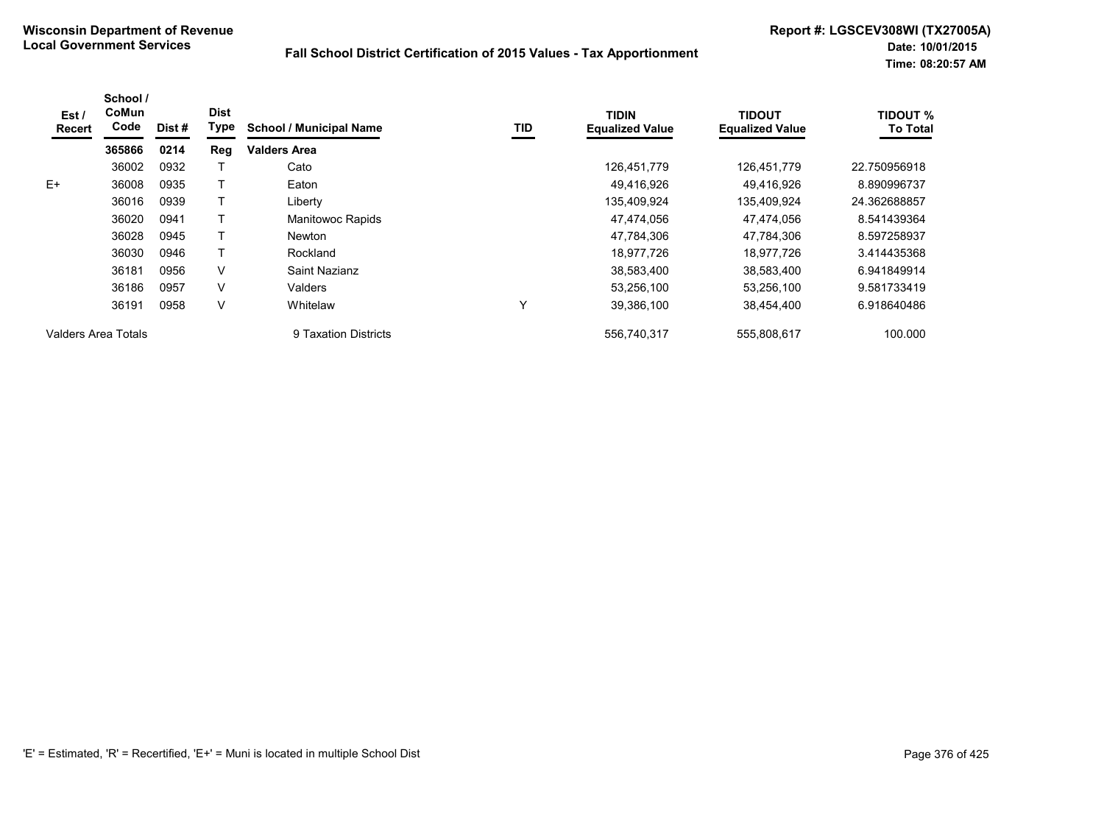| Est /         | School /<br>CoMun<br>Code |       | <b>Dist</b> |                                |     | <b>TIDIN</b>           | <b>TIDOUT</b>          | <b>TIDOUT %</b> |
|---------------|---------------------------|-------|-------------|--------------------------------|-----|------------------------|------------------------|-----------------|
| <b>Recert</b> |                           | Dist# | Type        | <b>School / Municipal Name</b> | TID | <b>Equalized Value</b> | <b>Equalized Value</b> | <b>To Total</b> |
|               | 365866                    | 0214  | Reg         | <b>Valders Area</b>            |     |                        |                        |                 |
|               | 36002                     | 0932  |             | Cato                           |     | 126.451.779            | 126.451.779            | 22.750956918    |
| E+            | 36008                     | 0935  |             | Eaton                          |     | 49,416,926             | 49.416.926             | 8.890996737     |
|               | 36016                     | 0939  |             | Liberty                        |     | 135,409,924            | 135,409,924            | 24.362688857    |
|               | 36020                     | 0941  |             | <b>Manitowoc Rapids</b>        |     | 47.474.056             | 47.474.056             | 8.541439364     |
|               | 36028                     | 0945  |             | <b>Newton</b>                  |     | 47,784,306             | 47,784,306             | 8.597258937     |
|               | 36030                     | 0946  |             | Rockland                       |     | 18,977,726             | 18,977,726             | 3.414435368     |
|               | 36181                     | 0956  | V           | Saint Nazianz                  |     | 38,583,400             | 38,583,400             | 6.941849914     |
|               | 36186                     | 0957  | V           | Valders                        |     | 53,256,100             | 53,256,100             | 9.581733419     |
|               | 36191                     | 0958  | V           | Whitelaw                       | Y   | 39,386,100             | 38,454,400             | 6.918640486     |
|               | Valders Area Totals       |       |             | 9 Taxation Districts           |     | 556.740.317            | 555.808.617            | 100.000         |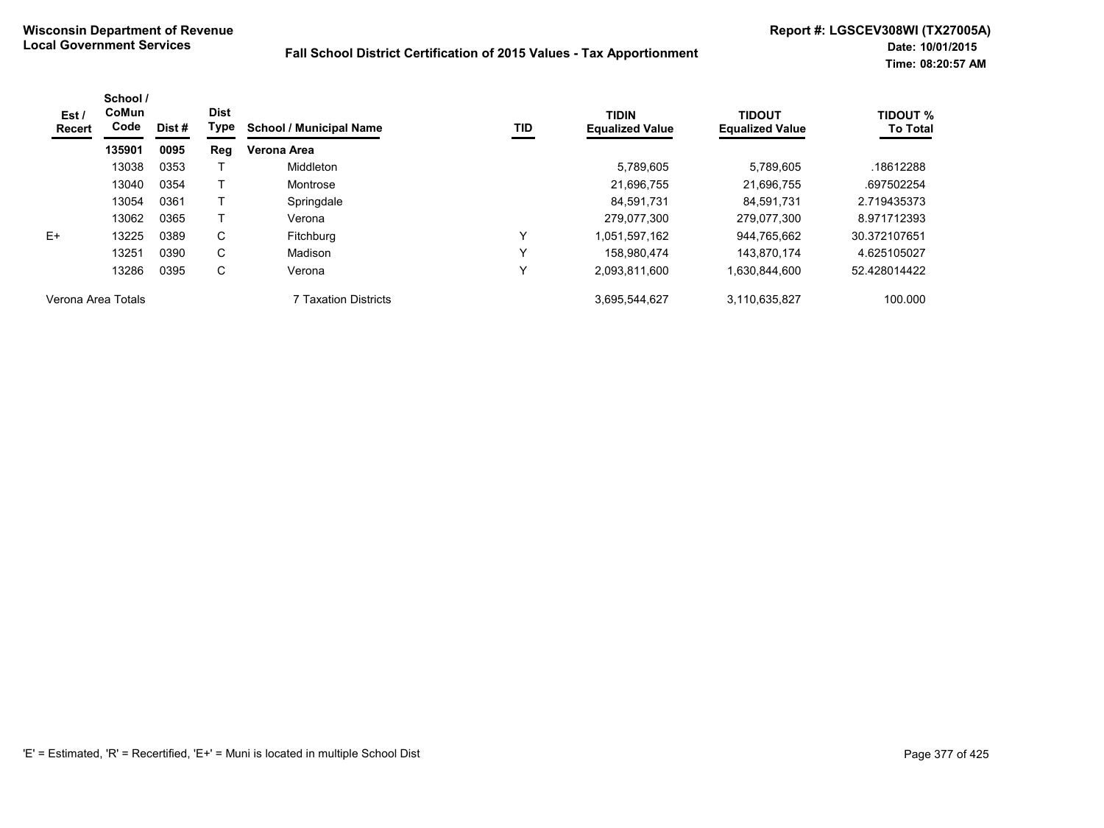| Est /<br><b>Recert</b> | School /<br><b>CoMun</b><br>Code | Dist # | <b>Dist</b><br>Type | <b>School / Municipal Name</b> | TID | <b>TIDIN</b><br><b>Equalized Value</b> | <b>TIDOUT</b><br><b>Equalized Value</b> | <b>TIDOUT %</b><br><b>To Total</b> |
|------------------------|----------------------------------|--------|---------------------|--------------------------------|-----|----------------------------------------|-----------------------------------------|------------------------------------|
|                        | 135901                           | 0095   | Reg                 | Verona Area                    |     |                                        |                                         |                                    |
|                        | 13038                            | 0353   |                     | Middleton                      |     | 5.789.605                              | 5,789,605                               | .18612288                          |
|                        | 13040                            | 0354   |                     | Montrose                       |     | 21,696,755                             | 21,696,755                              | .697502254                         |
|                        | 13054                            | 0361   |                     | Springdale                     |     | 84.591.731                             | 84.591.731                              | 2.719435373                        |
|                        | 13062                            | 0365   |                     | Verona                         |     | 279.077.300                            | 279.077.300                             | 8.971712393                        |
| E+                     | 13225                            | 0389   | C                   | Fitchburg                      | v   | .051.597.162                           | 944,765,662                             | 30.372107651                       |
|                        | 13251                            | 0390   | C                   | Madison                        | ν   | 158.980.474                            | 143,870,174                             | 4.625105027                        |
|                        | 13286                            | 0395   | С                   | Verona                         |     | 2,093,811,600                          | 1,630,844,600                           | 52.428014422                       |
| Verona Area Totals     |                                  |        |                     | <b>7 Taxation Districts</b>    |     | 3,695,544,627                          | 3,110,635,827                           | 100.000                            |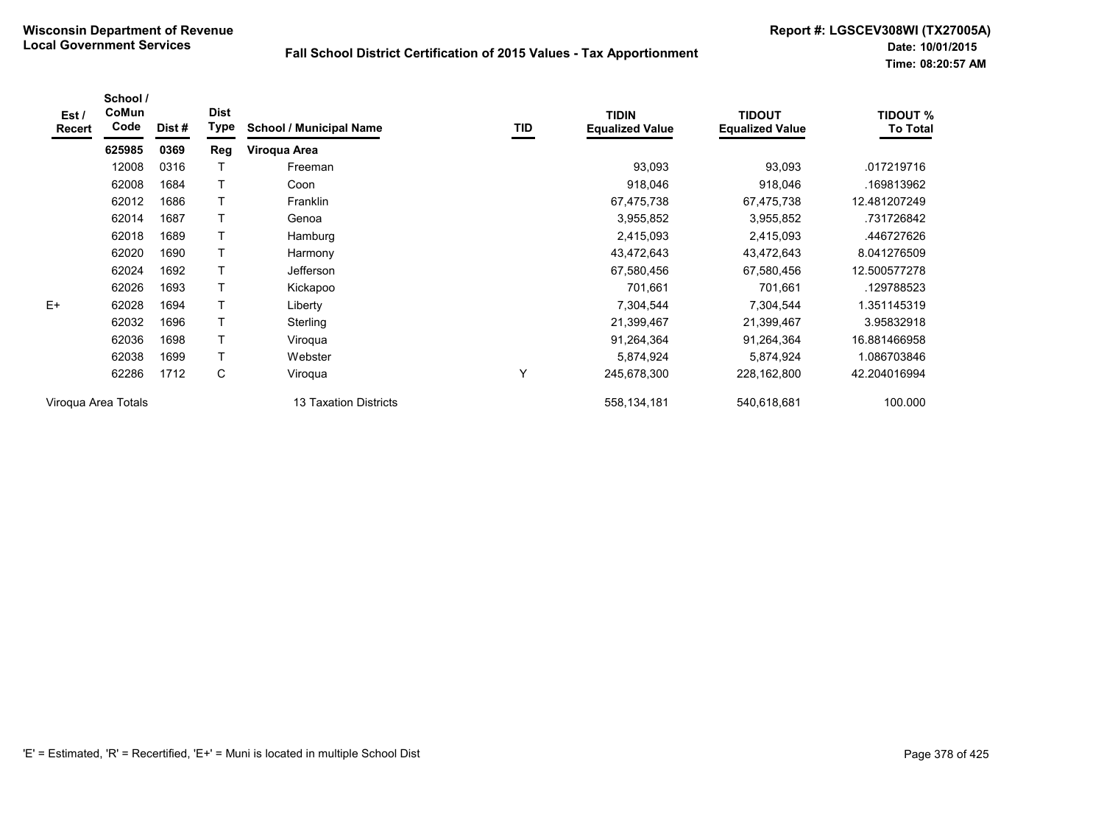| Est /<br>Recert     | School /<br>CoMun<br>Code | Dist # | <b>Dist</b><br>Type | <b>School / Municipal Name</b> | TID | <b>TIDIN</b><br><b>Equalized Value</b> | <b>TIDOUT</b><br><b>Equalized Value</b> | <b>TIDOUT %</b><br><b>To Total</b> |
|---------------------|---------------------------|--------|---------------------|--------------------------------|-----|----------------------------------------|-----------------------------------------|------------------------------------|
|                     | 625985                    | 0369   | Reg                 | Viroqua Area                   |     |                                        |                                         |                                    |
|                     | 12008                     | 0316   |                     | Freeman                        |     | 93,093                                 | 93,093                                  | .017219716                         |
|                     | 62008                     | 1684   |                     | Coon                           |     | 918,046                                | 918,046                                 | .169813962                         |
|                     | 62012                     | 1686   |                     | Franklin                       |     | 67,475,738                             | 67,475,738                              | 12.481207249                       |
|                     | 62014                     | 1687   |                     | Genoa                          |     | 3,955,852                              | 3,955,852                               | .731726842                         |
|                     | 62018                     | 1689   |                     | Hamburg                        |     | 2,415,093                              | 2,415,093                               | .446727626                         |
|                     | 62020                     | 1690   | T                   | Harmony                        |     | 43,472,643                             | 43,472,643                              | 8.041276509                        |
|                     | 62024                     | 1692   |                     | Jefferson                      |     | 67,580,456                             | 67,580,456                              | 12.500577278                       |
|                     | 62026                     | 1693   |                     | Kickapoo                       |     | 701,661                                | 701,661                                 | .129788523                         |
| $E+$                | 62028                     | 1694   | Τ                   | Liberty                        |     | 7,304,544                              | 7,304,544                               | 1.351145319                        |
|                     | 62032                     | 1696   |                     | Sterling                       |     | 21,399,467                             | 21,399,467                              | 3.95832918                         |
|                     | 62036                     | 1698   |                     | Viroqua                        |     | 91,264,364                             | 91,264,364                              | 16.881466958                       |
|                     | 62038                     | 1699   | T                   | Webster                        |     | 5,874,924                              | 5,874,924                               | 1.086703846                        |
|                     | 62286                     | 1712   | С                   | Viroqua                        | Υ   | 245,678,300                            | 228,162,800                             | 42.204016994                       |
| Virogua Area Totals |                           |        |                     | 13 Taxation Districts          |     | 558,134,181                            | 540,618,681                             | 100.000                            |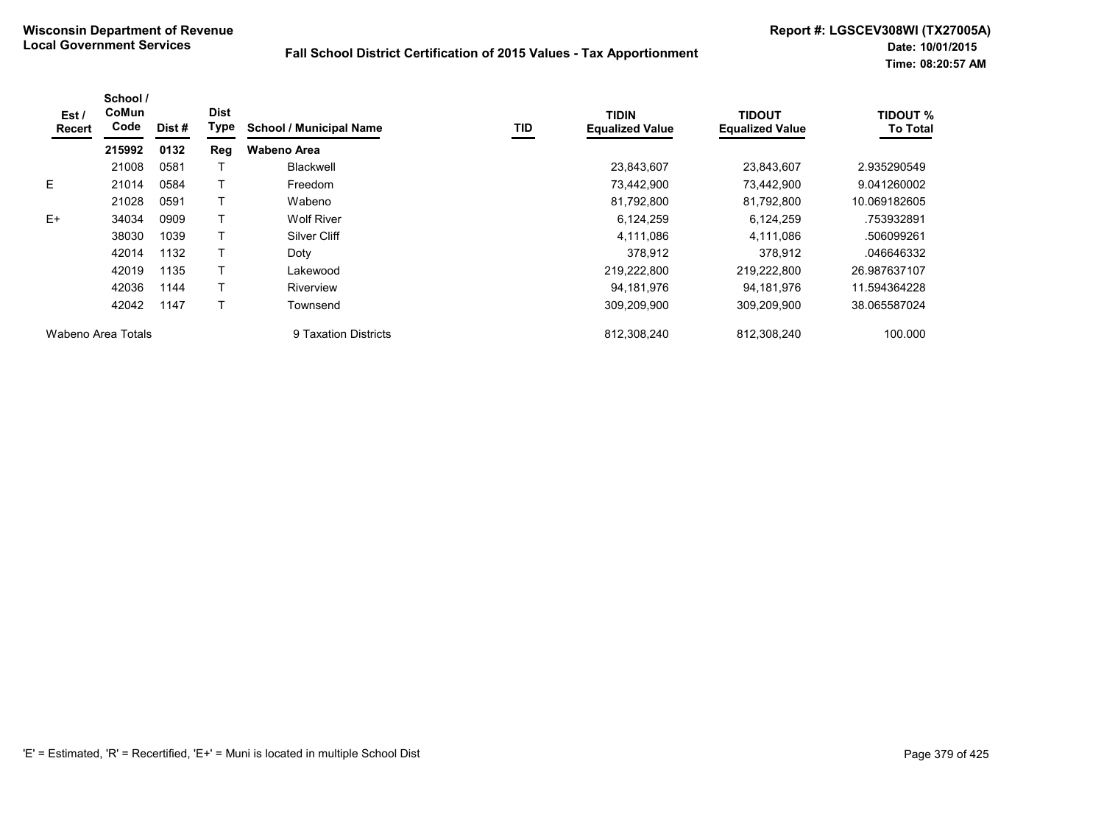| Est/<br><b>Recert</b> | School /<br>CoMun<br>Code | Dist# | <b>Dist</b><br>Type | <b>School / Municipal Name</b> | TID | <b>TIDIN</b><br><b>Equalized Value</b> | <b>TIDOUT</b><br><b>Equalized Value</b> | <b>TIDOUT %</b><br><b>To Total</b> |
|-----------------------|---------------------------|-------|---------------------|--------------------------------|-----|----------------------------------------|-----------------------------------------|------------------------------------|
|                       | 215992                    | 0132  | Reg                 | <b>Wabeno Area</b>             |     |                                        |                                         |                                    |
|                       | 21008                     | 0581  |                     | <b>Blackwell</b>               |     | 23,843,607                             | 23,843,607                              | 2.935290549                        |
| E.                    | 21014                     | 0584  |                     | Freedom                        |     | 73,442,900                             | 73,442,900                              | 9.041260002                        |
|                       | 21028                     | 0591  |                     | Wabeno                         |     | 81,792,800                             | 81,792,800                              | 10.069182605                       |
| $E+$                  | 34034                     | 0909  |                     | <b>Wolf River</b>              |     | 6,124,259                              | 6,124,259                               | .753932891                         |
|                       | 38030                     | 1039  |                     | Silver Cliff                   |     | 4,111,086                              | 4,111,086                               | .506099261                         |
|                       | 42014                     | 1132  |                     | Doty                           |     | 378,912                                | 378,912                                 | .046646332                         |
|                       | 42019                     | 1135  |                     | Lakewood                       |     | 219,222,800                            | 219,222,800                             | 26.987637107                       |
|                       | 42036                     | 1144  |                     | Riverview                      |     | 94.181.976                             | 94,181,976                              | 11.594364228                       |
|                       | 42042                     | 1147  |                     | Townsend                       |     | 309,209,900                            | 309,209,900                             | 38.065587024                       |
|                       | Wabeno Area Totals        |       |                     | 9 Taxation Districts           |     | 812,308,240                            | 812.308.240                             | 100.000                            |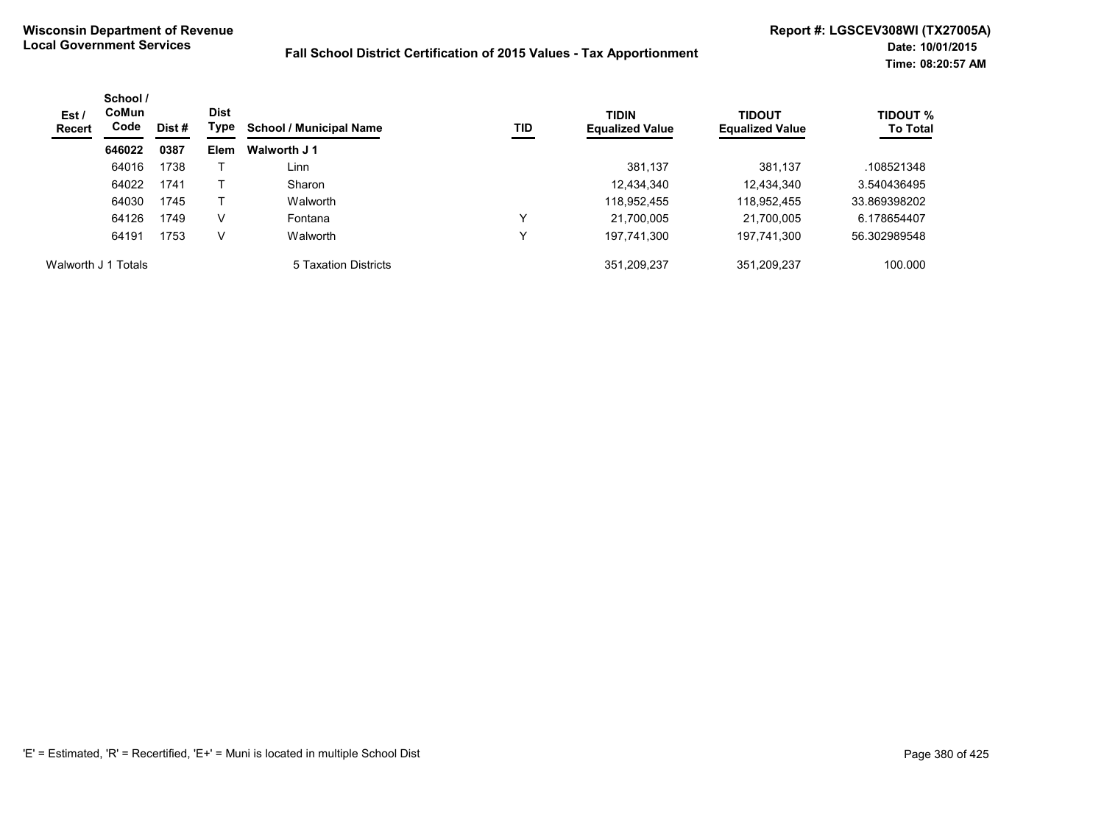| Est/<br>Recert      | School /<br><b>CoMun</b><br>Code | Dist # | <b>Dist</b><br>Type | <b>School / Municipal Name</b> | TID | <b>TIDIN</b><br><b>Equalized Value</b> | <b>TIDOUT</b><br><b>Equalized Value</b> | <b>TIDOUT %</b><br><b>To Total</b> |
|---------------------|----------------------------------|--------|---------------------|--------------------------------|-----|----------------------------------------|-----------------------------------------|------------------------------------|
|                     | 646022                           | 0387   | Elem                | Walworth J 1                   |     |                                        |                                         |                                    |
|                     | 64016                            | 1738   |                     | Linn                           |     | 381,137                                | 381,137                                 | .108521348                         |
|                     | 64022                            | 1741   |                     | Sharon                         |     | 12,434,340                             | 12,434,340                              | 3.540436495                        |
|                     | 64030                            | 1745   |                     | Walworth                       |     | 118,952,455                            | 118,952,455                             | 33.869398202                       |
|                     | 64126                            | 1749   | V                   | Fontana                        | ν   | 21.700.005                             | 21,700,005                              | 6.178654407                        |
|                     | 64191                            | 1753   | V                   | Walworth                       | ν   | 197,741,300                            | 197,741,300                             | 56.302989548                       |
| Walworth J 1 Totals |                                  |        |                     | 5 Taxation Districts           |     | 351.209.237                            | 351.209.237                             | 100.000                            |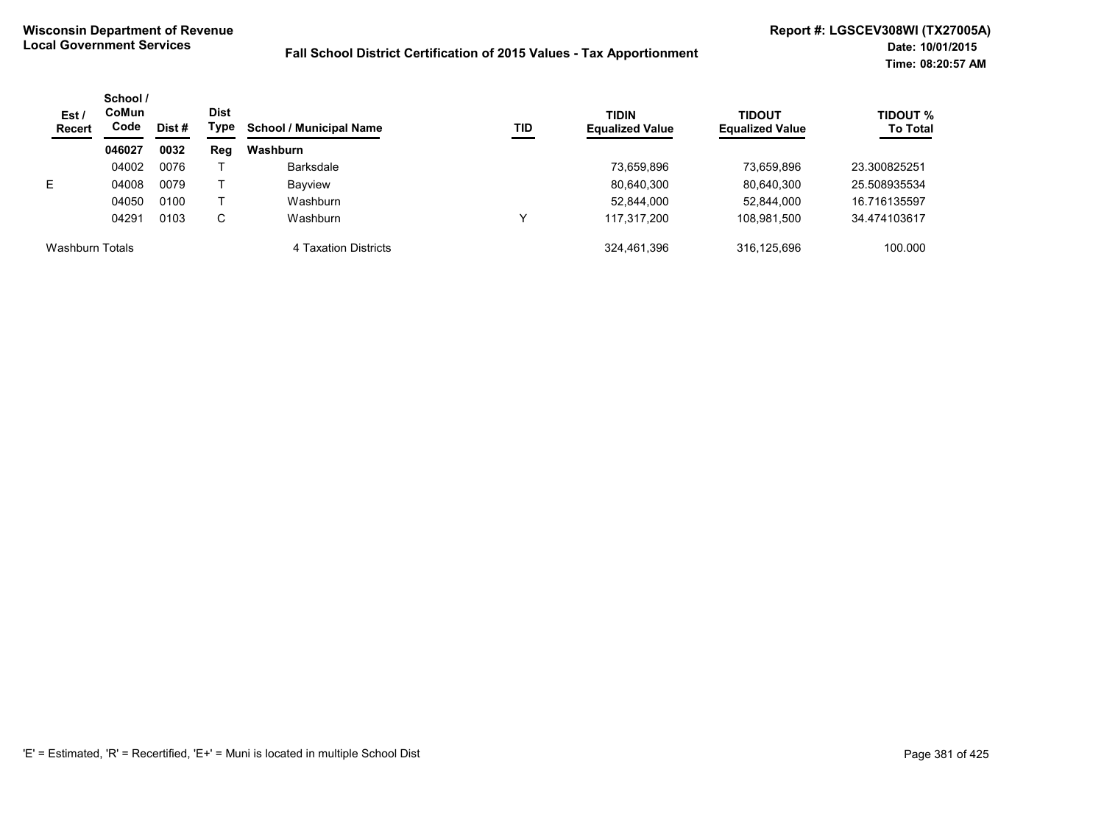| Est /<br><b>Recert</b> | School /<br>CoMun<br>Code | Dist # | <b>Dist</b><br>Type | <b>School / Municipal Name</b> | TID | <b>TIDIN</b><br><b>Equalized Value</b> | <b>TIDOUT</b><br><b>Equalized Value</b> | <b>TIDOUT %</b><br><b>To Total</b> |
|------------------------|---------------------------|--------|---------------------|--------------------------------|-----|----------------------------------------|-----------------------------------------|------------------------------------|
|                        | 046027                    | 0032   | Reg                 | Washburn                       |     |                                        |                                         |                                    |
|                        | 04002                     | 0076   |                     | <b>Barksdale</b>               |     | 73,659,896                             | 73.659.896                              | 23.300825251                       |
| E.                     | 04008                     | 0079   |                     | <b>Bayview</b>                 |     | 80,640,300                             | 80,640,300                              | 25.508935534                       |
|                        | 04050                     | 0100   |                     | Washburn                       |     | 52,844,000                             | 52,844,000                              | 16.716135597                       |
|                        | 04291                     | 0103   | С                   | Washburn                       |     | 117.317.200                            | 108.981.500                             | 34.474103617                       |
| <b>Washburn Totals</b> |                           |        |                     | 4 Taxation Districts           |     | 324.461.396                            | 316.125.696                             | 100.000                            |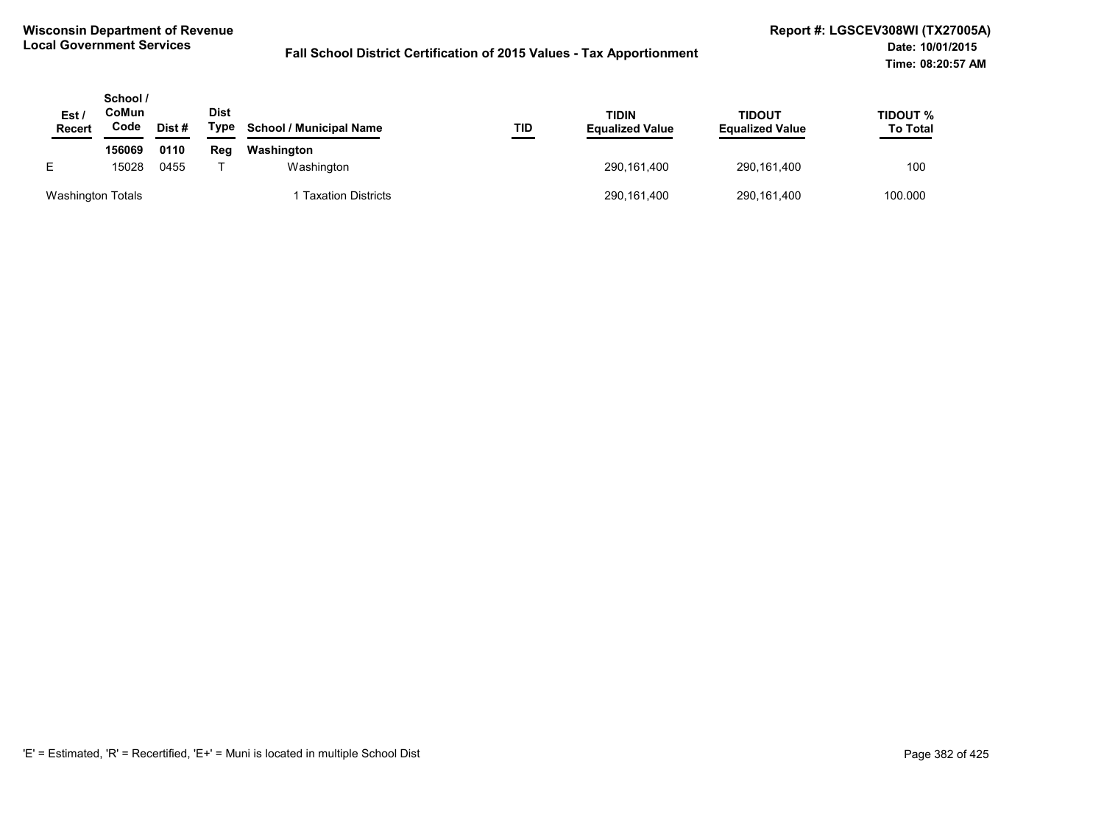| Est.<br><b>Recert</b>    | School /<br>CoMun<br>Code | Dist# | <b>Dist</b><br>Type | <b>School / Municipal Name</b> | TID | <b>TIDIN</b><br><b>Equalized Value</b> | TIDOUT<br><b>Equalized Value</b> | TIDOUT %<br><b>To Total</b> |
|--------------------------|---------------------------|-------|---------------------|--------------------------------|-----|----------------------------------------|----------------------------------|-----------------------------|
|                          | 156069                    | 0110  | Reg                 | Washington                     |     |                                        |                                  |                             |
| E                        | 15028                     | 0455  |                     | Washington                     |     | 290,161,400                            | 290,161,400                      | 100                         |
| <b>Washington Totals</b> |                           |       |                     | Taxation Districts             |     | 290,161,400                            | 290,161,400                      | 100.000                     |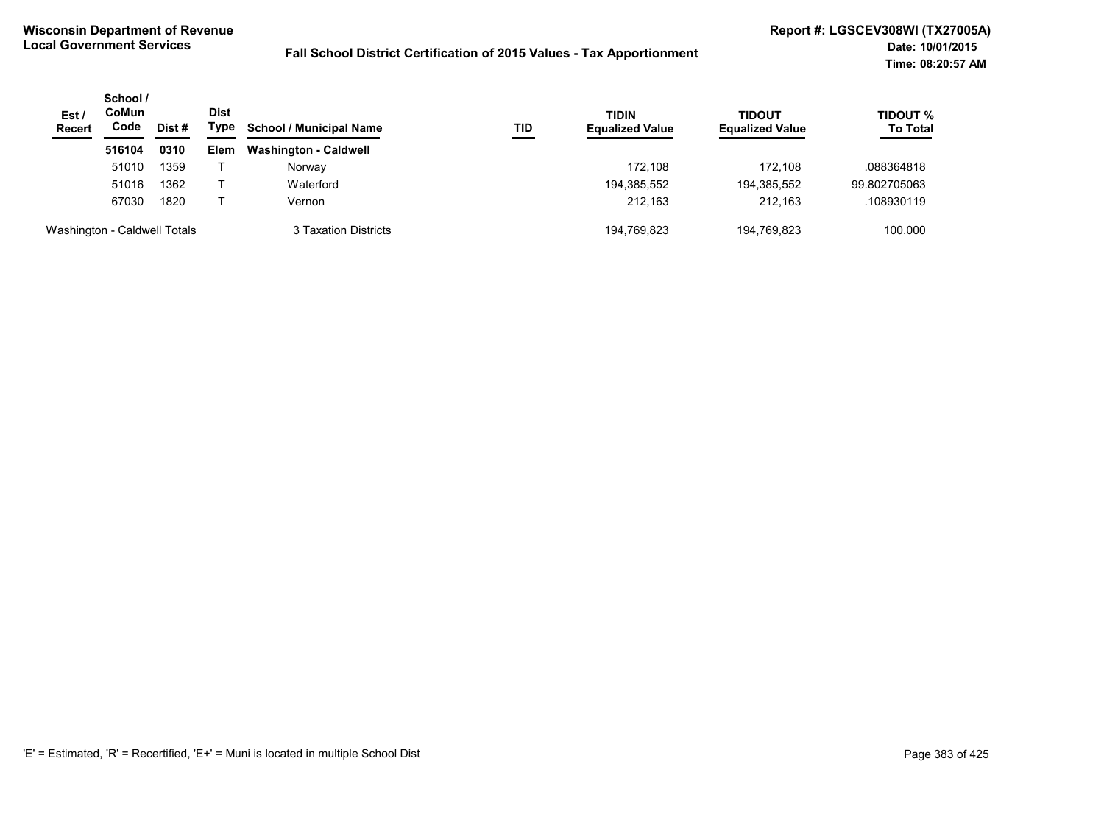| Est/<br><b>Recert</b>        | School /<br><b>CoMun</b><br>Code | Dist# | Dist<br>Type | <b>School / Municipal Name</b> | TID | <b>TIDIN</b><br><b>Equalized Value</b> | TIDOUT<br><b>Equalized Value</b> | <b>TIDOUT %</b><br><b>To Total</b> |
|------------------------------|----------------------------------|-------|--------------|--------------------------------|-----|----------------------------------------|----------------------------------|------------------------------------|
|                              | 516104                           | 0310  | Elem         | <b>Washington - Caldwell</b>   |     |                                        |                                  |                                    |
|                              | 51010                            | 1359  |              | Norway                         |     | 172.108                                | 172.108                          | .088364818                         |
|                              | 51016                            | 1362  |              | Waterford                      |     | 194,385,552                            | 194,385,552                      | 99.802705063                       |
|                              | 67030                            | 1820  |              | Vernon                         |     | 212.163                                | 212.163                          | .108930119                         |
| Washington - Caldwell Totals |                                  |       |              | 3 Taxation Districts           |     | 194,769,823                            | 194,769,823                      | 100.000                            |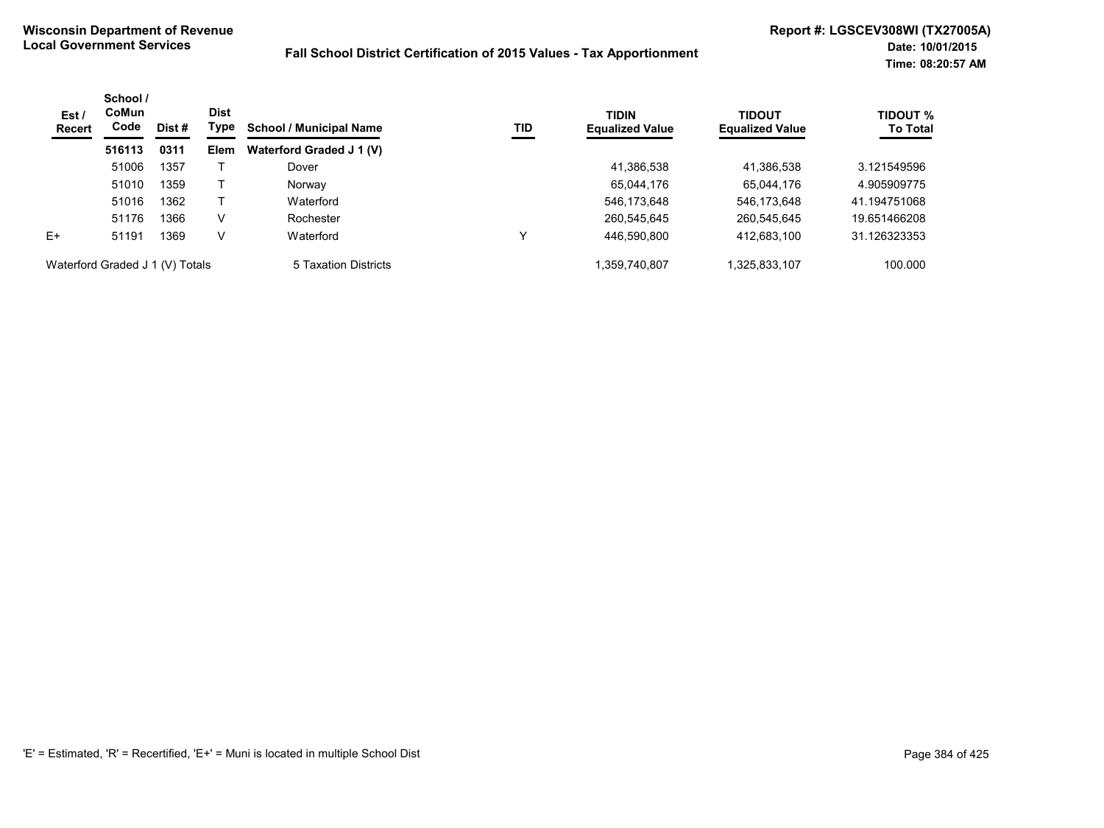| Est /<br><b>Recert</b>          | School /<br>CoMun<br>Code | Dist # | <b>Dist</b><br>Type | <b>School / Municipal Name</b> | TID | <b>TIDIN</b><br><b>Equalized Value</b> | <b>TIDOUT</b><br><b>Equalized Value</b> | <b>TIDOUT %</b><br><b>To Total</b> |
|---------------------------------|---------------------------|--------|---------------------|--------------------------------|-----|----------------------------------------|-----------------------------------------|------------------------------------|
|                                 | 516113                    | 0311   | Elem                | Waterford Graded J 1 (V)       |     |                                        |                                         |                                    |
|                                 | 51006                     | 1357   |                     | Dover                          |     | 41,386,538                             | 41,386,538                              | 3.121549596                        |
|                                 | 51010                     | 1359   |                     | Norway                         |     | 65,044,176                             | 65,044,176                              | 4.905909775                        |
|                                 | 51016                     | 1362   |                     | Waterford                      |     | 546,173,648                            | 546,173,648                             | 41.194751068                       |
|                                 | 51176                     | 1366   | V                   | Rochester                      |     | 260,545,645                            | 260,545,645                             | 19.651466208                       |
| $E+$                            | 51191                     | 1369   | V                   | Waterford                      |     | 446,590,800                            | 412,683,100                             | 31.126323353                       |
| Waterford Graded J 1 (V) Totals |                           |        |                     | 5 Taxation Districts           |     | .359.740.807                           | 1,325,833,107                           | 100.000                            |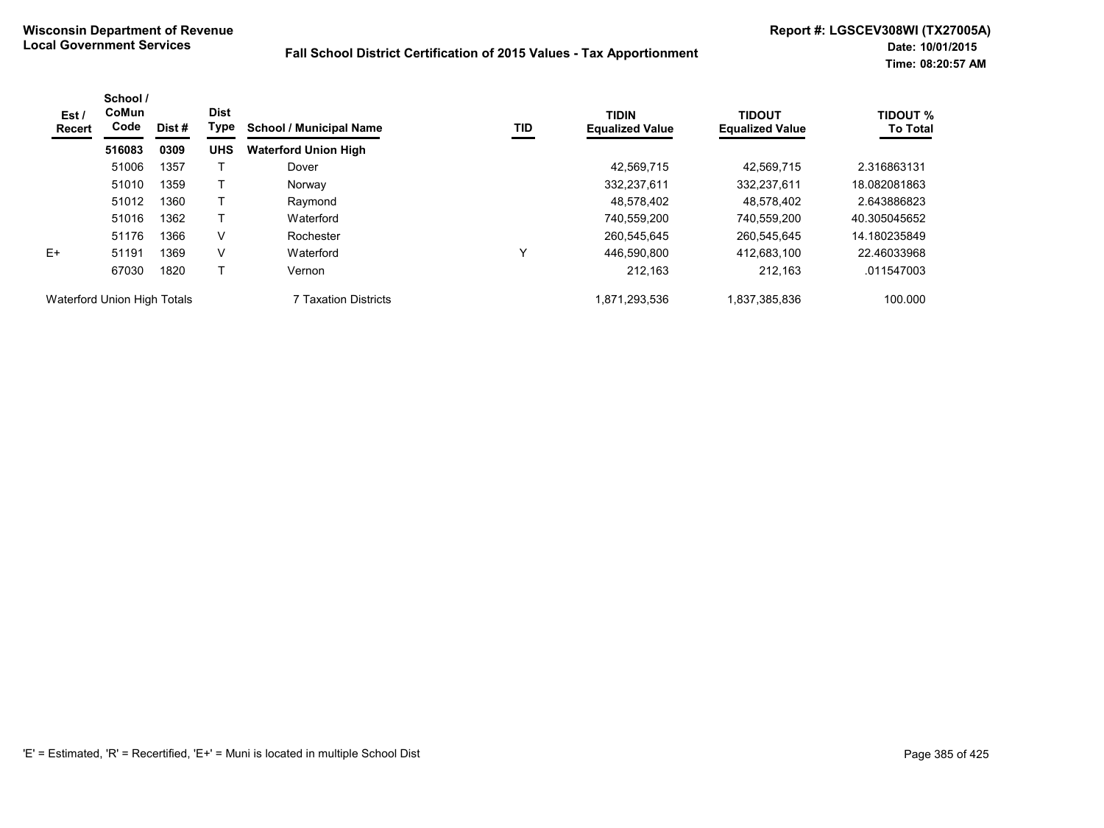| Est /<br><b>Recert</b>      | School /<br>CoMun<br>Code | <b>Dist</b><br><b>Type</b><br>Dist# | <b>School / Municipal Name</b> | TID                         | <b>TIDIN</b><br><b>Equalized Value</b> | <b>TIDOUT</b><br><b>Equalized Value</b> | TIDOUT %<br><b>To Total</b> |              |
|-----------------------------|---------------------------|-------------------------------------|--------------------------------|-----------------------------|----------------------------------------|-----------------------------------------|-----------------------------|--------------|
|                             | 516083                    | 0309                                | <b>UHS</b>                     | <b>Waterford Union High</b> |                                        |                                         |                             |              |
|                             | 51006                     | 1357                                |                                | Dover                       |                                        | 42,569,715                              | 42.569.715                  | 2.316863131  |
|                             | 51010                     | 1359                                |                                | Norway                      |                                        | 332,237,611                             | 332,237,611                 | 18.082081863 |
|                             | 51012                     | 1360                                |                                | Raymond                     |                                        | 48,578,402                              | 48,578,402                  | 2.643886823  |
|                             | 51016                     | 1362                                |                                | Waterford                   |                                        | 740,559,200                             | 740.559.200                 | 40.305045652 |
|                             | 51176                     | 1366                                | V                              | Rochester                   |                                        | 260.545.645                             | 260.545.645                 | 14.180235849 |
| $E+$                        | 51191                     | 1369                                | V                              | Waterford                   | ν                                      | 446.590.800                             | 412.683.100                 | 22.46033968  |
|                             | 67030                     | 1820                                |                                | Vernon                      |                                        | 212,163                                 | 212.163                     | .011547003   |
| Waterford Union High Totals |                           |                                     |                                | <b>7 Taxation Districts</b> |                                        | 1,871,293,536                           | 1,837,385,836               | 100.000      |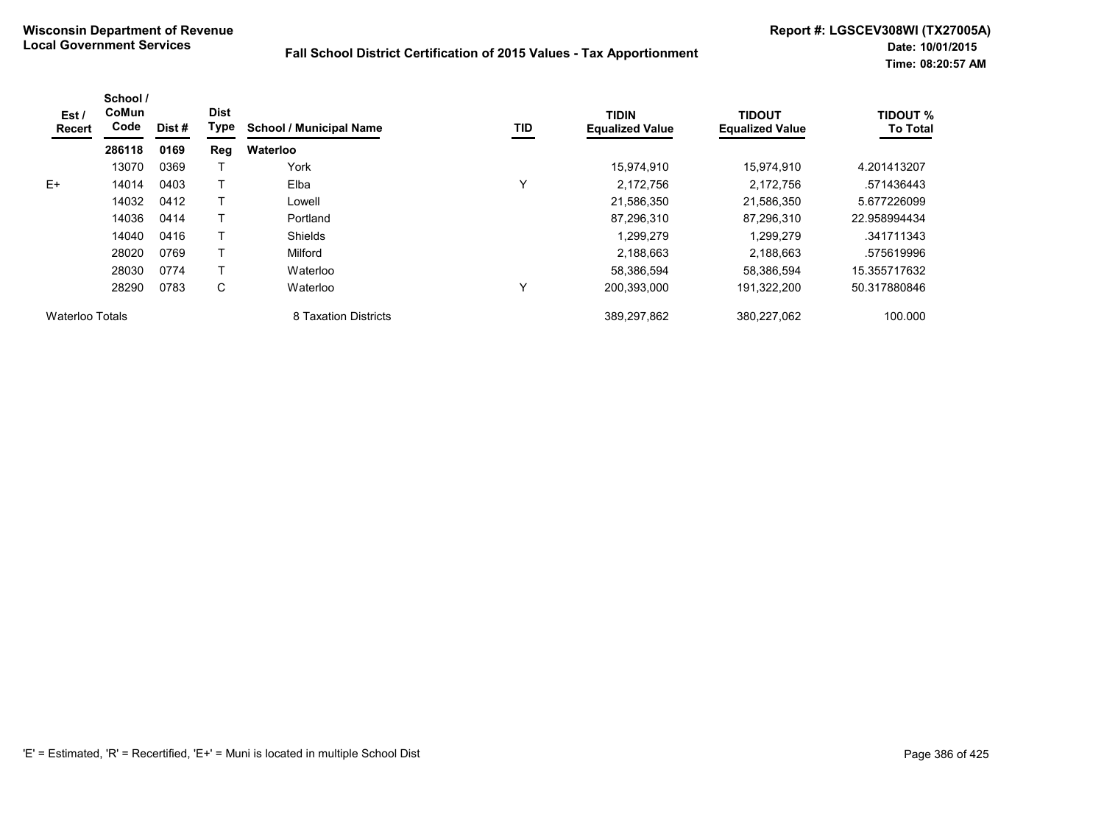| Est/<br><b>Recert</b> | School /<br>CoMun<br>Code | Dist # | <b>Dist</b><br>Type | <b>School / Municipal Name</b> | TID          | <b>TIDIN</b><br><b>Equalized Value</b> | <b>TIDOUT</b><br><b>Equalized Value</b> | <b>TIDOUT %</b><br><b>To Total</b> |
|-----------------------|---------------------------|--------|---------------------|--------------------------------|--------------|----------------------------------------|-----------------------------------------|------------------------------------|
|                       | 286118                    | 0169   | Reg                 | Waterloo                       |              |                                        |                                         |                                    |
|                       | 13070                     | 0369   |                     | York                           |              | 15,974,910                             | 15,974,910                              | 4.201413207                        |
| E+                    | 14014                     | 0403   |                     | Elba                           | $\check{ }$  | 2,172,756                              | 2,172,756                               | .571436443                         |
|                       | 14032                     | 0412   |                     | Lowell                         |              | 21,586,350                             | 21,586,350                              | 5.677226099                        |
|                       | 14036                     | 0414   |                     | Portland                       |              | 87.296.310                             | 87.296.310                              | 22.958994434                       |
|                       | 14040                     | 0416   |                     | Shields                        |              | 1.299.279                              | 1.299.279                               | .341711343                         |
|                       | 28020                     | 0769   |                     | Milford                        |              | 2,188,663                              | 2,188,663                               | .575619996                         |
|                       | 28030                     | 0774   |                     | Waterloo                       |              | 58.386.594                             | 58.386.594                              | 15.355717632                       |
|                       | 28290                     | 0783   | С                   | Waterloo                       | $\checkmark$ | 200.393.000                            | 191,322,200                             | 50.317880846                       |
| Waterloo Totals       |                           |        |                     | 8 Taxation Districts           |              | 389,297,862                            | 380,227,062                             | 100.000                            |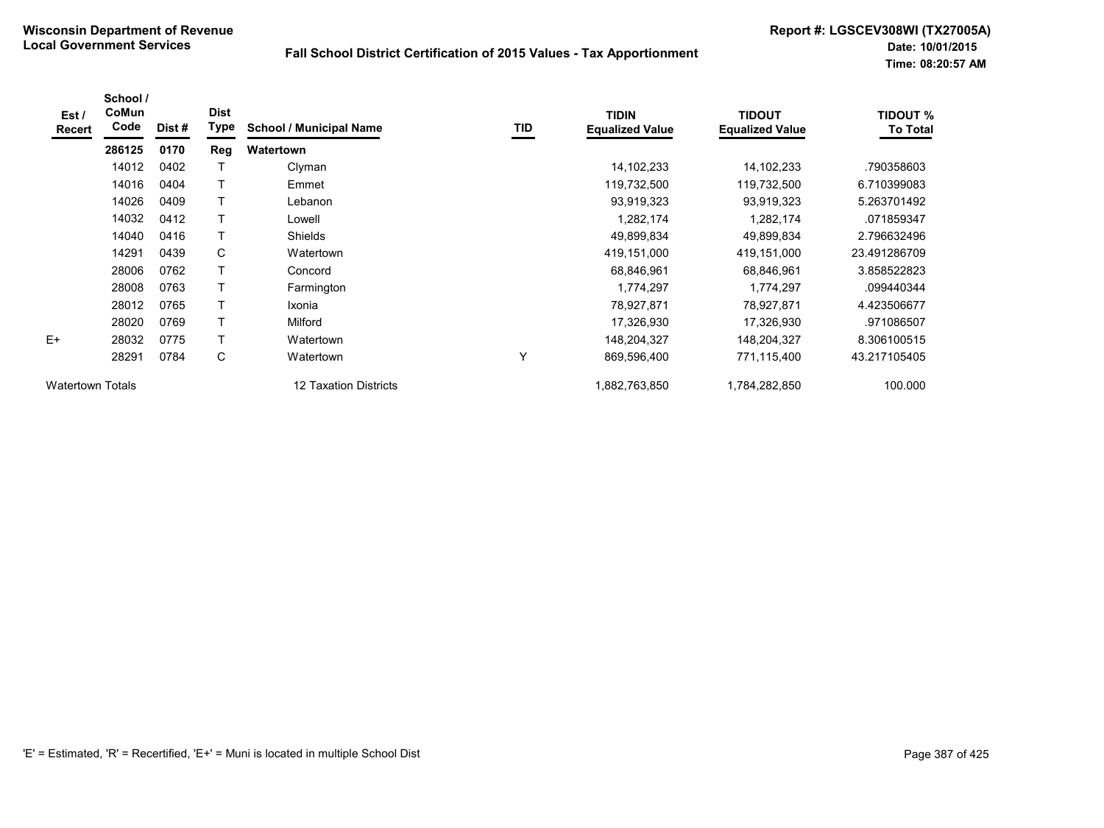| Est /<br>Recert         | School /<br>CoMun<br>Code | Dist# | <b>Dist</b><br>Type | <b>School / Municipal Name</b> | TID | <b>TIDIN</b><br><b>Equalized Value</b> | <b>TIDOUT</b><br><b>Equalized Value</b> | <b>TIDOUT %</b><br><b>To Total</b> |
|-------------------------|---------------------------|-------|---------------------|--------------------------------|-----|----------------------------------------|-----------------------------------------|------------------------------------|
|                         | 286125                    | 0170  | <b>Reg</b>          | Watertown                      |     |                                        |                                         |                                    |
|                         | 14012                     | 0402  |                     | Clyman                         |     | 14, 102, 233                           | 14, 102, 233                            | .790358603                         |
|                         | 14016                     | 0404  | T                   | Emmet                          |     | 119,732,500                            | 119,732,500                             | 6.710399083                        |
|                         | 14026                     | 0409  | T                   | Lebanon                        |     | 93,919,323                             | 93,919,323                              | 5.263701492                        |
|                         | 14032                     | 0412  |                     | Lowell                         |     | 1,282,174                              | 1,282,174                               | .071859347                         |
|                         | 14040                     | 0416  |                     | <b>Shields</b>                 |     | 49,899,834                             | 49,899,834                              | 2.796632496                        |
|                         | 14291                     | 0439  | С                   | Watertown                      |     | 419,151,000                            | 419,151,000                             | 23.491286709                       |
|                         | 28006                     | 0762  |                     | Concord                        |     | 68,846,961                             | 68.846.961                              | 3.858522823                        |
|                         | 28008                     | 0763  |                     | Farmington                     |     | 1,774,297                              | 1,774,297                               | .099440344                         |
|                         | 28012                     | 0765  | $\mathsf{T}$        | Ixonia                         |     | 78,927,871                             | 78,927,871                              | 4.423506677                        |
|                         | 28020                     | 0769  | $\mathsf{T}$        | Milford                        |     | 17,326,930                             | 17,326,930                              | .971086507                         |
| $E+$                    | 28032                     | 0775  | $\top$              | Watertown                      |     | 148,204,327                            | 148,204,327                             | 8.306100515                        |
|                         | 28291                     | 0784  | С                   | Watertown                      | v   | 869,596,400                            | 771,115,400                             | 43.217105405                       |
| <b>Watertown Totals</b> |                           |       |                     | 12 Taxation Districts          |     | 1,882,763,850                          | 1,784,282,850                           | 100.000                            |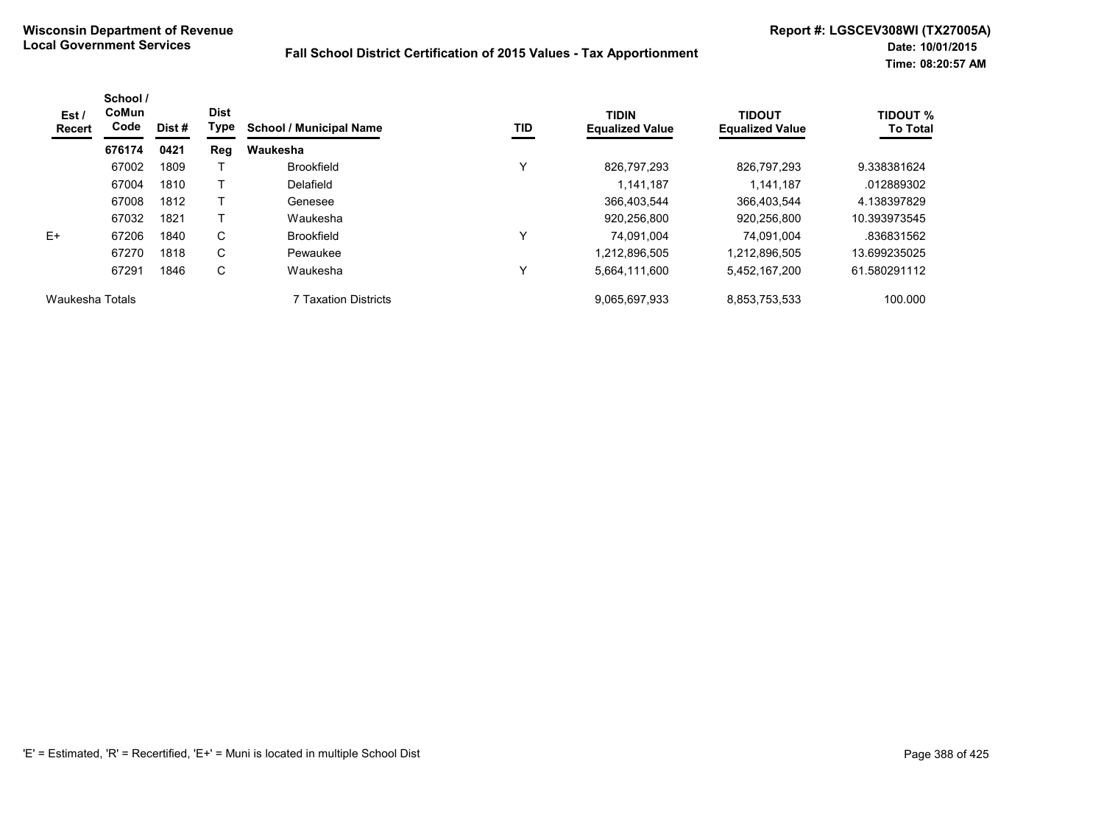| Est /<br>Recert | School /<br>CoMun<br>Code | Dist # | <b>Dist</b><br>Type | <b>School / Municipal Name</b> | TID | <b>TIDIN</b><br><b>Equalized Value</b> | <b>TIDOUT</b><br><b>Equalized Value</b> | <b>TIDOUT %</b><br><b>To Total</b> |
|-----------------|---------------------------|--------|---------------------|--------------------------------|-----|----------------------------------------|-----------------------------------------|------------------------------------|
|                 | 676174                    | 0421   | Reg                 | Waukesha                       |     |                                        |                                         |                                    |
|                 | 67002                     | 1809   |                     | <b>Brookfield</b>              | v   | 826.797.293                            | 826.797.293                             | 9.338381624                        |
|                 | 67004                     | 1810   |                     | Delafield                      |     | 1.141.187                              | 1.141.187                               | .012889302                         |
|                 | 67008                     | 1812   |                     | Genesee                        |     | 366,403,544                            | 366,403,544                             | 4.138397829                        |
|                 | 67032                     | 1821   |                     | Waukesha                       |     | 920,256,800                            | 920,256,800                             | 10.393973545                       |
| $F+$            | 67206                     | 1840   | C                   | <b>Brookfield</b>              | v   | 74.091.004                             | 74.091.004                              | .836831562                         |
|                 | 67270                     | 1818   | C                   | Pewaukee                       |     | 1,212,896,505                          | 1,212,896,505                           | 13.699235025                       |
|                 | 67291                     | 1846   | C                   | Waukesha                       | v   | 5,664,111,600                          | 5,452,167,200                           | 61.580291112                       |
| Waukesha Totals |                           |        |                     | 7 Taxation Districts           |     | 9,065,697,933                          | 8,853,753,533                           | 100.000                            |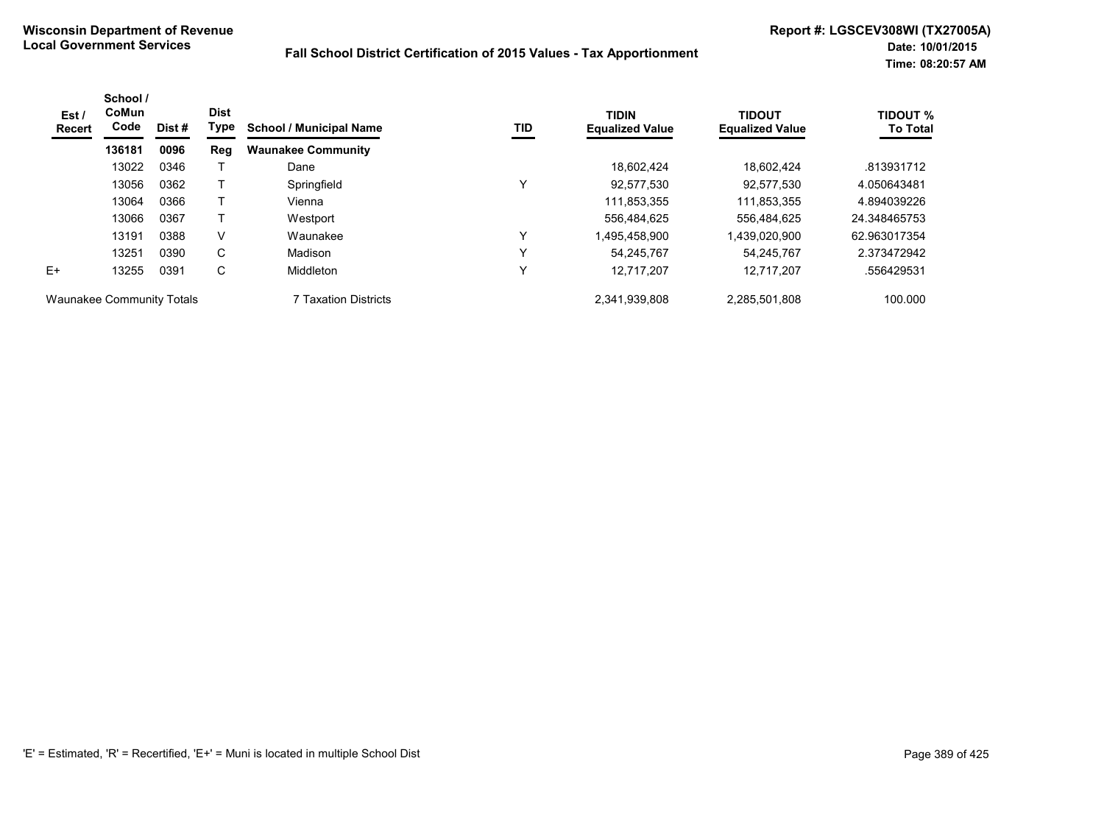| Est /<br><b>Recert</b>           | School /<br>CoMun<br>Code | Dist# | <b>Dist</b><br>Type | <b>School / Municipal Name</b> | TID | <b>TIDIN</b><br><b>Equalized Value</b> | <b>TIDOUT</b><br><b>Equalized Value</b> | <b>TIDOUT %</b><br><b>To Total</b> |
|----------------------------------|---------------------------|-------|---------------------|--------------------------------|-----|----------------------------------------|-----------------------------------------|------------------------------------|
|                                  | 136181                    | 0096  | Reg                 | <b>Waunakee Community</b>      |     |                                        |                                         |                                    |
|                                  | 13022                     | 0346  |                     | Dane                           |     | 18.602.424                             | 18.602.424                              | .813931712                         |
|                                  | 13056                     | 0362  |                     | Springfield                    | ν   | 92,577,530                             | 92,577,530                              | 4.050643481                        |
|                                  | 13064                     | 0366  |                     | Vienna                         |     | 111,853,355                            | 111,853,355                             | 4.894039226                        |
|                                  | 13066                     | 0367  |                     | Westport                       |     | 556,484,625                            | 556.484.625                             | 24.348465753                       |
|                                  | 13191                     | 0388  | V                   | Waunakee                       | ν   | 1,495,458,900                          | 1,439,020,900                           | 62.963017354                       |
|                                  | 13251                     | 0390  | C                   | Madison                        | ν   | 54.245.767                             | 54.245.767                              | 2.373472942                        |
| $E+$                             | 13255                     | 0391  | C                   | Middleton                      | ν   | 12.717.207                             | 12.717.207                              | .556429531                         |
| <b>Waunakee Community Totals</b> |                           |       |                     | <b>7 Taxation Districts</b>    |     | 2,341,939,808                          | 2,285,501,808                           | 100.000                            |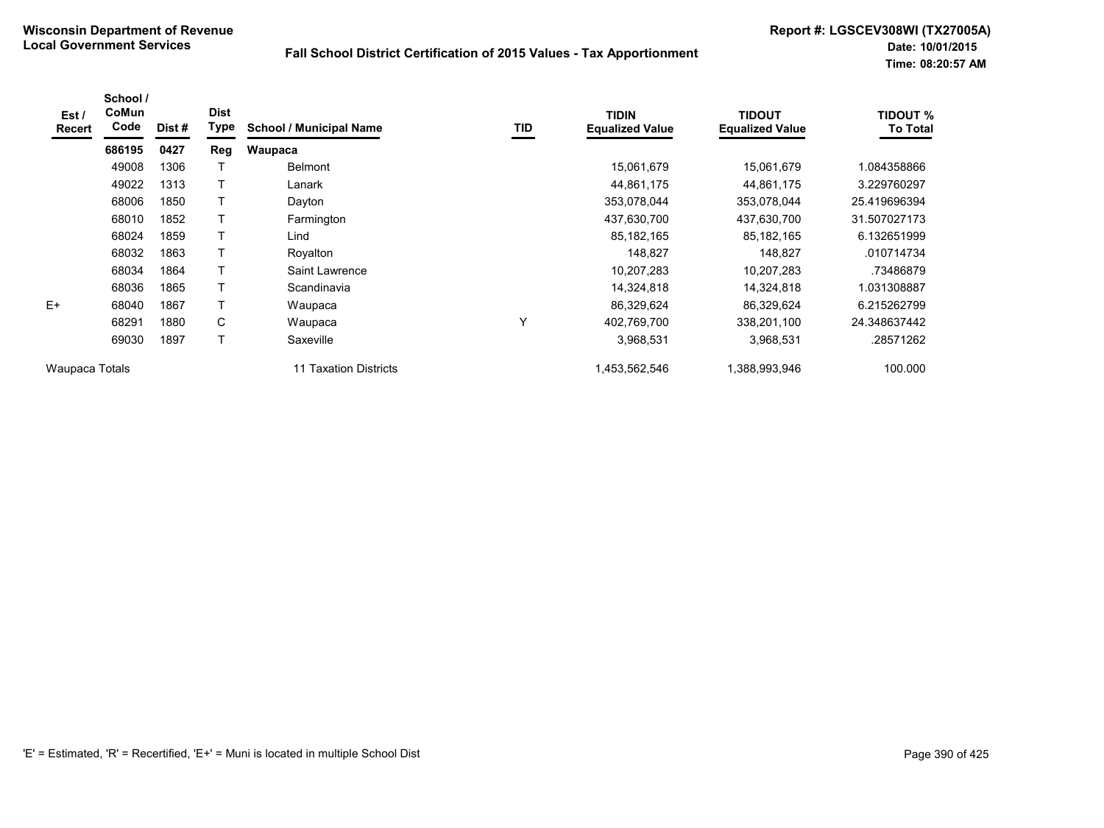| Est /<br><b>Recert</b> | School /<br>CoMun<br>Code | Dist # | <b>Dist</b><br>Type | <b>School / Municipal Name</b> | TID | <b>TIDIN</b><br><b>Equalized Value</b> | <b>TIDOUT</b><br><b>Equalized Value</b> | TIDOUT %<br><b>To Total</b> |
|------------------------|---------------------------|--------|---------------------|--------------------------------|-----|----------------------------------------|-----------------------------------------|-----------------------------|
|                        | 686195                    | 0427   | Reg                 | Waupaca                        |     |                                        |                                         |                             |
|                        | 49008                     | 1306   |                     | <b>Belmont</b>                 |     | 15,061,679                             | 15,061,679                              | 1.084358866                 |
|                        | 49022                     | 1313   |                     | Lanark                         |     | 44,861,175                             | 44,861,175                              | 3.229760297                 |
|                        | 68006                     | 1850   |                     | Dayton                         |     | 353,078,044                            | 353,078,044                             | 25.419696394                |
|                        | 68010                     | 1852   |                     | Farmington                     |     | 437,630,700                            | 437,630,700                             | 31.507027173                |
|                        | 68024                     | 1859   |                     | Lind                           |     | 85,182,165                             | 85, 182, 165                            | 6.132651999                 |
|                        | 68032                     | 1863   |                     | Royalton                       |     | 148,827                                | 148,827                                 | .010714734                  |
|                        | 68034                     | 1864   | Τ                   | Saint Lawrence                 |     | 10,207,283                             | 10,207,283                              | .73486879                   |
|                        | 68036                     | 1865   |                     | Scandinavia                    |     | 14,324,818                             | 14,324,818                              | 1.031308887                 |
| $E+$                   | 68040                     | 1867   |                     | Waupaca                        |     | 86,329,624                             | 86,329,624                              | 6.215262799                 |
|                        | 68291                     | 1880   | C                   | Waupaca                        | Υ   | 402,769,700                            | 338,201,100                             | 24.348637442                |
|                        | 69030                     | 1897   | Τ                   | Saxeville                      |     | 3,968,531                              | 3,968,531                               | .28571262                   |
| Waupaca Totals         |                           |        |                     | <b>Taxation Districts</b>      |     | 1,453,562,546                          | 1,388,993,946                           | 100.000                     |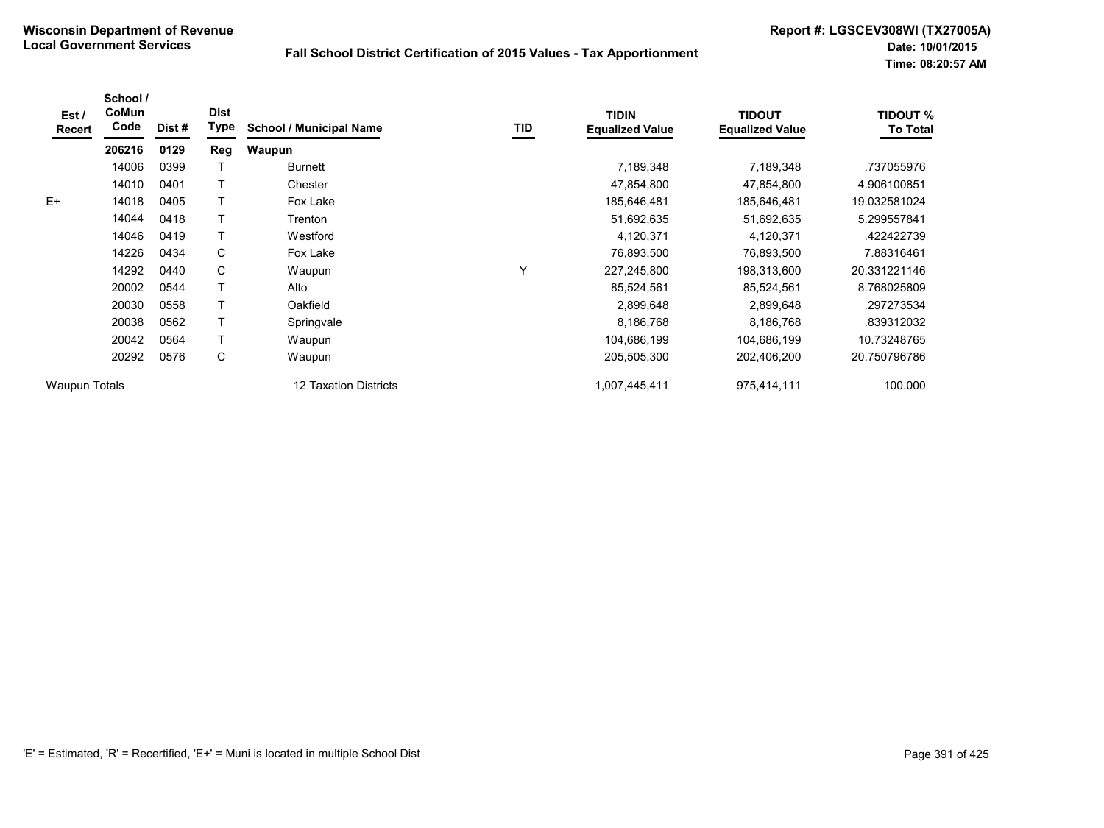| Est /<br>Recert      | School /<br>CoMun<br>Code | Dist # | <b>Dist</b><br><b>Type</b> | <b>School / Municipal Name</b> | TID | <b>TIDIN</b><br><b>Equalized Value</b> | <b>TIDOUT</b><br><b>Equalized Value</b> | <b>TIDOUT %</b><br><b>To Total</b> |
|----------------------|---------------------------|--------|----------------------------|--------------------------------|-----|----------------------------------------|-----------------------------------------|------------------------------------|
|                      | 206216                    | 0129   | Reg                        | <b>Waupun</b>                  |     |                                        |                                         |                                    |
|                      | 14006                     | 0399   |                            | <b>Burnett</b>                 |     | 7,189,348                              | 7,189,348                               | .737055976                         |
|                      | 14010                     | 0401   |                            | Chester                        |     | 47,854,800                             | 47,854,800                              | 4.906100851                        |
| $E+$                 | 14018                     | 0405   |                            | Fox Lake                       |     | 185,646,481                            | 185,646,481                             | 19.032581024                       |
|                      | 14044                     | 0418   |                            | Trenton                        |     | 51,692,635                             | 51,692,635                              | 5.299557841                        |
|                      | 14046                     | 0419   |                            | Westford                       |     | 4,120,371                              | 4,120,371                               | .422422739                         |
|                      | 14226                     | 0434   | C                          | Fox Lake                       |     | 76,893,500                             | 76,893,500                              | 7.88316461                         |
|                      | 14292                     | 0440   | C                          | Waupun                         | Υ   | 227,245,800                            | 198,313,600                             | 20.331221146                       |
|                      | 20002                     | 0544   |                            | Alto                           |     | 85,524,561                             | 85,524,561                              | 8.768025809                        |
|                      | 20030                     | 0558   |                            | Oakfield                       |     | 2,899,648                              | 2,899,648                               | .297273534                         |
|                      | 20038                     | 0562   |                            | Springvale                     |     | 8,186,768                              | 8,186,768                               | .839312032                         |
|                      | 20042                     | 0564   |                            | Waupun                         |     | 104,686,199                            | 104,686,199                             | 10.73248765                        |
|                      | 20292                     | 0576   | C                          | Waupun                         |     | 205,505,300                            | 202,406,200                             | 20.750796786                       |
| <b>Waupun Totals</b> |                           |        |                            | 12 Taxation Districts          |     | 1,007,445,411                          | 975,414,111                             | 100.000                            |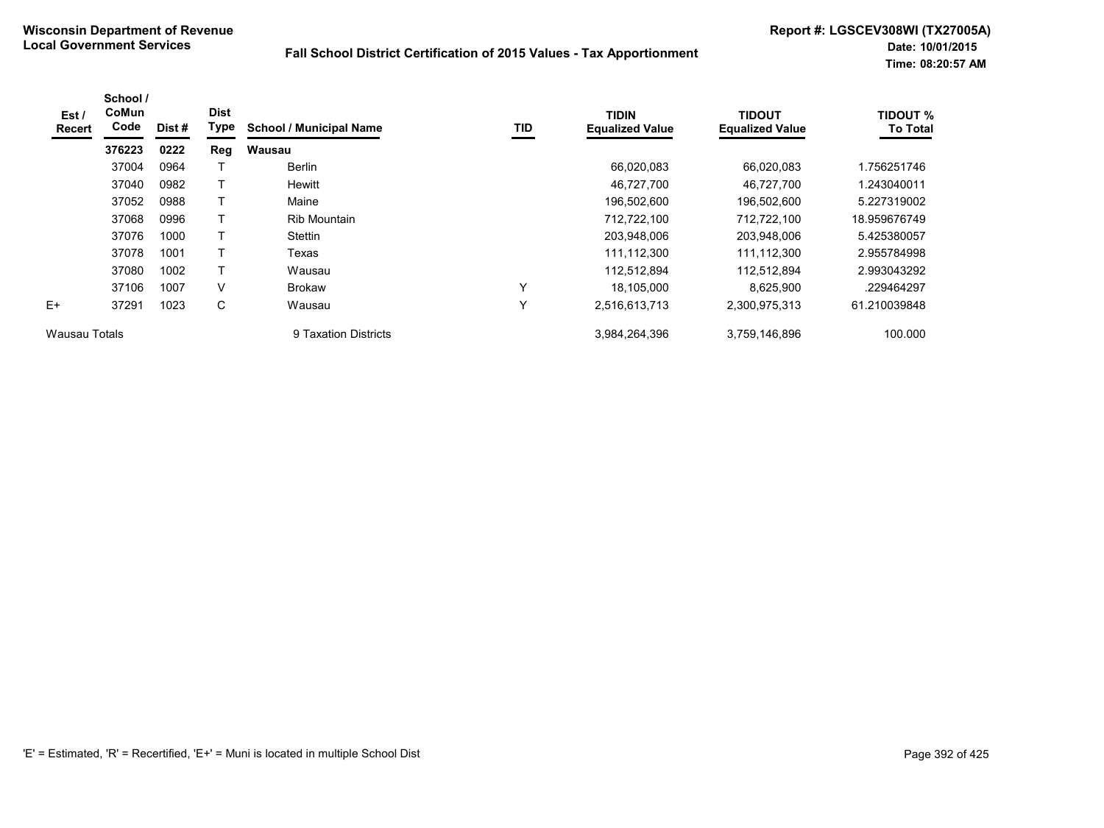| Est /<br><b>Recert</b> | School /<br>CoMun<br>Code | Dist # | <b>Dist</b><br>Type | <b>School / Municipal Name</b> | TID | <b>TIDIN</b><br><b>Equalized Value</b> | <b>TIDOUT</b><br><b>Equalized Value</b> | <b>TIDOUT %</b><br><b>To Total</b> |
|------------------------|---------------------------|--------|---------------------|--------------------------------|-----|----------------------------------------|-----------------------------------------|------------------------------------|
|                        | 376223                    | 0222   | Reg                 | <b>Wausau</b>                  |     |                                        |                                         |                                    |
|                        | 37004                     | 0964   |                     | Berlin                         |     | 66,020,083                             | 66,020,083                              | 1.756251746                        |
|                        | 37040                     | 0982   |                     | Hewitt                         |     | 46,727,700                             | 46,727,700                              | 1.243040011                        |
|                        | 37052                     | 0988   |                     | Maine                          |     | 196,502,600                            | 196,502,600                             | 5.227319002                        |
|                        | 37068                     | 0996   |                     | Rib Mountain                   |     | 712,722,100                            | 712,722,100                             | 18.959676749                       |
|                        | 37076                     | 1000   | T                   | Stettin                        |     | 203,948,006                            | 203,948,006                             | 5.425380057                        |
|                        | 37078                     | 1001   |                     | Texas                          |     | 111,112,300                            | 111,112,300                             | 2.955784998                        |
|                        | 37080                     | 1002   | $\mathsf T$         | Wausau                         |     | 112,512,894                            | 112,512,894                             | 2.993043292                        |
|                        | 37106                     | 1007   | V                   | <b>Brokaw</b>                  | Υ   | 18,105,000                             | 8,625,900                               | .229464297                         |
| $E+$                   | 37291                     | 1023   | C                   | Wausau                         | Υ   | 2,516,613,713                          | 2,300,975,313                           | 61.210039848                       |
| Wausau Totals          |                           |        |                     | 9 Taxation Districts           |     | 3,984,264,396                          | 3,759,146,896                           | 100.000                            |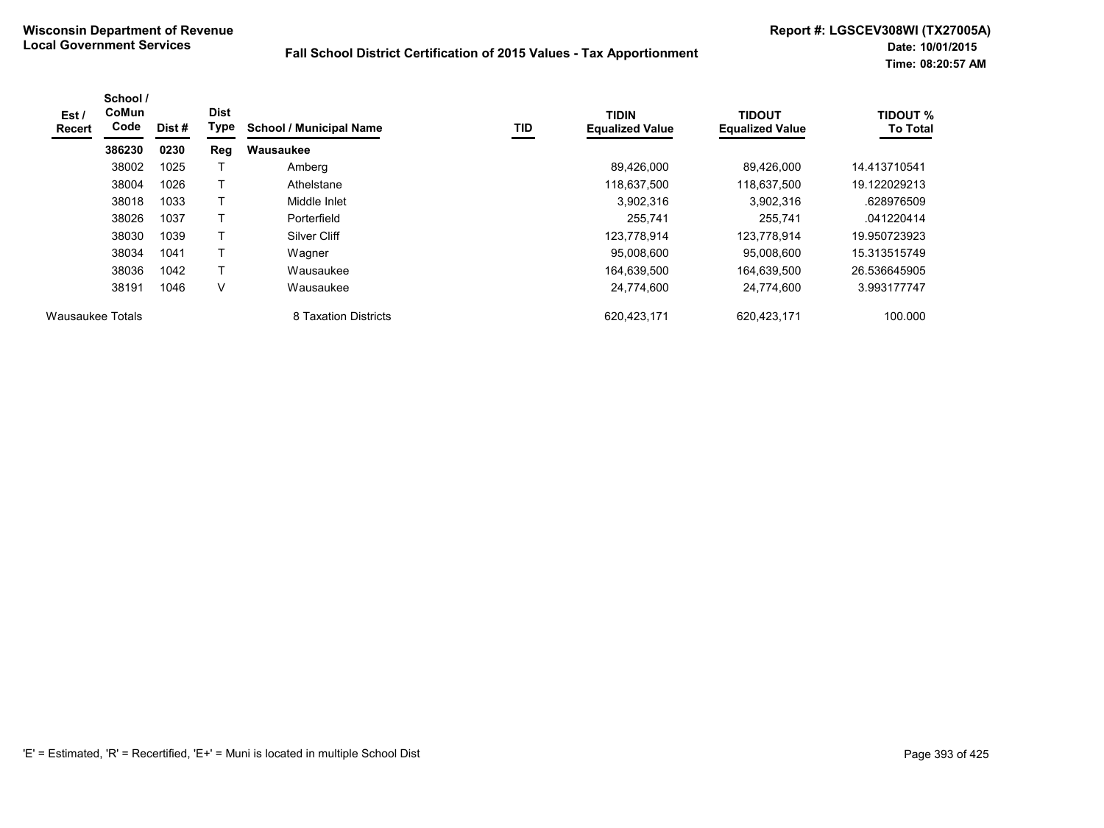| Est /<br>Recert  | School /<br><b>CoMun</b><br>Code | Dist # | <b>Dist</b><br>Type | <b>School / Municipal Name</b> | TID | <b>TIDIN</b><br><b>Equalized Value</b> | <b>TIDOUT</b><br><b>Equalized Value</b> | <b>TIDOUT %</b><br><b>To Total</b> |
|------------------|----------------------------------|--------|---------------------|--------------------------------|-----|----------------------------------------|-----------------------------------------|------------------------------------|
|                  | 386230                           | 0230   | Reg                 | Wausaukee                      |     |                                        |                                         |                                    |
|                  | 38002                            | 1025   |                     | Amberg                         |     | 89,426,000                             | 89.426.000                              | 14.413710541                       |
|                  | 38004                            | 1026   |                     | Athelstane                     |     | 118,637,500                            | 118,637,500                             | 19.122029213                       |
|                  | 38018                            | 1033   |                     | Middle Inlet                   |     | 3,902,316                              | 3,902,316                               | .628976509                         |
|                  | 38026                            | 1037   |                     | Porterfield                    |     | 255.741                                | 255.741                                 | .041220414                         |
|                  | 38030                            | 1039   |                     | Silver Cliff                   |     | 123,778,914                            | 123.778.914                             | 19.950723923                       |
|                  | 38034                            | 1041   |                     | Wagner                         |     | 95,008,600                             | 95,008,600                              | 15.313515749                       |
|                  | 38036                            | 1042   | Т                   | Wausaukee                      |     | 164,639,500                            | 164,639,500                             | 26.536645905                       |
|                  | 38191                            | 1046   | $\vee$              | Wausaukee                      |     | 24,774,600                             | 24,774,600                              | 3.993177747                        |
| Wausaukee Totals |                                  |        |                     | 8 Taxation Districts           |     | 620,423,171                            | 620,423,171                             | 100.000                            |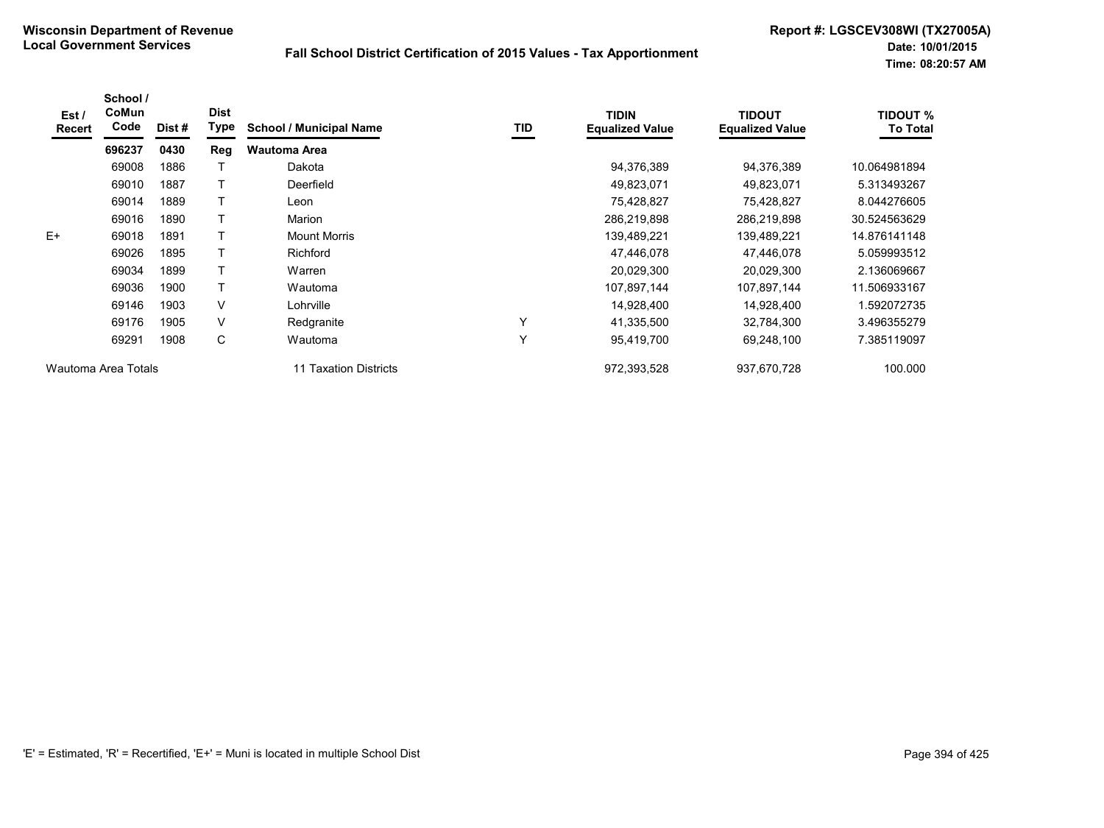| Est/<br>Recert | School /<br>CoMun<br>Code | Dist # | <b>Dist</b><br>Type | <b>School / Municipal Name</b> | TID | <b>TIDIN</b><br><b>Equalized Value</b> | <b>TIDOUT</b><br><b>Equalized Value</b> | <b>TIDOUT %</b><br><b>To Total</b> |
|----------------|---------------------------|--------|---------------------|--------------------------------|-----|----------------------------------------|-----------------------------------------|------------------------------------|
|                | 696237                    | 0430   | Reg                 | <b>Wautoma Area</b>            |     |                                        |                                         |                                    |
|                | 69008                     | 1886   |                     | Dakota                         |     | 94,376,389                             | 94,376,389                              | 10.064981894                       |
|                | 69010                     | 1887   |                     | Deerfield                      |     | 49,823,071                             | 49,823,071                              | 5.313493267                        |
|                | 69014                     | 1889   |                     | Leon                           |     | 75,428,827                             | 75,428,827                              | 8.044276605                        |
|                | 69016                     | 1890   |                     | Marion                         |     | 286,219,898                            | 286,219,898                             | 30.524563629                       |
| $E+$           | 69018                     | 1891   |                     | <b>Mount Morris</b>            |     | 139,489,221                            | 139,489,221                             | 14.876141148                       |
|                | 69026                     | 1895   |                     | <b>Richford</b>                |     | 47,446,078                             | 47,446,078                              | 5.059993512                        |
|                | 69034                     | 1899   |                     | Warren                         |     | 20,029,300                             | 20,029,300                              | 2.136069667                        |
|                | 69036                     | 1900   |                     | Wautoma                        |     | 107,897,144                            | 107,897,144                             | 11.506933167                       |
|                | 69146                     | 1903   | $\vee$              | Lohrville                      |     | 14,928,400                             | 14,928,400                              | 1.592072735                        |
|                | 69176                     | 1905   | $\vee$              | Redgranite                     | Y   | 41,335,500                             | 32,784,300                              | 3.496355279                        |
|                | 69291                     | 1908   | С                   | Wautoma                        | Y   | 95,419,700                             | 69,248,100                              | 7.385119097                        |
|                | Wautoma Area Totals       |        |                     | <b>Taxation Districts</b>      |     | 972,393,528                            | 937,670,728                             | 100.000                            |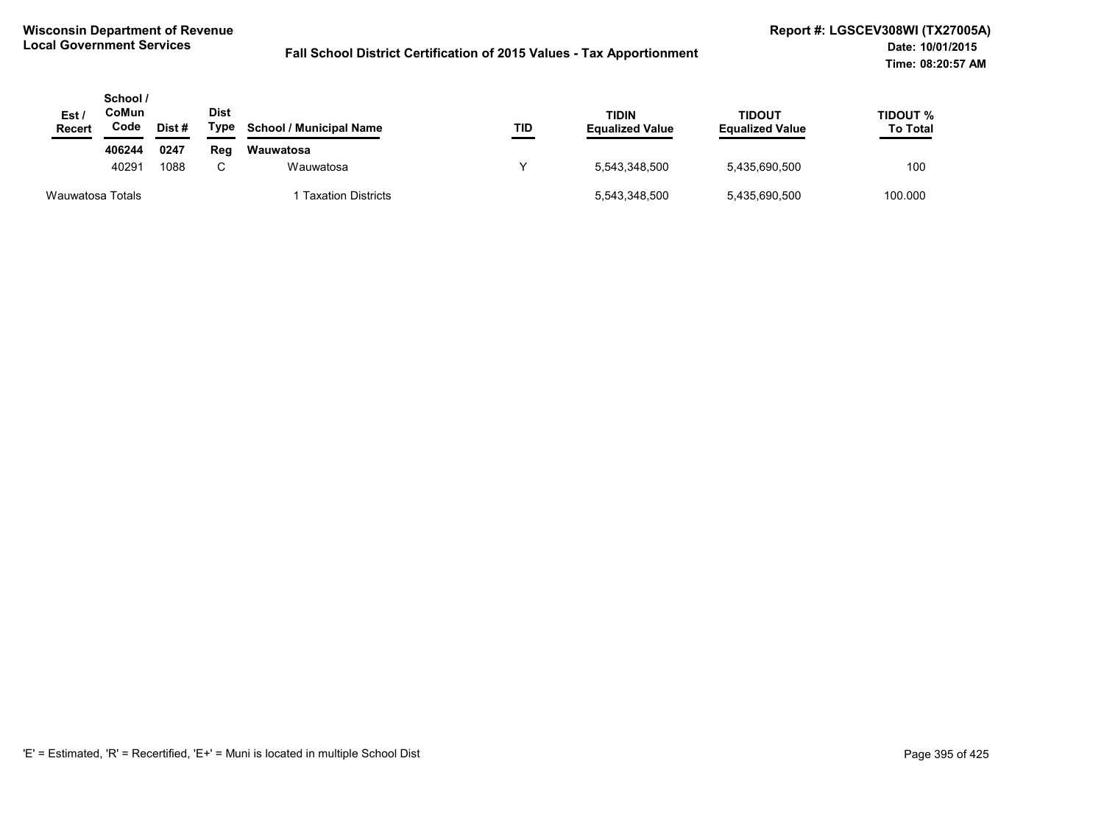| Est /<br><b>Recert</b> | School /<br>CoMun<br>Code | Dist# | <b>Dist</b><br>Type | <b>School / Municipal Name</b> | TID | <b>TIDIN</b><br><b>Equalized Value</b> | <b>TIDOUT</b><br><b>Equalized Value</b> | TIDOUT %<br><b>To Total</b> |
|------------------------|---------------------------|-------|---------------------|--------------------------------|-----|----------------------------------------|-----------------------------------------|-----------------------------|
|                        | 406244                    | 0247  | Reg                 | Wauwatosa                      |     |                                        |                                         |                             |
|                        | 40291                     | 1088  | C.                  | Wauwatosa                      |     | 5.543.348.500                          | 5,435,690,500                           | 100                         |
| Wauwatosa Totals       |                           |       |                     | <b>Taxation Districts</b>      |     | 5,543,348,500                          | 5,435,690,500                           | 100.000                     |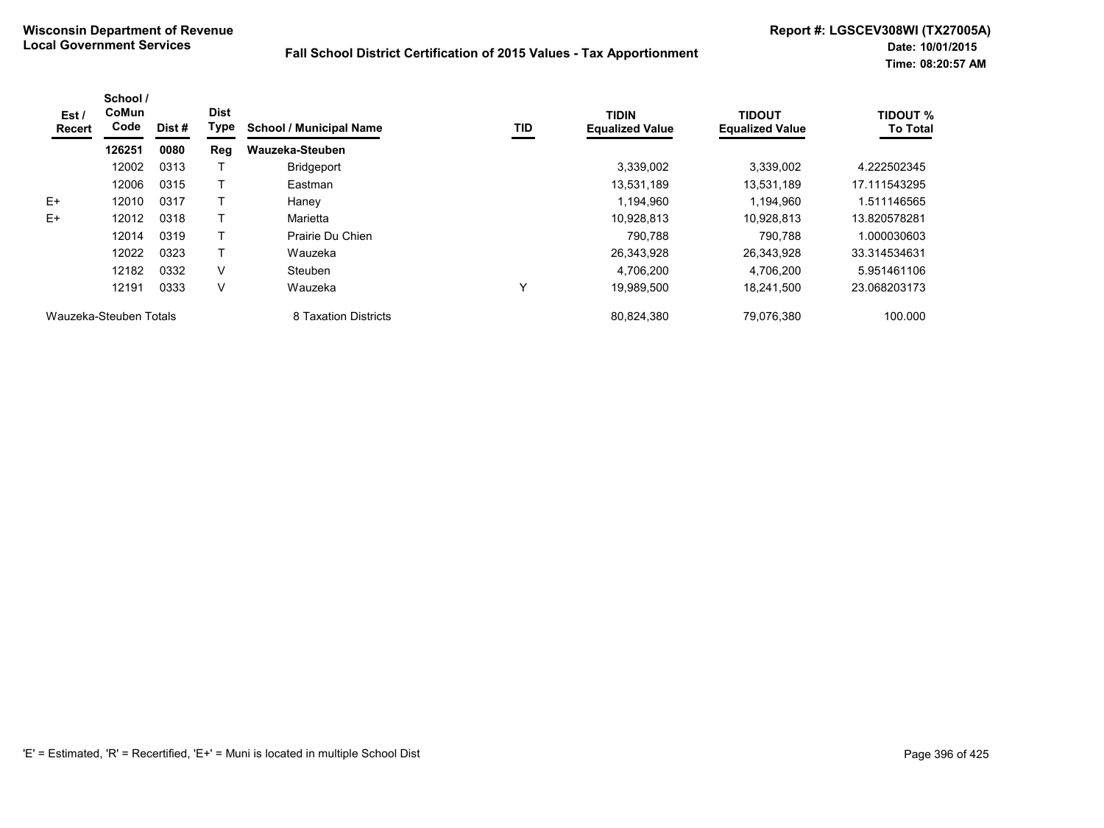| Est /<br>Recert        | School /<br>CoMun<br>Code | Dist# | <b>Dist</b><br>Type | <b>School / Municipal Name</b> | TID | <b>TIDIN</b><br><b>Equalized Value</b> | <b>TIDOUT</b><br><b>Equalized Value</b> | <b>TIDOUT %</b><br><b>To Total</b> |
|------------------------|---------------------------|-------|---------------------|--------------------------------|-----|----------------------------------------|-----------------------------------------|------------------------------------|
|                        | 126251                    | 0080  | Reg                 | Wauzeka-Steuben                |     |                                        |                                         |                                    |
|                        | 12002                     | 0313  |                     | <b>Bridgeport</b>              |     | 3,339,002                              | 3.339.002                               | 4.222502345                        |
|                        | 12006                     | 0315  |                     | Eastman                        |     | 13,531,189                             | 13,531,189                              | 17.111543295                       |
| $E+$                   | 12010                     | 0317  |                     | Haney                          |     | 1.194.960                              | 1.194.960                               | 1.511146565                        |
| $E+$                   | 12012                     | 0318  |                     | Marietta                       |     | 10,928,813                             | 10.928.813                              | 13.820578281                       |
|                        | 12014                     | 0319  |                     | Prairie Du Chien               |     | 790.788                                | 790.788                                 | 1.000030603                        |
|                        | 12022                     | 0323  |                     | Wauzeka                        |     | 26,343,928                             | 26,343,928                              | 33.314534631                       |
|                        | 12182                     | 0332  | V                   | Steuben                        |     | 4,706,200                              | 4,706,200                               | 5.951461106                        |
|                        | 12191                     | 0333  | V                   | Wauzeka                        | 丷   | 19,989,500                             | 18,241,500                              | 23.068203173                       |
| Wauzeka-Steuben Totals |                           |       |                     | 8 Taxation Districts           |     | 80,824,380                             | 79.076.380                              | 100.000                            |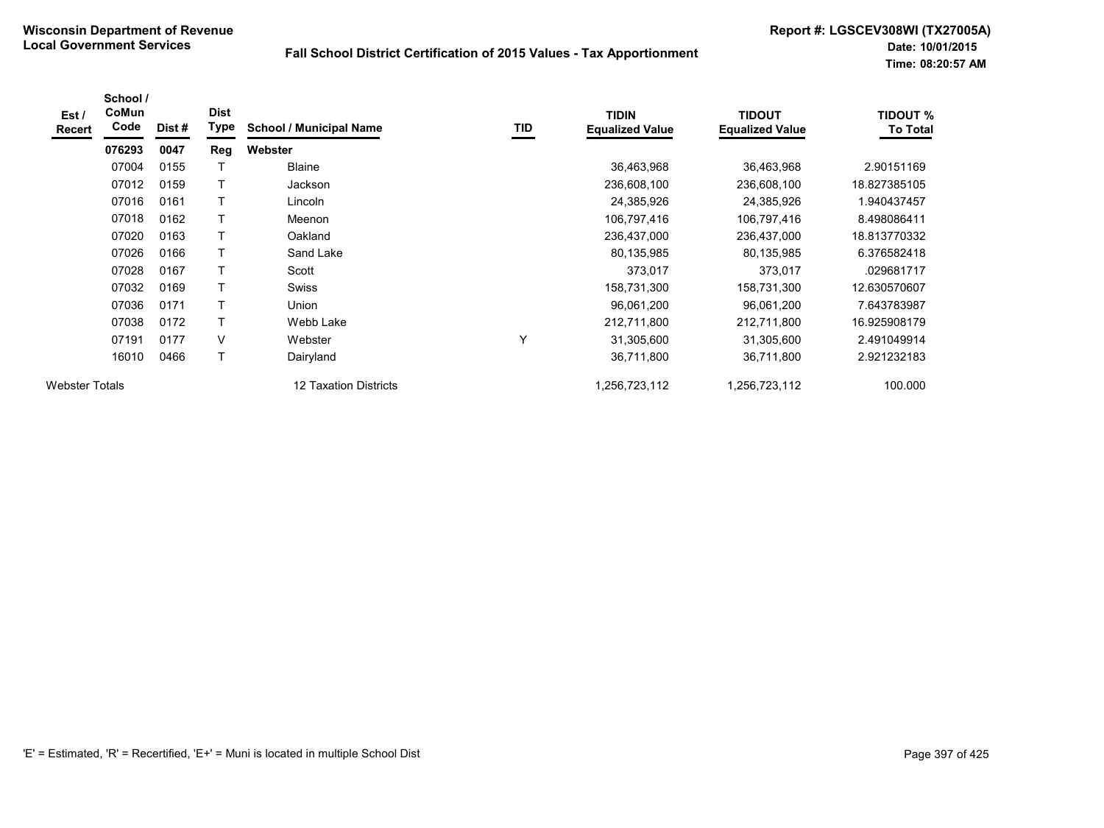| Est /<br><b>Recert</b> | School /<br>CoMun<br>Code | Dist# | <b>Dist</b><br><b>Type</b> | <b>School / Municipal Name</b> | TID | <b>TIDIN</b><br><b>Equalized Value</b> | <b>TIDOUT</b><br><b>Equalized Value</b> | <b>TIDOUT %</b><br>To Total |
|------------------------|---------------------------|-------|----------------------------|--------------------------------|-----|----------------------------------------|-----------------------------------------|-----------------------------|
|                        | 076293                    | 0047  | Reg                        | Webster                        |     |                                        |                                         |                             |
|                        | 07004                     | 0155  |                            | Blaine                         |     | 36,463,968                             | 36,463,968                              | 2.90151169                  |
|                        | 07012                     | 0159  | Т                          | Jackson                        |     | 236,608,100                            | 236,608,100                             | 18.827385105                |
|                        | 07016                     | 0161  | Т                          | Lincoln                        |     | 24,385,926                             | 24,385,926                              | 1.940437457                 |
|                        | 07018                     | 0162  |                            | Meenon                         |     | 106,797,416                            | 106,797,416                             | 8.498086411                 |
|                        | 07020                     | 0163  |                            | Oakland                        |     | 236,437,000                            | 236,437,000                             | 18.813770332                |
|                        | 07026                     | 0166  | Τ                          | Sand Lake                      |     | 80,135,985                             | 80,135,985                              | 6.376582418                 |
|                        | 07028                     | 0167  | Т                          | Scott                          |     | 373,017                                | 373,017                                 | .029681717                  |
|                        | 07032                     | 0169  | Т                          | <b>Swiss</b>                   |     | 158,731,300                            | 158,731,300                             | 12.630570607                |
|                        | 07036                     | 0171  | Т                          | Union                          |     | 96,061,200                             | 96,061,200                              | 7.643783987                 |
|                        | 07038                     | 0172  | т                          | Webb Lake                      |     | 212,711,800                            | 212,711,800                             | 16.925908179                |
|                        | 07191                     | 0177  | V                          | Webster                        | v   | 31,305,600                             | 31,305,600                              | 2.491049914                 |
|                        | 16010                     | 0466  | Т                          | Dairyland                      |     | 36,711,800                             | 36,711,800                              | 2.921232183                 |
| <b>Webster Totals</b>  |                           |       |                            | 12 Taxation Districts          |     | 1,256,723,112                          | 1,256,723,112                           | 100.000                     |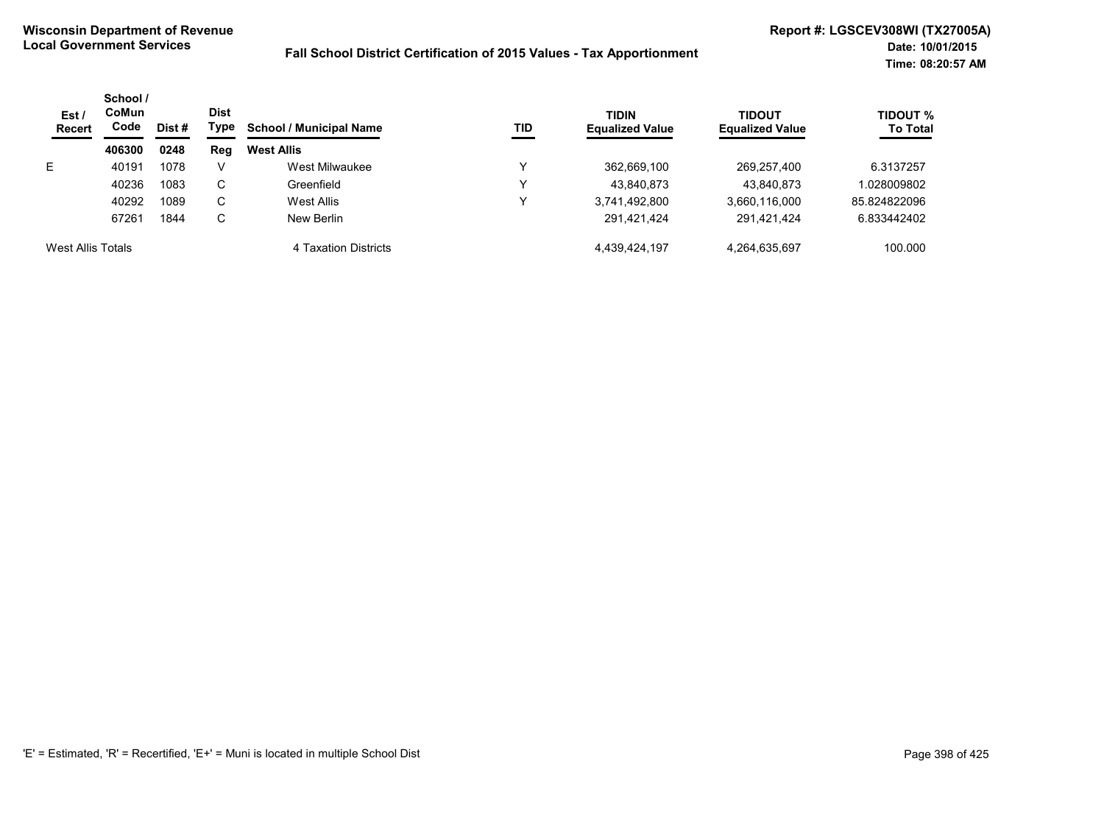| Est/<br><b>Recert</b> | School /<br>CoMun<br>Code | Dist # | <b>Dist</b><br>Type | <b>School / Municipal Name</b> | <b>TID</b>  | <b>TIDIN</b><br><b>Equalized Value</b> | <b>TIDOUT</b><br><b>Equalized Value</b> | TIDOUT %<br><b>To Total</b> |
|-----------------------|---------------------------|--------|---------------------|--------------------------------|-------------|----------------------------------------|-----------------------------------------|-----------------------------|
|                       | 406300                    | 0248   | Reg                 | <b>West Allis</b>              |             |                                        |                                         |                             |
| E.                    | 40191                     | 1078   | V                   | West Milwaukee                 | ν           | 362,669,100                            | 269,257,400                             | 6.3137257                   |
|                       | 40236                     | 1083   | С                   | Greenfield                     | $\check{ }$ | 43,840,873                             | 43,840,873                              | .028009802                  |
|                       | 40292                     | 1089   | С                   | West Allis                     | ν           | 3,741,492,800                          | 3,660,116,000                           | 85.824822096                |
|                       | 67261                     | 1844   | С                   | New Berlin                     |             | 291.421.424                            | 291,421,424                             | 6.833442402                 |
| West Allis Totals     |                           |        |                     | 4 Taxation Districts           |             | 4,439,424,197                          | 4,264,635,697                           | 100.000                     |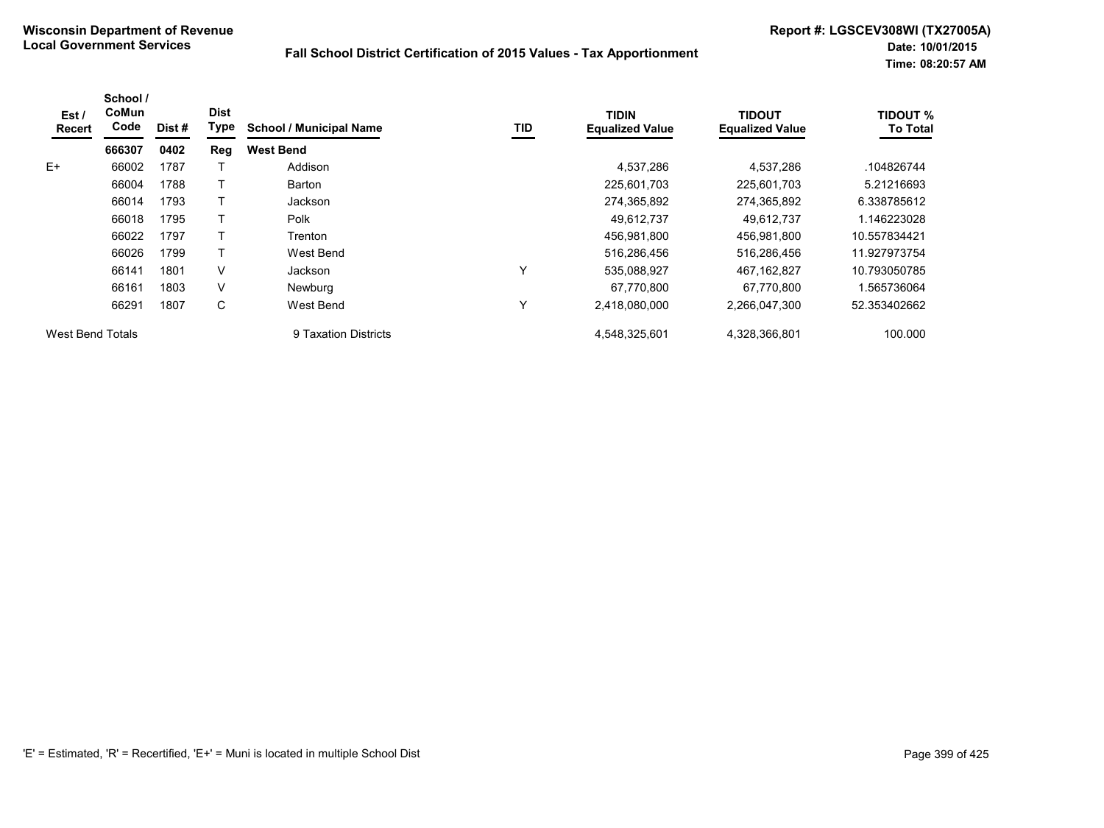| Est /<br>Recert         | School /<br>CoMun<br>Code | Dist# | <b>Dist</b><br>Type | <b>School / Municipal Name</b> | TID | <b>TIDIN</b><br><b>Equalized Value</b> | <b>TIDOUT</b><br><b>Equalized Value</b> | <b>TIDOUT %</b><br><b>To Total</b> |
|-------------------------|---------------------------|-------|---------------------|--------------------------------|-----|----------------------------------------|-----------------------------------------|------------------------------------|
|                         | 666307                    | 0402  | Reg                 | <b>West Bend</b>               |     |                                        |                                         |                                    |
| $E+$                    | 66002                     | 1787  |                     | Addison                        |     | 4,537,286                              | 4,537,286                               | .104826744                         |
|                         | 66004                     | 1788  |                     | Barton                         |     | 225,601,703                            | 225,601,703                             | 5.21216693                         |
|                         | 66014                     | 1793  |                     | Jackson                        |     | 274,365,892                            | 274,365,892                             | 6.338785612                        |
|                         | 66018                     | 1795  |                     | Polk                           |     | 49,612,737                             | 49,612,737                              | 1.146223028                        |
|                         | 66022                     | 1797  |                     | Trenton                        |     | 456,981,800                            | 456,981,800                             | 10.557834421                       |
|                         | 66026                     | 1799  |                     | West Bend                      |     | 516,286,456                            | 516,286,456                             | 11.927973754                       |
|                         | 66141                     | 1801  | V                   | Jackson                        | Υ   | 535,088,927                            | 467.162.827                             | 10.793050785                       |
|                         | 66161                     | 1803  | V                   | Newburg                        |     | 67,770,800                             | 67.770.800                              | 1.565736064                        |
|                         | 66291                     | 1807  | C                   | West Bend                      | Υ   | 2,418,080,000                          | 2,266,047,300                           | 52.353402662                       |
| <b>West Bend Totals</b> |                           |       |                     | 9 Taxation Districts           |     | 4,548,325,601                          | 4,328,366,801                           | 100.000                            |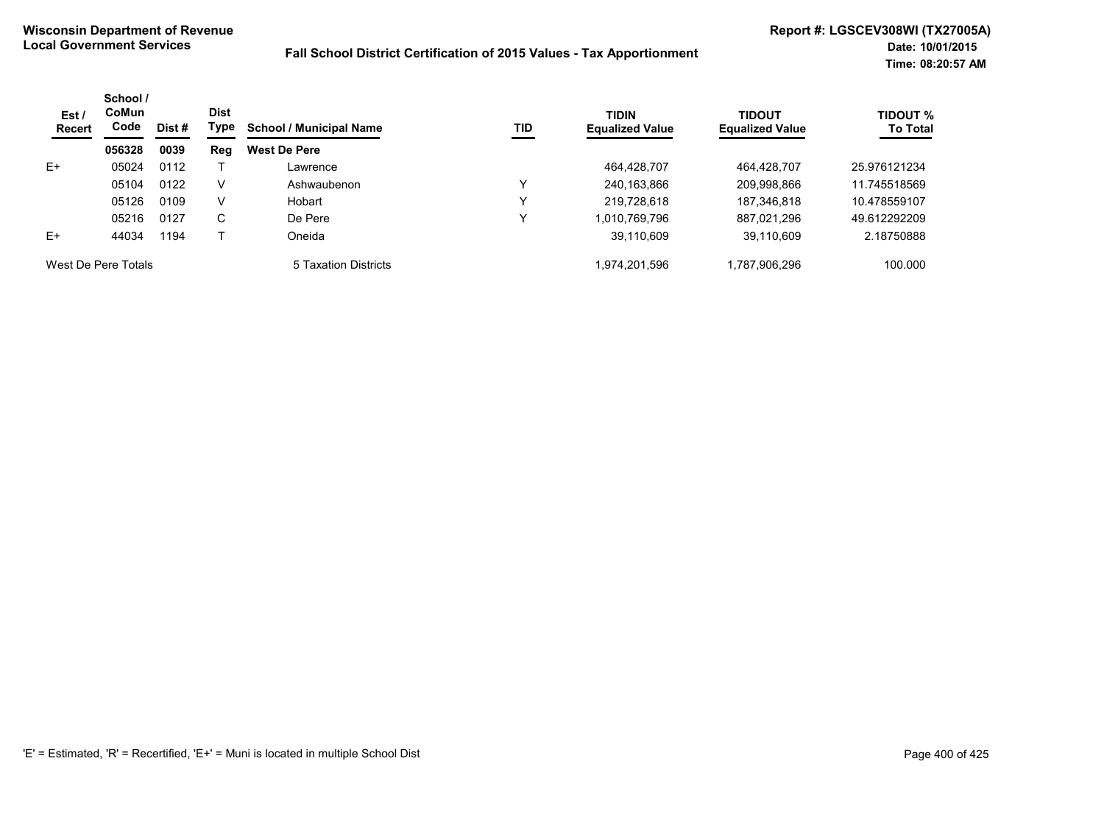| Est /<br>Recert     | School /<br><b>CoMun</b><br>Code | Dist # | <b>Dist</b><br>Type | <b>School / Municipal Name</b> | TID | <b>TIDIN</b><br><b>Equalized Value</b> | <b>TIDOUT</b><br><b>Equalized Value</b> | <b>TIDOUT %</b><br><b>To Total</b> |
|---------------------|----------------------------------|--------|---------------------|--------------------------------|-----|----------------------------------------|-----------------------------------------|------------------------------------|
|                     | 056328                           | 0039   | Reg                 | <b>West De Pere</b>            |     |                                        |                                         |                                    |
| E+                  | 05024                            | 0112   |                     | Lawrence                       |     | 464.428.707                            | 464,428,707                             | 25.976121234                       |
|                     | 05104                            | 0122   | V                   | Ashwaubenon                    | v   | 240,163,866                            | 209,998,866                             | 11.745518569                       |
|                     | 05126                            | 0109   | V                   | Hobart                         | v   | 219.728.618                            | 187.346.818                             | 10.478559107                       |
|                     | 05216                            | 0127   | C                   | De Pere                        | v   | 1,010,769,796                          | 887.021.296                             | 49.612292209                       |
| $E+$                | 44034                            | 1194   |                     | Oneida                         |     | 39,110,609                             | 39,110,609                              | 2.18750888                         |
| West De Pere Totals |                                  |        |                     | 5 Taxation Districts           |     | 1,974,201,596                          | 1,787,906,296                           | 100.000                            |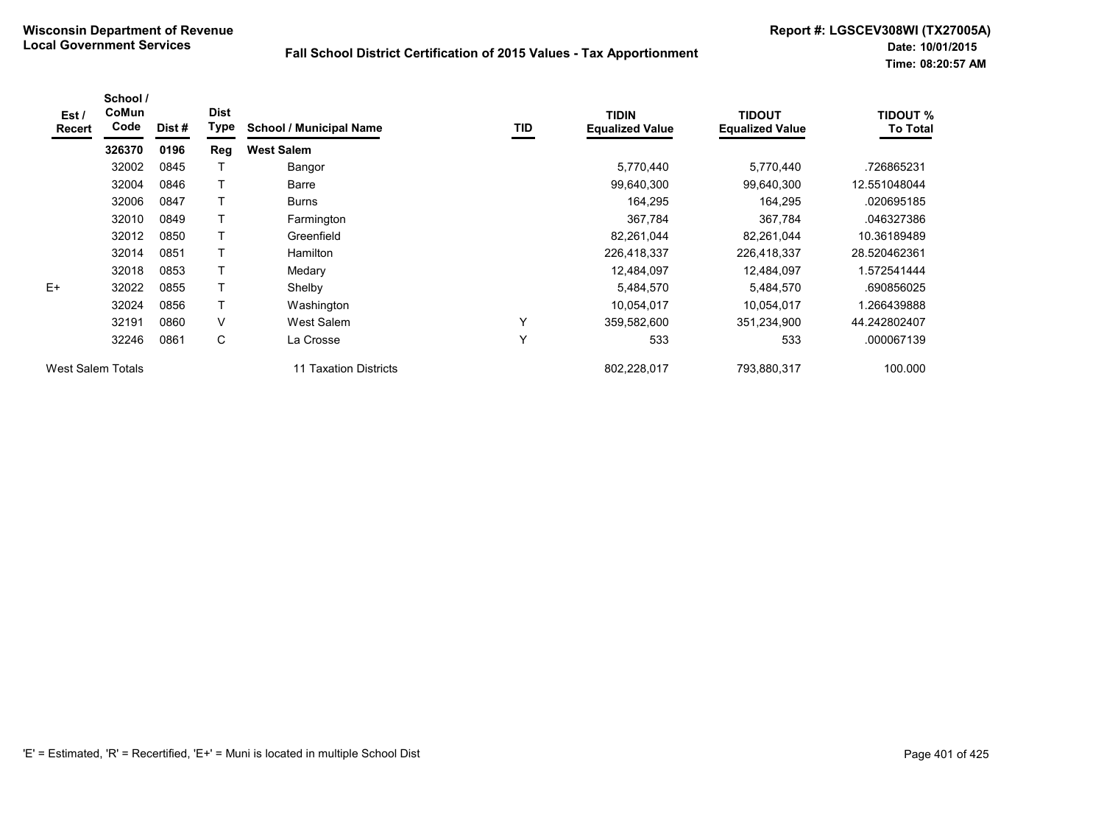| Est/<br><b>Recert</b> | School /<br>CoMun<br>Code | Dist# | <b>Dist</b><br>Type | <b>School / Municipal Name</b> | TID | <b>TIDIN</b><br><b>Equalized Value</b> | <b>TIDOUT</b><br><b>Equalized Value</b> | <b>TIDOUT %</b><br><b>To Total</b> |
|-----------------------|---------------------------|-------|---------------------|--------------------------------|-----|----------------------------------------|-----------------------------------------|------------------------------------|
|                       | 326370                    | 0196  | Reg                 | <b>West Salem</b>              |     |                                        |                                         |                                    |
|                       | 32002                     | 0845  |                     | Bangor                         |     | 5,770,440                              | 5,770,440                               | .726865231                         |
|                       | 32004                     | 0846  | Т                   | Barre                          |     | 99,640,300                             | 99,640,300                              | 12.551048044                       |
|                       | 32006                     | 0847  |                     | <b>Burns</b>                   |     | 164,295                                | 164,295                                 | .020695185                         |
|                       | 32010                     | 0849  |                     | Farmington                     |     | 367,784                                | 367,784                                 | .046327386                         |
|                       | 32012                     | 0850  |                     | Greenfield                     |     | 82,261,044                             | 82,261,044                              | 10.36189489                        |
|                       | 32014                     | 0851  | Т                   | Hamilton                       |     | 226,418,337                            | 226,418,337                             | 28.520462361                       |
|                       | 32018                     | 0853  |                     | Medary                         |     | 12,484,097                             | 12,484,097                              | 1.572541444                        |
| $E+$                  | 32022                     | 0855  | т                   | Shelby                         |     | 5,484,570                              | 5,484,570                               | .690856025                         |
|                       | 32024                     | 0856  | Т                   | Washington                     |     | 10,054,017                             | 10,054,017                              | .266439888                         |
|                       | 32191                     | 0860  | V                   | West Salem                     | Y   | 359,582,600                            | 351,234,900                             | 44.242802407                       |
|                       | 32246                     | 0861  | C                   | La Crosse                      | Υ   | 533                                    | 533                                     | .000067139                         |
| West Salem Totals     |                           |       |                     | 11 Taxation Districts          |     | 802,228,017                            | 793,880,317                             | 100.000                            |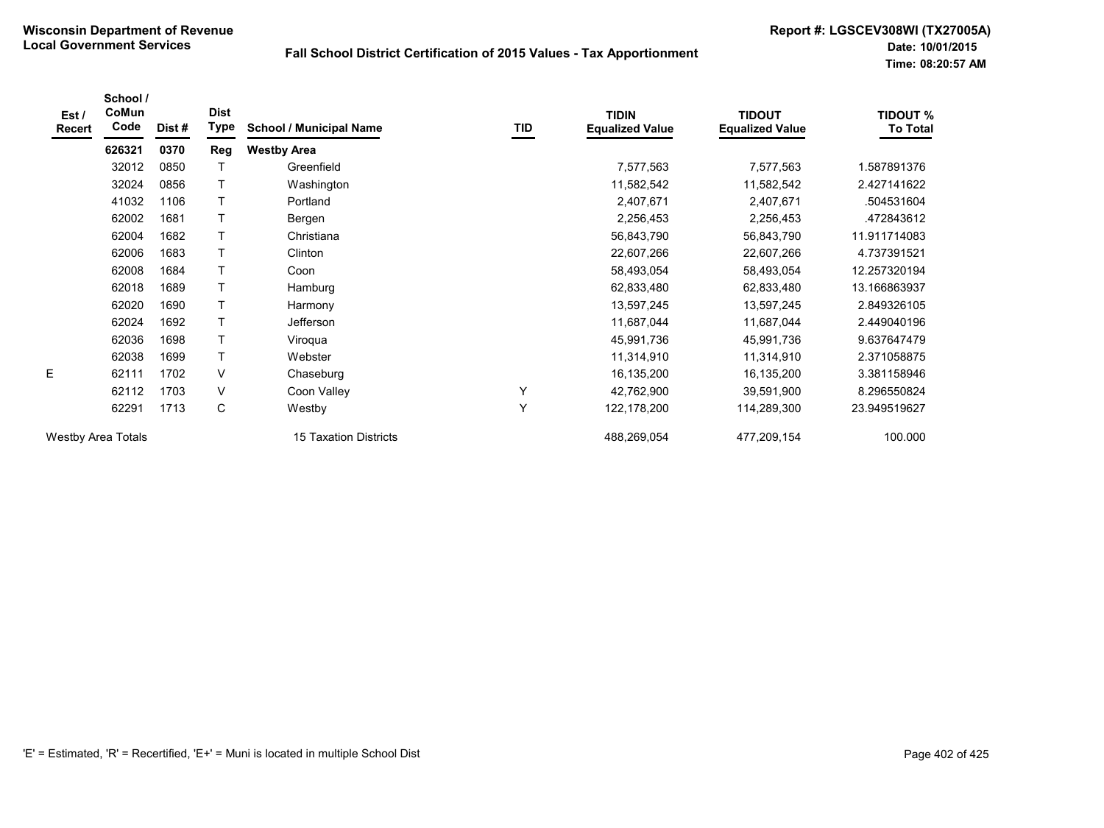**Date: 10/01/2015 Time: 08:20:57 AM**

| Est /<br><b>Recert</b>    | School /<br>CoMun<br>Code | Dist# | <b>Dist</b><br>Type | <b>School / Municipal Name</b> | TID | <b>TIDIN</b><br><b>Equalized Value</b> | <b>TIDOUT</b><br><b>Equalized Value</b> | <b>TIDOUT %</b><br><b>To Total</b> |
|---------------------------|---------------------------|-------|---------------------|--------------------------------|-----|----------------------------------------|-----------------------------------------|------------------------------------|
|                           | 626321                    | 0370  | Reg                 | <b>Westby Area</b>             |     |                                        |                                         |                                    |
|                           | 32012                     | 0850  |                     | Greenfield                     |     | 7,577,563                              | 7,577,563                               | 1.587891376                        |
|                           | 32024                     | 0856  |                     | Washington                     |     | 11,582,542                             | 11,582,542                              | 2.427141622                        |
|                           | 41032                     | 1106  |                     | Portland                       |     | 2,407,671                              | 2,407,671                               | .504531604                         |
|                           | 62002                     | 1681  | Т                   | Bergen                         |     | 2,256,453                              | 2,256,453                               | .472843612                         |
|                           | 62004                     | 1682  |                     | Christiana                     |     | 56,843,790                             | 56,843,790                              | 11.911714083                       |
|                           | 62006                     | 1683  |                     | Clinton                        |     | 22,607,266                             | 22,607,266                              | 4.737391521                        |
|                           | 62008                     | 1684  |                     | Coon                           |     | 58,493,054                             | 58,493,054                              | 12.257320194                       |
|                           | 62018                     | 1689  | T                   | Hamburg                        |     | 62,833,480                             | 62,833,480                              | 13.166863937                       |
|                           | 62020                     | 1690  |                     | Harmony                        |     | 13,597,245                             | 13,597,245                              | 2.849326105                        |
|                           | 62024                     | 1692  |                     | <b>Jefferson</b>               |     | 11,687,044                             | 11,687,044                              | 2.449040196                        |
|                           | 62036                     | 1698  |                     | Viroqua                        |     | 45,991,736                             | 45,991,736                              | 9.637647479                        |
|                           | 62038                     | 1699  |                     | Webster                        |     | 11,314,910                             | 11,314,910                              | 2.371058875                        |
| E                         | 62111                     | 1702  | $\vee$              | Chaseburg                      |     | 16,135,200                             | 16,135,200                              | 3.381158946                        |
|                           | 62112                     | 1703  | V                   | Coon Valley                    |     | 42,762,900                             | 39,591,900                              | 8.296550824                        |
|                           | 62291                     | 1713  | C                   | Westby                         | Y   | 122,178,200                            | 114,289,300                             | 23.949519627                       |
| <b>Westby Area Totals</b> |                           |       |                     | 15 Taxation Districts          |     | 488,269,054                            | 477,209,154                             | 100.000                            |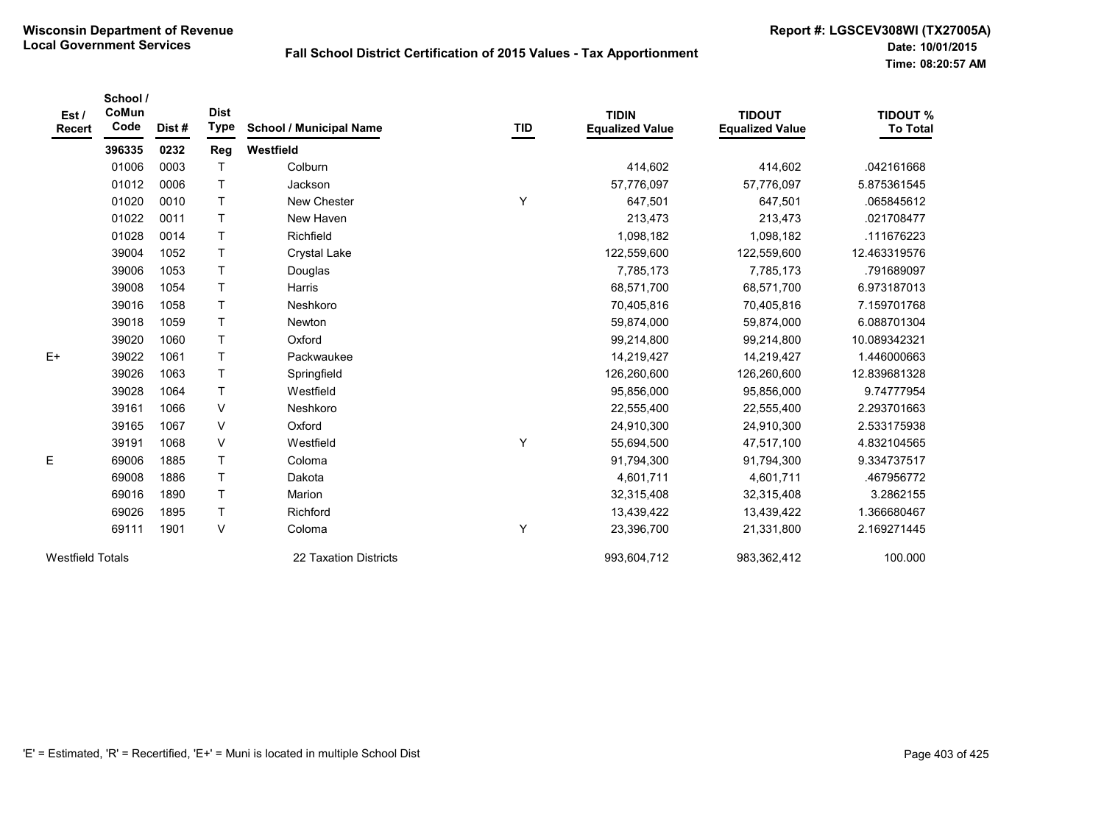| Est/<br><b>Recert</b>   | School /<br>CoMun<br>Code | Dist# | <b>Dist</b><br><b>Type</b> | <b>School / Municipal Name</b> | <b>TID</b> | <b>TIDIN</b><br><b>Equalized Value</b> | <b>TIDOUT</b><br><b>Equalized Value</b> | <b>TIDOUT %</b><br><b>To Total</b> |
|-------------------------|---------------------------|-------|----------------------------|--------------------------------|------------|----------------------------------------|-----------------------------------------|------------------------------------|
|                         | 396335                    | 0232  | Reg                        | Westfield                      |            |                                        |                                         |                                    |
|                         | 01006                     | 0003  | $\mathsf{T}$               | Colburn                        |            | 414,602                                | 414,602                                 | .042161668                         |
|                         | 01012                     | 0006  | $\mathsf{T}$               | Jackson                        |            | 57,776,097                             | 57,776,097                              | 5.875361545                        |
|                         | 01020                     | 0010  | $\mathsf{T}$               | New Chester                    | Y          | 647,501                                | 647,501                                 | .065845612                         |
|                         | 01022                     | 0011  | $\mathsf T$                | New Haven                      |            | 213,473                                | 213,473                                 | .021708477                         |
|                         | 01028                     | 0014  | $\mathsf T$                | Richfield                      |            | 1,098,182                              | 1,098,182                               | .111676223                         |
|                         | 39004                     | 1052  | $\mathsf{T}$               | <b>Crystal Lake</b>            |            | 122,559,600                            | 122,559,600                             | 12.463319576                       |
|                         | 39006                     | 1053  | $\mathsf{T}$               | Douglas                        |            | 7,785,173                              | 7,785,173                               | .791689097                         |
|                         | 39008                     | 1054  | $\mathsf{T}$               | Harris                         |            | 68,571,700                             | 68,571,700                              | 6.973187013                        |
|                         | 39016                     | 1058  | $\mathsf{T}$               | Neshkoro                       |            | 70,405,816                             | 70,405,816                              | 7.159701768                        |
|                         | 39018                     | 1059  | $\mathsf{T}$               | <b>Newton</b>                  |            | 59,874,000                             | 59,874,000                              | 6.088701304                        |
|                         | 39020                     | 1060  | $\mathsf{T}$               | Oxford                         |            | 99,214,800                             | 99,214,800                              | 10.089342321                       |
| $E+$                    | 39022                     | 1061  | T                          | Packwaukee                     |            | 14,219,427                             | 14,219,427                              | 1.446000663                        |
|                         | 39026                     | 1063  | $\top$                     | Springfield                    |            | 126,260,600                            | 126,260,600                             | 12.839681328                       |
|                         | 39028                     | 1064  | $\top$                     | Westfield                      |            | 95,856,000                             | 95,856,000                              | 9.74777954                         |
|                         | 39161                     | 1066  | V                          | Neshkoro                       |            | 22,555,400                             | 22,555,400                              | 2.293701663                        |
|                         | 39165                     | 1067  | V                          | Oxford                         |            | 24,910,300                             | 24,910,300                              | 2.533175938                        |
|                         | 39191                     | 1068  | V                          | Westfield                      | Υ          | 55,694,500                             | 47,517,100                              | 4.832104565                        |
| E.                      | 69006                     | 1885  | $\mathsf{T}$               | Coloma                         |            | 91,794,300                             | 91,794,300                              | 9.334737517                        |
|                         | 69008                     | 1886  | $\top$                     | Dakota                         |            | 4,601,711                              | 4,601,711                               | 467956772                          |
|                         | 69016                     | 1890  | $\mathsf{T}$               | Marion                         |            | 32,315,408                             | 32,315,408                              | 3.2862155                          |
|                         | 69026                     | 1895  | Τ                          | Richford                       |            | 13,439,422                             | 13,439,422                              | 1.366680467                        |
|                         | 69111                     | 1901  | V                          | Coloma                         | Υ          | 23,396,700                             | 21,331,800                              | 2.169271445                        |
| <b>Westfield Totals</b> |                           |       |                            | 22 Taxation Districts          |            | 993,604,712                            | 983,362,412                             | 100.000                            |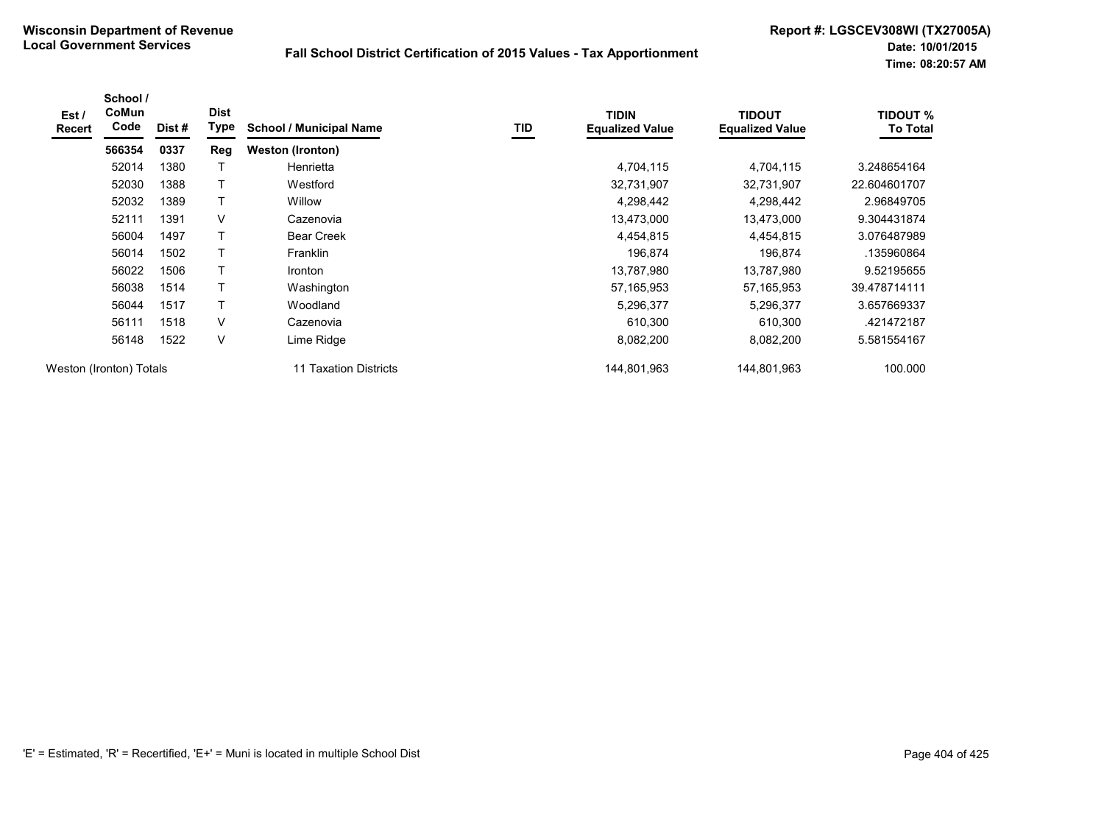| Est /<br><b>Recert</b> | School /<br><b>CoMun</b><br>Code | Dist# | <b>Dist</b><br>Type | <b>School / Municipal Name</b> | TID | <b>TIDIN</b><br><b>Equalized Value</b> | <b>TIDOUT</b><br><b>Equalized Value</b> | <b>TIDOUT %</b><br><b>To Total</b> |
|------------------------|----------------------------------|-------|---------------------|--------------------------------|-----|----------------------------------------|-----------------------------------------|------------------------------------|
|                        | 566354                           | 0337  | Reg                 | <b>Weston (Ironton)</b>        |     |                                        |                                         |                                    |
|                        | 52014                            | 1380  |                     | Henrietta                      |     | 4,704,115                              | 4,704,115                               | 3.248654164                        |
|                        | 52030                            | 1388  | T                   | Westford                       |     | 32,731,907                             | 32,731,907                              | 22.604601707                       |
|                        | 52032                            | 1389  | T                   | Willow                         |     | 4,298,442                              | 4,298,442                               | 2.96849705                         |
|                        | 52111                            | 1391  | V                   | Cazenovia                      |     | 13,473,000                             | 13,473,000                              | 9.304431874                        |
|                        | 56004                            | 1497  | т                   | <b>Bear Creek</b>              |     | 4,454,815                              | 4,454,815                               | 3.076487989                        |
|                        | 56014                            | 1502  | T                   | Franklin                       |     | 196,874                                | 196,874                                 | .135960864                         |
|                        | 56022                            | 1506  | T                   | Ironton                        |     | 13,787,980                             | 13,787,980                              | 9.52195655                         |
|                        | 56038                            | 1514  |                     | Washington                     |     | 57, 165, 953                           | 57,165,953                              | 39.478714111                       |
|                        | 56044                            | 1517  | Τ                   | Woodland                       |     | 5,296,377                              | 5,296,377                               | 3.657669337                        |
|                        | 56111                            | 1518  | V                   | Cazenovia                      |     | 610,300                                | 610,300                                 | .421472187                         |
|                        | 56148                            | 1522  | $\vee$              | Lime Ridge                     |     | 8,082,200                              | 8,082,200                               | 5.581554167                        |
|                        | Weston (Ironton) Totals          |       |                     | 11 Taxation Districts          |     | 144,801,963                            | 144,801,963                             | 100.000                            |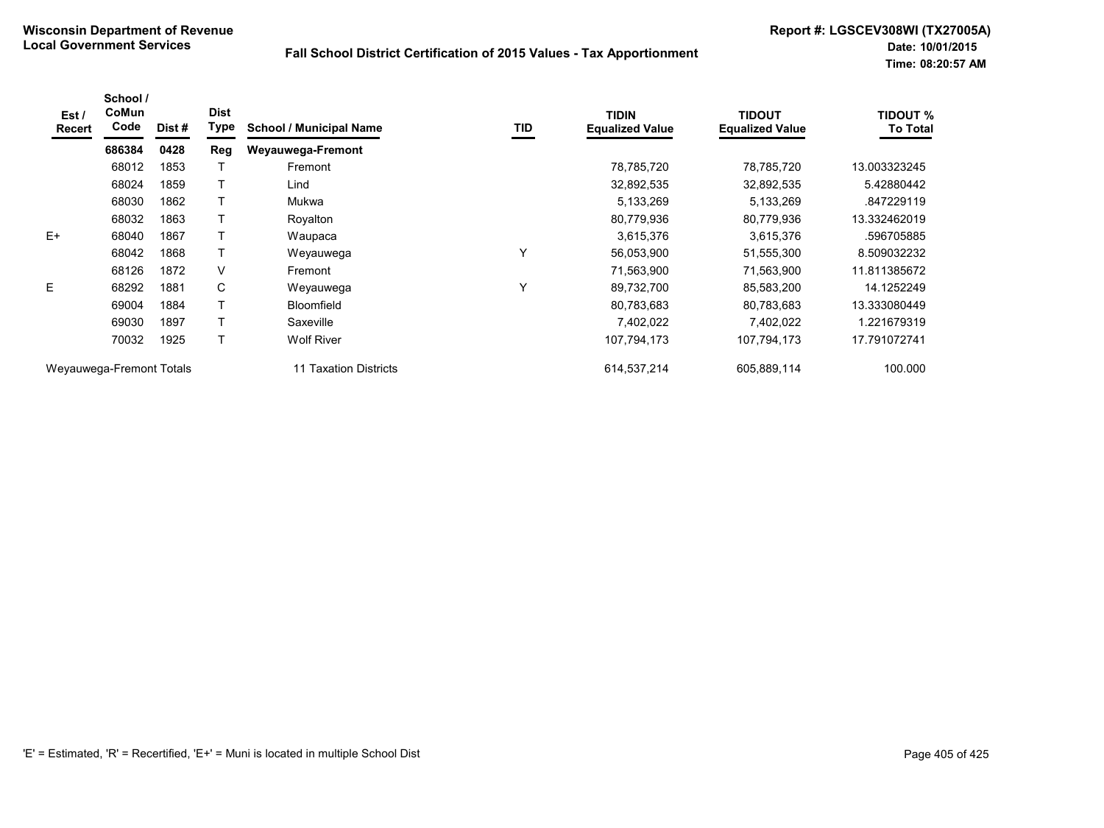| Est /<br>Recert          | School /<br><b>CoMun</b><br>Code | Dist # | <b>Dist</b><br><b>Type</b> | <b>School / Municipal Name</b> | TID         | <b>TIDIN</b><br><b>Equalized Value</b> | <b>TIDOUT</b><br><b>Equalized Value</b> | <b>TIDOUT %</b><br><b>To Total</b> |
|--------------------------|----------------------------------|--------|----------------------------|--------------------------------|-------------|----------------------------------------|-----------------------------------------|------------------------------------|
|                          | 686384                           | 0428   | Reg                        | Weyauwega-Fremont              |             |                                        |                                         |                                    |
|                          | 68012                            | 1853   |                            | Fremont                        |             | 78,785,720                             | 78,785,720                              | 13.003323245                       |
|                          | 68024                            | 1859   |                            | Lind                           |             | 32,892,535                             | 32,892,535                              | 5.42880442                         |
|                          | 68030                            | 1862   |                            | Mukwa                          |             | 5,133,269                              | 5,133,269                               | .847229119                         |
|                          | 68032                            | 1863   |                            | Royalton                       |             | 80,779,936                             | 80,779,936                              | 13.332462019                       |
| $E+$                     | 68040                            | 1867   |                            | Waupaca                        |             | 3,615,376                              | 3,615,376                               | .596705885                         |
|                          | 68042                            | 1868   |                            | Weyauwega                      | Y           | 56,053,900                             | 51,555,300                              | 8.509032232                        |
|                          | 68126                            | 1872   | V                          | Fremont                        |             | 71,563,900                             | 71,563,900                              | 11.811385672                       |
| E                        | 68292                            | 1881   | C                          | Weyauwega                      | $\check{ }$ | 89,732,700                             | 85,583,200                              | 14.1252249                         |
|                          | 69004                            | 1884   |                            | <b>Bloomfield</b>              |             | 80,783,683                             | 80,783,683                              | 13.333080449                       |
|                          | 69030                            | 1897   |                            | Saxeville                      |             | 7,402,022                              | 7,402,022                               | 1.221679319                        |
|                          | 70032                            | 1925   |                            | <b>Wolf River</b>              |             | 107,794,173                            | 107,794,173                             | 17.791072741                       |
| Weyauwega-Fremont Totals |                                  |        |                            | Taxation Districts<br>11       |             | 614,537,214                            | 605,889,114                             | 100.000                            |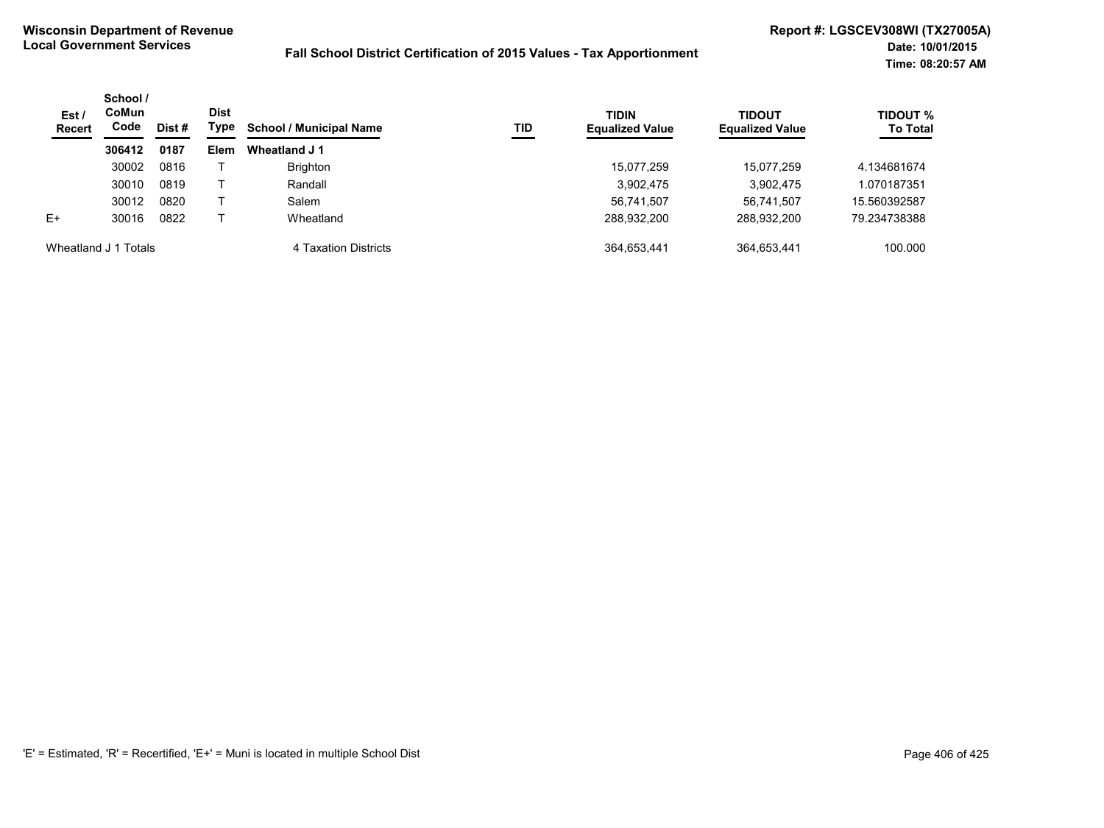| Est/<br><b>Recert</b> | School /<br>CoMun<br>Code<br>Dist # | <b>Dist</b><br>Type | <b>TIDIN</b><br><b>School / Municipal Name</b><br><b>TID</b> | <b>Equalized Value</b> | <b>TIDOUT</b><br><b>Equalized Value</b> | <b>TIDOUT %</b><br><b>To Total</b> |             |              |
|-----------------------|-------------------------------------|---------------------|--------------------------------------------------------------|------------------------|-----------------------------------------|------------------------------------|-------------|--------------|
|                       | 306412                              | 0187                | <b>Elem</b>                                                  | Wheatland J 1          |                                         |                                    |             |              |
|                       | 30002                               | 0816                |                                                              | <b>Brighton</b>        |                                         | 15,077,259                         | 15,077,259  | 4.134681674  |
|                       | 30010                               | 0819                |                                                              | Randall                |                                         | 3,902,475                          | 3,902,475   | .070187351   |
|                       | 30012                               | 0820                |                                                              | Salem                  |                                         | 56,741,507                         | 56.741.507  | 15.560392587 |
| $E+$                  | 30016                               | 0822                |                                                              | Wheatland              |                                         | 288,932,200                        | 288,932,200 | 79.234738388 |
| Wheatland J 1 Totals  |                                     |                     |                                                              | 4 Taxation Districts   |                                         | 364,653,441                        | 364,653,441 | 100.000      |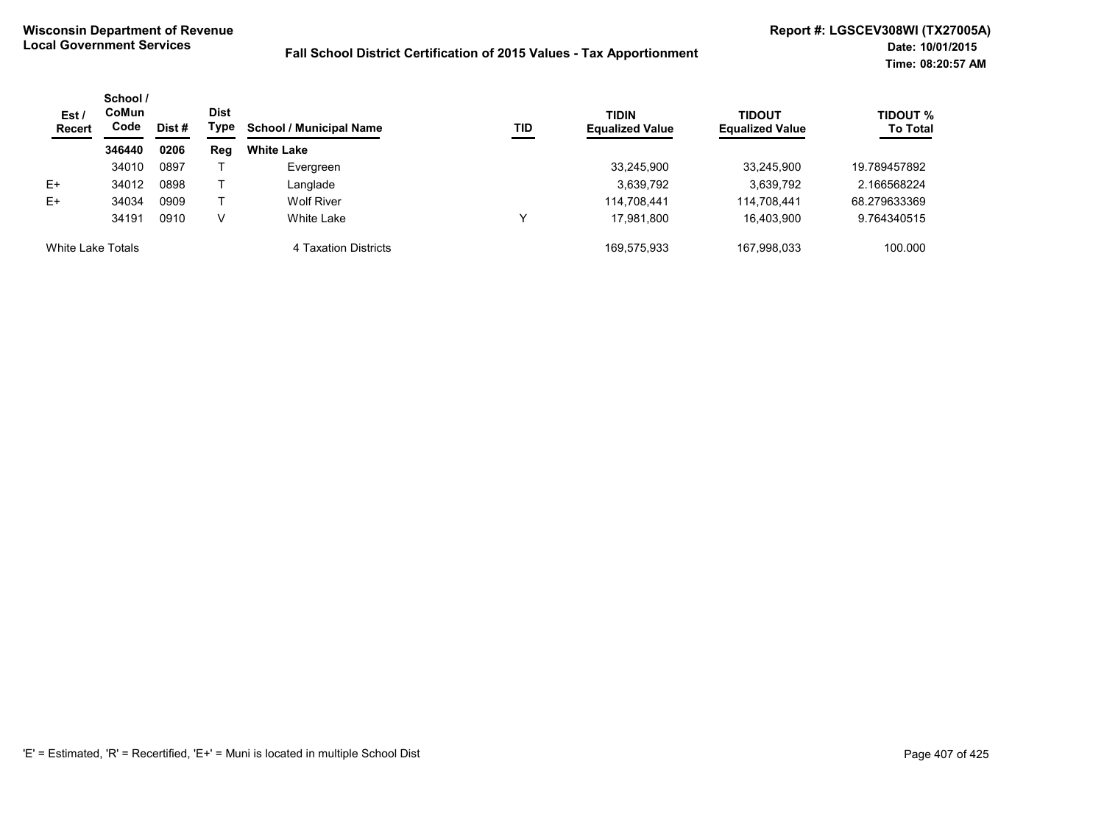| Est/<br><b>Recert</b> | School /<br>CoMun<br>Code<br>Dist # | <b>Dist</b><br>Type | <b>School / Municipal Name</b> | TID                  | <b>TIDIN</b><br><b>Equalized Value</b> | <b>TIDOUT</b><br><b>Equalized Value</b> | <b>TIDOUT %</b><br><b>To Total</b> |              |
|-----------------------|-------------------------------------|---------------------|--------------------------------|----------------------|----------------------------------------|-----------------------------------------|------------------------------------|--------------|
|                       | 346440                              | 0206                | Reg                            | <b>White Lake</b>    |                                        |                                         |                                    |              |
|                       | 34010                               | 0897                |                                | Evergreen            |                                        | 33,245,900                              | 33.245.900                         | 19.789457892 |
| E+                    | 34012                               | 0898                |                                | Langlade             |                                        | 3,639,792                               | 3,639,792                          | 2.166568224  |
| $E+$                  | 34034                               | 0909                |                                | <b>Wolf River</b>    |                                        | 114.708.441                             | 114,708,441                        | 68.279633369 |
|                       | 34191                               | 0910                | V                              | White Lake           | W                                      | 17,981,800                              | 16.403.900                         | 9.764340515  |
| White Lake Totals     |                                     |                     |                                | 4 Taxation Districts |                                        | 169.575.933                             | 167.998.033                        | 100.000      |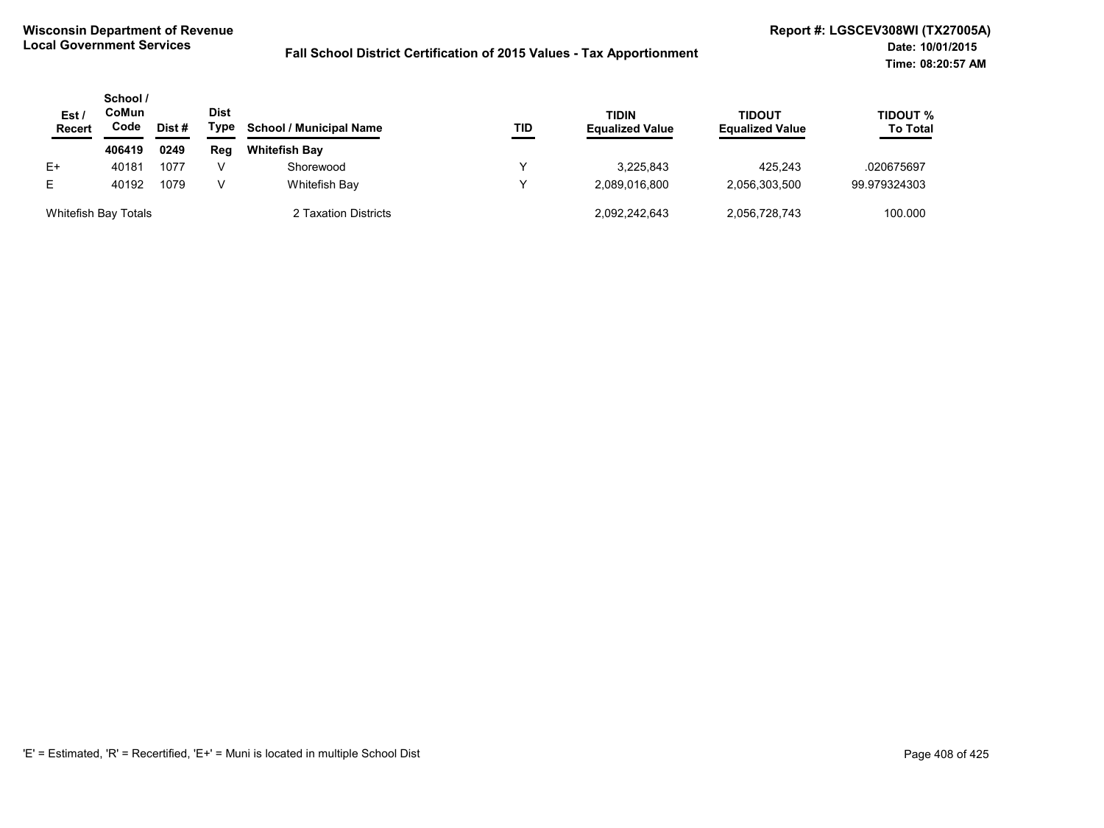| Est<br><b>Recert</b> | School /<br>CoMun<br>Code<br>Dist # | <b>Dist</b><br>Type | <b>School / Municipal Name</b> | TID                  | TIDIN<br><b>Equalized Value</b> | <b>TIDOUT</b><br><b>Equalized Value</b> | TIDOUT %<br><b>To Total</b> |              |
|----------------------|-------------------------------------|---------------------|--------------------------------|----------------------|---------------------------------|-----------------------------------------|-----------------------------|--------------|
|                      | 406419                              | 0249                | Reg                            | <b>Whitefish Bay</b> |                                 |                                         |                             |              |
| E+                   | 40181                               | 1077                |                                | Shorewood            |                                 | 3.225.843                               | 425.243                     | .020675697   |
| E.                   | 40192                               | 1079                | v                              | Whitefish Bay        | v                               | 2.089.016.800                           | 2.056.303.500               | 99.979324303 |
| Whitefish Bay Totals |                                     |                     |                                | 2 Taxation Districts |                                 | 2,092,242,643                           | 2,056,728,743               | 100.000      |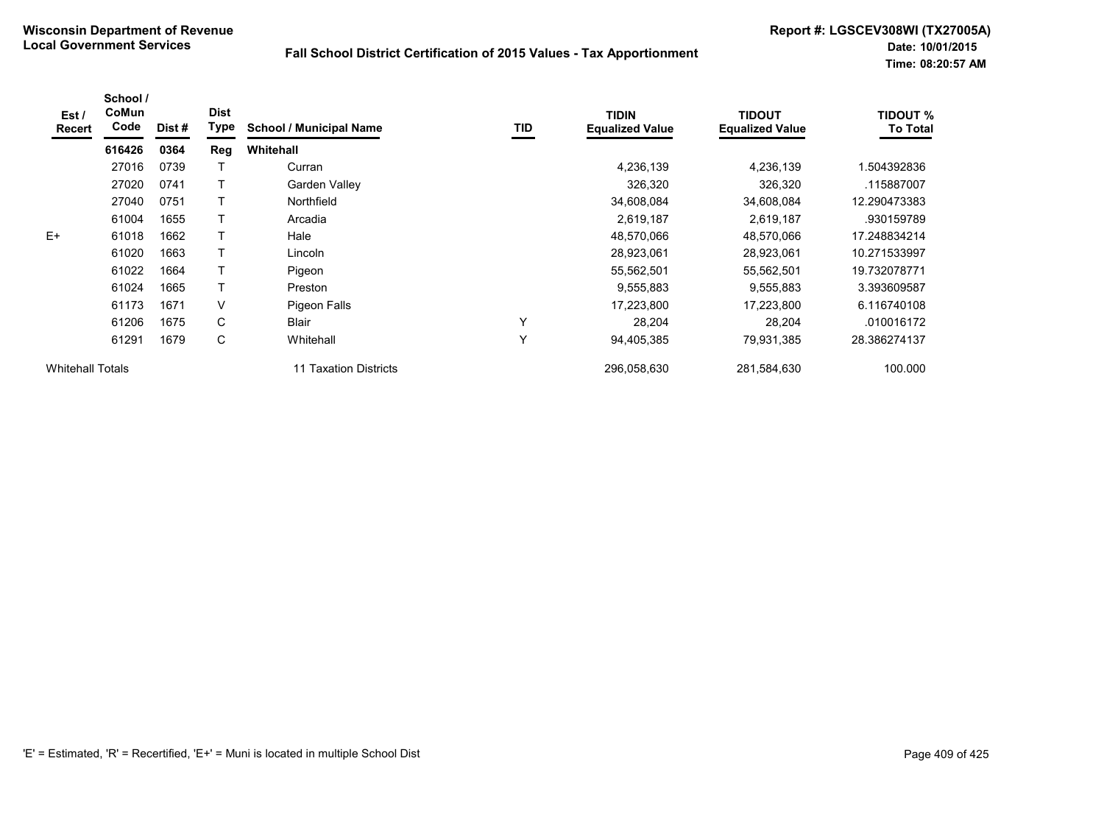| Est /<br>Recert         | School /<br>CoMun<br>Code | Dist # | <b>Dist</b><br><b>Type</b> | <b>School / Municipal Name</b> | TID | <b>TIDIN</b><br><b>Equalized Value</b> | <b>TIDOUT</b><br><b>Equalized Value</b> | <b>TIDOUT %</b><br><b>To Total</b> |
|-------------------------|---------------------------|--------|----------------------------|--------------------------------|-----|----------------------------------------|-----------------------------------------|------------------------------------|
|                         | 616426                    | 0364   | Reg                        | Whitehall                      |     |                                        |                                         |                                    |
|                         | 27016                     | 0739   |                            | Curran                         |     | 4,236,139                              | 4,236,139                               | 1.504392836                        |
|                         | 27020                     | 0741   |                            | Garden Valley                  |     | 326,320                                | 326,320                                 | .115887007                         |
|                         | 27040                     | 0751   |                            | Northfield                     |     | 34,608,084                             | 34,608,084                              | 12.290473383                       |
|                         | 61004                     | 1655   |                            | Arcadia                        |     | 2,619,187                              | 2,619,187                               | .930159789                         |
| $E+$                    | 61018                     | 1662   |                            | Hale                           |     | 48,570,066                             | 48,570,066                              | 17.248834214                       |
|                         | 61020                     | 1663   |                            | Lincoln                        |     | 28,923,061                             | 28,923,061                              | 10.271533997                       |
|                         | 61022                     | 1664   |                            | Pigeon                         |     | 55,562,501                             | 55,562,501                              | 19.732078771                       |
|                         | 61024                     | 1665   |                            | Preston                        |     | 9,555,883                              | 9,555,883                               | 3.393609587                        |
|                         | 61173                     | 1671   | V                          | Pigeon Falls                   |     | 17,223,800                             | 17,223,800                              | 6.116740108                        |
|                         | 61206                     | 1675   | C                          | <b>Blair</b>                   | Y   | 28,204                                 | 28,204                                  | .010016172                         |
|                         | 61291                     | 1679   | С                          | Whitehall                      | Y   | 94,405,385                             | 79,931,385                              | 28.386274137                       |
| <b>Whitehall Totals</b> |                           |        |                            | 11 Taxation Districts          |     | 296,058,630                            | 281,584,630                             | 100.000                            |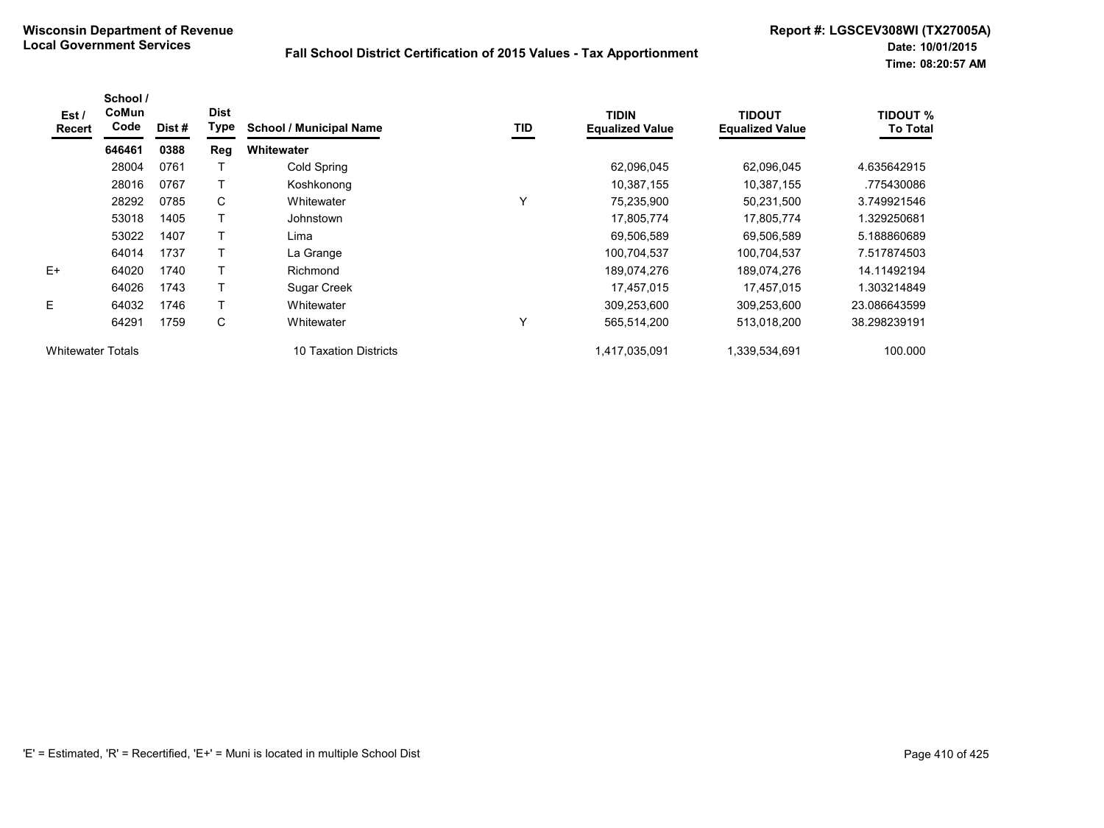| Est /<br><b>Recert</b>   | School /<br>CoMun<br>Code | Dist # | <b>Dist</b><br>Type | <b>School / Municipal Name</b> | TID | <b>TIDIN</b><br><b>Equalized Value</b> | <b>TIDOUT</b><br><b>Equalized Value</b> | <b>TIDOUT %</b><br><b>To Total</b> |
|--------------------------|---------------------------|--------|---------------------|--------------------------------|-----|----------------------------------------|-----------------------------------------|------------------------------------|
|                          | 646461                    | 0388   | Reg                 | Whitewater                     |     |                                        |                                         |                                    |
|                          | 28004                     | 0761   |                     | Cold Spring                    |     | 62,096,045                             | 62,096,045                              | 4.635642915                        |
|                          | 28016                     | 0767   |                     | Koshkonong                     |     | 10,387,155                             | 10,387,155                              | .775430086                         |
|                          | 28292                     | 0785   | C                   | Whitewater                     | Υ   | 75,235,900                             | 50,231,500                              | 3.749921546                        |
|                          | 53018                     | 1405   |                     | Johnstown                      |     | 17,805,774                             | 17,805,774                              | 1.329250681                        |
|                          | 53022                     | 1407   | т                   | Lima                           |     | 69,506,589                             | 69,506,589                              | 5.188860689                        |
|                          | 64014                     | 1737   |                     | La Grange                      |     | 100,704,537                            | 100,704,537                             | 7.517874503                        |
| $E+$                     | 64020                     | 1740   |                     | Richmond                       |     | 189,074,276                            | 189,074,276                             | 14.11492194                        |
|                          | 64026                     | 1743   | т                   | <b>Sugar Creek</b>             |     | 17,457,015                             | 17,457,015                              | 1.303214849                        |
| Е                        | 64032                     | 1746   |                     | Whitewater                     |     | 309,253,600                            | 309,253,600                             | 23.086643599                       |
|                          | 64291                     | 1759   | C                   | Whitewater                     | Υ   | 565,514,200                            | 513,018,200                             | 38.298239191                       |
| <b>Whitewater Totals</b> |                           |        |                     | 10 Taxation Districts          |     | 1,417,035,091                          | 1,339,534,691                           | 100.000                            |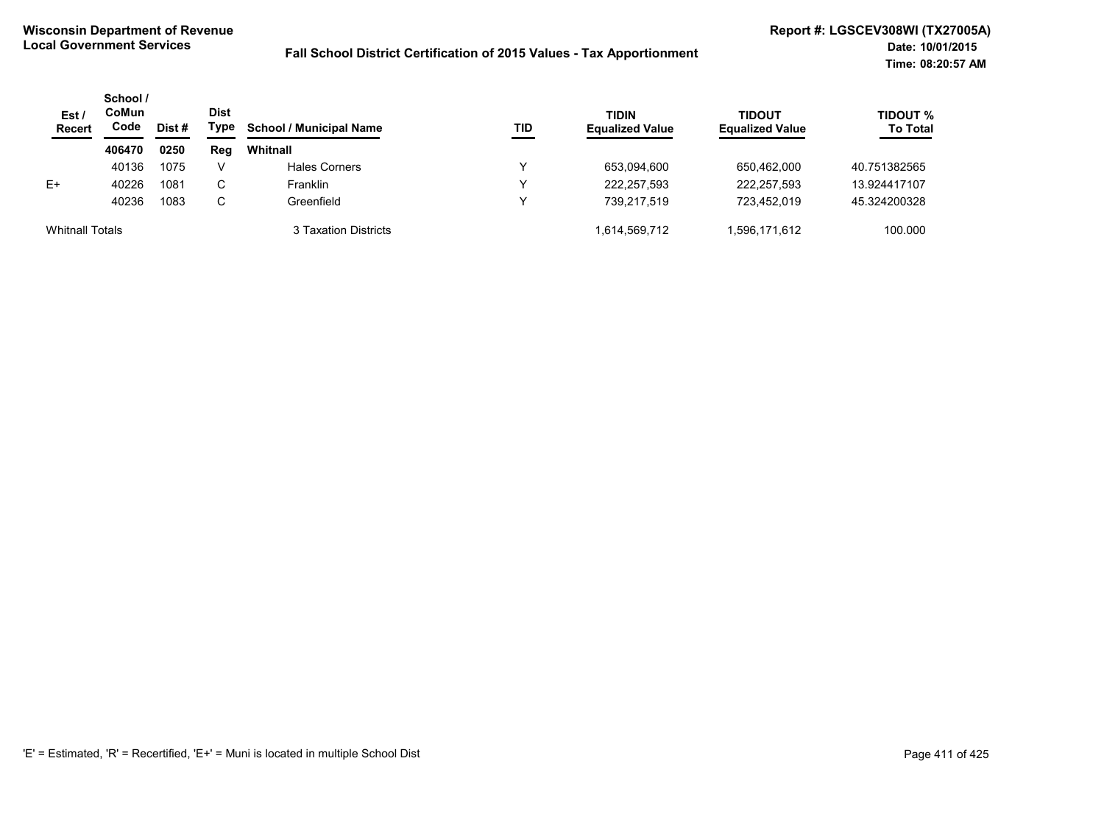| Est/<br><b>Recert</b>  | School /<br>CoMun<br>Code | Dist # | <b>Dist</b><br>Type | <b>School / Municipal Name</b> | <b>TID</b> | <b>TIDIN</b><br><b>Equalized Value</b> | <b>TIDOUT</b><br><b>Equalized Value</b> | TIDOUT %<br><b>To Total</b> |
|------------------------|---------------------------|--------|---------------------|--------------------------------|------------|----------------------------------------|-----------------------------------------|-----------------------------|
|                        | 406470                    | 0250   | Reg                 | Whitnall                       |            |                                        |                                         |                             |
|                        | 40136                     | 1075   | V                   | Hales Corners                  | ν          | 653,094,600                            | 650,462,000                             | 40.751382565                |
| $E+$                   | 40226                     | 1081   | C                   | Franklin                       | v          | 222,257,593                            | 222,257,593                             | 13.924417107                |
|                        | 40236                     | 1083   | С                   | Greenfield                     | v          | 739.217.519                            | 723.452.019                             | 45.324200328                |
| <b>Whitnall Totals</b> |                           |        |                     | 3 Taxation Districts           |            | 1,614,569,712                          | 1,596,171,612                           | 100.000                     |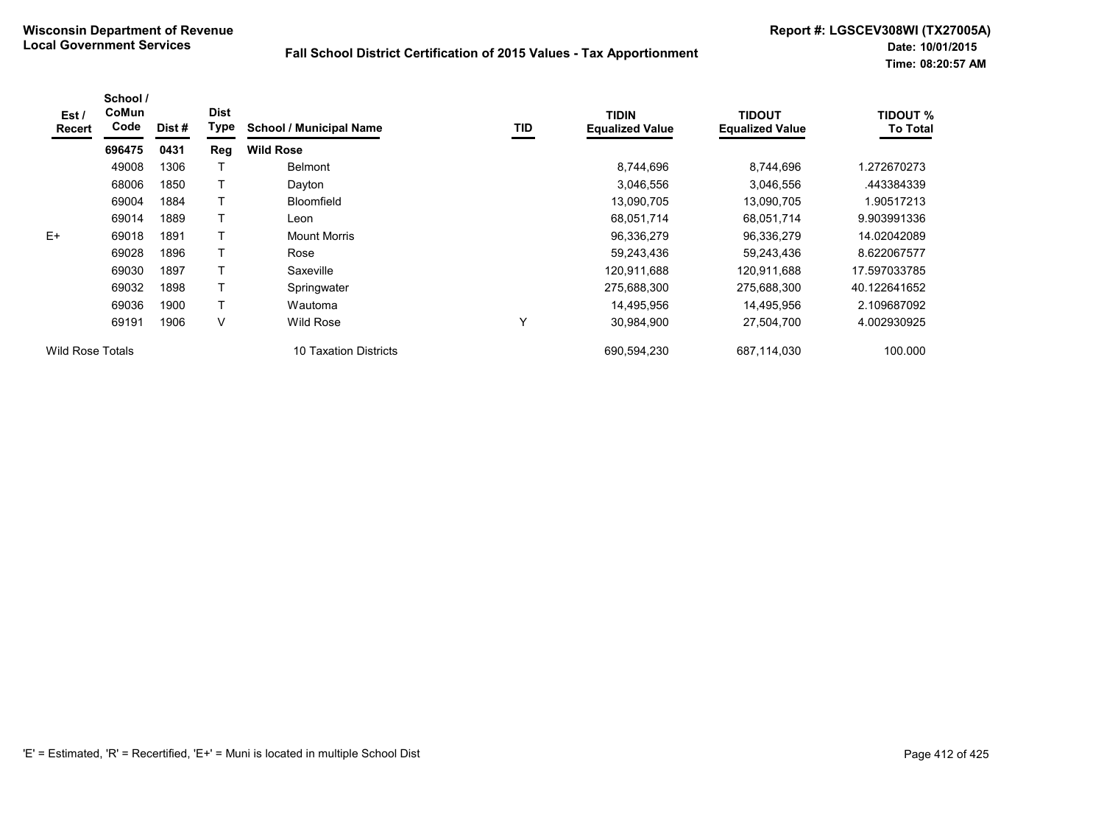| Est /<br><b>Recert</b>  | School /<br>CoMun<br>Code | Dist # | <b>Dist</b><br><b>Type</b> | <b>School / Municipal Name</b> | TID          | <b>TIDIN</b><br><b>Equalized Value</b> | <b>TIDOUT</b><br><b>Equalized Value</b> | <b>TIDOUT %</b><br><b>To Total</b> |
|-------------------------|---------------------------|--------|----------------------------|--------------------------------|--------------|----------------------------------------|-----------------------------------------|------------------------------------|
|                         | 696475                    | 0431   | Reg                        | <b>Wild Rose</b>               |              |                                        |                                         |                                    |
|                         | 49008                     | 1306   |                            | <b>Belmont</b>                 |              | 8,744,696                              | 8,744,696                               | 1.272670273                        |
|                         | 68006                     | 1850   |                            | Dayton                         |              | 3,046,556                              | 3,046,556                               | .443384339                         |
|                         | 69004                     | 1884   |                            | <b>Bloomfield</b>              |              | 13,090,705                             | 13,090,705                              | 1.90517213                         |
|                         | 69014                     | 1889   |                            | Leon                           |              | 68,051,714                             | 68,051,714                              | 9.903991336                        |
| $E+$                    | 69018                     | 1891   |                            | <b>Mount Morris</b>            |              | 96,336,279                             | 96,336,279                              | 14.02042089                        |
|                         | 69028                     | 1896   |                            | Rose                           |              | 59,243,436                             | 59,243,436                              | 8.622067577                        |
|                         | 69030                     | 1897   |                            | Saxeville                      |              | 120,911,688                            | 120,911,688                             | 17.597033785                       |
|                         | 69032                     | 1898   |                            | Springwater                    |              | 275,688,300                            | 275,688,300                             | 40.122641652                       |
|                         | 69036                     | 1900   |                            | Wautoma                        |              | 14,495,956                             | 14,495,956                              | 2.109687092                        |
|                         | 69191                     | 1906   | V                          | <b>Wild Rose</b>               | $\checkmark$ | 30,984,900                             | 27,504,700                              | 4.002930925                        |
| <b>Wild Rose Totals</b> |                           |        |                            | 10 Taxation Districts          |              | 690,594,230                            | 687,114,030                             | 100.000                            |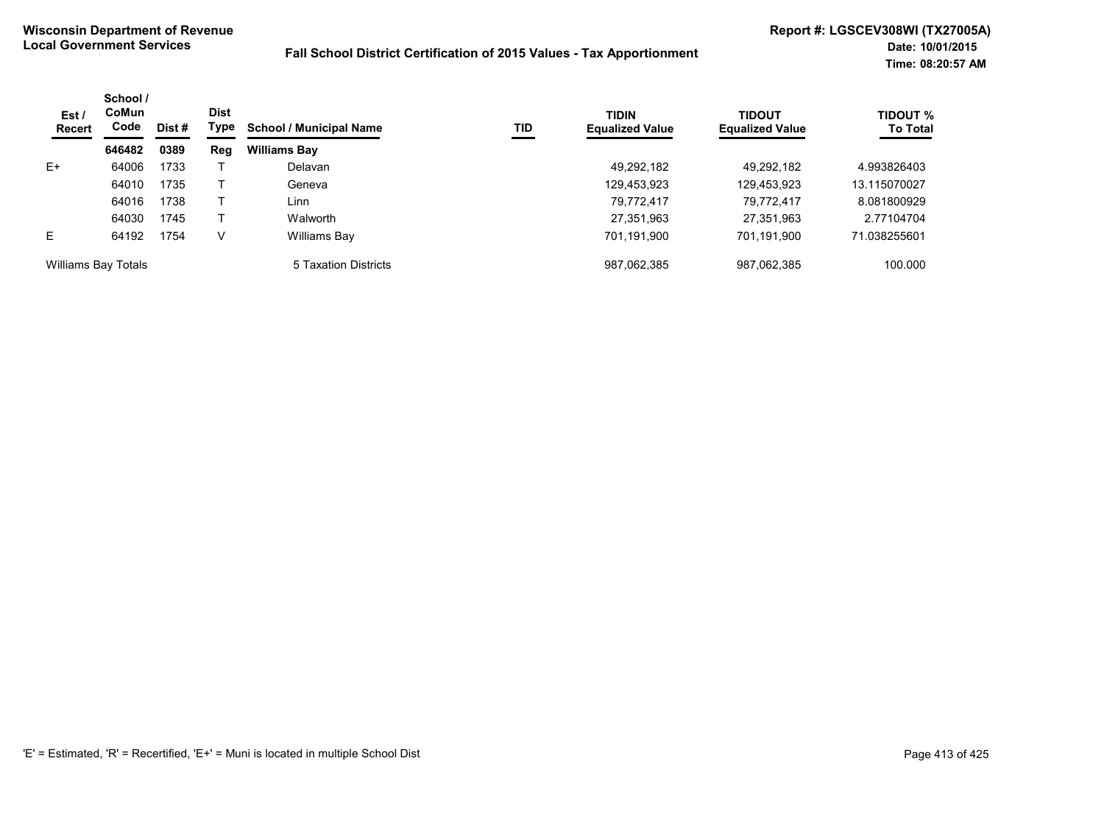| Est/<br>Recert      | School /<br><b>CoMun</b><br>Code | Dist # | <b>Dist</b><br>Type | <b>School / Municipal Name</b> | TID | <b>TIDIN</b><br><b>Equalized Value</b> | <b>TIDOUT</b><br><b>Equalized Value</b> | TIDOUT %<br><b>To Total</b> |
|---------------------|----------------------------------|--------|---------------------|--------------------------------|-----|----------------------------------------|-----------------------------------------|-----------------------------|
|                     | 646482                           | 0389   | Reg                 | <b>Williams Bay</b>            |     |                                        |                                         |                             |
| $E+$                | 64006                            | 1733   |                     | Delavan                        |     | 49.292.182                             | 49.292.182                              | 4.993826403                 |
|                     | 64010                            | 1735   |                     | Geneva                         |     | 129,453,923                            | 129,453,923                             | 13.115070027                |
|                     | 64016                            | 1738   |                     | Linn                           |     | 79,772,417                             | 79.772.417                              | 8.081800929                 |
|                     | 64030                            | 1745   |                     | Walworth                       |     | 27,351,963                             | 27,351,963                              | 2.77104704                  |
| E                   | 64192                            | 1754   | V                   | Williams Bay                   |     | 701,191,900                            | 701,191,900                             | 71.038255601                |
| Williams Bay Totals |                                  |        |                     | 5 Taxation Districts           |     | 987,062,385                            | 987,062,385                             | 100.000                     |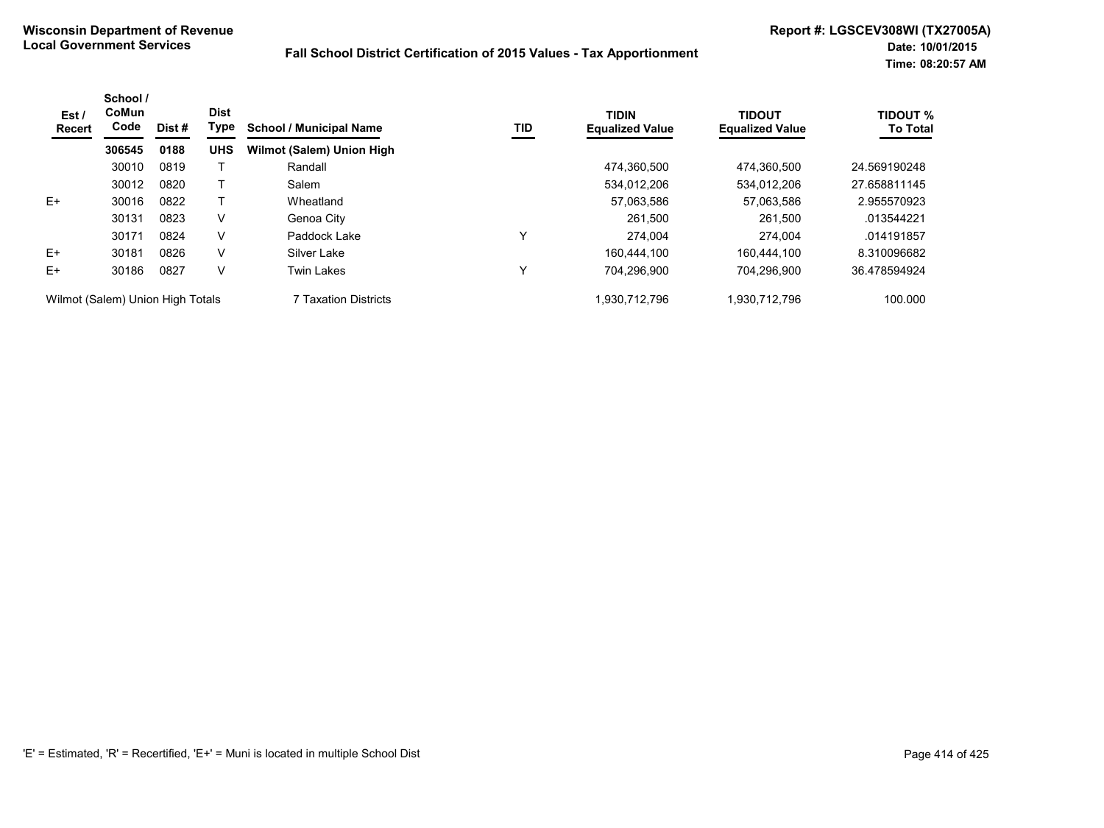| Est/<br><b>Recert</b>            | School /<br>CoMun<br>Code | Dist# | <b>Dist</b><br>Type | <b>School / Municipal Name</b> | TID | <b>TIDIN</b><br><b>Equalized Value</b> | <b>TIDOUT</b><br><b>Equalized Value</b> | <b>TIDOUT %</b><br><b>To Total</b> |
|----------------------------------|---------------------------|-------|---------------------|--------------------------------|-----|----------------------------------------|-----------------------------------------|------------------------------------|
|                                  | 306545                    | 0188  | <b>UHS</b>          | Wilmot (Salem) Union High      |     |                                        |                                         |                                    |
|                                  | 30010                     | 0819  |                     | Randall                        |     | 474.360.500                            | 474.360.500                             | 24.569190248                       |
|                                  | 30012                     | 0820  |                     | Salem                          |     | 534,012,206                            | 534,012,206                             | 27.658811145                       |
| $E+$                             | 30016                     | 0822  |                     | Wheatland                      |     | 57,063,586                             | 57.063.586                              | 2.955570923                        |
|                                  | 30131                     | 0823  | V                   | Genoa City                     |     | 261,500                                | 261.500                                 | .013544221                         |
|                                  | 30171                     | 0824  | V                   | Paddock Lake                   | ν   | 274,004                                | 274.004                                 | .014191857                         |
| $E+$                             | 30181                     | 0826  | V                   | Silver Lake                    |     | 160.444.100                            | 160.444.100                             | 8.310096682                        |
| $E+$                             | 30186                     | 0827  | V                   | <b>Twin Lakes</b>              | ν   | 704.296.900                            | 704.296.900                             | 36.478594924                       |
| Wilmot (Salem) Union High Totals |                           |       |                     | 7 Taxation Districts           |     | 1.930.712.796                          | 1.930.712.796                           | 100.000                            |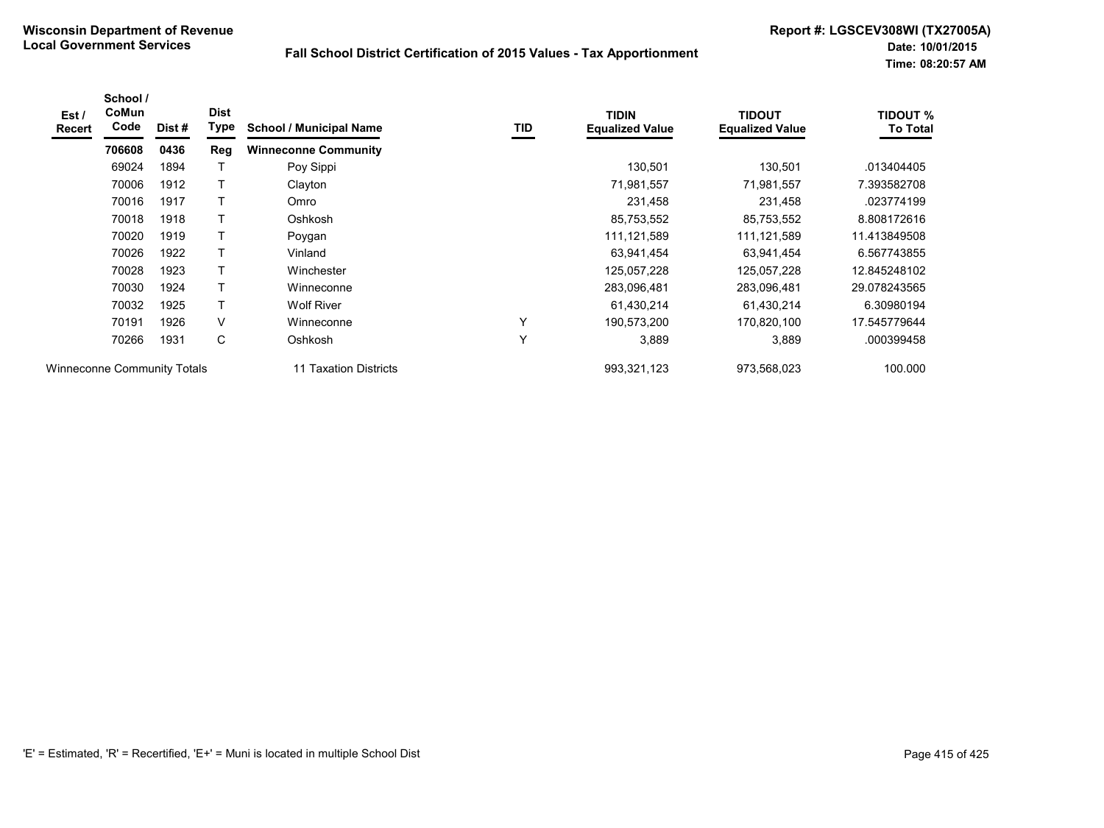| Est /<br>Recert             | School /<br>CoMun<br>Code | Dist # | <b>Dist</b><br>Type | <b>School / Municipal Name</b> | TID          | <b>TIDIN</b><br><b>Equalized Value</b> | <b>TIDOUT</b><br><b>Equalized Value</b> | <b>TIDOUT %</b><br><b>To Total</b> |
|-----------------------------|---------------------------|--------|---------------------|--------------------------------|--------------|----------------------------------------|-----------------------------------------|------------------------------------|
|                             | 706608                    | 0436   | Reg                 | <b>Winneconne Community</b>    |              |                                        |                                         |                                    |
|                             | 69024                     | 1894   |                     | Poy Sippi                      |              | 130,501                                | 130,501                                 | .013404405                         |
|                             | 70006                     | 1912   |                     | Clayton                        |              | 71,981,557                             | 71,981,557                              | 7.393582708                        |
|                             | 70016                     | 1917   |                     | Omro                           |              | 231,458                                | 231,458                                 | .023774199                         |
|                             | 70018                     | 1918   |                     | Oshkosh                        |              | 85,753,552                             | 85,753,552                              | 8.808172616                        |
|                             | 70020                     | 1919   | т                   | Poygan                         |              | 111,121,589                            | 111,121,589                             | 11.413849508                       |
|                             | 70026                     | 1922   | т                   | Vinland                        |              | 63,941,454                             | 63,941,454                              | 6.567743855                        |
|                             | 70028                     | 1923   |                     | Winchester                     |              | 125,057,228                            | 125,057,228                             | 12.845248102                       |
|                             | 70030                     | 1924   |                     | Winneconne                     |              | 283,096,481                            | 283,096,481                             | 29.078243565                       |
|                             | 70032                     | 1925   | т                   | <b>Wolf River</b>              |              | 61,430,214                             | 61,430,214                              | 6.30980194                         |
|                             | 70191                     | 1926   | V                   | Winneconne                     | v            | 190,573,200                            | 170,820,100                             | 17.545779644                       |
|                             | 70266                     | 1931   | C                   | Oshkosh                        | $\checkmark$ | 3,889                                  | 3,889                                   | .000399458                         |
| Winneconne Community Totals |                           |        |                     | 11 Taxation Districts          |              | 993,321,123                            | 973,568,023                             | 100.000                            |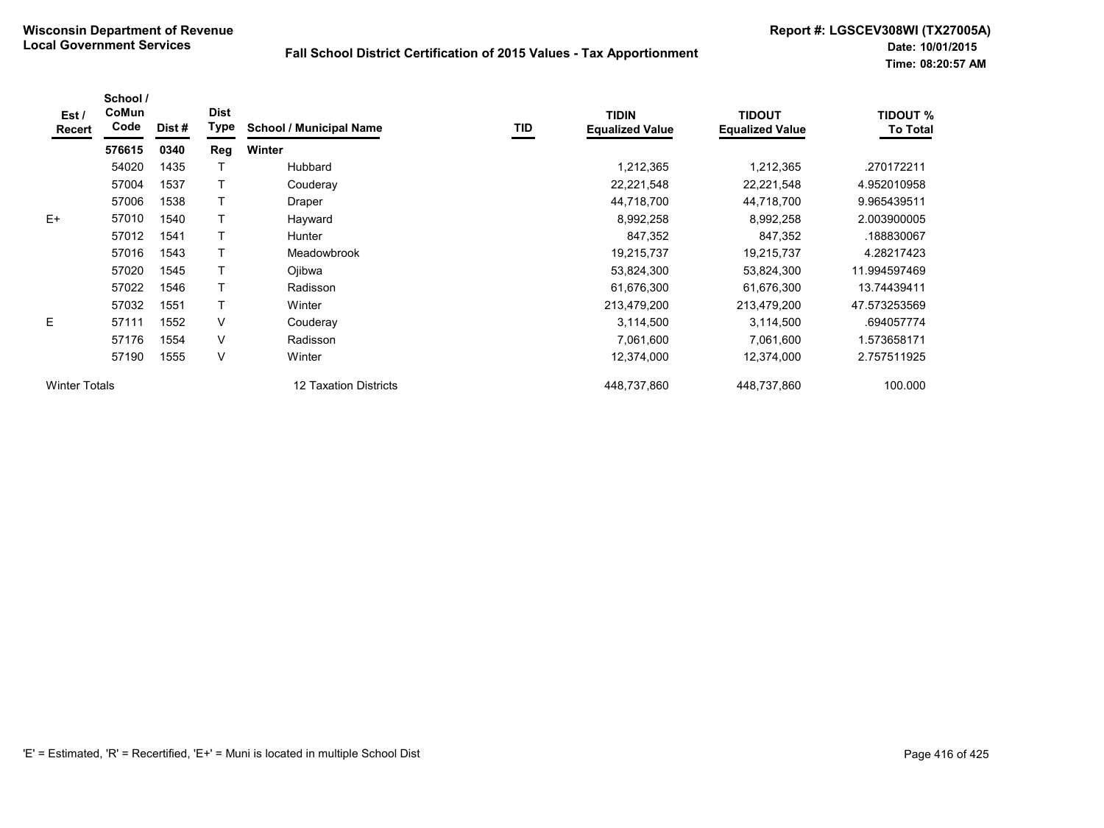| Est /<br>Recert      | School /<br>CoMun<br>Code | Dist # | <b>Dist</b><br><b>Type</b> | <b>School / Municipal Name</b> | TID | <b>TIDIN</b><br><b>Equalized Value</b> | <b>TIDOUT</b><br><b>Equalized Value</b> | <b>TIDOUT %</b><br><b>To Total</b> |
|----------------------|---------------------------|--------|----------------------------|--------------------------------|-----|----------------------------------------|-----------------------------------------|------------------------------------|
|                      | 576615                    | 0340   | Reg                        | Winter                         |     |                                        |                                         |                                    |
|                      | 54020                     | 1435   |                            | Hubbard                        |     | 1,212,365                              | 1,212,365                               | .270172211                         |
|                      | 57004                     | 1537   |                            | Couderay                       |     | 22,221,548                             | 22,221,548                              | 4.952010958                        |
|                      | 57006                     | 1538   |                            | Draper                         |     | 44,718,700                             | 44,718,700                              | 9.965439511                        |
| $E+$                 | 57010                     | 1540   |                            | Hayward                        |     | 8,992,258                              | 8,992,258                               | 2.003900005                        |
|                      | 57012                     | 1541   |                            | <b>Hunter</b>                  |     | 847,352                                | 847,352                                 | .188830067                         |
|                      | 57016                     | 1543   |                            | Meadowbrook                    |     | 19,215,737                             | 19,215,737                              | 4.28217423                         |
|                      | 57020                     | 1545   |                            | Ojibwa                         |     | 53,824,300                             | 53,824,300                              | 11.994597469                       |
|                      | 57022                     | 1546   |                            | Radisson                       |     | 61,676,300                             | 61,676,300                              | 13.74439411                        |
|                      | 57032                     | 1551   | T                          | Winter                         |     | 213,479,200                            | 213,479,200                             | 47.573253569                       |
| E                    | 57111                     | 1552   | V                          | Couderay                       |     | 3,114,500                              | 3,114,500                               | .694057774                         |
|                      | 57176                     | 1554   | V                          | Radisson                       |     | 7,061,600                              | 7,061,600                               | 1.573658171                        |
|                      | 57190                     | 1555   | V                          | Winter                         |     | 12,374,000                             | 12,374,000                              | 2.757511925                        |
| <b>Winter Totals</b> |                           |        |                            | 12 Taxation Districts          |     | 448,737,860                            | 448,737,860                             | 100.000                            |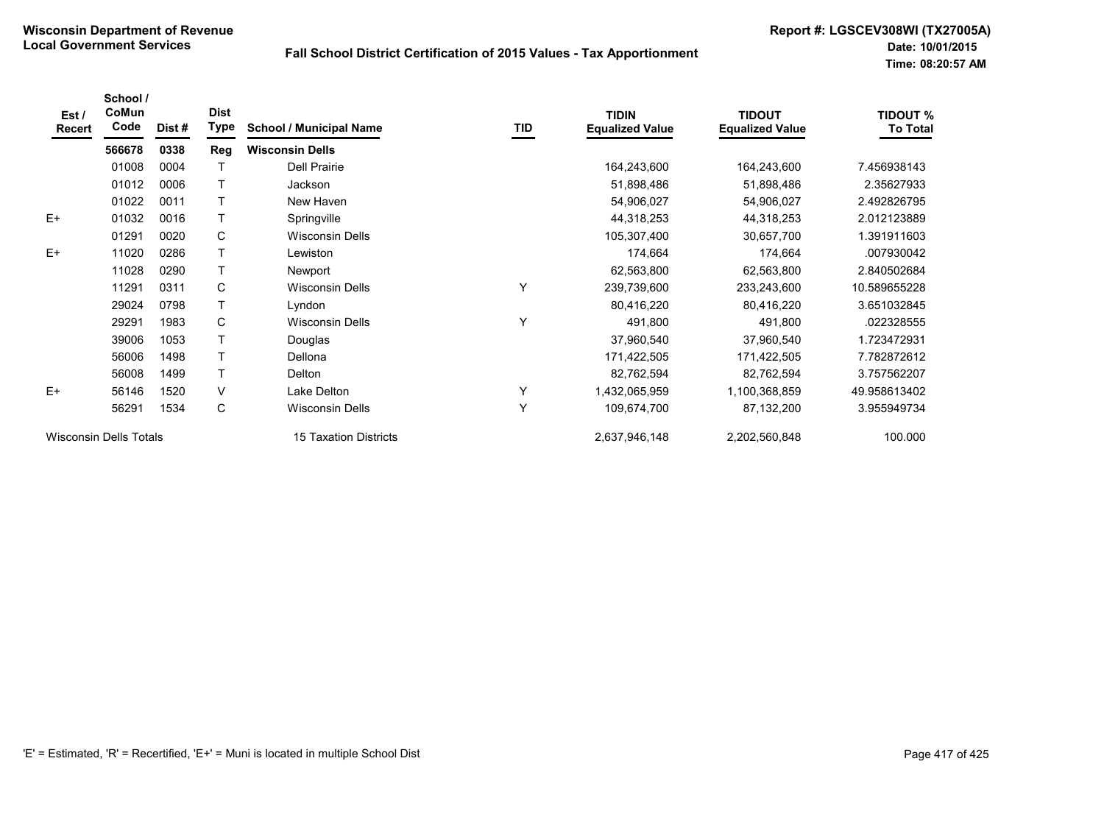| Est/<br>Recert | School /<br>CoMun<br>Code     | Dist # | <b>Dist</b><br>Type | <b>School / Municipal Name</b> | TID | <b>TIDIN</b><br><b>Equalized Value</b> | <b>TIDOUT</b><br><b>Equalized Value</b> | <b>TIDOUT %</b><br><b>To Total</b> |
|----------------|-------------------------------|--------|---------------------|--------------------------------|-----|----------------------------------------|-----------------------------------------|------------------------------------|
|                | 566678                        | 0338   | Reg                 | <b>Wisconsin Dells</b>         |     |                                        |                                         |                                    |
|                | 01008                         | 0004   |                     | <b>Dell Prairie</b>            |     | 164,243,600                            | 164,243,600                             | 7.456938143                        |
|                | 01012                         | 0006   |                     | Jackson                        |     | 51,898,486                             | 51,898,486                              | 2.35627933                         |
|                | 01022                         | 0011   |                     | New Haven                      |     | 54,906,027                             | 54,906,027                              | 2.492826795                        |
| $E+$           | 01032                         | 0016   | T                   | Springville                    |     | 44,318,253                             | 44,318,253                              | 2.012123889                        |
|                | 01291                         | 0020   | C                   | <b>Wisconsin Dells</b>         |     | 105,307,400                            | 30,657,700                              | 1.391911603                        |
| $E+$           | 11020                         | 0286   | T                   | Lewiston                       |     | 174,664                                | 174,664                                 | .007930042                         |
|                | 11028                         | 0290   | T.                  | Newport                        |     | 62,563,800                             | 62,563,800                              | 2.840502684                        |
|                | 11291                         | 0311   | C                   | <b>Wisconsin Dells</b>         | Υ   | 239,739,600                            | 233,243,600                             | 10.589655228                       |
|                | 29024                         | 0798   |                     | Lyndon                         |     | 80,416,220                             | 80,416,220                              | 3.651032845                        |
|                | 29291                         | 1983   | C                   | <b>Wisconsin Dells</b>         | Y   | 491,800                                | 491,800                                 | .022328555                         |
|                | 39006                         | 1053   |                     | Douglas                        |     | 37,960,540                             | 37,960,540                              | 1.723472931                        |
|                | 56006                         | 1498   | T.                  | Dellona                        |     | 171,422,505                            | 171,422,505                             | 7.782872612                        |
|                | 56008                         | 1499   |                     | Delton                         |     | 82,762,594                             | 82,762,594                              | 3.757562207                        |
| $E+$           | 56146                         | 1520   | $\vee$              | Lake Delton                    | Y   | 1,432,065,959                          | 1,100,368,859                           | 49.958613402                       |
|                | 56291                         | 1534   | C                   | Wisconsin Dells                | Υ   | 109,674,700                            | 87,132,200                              | 3.955949734                        |
|                | <b>Wisconsin Dells Totals</b> |        |                     | <b>15 Taxation Districts</b>   |     | 2,637,946,148                          | 2,202,560,848                           | 100.000                            |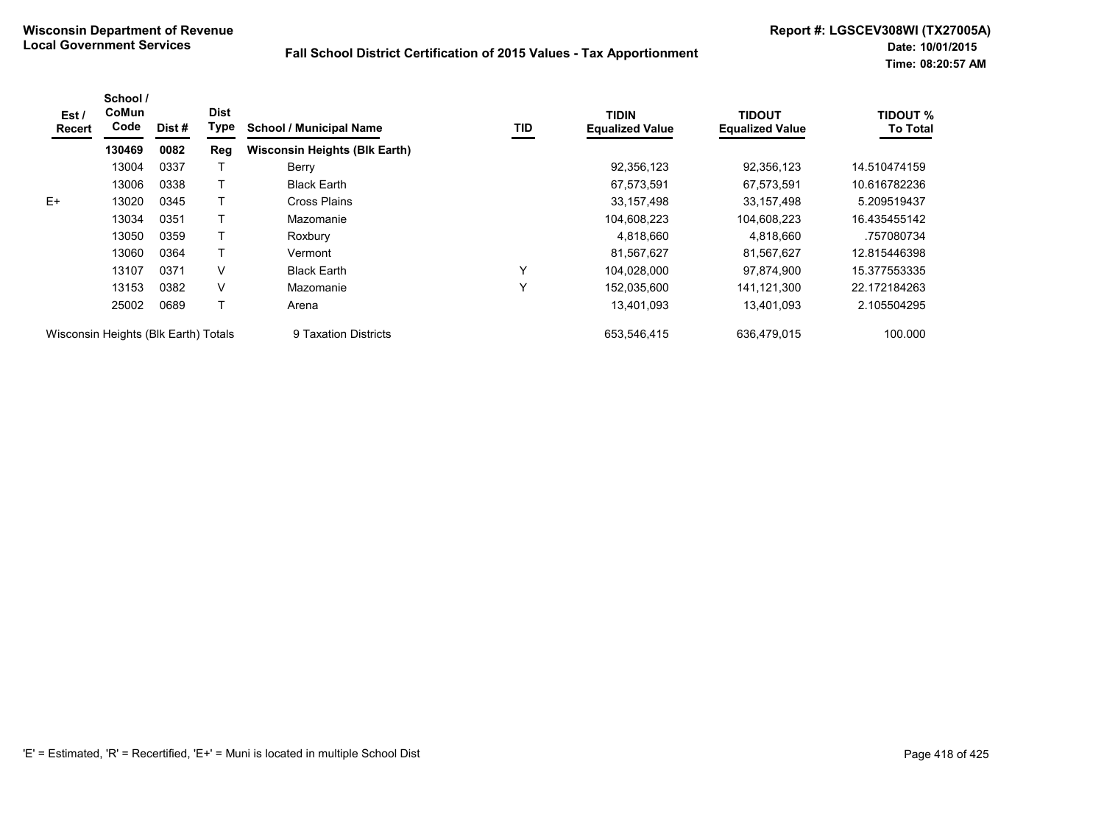| Est/<br><b>Recert</b>                | School /<br>CoMun<br>Code | Dist# | <b>Dist</b><br>Type | <b>School / Municipal Name</b>       | TID          | <b>TIDIN</b><br><b>Equalized Value</b> | <b>TIDOUT</b><br><b>Equalized Value</b> | <b>TIDOUT %</b><br><b>To Total</b> |
|--------------------------------------|---------------------------|-------|---------------------|--------------------------------------|--------------|----------------------------------------|-----------------------------------------|------------------------------------|
|                                      | 130469                    | 0082  | Reg                 | <b>Wisconsin Heights (Blk Earth)</b> |              |                                        |                                         |                                    |
|                                      | 13004                     | 0337  |                     | Berry                                |              | 92,356,123                             | 92,356,123                              | 14.510474159                       |
|                                      | 13006                     | 0338  |                     | <b>Black Earth</b>                   |              | 67,573,591                             | 67,573,591                              | 10.616782236                       |
| $E+$                                 | 13020                     | 0345  |                     | Cross Plains                         |              | 33, 157, 498                           | 33,157,498                              | 5.209519437                        |
|                                      | 13034                     | 0351  |                     | Mazomanie                            |              | 104,608,223                            | 104,608,223                             | 16.435455142                       |
|                                      | 13050                     | 0359  |                     | Roxbury                              |              | 4,818,660                              | 4,818,660                               | .757080734                         |
|                                      | 13060                     | 0364  |                     | Vermont                              |              | 81,567,627                             | 81,567,627                              | 12.815446398                       |
|                                      | 13107                     | 0371  | V                   | <b>Black Earth</b>                   | Y            | 104,028,000                            | 97.874.900                              | 15.377553335                       |
|                                      | 13153                     | 0382  | V                   | Mazomanie                            | $\checkmark$ | 152,035,600                            | 141,121,300                             | 22.172184263                       |
|                                      | 25002                     | 0689  |                     | Arena                                |              | 13,401,093                             | 13.401.093                              | 2.105504295                        |
| Wisconsin Heights (Blk Earth) Totals |                           |       |                     | 9 Taxation Districts                 |              | 653,546,415                            | 636.479.015                             | 100.000                            |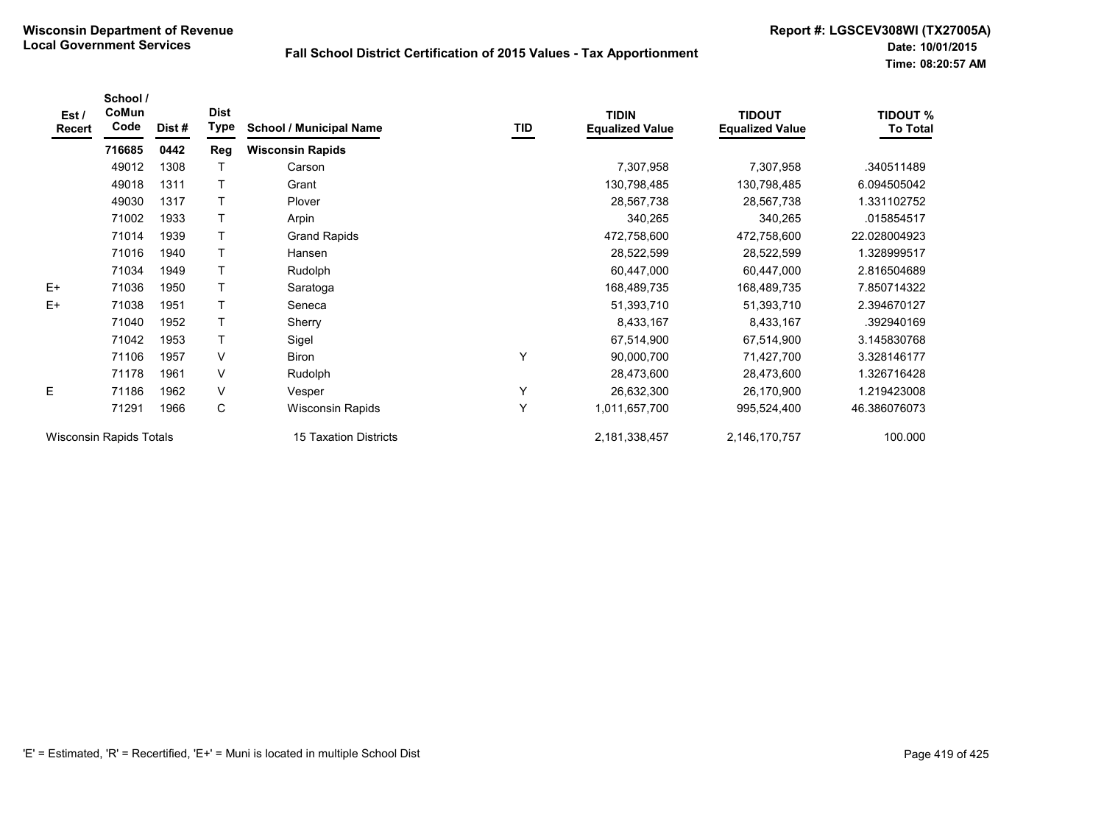| Est /<br>Recert | School /<br>CoMun<br>Code      | Dist# | <b>Dist</b><br>Type | <b>School / Municipal Name</b> | TID | <b>TIDIN</b><br><b>Equalized Value</b> | <b>TIDOUT</b><br><b>Equalized Value</b> | <b>TIDOUT %</b><br><b>To Total</b> |
|-----------------|--------------------------------|-------|---------------------|--------------------------------|-----|----------------------------------------|-----------------------------------------|------------------------------------|
|                 | 716685                         | 0442  | Reg                 | <b>Wisconsin Rapids</b>        |     |                                        |                                         |                                    |
|                 | 49012                          | 1308  | т                   | Carson                         |     | 7,307,958                              | 7,307,958                               | .340511489                         |
|                 | 49018                          | 1311  |                     | Grant                          |     | 130,798,485                            | 130,798,485                             | 6.094505042                        |
|                 | 49030                          | 1317  | т                   | Plover                         |     | 28,567,738                             | 28,567,738                              | 1.331102752                        |
|                 | 71002                          | 1933  | T                   | Arpin                          |     | 340,265                                | 340,265                                 | .015854517                         |
|                 | 71014                          | 1939  | T                   | <b>Grand Rapids</b>            |     | 472,758,600                            | 472,758,600                             | 22.028004923                       |
|                 | 71016                          | 1940  | $\mathsf{T}$        | Hansen                         |     | 28,522,599                             | 28,522,599                              | 1.328999517                        |
|                 | 71034                          | 1949  | T                   | Rudolph                        |     | 60,447,000                             | 60,447,000                              | 2.816504689                        |
| $E+$            | 71036                          | 1950  |                     | Saratoga                       |     | 168,489,735                            | 168,489,735                             | 7.850714322                        |
| $E+$            | 71038                          | 1951  | $\mathsf{T}$        | Seneca                         |     | 51,393,710                             | 51,393,710                              | 2.394670127                        |
|                 | 71040                          | 1952  | T                   | Sherry                         |     | 8,433,167                              | 8,433,167                               | .392940169                         |
|                 | 71042                          | 1953  | $\mathsf{T}$        | Sigel                          |     | 67,514,900                             | 67,514,900                              | 3.145830768                        |
|                 | 71106                          | 1957  | V                   | Biron                          | Υ   | 90,000,700                             | 71,427,700                              | 3.328146177                        |
|                 | 71178                          | 1961  | V                   | Rudolph                        |     | 28,473,600                             | 28,473,600                              | 1.326716428                        |
| E               | 71186                          | 1962  | V                   | Vesper                         | Y   | 26,632,300                             | 26,170,900                              | 1.219423008                        |
|                 | 71291                          | 1966  | C                   | Wisconsin Rapids               | Y   | 1,011,657,700                          | 995,524,400                             | 46.386076073                       |
|                 | <b>Wisconsin Rapids Totals</b> |       |                     | 15 Taxation Districts          |     | 2,181,338,457                          | 2,146,170,757                           | 100.000                            |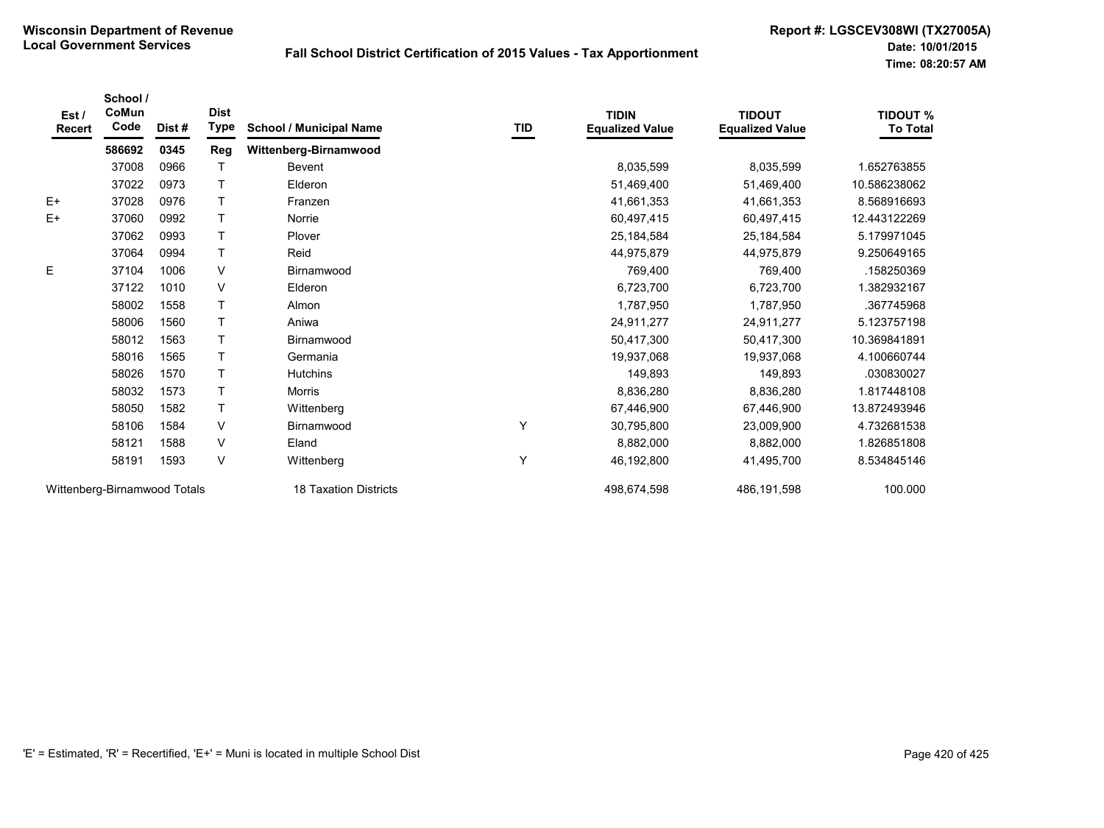| Est /<br><b>Recert</b>       | School /<br>CoMun<br>Code | Dist#                        | <b>Dist</b><br><b>Type</b> | <b>School / Municipal Name</b> | TID         | <b>TIDIN</b><br><b>Equalized Value</b> | <b>TIDOUT</b><br><b>Equalized Value</b> | <b>TIDOUT %</b><br><b>To Total</b> |
|------------------------------|---------------------------|------------------------------|----------------------------|--------------------------------|-------------|----------------------------------------|-----------------------------------------|------------------------------------|
|                              | 586692                    | 0345                         | Reg                        | Wittenberg-Birnamwood          |             |                                        |                                         |                                    |
|                              | 37008                     | 0966                         |                            | Bevent                         |             | 8,035,599                              | 8,035,599                               | 1.652763855                        |
|                              | 37022                     | 0973                         |                            | Elderon                        |             | 51,469,400                             | 51,469,400                              | 10.586238062                       |
| $E+$                         | 37028                     | 0976                         |                            | Franzen                        |             | 41,661,353                             | 41,661,353                              | 8.568916693                        |
| $E+$                         | 37060                     | 0992                         |                            | Norrie                         |             | 60,497,415                             | 60,497,415                              | 12.443122269                       |
|                              | 37062                     | 0993                         |                            | Plover                         |             | 25, 184, 584                           | 25,184,584                              | 5.179971045                        |
|                              | 37064                     | 0994                         | $\mathsf{T}$               | Reid                           |             | 44,975,879                             | 44,975,879                              | 9.250649165                        |
| E                            | 37104                     | 1006                         | V                          | Birnamwood                     |             | 769,400                                | 769,400                                 | .158250369                         |
|                              | 37122                     | 1010                         | $\vee$                     | Elderon                        |             | 6,723,700                              | 6,723,700                               | 1.382932167                        |
|                              | 58002                     | 1558                         |                            | Almon                          |             | 1,787,950                              | 1,787,950                               | .367745968                         |
|                              | 58006                     | 1560                         |                            | Aniwa                          |             | 24,911,277                             | 24,911,277                              | 5.123757198                        |
|                              | 58012                     | 1563                         |                            | Birnamwood                     |             | 50,417,300                             | 50,417,300                              | 10.369841891                       |
|                              | 58016                     | 1565                         |                            | Germania                       |             | 19,937,068                             | 19,937,068                              | 4.100660744                        |
|                              | 58026                     | 1570                         |                            | <b>Hutchins</b>                |             | 149,893                                | 149,893                                 | .030830027                         |
|                              | 58032                     | 1573                         |                            | Morris                         |             | 8,836,280                              | 8,836,280                               | 1.817448108                        |
|                              | 58050                     | 1582                         | Τ                          | Wittenberg                     |             | 67,446,900                             | 67,446,900                              | 13.872493946                       |
|                              | 58106                     | 1584                         | V                          | Birnamwood                     | Y           | 30,795,800                             | 23,009,900                              | 4.732681538                        |
|                              | 58121                     | 1588                         | $\vee$                     | Eland                          |             | 8,882,000                              | 8,882,000                               | 1.826851808                        |
|                              | 58191                     | 1593                         | $\vee$                     | Wittenberg                     | Y           | 46,192,800                             | 41,495,700                              | 8.534845146                        |
| Wittenberg-Birnamwood Totals |                           | <b>18 Taxation Districts</b> |                            | 498,674,598                    | 486,191,598 | 100.000                                |                                         |                                    |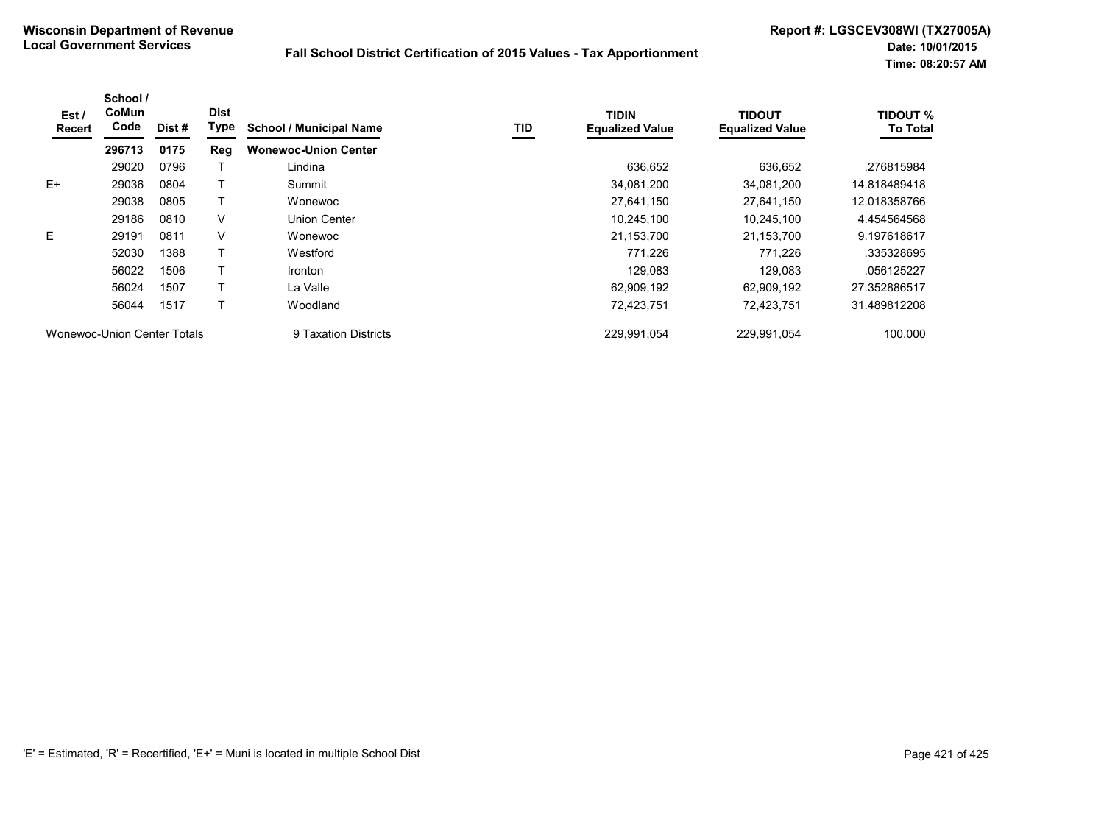| Est/<br>Recert | School /<br>CoMun<br>Code   | Dist# | <b>Dist</b><br>Type | <b>School / Municipal Name</b> | TID | <b>TIDIN</b><br><b>Equalized Value</b> | <b>TIDOUT</b><br><b>Equalized Value</b> | <b>TIDOUT %</b><br><b>To Total</b> |
|----------------|-----------------------------|-------|---------------------|--------------------------------|-----|----------------------------------------|-----------------------------------------|------------------------------------|
|                | 296713                      | 0175  | Reg                 | <b>Wonewoc-Union Center</b>    |     |                                        |                                         |                                    |
|                | 29020                       | 0796  |                     | Lindina                        |     | 636,652                                | 636,652                                 | .276815984                         |
| $E+$           | 29036                       | 0804  |                     | Summit                         |     | 34,081,200                             | 34,081,200                              | 14.818489418                       |
|                | 29038                       | 0805  |                     | Wonewoc                        |     | 27,641,150                             | 27,641,150                              | 12.018358766                       |
|                | 29186                       | 0810  | V                   | Union Center                   |     | 10,245,100                             | 10,245,100                              | 4.454564568                        |
| E.             | 29191                       | 0811  | V                   | Wonewoc                        |     | 21,153,700                             | 21,153,700                              | 9.197618617                        |
|                | 52030                       | 1388  |                     | Westford                       |     | 771,226                                | 771,226                                 | .335328695                         |
|                | 56022                       | 1506  |                     | <b>Ironton</b>                 |     | 129.083                                | 129,083                                 | .056125227                         |
|                | 56024                       | 1507  |                     | La Valle                       |     | 62,909,192                             | 62,909,192                              | 27.352886517                       |
|                | 56044                       | 1517  |                     | Woodland                       |     | 72,423,751                             | 72,423,751                              | 31.489812208                       |
|                | Wonewoc-Union Center Totals |       |                     | 9 Taxation Districts           |     | 229,991,054                            | 229,991,054                             | 100.000                            |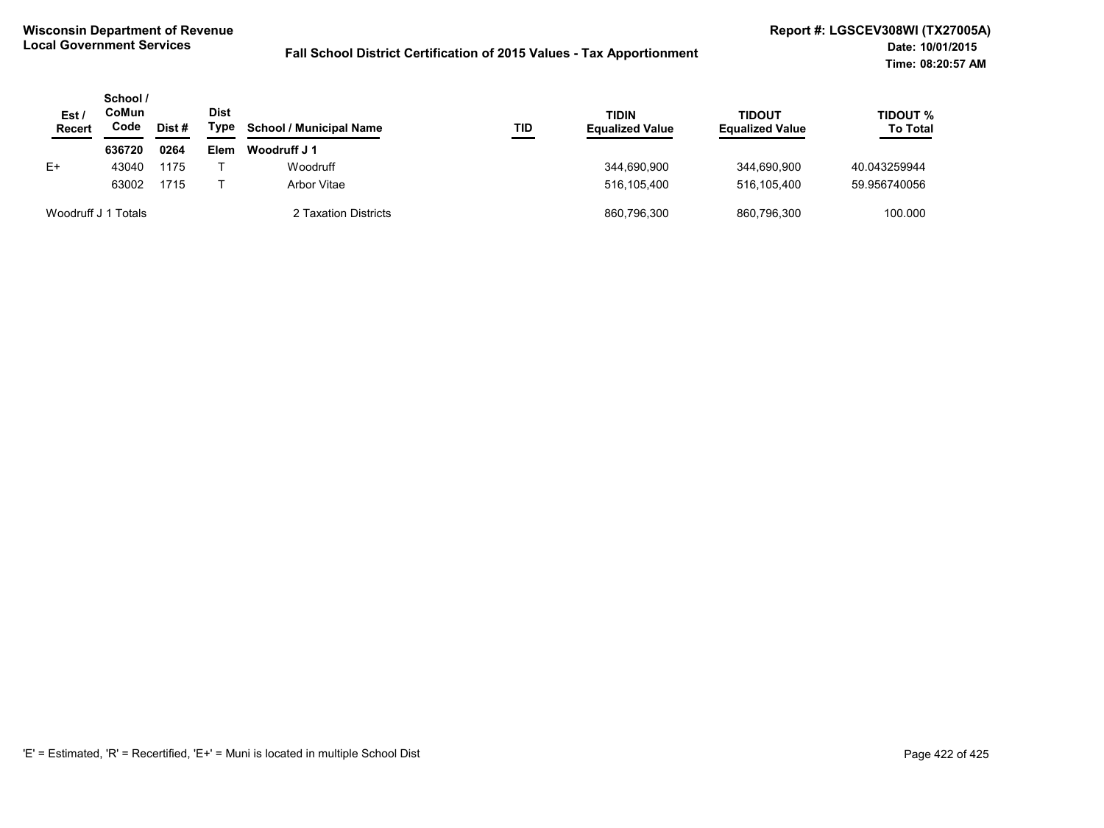| Est<br><b>Recert</b> | School /<br>CoMun<br>Code | Dist #               | <b>Dist</b><br>Type | <b>School / Municipal Name</b> | TID         | TIDIN<br><b>Equalized Value</b> | <b>TIDOUT</b><br><b>Equalized Value</b> | <b>TIDOUT %</b><br><b>To Total</b> |
|----------------------|---------------------------|----------------------|---------------------|--------------------------------|-------------|---------------------------------|-----------------------------------------|------------------------------------|
|                      | 636720                    | 0264                 | <b>Elem</b>         | Woodruff J 1                   |             |                                 |                                         |                                    |
| E+                   | 43040                     | 1175                 |                     | Woodruff                       |             | 344,690,900                     | 344.690.900                             | 40.043259944                       |
|                      | 63002                     | 1715                 |                     | Arbor Vitae                    |             | 516.105.400                     | 516.105.400                             | 59.956740056                       |
| Woodruff J 1 Totals  |                           | 2 Taxation Districts |                     | 860,796,300                    | 860.796.300 | 100.000                         |                                         |                                    |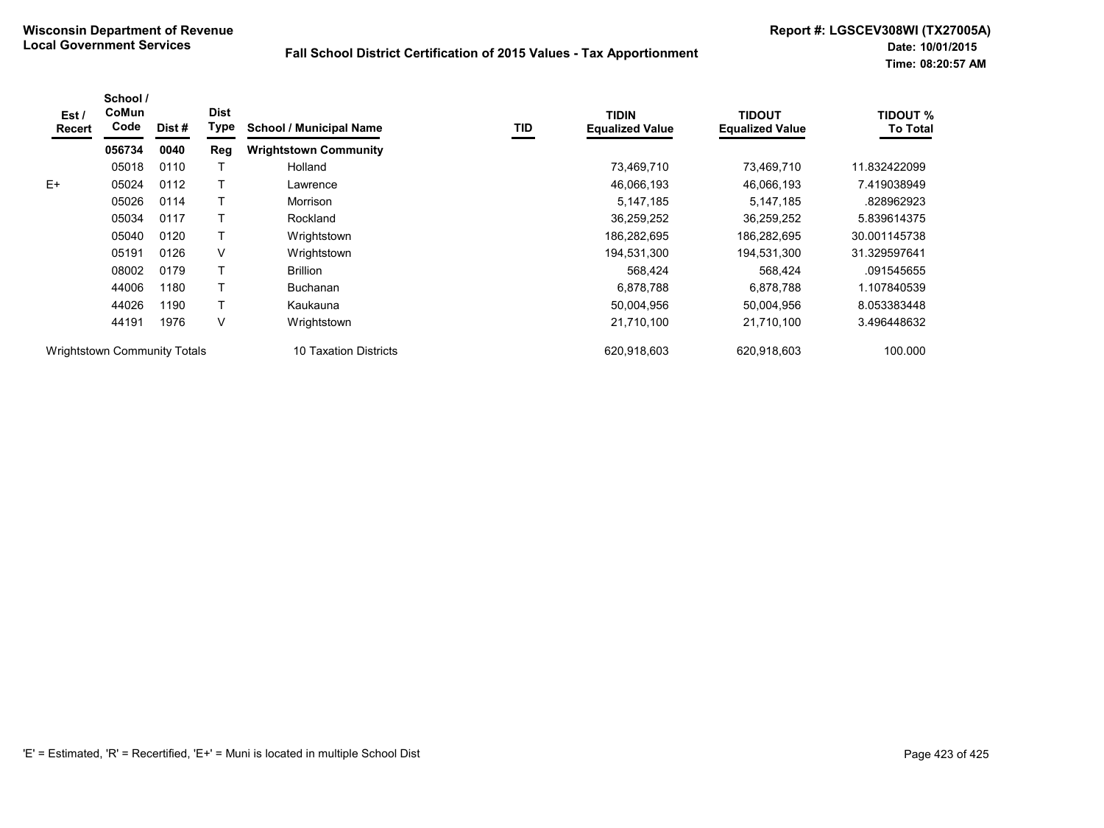| Est/<br>Recert | School /<br>CoMun<br>Code           | Dist# | <b>Dist</b><br>Type | <b>School / Municipal Name</b> | TID | <b>TIDIN</b><br><b>Equalized Value</b> | TIDOUT<br><b>Equalized Value</b> | <b>TIDOUT %</b><br><b>To Total</b> |
|----------------|-------------------------------------|-------|---------------------|--------------------------------|-----|----------------------------------------|----------------------------------|------------------------------------|
|                | 056734                              | 0040  | Reg                 | <b>Wrightstown Community</b>   |     |                                        |                                  |                                    |
|                | 05018                               | 0110  |                     | Holland                        |     | 73,469,710                             | 73,469,710                       | 11.832422099                       |
| $E+$           | 05024                               | 0112  |                     | Lawrence                       |     | 46,066,193                             | 46,066,193                       | 7.419038949                        |
|                | 05026                               | 0114  |                     | Morrison                       |     | 5,147,185                              | 5,147,185                        | .828962923                         |
|                | 05034                               | 0117  |                     | Rockland                       |     | 36,259,252                             | 36,259,252                       | 5.839614375                        |
|                | 05040                               | 0120  |                     | Wrightstown                    |     | 186,282,695                            | 186,282,695                      | 30.001145738                       |
|                | 05191                               | 0126  | V                   | Wrightstown                    |     | 194,531,300                            | 194,531,300                      | 31.329597641                       |
|                | 08002                               | 0179  |                     | <b>Brillion</b>                |     | 568,424                                | 568,424                          | .091545655                         |
|                | 44006                               | 1180  |                     | <b>Buchanan</b>                |     | 6,878,788                              | 6,878,788                        | 1.107840539                        |
|                | 44026                               | 1190  |                     | Kaukauna                       |     | 50,004,956                             | 50,004,956                       | 8.053383448                        |
|                | 44191                               | 1976  | V                   | Wrightstown                    |     | 21,710,100                             | 21,710,100                       | 3.496448632                        |
|                | <b>Wrightstown Community Totals</b> |       |                     | 10 Taxation Districts          |     | 620.918.603                            | 620.918.603                      | 100.000                            |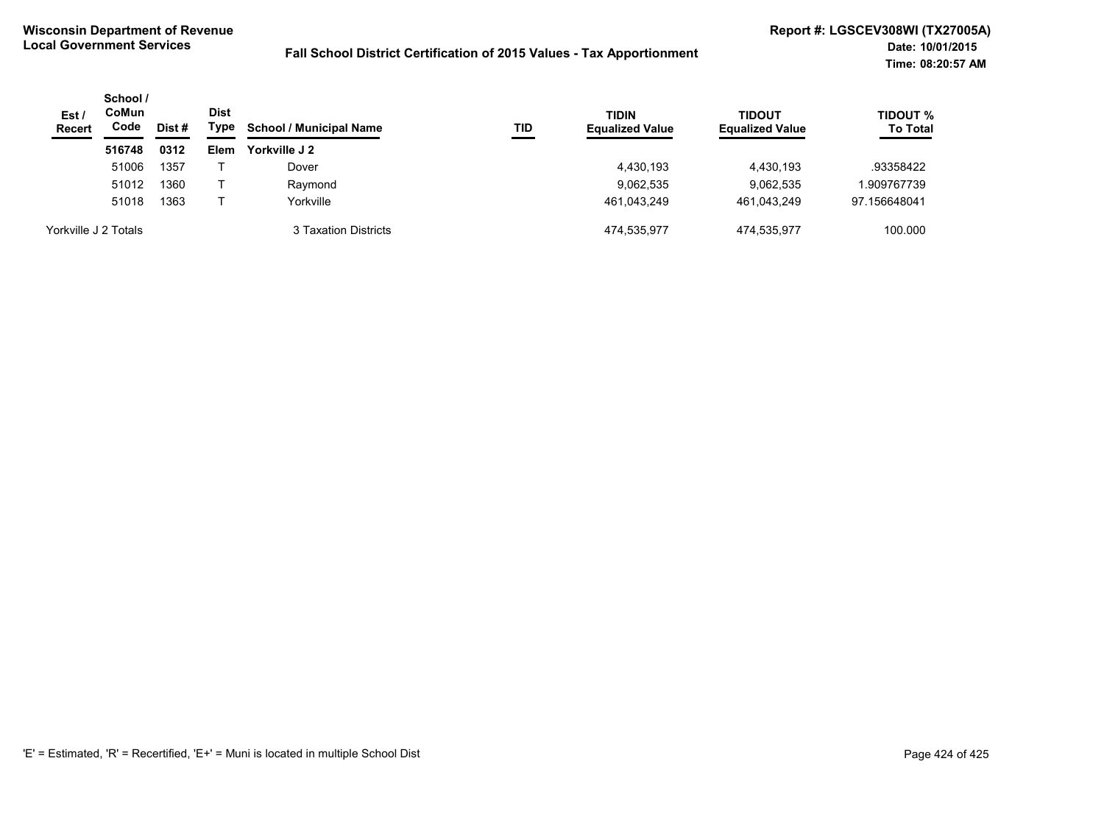| Est /<br><b>Recert</b> | School /<br><b>CoMun</b><br>Code | Dist # |      | <b>School / Municipal Name</b> | TID | <b>TIDIN</b><br><b>Equalized Value</b> | <b>TIDOUT</b><br><b>Equalized Value</b> | <b>TIDOUT %</b><br><b>To Total</b> |
|------------------------|----------------------------------|--------|------|--------------------------------|-----|----------------------------------------|-----------------------------------------|------------------------------------|
|                        | 516748                           | 0312   | Elem | Yorkville J 2                  |     |                                        |                                         |                                    |
|                        | 51006                            | 1357   |      | Dover                          |     | 4,430,193                              | 4,430,193                               | .93358422                          |
|                        | 51012                            | 1360   |      | Raymond                        |     | 9,062,535                              | 9,062,535                               | 1.909767739                        |
|                        | 51018                            | 1363   |      | Yorkville                      |     | 461.043.249                            | 461.043.249                             | 97.156648041                       |
| Yorkville J 2 Totals   |                                  |        |      | 3 Taxation Districts           |     | 474.535.977                            | 474.535.977                             | 100.000                            |